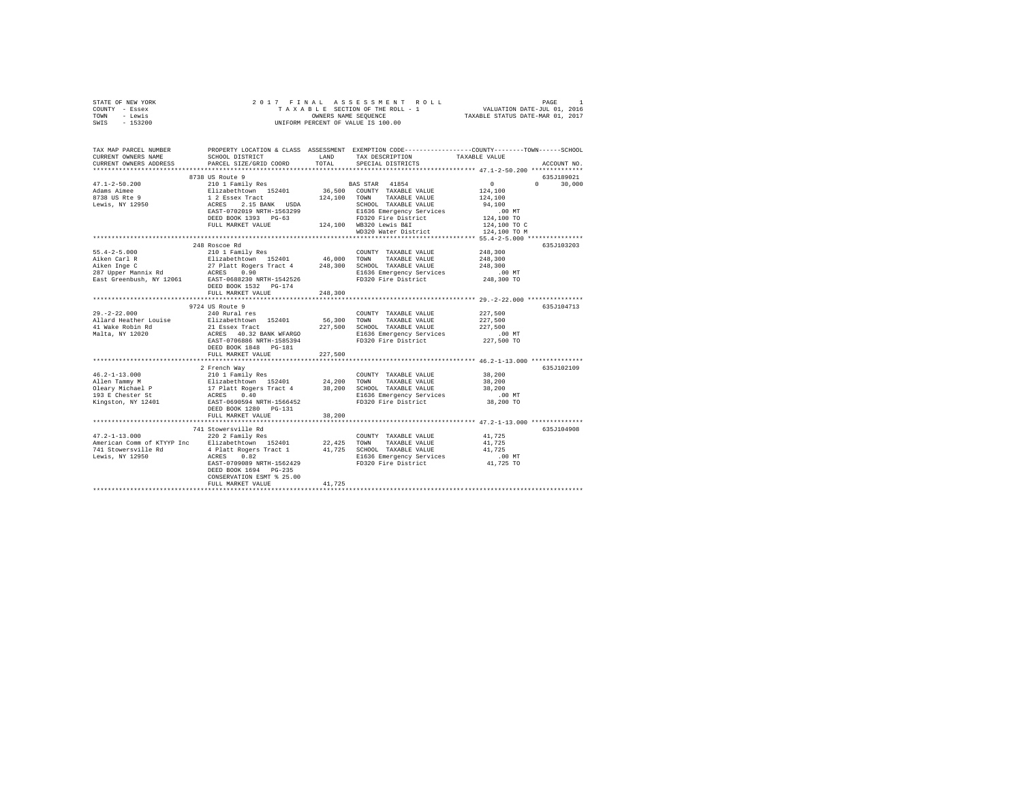| STATE OF NEW YORK<br>COUNTY - Essex<br>- Lewis<br>TOWN                                                                                                                                                                               | 2017 FINAL                                                                                                                                                                                                                                                                                                                                                                    |         | PAGE 1 RAL ASSESSMENT ROLL 1997 PAGE 1<br>TAXABLE SECTION OF THE ROLL - 1 VALUATION DATE-JUL 01, 2016<br>OWNERS NAME SEQUENCE 1 TAXABLE STATUS DATE-MAR 01, 2017<br>OWNERS NAME SEQUENCE<br>UNIFORM PERCENT OF VALUE IS 100.00 |                                                                 |             |
|--------------------------------------------------------------------------------------------------------------------------------------------------------------------------------------------------------------------------------------|-------------------------------------------------------------------------------------------------------------------------------------------------------------------------------------------------------------------------------------------------------------------------------------------------------------------------------------------------------------------------------|---------|--------------------------------------------------------------------------------------------------------------------------------------------------------------------------------------------------------------------------------|-----------------------------------------------------------------|-------------|
| $-153200$<br>SWIS                                                                                                                                                                                                                    |                                                                                                                                                                                                                                                                                                                                                                               |         |                                                                                                                                                                                                                                |                                                                 |             |
| TAX MAP PARCEL NUMBER PROPERTY LOCATION & CLASS ASSESSMENT EXEMPTION CODE---------------COUNTY-------TOWN------SCHOOL                                                                                                                |                                                                                                                                                                                                                                                                                                                                                                               |         |                                                                                                                                                                                                                                |                                                                 |             |
| CURRENT OWNERS NAME                                                                                                                                                                                                                  | SCHOOL DISTRICT LAND                                                                                                                                                                                                                                                                                                                                                          |         | TAX DESCRIPTION                                                                                                                                                                                                                | TAXABLE VALUE                                                   |             |
| CURRENT OWNERS ADDRESS<br>*************************                                                                                                                                                                                  | PARCEL SIZE/GRID COORD                                                                                                                                                                                                                                                                                                                                                        | TOTAL   | SPECIAL DISTRICTS                                                                                                                                                                                                              |                                                                 | ACCOUNT NO. |
|                                                                                                                                                                                                                                      | $[3738 \text{ US Route } 9 \text{ Route } 9 \text{ BAN} \text{ STAK} \text{ L11 Famiily Res} \text{BAS} \text{ STAK} \text{ -11 Famiily Res} \text{ 124,100} \text{ 101 Famiily Res} \text{ 124,100} \text{ 124,101} \text{ 125,102} \text{ 1264.} \text{ NALUE} \text{ 127,103} \text{ 1284.} \text{ NALUE} \text{ 1285.} \text{ 1284.} \text{ NALUE} \text{ 1285.} \text{ $ |         |                                                                                                                                                                                                                                |                                                                 | 635J189021  |
| $47.1 - 2 - 50.200$                                                                                                                                                                                                                  |                                                                                                                                                                                                                                                                                                                                                                               |         |                                                                                                                                                                                                                                | $\Omega$<br>$\mathsf{n}$                                        | 30,000      |
| Adams Aimee                                                                                                                                                                                                                          |                                                                                                                                                                                                                                                                                                                                                                               |         |                                                                                                                                                                                                                                | 124,100                                                         |             |
| 8738 US Rte 9                                                                                                                                                                                                                        |                                                                                                                                                                                                                                                                                                                                                                               |         |                                                                                                                                                                                                                                | 124,100                                                         |             |
| Lewis, NY 12950                                                                                                                                                                                                                      |                                                                                                                                                                                                                                                                                                                                                                               |         |                                                                                                                                                                                                                                | 94,100                                                          |             |
|                                                                                                                                                                                                                                      |                                                                                                                                                                                                                                                                                                                                                                               |         |                                                                                                                                                                                                                                | $.00$ MT<br>124,100 TO                                          |             |
|                                                                                                                                                                                                                                      |                                                                                                                                                                                                                                                                                                                                                                               |         |                                                                                                                                                                                                                                | 124,100 TO C                                                    |             |
|                                                                                                                                                                                                                                      |                                                                                                                                                                                                                                                                                                                                                                               |         | WD320 Water District                                                                                                                                                                                                           | 124,100 TO M                                                    |             |
|                                                                                                                                                                                                                                      |                                                                                                                                                                                                                                                                                                                                                                               |         |                                                                                                                                                                                                                                | ********************************** 55.4-2-5.000 *************** |             |
|                                                                                                                                                                                                                                      | 248 Roscoe Rd                                                                                                                                                                                                                                                                                                                                                                 |         |                                                                                                                                                                                                                                |                                                                 | 635J103203  |
| $55.4 - 2 - 5.000$                                                                                                                                                                                                                   | 210 1 Family Res                                                                                                                                                                                                                                                                                                                                                              |         | COUNTY TAXABLE VALUE                                                                                                                                                                                                           | 248,300                                                         |             |
| 19.4-2-5.000 211 1 2011 1 2011 1 2012 1<br>Aiken Inge C 27 Platt Rogers Tract 4 248,300 SCNAD TAXABLE VALUE<br>28 Upper Mannix Rd 27 Platt Rogers Tract 4 248,300 SCNAD TAXABLE VALUE<br>287 Upper Mannix Rd 2585-0689230 RRTH-15425 |                                                                                                                                                                                                                                                                                                                                                                               |         |                                                                                                                                                                                                                                | 248,300                                                         |             |
|                                                                                                                                                                                                                                      |                                                                                                                                                                                                                                                                                                                                                                               |         |                                                                                                                                                                                                                                | 248,300                                                         |             |
|                                                                                                                                                                                                                                      |                                                                                                                                                                                                                                                                                                                                                                               |         |                                                                                                                                                                                                                                | $.00$ MT<br>248,300 TO                                          |             |
|                                                                                                                                                                                                                                      | DEED BOOK 1532    PG-174                                                                                                                                                                                                                                                                                                                                                      |         |                                                                                                                                                                                                                                |                                                                 |             |
|                                                                                                                                                                                                                                      | FULL MARKET VALUE                                                                                                                                                                                                                                                                                                                                                             | 248,300 |                                                                                                                                                                                                                                |                                                                 |             |
|                                                                                                                                                                                                                                      |                                                                                                                                                                                                                                                                                                                                                                               |         |                                                                                                                                                                                                                                |                                                                 |             |
|                                                                                                                                                                                                                                      | 9724 US Route 9<br>$240$ Rural res                                                                                                                                                                                                                                                                                                                                            |         |                                                                                                                                                                                                                                |                                                                 | 635J104713  |
| $29. -2 - 22.000$<br>Allard Heather Louise                                                                                                                                                                                           | Elizabethtown 152401                                                                                                                                                                                                                                                                                                                                                          |         | COUNTY TAXABLE VALUE 227,500                                                                                                                                                                                                   | 227,500                                                         |             |
|                                                                                                                                                                                                                                      |                                                                                                                                                                                                                                                                                                                                                                               |         | 56,300 TOWN TAXABLE VALUE                                                                                                                                                                                                      | 227,500                                                         |             |
| 41 Wake Robin Rd<br>Malta, NY 12020                                                                                                                                                                                                  | 21 Essex Tract<br>ACRES 40.32 BANK WFARGO 227,500 SCHOOL TAXABLE VALUE<br>E1636 Emergency Services                                                                                                                                                                                                                                                                            |         |                                                                                                                                                                                                                                | .00 MT                                                          |             |
|                                                                                                                                                                                                                                      | EAST-0706886 NRTH-1585394                                                                                                                                                                                                                                                                                                                                                     |         | FD320 Fire District                                                                                                                                                                                                            | 227,500 TO                                                      |             |
|                                                                                                                                                                                                                                      | DEED BOOK 1848 PG-181                                                                                                                                                                                                                                                                                                                                                         |         |                                                                                                                                                                                                                                |                                                                 |             |
|                                                                                                                                                                                                                                      | FULL MARKET VALUE                                                                                                                                                                                                                                                                                                                                                             | 227,500 |                                                                                                                                                                                                                                |                                                                 |             |
|                                                                                                                                                                                                                                      |                                                                                                                                                                                                                                                                                                                                                                               |         |                                                                                                                                                                                                                                | ************************* 46.2-1-13.000 **************          |             |
| $46.2 - 1 - 13.000$                                                                                                                                                                                                                  | 2 French Way                                                                                                                                                                                                                                                                                                                                                                  |         | COUNTY TAXABLE VALUE                                                                                                                                                                                                           | 38,200                                                          | 635J102109  |
|                                                                                                                                                                                                                                      |                                                                                                                                                                                                                                                                                                                                                                               |         |                                                                                                                                                                                                                                | 38,200                                                          |             |
|                                                                                                                                                                                                                                      |                                                                                                                                                                                                                                                                                                                                                                               |         |                                                                                                                                                                                                                                | 38,200                                                          |             |
|                                                                                                                                                                                                                                      |                                                                                                                                                                                                                                                                                                                                                                               |         |                                                                                                                                                                                                                                | $.00$ MT                                                        |             |
| ---- ---------<br>Allen Tammy M<br>Oleary Michael P<br>193 E Chester St<br>Kingston, NY 12401                                                                                                                                        | 2101 Family Res<br>Elizabethcovn 152401 24,200 TOWN<br>17 Platt Rogers Tract 4 38,200 SCHOOL TAXABLE VALUE<br>17 Platt Rogers Tract 4 38,200 SCHOOL TAXABLE VALUE<br>ACRES 0.40<br>----- Acansa4 NRTH-1566452 FD320 Fire District                                                                                                                                             |         |                                                                                                                                                                                                                                | 38,200 TO                                                       |             |
|                                                                                                                                                                                                                                      | DEED BOOK 1280 PG-131                                                                                                                                                                                                                                                                                                                                                         |         |                                                                                                                                                                                                                                |                                                                 |             |
|                                                                                                                                                                                                                                      | FULL MARKET VALUE<br>***************************                                                                                                                                                                                                                                                                                                                              | 38,200  |                                                                                                                                                                                                                                | ********************** 47.2-1-13.000 **************             |             |
|                                                                                                                                                                                                                                      | 741 Stowersville Rd                                                                                                                                                                                                                                                                                                                                                           |         |                                                                                                                                                                                                                                |                                                                 | 635.T104908 |
| $47.2 - 1 - 13.000$                                                                                                                                                                                                                  | 220 2 Family Res                                                                                                                                                                                                                                                                                                                                                              |         | COUNTY TAXABLE VALUE                                                                                                                                                                                                           | 41,725                                                          |             |
|                                                                                                                                                                                                                                      |                                                                                                                                                                                                                                                                                                                                                                               |         |                                                                                                                                                                                                                                | 41,725                                                          |             |
|                                                                                                                                                                                                                                      |                                                                                                                                                                                                                                                                                                                                                                               |         |                                                                                                                                                                                                                                | 41,725                                                          |             |
|                                                                                                                                                                                                                                      |                                                                                                                                                                                                                                                                                                                                                                               |         | E1636 Emergency Services .00 MT<br>FD320 Fire District .01,725 TO                                                                                                                                                              |                                                                 |             |
|                                                                                                                                                                                                                                      | EAST-0709089 NRTH-1562429<br>DEED BOOK 1694    PG-235                                                                                                                                                                                                                                                                                                                         |         |                                                                                                                                                                                                                                |                                                                 |             |
|                                                                                                                                                                                                                                      | CONSERVATION ESMT % 25.00                                                                                                                                                                                                                                                                                                                                                     |         |                                                                                                                                                                                                                                |                                                                 |             |
|                                                                                                                                                                                                                                      | FULL MARKET VALUE                                                                                                                                                                                                                                                                                                                                                             | 41.725  |                                                                                                                                                                                                                                |                                                                 |             |
|                                                                                                                                                                                                                                      |                                                                                                                                                                                                                                                                                                                                                                               |         |                                                                                                                                                                                                                                |                                                                 |             |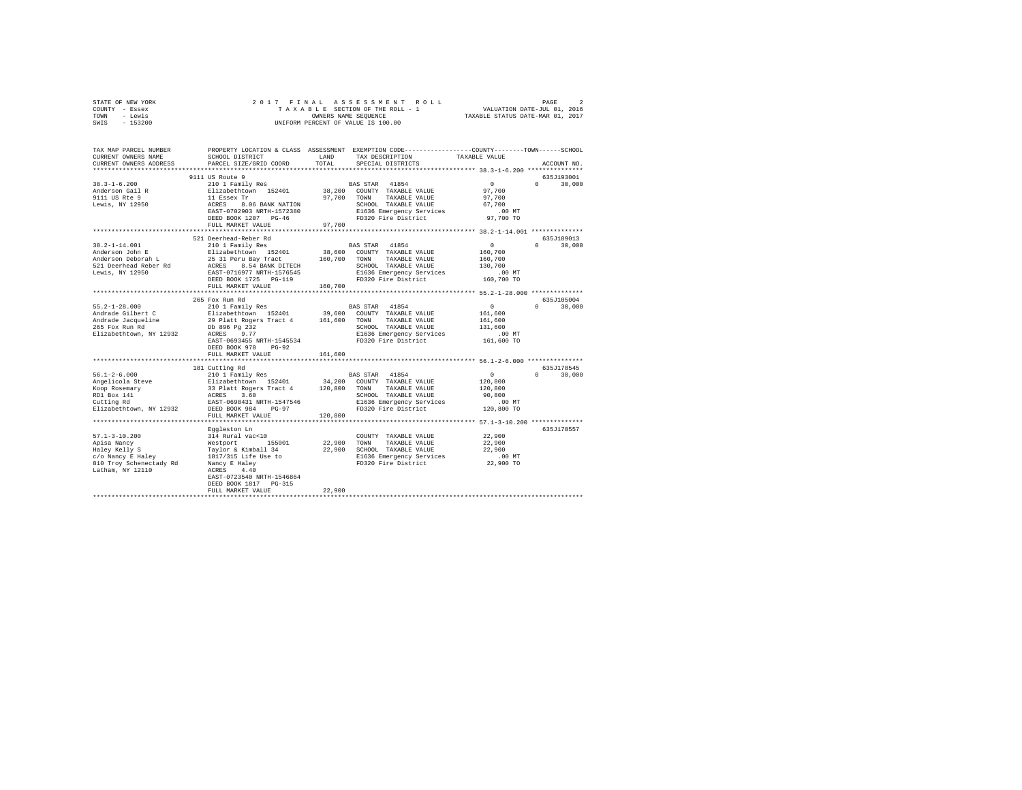| STATE OF NEW YORK                                              |                                                                                                                                                                                                                                            |         |                             |                                                       |               |
|----------------------------------------------------------------|--------------------------------------------------------------------------------------------------------------------------------------------------------------------------------------------------------------------------------------------|---------|-----------------------------|-------------------------------------------------------|---------------|
| COUNTY - Essex                                                 |                                                                                                                                                                                                                                            |         |                             |                                                       |               |
| TOWN - Lewis                                                   |                                                                                                                                                                                                                                            |         |                             |                                                       |               |
| SWIS - 153200                                                  |                                                                                                                                                                                                                                            |         |                             |                                                       |               |
|                                                                |                                                                                                                                                                                                                                            |         |                             |                                                       |               |
|                                                                |                                                                                                                                                                                                                                            |         |                             |                                                       |               |
|                                                                |                                                                                                                                                                                                                                            |         |                             |                                                       |               |
|                                                                | TAX MAP PARCEL NUMBER   PROPERTY LOCATION & CLASS ASSESSMENT EXEMPTION CODE--------------COUNTY-------TOWN-----SCHOOL                                                                                                                      |         |                             |                                                       |               |
| CURRENT OWNERS NAME                                            | SCHOOL DISTRICT                                                                                                                                                                                                                            | LAND    | TAX DESCRIPTION             | TAXABLE VALUE                                         |               |
|                                                                |                                                                                                                                                                                                                                            | TOTAL   |                             |                                                       |               |
| CURRENT OWNERS ADDRESS                                         | PARCEL SIZE/GRID COORD                                                                                                                                                                                                                     |         | SPECIAL DISTRICTS           |                                                       | ACCOUNT NO.   |
|                                                                |                                                                                                                                                                                                                                            |         |                             |                                                       |               |
|                                                                | 9111 US Route 9                                                                                                                                                                                                                            |         |                             |                                                       | 635J193001    |
| $38.3 - 1 - 6.200$                                             | 210 1 Family Res                                                                                                                                                                                                                           |         | BAS STAR 41854              | $\sim$ 0                                              | $0 \t 30.000$ |
| Anderson Gail R                                                |                                                                                                                                                                                                                                            |         |                             | 97,700                                                |               |
| 9111 US Rte 9                                                  |                                                                                                                                                                                                                                            |         |                             | 97,700                                                |               |
| Lewis, $\overline{NY}$ 12950                                   |                                                                                                                                                                                                                                            |         |                             | 67,700                                                |               |
|                                                                |                                                                                                                                                                                                                                            |         |                             | $.00$ MT                                              |               |
|                                                                |                                                                                                                                                                                                                                            |         |                             | 97,700 TO                                             |               |
|                                                                | FULL MARKET VALUE                                                                                                                                                                                                                          |         |                             |                                                       |               |
|                                                                |                                                                                                                                                                                                                                            |         |                             |                                                       |               |
|                                                                |                                                                                                                                                                                                                                            |         |                             |                                                       | 635J189013    |
|                                                                | 521 Deerhead-Reber Rd<br>210 1 Family Res                                                                                                                                                                                                  |         | BAS STAR 41854              | $\sim$ 0                                              |               |
| 38.2-1-14.001                                                  |                                                                                                                                                                                                                                            |         |                             |                                                       | $0 \t 30,000$ |
| 38.2-1-14.001<br>Anderson John E<br>Anderson Deborah L         | Elizabethtown 152401                                                                                                                                                                                                                       |         | 38,600 COUNTY TAXABLE VALUE | 160,700                                               |               |
| 521 Deerhead Reber Rd<br>Lewis, NY 12950                       | 25 31 Peru Bay Tract 160,700 TOWN TAXABLE VALUE<br>ACRS 8.54 BANK DITECH 50,700 TOWN TAXABLE VALUE<br>ACROS 8.54 BANK DITECH 50000 TAXABLE VALUE<br>DEED BOOK 1725 PG-119 160,700 PD320 Fire District<br>FULL MARKET VALUE 160,700 PD320 F |         |                             | 160,700                                               |               |
|                                                                |                                                                                                                                                                                                                                            |         |                             | 130,700                                               |               |
|                                                                |                                                                                                                                                                                                                                            |         |                             | .00 MT                                                |               |
|                                                                |                                                                                                                                                                                                                                            |         |                             | 160,700 TO                                            |               |
|                                                                |                                                                                                                                                                                                                                            |         |                             |                                                       |               |
|                                                                |                                                                                                                                                                                                                                            |         |                             |                                                       |               |
|                                                                | 265 Fox Run Rd                                                                                                                                                                                                                             |         |                             |                                                       | 635J105004    |
| $55.2 - 1 - 28.000$                                            | 210 1 Family Res BAS STAR 41854                                                                                                                                                                                                            |         |                             | $\sim$ 0                                              | $0 \t 30,000$ |
|                                                                |                                                                                                                                                                                                                                            |         |                             | 161,600                                               |               |
| Andrade Gilbert C<br>Andrade Jacqueline<br>265 Fox Run Rd      |                                                                                                                                                                                                                                            |         |                             | 161,600                                               |               |
|                                                                |                                                                                                                                                                                                                                            |         | SCHOOL TAXABLE VALUE        |                                                       |               |
|                                                                |                                                                                                                                                                                                                                            |         |                             | 131,600                                               |               |
| Elizabethtown, NY 12932                                        |                                                                                                                                                                                                                                            |         | E1636 Emergency Services    | .00 MT                                                |               |
|                                                                | EAST-0693455 NRTH-1545534                                                                                                                                                                                                                  |         | FD320 Fire District         | 161,600 TO                                            |               |
|                                                                | DEED BOOK 970 PG-92                                                                                                                                                                                                                        |         |                             |                                                       |               |
|                                                                | FULL MARKET VALUE                                                                                                                                                                                                                          | 161,600 |                             |                                                       |               |
|                                                                |                                                                                                                                                                                                                                            |         |                             |                                                       |               |
|                                                                | 181 Cutting Rd                                                                                                                                                                                                                             |         |                             |                                                       | 635J178545    |
| $56.1 - 2 - 6.000$                                             | 210 1 Family Res                                                                                                                                                                                                                           |         | BAS STAR 41854              | $\sim$ 0                                              | $0 \t 30,000$ |
|                                                                |                                                                                                                                                                                                                                            |         |                             | 120,800                                               |               |
|                                                                |                                                                                                                                                                                                                                            |         |                             | 120,800                                               |               |
| Angelicola Steve<br>Koop Rosemary<br>RD1 Box 141<br>Cutting Rd | 211 abesitation 1924 1200 COUNTY TAXABLE VALUE<br>23 Platt Rogers Tract 4 120,800 TOWN TAXABLE VALUE<br>23 Platt Rogers Tract 4 120,800 TOWN TAXABLE VALUE<br>EAST-0699431 RRTH-1547546 E1636 Emergency Services<br>DEED BOOK 984 PG-9     |         | SCHOOL TAXABLE VALUE        | 90,800                                                |               |
|                                                                |                                                                                                                                                                                                                                            |         |                             | .00 MT                                                |               |
|                                                                |                                                                                                                                                                                                                                            |         |                             |                                                       |               |
| Elizabethtown, NY 12932                                        |                                                                                                                                                                                                                                            |         |                             | 120,800 TO                                            |               |
|                                                                | FULL MARKET VALUE                                                                                                                                                                                                                          | 120,800 |                             |                                                       |               |
|                                                                |                                                                                                                                                                                                                                            |         |                             | ************************ 57.1-3-10.200 ************** |               |
|                                                                | Eqqleston Ln                                                                                                                                                                                                                               |         |                             |                                                       | 635J178557    |
|                                                                |                                                                                                                                                                                                                                            |         |                             |                                                       |               |
|                                                                |                                                                                                                                                                                                                                            |         |                             |                                                       |               |
|                                                                |                                                                                                                                                                                                                                            |         |                             |                                                       |               |
|                                                                |                                                                                                                                                                                                                                            |         |                             |                                                       |               |
|                                                                |                                                                                                                                                                                                                                            |         |                             | 00 MT.<br>22,900 TO                                   |               |
|                                                                |                                                                                                                                                                                                                                            |         |                             |                                                       |               |
|                                                                | EAST-0723540 NRTH-1546864                                                                                                                                                                                                                  |         |                             |                                                       |               |
|                                                                | DEED BOOK 1817 PG-315                                                                                                                                                                                                                      |         |                             |                                                       |               |
|                                                                |                                                                                                                                                                                                                                            | 22,900  |                             |                                                       |               |
|                                                                | FULL MARKET VALUE                                                                                                                                                                                                                          |         |                             |                                                       |               |
|                                                                |                                                                                                                                                                                                                                            |         |                             |                                                       |               |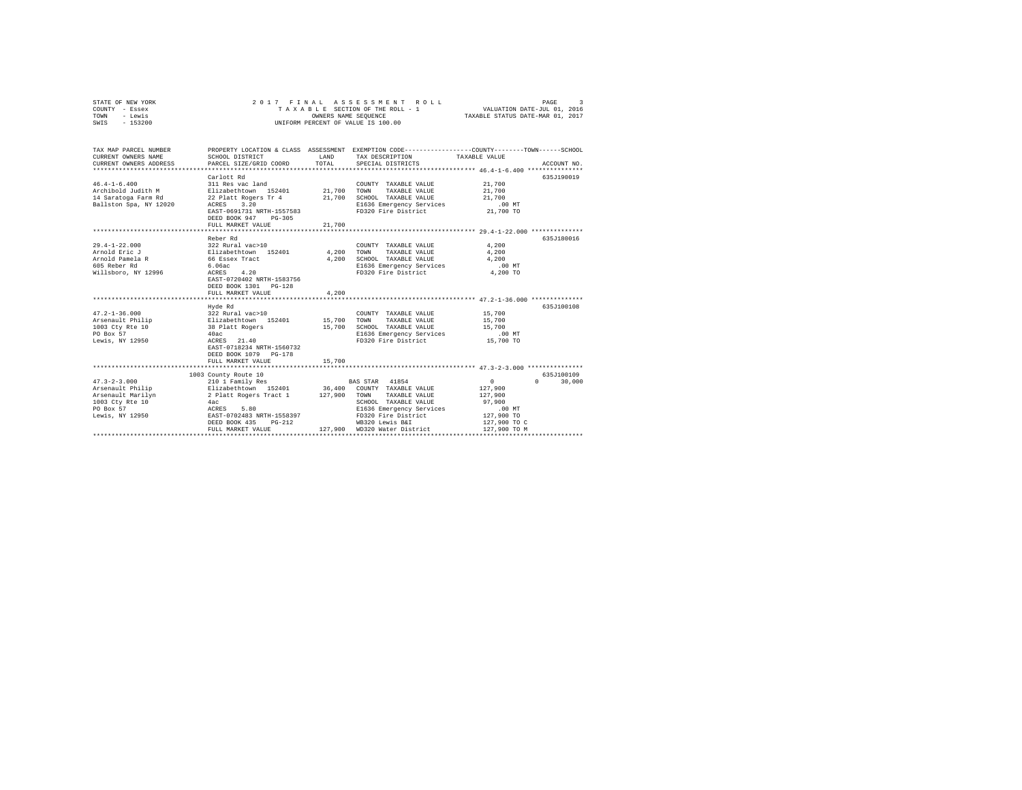| - Lewis<br>TOWN        |                                                | OWNERS NAME SEQUENCE |                                                                                                 | TAXABLE STATUS DATE-MAR 01, 2017 |                                 |
|------------------------|------------------------------------------------|----------------------|-------------------------------------------------------------------------------------------------|----------------------------------|---------------------------------|
| $-153200$<br>SWIS      |                                                |                      | UNIFORM PERCENT OF VALUE IS 100.00                                                              |                                  |                                 |
|                        |                                                |                      |                                                                                                 |                                  |                                 |
|                        |                                                |                      |                                                                                                 |                                  |                                 |
| TAX MAP PARCEL NUMBER  |                                                |                      | PROPERTY LOCATION & CLASS ASSESSMENT EXEMPTION CODE---------------COUNTY-------TOWN------SCHOOL |                                  |                                 |
| CURRENT OWNERS NAME    | SCHOOL DISTRICT                                | LAND                 | TAX DESCRIPTION                                                                                 | TAXABLE VALUE                    |                                 |
| CURRENT OWNERS ADDRESS | PARCEL SIZE/GRID COORD                         | TOTAL                | SPECIAL DISTRICTS                                                                               |                                  | ACCOUNT NO.                     |
|                        |                                                |                      |                                                                                                 |                                  |                                 |
|                        | Carlott Rd                                     |                      |                                                                                                 |                                  | 635J190019                      |
| $46.4 - 1 - 6.400$     | 311 Res vac land                               |                      | COUNTY TAXABLE VALUE                                                                            | 21,700                           |                                 |
| Archibold Judith M     | Elizabethtown 152401                           | 21,700               | TOWN<br>TAXABLE VALUE                                                                           | 21,700                           |                                 |
| 14 Saratoga Farm Rd    | 22 Platt Rogers Tr 4                           | 21,700               | SCHOOL TAXABLE VALUE                                                                            | 21,700                           |                                 |
| Ballston Spa, NY 12020 | ACRES 3.20                                     |                      | E1636 Emergency Services                                                                        | $.00$ MT                         |                                 |
|                        | EAST-0691731 NRTH-1557583                      |                      | FD320 Fire District                                                                             | 21,700 TO                        |                                 |
|                        | DEED BOOK 947 PG-305                           |                      |                                                                                                 |                                  |                                 |
|                        | FULL MARKET VALUE                              | 21,700               |                                                                                                 |                                  |                                 |
|                        |                                                |                      |                                                                                                 |                                  |                                 |
|                        | Reber Rd                                       |                      |                                                                                                 |                                  | 635J180016                      |
| $29.4 - 1 - 22.000$    | 322 Rural vac>10                               |                      | COUNTY TAXABLE VALUE                                                                            | 4.200                            |                                 |
| Arnold Eric J          | Elizabethtown 152401                           | 4,200 TOWN           | TAXABLE VALUE                                                                                   | 4,200                            |                                 |
| Arnold Pamela R        | 66 Essex Tract                                 | 4,200                | SCHOOL TAXABLE VALUE                                                                            | 4.200                            |                                 |
| 605 Reber Rd           | 6.06ac                                         |                      | E1636 Emergency Services                                                                        | .00 MT                           |                                 |
| Willsboro, NY 12996    | ACRES 4.20                                     |                      | FD320 Fire District                                                                             | 4,200 TO                         |                                 |
|                        | EAST-0720402 NRTH-1583756                      |                      |                                                                                                 |                                  |                                 |
|                        | DEED BOOK 1301 PG-128                          |                      |                                                                                                 |                                  |                                 |
|                        | FULL MARKET VALUE                              | 4,200                |                                                                                                 |                                  |                                 |
|                        |                                                |                      |                                                                                                 |                                  |                                 |
|                        | Hyde Rd                                        |                      |                                                                                                 |                                  | 635J100108                      |
| $47.2 - 1 - 36.000$    | 322 Rural vac>10                               |                      | COUNTY TAXABLE VALUE                                                                            | 15,700                           |                                 |
| Arsenault Philip       | Elizabethtown 152401                           | 15,700               | TOWN<br>TAXABLE VALUE                                                                           | 15,700                           |                                 |
| 1003 Cty Rte 10        | 38 Platt Rogers                                | 15,700               | SCHOOL TAXABLE VALUE                                                                            | 15,700                           |                                 |
| PO Box 57              | 40ac                                           |                      | E1636 Emergency Services                                                                        | $.00$ MT                         |                                 |
| Lewis, NY 12950        | ACRES 21.40                                    |                      | FD320 Fire District                                                                             | 15,700 TO                        |                                 |
|                        | EAST-0718234 NRTH-1560732                      |                      |                                                                                                 |                                  |                                 |
|                        | DEED BOOK 1079 PG-178                          |                      |                                                                                                 |                                  |                                 |
|                        | FULL MARKET VALUE                              | 15,700               |                                                                                                 |                                  |                                 |
|                        | 1003 County Route 10                           |                      |                                                                                                 |                                  | 635J100109                      |
| $47.3 - 2 - 3.000$     | 210 1 Family Res                               |                      | BAS STAR 41854                                                                                  | $\mathbf{0}$                     | $\Omega$ and $\Omega$<br>30,000 |
| Arsenault Philip       |                                                |                      | 36,400 COUNTY TAXABLE VALUE                                                                     | 127,900                          |                                 |
| Arsenault Marilyn      | Elizabethtown 152401<br>2 Platt Rogers Tract 1 | 127,900              | TOWN<br>TAXABLE VALUE                                                                           | 127,900                          |                                 |
| 1003 Ctv Rte 10        | 4ac                                            |                      | SCHOOL TAXABLE VALUE                                                                            | 97,900                           |                                 |
| PO Box 57              | ACRES<br>5.80                                  |                      | E1636 Emergency Services                                                                        | $.00$ MT                         |                                 |
| Lewis, NY 12950        | EAST-0702483 NRTH-1558397                      |                      | FD320 Fire District                                                                             | 127,900 TO                       |                                 |
|                        | $PG-212$<br>DEED BOOK 435                      |                      | WB320 Lewis B&I                                                                                 | 127,900 TO C                     |                                 |
|                        | FULL MARKET VALUE                              |                      | 127.900 WD320 Water District                                                                    | 127,900 TO M                     |                                 |
|                        |                                                |                      |                                                                                                 |                                  |                                 |

STATE OF NEW YORK 2 0 1 7 F I N A L A S S E S S M E N T R O L L PAGE 3 COUNTY - Essex T A X A B L E SECTION OF THE ROLL - 1 VALUATION DATE-JUL 01, 2016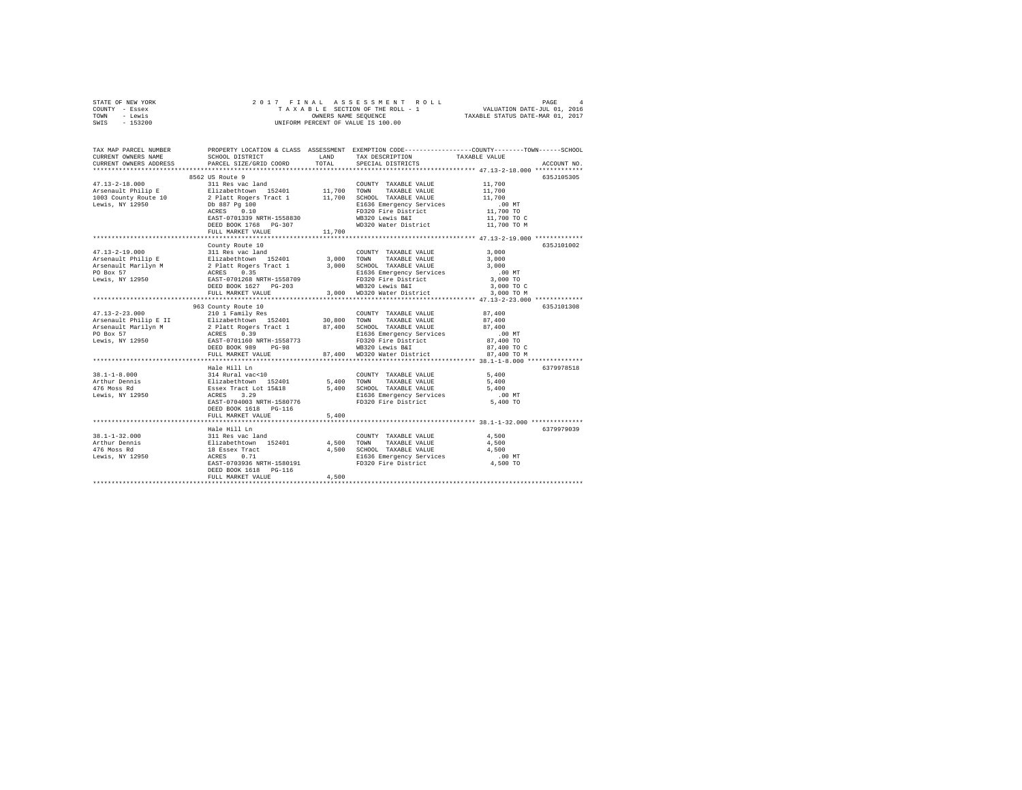| STATE OF NEW YORK | 2017 FINAL ASSESSMENT ROLL         | PAGE<br>4                        |
|-------------------|------------------------------------|----------------------------------|
| COUNTY - Essex    | TAXABLE SECTION OF THE ROLL - 1    | VALUATION DATE-JUL 01, 2016      |
| TOWN<br>- Lewis   | OWNERS NAME SEOUENCE               | TAXABLE STATUS DATE-MAR 01, 2017 |
| $-153200$<br>SWIS | UNIFORM PERCENT OF VALUE IS 100.00 |                                  |

| TAX MAP PARCEL NUMBER<br>CURRENT OWNERS NAME<br>CURRENT OWNERS ADDRESS | SCHOOL DISTRICT<br>PARCEL SIZE/GRID COORD                                              | LAND<br>TOTAL | TAX DESCRIPTION<br>SPECIAL DISTRICTS          | PROPERTY LOCATION & CLASS ASSESSMENT EXEMPTION CODE---------------COUNTY-------TOWN-----SCHOOL<br>TAXABLE VALUE<br>ACCOUNT NO. |
|------------------------------------------------------------------------|----------------------------------------------------------------------------------------|---------------|-----------------------------------------------|--------------------------------------------------------------------------------------------------------------------------------|
|                                                                        |                                                                                        |               |                                               |                                                                                                                                |
|                                                                        | 8562 US Route 9                                                                        |               |                                               | 635J105305                                                                                                                     |
|                                                                        |                                                                                        |               | COUNTY TAXABLE VALUE                          | 11,700                                                                                                                         |
|                                                                        |                                                                                        |               |                                               | 11,700                                                                                                                         |
|                                                                        |                                                                                        |               |                                               | 11,700                                                                                                                         |
|                                                                        |                                                                                        |               | E1636 Emergency Services                      | $.00$ MT                                                                                                                       |
|                                                                        | ACRES 0.10                                                                             |               | FD320 Fire District                           | 11,700 TO                                                                                                                      |
|                                                                        | EAST-0701339 NRTH-1558830                                                              |               |                                               | 11,700 TO C                                                                                                                    |
|                                                                        | DEED BOOK 1768 PG-307                                                                  |               | WB320 Lewis B&I<br>WD320 Water District       | 11,700 TO M                                                                                                                    |
|                                                                        | FULL MARKET VALUE                                                                      | 11,700        |                                               |                                                                                                                                |
|                                                                        |                                                                                        |               |                                               |                                                                                                                                |
|                                                                        | County Route 10                                                                        |               |                                               | 635J101002                                                                                                                     |
| $47.13 - 2 - 19.000$                                                   | 311 Res vac land                                                                       |               | COUNTY TAXABLE VALUE                          | 3,000                                                                                                                          |
|                                                                        |                                                                                        | 3,000 TOWN    | TAXABLE VALUE                                 | 3,000                                                                                                                          |
|                                                                        |                                                                                        | 3,000         | SCHOOL TAXABLE VALUE                          | 3,000                                                                                                                          |
|                                                                        |                                                                                        |               | E1636 Emergency Services                      | $.00$ MT                                                                                                                       |
|                                                                        |                                                                                        |               | FD320 Fire District                           | 3,000 TO                                                                                                                       |
|                                                                        |                                                                                        |               |                                               | 3,000 TO C                                                                                                                     |
|                                                                        | FULL MARKET VALUE                                                                      |               | WB320 Lewis B&I<br>3,000 WD320 Water District | 3,000 TO M                                                                                                                     |
|                                                                        |                                                                                        |               |                                               |                                                                                                                                |
|                                                                        | 963 County Route 10                                                                    |               |                                               | 635J101308                                                                                                                     |
| $47.13 - 2 - 23.000$                                                   | 210 1 Family Res                                                                       |               | COUNTY TAXABLE VALUE                          | 87,400                                                                                                                         |
| Arsenault Philip E II Blizabethtown 152401 30,800 TOWN                 |                                                                                        |               | TAXABLE VALUE                                 | 87,400                                                                                                                         |
| Arsenault Marilyn M                                                    | 2 Platt Rogers Tract 1<br>ACRES 0.39<br>EAST-0701160 NRTH-1558773                      |               | 87,400 SCHOOL TAXABLE VALUE                   | 87,400                                                                                                                         |
| PO Box 57                                                              |                                                                                        |               | E1636 Emergency Services                      | $.00$ MT                                                                                                                       |
| Lewis, NY 12950                                                        |                                                                                        |               | FD320 Fire District                           | 87,400 TO                                                                                                                      |
|                                                                        | DEED BOOK 989<br>$PG-98$                                                               |               | WB320 Lewis B&I                               | 87,400 TO C                                                                                                                    |
|                                                                        | FULL MARKET VALUE                                                                      | 87,400        | WD320 Water District                          | 87,400 TO M                                                                                                                    |
|                                                                        |                                                                                        |               |                                               |                                                                                                                                |
|                                                                        | Hale Hill Ln                                                                           |               |                                               | 6379978518                                                                                                                     |
| $38.1 - 1 - 8.000$                                                     |                                                                                        |               | COUNTY TAXABLE VALUE                          | 5,400                                                                                                                          |
| Arthur Dennis                                                          |                                                                                        |               | 5,400 TOWN TAXABLE VALUE                      | 5,400                                                                                                                          |
| 476 Moss Rd                                                            | 314 Rural vac<10<br>Elizabethtown 152401<br>Essex Tract Lot 15&18<br>ACRES 3.29        |               | 5,400 SCHOOL TAXABLE VALUE                    | 5,400                                                                                                                          |
| Lewis, NY 12950                                                        |                                                                                        |               | E1636 Emergency Services                      | $.00$ MT                                                                                                                       |
|                                                                        | EAST-0704003 NRTH-1580776                                                              |               | FD320 Fire District                           | 5,400 TO                                                                                                                       |
|                                                                        | DEED BOOK 1618 PG-116                                                                  |               |                                               |                                                                                                                                |
|                                                                        | FULL MARKET VALUE                                                                      | 5,400         |                                               |                                                                                                                                |
|                                                                        |                                                                                        |               |                                               | 6379979039                                                                                                                     |
| $38.1 - 1 - 32.000$                                                    |                                                                                        |               | COUNTY TAXABLE VALUE                          | 4,500                                                                                                                          |
| Arthur Dennis                                                          |                                                                                        | 4,500         | TOWN<br>TAXABLE VALUE                         | 4,500                                                                                                                          |
| 476 Moss Rd                                                            | Hale Hill<br>311 Ras vac land<br>Elizabethcown 152401<br>18 Essex Tract<br>****** 0.71 | 4,500         | SCHOOL TAXABLE VALUE                          | 4,500                                                                                                                          |
| Lewis, NY 12950                                                        |                                                                                        |               | E1636 Emergency Services                      | $.00$ MT                                                                                                                       |
|                                                                        | EAST-0703936 NRTH-1580191                                                              |               | FD320 Fire District                           | 4,500 TO                                                                                                                       |
|                                                                        | DEED BOOK 1618    PG-116                                                               |               |                                               |                                                                                                                                |
|                                                                        | FULL MARKET VALUE                                                                      | 4,500         |                                               |                                                                                                                                |
|                                                                        |                                                                                        |               |                                               |                                                                                                                                |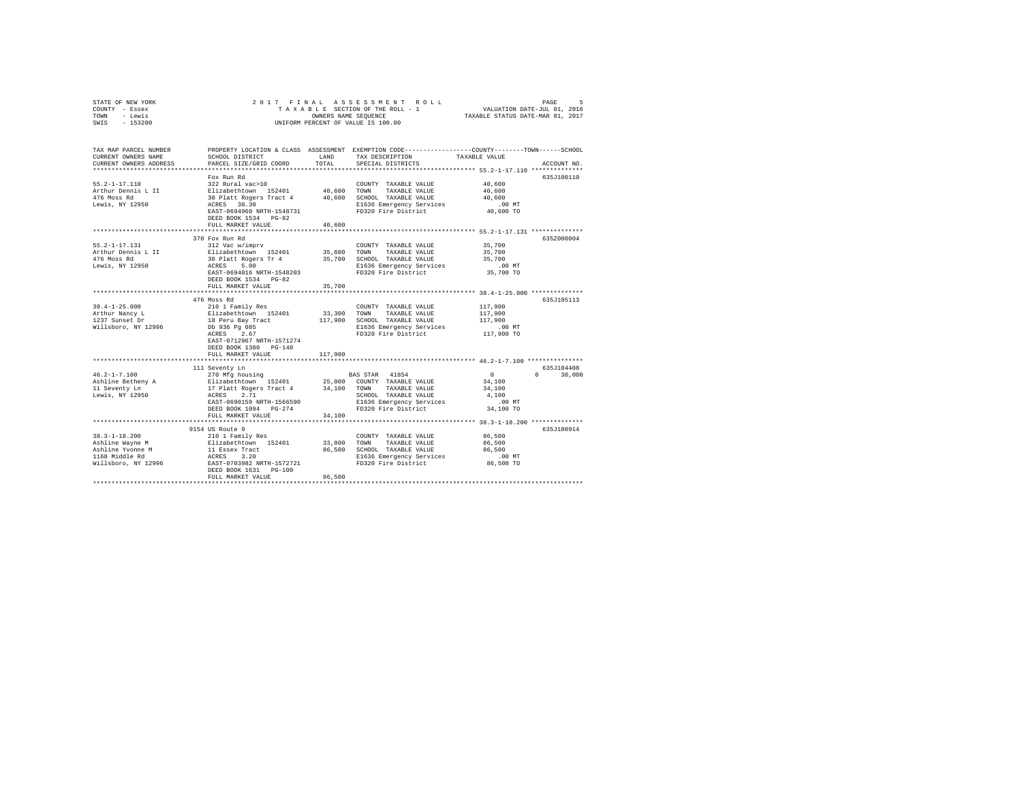| STATE OF NEW YORK<br>COUNTY - Essex<br>- Lewis<br>TOWN | 2017 FINAL<br>ASSESSMENT<br>ROLL<br>PAGE<br>VALUATION DATE-JUL 01, 2016<br>TAXABLE SECTION OF THE ROLL - 1<br>TAXABLE STATUS DATE-MAR 01, 2017<br>OWNERS NAME SEQUENCE |                   |                                               |                                                                                                                 |
|--------------------------------------------------------|------------------------------------------------------------------------------------------------------------------------------------------------------------------------|-------------------|-----------------------------------------------|-----------------------------------------------------------------------------------------------------------------|
| SWIS<br>$-153200$                                      |                                                                                                                                                                        |                   | UNIFORM PERCENT OF VALUE IS 100.00            |                                                                                                                 |
| TAX MAP PARCEL NUMBER<br>CURRENT OWNERS NAME           | SCHOOL DISTRICT                                                                                                                                                        | LAND              | TAX DESCRIPTION                               | PROPERTY LOCATION & CLASS ASSESSMENT EXEMPTION CODE---------------COUNTY-------TOWN-----SCHOOL<br>TAXABLE VALUE |
| CURRENT OWNERS ADDRESS                                 | PARCEL SIZE/GRID COORD                                                                                                                                                 | TOTAL             | SPECIAL DISTRICTS                             | ACCOUNT NO.                                                                                                     |
|                                                        |                                                                                                                                                                        |                   |                                               |                                                                                                                 |
|                                                        | Fox Run Rd                                                                                                                                                             |                   |                                               | 635J100110                                                                                                      |
| $55.2 - 1 - 17.110$<br>Arthur Dennis L II              | 322 Rural vac>10<br>Elizabethtown 152401                                                                                                                               | 40,600            | COUNTY TAXABLE VALUE<br>TOWN<br>TAXABLE VALUE | 40,600<br>40,600                                                                                                |
| 476 Moss Rd                                            | 30 Platt Rogers Tract 4                                                                                                                                                | 40,600            | SCHOOL TAXABLE VALUE                          | 40,600                                                                                                          |
| Lewis, NY 12950                                        | ACRES 38.30                                                                                                                                                            |                   | E1636 Emergency Services                      | .00MT                                                                                                           |
|                                                        | EAST-0694960 NRTH-1548731                                                                                                                                              |                   | FD320 Fire District                           | 40,600 TO                                                                                                       |
|                                                        | DEED BOOK 1534 PG-82                                                                                                                                                   |                   |                                               |                                                                                                                 |
|                                                        | FULL MARKET VALUE                                                                                                                                                      | 40,600            |                                               |                                                                                                                 |
|                                                        | **************************                                                                                                                                             |                   |                                               | ********************** 55.2-1-17.131 **************                                                             |
|                                                        | 370 Fox Run Rd                                                                                                                                                         |                   |                                               | 635Z000004                                                                                                      |
| $55.2 - 1 - 17.131$<br>Arthur Dennis L II              | 312 Vac w/imprv                                                                                                                                                        | 35,600            | COUNTY TAXABLE VALUE<br>TOWN<br>TAXABLE VALUE | 35,700                                                                                                          |
| 476 Moss Rd                                            | Elizabethtown 152401<br>30 Platt Rogers Tr 4                                                                                                                           | 35,700            | SCHOOL TAXABLE VALUE                          | 35,700<br>35,700                                                                                                |
| Lewis, NY 12950                                        | ACRES<br>5.00                                                                                                                                                          |                   | E1636 Emergency Services                      | $.00$ MT                                                                                                        |
|                                                        | EAST-0694016 NRTH-1548203                                                                                                                                              |                   | FD320 Fire District                           | 35,700 TO                                                                                                       |
|                                                        | DEED BOOK 1534 PG-82                                                                                                                                                   |                   |                                               |                                                                                                                 |
|                                                        | FULL MARKET VALUE                                                                                                                                                      | 35,700            |                                               |                                                                                                                 |
|                                                        |                                                                                                                                                                        | ***********       |                                               |                                                                                                                 |
|                                                        | 476 Moss Rd                                                                                                                                                            |                   |                                               | 635J105113                                                                                                      |
| $38.4 - 1 - 25.000$                                    | 210 1 Family Res                                                                                                                                                       |                   | COUNTY TAXABLE VALUE                          | 117,900                                                                                                         |
| Arthur Nancy L<br>1237 Sunset Dr                       | Elizabethtown 152401<br>18 Peru Bay Tract                                                                                                                              | 33,300<br>117,900 | TOWN<br>TAXABLE VALUE<br>SCHOOL TAXABLE VALUE | 117,900<br>117,900                                                                                              |
| Willsboro, NY 12996                                    | Db 936 Pg 085                                                                                                                                                          |                   | E1636 Emergency Services                      | $.00$ MT                                                                                                        |
|                                                        | ACRES<br>2.67                                                                                                                                                          |                   | FD320 Fire District                           | 117,900 TO                                                                                                      |
|                                                        | EAST-0712967 NRTH-1571274                                                                                                                                              |                   |                                               |                                                                                                                 |
|                                                        | DEED BOOK 1380 PG-140                                                                                                                                                  |                   |                                               |                                                                                                                 |
|                                                        | FULL MARKET VALUE                                                                                                                                                      | 117,900           |                                               |                                                                                                                 |
|                                                        |                                                                                                                                                                        |                   |                                               |                                                                                                                 |
|                                                        | 111 Seventy Ln                                                                                                                                                         |                   |                                               | 635J104408<br>$\Omega$<br>$\Omega$                                                                              |
| $46.2 - 1 - 7.100$<br>Ashline Betheny A                | 270 Mfg housing<br>Elizabethtown 152401                                                                                                                                | 25,000            | 41854<br>BAS STAR<br>COUNTY TAXABLE VALUE     | 30,000<br>34,100                                                                                                |
| 11 Seventy Ln                                          | 17 Platt Rogers Tract 4                                                                                                                                                | 34,100            | TAXABLE VALUE<br>TOWN                         | 34,100                                                                                                          |
| Lewis, NY 12950                                        | 2.71<br>ACRES                                                                                                                                                          |                   | SCHOOL TAXABLE VALUE                          | 4,100                                                                                                           |
|                                                        | EAST-0690159 NRTH-1566590                                                                                                                                              |                   | E1636 Emergency Services                      | $.00$ MT                                                                                                        |
|                                                        | DEED BOOK 1094 PG-274                                                                                                                                                  |                   | FD320 Fire District                           | 34,100 TO                                                                                                       |
|                                                        | FULL MARKET VALUE                                                                                                                                                      | 34,100            |                                               |                                                                                                                 |
|                                                        |                                                                                                                                                                        |                   |                                               | *********************************** 38.3-1-18.200 **************                                                |
|                                                        | 9154 US Route 9                                                                                                                                                        |                   |                                               | 635J100914                                                                                                      |
| $38.3 - 1 - 18.200$                                    | 210 1 Family Res                                                                                                                                                       |                   | COUNTY TAXABLE VALUE                          | 86,500                                                                                                          |
| Ashline Wayne M<br>Ashline Yvonne M                    | Elizabethtown 152401<br>11 Essex Tract                                                                                                                                 | 33,800<br>86,500  | TOWN<br>TAXABLE VALUE<br>SCHOOL TAXABLE VALUE | 86,500<br>86,500                                                                                                |
| 1168 Middle Rd                                         | ACRES 3.20                                                                                                                                                             |                   | E1636 Emergency Services                      | $.00$ MT                                                                                                        |
| Willsboro, NY 12996                                    | EAST-0703982 NRTH-1572721                                                                                                                                              |                   | FD320 Fire District                           | 86,500 TO                                                                                                       |
|                                                        | DEED BOOK 1631 PG-100                                                                                                                                                  |                   |                                               |                                                                                                                 |
|                                                        | FULL MARKET VALUE                                                                                                                                                      | 86,500            |                                               |                                                                                                                 |
|                                                        |                                                                                                                                                                        |                   |                                               |                                                                                                                 |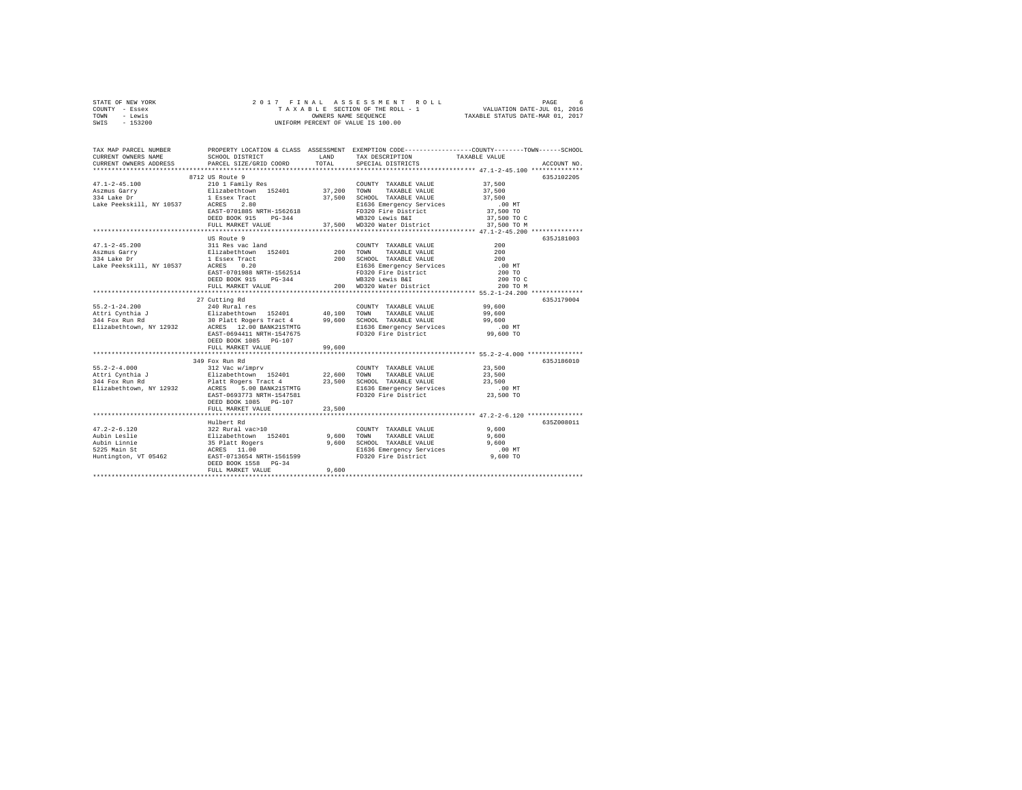| STATE OF NEW YORK | 2017 FINAL ASSESSMENT ROLL         | б.<br>PAGE                       |
|-------------------|------------------------------------|----------------------------------|
| COUNTY - Essex    | TAXABLE SECTION OF THE ROLL - 1    | VALUATION DATE-JUL 01, 2016      |
| TOWN<br>- Lewis   | OWNERS NAME SEOUENCE               | TAXABLE STATUS DATE-MAR 01, 2017 |
| - 153200<br>SWIS  | UNIFORM PERCENT OF VALUE IS 100.00 |                                  |

| TAX MAP PARCEL NUMBER<br>CURRENT OWNERS NAME<br>CURRENT OWNERS ADDRESS                                     | SCHOOL DISTRICT<br>PARCEL SIZE/GRID COORD                                                                                                                                                                                          | LAND<br>TOTAL | PROPERTY LOCATION & CLASS ASSESSMENT EXEMPTION CODE---------------COUNTY-------TOWN------SCHOOL<br>TAX DESCRIPTION<br>SPECIAL DISTRICTS                                          | TAXABLE VALUE                                                         | ACCOUNT NO. |
|------------------------------------------------------------------------------------------------------------|------------------------------------------------------------------------------------------------------------------------------------------------------------------------------------------------------------------------------------|---------------|----------------------------------------------------------------------------------------------------------------------------------------------------------------------------------|-----------------------------------------------------------------------|-------------|
|                                                                                                            | 8712 US Route 9<br>EAST-0701885 NRTH-1562618<br>DEED BOOK 915<br>$PG-344$<br>FULL MARKET VALUE                                                                                                                                     |               | COUNTY TAXABLE VALUE<br>TAXABLE VALUE 37,500<br>37,500 SCHOOL TAXABLE VALUE<br>E1636 Emergency Services<br>FD320 Fire District<br>WB320 Lewis B&I<br>37,500 WD320 Water District | 37,500<br>37,500<br>.00 MT<br>37,500 TO<br>37,500 TO C<br>37,500 TO M | 635J102205  |
| $47.1 - 2 - 45.200$<br>Aszmus Garry<br>334 Lake Dr<br>Lake Peekskill, NY 10537 ACRES                       | US Route 9<br>311 Res vac land<br>Elizabethtown 152401<br>1 Essex Tract                                                                                                                                                            |               | COUNTY TAXABLE VALUE 200                                                                                                                                                         | 200 TO C<br>200 TO M                                                  | 635J181003  |
|                                                                                                            | FULL MARKET VALUE                                                                                                                                                                                                                  | 99.600        |                                                                                                                                                                                  |                                                                       | 635J179004  |
|                                                                                                            | 349 Fox Run Rd<br>EAST-0693773 NRTH-1547581<br>DEED BOOK 1085 PG-107<br>FULL MARKET VALUE                                                                                                                                          | 23,500        | FD320 Fire District                                                                                                                                                              | 23,500 TO                                                             | 635J186010  |
| $47.2 - 2 - 6.120$<br>Aubin Leslie<br>Aubin Leslie<br>Aubin Linnie<br>5225 Main St<br>Huntington, VT 05462 | Hulbert Rd<br>322 Rural vac>10<br>Elizabethcown 152401 9,600 TOWN<br>35 Platt Rogers 9,600 SCHOO<br>ACRES 11.00<br>EAST-0713654 NRTH-1561599 E1636<br>EAST-0713654 NRTH-1561599 E1636<br>DEED BOOK 1558 PG-34<br>FULL MARKET VALUE | 9,600         | COUNTY TAXABLE VALUE                                                                                                                                                             | 9,600                                                                 | 635Z008011  |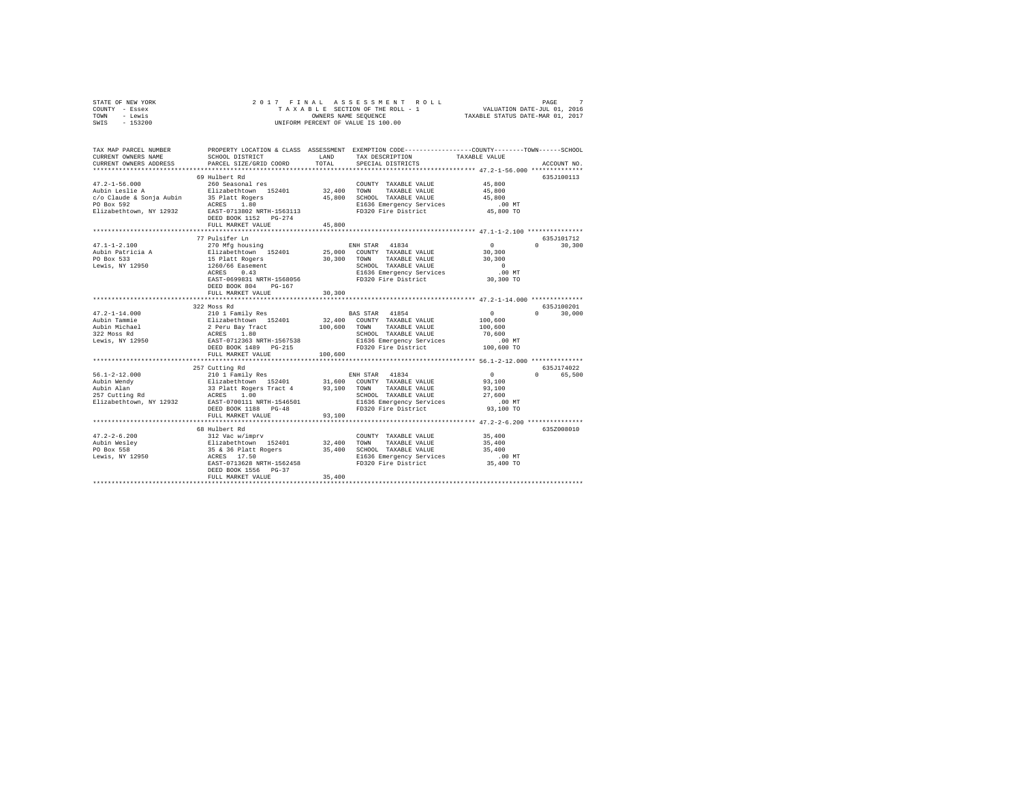| STATE OF NEW YORK | 2017 FINAL ASSESSMENT ROLL         | PAGE                             |
|-------------------|------------------------------------|----------------------------------|
| COUNTY - Essex    | TAXABLE SECTION OF THE ROLL - 1    | VALUATION DATE-JUL 01, 2016      |
| TOWN<br>- Lewis   | OWNERS NAME SEOUENCE               | TAXABLE STATUS DATE-MAR 01, 2017 |
| $-153200$<br>SWIS | UNIFORM PERCENT OF VALUE IS 100.00 |                                  |

| TAX MAP PARCEL NUMBER<br>CURRENT OWNERS NAME<br>CURRENT OWNERS ADDRESS                                     | SCHOOL DISTRICT<br>PARCEL SIZE/GRID COORD                                                                                                                                                                          | <b>T.AND</b><br>TOTAL          | PROPERTY LOCATION & CLASS ASSESSMENT EXEMPTION CODE---------------COUNTY-------TOWN-----SCHOOL<br>TAX DESCRIPTION<br>SPECIAL DISTRICTS            | TAXABLE VALUE                                                                                                  | ACCOUNT NO.                       |
|------------------------------------------------------------------------------------------------------------|--------------------------------------------------------------------------------------------------------------------------------------------------------------------------------------------------------------------|--------------------------------|---------------------------------------------------------------------------------------------------------------------------------------------------|----------------------------------------------------------------------------------------------------------------|-----------------------------------|
| $47.2 - 1 - 56.000$<br>Aubin Leslie A<br>c/o Claude & Sonja Aubin<br>PO Box 592<br>Elizabethtown, NY 12932 | 69 Hulbert Rd<br>260 Seasonal res<br>Elizabethtown 152401<br>35 Platt Rogers<br>ACRES<br>1.80<br>EAST-0713802 NRTH-1563113<br>DEED BOOK 1152 PG-274<br>FULL MARKET VALUE<br>.                                      | 32,400<br>45,800<br>45,800<br> | COUNTY TAXABLE VALUE<br>TOWN<br>TAXABLE VALUE<br>SCHOOL TAXABLE VALUE<br>E1636 Emergency Services<br>FD320 Fire District                          | 45,800<br>45,800<br>45,800<br>$.00$ MT<br>45,800 TO<br>*************** 47.1-1-2.100 **********                 | 635J100113                        |
| $47.1 - 1 - 2.100$<br>Aubin Patricia A<br>PO Box 533<br>Lewis, NY 12950                                    | 77 Pulsifer Ln<br>270 Mfg housing<br>Elizabethtown 152401<br>15 Platt Rogers<br>1260/66 Easement<br>ACRES<br>0.43<br>EAST-0699831 NRTH-1568056<br>DEED BOOK 804<br>$PG-167$<br>FULL MARKET VALUE                   | 25,000<br>30,300<br>30,300     | ENH STAR 41834<br>COUNTY TAXABLE VALUE<br>TAXABLE VALUE<br>TOWN<br>SCHOOL TAXABLE VALUE<br>E1636 Emergency Services<br>FD320 Fire District        | 0<br>30,300<br>30,300<br>$\Omega$<br>.00 MT<br>30,300 TO                                                       | 635.7101712<br>$\Omega$<br>30,300 |
| $47.2 - 1 - 14.000$<br>Aubin Tammie<br>Aubin Michael<br>322 Moss Rd<br>Lewis, NY 12950                     | 322 Moss Rd<br>210 1 Family Res<br>Elizabethtown 152401<br>2 Peru Bay Tract<br>ACRES 1.80<br>EAST-0712363 NRTH-1567538<br>DEED BOOK 1489 PG-215<br>FULL MARKET VALUE                                               | 32,400<br>100,600<br>100,600   | BAS STAR 41854<br>COUNTY TAXABLE VALUE<br>TAXABLE VALUE<br>TOWN<br>SCHOOL TAXABLE VALUE<br>E1636 Emergency Services<br>FD320 Fire District        | $\circ$<br>100,600<br>100,600<br>70,600<br>.00 MT<br>100,600 TO                                                | 635J100201<br>30,000<br>$\cap$    |
| $56.1 - 2 - 12.000$<br>Aubin Wendy<br>Aubin Alan<br>257 Cutting Rd<br>Elizabethtown, NY 12932              | ***********************<br>257 Cutting Rd<br>210 1 Family Res<br>Elizabethtown 152401<br>33 Platt Rogers Tract 4 93,100<br>ACRES<br>1.00<br>EAST-0700111 NRTH-1546501<br>DEED BOOK 1188 PG-48<br>FULL MARKET VALUE | 93,100                         | ENH STAR 41834<br>31,600 COUNTY TAXABLE VALUE<br>TOWN<br>TAXABLE VALUE<br>SCHOOL TAXABLE VALUE<br>E1636 Emergency Services<br>FD320 Fire District | $\sim$ 0<br>93,100<br>93,100<br>27,600<br>$.00$ MT<br>93,100 TO<br>*************** 47.2-2-6.200 ************** | 635J174022<br>$\Omega$<br>65,500  |
| $47.2 - 2 - 6.200$<br>Aubin Wesley<br>PO Box 558<br>Lewis, NY 12950                                        | 68 Hulbert Rd<br>312 Vac w/imprv<br>slizabethtown 152401<br>35 & 36 Platt Rogers<br>ACRES 17.50<br>EAST-0713628 NRTH-1562458<br>DEED BOOK 1556 PG-37<br>FULL MARKET VALUE                                          | 32,400<br>35,400<br>35,400     | COUNTY TAXABLE VALUE<br>TOWN<br>TAXABLE VALUE<br>SCHOOL TAXABLE VALUE<br>E1636 Emergency Services<br>FD320 Fire District                          | 35,400<br>35,400<br>35,400<br>$.00$ MT<br>35,400 TO                                                            | 635Z008010                        |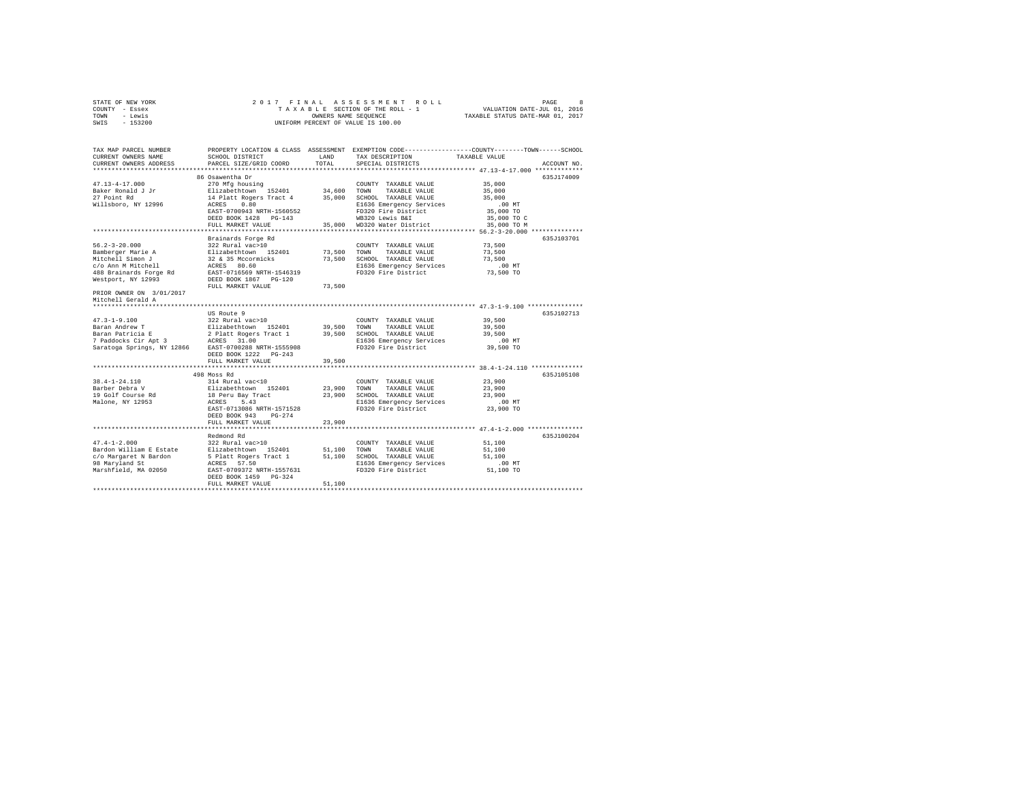| STATE OF NEW YORK | 2017 FINAL ASSESSMENT ROLL         | PAGE                             |
|-------------------|------------------------------------|----------------------------------|
| COUNTY - Essex    | TAXABLE SECTION OF THE ROLL - 1    | VALUATION DATE-JUL 01, 2016      |
| TOWN<br>- Lewis   | OWNERS NAME SEOUENCE               | TAXABLE STATUS DATE-MAR 01, 2017 |
| - 153200<br>SWIS  | UNIFORM PERCENT OF VALUE IS 100.00 |                                  |

| TAX MAP PARCEL NUMBER<br>CURRENT OWNERS NAME         | SCHOOL DISTRICT                                     | LAND                  | TAX DESCRIPTION                                 | PROPERTY LOCATION & CLASS ASSESSMENT EXEMPTION CODE----------------COUNTY-------TOWN-----SCHOOL<br>TAXABLE VALUE |
|------------------------------------------------------|-----------------------------------------------------|-----------------------|-------------------------------------------------|------------------------------------------------------------------------------------------------------------------|
| CURRENT OWNERS ADDRESS<br>**********************     | PARCEL SIZE/GRID COORD                              | TOTAL                 | SPECIAL DISTRICTS                               | ACCOUNT NO.                                                                                                      |
|                                                      | 86 Osawentha Dr                                     |                       |                                                 | 635.7174009                                                                                                      |
| $47.13 - 4 - 17.000$                                 | 270 Mfg housing                                     |                       | COUNTY TAXABLE VALUE                            | 35,000                                                                                                           |
| Baker Ronald J Jr                                    | Elizabethtown 152401                                | 34,600 TOWN           | TAXABLE VALUE                                   | 35,000                                                                                                           |
| 27 Point Rd                                          | 14 Platt Rogers Tract 4 35,000 SCHOOL TAXABLE VALUE |                       |                                                 | 35,000                                                                                                           |
| Willsboro, NY 12996                                  | ACRES<br>0.80                                       |                       | E1636 Emergency Services                        | $.00$ MT                                                                                                         |
|                                                      | EAST-0700943 NRTH-1560552                           |                       | FD320 Fire District                             | 35,000 TO                                                                                                        |
|                                                      | DEED BOOK 1428 PG-143                               |                       | WB320 Lewis B&I                                 | 35,000 TO C                                                                                                      |
|                                                      | FULL MARKET VALUE                                   |                       | 35,000 WD320 Water District                     | 35,000 TO M                                                                                                      |
|                                                      | Brainards Forge Rd                                  |                       |                                                 | ******************************** 56.2-3-20.000 *************<br>635J103701                                       |
| $56.2 - 3 - 20.000$                                  | 322 Rural vac>10                                    |                       | COUNTY TAXABLE VALUE                            | 73,500                                                                                                           |
| Bamberger Marie A                                    | Elizabethtown 152401                                | 73,500                | TOWN<br>TAXABLE VALUE                           | 73,500                                                                                                           |
| Mitchell Simon J                                     | 32 & 35 Mccormicks                                  | 73,500                | SCHOOL TAXABLE VALUE                            | 73,500                                                                                                           |
| c/o Ann M Mitchell                                   | ACRES 80.60                                         |                       |                                                 | .00 MT                                                                                                           |
| 488 Brainards Forge Rd                               | EAST-0716569 NRTH-1546319                           |                       | E1636 Emergency Services<br>FD320 Fire District | 73,500 TO                                                                                                        |
| Westport, NY 12993                                   | DEED BOOK 1867 PG-120                               |                       |                                                 |                                                                                                                  |
|                                                      | FULL MARKET VALUE                                   | 73,500                |                                                 |                                                                                                                  |
| PRIOR OWNER ON 3/01/2017                             |                                                     |                       |                                                 |                                                                                                                  |
| Mitchell Gerald A                                    |                                                     |                       |                                                 |                                                                                                                  |
|                                                      |                                                     |                       |                                                 |                                                                                                                  |
|                                                      | US Route 9                                          |                       |                                                 | 635J102713                                                                                                       |
| $47.3 - 1 - 9.100$                                   | 322 Rural vac>10                                    |                       | COUNTY TAXABLE VALUE                            | 39,500                                                                                                           |
| Baran Andrew T                                       | Elizabethtown 152401                                | 39,500 TOWN           | TAXABLE VALUE                                   | 39,500                                                                                                           |
| Baran Patricia E                                     |                                                     | 39,500                | SCHOOL TAXABLE VALUE                            | 39,500                                                                                                           |
|                                                      |                                                     |                       | E1636 Emergency Services                        | .00 MT                                                                                                           |
| Saratoga Springs, NY 12866 EAST-0700288 NRTH-1555908 |                                                     |                       | FD320 Fire District                             | 39,500 TO                                                                                                        |
|                                                      | DEED BOOK 1222 PG-243<br>FULL MARKET VALUE          | 39,500                |                                                 |                                                                                                                  |
|                                                      |                                                     |                       |                                                 |                                                                                                                  |
|                                                      | 498 Moss Rd                                         |                       |                                                 | 635J105108                                                                                                       |
| $38.4 - 1 - 24.110$                                  | 314 Rural vac<10                                    |                       | COUNTY TAXABLE VALUE                            | 23,900                                                                                                           |
| Barber Debra V                                       |                                                     | 23,900                | TOWN<br>TAXABLE VALUE                           | 23,900                                                                                                           |
| 19 Golf Course Rd                                    | Elizabethtown 152401<br>18 Peru Bay Tract           | 23,900                | SCHOOL TAXABLE VALUE                            | 23,900                                                                                                           |
| Malone, NY 12953                                     | ACRES<br>5.43                                       |                       | E1636 Emergency Services                        | .00 MT                                                                                                           |
|                                                      | EAST-0713086 NRTH-1571528                           |                       | FD320 Fire District                             | 23,900 TO                                                                                                        |
|                                                      | DEED BOOK 943<br>$PG-274$                           |                       |                                                 |                                                                                                                  |
|                                                      | FULL MARKET VALUE                                   | 23,900                |                                                 |                                                                                                                  |
|                                                      |                                                     |                       |                                                 |                                                                                                                  |
|                                                      | Redmond Rd                                          |                       |                                                 | 635J100204                                                                                                       |
| $47.4 - 1 - 2.000$                                   | 322 Rural vac>10                                    |                       | COUNTY TAXABLE VALUE                            | 51,100                                                                                                           |
| Bardon William E Estate<br>c/o Margaret N Bardon     | Elizabethtown 152401<br>5 Platt Rogers Tract 1      | 51,100 TOWN<br>51,100 | TAXABLE VALUE<br>SCHOOL TAXABLE VALUE           | 51,100<br>51,100                                                                                                 |
| 98 Maryland St                                       | ACRES 57.50                                         |                       | E1636 Emergency Services                        | $.00$ MT                                                                                                         |
| Marshfield, MA 02050                                 | EAST-0709372 NRTH-1557631                           |                       | FD320 Fire District                             | 51,100 TO                                                                                                        |
|                                                      | DEED BOOK 1459 PG-324                               |                       |                                                 |                                                                                                                  |
|                                                      | FULL MARKET VALUE                                   | 51,100                |                                                 |                                                                                                                  |
|                                                      |                                                     |                       |                                                 |                                                                                                                  |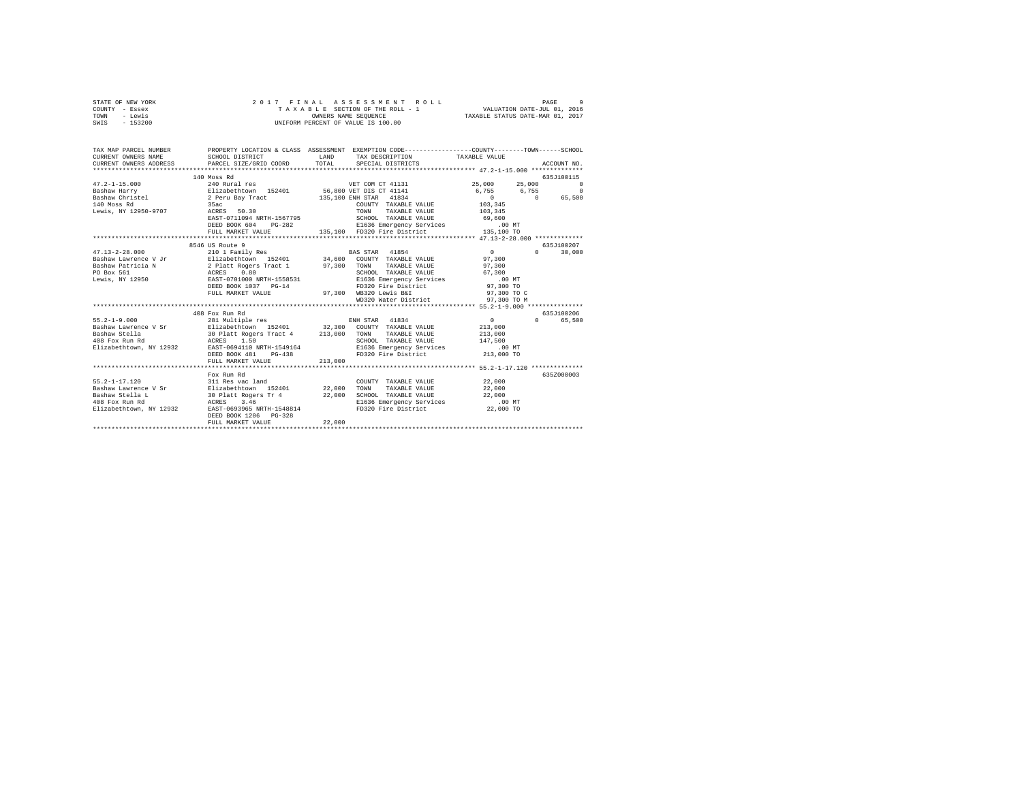| STATE OF NEW YORK | 2017 FINAL ASSESSMENT ROLL         | -9<br>PAGE                       |
|-------------------|------------------------------------|----------------------------------|
| COUNTY - Essex    | TAXABLE SECTION OF THE ROLL - 1    | VALUATION DATE-JUL 01, 2016      |
| TOWN<br>- Lewis   | OWNERS NAME SEOUENCE               | TAXABLE STATUS DATE-MAR 01, 2017 |
| - 153200<br>SWIS  | UNIFORM PERCENT OF VALUE IS 100.00 |                                  |
|                   |                                    |                                  |

| TAX MAP PARCEL NUMBER | PROPERTY LOCATION & CLASS ASSESSMENT EXEMPTION CODE---------------COUNTY-------TOWN------SCHOOL                                                                                                                                                                                                  | LAND    | TAX DESCRIPTION TAXABLE VALUE<br>TOTAL SPECIAL DISTRICTS                                                               |                                                                   | ACCOUNT NO.                               |
|-----------------------|--------------------------------------------------------------------------------------------------------------------------------------------------------------------------------------------------------------------------------------------------------------------------------------------------|---------|------------------------------------------------------------------------------------------------------------------------|-------------------------------------------------------------------|-------------------------------------------|
|                       | 140 Moss Rd<br>$\begin{tabular}{lcccccc} 47.2-1-15.000 & 240~Rural res & & & & & & & & 55.000 & 25.000 & 25.000 & 25.000 & 25.000 & 25.000 & 25.000 & 25.000 & 25.000 & 25.000 & 25.000 & 25.000 & 25.000 & 25.000 & 25.000 & 25.000 & 25.000 & 25.000 & 25.000 & 25.000 & 25.000 & 25.000 & 25$ |         |                                                                                                                        |                                                                   | 635J100115                                |
|                       | ERST-0711094 NRTH-1567795<br>ERST-0711094 NRTH-1567795<br>ERED BOOK 604 PG-282<br>FULL MARKET VALUE ANGELE CHARGE PRESS RESPENSE PRESS RESPENSE ON THE STATE OF THE MELTIC CONTRAINED FOR PRINT<br>FULL MARKET VALUE ANGELE 135,100 FO                                                           |         |                                                                                                                        |                                                                   |                                           |
|                       | 8546 US Route 9<br>DEED BOOK 1037 PG-14<br>FULL MARKET VALUE                                                                                                                                                                                                                                     |         | SCHOOL TAXABLE VALUE 67,300<br>E1636 Emergency Services .00 MT<br>$5-14$ FD320 Fire District<br>97,300 WB320 Lewis B&I | $0 \qquad \qquad$<br>97,300<br>97,300<br>97,300 TO<br>97,300 TO C | 635J100207<br>$0 \qquad \qquad$<br>30,000 |
|                       |                                                                                                                                                                                                                                                                                                  |         | WD320 Water District 97,300 TO M                                                                                       |                                                                   |                                           |
|                       | 408 Fox Run Rd<br>IRTH-1549164<br>PG-438<br>DEED BOOK 481<br>FULL MARKET VALUE                                                                                                                                                                                                                   | 213,000 | TAXABLE VALUE 213,000<br>E1636 Emergency Services .00 MT<br>FD320 Fire District 213,000 TO                             | $\sim$ 0<br>213,000<br>147,500                                    | 635J100206<br>$\Omega$<br>65,500          |
|                       | Fox Run Rd<br>DEED BOOK 1206 PG-328<br>FULL MARKET VALUE                                                                                                                                                                                                                                         | 22,000  | SCHOOL TAXABLE VALUE 22,000<br>E1636 Emergency Services .00 MT<br>FD320 Fire District 22,000 TO                        | 22,000<br>22,000                                                  | 635Z000003                                |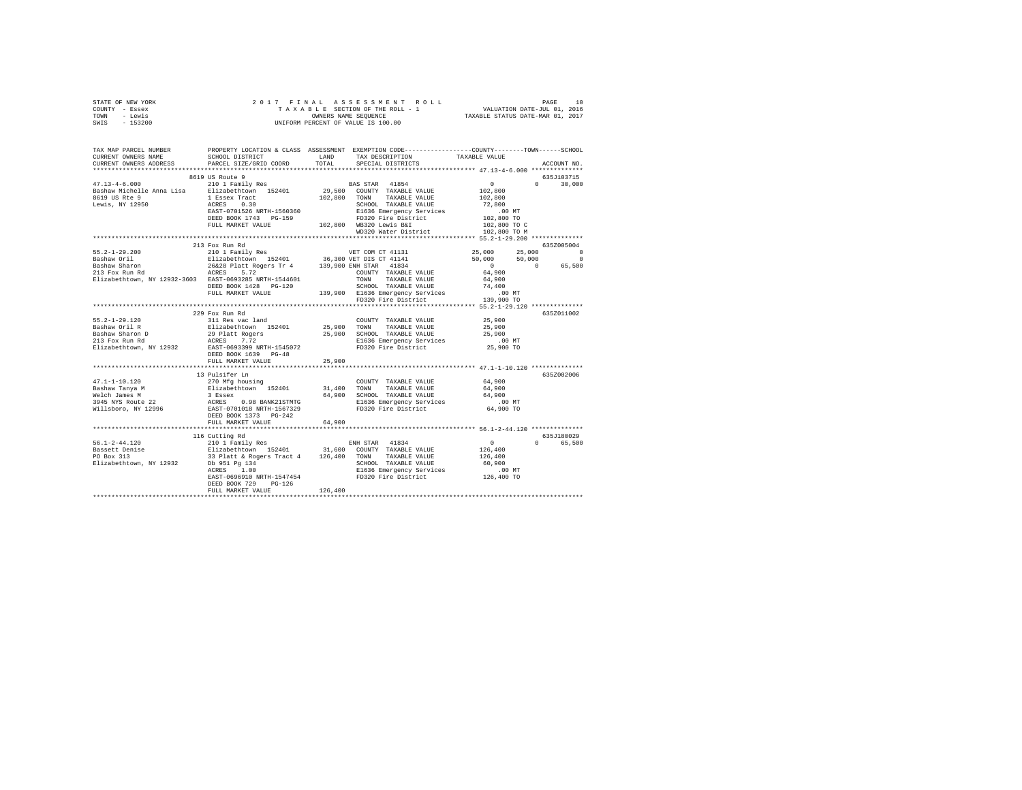| STATE OF NEW YORK                                                                                                                                                                                                                                                                                                                                                   |                      |         |                      |        |               |  |  |  |
|---------------------------------------------------------------------------------------------------------------------------------------------------------------------------------------------------------------------------------------------------------------------------------------------------------------------------------------------------------------------|----------------------|---------|----------------------|--------|---------------|--|--|--|
| COUNTY - Essex                                                                                                                                                                                                                                                                                                                                                      |                      |         |                      |        |               |  |  |  |
| TOWN - Lewis                                                                                                                                                                                                                                                                                                                                                        |                      |         |                      |        |               |  |  |  |
| SWIS - 153200                                                                                                                                                                                                                                                                                                                                                       |                      |         |                      |        |               |  |  |  |
|                                                                                                                                                                                                                                                                                                                                                                     |                      |         |                      |        |               |  |  |  |
|                                                                                                                                                                                                                                                                                                                                                                     |                      |         |                      |        |               |  |  |  |
|                                                                                                                                                                                                                                                                                                                                                                     |                      |         |                      |        |               |  |  |  |
|                                                                                                                                                                                                                                                                                                                                                                     |                      |         |                      |        |               |  |  |  |
|                                                                                                                                                                                                                                                                                                                                                                     |                      |         |                      |        |               |  |  |  |
| CURRENT OWNERS ADDRESS PARCEL SIZE/GRID COORD                                                                                                                                                                                                                                                                                                                       |                      | TOTAL   | SPECIAL DISTRICTS    |        | ACCOUNT NO.   |  |  |  |
|                                                                                                                                                                                                                                                                                                                                                                     |                      |         |                      |        |               |  |  |  |
| $\begin{tabular}{l c c c c c} \hline \texttt{47.13-4-6.000} & 8619 US Route & 9 & \texttt{BAS STAR} & 41854 & 102,800 \\ & 21011 Family Res & 101111112 & 29,500 COUTY TAXABLE VALUE & 102,800 \\ & 21011112 & 29,500 COUTY TAXABLE VALUE & 102,800 \\ & 8619 US Rate & 1524011 & 29,500 COUTY TAXABLE VALUE & 102,800 \\ & 8619 US Rate & 102,800 TAXABLE VALUE &$ |                      |         |                      |        | 635J103715    |  |  |  |
|                                                                                                                                                                                                                                                                                                                                                                     |                      |         |                      |        |               |  |  |  |
|                                                                                                                                                                                                                                                                                                                                                                     |                      |         |                      |        | $0 \t 30,000$ |  |  |  |
|                                                                                                                                                                                                                                                                                                                                                                     |                      |         |                      |        |               |  |  |  |
|                                                                                                                                                                                                                                                                                                                                                                     |                      |         |                      |        |               |  |  |  |
|                                                                                                                                                                                                                                                                                                                                                                     |                      |         |                      |        |               |  |  |  |
|                                                                                                                                                                                                                                                                                                                                                                     |                      |         |                      |        |               |  |  |  |
|                                                                                                                                                                                                                                                                                                                                                                     |                      |         |                      |        |               |  |  |  |
|                                                                                                                                                                                                                                                                                                                                                                     |                      |         |                      |        |               |  |  |  |
|                                                                                                                                                                                                                                                                                                                                                                     |                      |         |                      |        |               |  |  |  |
|                                                                                                                                                                                                                                                                                                                                                                     |                      |         |                      |        |               |  |  |  |
|                                                                                                                                                                                                                                                                                                                                                                     | 213 Fox Run Rd       |         |                      |        | 6352005004    |  |  |  |
|                                                                                                                                                                                                                                                                                                                                                                     |                      |         |                      |        |               |  |  |  |
|                                                                                                                                                                                                                                                                                                                                                                     |                      |         |                      |        |               |  |  |  |
|                                                                                                                                                                                                                                                                                                                                                                     |                      |         |                      |        |               |  |  |  |
|                                                                                                                                                                                                                                                                                                                                                                     |                      |         |                      |        |               |  |  |  |
|                                                                                                                                                                                                                                                                                                                                                                     |                      |         |                      |        |               |  |  |  |
|                                                                                                                                                                                                                                                                                                                                                                     |                      |         |                      |        |               |  |  |  |
|                                                                                                                                                                                                                                                                                                                                                                     |                      |         |                      |        |               |  |  |  |
|                                                                                                                                                                                                                                                                                                                                                                     |                      |         |                      |        |               |  |  |  |
| $\begin{tabular}{lllllllllllll} 55.2-1-29.200 & 213 & {\rm For\;min.~N\\ \hline Baahaw\;Ori1 & 210 & 117 & {\rm amily\;Res}& 55.2-1-29.200 & 6352005004 & 532005004 & 532005004 & 532005004 & 532005004 & 532005004 & 532005004 & 532005004 & 532005004 & 532005004 & 532005004 & 53200500$                                                                         |                      |         |                      |        |               |  |  |  |
|                                                                                                                                                                                                                                                                                                                                                                     |                      |         |                      |        |               |  |  |  |
|                                                                                                                                                                                                                                                                                                                                                                     | 229 Fox Run Rd       |         |                      |        | 635Z011002    |  |  |  |
| 55.2-1-29.120<br>Bashaw Oril R                                                                                                                                                                                                                                                                                                                                      | 311 Res vac land     |         | COUNTY TAXABLE VALUE | 25,900 |               |  |  |  |
|                                                                                                                                                                                                                                                                                                                                                                     |                      |         |                      |        |               |  |  |  |
|                                                                                                                                                                                                                                                                                                                                                                     |                      |         |                      |        |               |  |  |  |
| 19.2-1-29.120<br>19.20.2011 Nilkes var and the state of the state of the state of the state of the state of the state<br>19.2012 Nilkes (19.2012) 19.2012 (19.2013)<br>19.2013 Fox Run Rd<br>21.3 Fox Run Rd<br>21.3 Fox Run Rd<br>25,900<br>                                                                                                                       |                      |         |                      |        |               |  |  |  |
|                                                                                                                                                                                                                                                                                                                                                                     |                      |         |                      |        |               |  |  |  |
|                                                                                                                                                                                                                                                                                                                                                                     |                      |         |                      |        |               |  |  |  |
|                                                                                                                                                                                                                                                                                                                                                                     | DEED BOOK 1639 PG-48 |         |                      |        |               |  |  |  |
|                                                                                                                                                                                                                                                                                                                                                                     | FULL MARKET VALUE    | 25,900  |                      |        |               |  |  |  |
|                                                                                                                                                                                                                                                                                                                                                                     |                      |         |                      |        |               |  |  |  |
| 11.1-1-10.120<br>13. Dulsifer Ln<br>13. Dulsifer Ln<br>13. Dulsifer Ln<br>13. Dulsifer Ln<br>12. Dulsifer Ln<br>13. Dulsifer Ln<br>13. Dulsifer Ln<br>13. Dulsifer Ln<br>13. Dulsifer Ln<br>13. Dulsifer Communication S2401<br>13. Dulsifer Communi                                                                                                                |                      |         |                      |        | 635Z002006    |  |  |  |
|                                                                                                                                                                                                                                                                                                                                                                     |                      |         |                      |        |               |  |  |  |
|                                                                                                                                                                                                                                                                                                                                                                     |                      |         |                      |        |               |  |  |  |
|                                                                                                                                                                                                                                                                                                                                                                     |                      |         |                      |        |               |  |  |  |
|                                                                                                                                                                                                                                                                                                                                                                     |                      |         |                      |        |               |  |  |  |
|                                                                                                                                                                                                                                                                                                                                                                     |                      |         |                      |        |               |  |  |  |
|                                                                                                                                                                                                                                                                                                                                                                     |                      |         |                      |        |               |  |  |  |
|                                                                                                                                                                                                                                                                                                                                                                     | FULL MARKET VALUE    | 64,900  |                      |        |               |  |  |  |
|                                                                                                                                                                                                                                                                                                                                                                     |                      |         |                      |        |               |  |  |  |
|                                                                                                                                                                                                                                                                                                                                                                     |                      |         |                      |        |               |  |  |  |
|                                                                                                                                                                                                                                                                                                                                                                     | 116 Cutting Rd       |         |                      |        | 635J180029    |  |  |  |
|                                                                                                                                                                                                                                                                                                                                                                     |                      |         |                      |        | 0 65,500      |  |  |  |
|                                                                                                                                                                                                                                                                                                                                                                     |                      |         |                      |        |               |  |  |  |
|                                                                                                                                                                                                                                                                                                                                                                     |                      |         |                      |        |               |  |  |  |
|                                                                                                                                                                                                                                                                                                                                                                     |                      |         |                      |        |               |  |  |  |
|                                                                                                                                                                                                                                                                                                                                                                     |                      |         |                      |        |               |  |  |  |
|                                                                                                                                                                                                                                                                                                                                                                     |                      |         |                      |        |               |  |  |  |
|                                                                                                                                                                                                                                                                                                                                                                     | DEED BOOK 729 PG-126 |         |                      |        |               |  |  |  |
|                                                                                                                                                                                                                                                                                                                                                                     | FULL MARKET VALUE    | 126,400 |                      |        |               |  |  |  |
|                                                                                                                                                                                                                                                                                                                                                                     |                      |         |                      |        |               |  |  |  |
|                                                                                                                                                                                                                                                                                                                                                                     |                      |         |                      |        |               |  |  |  |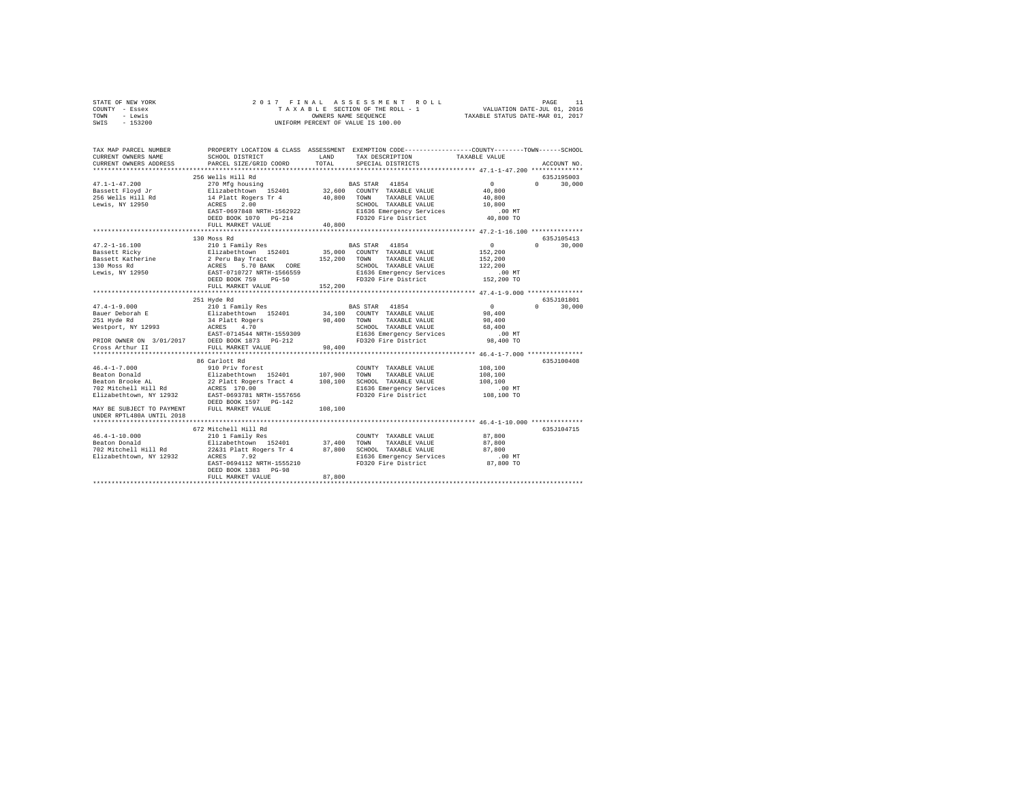| STATE OF NEW YORK         | 2017 FINAL                                                            |                      | ASSESSMENT<br>ROLL                                                                              |                                  | PAGE<br>11             |
|---------------------------|-----------------------------------------------------------------------|----------------------|-------------------------------------------------------------------------------------------------|----------------------------------|------------------------|
| COUNTY - Essex            |                                                                       |                      | TAXABLE SECTION OF THE ROLL - 1                                                                 | VALUATION DATE-JUL 01, 2016      |                        |
| - Lewis<br>TOWN           |                                                                       | OWNERS NAME SEQUENCE |                                                                                                 | TAXABLE STATUS DATE-MAR 01, 2017 |                        |
| SWIS<br>$-153200$         |                                                                       |                      | UNIFORM PERCENT OF VALUE IS 100.00                                                              |                                  |                        |
|                           |                                                                       |                      |                                                                                                 |                                  |                        |
|                           |                                                                       |                      |                                                                                                 |                                  |                        |
| TAX MAP PARCEL NUMBER     |                                                                       |                      | PROPERTY LOCATION & CLASS ASSESSMENT EXEMPTION CODE---------------COUNTY-------TOWN------SCHOOL |                                  |                        |
| CURRENT OWNERS NAME       | SCHOOL DISTRICT                                                       | LAND                 | TAX DESCRIPTION                                                                                 | TAXABLE VALUE                    |                        |
| CURRENT OWNERS ADDRESS    | PARCEL SIZE/GRID COORD                                                | TOTAL                | SPECIAL DISTRICTS                                                                               |                                  | ACCOUNT NO.            |
|                           |                                                                       |                      |                                                                                                 |                                  |                        |
|                           | 256 Wells Hill Rd                                                     |                      |                                                                                                 |                                  | 635J195003             |
| $47.1 - 1 - 47.200$       |                                                                       |                      |                                                                                                 | $\circ$                          | $\Omega$               |
|                           | 270 Mfg housing                                                       |                      | BAS STAR<br>41854                                                                               |                                  | 30,000                 |
| Bassett Floyd Jr          | Elizabethtown 152401                                                  |                      | 32,600 COUNTY TAXABLE VALUE                                                                     | 40,800                           |                        |
| 256 Wells Hill Rd         | 14 Platt Rogers Tr 4                                                  | 40,800               | TOWN<br>TAXABLE VALUE                                                                           | 40,800                           |                        |
| Lewis, NY 12950           | 2.00<br>ACRES                                                         |                      | SCHOOL TAXABLE VALUE                                                                            | 10,800                           |                        |
|                           | EAST-0697848 NRTH-1562922                                             |                      | E1636 Emergency Services                                                                        | $.00$ MT                         |                        |
|                           | DEED BOOK 1070 PG-214                                                 |                      | FD320 Fire District                                                                             | 40,800 TO                        |                        |
|                           | FULL MARKET VALUE                                                     | 40,800               |                                                                                                 |                                  |                        |
|                           |                                                                       |                      |                                                                                                 |                                  |                        |
|                           | 130 Moss Rd                                                           |                      |                                                                                                 |                                  | 635J105413             |
| $47.2 - 1 - 16.100$       | 210 1 Family Res                                                      |                      | BAS STAR 41854                                                                                  | $^{\circ}$                       | 30,000<br>$\mathbf{r}$ |
| Bassett Ricky             | Elizabethtown 152401                                                  |                      | 35,000 COUNTY TAXABLE VALUE                                                                     | 152,200                          |                        |
| Bassett Katherine         |                                                                       | 152,200              | TOWN<br>TAXABLE VALUE                                                                           | 152,200                          |                        |
| 130 Moss Rd               | 2 Peru Bay Tract<br>ACRES 5.70 BANK CORE<br>EAST-0710727 NRTH-1566559 |                      | SCHOOL TAXABLE VALUE                                                                            | 122,200                          |                        |
| Lewis, NY 12950           |                                                                       |                      | E1636 Emergency Services                                                                        | $.00$ MT                         |                        |
|                           | DEED BOOK 759 PG-50                                                   |                      | FD320 Fire District                                                                             | 152,200 TO                       |                        |
|                           | FULL MARKET VALUE                                                     | 152,200              |                                                                                                 |                                  |                        |
|                           |                                                                       |                      |                                                                                                 |                                  |                        |
|                           | 251 Hyde Rd                                                           |                      |                                                                                                 |                                  | 635J101801             |
| $47.4 - 1 - 9.000$        | 210 1 Family Res                                                      |                      | BAS STAR<br>41854                                                                               | $\Omega$                         | 30,000<br>$\Omega$     |
| Bauer Deborah E           | Elizabethtown 152401                                                  |                      | 34,100 COUNTY TAXABLE VALUE                                                                     | 98,400                           |                        |
| 251 Hyde Rd               |                                                                       | 98,400               | TAXABLE VALUE<br>TOWN                                                                           | 98,400                           |                        |
| Westport, NY 12993        | 34 Platt Rogers<br>ACRES 4.70<br>ACRES                                |                      | SCHOOL TAXABLE VALUE                                                                            | 68,400                           |                        |
|                           | EAST-0714544 NRTH-1559309                                             |                      | E1636 Emergency Services                                                                        | .00MT                            |                        |
| PRIOR OWNER ON 3/01/2017  | DEED BOOK 1873 PG-212                                                 |                      | FD320 Fire District                                                                             | 98,400 TO                        |                        |
| Cross Arthur II           | FULL MARKET VALUE                                                     | 98,400               |                                                                                                 |                                  |                        |
|                           |                                                                       |                      |                                                                                                 |                                  |                        |
|                           | 86 Carlott Rd                                                         |                      |                                                                                                 |                                  | 635J100408             |
| $46.4 - 1 - 7.000$        | 910 Priv forest                                                       |                      | COUNTY TAXABLE VALUE                                                                            | 108,100                          |                        |
| Beaton Donald             | Elizabethtown 152401                                                  | 107,900              | TOWN<br>TAXABLE VALUE                                                                           | 108,100                          |                        |
| Beaton Brooke AL          | 22 Platt Rogers Tract 4                                               | 108,100              | SCHOOL TAXABLE VALUE                                                                            | 108,100                          |                        |
|                           | ACRES 170.00                                                          |                      |                                                                                                 |                                  |                        |
| 702 Mitchell Hill Rd      | EAST-0693781 NRTH-1557656                                             |                      | E1636 Emergency Services<br>FD320 Fire District                                                 | $.00$ MT                         |                        |
| Elizabethtown, NY 12932   |                                                                       |                      |                                                                                                 | 108,100 TO                       |                        |
|                           | DEED BOOK 1597 PG-142                                                 |                      |                                                                                                 |                                  |                        |
| MAY BE SUBJECT TO PAYMENT | FULL MARKET VALUE                                                     | 108,100              |                                                                                                 |                                  |                        |
| UNDER RPTL480A UNTIL 2018 |                                                                       |                      |                                                                                                 |                                  |                        |
|                           |                                                                       |                      | ************************************ 46.4-1-10.000 **************                               |                                  |                        |
|                           | 672 Mitchell Hill Rd                                                  |                      |                                                                                                 |                                  | 635J104715             |
| $46.4 - 1 - 10.000$       | 210 1 Family Res                                                      |                      | COUNTY TAXABLE VALUE                                                                            | 87,800                           |                        |
| Beaton Donald             | Elizabethtown 152401                                                  | 37,400               | TOWN<br>TAXABLE VALUE                                                                           | 87,800                           |                        |
| 702 Mitchell Hill Rd      | 22&31 Platt Rogers Tr 4                                               | 87,800               | SCHOOL TAXABLE VALUE                                                                            | 87,800                           |                        |
| Elizabethtown, NY 12932   | ACRES<br>7.92                                                         |                      | E1636 Emergency Services                                                                        | $.00$ MT                         |                        |
|                           | EAST-0694112 NRTH-1555210                                             |                      | FD320 Fire District                                                                             | 87,800 TO                        |                        |
|                           | DEED BOOK 1383 PG-98                                                  |                      |                                                                                                 |                                  |                        |
|                           | FULL MARKET VALUE                                                     | 87,800               |                                                                                                 |                                  |                        |
|                           |                                                                       |                      |                                                                                                 |                                  |                        |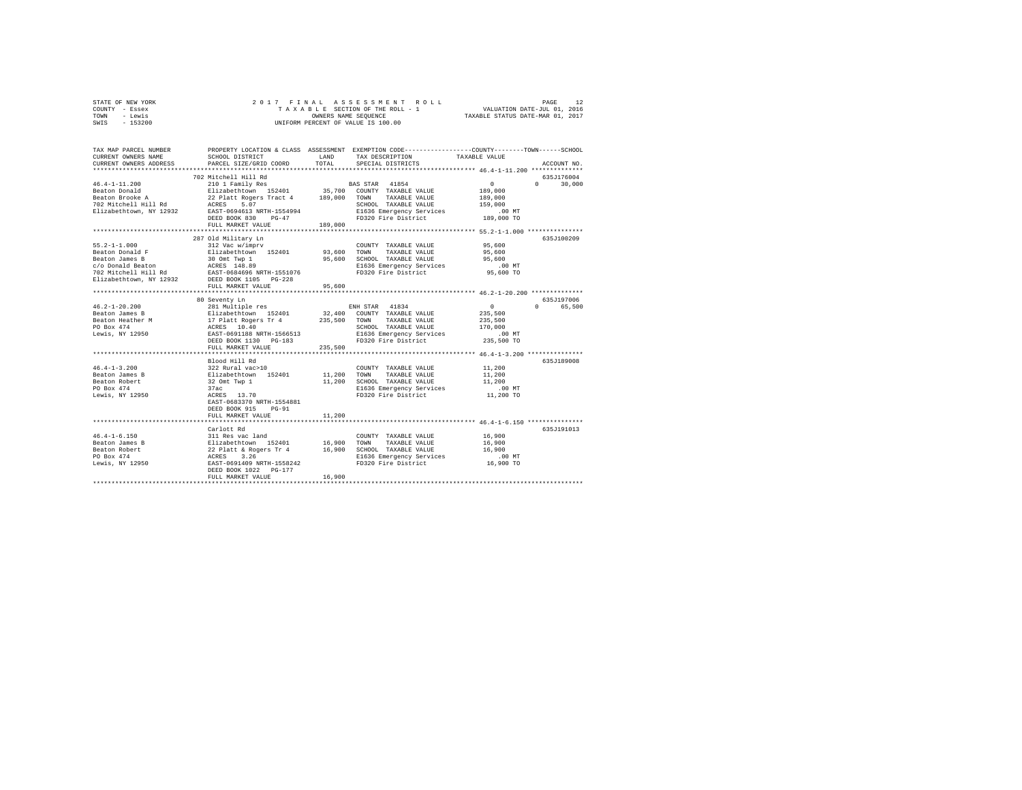| STATE OF NEW YORK | 2017 FINAL ASSESSMENT ROLL         | 12<br>PAGE                       |
|-------------------|------------------------------------|----------------------------------|
| COUNTY - Essex    | TAXABLE SECTION OF THE ROLL - 1    | VALUATION DATE-JUL 01, 2016      |
| TOWN<br>- Lewis   | OWNERS NAME SEOUENCE               | TAXABLE STATUS DATE-MAR 01, 2017 |
| $-153200$<br>SWIS | UNIFORM PERCENT OF VALUE IS 100.00 |                                  |

| TAX MAP PARCEL NUMBER<br>CURRENT OWNERS NAME<br>CURRENT OWNERS ADDRESS                                                                                                                                                                            | SCHOOL DISTRICT<br>PARCEL SIZE/GRID COORD                                                                                                                                                                                                                                                                                                                                                                                                                   | LAND<br>TOTAL | TAX DESCRIPTION<br>SPECIAL DISTRICTS                    | PROPERTY LOCATION & CLASS ASSESSMENT EXEMPTION CODE----------------COUNTY-------TOWN-----SCHOOL<br>TAXABLE VALUE<br>ACCOUNT NO. |
|---------------------------------------------------------------------------------------------------------------------------------------------------------------------------------------------------------------------------------------------------|-------------------------------------------------------------------------------------------------------------------------------------------------------------------------------------------------------------------------------------------------------------------------------------------------------------------------------------------------------------------------------------------------------------------------------------------------------------|---------------|---------------------------------------------------------|---------------------------------------------------------------------------------------------------------------------------------|
|                                                                                                                                                                                                                                                   |                                                                                                                                                                                                                                                                                                                                                                                                                                                             |               |                                                         |                                                                                                                                 |
|                                                                                                                                                                                                                                                   | 702 Mitchell Hill Rd                                                                                                                                                                                                                                                                                                                                                                                                                                        |               |                                                         | 635J176004                                                                                                                      |
| $46.4 - 1 - 11.200$                                                                                                                                                                                                                               | Viz Michael Hill Ku<br>210 1 Family Res (1994) Mars (2000) 2001 FAXABLE VALUE<br>22 Platt Rogers Tract 4 189,000 TOWN TAXABLE VALUE                                                                                                                                                                                                                                                                                                                         |               |                                                         | $\sim$ 0<br>$0 \t 30,000$                                                                                                       |
|                                                                                                                                                                                                                                                   |                                                                                                                                                                                                                                                                                                                                                                                                                                                             |               |                                                         | 189,000                                                                                                                         |
| Beaton Donald<br>Beaton Brooke A                                                                                                                                                                                                                  |                                                                                                                                                                                                                                                                                                                                                                                                                                                             |               |                                                         | 189,000                                                                                                                         |
|                                                                                                                                                                                                                                                   |                                                                                                                                                                                                                                                                                                                                                                                                                                                             |               | SCHOOL TAXABLE VALUE                                    | 159,000                                                                                                                         |
| 702 Mitchell Hill Rd<br>702 Mitchell Hill Rd<br>Elizabethtown, NY 12932 EAST-0694613 NRTH-1554994                                                                                                                                                 |                                                                                                                                                                                                                                                                                                                                                                                                                                                             |               | E1636 Emergency Services                                | .00 MT                                                                                                                          |
|                                                                                                                                                                                                                                                   | DEED BOOK 830 PG-47                                                                                                                                                                                                                                                                                                                                                                                                                                         |               | FD320 Fire District                                     | 189,000 TO                                                                                                                      |
|                                                                                                                                                                                                                                                   | FULL MARKET VALUE                                                                                                                                                                                                                                                                                                                                                                                                                                           | 189,000       |                                                         |                                                                                                                                 |
|                                                                                                                                                                                                                                                   |                                                                                                                                                                                                                                                                                                                                                                                                                                                             |               |                                                         |                                                                                                                                 |
|                                                                                                                                                                                                                                                   | 287 Old Military Ln                                                                                                                                                                                                                                                                                                                                                                                                                                         |               |                                                         | 635J100209                                                                                                                      |
| $55.2 - 1 - 1.000$                                                                                                                                                                                                                                | 312 Vac w/imprv                                                                                                                                                                                                                                                                                                                                                                                                                                             |               | COUNTY TAXABLE VALUE<br>TAXABLE VALUE                   | 95,600<br>95,600                                                                                                                |
| Beaton Donald F                                                                                                                                                                                                                                   |                                                                                                                                                                                                                                                                                                                                                                                                                                                             |               |                                                         | 95,600                                                                                                                          |
|                                                                                                                                                                                                                                                   |                                                                                                                                                                                                                                                                                                                                                                                                                                                             |               | 95,600 SCHOOL TAXABLE VALUE<br>E1636 Emergency Services | .00 MT                                                                                                                          |
|                                                                                                                                                                                                                                                   |                                                                                                                                                                                                                                                                                                                                                                                                                                                             |               | FD320 Fire District                                     | 95,600 TO                                                                                                                       |
| Each<br>Peaton James B<br>C/O Donald Beaton<br>20 Mitchell Hill Rd<br>20 Mitchell Hill Rd<br>21 Michell Hill Rd<br>21 Michell Hill Rd<br>21 Michell Hill Rd<br>21 Michell Rd<br>21 Michell Packet Diopt Packet Packet Packet Packet<br>21 Michell |                                                                                                                                                                                                                                                                                                                                                                                                                                                             |               |                                                         |                                                                                                                                 |
|                                                                                                                                                                                                                                                   | FULL MARKET VALUE                                                                                                                                                                                                                                                                                                                                                                                                                                           | 95,600        |                                                         |                                                                                                                                 |
|                                                                                                                                                                                                                                                   |                                                                                                                                                                                                                                                                                                                                                                                                                                                             |               |                                                         |                                                                                                                                 |
|                                                                                                                                                                                                                                                   | 80 Seventy Ln                                                                                                                                                                                                                                                                                                                                                                                                                                               |               |                                                         | 635J197006                                                                                                                      |
|                                                                                                                                                                                                                                                   |                                                                                                                                                                                                                                                                                                                                                                                                                                                             |               |                                                         | $\Omega$<br>$0 \qquad \qquad$<br>65,500                                                                                         |
|                                                                                                                                                                                                                                                   |                                                                                                                                                                                                                                                                                                                                                                                                                                                             |               |                                                         | 235,500                                                                                                                         |
|                                                                                                                                                                                                                                                   |                                                                                                                                                                                                                                                                                                                                                                                                                                                             |               |                                                         | 235,500                                                                                                                         |
|                                                                                                                                                                                                                                                   |                                                                                                                                                                                                                                                                                                                                                                                                                                                             |               |                                                         | 170,000                                                                                                                         |
| Lewis, NY 12950                                                                                                                                                                                                                                   | EAST-0691188 NRTH-1566513                                                                                                                                                                                                                                                                                                                                                                                                                                   |               | E1636 Emergency Services                                | .00 MT                                                                                                                          |
|                                                                                                                                                                                                                                                   | DEED BOOK 1130 PG-183                                                                                                                                                                                                                                                                                                                                                                                                                                       |               | FD320 Fire District                                     | 235,500 TO                                                                                                                      |
|                                                                                                                                                                                                                                                   | FULL MARKET VALUE                                                                                                                                                                                                                                                                                                                                                                                                                                           | 235,500       |                                                         |                                                                                                                                 |
|                                                                                                                                                                                                                                                   | Blood Hill Rd                                                                                                                                                                                                                                                                                                                                                                                                                                               |               |                                                         | 635J189008                                                                                                                      |
| $46.4 - 1 - 3.200$                                                                                                                                                                                                                                | 322 Rural vac>10                                                                                                                                                                                                                                                                                                                                                                                                                                            |               | COUNTY TAXABLE VALUE                                    | 11,200                                                                                                                          |
| Beaton James B                                                                                                                                                                                                                                    |                                                                                                                                                                                                                                                                                                                                                                                                                                                             |               | TOWN<br>TAXABLE VALUE                                   | 11,200                                                                                                                          |
| Beaton Robert                                                                                                                                                                                                                                     |                                                                                                                                                                                                                                                                                                                                                                                                                                                             |               | SCHOOL TAXABLE VALUE                                    | 11,200                                                                                                                          |
| PO Box 474                                                                                                                                                                                                                                        |                                                                                                                                                                                                                                                                                                                                                                                                                                                             |               | E1636 Emergency Services                                | .00 MT                                                                                                                          |
| Lewis, NY 12950                                                                                                                                                                                                                                   | $\begin{array}{lll} \text{522 initial vector} & & & \\ \text{52 initial vector} & & & \\ \text{51} & & & \\ \text{52} & & & \\ \text{53} & & & \\ \text{54} & & & \\ \text{55} & & & \\ \text{56} & & & \\ \text{57} & & & \\ \text{58} & & & \\ \text{59} & & & \\ \text{50} & & & \\ \text{50} & & & \\ \text{51} & & & \\ \text{52} & & & \\ \text{53} & & & \\ \text{54} & & & \\ \text{56} & & & \\ \text{57} & & & \\ \text{58} & & & \\ \text{59} &$ |               | FD320 Fire District                                     | 11,200 TO                                                                                                                       |
|                                                                                                                                                                                                                                                   | EAST-0683370 NRTH-1554881                                                                                                                                                                                                                                                                                                                                                                                                                                   |               |                                                         |                                                                                                                                 |
|                                                                                                                                                                                                                                                   | DEED BOOK 915 PG-91                                                                                                                                                                                                                                                                                                                                                                                                                                         |               |                                                         |                                                                                                                                 |
|                                                                                                                                                                                                                                                   | FULL MARKET VALUE                                                                                                                                                                                                                                                                                                                                                                                                                                           | 11,200        |                                                         |                                                                                                                                 |
|                                                                                                                                                                                                                                                   |                                                                                                                                                                                                                                                                                                                                                                                                                                                             |               |                                                         | ********************************* 46.4-1-6.150 ****************                                                                 |
|                                                                                                                                                                                                                                                   | Carlott Rd                                                                                                                                                                                                                                                                                                                                                                                                                                                  |               |                                                         | 635J191013                                                                                                                      |
|                                                                                                                                                                                                                                                   |                                                                                                                                                                                                                                                                                                                                                                                                                                                             |               | COUNTY TAXABLE VALUE                                    | 16,900                                                                                                                          |
|                                                                                                                                                                                                                                                   |                                                                                                                                                                                                                                                                                                                                                                                                                                                             |               | TAXABLE VALUE                                           | 16,900                                                                                                                          |
|                                                                                                                                                                                                                                                   |                                                                                                                                                                                                                                                                                                                                                                                                                                                             |               | 16,900 SCHOOL TAXABLE VALUE<br>E1636 Emergency Services | 16,900                                                                                                                          |
|                                                                                                                                                                                                                                                   |                                                                                                                                                                                                                                                                                                                                                                                                                                                             |               | FD320 Fire District                                     | $.00$ MT<br>16,900 TO                                                                                                           |
|                                                                                                                                                                                                                                                   | DEED BOOK 1022 PG-177                                                                                                                                                                                                                                                                                                                                                                                                                                       |               |                                                         |                                                                                                                                 |
|                                                                                                                                                                                                                                                   | FULL MARKET VALUE                                                                                                                                                                                                                                                                                                                                                                                                                                           | 16,900        |                                                         |                                                                                                                                 |
|                                                                                                                                                                                                                                                   |                                                                                                                                                                                                                                                                                                                                                                                                                                                             |               |                                                         |                                                                                                                                 |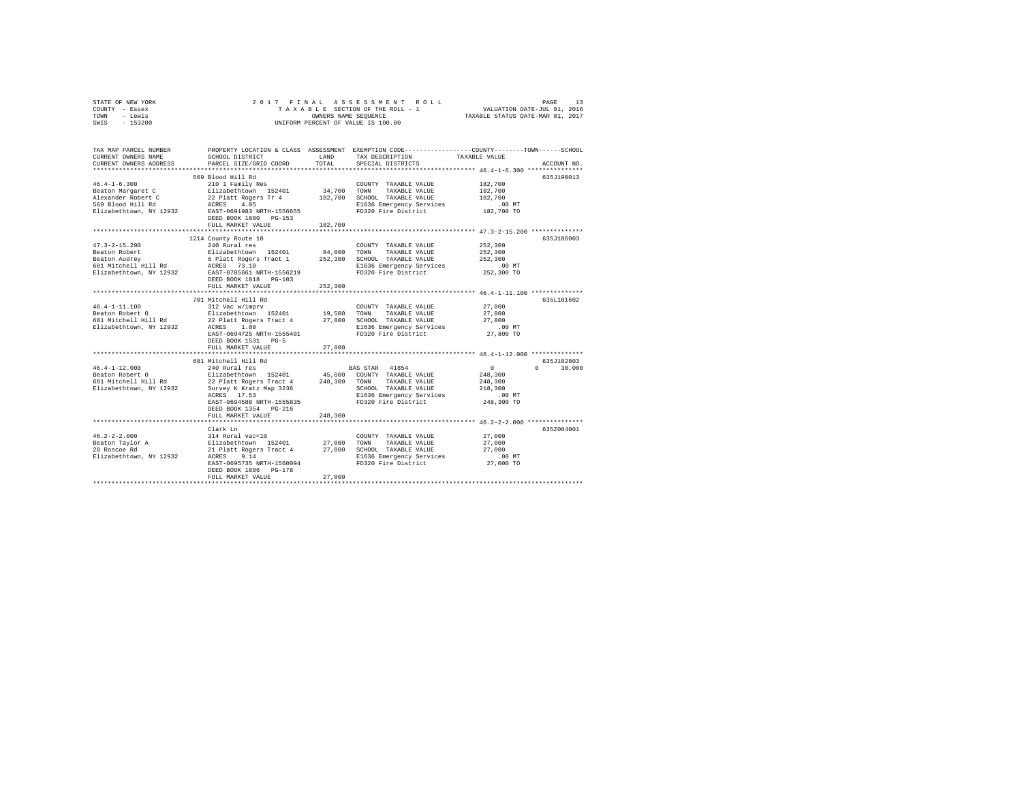|                | STATE OF NEW YORK |  |  |  |  | 2017 FINAL ASSESSMENT ROLL         |  |  |  |                                  |                             | PAGE | 13 |
|----------------|-------------------|--|--|--|--|------------------------------------|--|--|--|----------------------------------|-----------------------------|------|----|
| COUNTY - Essex |                   |  |  |  |  | TAXABLE SECTION OF THE ROLL - 1    |  |  |  |                                  | VALUATION DATE-JUL 01, 2016 |      |    |
| TOWN - Lewis   |                   |  |  |  |  | OWNERS NAME SEOUENCE               |  |  |  | TAXABLE STATUS DATE-MAR 01, 2017 |                             |      |    |
| SWTS           | - 153200          |  |  |  |  | UNIFORM PERCENT OF VALUE IS 100.00 |  |  |  |                                  |                             |      |    |
|                |                   |  |  |  |  |                                    |  |  |  |                                  |                             |      |    |

| TAX MAP PARCEL NUMBER                   |                                                 |             | PROPERTY LOCATION & CLASS ASSESSMENT EXEMPTION CODE---------------COUNTY-------TOWN-----SCHOOL |                  |                    |
|-----------------------------------------|-------------------------------------------------|-------------|------------------------------------------------------------------------------------------------|------------------|--------------------|
| CURRENT OWNERS NAME                     | SCHOOL DISTRICT                                 | LAND        | TAX DESCRIPTION                                                                                | TAXABLE VALUE    |                    |
| CURRENT OWNERS ADDRESS                  | PARCEL SIZE/GRID COORD                          | TOTAL       | SPECIAL DISTRICTS                                                                              |                  | ACCOUNT NO.        |
|                                         |                                                 |             |                                                                                                |                  |                    |
|                                         | 569 Blood Hill Rd                               |             |                                                                                                |                  | 635J190013         |
| $46.4 - 1 - 6.300$                      | 210 1 Family Res                                |             | COUNTY TAXABLE VALUE                                                                           | 182,700          |                    |
| Beaton Margaret C                       | Elizabethtown 152401                            | 34,700 TOWN | TAXABLE VALUE                                                                                  | 182,700          |                    |
| Alexander Robert C                      |                                                 | 182,700     | SCHOOL TAXABLE VALUE                                                                           | 182,700          |                    |
| 569 Blood Hill Rd                       | 22 Platt Rogers Tr 4<br>ACRES 4.05              |             | E1636 Emergency Services                                                                       | .00 MT           |                    |
| Elizabethtown, NY 12932                 | EAST-0691983 NRTH-1556655                       |             | FD320 Fire District                                                                            | 182,700 TO       |                    |
|                                         | DEED BOOK 1800 PG-153                           |             |                                                                                                |                  |                    |
|                                         | FULL MARKET VALUE                               | 182,700     |                                                                                                |                  |                    |
|                                         |                                                 |             |                                                                                                |                  |                    |
|                                         | 1214 County Route 10                            |             |                                                                                                |                  | 635J186003         |
| $47.3 - 2 - 15.200$                     | 240 Rural res                                   |             | COUNTY TAXABLE VALUE                                                                           | 252,300          |                    |
| Beaton Robert                           | Elizabethtown 152401                            | 84,800      | TOWN<br>TAXABLE VALUE                                                                          | 252,300          |                    |
| Beaton Audrey                           | 6 Platt Rogers Tract 1                          | 252,300     | SCHOOL TAXABLE VALUE                                                                           | 252,300          |                    |
| 681 Mitchell Hill Rd                    | ACRES 73.10                                     |             | E1636 Emergency Services                                                                       | .00MT            |                    |
| Elizabethtown, NY 12932                 | EAST-0705661 NRTH-1556219                       |             | FD320 Fire District                                                                            | 252,300 TO       |                    |
|                                         | DEED BOOK 1818 PG-103                           |             |                                                                                                |                  |                    |
|                                         | FULL MARKET VALUE                               | 252,300     |                                                                                                |                  |                    |
|                                         |                                                 |             |                                                                                                |                  |                    |
|                                         | 701 Mitchell Hill Rd                            |             |                                                                                                |                  | 635L101602         |
| $46.4 - 1 - 11.100$                     | 312 Vac w/imprv                                 |             | COUNTY TAXABLE VALUE                                                                           | 27,800           |                    |
| Beaton Robert 0                         | Elizabethtown 152401 19,500                     |             | TOWN<br>TAXABLE VALUE                                                                          | 27,800           |                    |
| 681 Mitchell Hill Rd                    | 22 Platt Rogers Tract 4                         | 27,800      | SCHOOL TAXABLE VALUE                                                                           | 27,800           |                    |
| Elizabethtown, NY 12932                 | 1.00<br>ACRES                                   |             | E1636 Emergency Services                                                                       | $.00$ MT         |                    |
|                                         | EAST-0694725 NRTH-1555401                       |             | FD320 Fire District                                                                            | 27,800 TO        |                    |
|                                         | DEED BOOK 1531 PG-5                             |             |                                                                                                |                  |                    |
|                                         | FULL MARKET VALUE                               | 27,800      |                                                                                                |                  |                    |
|                                         |                                                 |             |                                                                                                |                  |                    |
|                                         | 681 Mitchell Hill Rd                            |             |                                                                                                |                  | 635J102803         |
| $46.4 - 1 - 12.000$                     | 240 Rural res                                   |             | BAS STAR 41854                                                                                 | $\sim$ 0         | $\Omega$<br>30,000 |
|                                         | Elizabethtown 152401                            |             |                                                                                                | 248,300          |                    |
| Beaton Robert O<br>681 Mitchell Hill Rd | 22 Platt Rogers Tract 4                         |             | 45,600 COUNTY TAXABLE VALUE<br>248,300 TOWN TAXABLE VALUE                                      | 248,300          |                    |
| Elizabethtown, NY 12932                 | Survey K Kratz Map 3236                         |             | SCHOOL TAXABLE VALUE                                                                           | 218,300          |                    |
|                                         | ACRES 17.53                                     |             | E1636 Emergency Services                                                                       | $.00$ MT         |                    |
|                                         | EAST-0694588 NRTH-1555835                       |             | FD320 Fire District                                                                            | 248,300 TO       |                    |
|                                         | DEED BOOK 1354 PG-216                           |             |                                                                                                |                  |                    |
|                                         | FULL MARKET VALUE                               | 248,300     |                                                                                                |                  |                    |
|                                         |                                                 |             |                                                                                                |                  |                    |
|                                         | Clark Ln                                        |             |                                                                                                |                  | 635Z004001         |
| $46.2 - 2 - 2.000$                      | 314 Rural vac<10                                |             | COUNTY TAXABLE VALUE                                                                           | 27,000           |                    |
|                                         |                                                 | 27,000      | TOWN                                                                                           |                  |                    |
| Beaton Taylor A<br>28 Roscoe Rd         | Elizabethtown 152401<br>21 Platt Rogers Tract 4 | 27,000      | TAXABLE VALUE<br>SCHOOL TAXABLE VALUE                                                          | 27,000<br>27,000 |                    |
| Elizabethtown, NY 12932                 | ACRES<br>9.14                                   |             | E1636 Emergency Services                                                                       | $.00$ MT         |                    |
|                                         | EAST-0695735 NRTH-1560094                       |             | FD320 Fire District                                                                            | 27,000 TO        |                    |
|                                         | DEED BOOK 1806 PG-178                           |             |                                                                                                |                  |                    |
|                                         | FULL MARKET VALUE                               | 27,000      |                                                                                                |                  |                    |
|                                         |                                                 |             |                                                                                                |                  |                    |
|                                         |                                                 |             |                                                                                                |                  |                    |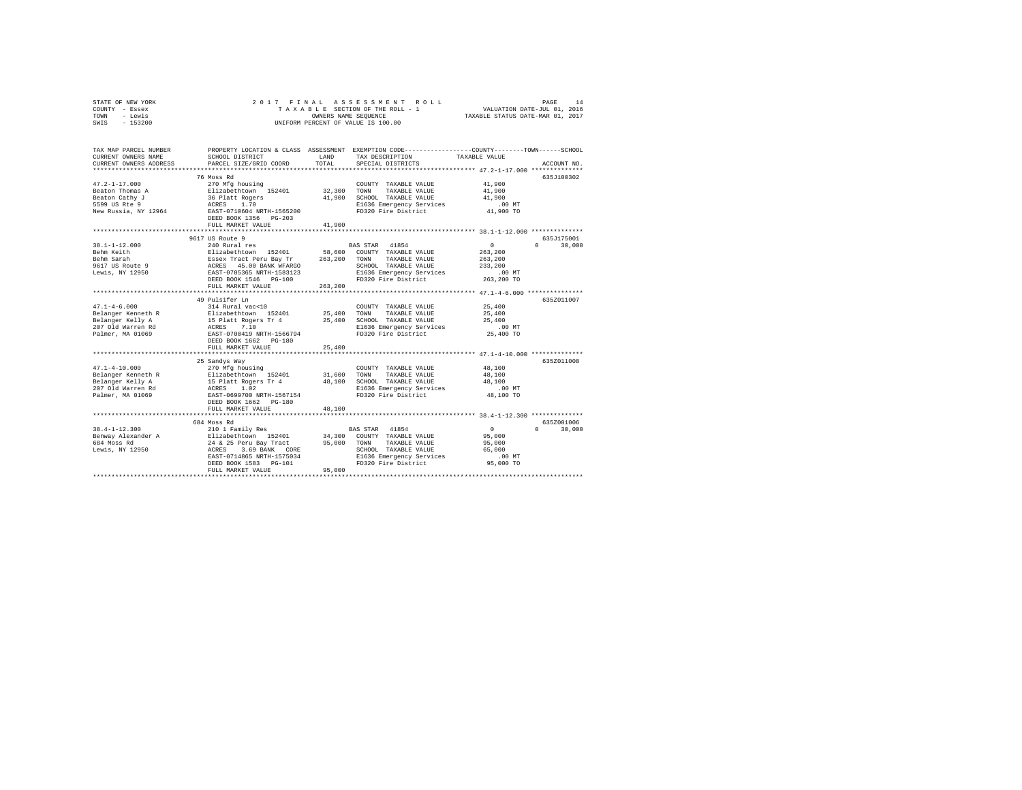|      | STATE OF NEW YORK |  |  | 2017 FINAL ASSESSMENT ROLL         | 14<br>PAGE                       |  |
|------|-------------------|--|--|------------------------------------|----------------------------------|--|
|      | COUNTY - Essex    |  |  | TAXABLE SECTION OF THE ROLL - 1    | VALUATION DATE-JUL 01, 2016      |  |
| TOWN | - Lewis           |  |  | OWNERS NAME SEOUENCE               | TAXABLE STATUS DATE-MAR 01, 2017 |  |
| SWIS | - 153200          |  |  | UNIFORM PERCENT OF VALUE IS 100.00 |                                  |  |

| TAX MAP PARCEL NUMBER<br>CURRENT OWNERS NAME<br>CURRENT OWNERS ADDRESS | SCHOOL DISTRICT<br>PARCEL SIZE/GRID COORD<br>***************************                          | LAND<br>TOTAL | PROPERTY LOCATION & CLASS ASSESSMENT EXEMPTION CODE---------------COUNTY-------TOWN-----SCHOOL<br>TAX DESCRIPTION<br>SPECIAL DISTRICTS | TAXABLE VALUE | ACCOUNT NO         |
|------------------------------------------------------------------------|---------------------------------------------------------------------------------------------------|---------------|----------------------------------------------------------------------------------------------------------------------------------------|---------------|--------------------|
|                                                                        |                                                                                                   |               |                                                                                                                                        |               |                    |
|                                                                        | 76 Moss Rd                                                                                        |               |                                                                                                                                        |               | 635J100302         |
| $47.2 - 1 - 17.000$                                                    | 270 Mfg housing                                                                                   |               | COUNTY TAXABLE VALUE                                                                                                                   | 41,900        |                    |
| Beaton Thomas A                                                        | Elizabethtown 152401                                                                              | 32,300        | TOWN<br>TAXABLE VALUE                                                                                                                  | 41,900        |                    |
| Beaton Cathy J                                                         | 36 Platt Rogers                                                                                   |               | 41,900 SCHOOL TAXABLE VALUE                                                                                                            | 41,900        |                    |
| 5599 US Rte 9                                                          |                                                                                                   |               | E1636 Emergency Services                                                                                                               | $.00$ MT      |                    |
| New Russia, NY 12964                                                   |                                                                                                   |               | FD320 Fire District                                                                                                                    | 41,900 TO     |                    |
|                                                                        | DEED BOOK 1356 PG-203                                                                             |               |                                                                                                                                        |               |                    |
|                                                                        | FULL MARKET VALUE                                                                                 | 41,900        |                                                                                                                                        |               |                    |
|                                                                        | ******************************                                                                    |               |                                                                                                                                        |               |                    |
|                                                                        | 9617 US Route 9                                                                                   |               |                                                                                                                                        |               | 635J175001         |
| $38.1 - 1 - 12.000$                                                    | 240 Rural res                                                                                     |               | BAS STAR 41854                                                                                                                         | $\sim$ 0      | $\cap$<br>30,000   |
| Behm Keith                                                             | Elizabethtown 152401                                                                              |               | 58,600 COUNTY TAXABLE VALUE                                                                                                            | 263,200       |                    |
| Behm Sarah                                                             |                                                                                                   | 263,200       | TAXABLE VALUE<br>TOWN                                                                                                                  | 263,200       |                    |
| ------<br>9617 US Route 9<br>Lewis, NY 12950                           |                                                                                                   |               | SCHOOL TAXABLE VALUE                                                                                                                   | 233,200       |                    |
| Lewis, NY 12950                                                        | --------------<br>ESSEX Tract Peru Bay Tr<br>ACRES 45.00 BANK WFARGO<br>EAST-0705365 NRTH-1583123 |               | E1636 Emergency Services                                                                                                               | .00MT         |                    |
|                                                                        | DEED BOOK 1546 PG-100                                                                             |               | FD320 Fire District                                                                                                                    | 263,200 TO    |                    |
|                                                                        | FULL MARKET VALUE                                                                                 | 263,200       |                                                                                                                                        |               |                    |
|                                                                        |                                                                                                   |               |                                                                                                                                        |               |                    |
|                                                                        | 49 Pulsifer Ln                                                                                    |               |                                                                                                                                        |               | 635Z011007         |
|                                                                        |                                                                                                   |               |                                                                                                                                        | 25,400        |                    |
|                                                                        |                                                                                                   |               |                                                                                                                                        | 25,400        |                    |
|                                                                        |                                                                                                   |               |                                                                                                                                        | 25,400        |                    |
|                                                                        |                                                                                                   |               |                                                                                                                                        | $.00$ MT      |                    |
|                                                                        |                                                                                                   |               |                                                                                                                                        | 25,400 TO     |                    |
|                                                                        | DEED BOOK 1662 PG-180                                                                             |               |                                                                                                                                        |               |                    |
|                                                                        | FULL MARKET VALUE                                                                                 | 25,400        |                                                                                                                                        |               |                    |
|                                                                        |                                                                                                   |               |                                                                                                                                        |               |                    |
|                                                                        | 25 Sandys Way                                                                                     |               |                                                                                                                                        |               | 6357011008         |
| $47.1 - 4 - 10.000$                                                    | 270 Mfg housing                                                                                   |               | COUNTY TAXABLE VALUE                                                                                                                   | 48,100        |                    |
|                                                                        |                                                                                                   |               | TOWN<br>TAXABLE VALUE                                                                                                                  | 48,100        |                    |
|                                                                        |                                                                                                   |               | 48,100 SCHOOL TAXABLE VALUE                                                                                                            | 48,100        |                    |
|                                                                        |                                                                                                   |               | SCHOOL TAXABLE VALUE<br>E1636 Emergency Services                                                                                       | $.00$ MT      |                    |
|                                                                        |                                                                                                   |               | FD320 Fire District                                                                                                                    | 48,100 TO     |                    |
|                                                                        |                                                                                                   |               |                                                                                                                                        |               |                    |
|                                                                        | FULL MARKET VALUE                                                                                 | 48,100        |                                                                                                                                        |               |                    |
|                                                                        |                                                                                                   |               |                                                                                                                                        |               |                    |
|                                                                        | 684 Moss Rd                                                                                       |               |                                                                                                                                        |               | 635Z001006         |
|                                                                        |                                                                                                   |               | BAS STAR 41854                                                                                                                         | 0             | $\Omega$<br>30,000 |
|                                                                        |                                                                                                   |               | $34\,,\,300$ $\,$ COUNTY TAXABLE VALUE                                                                                                 | 95,000        |                    |
|                                                                        |                                                                                                   | 95,000 TOWN   | TAXABLE VALUE                                                                                                                          | 95,000        |                    |
|                                                                        |                                                                                                   |               | SCHOOL TAXABLE VALUE                                                                                                                   | 65,000        |                    |
|                                                                        |                                                                                                   |               | E1636 Emergency Services                                                                                                               | $.00$ MT      |                    |
|                                                                        | DEED BOOK 1583 PG-101                                                                             |               | FD320 Fire District                                                                                                                    | 95,000 TO     |                    |
|                                                                        | FULL MARKET VALUE                                                                                 | 95,000        |                                                                                                                                        |               |                    |
|                                                                        |                                                                                                   |               |                                                                                                                                        |               |                    |
|                                                                        |                                                                                                   |               |                                                                                                                                        |               |                    |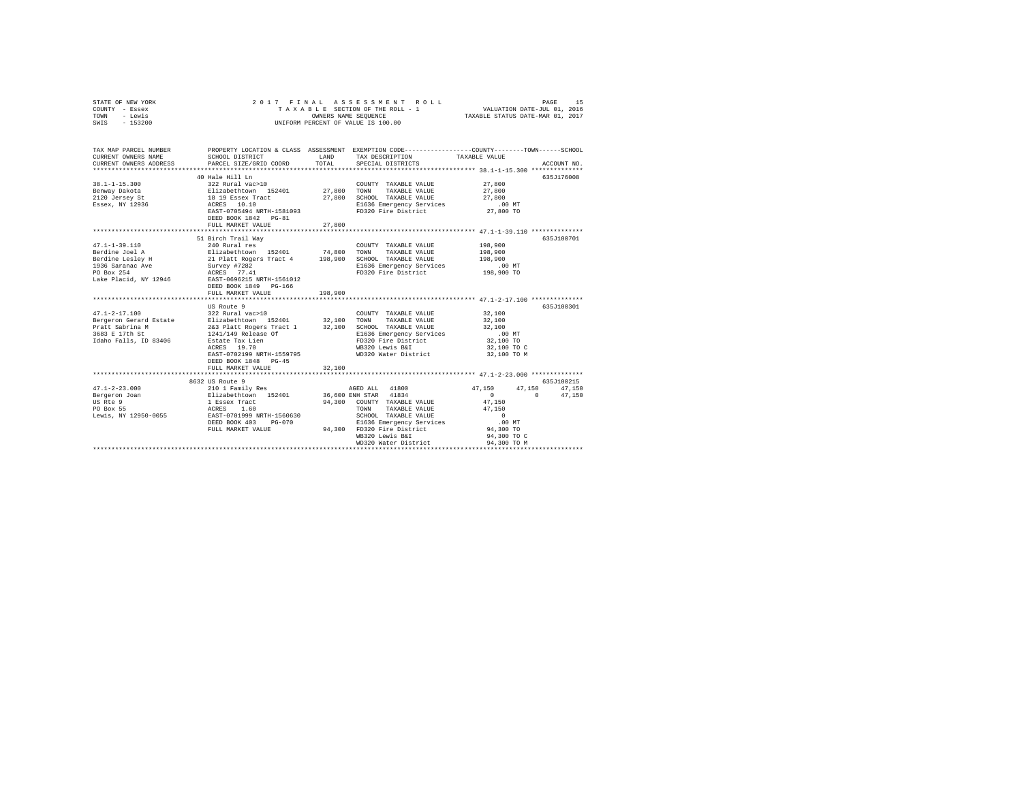| STATE OF NEW YORK<br>COUNTY - Essex<br>TOWN<br>- Lewis<br>SWIS - 153200                                                                                   |                                                                                                                     | OWNERS NAME SEOUENCE | 2017 FINAL ASSESSMENT ROLL<br>TAXABLE SECTION OF THE ROLL - 1<br>UNIFORM PERCENT OF VALUE IS 100.00 | VALUATION DATE-JUL 01, 2016<br>TAXABLE STATUS DATE-MAR 01, 2017 | PAGE<br>15                |
|-----------------------------------------------------------------------------------------------------------------------------------------------------------|---------------------------------------------------------------------------------------------------------------------|----------------------|-----------------------------------------------------------------------------------------------------|-----------------------------------------------------------------|---------------------------|
| TAX MAP PARCEL NUMBER<br>CURRENT OWNERS NAME                                                                                                              | PROPERTY LOCATION & CLASS ASSESSMENT EXEMPTION CODE-----------------COUNTY-------TOWN-----SCHOOL<br>SCHOOL DISTRICT | LAND                 | TAX DESCRIPTION                                                                                     | TAXABLE VALUE                                                   |                           |
| CURRENT OWNERS ADDRESS                                                                                                                                    | PARCEL SIZE/GRID COORD                                                                                              | TOTAL                | SPECIAL DISTRICTS                                                                                   |                                                                 | ACCOUNT NO.               |
|                                                                                                                                                           |                                                                                                                     |                      |                                                                                                     |                                                                 |                           |
|                                                                                                                                                           | 40 Hale Hill Ln                                                                                                     |                      |                                                                                                     |                                                                 | 635J176008                |
| $38.1 - 1 - 15.300$                                                                                                                                       |                                                                                                                     |                      | COUNTY TAXABLE VALUE                                                                                | 27,800                                                          |                           |
| Benway Dakota                                                                                                                                             |                                                                                                                     | 27,800 TOWN          | TAXABLE VALUE<br>27,800 SCHOOL TAXABLE VALUE                                                        | 27,800<br>27,800                                                |                           |
| 2120 Jersey St<br>Essex, NY 12936                                                                                                                         | 40 Hare<br>322 Rural vac>10<br>Elizabethtown 152401<br>18 19 Essex Tract<br>ACRES 10.10                             |                      | E1636 Emergency Services                                                                            | $.00$ MT                                                        |                           |
|                                                                                                                                                           | EAST-0705494 NRTH-1581093                                                                                           |                      | FD320 Fire District                                                                                 | 27,800 TO                                                       |                           |
|                                                                                                                                                           | DEED BOOK 1842 PG-81                                                                                                |                      |                                                                                                     |                                                                 |                           |
|                                                                                                                                                           | FULL MARKET VALUE                                                                                                   | 27,800               |                                                                                                     |                                                                 |                           |
|                                                                                                                                                           |                                                                                                                     |                      |                                                                                                     |                                                                 |                           |
|                                                                                                                                                           | 51 Birch Trail Way                                                                                                  |                      |                                                                                                     |                                                                 | 635J100701                |
| $47.1 - 1 - 39.110$                                                                                                                                       | 240 Rural res                                                                                                       |                      | COUNTY TAXABLE VALUE                                                                                | 198,900                                                         |                           |
| Berdine Joel A                                                                                                                                            |                                                                                                                     |                      |                                                                                                     | 198,900                                                         |                           |
| Berdine Lesley H                                                                                                                                          | Elizabethtown 152401 74,800 TOWN TAXABLE VALUE<br>21 Platt Rogers Tract 4 198,900 SCHOOL TAXABLE VALUE              |                      |                                                                                                     | 198,900                                                         |                           |
| $\begin{tabular}{lllllllll} 1936\text{ Saranac} & \text{Ave} & & \text{Survey $\#7282$}\\ \text{PO Box 254} & & & & \text{ACRES} & 77.41\\ \end{tabular}$ |                                                                                                                     |                      | E1636 Emergency Services                                                                            | .00 MT                                                          |                           |
|                                                                                                                                                           |                                                                                                                     |                      | FD320 Fire District                                                                                 | 198,900 TO                                                      |                           |
| Lake Placid, NY 12946                                                                                                                                     | EAST-0696215 NRTH-1561012                                                                                           |                      |                                                                                                     |                                                                 |                           |
|                                                                                                                                                           | DEED BOOK 1849 PG-166<br>FULL MARKET VALUE                                                                          | 198,900              |                                                                                                     |                                                                 |                           |
|                                                                                                                                                           |                                                                                                                     |                      |                                                                                                     |                                                                 |                           |
|                                                                                                                                                           | US Route 9                                                                                                          |                      |                                                                                                     |                                                                 | 635J100301                |
| $47.1 - 2 - 17.100$                                                                                                                                       | 322 Rural vac>10                                                                                                    |                      | COUNTY TAXABLE VALUE                                                                                | 32,100                                                          |                           |
| Bergeron Gerard Estate                                                                                                                                    | Elizabethtown 152401 32,100 TOWN TAXABLE VALUE                                                                      |                      |                                                                                                     | 32,100                                                          |                           |
| Pratt Sabrina M                                                                                                                                           | 2&3 Platt Rogers Tract 1 32,100 SCHOOL TAXABLE VALUE                                                                |                      |                                                                                                     | 32,100                                                          |                           |
| 3683 E 17th St                                                                                                                                            | 1241/149 Release Of                                                                                                 |                      | E1636 Emergency Services                                                                            | $.00$ MT                                                        |                           |
| Idaho Falls, ID 83406                                                                                                                                     | Estate Tax Lien<br>ACRES 19.70                                                                                      |                      | FD320 Fire District                                                                                 | 32,100 TO                                                       |                           |
|                                                                                                                                                           |                                                                                                                     |                      | WB320 Lewis B&I                                                                                     | 32,100 TO C                                                     |                           |
|                                                                                                                                                           | EAST-0702199 NRTH-1559795                                                                                           |                      | WD320 Water District                                                                                | 32,100 TO M                                                     |                           |
|                                                                                                                                                           | DEED BOOK 1848 PG-45                                                                                                |                      |                                                                                                     |                                                                 |                           |
|                                                                                                                                                           | FULL MARKET VALUE                                                                                                   | 32,100               |                                                                                                     |                                                                 |                           |
|                                                                                                                                                           | ****************************                                                                                        |                      | *********************************** 47.1-2-23.000 **************                                    |                                                                 |                           |
|                                                                                                                                                           | 8632 US Route 9                                                                                                     |                      |                                                                                                     |                                                                 | 635J100215                |
| $47.1 - 2 - 23.000$<br>Bergeron Joan                                                                                                                      | 210 1 Family Res<br>Elizabethtown 152401                                                                            |                      | AGED ALL 41800<br>$36,600$ ENH STAR $41834$                                                         | 47.150<br>$\mathbf{0}$<br>$\sim$ 0                              | 47,150   47,150<br>47.150 |
| US Rte 9                                                                                                                                                  |                                                                                                                     |                      | 94.300 COUNTY TAXABLE VALUE                                                                         | 47.150                                                          |                           |
| PO Box 55                                                                                                                                                 |                                                                                                                     |                      | TOWN TAXABLE VALUE                                                                                  | 47,150                                                          |                           |
| Lewis, NY 12950-0055                                                                                                                                      |                                                                                                                     |                      | SCHOOL TAXABLE VALUE                                                                                | $\sim$ 0                                                        |                           |
|                                                                                                                                                           | 1 Essex Tract<br>ACRES 1.60<br>EAST-0701999 NRTH-1560630<br>DEED BOOK 403 PG-070                                    |                      | E1636 Emergency Services                                                                            | $.00$ MT                                                        |                           |
|                                                                                                                                                           | FULL MARKET VALUE                                                                                                   |                      | 94,300 FD320 Fire District                                                                          | 94,300 TO                                                       |                           |
|                                                                                                                                                           |                                                                                                                     |                      | WB320 Lewis B&I                                                                                     | 94,300 TO C                                                     |                           |
|                                                                                                                                                           |                                                                                                                     |                      | WD320 Water District                                                                                | 94,300 TO M                                                     |                           |
|                                                                                                                                                           |                                                                                                                     |                      |                                                                                                     | *******************************                                 |                           |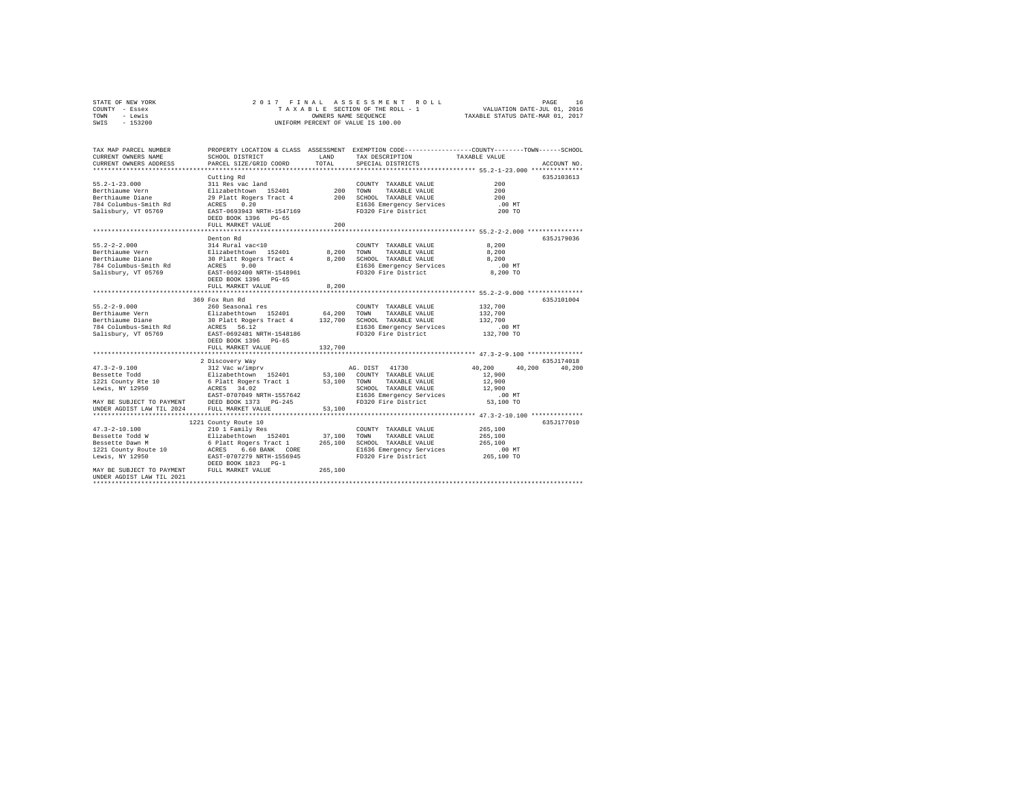| STATE OF NEW YORK | 2017 FINAL ASSESSMENT ROLL         | 16<br>PAGE                       |
|-------------------|------------------------------------|----------------------------------|
| COUNTY - Essex    | TAXABLE SECTION OF THE ROLL - 1    | VALUATION DATE-JUL 01, 2016      |
| TOWN<br>- Lewis   | OWNERS NAME SEOUENCE               | TAXABLE STATUS DATE-MAR 01, 2017 |
| - 153200<br>SWIS  | UNIFORM PERCENT OF VALUE IS 100.00 |                                  |

| TAX MAP PARCEL NUMBER     |                            |         | PROPERTY LOCATION & CLASS ASSESSMENT EXEMPTION CODE---------------COUNTY-------TOWN-----SCHOOL |                                                       |             |
|---------------------------|----------------------------|---------|------------------------------------------------------------------------------------------------|-------------------------------------------------------|-------------|
| CURRENT OWNERS NAME       | SCHOOL DISTRICT            | LAND    | TAX DESCRIPTION                                                                                | TAXABLE VALUE                                         |             |
| CURRENT OWNERS ADDRESS    | PARCEL SIZE/GRID COORD     | TOTAL   | SPECIAL DISTRICTS                                                                              |                                                       | ACCOUNT NO. |
|                           |                            |         |                                                                                                |                                                       |             |
|                           | Cutting Rd                 |         |                                                                                                |                                                       | 635J103613  |
| $55.2 - 1 - 23.000$       | 311 Res vac land           |         | COUNTY TAXABLE VALUE                                                                           | 200                                                   |             |
| Berthiaume Vern           | Elizabethtown 152401       | 200     | TOWN<br>TAXABLE VALUE                                                                          | 200                                                   |             |
| Berthiaume Diane          | 29 Platt Rogers Tract 4    | 200     | SCHOOL TAXABLE VALUE                                                                           | 200                                                   |             |
| 784 Columbus-Smith Rd     | 0.20<br>ACRES              |         | E1636 Emergency Services                                                                       | .00 MT                                                |             |
| Salisbury, VT 05769       | EAST-0693943 NRTH-1547169  |         | FD320 Fire District                                                                            | 200 TO                                                |             |
|                           | DEED BOOK 1396 PG-65       |         |                                                                                                |                                                       |             |
|                           | FULL MARKET VALUE          | 200     |                                                                                                |                                                       |             |
|                           |                            |         |                                                                                                | ********** 55.2-2-2.000 **************                |             |
|                           | Denton Rd                  |         |                                                                                                |                                                       | 635J179036  |
| $55.2 - 2 - 2.000$        | 314 Rural vac<10           |         | COUNTY TAXABLE VALUE                                                                           | 8,200                                                 |             |
| Berthiaume Vern           | Elizabethtown 152401       | 8,200   | TOWN<br>TAXABLE VALUE                                                                          | 8,200                                                 |             |
|                           |                            |         |                                                                                                |                                                       |             |
| Berthiaume Diane          | 30 Platt Rogers Tract 4    | 8,200   | SCHOOL TAXABLE VALUE                                                                           | 8,200                                                 |             |
| 784 Columbus-Smith Rd     | ACRES<br>9.00              |         | E1636 Emergency Services                                                                       | $.00$ MT                                              |             |
| Salisbury, VT 05769       | EAST-0692400 NRTH-1548961  |         | FD320 Fire District                                                                            | 8,200 TO                                              |             |
|                           | DEED BOOK 1396 PG-65       |         |                                                                                                |                                                       |             |
|                           | FULL MARKET VALUE          | 8,200   |                                                                                                |                                                       |             |
|                           |                            |         |                                                                                                |                                                       |             |
|                           | 369 Fox Run Rd             |         |                                                                                                |                                                       | 635J101004  |
| $55.2 - 2 - 9.000$        | 260 Seasonal res           |         | COUNTY TAXABLE VALUE                                                                           | 132,700                                               |             |
| Berthiaume Vern           | Elizabethtown 152401       | 64,200  | TOWN<br>TAXABLE VALUE                                                                          | 132,700                                               |             |
| Berthiaume Diane          | 30 Platt Rogers Tract 4    | 132,700 | SCHOOL TAXABLE VALUE                                                                           | 132,700                                               |             |
| 784 Columbus-Smith Rd     | ACRES 56.12                |         | E1636 Emergency Services                                                                       | .00 MT                                                |             |
| Salisbury, VT 05769       | EAST-0692481 NRTH-1548186  |         | FD320 Fire District                                                                            | 132,700 TO                                            |             |
|                           | DEED BOOK 1396 PG-65       |         |                                                                                                |                                                       |             |
|                           | FULL MARKET VALUE          | 132,700 |                                                                                                |                                                       |             |
|                           | ***********************    |         |                                                                                                |                                                       |             |
|                           | 2 Discovery Way            |         |                                                                                                |                                                       | 635J174018  |
| $47.3 - 2 - 9.100$        | 312 Vac w/imprv            |         | AG. DIST 41730                                                                                 | 40,200<br>40,200                                      | 40,200      |
| Bessette Todd             | Elizabethtown 152401       | 53,100  | COUNTY TAXABLE VALUE                                                                           | 12,900                                                |             |
| 1221 County Rte 10        | 6 Platt Rogers Tract 1     | 53,100  | TOWN<br>TAXABLE VALUE                                                                          | 12,900                                                |             |
| Lewis, NY 12950           | 34.02<br>ACRES             |         | SCHOOL TAXABLE VALUE                                                                           | 12,900                                                |             |
|                           | EAST-0707049 NRTH-1557642  |         | E1636 Emergency Services                                                                       | $.00$ MT                                              |             |
| MAY BE SUBJECT TO PAYMENT | DEED BOOK 1373 PG-245      |         | FD320 Fire District                                                                            | 53,100 TO                                             |             |
| UNDER AGDIST LAW TIL 2024 | FULL MARKET VALUE          | 53,100  |                                                                                                |                                                       |             |
|                           | ************************** |         |                                                                                                | ************************ 47.3-2-10.100 ************** |             |
|                           | 1221 County Route 10       |         |                                                                                                |                                                       | 635J177010  |
| $47.3 - 2 - 10.100$       | 210 1 Family Res           |         | COUNTY TAXABLE VALUE                                                                           | 265,100                                               |             |
| Bessette Todd W           | Elizabethtown 152401       | 37,100  | TOWN<br>TAXABLE VALUE                                                                          | 265,100                                               |             |
| Bessette Dawn M           | 6 Platt Rogers Tract 1     | 265,100 | SCHOOL TAXABLE VALUE                                                                           | 265,100                                               |             |
| 1221 County Route 10      | 6.60 BANK CORE<br>ACRES    |         | E1636 Emergency Services                                                                       | $.00$ MT                                              |             |
| Lewis, NY 12950           | EAST-0707279 NRTH-1556945  |         | FD320 Fire District                                                                            | 265,100 TO                                            |             |
|                           | DEED BOOK 1823 PG-1        |         |                                                                                                |                                                       |             |
| MAY BE SUBJECT TO PAYMENT | FULL MARKET VALUE          | 265,100 |                                                                                                |                                                       |             |
| UNDER AGDIST LAW TIL 2021 |                            |         |                                                                                                |                                                       |             |
|                           |                            |         |                                                                                                |                                                       |             |
|                           |                            |         |                                                                                                |                                                       |             |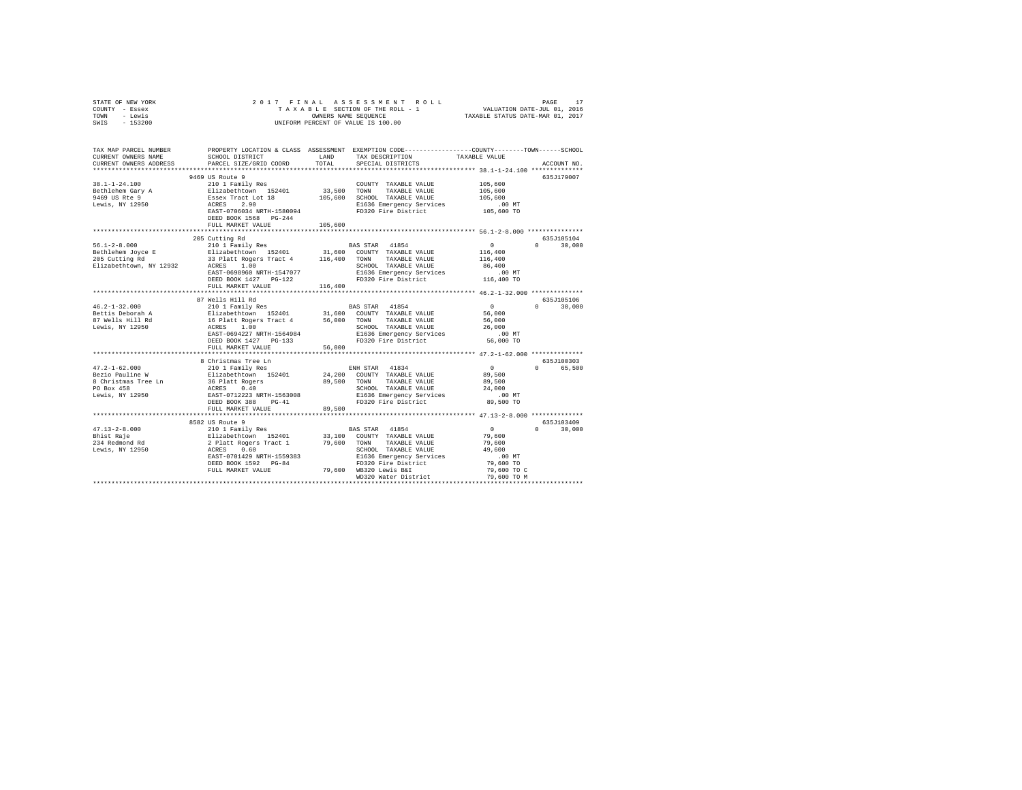| STATE OF NEW YORK            | 2017 FINAL                                                                                                                                                                         |                |                                                          | PAGE 17 אפשר 1963 אפשר 1968 אפשר 1974 אפשר 18 באפרטים ב-18 אפשר 18 בים 1974 אפשר 18 בים 1974 היית 1974 היית 19<br>TAXABLE SECTION OF THE ROLL - 1 וואר 1974 הוא 1974 היית 1974 היית 1974 היית 1974 היית 1974 היית 1974 היית 197 |
|------------------------------|------------------------------------------------------------------------------------------------------------------------------------------------------------------------------------|----------------|----------------------------------------------------------|---------------------------------------------------------------------------------------------------------------------------------------------------------------------------------------------------------------------------------|
| COUNTY - Essex               |                                                                                                                                                                                    |                |                                                          |                                                                                                                                                                                                                                 |
| - Lewis<br>TOWN              |                                                                                                                                                                                    |                |                                                          |                                                                                                                                                                                                                                 |
| $-153200$<br>SWIS            |                                                                                                                                                                                    |                | UNIFORM PERCENT OF VALUE IS 100.00                       |                                                                                                                                                                                                                                 |
|                              |                                                                                                                                                                                    |                |                                                          |                                                                                                                                                                                                                                 |
| TAX MAP PARCEL NUMBER        |                                                                                                                                                                                    |                |                                                          | PROPERTY LOCATION & CLASS ASSESSMENT EXEMPTION CODE---------------COUNTY-------TOWN------SCHOOL                                                                                                                                 |
| CURRENT OWNERS NAME          | SCHOOL DISTRICT                                                                                                                                                                    | LAND           | TAX DESCRIPTION                                          | TAXABLE VALUE                                                                                                                                                                                                                   |
| CURRENT OWNERS ADDRESS       | PARCEL SIZE/GRID COORD                                                                                                                                                             | TOTAL          | SPECIAL DISTRICTS                                        | ACCOUNT NO.                                                                                                                                                                                                                     |
|                              |                                                                                                                                                                                    |                |                                                          |                                                                                                                                                                                                                                 |
|                              | 9469 US Route 9                                                                                                                                                                    |                |                                                          | 635J179007                                                                                                                                                                                                                      |
| 38.1-1-24.100                | 210 1 Family Res                                                                                                                                                                   |                | COUNTY TAXABLE VALUE                                     | 105,600                                                                                                                                                                                                                         |
| Bethlehem Gary A             |                                                                                                                                                                                    | 33,500 TOWN    | TAXABLE VALUE                                            | 105,600                                                                                                                                                                                                                         |
| 9469 US Rte $9$              |                                                                                                                                                                                    |                | 105,600 SCHOOL TAXABLE VALUE                             | 105,600                                                                                                                                                                                                                         |
| Lewis, NY 12950              | 210 1 Family Res<br>Elizabethtown 152401<br>Essex Tract Lot 18<br>ACRES 2.90                                                                                                       |                | E1636 Emergency Services                                 | $.00$ MT                                                                                                                                                                                                                        |
|                              | EAST-0706034 NRTH-1580094                                                                                                                                                          |                | FD320 Fire District                                      | 105,600 TO                                                                                                                                                                                                                      |
|                              | DEED BOOK 1568 PG-244                                                                                                                                                              |                |                                                          |                                                                                                                                                                                                                                 |
|                              | FULL MARKET VALUE                                                                                                                                                                  | 105,600        |                                                          |                                                                                                                                                                                                                                 |
|                              |                                                                                                                                                                                    |                |                                                          |                                                                                                                                                                                                                                 |
|                              | 205 Cutting Rd                                                                                                                                                                     |                |                                                          | 635J105104                                                                                                                                                                                                                      |
| $56.1 - 2 - 8.000$           | 210 1 Family Res                                                                                                                                                                   |                | <b>BAS STAR 41854</b>                                    | $\sim$ 0<br>$\Omega$ and $\Omega$<br>30,000                                                                                                                                                                                     |
| Bethlehem Joyce E            | Elizabethtown 152401                                                                                                                                                               |                | 31,600 COUNTY TAXABLE VALUE                              | 116,400                                                                                                                                                                                                                         |
| 205 Cutting Rd               |                                                                                                                                                                                    |                |                                                          | 116,400                                                                                                                                                                                                                         |
|                              | 33 Platt Rogers Tract 4 116,400 TOWN TAXABLE VALUE<br>ACRES 1.00                                                                                                                   |                | SCHOOL TAXABLE VALUE                                     | 86,400                                                                                                                                                                                                                          |
| Elizabethtown, NY 12932      |                                                                                                                                                                                    |                |                                                          |                                                                                                                                                                                                                                 |
|                              | EAST-0698960 NRTH-1547077                                                                                                                                                          |                | E1636 Emergency Services                                 | .00MT                                                                                                                                                                                                                           |
|                              | DEED BOOK 1427 PG-122                                                                                                                                                              |                | FD320 Fire District                                      | 116,400 TO                                                                                                                                                                                                                      |
|                              | FULL MARKET VALUE<br>***************************                                                                                                                                   | 116,400        |                                                          |                                                                                                                                                                                                                                 |
|                              | 87 Wells Hill Rd                                                                                                                                                                   |                |                                                          | 635J105106                                                                                                                                                                                                                      |
|                              |                                                                                                                                                                                    |                |                                                          | $\Omega$<br>$\Omega$                                                                                                                                                                                                            |
| $46.2 - 1 - 32.000$          | 210 1 Family Res                                                                                                                                                                   |                | BAS STAR 41854                                           | 30,000                                                                                                                                                                                                                          |
| Bettis Deborah A             | Elizabethtown 152401<br>16 Platt Rogers Tract 4<br>ACRES 1.00                                                                                                                      |                | 31,600 COUNTY TAXABLE VALUE                              | 56,000                                                                                                                                                                                                                          |
| 87 Wells Hill Rd             |                                                                                                                                                                                    |                | 56,000 TOWN TAXABLE VALUE                                | 56,000                                                                                                                                                                                                                          |
| Lewis, NY 12950              |                                                                                                                                                                                    |                | SCHOOL TAXABLE VALUE                                     | 26,000                                                                                                                                                                                                                          |
|                              | EAST-0694227 NRTH-1564984                                                                                                                                                          |                | E1636 Emergency Services                                 | $.00$ MT                                                                                                                                                                                                                        |
|                              | DEED BOOK 1427 PG-133                                                                                                                                                              |                | FD320 Fire District                                      | 56,000 TO                                                                                                                                                                                                                       |
|                              | FULL MARKET VALUE                                                                                                                                                                  | 56,000         |                                                          |                                                                                                                                                                                                                                 |
|                              |                                                                                                                                                                                    | ************** |                                                          | **************** 47.2-1-62.000 **************                                                                                                                                                                                   |
|                              | 8 Christmas Tree Ln                                                                                                                                                                |                |                                                          | 635J100303                                                                                                                                                                                                                      |
| $47.2 - 1 - 62.000$          | 210 1 Family Res                                                                                                                                                                   |                | ENH STAR 41834                                           | $\sim$ 0<br>0 65,500                                                                                                                                                                                                            |
| Bezio Pauline W              | Elizabethtown 152401                                                                                                                                                               |                | 24,200 COUNTY TAXABLE VALUE<br>89,500 TOWN TAXABLE VALUE | 89,500                                                                                                                                                                                                                          |
| 8 Christmas Tree Ln          | 112abet<br>16 Platt Rogers<br>ACRES 0.40<br>EAST-0712223 NRTH-1563008                                                                                                              |                |                                                          | 89,500                                                                                                                                                                                                                          |
| PO Box 458                   |                                                                                                                                                                                    |                | SCHOOL TAXABLE VALUE                                     | 24,000                                                                                                                                                                                                                          |
| Lewis, NY 12950              |                                                                                                                                                                                    |                | E1636 Emergency Services                                 | $.00$ MT                                                                                                                                                                                                                        |
|                              | DEED BOOK 388 PG-41                                                                                                                                                                |                | FD320 Fire District                                      | 89,500 TO                                                                                                                                                                                                                       |
|                              | FULL MARKET VALUE                                                                                                                                                                  | 89,500         |                                                          |                                                                                                                                                                                                                                 |
|                              |                                                                                                                                                                                    |                |                                                          |                                                                                                                                                                                                                                 |
|                              | 8582 US Route 9                                                                                                                                                                    |                |                                                          | 635J103409                                                                                                                                                                                                                      |
| $47.13 - 2 - 8.000$          | --------- (1854)<br>210 1 Family Res (18401 1994) 23,100 COUNTY TAXABLE VALUE<br>2 Platt Rogers Tract 1 29,600 TOWN TAXABLE VALUE<br>2 RCRES (1860 1994) 2010 SCHOOL TAXABLE VALUE |                |                                                          | $\sim$ 0<br>$\Omega$ and $\Omega$<br>30,000                                                                                                                                                                                     |
| Bhist Raje<br>234 Redmond Rd |                                                                                                                                                                                    |                |                                                          | 79,600                                                                                                                                                                                                                          |
|                              |                                                                                                                                                                                    |                |                                                          | 79,600                                                                                                                                                                                                                          |
| Lewis, NY 12950              |                                                                                                                                                                                    |                |                                                          | 49,600                                                                                                                                                                                                                          |
|                              | EAST-0701429 NRTH-1559383                                                                                                                                                          |                | E1636 Emergency Services<br>FD320 Fire District          | $.00$ MT                                                                                                                                                                                                                        |
|                              | DEED BOOK 1592 PG-84                                                                                                                                                               |                |                                                          | 79,600 TO                                                                                                                                                                                                                       |
|                              | FULL MARKET VALUE                                                                                                                                                                  |                | 79,600 WB320 Lewis B&I                                   | 79,600 TO C                                                                                                                                                                                                                     |
|                              |                                                                                                                                                                                    |                | WD320 Water District                                     | 79,600 TO M                                                                                                                                                                                                                     |
|                              |                                                                                                                                                                                    |                |                                                          |                                                                                                                                                                                                                                 |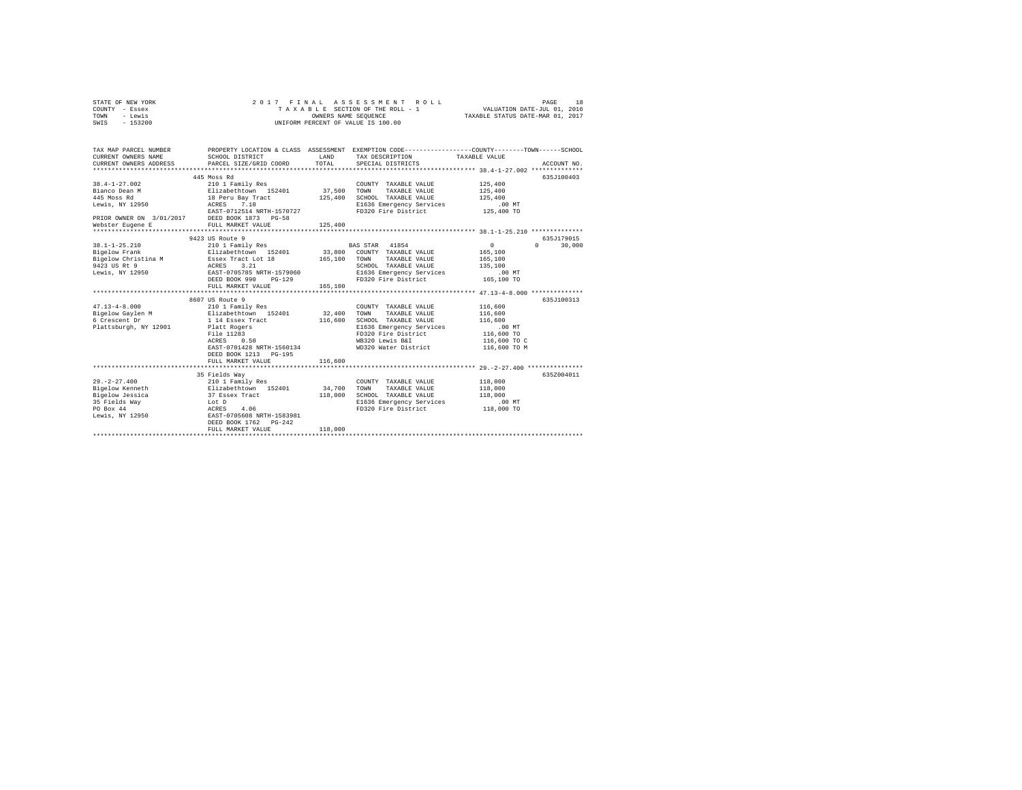|      | STATE OF NEW YORK |  |  | 2017 FINAL ASSESSMENT ROLL         | PAGE                             | 18 |
|------|-------------------|--|--|------------------------------------|----------------------------------|----|
|      | COUNTY - Essex    |  |  | TAXABLE SECTION OF THE ROLL - 1    | VALUATION DATE-JUL 01, 2016      |    |
| TOWN | - Lewis           |  |  | OWNERS NAME SEOUENCE               | TAXABLE STATUS DATE-MAR 01, 2017 |    |
| SWIS | $-153200$         |  |  | UNIFORM PERCENT OF VALUE IS 100.00 |                                  |    |

| TAX MAP PARCEL NUMBER<br>CURRENT OWNERS NAME                                           | SCHOOL DISTRICT<br>CURRENT OWNERS ADDRESS PARCEL SIZE/GRID COORD                                                                                                                                                                                                     | LAND<br>TOTAL           | PROPERTY LOCATION & CLASS ASSESSMENT EXEMPTION CODE----------------COUNTY-------TOWN-----SCHOOL<br>TAX DESCRIPTION TAXABLE VALUE<br>SPECIAL DISTRICTS                                                                                    |                                                                                       | ACCOUNT NO.          |
|----------------------------------------------------------------------------------------|----------------------------------------------------------------------------------------------------------------------------------------------------------------------------------------------------------------------------------------------------------------------|-------------------------|------------------------------------------------------------------------------------------------------------------------------------------------------------------------------------------------------------------------------------------|---------------------------------------------------------------------------------------|----------------------|
| $38.4 - 1 - 27.002$<br>Bianco Dean M<br>445 Moss Rd<br>Lewis, NY 12950 ACRES           | 445 Moss Rd<br>210 1 Family Res<br>Elizabethtown 152401<br>18 Peru Bay Tract<br>7.10<br>EAST-0712514 NRTH-1570727<br>PRIOR OWNER ON 3/01/2017 DEED BOOK 1873 PG-58<br>Webster Eugene E FULL MARKET VALUE                                                             | 37,500 TOWN<br>125,400  | COUNTY TAXABLE VALUE<br>TAXABLE VALUE<br>SCHOOL TAXABLE VALUE<br>E1636 Emergency Services<br>FD320 Fire District 125,400 TO                                                                                                              | 125,400<br>125,400<br>125,400<br>.00MT                                                | 635.T100403          |
| Bigelow Christina M Essex Tract Lot 18<br>9423 US Rt 9<br>Lewis, NY 12950              | 9423 US Route 9<br>38.1-1-25.210          210 1 Family Res            BAS STAR  41854<br>Bigelow Frank          Elizabethtown  152401      33,800  COUNTY TAXABLE VALUE<br>ACRES 3.21<br>EAST-0705785 NRTH-1579060<br>DEED BOOK 990<br>$PG-129$<br>FULL MARKET VALUE | 165,100<br>165,100      | TAXABLE VALUE<br>TOWN<br>SCHOOL TAXABLE VALUE<br>E1636 Emergency Services<br>FD320 Fire District                                                                                                                                         | $\Omega$<br>$\mathbf{a}$<br>165,100<br>165,100<br>135,100<br>$.00$ MT<br>165,100 TO   | 635J179015<br>30,000 |
| $47.13 - 4 - 8.000$<br>6 Crescent Dr<br>Plattsburgh, NY 12901                          | 8607 US Route 9<br>210 1 Family Res<br>Bigelow Gaylen M Blizabethtown 152401 32,400<br>1 14 Essex Tract<br>Platt Rogers<br>File 11283<br>ACRES<br>0.50<br>EAST-0701428 NRTH-1560134<br>DEED BOOK 1213 PG-195<br>FULL MARKET VALUE                                    | 116,600<br>116,600<br>. | COUNTY TAXABLE VALUE<br>TOWN<br>TAXABLE VALUE<br>SCHOOL TAXABLE VALUE<br>E1636 Emergency Services<br>FD320 Fire District<br>WB320 Lewis B&I<br>WD320 Water District<br>*********************************** 29.-2-27.400 **************** | 116,600<br>116,600<br>116,600<br>.00 MT<br>116,600 TO<br>116,600 TO C<br>116,600 TO M | 635J100313           |
| $29. - 2 - 27.400$<br>Bigelow Kenneth<br>Bigelow Jessica<br>35 Fields Way<br>PO Box 44 | 35 Fields Way<br>210 1 Family Res<br>Elizabethtown 152401 34,700 TOWN<br>37 Essex Tract<br>Lot D<br>ACRES<br>4.06<br>Lewis, NY 12950 EAST-0705608 NRTH-1583981<br>DEED BOOK 1762 PG-242<br>FULL MARKET VALUE                                                         | 118,000<br>118,000      | COUNTY TAXABLE VALUE<br>TAXABLE VALUE<br>SCHOOL TAXABLE VALUE<br>E1636 Emergency Services<br>FD320 Fire District                                                                                                                         | 118,000<br>118,000<br>118,000<br>.00 MT<br>118,000 TO                                 | 635Z004011           |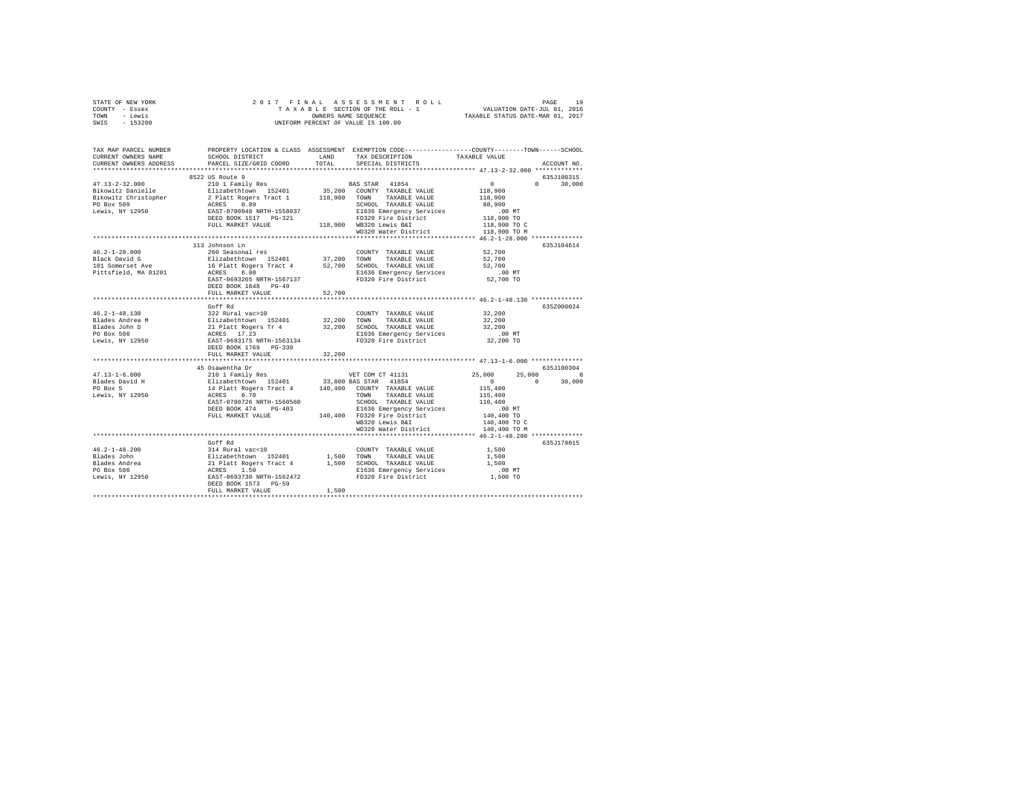| STATE OF NEW YORK                                                                                                                                                                                                                                                                                                                                                                                                    |                              |        |                   |            |               |
|----------------------------------------------------------------------------------------------------------------------------------------------------------------------------------------------------------------------------------------------------------------------------------------------------------------------------------------------------------------------------------------------------------------------|------------------------------|--------|-------------------|------------|---------------|
| COUNTY - Essex                                                                                                                                                                                                                                                                                                                                                                                                       |                              |        |                   |            |               |
| TOWN - Lewis                                                                                                                                                                                                                                                                                                                                                                                                         |                              |        |                   |            |               |
| SWIS - 153200                                                                                                                                                                                                                                                                                                                                                                                                        |                              |        |                   |            |               |
|                                                                                                                                                                                                                                                                                                                                                                                                                      |                              |        |                   |            |               |
|                                                                                                                                                                                                                                                                                                                                                                                                                      |                              |        |                   |            |               |
|                                                                                                                                                                                                                                                                                                                                                                                                                      |                              |        |                   |            |               |
| TAX MAP PARCEL NUMBER PROPERTY LOCATION & CLASS ASSESSMENT EXEMPTION CODE--------------COUNTY-------TOWN------SCHOOL<br>CURRENT OWNERS NAME SCHOOL DISTRICT LAND TAX DESCRIPTION TAXARLE VALUE                                                                                                                                                                                                                       |                              |        |                   |            |               |
|                                                                                                                                                                                                                                                                                                                                                                                                                      |                              |        |                   |            |               |
| CURRENT OWNERS ADDRESS                                                                                                                                                                                                                                                                                                                                                                                               | PARCEL SIZE/GRID COORD TOTAL |        | SPECIAL DISTRICTS |            | ACCOUNT NO.   |
|                                                                                                                                                                                                                                                                                                                                                                                                                      |                              |        |                   |            |               |
|                                                                                                                                                                                                                                                                                                                                                                                                                      | 8522 US Route 9              |        |                   |            | 635J100315    |
|                                                                                                                                                                                                                                                                                                                                                                                                                      |                              |        |                   |            | $0 \t 30,000$ |
|                                                                                                                                                                                                                                                                                                                                                                                                                      |                              |        |                   |            |               |
|                                                                                                                                                                                                                                                                                                                                                                                                                      |                              |        |                   |            |               |
|                                                                                                                                                                                                                                                                                                                                                                                                                      |                              |        |                   |            |               |
|                                                                                                                                                                                                                                                                                                                                                                                                                      |                              |        |                   |            |               |
| $\begin{tabular}{l c c c c} \multicolumn{1}{c}{\textbf{47.13--2-32.000}} & \multicolumn{1}{c}{\textbf{52.2 U5}} & \multicolumn{1}{c}{\textbf{53.2 U5}} & \multicolumn{1}{c}{\textbf{54.2 U5}} & \multicolumn{1}{c}{\textbf{55.2 U5}} & \multicolumn{1}{c}{\textbf{55.2 U5}} & \multicolumn{1}{c}{\textbf{56.2 U5}} & \multicolumn{1}{c}{\textbf{58.2 U5}} & \multicolumn{1}{c}{\textbf{59.2 U5}} & \multicolumn{1}{$ |                              |        |                   |            |               |
|                                                                                                                                                                                                                                                                                                                                                                                                                      |                              |        |                   |            |               |
|                                                                                                                                                                                                                                                                                                                                                                                                                      |                              |        |                   |            |               |
|                                                                                                                                                                                                                                                                                                                                                                                                                      |                              |        |                   |            |               |
|                                                                                                                                                                                                                                                                                                                                                                                                                      |                              |        |                   |            |               |
|                                                                                                                                                                                                                                                                                                                                                                                                                      |                              |        |                   |            | 635J104614    |
|                                                                                                                                                                                                                                                                                                                                                                                                                      |                              |        |                   |            |               |
|                                                                                                                                                                                                                                                                                                                                                                                                                      |                              |        |                   |            |               |
|                                                                                                                                                                                                                                                                                                                                                                                                                      |                              |        |                   |            |               |
|                                                                                                                                                                                                                                                                                                                                                                                                                      |                              |        |                   |            |               |
|                                                                                                                                                                                                                                                                                                                                                                                                                      |                              |        |                   |            |               |
|                                                                                                                                                                                                                                                                                                                                                                                                                      |                              |        |                   |            |               |
|                                                                                                                                                                                                                                                                                                                                                                                                                      | DEED BOOK 1848 PG-49         |        |                   |            |               |
|                                                                                                                                                                                                                                                                                                                                                                                                                      | FULL MARKET VALUE            | 52,700 |                   |            |               |
|                                                                                                                                                                                                                                                                                                                                                                                                                      |                              |        |                   |            |               |
|                                                                                                                                                                                                                                                                                                                                                                                                                      |                              |        |                   |            | 635Z000024    |
|                                                                                                                                                                                                                                                                                                                                                                                                                      |                              |        |                   |            |               |
|                                                                                                                                                                                                                                                                                                                                                                                                                      |                              |        |                   |            |               |
|                                                                                                                                                                                                                                                                                                                                                                                                                      |                              |        |                   |            |               |
|                                                                                                                                                                                                                                                                                                                                                                                                                      |                              |        |                   |            |               |
|                                                                                                                                                                                                                                                                                                                                                                                                                      |                              |        |                   |            |               |
|                                                                                                                                                                                                                                                                                                                                                                                                                      |                              |        |                   |            |               |
|                                                                                                                                                                                                                                                                                                                                                                                                                      |                              |        |                   |            |               |
|                                                                                                                                                                                                                                                                                                                                                                                                                      | FULL MARKET VALUE            | 32,200 |                   |            |               |
|                                                                                                                                                                                                                                                                                                                                                                                                                      |                              |        |                   |            |               |
|                                                                                                                                                                                                                                                                                                                                                                                                                      | 45 Osawentha Dr              |        |                   | 635J100304 |               |
|                                                                                                                                                                                                                                                                                                                                                                                                                      |                              |        |                   |            |               |
|                                                                                                                                                                                                                                                                                                                                                                                                                      |                              |        |                   |            |               |
|                                                                                                                                                                                                                                                                                                                                                                                                                      |                              |        |                   |            |               |
|                                                                                                                                                                                                                                                                                                                                                                                                                      |                              |        |                   |            |               |
|                                                                                                                                                                                                                                                                                                                                                                                                                      |                              |        |                   |            |               |
|                                                                                                                                                                                                                                                                                                                                                                                                                      |                              |        |                   |            |               |
|                                                                                                                                                                                                                                                                                                                                                                                                                      |                              |        |                   |            |               |
|                                                                                                                                                                                                                                                                                                                                                                                                                      |                              |        |                   |            |               |
|                                                                                                                                                                                                                                                                                                                                                                                                                      |                              |        |                   |            |               |
| $\begin{tabular}{l c c c c c} \multicolumn{3}{c}{\textbf{47.13--1-6.000}} & \multicolumn{3}{c}{\textbf{49.13--1-6.000}} & \multicolumn{3}{c}{\textbf{50.13--1-6.000}} & \multicolumn{3}{c}{\textbf{50.13--1-6.000}} & \multicolumn{3}{c}{\textbf{50.13--1-6.000}} & \multicolumn{3}{c}{\textbf{6.13--1-6.000}} & \multicolumn{3}{c}{\textbf{6.13--1-6.000}} & \multicolumn{3}{c$                                     |                              |        |                   |            |               |
|                                                                                                                                                                                                                                                                                                                                                                                                                      |                              |        |                   |            |               |
|                                                                                                                                                                                                                                                                                                                                                                                                                      | Goff Rd                      |        |                   |            | 635J178015    |
|                                                                                                                                                                                                                                                                                                                                                                                                                      |                              |        |                   |            |               |
|                                                                                                                                                                                                                                                                                                                                                                                                                      |                              |        |                   |            |               |
|                                                                                                                                                                                                                                                                                                                                                                                                                      |                              |        |                   |            |               |
|                                                                                                                                                                                                                                                                                                                                                                                                                      |                              |        |                   |            |               |
|                                                                                                                                                                                                                                                                                                                                                                                                                      |                              |        |                   |            |               |
|                                                                                                                                                                                                                                                                                                                                                                                                                      |                              |        |                   |            |               |
| $\begin{tabular}{lcccc} 46.2-1-48.200 & 3014 Rucal vac<10 & 0.00RTY & TAXABLE VALUE & 1,500 \\ \hline Blades John & 314 Rucal vac<10 & 1,500 & 0.0027 MXABLE VALUE & 1,500 \\ \hline Blackes John & 211aklet November 152401 & 1,500 & 5000L TAXABLE VALUE & 1,500 \\ \hline PQ Box 508 & 212hat before 1,500 & 212hat before 1,500 \\ \hline PQ Box 508 & 21.50 & 21.50 & 1.500 \\ \hline L$                        |                              |        |                   |            |               |
|                                                                                                                                                                                                                                                                                                                                                                                                                      |                              |        |                   |            |               |
|                                                                                                                                                                                                                                                                                                                                                                                                                      |                              |        |                   |            |               |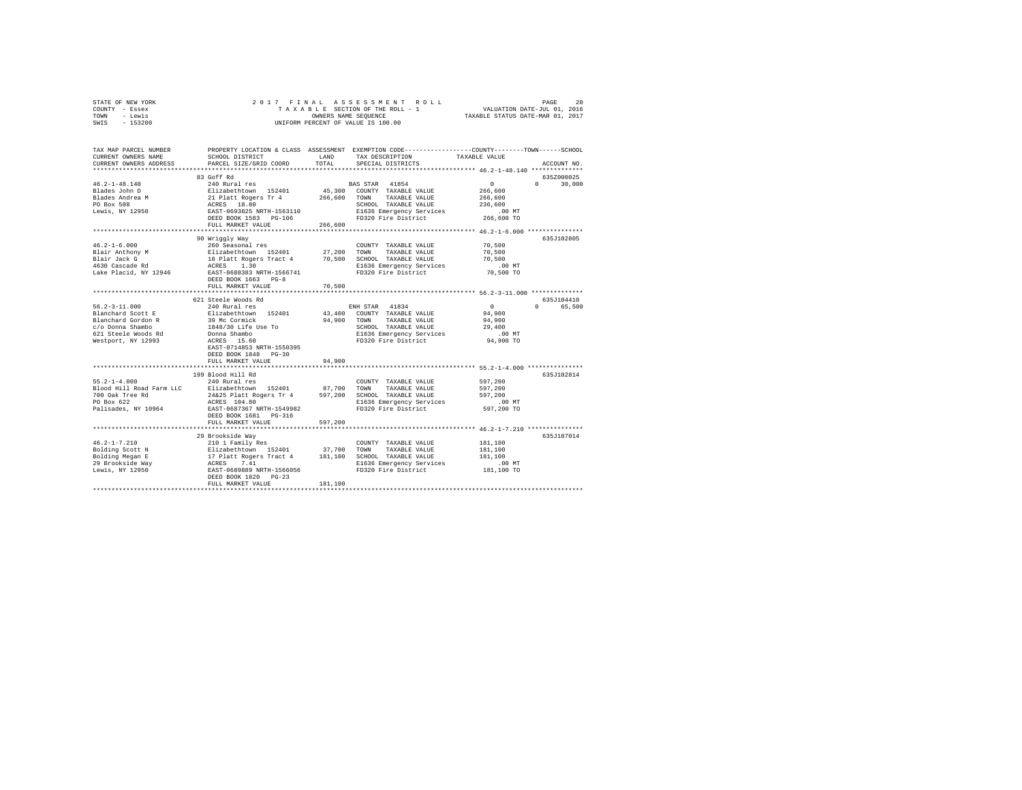| STATE OF NEW YORK     | 2017 FINAL ASSESSMENT ROLL         |                                  | PAGE                        | 20 |
|-----------------------|------------------------------------|----------------------------------|-----------------------------|----|
| COUNTY - Essex        | TAXABLE SECTION OF THE ROLL - 1    |                                  | VALUATION DATE-JUL 01, 2016 |    |
| - Lewis<br>TOWN       | OWNERS NAME SEOUENCE               | TAXABLE STATUS DATE-MAR 01, 2017 |                             |    |
| SWIS<br>$-153200$     | UNIFORM PERCENT OF VALUE IS 100.00 |                                  |                             |    |
|                       |                                    |                                  |                             |    |
|                       |                                    |                                  |                             |    |
|                       |                                    |                                  |                             |    |
| TAY MAD DADGET MINDED |                                    |                                  |                             |    |

| TAX MAP PARCEL NUMBER                                                                                                                                                                                                                                                                                                                                                                                                             |                           |         | PROPERTY LOCATION & CLASS ASSESSMENT EXEMPTION CODE---------------COUNTY-------TOWN-----SCHOOL                                                                                    |                                        |                    |
|-----------------------------------------------------------------------------------------------------------------------------------------------------------------------------------------------------------------------------------------------------------------------------------------------------------------------------------------------------------------------------------------------------------------------------------|---------------------------|---------|-----------------------------------------------------------------------------------------------------------------------------------------------------------------------------------|----------------------------------------|--------------------|
| CURRENT OWNERS NAME                                                                                                                                                                                                                                                                                                                                                                                                               | SCHOOL DISTRICT           | LAND    | TAX DESCRIPTION                                                                                                                                                                   | TAXABLE VALUE                          |                    |
| CURRENT OWNERS ADDRESS                                                                                                                                                                                                                                                                                                                                                                                                            | PARCEL SIZE/GRID COORD    | TOTAL   | SPECIAL DISTRICTS                                                                                                                                                                 |                                        | ACCOUNT NO.        |
|                                                                                                                                                                                                                                                                                                                                                                                                                                   |                           |         |                                                                                                                                                                                   |                                        |                    |
|                                                                                                                                                                                                                                                                                                                                                                                                                                   | 83 Goff Rd                |         |                                                                                                                                                                                   |                                        | 635Z000025         |
|                                                                                                                                                                                                                                                                                                                                                                                                                                   |                           |         | BAS STAR 41854                                                                                                                                                                    | $\sim$ 0                               | $\Omega$<br>30,000 |
|                                                                                                                                                                                                                                                                                                                                                                                                                                   |                           |         | 45,300 COUNTY TAXABLE VALUE                                                                                                                                                       | 266,600                                |                    |
|                                                                                                                                                                                                                                                                                                                                                                                                                                   |                           |         | 266,600 TOWN TAXABLE VALUE                                                                                                                                                        | 266,600                                |                    |
|                                                                                                                                                                                                                                                                                                                                                                                                                                   |                           |         | SCHOOL TAXABLE VALUE                                                                                                                                                              | 236,600                                |                    |
|                                                                                                                                                                                                                                                                                                                                                                                                                                   |                           |         |                                                                                                                                                                                   |                                        |                    |
|                                                                                                                                                                                                                                                                                                                                                                                                                                   |                           |         |                                                                                                                                                                                   |                                        |                    |
|                                                                                                                                                                                                                                                                                                                                                                                                                                   | FULL MARKET VALUE         | 266,600 |                                                                                                                                                                                   |                                        |                    |
|                                                                                                                                                                                                                                                                                                                                                                                                                                   |                           |         |                                                                                                                                                                                   |                                        |                    |
|                                                                                                                                                                                                                                                                                                                                                                                                                                   | 90 Wriggly Way            |         |                                                                                                                                                                                   |                                        | 635J102805         |
| $46.2 - 1 - 6.000$                                                                                                                                                                                                                                                                                                                                                                                                                | 260 Seasonal res          |         | COUNTY TAXABLE VALUE                                                                                                                                                              | 70,500                                 |                    |
| Blair Anthony M                                                                                                                                                                                                                                                                                                                                                                                                                   |                           |         |                                                                                                                                                                                   | 70,500                                 |                    |
| Blair Jack G                                                                                                                                                                                                                                                                                                                                                                                                                      |                           |         |                                                                                                                                                                                   | 70,500                                 |                    |
| $4630$ Cascade Rd                                                                                                                                                                                                                                                                                                                                                                                                                 |                           |         | % Jeasona - 1882<br>18 Siizabethcown 152401 - 27,200 TOWN TAXABLE VALUE<br>18 Platt Rogers Tract 4 - 70,500 SCHOOL TAXABLE VALUE<br>ACRES - 1.30 - 2008 - 1636 Emergency Services | $.00$ MT                               |                    |
| Lake Placid, NY 12946 EAST-0688383 NRTH-1566741                                                                                                                                                                                                                                                                                                                                                                                   |                           |         | FD320 Fire District                                                                                                                                                               | 70,500 TO                              |                    |
|                                                                                                                                                                                                                                                                                                                                                                                                                                   | DEED BOOK 1663 PG-8       |         |                                                                                                                                                                                   |                                        |                    |
|                                                                                                                                                                                                                                                                                                                                                                                                                                   | FULL MARKET VALUE         | 70,500  |                                                                                                                                                                                   |                                        |                    |
|                                                                                                                                                                                                                                                                                                                                                                                                                                   |                           |         |                                                                                                                                                                                   |                                        |                    |
|                                                                                                                                                                                                                                                                                                                                                                                                                                   | 621 Steele Woods Rd       |         |                                                                                                                                                                                   |                                        | 635J104410         |
|                                                                                                                                                                                                                                                                                                                                                                                                                                   |                           |         | ENH STAR 41834                                                                                                                                                                    |                                        | $\Omega$<br>65,500 |
|                                                                                                                                                                                                                                                                                                                                                                                                                                   |                           |         | 43,400 COUNTY TAXABLE VALUE                                                                                                                                                       | $\begin{array}{c}0\\94,900\end{array}$ |                    |
|                                                                                                                                                                                                                                                                                                                                                                                                                                   |                           |         | 94,900 TOWN TAXABLE VALUE                                                                                                                                                         | 94,900                                 |                    |
|                                                                                                                                                                                                                                                                                                                                                                                                                                   |                           |         | SCHOOL TAXABLE VALUE                                                                                                                                                              | 29,400                                 |                    |
|                                                                                                                                                                                                                                                                                                                                                                                                                                   |                           |         |                                                                                                                                                                                   |                                        |                    |
|                                                                                                                                                                                                                                                                                                                                                                                                                                   |                           |         |                                                                                                                                                                                   |                                        |                    |
|                                                                                                                                                                                                                                                                                                                                                                                                                                   | EAST-0714853 NRTH-1550395 |         |                                                                                                                                                                                   |                                        |                    |
|                                                                                                                                                                                                                                                                                                                                                                                                                                   | DEED BOOK 1848 PG-30      |         |                                                                                                                                                                                   |                                        |                    |
|                                                                                                                                                                                                                                                                                                                                                                                                                                   | FULL MARKET VALUE         | 94,900  |                                                                                                                                                                                   |                                        |                    |
|                                                                                                                                                                                                                                                                                                                                                                                                                                   |                           |         |                                                                                                                                                                                   |                                        |                    |
|                                                                                                                                                                                                                                                                                                                                                                                                                                   | 199 Blood Hill Rd         |         |                                                                                                                                                                                   |                                        | 635J102814         |
| $55.2 - 1 - 4.000$                                                                                                                                                                                                                                                                                                                                                                                                                |                           |         | COUNTY TAXABLE VALUE 597,200                                                                                                                                                      |                                        |                    |
|                                                                                                                                                                                                                                                                                                                                                                                                                                   | 240 Rural res             |         |                                                                                                                                                                                   |                                        |                    |
|                                                                                                                                                                                                                                                                                                                                                                                                                                   |                           |         |                                                                                                                                                                                   | 597,200<br>597.200                     |                    |
|                                                                                                                                                                                                                                                                                                                                                                                                                                   |                           |         |                                                                                                                                                                                   |                                        |                    |
|                                                                                                                                                                                                                                                                                                                                                                                                                                   |                           |         | E1636 Emergency Services<br>FD320 Fire District                                                                                                                                   | $.00$ MT<br>597,200 TO                 |                    |
|                                                                                                                                                                                                                                                                                                                                                                                                                                   |                           |         |                                                                                                                                                                                   |                                        |                    |
|                                                                                                                                                                                                                                                                                                                                                                                                                                   | DEED BOOK 1681 PG-316     |         |                                                                                                                                                                                   |                                        |                    |
|                                                                                                                                                                                                                                                                                                                                                                                                                                   | FULL MARKET VALUE         | 597,200 |                                                                                                                                                                                   |                                        |                    |
|                                                                                                                                                                                                                                                                                                                                                                                                                                   |                           |         |                                                                                                                                                                                   |                                        |                    |
|                                                                                                                                                                                                                                                                                                                                                                                                                                   | 29 Brookside Way          |         |                                                                                                                                                                                   |                                        | 635J187014         |
|                                                                                                                                                                                                                                                                                                                                                                                                                                   |                           |         |                                                                                                                                                                                   | 181,100                                |                    |
|                                                                                                                                                                                                                                                                                                                                                                                                                                   |                           |         |                                                                                                                                                                                   | 181,100                                |                    |
|                                                                                                                                                                                                                                                                                                                                                                                                                                   |                           |         |                                                                                                                                                                                   | 181,100                                |                    |
|                                                                                                                                                                                                                                                                                                                                                                                                                                   |                           |         | E1636 Emergency Services                                                                                                                                                          | .00 MT                                 |                    |
|                                                                                                                                                                                                                                                                                                                                                                                                                                   |                           |         |                                                                                                                                                                                   | 181,100 TO                             |                    |
| $\begin{tabular}{l c c c c c} \multicolumn{1}{c}{46.2-1-7.210} & \multicolumn{1}{c}{210.111} & \multicolumn{1}{c}{18.21} & \multicolumn{1}{c}{210.11} & \multicolumn{1}{c}{18.21} & \multicolumn{1}{c}{37.700} & \multicolumn{1}{c}{\text{COWTY}} & \multicolumn{1}{c}{\text{TAXABLE VALUE}} \\ \hline \text{Bolding Scott N} & \text{E1izabethChow} & \text{D124} & \text{37.700} & \text{TONN} & \text{TAXABLE VALUE} \\ \text$ |                           |         |                                                                                                                                                                                   |                                        |                    |
|                                                                                                                                                                                                                                                                                                                                                                                                                                   | FULL MARKET VALUE         | 181,100 |                                                                                                                                                                                   |                                        |                    |
|                                                                                                                                                                                                                                                                                                                                                                                                                                   |                           |         |                                                                                                                                                                                   |                                        |                    |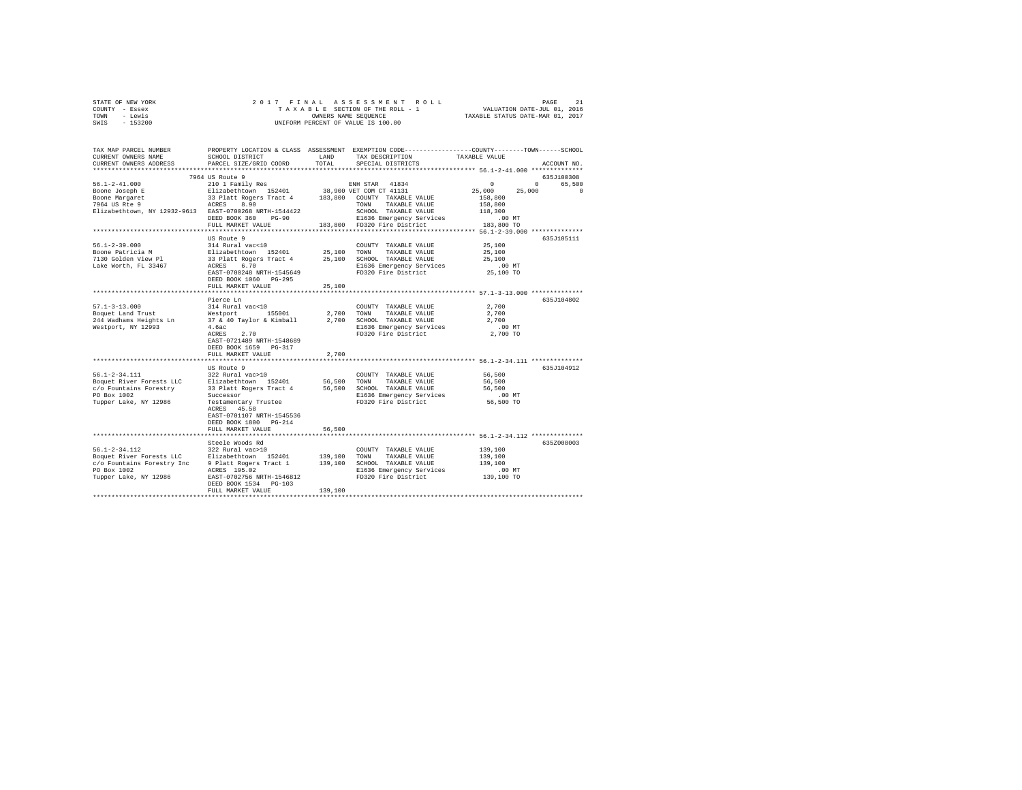|      | STATE OF NEW YORK |  |  |  |                                    |  |  |  | 2017 FINAL ASSESSMENT ROLL |                                  | PAGE | 21 |
|------|-------------------|--|--|--|------------------------------------|--|--|--|----------------------------|----------------------------------|------|----|
|      | COUNTY - Essex    |  |  |  | TAXABLE SECTION OF THE ROLL - 1    |  |  |  |                            | VALUATION DATE-JUL 01, 2016      |      |    |
| TOWN | - Lewis           |  |  |  | OWNERS NAME SEOUENCE               |  |  |  |                            | TAXABLE STATUS DATE-MAR 01, 2017 |      |    |
| SWIS | $-153200$         |  |  |  | UNIFORM PERCENT OF VALUE IS 100.00 |  |  |  |                            |                                  |      |    |

| TAX MAP PARCEL NUMBER<br>CURRENT OWNERS NAME<br>CURRENT OWNERS ADDRESS | SCHOOL DISTRICT<br>PARCEL SIZE/GRID COORD            | LAND<br>TOTAL | PROPERTY LOCATION & CLASS ASSESSMENT EXEMPTION CODE---------------COUNTY-------TOWN------SCHOOL<br>TAX DESCRIPTION<br>SPECIAL DISTRICTS | TAXABLE VALUE                                            | ACCOUNT NO. |
|------------------------------------------------------------------------|------------------------------------------------------|---------------|-----------------------------------------------------------------------------------------------------------------------------------------|----------------------------------------------------------|-------------|
|                                                                        |                                                      |               |                                                                                                                                         |                                                          |             |
|                                                                        | 7964 US Route 9                                      |               |                                                                                                                                         |                                                          | 635J100308  |
| $56.1 - 2 - 41.000$                                                    | 210 1 Family Res                                     |               | ENH STAR 41834                                                                                                                          | $\Omega$<br>$\Omega$                                     | 65,500      |
| Boone Joseph E                                                         | Elizabethtown 152401                                 |               | 38,900 VET COM CT 41131                                                                                                                 | 25,000<br>25,000                                         | $\Omega$    |
| Boone Margaret                                                         | 33 Platt Rogers Tract 4 183,800 COUNTY TAXABLE VALUE |               |                                                                                                                                         | 158,800                                                  |             |
| 7964 US Rte 9                                                          | 8.90<br>ACRES                                        |               | TOWN<br>TAXABLE VALUE                                                                                                                   | 158,800                                                  |             |
| Elizabethtown, NY 12932-9613 EAST-0700268 NRTH-1544422                 |                                                      |               | SCHOOL TAXABLE VALUE                                                                                                                    | 118,300                                                  |             |
|                                                                        | DEED BOOK 360 PG-90                                  |               | E1636 Emergency Services                                                                                                                | $.00$ MT                                                 |             |
|                                                                        | FULL MARKET VALUE                                    |               | 183,800 FD320 Fire District                                                                                                             | 183,800 TO                                               |             |
|                                                                        |                                                      |               |                                                                                                                                         |                                                          |             |
|                                                                        | US Route 9                                           |               |                                                                                                                                         |                                                          | 635J105111  |
| $56.1 - 2 - 39.000$                                                    | 314 Rural vac<10                                     |               | COUNTY TAXABLE VALUE                                                                                                                    | 25,100                                                   |             |
| Boone Patricia M                                                       | Elizabethtown 152401 25,100 TOWN                     |               | TAXABLE VALUE                                                                                                                           | 25,100                                                   |             |
| 7130 Golden View Pl                                                    | 33 Platt Rogers Tract 4                              |               | 25,100 SCHOOL TAXABLE VALUE                                                                                                             | 25,100                                                   |             |
| Lake Worth, FL 33467                                                   | ACRES<br>6.70                                        |               | E1636 Emergency Services                                                                                                                | .00 MT                                                   |             |
|                                                                        | EAST-0700248 NRTH-1545649                            |               | FD320 Fire District                                                                                                                     | 25,100 TO                                                |             |
|                                                                        | DEED BOOK 1060 PG-295                                |               |                                                                                                                                         |                                                          |             |
|                                                                        | FULL MARKET VALUE                                    | 25,100        |                                                                                                                                         |                                                          |             |
|                                                                        |                                                      |               |                                                                                                                                         |                                                          |             |
|                                                                        | Pierce Ln                                            |               |                                                                                                                                         | 2,700                                                    | 635J104802  |
| $57.1 - 3 - 13.000$                                                    | 314 Rural vac<10<br>Westport 155001                  |               | COUNTY TAXABLE VALUE<br>2.700 TOWN                                                                                                      | 2,700                                                    |             |
| Boquet Land Trust<br>244 Wadhams Heights Ln                            | 37 & 40 Taylor & Kimball                             |               | TAXABLE VALUE<br>2,700 SCHOOL TAXABLE VALUE                                                                                             | 2,700                                                    |             |
| Westport, NY 12993                                                     | 4.6ac                                                |               | E1636 Emergency Services                                                                                                                | $.00$ MT                                                 |             |
|                                                                        | 2.70<br>ACRES                                        |               | FD320 Fire District                                                                                                                     | 2,700 TO                                                 |             |
|                                                                        | EAST-0721489 NRTH-1548689                            |               |                                                                                                                                         |                                                          |             |
|                                                                        | DEED BOOK 1659 PG-317                                |               |                                                                                                                                         |                                                          |             |
|                                                                        | FULL MARKET VALUE                                    | 2,700         |                                                                                                                                         |                                                          |             |
|                                                                        | **************************                           |               |                                                                                                                                         | ********************* 56.1-2-34.111 **************       |             |
|                                                                        | US Route 9                                           |               |                                                                                                                                         |                                                          | 635J104912  |
| $56.1 - 2 - 34.111$                                                    | 322 Rural vac>10                                     |               | COUNTY TAXABLE VALUE                                                                                                                    | 56,500                                                   |             |
| Boquet River Forests LLC                                               | Elizabethtown 152401                                 |               | 56,500 TOWN TAXABLE VALUE                                                                                                               | 56,500                                                   |             |
| c/o Fountains Forestry                                                 |                                                      |               | 33 Platt Rogers Tract 4 56,500 SCHOOL TAXABLE VALUE                                                                                     | 56,500                                                   |             |
| PO Box 1002                                                            | Successor                                            |               | E1636 Emergency Services                                                                                                                | $.00$ MT                                                 |             |
| Tupper Lake, NY 12986                                                  | Testamentary Trustee                                 |               | FD320 Fire District                                                                                                                     | 56,500 TO                                                |             |
|                                                                        | ACRES 45.58                                          |               |                                                                                                                                         |                                                          |             |
|                                                                        | EAST-0701107 NRTH-1545536                            |               |                                                                                                                                         |                                                          |             |
|                                                                        | DEED BOOK 1800 PG-214                                |               |                                                                                                                                         |                                                          |             |
|                                                                        | FULL MARKET VALUE                                    | 56,500        |                                                                                                                                         |                                                          |             |
|                                                                        | ************************                             |               |                                                                                                                                         | **************************** 56.1-2-34.112 ************* |             |
|                                                                        | Steele Woods Rd                                      |               |                                                                                                                                         |                                                          | 635Z008003  |
| $56.1 - 2 - 34.112$                                                    | 322 Rural vac>10                                     |               | COUNTY TAXABLE VALUE                                                                                                                    | 139,100                                                  |             |
| Boquet River Forests LLC Blizabethtown 152401                          |                                                      | 139,100 TOWN  | TAXABLE VALUE                                                                                                                           | 139,100                                                  |             |
| c/o Fountains Forestry Inc                                             | 9 Platt Rogers Tract 1                               |               | 139,100 SCHOOL TAXABLE VALUE                                                                                                            | 139,100                                                  |             |
| PO Box 1002                                                            | ACRES 195.02                                         |               | E1636 Emergency Services                                                                                                                | $.00$ MT                                                 |             |
| Tupper Lake, NY 12986                                                  | EAST-0702756 NRTH-1546812                            |               | FD320 Fire District                                                                                                                     | 139,100 TO                                               |             |
|                                                                        | DEED BOOK 1534 PG-103                                |               |                                                                                                                                         |                                                          |             |
|                                                                        | FULL MARKET VALUE                                    | 139,100       |                                                                                                                                         |                                                          |             |
|                                                                        |                                                      |               |                                                                                                                                         |                                                          |             |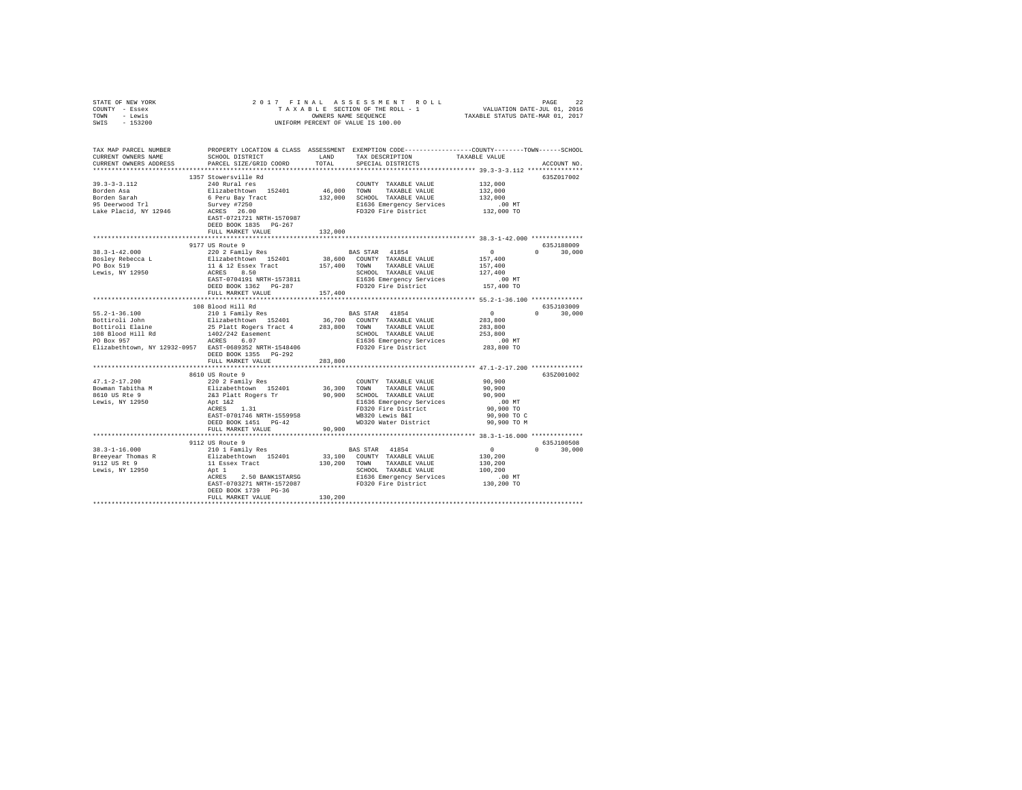| STATE OF NEW YORK                                    |                            |               |                                                                                                                                                                                                                                                                                                                                                                                                                            |                                                           |               |
|------------------------------------------------------|----------------------------|---------------|----------------------------------------------------------------------------------------------------------------------------------------------------------------------------------------------------------------------------------------------------------------------------------------------------------------------------------------------------------------------------------------------------------------------------|-----------------------------------------------------------|---------------|
| COUNTY - Essex                                       |                            |               |                                                                                                                                                                                                                                                                                                                                                                                                                            |                                                           |               |
| TOWN - Lewis                                         |                            |               |                                                                                                                                                                                                                                                                                                                                                                                                                            |                                                           |               |
| SWIS - 153200                                        |                            |               |                                                                                                                                                                                                                                                                                                                                                                                                                            |                                                           |               |
|                                                      |                            |               |                                                                                                                                                                                                                                                                                                                                                                                                                            |                                                           |               |
|                                                      |                            |               |                                                                                                                                                                                                                                                                                                                                                                                                                            |                                                           |               |
|                                                      |                            |               | TAX DESCRIPTION                                                                                                                                                                                                                                                                                                                                                                                                            |                                                           |               |
| CURRENT OWNERS ADDRESS                               | PARCEL SIZE/GRID COORD     | TOTAL         | SPECIAL DISTRICTS                                                                                                                                                                                                                                                                                                                                                                                                          |                                                           | ACCOUNT NO.   |
|                                                      |                            |               |                                                                                                                                                                                                                                                                                                                                                                                                                            |                                                           |               |
|                                                      | 1357 Stowersville Rd       |               |                                                                                                                                                                                                                                                                                                                                                                                                                            |                                                           | 635Z017002    |
| $39.3 - 3 - 3.112$                                   | 240 Rural res              |               | COUNTY TAXABLE VALUE 132,000                                                                                                                                                                                                                                                                                                                                                                                               |                                                           |               |
|                                                      |                            |               |                                                                                                                                                                                                                                                                                                                                                                                                                            | 132,000                                                   |               |
|                                                      |                            |               |                                                                                                                                                                                                                                                                                                                                                                                                                            | 132,000                                                   |               |
|                                                      |                            |               |                                                                                                                                                                                                                                                                                                                                                                                                                            |                                                           |               |
|                                                      |                            |               |                                                                                                                                                                                                                                                                                                                                                                                                                            | .00 MT<br>132,000 TO                                      |               |
|                                                      | EAST-0721721 NRTH-1570987  |               |                                                                                                                                                                                                                                                                                                                                                                                                                            |                                                           |               |
|                                                      | DEED BOOK 1835 PG-267      |               |                                                                                                                                                                                                                                                                                                                                                                                                                            |                                                           |               |
|                                                      | FULL MARKET VALUE          | 132,000       |                                                                                                                                                                                                                                                                                                                                                                                                                            |                                                           |               |
|                                                      |                            |               |                                                                                                                                                                                                                                                                                                                                                                                                                            |                                                           |               |
|                                                      | 9177 US Route 9            |               |                                                                                                                                                                                                                                                                                                                                                                                                                            | 635J188009                                                |               |
| $38.3 - 1 - 42.000$                                  | 220 2 Family Res           |               | BAS STAR 41854                                                                                                                                                                                                                                                                                                                                                                                                             | $\sim$ 0                                                  | $0 \t 30,000$ |
|                                                      |                            |               |                                                                                                                                                                                                                                                                                                                                                                                                                            |                                                           |               |
| Bosley Rebecca L<br>PO Box 519<br>Lewis, NY 12950    |                            |               | $\begin{tabular}{l c c c c} \multicolumn{1}{c}{202} & \multicolumn{1}{c}{203} & \multicolumn{1}{c}{303} & \multicolumn{1}{c}{303} & \multicolumn{1}{c}{303} & \multicolumn{1}{c}{303} & \multicolumn{1}{c}{303} & \multicolumn{1}{c}{303} & \multicolumn{1}{c}{303} & \multicolumn{1}{c}{303} & \multicolumn{1}{c}{303} & \multicolumn{1}{c}{303} & \multicolumn{1}{c}{303} & \multicolumn{1}{c}{303} & \multicolumn{1}{c$ |                                                           |               |
|                                                      |                            |               |                                                                                                                                                                                                                                                                                                                                                                                                                            |                                                           |               |
|                                                      |                            |               |                                                                                                                                                                                                                                                                                                                                                                                                                            |                                                           |               |
|                                                      |                            |               |                                                                                                                                                                                                                                                                                                                                                                                                                            |                                                           |               |
|                                                      | FULL MARKET VALUE          | 157,400       |                                                                                                                                                                                                                                                                                                                                                                                                                            |                                                           |               |
|                                                      |                            |               |                                                                                                                                                                                                                                                                                                                                                                                                                            | ******************** 55.2-1-36.100 **************         |               |
|                                                      | 108 Blood Hill Rd          |               |                                                                                                                                                                                                                                                                                                                                                                                                                            |                                                           | 635J103009    |
|                                                      |                            |               |                                                                                                                                                                                                                                                                                                                                                                                                                            |                                                           |               |
|                                                      |                            |               |                                                                                                                                                                                                                                                                                                                                                                                                                            |                                                           | $0 \t 30,000$ |
|                                                      |                            |               |                                                                                                                                                                                                                                                                                                                                                                                                                            | $\begin{smallmatrix}&&0\283,800\283,800\end{smallmatrix}$ |               |
|                                                      |                            |               |                                                                                                                                                                                                                                                                                                                                                                                                                            |                                                           |               |
|                                                      |                            |               |                                                                                                                                                                                                                                                                                                                                                                                                                            | 253,800                                                   |               |
|                                                      |                            |               |                                                                                                                                                                                                                                                                                                                                                                                                                            | .00 MT                                                    |               |
|                                                      |                            |               |                                                                                                                                                                                                                                                                                                                                                                                                                            | 283,800 TO                                                |               |
|                                                      | DEED BOOK 1355 PG-292      |               |                                                                                                                                                                                                                                                                                                                                                                                                                            |                                                           |               |
|                                                      | FULL MARKET VALUE          | 283,800       |                                                                                                                                                                                                                                                                                                                                                                                                                            |                                                           |               |
|                                                      | ************************** | ************* | *********************************** 47.1-2-17.200 **************                                                                                                                                                                                                                                                                                                                                                           |                                                           |               |
|                                                      | 8610 US Route 9            |               |                                                                                                                                                                                                                                                                                                                                                                                                                            |                                                           | 635Z001002    |
| $47.1 - 2 - 17.200$                                  |                            |               |                                                                                                                                                                                                                                                                                                                                                                                                                            |                                                           |               |
| Bowman Tabitha M<br>8610 US Rte 9<br>Lewis, NY 12950 |                            |               |                                                                                                                                                                                                                                                                                                                                                                                                                            |                                                           |               |
|                                                      |                            |               |                                                                                                                                                                                                                                                                                                                                                                                                                            |                                                           |               |
|                                                      |                            |               |                                                                                                                                                                                                                                                                                                                                                                                                                            |                                                           |               |
|                                                      |                            |               |                                                                                                                                                                                                                                                                                                                                                                                                                            |                                                           |               |
|                                                      |                            |               |                                                                                                                                                                                                                                                                                                                                                                                                                            |                                                           |               |
|                                                      |                            |               |                                                                                                                                                                                                                                                                                                                                                                                                                            |                                                           |               |
|                                                      |                            |               |                                                                                                                                                                                                                                                                                                                                                                                                                            |                                                           |               |
|                                                      |                            |               |                                                                                                                                                                                                                                                                                                                                                                                                                            |                                                           |               |
|                                                      | 9112 US Route 9            |               |                                                                                                                                                                                                                                                                                                                                                                                                                            |                                                           | 635J100508    |
|                                                      |                            |               | $\begin{tabular}{lllllllllll} & & & \mbox{BAS STAR} & & \mbox{41854} & & & & \mbox{0} \\ & & & \mbox{33,100} & & \mbox{COUNTY} & \mbox{TAXABLE VALUE} & & & \mbox{130,200} \\ \end{tabular}$                                                                                                                                                                                                                               |                                                           | $0 \t 30,000$ |
|                                                      |                            |               |                                                                                                                                                                                                                                                                                                                                                                                                                            |                                                           |               |
|                                                      |                            |               |                                                                                                                                                                                                                                                                                                                                                                                                                            | 130,200                                                   |               |
|                                                      |                            |               |                                                                                                                                                                                                                                                                                                                                                                                                                            | 100,200                                                   |               |
|                                                      |                            |               |                                                                                                                                                                                                                                                                                                                                                                                                                            | .00 MT<br>130,200 TO                                      |               |
|                                                      |                            |               |                                                                                                                                                                                                                                                                                                                                                                                                                            |                                                           |               |
|                                                      | DEED BOOK 1739 PG-36       |               |                                                                                                                                                                                                                                                                                                                                                                                                                            |                                                           |               |
|                                                      | FULL MARKET VALUE          | 130,200       |                                                                                                                                                                                                                                                                                                                                                                                                                            |                                                           |               |
|                                                      |                            |               |                                                                                                                                                                                                                                                                                                                                                                                                                            |                                                           |               |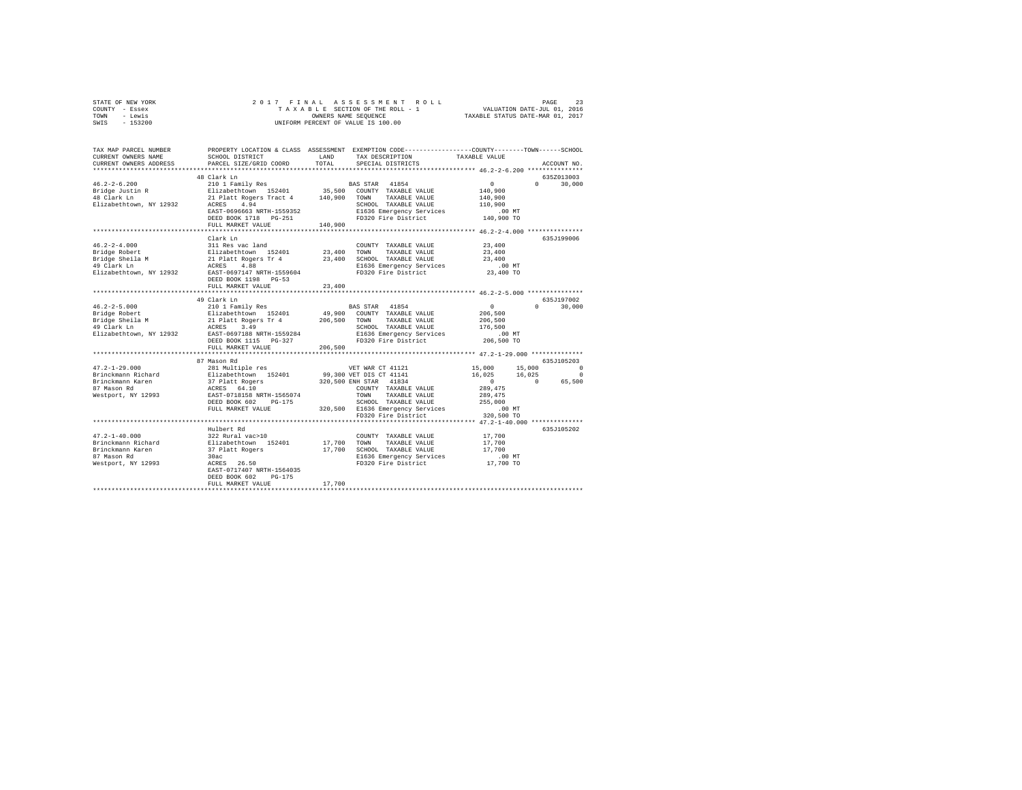|      | STATE OF NEW YORK |  |  | 2017 FINAL ASSESSMENT ROLL         | PAGE                             | 23 |
|------|-------------------|--|--|------------------------------------|----------------------------------|----|
|      | COUNTY - Essex    |  |  | TAXABLE SECTION OF THE ROLL - 1    | VALUATION DATE-JUL 01, 2016      |    |
| TOWN | - Lewis           |  |  | OWNERS NAME SEOUENCE               | TAXABLE STATUS DATE-MAR 01, 2017 |    |
| SWIS | - 153200          |  |  | UNIFORM PERCENT OF VALUE IS 100.00 |                                  |    |

| TAX MAP PARCEL NUMBER<br>CURRENT OWNERS NAME                                                       | SCHOOL DISTRICT                                                                                                                                                                                  | LAND                       | PROPERTY LOCATION & CLASS ASSESSMENT EXEMPTION CODE----------------COUNTY-------TOWN------SCHOOL<br>TAX DESCRIPTION                                                                                       | TAXABLE VALUE                                                                                                           |                                                     |
|----------------------------------------------------------------------------------------------------|--------------------------------------------------------------------------------------------------------------------------------------------------------------------------------------------------|----------------------------|-----------------------------------------------------------------------------------------------------------------------------------------------------------------------------------------------------------|-------------------------------------------------------------------------------------------------------------------------|-----------------------------------------------------|
| CURRENT OWNERS ADDRESS<br>*************************                                                | PARCEL SIZE/GRID COORD                                                                                                                                                                           | TOTAL                      | SPECIAL DISTRICTS                                                                                                                                                                                         |                                                                                                                         | ACCOUNT NO.                                         |
|                                                                                                    | 48 Clark Ln                                                                                                                                                                                      |                            |                                                                                                                                                                                                           |                                                                                                                         | 635Z013003                                          |
| $46.2 - 2 - 6.200$<br>Bridge Justin R<br>Bridge Justin R<br>Elizabethtown, NY 12932                | 210 1 Family Res<br>Elizabethtown 152401<br>21 Platt Rogers Tract 4 140,900 TOWN TAXABLE VALUE<br>ACRES 4.94<br>EAST-0696663 NRTH-1559352<br>DEED BOOK 1718 PG-251                               |                            | BAS STAR 41854<br>35,500 COUNTY TAXABLE VALUE<br>SCHOOL TAXABLE VALUE<br>E1636 Emergency Services<br>FD320 Fire District                                                                                  | $\sim$ 0<br>$\Omega$<br>140,900<br>140,900<br>110,900<br>.00 MT<br>140,900 TO                                           | 30,000                                              |
|                                                                                                    | FULL MARKET VALUE                                                                                                                                                                                | 140,900                    |                                                                                                                                                                                                           |                                                                                                                         |                                                     |
|                                                                                                    |                                                                                                                                                                                                  |                            |                                                                                                                                                                                                           | *************** 46.2-2-4.000 ***************                                                                            |                                                     |
| $46.2 - 2 - 4.000$<br>Bridge Robert<br>Bridge Sheila M<br>49 Clark Ln<br>Elizabethtown, NY 12932   | Clark Ln<br>311 Res vac land<br>Elizabethtown 152401<br>21 Platt Rogers Tr 4<br>ACRES 4.88<br>EAST-0697147 NRTH-1559604<br>DEED BOOK 1198 PG-53<br>FULL MARKET VALUE<br>************************ | 23,400<br>23,400<br>23,400 | COUNTY TAXABLE VALUE<br>TAXABLE VALUE<br>TOWN<br>SCHOOL TAXABLE VALUE<br>E1636 Emergency Services<br>FD320 Fire District                                                                                  | 23,400<br>23,400<br>23,400<br>.00 MT<br>23,400 TO                                                                       | 635J199006                                          |
|                                                                                                    | 49 Clark Ln                                                                                                                                                                                      |                            |                                                                                                                                                                                                           |                                                                                                                         | 635J197002                                          |
| $46.2 - 2 - 5.000$<br>Bridge Robert<br>Bridge Sheila M<br>49 Clark Ln<br>Elizabethtown, NY 12932   | 210 1 Family Res<br>Elizabethtown 152401<br>21 Platt Rogers Tr 4<br>ACRES 3.49<br>EAST-0697188 NRTH-1559284<br>FULL MARKET VALUE                                                                 | 206,500                    | BAS STAR 41854<br>49,900 COUNTY TAXABLE VALUE<br>206,500 TOWN TAXABLE VALUE<br>SCHOOL TAXABLE VALUE<br>E1636 Emergency Services<br>FD320 Fire District                                                    | $\overline{0}$<br>206,500<br>206,500<br>176,500<br>.00 MT<br>206,500 TO                                                 | $0 \t 30,000$                                       |
|                                                                                                    | *********************                                                                                                                                                                            |                            |                                                                                                                                                                                                           | ****************** 47.2-1-29.000 **************                                                                         |                                                     |
| $47.2 - 1 - 29.000$<br>Brinckmann Richard<br>Brinckmann Karen<br>87 Mason Rd<br>Westport, NY 12993 | 87 Mason Rd<br>281 Multiple res<br>Elizabethtown 152401<br>37 Platt Rogers<br>ACRES 64.10<br>EAST-0718158 NRTH-1565074<br>DEED BOOK 602<br>PG-175<br>FULL MARKET VALUE                           |                            | VET WAR CT 41121<br>99,300 VET DIS CT 41141<br>320,500 ENH STAR 41834<br>COUNTY TAXABLE VALUE<br>TOWN<br>TAXABLE VALUE<br>SCHOOL TAXABLE VALUE<br>320,500 E1636 Emergency Services<br>FD320 Fire District | 15,000<br>15,000<br>16,025<br>16,025<br>$\sim$ 0<br>$\sim$ 0<br>289,475<br>289,475<br>255,000<br>$.00$ MT<br>320,500 TO | 635.7105203<br>$\Omega$<br>$\overline{0}$<br>65,500 |
|                                                                                                    | *******************************                                                                                                                                                                  |                            | ************************************* 47.2-1-40.000 **************                                                                                                                                        |                                                                                                                         |                                                     |
| $47.2 - 1 - 40.000$<br>Brinckmann Richard<br>Brinckmann Karen<br>87 Mason Rd<br>Westport, NY 12993 | Hulbert Rd<br>322 Rural vac>10<br>Elizabethtown 152401<br>37 Platt Rogers<br>30ac<br>ACRES 26.50<br>EAST-0717407 NRTH-1564035<br>DEED BOOK 602<br>$PG-175$<br>FULL MARKET VALUE                  | 17,700 TOWN<br>17,700      | COUNTY TAXABLE VALUE<br>TAXABLE VALUE<br>17,700 SCHOOL TAXABLE VALUE<br>E1636 Emergency Services<br>FD320 Fire District                                                                                   | 17,700<br>17,700<br>17,700<br>00 MT.<br>17,700 TO                                                                       | 635J105202                                          |
|                                                                                                    |                                                                                                                                                                                                  |                            |                                                                                                                                                                                                           |                                                                                                                         |                                                     |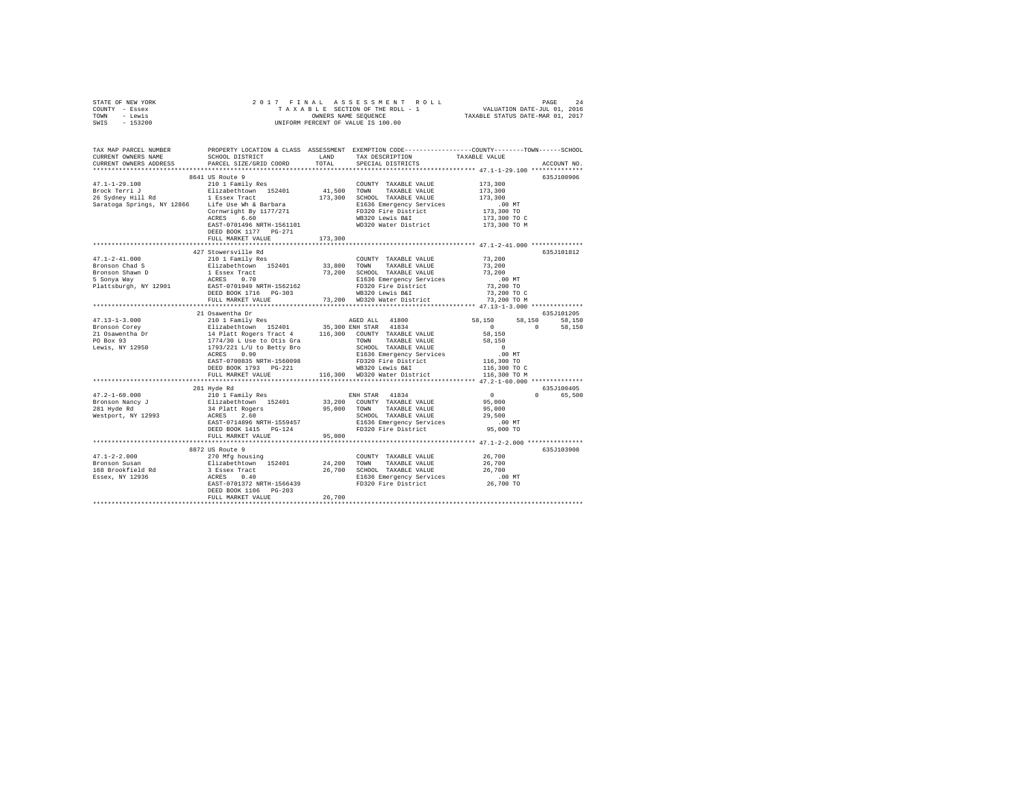| STATE OF NEW YORK | 2017 FINAL ASSESSMENT ROLL         | 2.4<br>PAGE                      |
|-------------------|------------------------------------|----------------------------------|
| COUNTY - Essex    | TAXABLE SECTION OF THE ROLL - 1    | VALUATION DATE-JUL 01, 2016      |
| TOWN<br>- Lewis   | OWNERS NAME SEOUENCE               | TAXABLE STATUS DATE-MAR 01, 2017 |
| - 153200<br>SWIS  | UNIFORM PERCENT OF VALUE IS 100.00 |                                  |

| TOTAL SPECIAL DISTRICTS<br>635J100906<br>8641 US Route 9<br>$47.1 - 1 - 29.100$<br>210 1 Family Res<br>173,300<br>COUNTY TAXABLE VALUE<br>TAXABLE VALUE<br>173,300<br>173,300 SCHOOL TAXABLE VALUE<br>173,300<br>Saratoga Springs, NY 12866 Life Use Wh & Barbara<br>E1636 Emergency Services<br>.00 MT<br>173,300 TO<br>FD320 Fire District<br>Cornwright By 1177/271<br>ACRES 6.60<br>WB320 Lewis B&I<br>173,300 TO C<br>173,300 TO M<br>WD320 Water District<br>EAST-0701496 NRTH-1561101<br>DEED BOOK 1177 PG-271<br>173,300<br>FULL MARKET VALUE<br>427 Stowersville Rd<br>635J101812<br>73,200<br>$47.1 - 2 - 41.000$<br>210 1 Family Res<br>COUNTY TAXABLE VALUE<br>Elizabethtown 152401 33,800 TOWN<br>1 Essex Tract 73,200 SCHOOL<br>ACRES 0.70 E1636 E<br>Bronson Chad S<br>TAXABLE VALUE<br>73,200<br>73,200 SCHOOL TAXABLE VALUE<br>73,200<br>Bronson Shawn D<br>5 Sonya Way<br>E1636 Emergency Services<br>FD320 Fire District<br>.00 MT<br>Plattsburgh, NY 12901 EAST-0701949 NRTH-1562162<br>73,200 TO<br>DEED BOOK 1716 PG-303<br>WB320 Lewis B&I<br>73,200 TO C<br>73,200 WD320 Water District<br>73,200 TO M<br>FULL MARKET VALUE<br>21 Osawentha Dr<br>635J101205<br>47.13-1-3.000<br>Bronson Corey<br>58,150 58,150<br>AGED ALL 41800<br>Elizabethcwm 152401 35,300 RNH 7TAXBLE VALUE<br>14 Platt Rogers Tract 4 116,300 COUNTY TAXABLE VALUE<br>1774/30 L Use to Otis Gra 7TAY TAXBLE VALUE<br>1793/221 L/U to Betty Bro SCROOL TAXABLE VALUE<br>58,150<br>$\sim$ 0<br>$\Omega$<br>58,150<br>21 Osawentha Dr<br>PO Box 93<br>58,150<br>58,150<br>TOWN TAXABLE VALUE<br>SCHOOL TAXABLE VALUE<br>E1636 Emergency Services<br>FD320 Fire District<br>$\sim$ 0<br>Lewis, NY 12950<br>.00 MT<br>116,300 TO<br>0.90<br>ACRES<br>EAST-0700835 NRTH-1560098<br>DEED BOOK 1793 PG-221<br>WB320 Lewis B&I<br>116,300 TO C<br>116,300 WD320 Water District<br>116,300 TO M<br>FULL MARKET VALUE<br>281 Hyde Rd<br>635J100405<br>$\sim$ 0<br>$47.2 - 1 - 60.000$<br>ENH STAR 41834<br>0 65,500<br>210 1 Family Res<br>Elizabethtown 152401<br>34 Platt Rogers<br>ACRES 2.60<br>33,200 COUNTY TAXABLE VALUE<br>95,000 TOWN TAXABLE VALUE<br>95,000<br>Bronson Nancy J<br>281 Hyde Rd<br>95,000<br>Westport, NY 12993<br>29,500<br>SCHOOL TAXABLE VALUE<br>E1636 Emergency Services<br>EAST-0714896 NRTH-1559457<br>$.00$ MT<br>FD320 Fire District<br>95,000 TO<br>DEED BOOK 1415 PG-124<br>95,000<br>FULL MARKET VALUE<br>635J103908<br>26,700<br>$47.1 - 2 - 2.000$<br>Bronson Susan<br>26,700<br>168 Brookfield Rd<br>26,700<br>.00 MT<br>Essex, NY 12936<br>FD320 Fire District<br>26,700 TO<br>EAST-0701372 NRTH-1566439<br>DEED BOOK 1106 PG-203<br>26,700<br>FULL MARKET VALUE | TAX MAP PARCEL NUMBER<br>CURRENT OWNERS NAME | SCHOOL DISTRICT        | PROPERTY LOCATION & CLASS ASSESSMENT EXEMPTION CODE----------------COUNTY-------TOWN------SCHOOL<br>LAND TAX DESCRIPTION | TAXABLE VALUE |             |
|-----------------------------------------------------------------------------------------------------------------------------------------------------------------------------------------------------------------------------------------------------------------------------------------------------------------------------------------------------------------------------------------------------------------------------------------------------------------------------------------------------------------------------------------------------------------------------------------------------------------------------------------------------------------------------------------------------------------------------------------------------------------------------------------------------------------------------------------------------------------------------------------------------------------------------------------------------------------------------------------------------------------------------------------------------------------------------------------------------------------------------------------------------------------------------------------------------------------------------------------------------------------------------------------------------------------------------------------------------------------------------------------------------------------------------------------------------------------------------------------------------------------------------------------------------------------------------------------------------------------------------------------------------------------------------------------------------------------------------------------------------------------------------------------------------------------------------------------------------------------------------------------------------------------------------------------------------------------------------------------------------------------------------------------------------------------------------------------------------------------------------------------------------------------------------------------------------------------------------------------------------------------------------------------------------------------------------------------------------------------------------------------------------------------------------------------------------------------------------------------------------------------------------------------------------------------------------------------------------------------------------------------------------------------------------------------------|----------------------------------------------|------------------------|--------------------------------------------------------------------------------------------------------------------------|---------------|-------------|
|                                                                                                                                                                                                                                                                                                                                                                                                                                                                                                                                                                                                                                                                                                                                                                                                                                                                                                                                                                                                                                                                                                                                                                                                                                                                                                                                                                                                                                                                                                                                                                                                                                                                                                                                                                                                                                                                                                                                                                                                                                                                                                                                                                                                                                                                                                                                                                                                                                                                                                                                                                                                                                                                                               | CURRENT OWNERS ADDRESS                       | PARCEL SIZE/GRID COORD |                                                                                                                          |               | ACCOUNT NO. |
|                                                                                                                                                                                                                                                                                                                                                                                                                                                                                                                                                                                                                                                                                                                                                                                                                                                                                                                                                                                                                                                                                                                                                                                                                                                                                                                                                                                                                                                                                                                                                                                                                                                                                                                                                                                                                                                                                                                                                                                                                                                                                                                                                                                                                                                                                                                                                                                                                                                                                                                                                                                                                                                                                               |                                              |                        |                                                                                                                          |               |             |
|                                                                                                                                                                                                                                                                                                                                                                                                                                                                                                                                                                                                                                                                                                                                                                                                                                                                                                                                                                                                                                                                                                                                                                                                                                                                                                                                                                                                                                                                                                                                                                                                                                                                                                                                                                                                                                                                                                                                                                                                                                                                                                                                                                                                                                                                                                                                                                                                                                                                                                                                                                                                                                                                                               |                                              |                        |                                                                                                                          |               |             |
|                                                                                                                                                                                                                                                                                                                                                                                                                                                                                                                                                                                                                                                                                                                                                                                                                                                                                                                                                                                                                                                                                                                                                                                                                                                                                                                                                                                                                                                                                                                                                                                                                                                                                                                                                                                                                                                                                                                                                                                                                                                                                                                                                                                                                                                                                                                                                                                                                                                                                                                                                                                                                                                                                               |                                              |                        |                                                                                                                          |               |             |
|                                                                                                                                                                                                                                                                                                                                                                                                                                                                                                                                                                                                                                                                                                                                                                                                                                                                                                                                                                                                                                                                                                                                                                                                                                                                                                                                                                                                                                                                                                                                                                                                                                                                                                                                                                                                                                                                                                                                                                                                                                                                                                                                                                                                                                                                                                                                                                                                                                                                                                                                                                                                                                                                                               |                                              |                        |                                                                                                                          |               |             |
|                                                                                                                                                                                                                                                                                                                                                                                                                                                                                                                                                                                                                                                                                                                                                                                                                                                                                                                                                                                                                                                                                                                                                                                                                                                                                                                                                                                                                                                                                                                                                                                                                                                                                                                                                                                                                                                                                                                                                                                                                                                                                                                                                                                                                                                                                                                                                                                                                                                                                                                                                                                                                                                                                               |                                              |                        |                                                                                                                          |               |             |
|                                                                                                                                                                                                                                                                                                                                                                                                                                                                                                                                                                                                                                                                                                                                                                                                                                                                                                                                                                                                                                                                                                                                                                                                                                                                                                                                                                                                                                                                                                                                                                                                                                                                                                                                                                                                                                                                                                                                                                                                                                                                                                                                                                                                                                                                                                                                                                                                                                                                                                                                                                                                                                                                                               |                                              |                        |                                                                                                                          |               |             |
|                                                                                                                                                                                                                                                                                                                                                                                                                                                                                                                                                                                                                                                                                                                                                                                                                                                                                                                                                                                                                                                                                                                                                                                                                                                                                                                                                                                                                                                                                                                                                                                                                                                                                                                                                                                                                                                                                                                                                                                                                                                                                                                                                                                                                                                                                                                                                                                                                                                                                                                                                                                                                                                                                               |                                              |                        |                                                                                                                          |               |             |
|                                                                                                                                                                                                                                                                                                                                                                                                                                                                                                                                                                                                                                                                                                                                                                                                                                                                                                                                                                                                                                                                                                                                                                                                                                                                                                                                                                                                                                                                                                                                                                                                                                                                                                                                                                                                                                                                                                                                                                                                                                                                                                                                                                                                                                                                                                                                                                                                                                                                                                                                                                                                                                                                                               |                                              |                        |                                                                                                                          |               |             |
|                                                                                                                                                                                                                                                                                                                                                                                                                                                                                                                                                                                                                                                                                                                                                                                                                                                                                                                                                                                                                                                                                                                                                                                                                                                                                                                                                                                                                                                                                                                                                                                                                                                                                                                                                                                                                                                                                                                                                                                                                                                                                                                                                                                                                                                                                                                                                                                                                                                                                                                                                                                                                                                                                               |                                              |                        |                                                                                                                          |               |             |
|                                                                                                                                                                                                                                                                                                                                                                                                                                                                                                                                                                                                                                                                                                                                                                                                                                                                                                                                                                                                                                                                                                                                                                                                                                                                                                                                                                                                                                                                                                                                                                                                                                                                                                                                                                                                                                                                                                                                                                                                                                                                                                                                                                                                                                                                                                                                                                                                                                                                                                                                                                                                                                                                                               |                                              |                        |                                                                                                                          |               |             |
|                                                                                                                                                                                                                                                                                                                                                                                                                                                                                                                                                                                                                                                                                                                                                                                                                                                                                                                                                                                                                                                                                                                                                                                                                                                                                                                                                                                                                                                                                                                                                                                                                                                                                                                                                                                                                                                                                                                                                                                                                                                                                                                                                                                                                                                                                                                                                                                                                                                                                                                                                                                                                                                                                               |                                              |                        |                                                                                                                          |               |             |
|                                                                                                                                                                                                                                                                                                                                                                                                                                                                                                                                                                                                                                                                                                                                                                                                                                                                                                                                                                                                                                                                                                                                                                                                                                                                                                                                                                                                                                                                                                                                                                                                                                                                                                                                                                                                                                                                                                                                                                                                                                                                                                                                                                                                                                                                                                                                                                                                                                                                                                                                                                                                                                                                                               |                                              |                        |                                                                                                                          |               |             |
|                                                                                                                                                                                                                                                                                                                                                                                                                                                                                                                                                                                                                                                                                                                                                                                                                                                                                                                                                                                                                                                                                                                                                                                                                                                                                                                                                                                                                                                                                                                                                                                                                                                                                                                                                                                                                                                                                                                                                                                                                                                                                                                                                                                                                                                                                                                                                                                                                                                                                                                                                                                                                                                                                               |                                              |                        |                                                                                                                          |               |             |
|                                                                                                                                                                                                                                                                                                                                                                                                                                                                                                                                                                                                                                                                                                                                                                                                                                                                                                                                                                                                                                                                                                                                                                                                                                                                                                                                                                                                                                                                                                                                                                                                                                                                                                                                                                                                                                                                                                                                                                                                                                                                                                                                                                                                                                                                                                                                                                                                                                                                                                                                                                                                                                                                                               |                                              |                        |                                                                                                                          |               |             |
|                                                                                                                                                                                                                                                                                                                                                                                                                                                                                                                                                                                                                                                                                                                                                                                                                                                                                                                                                                                                                                                                                                                                                                                                                                                                                                                                                                                                                                                                                                                                                                                                                                                                                                                                                                                                                                                                                                                                                                                                                                                                                                                                                                                                                                                                                                                                                                                                                                                                                                                                                                                                                                                                                               |                                              |                        |                                                                                                                          |               |             |
|                                                                                                                                                                                                                                                                                                                                                                                                                                                                                                                                                                                                                                                                                                                                                                                                                                                                                                                                                                                                                                                                                                                                                                                                                                                                                                                                                                                                                                                                                                                                                                                                                                                                                                                                                                                                                                                                                                                                                                                                                                                                                                                                                                                                                                                                                                                                                                                                                                                                                                                                                                                                                                                                                               |                                              |                        |                                                                                                                          |               |             |
|                                                                                                                                                                                                                                                                                                                                                                                                                                                                                                                                                                                                                                                                                                                                                                                                                                                                                                                                                                                                                                                                                                                                                                                                                                                                                                                                                                                                                                                                                                                                                                                                                                                                                                                                                                                                                                                                                                                                                                                                                                                                                                                                                                                                                                                                                                                                                                                                                                                                                                                                                                                                                                                                                               |                                              |                        |                                                                                                                          |               |             |
|                                                                                                                                                                                                                                                                                                                                                                                                                                                                                                                                                                                                                                                                                                                                                                                                                                                                                                                                                                                                                                                                                                                                                                                                                                                                                                                                                                                                                                                                                                                                                                                                                                                                                                                                                                                                                                                                                                                                                                                                                                                                                                                                                                                                                                                                                                                                                                                                                                                                                                                                                                                                                                                                                               |                                              |                        |                                                                                                                          |               |             |
|                                                                                                                                                                                                                                                                                                                                                                                                                                                                                                                                                                                                                                                                                                                                                                                                                                                                                                                                                                                                                                                                                                                                                                                                                                                                                                                                                                                                                                                                                                                                                                                                                                                                                                                                                                                                                                                                                                                                                                                                                                                                                                                                                                                                                                                                                                                                                                                                                                                                                                                                                                                                                                                                                               |                                              |                        |                                                                                                                          |               |             |
|                                                                                                                                                                                                                                                                                                                                                                                                                                                                                                                                                                                                                                                                                                                                                                                                                                                                                                                                                                                                                                                                                                                                                                                                                                                                                                                                                                                                                                                                                                                                                                                                                                                                                                                                                                                                                                                                                                                                                                                                                                                                                                                                                                                                                                                                                                                                                                                                                                                                                                                                                                                                                                                                                               |                                              |                        |                                                                                                                          |               |             |
|                                                                                                                                                                                                                                                                                                                                                                                                                                                                                                                                                                                                                                                                                                                                                                                                                                                                                                                                                                                                                                                                                                                                                                                                                                                                                                                                                                                                                                                                                                                                                                                                                                                                                                                                                                                                                                                                                                                                                                                                                                                                                                                                                                                                                                                                                                                                                                                                                                                                                                                                                                                                                                                                                               |                                              |                        |                                                                                                                          |               |             |
|                                                                                                                                                                                                                                                                                                                                                                                                                                                                                                                                                                                                                                                                                                                                                                                                                                                                                                                                                                                                                                                                                                                                                                                                                                                                                                                                                                                                                                                                                                                                                                                                                                                                                                                                                                                                                                                                                                                                                                                                                                                                                                                                                                                                                                                                                                                                                                                                                                                                                                                                                                                                                                                                                               |                                              |                        |                                                                                                                          |               |             |
|                                                                                                                                                                                                                                                                                                                                                                                                                                                                                                                                                                                                                                                                                                                                                                                                                                                                                                                                                                                                                                                                                                                                                                                                                                                                                                                                                                                                                                                                                                                                                                                                                                                                                                                                                                                                                                                                                                                                                                                                                                                                                                                                                                                                                                                                                                                                                                                                                                                                                                                                                                                                                                                                                               |                                              |                        |                                                                                                                          |               |             |
|                                                                                                                                                                                                                                                                                                                                                                                                                                                                                                                                                                                                                                                                                                                                                                                                                                                                                                                                                                                                                                                                                                                                                                                                                                                                                                                                                                                                                                                                                                                                                                                                                                                                                                                                                                                                                                                                                                                                                                                                                                                                                                                                                                                                                                                                                                                                                                                                                                                                                                                                                                                                                                                                                               |                                              |                        |                                                                                                                          |               |             |
|                                                                                                                                                                                                                                                                                                                                                                                                                                                                                                                                                                                                                                                                                                                                                                                                                                                                                                                                                                                                                                                                                                                                                                                                                                                                                                                                                                                                                                                                                                                                                                                                                                                                                                                                                                                                                                                                                                                                                                                                                                                                                                                                                                                                                                                                                                                                                                                                                                                                                                                                                                                                                                                                                               |                                              |                        |                                                                                                                          |               |             |
|                                                                                                                                                                                                                                                                                                                                                                                                                                                                                                                                                                                                                                                                                                                                                                                                                                                                                                                                                                                                                                                                                                                                                                                                                                                                                                                                                                                                                                                                                                                                                                                                                                                                                                                                                                                                                                                                                                                                                                                                                                                                                                                                                                                                                                                                                                                                                                                                                                                                                                                                                                                                                                                                                               |                                              |                        |                                                                                                                          |               |             |
|                                                                                                                                                                                                                                                                                                                                                                                                                                                                                                                                                                                                                                                                                                                                                                                                                                                                                                                                                                                                                                                                                                                                                                                                                                                                                                                                                                                                                                                                                                                                                                                                                                                                                                                                                                                                                                                                                                                                                                                                                                                                                                                                                                                                                                                                                                                                                                                                                                                                                                                                                                                                                                                                                               |                                              |                        |                                                                                                                          |               |             |
|                                                                                                                                                                                                                                                                                                                                                                                                                                                                                                                                                                                                                                                                                                                                                                                                                                                                                                                                                                                                                                                                                                                                                                                                                                                                                                                                                                                                                                                                                                                                                                                                                                                                                                                                                                                                                                                                                                                                                                                                                                                                                                                                                                                                                                                                                                                                                                                                                                                                                                                                                                                                                                                                                               |                                              |                        |                                                                                                                          |               |             |
|                                                                                                                                                                                                                                                                                                                                                                                                                                                                                                                                                                                                                                                                                                                                                                                                                                                                                                                                                                                                                                                                                                                                                                                                                                                                                                                                                                                                                                                                                                                                                                                                                                                                                                                                                                                                                                                                                                                                                                                                                                                                                                                                                                                                                                                                                                                                                                                                                                                                                                                                                                                                                                                                                               |                                              |                        |                                                                                                                          |               |             |
|                                                                                                                                                                                                                                                                                                                                                                                                                                                                                                                                                                                                                                                                                                                                                                                                                                                                                                                                                                                                                                                                                                                                                                                                                                                                                                                                                                                                                                                                                                                                                                                                                                                                                                                                                                                                                                                                                                                                                                                                                                                                                                                                                                                                                                                                                                                                                                                                                                                                                                                                                                                                                                                                                               |                                              |                        |                                                                                                                          |               |             |
|                                                                                                                                                                                                                                                                                                                                                                                                                                                                                                                                                                                                                                                                                                                                                                                                                                                                                                                                                                                                                                                                                                                                                                                                                                                                                                                                                                                                                                                                                                                                                                                                                                                                                                                                                                                                                                                                                                                                                                                                                                                                                                                                                                                                                                                                                                                                                                                                                                                                                                                                                                                                                                                                                               |                                              |                        |                                                                                                                          |               |             |
|                                                                                                                                                                                                                                                                                                                                                                                                                                                                                                                                                                                                                                                                                                                                                                                                                                                                                                                                                                                                                                                                                                                                                                                                                                                                                                                                                                                                                                                                                                                                                                                                                                                                                                                                                                                                                                                                                                                                                                                                                                                                                                                                                                                                                                                                                                                                                                                                                                                                                                                                                                                                                                                                                               |                                              |                        |                                                                                                                          |               |             |
|                                                                                                                                                                                                                                                                                                                                                                                                                                                                                                                                                                                                                                                                                                                                                                                                                                                                                                                                                                                                                                                                                                                                                                                                                                                                                                                                                                                                                                                                                                                                                                                                                                                                                                                                                                                                                                                                                                                                                                                                                                                                                                                                                                                                                                                                                                                                                                                                                                                                                                                                                                                                                                                                                               |                                              |                        |                                                                                                                          |               |             |
|                                                                                                                                                                                                                                                                                                                                                                                                                                                                                                                                                                                                                                                                                                                                                                                                                                                                                                                                                                                                                                                                                                                                                                                                                                                                                                                                                                                                                                                                                                                                                                                                                                                                                                                                                                                                                                                                                                                                                                                                                                                                                                                                                                                                                                                                                                                                                                                                                                                                                                                                                                                                                                                                                               |                                              |                        |                                                                                                                          |               |             |
|                                                                                                                                                                                                                                                                                                                                                                                                                                                                                                                                                                                                                                                                                                                                                                                                                                                                                                                                                                                                                                                                                                                                                                                                                                                                                                                                                                                                                                                                                                                                                                                                                                                                                                                                                                                                                                                                                                                                                                                                                                                                                                                                                                                                                                                                                                                                                                                                                                                                                                                                                                                                                                                                                               |                                              |                        |                                                                                                                          |               |             |
|                                                                                                                                                                                                                                                                                                                                                                                                                                                                                                                                                                                                                                                                                                                                                                                                                                                                                                                                                                                                                                                                                                                                                                                                                                                                                                                                                                                                                                                                                                                                                                                                                                                                                                                                                                                                                                                                                                                                                                                                                                                                                                                                                                                                                                                                                                                                                                                                                                                                                                                                                                                                                                                                                               |                                              |                        |                                                                                                                          |               |             |
|                                                                                                                                                                                                                                                                                                                                                                                                                                                                                                                                                                                                                                                                                                                                                                                                                                                                                                                                                                                                                                                                                                                                                                                                                                                                                                                                                                                                                                                                                                                                                                                                                                                                                                                                                                                                                                                                                                                                                                                                                                                                                                                                                                                                                                                                                                                                                                                                                                                                                                                                                                                                                                                                                               |                                              |                        |                                                                                                                          |               |             |
|                                                                                                                                                                                                                                                                                                                                                                                                                                                                                                                                                                                                                                                                                                                                                                                                                                                                                                                                                                                                                                                                                                                                                                                                                                                                                                                                                                                                                                                                                                                                                                                                                                                                                                                                                                                                                                                                                                                                                                                                                                                                                                                                                                                                                                                                                                                                                                                                                                                                                                                                                                                                                                                                                               |                                              |                        |                                                                                                                          |               |             |
|                                                                                                                                                                                                                                                                                                                                                                                                                                                                                                                                                                                                                                                                                                                                                                                                                                                                                                                                                                                                                                                                                                                                                                                                                                                                                                                                                                                                                                                                                                                                                                                                                                                                                                                                                                                                                                                                                                                                                                                                                                                                                                                                                                                                                                                                                                                                                                                                                                                                                                                                                                                                                                                                                               |                                              |                        |                                                                                                                          |               |             |
|                                                                                                                                                                                                                                                                                                                                                                                                                                                                                                                                                                                                                                                                                                                                                                                                                                                                                                                                                                                                                                                                                                                                                                                                                                                                                                                                                                                                                                                                                                                                                                                                                                                                                                                                                                                                                                                                                                                                                                                                                                                                                                                                                                                                                                                                                                                                                                                                                                                                                                                                                                                                                                                                                               |                                              |                        |                                                                                                                          |               |             |
|                                                                                                                                                                                                                                                                                                                                                                                                                                                                                                                                                                                                                                                                                                                                                                                                                                                                                                                                                                                                                                                                                                                                                                                                                                                                                                                                                                                                                                                                                                                                                                                                                                                                                                                                                                                                                                                                                                                                                                                                                                                                                                                                                                                                                                                                                                                                                                                                                                                                                                                                                                                                                                                                                               |                                              |                        |                                                                                                                          |               |             |
|                                                                                                                                                                                                                                                                                                                                                                                                                                                                                                                                                                                                                                                                                                                                                                                                                                                                                                                                                                                                                                                                                                                                                                                                                                                                                                                                                                                                                                                                                                                                                                                                                                                                                                                                                                                                                                                                                                                                                                                                                                                                                                                                                                                                                                                                                                                                                                                                                                                                                                                                                                                                                                                                                               |                                              |                        |                                                                                                                          |               |             |
|                                                                                                                                                                                                                                                                                                                                                                                                                                                                                                                                                                                                                                                                                                                                                                                                                                                                                                                                                                                                                                                                                                                                                                                                                                                                                                                                                                                                                                                                                                                                                                                                                                                                                                                                                                                                                                                                                                                                                                                                                                                                                                                                                                                                                                                                                                                                                                                                                                                                                                                                                                                                                                                                                               |                                              |                        |                                                                                                                          |               |             |
|                                                                                                                                                                                                                                                                                                                                                                                                                                                                                                                                                                                                                                                                                                                                                                                                                                                                                                                                                                                                                                                                                                                                                                                                                                                                                                                                                                                                                                                                                                                                                                                                                                                                                                                                                                                                                                                                                                                                                                                                                                                                                                                                                                                                                                                                                                                                                                                                                                                                                                                                                                                                                                                                                               |                                              |                        |                                                                                                                          |               |             |
|                                                                                                                                                                                                                                                                                                                                                                                                                                                                                                                                                                                                                                                                                                                                                                                                                                                                                                                                                                                                                                                                                                                                                                                                                                                                                                                                                                                                                                                                                                                                                                                                                                                                                                                                                                                                                                                                                                                                                                                                                                                                                                                                                                                                                                                                                                                                                                                                                                                                                                                                                                                                                                                                                               |                                              |                        |                                                                                                                          |               |             |
|                                                                                                                                                                                                                                                                                                                                                                                                                                                                                                                                                                                                                                                                                                                                                                                                                                                                                                                                                                                                                                                                                                                                                                                                                                                                                                                                                                                                                                                                                                                                                                                                                                                                                                                                                                                                                                                                                                                                                                                                                                                                                                                                                                                                                                                                                                                                                                                                                                                                                                                                                                                                                                                                                               |                                              |                        |                                                                                                                          |               |             |
|                                                                                                                                                                                                                                                                                                                                                                                                                                                                                                                                                                                                                                                                                                                                                                                                                                                                                                                                                                                                                                                                                                                                                                                                                                                                                                                                                                                                                                                                                                                                                                                                                                                                                                                                                                                                                                                                                                                                                                                                                                                                                                                                                                                                                                                                                                                                                                                                                                                                                                                                                                                                                                                                                               |                                              |                        |                                                                                                                          |               |             |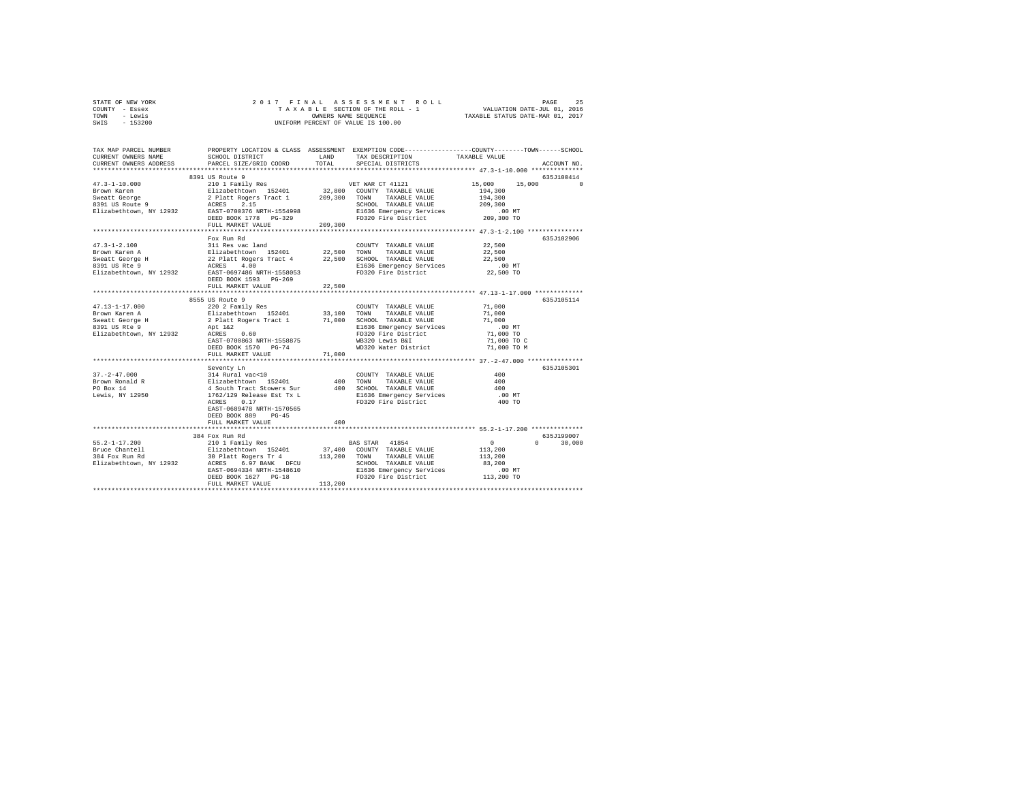| STATE OF NEW YORK           |                                                                    |         | 2017 FINAL ASSESSMENT ROLL                                                                     |                  | PAGE<br>25  |
|-----------------------------|--------------------------------------------------------------------|---------|------------------------------------------------------------------------------------------------|------------------|-------------|
| COUNTY - Essex              |                                                                    |         | TAXABLE SECTION OF THE ROLL - 1 WALUATION DATE-JUL 01, 2016                                    |                  |             |
| TOWN - Lewis                |                                                                    |         | OWNERS NAME SEQUENCE TAXABLE STATUS DATE-MAR 01, 2017                                          |                  |             |
| SWIS - 153200               |                                                                    |         | UNIFORM PERCENT OF VALUE IS 100.00                                                             |                  |             |
|                             |                                                                    |         |                                                                                                |                  |             |
| TAX MAP PARCEL NUMBER       |                                                                    |         | PROPERTY LOCATION & CLASS ASSESSMENT EXEMPTION CODE---------------COUNTY-------TOWN-----SCHOOL |                  |             |
| CURRENT OWNERS NAME         | SCHOOL DISTRICT                                                    |         | LAND TAX DESCRIPTION                                                                           | TAXABLE VALUE    |             |
| CURRENT OWNERS ADDRESS      | PARCEL SIZE/GRID COORD TOTAL                                       |         | SPECIAL DISTRICTS                                                                              |                  | ACCOUNT NO. |
|                             |                                                                    |         |                                                                                                |                  |             |
|                             | 8391 US Route 9                                                    |         |                                                                                                |                  | 635J100414  |
| $47.3 - 1 - 10.000$         |                                                                    |         | 210 1 Family Res 60 VET WAR CT 41121                                                           | 15,000 15,000 0  |             |
|                             |                                                                    |         | Elizabethtown 152401 32,800 COUNTY TAXABLE VALUE                                               | 194,300          |             |
|                             |                                                                    |         |                                                                                                | 194,300          |             |
|                             |                                                                    |         | SCHOOL TAXABLE VALUE                                                                           | 209,300          |             |
|                             | Elizabethtown, NY 12932 EAST-0700376 NRTH-1554998                  |         | E1636 Emergency Services .00 MT                                                                |                  |             |
|                             | DEED BOOK 1778 PG-329                                              |         | FD320 Fire District 209,300 TO                                                                 |                  |             |
|                             | FULL MARKET VALUE                                                  | 209,300 |                                                                                                |                  |             |
|                             |                                                                    |         |                                                                                                |                  | 635.T102906 |
| $47.3 - 1 - 2.100$          | Fox Run Rd                                                         |         | COUNTY TAXABLE VALUE                                                                           |                  |             |
| Brown Karen A               | 311 Res vac land (COUNT)<br>Elizabethtown 152401 22,500 TOWN       |         | TAXABLE VALUE                                                                                  | 22,500<br>22,500 |             |
|                             | Sweatt George H 22 Platt Rogers Tract 4 22,500                     |         | SCHOOL TAXABLE VALUE                                                                           | 22,500           |             |
| 8391 US Rte 9               | 4.00<br>ACRES                                                      |         | E1636 Emergency Services .00 MT                                                                |                  |             |
| Elizabethtown, NY 12932     | EAST-0697486 NRTH-1558053                                          |         | FD320 Fire District                                                                            | 22,500 TO        |             |
|                             | DEED BOOK 1593 PG-269                                              |         |                                                                                                |                  |             |
|                             | FULL MARKET VALUE                                                  | 22,500  |                                                                                                |                  |             |
|                             |                                                                    |         |                                                                                                |                  |             |
|                             | 8555 US Route 9                                                    |         |                                                                                                |                  | 635J105114  |
| $47.13 - 1 - 17.000$        | 220 2 Family Res                                                   |         | COUNTY TAXABLE VALUE 71.000                                                                    |                  |             |
|                             |                                                                    |         |                                                                                                |                  |             |
|                             | Sweatt George H 2 Platt Rogers Tract 1 71,000 SCHOOL TAXABLE VALUE |         |                                                                                                | 71,000           |             |
| 8391 US Rte 9               |                                                                    |         |                                                                                                | $.00$ MT         |             |
| Elizabethtown, NY 12932     | Apt 1&2<br>ACRES 0.60                                              |         | E1636 Emergency Services<br>FD320 Fire District                                                | 71,000 TO        |             |
|                             | EAST-0700863 NRTH-1558875                                          |         | WB320 Lewis B&I                                                                                | 71,000 TO C      |             |
|                             | DEED BOOK 1570 PG-74                                               |         | WD320 Water District 71,000 TO M                                                               |                  |             |
|                             | FULL MARKET VALUE                                                  | 71,000  |                                                                                                |                  |             |
|                             |                                                                    |         |                                                                                                |                  |             |
|                             | Seventy Ln                                                         |         |                                                                                                |                  | 635J105301  |
| $37. - 2 - 47.000$          | 314 Rural vac<10 COUNT<br>Elizabethtown 152401 400 TOWN            |         | COUNTY TAXABLE VALUE                                                                           | 400              |             |
|                             |                                                                    |         | TAXABLE VALUE                                                                                  | 400              |             |
| Brown Ronald R<br>DO Box 14 | 4 South Tract Stowers Sur 400                                      |         | SCHOOL TAXABLE VALUE                                                                           | 400              |             |
|                             |                                                                    |         |                                                                                                |                  |             |

|                         | seventy Ln                |         |                          |              | 6350105301         |
|-------------------------|---------------------------|---------|--------------------------|--------------|--------------------|
| $37. - 2 - 47.000$      | 314 Rural vac<10          |         | COUNTY<br>TAXABLE VALUE  | 400          |                    |
| Brown Ronald R          | Elizabethtown 152401      | 400     | TAXABLE VALUE<br>TOWN    | 400          |                    |
| PO Box 14               | 4 South Tract Stowers Sur | 400     | SCHOOL TAXABLE VALUE     | 400          |                    |
| Lewis, NY 12950         | 1762/129 Release Est Tx L |         | E1636 Emergency Services | $.00$ MT     |                    |
|                         | 0.17<br>ACRES             |         | FD320 Fire District      | 400 TO       |                    |
|                         | EAST-0689478 NRTH-1570565 |         |                          |              |                    |
|                         | DEED BOOK 889<br>$PG-45$  |         |                          |              |                    |
|                         | FULL MARKET VALUE         | 400     |                          |              |                    |
|                         |                           |         |                          |              |                    |
|                         | 384 Fox Run Rd            |         |                          |              | 635J199007         |
| $55.2 - 1 - 17.200$     | 210 1 Family Res          |         | 41854<br>BAS STAR        | $\mathbf{r}$ | 30,000<br>$\Omega$ |
| Bruce Chantell          | Elizabethtown 152401      | 37,400  | COUNTY<br>TAXABLE VALUE  | 113,200      |                    |
| 384 Fox Run Rd          | 30 Platt Rogers Tr 4      | 113,200 | TOWN<br>TAXABLE VALUE    | 113,200      |                    |
| Elizabethtown, NY 12932 | 6.97 BANK DFCU<br>ACRES   |         | SCHOOL<br>TAXABLE VALUE  | 83,200       |                    |
|                         | EAST-0694334 NRTH-1548610 |         | E1636 Emergency Services | $.00$ MT     |                    |
|                         | DEED BOOK 1627 PG-18      |         | FD320 Fire District      | 113,200 TO   |                    |
|                         | FULL MARKET VALUE         | 113,200 |                          |              |                    |
|                         |                           |         |                          |              |                    |
|                         |                           |         |                          |              |                    |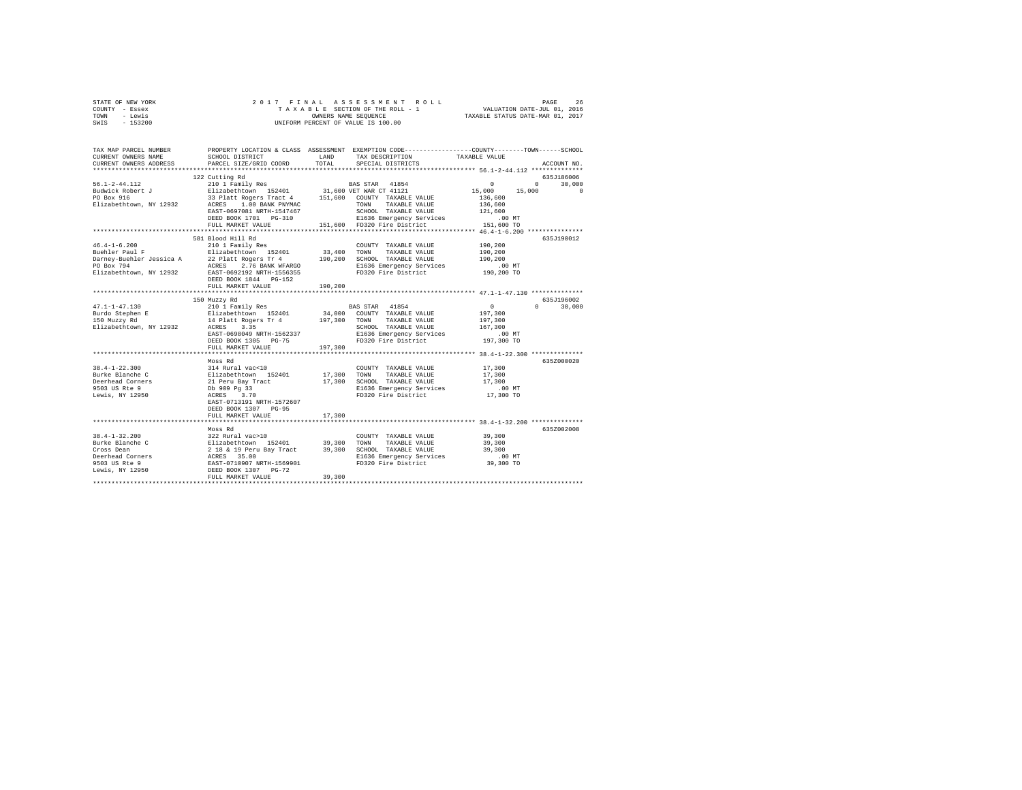| STATE OF NEW YORK | 2017 FINAL ASSESSMENT ROLL         | 26<br>PAGE                       |
|-------------------|------------------------------------|----------------------------------|
| COUNTY - Essex    | TAXABLE SECTION OF THE ROLL - 1    | VALUATION DATE-JUL 01, 2016      |
| TOWN<br>- Lewis   | OWNERS NAME SEOUENCE               | TAXABLE STATUS DATE-MAR 01, 2017 |
| $-153200$<br>SWIS | UNIFORM PERCENT OF VALUE IS 100.00 |                                  |

| TAX MAP PARCEL NUMBER<br>CURRENT OWNERS NAME<br>CURRENT OWNERS ADDRESS                                                                                                                                                               | SCHOOL DISTRICT<br>PARCEL SIZE/GRID COORD                                                                                                                                                                                                                                                 | LAND<br>TOTAL | PROPERTY LOCATION & CLASS ASSESSMENT EXEMPTION CODE---------------COUNTY-------TOWN-----SCHOOL<br>TAX DESCRIPTION<br>SPECIAL DISTRICTS | TAXABLE VALUE             | ACCOUNT NO.                 |
|--------------------------------------------------------------------------------------------------------------------------------------------------------------------------------------------------------------------------------------|-------------------------------------------------------------------------------------------------------------------------------------------------------------------------------------------------------------------------------------------------------------------------------------------|---------------|----------------------------------------------------------------------------------------------------------------------------------------|---------------------------|-----------------------------|
|                                                                                                                                                                                                                                      |                                                                                                                                                                                                                                                                                           |               |                                                                                                                                        |                           |                             |
|                                                                                                                                                                                                                                      | 122 Cutting Rd                                                                                                                                                                                                                                                                            |               |                                                                                                                                        |                           | 635-186006                  |
|                                                                                                                                                                                                                                      |                                                                                                                                                                                                                                                                                           |               |                                                                                                                                        |                           | $0 \qquad \qquad$<br>30,000 |
| 1991 - 112 - 112 - 112 - 113 - 114 - 114 - 114 - 114 - 114 - 114 - 114 - 114 - 114 - 114 - 114 - 114 - 114 - 1<br>1910 - 114 - 114 - 114 - 114 - 114 - 114 - 114 - 114 - 114 - 114 - 114 - 114 - 114 - 114 - 114 - 114 - 114 - 1<br> |                                                                                                                                                                                                                                                                                           |               |                                                                                                                                        | 15,000                    | 15,000<br>$\Omega$          |
|                                                                                                                                                                                                                                      |                                                                                                                                                                                                                                                                                           |               |                                                                                                                                        | 136,600                   |                             |
| Elizabethtown, NY 12932 ACRES 1.00 BANK PNYMAC                                                                                                                                                                                       |                                                                                                                                                                                                                                                                                           |               | TOWN<br>TAXABLE VALUE                                                                                                                  | 136,600<br>121,600        |                             |
|                                                                                                                                                                                                                                      | EAST-0697081 NRTH-1547467                                                                                                                                                                                                                                                                 |               | SCHOOL TAXABLE VALUE                                                                                                                   |                           |                             |
|                                                                                                                                                                                                                                      | DEED BOOK 1701    PG-310<br>FULL MARKET VALUE                                                                                                                                                                                                                                             |               | 151,600 FD320 Fire District                                                                                                            |                           |                             |
|                                                                                                                                                                                                                                      |                                                                                                                                                                                                                                                                                           |               |                                                                                                                                        |                           |                             |
|                                                                                                                                                                                                                                      | 581 Blood Hill Rd                                                                                                                                                                                                                                                                         |               |                                                                                                                                        |                           | 635J190012                  |
| $46.4 - 1 - 6.200$                                                                                                                                                                                                                   | 210 1 Family Res                                                                                                                                                                                                                                                                          |               | COUNTY TAXABLE VALUE                                                                                                                   | 190,200                   |                             |
|                                                                                                                                                                                                                                      |                                                                                                                                                                                                                                                                                           |               |                                                                                                                                        | 190,200                   |                             |
| For the main state of the same of the state of the state of the state of the state of the state of the state of the state of the state of the state of the state of the state of the state of the state of the state of the st       |                                                                                                                                                                                                                                                                                           |               |                                                                                                                                        | 190,200                   |                             |
|                                                                                                                                                                                                                                      |                                                                                                                                                                                                                                                                                           |               |                                                                                                                                        | $.00$ MT                  |                             |
|                                                                                                                                                                                                                                      |                                                                                                                                                                                                                                                                                           |               |                                                                                                                                        | 190,200 TO                |                             |
|                                                                                                                                                                                                                                      | DEED BOOK 1844 PG-152                                                                                                                                                                                                                                                                     |               |                                                                                                                                        |                           |                             |
|                                                                                                                                                                                                                                      | FULL MARKET VALUE                                                                                                                                                                                                                                                                         | 190,200       |                                                                                                                                        |                           |                             |
|                                                                                                                                                                                                                                      |                                                                                                                                                                                                                                                                                           |               |                                                                                                                                        |                           |                             |
|                                                                                                                                                                                                                                      | 150 Muzzy Rd                                                                                                                                                                                                                                                                              |               |                                                                                                                                        |                           | 635J196002                  |
|                                                                                                                                                                                                                                      |                                                                                                                                                                                                                                                                                           |               |                                                                                                                                        | $\overline{0}$<br>197,300 | $0 \qquad \qquad$<br>30,000 |
|                                                                                                                                                                                                                                      |                                                                                                                                                                                                                                                                                           |               |                                                                                                                                        | 197,300                   |                             |
|                                                                                                                                                                                                                                      |                                                                                                                                                                                                                                                                                           |               |                                                                                                                                        | 167,300                   |                             |
|                                                                                                                                                                                                                                      | EAST-0698049 NRTH-1562337                                                                                                                                                                                                                                                                 |               |                                                                                                                                        |                           |                             |
|                                                                                                                                                                                                                                      | DEED BOOK 1305 PG-75                                                                                                                                                                                                                                                                      |               | E1636 Emergency Services<br>FD320 Fire District                                                                                        | 00 MT.<br>197,300 TO      |                             |
|                                                                                                                                                                                                                                      | FULL MARKET VALUE                                                                                                                                                                                                                                                                         | 197,300       |                                                                                                                                        |                           |                             |
|                                                                                                                                                                                                                                      |                                                                                                                                                                                                                                                                                           |               |                                                                                                                                        |                           |                             |
|                                                                                                                                                                                                                                      | Moss Rd                                                                                                                                                                                                                                                                                   |               |                                                                                                                                        |                           | 635Z000020                  |
| $38.4 - 1 - 22.300$                                                                                                                                                                                                                  |                                                                                                                                                                                                                                                                                           |               | COUNTY TAXABLE VALUE                                                                                                                   | 17,300                    |                             |
| Burke Blanche C                                                                                                                                                                                                                      |                                                                                                                                                                                                                                                                                           |               | TOWN<br>TAXABLE VALUE 17,300<br>TAXABLE VALUE 17,300                                                                                   |                           |                             |
| Burne 2122<br>Deerhead Corners<br>^F^2 HR Rte 9                                                                                                                                                                                      |                                                                                                                                                                                                                                                                                           |               | 17,300 SCHOOL TAXABLE VALUE                                                                                                            |                           |                             |
|                                                                                                                                                                                                                                      | $\begin{tabular}{llllll} 314 \texttt{ Rural} \texttt{vac}\texttt{-10} & & & & & & & 17,300 \\ \texttt{Elizabetbrown} & 152401 & & 17,300 \\ 21 \texttt{Peru Bay Treat} & & 17,300 \\ \texttt{DD} & 909 \texttt{ PQ} & 33 & & & & 17,300 \\ \texttt{ACRES} & 3.70 & & & & & \end{tabular}$ |               | E1636 Emergency Services 00 MT<br>FD320 Fire District 17,300 TO                                                                        |                           |                             |
| Lewis, NY 12950                                                                                                                                                                                                                      | EAST-0713191 NRTH-1572607                                                                                                                                                                                                                                                                 |               |                                                                                                                                        |                           |                             |
|                                                                                                                                                                                                                                      | DEED BOOK 1307 PG-95                                                                                                                                                                                                                                                                      |               |                                                                                                                                        |                           |                             |
|                                                                                                                                                                                                                                      | FULL MARKET VALUE                                                                                                                                                                                                                                                                         | 17,300        |                                                                                                                                        |                           |                             |
|                                                                                                                                                                                                                                      |                                                                                                                                                                                                                                                                                           |               |                                                                                                                                        |                           |                             |
|                                                                                                                                                                                                                                      | Moss Rd                                                                                                                                                                                                                                                                                   |               |                                                                                                                                        |                           | 635Z002008                  |
|                                                                                                                                                                                                                                      |                                                                                                                                                                                                                                                                                           |               |                                                                                                                                        | 39,300                    |                             |
|                                                                                                                                                                                                                                      |                                                                                                                                                                                                                                                                                           |               | TAXABLE VALUE                                                                                                                          | 39,300                    |                             |
|                                                                                                                                                                                                                                      |                                                                                                                                                                                                                                                                                           |               |                                                                                                                                        | 39,300                    |                             |
|                                                                                                                                                                                                                                      |                                                                                                                                                                                                                                                                                           |               | E1636 Emergency Services<br>FD320 Fire District 39,300 TO                                                                              |                           |                             |
|                                                                                                                                                                                                                                      |                                                                                                                                                                                                                                                                                           |               |                                                                                                                                        |                           |                             |
| Lewis, NY 12950                                                                                                                                                                                                                      | DEED BOOK 1307 PG-72                                                                                                                                                                                                                                                                      |               |                                                                                                                                        |                           |                             |
|                                                                                                                                                                                                                                      | FULL MARKET VALUE                                                                                                                                                                                                                                                                         | 39,300        |                                                                                                                                        |                           |                             |
|                                                                                                                                                                                                                                      |                                                                                                                                                                                                                                                                                           |               |                                                                                                                                        |                           |                             |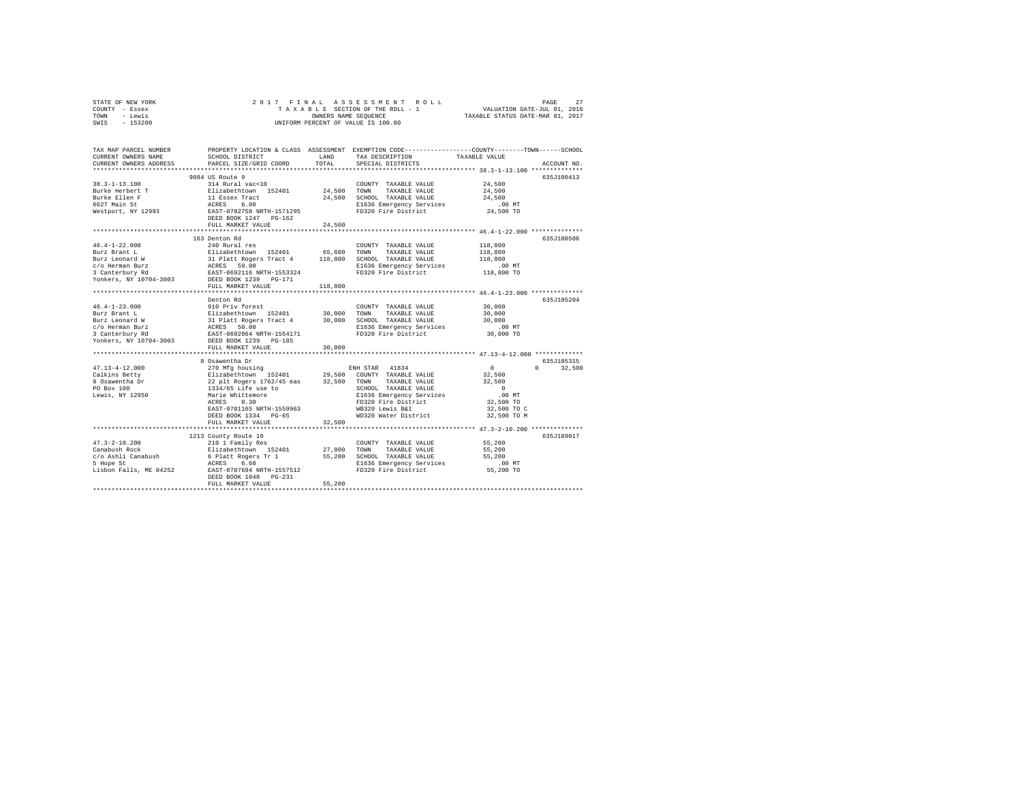|      | STATE OF NEW YORK |  |  | 2017 FINAL ASSESSMENT ROLL         | PAGE                             | 27 |
|------|-------------------|--|--|------------------------------------|----------------------------------|----|
|      | COUNTY - Essex    |  |  | TAXABLE SECTION OF THE ROLL - 1    | VALUATION DATE-JUL 01, 2016      |    |
| TOWN | - Lewis           |  |  | OWNERS NAME SEOUENCE               | TAXABLE STATUS DATE-MAR 01, 2017 |    |
| SWIS | $-153200$         |  |  | UNIFORM PERCENT OF VALUE IS 100.00 |                                  |    |

| TAX MAP PARCEL NUMBER<br>CURRENT OWNERS NAME<br>CURRENT OWNERS ADDRESS                                                                                                                                                                                 | SCHOOL DISTRICT<br>PARCEL SIZE/GRID COORD                                                                                                            | LAND<br>TOTAL | TAX DESCRIPTION<br>SPECIAL DISTRICTS            | PROPERTY LOCATION & CLASS ASSESSMENT EXEMPTION CODE----------------COUNTY-------TOWN------SCHOOL<br>TAXABLE VALUE<br>ACCOUNT NO. |
|--------------------------------------------------------------------------------------------------------------------------------------------------------------------------------------------------------------------------------------------------------|------------------------------------------------------------------------------------------------------------------------------------------------------|---------------|-------------------------------------------------|----------------------------------------------------------------------------------------------------------------------------------|
|                                                                                                                                                                                                                                                        |                                                                                                                                                      |               |                                                 |                                                                                                                                  |
|                                                                                                                                                                                                                                                        | 9084 US Route 9                                                                                                                                      |               |                                                 | 635J100413                                                                                                                       |
| $38.3 - 1 - 13.100$                                                                                                                                                                                                                                    | 314 Rural vac<10                                                                                                                                     |               | COUNTY TAXABLE VALUE                            | 24,500                                                                                                                           |
|                                                                                                                                                                                                                                                        |                                                                                                                                                      |               | 24,500 TOWN TAXABLE VALUE                       | 24,500                                                                                                                           |
|                                                                                                                                                                                                                                                        |                                                                                                                                                      |               | 24,500 SCHOOL TAXABLE VALUE                     | 24,500                                                                                                                           |
|                                                                                                                                                                                                                                                        |                                                                                                                                                      |               | E1636 Emergency Services                        | $.00$ MT                                                                                                                         |
| Westport, NY 12993 EAST-0702758 NRTH-1571295                                                                                                                                                                                                           |                                                                                                                                                      |               | FD320 Fire District                             | 24,500 TO                                                                                                                        |
|                                                                                                                                                                                                                                                        | DEED BOOK 1247 PG-162                                                                                                                                |               |                                                 |                                                                                                                                  |
|                                                                                                                                                                                                                                                        | FULL MARKET VALUE                                                                                                                                    | 24,500        |                                                 |                                                                                                                                  |
|                                                                                                                                                                                                                                                        |                                                                                                                                                      |               |                                                 |                                                                                                                                  |
|                                                                                                                                                                                                                                                        | 163 Denton Rd                                                                                                                                        |               |                                                 | 635J100506                                                                                                                       |
| $46.4 - 1 - 22.000$                                                                                                                                                                                                                                    | 240 Rural res                                                                                                                                        |               | COUNTY TAXABLE VALUE                            | 118,800                                                                                                                          |
|                                                                                                                                                                                                                                                        |                                                                                                                                                      |               | TAXABLE VALUE<br>TOWN                           | 118,800                                                                                                                          |
|                                                                                                                                                                                                                                                        |                                                                                                                                                      |               | SCHOOL TAXABLE VALUE                            | 118,800                                                                                                                          |
|                                                                                                                                                                                                                                                        |                                                                                                                                                      |               | E1636 Emergency Services<br>FD320 Fire District | $.00$ MT                                                                                                                         |
|                                                                                                                                                                                                                                                        |                                                                                                                                                      |               |                                                 | 118,800 TO                                                                                                                       |
| Nor Francisco Maria (1994)<br>1922 - Horne Maria (1995)<br>119,800<br>20 - Homan Burz (1995)<br>118,800<br>118,800<br>20 - ACRES (1996)<br>20 - ACRES (1997)<br>20 - ACRES (1997)<br>20 - ACRES (1997)<br>20 - ACRES (1997)<br>20 - ACRES (1997)<br>20 |                                                                                                                                                      |               |                                                 |                                                                                                                                  |
|                                                                                                                                                                                                                                                        | FULL MARKET VALUE                                                                                                                                    | 118,800       |                                                 |                                                                                                                                  |
|                                                                                                                                                                                                                                                        |                                                                                                                                                      |               |                                                 |                                                                                                                                  |
|                                                                                                                                                                                                                                                        | Denton Rd                                                                                                                                            |               |                                                 | 635J105204<br>30,000                                                                                                             |
|                                                                                                                                                                                                                                                        |                                                                                                                                                      |               |                                                 | 30,000                                                                                                                           |
|                                                                                                                                                                                                                                                        |                                                                                                                                                      |               |                                                 | 30,000                                                                                                                           |
|                                                                                                                                                                                                                                                        |                                                                                                                                                      |               |                                                 |                                                                                                                                  |
|                                                                                                                                                                                                                                                        |                                                                                                                                                      |               | E1636 Emergency Services<br>FD320 Fire District | 00 Mr.<br>30,000 TO                                                                                                              |
| Yonkers, NY 10704-3003 DEED BOOK 1239 PG-185                                                                                                                                                                                                           |                                                                                                                                                      |               |                                                 |                                                                                                                                  |
|                                                                                                                                                                                                                                                        | FULL MARKET VALUE                                                                                                                                    | 30,000        |                                                 |                                                                                                                                  |
|                                                                                                                                                                                                                                                        |                                                                                                                                                      |               |                                                 |                                                                                                                                  |
|                                                                                                                                                                                                                                                        | 8 Osawentha Dr                                                                                                                                       |               |                                                 | 635J105315                                                                                                                       |
| $47.13 - 4 - 12.000$                                                                                                                                                                                                                                   |                                                                                                                                                      |               |                                                 | $\sim$ 0<br>$\mathbf{0}$<br>32,500                                                                                               |
| Calkins Betty                                                                                                                                                                                                                                          |                                                                                                                                                      |               |                                                 | 32,500                                                                                                                           |
| 8 Osawentha Dr<br>PO Box 100                                                                                                                                                                                                                           |                                                                                                                                                      |               |                                                 | 32,500                                                                                                                           |
|                                                                                                                                                                                                                                                        |                                                                                                                                                      |               | SCHOOL TAXABLE VALUE                            | $\sim$ 0                                                                                                                         |
| Lewis, NY 12950                                                                                                                                                                                                                                        |                                                                                                                                                      |               | E1636 Emergency Services<br>FD320 Fire District | .00MT                                                                                                                            |
|                                                                                                                                                                                                                                                        |                                                                                                                                                      |               |                                                 | 32,500 TO                                                                                                                        |
|                                                                                                                                                                                                                                                        |                                                                                                                                                      |               | WB320 Lewis B&I                                 | 32,500 TO C                                                                                                                      |
|                                                                                                                                                                                                                                                        | DEED BOOK 1334 PG-65                                                                                                                                 |               | WD320 Water District                            | 32,500 TO M                                                                                                                      |
|                                                                                                                                                                                                                                                        | FULL MARKET VALUE                                                                                                                                    | 32,500        |                                                 |                                                                                                                                  |
|                                                                                                                                                                                                                                                        |                                                                                                                                                      |               |                                                 |                                                                                                                                  |
|                                                                                                                                                                                                                                                        | 1213 County Route 10                                                                                                                                 |               |                                                 | 635J189017                                                                                                                       |
| $47.3 - 2 - 10.200$                                                                                                                                                                                                                                    | 210 1 Family Res                                                                                                                                     |               | COUNTY TAXABLE VALUE                            | 55,200                                                                                                                           |
| Canabush Rock                                                                                                                                                                                                                                          | Elizabethtown 152401 27,800 TOWN                                                                                                                     |               | TAXABLE VALUE                                   | 55,200                                                                                                                           |
| c/o Ashli Canabush<br>5 Hope St                                                                                                                                                                                                                        | 6 Platt Rogers Tr 1 55,200 SCHOOL TAXABLE VALUE<br>ACRES 6.60 FINE E55 200 E1536 Emergency Services<br>EAST-0707694 NRTH-1557512 FD320 Fire District |               |                                                 | 55,200                                                                                                                           |
| 5 Hope St                                                                                                                                                                                                                                              |                                                                                                                                                      |               |                                                 | $.00$ MT                                                                                                                         |
| Lisbon Falls, ME 04252                                                                                                                                                                                                                                 |                                                                                                                                                      |               |                                                 | 55,200 TO                                                                                                                        |
|                                                                                                                                                                                                                                                        | DEED BOOK 1048 PG-231<br>FULL MARKET VALUE                                                                                                           | 55,200        |                                                 |                                                                                                                                  |
|                                                                                                                                                                                                                                                        |                                                                                                                                                      |               |                                                 |                                                                                                                                  |
|                                                                                                                                                                                                                                                        |                                                                                                                                                      |               |                                                 |                                                                                                                                  |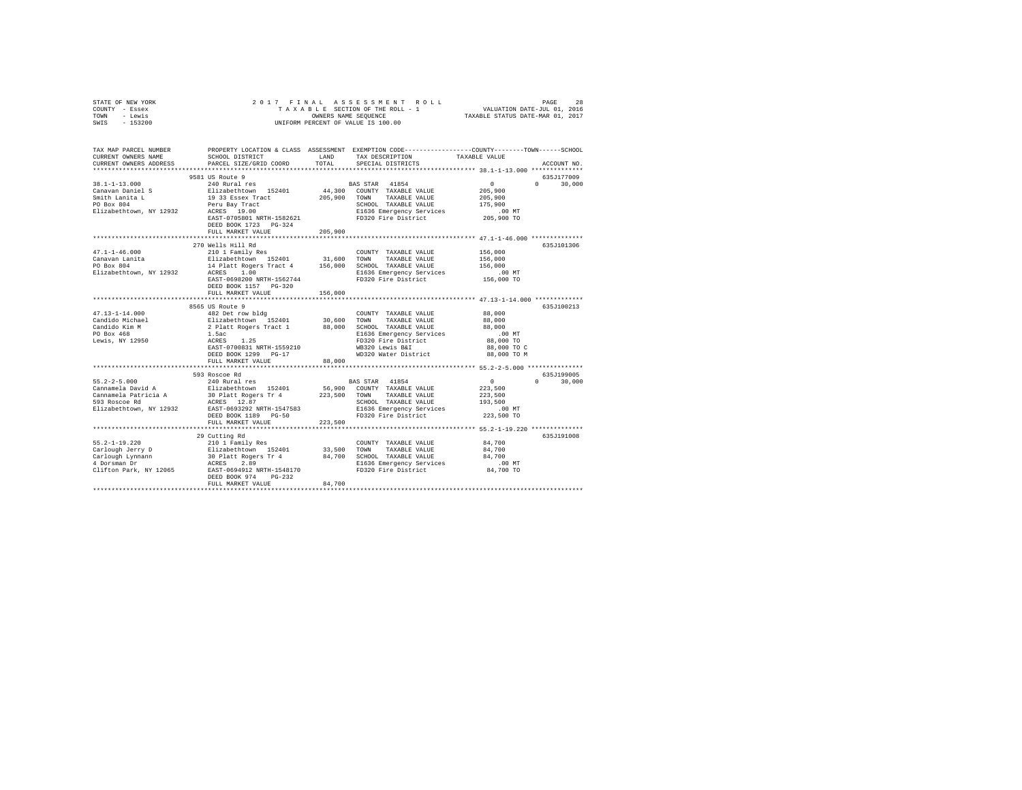| TAX MAP PARCEL NUMBER PROPERTY LOCATION & CLASS ASSESSMENT EXEMPTION CODE--------------COUNTY-------TOWN-----SCHOOL<br>TAXABLE VALUE<br>SCHOOL DISTRICT LAND<br>TAX DESCRIPTION<br>CURRENT OWNERS NAME<br>TOTAL<br>CURRENT OWNERS ADDRESS<br>PARCEL SIZE/GRID COORD<br>SPECIAL DISTRICTS<br>ACCOUNT NO.<br>9581 US Route 9<br>635J177009<br>$\sim$ 0<br>$0 \t 30,000$<br>$38.1 - 1 - 13.000$<br>240 Rural res<br>BAS STAR 41854<br>44,300 COUNTY TAXABLE VALUE<br>Elizabethtown 152401<br>Canavan Daniel S<br>205,900<br>205,900 TOWN TAXABLE VALUE<br>Smith Lanita L<br>PO Box 804<br>19 33 Essex Tract<br>205,900<br>175,900<br>Peru Bay Tract<br>ACRES 19.00<br>Elizabethtown, NY 12932<br>.00 MT<br>205,900 TO<br>DEED BOOK 1723 PG-324<br>FULL MARKET VALUE<br>205,900<br>270 Wells Hill Rd<br>635J101306<br>210 1 Family Res<br>$47.1 - 1 - 46.000$<br>COUNTY TAXABLE VALUE<br>156,000<br>Elizabethtown 152401 31,600 TOWN TAXABLE VALUE<br>14 Platt Rogers Tract 4 156,000 SCHOOL TAXABLE VALUE<br>Canavan Lanita<br>PO Box 804<br>156,000<br>156,000<br>14 Platt Royers 1100<br>ACRES 1.00<br>EAST-0698200 NRTH-15662744 PD320 Fire District<br>EAST-0698200 NRTH-1562744 PD320 Fire District<br>Elizabethtown, NY 12932<br>$.00$ MT<br>156,000 TO<br>DEED BOOK 1157 PG-320<br>156,000<br>FULL MARKET VALUE<br>635J100213<br>COUNTY TAXABLE VALUE 482 Det row bldg<br>Fixable brown 152401 30,600 TOWN TAXABLE VALUE<br>2 Platt Rogers Tract 1 88,000 SCHOOL TAXABLE VALUE<br>1.5ac 1.25<br>ACRES 1.53c FD320 Fire District<br>ROGERS 1.53c FD320 Fire District<br>COUNTY TAXABLE VALUE 88,000<br>$47.13 - 1 - 14.000$<br>88,000<br>Candido Michael<br>Candido Kim M<br>PO Box 468<br>88,000<br>$.00$ MT<br>Lewis, NY 12950<br>88,000 TO<br>WB320 Lewis B&I<br>EAST-0700831 NRTH-1559210<br>88,000 TO C<br>WD320 Water District<br>88,000 TO M<br>DEED BOOK 1299 PG-17<br>88,000<br>FULL MARKET VALUE<br>593 Roscoe Rd<br>635J199005<br>$55.2 - 2 - 5.000$<br>$\sim$ 0.000 $\sim$<br>BAS STAR 41854<br>$0 \t 30,000$<br>Cannamela David A<br>ans STAR 41854<br>30 Platt Rogers Tr 4 56,900 COUNTY TAXABLE VALUE<br>30 Platt Rogers Tr 4 223,500 COUNTY TAXABLE VALUE<br>ACRES 12.87<br>REN-069208 TREP-069208<br>223,500<br>Cannamela Patricia A<br>593 Roscoe Rd<br>223,500<br>SCHOOL TAXABLE VALUE<br>193,500<br>EAST-0693292 NRTH-1547583<br>Elizabethtown, NY 12932<br>E1636 Emergency Services<br>.00 MT<br>223,500 TO<br>DEED BOOK 1189 PG-50<br>FD320 Fire District<br>FULL MARKET VALUE<br>223,500<br>29 Cutting Rd<br>635J191008<br>55.2-1-19.220<br>84,700<br>210 1 Family Res COUNT<br>Elizabethtown 152401 33,500 TOWN<br>30 Platt Rogers Tr 4 84,700 SCHOT<br>ACRES 2.89 2.89<br>COUNTY TAXABLE VALUE<br>Carlough Jerry D<br>84,700<br>TAXABLE VALUE<br>84,700 SCHOOL TAXABLE VALUE<br>Carlough Lynnann<br>4 Dorsman Dr<br>84,700<br>DEED BOOK 974 PG-232<br>84,700<br>FULL MARKET VALUE | STATE OF NEW YORK<br>COUNTY - Essex<br>TOWN - Lewis<br>$-153200$<br>SWIS |  | OWNERS NAME SEQUENCE<br>UNIFORM PERCENT OF VALUE IS 100.00 |  |
|---------------------------------------------------------------------------------------------------------------------------------------------------------------------------------------------------------------------------------------------------------------------------------------------------------------------------------------------------------------------------------------------------------------------------------------------------------------------------------------------------------------------------------------------------------------------------------------------------------------------------------------------------------------------------------------------------------------------------------------------------------------------------------------------------------------------------------------------------------------------------------------------------------------------------------------------------------------------------------------------------------------------------------------------------------------------------------------------------------------------------------------------------------------------------------------------------------------------------------------------------------------------------------------------------------------------------------------------------------------------------------------------------------------------------------------------------------------------------------------------------------------------------------------------------------------------------------------------------------------------------------------------------------------------------------------------------------------------------------------------------------------------------------------------------------------------------------------------------------------------------------------------------------------------------------------------------------------------------------------------------------------------------------------------------------------------------------------------------------------------------------------------------------------------------------------------------------------------------------------------------------------------------------------------------------------------------------------------------------------------------------------------------------------------------------------------------------------------------------------------------------------------------------------------------------------------------------------------------------------------------------------------------------------------------------------------------------------------------------------------------------------------------------------------------------------------------------------------------------------------------------------------------------------|--------------------------------------------------------------------------|--|------------------------------------------------------------|--|
|                                                                                                                                                                                                                                                                                                                                                                                                                                                                                                                                                                                                                                                                                                                                                                                                                                                                                                                                                                                                                                                                                                                                                                                                                                                                                                                                                                                                                                                                                                                                                                                                                                                                                                                                                                                                                                                                                                                                                                                                                                                                                                                                                                                                                                                                                                                                                                                                                                                                                                                                                                                                                                                                                                                                                                                                                                                                                                               |                                                                          |  |                                                            |  |
|                                                                                                                                                                                                                                                                                                                                                                                                                                                                                                                                                                                                                                                                                                                                                                                                                                                                                                                                                                                                                                                                                                                                                                                                                                                                                                                                                                                                                                                                                                                                                                                                                                                                                                                                                                                                                                                                                                                                                                                                                                                                                                                                                                                                                                                                                                                                                                                                                                                                                                                                                                                                                                                                                                                                                                                                                                                                                                               |                                                                          |  |                                                            |  |
|                                                                                                                                                                                                                                                                                                                                                                                                                                                                                                                                                                                                                                                                                                                                                                                                                                                                                                                                                                                                                                                                                                                                                                                                                                                                                                                                                                                                                                                                                                                                                                                                                                                                                                                                                                                                                                                                                                                                                                                                                                                                                                                                                                                                                                                                                                                                                                                                                                                                                                                                                                                                                                                                                                                                                                                                                                                                                                               |                                                                          |  |                                                            |  |
|                                                                                                                                                                                                                                                                                                                                                                                                                                                                                                                                                                                                                                                                                                                                                                                                                                                                                                                                                                                                                                                                                                                                                                                                                                                                                                                                                                                                                                                                                                                                                                                                                                                                                                                                                                                                                                                                                                                                                                                                                                                                                                                                                                                                                                                                                                                                                                                                                                                                                                                                                                                                                                                                                                                                                                                                                                                                                                               |                                                                          |  |                                                            |  |
|                                                                                                                                                                                                                                                                                                                                                                                                                                                                                                                                                                                                                                                                                                                                                                                                                                                                                                                                                                                                                                                                                                                                                                                                                                                                                                                                                                                                                                                                                                                                                                                                                                                                                                                                                                                                                                                                                                                                                                                                                                                                                                                                                                                                                                                                                                                                                                                                                                                                                                                                                                                                                                                                                                                                                                                                                                                                                                               |                                                                          |  |                                                            |  |
|                                                                                                                                                                                                                                                                                                                                                                                                                                                                                                                                                                                                                                                                                                                                                                                                                                                                                                                                                                                                                                                                                                                                                                                                                                                                                                                                                                                                                                                                                                                                                                                                                                                                                                                                                                                                                                                                                                                                                                                                                                                                                                                                                                                                                                                                                                                                                                                                                                                                                                                                                                                                                                                                                                                                                                                                                                                                                                               |                                                                          |  |                                                            |  |
|                                                                                                                                                                                                                                                                                                                                                                                                                                                                                                                                                                                                                                                                                                                                                                                                                                                                                                                                                                                                                                                                                                                                                                                                                                                                                                                                                                                                                                                                                                                                                                                                                                                                                                                                                                                                                                                                                                                                                                                                                                                                                                                                                                                                                                                                                                                                                                                                                                                                                                                                                                                                                                                                                                                                                                                                                                                                                                               |                                                                          |  |                                                            |  |
|                                                                                                                                                                                                                                                                                                                                                                                                                                                                                                                                                                                                                                                                                                                                                                                                                                                                                                                                                                                                                                                                                                                                                                                                                                                                                                                                                                                                                                                                                                                                                                                                                                                                                                                                                                                                                                                                                                                                                                                                                                                                                                                                                                                                                                                                                                                                                                                                                                                                                                                                                                                                                                                                                                                                                                                                                                                                                                               |                                                                          |  |                                                            |  |
|                                                                                                                                                                                                                                                                                                                                                                                                                                                                                                                                                                                                                                                                                                                                                                                                                                                                                                                                                                                                                                                                                                                                                                                                                                                                                                                                                                                                                                                                                                                                                                                                                                                                                                                                                                                                                                                                                                                                                                                                                                                                                                                                                                                                                                                                                                                                                                                                                                                                                                                                                                                                                                                                                                                                                                                                                                                                                                               |                                                                          |  |                                                            |  |
|                                                                                                                                                                                                                                                                                                                                                                                                                                                                                                                                                                                                                                                                                                                                                                                                                                                                                                                                                                                                                                                                                                                                                                                                                                                                                                                                                                                                                                                                                                                                                                                                                                                                                                                                                                                                                                                                                                                                                                                                                                                                                                                                                                                                                                                                                                                                                                                                                                                                                                                                                                                                                                                                                                                                                                                                                                                                                                               |                                                                          |  |                                                            |  |
|                                                                                                                                                                                                                                                                                                                                                                                                                                                                                                                                                                                                                                                                                                                                                                                                                                                                                                                                                                                                                                                                                                                                                                                                                                                                                                                                                                                                                                                                                                                                                                                                                                                                                                                                                                                                                                                                                                                                                                                                                                                                                                                                                                                                                                                                                                                                                                                                                                                                                                                                                                                                                                                                                                                                                                                                                                                                                                               |                                                                          |  |                                                            |  |
|                                                                                                                                                                                                                                                                                                                                                                                                                                                                                                                                                                                                                                                                                                                                                                                                                                                                                                                                                                                                                                                                                                                                                                                                                                                                                                                                                                                                                                                                                                                                                                                                                                                                                                                                                                                                                                                                                                                                                                                                                                                                                                                                                                                                                                                                                                                                                                                                                                                                                                                                                                                                                                                                                                                                                                                                                                                                                                               |                                                                          |  |                                                            |  |
|                                                                                                                                                                                                                                                                                                                                                                                                                                                                                                                                                                                                                                                                                                                                                                                                                                                                                                                                                                                                                                                                                                                                                                                                                                                                                                                                                                                                                                                                                                                                                                                                                                                                                                                                                                                                                                                                                                                                                                                                                                                                                                                                                                                                                                                                                                                                                                                                                                                                                                                                                                                                                                                                                                                                                                                                                                                                                                               |                                                                          |  |                                                            |  |
|                                                                                                                                                                                                                                                                                                                                                                                                                                                                                                                                                                                                                                                                                                                                                                                                                                                                                                                                                                                                                                                                                                                                                                                                                                                                                                                                                                                                                                                                                                                                                                                                                                                                                                                                                                                                                                                                                                                                                                                                                                                                                                                                                                                                                                                                                                                                                                                                                                                                                                                                                                                                                                                                                                                                                                                                                                                                                                               |                                                                          |  |                                                            |  |
|                                                                                                                                                                                                                                                                                                                                                                                                                                                                                                                                                                                                                                                                                                                                                                                                                                                                                                                                                                                                                                                                                                                                                                                                                                                                                                                                                                                                                                                                                                                                                                                                                                                                                                                                                                                                                                                                                                                                                                                                                                                                                                                                                                                                                                                                                                                                                                                                                                                                                                                                                                                                                                                                                                                                                                                                                                                                                                               |                                                                          |  |                                                            |  |
|                                                                                                                                                                                                                                                                                                                                                                                                                                                                                                                                                                                                                                                                                                                                                                                                                                                                                                                                                                                                                                                                                                                                                                                                                                                                                                                                                                                                                                                                                                                                                                                                                                                                                                                                                                                                                                                                                                                                                                                                                                                                                                                                                                                                                                                                                                                                                                                                                                                                                                                                                                                                                                                                                                                                                                                                                                                                                                               |                                                                          |  |                                                            |  |
|                                                                                                                                                                                                                                                                                                                                                                                                                                                                                                                                                                                                                                                                                                                                                                                                                                                                                                                                                                                                                                                                                                                                                                                                                                                                                                                                                                                                                                                                                                                                                                                                                                                                                                                                                                                                                                                                                                                                                                                                                                                                                                                                                                                                                                                                                                                                                                                                                                                                                                                                                                                                                                                                                                                                                                                                                                                                                                               |                                                                          |  |                                                            |  |
|                                                                                                                                                                                                                                                                                                                                                                                                                                                                                                                                                                                                                                                                                                                                                                                                                                                                                                                                                                                                                                                                                                                                                                                                                                                                                                                                                                                                                                                                                                                                                                                                                                                                                                                                                                                                                                                                                                                                                                                                                                                                                                                                                                                                                                                                                                                                                                                                                                                                                                                                                                                                                                                                                                                                                                                                                                                                                                               |                                                                          |  |                                                            |  |
|                                                                                                                                                                                                                                                                                                                                                                                                                                                                                                                                                                                                                                                                                                                                                                                                                                                                                                                                                                                                                                                                                                                                                                                                                                                                                                                                                                                                                                                                                                                                                                                                                                                                                                                                                                                                                                                                                                                                                                                                                                                                                                                                                                                                                                                                                                                                                                                                                                                                                                                                                                                                                                                                                                                                                                                                                                                                                                               |                                                                          |  |                                                            |  |
|                                                                                                                                                                                                                                                                                                                                                                                                                                                                                                                                                                                                                                                                                                                                                                                                                                                                                                                                                                                                                                                                                                                                                                                                                                                                                                                                                                                                                                                                                                                                                                                                                                                                                                                                                                                                                                                                                                                                                                                                                                                                                                                                                                                                                                                                                                                                                                                                                                                                                                                                                                                                                                                                                                                                                                                                                                                                                                               |                                                                          |  |                                                            |  |
|                                                                                                                                                                                                                                                                                                                                                                                                                                                                                                                                                                                                                                                                                                                                                                                                                                                                                                                                                                                                                                                                                                                                                                                                                                                                                                                                                                                                                                                                                                                                                                                                                                                                                                                                                                                                                                                                                                                                                                                                                                                                                                                                                                                                                                                                                                                                                                                                                                                                                                                                                                                                                                                                                                                                                                                                                                                                                                               |                                                                          |  |                                                            |  |
|                                                                                                                                                                                                                                                                                                                                                                                                                                                                                                                                                                                                                                                                                                                                                                                                                                                                                                                                                                                                                                                                                                                                                                                                                                                                                                                                                                                                                                                                                                                                                                                                                                                                                                                                                                                                                                                                                                                                                                                                                                                                                                                                                                                                                                                                                                                                                                                                                                                                                                                                                                                                                                                                                                                                                                                                                                                                                                               |                                                                          |  |                                                            |  |
|                                                                                                                                                                                                                                                                                                                                                                                                                                                                                                                                                                                                                                                                                                                                                                                                                                                                                                                                                                                                                                                                                                                                                                                                                                                                                                                                                                                                                                                                                                                                                                                                                                                                                                                                                                                                                                                                                                                                                                                                                                                                                                                                                                                                                                                                                                                                                                                                                                                                                                                                                                                                                                                                                                                                                                                                                                                                                                               |                                                                          |  |                                                            |  |
|                                                                                                                                                                                                                                                                                                                                                                                                                                                                                                                                                                                                                                                                                                                                                                                                                                                                                                                                                                                                                                                                                                                                                                                                                                                                                                                                                                                                                                                                                                                                                                                                                                                                                                                                                                                                                                                                                                                                                                                                                                                                                                                                                                                                                                                                                                                                                                                                                                                                                                                                                                                                                                                                                                                                                                                                                                                                                                               |                                                                          |  |                                                            |  |
|                                                                                                                                                                                                                                                                                                                                                                                                                                                                                                                                                                                                                                                                                                                                                                                                                                                                                                                                                                                                                                                                                                                                                                                                                                                                                                                                                                                                                                                                                                                                                                                                                                                                                                                                                                                                                                                                                                                                                                                                                                                                                                                                                                                                                                                                                                                                                                                                                                                                                                                                                                                                                                                                                                                                                                                                                                                                                                               |                                                                          |  |                                                            |  |
|                                                                                                                                                                                                                                                                                                                                                                                                                                                                                                                                                                                                                                                                                                                                                                                                                                                                                                                                                                                                                                                                                                                                                                                                                                                                                                                                                                                                                                                                                                                                                                                                                                                                                                                                                                                                                                                                                                                                                                                                                                                                                                                                                                                                                                                                                                                                                                                                                                                                                                                                                                                                                                                                                                                                                                                                                                                                                                               |                                                                          |  |                                                            |  |
|                                                                                                                                                                                                                                                                                                                                                                                                                                                                                                                                                                                                                                                                                                                                                                                                                                                                                                                                                                                                                                                                                                                                                                                                                                                                                                                                                                                                                                                                                                                                                                                                                                                                                                                                                                                                                                                                                                                                                                                                                                                                                                                                                                                                                                                                                                                                                                                                                                                                                                                                                                                                                                                                                                                                                                                                                                                                                                               |                                                                          |  |                                                            |  |
|                                                                                                                                                                                                                                                                                                                                                                                                                                                                                                                                                                                                                                                                                                                                                                                                                                                                                                                                                                                                                                                                                                                                                                                                                                                                                                                                                                                                                                                                                                                                                                                                                                                                                                                                                                                                                                                                                                                                                                                                                                                                                                                                                                                                                                                                                                                                                                                                                                                                                                                                                                                                                                                                                                                                                                                                                                                                                                               |                                                                          |  |                                                            |  |
|                                                                                                                                                                                                                                                                                                                                                                                                                                                                                                                                                                                                                                                                                                                                                                                                                                                                                                                                                                                                                                                                                                                                                                                                                                                                                                                                                                                                                                                                                                                                                                                                                                                                                                                                                                                                                                                                                                                                                                                                                                                                                                                                                                                                                                                                                                                                                                                                                                                                                                                                                                                                                                                                                                                                                                                                                                                                                                               |                                                                          |  |                                                            |  |
|                                                                                                                                                                                                                                                                                                                                                                                                                                                                                                                                                                                                                                                                                                                                                                                                                                                                                                                                                                                                                                                                                                                                                                                                                                                                                                                                                                                                                                                                                                                                                                                                                                                                                                                                                                                                                                                                                                                                                                                                                                                                                                                                                                                                                                                                                                                                                                                                                                                                                                                                                                                                                                                                                                                                                                                                                                                                                                               |                                                                          |  |                                                            |  |
|                                                                                                                                                                                                                                                                                                                                                                                                                                                                                                                                                                                                                                                                                                                                                                                                                                                                                                                                                                                                                                                                                                                                                                                                                                                                                                                                                                                                                                                                                                                                                                                                                                                                                                                                                                                                                                                                                                                                                                                                                                                                                                                                                                                                                                                                                                                                                                                                                                                                                                                                                                                                                                                                                                                                                                                                                                                                                                               |                                                                          |  |                                                            |  |
|                                                                                                                                                                                                                                                                                                                                                                                                                                                                                                                                                                                                                                                                                                                                                                                                                                                                                                                                                                                                                                                                                                                                                                                                                                                                                                                                                                                                                                                                                                                                                                                                                                                                                                                                                                                                                                                                                                                                                                                                                                                                                                                                                                                                                                                                                                                                                                                                                                                                                                                                                                                                                                                                                                                                                                                                                                                                                                               |                                                                          |  |                                                            |  |
|                                                                                                                                                                                                                                                                                                                                                                                                                                                                                                                                                                                                                                                                                                                                                                                                                                                                                                                                                                                                                                                                                                                                                                                                                                                                                                                                                                                                                                                                                                                                                                                                                                                                                                                                                                                                                                                                                                                                                                                                                                                                                                                                                                                                                                                                                                                                                                                                                                                                                                                                                                                                                                                                                                                                                                                                                                                                                                               |                                                                          |  |                                                            |  |
|                                                                                                                                                                                                                                                                                                                                                                                                                                                                                                                                                                                                                                                                                                                                                                                                                                                                                                                                                                                                                                                                                                                                                                                                                                                                                                                                                                                                                                                                                                                                                                                                                                                                                                                                                                                                                                                                                                                                                                                                                                                                                                                                                                                                                                                                                                                                                                                                                                                                                                                                                                                                                                                                                                                                                                                                                                                                                                               |                                                                          |  |                                                            |  |
|                                                                                                                                                                                                                                                                                                                                                                                                                                                                                                                                                                                                                                                                                                                                                                                                                                                                                                                                                                                                                                                                                                                                                                                                                                                                                                                                                                                                                                                                                                                                                                                                                                                                                                                                                                                                                                                                                                                                                                                                                                                                                                                                                                                                                                                                                                                                                                                                                                                                                                                                                                                                                                                                                                                                                                                                                                                                                                               |                                                                          |  |                                                            |  |
|                                                                                                                                                                                                                                                                                                                                                                                                                                                                                                                                                                                                                                                                                                                                                                                                                                                                                                                                                                                                                                                                                                                                                                                                                                                                                                                                                                                                                                                                                                                                                                                                                                                                                                                                                                                                                                                                                                                                                                                                                                                                                                                                                                                                                                                                                                                                                                                                                                                                                                                                                                                                                                                                                                                                                                                                                                                                                                               |                                                                          |  |                                                            |  |
|                                                                                                                                                                                                                                                                                                                                                                                                                                                                                                                                                                                                                                                                                                                                                                                                                                                                                                                                                                                                                                                                                                                                                                                                                                                                                                                                                                                                                                                                                                                                                                                                                                                                                                                                                                                                                                                                                                                                                                                                                                                                                                                                                                                                                                                                                                                                                                                                                                                                                                                                                                                                                                                                                                                                                                                                                                                                                                               |                                                                          |  |                                                            |  |
|                                                                                                                                                                                                                                                                                                                                                                                                                                                                                                                                                                                                                                                                                                                                                                                                                                                                                                                                                                                                                                                                                                                                                                                                                                                                                                                                                                                                                                                                                                                                                                                                                                                                                                                                                                                                                                                                                                                                                                                                                                                                                                                                                                                                                                                                                                                                                                                                                                                                                                                                                                                                                                                                                                                                                                                                                                                                                                               |                                                                          |  |                                                            |  |
|                                                                                                                                                                                                                                                                                                                                                                                                                                                                                                                                                                                                                                                                                                                                                                                                                                                                                                                                                                                                                                                                                                                                                                                                                                                                                                                                                                                                                                                                                                                                                                                                                                                                                                                                                                                                                                                                                                                                                                                                                                                                                                                                                                                                                                                                                                                                                                                                                                                                                                                                                                                                                                                                                                                                                                                                                                                                                                               |                                                                          |  |                                                            |  |
|                                                                                                                                                                                                                                                                                                                                                                                                                                                                                                                                                                                                                                                                                                                                                                                                                                                                                                                                                                                                                                                                                                                                                                                                                                                                                                                                                                                                                                                                                                                                                                                                                                                                                                                                                                                                                                                                                                                                                                                                                                                                                                                                                                                                                                                                                                                                                                                                                                                                                                                                                                                                                                                                                                                                                                                                                                                                                                               |                                                                          |  |                                                            |  |
|                                                                                                                                                                                                                                                                                                                                                                                                                                                                                                                                                                                                                                                                                                                                                                                                                                                                                                                                                                                                                                                                                                                                                                                                                                                                                                                                                                                                                                                                                                                                                                                                                                                                                                                                                                                                                                                                                                                                                                                                                                                                                                                                                                                                                                                                                                                                                                                                                                                                                                                                                                                                                                                                                                                                                                                                                                                                                                               |                                                                          |  |                                                            |  |
|                                                                                                                                                                                                                                                                                                                                                                                                                                                                                                                                                                                                                                                                                                                                                                                                                                                                                                                                                                                                                                                                                                                                                                                                                                                                                                                                                                                                                                                                                                                                                                                                                                                                                                                                                                                                                                                                                                                                                                                                                                                                                                                                                                                                                                                                                                                                                                                                                                                                                                                                                                                                                                                                                                                                                                                                                                                                                                               |                                                                          |  |                                                            |  |
|                                                                                                                                                                                                                                                                                                                                                                                                                                                                                                                                                                                                                                                                                                                                                                                                                                                                                                                                                                                                                                                                                                                                                                                                                                                                                                                                                                                                                                                                                                                                                                                                                                                                                                                                                                                                                                                                                                                                                                                                                                                                                                                                                                                                                                                                                                                                                                                                                                                                                                                                                                                                                                                                                                                                                                                                                                                                                                               |                                                                          |  |                                                            |  |
|                                                                                                                                                                                                                                                                                                                                                                                                                                                                                                                                                                                                                                                                                                                                                                                                                                                                                                                                                                                                                                                                                                                                                                                                                                                                                                                                                                                                                                                                                                                                                                                                                                                                                                                                                                                                                                                                                                                                                                                                                                                                                                                                                                                                                                                                                                                                                                                                                                                                                                                                                                                                                                                                                                                                                                                                                                                                                                               |                                                                          |  |                                                            |  |
|                                                                                                                                                                                                                                                                                                                                                                                                                                                                                                                                                                                                                                                                                                                                                                                                                                                                                                                                                                                                                                                                                                                                                                                                                                                                                                                                                                                                                                                                                                                                                                                                                                                                                                                                                                                                                                                                                                                                                                                                                                                                                                                                                                                                                                                                                                                                                                                                                                                                                                                                                                                                                                                                                                                                                                                                                                                                                                               |                                                                          |  |                                                            |  |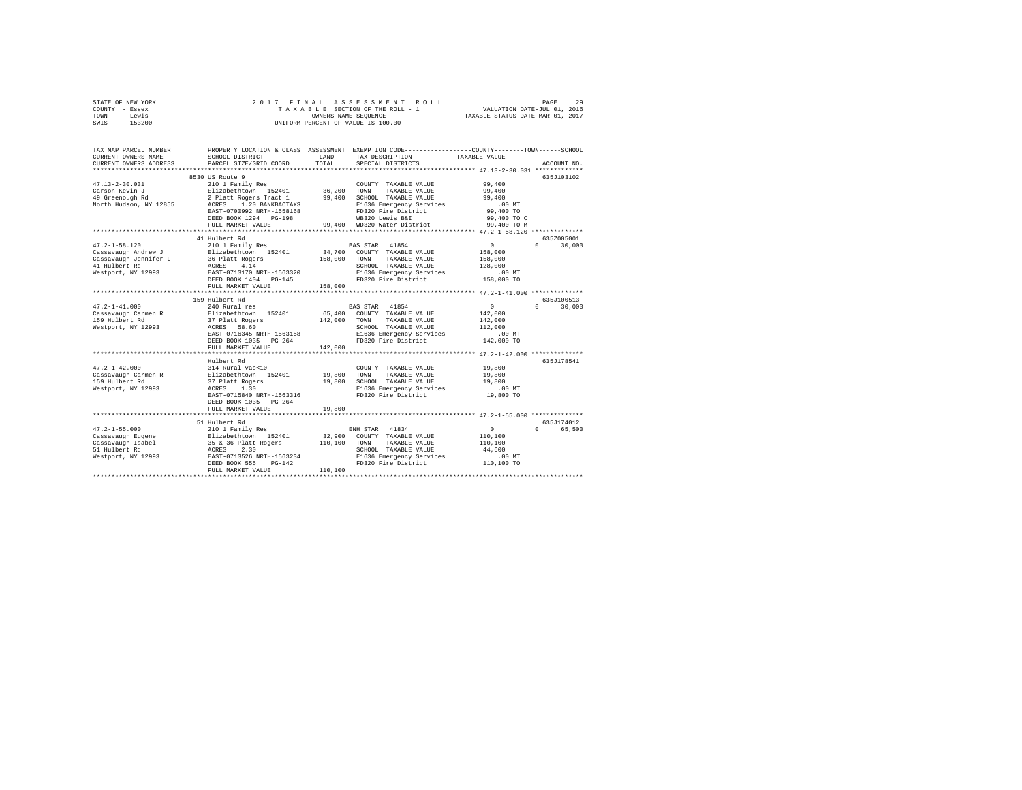| STATE OF NEW YORK<br>COUNTY - Essex |                                                                                                                                                                                                                                                 |         |                                                                                                 |            |               |  |
|-------------------------------------|-------------------------------------------------------------------------------------------------------------------------------------------------------------------------------------------------------------------------------------------------|---------|-------------------------------------------------------------------------------------------------|------------|---------------|--|
| TOWN - Lewis                        |                                                                                                                                                                                                                                                 |         |                                                                                                 |            |               |  |
| SWIS - 153200                       |                                                                                                                                                                                                                                                 |         |                                                                                                 |            |               |  |
|                                     |                                                                                                                                                                                                                                                 |         |                                                                                                 |            |               |  |
| TAX MAP PARCEL NUMBER               |                                                                                                                                                                                                                                                 |         | PROPERTY LOCATION & CLASS ASSESSMENT EXEMPTION CODE---------------COUNTY-------TOWN------SCHOOL |            |               |  |
| CURRENT OWNERS NAME                 | SCHOOL DISTRICT                                                                                                                                                                                                                                 | TOTAL   | LAND TAX DESCRIPTION TAXABLE VALUE                                                              |            |               |  |
| CURRENT OWNERS ADDRESS              | PARCEL SIZE/GRID COORD                                                                                                                                                                                                                          |         | SPECIAL DISTRICTS                                                                               |            | ACCOUNT NO.   |  |
|                                     | 8530 US Route 9                                                                                                                                                                                                                                 |         |                                                                                                 |            | 635J103102    |  |
| $47.13 - 2 - 30.031$                | 033300 NORTH TRANSLE VALUE<br>210 1 Family Res<br>2 Platt Rogers Tract 1<br>2 Platt Rogers Tract 1<br>2 Platt Rogers Tract 1<br>2 Platt Rogers Tract 1<br>2 Platt Rogers 1200<br>2 RANGE 2010 20 ANTRACTAXS<br>2 PD320 EV13 ENSEMBLE VALUE<br>2 |         | COUNTY TAXABLE VALUE 99,400                                                                     |            |               |  |
| Carson Kevin J                      |                                                                                                                                                                                                                                                 |         |                                                                                                 | 99,400     |               |  |
| Carson Kevin J<br>49 Greenough Rd   |                                                                                                                                                                                                                                                 |         |                                                                                                 | 99,400     |               |  |
| North Hudson, NY 12855              |                                                                                                                                                                                                                                                 |         |                                                                                                 | .00 MT     |               |  |
|                                     |                                                                                                                                                                                                                                                 |         |                                                                                                 | 99,400 TO  |               |  |
|                                     |                                                                                                                                                                                                                                                 |         |                                                                                                 |            |               |  |
|                                     | FULL MARKET VALUE                                                                                                                                                                                                                               |         |                                                                                                 |            |               |  |
|                                     |                                                                                                                                                                                                                                                 |         |                                                                                                 |            |               |  |
|                                     | 41 Hulbert Rd                                                                                                                                                                                                                                   |         |                                                                                                 |            | 635Z005001    |  |
| $47.2 - 1 - 58.120$                 | 210 1 Family Res BAS STAR 41854                                                                                                                                                                                                                 |         |                                                                                                 | $\sim$ 0   | $0 \t 30.000$ |  |
| Cassavaugh Andrew J                 | Elizabethtown 152401 34,700 COUNTY TAXABLE VALUE                                                                                                                                                                                                |         |                                                                                                 | 158,000    |               |  |
|                                     | $\frac{36 \text{ plat}}{138,000}$ TOWN                                                                                                                                                                                                          |         | TAXABLE VALUE                                                                                   | 158,000    |               |  |
| 41 Hulbert Rd                       | ACRES 4.14<br>ACRES 4.14<br>EAST-0713170 NRTH-1563320                                                                                                                                                                                           |         | SCHOOL TAXABLE VALUE                                                                            | 128,000    |               |  |
| Westport, NY 12993                  |                                                                                                                                                                                                                                                 |         | E1636 Emergency Services .00 MT<br>FD320 Fire District 158,000 TO                               |            |               |  |
|                                     | DEED BOOK 1404 PG-145                                                                                                                                                                                                                           |         |                                                                                                 |            |               |  |
|                                     | FULL MARKET VALUE                                                                                                                                                                                                                               | 158,000 |                                                                                                 |            |               |  |
|                                     |                                                                                                                                                                                                                                                 |         |                                                                                                 |            |               |  |
|                                     | 159 Hulbert Rd<br>240 Rural res                                                                                                                                                                                                                 |         |                                                                                                 |            | 635J100513    |  |
| $47.2 - 1 - 41.000$                 |                                                                                                                                                                                                                                                 |         | BAS STAR 41854                                                                                  | $\sim$ 0   | $0 \t 30.000$ |  |
| Cassavaugh Carmen R                 | Elizabethtown 152401                                                                                                                                                                                                                            |         | 65,400 COUNTY TAXABLE VALUE                                                                     | 142,000    |               |  |
| 159 Hulbert Rd                      |                                                                                                                                                                                                                                                 |         | TAXABLE VALUE                                                                                   | 142,000    |               |  |
| Westport, NY 12993                  | ACRES 58.60                                                                                                                                                                                                                                     |         | SCHOOL TAXABLE VALUE                                                                            | 112,000    |               |  |
|                                     |                                                                                                                                                                                                                                                 |         | E1636 Emergency Services .00 MT<br>FD320 Fire District 142,000 TO                               |            |               |  |
|                                     | DEED BOOK 1035 PG-264                                                                                                                                                                                                                           |         |                                                                                                 |            |               |  |
|                                     | FULL MARKET VALUE                                                                                                                                                                                                                               | 142,000 |                                                                                                 |            |               |  |
|                                     | Hulbert Rd                                                                                                                                                                                                                                      |         |                                                                                                 |            | 635J178541    |  |
| $47.2 - 1 - 42.000$                 | 314 Rural vac<10                                                                                                                                                                                                                                |         | COUNTY TAXABLE VALUE                                                                            | 19,800     |               |  |
| Cassavaugh Carmen R                 |                                                                                                                                                                                                                                                 |         |                                                                                                 | 19,800     |               |  |
| 159 Hulbert Rd                      |                                                                                                                                                                                                                                                 |         |                                                                                                 | 19,800     |               |  |
| Westport, NY 12993                  | 314 Auta Variation 152401 19,800 TOWN TAXABLE VALUE<br>37 Platt Rogers 19,800 SCHOOL TAXABLE VALUE<br>37 Platt Rogers 1,30 SCHOOL TAXABLE VALUE<br>RATERS 1,30 B1636 Emergency Services<br>EAST-0715840 NRTH-1563316 FD320 Fire Distri          |         |                                                                                                 | .00MT      |               |  |
|                                     |                                                                                                                                                                                                                                                 |         |                                                                                                 | 19,800 TO  |               |  |
|                                     | DEED BOOK 1035 PG-264                                                                                                                                                                                                                           |         |                                                                                                 |            |               |  |
|                                     | FULL MARKET VALUE                                                                                                                                                                                                                               | 19,800  |                                                                                                 |            |               |  |
|                                     |                                                                                                                                                                                                                                                 |         |                                                                                                 |            |               |  |
|                                     | 51 Hulbert Rd                                                                                                                                                                                                                                   |         |                                                                                                 |            | 635J174012    |  |
| $47.2 - 1 - 55.000$                 | 210 1 Family Res                                                                                                                                                                                                                                |         | ENH STAR 41834                                                                                  | $\sim$ 0   | 0 65,500      |  |
|                                     |                                                                                                                                                                                                                                                 |         | 32,900 COUNTY TAXABLE VALUE<br>110,100 TOWN TAXABLE VALUE                                       | 110,100    |               |  |
|                                     |                                                                                                                                                                                                                                                 |         |                                                                                                 | 110,100    |               |  |
|                                     |                                                                                                                                                                                                                                                 |         |                                                                                                 | 44,600     |               |  |
|                                     |                                                                                                                                                                                                                                                 |         |                                                                                                 | $.00$ MT   |               |  |
|                                     | ACKES 2.30 SCHOOL TAXABLE VALUE<br>Westport, NY 12993 RAST-0713526 NRTH-1563234 E1636 Emergency Services<br>DEED BOOK 555 DO-142 FD320 Fire District<br>FUILL MAPP <sup>ER</sup> VALUE<br>FUILL MAPPER VALUE                                    |         |                                                                                                 | 110,100 TO |               |  |
|                                     |                                                                                                                                                                                                                                                 |         |                                                                                                 |            |               |  |
|                                     |                                                                                                                                                                                                                                                 |         |                                                                                                 |            |               |  |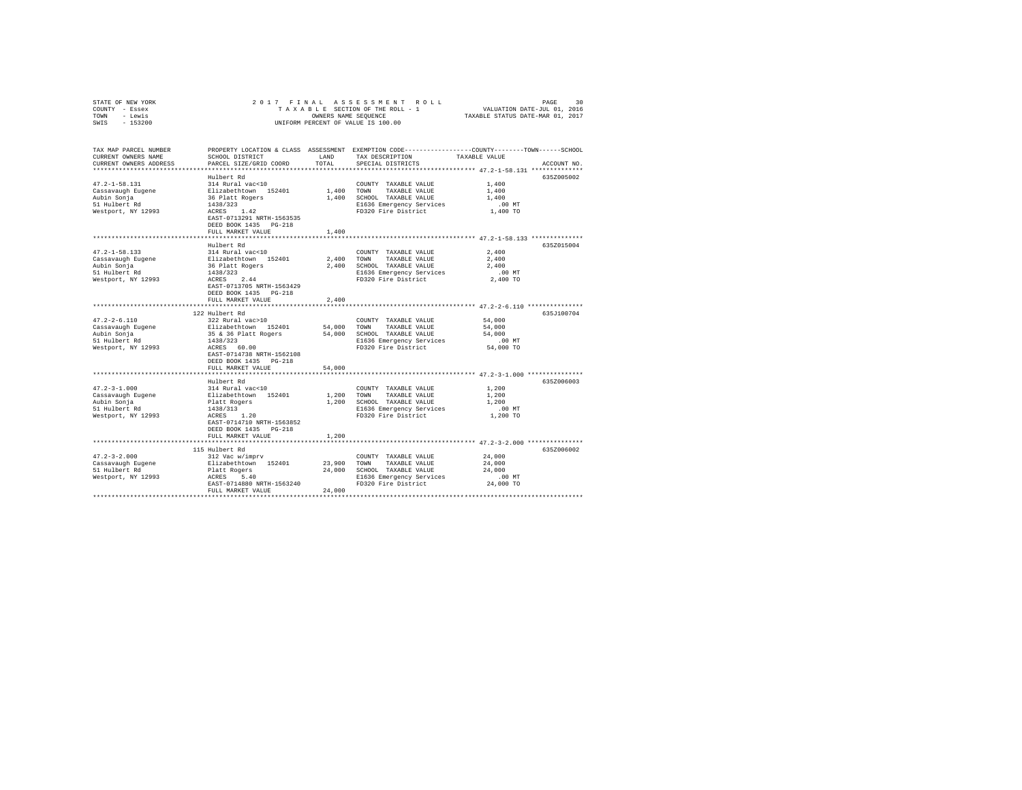| STATE OF NEW YORK<br>COUNTY - Essex<br>- Lewis<br>TOWN<br>$-153200$<br>SWIS                    | 2017 FINAL                                                                                                                                                                                              |                              | ASSESSMENT<br>ROLL<br>TAXABLE SECTION OF THE ROLL - 1<br>OWNERS NAME SEQUENCE<br>UNIFORM PERCENT OF VALUE IS 100.00      | PAGE<br>30<br>VALUATION DATE-JUL 01, 2016<br>TAXABLE STATUS DATE-MAR 01, 2017                                                                                                                |
|------------------------------------------------------------------------------------------------|---------------------------------------------------------------------------------------------------------------------------------------------------------------------------------------------------------|------------------------------|--------------------------------------------------------------------------------------------------------------------------|----------------------------------------------------------------------------------------------------------------------------------------------------------------------------------------------|
| TAX MAP PARCEL NUMBER<br>CURRENT OWNERS NAME<br>CURRENT OWNERS ADDRESS                         | SCHOOL DISTRICT<br>PARCEL SIZE/GRID COORD                                                                                                                                                               | LAND<br>TOTAL                | TAX DESCRIPTION<br>SPECIAL DISTRICTS                                                                                     | PROPERTY LOCATION & CLASS ASSESSMENT EXEMPTION CODE---------------COUNTY-------TOWN------SCHOOL<br>TAXABLE VALUE<br>ACCOUNT NO.                                                              |
| $47.2 - 1 - 58.131$<br>Cassavaugh Eugene<br>Aubin Sonja<br>51 Hulbert Rd<br>Westport, NY 12993 | Hulbert Rd<br>314 Rural vac<10<br>Elizabethtown 152401<br>36 Platt Rogers<br>1438/323<br>ACRES 1.42<br>EAST-0713291 NRTH-1563535<br>DEED BOOK 1435 PG-218<br>FULL MARKET VALUE                          | 1,400 TOWN<br>1,400<br>1,400 | COUNTY TAXABLE VALUE<br>TAXABLE VALUE<br>SCHOOL TAXABLE VALUE<br>E1636 Emergency Services<br>FD320 Fire District         | 635Z005002<br>1,400<br>1,400<br>1,400<br>$.00$ MT<br>1,400 TO                                                                                                                                |
| $47.2 - 1 - 58.133$<br>Cassavaugh Eugene<br>Aubin Sonja<br>51 Hulbert Rd<br>Westport, NY 12993 | Hulbert Rd<br>314 Rural vac<10<br>Elizabethtown 152401<br>36 Platt Rogers<br>1438/323<br>2.44<br>ACRES<br>EAST-0713705 NRTH-1563429<br>DEED BOOK 1435 PG-218<br>FULL MARKET VALUE                       | 2,400 TOWN<br>2,400          | COUNTY TAXABLE VALUE<br>TAXABLE VALUE<br>2,400 SCHOOL TAXABLE VALUE<br>E1636 Emergency Services<br>FD320 Fire District   | 635Z015004<br>2,400<br>2,400<br>2,400<br>$.00$ MT<br>2,400 TO                                                                                                                                |
| $47.2 - 2 - 6.110$<br>Cassavaugh Eugene<br>Aubin Sonja<br>51 Hulbert Rd<br>Westport, NY 12993  | 122 Hulbert Rd<br>322 Rural vac>10<br>Elizabethtown 152401<br>35 & 36 Platt Rogers<br>1438/323<br>ACRES 60.00<br>EAST-0714738 NRTH-1562108<br>DEED BOOK 1435 PG-218<br>FULL MARKET VALUE                | 54,000<br>54,000<br>54,000   | COUNTY TAXABLE VALUE<br>TOWN<br>TAXABLE VALUE<br>SCHOOL TAXABLE VALUE<br>E1636 Emergency Services<br>FD320 Fire District | 635J100704<br>54,000<br>54,000<br>54,000<br>$.00$ MT<br>54,000 TO                                                                                                                            |
| $47.2 - 3 - 1.000$<br>Cassavaugh Eugene<br>Aubin Sonja<br>51 Hulbert Rd<br>Westport, NY 12993  | ************************<br>Hulbert Rd<br>314 Rural vac<10<br>Elizabethtown 152401<br>Platt Rogers<br>1438/313<br>ACRES 1.20<br>EAST-0714710 NRTH-1563852<br>DEED BOOK 1435 PG-218<br>FULL MARKET VALUE | 1,200<br>1,200<br>1,200      | COUNTY TAXABLE VALUE<br>TOWN<br>TAXABLE VALUE<br>SCHOOL TAXABLE VALUE<br>E1636 Emergency Services<br>FD320 Fire District | ***************************** 47.2-3-1.000 **************<br>635Z006003<br>1,200<br>1,200<br>1,200<br>$.00$ MT<br>1,200 TO<br>********************************* 47.2-3-2.000 *************** |
| $47.2 - 3 - 2.000$<br>Cassavaugh Eugene<br>51 Hulbert Rd<br>Westport, NY 12993                 | 115 Hulbert Rd<br>312 Vac w/imprv<br>Elizabethtown 152401<br>Platt Rogers<br>ACRES<br>5.40<br>EAST-0714880 NRTH-1563240<br>FULL MARKET VALUE                                                            | 23,900<br>24,000<br>24,000   | COUNTY TAXABLE VALUE<br>TOWN<br>TAXABLE VALUE<br>SCHOOL TAXABLE VALUE<br>E1636 Emergency Services<br>FD320 Fire District | 635Z006002<br>24,000<br>24,000<br>24,000<br>$.00$ MT<br>24,000 TO                                                                                                                            |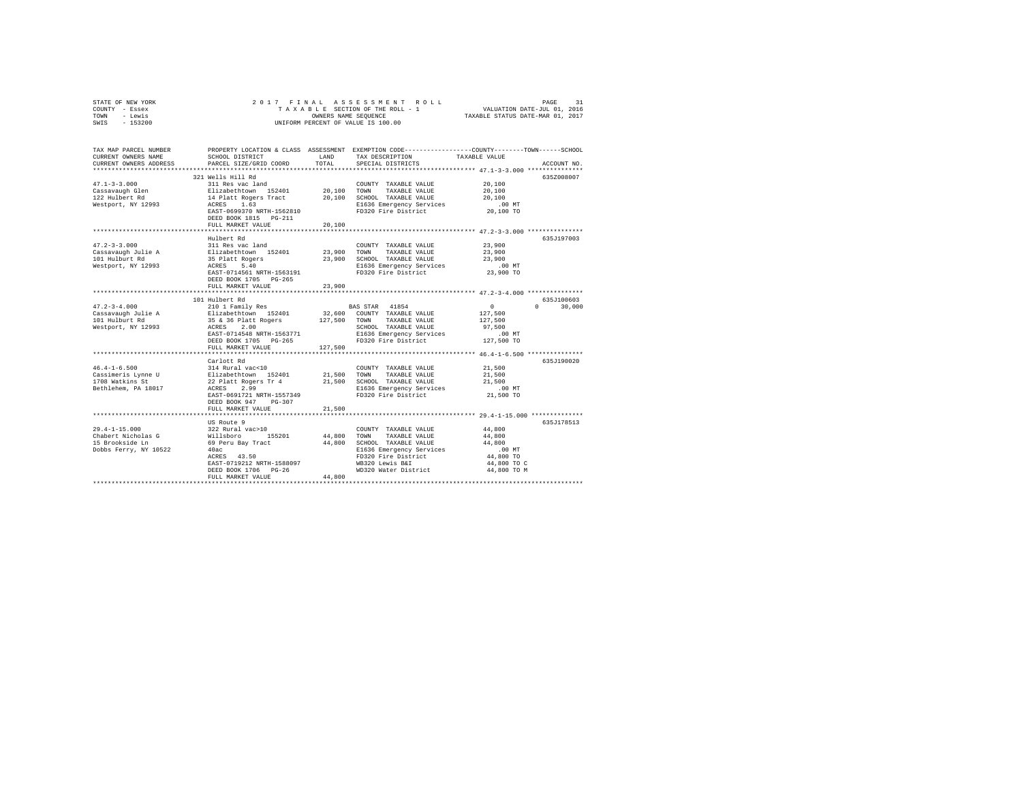| STATE OF NEW YORK         | 2017 FINAL                |                      | ASSESSMENT<br>R O L L              | PAGE<br>31                                                                                      |
|---------------------------|---------------------------|----------------------|------------------------------------|-------------------------------------------------------------------------------------------------|
| COUNTY - Essex            |                           |                      | TAXABLE SECTION OF THE ROLL - 1    | VALUATION DATE-JUL 01, 2016<br>TAXABLE STATUS DATE-MAR 01, 2017                                 |
| - Lewis<br>TOWN           |                           | OWNERS NAME SEQUENCE |                                    |                                                                                                 |
| SWIS<br>$-153200$         |                           |                      | UNIFORM PERCENT OF VALUE IS 100.00 |                                                                                                 |
|                           |                           |                      |                                    |                                                                                                 |
|                           |                           |                      |                                    |                                                                                                 |
|                           |                           |                      |                                    |                                                                                                 |
| TAX MAP PARCEL NUMBER     |                           |                      |                                    | PROPERTY LOCATION & CLASS ASSESSMENT EXEMPTION CODE---------------COUNTY-------TOWN------SCHOOL |
| CURRENT OWNERS NAME       | SCHOOL DISTRICT           | LAND                 | TAX DESCRIPTION                    | TAXABLE VALUE                                                                                   |
| CURRENT OWNERS ADDRESS    | PARCEL SIZE/GRID COORD    | TOTAL                | SPECIAL DISTRICTS                  | ACCOUNT NO.                                                                                     |
| ************************* |                           |                      |                                    |                                                                                                 |
|                           | 321 Wells Hill Rd         |                      |                                    | 635Z008007                                                                                      |
| $47.1 - 3 - 3.000$        | 311 Res vac land          |                      | COUNTY TAXABLE VALUE               | 20,100                                                                                          |
| Cassavaugh Glen           | Elizabethtown 152401      | 20,100               | TOWN<br>TAXABLE VALUE              | 20,100                                                                                          |
| 122 Hulbert Rd            | 14 Platt Rogers Tract     | 20,100               | SCHOOL TAXABLE VALUE               | 20,100                                                                                          |
| Westport, NY 12993        | 1.63<br>ACRES             |                      | E1636 Emergency Services           | .00MT                                                                                           |
|                           | EAST-0699370 NRTH-1562810 |                      | FD320 Fire District                | 20,100 TO                                                                                       |
|                           | DEED BOOK 1815 PG-211     |                      |                                    |                                                                                                 |
|                           | FULL MARKET VALUE         | 20,100               |                                    |                                                                                                 |
|                           |                           |                      |                                    |                                                                                                 |
|                           | Hulbert Rd                |                      |                                    | 635J197003                                                                                      |
| $47.2 - 3 - 3.000$        | 311 Res vac land          |                      | COUNTY TAXABLE VALUE               | 23,900                                                                                          |
| Cassavaugh Julie A        | Elizabethtown 152401      | 23,900               | TOWN<br>TAXABLE VALUE              | 23,900                                                                                          |
| 101 Hulburt Rd            | 35 Platt Rogers           | 23,900               | SCHOOL TAXABLE VALUE               | 23,900                                                                                          |
| Westport, NY 12993        | 5.40<br>ACRES             |                      | E1636 Emergency Services           | $.00$ MT                                                                                        |
|                           | EAST-0714561 NRTH-1563191 |                      | FD320 Fire District                | 23,900 TO                                                                                       |
|                           | DEED BOOK 1705 PG-265     |                      |                                    |                                                                                                 |
|                           |                           | 23,900               |                                    |                                                                                                 |
|                           | FULL MARKET VALUE         |                      |                                    |                                                                                                 |
|                           |                           |                      |                                    | 635.7100603                                                                                     |
|                           | 101 Hulbert Rd            |                      |                                    |                                                                                                 |
| $47.2 - 3 - 4.000$        | 210 1 Family Res          |                      | BAS STAR 41854                     | 30,000<br>$^{\circ}$<br>$\Omega$                                                                |
| Cassavaugh Julie A        | Elizabethtown 152401      | 32,600               | COUNTY TAXABLE VALUE               | 127,500                                                                                         |
| 101 Hulburt Rd            | 35 & 36 Platt Rogers      | 127,500              | TAXABLE VALUE<br>TOWN              | 127,500                                                                                         |
| Westport, NY 12993        | 2.00<br>ACRES             |                      | SCHOOL TAXABLE VALUE               | 97,500                                                                                          |
|                           | EAST-0714548 NRTH-1563771 |                      | E1636 Emergency Services           | .00MT                                                                                           |
|                           | DEED BOOK 1705 PG-265     |                      | FD320 Fire District                | 127,500 TO                                                                                      |
|                           | FULL MARKET VALUE         | 127,500              |                                    |                                                                                                 |
|                           |                           |                      |                                    |                                                                                                 |
|                           | Carlott Rd                |                      |                                    | 635J190020                                                                                      |
| $46.4 - 1 - 6.500$        | 314 Rural vac<10          |                      | COUNTY TAXABLE VALUE               | 21,500                                                                                          |
| Cassimeris Lynne U        | Elizabethtown 152401      | 21,500               | TOWN<br>TAXABLE VALUE              | 21,500                                                                                          |
| 1708 Watkins St           | 22 Platt Rogers Tr 4      | 21,500               | SCHOOL TAXABLE VALUE               | 21,500                                                                                          |
| Bethlehem, PA 18017       | ACRES<br>2.99             |                      | E1636 Emergency Services           | .00 MT                                                                                          |
|                           | EAST-0691721 NRTH-1557349 |                      | FD320 Fire District                | 21,500 TO                                                                                       |
|                           | DEED BOOK 947<br>PG-307   |                      |                                    |                                                                                                 |
|                           | FULL MARKET VALUE         | 21,500               |                                    |                                                                                                 |
|                           | ***********************   |                      |                                    | ********************** 29.4-1-15.000 **************                                             |
|                           | US Route 9                |                      |                                    | 635J178513                                                                                      |
| $29.4 - 1 - 15.000$       | 322 Rural vac>10          |                      | COUNTY TAXABLE VALUE               | 44,800                                                                                          |
| Chabert Nicholas G        | Willsboro<br>155201       | 44,800               | TOWN<br>TAXABLE VALUE              | 44,800                                                                                          |
|                           |                           | 44,800               |                                    | 44,800                                                                                          |
| 15 Brookside Ln           | 69 Peru Bay Tract         |                      | SCHOOL TAXABLE VALUE               |                                                                                                 |
| Dobbs Ferry, NY 10522     | 40ac                      |                      | E1636 Emergency Services           | .00 MT                                                                                          |
|                           | ACRES 43.50               |                      | FD320 Fire District                | 44,800 TO                                                                                       |
|                           | EAST-0719212 NRTH-1588097 |                      | WB320 Lewis B&I                    | 44,800 TO C                                                                                     |
|                           | DEED BOOK 1706 PG-26      |                      | WD320 Water District               | 44,800 TO M                                                                                     |
| ************************* | FULL MARKET VALUE         | 44,800               |                                    |                                                                                                 |
|                           | ***********************   | **************       |                                    |                                                                                                 |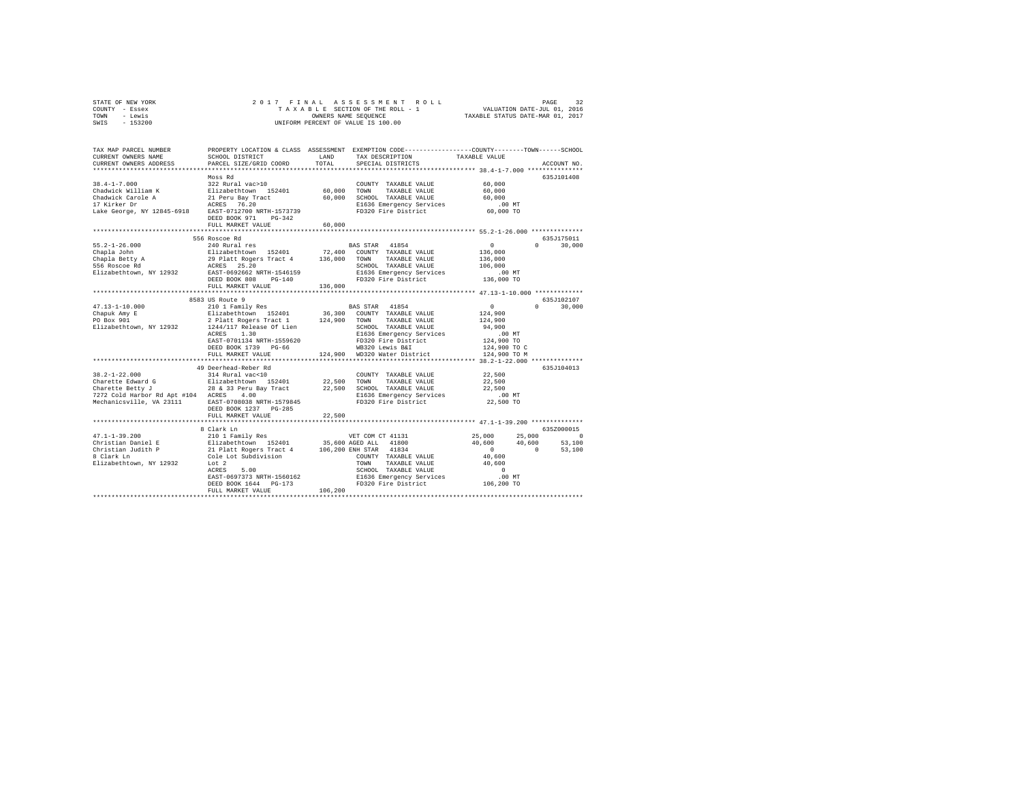| STATE OF NEW YORK | 2017 FINAL ASSESSMENT ROLL         | 32<br>PAGE                       |
|-------------------|------------------------------------|----------------------------------|
| COUNTY - Essex    | TAXABLE SECTION OF THE ROLL - 1    | VALUATION DATE-JUL 01, 2016      |
| TOWN<br>- Lewis   | OWNERS NAME SEOUENCE               | TAXABLE STATUS DATE-MAR 01, 2017 |
| $-153200$<br>SWIS | UNIFORM PERCENT OF VALUE IS 100.00 |                                  |

| TAX MAP PARCEL NUMBER<br>CURRENT OWNERS NAME<br>CURRENT OWNERS ADDRESS | SCHOOL DISTRICT<br>PARCEL SIZE/GRID COORD                | LAND<br>TOTAL    | PROPERTY LOCATION & CLASS ASSESSMENT EXEMPTION CODE---------------COUNTY-------TOWN-----SCHOOL<br>TAX DESCRIPTION<br>SPECIAL DISTRICTS | TAXABLE VALUE                       | ACCOUNT NO.        |
|------------------------------------------------------------------------|----------------------------------------------------------|------------------|----------------------------------------------------------------------------------------------------------------------------------------|-------------------------------------|--------------------|
| $38.4 - 1 - 7.000$                                                     | Moss Rd<br>322 Rural vac>10                              |                  | COUNTY TAXABLE VALUE                                                                                                                   | 60,000                              | 635J101408         |
| Chadwick William K<br>Chadwick Carole A<br>17 Kirker Dr                | Elizabethtown 152401<br>21 Peru Bay Tract<br>ACRES 76.20 | 60,000<br>60,000 | TOWN<br>TAXABLE VALUE<br>SCHOOL TAXABLE VALUE<br>E1636 Emergency Services                                                              | 60,000<br>60,000<br>$.00$ MT        |                    |
| Lake George, NY 12845-6918                                             | EAST-0712700 NRTH-1573739<br>DEED BOOK 971<br>$PG-342$   |                  | FD320 Fire District                                                                                                                    | 60,000 TO                           |                    |
|                                                                        | FULL MARKET VALUE<br>*********************               | 60,000           | ****************************** 55.2-1-26.000 **************                                                                            |                                     |                    |
|                                                                        | 556 Roscoe Rd                                            |                  |                                                                                                                                        |                                     | 635J175011         |
| $55.2 - 1 - 26.000$                                                    | 240 Rural res                                            |                  | BAS STAR 41854                                                                                                                         | $\Omega$                            | 30,000<br>$\Omega$ |
| Chapla John                                                            | Elizabethtown 152401                                     | 72,400           | COUNTY TAXABLE VALUE                                                                                                                   | 136,000                             |                    |
| Chapla Betty A                                                         | 29 Platt Rogers Tract 4                                  | 136,000          | TOWN<br>TAXABLE VALUE                                                                                                                  | 136,000                             |                    |
| 556 Roscoe Rd                                                          | ACRES 25.20                                              |                  | SCHOOL TAXABLE VALUE                                                                                                                   | 106,000                             |                    |
| Elizabethtown, NY 12932                                                | EAST-0692662 NRTH-1546159                                |                  | E1636 Emergency Services                                                                                                               | .00 MT                              |                    |
|                                                                        | DEED BOOK 808<br>$PG-140$                                |                  | FD320 Fire District                                                                                                                    | 136,000 TO                          |                    |
|                                                                        | FULL MARKET VALUE<br>**************************          | 136,000          |                                                                                                                                        |                                     |                    |
|                                                                        | 8583 US Route 9                                          |                  |                                                                                                                                        |                                     | 635J102107         |
| $47.13 - 1 - 10.000$                                                   | 210 1 Family Res                                         |                  | BAS STAR 41854                                                                                                                         | $^{\circ}$                          | $\Omega$<br>30,000 |
| Chapuk Amy E                                                           | Elizabethtown 152401                                     | 36,300           | COUNTY TAXABLE VALUE                                                                                                                   | 124,900                             |                    |
| PO Box 901                                                             | 2 Platt Rogers Tract 1                                   | 124,900          | TAXABLE VALUE<br>TOWN                                                                                                                  | 124,900                             |                    |
| Elizabethtown, NY 12932                                                | 1244/117 Release Of Lien                                 |                  | SCHOOL TAXABLE VALUE                                                                                                                   | 94,900                              |                    |
|                                                                        | 1.30<br>ACRES                                            |                  | E1636 Emergency Services                                                                                                               | $.00$ MT                            |                    |
|                                                                        | EAST-0701134 NRTH-1559620                                |                  | FD320 Fire District                                                                                                                    | 124,900 TO                          |                    |
|                                                                        | DEED BOOK 1739 PG-66                                     |                  | WB320 Lewis B&I                                                                                                                        | 124,900 TO C                        |                    |
|                                                                        | FULL MARKET VALUE                                        | 124,900          | WD320 Water District                                                                                                                   | 124,900 TO M                        |                    |
|                                                                        | **********************                                   |                  |                                                                                                                                        | ***** 38.2-1-22.000 *************** |                    |
|                                                                        | 49 Deerhead-Reber Rd                                     |                  |                                                                                                                                        |                                     | 635J104013         |
| $38.2 - 1 - 22.000$                                                    | 314 Rural vac<10                                         |                  | COUNTY TAXABLE VALUE                                                                                                                   | 22,500                              |                    |
| Charette Edward G                                                      | Elizabethtown 152401                                     | 22,500           | TOWN<br>TAXABLE VALUE                                                                                                                  | 22,500                              |                    |
| Charette Betty J                                                       | 28 & 33 Peru Bay Tract<br>4.00                           | 22,500           | SCHOOL TAXABLE VALUE                                                                                                                   | 22,500<br>$.00$ MT                  |                    |
| 7272 Cold Harbor Rd Apt #104 ACRES<br>Mechanicsville, VA 23111         | EAST-0708038 NRTH-1579845                                |                  | E1636 Emergency Services<br>FD320 Fire District                                                                                        | 22,500 TO                           |                    |
|                                                                        | DEED BOOK 1237 PG-285                                    |                  |                                                                                                                                        |                                     |                    |
|                                                                        | FULL MARKET VALUE                                        | 22,500           |                                                                                                                                        |                                     |                    |
|                                                                        |                                                          |                  | ******************************** 47.1-1-39.200 **************                                                                          |                                     |                    |
|                                                                        | 8 Clark Ln                                               |                  |                                                                                                                                        |                                     | 635Z000015         |
| $47.1 - 1 - 39.200$                                                    | 210 1 Family Res                                         |                  | VET COM CT 41131                                                                                                                       | 25,000<br>25,000                    | $\Omega$           |
| Christian Daniel E                                                     | Elizabethtown 152401                                     |                  | 35,600 AGED ALL 41800                                                                                                                  | 40,600<br>40,600                    | 53,100             |
| Christian Judith P                                                     | 21 Platt Rogers Tract 4                                  |                  | 106,200 ENH STAR 41834                                                                                                                 | $^{\circ}$                          | $\Omega$<br>53,100 |
| 8 Clark Ln                                                             | Cole Lot Subdivision                                     |                  | COUNTY TAXABLE VALUE                                                                                                                   | 40,600                              |                    |
| Elizabethtown, NY 12932                                                | Lot 2                                                    |                  | TOWN<br>TAXABLE VALUE                                                                                                                  | 40,600                              |                    |
|                                                                        | 5.00<br>ACRES                                            |                  | SCHOOL TAXABLE VALUE                                                                                                                   | $\Omega$                            |                    |
|                                                                        | EAST-0697373 NRTH-1560162                                |                  | E1636 Emergency Services<br>FD320 Fire District                                                                                        | $.00$ $MT$                          |                    |
|                                                                        | DEED BOOK 1644 PG-173<br>FULL MARKET VALUE               | 106,200          |                                                                                                                                        | 106,200 TO                          |                    |
|                                                                        |                                                          |                  |                                                                                                                                        |                                     |                    |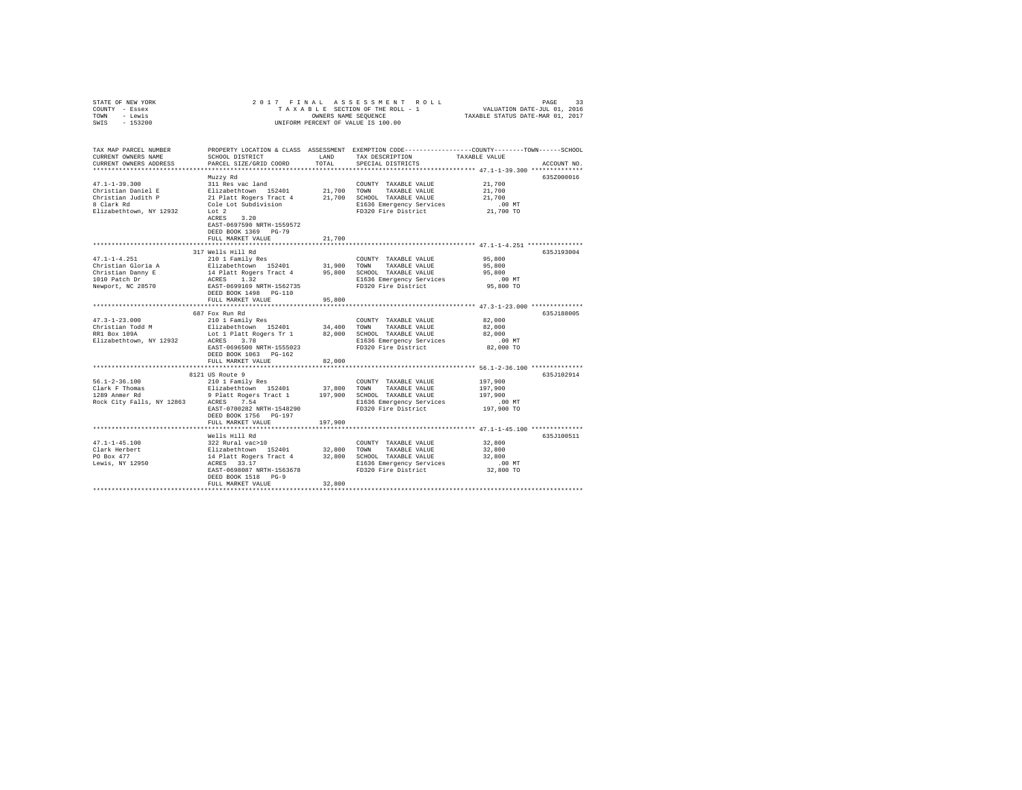| TOWN<br>- Lewis<br>$-153200$<br>UNIFORM PERCENT OF VALUE IS 100.00<br>SWIS<br>PROPERTY LOCATION & CLASS ASSESSMENT EXEMPTION CODE---------------COUNTY-------TOWN------SCHOOL<br>TAX MAP PARCEL NUMBER<br>SCHOOL DISTRICT<br>TAXABLE VALUE<br>LAND<br>TAX DESCRIPTION<br>CURRENT OWNERS NAME<br>TOTAL<br>CURRENT OWNERS ADDRESS<br>PARCEL SIZE/GRID COORD<br>SPECIAL DISTRICTS<br>ACCOUNT NO.<br>************************<br>635Z000016<br>Muzzy Rd<br>$47.1 - 1 - 39.300$<br>21,700<br>311 Res vac land<br>COUNTY TAXABLE VALUE<br>Elizabethtown 152401<br>21 Platt Rogers Tract 4<br>21,700<br>21,700<br>Christian Daniel E<br>TOWN<br>TAXABLE VALUE<br>21,700 SCHOOL TAXABLE VALUE<br>21,700<br>Christian Judith P<br>8 Clark Rd<br>Cole Lot Subdivision<br>$.00$ MT<br>E1636 Emergency Services<br>Elizabethtown, NY 12932<br>Lot 2<br>FD320 Fire District<br>21,700 TO<br>ACRES 3.20<br>EAST-0697590 NRTH-1559572<br>DEED BOOK 1369 PG-79<br>21,700<br>FULL MARKET VALUE<br>317 Wells Hill Rd<br>635J193004<br>$47.1 - 1 - 4.251$<br>210 1 Family Res<br>95,800<br>COUNTY TAXABLE VALUE<br>Elizabethtown 152401<br>Christian Gloria A<br>31,900<br>95,800<br>TOWN<br>TAXABLE VALUE<br>14 Platt Rogers Tract 4<br>ACRES 1.32<br>EAST-0699169 NRTH-1562735<br>Christian Danny E<br>1010 Patch Dr<br>95,800 SCHOOL TAXABLE VALUE<br>95,800<br>E1636 Emergency Services<br>$.00$ MT<br>Newport, NC 28570<br>FD320 Fire District<br>95,800 TO<br>DEED BOOK 1498 PG-110<br>95,800<br>FULL MARKET VALUE<br>*************************<br>******************** 47.3-1-23.000 **************<br>********<br>687 Fox Run Rd<br>635J188005<br>$47.3 - 1 - 23.000$<br>82,000<br>210 1 Family Res<br>COUNTY TAXABLE VALUE<br>Elizabethtown 152401<br>Christian Todd M<br>34,400<br>TOWN<br>TAXABLE VALUE<br>82,000<br>RR1 Box 109A<br>Lot 1 Platt Rogers Tr 1 82,000<br>82,000<br>SCHOOL TAXABLE VALUE<br>Elizabethtown, NY 12932<br>ACRES 3.78<br>E1636 Emergency Services<br>FD320 Fire District<br>$.00$ MT<br>EAST-0696500 NRTH-1555023<br>82,000 TO<br>DEED BOOK 1063 PG-162<br>82,000<br>FULL MARKET VALUE<br>****************************<br>8121 US Route 9<br>635J102914<br>$56.1 - 2 - 36.100$<br>210 1 Family Res<br>197,900<br>COUNTY TAXABLE VALUE<br>$\begin{tabular}{lllllllllll} \multicolumn{3}{c}{\textbf{1289}} & \multicolumn{3}{c}{\textbf{1289}} & \multicolumn{3}{c}{\textbf{1289}} & \multicolumn{3}{c}{\textbf{1289}} & \multicolumn{3}{c}{\textbf{1289}} & \multicolumn{3}{c}{\textbf{1289}} & \multicolumn{3}{c}{\textbf{1289}} & \multicolumn{3}{c}{\textbf{1289}} & \multicolumn{3}{c}{\textbf{1289}} & \multicolumn{3}{c}{\textbf{1289}} & \multicolumn{3}{c}{\textbf{1289$<br>37,800<br>197,900<br>TOWN<br>TAXABLE VALUE<br>9 Platt Rogers Tract 1 197,900<br>197,900<br>SCHOOL TAXABLE VALUE<br>Rock City Falls, NY 12863 ACRES 7.54<br>E1636 Emergency Services<br>$.00$ MT<br>197,900 TO<br>EAST-0700282 NRTH-1548290<br>FD320 Fire District<br>DEED BOOK 1756 PG-197<br>FULL MARKET VALUE<br>197,900<br>Wells Hill Rd<br>635J100511<br>$47.1 - 1 - 45.100$<br>322 Rural vac>10<br>32,800<br>COUNTY TAXABLE VALUE<br>Elizabethtown 152401<br>14 Platt Rogers Tract 4<br>ACRES 33.17<br>32,800 TOWN<br>32,800<br>Clark Herbert<br>TAXABLE VALUE<br>PO Box 477<br>32,800 SCHOOL TAXABLE VALUE<br>32,800<br>Lewis, NY 12950<br>E1636 Emergency Services<br>$.00$ MT<br>32,800 TO<br>EAST-0698087 NRTH-1563678<br>FD320 Fire District<br>DEED BOOK 1518 PG-9<br>32,800<br>FULL MARKET VALUE | STATE OF NEW YORK<br>COUNTY - Essex | 2017 FINAL |  |  |
|------------------------------------------------------------------------------------------------------------------------------------------------------------------------------------------------------------------------------------------------------------------------------------------------------------------------------------------------------------------------------------------------------------------------------------------------------------------------------------------------------------------------------------------------------------------------------------------------------------------------------------------------------------------------------------------------------------------------------------------------------------------------------------------------------------------------------------------------------------------------------------------------------------------------------------------------------------------------------------------------------------------------------------------------------------------------------------------------------------------------------------------------------------------------------------------------------------------------------------------------------------------------------------------------------------------------------------------------------------------------------------------------------------------------------------------------------------------------------------------------------------------------------------------------------------------------------------------------------------------------------------------------------------------------------------------------------------------------------------------------------------------------------------------------------------------------------------------------------------------------------------------------------------------------------------------------------------------------------------------------------------------------------------------------------------------------------------------------------------------------------------------------------------------------------------------------------------------------------------------------------------------------------------------------------------------------------------------------------------------------------------------------------------------------------------------------------------------------------------------------------------------------------------------------------------------------------------------------------------------------------------------------------------------------------------------------------------------------------------------------------------------------------------------------------------------------------------------------------------------------------------------------------------------------------------------------------------------------------------------------------------------------------------------------------------------------------------------------------------------------------------------------------------------------------------------------------------------------------------------------------------------------------------------------------------------------------------------------------------------------------------------------------------------------------------------------------------------------------------------------------------------|-------------------------------------|------------|--|--|
|                                                                                                                                                                                                                                                                                                                                                                                                                                                                                                                                                                                                                                                                                                                                                                                                                                                                                                                                                                                                                                                                                                                                                                                                                                                                                                                                                                                                                                                                                                                                                                                                                                                                                                                                                                                                                                                                                                                                                                                                                                                                                                                                                                                                                                                                                                                                                                                                                                                                                                                                                                                                                                                                                                                                                                                                                                                                                                                                                                                                                                                                                                                                                                                                                                                                                                                                                                                                                                                                                                                  |                                     |            |  |  |
|                                                                                                                                                                                                                                                                                                                                                                                                                                                                                                                                                                                                                                                                                                                                                                                                                                                                                                                                                                                                                                                                                                                                                                                                                                                                                                                                                                                                                                                                                                                                                                                                                                                                                                                                                                                                                                                                                                                                                                                                                                                                                                                                                                                                                                                                                                                                                                                                                                                                                                                                                                                                                                                                                                                                                                                                                                                                                                                                                                                                                                                                                                                                                                                                                                                                                                                                                                                                                                                                                                                  |                                     |            |  |  |
|                                                                                                                                                                                                                                                                                                                                                                                                                                                                                                                                                                                                                                                                                                                                                                                                                                                                                                                                                                                                                                                                                                                                                                                                                                                                                                                                                                                                                                                                                                                                                                                                                                                                                                                                                                                                                                                                                                                                                                                                                                                                                                                                                                                                                                                                                                                                                                                                                                                                                                                                                                                                                                                                                                                                                                                                                                                                                                                                                                                                                                                                                                                                                                                                                                                                                                                                                                                                                                                                                                                  |                                     |            |  |  |
|                                                                                                                                                                                                                                                                                                                                                                                                                                                                                                                                                                                                                                                                                                                                                                                                                                                                                                                                                                                                                                                                                                                                                                                                                                                                                                                                                                                                                                                                                                                                                                                                                                                                                                                                                                                                                                                                                                                                                                                                                                                                                                                                                                                                                                                                                                                                                                                                                                                                                                                                                                                                                                                                                                                                                                                                                                                                                                                                                                                                                                                                                                                                                                                                                                                                                                                                                                                                                                                                                                                  |                                     |            |  |  |
|                                                                                                                                                                                                                                                                                                                                                                                                                                                                                                                                                                                                                                                                                                                                                                                                                                                                                                                                                                                                                                                                                                                                                                                                                                                                                                                                                                                                                                                                                                                                                                                                                                                                                                                                                                                                                                                                                                                                                                                                                                                                                                                                                                                                                                                                                                                                                                                                                                                                                                                                                                                                                                                                                                                                                                                                                                                                                                                                                                                                                                                                                                                                                                                                                                                                                                                                                                                                                                                                                                                  |                                     |            |  |  |
|                                                                                                                                                                                                                                                                                                                                                                                                                                                                                                                                                                                                                                                                                                                                                                                                                                                                                                                                                                                                                                                                                                                                                                                                                                                                                                                                                                                                                                                                                                                                                                                                                                                                                                                                                                                                                                                                                                                                                                                                                                                                                                                                                                                                                                                                                                                                                                                                                                                                                                                                                                                                                                                                                                                                                                                                                                                                                                                                                                                                                                                                                                                                                                                                                                                                                                                                                                                                                                                                                                                  |                                     |            |  |  |
|                                                                                                                                                                                                                                                                                                                                                                                                                                                                                                                                                                                                                                                                                                                                                                                                                                                                                                                                                                                                                                                                                                                                                                                                                                                                                                                                                                                                                                                                                                                                                                                                                                                                                                                                                                                                                                                                                                                                                                                                                                                                                                                                                                                                                                                                                                                                                                                                                                                                                                                                                                                                                                                                                                                                                                                                                                                                                                                                                                                                                                                                                                                                                                                                                                                                                                                                                                                                                                                                                                                  |                                     |            |  |  |
|                                                                                                                                                                                                                                                                                                                                                                                                                                                                                                                                                                                                                                                                                                                                                                                                                                                                                                                                                                                                                                                                                                                                                                                                                                                                                                                                                                                                                                                                                                                                                                                                                                                                                                                                                                                                                                                                                                                                                                                                                                                                                                                                                                                                                                                                                                                                                                                                                                                                                                                                                                                                                                                                                                                                                                                                                                                                                                                                                                                                                                                                                                                                                                                                                                                                                                                                                                                                                                                                                                                  |                                     |            |  |  |
|                                                                                                                                                                                                                                                                                                                                                                                                                                                                                                                                                                                                                                                                                                                                                                                                                                                                                                                                                                                                                                                                                                                                                                                                                                                                                                                                                                                                                                                                                                                                                                                                                                                                                                                                                                                                                                                                                                                                                                                                                                                                                                                                                                                                                                                                                                                                                                                                                                                                                                                                                                                                                                                                                                                                                                                                                                                                                                                                                                                                                                                                                                                                                                                                                                                                                                                                                                                                                                                                                                                  |                                     |            |  |  |
|                                                                                                                                                                                                                                                                                                                                                                                                                                                                                                                                                                                                                                                                                                                                                                                                                                                                                                                                                                                                                                                                                                                                                                                                                                                                                                                                                                                                                                                                                                                                                                                                                                                                                                                                                                                                                                                                                                                                                                                                                                                                                                                                                                                                                                                                                                                                                                                                                                                                                                                                                                                                                                                                                                                                                                                                                                                                                                                                                                                                                                                                                                                                                                                                                                                                                                                                                                                                                                                                                                                  |                                     |            |  |  |
|                                                                                                                                                                                                                                                                                                                                                                                                                                                                                                                                                                                                                                                                                                                                                                                                                                                                                                                                                                                                                                                                                                                                                                                                                                                                                                                                                                                                                                                                                                                                                                                                                                                                                                                                                                                                                                                                                                                                                                                                                                                                                                                                                                                                                                                                                                                                                                                                                                                                                                                                                                                                                                                                                                                                                                                                                                                                                                                                                                                                                                                                                                                                                                                                                                                                                                                                                                                                                                                                                                                  |                                     |            |  |  |
|                                                                                                                                                                                                                                                                                                                                                                                                                                                                                                                                                                                                                                                                                                                                                                                                                                                                                                                                                                                                                                                                                                                                                                                                                                                                                                                                                                                                                                                                                                                                                                                                                                                                                                                                                                                                                                                                                                                                                                                                                                                                                                                                                                                                                                                                                                                                                                                                                                                                                                                                                                                                                                                                                                                                                                                                                                                                                                                                                                                                                                                                                                                                                                                                                                                                                                                                                                                                                                                                                                                  |                                     |            |  |  |
|                                                                                                                                                                                                                                                                                                                                                                                                                                                                                                                                                                                                                                                                                                                                                                                                                                                                                                                                                                                                                                                                                                                                                                                                                                                                                                                                                                                                                                                                                                                                                                                                                                                                                                                                                                                                                                                                                                                                                                                                                                                                                                                                                                                                                                                                                                                                                                                                                                                                                                                                                                                                                                                                                                                                                                                                                                                                                                                                                                                                                                                                                                                                                                                                                                                                                                                                                                                                                                                                                                                  |                                     |            |  |  |
|                                                                                                                                                                                                                                                                                                                                                                                                                                                                                                                                                                                                                                                                                                                                                                                                                                                                                                                                                                                                                                                                                                                                                                                                                                                                                                                                                                                                                                                                                                                                                                                                                                                                                                                                                                                                                                                                                                                                                                                                                                                                                                                                                                                                                                                                                                                                                                                                                                                                                                                                                                                                                                                                                                                                                                                                                                                                                                                                                                                                                                                                                                                                                                                                                                                                                                                                                                                                                                                                                                                  |                                     |            |  |  |
|                                                                                                                                                                                                                                                                                                                                                                                                                                                                                                                                                                                                                                                                                                                                                                                                                                                                                                                                                                                                                                                                                                                                                                                                                                                                                                                                                                                                                                                                                                                                                                                                                                                                                                                                                                                                                                                                                                                                                                                                                                                                                                                                                                                                                                                                                                                                                                                                                                                                                                                                                                                                                                                                                                                                                                                                                                                                                                                                                                                                                                                                                                                                                                                                                                                                                                                                                                                                                                                                                                                  |                                     |            |  |  |
|                                                                                                                                                                                                                                                                                                                                                                                                                                                                                                                                                                                                                                                                                                                                                                                                                                                                                                                                                                                                                                                                                                                                                                                                                                                                                                                                                                                                                                                                                                                                                                                                                                                                                                                                                                                                                                                                                                                                                                                                                                                                                                                                                                                                                                                                                                                                                                                                                                                                                                                                                                                                                                                                                                                                                                                                                                                                                                                                                                                                                                                                                                                                                                                                                                                                                                                                                                                                                                                                                                                  |                                     |            |  |  |
|                                                                                                                                                                                                                                                                                                                                                                                                                                                                                                                                                                                                                                                                                                                                                                                                                                                                                                                                                                                                                                                                                                                                                                                                                                                                                                                                                                                                                                                                                                                                                                                                                                                                                                                                                                                                                                                                                                                                                                                                                                                                                                                                                                                                                                                                                                                                                                                                                                                                                                                                                                                                                                                                                                                                                                                                                                                                                                                                                                                                                                                                                                                                                                                                                                                                                                                                                                                                                                                                                                                  |                                     |            |  |  |
|                                                                                                                                                                                                                                                                                                                                                                                                                                                                                                                                                                                                                                                                                                                                                                                                                                                                                                                                                                                                                                                                                                                                                                                                                                                                                                                                                                                                                                                                                                                                                                                                                                                                                                                                                                                                                                                                                                                                                                                                                                                                                                                                                                                                                                                                                                                                                                                                                                                                                                                                                                                                                                                                                                                                                                                                                                                                                                                                                                                                                                                                                                                                                                                                                                                                                                                                                                                                                                                                                                                  |                                     |            |  |  |
|                                                                                                                                                                                                                                                                                                                                                                                                                                                                                                                                                                                                                                                                                                                                                                                                                                                                                                                                                                                                                                                                                                                                                                                                                                                                                                                                                                                                                                                                                                                                                                                                                                                                                                                                                                                                                                                                                                                                                                                                                                                                                                                                                                                                                                                                                                                                                                                                                                                                                                                                                                                                                                                                                                                                                                                                                                                                                                                                                                                                                                                                                                                                                                                                                                                                                                                                                                                                                                                                                                                  |                                     |            |  |  |
|                                                                                                                                                                                                                                                                                                                                                                                                                                                                                                                                                                                                                                                                                                                                                                                                                                                                                                                                                                                                                                                                                                                                                                                                                                                                                                                                                                                                                                                                                                                                                                                                                                                                                                                                                                                                                                                                                                                                                                                                                                                                                                                                                                                                                                                                                                                                                                                                                                                                                                                                                                                                                                                                                                                                                                                                                                                                                                                                                                                                                                                                                                                                                                                                                                                                                                                                                                                                                                                                                                                  |                                     |            |  |  |
|                                                                                                                                                                                                                                                                                                                                                                                                                                                                                                                                                                                                                                                                                                                                                                                                                                                                                                                                                                                                                                                                                                                                                                                                                                                                                                                                                                                                                                                                                                                                                                                                                                                                                                                                                                                                                                                                                                                                                                                                                                                                                                                                                                                                                                                                                                                                                                                                                                                                                                                                                                                                                                                                                                                                                                                                                                                                                                                                                                                                                                                                                                                                                                                                                                                                                                                                                                                                                                                                                                                  |                                     |            |  |  |
|                                                                                                                                                                                                                                                                                                                                                                                                                                                                                                                                                                                                                                                                                                                                                                                                                                                                                                                                                                                                                                                                                                                                                                                                                                                                                                                                                                                                                                                                                                                                                                                                                                                                                                                                                                                                                                                                                                                                                                                                                                                                                                                                                                                                                                                                                                                                                                                                                                                                                                                                                                                                                                                                                                                                                                                                                                                                                                                                                                                                                                                                                                                                                                                                                                                                                                                                                                                                                                                                                                                  |                                     |            |  |  |
|                                                                                                                                                                                                                                                                                                                                                                                                                                                                                                                                                                                                                                                                                                                                                                                                                                                                                                                                                                                                                                                                                                                                                                                                                                                                                                                                                                                                                                                                                                                                                                                                                                                                                                                                                                                                                                                                                                                                                                                                                                                                                                                                                                                                                                                                                                                                                                                                                                                                                                                                                                                                                                                                                                                                                                                                                                                                                                                                                                                                                                                                                                                                                                                                                                                                                                                                                                                                                                                                                                                  |                                     |            |  |  |
|                                                                                                                                                                                                                                                                                                                                                                                                                                                                                                                                                                                                                                                                                                                                                                                                                                                                                                                                                                                                                                                                                                                                                                                                                                                                                                                                                                                                                                                                                                                                                                                                                                                                                                                                                                                                                                                                                                                                                                                                                                                                                                                                                                                                                                                                                                                                                                                                                                                                                                                                                                                                                                                                                                                                                                                                                                                                                                                                                                                                                                                                                                                                                                                                                                                                                                                                                                                                                                                                                                                  |                                     |            |  |  |
|                                                                                                                                                                                                                                                                                                                                                                                                                                                                                                                                                                                                                                                                                                                                                                                                                                                                                                                                                                                                                                                                                                                                                                                                                                                                                                                                                                                                                                                                                                                                                                                                                                                                                                                                                                                                                                                                                                                                                                                                                                                                                                                                                                                                                                                                                                                                                                                                                                                                                                                                                                                                                                                                                                                                                                                                                                                                                                                                                                                                                                                                                                                                                                                                                                                                                                                                                                                                                                                                                                                  |                                     |            |  |  |
|                                                                                                                                                                                                                                                                                                                                                                                                                                                                                                                                                                                                                                                                                                                                                                                                                                                                                                                                                                                                                                                                                                                                                                                                                                                                                                                                                                                                                                                                                                                                                                                                                                                                                                                                                                                                                                                                                                                                                                                                                                                                                                                                                                                                                                                                                                                                                                                                                                                                                                                                                                                                                                                                                                                                                                                                                                                                                                                                                                                                                                                                                                                                                                                                                                                                                                                                                                                                                                                                                                                  |                                     |            |  |  |
|                                                                                                                                                                                                                                                                                                                                                                                                                                                                                                                                                                                                                                                                                                                                                                                                                                                                                                                                                                                                                                                                                                                                                                                                                                                                                                                                                                                                                                                                                                                                                                                                                                                                                                                                                                                                                                                                                                                                                                                                                                                                                                                                                                                                                                                                                                                                                                                                                                                                                                                                                                                                                                                                                                                                                                                                                                                                                                                                                                                                                                                                                                                                                                                                                                                                                                                                                                                                                                                                                                                  |                                     |            |  |  |
|                                                                                                                                                                                                                                                                                                                                                                                                                                                                                                                                                                                                                                                                                                                                                                                                                                                                                                                                                                                                                                                                                                                                                                                                                                                                                                                                                                                                                                                                                                                                                                                                                                                                                                                                                                                                                                                                                                                                                                                                                                                                                                                                                                                                                                                                                                                                                                                                                                                                                                                                                                                                                                                                                                                                                                                                                                                                                                                                                                                                                                                                                                                                                                                                                                                                                                                                                                                                                                                                                                                  |                                     |            |  |  |
|                                                                                                                                                                                                                                                                                                                                                                                                                                                                                                                                                                                                                                                                                                                                                                                                                                                                                                                                                                                                                                                                                                                                                                                                                                                                                                                                                                                                                                                                                                                                                                                                                                                                                                                                                                                                                                                                                                                                                                                                                                                                                                                                                                                                                                                                                                                                                                                                                                                                                                                                                                                                                                                                                                                                                                                                                                                                                                                                                                                                                                                                                                                                                                                                                                                                                                                                                                                                                                                                                                                  |                                     |            |  |  |
|                                                                                                                                                                                                                                                                                                                                                                                                                                                                                                                                                                                                                                                                                                                                                                                                                                                                                                                                                                                                                                                                                                                                                                                                                                                                                                                                                                                                                                                                                                                                                                                                                                                                                                                                                                                                                                                                                                                                                                                                                                                                                                                                                                                                                                                                                                                                                                                                                                                                                                                                                                                                                                                                                                                                                                                                                                                                                                                                                                                                                                                                                                                                                                                                                                                                                                                                                                                                                                                                                                                  |                                     |            |  |  |
|                                                                                                                                                                                                                                                                                                                                                                                                                                                                                                                                                                                                                                                                                                                                                                                                                                                                                                                                                                                                                                                                                                                                                                                                                                                                                                                                                                                                                                                                                                                                                                                                                                                                                                                                                                                                                                                                                                                                                                                                                                                                                                                                                                                                                                                                                                                                                                                                                                                                                                                                                                                                                                                                                                                                                                                                                                                                                                                                                                                                                                                                                                                                                                                                                                                                                                                                                                                                                                                                                                                  |                                     |            |  |  |
|                                                                                                                                                                                                                                                                                                                                                                                                                                                                                                                                                                                                                                                                                                                                                                                                                                                                                                                                                                                                                                                                                                                                                                                                                                                                                                                                                                                                                                                                                                                                                                                                                                                                                                                                                                                                                                                                                                                                                                                                                                                                                                                                                                                                                                                                                                                                                                                                                                                                                                                                                                                                                                                                                                                                                                                                                                                                                                                                                                                                                                                                                                                                                                                                                                                                                                                                                                                                                                                                                                                  |                                     |            |  |  |
|                                                                                                                                                                                                                                                                                                                                                                                                                                                                                                                                                                                                                                                                                                                                                                                                                                                                                                                                                                                                                                                                                                                                                                                                                                                                                                                                                                                                                                                                                                                                                                                                                                                                                                                                                                                                                                                                                                                                                                                                                                                                                                                                                                                                                                                                                                                                                                                                                                                                                                                                                                                                                                                                                                                                                                                                                                                                                                                                                                                                                                                                                                                                                                                                                                                                                                                                                                                                                                                                                                                  |                                     |            |  |  |
|                                                                                                                                                                                                                                                                                                                                                                                                                                                                                                                                                                                                                                                                                                                                                                                                                                                                                                                                                                                                                                                                                                                                                                                                                                                                                                                                                                                                                                                                                                                                                                                                                                                                                                                                                                                                                                                                                                                                                                                                                                                                                                                                                                                                                                                                                                                                                                                                                                                                                                                                                                                                                                                                                                                                                                                                                                                                                                                                                                                                                                                                                                                                                                                                                                                                                                                                                                                                                                                                                                                  |                                     |            |  |  |
|                                                                                                                                                                                                                                                                                                                                                                                                                                                                                                                                                                                                                                                                                                                                                                                                                                                                                                                                                                                                                                                                                                                                                                                                                                                                                                                                                                                                                                                                                                                                                                                                                                                                                                                                                                                                                                                                                                                                                                                                                                                                                                                                                                                                                                                                                                                                                                                                                                                                                                                                                                                                                                                                                                                                                                                                                                                                                                                                                                                                                                                                                                                                                                                                                                                                                                                                                                                                                                                                                                                  |                                     |            |  |  |
|                                                                                                                                                                                                                                                                                                                                                                                                                                                                                                                                                                                                                                                                                                                                                                                                                                                                                                                                                                                                                                                                                                                                                                                                                                                                                                                                                                                                                                                                                                                                                                                                                                                                                                                                                                                                                                                                                                                                                                                                                                                                                                                                                                                                                                                                                                                                                                                                                                                                                                                                                                                                                                                                                                                                                                                                                                                                                                                                                                                                                                                                                                                                                                                                                                                                                                                                                                                                                                                                                                                  |                                     |            |  |  |
|                                                                                                                                                                                                                                                                                                                                                                                                                                                                                                                                                                                                                                                                                                                                                                                                                                                                                                                                                                                                                                                                                                                                                                                                                                                                                                                                                                                                                                                                                                                                                                                                                                                                                                                                                                                                                                                                                                                                                                                                                                                                                                                                                                                                                                                                                                                                                                                                                                                                                                                                                                                                                                                                                                                                                                                                                                                                                                                                                                                                                                                                                                                                                                                                                                                                                                                                                                                                                                                                                                                  |                                     |            |  |  |
|                                                                                                                                                                                                                                                                                                                                                                                                                                                                                                                                                                                                                                                                                                                                                                                                                                                                                                                                                                                                                                                                                                                                                                                                                                                                                                                                                                                                                                                                                                                                                                                                                                                                                                                                                                                                                                                                                                                                                                                                                                                                                                                                                                                                                                                                                                                                                                                                                                                                                                                                                                                                                                                                                                                                                                                                                                                                                                                                                                                                                                                                                                                                                                                                                                                                                                                                                                                                                                                                                                                  |                                     |            |  |  |
|                                                                                                                                                                                                                                                                                                                                                                                                                                                                                                                                                                                                                                                                                                                                                                                                                                                                                                                                                                                                                                                                                                                                                                                                                                                                                                                                                                                                                                                                                                                                                                                                                                                                                                                                                                                                                                                                                                                                                                                                                                                                                                                                                                                                                                                                                                                                                                                                                                                                                                                                                                                                                                                                                                                                                                                                                                                                                                                                                                                                                                                                                                                                                                                                                                                                                                                                                                                                                                                                                                                  |                                     |            |  |  |
|                                                                                                                                                                                                                                                                                                                                                                                                                                                                                                                                                                                                                                                                                                                                                                                                                                                                                                                                                                                                                                                                                                                                                                                                                                                                                                                                                                                                                                                                                                                                                                                                                                                                                                                                                                                                                                                                                                                                                                                                                                                                                                                                                                                                                                                                                                                                                                                                                                                                                                                                                                                                                                                                                                                                                                                                                                                                                                                                                                                                                                                                                                                                                                                                                                                                                                                                                                                                                                                                                                                  |                                     |            |  |  |
|                                                                                                                                                                                                                                                                                                                                                                                                                                                                                                                                                                                                                                                                                                                                                                                                                                                                                                                                                                                                                                                                                                                                                                                                                                                                                                                                                                                                                                                                                                                                                                                                                                                                                                                                                                                                                                                                                                                                                                                                                                                                                                                                                                                                                                                                                                                                                                                                                                                                                                                                                                                                                                                                                                                                                                                                                                                                                                                                                                                                                                                                                                                                                                                                                                                                                                                                                                                                                                                                                                                  |                                     |            |  |  |
|                                                                                                                                                                                                                                                                                                                                                                                                                                                                                                                                                                                                                                                                                                                                                                                                                                                                                                                                                                                                                                                                                                                                                                                                                                                                                                                                                                                                                                                                                                                                                                                                                                                                                                                                                                                                                                                                                                                                                                                                                                                                                                                                                                                                                                                                                                                                                                                                                                                                                                                                                                                                                                                                                                                                                                                                                                                                                                                                                                                                                                                                                                                                                                                                                                                                                                                                                                                                                                                                                                                  |                                     |            |  |  |
|                                                                                                                                                                                                                                                                                                                                                                                                                                                                                                                                                                                                                                                                                                                                                                                                                                                                                                                                                                                                                                                                                                                                                                                                                                                                                                                                                                                                                                                                                                                                                                                                                                                                                                                                                                                                                                                                                                                                                                                                                                                                                                                                                                                                                                                                                                                                                                                                                                                                                                                                                                                                                                                                                                                                                                                                                                                                                                                                                                                                                                                                                                                                                                                                                                                                                                                                                                                                                                                                                                                  |                                     |            |  |  |
|                                                                                                                                                                                                                                                                                                                                                                                                                                                                                                                                                                                                                                                                                                                                                                                                                                                                                                                                                                                                                                                                                                                                                                                                                                                                                                                                                                                                                                                                                                                                                                                                                                                                                                                                                                                                                                                                                                                                                                                                                                                                                                                                                                                                                                                                                                                                                                                                                                                                                                                                                                                                                                                                                                                                                                                                                                                                                                                                                                                                                                                                                                                                                                                                                                                                                                                                                                                                                                                                                                                  |                                     |            |  |  |
|                                                                                                                                                                                                                                                                                                                                                                                                                                                                                                                                                                                                                                                                                                                                                                                                                                                                                                                                                                                                                                                                                                                                                                                                                                                                                                                                                                                                                                                                                                                                                                                                                                                                                                                                                                                                                                                                                                                                                                                                                                                                                                                                                                                                                                                                                                                                                                                                                                                                                                                                                                                                                                                                                                                                                                                                                                                                                                                                                                                                                                                                                                                                                                                                                                                                                                                                                                                                                                                                                                                  |                                     |            |  |  |
|                                                                                                                                                                                                                                                                                                                                                                                                                                                                                                                                                                                                                                                                                                                                                                                                                                                                                                                                                                                                                                                                                                                                                                                                                                                                                                                                                                                                                                                                                                                                                                                                                                                                                                                                                                                                                                                                                                                                                                                                                                                                                                                                                                                                                                                                                                                                                                                                                                                                                                                                                                                                                                                                                                                                                                                                                                                                                                                                                                                                                                                                                                                                                                                                                                                                                                                                                                                                                                                                                                                  |                                     |            |  |  |
|                                                                                                                                                                                                                                                                                                                                                                                                                                                                                                                                                                                                                                                                                                                                                                                                                                                                                                                                                                                                                                                                                                                                                                                                                                                                                                                                                                                                                                                                                                                                                                                                                                                                                                                                                                                                                                                                                                                                                                                                                                                                                                                                                                                                                                                                                                                                                                                                                                                                                                                                                                                                                                                                                                                                                                                                                                                                                                                                                                                                                                                                                                                                                                                                                                                                                                                                                                                                                                                                                                                  |                                     |            |  |  |
|                                                                                                                                                                                                                                                                                                                                                                                                                                                                                                                                                                                                                                                                                                                                                                                                                                                                                                                                                                                                                                                                                                                                                                                                                                                                                                                                                                                                                                                                                                                                                                                                                                                                                                                                                                                                                                                                                                                                                                                                                                                                                                                                                                                                                                                                                                                                                                                                                                                                                                                                                                                                                                                                                                                                                                                                                                                                                                                                                                                                                                                                                                                                                                                                                                                                                                                                                                                                                                                                                                                  |                                     |            |  |  |
|                                                                                                                                                                                                                                                                                                                                                                                                                                                                                                                                                                                                                                                                                                                                                                                                                                                                                                                                                                                                                                                                                                                                                                                                                                                                                                                                                                                                                                                                                                                                                                                                                                                                                                                                                                                                                                                                                                                                                                                                                                                                                                                                                                                                                                                                                                                                                                                                                                                                                                                                                                                                                                                                                                                                                                                                                                                                                                                                                                                                                                                                                                                                                                                                                                                                                                                                                                                                                                                                                                                  |                                     |            |  |  |
|                                                                                                                                                                                                                                                                                                                                                                                                                                                                                                                                                                                                                                                                                                                                                                                                                                                                                                                                                                                                                                                                                                                                                                                                                                                                                                                                                                                                                                                                                                                                                                                                                                                                                                                                                                                                                                                                                                                                                                                                                                                                                                                                                                                                                                                                                                                                                                                                                                                                                                                                                                                                                                                                                                                                                                                                                                                                                                                                                                                                                                                                                                                                                                                                                                                                                                                                                                                                                                                                                                                  |                                     |            |  |  |
|                                                                                                                                                                                                                                                                                                                                                                                                                                                                                                                                                                                                                                                                                                                                                                                                                                                                                                                                                                                                                                                                                                                                                                                                                                                                                                                                                                                                                                                                                                                                                                                                                                                                                                                                                                                                                                                                                                                                                                                                                                                                                                                                                                                                                                                                                                                                                                                                                                                                                                                                                                                                                                                                                                                                                                                                                                                                                                                                                                                                                                                                                                                                                                                                                                                                                                                                                                                                                                                                                                                  |                                     |            |  |  |
|                                                                                                                                                                                                                                                                                                                                                                                                                                                                                                                                                                                                                                                                                                                                                                                                                                                                                                                                                                                                                                                                                                                                                                                                                                                                                                                                                                                                                                                                                                                                                                                                                                                                                                                                                                                                                                                                                                                                                                                                                                                                                                                                                                                                                                                                                                                                                                                                                                                                                                                                                                                                                                                                                                                                                                                                                                                                                                                                                                                                                                                                                                                                                                                                                                                                                                                                                                                                                                                                                                                  |                                     |            |  |  |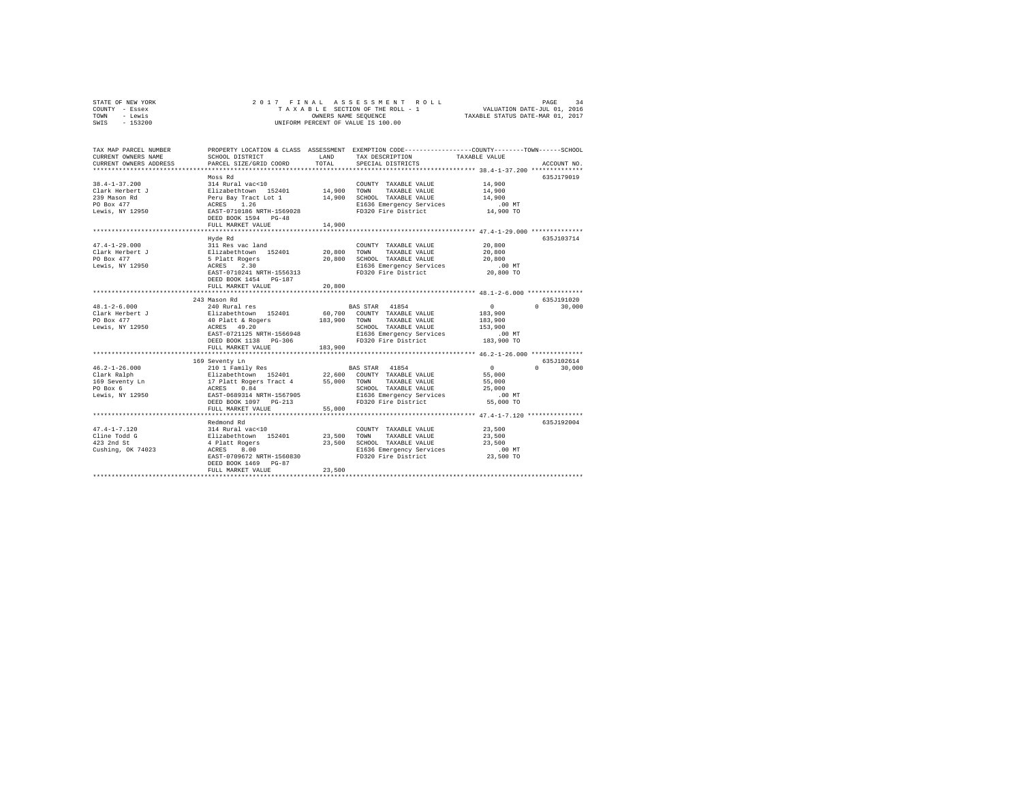| STATE OF NEW YORK | 2017 FINAL ASSESSMENT ROLL         | 34<br>PAGE                       |
|-------------------|------------------------------------|----------------------------------|
| COUNTY - Essex    | TAXABLE SECTION OF THE ROLL - 1    | VALUATION DATE-JUL 01, 2016      |
| TOWN<br>- Lewis   | OWNERS NAME SEOUENCE               | TAXABLE STATUS DATE-MAR 01, 2017 |
| $-153200$<br>SWIS | UNIFORM PERCENT OF VALUE IS 100.00 |                                  |

| TAX MAP PARCEL NUMBER<br>CURRENT OWNERS NAME<br>CURRENT OWNERS ADDRESS                  | SCHOOL DISTRICT<br>PARCEL SIZE/GRID COORD                                                                                                                                                                      | LAND<br>TOTAL                   | PROPERTY LOCATION & CLASS ASSESSMENT EXEMPTION CODE---------------COUNTY-------TOWN------SCHOOL<br>TAX DESCRIPTION<br>SPECIAL DISTRICTS                                                                                                       | TAXABLE VALUE                                                                                               | ACCOUNT NO.                    |
|-----------------------------------------------------------------------------------------|----------------------------------------------------------------------------------------------------------------------------------------------------------------------------------------------------------------|---------------------------------|-----------------------------------------------------------------------------------------------------------------------------------------------------------------------------------------------------------------------------------------------|-------------------------------------------------------------------------------------------------------------|--------------------------------|
| $38.4 - 1 - 37.200$<br>Clark Herbert J<br>239 Mason Rd<br>PO Box 477<br>Lewis, NY 12950 | Moss Rd<br>314 Rural vac<10<br>Elizabethtown 152401 14,900 TOWN<br>Peru Bay Tract Lot 1<br>ACRES 1.26<br>EAST-0710186 NRTH-1569028<br>DEED BOOK 1594 PG-48<br>FULL MARKET VALUE<br>*************************** | 14,900                          | COUNTY TAXABLE VALUE<br>TAXABLE VALUE<br>14,900 SCHOOL TAXABLE VALUE<br>E1636 Emergency Services<br>FD320 Fire District                                                                                                                       | 14,900<br>14,900<br>14,900<br>.00MT<br>14,900 TO<br>****************** 47.4-1-29.000 *************          | 635J179019                     |
| $47.4 - 1 - 29.000$<br>Clark Herbert J<br>PO Box 477<br>Lewis, NY 12950                 | Hyde Rd<br>311 Res vac land<br>$E1$ izabethtown 152401<br>5 Platt Rogers<br>ACRES<br>2.30<br>EAST-0710241 NRTH-1556313<br>DEED BOOK 1454 PG-187<br>FULL MARKET VALUE<br>************************               | 20,800                          | COUNTY TAXABLE VALUE<br>20,800 TOWN TAXABLE VALUE<br>20,800 SCHOOL TAXABLE VALUE<br>E1636 Emergency Services<br>FD320 Fire District                                                                                                           | 20,800<br>20,800<br>20,800<br>$.00$ MT<br>20,800 TO<br>********************** 48.1-2-6.000 **************** | 635J103714                     |
|                                                                                         | 243 Mason Rd                                                                                                                                                                                                   |                                 |                                                                                                                                                                                                                                               |                                                                                                             | 635J191020                     |
| $48.1 - 2 - 6.000$<br>Clark Herbert $J$<br>Lewis, NY 12950                              | 240 Rural res<br>210 Autor - 192401 60,700 COUNT<br>2012 abethtown 152401 60,700 COUNT<br>40 Platt & Rogers 183,900 TOWN<br>ACRES 49.20 -------<br>EAST-0721125 NRTH-1566948<br>DEED BOOK 1138 PG-306          |                                 | BAS STAR 41854<br>60,700 COUNTY TAXABLE VALUE<br>TAXABLE VALUE<br>SCHOOL TAXABLE VALUE<br>E1636 Emergency Services<br>FD320 Fire District                                                                                                     | $\sim$ 0<br>183,900<br>183,900<br>153,900<br>.00 MT<br>183,900 TO                                           | $\cap$<br>30,000               |
|                                                                                         | FULL MARKET VALUE                                                                                                                                                                                              | 183,900                         |                                                                                                                                                                                                                                               |                                                                                                             |                                |
| $46.2 - 1 - 26.000$<br>Clark Ralph<br>169 Seventy Ln<br>PO Box 6<br>Lewis, NY 12950     | 169 Seventy Ln<br>210 1 Family Res<br>DEED BOOK 1097    PG-213<br>FULL MARKET VALUE                                                                                                                            | 55,000                          | BAS STAR 41854<br>Elizabethtown 152401 22,600 COUNTY TAXABLE VALUE<br>17 Platt Rogers Tract 4 55,000 TOWN TAXABLE VALUE<br>2CRES 0.84 55,000 TOWN TAXABLE VALUE<br>2CREOL TAXABLE VALUE<br>ERST-0689314 NRTH-1567905 E1636 Emergency Services | $\sim$ 0<br>55,000<br>55,000<br>25,000                                                                      | 635J102614<br>30,000<br>$\cap$ |
|                                                                                         |                                                                                                                                                                                                                |                                 |                                                                                                                                                                                                                                               |                                                                                                             |                                |
| $47.4 - 1 - 7.120$<br>Cline Todd G<br>423 2nd St<br>Cushing, OK 74023                   | Redmond Rd<br>314 Rural vac<10<br>Elizabethtown 152401<br>4 Platt Rogers<br>ACRES 8.00<br>EAST-0709672 NRTH-1560830<br>DEED BOOK 1469 PG-87<br>FULL MARKET VALUE                                               | 23,500 TOWN<br>23,500<br>23,500 | COUNTY TAXABLE VALUE<br>TAXABLE VALUE<br>SCHOOL TAXABLE VALUE<br>E1636 Emergency Services<br>FD320 Fire District                                                                                                                              | 23,500<br>23,500<br>23,500<br>$.00$ MT<br>23,500 TO                                                         | 635J192004                     |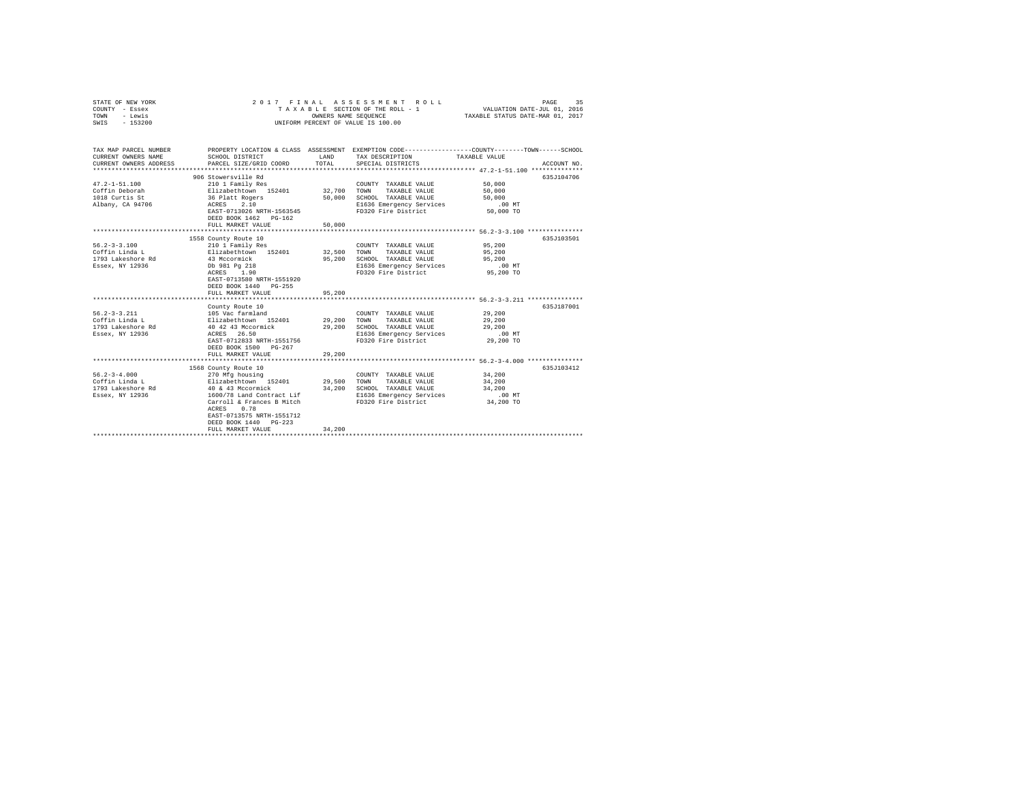| STATE OF NEW YORK<br>COUNTY - Essex<br>- Lewis<br>TOWN<br>$-153200$<br>SWIS  | 2017 FINAL                                                                                                                           | OWNERS NAME SEQUENCE | ASSESSMENT ROLL<br>TAXABLE SECTION OF THE ROLL - 1<br>UNIFORM PERCENT OF VALUE IS 100.00                              | PAGE<br>VALUATION DATE-JUL 01, 2016<br>TAXABLE STATUS DATE-MAR 01, 2017                                                         | 35 |
|------------------------------------------------------------------------------|--------------------------------------------------------------------------------------------------------------------------------------|----------------------|-----------------------------------------------------------------------------------------------------------------------|---------------------------------------------------------------------------------------------------------------------------------|----|
|                                                                              |                                                                                                                                      |                      |                                                                                                                       |                                                                                                                                 |    |
| TAX MAP PARCEL NUMBER<br>CURRENT OWNERS NAME<br>CURRENT OWNERS ADDRESS       | SCHOOL DISTRICT<br>PARCEL SIZE/GRID COORD                                                                                            | LAND<br>TOTAL        | TAX DESCRIPTION<br>SPECIAL DISTRICTS                                                                                  | PROPERTY LOCATION & CLASS ASSESSMENT EXEMPTION CODE---------------COUNTY-------TOWN------SCHOOL<br>TAXABLE VALUE<br>ACCOUNT NO. |    |
|                                                                              |                                                                                                                                      |                      |                                                                                                                       |                                                                                                                                 |    |
|                                                                              | 906 Stowersville Rd                                                                                                                  |                      |                                                                                                                       | 635J104706                                                                                                                      |    |
| $47.2 - 1 - 51.100$<br>Coffin Deborah<br>1018 Curtis St                      | 210 1 Family Res<br>Elizabethtown 152401<br>36 Platt Rogers                                                                          | 32,700<br>50,000     | COUNTY TAXABLE VALUE<br>TOWN<br>TAXABLE VALUE<br>SCHOOL TAXABLE VALUE                                                 | 50,000<br>50,000<br>50,000                                                                                                      |    |
| Albany, CA 94706                                                             | ACRES 2.10<br>EAST-0713026 NRTH-1563545<br>DEED BOOK 1462 PG-162                                                                     |                      | E1636 Emergency Services<br>FD320 Fire District                                                                       | $.00$ MT<br>50,000 TO                                                                                                           |    |
|                                                                              | FULL MARKET VALUE                                                                                                                    | 50,000               |                                                                                                                       |                                                                                                                                 |    |
|                                                                              | 1558 County Route 10                                                                                                                 |                      |                                                                                                                       | 635J103501                                                                                                                      |    |
| $56.2 - 3 - 3.100$<br>Coffin Linda L<br>1793 Lakeshore Rd                    | 210 1 Family Res<br>Elizabethtown 152401<br>43 Mccormick                                                                             | 32,500<br>95,200     | COUNTY TAXABLE VALUE<br>TOWN<br>TAXABLE VALUE<br>SCHOOL TAXABLE VALUE                                                 | 95,200<br>95,200<br>95,200                                                                                                      |    |
| Essex, NY 12936                                                              | Db 981 Pg 218<br>ACRES 1.90<br>EAST-0713580 NRTH-1551920                                                                             |                      | E1636 Emergency Services<br>FD320 Fire District                                                                       | $.00$ MT<br>95,200 TO                                                                                                           |    |
|                                                                              | DEED BOOK 1440 PG-255<br>FULL MARKET VALUE                                                                                           | 95,200               |                                                                                                                       |                                                                                                                                 |    |
|                                                                              |                                                                                                                                      |                      |                                                                                                                       |                                                                                                                                 |    |
| $56.2 - 3 - 3.211$                                                           | County Route 10                                                                                                                      |                      |                                                                                                                       | 635J187001<br>29,200                                                                                                            |    |
| Coffin Linda L                                                               | 105 Vac farmland<br>Elizabethtown 152401 29,200                                                                                      |                      | COUNTY TAXABLE VALUE<br>TOWN<br>TAXABLE VALUE                                                                         | 29,200                                                                                                                          |    |
| 1793 Lakeshore Rd                                                            | 40 42 43 Mccormick                                                                                                                   | 29,200               | SCHOOL TAXABLE VALUE                                                                                                  | 29,200                                                                                                                          |    |
| Essex, NY 12936                                                              | ACRES 26.50                                                                                                                          |                      | E1636 Emergency Services                                                                                              | $.00$ MT                                                                                                                        |    |
|                                                                              | EAST-0712833 NRTH-1551756<br>DEED BOOK 1500 PG-267                                                                                   |                      | FD320 Fire District                                                                                                   | 29,200 TO                                                                                                                       |    |
|                                                                              | FULL MARKET VALUE                                                                                                                    | 29,200               |                                                                                                                       |                                                                                                                                 |    |
|                                                                              | 1568 County Route 10                                                                                                                 |                      |                                                                                                                       | 635J103412                                                                                                                      |    |
| $56.2 - 3 - 4.000$<br>Coffin Linda L<br>1793 Lakeshore Rd<br>Essex, NY 12936 | 270 Mfg housing<br>Elizabethtown 152401<br>40 & 43 Mccormick<br>1600/78 Land Contract Lif<br>Carroll & Frances B Mitch<br>ACRES 0.78 | 29,500<br>34,200     | COUNTY TAXABLE VALUE<br>TOWN TAXABLE VALUE<br>SCHOOL TAXABLE VALUE<br>E1636 Emergency Services<br>FD320 Fire District | 34,200<br>34,200<br>34,200<br>$.00$ MT<br>34,200 TO                                                                             |    |
|                                                                              | EAST-0713575 NRTH-1551712<br>DEED BOOK 1440 PG-223<br>FULL MARKET VALUE                                                              | 34,200               |                                                                                                                       |                                                                                                                                 |    |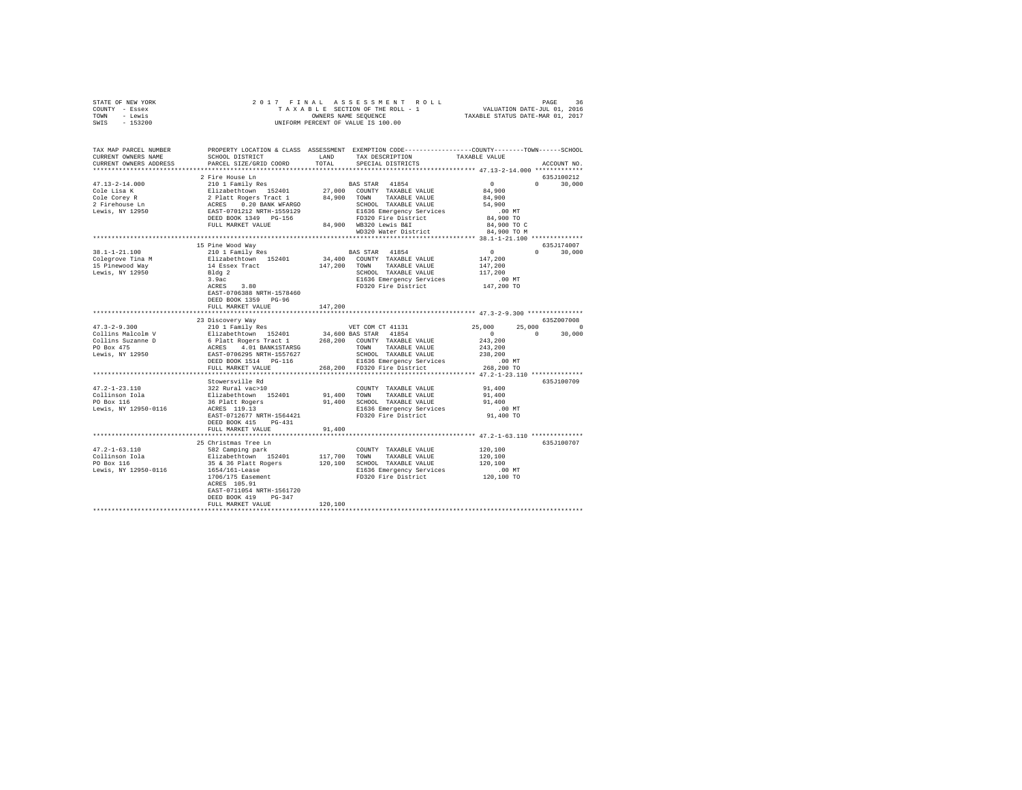| STATE OF NEW YORK                                                                                                                                                                                                                                                                                                                                                                                                         |                                                                                                                                                                                                                                                                                                                                                                                                              |         |                                                                                                                   |                                                                                                          |               |
|---------------------------------------------------------------------------------------------------------------------------------------------------------------------------------------------------------------------------------------------------------------------------------------------------------------------------------------------------------------------------------------------------------------------------|--------------------------------------------------------------------------------------------------------------------------------------------------------------------------------------------------------------------------------------------------------------------------------------------------------------------------------------------------------------------------------------------------------------|---------|-------------------------------------------------------------------------------------------------------------------|----------------------------------------------------------------------------------------------------------|---------------|
| COUNTY - Essex                                                                                                                                                                                                                                                                                                                                                                                                            |                                                                                                                                                                                                                                                                                                                                                                                                              |         |                                                                                                                   |                                                                                                          |               |
| TOWN - Lewis                                                                                                                                                                                                                                                                                                                                                                                                              |                                                                                                                                                                                                                                                                                                                                                                                                              |         |                                                                                                                   |                                                                                                          |               |
| SWIS - 153200                                                                                                                                                                                                                                                                                                                                                                                                             | $\begin{tabular}{ccccc} 2 & 0 & 1 & 7 & F & I & N & A & S & S & E & S & S & M & E & N & T & R & O & L & L & P \end{tabular} \begin{tabular}{ccccc} PAGE & SFG & TDR OF THE ROL & & & & & & PAGE & 36 \\ T A & X & A & B & E & SEGTION OF THE ROLL & - & 1 & & & & & \text{VALUATION DATE–JUL 01, 2016 \\ ONHEN RER CENT OF VALUE IS 100.00 & & & & & \text{TXABLE STATUS DATE–MAR 01, 2017 \\ \end{tabular}$ |         |                                                                                                                   |                                                                                                          |               |
|                                                                                                                                                                                                                                                                                                                                                                                                                           |                                                                                                                                                                                                                                                                                                                                                                                                              |         |                                                                                                                   |                                                                                                          |               |
|                                                                                                                                                                                                                                                                                                                                                                                                                           |                                                                                                                                                                                                                                                                                                                                                                                                              |         |                                                                                                                   |                                                                                                          |               |
|                                                                                                                                                                                                                                                                                                                                                                                                                           |                                                                                                                                                                                                                                                                                                                                                                                                              |         |                                                                                                                   |                                                                                                          |               |
| TAX MAP PARCEL NUMBER PROPERTY LOCATION & CLASS ASSESSMENT EXEMPTION CODE--------------COUNTY-------TOWN-----SCHOOL<br>CURRENT OWNERS NAME                                                                                                                                                                                                                                                                                | SCHOOL DISTRICT                                                                                                                                                                                                                                                                                                                                                                                              |         | LAND TAX DESCRIPTION                                                                                              |                                                                                                          |               |
|                                                                                                                                                                                                                                                                                                                                                                                                                           |                                                                                                                                                                                                                                                                                                                                                                                                              |         |                                                                                                                   | TAXABLE VALUE                                                                                            |               |
| CURRENT OWNERS ADDRESS                                                                                                                                                                                                                                                                                                                                                                                                    | PARCEL SIZE/GRID COORD                                                                                                                                                                                                                                                                                                                                                                                       | TOTAL   | SPECIAL DISTRICTS                                                                                                 |                                                                                                          | ACCOUNT NO.   |
|                                                                                                                                                                                                                                                                                                                                                                                                                           |                                                                                                                                                                                                                                                                                                                                                                                                              |         |                                                                                                                   |                                                                                                          | 635J100212    |
|                                                                                                                                                                                                                                                                                                                                                                                                                           | 2 Fire House Ln                                                                                                                                                                                                                                                                                                                                                                                              |         |                                                                                                                   |                                                                                                          |               |
|                                                                                                                                                                                                                                                                                                                                                                                                                           |                                                                                                                                                                                                                                                                                                                                                                                                              |         |                                                                                                                   |                                                                                                          |               |
|                                                                                                                                                                                                                                                                                                                                                                                                                           |                                                                                                                                                                                                                                                                                                                                                                                                              |         |                                                                                                                   |                                                                                                          |               |
|                                                                                                                                                                                                                                                                                                                                                                                                                           |                                                                                                                                                                                                                                                                                                                                                                                                              |         |                                                                                                                   |                                                                                                          |               |
|                                                                                                                                                                                                                                                                                                                                                                                                                           |                                                                                                                                                                                                                                                                                                                                                                                                              |         |                                                                                                                   |                                                                                                          |               |
|                                                                                                                                                                                                                                                                                                                                                                                                                           |                                                                                                                                                                                                                                                                                                                                                                                                              |         |                                                                                                                   |                                                                                                          |               |
|                                                                                                                                                                                                                                                                                                                                                                                                                           |                                                                                                                                                                                                                                                                                                                                                                                                              |         |                                                                                                                   |                                                                                                          |               |
|                                                                                                                                                                                                                                                                                                                                                                                                                           |                                                                                                                                                                                                                                                                                                                                                                                                              |         |                                                                                                                   |                                                                                                          |               |
|                                                                                                                                                                                                                                                                                                                                                                                                                           |                                                                                                                                                                                                                                                                                                                                                                                                              |         |                                                                                                                   |                                                                                                          |               |
|                                                                                                                                                                                                                                                                                                                                                                                                                           | 15 Pine Wood Way                                                                                                                                                                                                                                                                                                                                                                                             |         |                                                                                                                   |                                                                                                          | 635J174007    |
| 38.1-1-21.100                                                                                                                                                                                                                                                                                                                                                                                                             | 210 1 Family Res                                                                                                                                                                                                                                                                                                                                                                                             |         | BAS STAR 41854                                                                                                    | $0$<br>147,200                                                                                           | $0 \t 30,000$ |
| Colegrove Tina M<br>15 Pinewood Way<br>15 Pinewood Way<br>147,200<br>147,200<br>148 Pinewood Way<br>147,200<br>1942<br>2.9ac<br>3.80<br>2.9ac<br>3.9ac<br>2.9ac<br>3.9ac<br>2.9ac<br>2.9ac<br>2.9ac<br>2.9ac<br>2.9ac<br>2.9ac<br>2.9ac<br>2.9ac<br>2.9ac<br>2.9ac<br>2.9ac<br>2                                                                                                                                          |                                                                                                                                                                                                                                                                                                                                                                                                              |         | 34,400 COUNTY TAXABLE VALUE                                                                                       |                                                                                                          |               |
|                                                                                                                                                                                                                                                                                                                                                                                                                           |                                                                                                                                                                                                                                                                                                                                                                                                              |         | 34,400 COUNTY TAXABLE VALUE<br>147,200 TOWN TAXABLE VALUE                                                         | 147,200                                                                                                  |               |
|                                                                                                                                                                                                                                                                                                                                                                                                                           |                                                                                                                                                                                                                                                                                                                                                                                                              |         |                                                                                                                   |                                                                                                          |               |
|                                                                                                                                                                                                                                                                                                                                                                                                                           |                                                                                                                                                                                                                                                                                                                                                                                                              |         |                                                                                                                   |                                                                                                          |               |
|                                                                                                                                                                                                                                                                                                                                                                                                                           |                                                                                                                                                                                                                                                                                                                                                                                                              |         | CHOOL TAXABLE VALUE<br>SCHOOL TAXABLE VALUE<br>E1636 Emergency Services 117,200<br>FD320 Fire District 147,200 TO |                                                                                                          |               |
|                                                                                                                                                                                                                                                                                                                                                                                                                           | EAST-0706388 NRTH-1578460                                                                                                                                                                                                                                                                                                                                                                                    |         |                                                                                                                   |                                                                                                          |               |
|                                                                                                                                                                                                                                                                                                                                                                                                                           | DEED BOOK 1359 PG-96                                                                                                                                                                                                                                                                                                                                                                                         |         |                                                                                                                   |                                                                                                          |               |
|                                                                                                                                                                                                                                                                                                                                                                                                                           | FULL MARKET VALUE                                                                                                                                                                                                                                                                                                                                                                                            | 147.200 |                                                                                                                   |                                                                                                          |               |
|                                                                                                                                                                                                                                                                                                                                                                                                                           |                                                                                                                                                                                                                                                                                                                                                                                                              |         |                                                                                                                   |                                                                                                          |               |
|                                                                                                                                                                                                                                                                                                                                                                                                                           |                                                                                                                                                                                                                                                                                                                                                                                                              |         |                                                                                                                   |                                                                                                          |               |
|                                                                                                                                                                                                                                                                                                                                                                                                                           |                                                                                                                                                                                                                                                                                                                                                                                                              |         |                                                                                                                   |                                                                                                          |               |
|                                                                                                                                                                                                                                                                                                                                                                                                                           | 23 Discovery Way                                                                                                                                                                                                                                                                                                                                                                                             |         |                                                                                                                   |                                                                                                          | 635Z007008    |
|                                                                                                                                                                                                                                                                                                                                                                                                                           |                                                                                                                                                                                                                                                                                                                                                                                                              |         |                                                                                                                   |                                                                                                          |               |
|                                                                                                                                                                                                                                                                                                                                                                                                                           |                                                                                                                                                                                                                                                                                                                                                                                                              |         |                                                                                                                   | $\begin{array}{cccc} 25\, ,000 & \quad & 25\, ,000 & \quad & 0 \\ & & 0 & \quad & 30\, ,000 \end{array}$ |               |
|                                                                                                                                                                                                                                                                                                                                                                                                                           |                                                                                                                                                                                                                                                                                                                                                                                                              |         |                                                                                                                   |                                                                                                          |               |
|                                                                                                                                                                                                                                                                                                                                                                                                                           |                                                                                                                                                                                                                                                                                                                                                                                                              |         |                                                                                                                   |                                                                                                          |               |
|                                                                                                                                                                                                                                                                                                                                                                                                                           |                                                                                                                                                                                                                                                                                                                                                                                                              |         |                                                                                                                   |                                                                                                          |               |
|                                                                                                                                                                                                                                                                                                                                                                                                                           |                                                                                                                                                                                                                                                                                                                                                                                                              |         |                                                                                                                   |                                                                                                          |               |
| $\begin{tabular}{lcccc} 47.3-2-9.300 & & 25 \text{ U.S.} & & 25 \text{ U.S.} \\ \hline \text{Collins Malcolm V} & & 210 \text{ I family Res} & & 34,600 \text{ BAS STR} & & 25,000 & 25 \text{ V.S.} \\ \text{Collins Nuclear D} & & 210 \text{ I family Res} & & 34,600 \text{ BAS STR} & & 41654 & 0 \text{ V.S.} \\ \text{LOllins U2D} & & 268,200 & \text{CONTY T XXABLE VALUE} & & 243,200 \text{ V.S.} \\ \text{PO$ |                                                                                                                                                                                                                                                                                                                                                                                                              |         |                                                                                                                   |                                                                                                          |               |
|                                                                                                                                                                                                                                                                                                                                                                                                                           |                                                                                                                                                                                                                                                                                                                                                                                                              |         |                                                                                                                   |                                                                                                          |               |
|                                                                                                                                                                                                                                                                                                                                                                                                                           | Stowersville Rd                                                                                                                                                                                                                                                                                                                                                                                              |         |                                                                                                                   |                                                                                                          | 635J100709    |
| $47.2 - 1 - 23.110$                                                                                                                                                                                                                                                                                                                                                                                                       |                                                                                                                                                                                                                                                                                                                                                                                                              |         |                                                                                                                   |                                                                                                          |               |
|                                                                                                                                                                                                                                                                                                                                                                                                                           |                                                                                                                                                                                                                                                                                                                                                                                                              |         |                                                                                                                   |                                                                                                          |               |
| Collinson Iola<br>PO Box 116                                                                                                                                                                                                                                                                                                                                                                                              |                                                                                                                                                                                                                                                                                                                                                                                                              |         |                                                                                                                   |                                                                                                          |               |
| Lewis, NY 12950-0116                                                                                                                                                                                                                                                                                                                                                                                                      |                                                                                                                                                                                                                                                                                                                                                                                                              |         |                                                                                                                   |                                                                                                          |               |
|                                                                                                                                                                                                                                                                                                                                                                                                                           |                                                                                                                                                                                                                                                                                                                                                                                                              |         |                                                                                                                   |                                                                                                          |               |
|                                                                                                                                                                                                                                                                                                                                                                                                                           | FULL MARKET VALUE                                                                                                                                                                                                                                                                                                                                                                                            |         |                                                                                                                   |                                                                                                          |               |
|                                                                                                                                                                                                                                                                                                                                                                                                                           |                                                                                                                                                                                                                                                                                                                                                                                                              | 91,400  |                                                                                                                   |                                                                                                          |               |
|                                                                                                                                                                                                                                                                                                                                                                                                                           | 25 Christmas Tree Ln                                                                                                                                                                                                                                                                                                                                                                                         |         |                                                                                                                   |                                                                                                          | 635J100707    |
|                                                                                                                                                                                                                                                                                                                                                                                                                           |                                                                                                                                                                                                                                                                                                                                                                                                              |         |                                                                                                                   |                                                                                                          |               |
|                                                                                                                                                                                                                                                                                                                                                                                                                           |                                                                                                                                                                                                                                                                                                                                                                                                              |         |                                                                                                                   |                                                                                                          |               |
|                                                                                                                                                                                                                                                                                                                                                                                                                           | 582 Camping park COUNTY TAXABLE VALUE<br>Elizabethtown 152401 117,700 TOWN TAXABLE VALUE                                                                                                                                                                                                                                                                                                                     |         |                                                                                                                   | 120,100<br>120,100                                                                                       |               |
| 47.2-1-63.110<br>Collinson Iola<br>PO Box 116                                                                                                                                                                                                                                                                                                                                                                             |                                                                                                                                                                                                                                                                                                                                                                                                              |         |                                                                                                                   |                                                                                                          |               |
| Lewis, NY 12950-0116                                                                                                                                                                                                                                                                                                                                                                                                      |                                                                                                                                                                                                                                                                                                                                                                                                              |         |                                                                                                                   |                                                                                                          |               |
|                                                                                                                                                                                                                                                                                                                                                                                                                           |                                                                                                                                                                                                                                                                                                                                                                                                              |         |                                                                                                                   |                                                                                                          |               |
|                                                                                                                                                                                                                                                                                                                                                                                                                           | 35 & 36 Platt Rogers<br>120,100 SCHOOL TAXABLE VALUE<br>1654/161-Lease 120,100 SCHOOL TAXABLE VALUE<br>1706/175 Easement<br>179320 Fire District 120,100 TO<br>RCKES 105.91 PD320 Fire District 120,100 TO<br>EAST-0711054 NRTH-1561720                                                                                                                                                                      |         |                                                                                                                   |                                                                                                          |               |
|                                                                                                                                                                                                                                                                                                                                                                                                                           | DEED BOOK 419 PG-347                                                                                                                                                                                                                                                                                                                                                                                         |         |                                                                                                                   |                                                                                                          |               |
|                                                                                                                                                                                                                                                                                                                                                                                                                           | FULL MARKET VALUE                                                                                                                                                                                                                                                                                                                                                                                            | 120,100 |                                                                                                                   |                                                                                                          |               |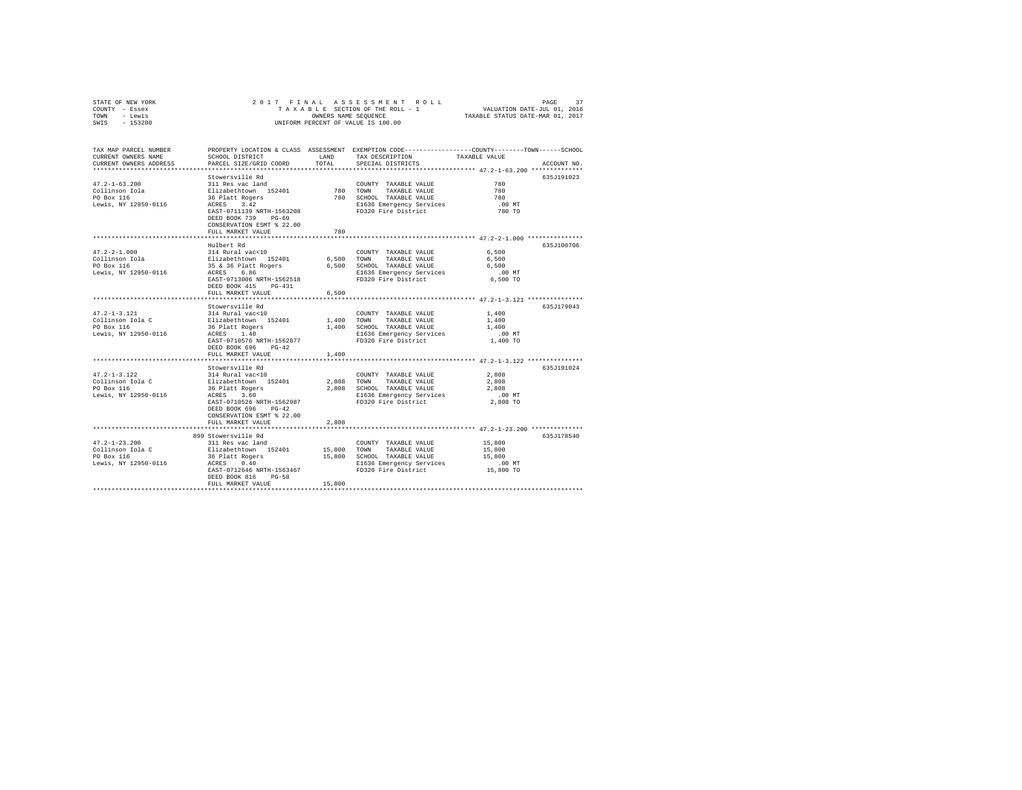| STATE OF NEW YORK<br>COUNTY - Essex<br>TOWN<br>- Lewis<br>$-153200$<br>SWIS | 2017 FINAL<br>UNIFORM PERCENT OF VALUE IS 100.00 |            |                                                      |                                                                                                                  |  |
|-----------------------------------------------------------------------------|--------------------------------------------------|------------|------------------------------------------------------|------------------------------------------------------------------------------------------------------------------|--|
|                                                                             |                                                  |            |                                                      |                                                                                                                  |  |
| TAX MAP PARCEL NUMBER<br>CURRENT OWNERS NAME                                | SCHOOL DISTRICT                                  | LAND       | TAX DESCRIPTION                                      | PROPERTY LOCATION & CLASS ASSESSMENT EXEMPTION CODE---------------COUNTY-------TOWN------SCHOOL<br>TAXABLE VALUE |  |
| CURRENT OWNERS ADDRESS                                                      | PARCEL SIZE/GRID COORD                           | TOTAL      | SPECIAL DISTRICTS                                    | ACCOUNT NO.                                                                                                      |  |
| ************************                                                    |                                                  |            |                                                      |                                                                                                                  |  |
|                                                                             | Stowersville Rd                                  |            |                                                      | 635J191023                                                                                                       |  |
| $47.2 - 1 - 63.200$                                                         | 311 Res vac land                                 |            | COUNTY TAXABLE VALUE                                 | 780                                                                                                              |  |
| Collinson Iola<br>PO Box 116                                                | Elizabethtown 152401                             | 780 TOWN   | TAXABLE VALUE                                        | 780<br>780                                                                                                       |  |
| Lewis, NY 12950-0116                                                        | 36 Platt Rogers<br>ACRES 3.42                    |            | 780 SCHOOL TAXABLE VALUE<br>E1636 Emergency Services | $.00$ MT                                                                                                         |  |
|                                                                             | EAST-0711139 NRTH-1563208                        |            | FD320 Fire District                                  | 780 TO                                                                                                           |  |
|                                                                             | DEED BOOK 739 PG-60<br>CONSERVATION ESMT % 22.00 |            |                                                      |                                                                                                                  |  |
|                                                                             | FULL MARKET VALUE                                | 780        |                                                      |                                                                                                                  |  |
|                                                                             |                                                  |            |                                                      |                                                                                                                  |  |
| $47.2 - 2 - 1.000$                                                          | Hulbert Rd<br>314 Rural vac<10                   |            | COUNTY TAXABLE VALUE                                 | 635J100706<br>6,500                                                                                              |  |
|                                                                             |                                                  | 6,500      | TOWN<br>TAXABLE VALUE                                | 6,500                                                                                                            |  |
| Collinson Iola<br>PO Box 116                                                | Elizabethtown 152401<br>35 & 36 Platt Rogers     |            | 6,500 SCHOOL TAXABLE VALUE                           | 6,500                                                                                                            |  |
| Lewis, NY 12950-0116                                                        | ACRES 6.86                                       |            | E1636 Emergency Services                             | $.00$ MT                                                                                                         |  |
|                                                                             | EAST-0713006 NRTH-1562518                        |            | FD320 Fire District                                  | 6,500 TO                                                                                                         |  |
|                                                                             | DEED BOOK 415 PG-431                             |            |                                                      |                                                                                                                  |  |
|                                                                             | FULL MARKET VALUE                                | 6,500      |                                                      |                                                                                                                  |  |
|                                                                             | Stowersville Rd                                  |            |                                                      | 635J179043                                                                                                       |  |
| $47.2 - 1 - 3.121$                                                          | 314 Rural vac<10                                 |            | COUNTY TAXABLE VALUE                                 | 1,400                                                                                                            |  |
| Collinson Iola C<br>PO Box 116                                              | Elizabethtown 152401                             | 1,400      | TOWN<br>TAXABLE VALUE                                | 1,400                                                                                                            |  |
|                                                                             | 36 Platt Rogers                                  |            | 1,400 SCHOOL TAXABLE VALUE                           | 1,400                                                                                                            |  |
| Lewis, NY 12950-0116                                                        | ACRES 1.40                                       |            | E1636 Emergency Services<br>FD320 Fire District      | $.00$ MT                                                                                                         |  |
|                                                                             | EAST-0710576 NRTH-1562877<br>DEED BOOK 696 PG-42 |            |                                                      | 1,400 TO                                                                                                         |  |
|                                                                             | FULL MARKET VALUE                                | 1,400      |                                                      |                                                                                                                  |  |
|                                                                             |                                                  |            |                                                      | .*********************** 47.2-1-3.122 ***************                                                            |  |
|                                                                             | Stowersville Rd                                  |            |                                                      | 635.T191024                                                                                                      |  |
| $47.2 - 1 - 3.122$                                                          | 314 Rural vac<10                                 |            | COUNTY TAXABLE VALUE                                 | 2,808                                                                                                            |  |
| Collinson Iola C<br>PO Box 116                                              | Elizabethtown 152401                             | 2,808 TOWN | TAXABLE VALUE<br>2,808 SCHOOL TAXABLE VALUE          | 2,808<br>2,808                                                                                                   |  |
| Lewis, NY 12950-0116                                                        | 36 Platt Rogers<br>ACRES 3.60                    |            | E1636 Emergency Services                             | $.00$ MT                                                                                                         |  |
|                                                                             | EAST-0710526 NRTH-1562987                        |            | FD320 Fire District                                  | 2,808 TO                                                                                                         |  |
|                                                                             | DEED BOOK 696 PG-42                              |            |                                                      |                                                                                                                  |  |
|                                                                             | CONSERVATION ESMT % 22.00                        |            |                                                      |                                                                                                                  |  |
|                                                                             | FULL MARKET VALUE                                | 2,808      |                                                      |                                                                                                                  |  |
|                                                                             |                                                  |            |                                                      |                                                                                                                  |  |
| $47.2 - 1 - 23.200$                                                         | 899 Stowersville Rd<br>311 Res vac land          |            | COUNTY TAXABLE VALUE                                 | 635J178540<br>15,800                                                                                             |  |
| Collinson Iola C                                                            | Elizabethtown 152401                             |            | 15,800 TOWN TAXABLE VALUE                            | 15,800                                                                                                           |  |
| PO Box 116                                                                  | 36 Platt Rogers                                  |            | 15,800 SCHOOL TAXABLE VALUE                          | 15,800                                                                                                           |  |
| Lewis, NY 12950-0116                                                        | ACRES 0.40                                       |            | E1636 Emergency Services                             | $.00$ MT                                                                                                         |  |
|                                                                             | EAST-0712646 NRTH-1563467                        |            | FD320 Fire District                                  | 15,800 TO                                                                                                        |  |
|                                                                             | DEED BOOK 816 PG-58<br>FULL MARKET VALUE         | 15,800     |                                                      |                                                                                                                  |  |
|                                                                             |                                                  |            |                                                      |                                                                                                                  |  |
|                                                                             |                                                  |            |                                                      |                                                                                                                  |  |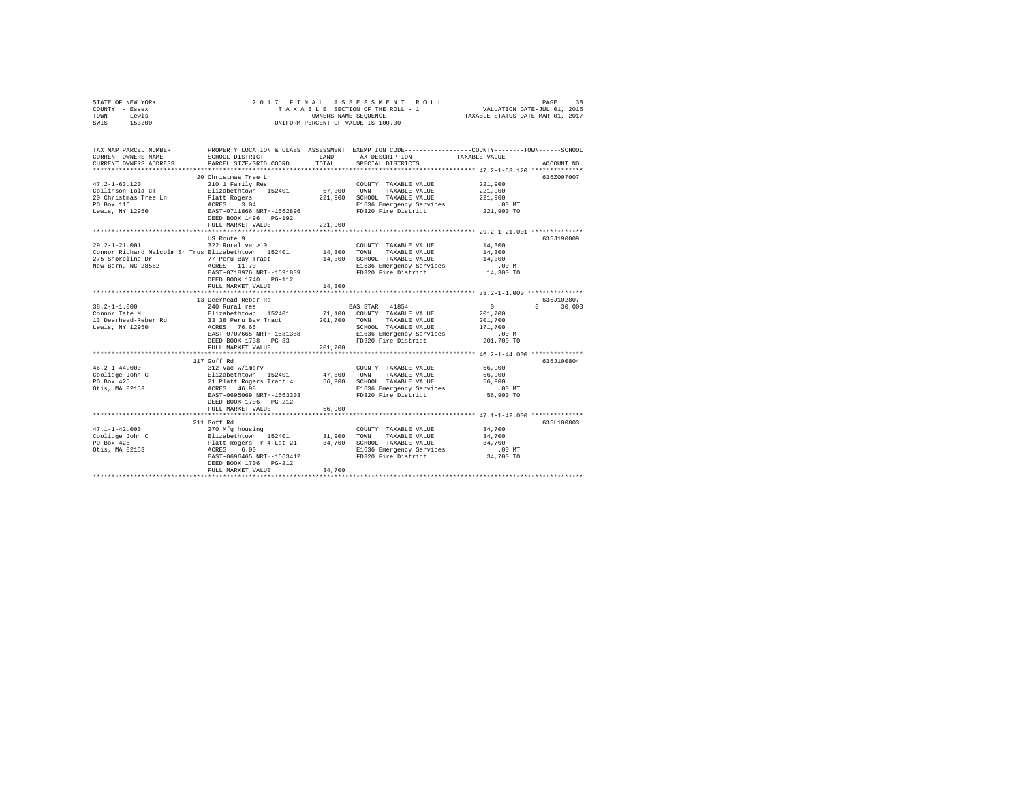| STATE OF NEW YORK<br>COUNTY - Essex<br>- Lewis<br>TOWN<br>$-153200$<br>SWIS |                                              | 2017 FINAL ASSESSMENT ROLL<br>TAXABLE SECTION OF THE ROLL - 1<br>OWNERS NAME SEQUENCE<br>UNIFORM PERCENT OF VALUE IS 100.00 | 38<br>PAGE<br>VALUATION DATE-JUL 01, 2016<br>TAXABLE STATUS DATE-MAR 01, 2017 |
|-----------------------------------------------------------------------------|----------------------------------------------|-----------------------------------------------------------------------------------------------------------------------------|-------------------------------------------------------------------------------|
| TAX MAP PARCEL NUMBER<br>CURRENT OWNERS NAME                                | PROPERTY LOCATION & CLASS<br>SCHOOL DISTRICT | ASSESSMENT<br>TAX DESCRIPTION<br>LAND                                                                                       | EXEMPTION CODE-----------------COUNTY-------TOWN------SCHOOL<br>TAXABLE VALUE |

| CURRENT OWNERS ADDRESS                              | PARCEL SIZE/GRID COORD                     | TOTAL        | SPECIAL DISTRICTS                               |                        | ACCOUNT NO.            |
|-----------------------------------------------------|--------------------------------------------|--------------|-------------------------------------------------|------------------------|------------------------|
|                                                     |                                            |              |                                                 |                        |                        |
|                                                     | 20 Christmas Tree Ln                       |              |                                                 |                        | 635Z007007             |
| $47.2 - 1 - 63.120$<br>Collinson Iola CT            | 210 1 Family Res                           |              | COUNTY TAXABLE VALUE                            | 221,900                |                        |
|                                                     | Elizabethtown 152401                       | 57,300       | TOWN<br>TAXABLE VALUE                           | 221,900                |                        |
| 20 Christmas Tree Ln                                | Platt Rogers                               | 221,900      | SCHOOL TAXABLE VALUE                            | 221,900                |                        |
| PO Box 116                                          | ACRES<br>3.04                              |              | E1636 Emergency Services                        | $.00$ MT<br>221,900 TO |                        |
| Lewis, NY 12950                                     | EAST-0711866 NRTH-1562896                  |              | FD320 Fire District                             |                        |                        |
|                                                     | DEED BOOK 1496 PG-192<br>FULL MARKET VALUE | 221,900      |                                                 |                        |                        |
|                                                     |                                            |              |                                                 |                        |                        |
|                                                     | US Route 9                                 |              |                                                 |                        | 635J190009             |
| $29.2 - 1 - 21.001$                                 | 322 Rural vac>10                           |              | COUNTY TAXABLE VALUE                            | 14,300                 |                        |
| Connor Richard Malcolm Sr Trus Elizabethtown 152401 |                                            | 14,300       | TOWN<br>TAXABLE VALUE                           | 14,300                 |                        |
| 275 Shoreline Dr                                    |                                            | 14,300       | SCHOOL TAXABLE VALUE                            | 14,300                 |                        |
| New Bern, NC 28562                                  | 77 Peru Bay Tract<br>ACRES 11.70           |              |                                                 |                        |                        |
|                                                     | EAST-0718976 NRTH-1591839                  |              | E1636 Emergency Services<br>FD320 Fire District | .00MT<br>14,300 TO     |                        |
|                                                     |                                            |              |                                                 |                        |                        |
|                                                     | DEED BOOK 1740 PG-112                      |              |                                                 |                        |                        |
|                                                     | FULL MARKET VALUE                          | 14,300       |                                                 |                        |                        |
|                                                     | 13 Deerhead-Reber Rd                       |              |                                                 |                        | 635J102807             |
| $38.2 - 1 - 1.000$                                  | 240 Rural res                              |              | 41854<br>BAS STAR                               | $\circ$                | $\mathbf{r}$<br>30,000 |
| Connor Tate M                                       | 152401<br>Elizabethtown                    | 71,100       | COUNTY TAXABLE VALUE                            | 201,700                |                        |
| 13 Deerhead-Reber Rd                                | 33 38 Peru Bay Tract                       | 201,700      | TOWN<br>TAXABLE VALUE                           | 201,700                |                        |
| Lewis, NY 12950                                     | ACRES 76.66                                |              | SCHOOL TAXABLE VALUE                            | 171,700                |                        |
|                                                     | EAST-0707665 NRTH-1581358                  |              | E1636 Emergency Services                        | .00 MT                 |                        |
|                                                     | DEED BOOK 1738 PG-83                       |              | FD320 Fire District                             | 201.700 TO             |                        |
|                                                     | FULL MARKET VALUE                          | 201,700      |                                                 |                        |                        |
|                                                     |                                            |              |                                                 |                        |                        |
|                                                     | 117 Goff Rd                                |              |                                                 |                        | 635J100804             |
| $46.2 - 1 - 44.000$                                 | 312 Vac w/imprv                            |              | COUNTY TAXABLE VALUE                            | 56,900                 |                        |
| Coolidge John C                                     | Elizabethtown 152401                       | 47.500       | TOWN<br>TAXABLE VALUE                           | 56,900                 |                        |
| PO Box 425                                          | 21 Platt Rogers Tract 4                    | 56,900       | SCHOOL TAXABLE VALUE                            | 56,900                 |                        |
| Otis, MA 02153                                      | ACRES 46.98                                |              | E1636 Emergency Services                        | $.00$ MT               |                        |
|                                                     | EAST-0695069 NRTH-1563303                  |              | FD320 Fire District                             | 56,900 TO              |                        |
|                                                     | DEED BOOK 1706 PG-212                      |              |                                                 |                        |                        |
|                                                     | FULL MARKET VALUE                          | 56,900       |                                                 |                        |                        |
|                                                     |                                            |              |                                                 |                        |                        |
|                                                     | 211 Goff Rd                                |              |                                                 |                        | 635L100803             |
| $47.1 - 1 - 42.000$                                 | 270 Mfg housing                            |              | COUNTY TAXABLE VALUE                            | 34,700                 |                        |
| Coolidge John C                                     | Elizabethtown 152401                       | 31,900       | TOWN<br>TAXABLE VALUE                           | 34,700                 |                        |
| PO Box 425                                          | Platt Rogers Tr 4 Lot 21                   | 34,700       | SCHOOL TAXABLE VALUE                            | 34,700                 |                        |
| Otis, MA 02153                                      | ACRES<br>6.00                              |              | E1636 Emergency Services                        | .00 MT                 |                        |
|                                                     | EAST-0696465 NRTH-1563412                  |              | FD320 Fire District                             | 34,700 TO              |                        |
|                                                     | DEED BOOK 1706 PG-212                      |              |                                                 |                        |                        |
|                                                     | FULL MARKET VALUE                          | 34,700       |                                                 |                        |                        |
|                                                     |                                            | ************ |                                                 |                        |                        |
|                                                     |                                            |              |                                                 |                        |                        |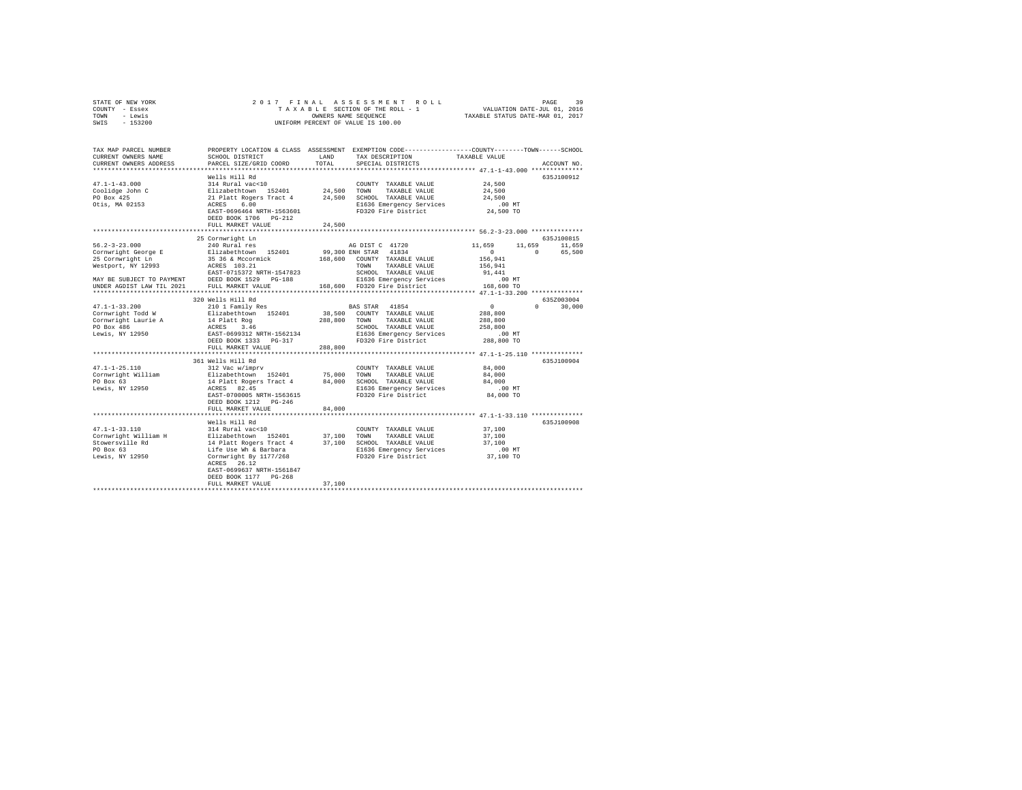|              | STATE OF NEW YORK |  |  |  | 2017 FINAL ASSESSMENT ROLL         |  |  |                                  | PAGE | 39 |
|--------------|-------------------|--|--|--|------------------------------------|--|--|----------------------------------|------|----|
|              | COUNTY - Essex    |  |  |  | TAXABLE SECTION OF THE ROLL - 1    |  |  | VALUATION DATE-JUL 01, 2016      |      |    |
| TOWN - Lewis |                   |  |  |  | OWNERS NAME SEOUENCE               |  |  | TAXABLE STATUS DATE-MAR 01, 2017 |      |    |
| SWIS         | - 153200          |  |  |  | UNIFORM PERCENT OF VALUE IS 100.00 |  |  |                                  |      |    |
|              |                   |  |  |  |                                    |  |  |                                  |      |    |
|              |                   |  |  |  |                                    |  |  |                                  |      |    |

| TAX MAP PARCEL NUMBER<br>CURRENT OWNERS NAME | SCHOOL DISTRICT                                                                                                                                                                                                                        | LAND               | PROPERTY LOCATION & CLASS ASSESSMENT EXEMPTION CODE---------------COUNTY-------TOWN-----SCHOOL<br>TAX DESCRIPTION | TAXABLE VALUE                                  |                    |
|----------------------------------------------|----------------------------------------------------------------------------------------------------------------------------------------------------------------------------------------------------------------------------------------|--------------------|-------------------------------------------------------------------------------------------------------------------|------------------------------------------------|--------------------|
|                                              |                                                                                                                                                                                                                                        | TOTAL              |                                                                                                                   |                                                |                    |
| CURRENT OWNERS ADDRESS                       | PARCEL SIZE/GRID COORD                                                                                                                                                                                                                 |                    | SPECIAL DISTRICTS                                                                                                 |                                                | ACCOUNT NO.        |
|                                              | Wells Hill Rd                                                                                                                                                                                                                          |                    |                                                                                                                   |                                                | 635J100912         |
| $47.1 - 1 - 43.000$                          | 314 Rural vac<10                                                                                                                                                                                                                       |                    | COUNTY TAXABLE VALUE                                                                                              | 24,500                                         |                    |
|                                              | 1991 - 1992 - 1994 - 1994 - 1994 - 1994 - 1994 - 1994 - 1994 - 1994 - 1994 - 1994 - 1994 - 1994 - 1994 - 1994<br>1994 - 1996 - 1994 - 1994 - 1994 - 1994 - 1994 - 1994 - 1995 - 1994 - 1994 - 1994 - 1994 - 1994 - 1994 - 1994<br>     |                    | TAXABLE VALUE                                                                                                     | 24,500                                         |                    |
|                                              |                                                                                                                                                                                                                                        |                    | 24,500 SCHOOL TAXABLE VALUE                                                                                       | 24,500                                         |                    |
|                                              |                                                                                                                                                                                                                                        |                    |                                                                                                                   |                                                |                    |
|                                              | EAST-0696464 NRTH-1563601                                                                                                                                                                                                              |                    | E1636 Emergency Services<br>FD320 Fire District                                                                   | $.00$ MT<br>24,500 TO                          |                    |
|                                              |                                                                                                                                                                                                                                        |                    |                                                                                                                   |                                                |                    |
|                                              | DEED BOOK 1706 PG-212                                                                                                                                                                                                                  |                    |                                                                                                                   |                                                |                    |
|                                              | FULL MARKET VALUE                                                                                                                                                                                                                      | 24,500             |                                                                                                                   |                                                |                    |
|                                              | 25 Cornwright Ln                                                                                                                                                                                                                       |                    |                                                                                                                   |                                                | 635J100815         |
| $56.2 - 3 - 23.000$                          | 240 Rural res                                                                                                                                                                                                                          |                    | AG DIST C 41720                                                                                                   | 11,659                                         | 11,659<br>11,659   |
|                                              | Cornwright George E Elizabethtown 152401                                                                                                                                                                                               |                    | 99,300 ENH STAR 41834                                                                                             | $\sim$ 0 $\sim$                                | $\sim$<br>65,500   |
|                                              |                                                                                                                                                                                                                                        |                    |                                                                                                                   |                                                |                    |
| 25 Cornwright Ln                             | 35 36 & Mccormick<br>ACRES 103.21                                                                                                                                                                                                      |                    | 168,600 COUNTY TAXABLE VALUE                                                                                      | 156,941                                        |                    |
| Westport, NY 12993                           |                                                                                                                                                                                                                                        |                    | TOWN<br>TAXABLE VALUE                                                                                             | 156,941                                        |                    |
|                                              | EAST-0715372 NRTH-1547823                                                                                                                                                                                                              |                    | SCHOOL TAXABLE VALUE                                                                                              | 91,441                                         |                    |
|                                              | MAY BE SUBJECT TO PAYMENT DEED BOOK 1529 PG-188 THE SUBSERIES BETWEEN SERVICES                                                                                                                                                         |                    |                                                                                                                   | $.00$ MT                                       |                    |
| UNDER AGDIST LAW TIL 2021                    | FULL MARKET VALUE                                                                                                                                                                                                                      |                    | 168,600 FD320 Fire District                                                                                       | 168,600 TO                                     |                    |
|                                              |                                                                                                                                                                                                                                        |                    |                                                                                                                   |                                                |                    |
|                                              | 320 Wells Hill Rd                                                                                                                                                                                                                      |                    |                                                                                                                   |                                                | 635Z003004         |
| $47.1 - 1 - 33.200$                          | 210 1 Family Res                                                                                                                                                                                                                       |                    | BAS STAR 41854                                                                                                    | $\sim$ 0                                       | $\Omega$<br>30,000 |
| Cornwright Todd W                            | Elizabethtown 152401                                                                                                                                                                                                                   |                    | 38,500 COUNTY TAXABLE VALUE                                                                                       | 288,800                                        |                    |
|                                              |                                                                                                                                                                                                                                        | 288,800 TOWN       | TAXABLE VALUE                                                                                                     | 288,800                                        |                    |
|                                              |                                                                                                                                                                                                                                        |                    | SCHOOL TAXABLE VALUE                                                                                              | 258,800                                        |                    |
|                                              |                                                                                                                                                                                                                                        |                    | E1636 Emergency Services                                                                                          | .00 MT                                         |                    |
|                                              | Cornwright Todd W<br>Cornwright Laurie A and the Rog<br>PO Box 486 ACRES 2.46<br>Dewis, NY 12950 BREED BOOK 1333 PG-317<br>DEED BOOK 1333 PG-317                                                                                       |                    | FD320 Fire District                                                                                               | 288,800 TO                                     |                    |
|                                              | FULL MARKET VALUE                                                                                                                                                                                                                      | 288,800            |                                                                                                                   |                                                |                    |
|                                              |                                                                                                                                                                                                                                        | ****************** |                                                                                                                   | **************** 47.1-1-25.110 *************** |                    |
|                                              | 361 Wells Hill Rd                                                                                                                                                                                                                      |                    |                                                                                                                   |                                                | 635J100904         |
| $47.1 - 1 - 25.110$                          | 312 Vac w/imprv                                                                                                                                                                                                                        |                    | COUNTY TAXABLE VALUE                                                                                              | 84,000                                         |                    |
|                                              |                                                                                                                                                                                                                                        | 75,000 TOWN        | TAXABLE VALUE                                                                                                     | 84,000                                         |                    |
|                                              |                                                                                                                                                                                                                                        |                    | 84,000 SCHOOL TAXABLE VALUE                                                                                       | 84,000                                         |                    |
|                                              |                                                                                                                                                                                                                                        |                    | E1636 Emergency Services                                                                                          | $.00$ MT                                       |                    |
|                                              | EAST-0700005 NRTH-1563615                                                                                                                                                                                                              |                    | FD320 Fire District                                                                                               | 84,000 TO                                      |                    |
|                                              | DEED BOOK 1212 PG-246                                                                                                                                                                                                                  |                    |                                                                                                                   |                                                |                    |
|                                              | FULL MARKET VALUE                                                                                                                                                                                                                      | 84,000             |                                                                                                                   |                                                |                    |
|                                              |                                                                                                                                                                                                                                        |                    |                                                                                                                   |                                                |                    |
|                                              | Wells Hill Rd                                                                                                                                                                                                                          |                    |                                                                                                                   |                                                | 635J100908         |
| $47.1 - 1 - 33.110$                          | 314 Rural vac<10                                                                                                                                                                                                                       |                    | COUNTY TAXABLE VALUE                                                                                              | 37,100                                         |                    |
|                                              |                                                                                                                                                                                                                                        |                    |                                                                                                                   | 37,100                                         |                    |
|                                              |                                                                                                                                                                                                                                        |                    | 37,100 SCHOOL TAXABLE VALUE                                                                                       | 37,100                                         |                    |
|                                              |                                                                                                                                                                                                                                        |                    | E1636 Emergency Services                                                                                          | .00 MT                                         |                    |
|                                              | 4/1-1-33.110<br>Tornwright William H Bizabethtown 152401 37,100 TOWN TAXABLE VALUE<br>Stowersville Rd 14 Platt Rogers Tract 4 37,100 SCM TAXABLE VALUE<br>Stowers For the Use Wh & Barbara 14 2020 Fire District<br>Lewis, NY 12950 Le |                    | FD320 Fire District                                                                                               | 37,100 TO                                      |                    |
|                                              | ACRES 26.12                                                                                                                                                                                                                            |                    |                                                                                                                   |                                                |                    |
|                                              | EAST-0699637 NRTH-1561847                                                                                                                                                                                                              |                    |                                                                                                                   |                                                |                    |
|                                              | DEED BOOK 1177 PG-268                                                                                                                                                                                                                  |                    |                                                                                                                   |                                                |                    |
|                                              | FULL MARKET VALUE                                                                                                                                                                                                                      | 37,100             |                                                                                                                   |                                                |                    |
|                                              |                                                                                                                                                                                                                                        |                    |                                                                                                                   |                                                |                    |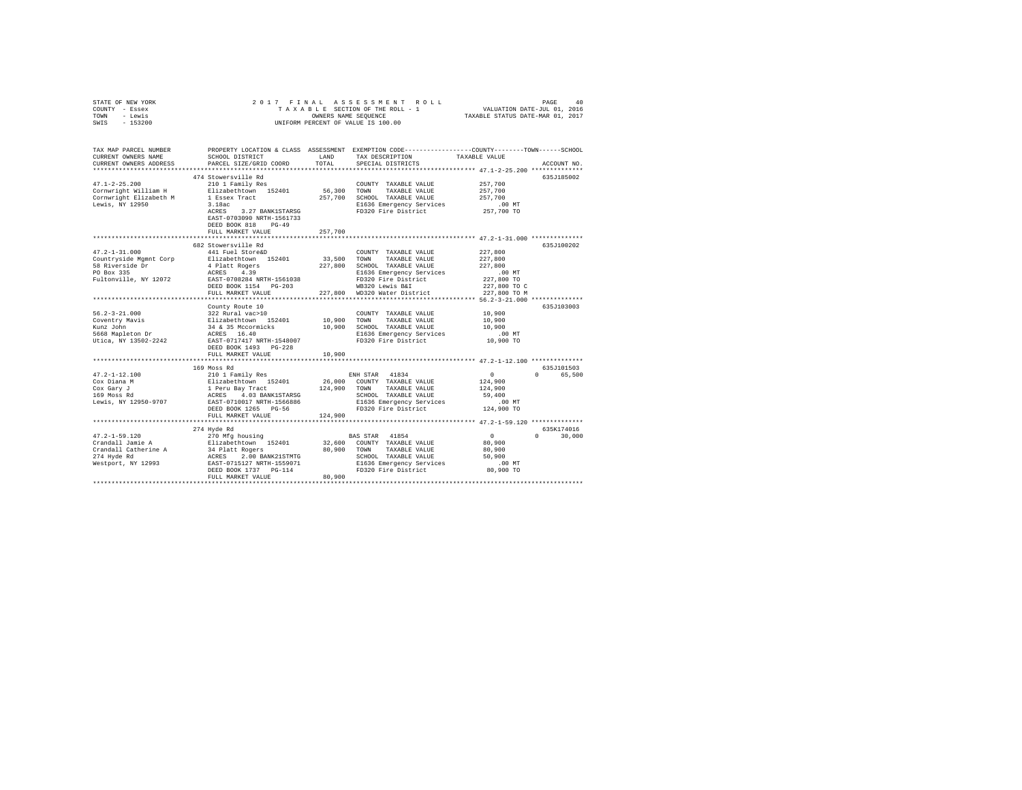| STATE OF NEW YORK                         | 2017 FINAL                                                                                                                                                                                                                                                                        |         | ASSESSMENT ROLL                                                                                 |                            |               |  |  |
|-------------------------------------------|-----------------------------------------------------------------------------------------------------------------------------------------------------------------------------------------------------------------------------------------------------------------------------------|---------|-------------------------------------------------------------------------------------------------|----------------------------|---------------|--|--|
| COUNTY - Essex                            | PAGE 40<br>VALUATION DATE-JUL 01, 2016<br>TAXABLE STATUS DATE-MAR 01, 2017<br>TAXABLE SECTION OF THE ROLL - 1                                                                                                                                                                     |         |                                                                                                 |                            |               |  |  |
| - Lewis<br>TOWN                           | OWNERS NAME SEQUENCE<br>UNIFORM PERCENT OF VALUE IS 100.00                                                                                                                                                                                                                        |         |                                                                                                 |                            |               |  |  |
| SWIS<br>$-153200$                         |                                                                                                                                                                                                                                                                                   |         |                                                                                                 |                            |               |  |  |
|                                           |                                                                                                                                                                                                                                                                                   |         |                                                                                                 |                            |               |  |  |
|                                           |                                                                                                                                                                                                                                                                                   |         |                                                                                                 |                            |               |  |  |
| TAX MAP PARCEL NUMBER                     |                                                                                                                                                                                                                                                                                   |         | PROPERTY LOCATION & CLASS ASSESSMENT EXEMPTION CODE---------------COUNTY-------TOWN------SCHOOL |                            |               |  |  |
| CURRENT OWNERS NAME                       | SCHOOL DISTRICT                                                                                                                                                                                                                                                                   | LAND    | TAX DESCRIPTION                                                                                 | TAXABLE VALUE              |               |  |  |
| CURRENT OWNERS ADDRESS                    | PARCEL SIZE/GRID COORD                                                                                                                                                                                                                                                            | TOTAL   | SPECIAL DISTRICTS                                                                               |                            | ACCOUNT NO.   |  |  |
|                                           |                                                                                                                                                                                                                                                                                   |         |                                                                                                 |                            |               |  |  |
|                                           | 474 Stowersville Rd                                                                                                                                                                                                                                                               |         |                                                                                                 |                            | 635J185002    |  |  |
| $47.1 - 2 - 25.200$                       | 210 1 Family Res                                                                                                                                                                                                                                                                  |         | COUNTY TAXABLE VALUE                                                                            | 257,700                    |               |  |  |
| Cornwright William H                      | Elizabethtown 152401                                                                                                                                                                                                                                                              | 56,300  | TOWN<br>TAXABLE VALUE                                                                           | 257,700                    |               |  |  |
| Cornwright Elizabeth M                    | 1 Essex Tract                                                                                                                                                                                                                                                                     |         | 257,700 SCHOOL TAXABLE VALUE                                                                    | 257,700                    |               |  |  |
| Lewis, NY 12950                           | 3.18ac                                                                                                                                                                                                                                                                            |         | E1636 Emergency Services                                                                        | .00MT                      |               |  |  |
|                                           | ACRES 3.27 BANK1STARSG                                                                                                                                                                                                                                                            |         | FD320 Fire District                                                                             | 257,700 TO                 |               |  |  |
|                                           | EAST-0703090 NRTH-1561733                                                                                                                                                                                                                                                         |         |                                                                                                 |                            |               |  |  |
|                                           | DEED BOOK 818<br>$PG-49$                                                                                                                                                                                                                                                          |         |                                                                                                 |                            |               |  |  |
|                                           | FULL MARKET VALUE<br>****************************                                                                                                                                                                                                                                 | 257,700 | *********************************** 47.2-1-31.000 **************                                |                            |               |  |  |
|                                           |                                                                                                                                                                                                                                                                                   |         |                                                                                                 |                            |               |  |  |
| $47.2 - 1 - 31.000$                       | 682 Stowersville Rd<br>441 Fuel Store&D                                                                                                                                                                                                                                           |         | COUNTY TAXABLE VALUE                                                                            | 227,800                    | 635J100202    |  |  |
|                                           |                                                                                                                                                                                                                                                                                   |         | TOWN TAXABLE VALUE                                                                              |                            |               |  |  |
| Countryside Mgmnt Corp<br>58 Riverside Dr | Elizabethtown 152401                                                                                                                                                                                                                                                              | 33,500  |                                                                                                 | 227,800<br>227,800         |               |  |  |
| PO Box 335                                | 4 Platt Rogers<br>ACRES 4.39                                                                                                                                                                                                                                                      | 227,800 | SCHOOL TAXABLE VALUE                                                                            |                            |               |  |  |
|                                           |                                                                                                                                                                                                                                                                                   |         | E1636 Emergency Services                                                                        | $.00$ MT                   |               |  |  |
| Fultonville, NY 12072                     | EAST-0708284 NRTH-1561038<br>DEED BOOK 1154 PG-203                                                                                                                                                                                                                                |         | FD320 Fire District<br>WB320 Lewis B&I                                                          | 227,800 TO<br>227,800 TO C |               |  |  |
|                                           | FULL MARKET VALUE                                                                                                                                                                                                                                                                 |         | 227,800 WD320 Water District                                                                    | 227,800 TO M               |               |  |  |
|                                           |                                                                                                                                                                                                                                                                                   |         |                                                                                                 |                            |               |  |  |
|                                           | County Route 10                                                                                                                                                                                                                                                                   |         |                                                                                                 |                            | 635J103003    |  |  |
| $56.2 - 3 - 21.000$                       | 322 Rural vac>10                                                                                                                                                                                                                                                                  |         | COUNTY TAXABLE VALUE                                                                            | 10,900                     |               |  |  |
|                                           |                                                                                                                                                                                                                                                                                   | 10,900  | TAXABLE VALUE<br>TOWN                                                                           | 10,900                     |               |  |  |
| Coventry Mavis<br>Kunz John               | Elizabethtown 152401<br>34 & 35 Mccormicks                                                                                                                                                                                                                                        |         | 10,900 SCHOOL TAXABLE VALUE                                                                     | 10.900                     |               |  |  |
| 5668 Mapleton Dr                          |                                                                                                                                                                                                                                                                                   |         | E1636 Emergency Services                                                                        | $.00$ MT                   |               |  |  |
| Utica, NY 13502-2242                      | ACRES 16.40<br>EAST-0717417 NRTH-1548007                                                                                                                                                                                                                                          |         | FD320 Fire District                                                                             | 10,900 TO                  |               |  |  |
|                                           | DEED BOOK 1493 PG-228                                                                                                                                                                                                                                                             |         |                                                                                                 |                            |               |  |  |
|                                           | FULL MARKET VALUE                                                                                                                                                                                                                                                                 | 10,900  |                                                                                                 |                            |               |  |  |
|                                           |                                                                                                                                                                                                                                                                                   |         |                                                                                                 |                            |               |  |  |
|                                           | 169 Moss Rd                                                                                                                                                                                                                                                                       |         |                                                                                                 |                            | 635J101503    |  |  |
| $47.2 - 1 - 12.100$                       | 210 1 Family Res                                                                                                                                                                                                                                                                  |         | ENH STAR 41834                                                                                  | 0                          | 0 65,500      |  |  |
| Cox Diana M                               | Elizabethtown 152401<br>1 Peru Bay Tract                                                                                                                                                                                                                                          |         | 26,000 COUNTY TAXABLE VALUE                                                                     | 124,900                    |               |  |  |
| Cox Gary J                                |                                                                                                                                                                                                                                                                                   |         |                                                                                                 | 124,900                    |               |  |  |
| 169 Moss Rd                               | $\begin{tabular}{l c c c c c} \texttt{1 Peru Bay Trace} \\ \texttt{ACRES} & \texttt{4.03} & \texttt{BANKISTARSG} \\ \texttt{EAST-071.017 NETH-1566886} & \texttt{EIG36 Emergency Services} \\ \texttt{EAST-071.017 NETH-1566886} & \texttt{FDS30 Fire District} \\ \end{tabular}$ |         |                                                                                                 | 59,400                     |               |  |  |
| Lewis, NY 12950-9707                      |                                                                                                                                                                                                                                                                                   |         |                                                                                                 | $.00$ MT                   |               |  |  |
|                                           |                                                                                                                                                                                                                                                                                   |         |                                                                                                 | 124,900 TO                 |               |  |  |
|                                           | FULL MARKET VALUE                                                                                                                                                                                                                                                                 | 124,900 |                                                                                                 |                            |               |  |  |
|                                           |                                                                                                                                                                                                                                                                                   |         |                                                                                                 |                            |               |  |  |
|                                           | 274 Hyde Rd                                                                                                                                                                                                                                                                       |         |                                                                                                 |                            | 635K174016    |  |  |
| $47.2 - 1 - 59.120$                       | 270 Mfg housing                                                                                                                                                                                                                                                                   |         | BAS STAR 41854                                                                                  | $\sim$ 0                   | $0 \t 30.000$ |  |  |
| Crandall Jamie A                          | Elizabethtown 152401<br>34 Platt Rogers<br>ACRES 2.00 BANK21STMTG                                                                                                                                                                                                                 |         | 32,600 COUNTY TAXABLE VALUE                                                                     | 80,900                     |               |  |  |
| Crandall Catherine A                      |                                                                                                                                                                                                                                                                                   |         | 80.900 TOWN TAXABLE VALUE                                                                       | 80,900                     |               |  |  |
| 274 Hyde Rd                               |                                                                                                                                                                                                                                                                                   |         | SCHOOL TAXABLE VALUE                                                                            | 50,900                     |               |  |  |
|                                           | Westport, NY 12993 EAST-0715127 NRTH-1559071                                                                                                                                                                                                                                      |         | E1636 Emergency Services                                                                        | $.00$ MT                   |               |  |  |
|                                           | DEED BOOK 1737 PG-114                                                                                                                                                                                                                                                             |         | FD320 Fire District                                                                             | 80,900 TO                  |               |  |  |
|                                           | FULL MARKET VALUE                                                                                                                                                                                                                                                                 | 80,900  |                                                                                                 |                            |               |  |  |
|                                           |                                                                                                                                                                                                                                                                                   |         |                                                                                                 |                            |               |  |  |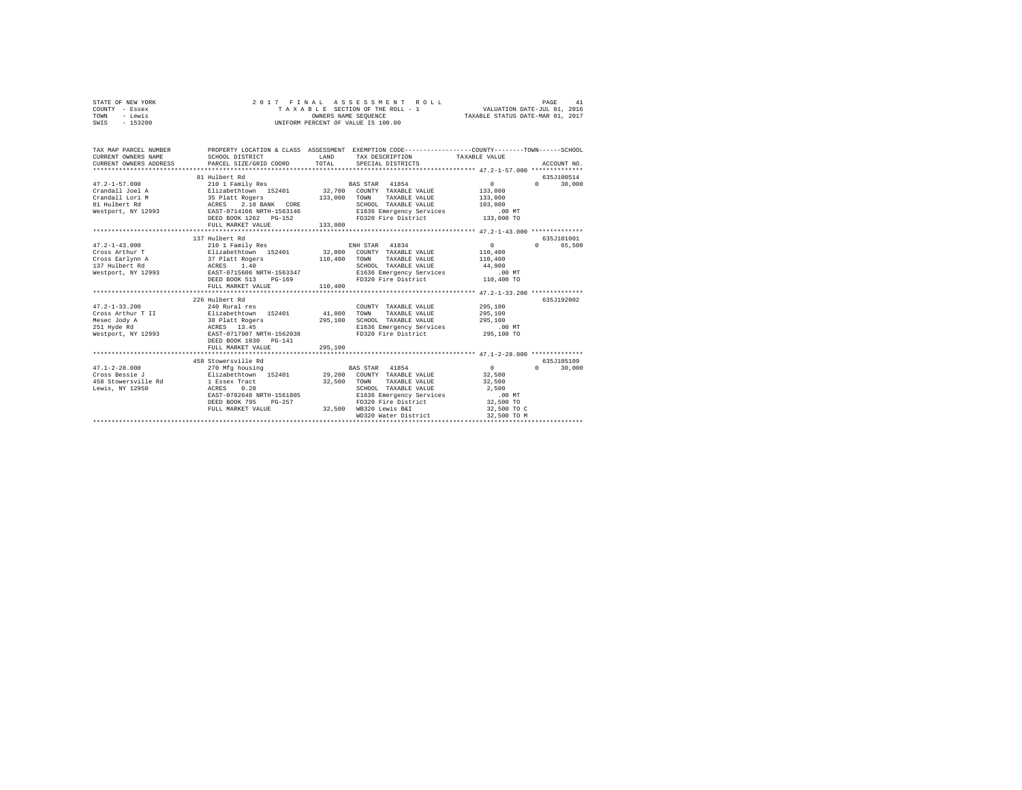| STATE OF NEW YORK | 2017 FINAL ASSESSMENT ROLL         | 41<br>PAGE                       |
|-------------------|------------------------------------|----------------------------------|
| COUNTY - Essex    | TAXABLE SECTION OF THE ROLL - 1    | VALUATION DATE-JUL 01, 2016      |
| TOWN<br>- Lewis   | OWNERS NAME SEOUENCE               | TAXABLE STATUS DATE-MAR 01, 2017 |
| $-153200$<br>SWIS | UNIFORM PERCENT OF VALUE IS 100.00 |                                  |

| SCHOOL DISTRICT<br>CURRENT OWNERS ADDRESS<br>PARCEL SIZE/GRID COORD                                                   | LAND<br>TOTAL                                          | SPECIAL DISTRICTS                                                                                                                                                                                                                              |                                                                                                                                                                                                                                                                                                                          | ACCOUNT NO.                                                                                                                                                                                                                                                                                                                                                                                                             |
|-----------------------------------------------------------------------------------------------------------------------|--------------------------------------------------------|------------------------------------------------------------------------------------------------------------------------------------------------------------------------------------------------------------------------------------------------|--------------------------------------------------------------------------------------------------------------------------------------------------------------------------------------------------------------------------------------------------------------------------------------------------------------------------|-------------------------------------------------------------------------------------------------------------------------------------------------------------------------------------------------------------------------------------------------------------------------------------------------------------------------------------------------------------------------------------------------------------------------|
| 81 Hulbert Rd<br>210 1 Family Res<br>FULL MARKET VALUE                                                                |                                                        | TOWN<br>TAXABLE VALUE<br>SCHOOL TAXABLE VALUE                                                                                                                                                                                                  | $\sim$<br>133,000<br>133,000<br>103,000<br>.00MT<br>133,000 TO                                                                                                                                                                                                                                                           | 635J100514<br>$\Omega$<br>30,000                                                                                                                                                                                                                                                                                                                                                                                        |
|                                                                                                                       |                                                        |                                                                                                                                                                                                                                                |                                                                                                                                                                                                                                                                                                                          | 635.7101001                                                                                                                                                                                                                                                                                                                                                                                                             |
| 37 Platt Rogers<br>ACRES 1.40<br>DEED BOOK 513<br>PG-169<br>FULL MARKET VALUE<br>226 Hulbert Rd                       | 110,400                                                | TOWN<br>TAXABLE VALUE<br>SCHOOL TAXABLE VALUE                                                                                                                                                                                                  | $\Omega$<br>110,400<br>110,400<br>44,900<br>$.00$ MT<br>110,400 TO                                                                                                                                                                                                                                                       | $\cap$<br>65,500<br>635J192002                                                                                                                                                                                                                                                                                                                                                                                          |
| Elizabethtown 152401<br>38 Platt Rogers<br>ACRES 13.45<br>DEED BOOK 1830 PG-141<br>FULL MARKET VALUE                  | 295,100                                                | TAXABLE VALUE<br>TOWN<br>SCHOOL TAXABLE VALUE                                                                                                                                                                                                  | 295,100<br>295,100<br>.00MT                                                                                                                                                                                                                                                                                              |                                                                                                                                                                                                                                                                                                                                                                                                                         |
|                                                                                                                       |                                                        |                                                                                                                                                                                                                                                |                                                                                                                                                                                                                                                                                                                          | 635.7105109                                                                                                                                                                                                                                                                                                                                                                                                             |
| 270 Mfg housing<br>458 Stowersville Rd 1 Essex Tract<br>0.28<br>ACRES<br>DEED BOOK 795<br>PG-257<br>FULL MARKET VALUE |                                                        | TOWN<br>TAXABLE VALUE<br>SCHOOL TAXABLE VALUE<br>FD320 Fire District                                                                                                                                                                           | $\sim$<br>32,500<br>32,500<br>2,500<br>$.00$ MT<br>32,500 TO<br>32,500 TO C<br>32,500 TO M                                                                                                                                                                                                                               | $0 \qquad \qquad$<br>30,000                                                                                                                                                                                                                                                                                                                                                                                             |
|                                                                                                                       | 137 Hulbert Rd<br>240 Rural res<br>458 Stowersville Rd | 81 Hulbert Rd<br>Westport, NY 12993<br>EAST-0714166 NRTH-1563146<br>2.10 BANK CORE<br>133,000<br>210 1 Family Res<br>Westport, NY 12993 EAST-0715606 NRTH-1563347<br>Westport, NY 12993 EAST-0717907 NRTH-1562038<br>EAST-0702648 NRTH-1561805 | <b>BAS STAR</b> 41854<br>Elizabethtown 152401 32,700 COUNTY TAXABLE VALUE<br>35 Platt Rogers 133,000<br>DEED BOOK 1262 PG-152<br>ENH STAR 41834<br>Elizabethtown 152401 32,000 COUNTY TAXABLE VALUE<br>110,400<br>COUNTY TAXABLE VALUE<br>41,800<br>295,100<br><b>BAS STAR</b> 41854<br>32,500<br>32,500 WB320 Lewis B&I | PROPERTY LOCATION & CLASS ASSESSMENT EXEMPTION CODE----------------COUNTY-------TOWN-----SCHOOL<br>TAX DESCRIPTION TAXABLE VALUE<br>E1636 Emergency Services<br>FD320 Fire District<br>E1636 Emergency Services<br>FD320 Fire District<br>295,100<br>E1636 Emergency Services<br>FD320 Fire District 295.100 TO<br>Elizabethtown 152401 29,200 COUNTY TAXABLE VALUE<br>E1636 Emergency Services<br>WD320 Water District |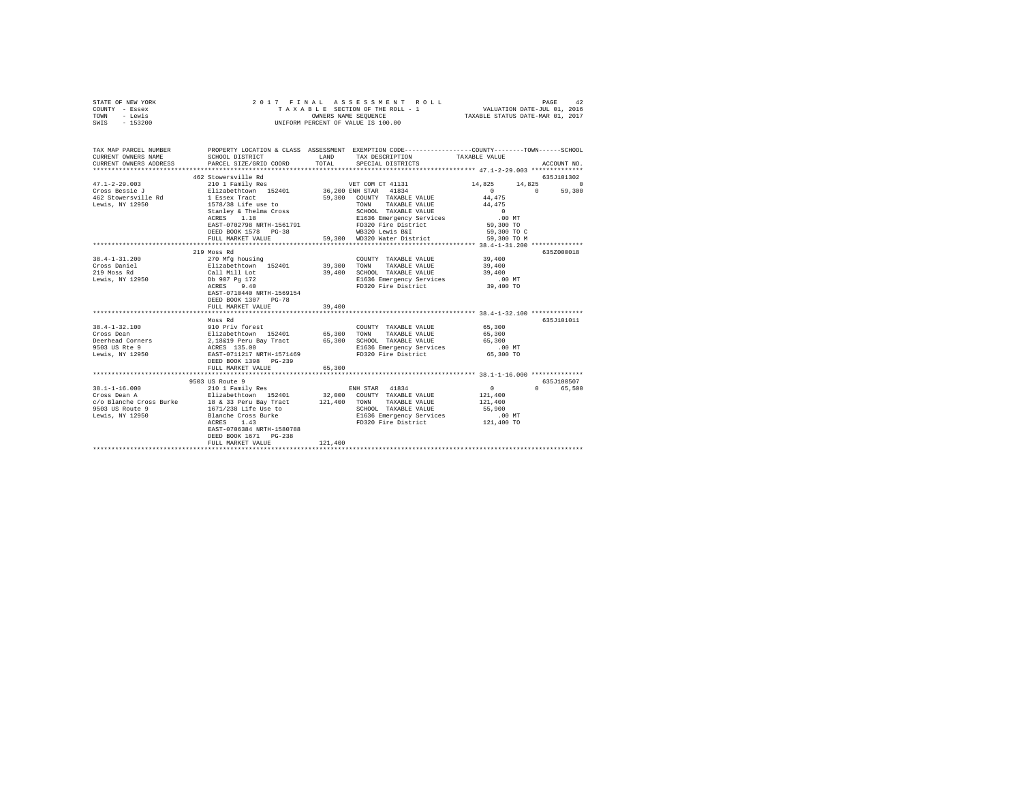| STATE OF NEW YORK<br>COUNTY - Essex<br>TOWN - Lewis<br>SWIS - 153200                      | 2017 FINAL                                                                                                                                                                                                                                                               |               | ASSESSMENT ROLL<br>TAXABLE SECTION OF THE ROLL - 1<br>OWNERS NAME SEOUENCE<br>UNIFORM PERCENT OF VALUE IS 100.00                                                                           | VALUATION DATE-JUL 01, 2016<br>TAXABLE STATUS DATE-MAR 01, 2017      | PAGE<br>42         |
|-------------------------------------------------------------------------------------------|--------------------------------------------------------------------------------------------------------------------------------------------------------------------------------------------------------------------------------------------------------------------------|---------------|--------------------------------------------------------------------------------------------------------------------------------------------------------------------------------------------|----------------------------------------------------------------------|--------------------|
| CURRENT OWNERS NAME<br>CURRENT OWNERS ADDRESS                                             | TAX MAP PARCEL NUMBER PROPERTY LOCATION & CLASS ASSESSMENT EXEMPTION CODE---------------COUNTY-------TOWN------SCHOOL<br>SCHOOL DISTRICT<br>PARCEL SIZE/GRID COORD                                                                                                       | LAND<br>TOTAL | TAX DESCRIPTION<br>SPECIAL DISTRICTS                                                                                                                                                       | TAXABLE VALUE                                                        | ACCOUNT NO.        |
|                                                                                           |                                                                                                                                                                                                                                                                          |               |                                                                                                                                                                                            |                                                                      |                    |
|                                                                                           | 462 Stowersville Rd                                                                                                                                                                                                                                                      |               |                                                                                                                                                                                            |                                                                      | 635J101302         |
| $47.1 - 2 - 29.003$                                                                       | 210 1 Family Res                                                                                                                                                                                                                                                         |               | VET COM CT 41131                                                                                                                                                                           | 14,825 14,825 0                                                      |                    |
| Cross Bessie J<br>462 Stowersville Rd<br>Lewis, NY 12950                                  | Elizabethtown 152401 36,200 EXH STAR 41834<br>1 Essex Tract 52401 59,300 COUNTY TAXABLE VALUE<br>1578/38 Life use to TOWN TAXABLE VALUE<br>Stanley & Thelma Cross<br>ACRES     1.18<br>EAST-0702798 NRTH-1561791<br>DEED BOOK 1578 PG-38<br>FULL MARKET VALUE            |               | 59,300 COUNTY TAXABLE VALUE<br>TOWN TAXABLE VALUE<br>SCHOOL TAXABLE VALUE<br>E1636 Emergency Services<br>FD320 Fire District<br>WB320 Lewis B&I<br>59.300 WD320 Water District 59.300 TO M | 44,475<br>44,475<br>$\sim$ 0<br>$.00$ MT<br>59,300 TO<br>59,300 TO C | $0 \t 0 \t 59,300$ |
|                                                                                           |                                                                                                                                                                                                                                                                          |               |                                                                                                                                                                                            |                                                                      |                    |
|                                                                                           | 219 Moss Rd                                                                                                                                                                                                                                                              |               |                                                                                                                                                                                            |                                                                      | 635Z000018         |
| $38.4 - 1 - 31.200$<br>Cross Daniel<br>219 Moss Rd<br>Lewis, NY 12950                     | 270 Mfg housing<br>Elizabethtown 152401 39,300<br>Call Mill Lot 39,400<br>Db 907 Pg 172<br>ACRES 9.40<br>EAST-0710440 NRTH-1569154<br>DEED BOOK 1307 PG-78                                                                                                               |               | COUNTY TAXABLE VALUE<br>TOWN<br>TAXABLE VALUE<br>39,400 SCHOOL TAXABLE VALUE<br>E1636 Emergency Services<br>FD320 Fire District                                                            | 39,400<br>39,400<br>39,400<br>$.00$ MT<br>$39,400$ TO                |                    |
|                                                                                           | FULL MARKET VALUE<br>**********************                                                                                                                                                                                                                              | 39,400        |                                                                                                                                                                                            | ********************** 38.4-1-32.100 **************                  |                    |
| $38.4 - 1 - 32.100$<br>Cross Dean<br>Deerhead Corners<br>9503 US Rte 9<br>Lewis, NY 12950 | Moss Rd<br>AND Priv forest<br>Elizabethcovn 152401 65,300 TOWNTY TAXABLE VALUE<br>2,18&19 Peru Bay Tract 65,300 TOWN TAXABLE VALUE<br>2,18&19 Peru Bay Tract 65,300 SCHOOL TAXABLE VALUE<br>ACRES 135.00 EL636 Emergency Services<br>DEED BOOK 1398<br>FULL MARKET VALUE | 65,300        |                                                                                                                                                                                            | 65,300<br>65,300<br>65,300<br>$.00$ MT<br>65,300 TO                  | 635J101011         |
|                                                                                           | *****************************<br>9503 US Route 9                                                                                                                                                                                                                         |               |                                                                                                                                                                                            |                                                                      | 635J100507         |
| 38.1-1-16.000<br>Cross Dean A                                                             | 210 1 Family Res<br>Elizabethtown 152401 32,000 COUNTY TAXABLE VALUE<br>EAST-0706384 NRTH-1580788<br>DEED BOOK 1671 PG-238<br>FULL MARKET VALUE                                                                                                                          | 121,400       | ENH STAR 41834<br>SCHOOL TAXABLE VALUE<br>E1636 Emergency Services<br>FD320 Fire District 121,400 TO                                                                                       | $\sim$ 0<br>121,400<br>121,400<br>55,900<br>$.00$ MT                 | 0 65,500           |
|                                                                                           |                                                                                                                                                                                                                                                                          |               |                                                                                                                                                                                            |                                                                      |                    |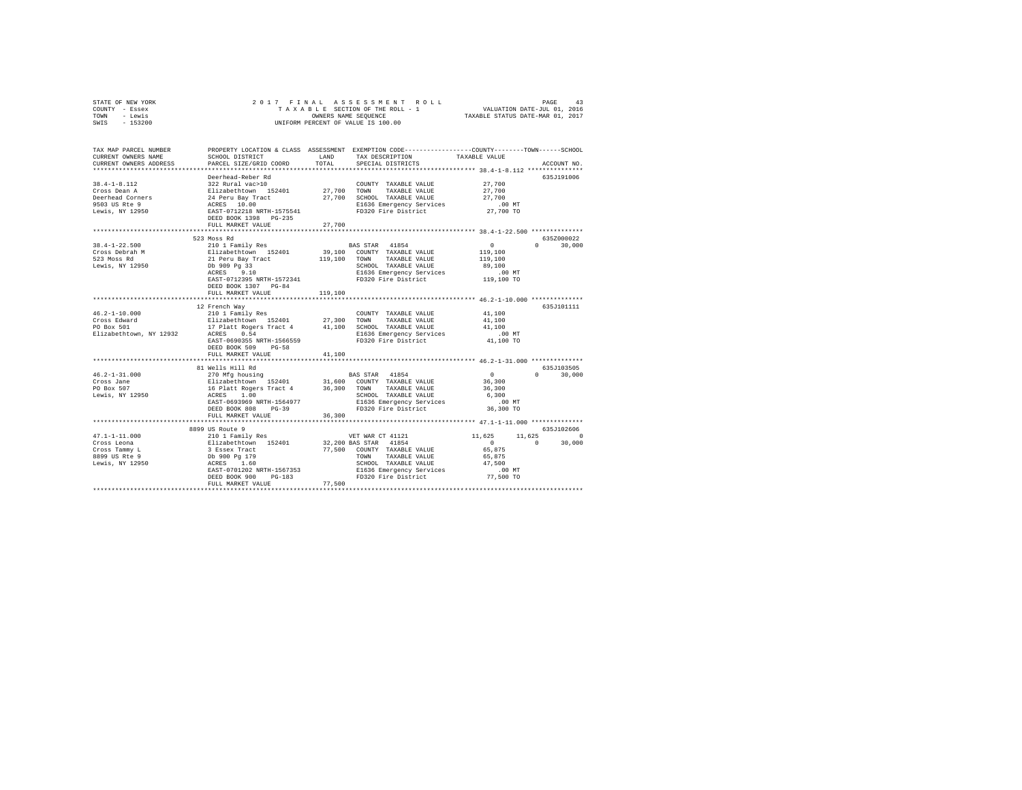| STATE OF NEW YORK |           |  | 2017 FINAL ASSESSMENT ROLL         |                                  | PAGE                        | 43 |
|-------------------|-----------|--|------------------------------------|----------------------------------|-----------------------------|----|
| COUNTY - Essex    |           |  | TAXABLE SECTION OF THE ROLL - 1    |                                  | VALUATION DATE-JUL 01, 2016 |    |
| TOWN              | - Lewis   |  | OWNERS NAME SEOUENCE               | TAXABLE STATUS DATE-MAR 01, 2017 |                             |    |
| SWIS              | $-153200$ |  | UNIFORM PERCENT OF VALUE IS 100.00 |                                  |                             |    |

| TAX MAP PARCEL NUMBER<br>CURRENT OWNERS NAME | SCHOOL DISTRICT                                                                       | LAND         | PROPERTY LOCATION & CLASS ASSESSMENT EXEMPTION CODE---------------COUNTY-------TOWN-----SCHOOL<br>TAX DESCRIPTION | TAXABLE VALUE     |                        |
|----------------------------------------------|---------------------------------------------------------------------------------------|--------------|-------------------------------------------------------------------------------------------------------------------|-------------------|------------------------|
| CURRENT OWNERS ADDRESS                       | PARCEL SIZE/GRID COORD                                                                | TOTAL        | SPECIAL DISTRICTS                                                                                                 |                   | ACCOUNT NO.            |
|                                              | ***************************                                                           |              |                                                                                                                   |                   |                        |
|                                              | Deerhead-Reber Rd                                                                     |              |                                                                                                                   |                   | 635J191006             |
| $38.4 - 1 - 8.112$                           | 322 Rural vac>10                                                                      |              | COUNTY TAXABLE VALUE                                                                                              | 27,700            |                        |
| Cross Dean A                                 | Elizabethtown 152401<br>24 Peru Bay Tract<br>ACRES 10.00<br>EAST-0712218 NRTH-1575541 | 27,700 TOWN  | TAXABLE VALUE                                                                                                     | 27,700            |                        |
| Deerhead Corners                             |                                                                                       |              | 27,700 SCHOOL TAXABLE VALUE                                                                                       | 27,700            |                        |
| 9503 US Rte 9                                |                                                                                       |              | E1636 Emergency Services                                                                                          | .00 MT            |                        |
| Lewis, NY 12950                              | DEED BOOK 1398 PG-235                                                                 |              | FD320 Fire District                                                                                               | 27,700 TO         |                        |
|                                              | FULL MARKET VALUE                                                                     | 27,700       |                                                                                                                   |                   |                        |
|                                              | 523 Moss Rd                                                                           |              |                                                                                                                   |                   | 635Z000022             |
| $38.4 - 1 - 22.500$                          | 210 1 Family Res                                                                      |              | BAS STAR 41854                                                                                                    | $\circ$           | 30,000<br>$\mathbf{a}$ |
| Cross Debrah M                               |                                                                                       |              | 39,100 COUNTY TAXABLE VALUE                                                                                       | 119,100           |                        |
| 523 Moss Rd                                  | Elizabethtown 152401<br>21 Peru Bay Tract                                             | 119,100      | TOWN<br>TAXABLE VALUE                                                                                             |                   |                        |
| Lewis, NY 12950                              | Db 909 Pg 33                                                                          |              | SCHOOL TAXABLE VALUE                                                                                              | 119,100<br>89,100 |                        |
|                                              | 9.10<br>ACRES                                                                         |              | E1636 Emergency Services                                                                                          | .00 MT            |                        |
|                                              | EAST-0712395 NRTH-1572341                                                             |              | FD320 Fire District                                                                                               | 119,100 TO        |                        |
|                                              | DEED BOOK 1307 PG-84                                                                  |              |                                                                                                                   |                   |                        |
|                                              | FULL MARKET VALUE                                                                     | 119,100      |                                                                                                                   |                   |                        |
|                                              | **************************                                                            | ************ |                                                                                                                   |                   |                        |
|                                              | 12 French Wav                                                                         |              |                                                                                                                   |                   | 635.T101111            |
| $46.2 - 1 - 10.000$                          | 210 1 Family Res                                                                      |              | COUNTY TAXABLE VALUE                                                                                              | 41,100            |                        |
| Cross Edward                                 | Elizabethtown 152401                                                                  | 27,300       | TOWN<br>TAXABLE VALUE                                                                                             | 41,100            |                        |
| PO Box 501                                   | 17 Platt Rogers Tract 4 41,100 SCHOOL TAXABLE VALUE                                   |              |                                                                                                                   | 41,100            |                        |
| Elizabethtown, NY 12932                      | ACRES<br>0.54                                                                         |              | E1636 Emergency Services                                                                                          | $.00$ MT          |                        |
|                                              | EAST-0690355 NRTH-1566559                                                             |              | FD320 Fire District                                                                                               | 41,100 TO         |                        |
|                                              | DEED BOOK 509<br>$PG-58$                                                              |              |                                                                                                                   |                   |                        |
|                                              | FULL MARKET VALUE                                                                     | 41,100       |                                                                                                                   |                   |                        |
|                                              |                                                                                       |              |                                                                                                                   |                   |                        |
|                                              | 81 Wells Hill Rd                                                                      |              |                                                                                                                   |                   | 635J103505             |
| $46.2 - 1 - 31.000$                          | 270 Mfg housing<br>Elizabethtown 152401                                               |              | BAS STAR 41854                                                                                                    | $\Omega$          | 30,000                 |
| Cross Jane                                   |                                                                                       |              | 31,600 COUNTY TAXABLE VALUE                                                                                       | 36,300            |                        |
| PO Box 507                                   | 16 Platt Rogers Tract 4 36,300<br>ACRES 1.00                                          |              | TOWN<br>TAXABLE VALUE                                                                                             | 36,300            |                        |
| Lewis, NY 12950                              |                                                                                       |              | SCHOOL TAXABLE VALUE                                                                                              | 6,300             |                        |
|                                              | EAST-0693969 NRTH-1564977                                                             |              | E1636 Emergency Services                                                                                          | $.00$ MT          |                        |
|                                              | DEED BOOK 808<br>$PG-39$                                                              |              | FD320 Fire District                                                                                               | 36,300 TO         |                        |
|                                              | FULL MARKET VALUE                                                                     | 36,300       |                                                                                                                   |                   |                        |
|                                              |                                                                                       |              |                                                                                                                   |                   |                        |
|                                              | 8899 US Route 9                                                                       |              |                                                                                                                   |                   | 635J102606             |
| $47.1 - 1 - 11.000$                          | 210 1 Family Res                                                                      |              | VET WAR CT 41121                                                                                                  | 11,625<br>11,625  | $\Omega$               |
| Cross Leona                                  | Elizabethtown 152401<br>3 Essex Tract                                                 |              | 32,200 BAS STAR 41854                                                                                             | $\overline{0}$    | $\Omega$<br>30,000     |
| Cross Tammy L                                |                                                                                       |              | 77,500 COUNTY TAXABLE VALUE                                                                                       | 65,875            |                        |
| 8899 US Rte 9                                | Db 900 Pg 179                                                                         |              | TOWN<br>TAXABLE VALUE                                                                                             | 65,875            |                        |
| Lewis, NY 12950                              | ACRES<br>1.60                                                                         |              | SCHOOL TAXABLE VALUE                                                                                              | 47.500            |                        |
|                                              | EAST-0701202 NRTH-1567353                                                             |              | E1636 Emergency Services                                                                                          | $.00$ MT          |                        |
|                                              | DEED BOOK 900<br>$PG-183$                                                             |              | FD320 Fire District 77,500 TO                                                                                     |                   |                        |
|                                              | FULL MARKET VALUE                                                                     | 77,500       |                                                                                                                   |                   |                        |
|                                              |                                                                                       |              |                                                                                                                   |                   |                        |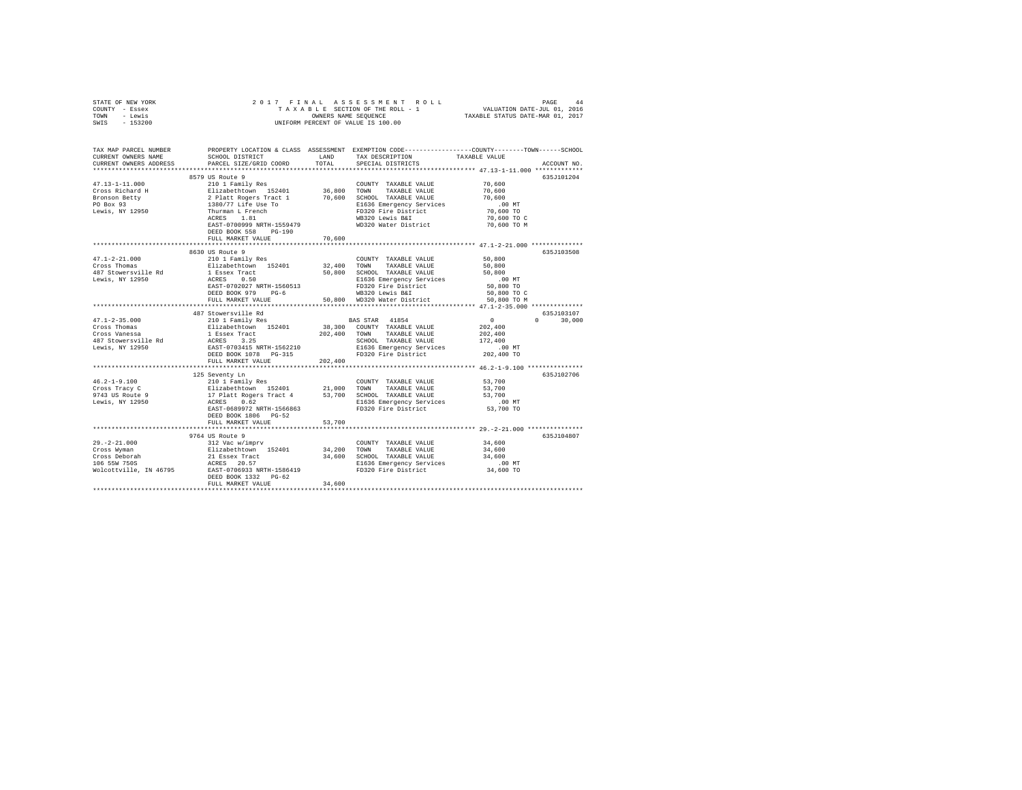| STATE OF NEW YORK                                | 2017 FINAL                                                                                                                                     |             |                                                      |                                                                                                 |  |  |  |  |
|--------------------------------------------------|------------------------------------------------------------------------------------------------------------------------------------------------|-------------|------------------------------------------------------|-------------------------------------------------------------------------------------------------|--|--|--|--|
| COUNTY - Essex                                   |                                                                                                                                                |             |                                                      |                                                                                                 |  |  |  |  |
| - Lewis<br>TOWN                                  | UNIFORM PERCENT OF VALUE IS 100.00                                                                                                             |             |                                                      |                                                                                                 |  |  |  |  |
| $-153200$<br>SWIS                                |                                                                                                                                                |             |                                                      |                                                                                                 |  |  |  |  |
|                                                  |                                                                                                                                                |             |                                                      |                                                                                                 |  |  |  |  |
|                                                  |                                                                                                                                                |             |                                                      |                                                                                                 |  |  |  |  |
| TAX MAP PARCEL NUMBER                            |                                                                                                                                                |             |                                                      | PROPERTY LOCATION & CLASS ASSESSMENT EXEMPTION CODE---------------COUNTY-------TOWN------SCHOOL |  |  |  |  |
| CURRENT OWNERS NAME                              | SCHOOL DISTRICT LAND                                                                                                                           |             | TAX DESCRIPTION                                      | TAXABLE VALUE                                                                                   |  |  |  |  |
| CURRENT OWNERS ADDRESS                           | PARCEL SIZE/GRID COORD                                                                                                                         | TOTAL       | SPECIAL DISTRICTS                                    | ACCOUNT NO.                                                                                     |  |  |  |  |
| ************************                         |                                                                                                                                                |             |                                                      |                                                                                                 |  |  |  |  |
|                                                  | 8579 US Route 9                                                                                                                                |             |                                                      | 635J101204                                                                                      |  |  |  |  |
| $47.13 - 1 - 11.000$                             | 210 1 Family Res                                                                                                                               |             | COUNTY TAXABLE VALUE                                 | 70,600                                                                                          |  |  |  |  |
| Cross Richard H                                  |                                                                                                                                                |             | TOWN<br>TAXABLE VALUE<br>70,600 SCHOOL TAXABLE VALUE | 70,600<br>70,600                                                                                |  |  |  |  |
| Bronson Betty<br>PO Box 93                       |                                                                                                                                                |             |                                                      | .00MT                                                                                           |  |  |  |  |
| Lewis, NY 12950                                  | reviewer 192401 182401 186,800<br>2 Platt Rogers Tract 1 1 70,600<br>1380/77 Life Use To<br>Thurman L French<br>Thurman L French<br>RCRES 1.81 |             | E1636 Emergency Services<br>FD320 Fire District      | 70,600 TO                                                                                       |  |  |  |  |
|                                                  |                                                                                                                                                |             | WB320 Lewis B&I                                      | 70,600 TO C                                                                                     |  |  |  |  |
|                                                  | EAST-0700999 NRTH-1559479                                                                                                                      |             | WD320 Water District                                 | 70,600 TO M                                                                                     |  |  |  |  |
|                                                  | DEED BOOK 558 PG-190                                                                                                                           |             |                                                      |                                                                                                 |  |  |  |  |
|                                                  | FULL MARKET VALUE                                                                                                                              | 70,600      |                                                      |                                                                                                 |  |  |  |  |
|                                                  |                                                                                                                                                |             |                                                      |                                                                                                 |  |  |  |  |
|                                                  | 8630 US Route 9                                                                                                                                |             |                                                      | 635J103508                                                                                      |  |  |  |  |
|                                                  | 210 1 Family Res                                                                                                                               |             | COUNTY TAXABLE VALUE                                 | 50,800                                                                                          |  |  |  |  |
| 47.1-2-21.000<br>Cross Thomas                    | Elizabethtown 152401                                                                                                                           | 32,400 TOWN | TAXABLE VALUE                                        | 50,800                                                                                          |  |  |  |  |
| 487 Stowersville Rd                              |                                                                                                                                                |             | 50,800 SCHOOL TAXABLE VALUE                          | 50,800                                                                                          |  |  |  |  |
| Lewis, NY 12950                                  | 1 Essex Tract<br>ACRES 0.50                                                                                                                    |             | E1636 Emergency Services                             | $.00$ MT                                                                                        |  |  |  |  |
|                                                  | EAST-0702027 NRTH-1560513                                                                                                                      |             | FD320 Fire District                                  | 50,800 TO                                                                                       |  |  |  |  |
|                                                  | DEED BOOK 979 PG-6                                                                                                                             |             | WB320 Lewis B&I                                      | 50,800 TO C                                                                                     |  |  |  |  |
|                                                  | FULL MARKET VALUE                                                                                                                              |             | 50,800 WD320 Water District                          | 50,800 TO M                                                                                     |  |  |  |  |
|                                                  | *************************                                                                                                                      |             |                                                      |                                                                                                 |  |  |  |  |
|                                                  | 487 Stowersville Rd                                                                                                                            |             |                                                      | 635J103107                                                                                      |  |  |  |  |
| $47.1 - 2 - 35.000$                              | 210 1 Family Res                                                                                                                               |             | BAS STAR 41854                                       | $\sim$ 0<br>$0 \t 30,000$                                                                       |  |  |  |  |
| Cross Thomas                                     | --------chrown 152401<br>1 Essex Tract<br>ACRES 3.25<br>EAST-0703415 NRTH-1562210<br>DEED BOOK 1078                                            |             | 38,300 COUNTY TAXABLE VALUE                          | 202,400                                                                                         |  |  |  |  |
| Cross Vanessa                                    |                                                                                                                                                |             | 202,400 TOWN TAXABLE VALUE                           | 202,400                                                                                         |  |  |  |  |
| 487 Stowersville Rd<br>Lewis, NY 12950           |                                                                                                                                                |             | SCHOOL TAXABLE VALUE                                 | 172,400                                                                                         |  |  |  |  |
|                                                  |                                                                                                                                                |             | E1636 Emergency Services<br>FD320 Fire District      | $.00$ MT                                                                                        |  |  |  |  |
|                                                  |                                                                                                                                                |             |                                                      | 202,400 TO                                                                                      |  |  |  |  |
|                                                  | FULL MARKET VALUE                                                                                                                              | 202,400     |                                                      |                                                                                                 |  |  |  |  |
|                                                  |                                                                                                                                                |             |                                                      |                                                                                                 |  |  |  |  |
| $46.2 - 1 - 9.100$                               | 125 Seventy Ln<br>210 1 Family Res                                                                                                             |             |                                                      | 635J102706                                                                                      |  |  |  |  |
| Cross Tracy C                                    | Elizabethtown 152401                                                                                                                           | 21,000      | COUNTY TAXABLE VALUE<br>TOWN<br>TAXABLE VALUE        | 53,700<br>53,700                                                                                |  |  |  |  |
|                                                  |                                                                                                                                                |             | SCHOOL TAXABLE VALUE                                 | 53,700                                                                                          |  |  |  |  |
| 9743 US Route 9<br>Lewis, NY 12950               | 17 Platt Rogers Tract 4 53,700<br>ACRES 0.62                                                                                                   |             | E1636 Emergency Services                             | $.00$ MT                                                                                        |  |  |  |  |
|                                                  | EAST-0689972 NRTH-1566863                                                                                                                      |             | FD320 Fire District                                  | 53,700 TO                                                                                       |  |  |  |  |
|                                                  | DEED BOOK 1806 PG-52                                                                                                                           |             |                                                      |                                                                                                 |  |  |  |  |
|                                                  | FULL MARKET VALUE                                                                                                                              | 53,700      |                                                      |                                                                                                 |  |  |  |  |
|                                                  |                                                                                                                                                |             |                                                      |                                                                                                 |  |  |  |  |
|                                                  | 9764 US Route 9                                                                                                                                |             |                                                      | 635J104807                                                                                      |  |  |  |  |
|                                                  | 312 Vac w/imprv                                                                                                                                |             | COUNTY TAXABLE VALUE                                 | 34,600                                                                                          |  |  |  |  |
| 29.-2-21.000<br>Cross Wyman                      | Elizabethtown 152401 34,200 TOWN                                                                                                               |             | TAXABLE VALUE                                        | 34,600                                                                                          |  |  |  |  |
|                                                  | 21 Essex Tract                                                                                                                                 |             | 34,600 SCHOOL TAXABLE VALUE                          | 34,600                                                                                          |  |  |  |  |
| Cross Deborah<br>106 55W 750S                    | ACRES 20.57                                                                                                                                    |             | E1636 Emergency Services                             | $.00$ MT                                                                                        |  |  |  |  |
| Wolcottville, IN 46795 EAST-0706933 NRTH-1586419 |                                                                                                                                                |             | FD320 Fire District                                  | 34,600 TO                                                                                       |  |  |  |  |
|                                                  | DEED BOOK 1332 PG-62                                                                                                                           |             |                                                      |                                                                                                 |  |  |  |  |
|                                                  | FULL MARKET VALUE                                                                                                                              | 34,600      |                                                      |                                                                                                 |  |  |  |  |
|                                                  |                                                                                                                                                |             |                                                      |                                                                                                 |  |  |  |  |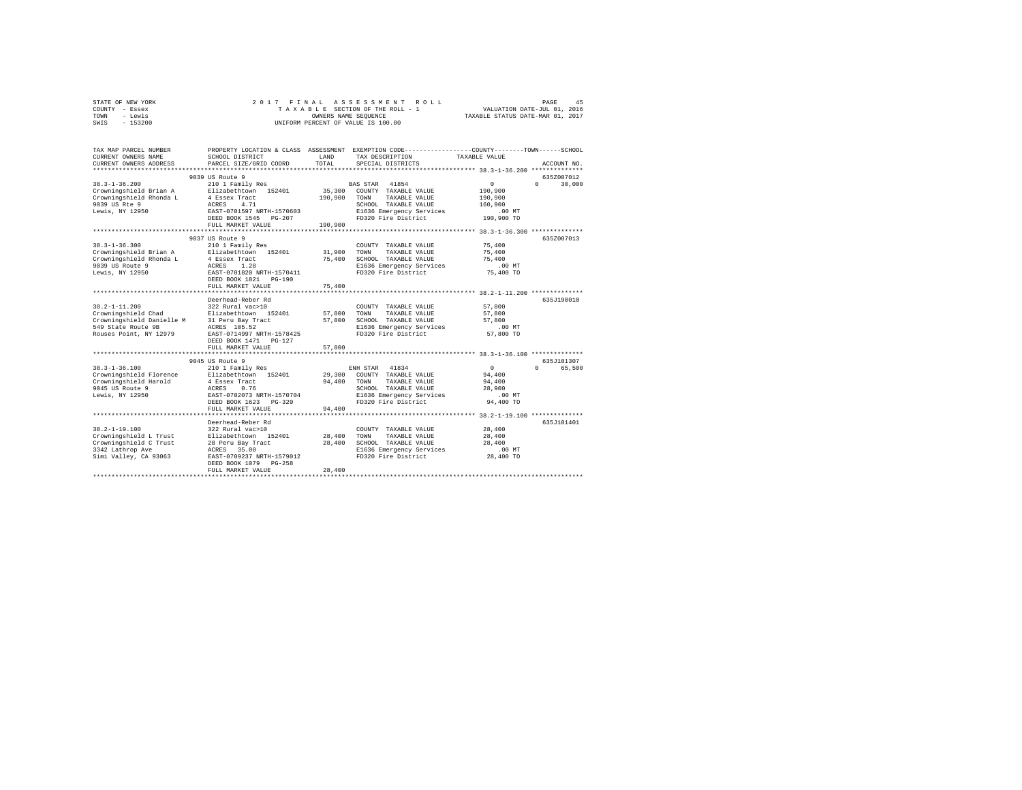| STATE OF NEW YORK | 2017 FINAL ASSESSMENT ROLL         | 45<br>PAGE                       |
|-------------------|------------------------------------|----------------------------------|
| COUNTY - Essex    | TAXABLE SECTION OF THE ROLL - 1    | VALUATION DATE-JUL 01, 2016      |
| TOWN<br>- Lewis   | OWNERS NAME SEOUENCE               | TAXABLE STATUS DATE-MAR 01, 2017 |
| - 153200<br>SWIS  | UNIFORM PERCENT OF VALUE IS 100.00 |                                  |

| TAX MAP PARCEL NUMBER<br>CURRENT OWNERS NAME<br>CURRENT OWNERS ADDRESS | SCHOOL DISTRICT<br>PARCEL SIZE/GRID COORD          | LAND<br>TOTAL | PROPERTY LOCATION & CLASS ASSESSMENT EXEMPTION CODE----------------COUNTY-------TOWN------SCHOOL<br>TAX DESCRIPTION<br>SPECIAL DISTRICTS | TAXABLE VALUE | ACCOUNT NO.                      |
|------------------------------------------------------------------------|----------------------------------------------------|---------------|------------------------------------------------------------------------------------------------------------------------------------------|---------------|----------------------------------|
|                                                                        |                                                    |               |                                                                                                                                          |               |                                  |
| $38.3 - 1 - 36.200$                                                    | 9039 US Route 9<br>210 1 Family Res                |               | BAS STAR 41854                                                                                                                           | $\Omega$      | 6357007012<br>$\Omega$<br>30,000 |
| Crowningshield Brian A                                                 | Elizabethtown 152401                               | 35,300        | COUNTY TAXABLE VALUE                                                                                                                     | 190,900       |                                  |
| Crowningshield Rhonda L                                                | 4 Essex Tract                                      | 190,900       | TOWN<br>TAXABLE VALUE                                                                                                                    | 190,900       |                                  |
| 9039 US Rte 9                                                          | 4.71<br>ACRES                                      |               | SCHOOL TAXABLE VALUE                                                                                                                     | 160,900       |                                  |
| Lewis, NY 12950                                                        | EAST-0701597 NRTH-1570603                          |               | E1636 Emergency Services                                                                                                                 | $.00$ MT      |                                  |
|                                                                        | DEED BOOK 1545<br>$PG-207$<br>FULL MARKET VALUE    | 190,900       | FD320 Fire District<br>*********************************** 38.3-1-36.300 ***************                                                 | 190,900 TO    |                                  |
|                                                                        | 9037 US Route 9                                    |               |                                                                                                                                          |               | 635Z007013                       |
| $38.3 - 1 - 36.300$                                                    | 210 1 Family Res                                   |               | COUNTY TAXABLE VALUE                                                                                                                     | 75,400        |                                  |
| Crowningshield Brian A                                                 | Elizabethtown 152401                               | 31,900        | TOWN<br>TAXABLE VALUE                                                                                                                    | 75,400        |                                  |
| Crowningshield Rhonda L                                                | 4 Essex Tract                                      | 75,400        | SCHOOL TAXABLE VALUE                                                                                                                     | 75,400        |                                  |
| 9039 US Route 9                                                        | 1.28<br>ACRES                                      |               | E1636 Emergency Services                                                                                                                 | $.00$ MT      |                                  |
| Lewis, NY 12950                                                        | EAST-0701820 NRTH-1570411                          |               | FD320 Fire District                                                                                                                      | 75,400 TO     |                                  |
|                                                                        | DEED BOOK 1821 PG-190                              |               |                                                                                                                                          |               |                                  |
|                                                                        | FULL MARKET VALUE                                  | 75,400        |                                                                                                                                          |               |                                  |
|                                                                        |                                                    |               |                                                                                                                                          |               |                                  |
|                                                                        | Deerhead-Reber Rd                                  |               |                                                                                                                                          |               | 635J190010                       |
| $38.2 - 1 - 11.200$                                                    | 322 Rural vac>10                                   |               | COUNTY TAXABLE VALUE                                                                                                                     | 57,800        |                                  |
| Crowningshield Chad                                                    | Elizabethtown 152401                               | 57,800        | <b>TOWN</b><br>TAXABLE VALUE                                                                                                             | 57,800        |                                  |
| Crowningshield Danielle M                                              | 31 Peru Bay Tract                                  | 57,800        | SCHOOL TAXABLE VALUE                                                                                                                     | 57,800        |                                  |
| 549 State Route 9B                                                     | ACRES 105.52                                       |               | E1636 Emergency Services                                                                                                                 | .00MT         |                                  |
| Rouses Point, NY 12979                                                 | EAST-0714997 NRTH-1578425                          |               | FD320 Fire District                                                                                                                      | 57,800 TO     |                                  |
|                                                                        | DEED BOOK 1471 PG-127                              |               |                                                                                                                                          |               |                                  |
|                                                                        | FULL MARKET VALUE                                  | 57,800        |                                                                                                                                          |               |                                  |
|                                                                        | 9045 US Route 9                                    |               |                                                                                                                                          |               | 635J101307                       |
| $38.3 - 1 - 36.100$                                                    | 210 1 Family Res                                   |               | ENH STAR 41834                                                                                                                           | $\Omega$      | $\Omega$<br>65,500               |
| Crowningshield Florence                                                | Elizabethtown 152401                               | 29,300        | COUNTY TAXABLE VALUE                                                                                                                     | 94,400        |                                  |
| Crowningshield Harold                                                  | 4 Essex Tract                                      | 94,400        | TOWN<br>TAXABLE VALUE                                                                                                                    | 94,400        |                                  |
| 9045 US Route 9                                                        | 0.76<br>ACRES                                      |               | SCHOOL TAXABLE VALUE                                                                                                                     | 28,900        |                                  |
| Lewis, NY 12950                                                        | EAST-0702073 NRTH-1570704                          |               | E1636 Emergency Services                                                                                                                 | $.00$ MT      |                                  |
|                                                                        | DEED BOOK 1623<br>$PG-320$                         |               | FD320 Fire District                                                                                                                      | 94,400 TO     |                                  |
|                                                                        | FULL MARKET VALUE                                  | 94,400        |                                                                                                                                          |               |                                  |
|                                                                        | *************************************              |               |                                                                                                                                          |               |                                  |
|                                                                        | Deerhead-Reber Rd                                  |               |                                                                                                                                          |               | 635J101401                       |
| $38.2 - 1 - 19.100$                                                    | 322 Rural vac>10                                   |               | COUNTY TAXABLE VALUE                                                                                                                     | 28,400        |                                  |
| Crowningshield L Trust                                                 | Elizabethtown 152401                               | 28,400        | TOWN<br>TAXABLE VALUE                                                                                                                    | 28,400        |                                  |
| Crowningshield C Trust                                                 | 28 Peru Bay Tract                                  | 28,400        | SCHOOL TAXABLE VALUE                                                                                                                     | 28,400        |                                  |
| 3342 Lathrop Ave                                                       | ACRES 35.00                                        |               | E1636 Emergency Services                                                                                                                 | .00MT         |                                  |
| Simi Valley, CA 93063                                                  | EAST-0709237 NRTH-1579012<br>DEED BOOK 1079 PG-258 |               | FD320 Fire District                                                                                                                      | 28,400 TO     |                                  |
|                                                                        | FULL MARKET VALUE                                  | 28,400        |                                                                                                                                          |               |                                  |
|                                                                        |                                                    |               |                                                                                                                                          |               |                                  |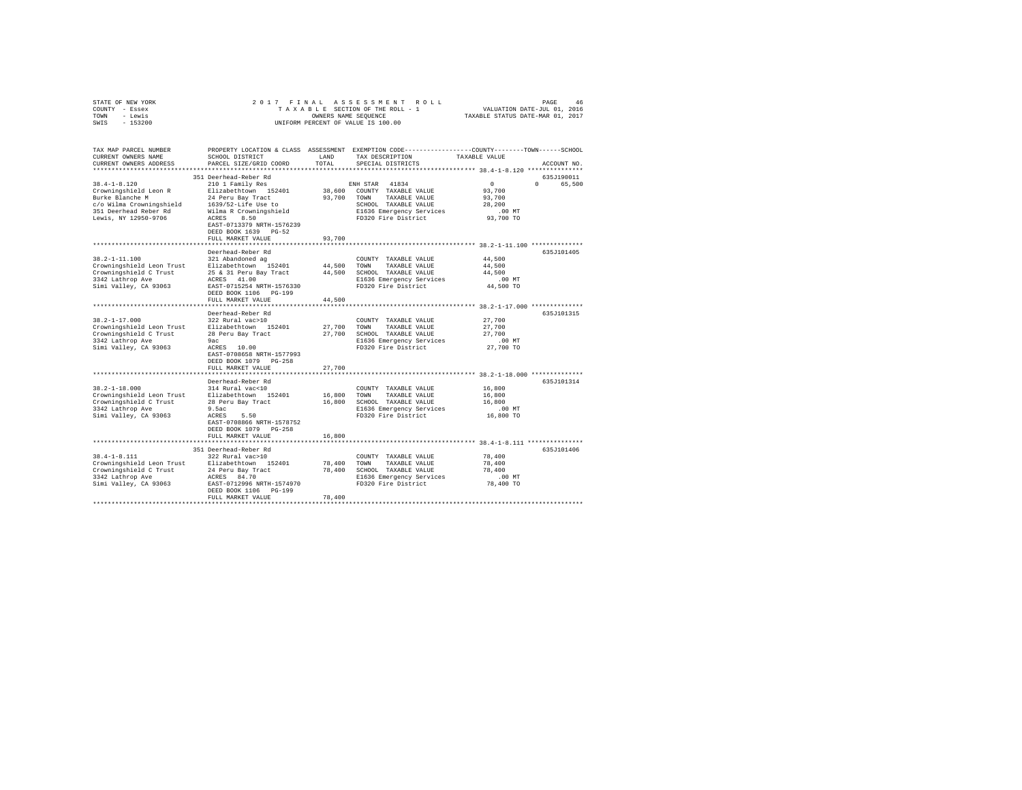| STATE OF NEW YORK                                                                                                    |                                               |             |                                                                                                 |                                  |             |
|----------------------------------------------------------------------------------------------------------------------|-----------------------------------------------|-------------|-------------------------------------------------------------------------------------------------|----------------------------------|-------------|
| COUNTY - Essex                                                                                                       |                                               |             |                                                                                                 |                                  |             |
| TOWN - Lewis                                                                                                         |                                               |             | OWNERS NAME SEQUENCE                                                                            | TAXABLE STATUS DATE-MAR 01, 2017 |             |
| SWIS - 153200                                                                                                        |                                               |             | UNIFORM PERCENT OF VALUE IS 100.00                                                              |                                  |             |
|                                                                                                                      |                                               |             |                                                                                                 |                                  |             |
| TAX MAP PARCEL NUMBER                                                                                                |                                               |             | PROPERTY LOCATION & CLASS ASSESSMENT EXEMPTION CODE---------------COUNTY-------TOWN------SCHOOL |                                  |             |
| CURRENT OWNERS NAME                                                                                                  | SCHOOL DISTRICT                               | LAND        | TAX DESCRIPTION                                                                                 | TAXABLE VALUE                    |             |
| CURRENT OWNERS ADDRESS                                                                                               | PARCEL SIZE/GRID COORD                        | TOTAL       | SPECIAL DISTRICTS                                                                               |                                  | ACCOUNT NO. |
|                                                                                                                      |                                               |             |                                                                                                 |                                  |             |
|                                                                                                                      | 351 Deerhead-Reber Rd                         |             |                                                                                                 |                                  | 635J190011  |
| $38.4 - 1 - 8.120$                                                                                                   | 210 1 Family Res                              |             | ENH STAR 41834                                                                                  | $\sim$ 0                         | 0 65,500    |
|                                                                                                                      |                                               |             |                                                                                                 | 93,700                           |             |
| Crowningshield Leon R                                                                                                | Elizabethtown 152401                          |             | 38,600 COUNTY TAXABLE VALUE                                                                     | 93,700                           |             |
| Burke Blanche M                                                                                                      | 24 Peru Bay Tract                             |             | 93,700 TOWN TAXABLE VALUE                                                                       |                                  |             |
| c/o Wilma Crowningshield                                                                                             | 1639/52-Life Use to<br>Wilma R Crowningshield |             | SCHOOL TAXABLE VALUE                                                                            | 28,200                           |             |
| 351 Deerhead Reber Rd                                                                                                | Wilma R Crowningshield                        |             | E1636 Emergency Services<br>E1636 Emergency Services                                            | $.00$ MT                         |             |
| Lewis, NY 12950-9706                                                                                                 | ACRES 8.50                                    |             |                                                                                                 | 93,700 TO                        |             |
|                                                                                                                      | EAST-0713379 NRTH-1576239                     |             |                                                                                                 |                                  |             |
|                                                                                                                      | DEED BOOK 1639 PG-52                          |             |                                                                                                 |                                  |             |
|                                                                                                                      | FULL MARKET VALUE                             | 93,700      |                                                                                                 |                                  |             |
|                                                                                                                      |                                               |             |                                                                                                 |                                  |             |
|                                                                                                                      | Deerhead-Reber Rd                             |             |                                                                                                 |                                  | 635J101405  |
| $38.2 - 1 - 11.100$                                                                                                  | 321 Abandoned ag                              |             | COUNTY TAXABLE VALUE                                                                            | 44,500                           |             |
| Crowningshield Leon Trust Elizabethtown 152401                                                                       |                                               |             | 44,500 TOWN TAXABLE VALUE                                                                       | 44,500                           |             |
| Crowningshield C Trust                                                                                               | 25 & 31 Peru Bay Tract                        |             | 44,500 SCHOOL TAXABLE VALUE                                                                     | 44,500                           |             |
| 3342 Lathrop Ave                                                                                                     | ACRES 41.00                                   |             | E1636 Emergency Services                                                                        | .00MT                            |             |
| Simi Valley, CA 93063                                                                                                | EAST-0715254 NRTH-1576330                     |             | FD320 Fire District                                                                             | 44,500 TO                        |             |
|                                                                                                                      | DEED BOOK 1106 PG-199                         |             |                                                                                                 |                                  |             |
|                                                                                                                      | FULL MARKET VALUE                             | 44,500      |                                                                                                 |                                  |             |
|                                                                                                                      |                                               |             |                                                                                                 |                                  |             |
|                                                                                                                      | Deerhead-Reber Rd                             |             |                                                                                                 |                                  | 635J101315  |
| $38.2 - 1 - 17.000$                                                                                                  | 322 Rural vac>10                              |             | COUNTY TAXABLE VALUE                                                                            | 27,700                           |             |
| Crowningshield Leon Trust<br>Crowningshield C Trust 28 Peru Bay Tract<br>3342 Lathron Ave 28 Peru Bay Tract          |                                               |             | 27.700 TOWN TAXABLE VALUE                                                                       | 27,700                           |             |
|                                                                                                                      |                                               |             | 27,700 SCHOOL TAXABLE VALUE                                                                     | 27,700                           |             |
| 3342 Lathrop Ave                                                                                                     |                                               |             | E1636 Emergency Services                                                                        | .00MT                            |             |
| Simi Valley, CA 93063                                                                                                | 9ac<br>ACRES 10.00                            |             | FD320 Fire District                                                                             | 27,700 TO                        |             |
|                                                                                                                      | EAST-0708658 NRTH-1577993                     |             |                                                                                                 |                                  |             |
|                                                                                                                      | DEED BOOK 1079 PG-258                         |             |                                                                                                 |                                  |             |
|                                                                                                                      | FULL MARKET VALUE                             | 27,700      |                                                                                                 |                                  |             |
|                                                                                                                      |                                               |             |                                                                                                 |                                  |             |
|                                                                                                                      | Deerhead-Reber Rd                             |             |                                                                                                 |                                  | 635J101314  |
| $38.2 - 1 - 18.000$                                                                                                  | 314 Rural vac<10                              |             | COUNTY TAXABLE VALUE                                                                            | 16,800                           |             |
| 38.2-1-18.000<br>Commingshield Leon Trust<br>Crowningshield C Trust<br>28 Peru Bay Tract                             |                                               | 16,800 TOWN | TAXABLE VALUE                                                                                   | 16,800                           |             |
|                                                                                                                      |                                               |             | 16,800 SCHOOL TAXABLE VALUE                                                                     | 16,800                           |             |
| 3342 Lathrop Ave                                                                                                     | 9.5ac                                         |             | E1636 Emergency Services                                                                        | $.00$ MT                         |             |
| Simi Valley, CA 93063                                                                                                | ACRES 5.50                                    |             | FD320 Fire District                                                                             | 16,800 TO                        |             |
|                                                                                                                      | EAST-0708866 NRTH-1578752                     |             |                                                                                                 |                                  |             |
|                                                                                                                      | DEED BOOK 1079 PG-258                         |             |                                                                                                 |                                  |             |
|                                                                                                                      | FULL MARKET VALUE                             | 16,800      |                                                                                                 |                                  |             |
|                                                                                                                      |                                               |             |                                                                                                 |                                  |             |
|                                                                                                                      | 351 Deerhead-Reber Rd                         |             |                                                                                                 |                                  | 635J101406  |
| $38.4 - 1 - 8.111$                                                                                                   | 322 Rural vac>10                              |             | COUNTY TAXABLE VALUE                                                                            | 78,400                           |             |
|                                                                                                                      |                                               |             | 78,400 TOWN TAXABLE VALUE                                                                       | 78,400                           |             |
| Crowningshield Leon Trust Elizabethtown 152401<br>Crowningshield C Trust 24 Peru Bay Tract<br>Crowningshield C Trust |                                               |             | 78,400 SCHOOL TAXABLE VALUE                                                                     | 78,400                           |             |
| 3342 Lathrop Ave                                                                                                     | ACRES 84.70                                   |             |                                                                                                 | $.00$ MT                         |             |
| Simi Valley, CA 93063                                                                                                | EAST-0712996 NRTH-1574970                     |             | E1636 Emergency Services<br>FD320 Fire District                                                 | 78,400 TO                        |             |
|                                                                                                                      |                                               |             |                                                                                                 |                                  |             |
|                                                                                                                      | DEED BOOK 1106 PG-199                         | 78,400      |                                                                                                 |                                  |             |
|                                                                                                                      | FULL MARKET VALUE                             |             |                                                                                                 |                                  |             |
|                                                                                                                      |                                               |             |                                                                                                 |                                  |             |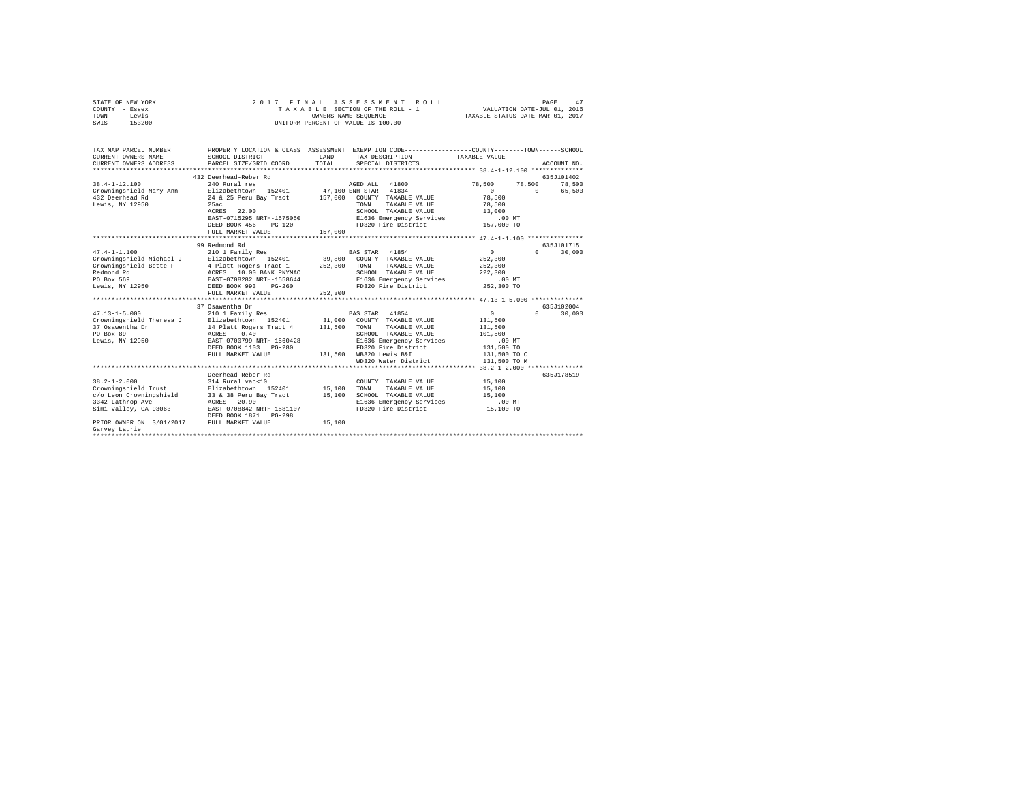| STATE OF NEW YORK<br>COUNTY - Essex<br>TOWN<br>- Lewis<br>SWIS<br>$-153200$                                                                                                                   | 2017 FINAL                                                                                                                                                                                                                             | OWNERS NAME SEQUENCE<br>UNIFORM PERCENT OF VALUE IS 100.00 | ASSESSMENT<br>ROLL<br>TAXABLE SECTION OF THE ROLL - 1                                                                                                                                                            | VALUATION DATE-JUL 01, 2016<br>TAXABLE STATUS DATE-MAR 01, 2017                    | 47<br>PAGE                                             |
|-----------------------------------------------------------------------------------------------------------------------------------------------------------------------------------------------|----------------------------------------------------------------------------------------------------------------------------------------------------------------------------------------------------------------------------------------|------------------------------------------------------------|------------------------------------------------------------------------------------------------------------------------------------------------------------------------------------------------------------------|------------------------------------------------------------------------------------|--------------------------------------------------------|
| TAX MAP PARCEL NUMBER<br>CURRENT OWNERS NAME<br>CURRENT OWNERS ADDRESS                                                                                                                        | PROPERTY LOCATION & CLASS ASSESSMENT EXEMPTION CODE---------------COUNTY-------TOWN-----SCHOOL<br>SCHOOL DISTRICT<br>PARCEL SIZE/GRID COORD                                                                                            | LAND<br>TOTAL                                              | TAX DESCRIPTION<br>SPECIAL DISTRICTS                                                                                                                                                                             | TAXABLE VALUE                                                                      | ACCOUNT NO.                                            |
| $38.4 - 1 - 12.100$<br>Crowningshield Mary Ann<br>432 Deerhead Rd<br>Lewis, NY 12950                                                                                                          | 432 Deerhead-Reber Rd<br>240 Rural res<br>Elizabethtown 152401<br>24 & 25 Peru Bav Tract<br>25ac<br>ACRES 22.00<br>EAST-0715295 NRTH-1575050<br>DEED BOOK 456 PG-120<br>FULL MARKET VALUE                                              | 47,100 ENH STAR<br>157,000<br>157,000                      | AGED ALL 41800<br>41834<br>COUNTY TAXABLE VALUE<br>TOWN<br>TAXABLE VALUE<br>SCHOOL TAXABLE VALUE<br>E1636 Emergency Services<br>FD320 Fire District                                                              | 78,500<br>$\sim$<br>78,500<br>78,500<br>13,000<br>.00MT<br>157,000 TO              | 635J101402<br>78,500<br>78,500<br>$\sim$ 0<br>65,500   |
|                                                                                                                                                                                               | 99 Redmond Rd                                                                                                                                                                                                                          |                                                            |                                                                                                                                                                                                                  |                                                                                    | 635J101715                                             |
| $47.4 - 1 - 1.100$<br>Crowningshield Michael J<br>Crowningshield Bette F<br>Redmond Rd<br>PO Box 569<br>Lewis, NY 12950<br>$47.13 - 1 - 5.000$<br>Crowningshield Theresa J<br>37 Osawentha Dr | 210 1 Family Res<br>Elizabethtown 152401<br>4 Platt Rogers Tract 1<br>ACRES 10.00 BANK PNYMAC<br>EAST-0708282 NRTH-1558644<br>DEED BOOK 993 PG-260<br>FULL MARKET VALUE<br>37 Osawentha Dr<br>210 1 Family Res<br>Elizabethtown 152401 | 39,800<br>252,300<br>252,300<br>31,000<br>131,500          | BAS STAR 41854<br>COUNTY TAXABLE VALUE<br>TOWN<br>TAXABLE VALUE<br>SCHOOL TAXABLE VALUE<br>E1636 Emergency Services<br>FD320 Fire District<br>41854<br>BAS STAR<br>COUNTY TAXABLE VALUE<br>TOWN<br>TAXABLE VALUE | $\circ$<br>252,300<br>252,300<br>222,300<br>$.00$ MT<br>252,300 TO<br>0<br>131,500 | 30,000<br>$\Omega$<br>635J102004<br>$\Omega$<br>30,000 |
| PO Box 89<br>Lewis, NY 12950                                                                                                                                                                  | 14 Platt Rogers Tract 4<br>0.40<br>ACRES<br>EAST-0700799 NRTH-1560428<br>DEED BOOK 1103 PG-280<br>FULL MARKET VALUE                                                                                                                    |                                                            | SCHOOL TAXABLE VALUE<br>E1636 Emergency Services<br>FD320 Fire District<br>131,500 WB320 Lewis B&I<br>WD320 Water District                                                                                       | 131,500<br>101,500<br>.00 MT<br>131,500 TO<br>131,500 TO C<br>131,500 TO M         |                                                        |
|                                                                                                                                                                                               |                                                                                                                                                                                                                                        |                                                            |                                                                                                                                                                                                                  |                                                                                    |                                                        |
| $38.2 - 1 - 2.000$<br>Crowningshield Trust<br>c/o Leon Crowningshield<br>3342 Lathrop Ave<br>Simi Valley, CA 93063                                                                            | Deerhead-Reber Rd<br>314 Rural vac<10<br>Elizabethtown 152401<br>33 & 38 Peru Bay Tract<br>ACRES 20.90<br>EAST-0708842 NRTH-1581107<br>DEED BOOK 1871 PG-298                                                                           | 15,100<br>15,100                                           | COUNTY TAXABLE VALUE<br>TOWN<br>TAXABLE VALUE<br>SCHOOL TAXABLE VALUE<br>E1636 Emergency Services<br>FD320 Fire District                                                                                         | 15,100<br>15,100<br>15,100<br>.00MT<br>15,100 TO                                   | 635J178519                                             |
| PRIOR OWNER ON 3/01/2017 FULL MARKET VALUE<br>Garvey Laurie                                                                                                                                   |                                                                                                                                                                                                                                        | 15,100                                                     |                                                                                                                                                                                                                  |                                                                                    |                                                        |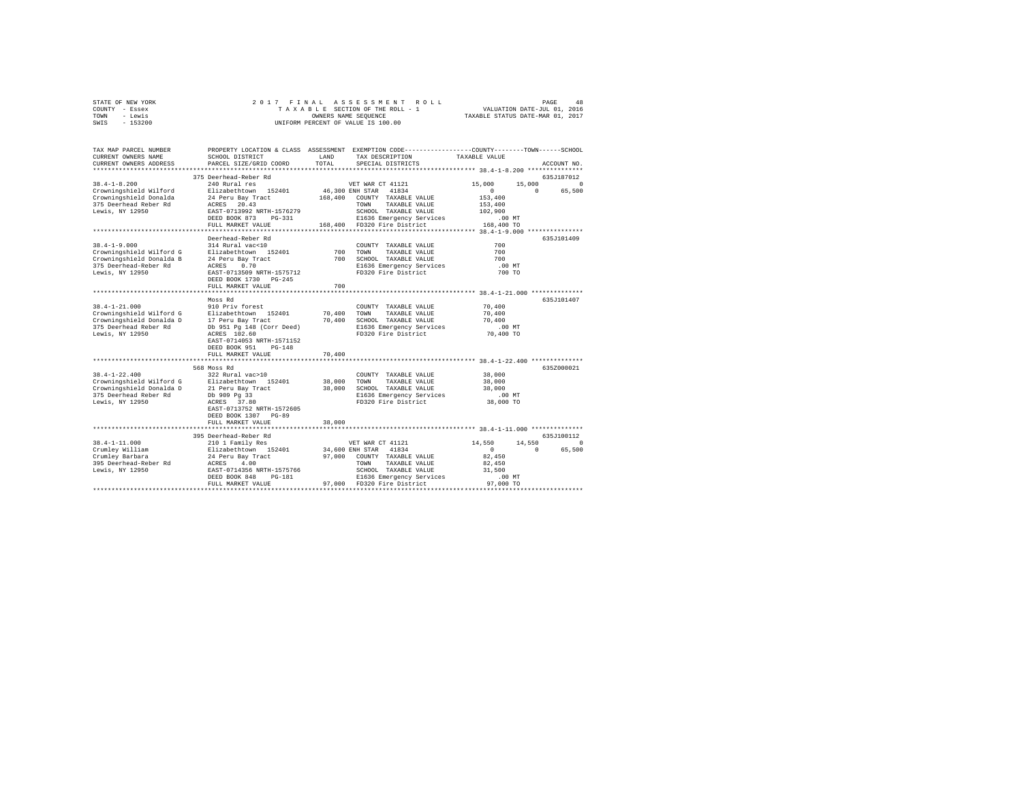| STATE OF NEW YORK | 2017 FINAL ASSESSMENT ROLL         | 48<br>PAGE                       |
|-------------------|------------------------------------|----------------------------------|
| COUNTY - Essex    | TAXABLE SECTION OF THE ROLL - 1    | VALUATION DATE-JUL 01, 2016      |
| TOWN<br>- Lewis   | OWNERS NAME SEOUENCE               | TAXABLE STATUS DATE-MAR 01, 2017 |
| $-153200$<br>SWIS | UNIFORM PERCENT OF VALUE IS 100.00 |                                  |

| TAX MAP PARCEL NUMBER<br>CURRENT OWNERS NAME<br>CURRENT OWNERS ADDRESS                                                  | SCHOOL DISTRICT<br>PARCEL SIZE/GRID COORD                                                                                                                                                | LAND<br>TOTAL              | PROPERTY LOCATION & CLASS ASSESSMENT EXEMPTION CODE----------------COUNTY-------TOWN------SCHOOL<br>TAX DESCRIPTION<br>SPECIAL DISTRICTS                                            | TAXABLE VALUE                                                                               | ACCOUNT NO.                                     |
|-------------------------------------------------------------------------------------------------------------------------|------------------------------------------------------------------------------------------------------------------------------------------------------------------------------------------|----------------------------|-------------------------------------------------------------------------------------------------------------------------------------------------------------------------------------|---------------------------------------------------------------------------------------------|-------------------------------------------------|
| *************************                                                                                               |                                                                                                                                                                                          |                            |                                                                                                                                                                                     |                                                                                             |                                                 |
| $38.4 - 1 - 8.200$<br>Crowningshield Wilford<br>Crowningshield Donalda<br>375 Deerhead Reber Rd<br>Lewis, NY 12950      | 375 Deerhead-Reber Rd<br>240 Rural res<br>Elizabethtown 152401<br>24 Peru Bay Tract<br>ACRES 20.43<br>EAST-0713992 NRTH-1576279<br>DEED BOOK 873 PG-331<br>FULL MARKET VALUE             | 168,400                    | VET WAR CT 41121<br>46,300 ENH STAR 41834<br>COUNTY TAXABLE VALUE<br>TAXABLE VALUE<br>TOWN<br>SCHOOL TAXABLE VALUE<br>E1636 Emergency Services<br>168,400 FD320 Fire District       | 15,000<br>15,000<br>$\mathbf{r}$<br>153,400<br>153,400<br>102,900<br>$.00$ MT<br>168,400 TO | 635J187012<br>$\circ$<br>65,500<br>$\mathbf{r}$ |
|                                                                                                                         | ************************                                                                                                                                                                 |                            |                                                                                                                                                                                     |                                                                                             |                                                 |
| $38.4 - 1 - 9.000$<br>Crowningshield Wilford G<br>Crowningshield Donalda B<br>375 Deerhead-Reber Rd<br>Lewis, NY 12950  | Deerhead-Reber Rd<br>314 Rural vac<10<br>Elizabethtown 152401<br>24 Peru Bay Tract<br>ACRES<br>0.70<br>EAST-0713509 NRTH-1575712<br>DEED BOOK 1730 PG-245<br>FULL MARKET VALUE           | 700<br>700<br>700          | COUNTY TAXABLE VALUE<br>TAXABLE VALUE<br>TOWN<br>SCHOOL TAXABLE VALUE<br>E1636 Emergency Services<br>FD320 Fire District                                                            | 700<br>700<br>700<br>$.00$ MT<br>700 TO                                                     | 635J101409                                      |
|                                                                                                                         | Moss Rd                                                                                                                                                                                  |                            |                                                                                                                                                                                     |                                                                                             | 635J101407                                      |
| $38.4 - 1 - 21.000$<br>Crowningshield Wilford G<br>Crowningshield Donalda D<br>375 Deerhead Reber Rd<br>Lewis, NY 12950 | 910 Priv forest<br>Elizabethtown 152401<br>17 Peru Bay Tract<br>Db 951 Pg 148 (Corr Deed)<br>ACRES 102.60<br>EAST-0714053 NRTH-1571152<br>DEED BOOK 951<br>$PG-148$<br>FULL MARKET VALUE | 70,400<br>70,400<br>70,400 | COUNTY TAXABLE VALUE<br>TOWN<br>TAXABLE VALUE<br>SCHOOL TAXABLE VALUE<br>E1636 Emergency Services<br>FD320 Fire District                                                            | 70,400<br>70,400<br>70,400<br>$.00$ MT<br>70,400 TO                                         |                                                 |
|                                                                                                                         |                                                                                                                                                                                          |                            |                                                                                                                                                                                     |                                                                                             |                                                 |
| $38.4 - 1 - 22.400$<br>Crowningshield Wilford G<br>Crowningshield Donalda D<br>375 Deerhead Reber Rd<br>Lewis, NY 12950 | 568 Moss Rd<br>322 Rural vac>10<br>Elizabethtown 152401<br>21 Peru Bay Tract<br>Db 909 Pq 33<br>ACRES 37.80<br>EAST-0713752 NRTH-1572605<br>DEED BOOK 1307 PG-89<br>FULL MARKET VALUE    | 38,000<br>38,000<br>38,000 | COUNTY TAXABLE VALUE<br>TAXABLE VALUE<br>TOWN<br>SCHOOL TAXABLE VALUE<br>E1636 Emergency Services<br>FD320 Fire District                                                            | 38,000<br>38,000<br>38,000<br>$.00$ MT<br>38,000 TO                                         | 635Z000021                                      |
|                                                                                                                         | **********************************                                                                                                                                                       |                            |                                                                                                                                                                                     |                                                                                             |                                                 |
| $38.4 - 1 - 11.000$<br>Crumley William<br>Crumley Barbara<br>395 Deerhead-Reber Rd<br>Lewis, NY 12950                   | 395 Deerhead-Reber Rd<br>210 1 Family Res<br>Elizabethtown 152401<br>24 Peru Bay Tract<br>ACRES<br>4.00<br>EAST-0714356 NRTH-1575766<br>DEED BOOK 848<br>PG-181<br>FULL MARKET VALUE     |                            | VET WAR CT 41121<br>34,600 ENH STAR 41834<br>97.000 COUNTY TAXABLE VALUE<br>TAXABLE VALUE<br>TOWN<br>SCHOOL TAXABLE VALUE<br>E1636 Emergency Services<br>97,000 FD320 Fire District | 14,550<br>14,550<br>$\circ$<br>82,450<br>82,450<br>31,500<br>$.00$ MT<br>97,000 TO          | 635J100112<br>$\circ$<br>$\Omega$<br>65,500     |
|                                                                                                                         |                                                                                                                                                                                          |                            |                                                                                                                                                                                     |                                                                                             |                                                 |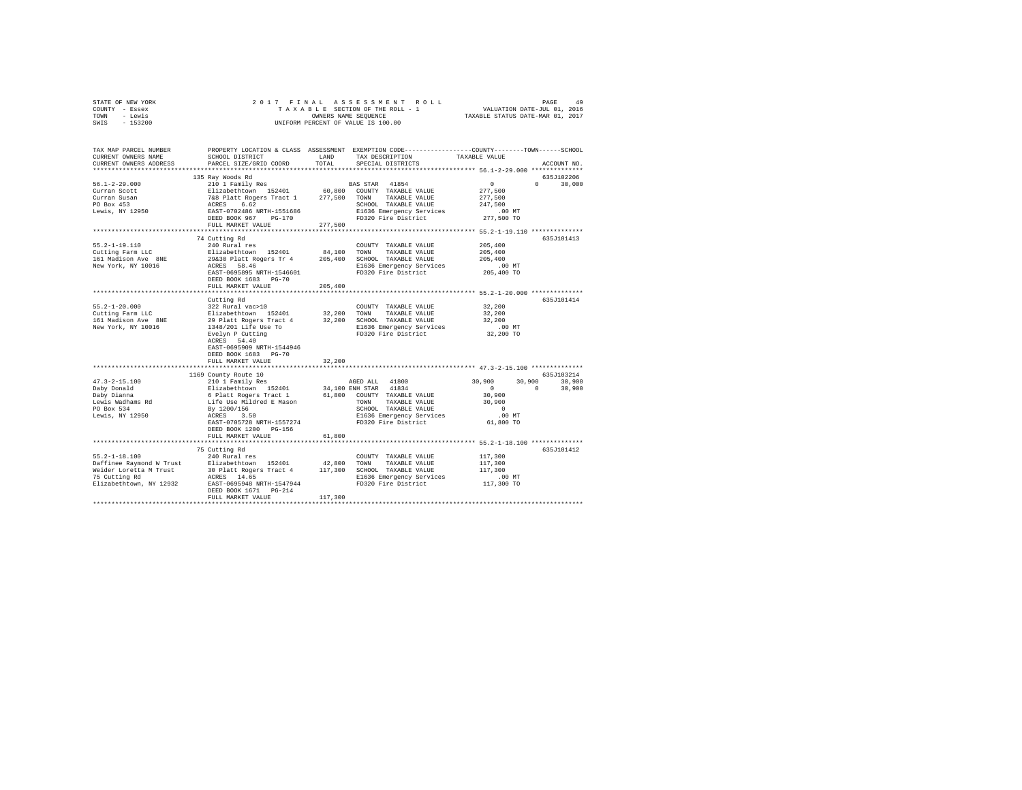| STATE OF NEW YORK                                                                                                                                                       |                                                                                                                                                                                                                                               |         |                                                                                                 |                      |               |
|-------------------------------------------------------------------------------------------------------------------------------------------------------------------------|-----------------------------------------------------------------------------------------------------------------------------------------------------------------------------------------------------------------------------------------------|---------|-------------------------------------------------------------------------------------------------|----------------------|---------------|
| COUNTY - Essex                                                                                                                                                          |                                                                                                                                                                                                                                               |         |                                                                                                 |                      |               |
| TOWN - Lewis                                                                                                                                                            |                                                                                                                                                                                                                                               |         |                                                                                                 |                      |               |
| SWIS - 153200                                                                                                                                                           |                                                                                                                                                                                                                                               |         |                                                                                                 |                      |               |
|                                                                                                                                                                         |                                                                                                                                                                                                                                               |         |                                                                                                 |                      |               |
|                                                                                                                                                                         |                                                                                                                                                                                                                                               |         |                                                                                                 |                      |               |
| TAX MAP PARCEL NUMBER                                                                                                                                                   |                                                                                                                                                                                                                                               |         | PROPERTY LOCATION & CLASS ASSESSMENT EXEMPTION CODE----------------COUNTY-------TOWN-----SCHOOL |                      |               |
| CURRENT OWNERS NAME                                                                                                                                                     | SCHOOL DISTRICT                                                                                                                                                                                                                               |         | LAND TAX DESCRIPTION                                                                            | TAXABLE VALUE        |               |
| CURRENT OWNERS ADDRESS                                                                                                                                                  | PARCEL SIZE/GRID COORD                                                                                                                                                                                                                        | TOTAL   | SPECIAL DISTRICTS                                                                               |                      | ACCOUNT NO.   |
|                                                                                                                                                                         |                                                                                                                                                                                                                                               |         |                                                                                                 |                      | 635J102206    |
| $56.1 - 2 - 29.000$                                                                                                                                                     | 135 Ray Woods Rd                                                                                                                                                                                                                              |         |                                                                                                 | 0                    | $0 \t 30,000$ |
| Curran Scott                                                                                                                                                            |                                                                                                                                                                                                                                               |         |                                                                                                 | 277,500              |               |
| Curran Susan                                                                                                                                                            |                                                                                                                                                                                                                                               |         |                                                                                                 | 277,500              |               |
| Curran Susan<br>PO Box 453<br>Lewis, NY 12950                                                                                                                           |                                                                                                                                                                                                                                               |         | SCHOOL TAXABLE VALUE                                                                            | 247,500              |               |
|                                                                                                                                                                         |                                                                                                                                                                                                                                               |         | SCHOOL TAXABLE VALUE<br>E1636 Emergency Services<br>FD320 Fire District                         | .00 MT               |               |
|                                                                                                                                                                         | DEED BOOK 967 PG-170                                                                                                                                                                                                                          |         |                                                                                                 | 277,500 TO           |               |
|                                                                                                                                                                         | FULL MARKET VALUE 277.500                                                                                                                                                                                                                     |         |                                                                                                 |                      |               |
|                                                                                                                                                                         |                                                                                                                                                                                                                                               |         |                                                                                                 |                      |               |
|                                                                                                                                                                         | 74 Cutting Rd                                                                                                                                                                                                                                 |         |                                                                                                 |                      | 635J101413    |
| $55.2 - 1 - 19.110$                                                                                                                                                     | 240 Rural res                                                                                                                                                                                                                                 |         | COUNTY TAXABLE VALUE                                                                            | 205,400              |               |
|                                                                                                                                                                         |                                                                                                                                                                                                                                               |         | 84.100 TOWN TAXABLE VALUE                                                                       | 205,400              |               |
| Cutting Farm LLC<br>161 Madison Ave 8NE 29&30 Platt Rogers Tr 4                                                                                                         |                                                                                                                                                                                                                                               |         | 205,400 SCHOOL TAXABLE VALUE                                                                    | 205,400              |               |
| New York, NY 10016                                                                                                                                                      | ACRES 58.46                                                                                                                                                                                                                                   |         | E1636 Emergency Services                                                                        | .00 MT               |               |
|                                                                                                                                                                         | EAST-0695895 NRTH-1546601                                                                                                                                                                                                                     |         | FD320 Fire District                                                                             | 205,400 TO           |               |
|                                                                                                                                                                         | DEED BOOK 1683 PG-70                                                                                                                                                                                                                          |         |                                                                                                 |                      |               |
|                                                                                                                                                                         | FULL MARKET VALUE                                                                                                                                                                                                                             | 205,400 |                                                                                                 |                      |               |
|                                                                                                                                                                         |                                                                                                                                                                                                                                               |         | ****************************** 55.2-1-20.000 **************                                     |                      |               |
|                                                                                                                                                                         | Cutting Rd                                                                                                                                                                                                                                    |         |                                                                                                 |                      | 635J101414    |
| $55.2 - 1 - 20.000$                                                                                                                                                     | 322 Rural vac>10                                                                                                                                                                                                                              |         | COUNTY TAXABLE VALUE                                                                            | 32,200               |               |
| Cutting Farm LLC                                                                                                                                                        |                                                                                                                                                                                                                                               |         |                                                                                                 | 32,200               |               |
| 161 Madison Ave 8NE                                                                                                                                                     |                                                                                                                                                                                                                                               |         |                                                                                                 | 32,200               |               |
| New York, NY 10016                                                                                                                                                      |                                                                                                                                                                                                                                               |         | E1636 Emergency Services<br>FD320 Fire District                                                 | $.00$ MT             |               |
|                                                                                                                                                                         |                                                                                                                                                                                                                                               |         |                                                                                                 | 32,200 TO            |               |
|                                                                                                                                                                         |                                                                                                                                                                                                                                               |         |                                                                                                 |                      |               |
|                                                                                                                                                                         | EAST-0695909 NRTH-1544946                                                                                                                                                                                                                     |         |                                                                                                 |                      |               |
|                                                                                                                                                                         | DEED BOOK 1683 PG-70<br>FULL MARKET VALUE                                                                                                                                                                                                     | 32,200  |                                                                                                 |                      |               |
|                                                                                                                                                                         |                                                                                                                                                                                                                                               |         |                                                                                                 |                      |               |
|                                                                                                                                                                         | 1169 County Route 10                                                                                                                                                                                                                          |         |                                                                                                 |                      | 635J103214    |
| $47.3 - 2 - 15.100$                                                                                                                                                     | 210 1 Family Res                                                                                                                                                                                                                              |         |                                                                                                 | 30.900 30.900 30.900 |               |
|                                                                                                                                                                         |                                                                                                                                                                                                                                               |         |                                                                                                 | $\sim$ 0             | $0 \t 30.900$ |
| Daby Donald<br>Daby Dianna                                                                                                                                              |                                                                                                                                                                                                                                               |         | 61,800 COUNTY TAXABLE VALUE                                                                     | 30,900               |               |
|                                                                                                                                                                         | 210 1 Family Res<br>Elizabethtown 152401 34,100 ENH STAR 41634<br>6 Platt Rogers Tract 1 61,800 COUNTY TAXABLE VALUE<br>16 Platt Rogers Tract 1 61,800 COUNTY TAXABLE VALUE<br>$\approx$ 1200/156 Emergency Service<br>Elisis Emergency Servi |         |                                                                                                 | 30,900               |               |
| Lewis Wadhams Rd<br>PO Box 534                                                                                                                                          |                                                                                                                                                                                                                                               |         | SCHOOL TAXABLE VALUE                                                                            | $\sim$ 0             |               |
| Lewis, NY 12950                                                                                                                                                         |                                                                                                                                                                                                                                               |         | E1636 Emergency Services                                                                        | .00 MT               |               |
|                                                                                                                                                                         | EAST-0705728 NRTH-1557274                                                                                                                                                                                                                     |         | FD320 Fire District                                                                             | 61,800 TO            |               |
|                                                                                                                                                                         | DEED BOOK 1200 PG-156                                                                                                                                                                                                                         |         |                                                                                                 |                      |               |
|                                                                                                                                                                         | FULL MARKET VALUE                                                                                                                                                                                                                             | 61,800  |                                                                                                 |                      |               |
|                                                                                                                                                                         | *****************************                                                                                                                                                                                                                 |         | ********************************** 55.2-1-18.100 **************                                 |                      |               |
|                                                                                                                                                                         | 75 Cutting Rd                                                                                                                                                                                                                                 |         |                                                                                                 |                      | 635J101412    |
| $55.2 - 1 - 18.100$                                                                                                                                                     | 240 Rural res                                                                                                                                                                                                                                 |         | COUNTY TAXABLE VALUE                                                                            | 117,300              |               |
| 19.2-1-10.100<br>Daffinee Raymond W Trust Blizabethtown 152401 42,800 TOWN TAXABLE VALUE<br>Neider Loretta M Trust 30 Platt Rogers Tract 4 117,300 SCHOOL TAXABLE VALUE |                                                                                                                                                                                                                                               |         |                                                                                                 | 117,300              |               |
|                                                                                                                                                                         |                                                                                                                                                                                                                                               |         |                                                                                                 | 117,300              |               |
| 75 Cutting Rd                                                                                                                                                           | ACRES 14.65                                                                                                                                                                                                                                   |         | E1636 Emergency Services                                                                        | $.00$ MT             |               |
| Elizabethtown, NY 12932 EAST-0695948 NRTH-1547944                                                                                                                       |                                                                                                                                                                                                                                               |         | FD320 Fire District 117,300 TO                                                                  |                      |               |
|                                                                                                                                                                         | DEED BOOK 1671    PG-214                                                                                                                                                                                                                      |         |                                                                                                 |                      |               |
|                                                                                                                                                                         | FULL MARKET VALUE                                                                                                                                                                                                                             | 117,300 |                                                                                                 |                      |               |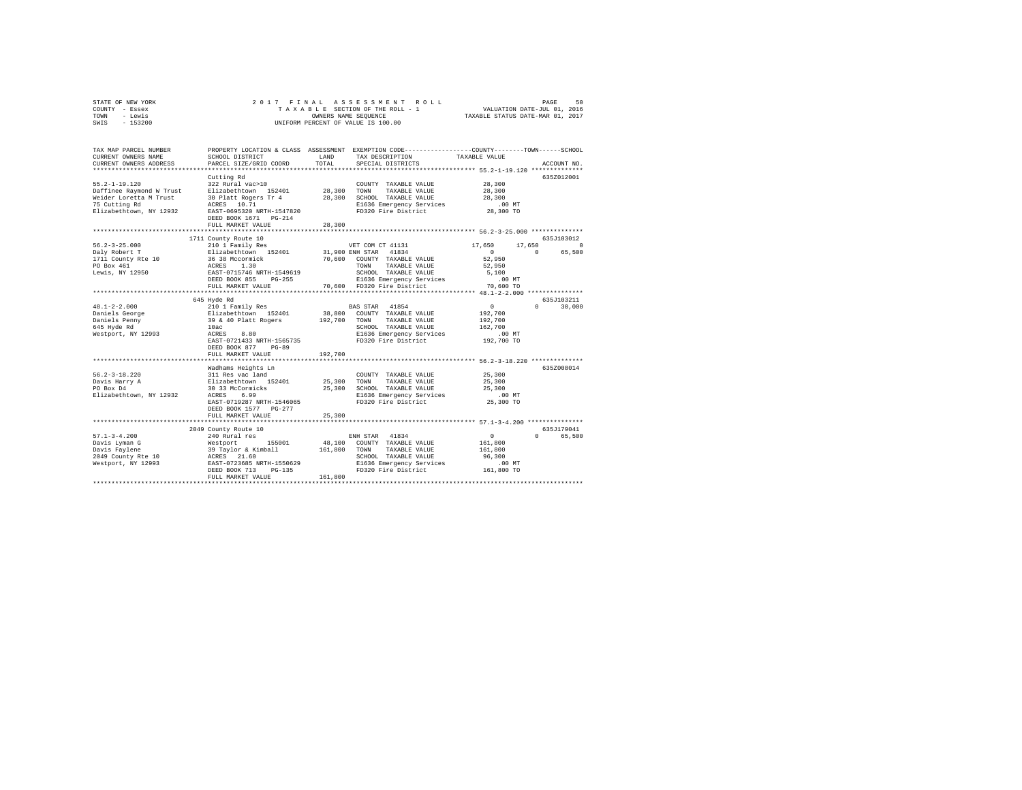| STATE OF NEW YORK | 2017 FINAL ASSESSMENT ROLL         | 50<br>PAGE                       |
|-------------------|------------------------------------|----------------------------------|
| COUNTY - Essex    | TAXABLE SECTION OF THE ROLL - 1    | VALUATION DATE-JUL 01, 2016      |
| TOWN<br>siwe.T    | OWNERS NAME SEOUENCE               | TAXABLE STATUS DATE-MAR 01, 2017 |
| $-153200$<br>SWIS | UNIFORM PERCENT OF VALUE IS 100.00 |                                  |

| TAX MAP PARCEL NUMBER<br>CURRENT OWNERS NAME<br>CURRENT OWNERS ADDRESS                                                | SCHOOL DISTRICT<br>PARCEL SIZE/GRID COORD                                                                                                                                                                                           | <b>T.AND</b><br>TOTAL                    | PROPERTY LOCATION & CLASS ASSESSMENT EXEMPTION CODE---------------COUNTY-------TOWN-----SCHOOL<br>TAX DESCRIPTION<br>SPECIAL DISTRICTS                                       | TAXABLE VALUE                                                                                               | ACCOUNT NO.                                         |
|-----------------------------------------------------------------------------------------------------------------------|-------------------------------------------------------------------------------------------------------------------------------------------------------------------------------------------------------------------------------------|------------------------------------------|------------------------------------------------------------------------------------------------------------------------------------------------------------------------------|-------------------------------------------------------------------------------------------------------------|-----------------------------------------------------|
| $55.2 - 1 - 19.120$<br>Daffinee Raymond W Trust<br>Weider Loretta M Trust<br>75 Cutting Rd<br>Elizabethtown, NY 12932 | Cutting Rd<br>322 Rural vac>10<br>Elizabethtown 152401<br>30 Platt Rogers Tr 4<br>ACRES 10.71<br>EAST-0695320 NRTH-1547820<br>DEED BOOK 1671    PG-214<br>FULL MARKET VALUE                                                         | 28,300<br>28,300<br>28,300<br>********** | COUNTY TAXABLE VALUE<br>TOWN<br>TAXABLE VALUE<br>SCHOOL TAXABLE VALUE<br>E1636 Emergency Services<br>FD320 Fire District                                                     | 28,300<br>28,300<br>28,300<br>$.00$ MT<br>28,300 TO<br>******************* 56.2-3-25.000 ***************    | 635Z012001                                          |
| $56.2 - 3 - 25.000$<br>Daly Robert T<br>1711 County Rte 10<br>PO Box 461<br>Lewis, NY 12950                           | 1711 County Route 10<br>210 1 Family Res<br>Elizabethtown 152401<br>36 38 Mccormick<br>ACRES 1.30<br>EAST-0715746 NRTH-1549619<br>DEED BOOK 855<br>$PG-255$<br>FULL MARKET VALUE                                                    | 70,600                                   | VET COM CT 41131<br>31,900 ENH STAR 41834<br>COUNTY TAXABLE VALUE<br>TOWN<br>TAXABLE VALUE<br>SCHOOL TAXABLE VALUE<br>E1636 Emergency Services<br>70,600 FD320 Fire District | 17,650<br>17,650<br>$\sim$ 0<br>52,950<br>52,950<br>5,100<br>$.00$ MT<br>70,600 TO                          | 635.7103012<br>$^{\circ}$<br>65,500<br>$\mathbf{r}$ |
| $48.1 - 2 - 2.000$<br>Daniels George<br>Daniels Penny<br>645 Hyde Rd<br>Westport, NY 12993                            | 645 Hyde Rd<br>210 1 Family Res<br>Elizabethtown 152401<br>39 & 40 Platt Rogers<br>10ac<br>ACRES<br>8.80<br>EAST-0721433 NRTH-1565735<br>DEED BOOK 877<br>$PG-89$<br>FULL MARKET VALUE<br>***************************               | 192.700 TOWN<br>192,700<br>************* | BAS STAR 41854<br>38,800 COUNTY TAXABLE VALUE<br>TAXABLE VALUE<br>SCHOOL TAXABLE VALUE<br>E1636 Emergency Services<br>FD320 Fire District                                    | $\circ$<br>192,700<br>192,700<br>162,700<br>.00MT<br>192,700 TO                                             | 635J103211<br>$0 \qquad \qquad$<br>30,000           |
| $56.2 - 3 - 18.220$<br>Davis Harry A<br>PO Box D4<br>Elizabethtown, NY 12932                                          | Wadhams Heights Ln<br>311 Res vac land<br>Elizabethtown 152401<br>30 33 McCormicks<br>ACRES 6.99<br>EAST-0719287 NRTH-1546065<br>DEED BOOK 1577 PG-277<br>FULL MARKET VALUE                                                         | 25,300<br>25,300                         | COUNTY TAXABLE VALUE<br>25,300 TOWN<br>TAXABLE VALUE<br>SCHOOL TAXABLE VALUE<br>E1636 Emergency Services<br>FD320 Fire District                                              | *********************** 56.2-3-18.220 **************<br>25,300<br>25,300<br>25,300<br>$.00$ MT<br>25,300 TO | 635Z008014                                          |
| $57.1 - 3 - 4.200$                                                                                                    | 2049 County Route 10<br>240 Rural res<br>%Davis Lyman G<br>1911 Saviene Barang Mars & Samball<br>1949 County Rte 10 (1928) 2016<br>2019 County RY 12993 (2013-023685 NRTH-1550629<br>DEED BOOK 713<br>$PG-135$<br>FULL MARKET VALUE | 48,100<br>161,800 TOWN<br>161,800        | ENH STAR 41834<br>COUNTY TAXABLE VALUE<br>TAXABLE VALUE<br>SCHOOL TAXABLE VALUE                                                                                              | $\sim$ 0<br>161,800<br>161,800<br>96,300                                                                    | 635J179041<br>$\Omega$<br>65,500                    |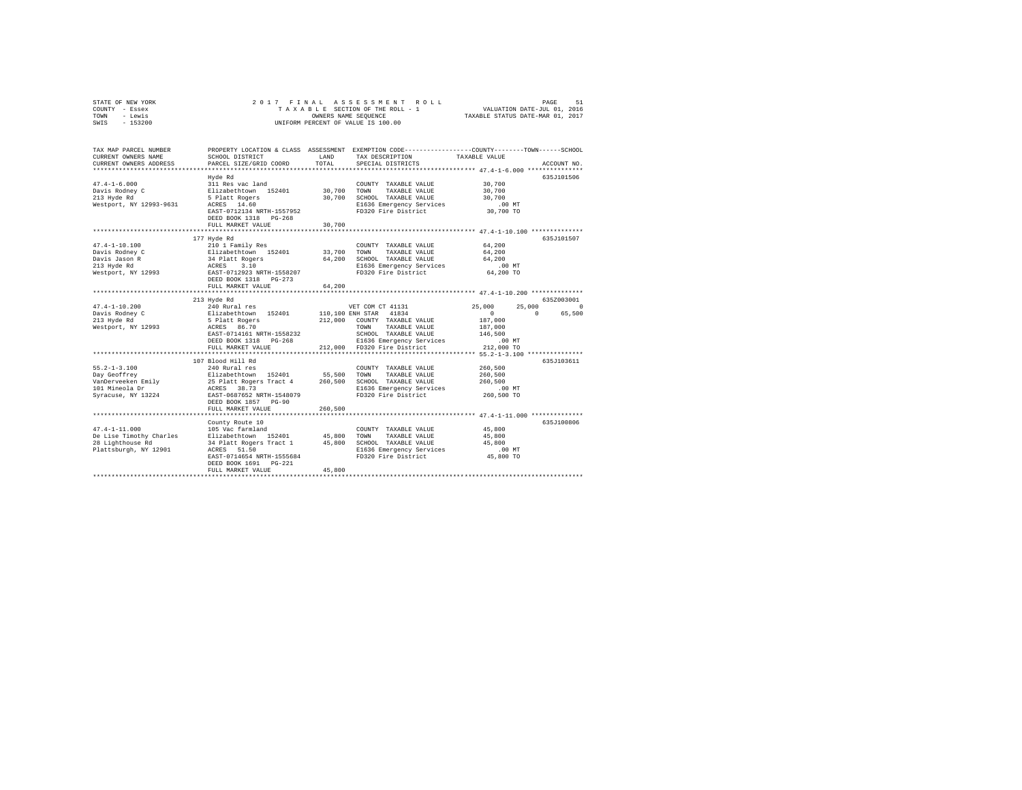| STATE OF NEW YORK | 2017 FINAL ASSESSMENT ROLL         | 51<br>PAGE                       |
|-------------------|------------------------------------|----------------------------------|
| COUNTY - Essex    | TAXABLE SECTION OF THE ROLL - 1    | VALUATION DATE-JUL 01, 2016      |
| TOWN<br>- Lewis   | OWNERS NAME SEOUENCE               | TAXABLE STATUS DATE-MAR 01, 2017 |
| $-153200$<br>SWIS | UNIFORM PERCENT OF VALUE IS 100.00 |                                  |

| TAX MAP PARCEL NUMBER<br>CURRENT OWNERS NAME<br>CURRENT OWNERS ADDRESS                           | SCHOOL DISTRICT<br>PARCEL SIZE/GRID COORD                                                                                                                                        | LAND<br>TOTAL              | PROPERTY LOCATION & CLASS ASSESSMENT EXEMPTION CODE----------------COUNTY-------TOWN------SCHOOL<br>TAX DESCRIPTION<br>SPECIAL DISTRICTS        | TAXABLE VALUE                                                                                  | ACCOUNT NO.                   |
|--------------------------------------------------------------------------------------------------|----------------------------------------------------------------------------------------------------------------------------------------------------------------------------------|----------------------------|-------------------------------------------------------------------------------------------------------------------------------------------------|------------------------------------------------------------------------------------------------|-------------------------------|
| $47.4 - 1 - 6.000$<br>Davis Rodney C<br>213 Hyde Rd<br>Westport, NY 12993-9631                   | Hyde Rd<br>311 Res vac land<br>Elizabethtown 152401<br>5 Platt Rogers<br>ACRES 14.60<br>EAST-0712134 NRTH-1557952<br>DEED BOOK 1318<br>$PG-268$<br>FULL MARKET VALUE             | 30,700<br>30,700<br>30,700 | COUNTY TAXABLE VALUE<br>TOWN<br>TAXABLE VALUE<br>SCHOOL TAXABLE VALUE<br>E1636 Emergency Services<br>FD320 Fire District                        | 30,700<br>30,700<br>30,700<br>$.00$ MT<br>30,700 TO                                            | 635J101506                    |
| $47.4 - 1 - 10.100$<br>Davis Rodney C<br>Davis Jason R<br>213 Hyde Rd<br>Westport, NY 12993      | 177 Hyde Rd<br>210 1 Family Res<br>Elizabethtown 152401<br>34 Platt Rogers<br>ACRES<br>3.10<br>EAST-0712923 NRTH-1558207<br>DEED BOOK 1318 PG-273<br>FULL MARKET VALUE           | 33,700<br>64,200<br>64,200 | COUNTY TAXABLE VALUE<br>TOWN<br>TAXABLE VALUE<br>SCHOOL TAXABLE VALUE<br>E1636 Emergency Services<br>FD320 Fire District                        | 64,200<br>64,200<br>64,200<br>$.00$ MT<br>64,200 TO<br>********** 47.4-1-10.200 ************** | 635J101507                    |
|                                                                                                  | 213 Hyde Rd                                                                                                                                                                      |                            |                                                                                                                                                 |                                                                                                | 635Z003001                    |
| $47.4 - 1 - 10.200$<br>Davis Rodney C<br>213 Hyde Rd<br>Westport, NY 12993                       | 240 Rural res<br>Elizabethtown 152401<br>5 Platt Rogers<br>ACRES 86.70<br>EAST-0714161 NRTH-1558232<br>DEED BOOK 1318 PG-268                                                     | 212,000                    | VET COM CT 41131<br>110,100 ENH STAR 41834<br>COUNTY TAXABLE VALUE<br>TAXABLE VALUE<br>TOWN<br>SCHOOL TAXABLE VALUE<br>E1636 Emergency Services | 25,000<br>25,000<br>$\circ$<br>187,000<br>187,000<br>146,500<br>$.00$ MT                       | $\circ$<br>65,500<br>$\Omega$ |
|                                                                                                  | FULL MARKET VALUE                                                                                                                                                                | 212,000                    | FD320 Fire District                                                                                                                             | 212,000 TO                                                                                     |                               |
| $55.2 - 1 - 3.100$<br>Day Geoffrey<br>VanDerveeken Emily<br>101 Mineola Dr<br>Syracuse, NY 13224 | 107 Blood Hill Rd<br>240 Rural res<br>Elizabethtown 152401<br>25 Platt Rogers Tract 4<br>ACRES 38.73<br>EAST-0687652 NRTH-1548079<br>DEED BOOK 1857 PG-90                        | 55,500<br>260,500          | COUNTY TAXABLE VALUE<br>TAXABLE VALUE<br>TOWN<br>SCHOOL TAXABLE VALUE<br>E1636 Emergency Services<br>FD320 Fire District                        | 260,500<br>260,500<br>260,500<br>$.00$ MT<br>260,500 TO                                        | 635J103611                    |
|                                                                                                  | FULL MARKET VALUE<br>****************************                                                                                                                                | 260,500                    | ******************************* 47.4-1-11.000 *************                                                                                     |                                                                                                |                               |
| $47.4 - 1 - 11.000$<br>De Lise Timothy Charles<br>28 Lighthouse Rd<br>Plattsburgh, NY 12901      | County Route 10<br>105 Vac farmland<br>Elizabethtown 152401<br>34 Platt Rogers Tract 1<br>ACRES 51.50<br>EAST-0714654 NRTH-1555684<br>DEED BOOK 1691 PG-221<br>FULL MARKET VALUE | 45,800<br>45,800<br>45,800 | COUNTY TAXABLE VALUE<br>TAXABLE VALUE<br>TOWN<br>SCHOOL TAXABLE VALUE<br>E1636 Emergency Services<br>FD320 Fire District                        | 45,800<br>45,800<br>45,800<br>.00 MT<br>45,800 TO                                              | 635J100806                    |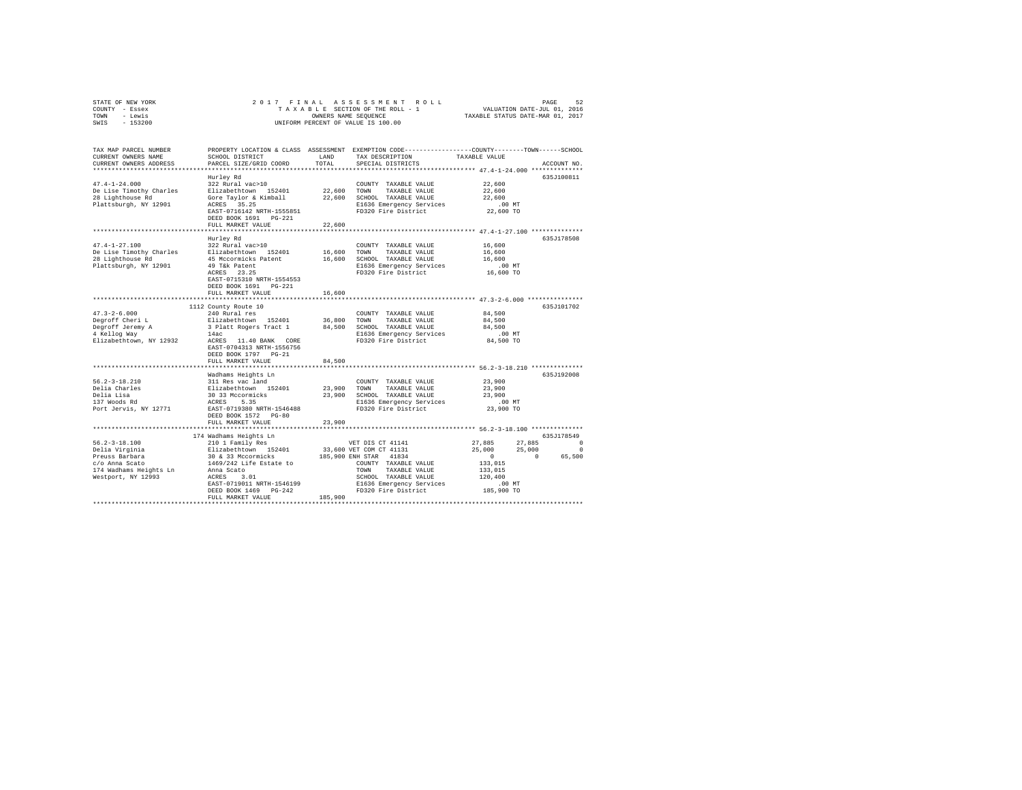| STATE OF NEW YORK<br>COUNTY - Essex         |                                                                                                                                                                                                                              |            |                                                                                                 |                                                                                                                                                |             |
|---------------------------------------------|------------------------------------------------------------------------------------------------------------------------------------------------------------------------------------------------------------------------------|------------|-------------------------------------------------------------------------------------------------|------------------------------------------------------------------------------------------------------------------------------------------------|-------------|
| TOWN - Lewis                                |                                                                                                                                                                                                                              |            |                                                                                                 |                                                                                                                                                |             |
| SWIS - 153200                               |                                                                                                                                                                                                                              |            |                                                                                                 |                                                                                                                                                |             |
|                                             |                                                                                                                                                                                                                              |            |                                                                                                 |                                                                                                                                                |             |
| TAX MAP PARCEL NUMBER                       |                                                                                                                                                                                                                              |            | PROPERTY LOCATION & CLASS ASSESSMENT EXEMPTION CODE---------------COUNTY-------TOWN------SCHOOL |                                                                                                                                                |             |
| CURRENT OWNERS NAME                         | SCHOOL DISTRICT                                                                                                                                                                                                              | LAND       | TAX DESCRIPTION                                                                                 | TAXABLE VALUE                                                                                                                                  |             |
| CURRENT OWNERS ADDRESS                      | PARCEL SIZE/GRID COORD                                                                                                                                                                                                       | TOTAL      | SPECIAL DISTRICTS                                                                               |                                                                                                                                                | ACCOUNT NO. |
|                                             |                                                                                                                                                                                                                              |            |                                                                                                 |                                                                                                                                                |             |
|                                             | Hurley Rd                                                                                                                                                                                                                    |            |                                                                                                 |                                                                                                                                                | 635J100811  |
| $47.4 - 1 - 24.000$                         | 322 Rural vac>10                                                                                                                                                                                                             |            | COUNTY TAXABLE VALUE                                                                            | 22,600                                                                                                                                         |             |
| De Lise Timothy Charles                     |                                                                                                                                                                                                                              |            |                                                                                                 | 22,600                                                                                                                                         |             |
| 28 Lighthouse Rd                            | 22,600 TOWN TAXABLE VALUE<br>SLIzabethtown 152401 22,600 TOWN TAXABLE VALUE<br>Gore Taylor & Kimball 22,600 SCHOOL TAXABLE VALUE<br>Gore Taylor & Kimball 22,600 SCHOOL TAXABLE VALUE<br>ACRES 35.25 ------                  |            |                                                                                                 | 22,600                                                                                                                                         |             |
| Plattsburgh, NY 12901                       |                                                                                                                                                                                                                              |            | ACRES 35.25 E1636 Emergency Services<br>EAST-0716142 NRTH-1555851 FD320 Fire District           | .00 MT<br>22,600 TO                                                                                                                            |             |
|                                             | DEED BOOK 1691 PG-221                                                                                                                                                                                                        |            |                                                                                                 |                                                                                                                                                |             |
|                                             | FULL MARKET VALUE                                                                                                                                                                                                            | 22,600     |                                                                                                 |                                                                                                                                                |             |
|                                             |                                                                                                                                                                                                                              |            |                                                                                                 |                                                                                                                                                |             |
|                                             | Hurley Rd                                                                                                                                                                                                                    |            |                                                                                                 |                                                                                                                                                | 635J178508  |
| $47.4 - 1 - 27.100$                         | 322 Rural vac>10                                                                                                                                                                                                             |            | COUNTY TAXABLE VALUE                                                                            | 16,600                                                                                                                                         |             |
|                                             |                                                                                                                                                                                                                              |            |                                                                                                 | 16,600                                                                                                                                         |             |
|                                             | 47.4-1-27.100<br>TAXABLE VALUE<br>28 Lighthouse Rd<br>28 Lighthouse Rd<br>28 Lighthouse Rd<br>2901 16,600 SOHOOL TAXABLE VALUE<br>28 Lighthouse Rd<br>2901 49 Tak Patent<br>23.25 PD320 Fire District<br>PD320 Fire District |            |                                                                                                 | 16,600                                                                                                                                         |             |
|                                             |                                                                                                                                                                                                                              |            |                                                                                                 | .00MT                                                                                                                                          |             |
|                                             |                                                                                                                                                                                                                              |            |                                                                                                 | 16,600 TO                                                                                                                                      |             |
|                                             | EAST-0715310 NRTH-1554553                                                                                                                                                                                                    |            |                                                                                                 |                                                                                                                                                |             |
|                                             | DEED BOOK 1691 PG-221                                                                                                                                                                                                        |            |                                                                                                 |                                                                                                                                                |             |
|                                             | FULL MARKET VALUE                                                                                                                                                                                                            | 16,600     |                                                                                                 | *********************** 47.3-2-6.000 ***************                                                                                           |             |
|                                             | 1112 County Route 10                                                                                                                                                                                                         |            |                                                                                                 |                                                                                                                                                | 635J101702  |
| $47.3 - 2 - 6.000$                          | 240 Rural res                                                                                                                                                                                                                |            | COUNTY TAXABLE VALUE                                                                            | 84,500                                                                                                                                         |             |
| Degroff Cheri L                             |                                                                                                                                                                                                                              |            |                                                                                                 | 84,500                                                                                                                                         |             |
|                                             |                                                                                                                                                                                                                              |            |                                                                                                 | 84,500                                                                                                                                         |             |
| Degroff Jeremy A<br>4 Kellog Way            | Elizabethtown 152401 36,800 TOWN TAXABLE VALUE 3 Platt Rogers Tract 1 84,500 SCHOOL TAXABLE VALUE 3 Platt Regers                                                                                                             |            |                                                                                                 |                                                                                                                                                |             |
|                                             | Elizabethtown, NY 12932 ACRES 11.40 BANK CORE                                                                                                                                                                                |            | E1636 Emergency Services .00 MT<br>FD320 Fire District 84,500 TO                                |                                                                                                                                                |             |
|                                             | EAST-0704313 NRTH-1556756                                                                                                                                                                                                    |            |                                                                                                 |                                                                                                                                                |             |
|                                             | DEED BOOK 1797 PG-21                                                                                                                                                                                                         |            |                                                                                                 |                                                                                                                                                |             |
|                                             | FULL MARKET VALUE                                                                                                                                                                                                            | 84,500     |                                                                                                 |                                                                                                                                                |             |
|                                             | ******************************                                                                                                                                                                                               | ********** | **************************** 56.2-3-18.210 *************                                        |                                                                                                                                                |             |
|                                             | Wadhams Heights Ln                                                                                                                                                                                                           |            |                                                                                                 |                                                                                                                                                | 635J192008  |
| $56.2 - 3 - 18.210$                         |                                                                                                                                                                                                                              |            |                                                                                                 | 23,900                                                                                                                                         |             |
|                                             |                                                                                                                                                                                                                              |            |                                                                                                 | 23,900<br>23,900                                                                                                                               |             |
| Delia Charles<br>Delia Lisa<br>137 Woods Rd |                                                                                                                                                                                                                              |            |                                                                                                 |                                                                                                                                                |             |
| Port Jervis, NY 12771                       | EAST-0719380 NRTH-1546488                                                                                                                                                                                                    |            | E1636 Emergency Services<br>FD320 Fire District                                                 | 00 MT.<br>23,900 TO                                                                                                                            |             |
|                                             | DEED BOOK 1572 PG-80                                                                                                                                                                                                         |            |                                                                                                 |                                                                                                                                                |             |
|                                             | FULL MARKET VALUE                                                                                                                                                                                                            | 23,900     |                                                                                                 |                                                                                                                                                |             |
|                                             |                                                                                                                                                                                                                              |            |                                                                                                 |                                                                                                                                                |             |
|                                             | 174 Wadhams Heights Ln                                                                                                                                                                                                       |            |                                                                                                 |                                                                                                                                                | 635J178549  |
|                                             |                                                                                                                                                                                                                              |            |                                                                                                 |                                                                                                                                                |             |
|                                             |                                                                                                                                                                                                                              |            |                                                                                                 |                                                                                                                                                |             |
|                                             |                                                                                                                                                                                                                              |            |                                                                                                 | $\begin{array}{cccc} 27,885 & \quad & 27,885 & \quad & 0 \\ 25,000 & \quad & 25,000 & \quad & 0 \\ 0 & \quad & 0 & \quad & 65,500 \end{array}$ |             |
|                                             |                                                                                                                                                                                                                              |            |                                                                                                 | 133,015                                                                                                                                        |             |
|                                             |                                                                                                                                                                                                                              |            |                                                                                                 | 133,015                                                                                                                                        |             |
|                                             |                                                                                                                                                                                                                              |            | SCHOOL TAXABLE VALUE                                                                            | 120,400                                                                                                                                        |             |
|                                             |                                                                                                                                                                                                                              |            |                                                                                                 | .00 MT<br>185,900 TO                                                                                                                           |             |
|                                             |                                                                                                                                                                                                                              | 185,900    |                                                                                                 |                                                                                                                                                |             |
|                                             |                                                                                                                                                                                                                              |            |                                                                                                 |                                                                                                                                                |             |
|                                             |                                                                                                                                                                                                                              |            |                                                                                                 |                                                                                                                                                |             |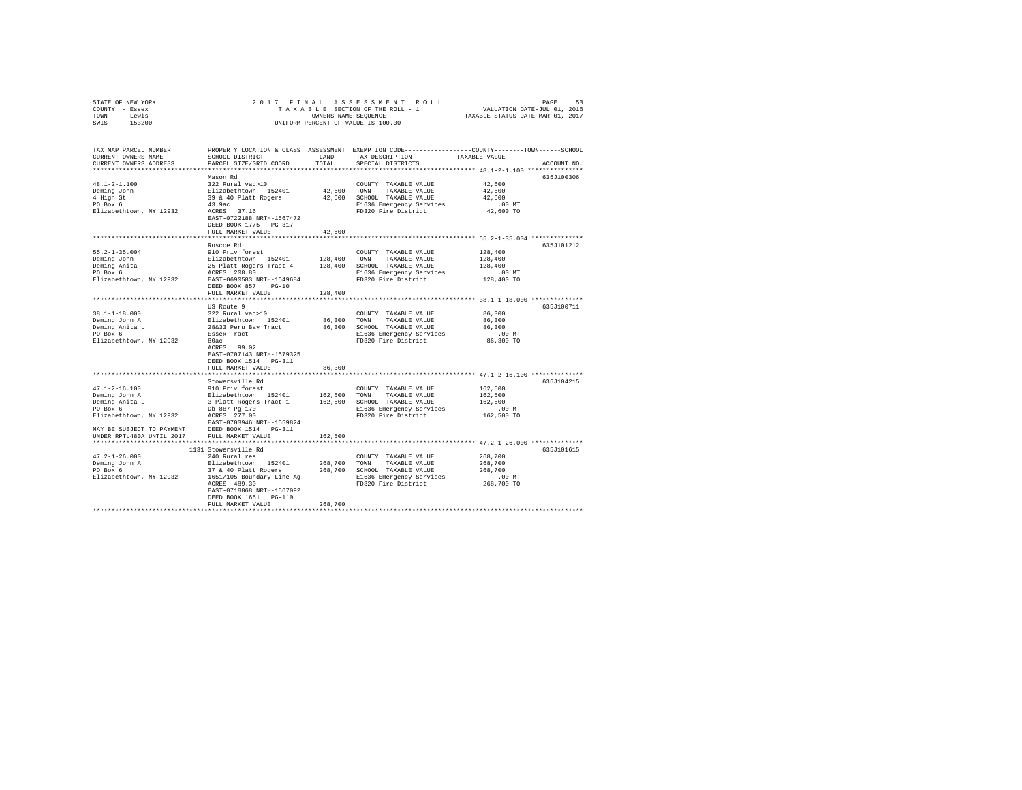| TOWN<br>- Lewis<br>SWIS<br>$-153200$                                                          |                                                                                                                                                                                  | OWNERS NAME SEQUENCE       | UNIFORM PERCENT OF VALUE IS 100.00                                                                                       | TAXABLE STATUS DATE-MAR 01, 2017                                                                                                |
|-----------------------------------------------------------------------------------------------|----------------------------------------------------------------------------------------------------------------------------------------------------------------------------------|----------------------------|--------------------------------------------------------------------------------------------------------------------------|---------------------------------------------------------------------------------------------------------------------------------|
| TAX MAP PARCEL NUMBER<br>CURRENT OWNERS NAME<br>CURRENT OWNERS ADDRESS                        | SCHOOL DISTRICT<br>PARCEL SIZE/GRID COORD                                                                                                                                        | LAND<br>TOTAL              | TAX DESCRIPTION<br>SPECIAL DISTRICTS                                                                                     | PROPERTY LOCATION & CLASS ASSESSMENT EXEMPTION CODE---------------COUNTY-------TOWN------SCHOOL<br>TAXABLE VALUE<br>ACCOUNT NO. |
| $48.1 - 2 - 1.100$<br>Deming John<br>4 High St<br>PO Box 6<br>Elizabethtown, NY 12932         | Mason Rd<br>322 Rural vac>10<br>Elizabethtown 152401<br>39 & 40 Platt Rogers<br>43.9ac<br>ACRES 37.16<br>EAST-0722188 NRTH-1567472<br>DEED BOOK 1775 PG-317<br>FULL MARKET VALUE | 42.600<br>42,600<br>42,600 | COUNTY TAXABLE VALUE<br>TOWN<br>TAXABLE VALUE<br>SCHOOL TAXABLE VALUE<br>E1636 Emergency Services<br>FD320 Fire District | 635J100306<br>42,600<br>42,600<br>42,600<br>$.00$ MT<br>42,600 TO                                                               |
|                                                                                               | **************************                                                                                                                                                       | **********                 |                                                                                                                          | ****************************** 55.2-1-35.004 *************                                                                      |
| $55.2 - 1 - 35.004$<br>Deming John<br>Deming Anita<br>PO Box 6<br>Elizabethtown, NY 12932     | Roscoe Rd<br>910 Priv forest<br>Elizabethtown 152401<br>25 Platt Rogers Tract 4<br>ACRES 208.80<br>EAST-0690583 NRTH-1549684<br>$PG-10$<br>DEED BOOK 857                         | 128,400<br>128,400         | COUNTY TAXABLE VALUE<br>TOWN<br>TAXABLE VALUE<br>SCHOOL TAXABLE VALUE<br>E1636 Emergency Services<br>FD320 Fire District | 635J101212<br>128,400<br>128,400<br>128,400<br>$.00$ MT<br>128,400 TO                                                           |
|                                                                                               | FULL MARKET VALUE                                                                                                                                                                | 128,400                    |                                                                                                                          |                                                                                                                                 |
| $38.1 - 1 - 18.000$<br>Deming John A<br>Deming Anita L<br>PO Box 6                            | US Route 9<br>322 Rural vac>10<br>Elizabethtown 152401<br>28&33 Peru Bay Tract<br>Essex Tract                                                                                    | 86,300<br>86,300           | COUNTY TAXABLE VALUE<br>TOWN<br>TAXABLE VALUE<br>SCHOOL TAXABLE VALUE<br>E1636 Emergency Services                        | 635J100711<br>86,300<br>86,300<br>86,300<br>$.00$ MT                                                                            |
| Elizabethtown, NY 12932                                                                       | 80ac<br>ACRES 99.02<br>EAST-0707143 NRTH-1579325<br>DEED BOOK 1514 PG-311<br>FULL MARKET VALUE                                                                                   | 86,300                     | FD320 Fire District                                                                                                      | 86,300 TO                                                                                                                       |
|                                                                                               |                                                                                                                                                                                  |                            |                                                                                                                          |                                                                                                                                 |
| $47.1 - 2 - 16.100$<br>Deming John A<br>Deming Anita L<br>PO Box 6<br>Elizabethtown, NY 12932 | Stowersville Rd<br>910 Priv forest<br>Elizabethtown 152401<br>3 Platt Rogers Tract 1<br>Db 887 Pg 170<br>ACRES 277.00<br>EAST-0703946 NRTH-1559824                               | 162,500<br>162,500         | COUNTY TAXABLE VALUE<br>TOWN<br>TAXABLE VALUE<br>SCHOOL TAXABLE VALUE<br>E1636 Emergency Services<br>FD320 Fire District | 635J104215<br>162,500<br>162,500<br>162,500<br>$.00$ MT<br>162,500 TO                                                           |
| MAY BE SUBJECT TO PAYMENT                                                                     | DEED BOOK 1514 PG-311                                                                                                                                                            |                            |                                                                                                                          |                                                                                                                                 |
| UNDER RPTL480A UNTIL 2017                                                                     | FULL MARKET VALUE                                                                                                                                                                | 162,500                    |                                                                                                                          |                                                                                                                                 |
|                                                                                               | 1131 Stowersville Rd                                                                                                                                                             |                            |                                                                                                                          | 635J101615                                                                                                                      |
| $47.2 - 1 - 26.000$<br>Deming John A<br>PO Box 6<br>Elizabethtown, NY 12932                   | 240 Rural res<br>Elizabethtown 152401<br>37 & 40 Platt Rogers<br>1651/105-Boundary Line Ag<br>ACRES 489.30<br>EAST-0718868 NRTH-1567092<br>DEED BOOK 1651 PG-110                 | 268,700<br>268,700         | COUNTY TAXABLE VALUE<br>TOWN<br>TAXABLE VALUE<br>SCHOOL TAXABLE VALUE<br>E1636 Emergency Services<br>FD320 Fire District | 268,700<br>268,700<br>268,700<br>$.00$ MT<br>268,700 TO                                                                         |
|                                                                                               | FULL MARKET VALUE                                                                                                                                                                | 268,700                    |                                                                                                                          |                                                                                                                                 |
|                                                                                               |                                                                                                                                                                                  |                            |                                                                                                                          |                                                                                                                                 |

STATE OF NEW YORK 2 0 1 7 F I N A L A S S E S S M E N T R O L L PAGE 53 COUNTY - Essex T A X A B L E SECTION OF THE ROLL - 1 VALUATION DATE-JUL 01, 2016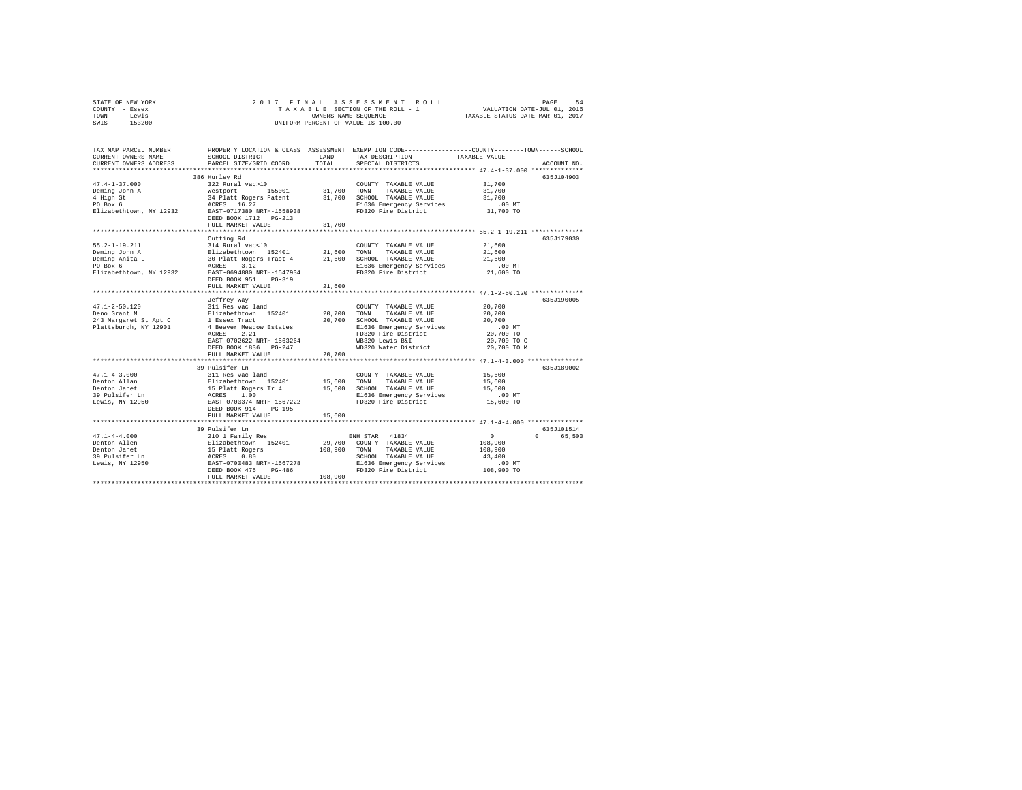| STATE OF NEW YORK | 2017 FINAL ASSESSMENT ROLL         | 54<br>PAGE                       |
|-------------------|------------------------------------|----------------------------------|
| COUNTY - Essex    | TAXABLE SECTION OF THE ROLL - 1    | VALUATION DATE-JUL 01, 2016      |
| TOWN<br>- Lewis   | OWNERS NAME SEOUENCE               | TAXABLE STATUS DATE-MAR 01, 2017 |
| $-153200$<br>SWIS | UNIFORM PERCENT OF VALUE IS 100.00 |                                  |

| **************************<br>386 Hurley Rd<br>635J104903<br>$47.4 - 1 - 37.000$<br>322 Rural vac>10<br>COUNTY TAXABLE VALUE<br>31,700<br>Westport 155001<br>31,700<br>31,700<br>TOWN<br>TAXABLE VALUE<br>4 High St<br>34 Platt Rogers Patent<br>31,700<br>SCHOOL TAXABLE VALUE<br>31,700<br>ACRES 16.27<br>EAST-0717380 NRTH-1558938<br>PO Box 6<br>E1636 Emergency Services<br>$.00$ MT<br>FD320 Fire District<br>31,700 TO<br>Elizabethtown, NY 12932<br>DEED BOOK 1712 PG-213<br>31,700<br>FULL MARKET VALUE<br>635.T179030<br>Cutting Rd<br>$55.2 - 1 - 19.211$<br>314 Rural vac<10<br>21,600<br>COUNTY TAXABLE VALUE<br>314 August 152401 21,600 TOWN<br>20 Plizabethtown 152401 21,600 SCHOC<br>30 Platt Rogers Tract 4 21,600 SCHOC<br>ACRES 3.12<br>Deming John A<br>TAXABLE VALUE<br>21,600<br>SCHOOL TAXABLE VALUE<br>Deming Anita L<br>21,600<br>PO Box 6<br>E1636 Emergency Services<br>$.00$ MT<br>21,600 TO<br>Elizabethtown, NY 12932<br>EAST-0694880 NRTH-1547934<br>FD320 Fire District<br>DEED BOOK 951<br>$PG-319$<br>FULL MARKET VALUE<br>21,600<br>Jeffrey Way<br>635J190005<br>47.1-2-50.120 311 Res vac land<br>Deno Grant M<br>$243$ Margaret St Apt C<br>$1$ Essex Tract<br>$1$ Essex Tract<br>20,700<br>COUNTY TAXABLE VALUE<br>20,700<br>TOWN<br>TAXABLE VALUE<br>20,700<br>20,700<br>SCHOOL TAXABLE VALUE<br>20,700<br>Plattsburgh, NY 12901<br>4 Beaver Meadow Estates<br>E1636 Emergency Services<br>.00 MT<br>2.21<br>FD320 Fire District<br>20,700 TO<br>ACRES<br>EAST-0702622 NRTH-1563264<br>WB320 Lewis B&I<br>20,700 TO C<br>WD320 Water District<br>20,700 TO M<br>DEED BOOK 1836 PG-247<br>20,700<br>FULL MARKET VALUE<br>**************************<br>39 Pulsifer Ln<br>635J189002<br>311 Res vac land<br>$47.1 - 4 - 3.000$<br>COUNTY TAXABLE VALUE<br>15,600<br>Elizabethtown 152401<br>15,600 TOWN<br>Denton Allan<br>TAXABLE VALUE<br>15,600<br>15 Platt Rogers Tr 4<br>ACRES 1.00<br>Denton Janet<br>15,600<br>SCHOOL TAXABLE VALUE<br>15,600<br>39 Pulsifer Ln<br>E1636 Emergency Services<br>$.00$ MT<br>EAST-0700374 NRTH-1567222<br>FD320 Fire District<br>15,600 TO<br>Lewis, NY 12950<br>DEED BOOK 914<br>PG-195<br>FULL MARKET VALUE<br>15,600<br>********************************* 47.1-4-4.000 ****************<br>***********************<br>39 Pulsifer Ln<br>635J101514<br>$47.1 - 4 - 4.000$<br>ENH STAR 41834<br>$\sim$ 0<br>$\Omega$ and $\Omega$<br>65,500<br>210 1 Family Res<br>Elizabethtown 152401<br>15 Platt Rogers<br>ACRES 0.80<br>EAST-0700483 NRTH-1567278<br>29,700<br>COUNTY TAXABLE VALUE<br>108,900<br>Denton Allen<br>108,900<br>Denton Janet<br>TOWN<br>TAXABLE VALUE<br>108,900<br>39 Pulsifer Ln<br>SCHOOL TAXABLE VALUE<br>43,400<br>Lewis, NY 12950<br>DEED BOOK 475<br>$PG-486$<br>108,900<br>FULL MARKET VALUE | TAX MAP PARCEL NUMBER<br>CURRENT OWNERS NAME<br>CURRENT OWNERS ADDRESS | SCHOOL DISTRICT<br>PARCEL SIZE/GRID COORD | LAND<br>TOTAL | TAX DESCRIPTION<br>SPECIAL DISTRICTS | PROPERTY LOCATION & CLASS ASSESSMENT EXEMPTION CODE----------------COUNTY-------TOWN------SCHOOL<br>TAXABLE VALUE<br>ACCOUNT NO. |
|----------------------------------------------------------------------------------------------------------------------------------------------------------------------------------------------------------------------------------------------------------------------------------------------------------------------------------------------------------------------------------------------------------------------------------------------------------------------------------------------------------------------------------------------------------------------------------------------------------------------------------------------------------------------------------------------------------------------------------------------------------------------------------------------------------------------------------------------------------------------------------------------------------------------------------------------------------------------------------------------------------------------------------------------------------------------------------------------------------------------------------------------------------------------------------------------------------------------------------------------------------------------------------------------------------------------------------------------------------------------------------------------------------------------------------------------------------------------------------------------------------------------------------------------------------------------------------------------------------------------------------------------------------------------------------------------------------------------------------------------------------------------------------------------------------------------------------------------------------------------------------------------------------------------------------------------------------------------------------------------------------------------------------------------------------------------------------------------------------------------------------------------------------------------------------------------------------------------------------------------------------------------------------------------------------------------------------------------------------------------------------------------------------------------------------------------------------------------------------------------------------------------------------------------------------------------------------------------------------------------------------------------------------------------------------------------------------------------------------------------------------------------------------------------------|------------------------------------------------------------------------|-------------------------------------------|---------------|--------------------------------------|----------------------------------------------------------------------------------------------------------------------------------|
|                                                                                                                                                                                                                                                                                                                                                                                                                                                                                                                                                                                                                                                                                                                                                                                                                                                                                                                                                                                                                                                                                                                                                                                                                                                                                                                                                                                                                                                                                                                                                                                                                                                                                                                                                                                                                                                                                                                                                                                                                                                                                                                                                                                                                                                                                                                                                                                                                                                                                                                                                                                                                                                                                                                                                                                                    |                                                                        |                                           |               |                                      |                                                                                                                                  |
|                                                                                                                                                                                                                                                                                                                                                                                                                                                                                                                                                                                                                                                                                                                                                                                                                                                                                                                                                                                                                                                                                                                                                                                                                                                                                                                                                                                                                                                                                                                                                                                                                                                                                                                                                                                                                                                                                                                                                                                                                                                                                                                                                                                                                                                                                                                                                                                                                                                                                                                                                                                                                                                                                                                                                                                                    |                                                                        |                                           |               |                                      |                                                                                                                                  |
|                                                                                                                                                                                                                                                                                                                                                                                                                                                                                                                                                                                                                                                                                                                                                                                                                                                                                                                                                                                                                                                                                                                                                                                                                                                                                                                                                                                                                                                                                                                                                                                                                                                                                                                                                                                                                                                                                                                                                                                                                                                                                                                                                                                                                                                                                                                                                                                                                                                                                                                                                                                                                                                                                                                                                                                                    |                                                                        |                                           |               |                                      |                                                                                                                                  |
|                                                                                                                                                                                                                                                                                                                                                                                                                                                                                                                                                                                                                                                                                                                                                                                                                                                                                                                                                                                                                                                                                                                                                                                                                                                                                                                                                                                                                                                                                                                                                                                                                                                                                                                                                                                                                                                                                                                                                                                                                                                                                                                                                                                                                                                                                                                                                                                                                                                                                                                                                                                                                                                                                                                                                                                                    | Deming John A                                                          |                                           |               |                                      |                                                                                                                                  |
|                                                                                                                                                                                                                                                                                                                                                                                                                                                                                                                                                                                                                                                                                                                                                                                                                                                                                                                                                                                                                                                                                                                                                                                                                                                                                                                                                                                                                                                                                                                                                                                                                                                                                                                                                                                                                                                                                                                                                                                                                                                                                                                                                                                                                                                                                                                                                                                                                                                                                                                                                                                                                                                                                                                                                                                                    |                                                                        |                                           |               |                                      |                                                                                                                                  |
|                                                                                                                                                                                                                                                                                                                                                                                                                                                                                                                                                                                                                                                                                                                                                                                                                                                                                                                                                                                                                                                                                                                                                                                                                                                                                                                                                                                                                                                                                                                                                                                                                                                                                                                                                                                                                                                                                                                                                                                                                                                                                                                                                                                                                                                                                                                                                                                                                                                                                                                                                                                                                                                                                                                                                                                                    |                                                                        |                                           |               |                                      |                                                                                                                                  |
|                                                                                                                                                                                                                                                                                                                                                                                                                                                                                                                                                                                                                                                                                                                                                                                                                                                                                                                                                                                                                                                                                                                                                                                                                                                                                                                                                                                                                                                                                                                                                                                                                                                                                                                                                                                                                                                                                                                                                                                                                                                                                                                                                                                                                                                                                                                                                                                                                                                                                                                                                                                                                                                                                                                                                                                                    |                                                                        |                                           |               |                                      |                                                                                                                                  |
|                                                                                                                                                                                                                                                                                                                                                                                                                                                                                                                                                                                                                                                                                                                                                                                                                                                                                                                                                                                                                                                                                                                                                                                                                                                                                                                                                                                                                                                                                                                                                                                                                                                                                                                                                                                                                                                                                                                                                                                                                                                                                                                                                                                                                                                                                                                                                                                                                                                                                                                                                                                                                                                                                                                                                                                                    |                                                                        |                                           |               |                                      |                                                                                                                                  |
|                                                                                                                                                                                                                                                                                                                                                                                                                                                                                                                                                                                                                                                                                                                                                                                                                                                                                                                                                                                                                                                                                                                                                                                                                                                                                                                                                                                                                                                                                                                                                                                                                                                                                                                                                                                                                                                                                                                                                                                                                                                                                                                                                                                                                                                                                                                                                                                                                                                                                                                                                                                                                                                                                                                                                                                                    |                                                                        |                                           |               |                                      |                                                                                                                                  |
|                                                                                                                                                                                                                                                                                                                                                                                                                                                                                                                                                                                                                                                                                                                                                                                                                                                                                                                                                                                                                                                                                                                                                                                                                                                                                                                                                                                                                                                                                                                                                                                                                                                                                                                                                                                                                                                                                                                                                                                                                                                                                                                                                                                                                                                                                                                                                                                                                                                                                                                                                                                                                                                                                                                                                                                                    |                                                                        |                                           |               |                                      |                                                                                                                                  |
|                                                                                                                                                                                                                                                                                                                                                                                                                                                                                                                                                                                                                                                                                                                                                                                                                                                                                                                                                                                                                                                                                                                                                                                                                                                                                                                                                                                                                                                                                                                                                                                                                                                                                                                                                                                                                                                                                                                                                                                                                                                                                                                                                                                                                                                                                                                                                                                                                                                                                                                                                                                                                                                                                                                                                                                                    |                                                                        |                                           |               |                                      |                                                                                                                                  |
|                                                                                                                                                                                                                                                                                                                                                                                                                                                                                                                                                                                                                                                                                                                                                                                                                                                                                                                                                                                                                                                                                                                                                                                                                                                                                                                                                                                                                                                                                                                                                                                                                                                                                                                                                                                                                                                                                                                                                                                                                                                                                                                                                                                                                                                                                                                                                                                                                                                                                                                                                                                                                                                                                                                                                                                                    |                                                                        |                                           |               |                                      |                                                                                                                                  |
|                                                                                                                                                                                                                                                                                                                                                                                                                                                                                                                                                                                                                                                                                                                                                                                                                                                                                                                                                                                                                                                                                                                                                                                                                                                                                                                                                                                                                                                                                                                                                                                                                                                                                                                                                                                                                                                                                                                                                                                                                                                                                                                                                                                                                                                                                                                                                                                                                                                                                                                                                                                                                                                                                                                                                                                                    |                                                                        |                                           |               |                                      |                                                                                                                                  |
|                                                                                                                                                                                                                                                                                                                                                                                                                                                                                                                                                                                                                                                                                                                                                                                                                                                                                                                                                                                                                                                                                                                                                                                                                                                                                                                                                                                                                                                                                                                                                                                                                                                                                                                                                                                                                                                                                                                                                                                                                                                                                                                                                                                                                                                                                                                                                                                                                                                                                                                                                                                                                                                                                                                                                                                                    |                                                                        |                                           |               |                                      |                                                                                                                                  |
|                                                                                                                                                                                                                                                                                                                                                                                                                                                                                                                                                                                                                                                                                                                                                                                                                                                                                                                                                                                                                                                                                                                                                                                                                                                                                                                                                                                                                                                                                                                                                                                                                                                                                                                                                                                                                                                                                                                                                                                                                                                                                                                                                                                                                                                                                                                                                                                                                                                                                                                                                                                                                                                                                                                                                                                                    |                                                                        |                                           |               |                                      |                                                                                                                                  |
|                                                                                                                                                                                                                                                                                                                                                                                                                                                                                                                                                                                                                                                                                                                                                                                                                                                                                                                                                                                                                                                                                                                                                                                                                                                                                                                                                                                                                                                                                                                                                                                                                                                                                                                                                                                                                                                                                                                                                                                                                                                                                                                                                                                                                                                                                                                                                                                                                                                                                                                                                                                                                                                                                                                                                                                                    |                                                                        |                                           |               |                                      |                                                                                                                                  |
|                                                                                                                                                                                                                                                                                                                                                                                                                                                                                                                                                                                                                                                                                                                                                                                                                                                                                                                                                                                                                                                                                                                                                                                                                                                                                                                                                                                                                                                                                                                                                                                                                                                                                                                                                                                                                                                                                                                                                                                                                                                                                                                                                                                                                                                                                                                                                                                                                                                                                                                                                                                                                                                                                                                                                                                                    |                                                                        |                                           |               |                                      |                                                                                                                                  |
|                                                                                                                                                                                                                                                                                                                                                                                                                                                                                                                                                                                                                                                                                                                                                                                                                                                                                                                                                                                                                                                                                                                                                                                                                                                                                                                                                                                                                                                                                                                                                                                                                                                                                                                                                                                                                                                                                                                                                                                                                                                                                                                                                                                                                                                                                                                                                                                                                                                                                                                                                                                                                                                                                                                                                                                                    |                                                                        |                                           |               |                                      |                                                                                                                                  |
|                                                                                                                                                                                                                                                                                                                                                                                                                                                                                                                                                                                                                                                                                                                                                                                                                                                                                                                                                                                                                                                                                                                                                                                                                                                                                                                                                                                                                                                                                                                                                                                                                                                                                                                                                                                                                                                                                                                                                                                                                                                                                                                                                                                                                                                                                                                                                                                                                                                                                                                                                                                                                                                                                                                                                                                                    |                                                                        |                                           |               |                                      |                                                                                                                                  |
|                                                                                                                                                                                                                                                                                                                                                                                                                                                                                                                                                                                                                                                                                                                                                                                                                                                                                                                                                                                                                                                                                                                                                                                                                                                                                                                                                                                                                                                                                                                                                                                                                                                                                                                                                                                                                                                                                                                                                                                                                                                                                                                                                                                                                                                                                                                                                                                                                                                                                                                                                                                                                                                                                                                                                                                                    |                                                                        |                                           |               |                                      |                                                                                                                                  |
|                                                                                                                                                                                                                                                                                                                                                                                                                                                                                                                                                                                                                                                                                                                                                                                                                                                                                                                                                                                                                                                                                                                                                                                                                                                                                                                                                                                                                                                                                                                                                                                                                                                                                                                                                                                                                                                                                                                                                                                                                                                                                                                                                                                                                                                                                                                                                                                                                                                                                                                                                                                                                                                                                                                                                                                                    |                                                                        |                                           |               |                                      |                                                                                                                                  |
|                                                                                                                                                                                                                                                                                                                                                                                                                                                                                                                                                                                                                                                                                                                                                                                                                                                                                                                                                                                                                                                                                                                                                                                                                                                                                                                                                                                                                                                                                                                                                                                                                                                                                                                                                                                                                                                                                                                                                                                                                                                                                                                                                                                                                                                                                                                                                                                                                                                                                                                                                                                                                                                                                                                                                                                                    |                                                                        |                                           |               |                                      |                                                                                                                                  |
|                                                                                                                                                                                                                                                                                                                                                                                                                                                                                                                                                                                                                                                                                                                                                                                                                                                                                                                                                                                                                                                                                                                                                                                                                                                                                                                                                                                                                                                                                                                                                                                                                                                                                                                                                                                                                                                                                                                                                                                                                                                                                                                                                                                                                                                                                                                                                                                                                                                                                                                                                                                                                                                                                                                                                                                                    |                                                                        |                                           |               |                                      |                                                                                                                                  |
|                                                                                                                                                                                                                                                                                                                                                                                                                                                                                                                                                                                                                                                                                                                                                                                                                                                                                                                                                                                                                                                                                                                                                                                                                                                                                                                                                                                                                                                                                                                                                                                                                                                                                                                                                                                                                                                                                                                                                                                                                                                                                                                                                                                                                                                                                                                                                                                                                                                                                                                                                                                                                                                                                                                                                                                                    |                                                                        |                                           |               |                                      |                                                                                                                                  |
|                                                                                                                                                                                                                                                                                                                                                                                                                                                                                                                                                                                                                                                                                                                                                                                                                                                                                                                                                                                                                                                                                                                                                                                                                                                                                                                                                                                                                                                                                                                                                                                                                                                                                                                                                                                                                                                                                                                                                                                                                                                                                                                                                                                                                                                                                                                                                                                                                                                                                                                                                                                                                                                                                                                                                                                                    |                                                                        |                                           |               |                                      |                                                                                                                                  |
|                                                                                                                                                                                                                                                                                                                                                                                                                                                                                                                                                                                                                                                                                                                                                                                                                                                                                                                                                                                                                                                                                                                                                                                                                                                                                                                                                                                                                                                                                                                                                                                                                                                                                                                                                                                                                                                                                                                                                                                                                                                                                                                                                                                                                                                                                                                                                                                                                                                                                                                                                                                                                                                                                                                                                                                                    |                                                                        |                                           |               |                                      |                                                                                                                                  |
|                                                                                                                                                                                                                                                                                                                                                                                                                                                                                                                                                                                                                                                                                                                                                                                                                                                                                                                                                                                                                                                                                                                                                                                                                                                                                                                                                                                                                                                                                                                                                                                                                                                                                                                                                                                                                                                                                                                                                                                                                                                                                                                                                                                                                                                                                                                                                                                                                                                                                                                                                                                                                                                                                                                                                                                                    |                                                                        |                                           |               |                                      |                                                                                                                                  |
|                                                                                                                                                                                                                                                                                                                                                                                                                                                                                                                                                                                                                                                                                                                                                                                                                                                                                                                                                                                                                                                                                                                                                                                                                                                                                                                                                                                                                                                                                                                                                                                                                                                                                                                                                                                                                                                                                                                                                                                                                                                                                                                                                                                                                                                                                                                                                                                                                                                                                                                                                                                                                                                                                                                                                                                                    |                                                                        |                                           |               |                                      |                                                                                                                                  |
|                                                                                                                                                                                                                                                                                                                                                                                                                                                                                                                                                                                                                                                                                                                                                                                                                                                                                                                                                                                                                                                                                                                                                                                                                                                                                                                                                                                                                                                                                                                                                                                                                                                                                                                                                                                                                                                                                                                                                                                                                                                                                                                                                                                                                                                                                                                                                                                                                                                                                                                                                                                                                                                                                                                                                                                                    |                                                                        |                                           |               |                                      |                                                                                                                                  |
|                                                                                                                                                                                                                                                                                                                                                                                                                                                                                                                                                                                                                                                                                                                                                                                                                                                                                                                                                                                                                                                                                                                                                                                                                                                                                                                                                                                                                                                                                                                                                                                                                                                                                                                                                                                                                                                                                                                                                                                                                                                                                                                                                                                                                                                                                                                                                                                                                                                                                                                                                                                                                                                                                                                                                                                                    |                                                                        |                                           |               |                                      |                                                                                                                                  |
|                                                                                                                                                                                                                                                                                                                                                                                                                                                                                                                                                                                                                                                                                                                                                                                                                                                                                                                                                                                                                                                                                                                                                                                                                                                                                                                                                                                                                                                                                                                                                                                                                                                                                                                                                                                                                                                                                                                                                                                                                                                                                                                                                                                                                                                                                                                                                                                                                                                                                                                                                                                                                                                                                                                                                                                                    |                                                                        |                                           |               |                                      |                                                                                                                                  |
|                                                                                                                                                                                                                                                                                                                                                                                                                                                                                                                                                                                                                                                                                                                                                                                                                                                                                                                                                                                                                                                                                                                                                                                                                                                                                                                                                                                                                                                                                                                                                                                                                                                                                                                                                                                                                                                                                                                                                                                                                                                                                                                                                                                                                                                                                                                                                                                                                                                                                                                                                                                                                                                                                                                                                                                                    |                                                                        |                                           |               |                                      |                                                                                                                                  |
|                                                                                                                                                                                                                                                                                                                                                                                                                                                                                                                                                                                                                                                                                                                                                                                                                                                                                                                                                                                                                                                                                                                                                                                                                                                                                                                                                                                                                                                                                                                                                                                                                                                                                                                                                                                                                                                                                                                                                                                                                                                                                                                                                                                                                                                                                                                                                                                                                                                                                                                                                                                                                                                                                                                                                                                                    |                                                                        |                                           |               |                                      |                                                                                                                                  |
|                                                                                                                                                                                                                                                                                                                                                                                                                                                                                                                                                                                                                                                                                                                                                                                                                                                                                                                                                                                                                                                                                                                                                                                                                                                                                                                                                                                                                                                                                                                                                                                                                                                                                                                                                                                                                                                                                                                                                                                                                                                                                                                                                                                                                                                                                                                                                                                                                                                                                                                                                                                                                                                                                                                                                                                                    |                                                                        |                                           |               |                                      |                                                                                                                                  |
|                                                                                                                                                                                                                                                                                                                                                                                                                                                                                                                                                                                                                                                                                                                                                                                                                                                                                                                                                                                                                                                                                                                                                                                                                                                                                                                                                                                                                                                                                                                                                                                                                                                                                                                                                                                                                                                                                                                                                                                                                                                                                                                                                                                                                                                                                                                                                                                                                                                                                                                                                                                                                                                                                                                                                                                                    |                                                                        |                                           |               |                                      |                                                                                                                                  |
|                                                                                                                                                                                                                                                                                                                                                                                                                                                                                                                                                                                                                                                                                                                                                                                                                                                                                                                                                                                                                                                                                                                                                                                                                                                                                                                                                                                                                                                                                                                                                                                                                                                                                                                                                                                                                                                                                                                                                                                                                                                                                                                                                                                                                                                                                                                                                                                                                                                                                                                                                                                                                                                                                                                                                                                                    |                                                                        |                                           |               |                                      |                                                                                                                                  |
|                                                                                                                                                                                                                                                                                                                                                                                                                                                                                                                                                                                                                                                                                                                                                                                                                                                                                                                                                                                                                                                                                                                                                                                                                                                                                                                                                                                                                                                                                                                                                                                                                                                                                                                                                                                                                                                                                                                                                                                                                                                                                                                                                                                                                                                                                                                                                                                                                                                                                                                                                                                                                                                                                                                                                                                                    |                                                                        |                                           |               |                                      |                                                                                                                                  |
|                                                                                                                                                                                                                                                                                                                                                                                                                                                                                                                                                                                                                                                                                                                                                                                                                                                                                                                                                                                                                                                                                                                                                                                                                                                                                                                                                                                                                                                                                                                                                                                                                                                                                                                                                                                                                                                                                                                                                                                                                                                                                                                                                                                                                                                                                                                                                                                                                                                                                                                                                                                                                                                                                                                                                                                                    |                                                                        |                                           |               |                                      |                                                                                                                                  |
|                                                                                                                                                                                                                                                                                                                                                                                                                                                                                                                                                                                                                                                                                                                                                                                                                                                                                                                                                                                                                                                                                                                                                                                                                                                                                                                                                                                                                                                                                                                                                                                                                                                                                                                                                                                                                                                                                                                                                                                                                                                                                                                                                                                                                                                                                                                                                                                                                                                                                                                                                                                                                                                                                                                                                                                                    |                                                                        |                                           |               |                                      |                                                                                                                                  |
|                                                                                                                                                                                                                                                                                                                                                                                                                                                                                                                                                                                                                                                                                                                                                                                                                                                                                                                                                                                                                                                                                                                                                                                                                                                                                                                                                                                                                                                                                                                                                                                                                                                                                                                                                                                                                                                                                                                                                                                                                                                                                                                                                                                                                                                                                                                                                                                                                                                                                                                                                                                                                                                                                                                                                                                                    |                                                                        |                                           |               |                                      |                                                                                                                                  |
|                                                                                                                                                                                                                                                                                                                                                                                                                                                                                                                                                                                                                                                                                                                                                                                                                                                                                                                                                                                                                                                                                                                                                                                                                                                                                                                                                                                                                                                                                                                                                                                                                                                                                                                                                                                                                                                                                                                                                                                                                                                                                                                                                                                                                                                                                                                                                                                                                                                                                                                                                                                                                                                                                                                                                                                                    |                                                                        |                                           |               |                                      |                                                                                                                                  |
|                                                                                                                                                                                                                                                                                                                                                                                                                                                                                                                                                                                                                                                                                                                                                                                                                                                                                                                                                                                                                                                                                                                                                                                                                                                                                                                                                                                                                                                                                                                                                                                                                                                                                                                                                                                                                                                                                                                                                                                                                                                                                                                                                                                                                                                                                                                                                                                                                                                                                                                                                                                                                                                                                                                                                                                                    |                                                                        |                                           |               |                                      |                                                                                                                                  |
|                                                                                                                                                                                                                                                                                                                                                                                                                                                                                                                                                                                                                                                                                                                                                                                                                                                                                                                                                                                                                                                                                                                                                                                                                                                                                                                                                                                                                                                                                                                                                                                                                                                                                                                                                                                                                                                                                                                                                                                                                                                                                                                                                                                                                                                                                                                                                                                                                                                                                                                                                                                                                                                                                                                                                                                                    |                                                                        |                                           |               |                                      |                                                                                                                                  |
|                                                                                                                                                                                                                                                                                                                                                                                                                                                                                                                                                                                                                                                                                                                                                                                                                                                                                                                                                                                                                                                                                                                                                                                                                                                                                                                                                                                                                                                                                                                                                                                                                                                                                                                                                                                                                                                                                                                                                                                                                                                                                                                                                                                                                                                                                                                                                                                                                                                                                                                                                                                                                                                                                                                                                                                                    |                                                                        |                                           |               |                                      |                                                                                                                                  |
|                                                                                                                                                                                                                                                                                                                                                                                                                                                                                                                                                                                                                                                                                                                                                                                                                                                                                                                                                                                                                                                                                                                                                                                                                                                                                                                                                                                                                                                                                                                                                                                                                                                                                                                                                                                                                                                                                                                                                                                                                                                                                                                                                                                                                                                                                                                                                                                                                                                                                                                                                                                                                                                                                                                                                                                                    |                                                                        |                                           |               |                                      |                                                                                                                                  |
|                                                                                                                                                                                                                                                                                                                                                                                                                                                                                                                                                                                                                                                                                                                                                                                                                                                                                                                                                                                                                                                                                                                                                                                                                                                                                                                                                                                                                                                                                                                                                                                                                                                                                                                                                                                                                                                                                                                                                                                                                                                                                                                                                                                                                                                                                                                                                                                                                                                                                                                                                                                                                                                                                                                                                                                                    |                                                                        |                                           |               |                                      |                                                                                                                                  |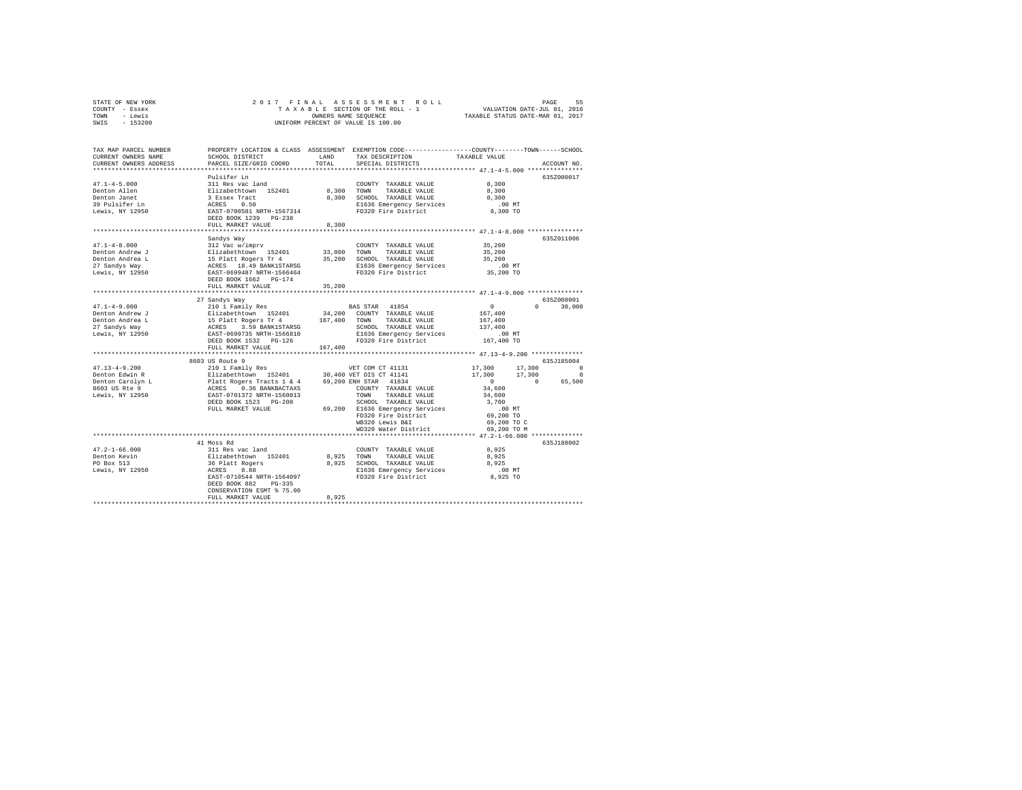| STATE OF NEW YORK                                                                                                   |                           |         |                                                                                                                                                                                                                                                 |                                                                                                                                                 |               |
|---------------------------------------------------------------------------------------------------------------------|---------------------------|---------|-------------------------------------------------------------------------------------------------------------------------------------------------------------------------------------------------------------------------------------------------|-------------------------------------------------------------------------------------------------------------------------------------------------|---------------|
| COUNTY - Essex                                                                                                      |                           |         |                                                                                                                                                                                                                                                 |                                                                                                                                                 |               |
| TOWN - Lewis                                                                                                        |                           |         |                                                                                                                                                                                                                                                 |                                                                                                                                                 |               |
| SWIS - 153200                                                                                                       |                           |         |                                                                                                                                                                                                                                                 |                                                                                                                                                 |               |
|                                                                                                                     |                           |         |                                                                                                                                                                                                                                                 |                                                                                                                                                 |               |
| TAX MAP PARCEL NUMBER PROPERTY LOCATION & CLASS ASSESSMENT EXEMPTION CODE--------------COUNTY-------TOWN-----SCHOOL |                           |         |                                                                                                                                                                                                                                                 |                                                                                                                                                 |               |
| CURRENT OWNERS NAME                                                                                                 | SCHOOL DISTRICT           | LAND    | TAX DESCRIPTION                                                                                                                                                                                                                                 | TAXABLE VALUE                                                                                                                                   |               |
| CURRENT OWNERS ADDRESS                                                                                              | PARCEL SIZE/GRID COORD    | TOTAL   | SPECIAL DISTRICTS                                                                                                                                                                                                                               |                                                                                                                                                 | ACCOUNT NO.   |
|                                                                                                                     |                           |         |                                                                                                                                                                                                                                                 |                                                                                                                                                 |               |
|                                                                                                                     | Pulsifer Ln               |         |                                                                                                                                                                                                                                                 |                                                                                                                                                 | 635Z000017    |
| $47.1 - 4 - 5.000$                                                                                                  | 311 Res vac land          |         | COUNTY TAXABLE VALUE 8,300                                                                                                                                                                                                                      |                                                                                                                                                 |               |
|                                                                                                                     |                           |         |                                                                                                                                                                                                                                                 | 8,300                                                                                                                                           |               |
|                                                                                                                     |                           |         |                                                                                                                                                                                                                                                 | 8,300                                                                                                                                           |               |
|                                                                                                                     |                           |         |                                                                                                                                                                                                                                                 | $.00$ MT                                                                                                                                        |               |
|                                                                                                                     |                           |         |                                                                                                                                                                                                                                                 | 00 MT.<br>8,300 TO                                                                                                                              |               |
|                                                                                                                     |                           |         |                                                                                                                                                                                                                                                 |                                                                                                                                                 |               |
|                                                                                                                     | FULL MARKET VALUE         | 8,300   |                                                                                                                                                                                                                                                 |                                                                                                                                                 |               |
|                                                                                                                     |                           |         | ************************* 47.1-4-8.000 ***************                                                                                                                                                                                          |                                                                                                                                                 |               |
|                                                                                                                     | Sandys Way                |         |                                                                                                                                                                                                                                                 |                                                                                                                                                 | 635Z011006    |
|                                                                                                                     |                           |         |                                                                                                                                                                                                                                                 | 35,200                                                                                                                                          |               |
|                                                                                                                     |                           |         |                                                                                                                                                                                                                                                 | 35,200                                                                                                                                          |               |
|                                                                                                                     |                           |         |                                                                                                                                                                                                                                                 | 35,200                                                                                                                                          |               |
|                                                                                                                     |                           |         |                                                                                                                                                                                                                                                 | $.00$ MT                                                                                                                                        |               |
|                                                                                                                     |                           |         |                                                                                                                                                                                                                                                 | 35,200 TO                                                                                                                                       |               |
|                                                                                                                     |                           |         |                                                                                                                                                                                                                                                 |                                                                                                                                                 |               |
|                                                                                                                     | FULL MARKET VALUE         | 35,200  |                                                                                                                                                                                                                                                 |                                                                                                                                                 |               |
|                                                                                                                     |                           |         |                                                                                                                                                                                                                                                 |                                                                                                                                                 |               |
|                                                                                                                     | 27 Sandys Way             |         |                                                                                                                                                                                                                                                 |                                                                                                                                                 | 635Z008001    |
| $47.1 - 4 - 9.000$                                                                                                  | 210 1 Family Res          |         | BAS STAR 41854                                                                                                                                                                                                                                  | $\sim$ 0                                                                                                                                        | $0 \t 30.000$ |
|                                                                                                                     |                           |         |                                                                                                                                                                                                                                                 |                                                                                                                                                 |               |
|                                                                                                                     |                           |         |                                                                                                                                                                                                                                                 |                                                                                                                                                 |               |
|                                                                                                                     |                           |         |                                                                                                                                                                                                                                                 |                                                                                                                                                 |               |
|                                                                                                                     |                           |         |                                                                                                                                                                                                                                                 |                                                                                                                                                 |               |
|                                                                                                                     |                           |         |                                                                                                                                                                                                                                                 |                                                                                                                                                 |               |
|                                                                                                                     | FULL MARKET VALUE         | 167,400 |                                                                                                                                                                                                                                                 |                                                                                                                                                 |               |
|                                                                                                                     |                           |         |                                                                                                                                                                                                                                                 |                                                                                                                                                 |               |
|                                                                                                                     | 8603 US Route 9           |         |                                                                                                                                                                                                                                                 |                                                                                                                                                 | 635J185004    |
|                                                                                                                     |                           |         |                                                                                                                                                                                                                                                 |                                                                                                                                                 |               |
|                                                                                                                     |                           |         |                                                                                                                                                                                                                                                 | $\begin{array}{ccc} 17 \, , \, 300 & \qquad & 17 \, , \, 300 & \qquad & 0 \\ 17 \, , \, 300 & \qquad & 17 \, , \, 300 & \qquad & 0 \end{array}$ |               |
|                                                                                                                     |                           |         |                                                                                                                                                                                                                                                 |                                                                                                                                                 |               |
|                                                                                                                     |                           |         |                                                                                                                                                                                                                                                 |                                                                                                                                                 | 0 0 65,500    |
|                                                                                                                     |                           |         |                                                                                                                                                                                                                                                 | 34,600                                                                                                                                          |               |
|                                                                                                                     |                           |         | SCHOOL TAXABLE VALUE                                                                                                                                                                                                                            | 34,600                                                                                                                                          |               |
|                                                                                                                     |                           |         |                                                                                                                                                                                                                                                 | 3,700                                                                                                                                           |               |
|                                                                                                                     |                           |         | 69,200 E1636 Emergency Services<br>FD320 Fire District                                                                                                                                                                                          | $.00$ MT<br>69,200 TO                                                                                                                           |               |
|                                                                                                                     |                           |         |                                                                                                                                                                                                                                                 |                                                                                                                                                 |               |
|                                                                                                                     |                           |         | WB320 Lewis B&I 69,200 TO C<br>WD320 Water District 69,200 TO M                                                                                                                                                                                 |                                                                                                                                                 |               |
|                                                                                                                     |                           |         |                                                                                                                                                                                                                                                 |                                                                                                                                                 |               |
|                                                                                                                     |                           |         |                                                                                                                                                                                                                                                 |                                                                                                                                                 |               |
|                                                                                                                     | 41 Moss Rd                |         | 41 Moss Rd<br>311 Res vac land<br>2.925 TOWN TAXABLE VALUE<br>3.11 Res vac land<br>3.925 TOWN TAXABLE VALUE<br>3.925 SCHOLD TAXABLE VALUE<br>3.925 SCHOLD TAXABLE VALUE<br>2.925 SCHOLD RAXABLE VALUE<br>2.925 SCHOLD RES<br>2.925 TO PERSENT P |                                                                                                                                                 | 635J188002    |
|                                                                                                                     |                           |         |                                                                                                                                                                                                                                                 |                                                                                                                                                 |               |
|                                                                                                                     |                           |         |                                                                                                                                                                                                                                                 |                                                                                                                                                 |               |
| 47.2-1-66.000<br>Denton Kevin<br>PO Box 513<br>Lewis, NY 12950                                                      |                           |         |                                                                                                                                                                                                                                                 |                                                                                                                                                 |               |
|                                                                                                                     |                           |         |                                                                                                                                                                                                                                                 |                                                                                                                                                 |               |
|                                                                                                                     |                           |         |                                                                                                                                                                                                                                                 |                                                                                                                                                 |               |
|                                                                                                                     | DEED BOOK 882 PG-335      |         |                                                                                                                                                                                                                                                 |                                                                                                                                                 |               |
|                                                                                                                     | CONSERVATION ESMT % 75.00 |         |                                                                                                                                                                                                                                                 |                                                                                                                                                 |               |
|                                                                                                                     | FULL MARKET VALUE         | 8,925   |                                                                                                                                                                                                                                                 |                                                                                                                                                 |               |
|                                                                                                                     |                           |         |                                                                                                                                                                                                                                                 |                                                                                                                                                 |               |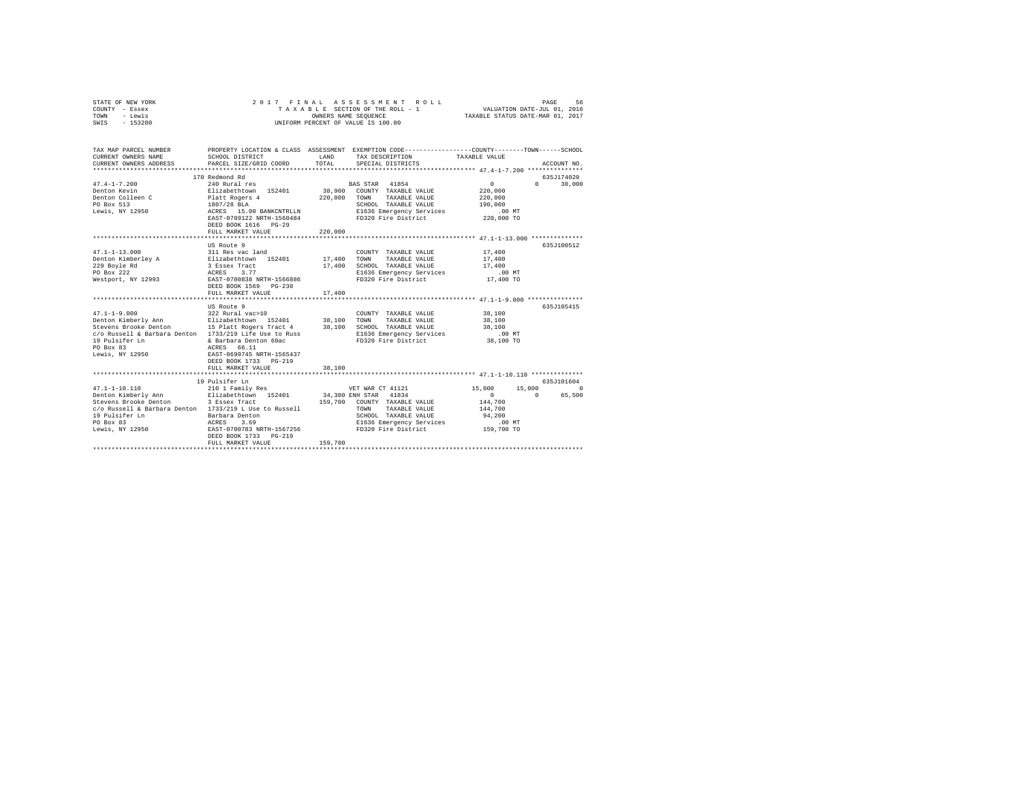| STATE OF NEW YORK<br>COUNTY - Essex<br>TOWN<br>- Lewis<br>SWIS - 153200                                                   | 2017 FINAL                                            |         | ASSESSMENT ROLL<br>TAXABLE SECTION OF THE ROLL - 1<br>OWNERS NAME SEOUENCE<br>UNIFORM PERCENT OF VALUE IS 100.00    | VALUATION DATE-JUL 01, 2016<br>TAXABLE STATUS DATE-MAR 01, 2017 | PAGE<br>56                   |
|---------------------------------------------------------------------------------------------------------------------------|-------------------------------------------------------|---------|---------------------------------------------------------------------------------------------------------------------|-----------------------------------------------------------------|------------------------------|
| TAX MAP PARCEL NUMBER<br>CURRENT OWNERS NAME                                                                              | SCHOOL DISTRICT                                       | LAND    | PROPERTY LOCATION & CLASS ASSESSMENT EXEMPTION CODE----------------COUNTY--------TOWN-----SCHOOL<br>TAX DESCRIPTION | TAXABLE VALUE                                                   |                              |
| CURRENT OWNERS ADDRESS                                                                                                    | PARCEL SIZE/GRID COORD                                | TOTAL   | SPECIAL DISTRICTS                                                                                                   |                                                                 | ACCOUNT NO.                  |
|                                                                                                                           |                                                       |         |                                                                                                                     |                                                                 |                              |
| $47.4 - 1 - 7.200$                                                                                                        | 170 Redmond Rd<br>240 Rural res                       |         | BAS STAR 41854                                                                                                      | $\circ$                                                         | 635J174020<br>0 <sup>1</sup> |
| Denton Kevin                                                                                                              |                                                       |         | 38,900 COUNTY TAXABLE VALUE                                                                                         | 220,000                                                         | 30,000                       |
| Denton Colleen C                                                                                                          | Elizabethtown 152401<br>Platt Rogers 4<br>1807/28 BLA | 220,000 | TOWN TAXABLE VALUE                                                                                                  | 220,000                                                         |                              |
| PO Box 513                                                                                                                |                                                       |         | SCHOOL TAXABLE VALUE                                                                                                | 190,000                                                         |                              |
| Lewis, NY 12950                                                                                                           | 1807/28 BLA<br>ACRES 15.00 BANKCNTRLLN                |         | E1636 Emergency Services                                                                                            | $.00$ MT                                                        |                              |
|                                                                                                                           | EAST-0709122 NRTH-1560484                             |         | FD320 Fire District                                                                                                 | 220,000 TO                                                      |                              |
|                                                                                                                           | DEED BOOK 1616 PG-29                                  |         |                                                                                                                     |                                                                 |                              |
|                                                                                                                           | FULL MARKET VALUE                                     | 220,000 |                                                                                                                     |                                                                 |                              |
|                                                                                                                           |                                                       |         |                                                                                                                     |                                                                 |                              |
|                                                                                                                           | US Route 9                                            |         |                                                                                                                     |                                                                 | 635J100512                   |
| $47.1 - 1 - 13.000$                                                                                                       | 311 Res vac land                                      |         | COUNTY TAXABLE VALUE                                                                                                | 17,400                                                          |                              |
| $P$<br>Denton Kimberley A                                                                                                 |                                                       | 17,400  | TAXABLE VALUE<br>TOWN                                                                                               | 17,400                                                          |                              |
| 229 Boyle Rd<br>PO Box 222                                                                                                | Elizabethtown 152401<br>3 Essex Tract<br>ACRES 3.77   | 17,400  | SCHOOL TAXABLE VALUE<br>E1636 Emergency Services                                                                    | 17,400<br>.00 MT                                                |                              |
| Westport, NY 12993                                                                                                        | EAST-0700838 NRTH-1566886                             |         | FD320 Fire District                                                                                                 | 17,400 TO                                                       |                              |
|                                                                                                                           | DEED BOOK 1569 PG-230<br>FULL MARKET VALUE            | 17,400  |                                                                                                                     |                                                                 |                              |
|                                                                                                                           |                                                       |         |                                                                                                                     |                                                                 |                              |
|                                                                                                                           | US Route 9                                            |         |                                                                                                                     |                                                                 | 635J105415                   |
| $47.1 - 1 - 9.000$                                                                                                        | 322 Rural vac>10                                      |         | COUNTY TAXABLE VALUE                                                                                                | 38,100                                                          |                              |
|                                                                                                                           |                                                       |         | TOWN<br>TAXABLE VALUE                                                                                               | 38,100                                                          |                              |
| Philar-1-3.000<br>Denton Kimberly Ann Blizabethtown 152401 38,100<br>Stevens Brooke Denton 15 Platt Rogers Tract 4 38,100 |                                                       |         | SCHOOL TAXABLE VALUE                                                                                                | 38,100                                                          |                              |
| c/o Russell & Barbara Denton 1733/219 Life Use to Russ                                                                    |                                                       |         | E1636 Emergency Services                                                                                            | $.00$ MT                                                        |                              |
|                                                                                                                           |                                                       |         | FD320 Fire District                                                                                                 | 38,100 TO                                                       |                              |
|                                                                                                                           |                                                       |         |                                                                                                                     |                                                                 |                              |
|                                                                                                                           |                                                       |         |                                                                                                                     |                                                                 |                              |
|                                                                                                                           | DEED BOOK 1733 PG-219<br>FULL MARKET VALUE            | 38,100  |                                                                                                                     |                                                                 |                              |
|                                                                                                                           | *****************************                         |         |                                                                                                                     |                                                                 |                              |
|                                                                                                                           | 19 Pulsifer Ln                                        |         |                                                                                                                     |                                                                 | 635J101604                   |
| $47.1 - 1 - 10.110$                                                                                                       | 210 1 Family Res                                      |         | VET WAR CT 41121                                                                                                    | 15,000                                                          | 15,000<br>$\sim$ 0           |
| Denton Kimberly Ann Elizabethtown 152401                                                                                  |                                                       |         | 34,300 ENH STAR 41834                                                                                               | $\Omega$                                                        | $\sim$ 0<br>65,500           |
| Stevens Brooke Denton                                                                                                     | 3 Essex Tract                                         |         | 159,700 COUNTY TAXABLE VALUE                                                                                        | 144,700                                                         |                              |
| c/o Russell & Barbara Denton 1733/219 L Use to Russell                                                                    |                                                       |         | TOWN<br>TAXABLE VALUE                                                                                               | 144,700                                                         |                              |
|                                                                                                                           |                                                       |         | SCHOOL TAXABLE VALUE                                                                                                | 94,200                                                          |                              |
|                                                                                                                           |                                                       |         | E1636 Emergency Services                                                                                            | .00MT                                                           |                              |
|                                                                                                                           | DEED BOOK 1733 PG-219                                 |         | FD320 Fire District                                                                                                 | 159,700 TO                                                      |                              |
|                                                                                                                           | FULL MARKET VALUE                                     | 159,700 |                                                                                                                     |                                                                 |                              |
|                                                                                                                           |                                                       |         |                                                                                                                     |                                                                 |                              |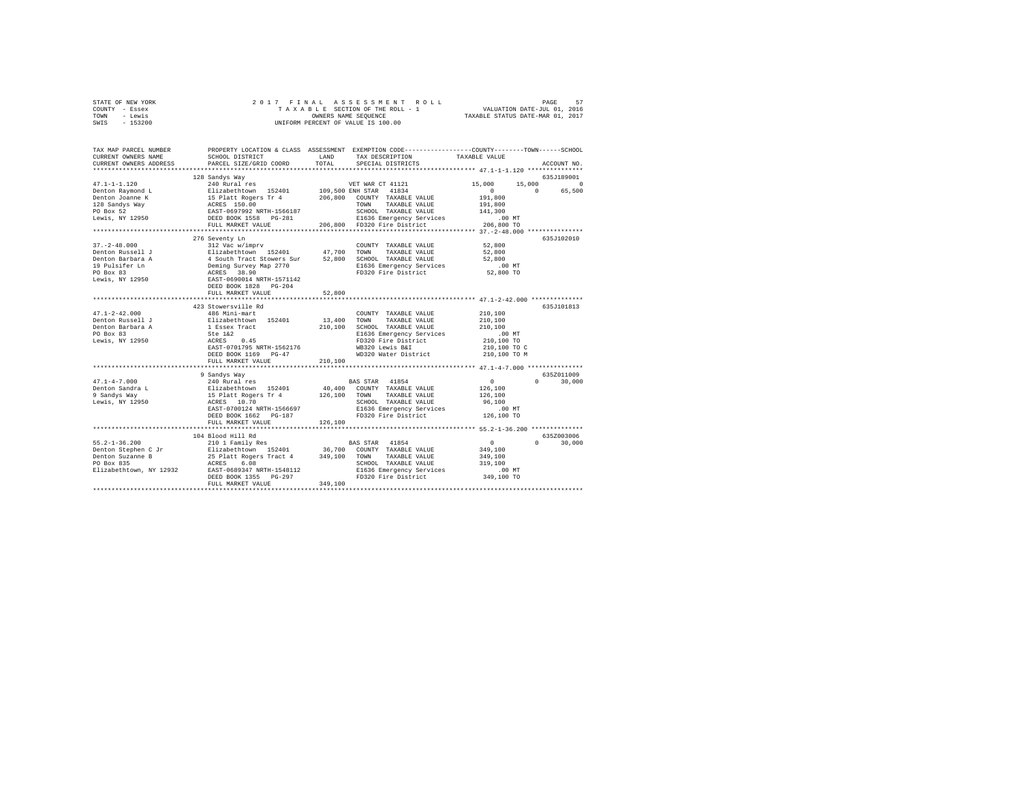|                | STATE OF NEW YORK |  |  | 2017 FINAL ASSESSMENT ROLL         |                                  | PAGE | 57 |
|----------------|-------------------|--|--|------------------------------------|----------------------------------|------|----|
| COUNTY - Essex |                   |  |  | TAXABLE SECTION OF THE ROLL - 1    | VALUATION DATE-JUL 01, 2016      |      |    |
| TOWN           | - Lewis           |  |  | OWNERS NAME SEOUENCE               | TAXABLE STATUS DATE-MAR 01, 2017 |      |    |
| SWIS           | $-153200$         |  |  | UNIFORM PERCENT OF VALUE IS 100.00 |                                  |      |    |

| TAX MAP PARCEL NUMBER<br>CURRENT OWNERS NAME<br>CURRENT OWNERS ADDRESS                                                                                                                                                                                                                                                                                                                                       | SCHOOL DISTRICT<br>PARCEL SIZE/GRID COORD                                                                                                                                                                                                                        | LAND<br>TOTAL          | PROPERTY LOCATION & CLASS ASSESSMENT EXEMPTION CODE----------------COUNTY-------TOWN-----SCHOOL<br>TAX DESCRIPTION<br>SPECIAL DISTRICTS | TAXABLE VALUE                                                 | ACCOUNT NO.                      |
|--------------------------------------------------------------------------------------------------------------------------------------------------------------------------------------------------------------------------------------------------------------------------------------------------------------------------------------------------------------------------------------------------------------|------------------------------------------------------------------------------------------------------------------------------------------------------------------------------------------------------------------------------------------------------------------|------------------------|-----------------------------------------------------------------------------------------------------------------------------------------|---------------------------------------------------------------|----------------------------------|
|                                                                                                                                                                                                                                                                                                                                                                                                              |                                                                                                                                                                                                                                                                  |                        |                                                                                                                                         |                                                               |                                  |
|                                                                                                                                                                                                                                                                                                                                                                                                              | 128 Sandys Way                                                                                                                                                                                                                                                   |                        |                                                                                                                                         |                                                               | 635J189001                       |
| $47.1 - 1 - 1.120$<br>Denton Raymond L<br>Denton Raymond L<br>Denton Joanne K<br>128 Sandys Way<br>PO Box 52                                                                                                                                                                                                                                                                                                 | 240 Rural res VET WAR CT 41121<br>- CHARLE THE STATE 1999 SOURIES AND 1999 SALEMATIC PRINCIPLE IS DIRECT TO A THANGE THAT A 1994 ISSN ACRES IN A 1994 SCREEN AND ISLAMIC TO A 1994 THAT A 1994 ISSN AND ISLAMIC TO A 1994 ISSN THAT A 1994 SCREEN SCREEN TOWN TR |                        | SCHOOL TAXABLE VALUE                                                                                                                    | 15,000<br>15,000<br>$\Omega$<br>191,800<br>191,800<br>141,300 | $^{\circ}$<br>$\sim$ 0<br>65,500 |
| Lewis, NY 12950                                                                                                                                                                                                                                                                                                                                                                                              |                                                                                                                                                                                                                                                                  |                        |                                                                                                                                         | $.00$ MT                                                      |                                  |
|                                                                                                                                                                                                                                                                                                                                                                                                              | FULL MARKET VALUE                                                                                                                                                                                                                                                |                        | SCHOOL TAARDED .<br>E1636 Emergency Services<br>206,800 FD320 Fire District                                                             | 206,800 TO                                                    |                                  |
|                                                                                                                                                                                                                                                                                                                                                                                                              | ************************************                                                                                                                                                                                                                             |                        |                                                                                                                                         |                                                               |                                  |
|                                                                                                                                                                                                                                                                                                                                                                                                              | 276 Seventy Ln                                                                                                                                                                                                                                                   |                        |                                                                                                                                         |                                                               | 635J102010                       |
| $37. - 2 - 48.000$                                                                                                                                                                                                                                                                                                                                                                                           | 312 Vac w/imprv                                                                                                                                                                                                                                                  |                        | COUNTY TAXABLE VALUE                                                                                                                    | 52,800                                                        |                                  |
|                                                                                                                                                                                                                                                                                                                                                                                                              |                                                                                                                                                                                                                                                                  |                        | TAXABLE VALUE                                                                                                                           | 52,800                                                        |                                  |
|                                                                                                                                                                                                                                                                                                                                                                                                              |                                                                                                                                                                                                                                                                  |                        | 52,800 SCHOOL TAXABLE VALUE                                                                                                             | 52,800                                                        |                                  |
|                                                                                                                                                                                                                                                                                                                                                                                                              |                                                                                                                                                                                                                                                                  |                        | E1636 Emergency Services .00 MT<br>FD320 Fire District 52,800 TO                                                                        |                                                               |                                  |
|                                                                                                                                                                                                                                                                                                                                                                                                              |                                                                                                                                                                                                                                                                  |                        |                                                                                                                                         |                                                               |                                  |
|                                                                                                                                                                                                                                                                                                                                                                                                              | FULL MARKET VALUE                                                                                                                                                                                                                                                | 52,800<br>************ |                                                                                                                                         |                                                               |                                  |
|                                                                                                                                                                                                                                                                                                                                                                                                              | 423 Stowersville Rd                                                                                                                                                                                                                                              |                        |                                                                                                                                         |                                                               | 635J101813                       |
| $47.1 - 2 - 42.000$                                                                                                                                                                                                                                                                                                                                                                                          | 486 Mini-mart                                                                                                                                                                                                                                                    |                        | COUNTY TAXABLE VALUE                                                                                                                    | 210,100                                                       |                                  |
| Denton Russell J                                                                                                                                                                                                                                                                                                                                                                                             | Elizabethtown 152401                                                                                                                                                                                                                                             |                        | 13,400 TOWN TAXABLE VALUE                                                                                                               | 210,100                                                       |                                  |
| Denton Barbara A                                                                                                                                                                                                                                                                                                                                                                                             |                                                                                                                                                                                                                                                                  |                        | 210,100 SCHOOL TAXABLE VALUE                                                                                                            | 210,100                                                       |                                  |
| PO Box 83                                                                                                                                                                                                                                                                                                                                                                                                    | a A 1 Essex Tract<br>Ste 1&2<br>50 ACRES 0.45                                                                                                                                                                                                                    |                        | E1636 Emergency Services                                                                                                                | $.00$ MT                                                      |                                  |
| Lewis, NY 12950                                                                                                                                                                                                                                                                                                                                                                                              |                                                                                                                                                                                                                                                                  |                        | FD320 Fire District                                                                                                                     | 210,100 TO                                                    |                                  |
|                                                                                                                                                                                                                                                                                                                                                                                                              | EAST-0701795 NRTH-1562176                                                                                                                                                                                                                                        |                        | WB320 Lewis B&I                                                                                                                         | 210,100 TO C                                                  |                                  |
|                                                                                                                                                                                                                                                                                                                                                                                                              | DEED BOOK 1169 PG-47                                                                                                                                                                                                                                             |                        | WD320 Water District 210,100 TO M                                                                                                       |                                                               |                                  |
|                                                                                                                                                                                                                                                                                                                                                                                                              | FULL MARKET VALUE                                                                                                                                                                                                                                                | 210,100                |                                                                                                                                         |                                                               |                                  |
|                                                                                                                                                                                                                                                                                                                                                                                                              |                                                                                                                                                                                                                                                                  |                        |                                                                                                                                         |                                                               |                                  |
|                                                                                                                                                                                                                                                                                                                                                                                                              | 9 Sandys Way                                                                                                                                                                                                                                                     |                        |                                                                                                                                         |                                                               | 635Z011009                       |
| $47.1 - 4 - 7.000$                                                                                                                                                                                                                                                                                                                                                                                           | $240$ Rural res                                                                                                                                                                                                                                                  |                        | BAS STAR 41854                                                                                                                          | $\sim$ 0                                                      | $\mathbf{0}$<br>30,000           |
| Denton Sandra L                                                                                                                                                                                                                                                                                                                                                                                              | Elizabethtown 152401<br>15 Platt Rogers Tr 4<br>ACRES 10.70                                                                                                                                                                                                      |                        | 40,400 COUNTY TAXABLE VALUE                                                                                                             | 126,100                                                       |                                  |
| 9 Sandvs Wav                                                                                                                                                                                                                                                                                                                                                                                                 |                                                                                                                                                                                                                                                                  |                        | 126,100 TOWN TAXABLE VALUE                                                                                                              | 126,100                                                       |                                  |
| Lewis, NY 12950                                                                                                                                                                                                                                                                                                                                                                                              |                                                                                                                                                                                                                                                                  |                        | SCHOOL TAXABLE VALUE                                                                                                                    | 96,100                                                        |                                  |
|                                                                                                                                                                                                                                                                                                                                                                                                              | EAST-0700124 NRTH-1566697                                                                                                                                                                                                                                        |                        | E1636 Emergency Services                                                                                                                | .00 MT                                                        |                                  |
|                                                                                                                                                                                                                                                                                                                                                                                                              | DEED BOOK 1662 PG-187                                                                                                                                                                                                                                            |                        | FD320 Fire District 126,100 TO                                                                                                          |                                                               |                                  |
|                                                                                                                                                                                                                                                                                                                                                                                                              | FULL MARKET VALUE                                                                                                                                                                                                                                                | 126,100                |                                                                                                                                         |                                                               |                                  |
|                                                                                                                                                                                                                                                                                                                                                                                                              |                                                                                                                                                                                                                                                                  |                        |                                                                                                                                         |                                                               |                                  |
| $55.2 - 1 - 36.200$                                                                                                                                                                                                                                                                                                                                                                                          | 104 Blood Hill Rd<br>210 1 Family Res                                                                                                                                                                                                                            |                        | BAS STAR 41854                                                                                                                          | $\sim$ 0                                                      | 635Z003006<br>$\Omega$<br>30,000 |
|                                                                                                                                                                                                                                                                                                                                                                                                              |                                                                                                                                                                                                                                                                  |                        |                                                                                                                                         | 349,100                                                       |                                  |
| $\begin{tabular}{lllllllllll} \texttt{D=1-50} & \texttt{210} & \texttt{210} & \texttt{210} & \texttt{36,700} & \texttt{COMNT} & \texttt{Y103} & \texttt{210} \\ \texttt{Dethen C. F2-50} & \texttt{210} & \texttt{210} & \texttt{210} & \texttt{36,700} & \texttt{COMNT} & \texttt{TXABLE} & \texttt{VALUE} \\ \texttt{Dethen C. T2} & \texttt{25} & \texttt{Delta C. F11} & \texttt{210} & \texttt{36,700}$ |                                                                                                                                                                                                                                                                  |                        |                                                                                                                                         | 349,100                                                       |                                  |
|                                                                                                                                                                                                                                                                                                                                                                                                              |                                                                                                                                                                                                                                                                  |                        | SCHOOL TAXABLE VALUE                                                                                                                    | 319,100                                                       |                                  |
|                                                                                                                                                                                                                                                                                                                                                                                                              |                                                                                                                                                                                                                                                                  |                        | E1636 Emergency Services                                                                                                                | $.00$ MT                                                      |                                  |
|                                                                                                                                                                                                                                                                                                                                                                                                              | DEED BOOK 1355 PG-297                                                                                                                                                                                                                                            |                        | FD320 Fire District                                                                                                                     | 349,100 TO                                                    |                                  |
|                                                                                                                                                                                                                                                                                                                                                                                                              | FULL MARKET VALUE                                                                                                                                                                                                                                                | 349,100                |                                                                                                                                         |                                                               |                                  |
|                                                                                                                                                                                                                                                                                                                                                                                                              |                                                                                                                                                                                                                                                                  |                        |                                                                                                                                         |                                                               |                                  |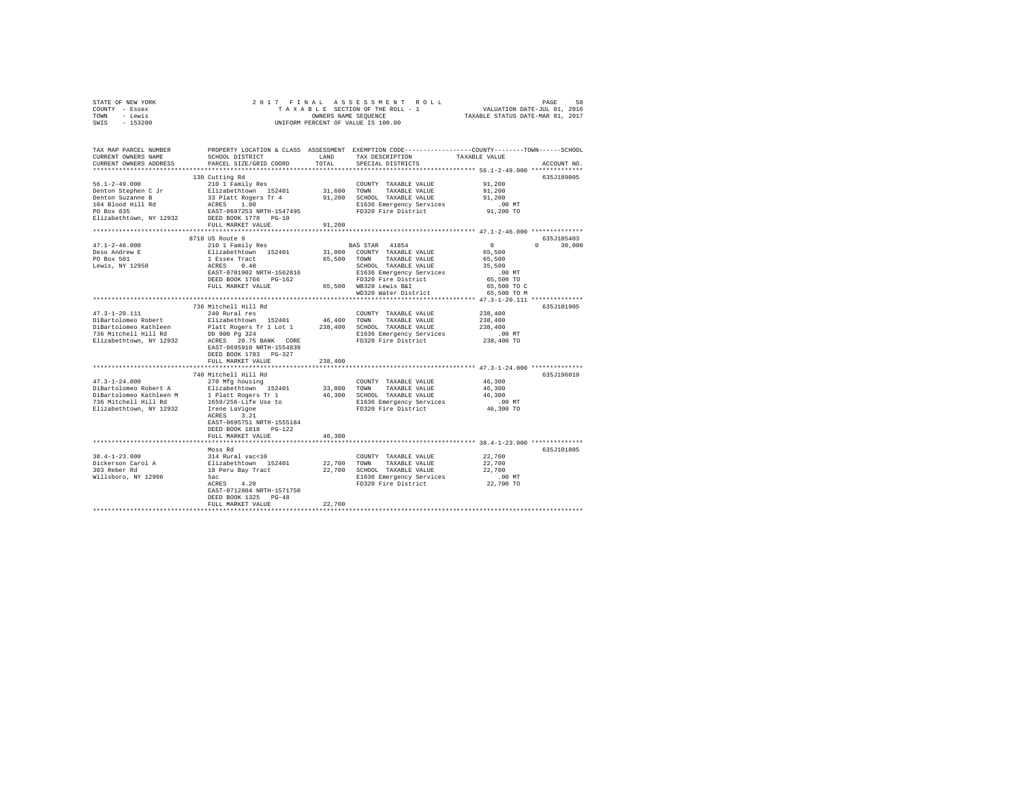|      | STATE OF NEW YORK |  |  | 2017 FINAL ASSESSMENT ROLL         | PAGE                             | 58 |
|------|-------------------|--|--|------------------------------------|----------------------------------|----|
|      | COUNTY - Essex    |  |  | TAXABLE SECTION OF THE ROLL - 1    | VALUATION DATE-JUL 01, 2016      |    |
| TOWN | - Lewis           |  |  | OWNERS NAME SEOUENCE               | TAXABLE STATUS DATE-MAR 01, 2017 |    |
| SWIS | $-153200$         |  |  | UNIFORM PERCENT OF VALUE IS 100.00 |                                  |    |

| TAX MAP PARCEL NUMBER<br>CURRENT OWNERS NAME<br>CURRENT OWNERS ADDRESS | SCHOOL DISTRICT<br>PARCEL SIZE/GRID COORD | <b>T.AND</b><br>TOTAL | TAX DESCRIPTION<br>SPECIAL DISTRICTS | PROPERTY LOCATION & CLASS ASSESSMENT EXEMPTION CODE---------------COUNTY-------TOWN-----SCHOOL<br>TAXABLE VALUE<br>ACCOUNT NO |
|------------------------------------------------------------------------|-------------------------------------------|-----------------------|--------------------------------------|-------------------------------------------------------------------------------------------------------------------------------|
| **********************                                                 | ***************************               |                       |                                      |                                                                                                                               |
|                                                                        | 130 Cutting Rd                            |                       |                                      | 635J189005                                                                                                                    |
| $56.1 - 2 - 49.000$                                                    | 210 1 Family Res                          |                       | COUNTY TAXABLE VALUE                 | 91,200                                                                                                                        |
| Denton Stephen C Jr                                                    | Elizabethtown 152401                      | 31,600                | TOWN<br>TAXABLE VALUE                | 91,200                                                                                                                        |
| Denton Suzanne B                                                       | 33 Platt Rogers Tr 4                      | 91,200                | SCHOOL TAXABLE VALUE                 | 91,200                                                                                                                        |
| 104 Blood Hill Rd                                                      | 1.00<br>ACRES                             |                       | E1636 Emergency Services             | $.00$ MT                                                                                                                      |
| PO Box 835                                                             | EAST-0697253 NRTH-1547495                 |                       | FD320 Fire District                  | 91,200 TO                                                                                                                     |
|                                                                        |                                           |                       |                                      |                                                                                                                               |
| Elizabethtown, NY 12932                                                | DEED BOOK 1778 PG-10                      |                       |                                      |                                                                                                                               |
|                                                                        | FULL MARKET VALUE                         | 91,200                |                                      |                                                                                                                               |
|                                                                        |                                           |                       |                                      |                                                                                                                               |
|                                                                        | 8718 US Route 9                           |                       |                                      | 635J105403                                                                                                                    |
| $47.1 - 2 - 46.000$                                                    | 210 1 Family Res                          |                       | BAS STAR 41854                       | $^{\circ}$<br>30,000<br>$\Omega$                                                                                              |
| Deso Andrew E                                                          | Elizabethtown 152401                      | 31,000                | COUNTY TAXABLE VALUE                 | 65,500                                                                                                                        |
| PO Box 501                                                             | 1 Essex Tract                             | 65,500                | TAXABLE VALUE<br>TOWN                | 65,500                                                                                                                        |
| Lewis, NY 12950                                                        | ACRES 0.40                                |                       | SCHOOL TAXABLE VALUE                 | 35,500                                                                                                                        |
|                                                                        | EAST-0701902 NRTH-1562816                 |                       | E1636 Emergency Services             | $.00$ MT                                                                                                                      |
|                                                                        | DEED BOOK 1766 PG-162                     |                       | FD320 Fire District                  | 65,500 TO                                                                                                                     |
|                                                                        | FULL MARKET VALUE                         |                       | 65,500 WB320 Lewis B&I               | 65,500 TO C                                                                                                                   |
|                                                                        |                                           |                       | WD320 Water District                 | 65,500 TO M                                                                                                                   |
|                                                                        |                                           |                       |                                      |                                                                                                                               |
|                                                                        | 736 Mitchell Hill Rd                      |                       |                                      | 635J101905                                                                                                                    |
|                                                                        |                                           |                       |                                      |                                                                                                                               |
| $47.3 - 1 - 20.111$                                                    | 240 Rural res                             |                       | COUNTY TAXABLE VALUE                 | 238,400                                                                                                                       |
| DiBartolomeo Robert                                                    | Elizabethtown 152401                      | 46,400                | TOWN<br>TAXABLE VALUE                | 238,400                                                                                                                       |
| DiBartolomeo Kathleen                                                  | Platt Rogers Tr 1 Lot 1                   | 238,400               | SCHOOL TAXABLE VALUE                 | 238,400                                                                                                                       |
| 736 Mitchell Hill Rd                                                   | Db 900 Pg 324                             |                       | E1636 Emergency Services             | .00MT                                                                                                                         |
| Elizabethtown, NY 12932                                                | ACRES 20.75 BANK CORE                     |                       | FD320 Fire District                  | 238,400 TO                                                                                                                    |
|                                                                        | EAST-0695910 NRTH-1554839                 |                       |                                      |                                                                                                                               |
|                                                                        | DEED BOOK 1783 PG-327                     |                       |                                      |                                                                                                                               |
|                                                                        | FULL MARKET VALUE                         | 238,400               |                                      |                                                                                                                               |
|                                                                        | **************************                |                       |                                      | ***************************** 47.3-1-24.000 **************                                                                    |
|                                                                        | 740 Mitchell Hill Rd                      |                       |                                      | 635J196010                                                                                                                    |
| $47.3 - 1 - 24.000$                                                    | 270 Mfg housing                           |                       | COUNTY TAXABLE VALUE                 | 46,300                                                                                                                        |
| DiBartolomeo Robert A                                                  | Elizabethtown 152401                      | 33,800 TOWN           | TAXABLE VALUE                        | 46,300                                                                                                                        |
| DiBartolomeo Kathleen M                                                | 1 Platt Rogers Tr 1                       |                       | 46,300 SCHOOL TAXABLE VALUE          | 46,300                                                                                                                        |
| 736 Mitchell Hill Rd                                                   | 1659/256-Life Use to                      |                       | E1636 Emergency Services             | $.00$ MT                                                                                                                      |
| Elizabethtown, NY 12932                                                | Irene LaVigne                             |                       | FD320 Fire District                  | 46,300 TO                                                                                                                     |
|                                                                        | 3.21<br>ACRES                             |                       |                                      |                                                                                                                               |
|                                                                        | EAST-0695751 NRTH-1555184                 |                       |                                      |                                                                                                                               |
|                                                                        |                                           |                       |                                      |                                                                                                                               |
|                                                                        | DEED BOOK 1818  PG-122                    |                       |                                      |                                                                                                                               |
|                                                                        | FULL MARKET VALUE                         | 46,300                |                                      |                                                                                                                               |
|                                                                        |                                           |                       |                                      |                                                                                                                               |
|                                                                        | Moss Rd                                   |                       |                                      | 635J101805                                                                                                                    |
| $38.4 - 1 - 23.000$                                                    | 314 Rural vac<10                          |                       | COUNTY TAXABLE VALUE                 | 22,700                                                                                                                        |
| Dickerson Carol A                                                      | Elizabethtown 152401                      | 22,700                | TOWN<br>TAXABLE VALUE                | 22,700                                                                                                                        |
| 303 Reber Rd                                                           | 18 Peru Bay Tract                         | 22,700                | SCHOOL TAXABLE VALUE                 | 22,700                                                                                                                        |
| Willsboro, NY 12996                                                    | 5ac                                       |                       | E1636 Emergency Services             | $.00$ MT                                                                                                                      |
|                                                                        | ACRES 4.20                                |                       | FD320 Fire District                  | 22,700 TO                                                                                                                     |
|                                                                        | EAST-0712804 NRTH-1571750                 |                       |                                      |                                                                                                                               |
|                                                                        | DEED BOOK 1325 PG-48                      |                       |                                      |                                                                                                                               |
|                                                                        | FULL MARKET VALUE                         | 22,700                |                                      |                                                                                                                               |
|                                                                        |                                           |                       |                                      |                                                                                                                               |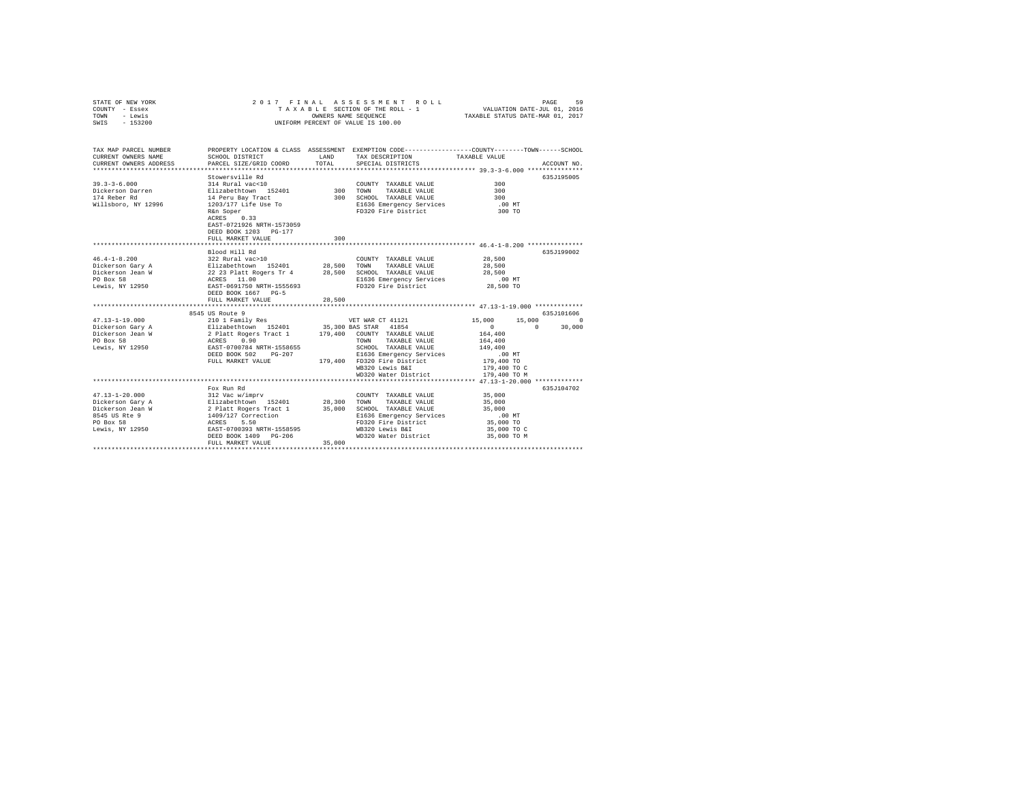| STATE OF NEW YORK<br>COUNTY - Essex<br>TOWN<br>- Lewis<br>SWIS - 153200                                       | 2017 FINAL                                                                                                                                                                                                                                 | OWNERS NAME SEOUENCE       | ASSESSMENT ROLL<br>TAXABLE SECTION OF THE ROLL - 1<br>UNIFORM PERCENT OF VALUE IS 100.00                                                                            | VALUATION DATE-JUL 01, 2016<br>TAXABLE STATUS DATE-MAR 01, 2017                   | PAGE<br>59                              |
|---------------------------------------------------------------------------------------------------------------|--------------------------------------------------------------------------------------------------------------------------------------------------------------------------------------------------------------------------------------------|----------------------------|---------------------------------------------------------------------------------------------------------------------------------------------------------------------|-----------------------------------------------------------------------------------|-----------------------------------------|
| TAX MAP PARCEL NUMBER<br>CURRENT OWNERS NAME<br>CURRENT OWNERS ADDRESS                                        | SCHOOL DISTRICT<br>PARCEL SIZE/GRID COORD                                                                                                                                                                                                  | LAND<br>TOTAL              | PROPERTY LOCATION & CLASS ASSESSMENT EXEMPTION CODE---------------COUNTY-------TOWN------SCHOOL<br>TAX DESCRIPTION<br>SPECIAL DISTRICTS                             | TAXABLE VALUE                                                                     | ACCOUNT NO.                             |
|                                                                                                               |                                                                                                                                                                                                                                            |                            |                                                                                                                                                                     |                                                                                   |                                         |
| $39.3 - 3 - 6.000$<br>Dickerson Darren<br>174 Reber Rd<br>Willsboro, NY 12996                                 | Stowersville Rd<br>314 Rural vac<10<br>Elizabethtown 152401<br>14 Peru Bay Tract<br>1203/177 Life Use To<br>R&n Soper                                                                                                                      | 300                        | COUNTY TAXABLE VALUE<br>TAXABLE VALUE<br>TOWN<br>300 SCHOOL TAXABLE VALUE<br>E1636 Emergency Services<br>FD320 Fire District                                        | 300<br>300<br>300<br>$.00$ MT<br>300 TO                                           | 635J195005                              |
|                                                                                                               | ACRES 0.33<br>EAST-0721926 NRTH-1573059<br>DEED BOOK 1203 PG-177<br>FULL MARKET VALUE                                                                                                                                                      | 300<br>******************  |                                                                                                                                                                     | ********************************** 46.4-1-8.200 ****************                  |                                         |
|                                                                                                               | Blood Hill Rd                                                                                                                                                                                                                              |                            |                                                                                                                                                                     |                                                                                   | 635J199002                              |
| $46.4 - 1 - 8.200$<br>Dickerson Gary A<br>Dickerson Jean W<br>PO Box 58<br>Lewis, NY 12950                    | 322 Rural vac>10<br>Elizabethtown 152401<br>22 23 Platt Rogers Tr 4<br>ACRES 11.00<br>EAST-0691750 NRTH-1555693<br>DEED BOOK 1667 PG-5<br>FULL MARKET VALUE                                                                                | 28,500<br>28,500<br>28,500 | COUNTY TAXABLE VALUE<br>TOWN<br>TAXABLE VALUE<br>SCHOOL TAXABLE VALUE<br>E1636 Emergency Services<br>FD320 Fire District                                            | 28,500<br>28,500<br>28,500<br>$.00$ MT<br>28,500 TO                               |                                         |
|                                                                                                               |                                                                                                                                                                                                                                            |                            |                                                                                                                                                                     |                                                                                   |                                         |
| $47.13 - 1 - 19.000$<br>Dickerson Gary A<br>Dickerson Jean W<br>PO Box 58<br>Lewis, NY 12950                  | 8545 US Route 9<br>210 1 Family Res<br>Elizabeth<br>Comparison 152401 35,300 BAS STAR 41854<br>2 Platt Rogers Tract 1 179,400 COUNTY TAXABLE VALUE<br>ACRES 0.90<br>EAST-0700784 NRTH-1558655 SCHOOL TAXABLE VALUE<br>DEED BOOK 502 PG-207 |                            | VET WAR CT 41121<br>E1636 Emergency Services                                                                                                                        | 15,000<br>$\sim$ 0<br>164,400<br>164,400<br>149,400<br>$.00$ MT                   | 635J101606<br>15,000 0<br>$0 \t 30,000$ |
|                                                                                                               | FULL MARKET VALUE                                                                                                                                                                                                                          |                            | 179.400 FD320 Fire District<br>WB320 Lewis B&I<br>WD320 Water District<br>********************************** 47.13-1-20.000 *************                           | 179,400 TO<br>179,400 TO C<br>179,400 TO M                                        |                                         |
|                                                                                                               | Fox Run Rd                                                                                                                                                                                                                                 |                            |                                                                                                                                                                     |                                                                                   | 635J104702                              |
| $47.13 - 1 - 20.000$<br>Dickerson Gary A<br>Dickerson Jean W<br>8545 US Rte 9<br>PO Box 58<br>Lewis, NY 12950 | 312 Vac w/imprv<br>First Ture Without 152401<br>2 Platt Rogers Tract 1<br>1409/127 Correction<br>ACRES 5.50<br>EAST-0700393 NRTH-1558595<br>DEED BOOK 1409    PG-206<br>FULL MARKET VALUE                                                  | 28,300<br>35,000<br>35,000 | COUNTY TAXABLE VALUE<br>TOWN<br>TAXABLE VALUE<br>SCHOOL TAXABLE VALUE<br>E1636 Emergency Services<br>FD320 Fire District<br>WB320 Lewis B&I<br>WD320 Water District | 35,000<br>35,000<br>35,000<br>$.00$ MT<br>35,000 TO<br>35,000 TO C<br>35,000 TO M |                                         |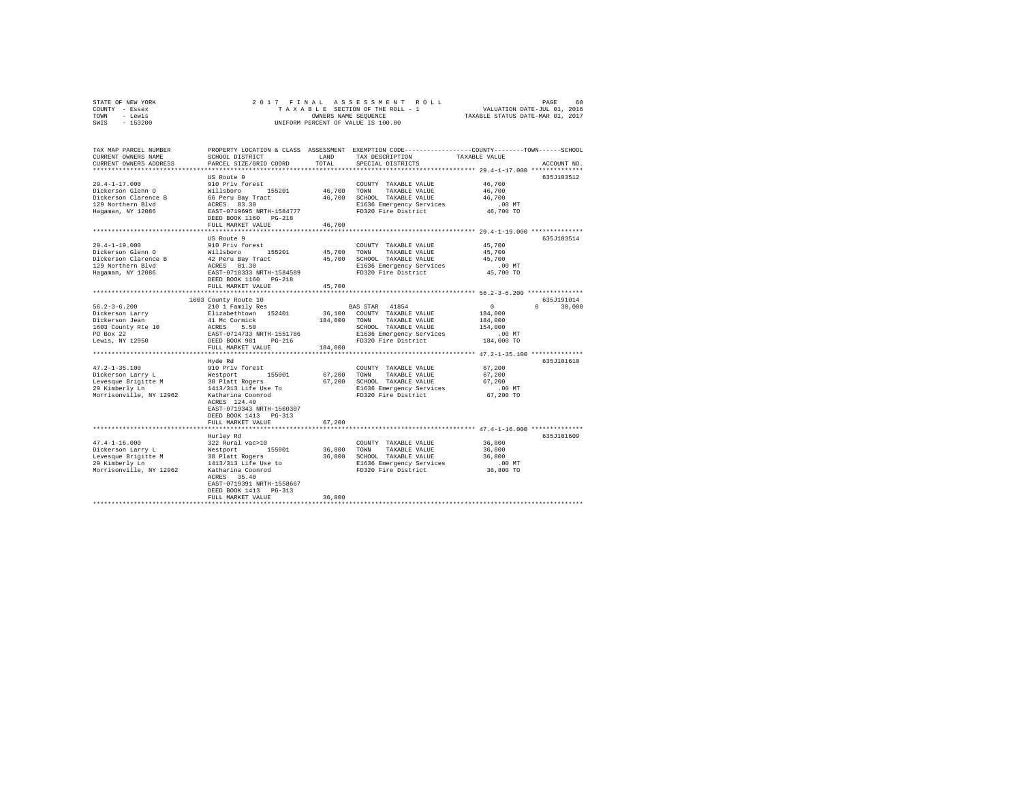| STATE OF NEW YORK       | 2017 FINAL                                |                                  | ASSESSMENT ROLL                                                                                 | PAGE 60<br>VALUATION DATE-JUL 01, 2016 |               |
|-------------------------|-------------------------------------------|----------------------------------|-------------------------------------------------------------------------------------------------|----------------------------------------|---------------|
| COUNTY - Essex          | TAXABLE SECTION OF THE ROLL - 1           |                                  |                                                                                                 |                                        |               |
| TOWN - Lewis            | OWNERS NAME SEQUENCE                      | TAXABLE STATUS DATE-MAR 01, 2017 |                                                                                                 |                                        |               |
| SWIS - 153200           |                                           |                                  | UNIFORM PERCENT OF VALUE IS 100.00                                                              |                                        |               |
|                         |                                           |                                  |                                                                                                 |                                        |               |
|                         |                                           |                                  |                                                                                                 |                                        |               |
| TAX MAP PARCEL NUMBER   |                                           |                                  | PROPERTY LOCATION & CLASS ASSESSMENT EXEMPTION CODE---------------COUNTY-------TOWN------SCHOOL |                                        |               |
| CURRENT OWNERS NAME     | SCHOOL DISTRICT                           | LAND                             | TAX DESCRIPTION                                                                                 | TAXABLE VALUE                          |               |
| CURRENT OWNERS ADDRESS  | PARCEL SIZE/GRID COORD                    | TOTAL                            | SPECIAL DISTRICTS                                                                               |                                        | ACCOUNT NO.   |
|                         |                                           |                                  |                                                                                                 |                                        |               |
|                         | US Route 9                                |                                  |                                                                                                 |                                        | 635J103512    |
| $29.4 - 1 - 17.000$     | 910 Priv forest                           |                                  | COUNTY TAXABLE VALUE                                                                            | 46,700                                 |               |
| Dickerson Glenn O       | Willsboro 155201                          |                                  | 46.700 TOWN TAXABLE VALUE                                                                       | 46,700                                 |               |
| Dickerson Clarence B    | 66 Peru Bay Tract                         |                                  | 46,700 SCHOOL TAXABLE VALUE                                                                     | 46,700                                 |               |
| 129 Northern Blvd       | ACRES 83.30                               |                                  | E1636 Emergency Services                                                                        | $.00$ MT                               |               |
| Hagaman, NY 12086       | EAST-0719695 NRTH-1584777                 |                                  | FD320 Fire District                                                                             | 46,700 TO                              |               |
|                         | DEED BOOK 1160 PG-218                     |                                  |                                                                                                 |                                        |               |
|                         | FULL MARKET VALUE                         | 46,700                           |                                                                                                 |                                        |               |
|                         | .                                         | ***************                  | **************************** 29.4-1-19.000 **************                                       |                                        |               |
|                         | US Route 9                                |                                  |                                                                                                 |                                        | 635J103514    |
| 29.4-1-19.000           | 910 Priv forest                           |                                  | COUNTY TAXABLE VALUE                                                                            | 45,700                                 |               |
| Dickerson Glenn O       | Willsboro 155201                          |                                  | 45,700 TOWN<br>TAXABLE VALUE                                                                    | 45,700                                 |               |
| Dickerson Clarence B    | 42 Peru Bay Tract                         |                                  | 45,700 SCHOOL TAXABLE VALUE                                                                     | 45,700                                 |               |
| 129 Northern Blvd       | ACRES 81.30                               |                                  | E1636 Emergency Services                                                                        | $.00$ MT                               |               |
| Hagaman, NY 12086       | EAST-0718333 NRTH-1584589                 |                                  | FD320 Fire District                                                                             | 45,700 TO                              |               |
|                         | DEED BOOK 1160 PG-218                     |                                  |                                                                                                 |                                        |               |
|                         | FULL MARKET VALUE                         | 45,700                           |                                                                                                 |                                        |               |
|                         |                                           |                                  |                                                                                                 |                                        |               |
|                         | 1603 County Route 10                      |                                  |                                                                                                 |                                        | 635J191014    |
| $56.2 - 3 - 6.200$      | 210 1 Family Res                          |                                  | BAS STAR 41854                                                                                  | $\sim$ 0                               | $0 \t 30.000$ |
| Dickerson Larry         | Elizabethtown 152401                      |                                  | 36,100 COUNTY TAXABLE VALUE                                                                     | 184,000                                |               |
| Dickerson Jean          |                                           |                                  | 184,000 TOWN TAXABLE VALUE                                                                      | 184,000                                |               |
| 1603 County Rte 10      | 41 Mc Cormick<br>ACRES 5.50<br>ACRES 5.50 |                                  | SCHOOL TAXABLE VALUE                                                                            | 154,000                                |               |
| PO Box 22               | EAST-0714733 NRTH-1551786                 |                                  | E1636 Emergency Services                                                                        | $.00$ MT                               |               |
| Lewis, NY 12950         | DEED BOOK 981 PG-216                      |                                  | FD320 Fire District                                                                             | 184,000 TO                             |               |
|                         | FULL MARKET VALUE                         | 184,000                          |                                                                                                 |                                        |               |
|                         |                                           |                                  |                                                                                                 |                                        |               |
|                         | Hyde Rd                                   |                                  |                                                                                                 |                                        | 635J101610    |
| $47.2 - 1 - 35.100$     | 910 Priv forest                           |                                  | COUNTY TAXABLE VALUE                                                                            | 67,200                                 |               |
| Dickerson Larry L       | Westport 155001                           | 67.200 TOWN                      | TAXABLE VALUE                                                                                   | 67.200                                 |               |
| Levesque Brigitte M     | 38 Platt Rogers                           |                                  | 67,200 SCHOOL TAXABLE VALUE                                                                     | 67.200                                 |               |
| 29 Kimberly Ln          | 1413/313 Life Use To                      |                                  | E1636 Emergency Services                                                                        | .00MT                                  |               |
| Morrisonville, NY 12962 | Katharina Coonrod                         |                                  | FD320 Fire District                                                                             | 67,200 TO                              |               |
|                         | ACRES 124.40                              |                                  |                                                                                                 |                                        |               |
|                         | EAST-0719343 NRTH-1560307                 |                                  |                                                                                                 |                                        |               |
|                         | DEED BOOK 1413 PG-313                     |                                  |                                                                                                 |                                        |               |
|                         | FULL MARKET VALUE                         | 67,200                           |                                                                                                 |                                        |               |
|                         |                                           |                                  |                                                                                                 |                                        |               |
|                         | Hurley Rd                                 |                                  |                                                                                                 |                                        | 635J101609    |
| $47.4 - 1 - 16.000$     | 322 Rural vac>10                          |                                  | COUNTY TAXABLE VALUE                                                                            | 36,800                                 |               |
| Dickerson Larry L       |                                           | 36,800                           | TOWN<br>TAXABLE VALUE                                                                           | 36,800                                 |               |
| Levesque Brigitte M     | Westport 155001<br>38 Platt Rogers        |                                  | 36,800 SCHOOL TAXABLE VALUE                                                                     | 36,800                                 |               |
| 29 Kimberly Ln          | 1413/313 Life Use to                      |                                  | E1636 Emergency Services                                                                        | $.00$ MT                               |               |
| Morrisonville, NY 12962 | Katharina Coonrod                         |                                  | FD320 Fire District                                                                             | 36,800 TO                              |               |
|                         | ACRES 35.40                               |                                  |                                                                                                 |                                        |               |
|                         | EAST-0719391 NRTH-1558667                 |                                  |                                                                                                 |                                        |               |
|                         | DEED BOOK 1413 PG-313                     |                                  |                                                                                                 |                                        |               |
|                         | FULL MARKET VALUE                         | 36,800                           |                                                                                                 |                                        |               |
|                         |                                           |                                  |                                                                                                 |                                        |               |
|                         |                                           |                                  |                                                                                                 |                                        |               |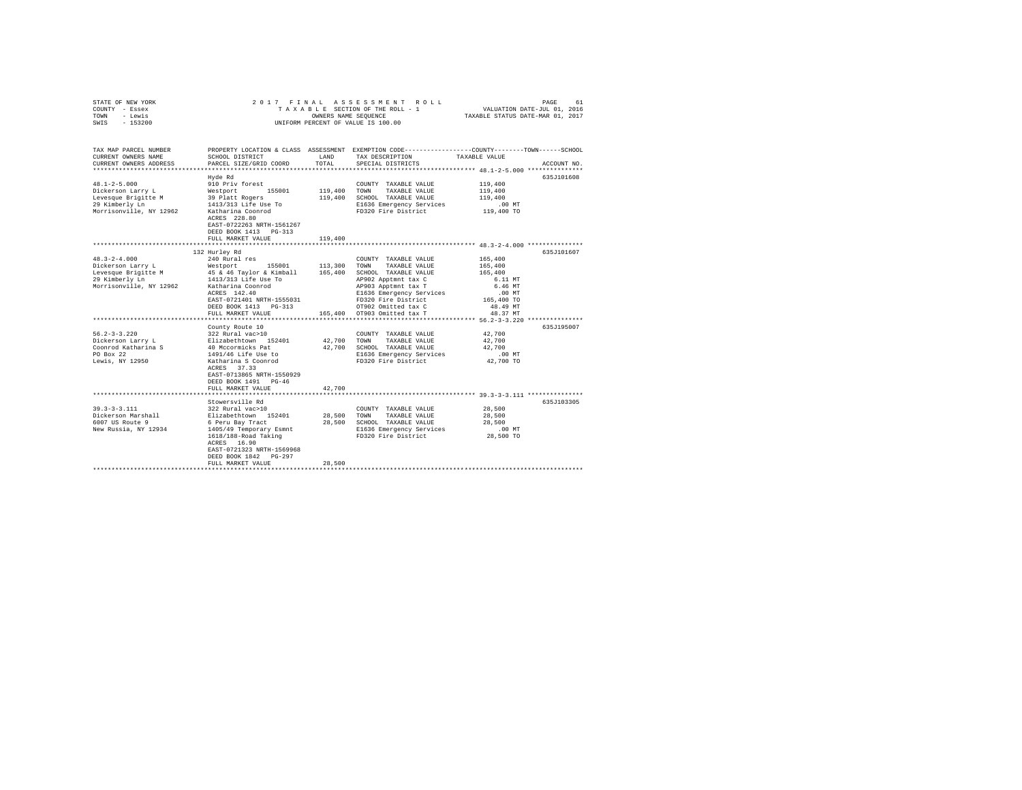| STATE OF NEW YORK                                                                                                                                                                                                                                               | 2017 FINAL                                                                          |                        | ASSESSMENT ROLL                                                       | PAGE<br>61                                                                                      |
|-----------------------------------------------------------------------------------------------------------------------------------------------------------------------------------------------------------------------------------------------------------------|-------------------------------------------------------------------------------------|------------------------|-----------------------------------------------------------------------|-------------------------------------------------------------------------------------------------|
| COUNTY - Essex                                                                                                                                                                                                                                                  |                                                                                     |                        | TAXABLE SECTION OF THE ROLL - 1                                       | VALUATION DATE-JUL 01, 2016<br>TAXABLE STATUS DATE-MAR 01, 2017                                 |
| - Lewis<br>TOWN                                                                                                                                                                                                                                                 |                                                                                     |                        | OWNERS NAME SEQUENCE                                                  |                                                                                                 |
| $-153200$<br>SWIS                                                                                                                                                                                                                                               |                                                                                     |                        | UNIFORM PERCENT OF VALUE IS 100.00                                    |                                                                                                 |
|                                                                                                                                                                                                                                                                 |                                                                                     |                        |                                                                       |                                                                                                 |
|                                                                                                                                                                                                                                                                 |                                                                                     |                        |                                                                       |                                                                                                 |
| TAX MAP PARCEL NUMBER<br>CURRENT OWNERS NAME                                                                                                                                                                                                                    | SCHOOL DISTRICT                                                                     | LAND                   | TAX DESCRIPTION TAXABLE VALUE                                         | PROPERTY LOCATION & CLASS ASSESSMENT EXEMPTION CODE---------------COUNTY-------TOWN------SCHOOL |
| CURRENT OWNERS ADDRESS                                                                                                                                                                                                                                          | PARCEL SIZE/GRID COORD                                                              | TOTAL                  | SPECIAL DISTRICTS                                                     | ACCOUNT NO.                                                                                     |
|                                                                                                                                                                                                                                                                 |                                                                                     |                        |                                                                       |                                                                                                 |
|                                                                                                                                                                                                                                                                 | Hyde Rd                                                                             |                        |                                                                       | 635J101608                                                                                      |
| $48.1 - 2 - 5.000$                                                                                                                                                                                                                                              | 910 Priv forest                                                                     |                        | COUNTY TAXABLE VALUE                                                  | 119,400                                                                                         |
| Dickerson Larry L                                                                                                                                                                                                                                               |                                                                                     | 119,400                | TOWN<br>TAXABLE VALUE                                                 | 119,400                                                                                         |
| Levesque Brigitte M                                                                                                                                                                                                                                             |                                                                                     |                        | 119,400 SCHOOL TAXABLE VALUE                                          | 119,400                                                                                         |
| 29 Kimberly Ln                                                                                                                                                                                                                                                  | Westport 155001<br>39 Platt Rogers<br>1413/313 Life Use To                          |                        | E1636 Emergency Services                                              | $.00$ MT                                                                                        |
| Morrisonville, NY 12962                                                                                                                                                                                                                                         | Katharina Coonrod                                                                   |                        | FD320 Fire District                                                   | 119,400 TO                                                                                      |
|                                                                                                                                                                                                                                                                 | ACRES 228.80                                                                        |                        |                                                                       |                                                                                                 |
|                                                                                                                                                                                                                                                                 | EAST-0722263 NRTH-1561267                                                           |                        |                                                                       |                                                                                                 |
|                                                                                                                                                                                                                                                                 | DEED BOOK 1413 PG-313                                                               |                        |                                                                       |                                                                                                 |
|                                                                                                                                                                                                                                                                 | FULL MARKET VALUE                                                                   | 119,400                |                                                                       |                                                                                                 |
|                                                                                                                                                                                                                                                                 |                                                                                     |                        |                                                                       |                                                                                                 |
|                                                                                                                                                                                                                                                                 | 132 Hurley Rd                                                                       |                        |                                                                       | 635J101607                                                                                      |
| $48.3 - 2 - 4.000$                                                                                                                                                                                                                                              | 240 Rural res                                                                       |                        | COUNTY TAXABLE VALUE                                                  | 165,400                                                                                         |
| Dickerson Larry L                                                                                                                                                                                                                                               | Westport 155001 113,300<br>45 & 46 Taylor & Kimball 165,400<br>1413/313 Life Use To |                        | TOWN<br>TAXABLE VALUE                                                 | 165,400                                                                                         |
| Levesque Brigitte M<br>29 Kimberly Ln                                                                                                                                                                                                                           |                                                                                     |                        | SCHOOL TAXABLE VALUE                                                  | 165,400                                                                                         |
| Morrisonville, NY 12962                                                                                                                                                                                                                                         |                                                                                     |                        | AP902 Apptmnt tax C<br>AP903 Apptmnt tax T                            | 6.11 MT<br>6.46 MT                                                                              |
|                                                                                                                                                                                                                                                                 | Katharina Coonrod<br>ACRES 142.40                                                   |                        | E1636 Emergency Services                                              | $.00$ MT                                                                                        |
|                                                                                                                                                                                                                                                                 | EAST-0721401 NRTH-1555031                                                           |                        | ----- swergency Services<br>FD320 Fire District<br>organ of the state | 165,400 TO                                                                                      |
|                                                                                                                                                                                                                                                                 | DEED BOOK 1413 PG-313                                                               |                        | OT902 Omitted tax C<br>165,400 OT903 Omitted tax T                    | 48.49 MT                                                                                        |
|                                                                                                                                                                                                                                                                 | FULL MARKET VALUE                                                                   |                        |                                                                       | 48.37 MT                                                                                        |
|                                                                                                                                                                                                                                                                 |                                                                                     |                        |                                                                       |                                                                                                 |
|                                                                                                                                                                                                                                                                 | County Route 10                                                                     |                        |                                                                       | 635J195007                                                                                      |
| $56.2 - 3 - 3.220$                                                                                                                                                                                                                                              | 322 Rural vac>10                                                                    |                        | COUNTY TAXABLE VALUE                                                  | 42,700                                                                                          |
|                                                                                                                                                                                                                                                                 |                                                                                     | 42,700                 | TOWN<br>TAXABLE VALUE                                                 | 42,700                                                                                          |
|                                                                                                                                                                                                                                                                 |                                                                                     |                        | 42.700 SCHOOL TAXABLE VALUE                                           | 42,700                                                                                          |
| Dickerson Larry L<br>Coonrod Katharina S<br>The Source of Abraham S<br>PO Box 22<br>Po Box 22<br>De Box 22<br>De Box 22<br>De Box 22<br>De Box 22<br>De Box 22<br>De Box 22<br>De Box 22<br>De Box 22<br>De Box 22<br>De Box 22<br>De Box 22<br>De Box 22<br>De |                                                                                     |                        | E1636 Emergency Services                                              | $.00$ MT                                                                                        |
| Lewis, NY 12950                                                                                                                                                                                                                                                 | Katharina S Coonrod                                                                 |                        | FD320 Fire District                                                   | 42,700 TO                                                                                       |
|                                                                                                                                                                                                                                                                 | ACRES 37.33                                                                         |                        |                                                                       |                                                                                                 |
|                                                                                                                                                                                                                                                                 | EAST-0713865 NRTH-1550929                                                           |                        |                                                                       |                                                                                                 |
|                                                                                                                                                                                                                                                                 | DEED BOOK 1491 PG-46                                                                |                        |                                                                       |                                                                                                 |
|                                                                                                                                                                                                                                                                 | FULL MARKET VALUE                                                                   | 42,700<br>************ |                                                                       |                                                                                                 |
|                                                                                                                                                                                                                                                                 | **************************                                                          |                        |                                                                       |                                                                                                 |
|                                                                                                                                                                                                                                                                 | Stowersville Rd                                                                     |                        |                                                                       | 635J103305                                                                                      |
| $39.3 - 3 - 3.111$<br>Dickerson Marshall                                                                                                                                                                                                                        | 322 Rural vac>10                                                                    | 28,500                 | COUNTY TAXABLE VALUE<br>TOWN                                          | 28,500<br>28,500                                                                                |
| 6007 US Route 9                                                                                                                                                                                                                                                 | Elizabethtown 152401<br>6 Peru Bay Tract                                            |                        | TAXABLE VALUE<br>28,500 SCHOOL TAXABLE VALUE                          | 28,500                                                                                          |
| New Russia, NY 12934                                                                                                                                                                                                                                            |                                                                                     |                        |                                                                       | $.00$ MT                                                                                        |
|                                                                                                                                                                                                                                                                 | 1405/49 Temporary Esmnt<br>1618/188-Road Taking                                     |                        | E1636 Emergency Services<br>FD320 Fire District                       | 28,500 TO                                                                                       |
|                                                                                                                                                                                                                                                                 | ACRES 16.90                                                                         |                        |                                                                       |                                                                                                 |
|                                                                                                                                                                                                                                                                 | EAST-0721323 NRTH-1569968                                                           |                        |                                                                       |                                                                                                 |
|                                                                                                                                                                                                                                                                 | DEED BOOK 1842 PG-297                                                               |                        |                                                                       |                                                                                                 |
|                                                                                                                                                                                                                                                                 | FULL MARKET VALUE                                                                   | 28,500                 |                                                                       |                                                                                                 |
|                                                                                                                                                                                                                                                                 |                                                                                     |                        |                                                                       |                                                                                                 |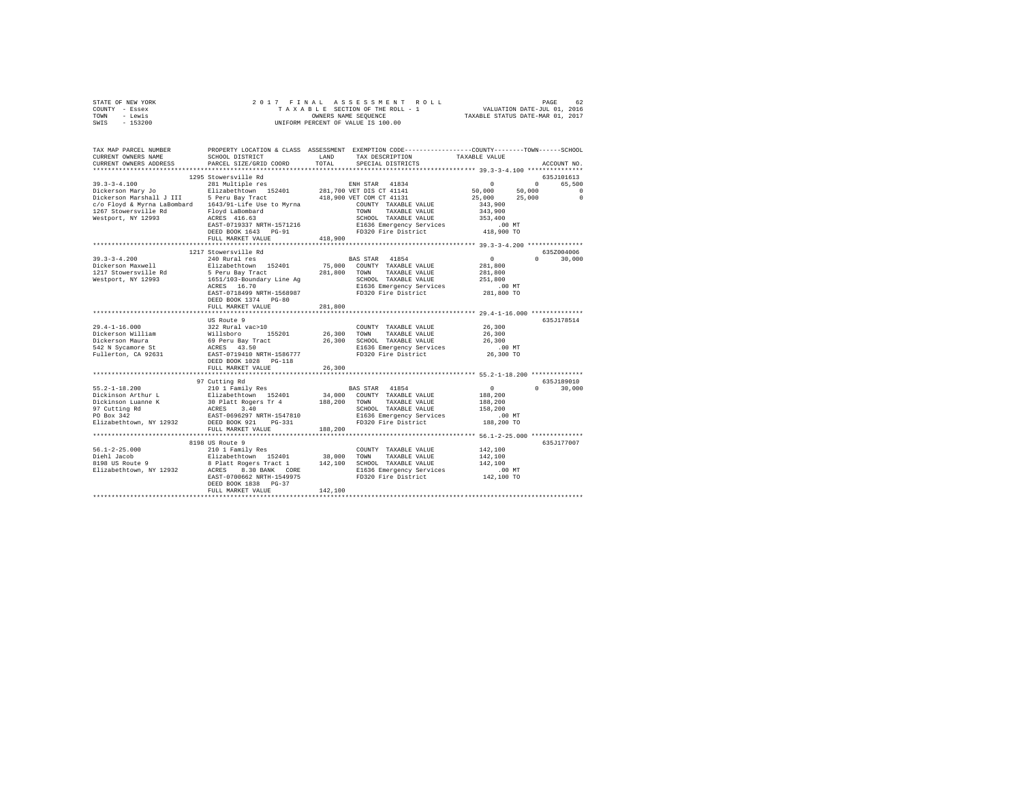| STATE OF NEW YORK                                                                                                                                                                                                                                                                                                                                                                                            |                                 |         |                                                         |                      |                    |
|--------------------------------------------------------------------------------------------------------------------------------------------------------------------------------------------------------------------------------------------------------------------------------------------------------------------------------------------------------------------------------------------------------------|---------------------------------|---------|---------------------------------------------------------|----------------------|--------------------|
| COUNTY - Essex                                                                                                                                                                                                                                                                                                                                                                                               |                                 |         |                                                         |                      |                    |
| TOWN - Lewis                                                                                                                                                                                                                                                                                                                                                                                                 |                                 |         |                                                         |                      |                    |
| SWIS - 153200                                                                                                                                                                                                                                                                                                                                                                                                |                                 |         |                                                         |                      |                    |
|                                                                                                                                                                                                                                                                                                                                                                                                              |                                 |         |                                                         |                      |                    |
|                                                                                                                                                                                                                                                                                                                                                                                                              |                                 |         |                                                         |                      |                    |
|                                                                                                                                                                                                                                                                                                                                                                                                              |                                 |         |                                                         |                      |                    |
| TAX MAP PARCEL NUMBER PROPERTY LOCATION & CLASS ASSESSMENT EXEMPTION CODE-------------COUNTY-------TOWN-----SCHOOL                                                                                                                                                                                                                                                                                           |                                 |         |                                                         |                      |                    |
| CURRENT OWNERS NAME                                                                                                                                                                                                                                                                                                                                                                                          | SCHOOL DISTRICT                 | LAND    | TAX DESCRIPTION                                         | TAXABLE VALUE        |                    |
| CURRENT OWNERS ADDRESS                                                                                                                                                                                                                                                                                                                                                                                       | PARCEL SIZE/GRID COORD          | TOTAL   | SPECIAL DISTRICTS                                       |                      | ACCOUNT NO.        |
|                                                                                                                                                                                                                                                                                                                                                                                                              |                                 |         |                                                         |                      |                    |
|                                                                                                                                                                                                                                                                                                                                                                                                              | 1295 Stowersville Rd            |         |                                                         |                      | 635J101613         |
|                                                                                                                                                                                                                                                                                                                                                                                                              |                                 |         |                                                         | $\sim$ 0             |                    |
| $39.3 - 3 - 4.100$                                                                                                                                                                                                                                                                                                                                                                                           | 281 Multiple res                |         | ENH STAR 41834                                          | 50,000               | 0 65,500           |
|                                                                                                                                                                                                                                                                                                                                                                                                              |                                 |         | 281,700 VET DIS CT 41141                                |                      | 50,000<br>$\sim$ 0 |
| Dickerson Mary Jo<br>Dickerson Marshall J III 5 Peru Bay Tract<br>15 Peru Bay Tract<br>1. The Marshall J III 5 Peru Bay Tract                                                                                                                                                                                                                                                                                |                                 |         | 418,900 VET COM CT 41131                                | 25,000 25,000        | $\sim$ 0           |
| $\begin{array}{ccccccccc} \texttt{C/O Floyd} & \texttt{& Nyrna} & \texttt{LaBombard} & \texttt{1643/91-Life Use to Myrna} & \texttt{COUNTY} & \texttt{TAXABLE VALUE} \\ \texttt{1267 Stowersville Rd} & \texttt{Nyrna} & \texttt{TAXABLE VALUE} & \texttt{YALUE} \\ \texttt{1267 Stowersville Rd} & \texttt{SVDM} & \texttt{TAXABLE VALUE} & \texttt{SVDM} & \texttt{TXATE} & \texttt{VALUE} \\ \end{array}$ |                                 |         |                                                         | 343,900              |                    |
|                                                                                                                                                                                                                                                                                                                                                                                                              |                                 |         |                                                         | 343,900              |                    |
| Westport, NY 12993                                                                                                                                                                                                                                                                                                                                                                                           | Floyd LaBombard<br>ACRES 416.63 |         | SCHOOL TAXABLE VALUE                                    | 353,400              |                    |
|                                                                                                                                                                                                                                                                                                                                                                                                              | EAST-0719337 NRTH-1571216       |         | E1636 Emergency Services<br>FD320 Fire District         | .00 MT               |                    |
|                                                                                                                                                                                                                                                                                                                                                                                                              | DEED BOOK 1643 PG-91            |         |                                                         | 418,900 TO           |                    |
|                                                                                                                                                                                                                                                                                                                                                                                                              | FULL MARKET VALUE               | 418,900 |                                                         |                      |                    |
|                                                                                                                                                                                                                                                                                                                                                                                                              |                                 |         |                                                         |                      |                    |
|                                                                                                                                                                                                                                                                                                                                                                                                              | 1217 Stowersville Rd            |         |                                                         |                      | 635Z004006         |
|                                                                                                                                                                                                                                                                                                                                                                                                              |                                 |         |                                                         |                      |                    |
| $39.3 - 3 - 4.200$                                                                                                                                                                                                                                                                                                                                                                                           | 240 Rural res                   |         | BAS STAR 41854                                          | $\sim$ 0             | $0 \t 30,000$      |
| Dickerson Maxwell                                                                                                                                                                                                                                                                                                                                                                                            | Elizabethtown 152401            |         | 75,000 COUNTY TAXABLE VALUE                             | 281,800              |                    |
| 1217 Stowersville Rd                                                                                                                                                                                                                                                                                                                                                                                         | 5 Peru Bay Tract                |         | 281,800 TOWN TAXABLE VALUE                              | 281,800              |                    |
| Westport, NY 12993                                                                                                                                                                                                                                                                                                                                                                                           |                                 |         |                                                         | 251,800              |                    |
|                                                                                                                                                                                                                                                                                                                                                                                                              |                                 |         |                                                         | $.00$ MT             |                    |
|                                                                                                                                                                                                                                                                                                                                                                                                              |                                 |         |                                                         | 281,800 TO           |                    |
|                                                                                                                                                                                                                                                                                                                                                                                                              | DEED BOOK 1374 PG-80            |         |                                                         |                      |                    |
|                                                                                                                                                                                                                                                                                                                                                                                                              | FULL MARKET VALUE               | 281,800 |                                                         |                      |                    |
|                                                                                                                                                                                                                                                                                                                                                                                                              |                                 |         |                                                         |                      |                    |
|                                                                                                                                                                                                                                                                                                                                                                                                              | US Route 9                      |         |                                                         |                      | 635J178514         |
| $29.4 - 1 - 16.000$                                                                                                                                                                                                                                                                                                                                                                                          |                                 |         | COUNTY TAXABLE VALUE 26,300                             |                      |                    |
|                                                                                                                                                                                                                                                                                                                                                                                                              |                                 |         |                                                         | 26,300               |                    |
|                                                                                                                                                                                                                                                                                                                                                                                                              |                                 |         | 26,300 TOWN TAXABLE VALUE                               |                      |                    |
|                                                                                                                                                                                                                                                                                                                                                                                                              |                                 |         | 26,300 SCHOOL TAXABLE VALUE<br>E1636 Emergency Services | 26,300               |                    |
|                                                                                                                                                                                                                                                                                                                                                                                                              |                                 |         | E1636 Emergency Services<br>FD320 Fire District         | $.00$ MT             |                    |
|                                                                                                                                                                                                                                                                                                                                                                                                              |                                 |         |                                                         | 26,300 TO            |                    |
|                                                                                                                                                                                                                                                                                                                                                                                                              | DEED BOOK 1028 PG-118           |         |                                                         |                      |                    |
|                                                                                                                                                                                                                                                                                                                                                                                                              | FULL MARKET VALUE               | 26,300  |                                                         |                      |                    |
|                                                                                                                                                                                                                                                                                                                                                                                                              |                                 |         |                                                         |                      |                    |
|                                                                                                                                                                                                                                                                                                                                                                                                              | 97 Cutting Rd                   |         |                                                         |                      | 635J189010         |
| $55.2 - 1 - 18.200$                                                                                                                                                                                                                                                                                                                                                                                          | 210 1 Family Res                |         | BAS STAR 41854                                          | $\sim$ 0             | $0 \t 30,000$      |
|                                                                                                                                                                                                                                                                                                                                                                                                              |                                 |         |                                                         | 188,200              |                    |
| Dickinson Arthur L<br>Dickinson Luanne K                                                                                                                                                                                                                                                                                                                                                                     |                                 |         |                                                         | 188,200              |                    |
|                                                                                                                                                                                                                                                                                                                                                                                                              |                                 |         |                                                         |                      |                    |
| 97 Cutting Rd<br>PO Box 342                                                                                                                                                                                                                                                                                                                                                                                  |                                 |         | SCHOOL TAXABLE VALUE                                    | 158,200              |                    |
|                                                                                                                                                                                                                                                                                                                                                                                                              |                                 |         | E1636 Emergency Services                                | $.00$ MT             |                    |
| Elizabethtown, NY 12932 DEED BOOK 921 PG-331                                                                                                                                                                                                                                                                                                                                                                 |                                 |         | FD320 Fire District                                     | 188,200 TO           |                    |
|                                                                                                                                                                                                                                                                                                                                                                                                              | FULL MARKET VALUE               | 188,200 |                                                         |                      |                    |
|                                                                                                                                                                                                                                                                                                                                                                                                              |                                 |         |                                                         |                      |                    |
|                                                                                                                                                                                                                                                                                                                                                                                                              | 8198 US Route 9                 |         |                                                         |                      | 635J177007         |
|                                                                                                                                                                                                                                                                                                                                                                                                              |                                 |         |                                                         | 142,100              |                    |
|                                                                                                                                                                                                                                                                                                                                                                                                              |                                 |         |                                                         | 142,100              |                    |
|                                                                                                                                                                                                                                                                                                                                                                                                              |                                 |         |                                                         | 142,100              |                    |
|                                                                                                                                                                                                                                                                                                                                                                                                              |                                 |         |                                                         |                      |                    |
|                                                                                                                                                                                                                                                                                                                                                                                                              |                                 |         |                                                         | .00 MT<br>142,100 TO |                    |
|                                                                                                                                                                                                                                                                                                                                                                                                              |                                 |         |                                                         |                      |                    |
|                                                                                                                                                                                                                                                                                                                                                                                                              |                                 |         |                                                         |                      |                    |
|                                                                                                                                                                                                                                                                                                                                                                                                              | FULL MARKET VALUE               | 142,100 |                                                         |                      |                    |
|                                                                                                                                                                                                                                                                                                                                                                                                              |                                 |         |                                                         |                      |                    |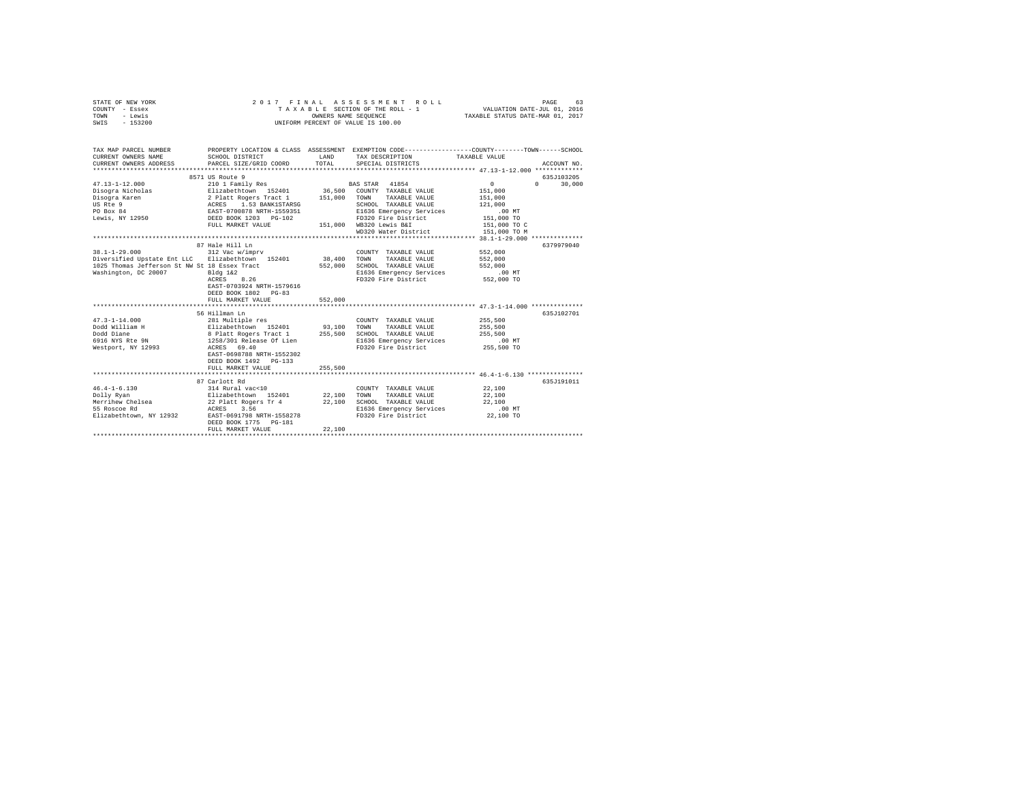| STATE OF NEW YORK<br>COUNTY - Essex              | 2017<br>FINAL                                                                 |                      | ASSESSMENT<br>ROLL<br>TAXABLE SECTION OF THE ROLL - 1                                           | VALUATION DATE-JUL 01, 2016      | PAGE<br>63  |
|--------------------------------------------------|-------------------------------------------------------------------------------|----------------------|-------------------------------------------------------------------------------------------------|----------------------------------|-------------|
| TOWN<br>- Lewis                                  |                                                                               | OWNERS NAME SEQUENCE |                                                                                                 | TAXABLE STATUS DATE-MAR 01, 2017 |             |
| $-153200$<br>SWIS                                |                                                                               |                      | UNIFORM PERCENT OF VALUE IS 100.00                                                              |                                  |             |
| TAX MAP PARCEL NUMBER                            |                                                                               |                      | PROPERTY LOCATION & CLASS ASSESSMENT EXEMPTION CODE---------------COUNTY-------TOWN------SCHOOL |                                  |             |
| CURRENT OWNERS NAME<br>CURRENT OWNERS ADDRESS    | SCHOOL DISTRICT<br>PARCEL SIZE/GRID COORD                                     | LAND<br>TOTAL        | TAX DESCRIPTION<br>SPECIAL DISTRICTS                                                            | TAXABLE VALUE                    | ACCOUNT NO. |
|                                                  |                                                                               |                      |                                                                                                 |                                  |             |
|                                                  | 8571 US Route 9                                                               |                      |                                                                                                 |                                  | 635J103205  |
| $47.13 - 1 - 12.000$                             | 210 1 Family Res                                                              |                      | BAS STAR 41854                                                                                  | $\mathbf{0}$<br>$\Omega$         | 30,000      |
| Disogra Nicholas                                 | Elizabethtown 152401                                                          |                      | 36,500 COUNTY TAXABLE VALUE                                                                     | 151,000                          |             |
| Disogra Karen                                    |                                                                               | 151,000              | TOWN TAXABLE VALUE                                                                              | 151,000                          |             |
| US Rte 9                                         | 2 Platt Rogers Tract 1<br>ACRES 1.53 BANK1STARSG<br>EAST-0700878 NRTH-1559351 |                      | SCHOOL TAXABLE VALUE                                                                            | 121,000                          |             |
| PO Box 84                                        |                                                                               |                      | E1636 Emergency Services                                                                        | $.00$ MT                         |             |
| Lewis, NY 12950                                  | DEED BOOK 1203 PG-102                                                         |                      | FD320 Fire District                                                                             | 151,000 TO                       |             |
|                                                  | FULL MARKET VALUE                                                             |                      | 151,000 WB320 Lewis B&I                                                                         | 151,000 TO C                     |             |
|                                                  |                                                                               |                      | WD320 Water District                                                                            | 151,000 TO M                     |             |
|                                                  | 87 Hale Hill Ln                                                               |                      |                                                                                                 |                                  | 6379979040  |
| $38.1 - 1 - 29.000$                              | 312 Vac w/imprv                                                               |                      | COUNTY TAXABLE VALUE                                                                            | 552,000                          |             |
| Diversified Upstate Ent LLC Elizabethtown 152401 |                                                                               | 38,400               | <b>TOWN</b><br>TAXABLE VALUE                                                                    | 552,000                          |             |
| 1025 Thomas Jefferson St NW St 18 Essex Tract    |                                                                               | 552,000              | SCHOOL TAXABLE VALUE                                                                            | 552,000                          |             |
| Washington, DC 20007                             | Bldg 1&2                                                                      |                      | E1636 Emergency Services                                                                        | .00 MT                           |             |
|                                                  | ACRES 8.26                                                                    |                      | FD320 Fire District                                                                             | 552,000 TO                       |             |
|                                                  | EAST-0703924 NRTH-1579616                                                     |                      |                                                                                                 |                                  |             |
|                                                  | DEED BOOK 1802 PG-83                                                          |                      |                                                                                                 |                                  |             |
|                                                  | FULL MARKET VALUE                                                             | 552,000              |                                                                                                 |                                  |             |
|                                                  |                                                                               |                      |                                                                                                 |                                  |             |
|                                                  | 56 Hillman Ln                                                                 |                      |                                                                                                 |                                  | 635J102701  |
| $47.3 - 1 - 14.000$                              | 281 Multiple res                                                              |                      | COUNTY TAXABLE VALUE                                                                            | 255,500                          |             |
| Dodd William H                                   | Elizabethtown 152401                                                          | 93,100               | TOWN<br>TAXABLE VALUE                                                                           | 255,500                          |             |
| Dodd Diane<br>6916 NYS Rte 9N                    | 8 Platt Rogers Tract 1<br>1258/301 Release Of Lien                            | 255,500              | SCHOOL TAXABLE VALUE                                                                            | 255,500<br>$.00$ MT              |             |
|                                                  | ACRES 69.40                                                                   |                      | E1636 Emergency Services<br>FD320 Fire District                                                 | 255,500 TO                       |             |
| Westport, NY 12993                               | EAST-0698788 NRTH-1552302                                                     |                      |                                                                                                 |                                  |             |
|                                                  | DEED BOOK 1492 PG-133                                                         |                      |                                                                                                 |                                  |             |
|                                                  | FULL MARKET VALUE                                                             | 255,500              |                                                                                                 |                                  |             |
|                                                  |                                                                               |                      |                                                                                                 |                                  |             |
|                                                  | 87 Carlott Rd                                                                 |                      |                                                                                                 |                                  | 635J191011  |
| $46.4 - 1 - 6.130$                               | 314 Rural vac<10                                                              |                      | COUNTY TAXABLE VALUE                                                                            | 22,100                           |             |
| Dolly Ryan                                       | Elizabethtown 152401                                                          | 22,100               | TOWN<br>TAXABLE VALUE                                                                           | 22,100                           |             |
| Merrihew Chelsea                                 | 22 Platt Rogers Tr 4                                                          | 22,100               | SCHOOL TAXABLE VALUE                                                                            | 22,100                           |             |
| 55 Roscoe Rd                                     | ACRES 3.56                                                                    |                      | E1636 Emergency Services                                                                        | .00 MT                           |             |
| Elizabethtown, NY 12932                          | EAST-0691798 NRTH-1558278                                                     |                      | FD320 Fire District                                                                             | 22,100 TO                        |             |
|                                                  | DEED BOOK 1775 PG-181                                                         |                      |                                                                                                 |                                  |             |
|                                                  | FULL MARKET VALUE                                                             | 22,100               |                                                                                                 |                                  |             |
|                                                  |                                                                               |                      |                                                                                                 |                                  |             |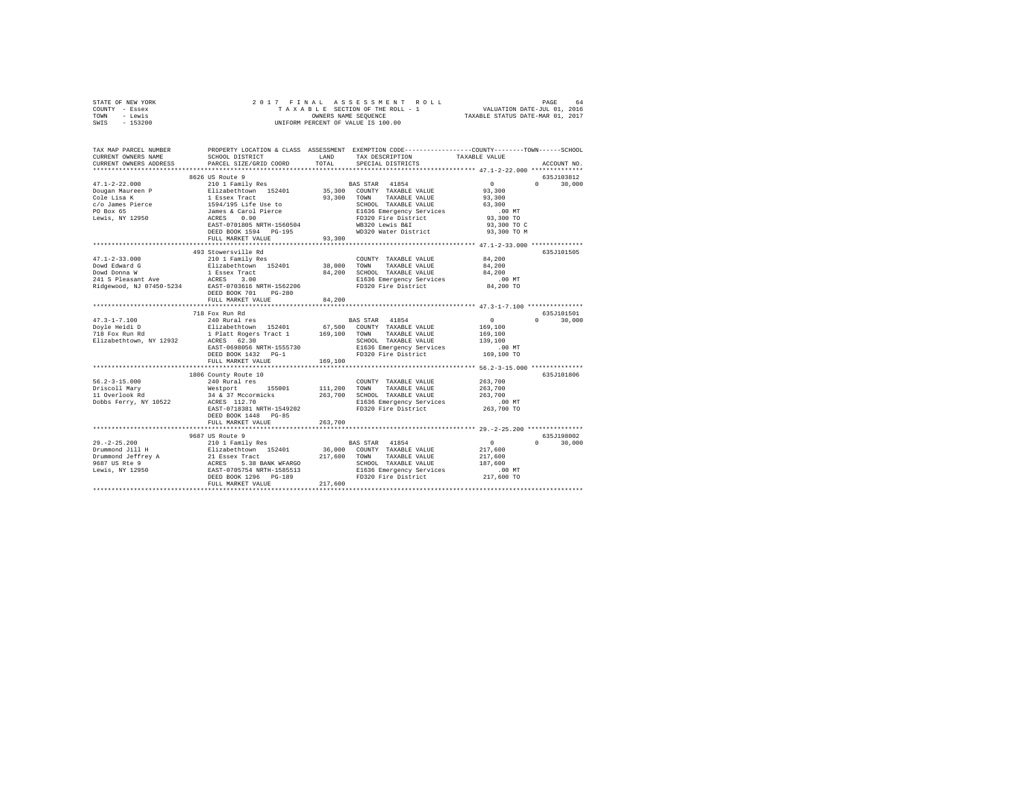| STATE OF NEW YORK                  | 2017 FINAL                                        |             | ${\tt AS} \text{ } {\tt S} \text{ } {\tt E} \text{ } {\tt S} \text{ } {\tt S} \text{ } {\tt M} \text{ } {\tt E} \text{ } \text{ } {\tt N} \text{ } {\tt N} \text{ } \text{ } {\tt N} \text{ } \text{ } {\tt N} \text{ } \text{ } {\tt N} \text{ } {\tt N} \text{ } {\tt N} \text{ } {\tt N} \text{ } {\tt N} \text{ } {\tt N} \text{ } {\tt N} \text{ } {\tt N} \text{ } {\tt N} \text{ } {\tt N} \text{ } {\tt N} \text{ } {\tt N} \text{ } {\tt N} \text{ } {\tt N} \text{ } {\tt N}$ |                                  |                    |
|------------------------------------|---------------------------------------------------|-------------|-----------------------------------------------------------------------------------------------------------------------------------------------------------------------------------------------------------------------------------------------------------------------------------------------------------------------------------------------------------------------------------------------------------------------------------------------------------------------------------------|----------------------------------|--------------------|
| COUNTY - Essex<br>- Lewis<br>TOWN  |                                                   |             | TAXABLE SECTION OF THE ROLL - 1<br>OWNERS NAME SEQUENCE                                                                                                                                                                                                                                                                                                                                                                                                                                 | TAXABLE STATUS DATE-MAR 01, 2017 |                    |
| $-153200$<br>SWIS                  |                                                   |             | UNIFORM PERCENT OF VALUE IS 100.00                                                                                                                                                                                                                                                                                                                                                                                                                                                      |                                  |                    |
|                                    |                                                   |             |                                                                                                                                                                                                                                                                                                                                                                                                                                                                                         |                                  |                    |
|                                    |                                                   |             |                                                                                                                                                                                                                                                                                                                                                                                                                                                                                         |                                  |                    |
| TAX MAP PARCEL NUMBER              |                                                   |             | PROPERTY LOCATION & CLASS ASSESSMENT EXEMPTION CODE-----------------COUNTY-------TOWN-----SCHOOL                                                                                                                                                                                                                                                                                                                                                                                        |                                  |                    |
| CURRENT OWNERS NAME                | SCHOOL DISTRICT                                   | LAND        | TAX DESCRIPTION                                                                                                                                                                                                                                                                                                                                                                                                                                                                         | TAXABLE VALUE                    |                    |
| CURRENT OWNERS ADDRESS             | PARCEL SIZE/GRID COORD                            | TOTAL       | SPECIAL DISTRICTS                                                                                                                                                                                                                                                                                                                                                                                                                                                                       |                                  | ACCOUNT NO.        |
| ************************           |                                                   |             |                                                                                                                                                                                                                                                                                                                                                                                                                                                                                         |                                  |                    |
|                                    | 8626 US Route 9                                   |             |                                                                                                                                                                                                                                                                                                                                                                                                                                                                                         |                                  | 635J103812         |
| $47.1 - 2 - 22.000$                | 210 1 Family Res                                  |             | BAS STAR<br>41854                                                                                                                                                                                                                                                                                                                                                                                                                                                                       | $\Omega$                         | $0 \t 30.000$      |
| Dougan Maureen P                   | Elizabethtown 152401                              |             | 35,300 COUNTY TAXABLE VALUE                                                                                                                                                                                                                                                                                                                                                                                                                                                             | 93,300                           |                    |
| Cole Lisa K                        |                                                   |             | 93.300 TOWN<br>TAXABLE VALUE                                                                                                                                                                                                                                                                                                                                                                                                                                                            | 93,300                           |                    |
| c/o James Pierce<br>PO Box 65      |                                                   |             | SCHOOL TAXABLE VALUE<br>SCHOOL TAXABLE VALUE<br>E1636 Emergency Services                                                                                                                                                                                                                                                                                                                                                                                                                | 63,300                           |                    |
|                                    |                                                   |             |                                                                                                                                                                                                                                                                                                                                                                                                                                                                                         | $.00$ MT                         |                    |
| Lewis, NY 12950                    |                                                   |             | FD320 Fire District                                                                                                                                                                                                                                                                                                                                                                                                                                                                     | 93,300 TO                        |                    |
|                                    | EAST-0701805 NRTH-1560504                         |             | WB320 Lewis B&I                                                                                                                                                                                                                                                                                                                                                                                                                                                                         | 93,300 TO C                      |                    |
|                                    | DEED BOOK 1594 PG-195                             |             | WD320 Water District                                                                                                                                                                                                                                                                                                                                                                                                                                                                    | 93,300 TO M                      |                    |
|                                    | FULL MARKET VALUE                                 | 93,300      |                                                                                                                                                                                                                                                                                                                                                                                                                                                                                         |                                  |                    |
|                                    |                                                   |             |                                                                                                                                                                                                                                                                                                                                                                                                                                                                                         |                                  |                    |
|                                    | 493 Stowersville Rd                               |             |                                                                                                                                                                                                                                                                                                                                                                                                                                                                                         |                                  | 635J101505         |
| $47.1 - 2 - 33.000$                | 210 1 Family Res                                  |             | COUNTY TAXABLE VALUE                                                                                                                                                                                                                                                                                                                                                                                                                                                                    | 84,200                           |                    |
| Dowd Edward G                      | Elizabethtown 152401                              | 38,000      | TOWN<br>TAXABLE VALUE                                                                                                                                                                                                                                                                                                                                                                                                                                                                   | 84,200                           |                    |
| Dowd Donna W<br>241 S Pleasant Ave | 1 Essex Tract                                     | 84,200      | SCHOOL TAXABLE VALUE                                                                                                                                                                                                                                                                                                                                                                                                                                                                    | 84,200                           |                    |
|                                    | ACRES 3.00                                        |             | E1636 Emergency Services                                                                                                                                                                                                                                                                                                                                                                                                                                                                | $.00$ MT                         |                    |
| Ridgewood, NJ 07450-5234           | EAST-0703616 NRTH-1562206<br>DEED BOOK 701 PG-280 |             | FD320 Fire District                                                                                                                                                                                                                                                                                                                                                                                                                                                                     | 84,200 TO                        |                    |
|                                    | FULL MARKET VALUE                                 | 84,200      |                                                                                                                                                                                                                                                                                                                                                                                                                                                                                         |                                  |                    |
|                                    | ************************                          | *********** |                                                                                                                                                                                                                                                                                                                                                                                                                                                                                         |                                  |                    |
|                                    | 718 Fox Run Rd                                    |             |                                                                                                                                                                                                                                                                                                                                                                                                                                                                                         |                                  | 635J101501         |
| $47.3 - 1 - 7.100$                 | 240 Rural res                                     |             | BAS STAR 41854                                                                                                                                                                                                                                                                                                                                                                                                                                                                          | $\sim$ 0                         | $\Omega$<br>30,000 |
| Doyle Heidi D<br>718 Fox Run Rd    | Elizabethtown 152401                              |             | 67,500 COUNTY TAXABLE VALUE                                                                                                                                                                                                                                                                                                                                                                                                                                                             | 169,100                          |                    |
|                                    | 1 Platt Rogers Tract 1 169,100 TOWN               |             | TAXABLE VALUE                                                                                                                                                                                                                                                                                                                                                                                                                                                                           | 169,100                          |                    |
| Elizabethtown, NY 12932            | ACRES 62.30                                       |             | SCHOOL TAXABLE VALUE                                                                                                                                                                                                                                                                                                                                                                                                                                                                    | 139,100                          |                    |
|                                    | EAST-0698056 NRTH-1555730                         |             | E1636 Emergency Services                                                                                                                                                                                                                                                                                                                                                                                                                                                                | $.00$ MT                         |                    |
|                                    | DEED BOOK 1432 PG-1                               |             | FD320 Fire District                                                                                                                                                                                                                                                                                                                                                                                                                                                                     | 169,100 TO                       |                    |
|                                    | FULL MARKET VALUE                                 | 169,100     |                                                                                                                                                                                                                                                                                                                                                                                                                                                                                         |                                  |                    |
|                                    | ******************************                    |             |                                                                                                                                                                                                                                                                                                                                                                                                                                                                                         |                                  |                    |
|                                    | 1806 County Route 10                              |             |                                                                                                                                                                                                                                                                                                                                                                                                                                                                                         |                                  | 635J101806         |
| $56.2 - 3 - 15.000$                | 240 Rural res                                     |             | COUNTY TAXABLE VALUE                                                                                                                                                                                                                                                                                                                                                                                                                                                                    | 263,700                          |                    |
| Driscoll Mary<br>11 Overlook Rd    | Westport 155001                                   | 111,200     | TOWN<br>TAXABLE VALUE                                                                                                                                                                                                                                                                                                                                                                                                                                                                   | 263,700                          |                    |
|                                    | 34 & 37 Mccormicks<br>ACRES 112.70                | 263,700     | SCHOOL TAXABLE VALUE                                                                                                                                                                                                                                                                                                                                                                                                                                                                    | 263,700                          |                    |
| Dobbs Ferry, NY 10522              |                                                   |             | E1636 Emergency Services                                                                                                                                                                                                                                                                                                                                                                                                                                                                | $.00$ MT                         |                    |
|                                    | EAST-0718381 NRTH-1549202                         |             | FD320 Fire District                                                                                                                                                                                                                                                                                                                                                                                                                                                                     | 263,700 TO                       |                    |
|                                    | DEED BOOK 1448 PG-85<br>FULL MARKET VALUE         |             |                                                                                                                                                                                                                                                                                                                                                                                                                                                                                         |                                  |                    |
|                                    |                                                   | 263,700     |                                                                                                                                                                                                                                                                                                                                                                                                                                                                                         |                                  |                    |
|                                    | 9687 US Route 9                                   |             |                                                                                                                                                                                                                                                                                                                                                                                                                                                                                         |                                  | 635J198002         |
| $29. -2 - 25.200$                  | 210 1 Family Res                                  |             | BAS STAR<br>41854                                                                                                                                                                                                                                                                                                                                                                                                                                                                       | $\sim$ 0                         | $\Omega$<br>30,000 |
|                                    |                                                   |             | 36,000 COUNTY TAXABLE VALUE                                                                                                                                                                                                                                                                                                                                                                                                                                                             | 217,600                          |                    |
|                                    |                                                   | 217,600     | TOWN<br>TAXABLE VALUE                                                                                                                                                                                                                                                                                                                                                                                                                                                                   | 217,600                          |                    |
|                                    |                                                   |             | SCHOOL TAXABLE VALUE                                                                                                                                                                                                                                                                                                                                                                                                                                                                    | 187,600                          |                    |
|                                    |                                                   |             |                                                                                                                                                                                                                                                                                                                                                                                                                                                                                         | .00 MT                           |                    |
|                                    | DEED BOOK 1296 PG-189                             |             | SCHOOL TAXABLE VALUE<br>E1636 Emergency Services<br>FD320 Fire District<br>FD320 Fire District                                                                                                                                                                                                                                                                                                                                                                                          | 217,600 TO                       |                    |
|                                    | FULL MARKET VALUE                                 | 217,600     |                                                                                                                                                                                                                                                                                                                                                                                                                                                                                         |                                  |                    |
|                                    |                                                   |             |                                                                                                                                                                                                                                                                                                                                                                                                                                                                                         |                                  |                    |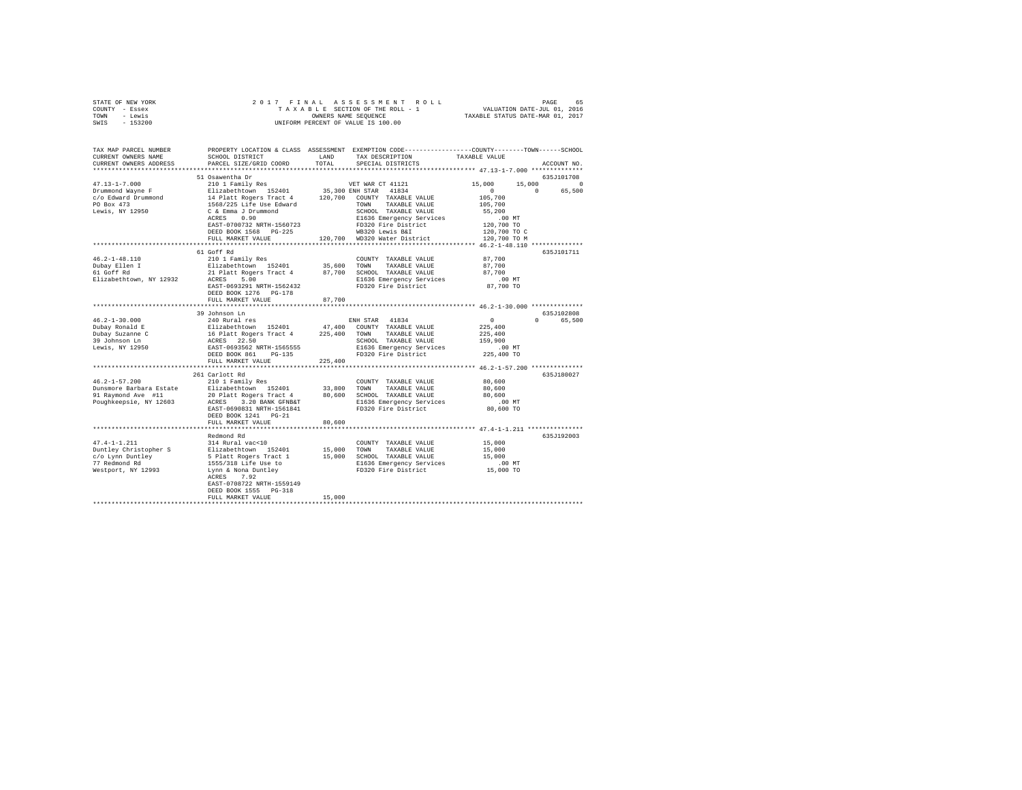| STATE OF NEW YORK                                   |                                                                                                 |              | 2017 FINAL ASSESSMENT ROLL                      |                                                       | PAGE<br>65  |
|-----------------------------------------------------|-------------------------------------------------------------------------------------------------|--------------|-------------------------------------------------|-------------------------------------------------------|-------------|
| COUNTY - Essex                                      |                                                                                                 |              | TAXABLE SECTION OF THE ROLL - 1                 | VALUATION DATE-JUL 01, 2016                           |             |
| TOWN - Lewis                                        |                                                                                                 |              | OWNERS NAME SEQUENCE                            | TAXABLE STATUS DATE-MAR 01, 2017                      |             |
| SWIS - 153200                                       |                                                                                                 |              | UNIFORM PERCENT OF VALUE IS 100.00              |                                                       |             |
|                                                     |                                                                                                 |              |                                                 |                                                       |             |
| TAX MAP PARCEL NUMBER                               | PROPERTY LOCATION & CLASS ASSESSMENT EXEMPTION CODE---------------COUNTY-------TOWN------SCHOOL |              |                                                 |                                                       |             |
| CURRENT OWNERS NAME                                 | SCHOOL DISTRICT                                                                                 | LAND         | TAX DESCRIPTION                                 | TAXABLE VALUE                                         |             |
| CURRENT OWNERS ADDRESS                              | PARCEL SIZE/GRID COORD                                                                          | TOTAL        | SPECIAL DISTRICTS                               |                                                       | ACCOUNT NO. |
|                                                     |                                                                                                 |              |                                                 |                                                       |             |
|                                                     | 51 Osawentha Dr                                                                                 |              |                                                 |                                                       | 635J101708  |
| $47.13 - 1 - 7.000$                                 | 210 1 Family Res                                                                                |              | VET WAR CT 41121                                | 15,000                                                | 15,000 0    |
| Drummond Wayne F                                    | Elizabethtown 152401 35,300 ENH STAR 41834                                                      |              |                                                 | $\sim$ 0<br>$\sim$ 0                                  | 65,500      |
| c/o Edward Drummond                                 | 14 Platt Rogers Tract 4 120,700 COUNTY TAXABLE VALUE                                            |              |                                                 | 105,700                                               |             |
| PO Box 473                                          | 1568/225 Life Use Edward                                                                        |              | TOWN<br>TAXABLE VALUE                           | 105,700                                               |             |
|                                                     | C & Emma J Drummond                                                                             |              | SCHOOL TAXABLE VALUE                            | 55,200                                                |             |
| Lewis, NY 12950                                     | ACRES 0.90                                                                                      |              |                                                 |                                                       |             |
|                                                     |                                                                                                 |              | E1636 Emergency Services<br>FD320 Fire District | $.00$ MT<br>120,700 TO                                |             |
|                                                     | EAST-0700732 NRTH-1560723                                                                       |              |                                                 |                                                       |             |
|                                                     | DEED BOOK 1568 PG-225                                                                           |              | WB320 Lewis B&I                                 | 120,700 TO C                                          |             |
|                                                     | FULL MARKET VALUE                                                                               |              | 120,700 WD320 Water District                    | 120,700 TO M                                          |             |
|                                                     |                                                                                                 |              |                                                 |                                                       |             |
|                                                     | 61 Goff Rd                                                                                      |              |                                                 |                                                       | 635J101711  |
| $46.2 - 1 - 48.110$                                 | 210 1 Family Res                                                                                |              | COUNTY TAXABLE VALUE                            | 87,700                                                |             |
| 46.2-1-1.<br>Dubay Ellen I<br>$\epsilon$ Pd         | Elizabethtown 152401 35,600 TOWN                                                                |              | TAXABLE VALUE                                   | 87,700                                                |             |
|                                                     | 21 Platt Rogers Tract 4 87,700 SCHOOL TAXABLE VALUE                                             |              |                                                 | 87,700                                                |             |
| Elizabethtown, NY 12932                             | ACRES 5.00                                                                                      |              | E1636 Emergency Services                        | .00 MT                                                |             |
|                                                     | EAST-0693291 NRTH-1562432                                                                       |              | FD320 Fire District                             | 87,700 TO                                             |             |
|                                                     | DEED BOOK 1276 PG-178                                                                           |              |                                                 |                                                       |             |
|                                                     | FULL MARKET VALUE                                                                               | 87,700       |                                                 |                                                       |             |
|                                                     |                                                                                                 |              |                                                 |                                                       |             |
|                                                     | 39 Johnson Ln                                                                                   |              |                                                 |                                                       | 635J102808  |
| $46.2 - 1 - 30.000$                                 | 240 Rural res                                                                                   |              | ENH STAR 41834                                  | $\Omega$                                              | 0 65,500    |
| Dubay Ronald E                                      |                                                                                                 |              |                                                 | 225,400                                               |             |
|                                                     |                                                                                                 |              |                                                 | 225,400                                               |             |
|                                                     | ACRES 22.50                                                                                     |              | SCHOOL TAXABLE VALUE                            | 159,900                                               |             |
| Dubay Suzanne C<br>39 Johnson Ln<br>Lewis, NY 12950 | EAST-0693562 NRTH-1565555                                                                       |              | E1636 Emergency Services                        | .00 MT                                                |             |
|                                                     | DEED BOOK 861 PG-135                                                                            |              | FD320 Fire District                             | 225,400 TO                                            |             |
|                                                     | FULL MARKET VALUE                                                                               | 225,400      |                                                 |                                                       |             |
|                                                     |                                                                                                 |              |                                                 |                                                       |             |
|                                                     | 261 Carlott Rd                                                                                  |              |                                                 |                                                       | 635J180027  |
| $46.2 - 1 - 57.200$                                 |                                                                                                 |              |                                                 |                                                       |             |
|                                                     | 210 1 Family Res                                                                                |              | COUNTY TAXABLE VALUE                            | 80,600                                                |             |
| Dunsmore Barbara Estate                             | Elizabethtown 152401                                                                            | 33,800       | TOWN<br>TAXABLE VALUE                           | 80,600                                                |             |
| 91 Raymond Ave #11                                  | 20 Platt Rogers Tract 4 80,600 SCHOOL TAXABLE VALUE                                             |              |                                                 | 80,600                                                |             |
| Poughkeepsie, NY 12603                              | ACRES 3.20 BANK GFNB&T                                                                          |              | E1636 Emergency Services                        | .00MT                                                 |             |
|                                                     | EAST-0690831 NRTH-1561841                                                                       |              | FD320 Fire District                             | 80,600 TO                                             |             |
|                                                     | DEED BOOK 1241 PG-21                                                                            |              |                                                 |                                                       |             |
|                                                     | FULL MARKET VALUE                                                                               | 80,600       |                                                 |                                                       |             |
|                                                     | **************************                                                                      | ************ |                                                 | ************************ 47.4-1-1.211 *************** |             |
|                                                     | Redmond Rd                                                                                      |              |                                                 |                                                       | 635J192003  |
| $47.4 - 1 - 1.211$                                  | 314 Rural vac<10                                                                                |              | COUNTY TAXABLE VALUE                            | 15,000                                                |             |
| Duntley Christopher S                               | Elizabethtown 152401 15,000                                                                     |              | TOWN<br>TAXABLE VALUE                           | 15,000                                                |             |
| c/o Lynn Duntley                                    | 5 Platt Rogers Tract 1                                                                          | 15,000       | SCHOOL TAXABLE VALUE                            | 15,000                                                |             |
| 77 Redmond Rd                                       | 1555/318 Life Use to                                                                            |              | E1636 Emergency Services                        | .00 MT                                                |             |

| Westport, NY 12993 | Lynn & Nona Duntley       | FD320 Fire District | 15,000 TO |
|--------------------|---------------------------|---------------------|-----------|
|                    | 7.92<br>ACRES             |                     |           |
|                    | EAST-0708722 NRTH-1559149 |                     |           |
|                    | DEED BOOK 1555 PG-318     |                     |           |
|                    | FULL MARKET VALUE         | 15,000              |           |
|                    |                           |                     |           |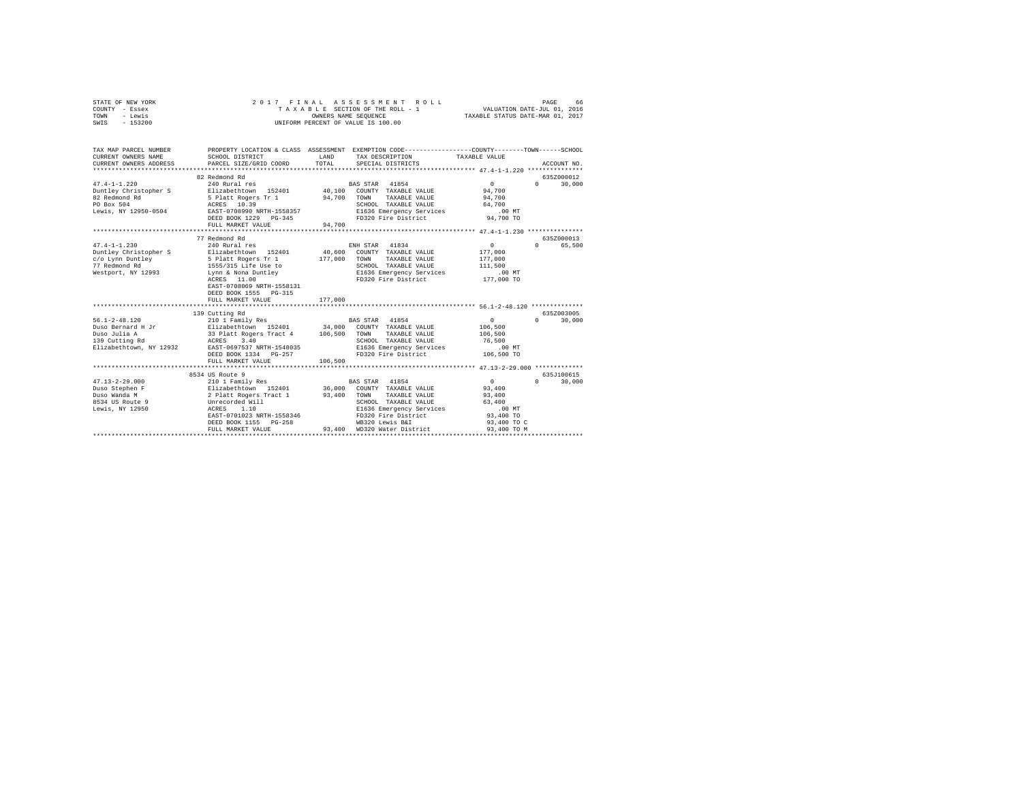|                | STATE OF NEW YORK     |                                      |      | 2017 FINAL ASSESSMENT ROLL         | 66<br>PAGE                                                        |
|----------------|-----------------------|--------------------------------------|------|------------------------------------|-------------------------------------------------------------------|
| COUNTY - Essex |                       |                                      |      | TAXABLE SECTION OF THE ROLL - 1    | VALUATION DATE-JUL 01, 2016                                       |
| TOWN           | - Lewis               |                                      |      | OWNERS NAME SEOUENCE               | TAXABLE STATUS DATE-MAR 01, 2017                                  |
| SWIS           | $-153200$             |                                      |      | UNIFORM PERCENT OF VALUE IS 100.00 |                                                                   |
|                |                       |                                      |      |                                    |                                                                   |
|                |                       |                                      |      |                                    |                                                                   |
|                |                       |                                      |      |                                    |                                                                   |
|                | TAX MAP PARCEL NUMBER | PROPERTY LOCATION & CLASS ASSESSMENT |      |                                    | EXEMPTION CODE----------------COUNTY-------TOWN-----<br>- SCHOOL. |
|                | CURRENT OWNERS NAME   | SCHOOL DISTRICT                      | LAND | TAX DESCRIPTION                    | TAXABLE VALUE                                                     |
|                |                       |                                      |      |                                    |                                                                   |

| CURRENT OWNERS ADDRESS                                                                                 | PARCEL SIZE/GRID COORD                                                                                                                                                                                                 | SPECIAL DISTRICTS<br>TOTAL<br>************************************** 47.4-1-1.220 ***************                                                                                                                      | ACCOUNT NO.                                                                                                                    |
|--------------------------------------------------------------------------------------------------------|------------------------------------------------------------------------------------------------------------------------------------------------------------------------------------------------------------------------|------------------------------------------------------------------------------------------------------------------------------------------------------------------------------------------------------------------------|--------------------------------------------------------------------------------------------------------------------------------|
|                                                                                                        |                                                                                                                                                                                                                        |                                                                                                                                                                                                                        |                                                                                                                                |
| $47.4 - 1 - 1.220$<br>Duntley Christopher S<br>82 Redmond Rd<br>PO Box 504<br>Lewis, NY 12950-0504     | 82 Redmond Rd<br>240 Rural res<br>Elizabethtown 152401<br>5 Platt Rogers Tr 1<br>ACRES 10.39<br>EAST-0708990 NRTH-1558357<br>DEED BOOK 1229 PG-345<br>FULL MARKET VALUE                                                | BAS STAR<br>41854<br>40,100 COUNTY TAXABLE VALUE<br>94,700<br>TOWN<br>TAXABLE VALUE<br>SCHOOL TAXABLE VALUE<br>E1636 Emergency Services<br>FD320 Fire District<br>94,700                                               | 635Z000012<br>$\circ$<br>$\Omega$<br>30,000<br>94,700<br>94,700<br>64,700<br>.00MT<br>94,700 TO                                |
|                                                                                                        | ***********************                                                                                                                                                                                                |                                                                                                                                                                                                                        |                                                                                                                                |
| $47.4 - 1 - 1.230$<br>Duntley Christopher S<br>c/o Lynn Duntley<br>77 Redmond Rd<br>Westport, NY 12993 | 77 Redmond Rd<br>240 Rural res<br>Elizabethtown 152401<br>5 Platt Rogers Tr 1<br>1555/315 Life Use to<br>Lynn & Nona Duntley<br>ACRES 11.00<br>EAST-0708069 NRTH-1558131<br>DEED BOOK 1555 PG-315<br>FULL MARKET VALUE | ENH STAR 41834<br>40,600<br>COUNTY TAXABLE VALUE<br>177,000<br>TOWN<br>TAXABLE VALUE<br>SCHOOL TAXABLE VALUE<br>E1636 Emergency Services<br>FD320 Fire District<br>177,000                                             | 635Z000013<br>$^{\circ}$<br>$\Omega$<br>65,500<br>177,000<br>177,000<br>111,500<br>.00MT<br>177,000 TO                         |
|                                                                                                        |                                                                                                                                                                                                                        |                                                                                                                                                                                                                        |                                                                                                                                |
| $56.1 - 2 - 48.120$<br>Duso Bernard H Jr<br>Duso Julia A<br>139 Cutting Rd<br>Elizabethtown, NY 12932  | 139 Cutting Rd<br>210 1 Family Res<br>Elizabethtown 152401<br>33 Platt Rogers Tract 4<br>3.40<br>ACRES<br>EAST-0697537 NRTH-1548035<br>DEED BOOK 1334 PG-257<br>FULL MARKET VALUE                                      | BAS STAR 41854<br>34,000 COUNTY TAXABLE VALUE<br>106,500<br>TOWN<br>TAXABLE VALUE<br>SCHOOL TAXABLE VALUE<br>E1636 Emergency Services<br>FD320 Fire District<br>106,500                                                | 635Z003005<br>$\circ$<br>$\Omega$<br>30,000<br>106,500<br>106,500<br>76.500<br>.00MT<br>106,500 TO                             |
| $47.13 - 2 - 29.000$<br>Duso Stephen F<br>Duso Wanda M<br>8534 US Route 9<br>Lewis, NY 12950           | 8534 US Route 9<br>210 1 Family Res<br>Elizabethtown 152401<br>2 Platt Rogers Tract 1<br>Unrecorded Will<br>1.10<br>ACRES<br>EAST-0701023 NRTH-1558346<br>DEED BOOK 1155 PG-258<br>FULL MARKET VALUE                   | BAS STAR<br>41854<br>36,000<br>COUNTY TAXABLE VALUE<br>93,400<br>TOWN<br>TAXABLE VALUE<br>SCHOOL TAXABLE VALUE<br>E1636 Emergency Services<br>FD320 Fire District<br>WB320 Lewis B&I<br>93,400<br>WD320 Water District | 635J100615<br>30,000<br>$\Omega$<br>$\Omega$<br>93,400<br>93,400<br>63,400<br>.00MT<br>93,400 TO<br>93,400 TO C<br>93,400 TO M |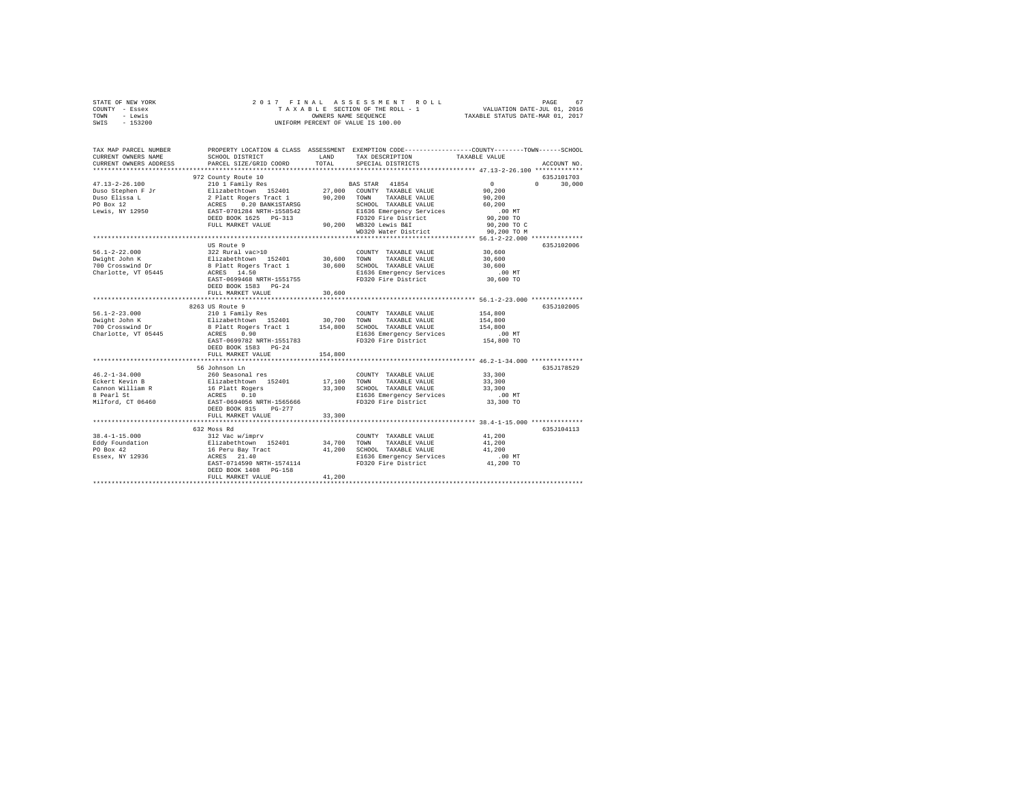| STATE OF NEW YORK              | 2017 FINAL                                                                                             |                      |                                                                                                |                            |             |
|--------------------------------|--------------------------------------------------------------------------------------------------------|----------------------|------------------------------------------------------------------------------------------------|----------------------------|-------------|
| COUNTY - Essex                 |                                                                                                        |                      | TAXABLE SECTION OF THE ROLL - 1                                                                |                            |             |
| - Lewis<br>TOWN                |                                                                                                        | OWNERS NAME SEQUENCE |                                                                                                |                            |             |
| SWIS<br>$-153200$              |                                                                                                        |                      | UNIFORM PERCENT OF VALUE IS 100.00                                                             |                            |             |
|                                |                                                                                                        |                      |                                                                                                |                            |             |
| TAX MAP PARCEL NUMBER          |                                                                                                        |                      | PROPERTY LOCATION & CLASS ASSESSMENT EXEMPTION CODE---------------COUNTY-------TOWN-----SCHOOL |                            |             |
| CURRENT OWNERS NAME            | SCHOOL DISTRICT                                                                                        | LAND                 | TAX DESCRIPTION                                                                                | TAXABLE VALUE              |             |
|                                |                                                                                                        |                      |                                                                                                |                            |             |
| CURRENT OWNERS ADDRESS         | PARCEL SIZE/GRID COORD                                                                                 | TOTAL                | SPECIAL DISTRICTS                                                                              |                            | ACCOUNT NO. |
|                                |                                                                                                        |                      |                                                                                                |                            |             |
|                                | 972 County Route 10                                                                                    |                      |                                                                                                |                            | 635J101703  |
| $47.13 - 2 - 26.100$           | 210 1 Family Res                                                                                       |                      | BAS STAR 41854                                                                                 | $\overline{0}$<br>$\Omega$ | 30,000      |
| Duso Stephen F Jr              | Elizabethtown 152401                                                                                   |                      | 27,000 COUNTY TAXABLE VALUE                                                                    | 90.200                     |             |
| Duso Elissa L                  |                                                                                                        | 90,200               | TOWN<br>TAXABLE VALUE                                                                          | 90,200                     |             |
| PO Box 12                      | 0.20 BANK1STARSG                                                                                       |                      | SCHOOL TAXABLE VALUE                                                                           | 60,200                     |             |
| Lewis, NY 12950                | 2 Platt Rogers Tract 1<br>ACRES 0.20 BANK1STARSG<br>EAST-0701284 NRTH-1558542<br>DEED BOOK 1625 PG-313 |                      | E1636 Emergency Services                                                                       | $.00$ MT                   |             |
|                                |                                                                                                        |                      | FD320 Fire District                                                                            | 90,200 TO                  |             |
|                                | FULL MARKET VALUE                                                                                      |                      | 90,200 WB320 Lewis B&I                                                                         | 90,200 TO C                |             |
|                                |                                                                                                        |                      | WD320 Water District                                                                           | 90,200 TO M                |             |
|                                |                                                                                                        |                      |                                                                                                |                            |             |
|                                |                                                                                                        |                      |                                                                                                |                            |             |
|                                | US Route 9                                                                                             |                      |                                                                                                |                            | 635J102006  |
| $56.1 - 2 - 22.000$            | 322 Rural vac>10                                                                                       |                      | COUNTY TAXABLE VALUE                                                                           | 30,600                     |             |
| Dwight John K                  | Elizabethtown 152401                                                                                   | 30,600               | TOWN<br>TAXABLE VALUE                                                                          | 30,600                     |             |
| 700 Crosswind Dr               | 8 Platt Rogers Tract 1 30,600                                                                          |                      | SCHOOL TAXABLE VALUE                                                                           | 30,600                     |             |
| Charlotte, VT 05445            | ACRES 14.50                                                                                            |                      | E1636 Emergency Services                                                                       | $.00$ MT                   |             |
|                                | EAST-0699468 NRTH-1551755                                                                              |                      | FD320 Fire District                                                                            | 30,600 TO                  |             |
|                                | DEED BOOK 1583 PG-24                                                                                   |                      |                                                                                                |                            |             |
|                                | FULL MARKET VALUE                                                                                      | 30,600               |                                                                                                |                            |             |
|                                |                                                                                                        |                      |                                                                                                |                            |             |
|                                | 8263 US Route 9                                                                                        |                      |                                                                                                |                            | 635J102005  |
|                                | 210 1 Family Res                                                                                       |                      | COUNTY TAXABLE VALUE                                                                           | 154,800                    |             |
| 56.1-2-23.000<br>Dwight John K | Elizabethtown 152401                                                                                   | 30,700               | TAXABLE VALUE<br>TOWN                                                                          | 154,800                    |             |
| 700 Crosswind Dr               |                                                                                                        |                      |                                                                                                | 154,800                    |             |
|                                | 8 Platt Rogers Tract 1 154,800 SCHOOL TAXABLE VALUE                                                    |                      |                                                                                                |                            |             |
| Charlotte, VT 05445            | ACRES 0.90                                                                                             |                      | E1636 Emergency Services                                                                       | $.00$ MT                   |             |
|                                | EAST-0699782 NRTH-1551783                                                                              |                      | FD320 Fire District                                                                            | 154,800 TO                 |             |
|                                | DEED BOOK 1583 PG-24                                                                                   |                      |                                                                                                |                            |             |
|                                | FULL MARKET VALUE                                                                                      | 154,800              |                                                                                                |                            |             |
|                                |                                                                                                        |                      |                                                                                                |                            |             |
|                                | 56 Johnson Ln                                                                                          |                      |                                                                                                |                            | 635J178529  |
| $46.2 - 1 - 34.000$            | 260 Seasonal res                                                                                       |                      | COUNTY TAXABLE VALUE                                                                           | 33,300                     |             |
| Eckert Kevin B                 | Elizabethtown 152401                                                                                   | 17,100               | TOWN<br>TAXABLE VALUE                                                                          | 33,300                     |             |
| Cannon William R               | 16 Platt Rogers                                                                                        |                      | 33,300 SCHOOL TAXABLE VALUE                                                                    | 33,300                     |             |
| 8 Pearl St                     | ACRES 0.10                                                                                             |                      | E1636 Emergency Services                                                                       | $.00$ MT                   |             |
| Milford, CT 06460              | EAST-0694056 NRTH-1565666                                                                              |                      | FD320 Fire District                                                                            | 33,300 TO                  |             |
|                                | DEED BOOK 815 PG-277                                                                                   |                      |                                                                                                |                            |             |
|                                | FULL MARKET VALUE                                                                                      | 33,300               |                                                                                                |                            |             |
|                                | *************************                                                                              |                      |                                                                                                |                            |             |
|                                |                                                                                                        |                      |                                                                                                |                            |             |
|                                | 632 Moss Rd                                                                                            |                      |                                                                                                |                            | 635J104113  |
| $38.4 - 1 - 15.000$            | 312 Vac w/imprv                                                                                        |                      | COUNTY TAXABLE VALUE                                                                           | 41,200                     |             |
| Eddy Foundation                | Elizabethtown 152401                                                                                   | 34,700               | TOWN<br>TAXABLE VALUE                                                                          | 41,200                     |             |
| PO Box 42                      | 16 Peru Bay Tract                                                                                      |                      | 41,200 SCHOOL TAXABLE VALUE                                                                    | 41,200                     |             |
| Essex, NY 12936                | ACRES 21.40                                                                                            |                      | E1636 Emergency Services                                                                       | $.00$ MT                   |             |
|                                | EAST-0714590 NRTH-1574114                                                                              |                      | FD320 Fire District                                                                            | 41,200 TO                  |             |
|                                | DEED BOOK 1408 PG-158                                                                                  |                      |                                                                                                |                            |             |
|                                | FULL MARKET VALUE                                                                                      | 41,200               |                                                                                                |                            |             |
|                                |                                                                                                        |                      |                                                                                                |                            |             |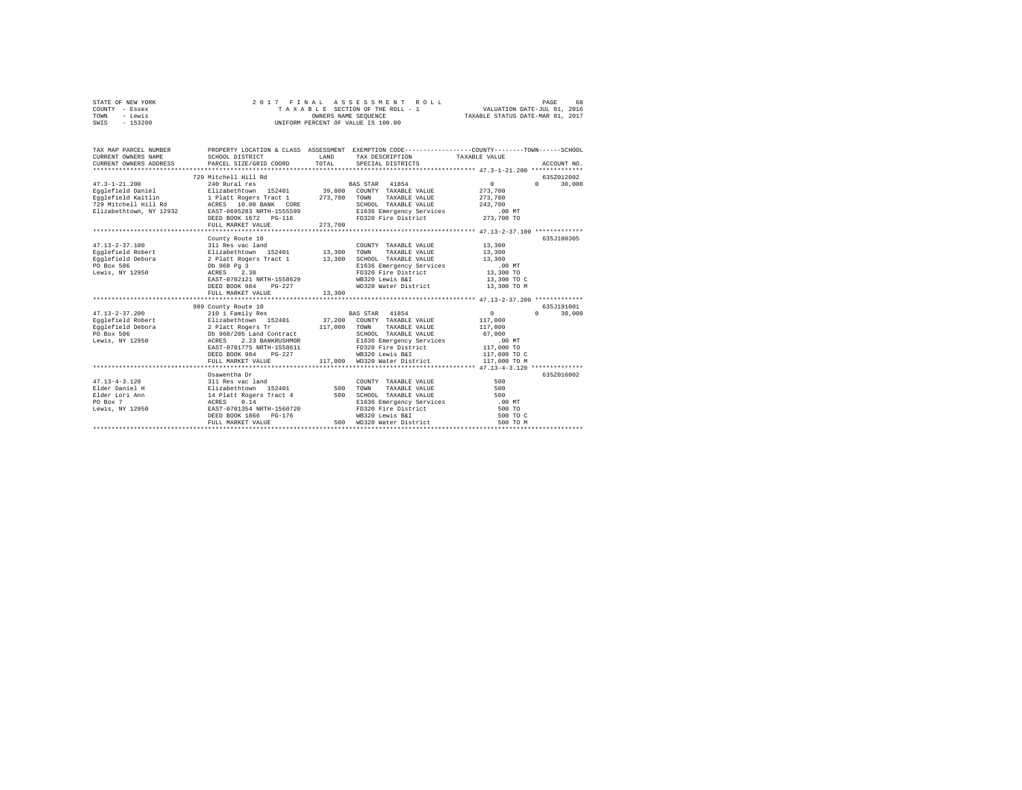| STATE OF NEW YORK |          |  |  | 2017 FINAL ASSESSMENT ROLL         |  |                                  | PAGE | 68 |
|-------------------|----------|--|--|------------------------------------|--|----------------------------------|------|----|
| COUNTY - Essex    |          |  |  | TAXABLE SECTION OF THE ROLL - 1    |  | VALUATION DATE-JUL 01, 2016      |      |    |
| TOWN              | - Lewis  |  |  | OWNERS NAME SEOUENCE               |  | TAXABLE STATUS DATE-MAR 01, 2017 |      |    |
| SWIS              | - 153200 |  |  | UNIFORM PERCENT OF VALUE IS 100.00 |  |                                  |      |    |
|                   |          |  |  |                                    |  |                                  |      |    |

| TAX MAP PARCEL NUMBER<br>CURRENT OWNERS NAME SCHOOL DISTRICT<br>CURRENT OWNERS ADDRESS PARCEL SIZE/GRID COORD | PROPERTY LOCATION & CLASS ASSESSMENT EXEMPTION CODE----------------COUNTY-------TOWN-----SCHOOL                                             |     |                                                                                                                 |                                                    | ACCOUNT NO.                       |
|---------------------------------------------------------------------------------------------------------------|---------------------------------------------------------------------------------------------------------------------------------------------|-----|-----------------------------------------------------------------------------------------------------------------|----------------------------------------------------|-----------------------------------|
| Elizabethtown, NY 12932 EAST-0695283 NRTH-1555599                                                             | 729 Mitchell Hill Rd<br>EAST-0695283 NRTH-1555599 E1636 Emergency Services 100 MT<br>DEED BOOK 1672 PG-116 - FD320 Fire District 273,700 TO |     | SCHOOL TAXABLE VALUE 243,700                                                                                    | $\mathbf{0}$<br>273,700<br>273,700                 | 635Z012002<br>$\Omega$<br>30,000  |
|                                                                                                               | County Route 10<br>ACRES<br>EAST-0702121 NRTH-1558629<br>DEED BOOK 984 PG-227<br>FIILL MARKET VALUE 13,300                                  |     | WB320 Lewis B&I<br>WD320 Water District                                                                         | 13,300 TO C<br>13,300 TO M                         | 635J100305                        |
|                                                                                                               |                                                                                                                                             |     |                                                                                                                 |                                                    |                                   |
|                                                                                                               | FULL MARKET VALUE                                                                                                                           |     | SCHOOL TAXABLE VALUE 87,000<br>$-227$ WB320 Lewis B&I 117,000 TO C<br>117,000 WD320 Water District 117,000 TO M | $\begin{array}{c}0\\117,000\end{array}$<br>117,000 | 635.7191001<br>30,000<br>$\Omega$ |
|                                                                                                               | Osawentha Dr<br>FULL MARKET VALUE                                                                                                           | 500 | E1636 Emergency Services<br>FD320 Fire District 500 TO<br>WB320 Lewis B&I 500 TO<br>WD320 Water District        | 500 TO<br>500 TO C<br>500 TO M                     | 635Z016002                        |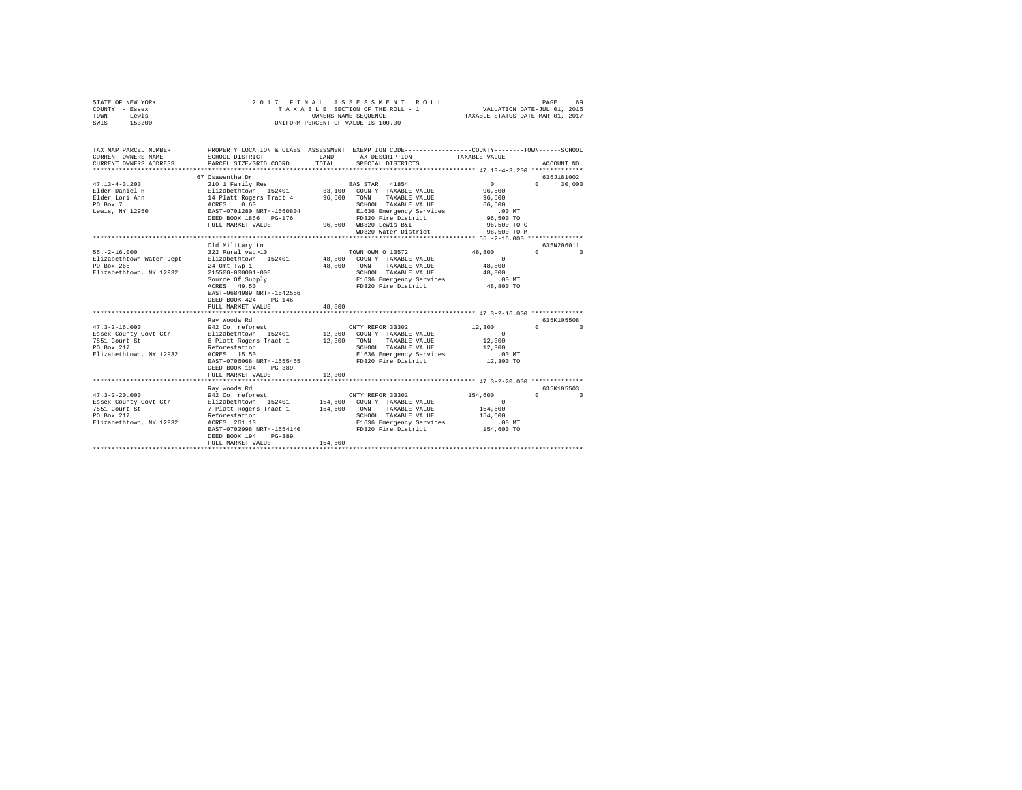| STATE OF NEW YORK<br>COUNTY - Essex<br>TOWN - Lewis<br>SWIS - 153200                                                                                                                                                                                                                                                                                                        | 2017 FINAL                                                                                                                                                                                                                                                                                                                                                                                                                                                     |               | ASSESSMENT ROLL<br>UNIFORM PERCENT OF VALUE IS 100.00                                                                                                                                                                                          |                                                                                                                                    | PAGE<br>-69                                                                          |
|-----------------------------------------------------------------------------------------------------------------------------------------------------------------------------------------------------------------------------------------------------------------------------------------------------------------------------------------------------------------------------|----------------------------------------------------------------------------------------------------------------------------------------------------------------------------------------------------------------------------------------------------------------------------------------------------------------------------------------------------------------------------------------------------------------------------------------------------------------|---------------|------------------------------------------------------------------------------------------------------------------------------------------------------------------------------------------------------------------------------------------------|------------------------------------------------------------------------------------------------------------------------------------|--------------------------------------------------------------------------------------|
| TAX MAP PARCEL NUMBER PROPERTY LOCATION & CLASS ASSESSMENT EXEMPTION CODE---------------COUNTY-------TOWN------SCHOOL<br>CURRENT OWNERS NAME<br>CURRENT OWNERS ADDRESS                                                                                                                                                                                                      | SCHOOL DISTRICT<br>PARCEL SIZE/GRID COORD                                                                                                                                                                                                                                                                                                                                                                                                                      | LAND<br>TOTAL | TAX DESCRIPTION<br>SPECIAL DISTRICTS                                                                                                                                                                                                           | TAXABLE VALUE                                                                                                                      | ACCOUNT NO.                                                                          |
|                                                                                                                                                                                                                                                                                                                                                                             |                                                                                                                                                                                                                                                                                                                                                                                                                                                                |               |                                                                                                                                                                                                                                                |                                                                                                                                    |                                                                                      |
|                                                                                                                                                                                                                                                                                                                                                                             | 67 Osawentha Dr                                                                                                                                                                                                                                                                                                                                                                                                                                                |               |                                                                                                                                                                                                                                                |                                                                                                                                    | 635J181002                                                                           |
| $\begin{tabular}{l c c c c c} \multicolumn{1}{c}{\textbf{47.13--4-3.200}} & \multicolumn{1}{c}{\textbf{51.13--4-3.200}} & \multicolumn{1}{c}{\textbf{51.13--4-3.200}} & \multicolumn{1}{c}{\textbf{51.13-4-3.200}} & \multicolumn{1}{c}{\textbf{51.13-4-3.200}} & \multicolumn{1}{c}{\textbf{51.13-4-3.200}} & \multicolumn{1}{c}{\textbf{51.13-4-3.200}} & \multicolumn{1$ | FULL MARKET VALUE                                                                                                                                                                                                                                                                                                                                                                                                                                              |               | SCHOOL TAXABLE VALUE<br>96,500 WB320 Lewis B&I<br>WD320 Water District                                                                                                                                                                         | $0 \qquad \qquad$<br>96,500<br>96,500<br>66,500<br>$.00$ MT<br>96,500 TO<br>96,500 TO C<br>96,500 TO M                             | $0 \t 30,000$                                                                        |
|                                                                                                                                                                                                                                                                                                                                                                             |                                                                                                                                                                                                                                                                                                                                                                                                                                                                |               |                                                                                                                                                                                                                                                |                                                                                                                                    |                                                                                      |
| $55. -2 - 16.000$<br>Elizabethtown Water Dept<br>PO Box 265<br>Elizabethtown, NY 12932<br>$47.3 - 2 - 16.000$<br>Essex County Govt Ctr<br>7551 Court St<br>PO Box 217<br>PO Box 217<br>Elizabethtown, NY 12932                                                                                                                                                              | Old Military Ln<br>322 Rural vac>10<br>Elizabethtown 152401<br>24 Omt Twp 1<br>$215500 - 000001 - 000$<br>EAST-0684989 NRTH-1542556<br>DEED BOOK 424 PG-146<br>FULL MARKET VALUE<br>***********************<br>Ray Woods Rd<br>A42 Co. reforest<br>Elizabethcown 152401 12,300 COUNTY TAXABLE VALUE<br>6 Platt Rogers Tract 1 12,300 COWN' TAXABLE VALUE<br>Reforestation<br>Reforestation<br>ACRES 15.50<br>EAST-0706068 NRTH-1555465<br>DEED BOOK 194 PG-389 | 48,800        | TOWN OWN O 13572<br>48,800 COUNTY TAXABLE VALUE<br>48,800 TOWN TAXABLE VALUE<br>SCHOOL TAXABLE VALUE<br>****************************** 47.3-2-16.000 **************<br>SCHOOL TAXABLE VALUE<br>E1636 Emergency Services<br>FD320 Fire District | 48,800 0<br>$\sim$ 0<br>48,800<br>48,800<br>00 MT.<br>48,800 TO<br>12,300<br>$\sim$ 0<br>12,300<br>12,300<br>$.00$ MT<br>12,300 TO | 635N206011<br>$\Omega$<br>635K105508<br>$\begin{array}{ccc}\n0 & & & 0\n\end{array}$ |
|                                                                                                                                                                                                                                                                                                                                                                             | FULL MARKET VALUE                                                                                                                                                                                                                                                                                                                                                                                                                                              | 12,300        |                                                                                                                                                                                                                                                |                                                                                                                                    |                                                                                      |
| $47.3 - 2 - 20.000$                                                                                                                                                                                                                                                                                                                                                         | Ray Woods Rd<br>942 Co. reforest<br>EAST-0702998 NRTH-1554140<br>PG-389<br>DEED BOOK 194<br>FULL MARKET VALUE                                                                                                                                                                                                                                                                                                                                                  | 154,600       | CNTY REFOR 33302<br>E1636 Emergency Services .00 MT<br>FD320 Fire District                                                                                                                                                                     | 154,600<br>$0$<br>154,600<br>154,600<br>154,600 TO                                                                                 | 635K105503<br>$0 \qquad \qquad 0$                                                    |
|                                                                                                                                                                                                                                                                                                                                                                             |                                                                                                                                                                                                                                                                                                                                                                                                                                                                |               |                                                                                                                                                                                                                                                |                                                                                                                                    |                                                                                      |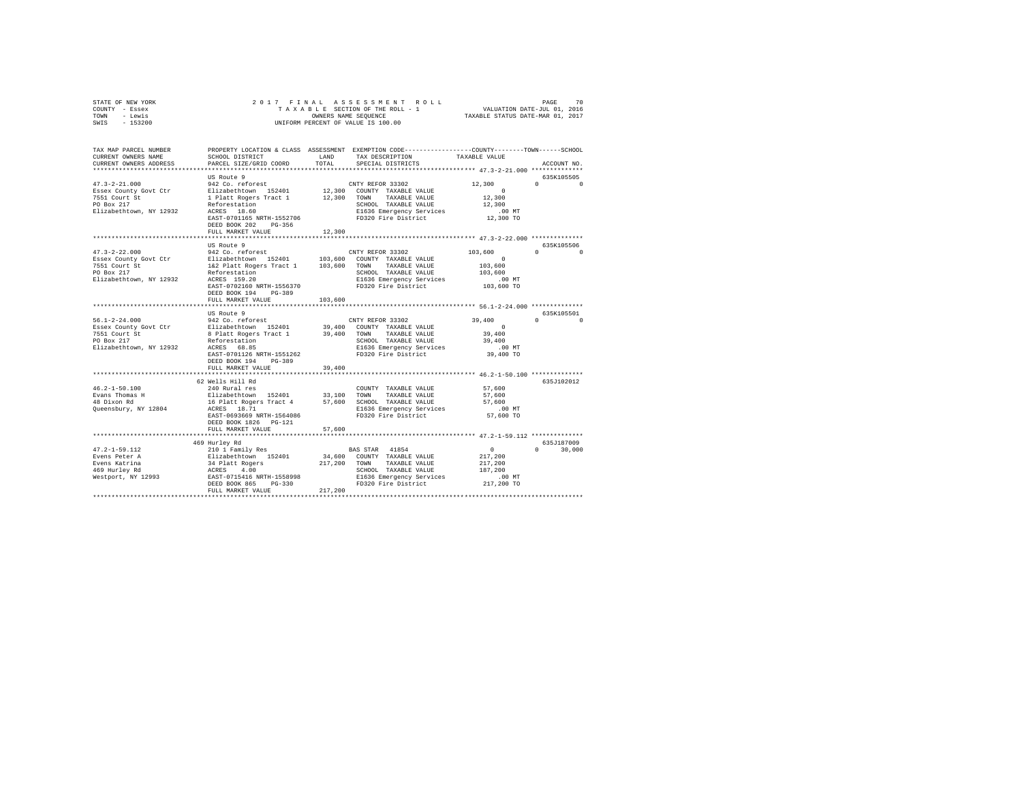| STATE OF NEW YORK<br>COUNTY - Essex<br>TOWN - Lewis<br>SWIS - 153200 | 2017 FINAL                                                                                                                                                            |              | PAGE 70 PAGE 70 PAGE 70<br>TAXABLE SECTION OF THE ROLL - 1 VALUATION DATE-JUL 01, 2016<br>OWNERS NAME SEQUENCE 7 TAXABLE STATUS DATE-MAR 01, 2017<br>OWNERS NAME SEQUENCE<br>UNIFORM PERCENT OF VALUE IS 100.00 |                    |                                            |
|----------------------------------------------------------------------|-----------------------------------------------------------------------------------------------------------------------------------------------------------------------|--------------|-----------------------------------------------------------------------------------------------------------------------------------------------------------------------------------------------------------------|--------------------|--------------------------------------------|
| TAX MAP PARCEL NUMBER<br>CURRENT OWNERS NAME                         | PROPERTY LOCATION & CLASS ASSESSMENT EXEMPTION CODE---------------COUNTY-------TOWN-----SCHOOL<br>SCHOOL DISTRICT                                                     | LAND         | TAX DESCRIPTION                                                                                                                                                                                                 | TAXABLE VALUE      |                                            |
| CURRENT OWNERS ADDRESS                                               | PARCEL SIZE/GRID COORD                                                                                                                                                | TOTAL        | SPECIAL DISTRICTS                                                                                                                                                                                               |                    | ACCOUNT NO.                                |
|                                                                      |                                                                                                                                                                       |              |                                                                                                                                                                                                                 |                    |                                            |
|                                                                      | US Route 9                                                                                                                                                            |              |                                                                                                                                                                                                                 |                    | 635K105505                                 |
| $47.3 - 2 - 21.000$<br>Essex County Govt Ctr                         | 942 Co. reforest<br>Elizabethtown 152401                                                                                                                              |              | CNTY REFOR 33302<br>12,300 COUNTY TAXABLE VALUE                                                                                                                                                                 | 12,300<br>$\sim$ 0 | $\Omega$ $\Omega$                          |
|                                                                      | 1 Platt Rogers Tract 1 12,300 TOWN                                                                                                                                    |              | TAXABLE VALUE                                                                                                                                                                                                   | 12,300             |                                            |
| 7551 Court St<br>PO Box 217<br>PO Box 217                            |                                                                                                                                                                       |              | SCHOOL TAXABLE VALUE                                                                                                                                                                                            | 12,300             |                                            |
| Elizabethtown, NY 12932                                              | Reforestation<br>ACRES 18.60                                                                                                                                          |              | E1636 Emergency Services                                                                                                                                                                                        | $.00$ MT           |                                            |
|                                                                      | EAST-0701165 NRTH-1552706                                                                                                                                             |              | FD320 Fire District                                                                                                                                                                                             | 12,300 TO          |                                            |
|                                                                      | DEED BOOK 202 PG-356                                                                                                                                                  | 12,300       |                                                                                                                                                                                                                 |                    |                                            |
|                                                                      | FULL MARKET VALUE                                                                                                                                                     |              |                                                                                                                                                                                                                 |                    |                                            |
|                                                                      | US Route 9                                                                                                                                                            |              |                                                                                                                                                                                                                 |                    | 635K105506                                 |
| $47.3 - 2 - 22.000$                                                  | US ROULE 7<br>942 Co. reforest (DIS,600 COUNTY TAXABLE VALUE<br>Rizabethtown 152401 103,600 TOWN TAXABLE VALUE<br>162 Platt Rogers Tract 1 103,600 TOWN TAXABLE VALUE |              |                                                                                                                                                                                                                 | 103,600            | $\begin{array}{ccc} 0 & & & 0 \end{array}$ |
| Essex County Govt Ctr<br>7551 Court St<br>PO Box 217                 |                                                                                                                                                                       |              |                                                                                                                                                                                                                 | $\sim$ 0           |                                            |
|                                                                      |                                                                                                                                                                       |              | TAXABLE VALUE                                                                                                                                                                                                   | 103,600            |                                            |
| Elizabethtown, NY 12932                                              | Reforestation<br>ACRES 159.20                                                                                                                                         |              | SCHOOL TAXABLE VALUE<br>E1636 Emergency Services                                                                                                                                                                | 103,600<br>.00MT   |                                            |
|                                                                      | EAST-0702160 NRTH-1556370                                                                                                                                             |              | FD320 Fire District                                                                                                                                                                                             | 103,600 TO         |                                            |
|                                                                      | DEED BOOK 194 PG-389                                                                                                                                                  |              |                                                                                                                                                                                                                 |                    |                                            |
|                                                                      | FULL MARKET VALUE                                                                                                                                                     | 103,600      |                                                                                                                                                                                                                 |                    |                                            |
|                                                                      |                                                                                                                                                                       |              |                                                                                                                                                                                                                 |                    |                                            |
| $56.1 - 2 - 24.000$                                                  | US Route 9<br>942 Co. reforest                                                                                                                                        |              | CNTY REFOR 33302                                                                                                                                                                                                | 39,400             | 635K105501<br>$0 \qquad \qquad 0$          |
| Essex County Govt Ctr                                                | Elizabethtown 152401                                                                                                                                                  |              | 39,400 COUNTY TAXABLE VALUE                                                                                                                                                                                     | $\sim$ 0           |                                            |
|                                                                      | 8 Platt Rogers Tract 1                                                                                                                                                |              | 39,400 TOWN TAXABLE VALUE                                                                                                                                                                                       | 39,400             |                                            |
| 7551 Court St<br>PO Box 217                                          | Reforestation<br>ACRES 68.85                                                                                                                                          |              | SCHOOL TAXABLE VALUE                                                                                                                                                                                            | 39,400             |                                            |
| Elizabethtown, NY 12932                                              |                                                                                                                                                                       |              | E1636 Emergency Services                                                                                                                                                                                        | $.00$ MT           |                                            |
|                                                                      | EAST-0701126 NRTH-1551262<br>DEED BOOK 194 PG-389                                                                                                                     |              | FD320 Fire District                                                                                                                                                                                             | 39,400 TO          |                                            |
|                                                                      | FULL MARKET VALUE                                                                                                                                                     | 39,400       |                                                                                                                                                                                                                 |                    |                                            |
|                                                                      |                                                                                                                                                                       |              |                                                                                                                                                                                                                 |                    |                                            |
|                                                                      | 62 Wells Hill Rd                                                                                                                                                      |              |                                                                                                                                                                                                                 |                    | 635J102012                                 |
| $46.2 - 1 - 50.100$                                                  | 240 Rural res                                                                                                                                                         |              | COUNTY TAXABLE VALUE                                                                                                                                                                                            | 57,600             |                                            |
| Evans Thomas H<br>48 Dixon Rd                                        | Elizabethtown 152401 33,100 TOWN TAXABLE VALUE<br>16 Platt Rogers Tract 4 57,600 SCHOOL TAXABLE VALUE                                                                 |              |                                                                                                                                                                                                                 | 57,600<br>57,600   |                                            |
| Queensbury, NY 12804                                                 | ACRES 18.71                                                                                                                                                           |              |                                                                                                                                                                                                                 | $.00$ MT           |                                            |
|                                                                      | EAST-0693669 NRTH-1564086                                                                                                                                             |              | E1636 Emergency Services<br>FD320 Fire District                                                                                                                                                                 | 57,600 TO          |                                            |
|                                                                      | DEED BOOK 1826   PG-121                                                                                                                                               |              |                                                                                                                                                                                                                 |                    |                                            |
|                                                                      | FULL MARKET VALUE                                                                                                                                                     | 57,600       |                                                                                                                                                                                                                 |                    |                                            |
|                                                                      |                                                                                                                                                                       |              |                                                                                                                                                                                                                 |                    |                                            |
| $47.2 - 1 - 59.112$                                                  | 469 Hurley Rd<br>210 1 Family Res                                                                                                                                     |              | BAS STAR 41854                                                                                                                                                                                                  | $\sim$ 0           | 635J187009<br>$0 \t 30.000$                |
|                                                                      |                                                                                                                                                                       |              | 34,600 COUNTY TAXABLE VALUE                                                                                                                                                                                     | 217,200            |                                            |
|                                                                      |                                                                                                                                                                       | 217,200 TOWN | TAXABLE VALUE                                                                                                                                                                                                   | 217,200            |                                            |
|                                                                      |                                                                                                                                                                       |              | SCHOOL TAXABLE VALUE                                                                                                                                                                                            | 187,200            |                                            |
|                                                                      |                                                                                                                                                                       |              | E1636 Emergency Services                                                                                                                                                                                        | .00 MT             |                                            |
|                                                                      |                                                                                                                                                                       |              |                                                                                                                                                                                                                 |                    |                                            |
|                                                                      | FULL MARKET VALUE                                                                                                                                                     | 217,200      | FD320 Fire District                                                                                                                                                                                             | 217,200 TO         |                                            |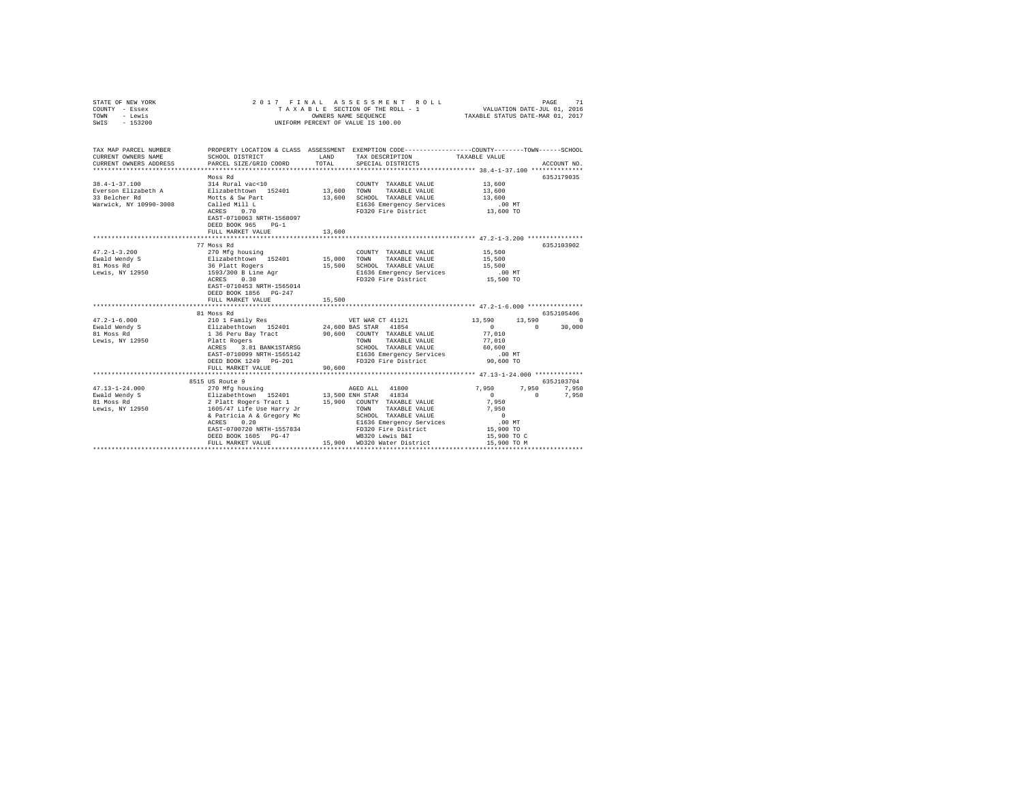| STATE OF NEW YORK<br>COUNTY - Essex<br>TOWN - Lewis<br>SWIS - 153200 |                                                                                                                                                                                                                                                                                                                                                                               |        | ALASSES MENTROLL I PAGE 71 PAGE 1976 PAGE 711 PAGE 711 PAGE 711 PAGE 711 PAGE 711 PAGE 711 PAGE 712 PAGE 712 P<br>BLE SECTION OF THE ROLL - 1 TAXABLE STATUS DATE-MAR 01, 2017<br>2017 FINAL ASSESSMENT ROLL<br>TAXABLE SECTION OF THE ROLL - 1<br>UNIFORM PERCENT OF VALUE IS 100.00                                                                                                                                                                                      |                                           |                   |
|----------------------------------------------------------------------|-------------------------------------------------------------------------------------------------------------------------------------------------------------------------------------------------------------------------------------------------------------------------------------------------------------------------------------------------------------------------------|--------|----------------------------------------------------------------------------------------------------------------------------------------------------------------------------------------------------------------------------------------------------------------------------------------------------------------------------------------------------------------------------------------------------------------------------------------------------------------------------|-------------------------------------------|-------------------|
| CURRENT OWNERS NAME                                                  | TAX MAP PARCEL NUMBER PROPERTY LOCATION & CLASS ASSESSMENT EXEMPTION CODE---------------COUNTY-------TOWN------SCHOOL<br>SCHOOL DISTRICT                                                                                                                                                                                                                                      | LAND   | TAX DESCRIPTION                                                                                                                                                                                                                                                                                                                                                                                                                                                            | TAXABLE VALUE                             |                   |
| CURRENT OWNERS ADDRESS                                               | PARCEL SIZE/GRID COORD                                                                                                                                                                                                                                                                                                                                                        | TOTAL  | SPECIAL DISTRICTS                                                                                                                                                                                                                                                                                                                                                                                                                                                          |                                           | ACCOUNT NO.       |
|                                                                      |                                                                                                                                                                                                                                                                                                                                                                               |        |                                                                                                                                                                                                                                                                                                                                                                                                                                                                            |                                           |                   |
| $38.4 - 1 - 37.100$                                                  | Moss Rd<br>314 Rural vac<10                                                                                                                                                                                                                                                                                                                                                   |        | COUNTY TAXABLE VALUE                                                                                                                                                                                                                                                                                                                                                                                                                                                       | 13,600                                    | 635J179035        |
|                                                                      |                                                                                                                                                                                                                                                                                                                                                                               |        |                                                                                                                                                                                                                                                                                                                                                                                                                                                                            | 13,600                                    |                   |
| 33 Belcher Rd                                                        | Motts & Sw Part                                                                                                                                                                                                                                                                                                                                                               |        | 13,600 SCHOOL TAXABLE VALUE                                                                                                                                                                                                                                                                                                                                                                                                                                                | 13,600                                    |                   |
| Warwick, NY 10990-3008                                               |                                                                                                                                                                                                                                                                                                                                                                               |        |                                                                                                                                                                                                                                                                                                                                                                                                                                                                            |                                           |                   |
|                                                                      | Called Mill L<br>ACRES 0.70                                                                                                                                                                                                                                                                                                                                                   |        | E1636 Emergency Services 13,600 MT<br>FD320 Fire District 13,600 TO<br>FD320 Fire District                                                                                                                                                                                                                                                                                                                                                                                 |                                           |                   |
|                                                                      | EAST-0710063 NRTH-1568097                                                                                                                                                                                                                                                                                                                                                     |        |                                                                                                                                                                                                                                                                                                                                                                                                                                                                            |                                           |                   |
|                                                                      | DEED BOOK 965 PG-1                                                                                                                                                                                                                                                                                                                                                            |        |                                                                                                                                                                                                                                                                                                                                                                                                                                                                            |                                           |                   |
|                                                                      | FULL MARKET VALUE                                                                                                                                                                                                                                                                                                                                                             | 13,600 |                                                                                                                                                                                                                                                                                                                                                                                                                                                                            |                                           |                   |
|                                                                      |                                                                                                                                                                                                                                                                                                                                                                               |        |                                                                                                                                                                                                                                                                                                                                                                                                                                                                            |                                           |                   |
|                                                                      | 77 Moss Rd                                                                                                                                                                                                                                                                                                                                                                    |        |                                                                                                                                                                                                                                                                                                                                                                                                                                                                            |                                           | 635J103902        |
| $47.2 - 1 - 3.200$                                                   |                                                                                                                                                                                                                                                                                                                                                                               |        | $\begin{tabular}{lllllllllll} \multicolumn{2}{c}{\textbf{COUNTY}} & \textbf{TAXABLE VALUE} & & \multicolumn{2}{c}{\textbf{0.15}}\\ \multicolumn{2}{c}{\textbf{COUNTY}} & \multicolumn{2}{c}{\textbf{TAXABLE VALUE}} & & \multicolumn{2}{c}{\textbf{0.15}}\\ \multicolumn{2}{c}{\textbf{1.5}} & \multicolumn{2}{c}{\textbf{0.15}} & \multicolumn{2}{c}{\textbf{0.15}} & \multicolumn{2}{c}{\textbf{0.15}}\\ \multicolumn{2}{c}{\textbf{1.15}} & \multicolumn{2}{c}{\textbf$ |                                           |                   |
|                                                                      |                                                                                                                                                                                                                                                                                                                                                                               |        |                                                                                                                                                                                                                                                                                                                                                                                                                                                                            | 15,500<br>15,500                          |                   |
| Ewald Wendy S<br>81 Moss Rd<br>Lewis, NY 12950                       |                                                                                                                                                                                                                                                                                                                                                                               |        |                                                                                                                                                                                                                                                                                                                                                                                                                                                                            | $.00$ MT                                  |                   |
|                                                                      | $\begin{tabular}{l c c c c} \hline \textit{270 MG} & \textit{MG} & \textit{15,000} & \textit{15,000} & \textit{270 MG} & \textit{270 MG} & \textit{270 MG} \\ \hline \textit{E1izability} & \textit{25,001} & \textit{25,000} & \textit{270 M} & \textit{27.5,000} & \textit{27.5,000} & \textit{27.5,000} \\ \hline \textit{36} & \textit{P12} & \textit{36} & \textit{27.5$ |        |                                                                                                                                                                                                                                                                                                                                                                                                                                                                            | 15,500 TO                                 |                   |
|                                                                      | EAST-0710453 NRTH-1565014                                                                                                                                                                                                                                                                                                                                                     |        |                                                                                                                                                                                                                                                                                                                                                                                                                                                                            |                                           |                   |
|                                                                      | DEED BOOK 1856 PG-247                                                                                                                                                                                                                                                                                                                                                         |        |                                                                                                                                                                                                                                                                                                                                                                                                                                                                            |                                           |                   |
|                                                                      | FULL MARKET VALUE                                                                                                                                                                                                                                                                                                                                                             | 15,500 |                                                                                                                                                                                                                                                                                                                                                                                                                                                                            |                                           |                   |
|                                                                      |                                                                                                                                                                                                                                                                                                                                                                               |        |                                                                                                                                                                                                                                                                                                                                                                                                                                                                            |                                           |                   |
|                                                                      | 81 Moss Rd                                                                                                                                                                                                                                                                                                                                                                    |        |                                                                                                                                                                                                                                                                                                                                                                                                                                                                            |                                           | 635J105406        |
| $47.2 - 1 - 6.000$                                                   | 210 1 Family Res                                                                                                                                                                                                                                                                                                                                                              |        | VET WAR CT 41121                                                                                                                                                                                                                                                                                                                                                                                                                                                           | 13,590 13,590 0                           |                   |
| Ewald Wendy S<br>81 Moss Rd                                          |                                                                                                                                                                                                                                                                                                                                                                               |        | 24,600 BAS STAR 41854<br>90,600 COUNTY TAXABLE VALUE                                                                                                                                                                                                                                                                                                                                                                                                                       | $\sim$ 0                                  | $0 \t 30,000$     |
| Lewis, NY 12950                                                      | Elizabethtown 152401<br>1 36 Peru Bay Tract<br>Platt Rogers<br>ACRES 3.81 BANK1STARSG                                                                                                                                                                                                                                                                                         |        |                                                                                                                                                                                                                                                                                                                                                                                                                                                                            | 77,010                                    |                   |
|                                                                      |                                                                                                                                                                                                                                                                                                                                                                               |        | TOWN TAXABLE VALUE<br>SCHOOL TAXABLE VALUE                                                                                                                                                                                                                                                                                                                                                                                                                                 | 77,010<br>60,600                          |                   |
|                                                                      | EAST-0710099 NRTH-1565142                                                                                                                                                                                                                                                                                                                                                     |        |                                                                                                                                                                                                                                                                                                                                                                                                                                                                            |                                           |                   |
|                                                                      | DEED BOOK 1249 PG-201                                                                                                                                                                                                                                                                                                                                                         |        | E1636 Emergency Services 6.00 MT<br>FD320 Fire District 90,600 TO                                                                                                                                                                                                                                                                                                                                                                                                          |                                           |                   |
|                                                                      | FULL MARKET VALUE                                                                                                                                                                                                                                                                                                                                                             | 90,600 |                                                                                                                                                                                                                                                                                                                                                                                                                                                                            |                                           |                   |
|                                                                      | ***************************                                                                                                                                                                                                                                                                                                                                                   |        |                                                                                                                                                                                                                                                                                                                                                                                                                                                                            |                                           |                   |
|                                                                      | 8515 US Route 9                                                                                                                                                                                                                                                                                                                                                               |        |                                                                                                                                                                                                                                                                                                                                                                                                                                                                            |                                           | 635J103704        |
|                                                                      |                                                                                                                                                                                                                                                                                                                                                                               |        |                                                                                                                                                                                                                                                                                                                                                                                                                                                                            |                                           | 7,950 7,950 7,950 |
|                                                                      |                                                                                                                                                                                                                                                                                                                                                                               |        |                                                                                                                                                                                                                                                                                                                                                                                                                                                                            | $\sim$ 0                                  | $\sim$ 0<br>7.950 |
|                                                                      |                                                                                                                                                                                                                                                                                                                                                                               |        |                                                                                                                                                                                                                                                                                                                                                                                                                                                                            | 7,950                                     |                   |
|                                                                      |                                                                                                                                                                                                                                                                                                                                                                               |        | TOWN TAXABLE VALUE                                                                                                                                                                                                                                                                                                                                                                                                                                                         | 7,950                                     |                   |
|                                                                      |                                                                                                                                                                                                                                                                                                                                                                               |        | TOWN ARADEMIC .<br>SCHOOL TAXABLE VALUE<br>E1636 Emergency Services .00 MT<br>- The Bissuic  15,900 TO                                                                                                                                                                                                                                                                                                                                                                     |                                           |                   |
|                                                                      | 0.20<br>ACRES                                                                                                                                                                                                                                                                                                                                                                 |        |                                                                                                                                                                                                                                                                                                                                                                                                                                                                            |                                           |                   |
|                                                                      | EAST-0700720 NRTH-1557834<br>DEED BOOK 1605 PG-47                                                                                                                                                                                                                                                                                                                             |        | FD320 Fire District<br>WB320 Lewis B&I                                                                                                                                                                                                                                                                                                                                                                                                                                     |                                           |                   |
|                                                                      | FULL MARKET VALUE                                                                                                                                                                                                                                                                                                                                                             |        | 15,900 WD320 Water District                                                                                                                                                                                                                                                                                                                                                                                                                                                | 15,900 TO C<br>15,900 TO M<br>15,900 TO M |                   |
|                                                                      |                                                                                                                                                                                                                                                                                                                                                                               |        |                                                                                                                                                                                                                                                                                                                                                                                                                                                                            |                                           |                   |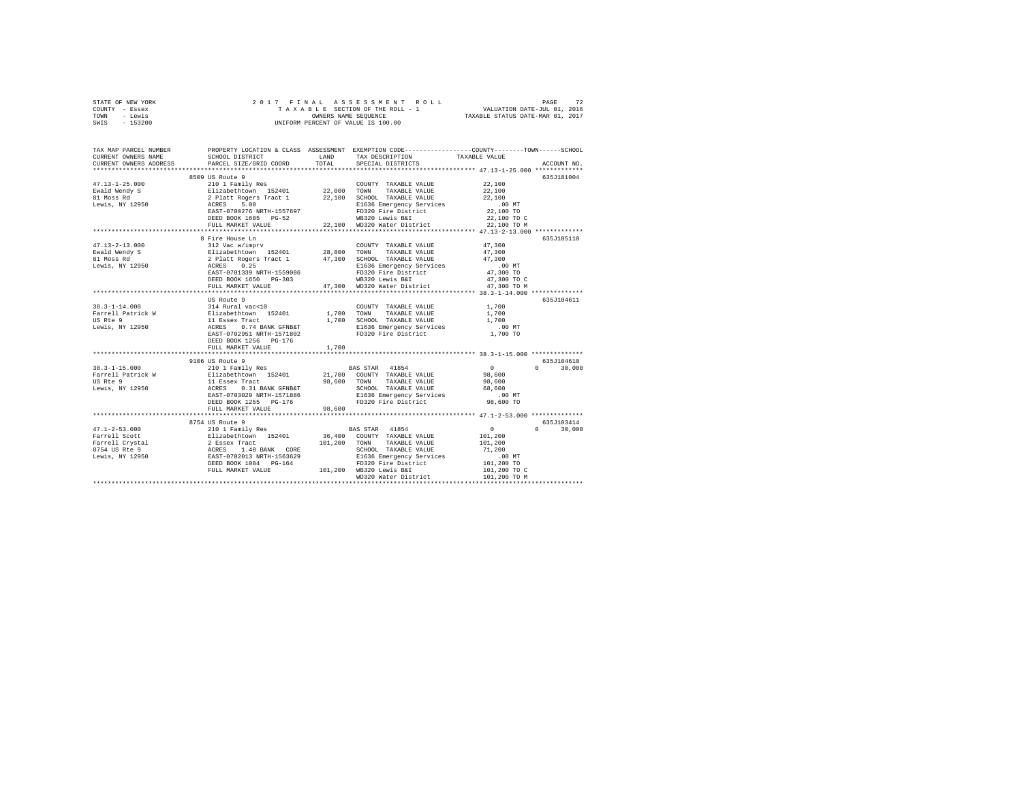| STATE OF NEW YORK | 2017 FINAL ASSESSMENT ROLL         | 72<br>PAGE                       |
|-------------------|------------------------------------|----------------------------------|
| COUNTY - Essex    | TAXABLE SECTION OF THE ROLL - 1    | VALUATION DATE-JUL 01, 2016      |
| TOWN<br>- Lewis   | OWNERS NAME SEOUENCE               | TAXABLE STATUS DATE-MAR 01, 2017 |
| $-153200$<br>SWIS | UNIFORM PERCENT OF VALUE IS 100.00 |                                  |

| 8509 US Route 9<br>635J181004<br>2010 1 Family Res<br>210 1 Family Res<br>210 1 Family Res<br>22,000 TOMN TAXABLE VALUE<br>22,100 SCHOOL TAXABLE VALUE<br>22,100 SCHOOL TAXABLE VALUE<br>22,100 SCHOOL TAXABLE VALUE<br>21636 EMETH-1557697<br>21636 EMETH-1557697<br>220 Fire Di<br>22,100<br>Ewald Wendy S<br>22,100<br>22,100<br>81 Moss Rd<br>Lewis, NY 12950<br>22,100 The District Services<br>22,100 TO<br>WB320 Lewis B&I<br>22,100 TO WB320 Water District<br>22,100 TO MD320 Water District<br>DEED BOOK 1605 PG-52<br>FULL MARKET VALUE<br>*************************************<br>8 Fire House Ln<br>635J105110<br>47,300<br>$\begin{array}{lcccccc} 47.13-2-13.000 && 312\ {\rm Vac~w/imprv} && {\rm COUNTY~ TAXABLE~VALUE}\\ \texttt{Ewal~Mendy~S} && \texttt{E1izabet{l}down} && 152401 && 28,800\ {\rm TOKD} & {\rm TAXABLE~VALUE}\\ 81\ {\rm Moes~Rd} && 2\ {\rm Platt~Regers~Tact~1} && 47,300\ {\rm SCHOL~ TAXABLE~VALUE}\\ \texttt{Levis, NY~12950} && 2\ {\rm RTES} && 0.25 && 1536\ {\rm Emergency~Service}\\ \end{array}$<br>47,300<br>47,300<br>.00 MT<br>47,300 TO<br>EAST-0701339 NRTH-1559086<br>DEED BOOK 1550<br>FD320 Fire District<br>WB320 Lewis B&I<br>47,300 TO C<br>DEED BOOK 1650 PG-303<br>47,300 WD320 Water District<br>47,300 TO M<br>FULL MARKET VALUE<br>**************************************<br>US Route 9<br>635J104611<br>38.3-1-14.000<br>Farrell Patrick Way 114 Rural Vac<10<br>US Rie 9 11 Essex Tract<br>Lewis, NY 12950 11 Essex Tract<br>Lewis, NY 12950 12 RCRES 0.74 BANK GFNB&T<br>1,700<br>COUNTY TAXABLE VALUE<br>1,700 TOWN<br>TAXABLE VALUE<br>1,700<br>1,700 SCHOOL TAXABLE VALUE<br>1,700<br>0.74 BANK GFNB&T<br>E1636 Emergency Services .00 MT<br>FD320 Fire District  1,700 TO<br>EAST-0702951 NRTH-1571802<br>DEED BOOK 1256 PG-176<br>1,700<br>FULL MARKET VALUE<br>9106 US Route 9<br>635J104610<br>210 1 Family Res<br>$\sim$ 0<br>$0 \t30,000$<br>$38.3 - 1 - 15.000$<br>BAS STAR 41854<br>Partell Patrick Way 21,700 COUNTY TAXABLE VALUE 98,600<br>Tarrell Patrick Way 21,700 COUNTY TAXABLE VALUE 98,600<br>US Rte 9 11 Essex Tract 98,600 TOWN TAXABLE VALUE 98,600<br>Lewis, NY 12950 ACRES 0.31 BANK GFNB&T SCHOOL TAXABL<br>FD320 Fire District 98,600 TO<br>DEED BOOK 1255 PG-176<br>98,600<br>FULL MARKET VALUE<br>******************** 47.1-2-53.000 ***************<br>***********************<br>635J103414<br>8754 US Route 9<br>$\sim$ 0<br>BAS STAR 41854<br>$\Omega$<br>30,000<br>36,400 COUNTY TAXABLE VALUE<br>101,200<br>101.200 TOWN TAXABLE VALUE<br>101,200<br>SCHOOL TAXABLE VALUE<br>71,200<br>1563629 = 1.1,200<br>1636 Emergency Services 100 MT<br>00 MT = 101,200 TO WB320 Lewis B&I = 101,200 TO WB320 Lewis B&I = 101,200 TO<br>101,200 WB320 Lewis B&I = 101,200 TO MB320 Lewis B&I = 101,200 TO<br>FULL MARKET VALUE<br>101,200 TO C<br>101,200 TO M | TAX MAP PARCEL NUMBER<br>CURRENT OWNERS NAME<br>CURRENT OWNERS ADDRESS | SCHOOL DISTRICT<br>PARCEL SIZE/GRID COORD | LAND<br>TOTAL. | PROPERTY LOCATION & CLASS ASSESSMENT EXEMPTION CODE---------------COUNTY-------TOWN-----SCHOOL<br>TAX DESCRIPTION<br>SPECIAL DISTRICTS | TAXABLE VALUE | ACCOUNT NO. |
|--------------------------------------------------------------------------------------------------------------------------------------------------------------------------------------------------------------------------------------------------------------------------------------------------------------------------------------------------------------------------------------------------------------------------------------------------------------------------------------------------------------------------------------------------------------------------------------------------------------------------------------------------------------------------------------------------------------------------------------------------------------------------------------------------------------------------------------------------------------------------------------------------------------------------------------------------------------------------------------------------------------------------------------------------------------------------------------------------------------------------------------------------------------------------------------------------------------------------------------------------------------------------------------------------------------------------------------------------------------------------------------------------------------------------------------------------------------------------------------------------------------------------------------------------------------------------------------------------------------------------------------------------------------------------------------------------------------------------------------------------------------------------------------------------------------------------------------------------------------------------------------------------------------------------------------------------------------------------------------------------------------------------------------------------------------------------------------------------------------------------------------------------------------------------------------------------------------------------------------------------------------------------------------------------------------------------------------------------------------------------------------------------------------------------------------------------------------------------------------------------------------------------------------------------------------------------------------------------------------------------------------------------------------------------------------------------------------------------------------------------------------------------------------------------------------------------------------------------------------|------------------------------------------------------------------------|-------------------------------------------|----------------|----------------------------------------------------------------------------------------------------------------------------------------|---------------|-------------|
|                                                                                                                                                                                                                                                                                                                                                                                                                                                                                                                                                                                                                                                                                                                                                                                                                                                                                                                                                                                                                                                                                                                                                                                                                                                                                                                                                                                                                                                                                                                                                                                                                                                                                                                                                                                                                                                                                                                                                                                                                                                                                                                                                                                                                                                                                                                                                                                                                                                                                                                                                                                                                                                                                                                                                                                                                                                              |                                                                        |                                           |                |                                                                                                                                        |               |             |
|                                                                                                                                                                                                                                                                                                                                                                                                                                                                                                                                                                                                                                                                                                                                                                                                                                                                                                                                                                                                                                                                                                                                                                                                                                                                                                                                                                                                                                                                                                                                                                                                                                                                                                                                                                                                                                                                                                                                                                                                                                                                                                                                                                                                                                                                                                                                                                                                                                                                                                                                                                                                                                                                                                                                                                                                                                                              |                                                                        |                                           |                |                                                                                                                                        |               |             |
|                                                                                                                                                                                                                                                                                                                                                                                                                                                                                                                                                                                                                                                                                                                                                                                                                                                                                                                                                                                                                                                                                                                                                                                                                                                                                                                                                                                                                                                                                                                                                                                                                                                                                                                                                                                                                                                                                                                                                                                                                                                                                                                                                                                                                                                                                                                                                                                                                                                                                                                                                                                                                                                                                                                                                                                                                                                              | $47.13 - 1 - 25.000$                                                   |                                           |                |                                                                                                                                        |               |             |
|                                                                                                                                                                                                                                                                                                                                                                                                                                                                                                                                                                                                                                                                                                                                                                                                                                                                                                                                                                                                                                                                                                                                                                                                                                                                                                                                                                                                                                                                                                                                                                                                                                                                                                                                                                                                                                                                                                                                                                                                                                                                                                                                                                                                                                                                                                                                                                                                                                                                                                                                                                                                                                                                                                                                                                                                                                                              |                                                                        |                                           |                |                                                                                                                                        |               |             |
|                                                                                                                                                                                                                                                                                                                                                                                                                                                                                                                                                                                                                                                                                                                                                                                                                                                                                                                                                                                                                                                                                                                                                                                                                                                                                                                                                                                                                                                                                                                                                                                                                                                                                                                                                                                                                                                                                                                                                                                                                                                                                                                                                                                                                                                                                                                                                                                                                                                                                                                                                                                                                                                                                                                                                                                                                                                              |                                                                        |                                           |                |                                                                                                                                        |               |             |
|                                                                                                                                                                                                                                                                                                                                                                                                                                                                                                                                                                                                                                                                                                                                                                                                                                                                                                                                                                                                                                                                                                                                                                                                                                                                                                                                                                                                                                                                                                                                                                                                                                                                                                                                                                                                                                                                                                                                                                                                                                                                                                                                                                                                                                                                                                                                                                                                                                                                                                                                                                                                                                                                                                                                                                                                                                                              |                                                                        |                                           |                |                                                                                                                                        |               |             |
|                                                                                                                                                                                                                                                                                                                                                                                                                                                                                                                                                                                                                                                                                                                                                                                                                                                                                                                                                                                                                                                                                                                                                                                                                                                                                                                                                                                                                                                                                                                                                                                                                                                                                                                                                                                                                                                                                                                                                                                                                                                                                                                                                                                                                                                                                                                                                                                                                                                                                                                                                                                                                                                                                                                                                                                                                                                              |                                                                        |                                           |                |                                                                                                                                        |               |             |
|                                                                                                                                                                                                                                                                                                                                                                                                                                                                                                                                                                                                                                                                                                                                                                                                                                                                                                                                                                                                                                                                                                                                                                                                                                                                                                                                                                                                                                                                                                                                                                                                                                                                                                                                                                                                                                                                                                                                                                                                                                                                                                                                                                                                                                                                                                                                                                                                                                                                                                                                                                                                                                                                                                                                                                                                                                                              |                                                                        |                                           |                |                                                                                                                                        |               |             |
|                                                                                                                                                                                                                                                                                                                                                                                                                                                                                                                                                                                                                                                                                                                                                                                                                                                                                                                                                                                                                                                                                                                                                                                                                                                                                                                                                                                                                                                                                                                                                                                                                                                                                                                                                                                                                                                                                                                                                                                                                                                                                                                                                                                                                                                                                                                                                                                                                                                                                                                                                                                                                                                                                                                                                                                                                                                              |                                                                        |                                           |                |                                                                                                                                        |               |             |
|                                                                                                                                                                                                                                                                                                                                                                                                                                                                                                                                                                                                                                                                                                                                                                                                                                                                                                                                                                                                                                                                                                                                                                                                                                                                                                                                                                                                                                                                                                                                                                                                                                                                                                                                                                                                                                                                                                                                                                                                                                                                                                                                                                                                                                                                                                                                                                                                                                                                                                                                                                                                                                                                                                                                                                                                                                                              |                                                                        |                                           |                |                                                                                                                                        |               |             |
|                                                                                                                                                                                                                                                                                                                                                                                                                                                                                                                                                                                                                                                                                                                                                                                                                                                                                                                                                                                                                                                                                                                                                                                                                                                                                                                                                                                                                                                                                                                                                                                                                                                                                                                                                                                                                                                                                                                                                                                                                                                                                                                                                                                                                                                                                                                                                                                                                                                                                                                                                                                                                                                                                                                                                                                                                                                              |                                                                        |                                           |                |                                                                                                                                        |               |             |
|                                                                                                                                                                                                                                                                                                                                                                                                                                                                                                                                                                                                                                                                                                                                                                                                                                                                                                                                                                                                                                                                                                                                                                                                                                                                                                                                                                                                                                                                                                                                                                                                                                                                                                                                                                                                                                                                                                                                                                                                                                                                                                                                                                                                                                                                                                                                                                                                                                                                                                                                                                                                                                                                                                                                                                                                                                                              |                                                                        |                                           |                |                                                                                                                                        |               |             |
|                                                                                                                                                                                                                                                                                                                                                                                                                                                                                                                                                                                                                                                                                                                                                                                                                                                                                                                                                                                                                                                                                                                                                                                                                                                                                                                                                                                                                                                                                                                                                                                                                                                                                                                                                                                                                                                                                                                                                                                                                                                                                                                                                                                                                                                                                                                                                                                                                                                                                                                                                                                                                                                                                                                                                                                                                                                              |                                                                        |                                           |                |                                                                                                                                        |               |             |
|                                                                                                                                                                                                                                                                                                                                                                                                                                                                                                                                                                                                                                                                                                                                                                                                                                                                                                                                                                                                                                                                                                                                                                                                                                                                                                                                                                                                                                                                                                                                                                                                                                                                                                                                                                                                                                                                                                                                                                                                                                                                                                                                                                                                                                                                                                                                                                                                                                                                                                                                                                                                                                                                                                                                                                                                                                                              |                                                                        |                                           |                |                                                                                                                                        |               |             |
|                                                                                                                                                                                                                                                                                                                                                                                                                                                                                                                                                                                                                                                                                                                                                                                                                                                                                                                                                                                                                                                                                                                                                                                                                                                                                                                                                                                                                                                                                                                                                                                                                                                                                                                                                                                                                                                                                                                                                                                                                                                                                                                                                                                                                                                                                                                                                                                                                                                                                                                                                                                                                                                                                                                                                                                                                                                              |                                                                        |                                           |                |                                                                                                                                        |               |             |
|                                                                                                                                                                                                                                                                                                                                                                                                                                                                                                                                                                                                                                                                                                                                                                                                                                                                                                                                                                                                                                                                                                                                                                                                                                                                                                                                                                                                                                                                                                                                                                                                                                                                                                                                                                                                                                                                                                                                                                                                                                                                                                                                                                                                                                                                                                                                                                                                                                                                                                                                                                                                                                                                                                                                                                                                                                                              |                                                                        |                                           |                |                                                                                                                                        |               |             |
|                                                                                                                                                                                                                                                                                                                                                                                                                                                                                                                                                                                                                                                                                                                                                                                                                                                                                                                                                                                                                                                                                                                                                                                                                                                                                                                                                                                                                                                                                                                                                                                                                                                                                                                                                                                                                                                                                                                                                                                                                                                                                                                                                                                                                                                                                                                                                                                                                                                                                                                                                                                                                                                                                                                                                                                                                                                              |                                                                        |                                           |                |                                                                                                                                        |               |             |
|                                                                                                                                                                                                                                                                                                                                                                                                                                                                                                                                                                                                                                                                                                                                                                                                                                                                                                                                                                                                                                                                                                                                                                                                                                                                                                                                                                                                                                                                                                                                                                                                                                                                                                                                                                                                                                                                                                                                                                                                                                                                                                                                                                                                                                                                                                                                                                                                                                                                                                                                                                                                                                                                                                                                                                                                                                                              |                                                                        |                                           |                |                                                                                                                                        |               |             |
|                                                                                                                                                                                                                                                                                                                                                                                                                                                                                                                                                                                                                                                                                                                                                                                                                                                                                                                                                                                                                                                                                                                                                                                                                                                                                                                                                                                                                                                                                                                                                                                                                                                                                                                                                                                                                                                                                                                                                                                                                                                                                                                                                                                                                                                                                                                                                                                                                                                                                                                                                                                                                                                                                                                                                                                                                                                              |                                                                        |                                           |                |                                                                                                                                        |               |             |
|                                                                                                                                                                                                                                                                                                                                                                                                                                                                                                                                                                                                                                                                                                                                                                                                                                                                                                                                                                                                                                                                                                                                                                                                                                                                                                                                                                                                                                                                                                                                                                                                                                                                                                                                                                                                                                                                                                                                                                                                                                                                                                                                                                                                                                                                                                                                                                                                                                                                                                                                                                                                                                                                                                                                                                                                                                                              |                                                                        |                                           |                |                                                                                                                                        |               |             |
|                                                                                                                                                                                                                                                                                                                                                                                                                                                                                                                                                                                                                                                                                                                                                                                                                                                                                                                                                                                                                                                                                                                                                                                                                                                                                                                                                                                                                                                                                                                                                                                                                                                                                                                                                                                                                                                                                                                                                                                                                                                                                                                                                                                                                                                                                                                                                                                                                                                                                                                                                                                                                                                                                                                                                                                                                                                              |                                                                        |                                           |                |                                                                                                                                        |               |             |
|                                                                                                                                                                                                                                                                                                                                                                                                                                                                                                                                                                                                                                                                                                                                                                                                                                                                                                                                                                                                                                                                                                                                                                                                                                                                                                                                                                                                                                                                                                                                                                                                                                                                                                                                                                                                                                                                                                                                                                                                                                                                                                                                                                                                                                                                                                                                                                                                                                                                                                                                                                                                                                                                                                                                                                                                                                                              |                                                                        |                                           |                |                                                                                                                                        |               |             |
|                                                                                                                                                                                                                                                                                                                                                                                                                                                                                                                                                                                                                                                                                                                                                                                                                                                                                                                                                                                                                                                                                                                                                                                                                                                                                                                                                                                                                                                                                                                                                                                                                                                                                                                                                                                                                                                                                                                                                                                                                                                                                                                                                                                                                                                                                                                                                                                                                                                                                                                                                                                                                                                                                                                                                                                                                                                              |                                                                        |                                           |                |                                                                                                                                        |               |             |
|                                                                                                                                                                                                                                                                                                                                                                                                                                                                                                                                                                                                                                                                                                                                                                                                                                                                                                                                                                                                                                                                                                                                                                                                                                                                                                                                                                                                                                                                                                                                                                                                                                                                                                                                                                                                                                                                                                                                                                                                                                                                                                                                                                                                                                                                                                                                                                                                                                                                                                                                                                                                                                                                                                                                                                                                                                                              |                                                                        |                                           |                |                                                                                                                                        |               |             |
|                                                                                                                                                                                                                                                                                                                                                                                                                                                                                                                                                                                                                                                                                                                                                                                                                                                                                                                                                                                                                                                                                                                                                                                                                                                                                                                                                                                                                                                                                                                                                                                                                                                                                                                                                                                                                                                                                                                                                                                                                                                                                                                                                                                                                                                                                                                                                                                                                                                                                                                                                                                                                                                                                                                                                                                                                                                              |                                                                        |                                           |                |                                                                                                                                        |               |             |
|                                                                                                                                                                                                                                                                                                                                                                                                                                                                                                                                                                                                                                                                                                                                                                                                                                                                                                                                                                                                                                                                                                                                                                                                                                                                                                                                                                                                                                                                                                                                                                                                                                                                                                                                                                                                                                                                                                                                                                                                                                                                                                                                                                                                                                                                                                                                                                                                                                                                                                                                                                                                                                                                                                                                                                                                                                                              |                                                                        |                                           |                |                                                                                                                                        |               |             |
|                                                                                                                                                                                                                                                                                                                                                                                                                                                                                                                                                                                                                                                                                                                                                                                                                                                                                                                                                                                                                                                                                                                                                                                                                                                                                                                                                                                                                                                                                                                                                                                                                                                                                                                                                                                                                                                                                                                                                                                                                                                                                                                                                                                                                                                                                                                                                                                                                                                                                                                                                                                                                                                                                                                                                                                                                                                              |                                                                        |                                           |                |                                                                                                                                        |               |             |
|                                                                                                                                                                                                                                                                                                                                                                                                                                                                                                                                                                                                                                                                                                                                                                                                                                                                                                                                                                                                                                                                                                                                                                                                                                                                                                                                                                                                                                                                                                                                                                                                                                                                                                                                                                                                                                                                                                                                                                                                                                                                                                                                                                                                                                                                                                                                                                                                                                                                                                                                                                                                                                                                                                                                                                                                                                                              |                                                                        |                                           |                |                                                                                                                                        |               |             |
|                                                                                                                                                                                                                                                                                                                                                                                                                                                                                                                                                                                                                                                                                                                                                                                                                                                                                                                                                                                                                                                                                                                                                                                                                                                                                                                                                                                                                                                                                                                                                                                                                                                                                                                                                                                                                                                                                                                                                                                                                                                                                                                                                                                                                                                                                                                                                                                                                                                                                                                                                                                                                                                                                                                                                                                                                                                              |                                                                        |                                           |                |                                                                                                                                        |               |             |
|                                                                                                                                                                                                                                                                                                                                                                                                                                                                                                                                                                                                                                                                                                                                                                                                                                                                                                                                                                                                                                                                                                                                                                                                                                                                                                                                                                                                                                                                                                                                                                                                                                                                                                                                                                                                                                                                                                                                                                                                                                                                                                                                                                                                                                                                                                                                                                                                                                                                                                                                                                                                                                                                                                                                                                                                                                                              |                                                                        |                                           |                |                                                                                                                                        |               |             |
|                                                                                                                                                                                                                                                                                                                                                                                                                                                                                                                                                                                                                                                                                                                                                                                                                                                                                                                                                                                                                                                                                                                                                                                                                                                                                                                                                                                                                                                                                                                                                                                                                                                                                                                                                                                                                                                                                                                                                                                                                                                                                                                                                                                                                                                                                                                                                                                                                                                                                                                                                                                                                                                                                                                                                                                                                                                              |                                                                        |                                           |                |                                                                                                                                        |               |             |
|                                                                                                                                                                                                                                                                                                                                                                                                                                                                                                                                                                                                                                                                                                                                                                                                                                                                                                                                                                                                                                                                                                                                                                                                                                                                                                                                                                                                                                                                                                                                                                                                                                                                                                                                                                                                                                                                                                                                                                                                                                                                                                                                                                                                                                                                                                                                                                                                                                                                                                                                                                                                                                                                                                                                                                                                                                                              |                                                                        |                                           |                |                                                                                                                                        |               |             |
|                                                                                                                                                                                                                                                                                                                                                                                                                                                                                                                                                                                                                                                                                                                                                                                                                                                                                                                                                                                                                                                                                                                                                                                                                                                                                                                                                                                                                                                                                                                                                                                                                                                                                                                                                                                                                                                                                                                                                                                                                                                                                                                                                                                                                                                                                                                                                                                                                                                                                                                                                                                                                                                                                                                                                                                                                                                              |                                                                        |                                           |                |                                                                                                                                        |               |             |
|                                                                                                                                                                                                                                                                                                                                                                                                                                                                                                                                                                                                                                                                                                                                                                                                                                                                                                                                                                                                                                                                                                                                                                                                                                                                                                                                                                                                                                                                                                                                                                                                                                                                                                                                                                                                                                                                                                                                                                                                                                                                                                                                                                                                                                                                                                                                                                                                                                                                                                                                                                                                                                                                                                                                                                                                                                                              |                                                                        |                                           |                |                                                                                                                                        |               |             |
|                                                                                                                                                                                                                                                                                                                                                                                                                                                                                                                                                                                                                                                                                                                                                                                                                                                                                                                                                                                                                                                                                                                                                                                                                                                                                                                                                                                                                                                                                                                                                                                                                                                                                                                                                                                                                                                                                                                                                                                                                                                                                                                                                                                                                                                                                                                                                                                                                                                                                                                                                                                                                                                                                                                                                                                                                                                              |                                                                        |                                           |                |                                                                                                                                        |               |             |
|                                                                                                                                                                                                                                                                                                                                                                                                                                                                                                                                                                                                                                                                                                                                                                                                                                                                                                                                                                                                                                                                                                                                                                                                                                                                                                                                                                                                                                                                                                                                                                                                                                                                                                                                                                                                                                                                                                                                                                                                                                                                                                                                                                                                                                                                                                                                                                                                                                                                                                                                                                                                                                                                                                                                                                                                                                                              |                                                                        |                                           |                |                                                                                                                                        |               |             |
|                                                                                                                                                                                                                                                                                                                                                                                                                                                                                                                                                                                                                                                                                                                                                                                                                                                                                                                                                                                                                                                                                                                                                                                                                                                                                                                                                                                                                                                                                                                                                                                                                                                                                                                                                                                                                                                                                                                                                                                                                                                                                                                                                                                                                                                                                                                                                                                                                                                                                                                                                                                                                                                                                                                                                                                                                                                              |                                                                        |                                           |                |                                                                                                                                        |               |             |
|                                                                                                                                                                                                                                                                                                                                                                                                                                                                                                                                                                                                                                                                                                                                                                                                                                                                                                                                                                                                                                                                                                                                                                                                                                                                                                                                                                                                                                                                                                                                                                                                                                                                                                                                                                                                                                                                                                                                                                                                                                                                                                                                                                                                                                                                                                                                                                                                                                                                                                                                                                                                                                                                                                                                                                                                                                                              |                                                                        |                                           |                |                                                                                                                                        |               |             |
|                                                                                                                                                                                                                                                                                                                                                                                                                                                                                                                                                                                                                                                                                                                                                                                                                                                                                                                                                                                                                                                                                                                                                                                                                                                                                                                                                                                                                                                                                                                                                                                                                                                                                                                                                                                                                                                                                                                                                                                                                                                                                                                                                                                                                                                                                                                                                                                                                                                                                                                                                                                                                                                                                                                                                                                                                                                              |                                                                        |                                           |                |                                                                                                                                        |               |             |
|                                                                                                                                                                                                                                                                                                                                                                                                                                                                                                                                                                                                                                                                                                                                                                                                                                                                                                                                                                                                                                                                                                                                                                                                                                                                                                                                                                                                                                                                                                                                                                                                                                                                                                                                                                                                                                                                                                                                                                                                                                                                                                                                                                                                                                                                                                                                                                                                                                                                                                                                                                                                                                                                                                                                                                                                                                                              |                                                                        |                                           |                |                                                                                                                                        |               |             |
|                                                                                                                                                                                                                                                                                                                                                                                                                                                                                                                                                                                                                                                                                                                                                                                                                                                                                                                                                                                                                                                                                                                                                                                                                                                                                                                                                                                                                                                                                                                                                                                                                                                                                                                                                                                                                                                                                                                                                                                                                                                                                                                                                                                                                                                                                                                                                                                                                                                                                                                                                                                                                                                                                                                                                                                                                                                              |                                                                        |                                           |                |                                                                                                                                        |               |             |
|                                                                                                                                                                                                                                                                                                                                                                                                                                                                                                                                                                                                                                                                                                                                                                                                                                                                                                                                                                                                                                                                                                                                                                                                                                                                                                                                                                                                                                                                                                                                                                                                                                                                                                                                                                                                                                                                                                                                                                                                                                                                                                                                                                                                                                                                                                                                                                                                                                                                                                                                                                                                                                                                                                                                                                                                                                                              |                                                                        |                                           |                |                                                                                                                                        |               |             |
|                                                                                                                                                                                                                                                                                                                                                                                                                                                                                                                                                                                                                                                                                                                                                                                                                                                                                                                                                                                                                                                                                                                                                                                                                                                                                                                                                                                                                                                                                                                                                                                                                                                                                                                                                                                                                                                                                                                                                                                                                                                                                                                                                                                                                                                                                                                                                                                                                                                                                                                                                                                                                                                                                                                                                                                                                                                              |                                                                        |                                           |                |                                                                                                                                        |               |             |
|                                                                                                                                                                                                                                                                                                                                                                                                                                                                                                                                                                                                                                                                                                                                                                                                                                                                                                                                                                                                                                                                                                                                                                                                                                                                                                                                                                                                                                                                                                                                                                                                                                                                                                                                                                                                                                                                                                                                                                                                                                                                                                                                                                                                                                                                                                                                                                                                                                                                                                                                                                                                                                                                                                                                                                                                                                                              |                                                                        |                                           |                |                                                                                                                                        |               |             |
|                                                                                                                                                                                                                                                                                                                                                                                                                                                                                                                                                                                                                                                                                                                                                                                                                                                                                                                                                                                                                                                                                                                                                                                                                                                                                                                                                                                                                                                                                                                                                                                                                                                                                                                                                                                                                                                                                                                                                                                                                                                                                                                                                                                                                                                                                                                                                                                                                                                                                                                                                                                                                                                                                                                                                                                                                                                              |                                                                        |                                           |                |                                                                                                                                        |               |             |
|                                                                                                                                                                                                                                                                                                                                                                                                                                                                                                                                                                                                                                                                                                                                                                                                                                                                                                                                                                                                                                                                                                                                                                                                                                                                                                                                                                                                                                                                                                                                                                                                                                                                                                                                                                                                                                                                                                                                                                                                                                                                                                                                                                                                                                                                                                                                                                                                                                                                                                                                                                                                                                                                                                                                                                                                                                                              |                                                                        |                                           |                |                                                                                                                                        |               |             |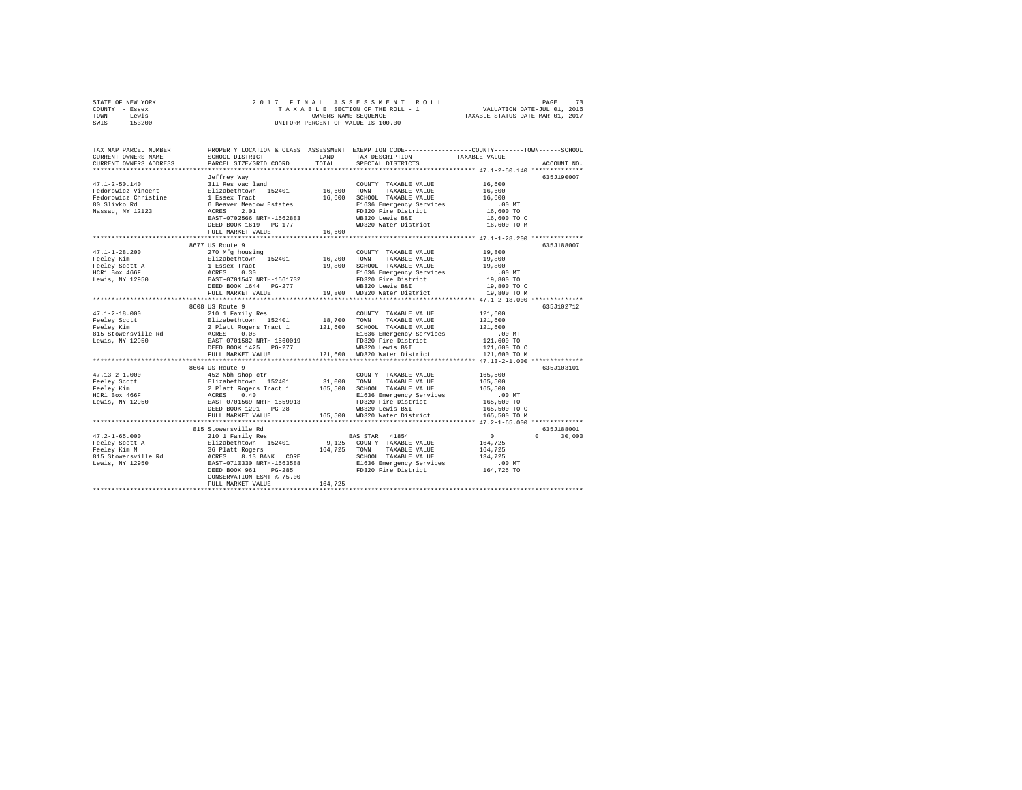| STATE OF NEW YORK | 2017 FINAL ASSESSMENT ROLL         | 73<br>PAGE                       |
|-------------------|------------------------------------|----------------------------------|
| COUNTY - Essex    | TAXABLE SECTION OF THE ROLL - 1    | VALUATION DATE-JUL 01, 2016      |
| TOWN<br>- Lewis   | OWNERS NAME SEOUENCE               | TAXABLE STATUS DATE-MAR 01, 2017 |
| $-153200$<br>SWIS | UNIFORM PERCENT OF VALUE IS 100.00 |                                  |

| TAX MAP PARCEL NUMBER<br>CURRENT OWNERS NAME | SCHOOL DISTRICT                                                   | LAND         | PROPERTY LOCATION & CLASS ASSESSMENT EXEMPTION CODE---------------COUNTY-------TOWN-----SCHOOL<br>TAX DESCRIPTION | TAXABLE VALUE      |                    |
|----------------------------------------------|-------------------------------------------------------------------|--------------|-------------------------------------------------------------------------------------------------------------------|--------------------|--------------------|
| CURRENT OWNERS ADDRESS                       | PARCEL SIZE/GRID COORD                                            | TOTAL        | SPECIAL DISTRICTS                                                                                                 |                    | ACCOUNT NO.        |
|                                              | Jeffrey Way                                                       |              |                                                                                                                   |                    | 635J190007         |
| $47.1 - 2 - 50.140$                          | 311 Res vac land                                                  |              | COUNTY TAXABLE VALUE                                                                                              | 16,600             |                    |
| Fedorowicz Vincent                           | Elizabethtown 152401                                              | 16,600       | TOWN<br>TAXABLE VALUE                                                                                             | 16,600             |                    |
| Fedorowicz Christine                         | 1 Essex Tract                                                     |              | 16,600 SCHOOL TAXABLE VALUE                                                                                       | 16,600             |                    |
| 80 Slivko Rd                                 | 6 Beaver Meadow Estates                                           |              | E1636 Emergency Services                                                                                          | $.00$ MT           |                    |
| Nassau, NY 12123                             | ACRES<br>2.01                                                     |              | FD320 Fire District                                                                                               | 16,600 TO          |                    |
|                                              | EAST-0702566 NRTH-1562883                                         |              | WB320 Lewis B&I                                                                                                   | 16,600 TO C        |                    |
|                                              | DEED BOOK 1619 PG-177                                             |              | WD320 Water District                                                                                              | 16,600 TO M        |                    |
|                                              | FULL MARKET VALUE                                                 | 16,600       |                                                                                                                   |                    |                    |
|                                              | **************************                                        |              | *********************************** 47.1-1-28.200 **************                                                  |                    |                    |
|                                              | 8677 US Route 9                                                   |              |                                                                                                                   |                    | 635J188007         |
| $47.1 - 1 - 28.200$                          | 270 Mfg housing                                                   |              | COUNTY TAXABLE VALUE                                                                                              | 19,800             |                    |
| Feeley Kim                                   | Elizabethtown 152401                                              | 16,200 TOWN  | TAXABLE VALUE                                                                                                     | 19,800             |                    |
| Feeley Scott A                               | 1 Essex Tract                                                     |              | 19,800 SCHOOL TAXABLE VALUE                                                                                       | 19,800             |                    |
| HCR1 Box 466F                                | ACRES<br>0.30                                                     |              | E1636 Emergency Services                                                                                          | .00 MT             |                    |
| Lewis, NY 12950                              | EAST-0701547 NRTH-1561732                                         |              | FD320 Fire District                                                                                               | 19,800 TO          |                    |
|                                              | DEED BOOK 1644 PG-277                                             |              | WB320 Lewis B&I                                                                                                   | 19,800 TO C        |                    |
|                                              | FULL MARKET VALUE                                                 | 19,800       | WD320 Water District                                                                                              | 19,800 TO M        |                    |
|                                              |                                                                   |              | ************************************* 47.1-2-18.000 ***************                                               |                    |                    |
|                                              | 8608 US Route 9                                                   |              |                                                                                                                   |                    | 635.7102712        |
| $47.1 - 2 - 18.000$                          | 210 1 Family Res                                                  | 18,700 TOWN  | COUNTY TAXABLE VALUE<br>TAXABLE VALUE                                                                             | 121,600<br>121,600 |                    |
| Feeley Scott<br>Feelev Kim                   | Elizabethtown 152401                                              |              |                                                                                                                   | 121,600            |                    |
| 815 Stowersville Rd                          | 2 Platt Rogers Tract 1 121,600 SCHOOL TAXABLE VALUE<br>ACRES 0.08 |              | E1636 Emergency Services                                                                                          | .00 MT             |                    |
| Lewis, NY 12950                              | EAST-0701582 NRTH-1560019                                         |              | FD320 Fire District                                                                                               | 121,600 TO         |                    |
|                                              | DEED BOOK 1425 PG-277                                             |              | WB320 Lewis B&I                                                                                                   | 121,600 TO C       |                    |
|                                              | FULL MARKET VALUE                                                 |              | 121,600 WD320 Water District                                                                                      | 121,600 TO M       |                    |
|                                              |                                                                   |              |                                                                                                                   |                    |                    |
|                                              | 8604 US Route 9                                                   |              |                                                                                                                   |                    | 635J103101         |
| $47.13 - 2 - 1.000$                          | 452 Nbh shop ctr                                                  |              | COUNTY TAXABLE VALUE                                                                                              | 165,500            |                    |
| Feeley Scott                                 |                                                                   |              |                                                                                                                   | 165,500            |                    |
| Feeley Kim                                   |                                                                   |              |                                                                                                                   | 165,500            |                    |
| HCR1 Box 466F                                |                                                                   |              | E1636 Emergency Services                                                                                          | $.00$ MT           |                    |
| Lewis, NY 12950                              | EAST-0701569 NRTH-1559913                                         |              | FD320 Fire District                                                                                               | 165,500 TO         |                    |
|                                              | DEED BOOK 1291 PG-28                                              |              | WB320 Lewis B&I                                                                                                   | 165,500 TO C       |                    |
|                                              | FULL MARKET VALUE                                                 |              | 165.500 WD320 Water District                                                                                      | 165,500 TO M       |                    |
|                                              |                                                                   |              |                                                                                                                   |                    |                    |
|                                              | 815 Stowersville Rd                                               |              |                                                                                                                   |                    | 635J188001         |
| $47.2 - 1 - 65.000$                          | 210 1 Family Res                                                  |              | BAS STAR 41854                                                                                                    | $\sim$ 0 $\sim$    | $\Omega$<br>30,000 |
| Feeley Scott A                               | Elizabethtown 152401<br>36 Platt Rogers                           |              | 9,125 COUNTY TAXABLE VALUE                                                                                        | 164,725            |                    |
| Feeley Kim M                                 |                                                                   | 164,725 TOWN | TAXABLE VALUE                                                                                                     | 164,725            |                    |
| 815 Stowersville Rd                          | ACRES 8.13 BANK CORE<br>EAST-0710330 NRTH-1563588                 |              | SCHOOL TAXABLE VALUE                                                                                              | 134,725            |                    |
| Lewis, NY 12950                              |                                                                   |              | E1636 Emergency Services                                                                                          | .00MT              |                    |
|                                              | DEED BOOK 961 PG-285                                              |              | FD320 Fire District                                                                                               | 164,725 TO         |                    |
|                                              | CONSERVATION ESMT % 75.00<br>FULL MARKET VALUE                    | 164,725      |                                                                                                                   |                    |                    |
|                                              |                                                                   |              |                                                                                                                   |                    |                    |
|                                              |                                                                   |              |                                                                                                                   |                    |                    |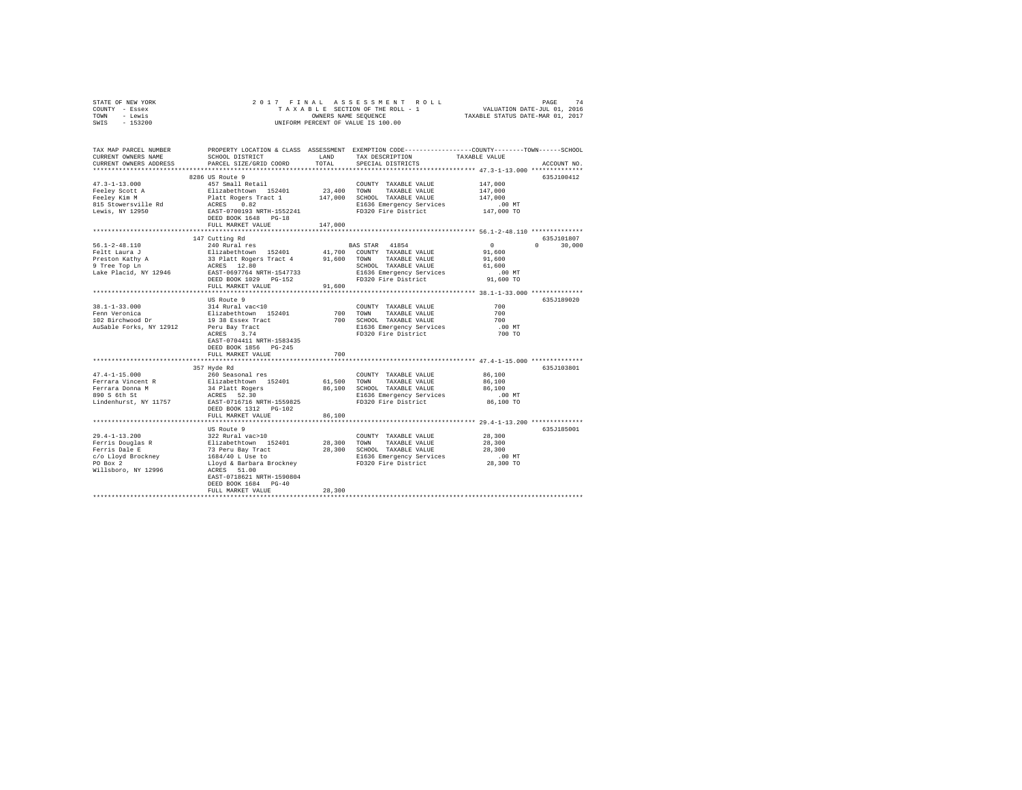| STATE OF NEW YORK                                                                                                                                                                                                                                 |                                                                |         |                                                      |                                                                                                                      |  |
|---------------------------------------------------------------------------------------------------------------------------------------------------------------------------------------------------------------------------------------------------|----------------------------------------------------------------|---------|------------------------------------------------------|----------------------------------------------------------------------------------------------------------------------|--|
| COUNTY - Essex                                                                                                                                                                                                                                    |                                                                |         |                                                      |                                                                                                                      |  |
| TOWN - Lewis                                                                                                                                                                                                                                      |                                                                |         |                                                      |                                                                                                                      |  |
| SWIS - 153200                                                                                                                                                                                                                                     |                                                                |         |                                                      |                                                                                                                      |  |
|                                                                                                                                                                                                                                                   |                                                                |         |                                                      |                                                                                                                      |  |
|                                                                                                                                                                                                                                                   |                                                                |         |                                                      |                                                                                                                      |  |
|                                                                                                                                                                                                                                                   |                                                                |         |                                                      |                                                                                                                      |  |
|                                                                                                                                                                                                                                                   |                                                                |         |                                                      | TAX MAP PARCEL NUMBER PROPERTY LOCATION & CLASS ASSESSMENT EXEMPTION CODE--------------COUNTY--------TOWN-----SCHOOL |  |
| CURRENT OWNERS NAME                                                                                                                                                                                                                               | SCHOOL DISTRICT                                                | LAND    | TAX DESCRIPTION                                      | TAXABLE VALUE                                                                                                        |  |
| CURRENT OWNERS ADDRESS                                                                                                                                                                                                                            | PARCEL SIZE/GRID COORD                                         | TOTAL   | SPECIAL DISTRICTS                                    | ACCOUNT NO.                                                                                                          |  |
|                                                                                                                                                                                                                                                   |                                                                |         |                                                      |                                                                                                                      |  |
|                                                                                                                                                                                                                                                   | 8286 US Route 9                                                |         |                                                      | 635J100412                                                                                                           |  |
|                                                                                                                                                                                                                                                   |                                                                |         |                                                      |                                                                                                                      |  |
| $47.3 - 1 - 13.000$                                                                                                                                                                                                                               | 457 Small Retail                                               |         | COUNTY TAXABLE VALUE                                 | 147,000                                                                                                              |  |
| Feeley Scott A<br>Feeley Kim M                                                                                                                                                                                                                    |                                                                |         |                                                      | 147,000                                                                                                              |  |
|                                                                                                                                                                                                                                                   |                                                                |         |                                                      | 147,000                                                                                                              |  |
| 815 Stowersville Rd                                                                                                                                                                                                                               |                                                                |         |                                                      | 00 MT.<br>147,000 TO                                                                                                 |  |
| Lewis, NY 12950                                                                                                                                                                                                                                   |                                                                |         | FD320 Fire District                                  |                                                                                                                      |  |
|                                                                                                                                                                                                                                                   | DEED BOOK 1648 PG-18                                           |         |                                                      |                                                                                                                      |  |
|                                                                                                                                                                                                                                                   | FULL MARKET VALUE                                              | 147,000 |                                                      |                                                                                                                      |  |
|                                                                                                                                                                                                                                                   |                                                                |         |                                                      |                                                                                                                      |  |
|                                                                                                                                                                                                                                                   | 147 Cutting Rd                                                 |         |                                                      | 635J101807                                                                                                           |  |
| $56.1 - 2 - 48.110$                                                                                                                                                                                                                               | 240 Rural res                                                  |         | BAS STAR 41854                                       | $\sim$ 0<br>$0 \t 30,000$                                                                                            |  |
|                                                                                                                                                                                                                                                   |                                                                |         |                                                      | 91,600                                                                                                               |  |
|                                                                                                                                                                                                                                                   |                                                                |         |                                                      |                                                                                                                      |  |
|                                                                                                                                                                                                                                                   |                                                                |         |                                                      | 91,600                                                                                                               |  |
|                                                                                                                                                                                                                                                   |                                                                |         |                                                      | 61,600                                                                                                               |  |
|                                                                                                                                                                                                                                                   |                                                                |         |                                                      | .00MT                                                                                                                |  |
|                                                                                                                                                                                                                                                   |                                                                |         |                                                      | 91,600 TO                                                                                                            |  |
|                                                                                                                                                                                                                                                   | FULL MARKET VALUE                                              | 91,600  |                                                      |                                                                                                                      |  |
|                                                                                                                                                                                                                                                   |                                                                |         |                                                      |                                                                                                                      |  |
|                                                                                                                                                                                                                                                   | US Route 9                                                     |         |                                                      | 635J189020                                                                                                           |  |
| 38.1-1-33.000                                                                                                                                                                                                                                     |                                                                |         | COUNTY TAXABLE VALUE                                 |                                                                                                                      |  |
|                                                                                                                                                                                                                                                   |                                                                |         | 700 TOWN TAXABLE VALUE                               | $700$<br>$700$                                                                                                       |  |
| Fenn Veronica<br>102 Birchwood Dr                                                                                                                                                                                                                 |                                                                |         | 700 SCHOOL TAXABLE VALUE<br>E1636 Emergency Services | 700                                                                                                                  |  |
| AuSable Forks, NY 12912                                                                                                                                                                                                                           |                                                                |         |                                                      | .00 MT                                                                                                               |  |
|                                                                                                                                                                                                                                                   |                                                                |         | FD320 Fire District                                  | 700 TO                                                                                                               |  |
|                                                                                                                                                                                                                                                   | EAST-0704411 NRTH-1583435                                      |         |                                                      |                                                                                                                      |  |
|                                                                                                                                                                                                                                                   |                                                                |         |                                                      |                                                                                                                      |  |
|                                                                                                                                                                                                                                                   | DEED BOOK 1856 PG-245                                          |         |                                                      |                                                                                                                      |  |
|                                                                                                                                                                                                                                                   | FULL MARKET VALUE                                              | 700     |                                                      |                                                                                                                      |  |
|                                                                                                                                                                                                                                                   |                                                                |         |                                                      |                                                                                                                      |  |
|                                                                                                                                                                                                                                                   | 357 Hyde Rd                                                    |         |                                                      | 635J103801                                                                                                           |  |
| $47.4 - 1 - 15.000$                                                                                                                                                                                                                               | 1--------<br>Elizabethtown 152401<br>34 Platt Rogers<br>3----- |         | COUNTY TAXABLE VALUE                                 | 86,100                                                                                                               |  |
| Ferrara Vincent R                                                                                                                                                                                                                                 |                                                                |         | 61.500 TOWN TAXABLE VALUE                            | 86,100                                                                                                               |  |
| Ferrara Donna M<br>890 S 6th St                                                                                                                                                                                                                   |                                                                |         | 86,100 SCHOOL TAXABLE VALUE                          | 86,100                                                                                                               |  |
|                                                                                                                                                                                                                                                   | ACRES 52.30                                                    |         |                                                      | $.00$ MT                                                                                                             |  |
| Lindenhurst, NY 11757 EAST-0716716 NRTH-1559825                                                                                                                                                                                                   |                                                                |         | E1636 Emergency Services<br>FD320 Fire District      | 86,100 TO                                                                                                            |  |
|                                                                                                                                                                                                                                                   | DEED BOOK 1312    PG-102                                       |         |                                                      |                                                                                                                      |  |
|                                                                                                                                                                                                                                                   | FULL MARKET VALUE                                              | 86,100  |                                                      |                                                                                                                      |  |
|                                                                                                                                                                                                                                                   |                                                                |         |                                                      | ************************ 29.4-1-13.200 **************                                                                |  |
|                                                                                                                                                                                                                                                   |                                                                |         |                                                      |                                                                                                                      |  |
|                                                                                                                                                                                                                                                   | US Route 9                                                     |         |                                                      | 635J185001                                                                                                           |  |
|                                                                                                                                                                                                                                                   |                                                                |         |                                                      | 28,300                                                                                                               |  |
|                                                                                                                                                                                                                                                   |                                                                |         |                                                      | 28,300                                                                                                               |  |
|                                                                                                                                                                                                                                                   |                                                                |         |                                                      | 28,300                                                                                                               |  |
|                                                                                                                                                                                                                                                   |                                                                |         |                                                      | $.00$ MT                                                                                                             |  |
|                                                                                                                                                                                                                                                   |                                                                |         |                                                      | 28,300 TO                                                                                                            |  |
| 29.4-1-13.200<br>Ferris Douglas R<br>Ferris Dale E and Factor (1924)<br>Ferris Dale E and Factor (1934/40 L USE 28,300 TOWN TAXABLE VALUE<br>Ferris Dale E and Taxable VALUE<br>For Box 2<br>For Box 2<br>For Box 2<br>For Box 2<br>For Box 2<br> |                                                                |         |                                                      |                                                                                                                      |  |
|                                                                                                                                                                                                                                                   |                                                                |         |                                                      |                                                                                                                      |  |
|                                                                                                                                                                                                                                                   | DEED BOOK 1684 PG-40                                           |         |                                                      |                                                                                                                      |  |
|                                                                                                                                                                                                                                                   | FULL MARKET VALUE                                              | 28,300  |                                                      |                                                                                                                      |  |
|                                                                                                                                                                                                                                                   |                                                                |         |                                                      |                                                                                                                      |  |
|                                                                                                                                                                                                                                                   |                                                                |         |                                                      |                                                                                                                      |  |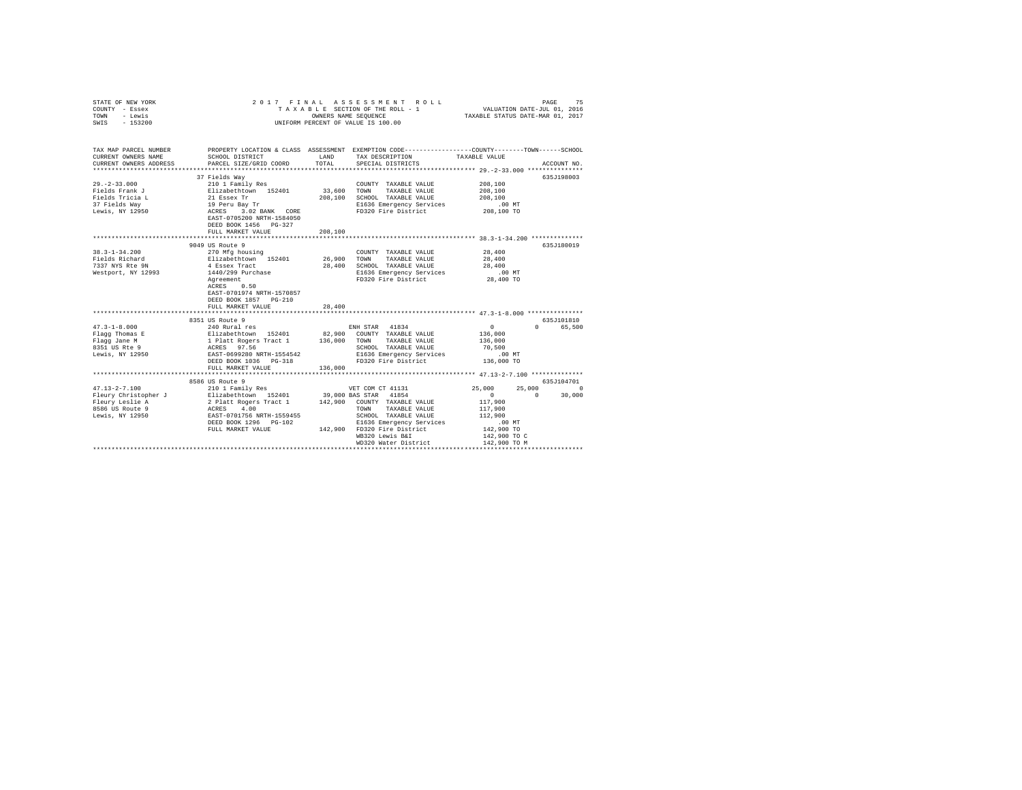| COUNTY - Essex<br>TOWN<br>- Lewis<br>SWIS - 153200                                                                                                                                                                                          | UNIFORM PERCENT OF VALUE IS 100.00                                                                                                                                                                                                                |         |                                                                                                                                    |                      |                           |
|---------------------------------------------------------------------------------------------------------------------------------------------------------------------------------------------------------------------------------------------|---------------------------------------------------------------------------------------------------------------------------------------------------------------------------------------------------------------------------------------------------|---------|------------------------------------------------------------------------------------------------------------------------------------|----------------------|---------------------------|
| TAX MAP PARCEL NUMBER PROPERTY LOCATION & CLASS ASSESSMENT EXEMPTION CODE---------------COUNTY-------TOWN------SCHOOL<br>CURRENT OWNERS NAME<br>CURRENT OWNERS ADDRESS                                                                      | SCHOOL DISTRICT TAND TAX DESCRIPTION<br>PARCEL SIZE/GRID COORD                                                                                                                                                                                    | TOTAL   | SPECIAL DISTRICTS                                                                                                                  | TAXABLE VALUE        | ACCOUNT NO.               |
|                                                                                                                                                                                                                                             | 37 Fields Way                                                                                                                                                                                                                                     |         |                                                                                                                                    |                      | 635J198003                |
| $29. -2 - 33.000$                                                                                                                                                                                                                           | 210 1 Family Res                                                                                                                                                                                                                                  |         | COUNTY TAXABLE VALUE                                                                                                               | 208,100              |                           |
|                                                                                                                                                                                                                                             |                                                                                                                                                                                                                                                   |         | 33,600 TOWN TAXABLE VALUE                                                                                                          | 208,100<br>208,100   |                           |
|                                                                                                                                                                                                                                             |                                                                                                                                                                                                                                                   |         | 208,100 SCHOOL TAXABLE VALUE                                                                                                       |                      |                           |
|                                                                                                                                                                                                                                             |                                                                                                                                                                                                                                                   |         | E1636 Emergency Services                                                                                                           | 00 MT.<br>208,100 TO |                           |
|                                                                                                                                                                                                                                             | DEED BOOK 1456 PG-327                                                                                                                                                                                                                             |         | FD320 Fire District                                                                                                                |                      |                           |
|                                                                                                                                                                                                                                             | FULL MARKET VALUE                                                                                                                                                                                                                                 | 208,100 |                                                                                                                                    |                      |                           |
|                                                                                                                                                                                                                                             | 9049 US Route 9                                                                                                                                                                                                                                   |         |                                                                                                                                    |                      | 635J180019                |
| $38.3 - 1 - 34.200$                                                                                                                                                                                                                         | 270 Mfg housing                                                                                                                                                                                                                                   |         | COUNTY TAXABLE VALUE 28,400                                                                                                        |                      |                           |
| Fields Richard                                                                                                                                                                                                                              | 270 Mfg housing 152401 126,900 TOWNT TAXABLE VALUE Elizabeth<br>152401 152401 26,900 TOWN TAXABLE VALUE 4 Essex Tract                                                                                                                             |         |                                                                                                                                    | 28,400               |                           |
| 7337 NYS Rte 9N                                                                                                                                                                                                                             |                                                                                                                                                                                                                                                   |         | SCHOOL TAXABLE VALUE                                                                                                               | 28,400               |                           |
| Westport, NY 12993                                                                                                                                                                                                                          |                                                                                                                                                                                                                                                   |         |                                                                                                                                    |                      |                           |
|                                                                                                                                                                                                                                             | 1440/299 Purchase<br>Agreement<br>ACRES 0.50                                                                                                                                                                                                      |         | E1636 Emergency Services .00 MT<br>FD320 Fire District 28,400 TO                                                                   |                      |                           |
|                                                                                                                                                                                                                                             | EAST-0701974 NRTH-1570857<br>DEED BOOK 1857 PG-210                                                                                                                                                                                                |         |                                                                                                                                    |                      |                           |
|                                                                                                                                                                                                                                             | FULL MARKET VALUE                                                                                                                                                                                                                                 | 28,400  |                                                                                                                                    |                      |                           |
|                                                                                                                                                                                                                                             |                                                                                                                                                                                                                                                   |         |                                                                                                                                    |                      |                           |
| $47.3 - 1 - 8.000$                                                                                                                                                                                                                          | 8351 US Route 9<br>EXAMPLE 240 RUNAL TRISP 210 RUNAL PRINCIPAL PRINCIPAL PRINCIPAL PRINCIPAL PRINCIPAL PRINCIPAL PRINCIPAL PRINCIPAL PRINCIPAL PRINCIPAL PRINCIPAL PRINCIPAL PRINCIPAL PRINCIPAL PRINCIPAL PRINCIPAL PRINCIPAL PRINCIPAL PRINCIPA |         |                                                                                                                                    | $\sim$ 0             | 635J101810                |
|                                                                                                                                                                                                                                             |                                                                                                                                                                                                                                                   |         |                                                                                                                                    | 136,000              | 0 65,500                  |
| Flagg Thomas E<br>Flagg Jane M                                                                                                                                                                                                              |                                                                                                                                                                                                                                                   |         |                                                                                                                                    | 136,000              |                           |
| $8351$ US Rte 9                                                                                                                                                                                                                             |                                                                                                                                                                                                                                                   |         |                                                                                                                                    |                      |                           |
| Lewis, NY 12950                                                                                                                                                                                                                             |                                                                                                                                                                                                                                                   |         | CHOOL TAXABLE VALUE 70,500<br>SCHOOL TAXABLE VALUE 70,500<br>E1636 Emergency Services 136,000 TO<br>FD320 Fire District 136,000 TO |                      |                           |
|                                                                                                                                                                                                                                             | DEED BOOK 1036 PG-318                                                                                                                                                                                                                             |         |                                                                                                                                    |                      |                           |
|                                                                                                                                                                                                                                             | FULL MARKET VALUE                                                                                                                                                                                                                                 | 136,000 |                                                                                                                                    |                      |                           |
|                                                                                                                                                                                                                                             |                                                                                                                                                                                                                                                   |         |                                                                                                                                    |                      |                           |
|                                                                                                                                                                                                                                             | 8586 US Route 9                                                                                                                                                                                                                                   |         |                                                                                                                                    |                      | 635J104701                |
| $47.13 - 2 - 7.100$                                                                                                                                                                                                                         | $210$ 1 Family Res                                                                                                                                                                                                                                |         | VET COM CT 41131                                                                                                                   | 25,000               | 25,000<br>$\Omega$        |
|                                                                                                                                                                                                                                             |                                                                                                                                                                                                                                                   |         |                                                                                                                                    | $\sim$ 0             | $\sim$ 0 $\sim$<br>30,000 |
|                                                                                                                                                                                                                                             |                                                                                                                                                                                                                                                   |         |                                                                                                                                    | 117,900              |                           |
|                                                                                                                                                                                                                                             |                                                                                                                                                                                                                                                   |         | TOWN TAXABLE VALUE                                                                                                                 | 117,900              |                           |
| +1.13−4 /1.1000 BAS STAR 41854<br>+1.13−4 /2 Pleury Lemington and 2 Plant Regers Tract 1<br>+2.900 BAS STAR 41854<br>+1.1854 Max 11.2564 Max 11.259455<br>+2.900 DAX STAR 41854<br>+1.1556 Max 12950<br>-2.900 BAS STAR 11.259455<br>-2.900 |                                                                                                                                                                                                                                                   |         |                                                                                                                                    | 112,900              |                           |
|                                                                                                                                                                                                                                             | FULL MARKET VALUE 142,900 FD320 Fire District                                                                                                                                                                                                     |         | E1636 Emergency Services                                                                                                           | 00 MT.<br>142,900 TO |                           |
|                                                                                                                                                                                                                                             |                                                                                                                                                                                                                                                   |         |                                                                                                                                    |                      |                           |
|                                                                                                                                                                                                                                             |                                                                                                                                                                                                                                                   |         | WB320 Lewis B&I                                                                                                                    | 142,900 TO C         |                           |
|                                                                                                                                                                                                                                             |                                                                                                                                                                                                                                                   |         |                                                                                                                                    |                      |                           |

STATE OF NEW YORK 2 0 1 7 F I N A L A S S E S S M E N T R O L L PAGE 75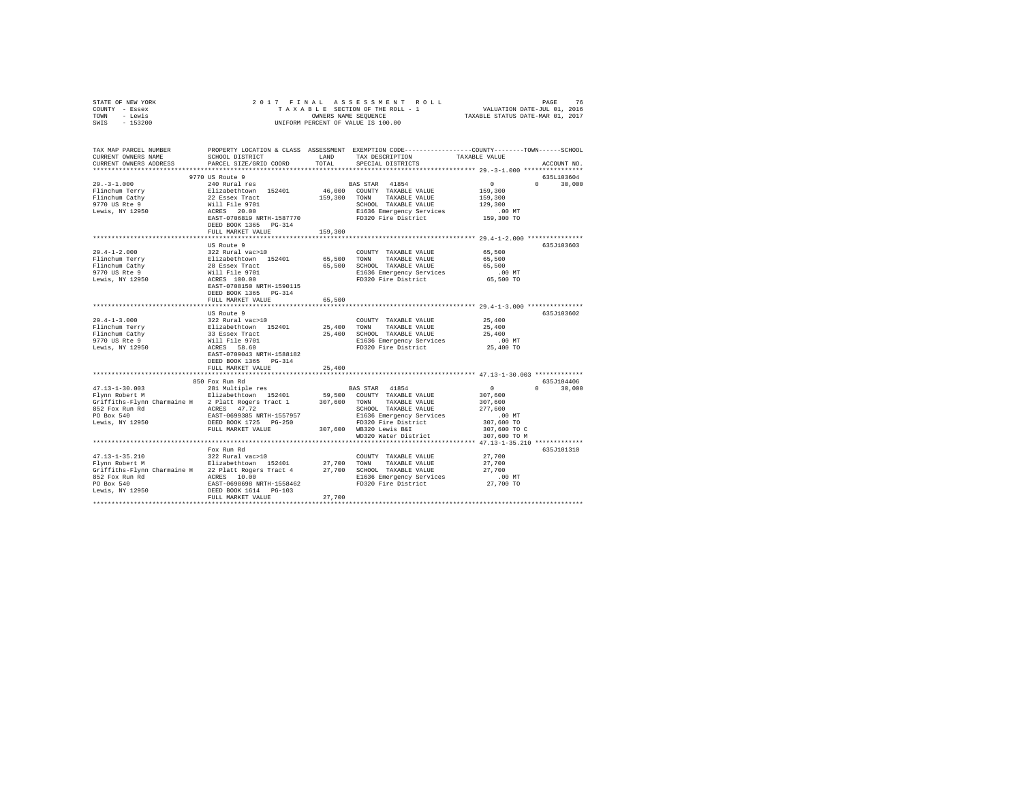| STATE OF NEW YORK                                                                                                                                                                                                                                                                                                                                                                |                                                                                                                                                                                                  |         |                                                                                |                                                                                                 |
|----------------------------------------------------------------------------------------------------------------------------------------------------------------------------------------------------------------------------------------------------------------------------------------------------------------------------------------------------------------------------------|--------------------------------------------------------------------------------------------------------------------------------------------------------------------------------------------------|---------|--------------------------------------------------------------------------------|-------------------------------------------------------------------------------------------------|
| COUNTY - Essex                                                                                                                                                                                                                                                                                                                                                                   |                                                                                                                                                                                                  |         |                                                                                |                                                                                                 |
| TOWN - Lewis                                                                                                                                                                                                                                                                                                                                                                     |                                                                                                                                                                                                  |         |                                                                                |                                                                                                 |
| SWIS - 153200                                                                                                                                                                                                                                                                                                                                                                    |                                                                                                                                                                                                  |         | OWNERS NAME SEQUENCE<br>UNIFORM PERCENT OF VALUE IS 100.00                     |                                                                                                 |
|                                                                                                                                                                                                                                                                                                                                                                                  |                                                                                                                                                                                                  |         |                                                                                |                                                                                                 |
|                                                                                                                                                                                                                                                                                                                                                                                  |                                                                                                                                                                                                  |         |                                                                                |                                                                                                 |
| TAX MAP PARCEL NUMBER                                                                                                                                                                                                                                                                                                                                                            |                                                                                                                                                                                                  |         |                                                                                | PROPERTY LOCATION & CLASS ASSESSMENT EXEMPTION CODE---------------COUNTY-------TOWN------SCHOOL |
| CURRENT OWNERS NAME                                                                                                                                                                                                                                                                                                                                                              | SCHOOL DISTRICT                                                                                                                                                                                  | LAND    | TAX DESCRIPTION                                                                | TAXABLE VALUE                                                                                   |
| CURRENT OWNERS ADDRESS                                                                                                                                                                                                                                                                                                                                                           | PARCEL SIZE/GRID COORD                                                                                                                                                                           | TOTAL   | SPECIAL DISTRICTS                                                              | ACCOUNT NO.                                                                                     |
|                                                                                                                                                                                                                                                                                                                                                                                  |                                                                                                                                                                                                  |         |                                                                                |                                                                                                 |
|                                                                                                                                                                                                                                                                                                                                                                                  | 9770 US Route 9                                                                                                                                                                                  |         |                                                                                | 635L103604                                                                                      |
| $29. -3 - 1.000$                                                                                                                                                                                                                                                                                                                                                                 | 240 Rural res                                                                                                                                                                                    |         | BAS STAR 41854                                                                 | $\sim$ 0<br>$0 \t 30.000$                                                                       |
|                                                                                                                                                                                                                                                                                                                                                                                  |                                                                                                                                                                                                  |         | 46,000 COUNTY TAXABLE VALUE                                                    | 159,300                                                                                         |
|                                                                                                                                                                                                                                                                                                                                                                                  |                                                                                                                                                                                                  |         | 159,300 TOWN TAXABLE VALUE                                                     | 159,300                                                                                         |
|                                                                                                                                                                                                                                                                                                                                                                                  |                                                                                                                                                                                                  |         |                                                                                | 129,300                                                                                         |
| Flinchum Terry<br>Flinchum Cathy<br>9770 US Rte 9<br>Lewis, NY 12950                                                                                                                                                                                                                                                                                                             | rive internal response to 152401<br>22 Essex Tract<br>Will File 9701<br>ACRES 20.00                                                                                                              |         |                                                                                |                                                                                                 |
|                                                                                                                                                                                                                                                                                                                                                                                  |                                                                                                                                                                                                  |         | SCHOOL TAXABLE VALUE<br>E1636 Emergency Services<br>FD320 Fire District        | .00 MT                                                                                          |
|                                                                                                                                                                                                                                                                                                                                                                                  | EAST-0706819 NRTH-1587770                                                                                                                                                                        |         |                                                                                | 159,300 TO                                                                                      |
|                                                                                                                                                                                                                                                                                                                                                                                  | DEED BOOK 1365 PG-314                                                                                                                                                                            |         |                                                                                |                                                                                                 |
|                                                                                                                                                                                                                                                                                                                                                                                  | FULL MARKET VALUE                                                                                                                                                                                | 159,300 |                                                                                |                                                                                                 |
|                                                                                                                                                                                                                                                                                                                                                                                  |                                                                                                                                                                                                  |         |                                                                                |                                                                                                 |
|                                                                                                                                                                                                                                                                                                                                                                                  | US Route 9                                                                                                                                                                                       |         |                                                                                | 635J103603                                                                                      |
| $29.4 - 1 - 2.000$                                                                                                                                                                                                                                                                                                                                                               | 322 Rural vac>10                                                                                                                                                                                 |         | COUNTY TAXABLE VALUE                                                           | 65,500                                                                                          |
|                                                                                                                                                                                                                                                                                                                                                                                  |                                                                                                                                                                                                  |         | 65,500 TOWN TAXABLE VALUE<br>65,500 SCHOOL TAXABLE VALUE                       | 65,500                                                                                          |
|                                                                                                                                                                                                                                                                                                                                                                                  |                                                                                                                                                                                                  |         |                                                                                | 65,500                                                                                          |
|                                                                                                                                                                                                                                                                                                                                                                                  |                                                                                                                                                                                                  |         |                                                                                | $.00$ MT                                                                                        |
| 29.7 1 2000<br>Flinchum Terry<br>770 US Rte 9<br>Lewis, NY 12950                                                                                                                                                                                                                                                                                                                 | 522 Rural vac>10<br>Elizabethtown 152401 65,500<br>28 Essex Tract 65,500<br>Will File 9701<br>ACRES 100.00<br>EST-0708150 NRTH-1590115<br>REST-0708150 NRTH-1590115<br>REST-0708150 NRTH-1590115 |         | E1636 Emergency Services<br>FD320 Fire District                                | 65,500 TO                                                                                       |
|                                                                                                                                                                                                                                                                                                                                                                                  |                                                                                                                                                                                                  |         |                                                                                |                                                                                                 |
|                                                                                                                                                                                                                                                                                                                                                                                  | DEED BOOK 1365 PG-314                                                                                                                                                                            |         |                                                                                |                                                                                                 |
|                                                                                                                                                                                                                                                                                                                                                                                  | FULL MARKET VALUE                                                                                                                                                                                | 65,500  |                                                                                |                                                                                                 |
|                                                                                                                                                                                                                                                                                                                                                                                  |                                                                                                                                                                                                  |         |                                                                                |                                                                                                 |
|                                                                                                                                                                                                                                                                                                                                                                                  | US Route 9                                                                                                                                                                                       |         |                                                                                | 635J103602                                                                                      |
| $29.4 - 1 - 3.000$                                                                                                                                                                                                                                                                                                                                                               | 322 Rural vac>10                                                                                                                                                                                 |         | COUNTY TAXABLE VALUE 25,400                                                    |                                                                                                 |
|                                                                                                                                                                                                                                                                                                                                                                                  |                                                                                                                                                                                                  |         | 25,400 TOWN TAXABLE VALUE                                                      | 25,400                                                                                          |
|                                                                                                                                                                                                                                                                                                                                                                                  |                                                                                                                                                                                                  |         |                                                                                | 25,400                                                                                          |
| Flinchum Terry<br>Flinchum Cathy<br>9770 US Rte 9<br>Lewis, NY 12950                                                                                                                                                                                                                                                                                                             | %22 Audat Vac2-10<br>Slizabethtown 152401<br>33 Essex Tract<br>Will File 9701<br>ACRES 58.60<br>RACE 070043 NUTH 1588182                                                                         |         | 25,400 SCHOOL TAXABLE VALUE<br>E1636 Emergency Services<br>FD320 Fire District | $.00$ MT                                                                                        |
|                                                                                                                                                                                                                                                                                                                                                                                  |                                                                                                                                                                                                  |         |                                                                                | 25,400 TO                                                                                       |
|                                                                                                                                                                                                                                                                                                                                                                                  | EAST-0709043 NRTH-1588182                                                                                                                                                                        |         |                                                                                |                                                                                                 |
|                                                                                                                                                                                                                                                                                                                                                                                  | DEED BOOK 1365 PG-314                                                                                                                                                                            |         |                                                                                |                                                                                                 |
|                                                                                                                                                                                                                                                                                                                                                                                  | FULL MARKET VALUE                                                                                                                                                                                | 25,400  |                                                                                |                                                                                                 |
|                                                                                                                                                                                                                                                                                                                                                                                  |                                                                                                                                                                                                  |         |                                                                                |                                                                                                 |
|                                                                                                                                                                                                                                                                                                                                                                                  | 850 Fox Run Rd                                                                                                                                                                                   |         |                                                                                | 635J104406                                                                                      |
|                                                                                                                                                                                                                                                                                                                                                                                  |                                                                                                                                                                                                  |         |                                                                                | $0 \t 30,000$<br>$\sim$ 0                                                                       |
|                                                                                                                                                                                                                                                                                                                                                                                  |                                                                                                                                                                                                  |         |                                                                                |                                                                                                 |
|                                                                                                                                                                                                                                                                                                                                                                                  |                                                                                                                                                                                                  |         |                                                                                | 307,600                                                                                         |
|                                                                                                                                                                                                                                                                                                                                                                                  |                                                                                                                                                                                                  |         |                                                                                | 307,600                                                                                         |
| $\begin{tabular}{l c c c c} \multicolumn{3}{c}{\textbf{47.13--1-30.003}} & \multicolumn{3}{c}{\textbf{54.13--130.003}} & \multicolumn{3}{c}{\textbf{54.13--130.003}} & \multicolumn{3}{c}{\textbf{54.13--130.003}} & \multicolumn{3}{c}{\textbf{54.13--130.003}} & \multicolumn{3}{c}{\textbf{54.13--130.003}} & \multicolumn{3}{c}{\textbf{54.13--130.003}} & \multicolumn{3}{$ |                                                                                                                                                                                                  |         |                                                                                | 277,600                                                                                         |
|                                                                                                                                                                                                                                                                                                                                                                                  |                                                                                                                                                                                                  |         |                                                                                | $.00$ MT                                                                                        |
|                                                                                                                                                                                                                                                                                                                                                                                  |                                                                                                                                                                                                  |         |                                                                                | 307,600 TO                                                                                      |
|                                                                                                                                                                                                                                                                                                                                                                                  |                                                                                                                                                                                                  |         |                                                                                | 307,600 TO C                                                                                    |
|                                                                                                                                                                                                                                                                                                                                                                                  |                                                                                                                                                                                                  |         | WD320 Water District                                                           | 307,600 TO M                                                                                    |
|                                                                                                                                                                                                                                                                                                                                                                                  |                                                                                                                                                                                                  |         |                                                                                |                                                                                                 |
|                                                                                                                                                                                                                                                                                                                                                                                  | Fox Run Rd                                                                                                                                                                                       |         |                                                                                | 635J101310                                                                                      |
| $\begin{tabular}{llll} $47.13$--1$--35.210 & & & 322 Rural vac>10 \\ \hline \texttt{Flynn Robert M} & & & \texttt{Elizabethtown} & 152401 \\ \end{tabular}$                                                                                                                                                                                                                      |                                                                                                                                                                                                  |         | COUNTY TAXABLE VALUE                                                           | 27,700                                                                                          |
|                                                                                                                                                                                                                                                                                                                                                                                  |                                                                                                                                                                                                  |         |                                                                                | 27,700                                                                                          |
|                                                                                                                                                                                                                                                                                                                                                                                  |                                                                                                                                                                                                  |         |                                                                                | 27,700                                                                                          |
|                                                                                                                                                                                                                                                                                                                                                                                  |                                                                                                                                                                                                  |         |                                                                                |                                                                                                 |
|                                                                                                                                                                                                                                                                                                                                                                                  |                                                                                                                                                                                                  |         |                                                                                | 00 MT.<br>27,700 TO                                                                             |
|                                                                                                                                                                                                                                                                                                                                                                                  |                                                                                                                                                                                                  |         |                                                                                |                                                                                                 |
|                                                                                                                                                                                                                                                                                                                                                                                  | FULL MARKET VALUE                                                                                                                                                                                | 27,700  |                                                                                |                                                                                                 |
|                                                                                                                                                                                                                                                                                                                                                                                  |                                                                                                                                                                                                  |         |                                                                                |                                                                                                 |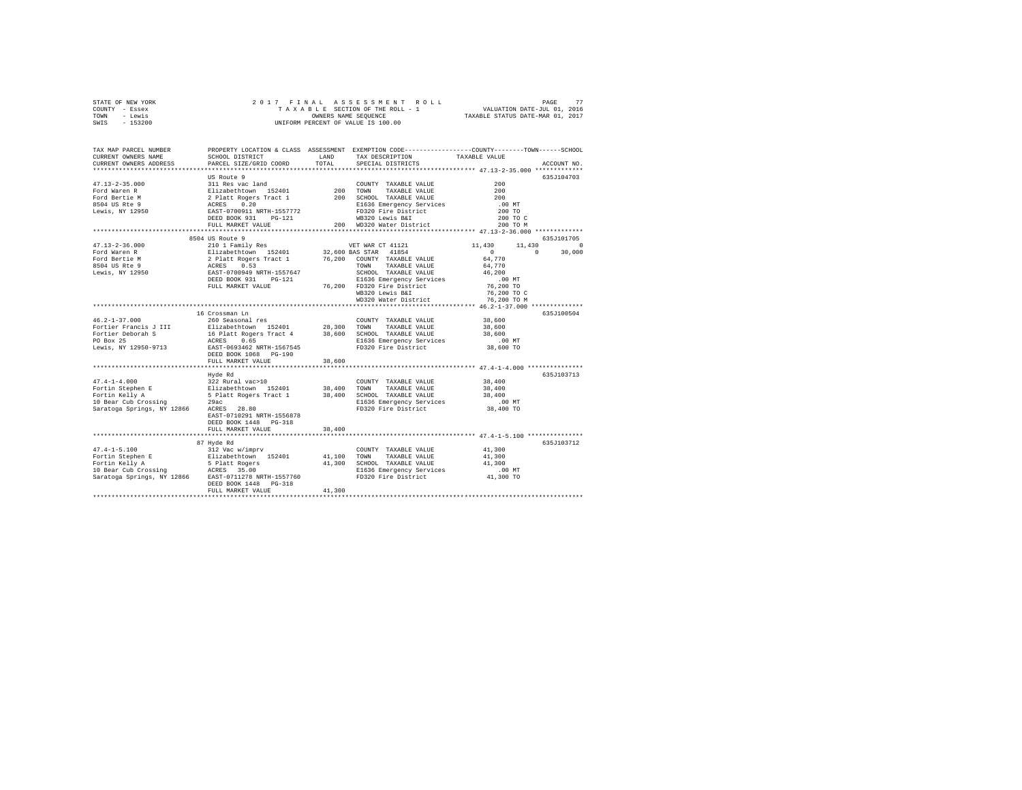| STATE OF NEW YORK | 2017 FINAL ASSESSMENT ROLL         | 77<br>PAGE                       |
|-------------------|------------------------------------|----------------------------------|
| COUNTY - Essex    | TAXABLE SECTION OF THE ROLL - 1    | VALUATION DATE-JUL 01, 2016      |
| TOWN<br>- Lewis   | OWNERS NAME SEOUENCE               | TAXABLE STATUS DATE-MAR 01, 2017 |
| $-153200$<br>SWIS | UNIFORM PERCENT OF VALUE IS 100.00 |                                  |

| TAX MAP PARCEL NUMBER<br>CURRENT OWNERS NAME<br>CURRENT OWNERS ADDRESS                                                                                                                                                                       | SCHOOL DISTRICT<br>PARCEL SIZE/GRID COORD                                                                                                                                              | LAND<br>TOTAL | PROPERTY LOCATION & CLASS ASSESSMENT EXEMPTION CODE----------------COUNTY-------TOWN------SCHOOL<br>TAX DESCRIPTION<br>SPECIAL DISTRICTS | TAXABLE VALUE                                                  | ACCOUNT NO. |
|----------------------------------------------------------------------------------------------------------------------------------------------------------------------------------------------------------------------------------------------|----------------------------------------------------------------------------------------------------------------------------------------------------------------------------------------|---------------|------------------------------------------------------------------------------------------------------------------------------------------|----------------------------------------------------------------|-------------|
|                                                                                                                                                                                                                                              |                                                                                                                                                                                        |               |                                                                                                                                          |                                                                |             |
|                                                                                                                                                                                                                                              | US Route 9                                                                                                                                                                             |               |                                                                                                                                          |                                                                | 635J104703  |
| $47.13 - 2 - 35.000$                                                                                                                                                                                                                         | 311 Res vac land                                                                                                                                                                       |               | COUNTY TAXABLE VALUE                                                                                                                     | 200                                                            |             |
| Ford Waren R                                                                                                                                                                                                                                 | Elizabethtown 152401 200 TOWN TAXABLE VALUE<br>2 Platt Rogers Tract 1 200 SCHOOL TAXABLE VALUE<br>ACRES 0.20 E1636 Emergency Services<br>EAST-0700911 NRTH-1557772 FD320 Fire District |               |                                                                                                                                          | 200                                                            |             |
| Ford Bertie M                                                                                                                                                                                                                                |                                                                                                                                                                                        |               |                                                                                                                                          | 200                                                            |             |
| 8504 US Rte 9                                                                                                                                                                                                                                |                                                                                                                                                                                        |               |                                                                                                                                          | $.00$ MT                                                       |             |
| Lewis, NY 12950                                                                                                                                                                                                                              |                                                                                                                                                                                        |               | FD320 Fire District                                                                                                                      | 200 TO                                                         |             |
|                                                                                                                                                                                                                                              | DEED BOOK 931 PG-121                                                                                                                                                                   |               | WB320 Lewis B&I                                                                                                                          | 200 TO C                                                       |             |
|                                                                                                                                                                                                                                              | FULL MARKET VALUE                                                                                                                                                                      |               | 200 WD320 Water District                                                                                                                 | 200 TO M                                                       |             |
|                                                                                                                                                                                                                                              | **************************                                                                                                                                                             |               |                                                                                                                                          | .***************************** 47.13-2-36.000 *************    |             |
|                                                                                                                                                                                                                                              | 8504 US Route 9                                                                                                                                                                        |               |                                                                                                                                          |                                                                | 635J101705  |
| $47.13 - 2 - 36.000$                                                                                                                                                                                                                         | 210 1 Family Res                                                                                                                                                                       |               | VET WAR CT 41121                                                                                                                         | 11,430<br>11,430                                               | $\Omega$    |
|                                                                                                                                                                                                                                              |                                                                                                                                                                                        |               |                                                                                                                                          | $\overline{0}$<br>$\mathbf{r}$                                 | 30,000      |
|                                                                                                                                                                                                                                              |                                                                                                                                                                                        |               |                                                                                                                                          | 64,770                                                         |             |
| Ford Waren R. (1992)<br>Ford Waren R. (1994)<br>Example 2 Palat Rogers Tract 1 (1995)<br>Ford Waren R. (1994)<br>EAST-0709949 NRTH=1557647 (1994)<br>EAST-0709949 NRTH=1557647 (1994)<br>ELGYA READ DEED BOOK 931 PO-121 (1996)<br>EAST-0709 |                                                                                                                                                                                        |               |                                                                                                                                          | 64,770                                                         |             |
|                                                                                                                                                                                                                                              |                                                                                                                                                                                        |               | SCHOOL TAXABLE VALUE                                                                                                                     | 46,200                                                         |             |
|                                                                                                                                                                                                                                              |                                                                                                                                                                                        |               | E1636 Emergency Services                                                                                                                 | $.00$ MT                                                       |             |
|                                                                                                                                                                                                                                              | FULL MARKET VALUE                                                                                                                                                                      |               | 76,200 FD320 Fire District                                                                                                               | 76,200 TO                                                      |             |
|                                                                                                                                                                                                                                              |                                                                                                                                                                                        |               | WB320 Lewis B&I                                                                                                                          | 76,200 TO C                                                    |             |
|                                                                                                                                                                                                                                              |                                                                                                                                                                                        |               | WD320 Water District                                                                                                                     | 76,200 TO M                                                    |             |
|                                                                                                                                                                                                                                              |                                                                                                                                                                                        |               | ********************************* 46.2-1-37.000 **                                                                                       |                                                                |             |
|                                                                                                                                                                                                                                              | 16 Crossman Ln                                                                                                                                                                         |               |                                                                                                                                          |                                                                | 635J100504  |
| $46.2 - 1 - 37.000$                                                                                                                                                                                                                          | 260 Seasonal res                                                                                                                                                                       |               | COUNTY TAXABLE VALUE                                                                                                                     | 38,600                                                         |             |
| Fortier Francis J III                                                                                                                                                                                                                        | Elizabethtown 152401 28,300 TOWN TAXABLE VALUE                                                                                                                                         |               |                                                                                                                                          | 38,600                                                         |             |
| Fortier Deborah S                                                                                                                                                                                                                            | 16 Platt Rogers Tract 4<br>ACRES 0.65<br>EAST-0693462 NRTH-1567545                                                                                                                     |               | 38,600 SCHOOL TAXABLE VALUE                                                                                                              | 38,600                                                         |             |
| PO Box 25                                                                                                                                                                                                                                    |                                                                                                                                                                                        |               | E1636 Emergency Services                                                                                                                 | .00MT                                                          |             |
| Lewis, NY 12950-9713                                                                                                                                                                                                                         |                                                                                                                                                                                        |               | FD320 Fire District                                                                                                                      | 38,600 TO                                                      |             |
|                                                                                                                                                                                                                                              | DEED BOOK 1068 PG-190                                                                                                                                                                  |               |                                                                                                                                          |                                                                |             |
|                                                                                                                                                                                                                                              | FULL MARKET VALUE                                                                                                                                                                      | 38,600        |                                                                                                                                          |                                                                |             |
|                                                                                                                                                                                                                                              |                                                                                                                                                                                        |               |                                                                                                                                          |                                                                |             |
|                                                                                                                                                                                                                                              | Hyde Rd                                                                                                                                                                                |               |                                                                                                                                          |                                                                | 635J103713  |
| $47.4 - 1 - 4.000$                                                                                                                                                                                                                           | 322 Rural vac>10                                                                                                                                                                       |               | COUNTY TAXABLE VALUE                                                                                                                     | 38,400                                                         |             |
|                                                                                                                                                                                                                                              |                                                                                                                                                                                        |               | TAXABLE VALUE                                                                                                                            | 38,400                                                         |             |
|                                                                                                                                                                                                                                              |                                                                                                                                                                                        |               | 38,400 SCHOOL TAXABLE VALUE                                                                                                              | 38,400                                                         |             |
| Fortin Stephen E and States and States (2000)<br>Fortin Stephen E Elizabethtown 152401 38,400 TOWN<br>Fortin Kelly A States Splatt Rogers Tract 1 38,400 SCHOT<br>10 Bear Cub Crossing  29ac                                                 |                                                                                                                                                                                        |               | E1636 Emergency Services<br>FD320 Fire District                                                                                          | .00 MT                                                         |             |
| Saratoga Springs, NY 12866                                                                                                                                                                                                                   | ACRES 28.80                                                                                                                                                                            |               |                                                                                                                                          | 38,400 TO                                                      |             |
|                                                                                                                                                                                                                                              | EAST-0710291 NRTH-1556878                                                                                                                                                              |               |                                                                                                                                          |                                                                |             |
|                                                                                                                                                                                                                                              | DEED BOOK 1448 PG-318                                                                                                                                                                  |               |                                                                                                                                          |                                                                |             |
|                                                                                                                                                                                                                                              | FULL MARKET VALUE                                                                                                                                                                      | 38,400        |                                                                                                                                          |                                                                |             |
|                                                                                                                                                                                                                                              | ****************************                                                                                                                                                           |               |                                                                                                                                          | ·******************************** 47.4-1-5.100 *************** |             |
|                                                                                                                                                                                                                                              | 87 Hyde Rd                                                                                                                                                                             |               |                                                                                                                                          |                                                                | 635J103712  |
| $47.4 - 1 - 5.100$                                                                                                                                                                                                                           | 312 Vac w/imprv<br>Elizabethtown 152401                                                                                                                                                |               | COUNTY TAXABLE VALUE                                                                                                                     | 41,300                                                         |             |
|                                                                                                                                                                                                                                              |                                                                                                                                                                                        | 41,100 TOWN   | TAXABLE VALUE                                                                                                                            | 41,300                                                         |             |
|                                                                                                                                                                                                                                              |                                                                                                                                                                                        |               | 41,300 SCHOOL TAXABLE VALUE                                                                                                              | 41,300                                                         |             |
|                                                                                                                                                                                                                                              |                                                                                                                                                                                        |               | E1636 Emergency Services                                                                                                                 | $.00$ MT                                                       |             |
|                                                                                                                                                                                                                                              |                                                                                                                                                                                        |               | FD320 Fire District                                                                                                                      | 41,300 TO                                                      |             |
|                                                                                                                                                                                                                                              | DEED BOOK 1448    PG-318                                                                                                                                                               |               |                                                                                                                                          |                                                                |             |
|                                                                                                                                                                                                                                              | FULL MARKET VALUE                                                                                                                                                                      | 41,300        |                                                                                                                                          |                                                                |             |
|                                                                                                                                                                                                                                              |                                                                                                                                                                                        |               |                                                                                                                                          |                                                                |             |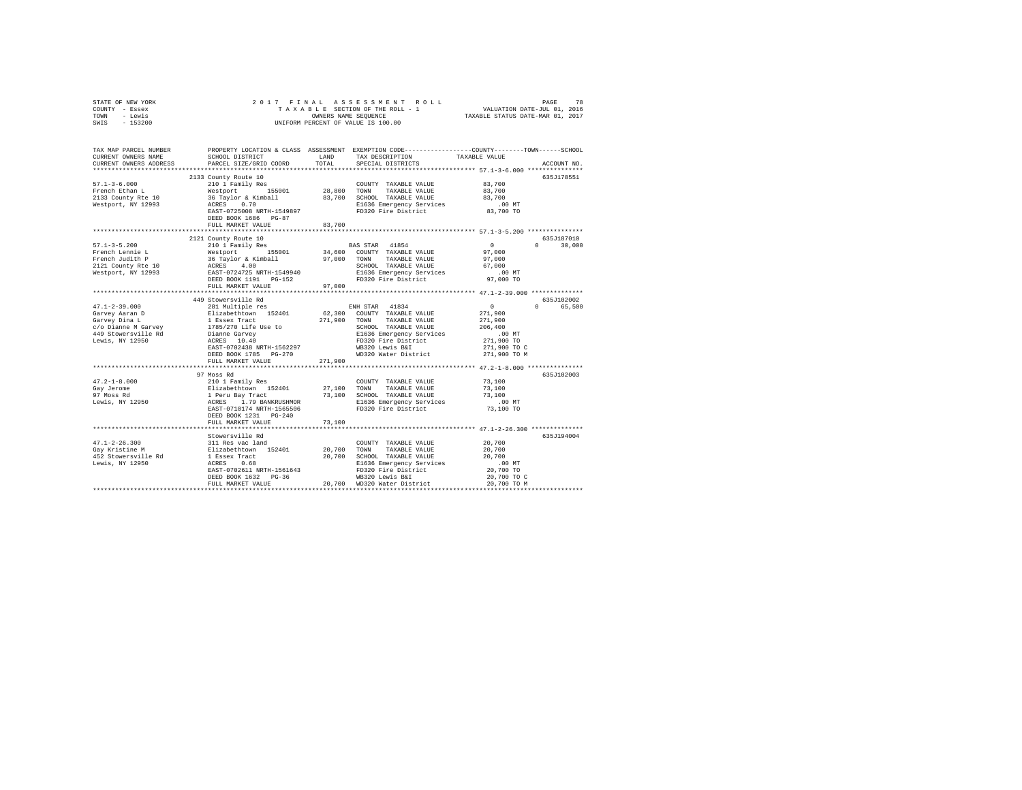| STATE OF NEW YORK                                                                                                                                                                                                                                                                                                                                                                                                                         |                                                                                                                                                                                                                                                                                                                               |         |                                                                                                     |                                                                                                                       |  |
|-------------------------------------------------------------------------------------------------------------------------------------------------------------------------------------------------------------------------------------------------------------------------------------------------------------------------------------------------------------------------------------------------------------------------------------------|-------------------------------------------------------------------------------------------------------------------------------------------------------------------------------------------------------------------------------------------------------------------------------------------------------------------------------|---------|-----------------------------------------------------------------------------------------------------|-----------------------------------------------------------------------------------------------------------------------|--|
| COUNTY - Essex                                                                                                                                                                                                                                                                                                                                                                                                                            |                                                                                                                                                                                                                                                                                                                               |         |                                                                                                     |                                                                                                                       |  |
| TOWN - Lewis                                                                                                                                                                                                                                                                                                                                                                                                                              |                                                                                                                                                                                                                                                                                                                               |         |                                                                                                     |                                                                                                                       |  |
| SWIS - 153200                                                                                                                                                                                                                                                                                                                                                                                                                             |                                                                                                                                                                                                                                                                                                                               |         |                                                                                                     |                                                                                                                       |  |
|                                                                                                                                                                                                                                                                                                                                                                                                                                           |                                                                                                                                                                                                                                                                                                                               |         |                                                                                                     |                                                                                                                       |  |
|                                                                                                                                                                                                                                                                                                                                                                                                                                           |                                                                                                                                                                                                                                                                                                                               |         |                                                                                                     |                                                                                                                       |  |
|                                                                                                                                                                                                                                                                                                                                                                                                                                           |                                                                                                                                                                                                                                                                                                                               |         |                                                                                                     | TAX MAP PARCEL NUMBER PROPERTY LOCATION & CLASS ASSESSMENT EXEMPTION CODE---------------COUNTY-------TOWN------SCHOOL |  |
| CURRENT OWNERS NAME                                                                                                                                                                                                                                                                                                                                                                                                                       |                                                                                                                                                                                                                                                                                                                               |         | SCHOOL DISTRICT                         LAND         TAX DESCRIPTION                  TAXABLE VALUE |                                                                                                                       |  |
| CURRENT OWNERS ADDRESS                                                                                                                                                                                                                                                                                                                                                                                                                    | PARCEL SIZE/GRID COORD TOTAL                                                                                                                                                                                                                                                                                                  |         | SPECIAL DISTRICTS                                                                                   | ACCOUNT NO.                                                                                                           |  |
|                                                                                                                                                                                                                                                                                                                                                                                                                                           |                                                                                                                                                                                                                                                                                                                               |         |                                                                                                     |                                                                                                                       |  |
|                                                                                                                                                                                                                                                                                                                                                                                                                                           | 2133 County Route 10                                                                                                                                                                                                                                                                                                          |         |                                                                                                     | 635J178551                                                                                                            |  |
| $57.1 - 3 - 6.000$                                                                                                                                                                                                                                                                                                                                                                                                                        |                                                                                                                                                                                                                                                                                                                               |         |                                                                                                     |                                                                                                                       |  |
| French Ethan L<br>2133 County Rte 10                                                                                                                                                                                                                                                                                                                                                                                                      |                                                                                                                                                                                                                                                                                                                               |         |                                                                                                     |                                                                                                                       |  |
|                                                                                                                                                                                                                                                                                                                                                                                                                                           |                                                                                                                                                                                                                                                                                                                               |         |                                                                                                     |                                                                                                                       |  |
| Westport, NY 12993                                                                                                                                                                                                                                                                                                                                                                                                                        | 210011 Pamily Res 200112 COUNTY TAXABLE VALUE 33,700<br>120011 Pamily Res 155001 28,800 TOWN TAXABLE VALUE 37,700<br>36 Taylor & Kimball 33,700 SCHOOL TAXABLE VALUE 33,700<br>28,700 ACRES 0.70<br>28,700 BAST-0725008 NRTH-1549897 1                                                                                        |         |                                                                                                     |                                                                                                                       |  |
|                                                                                                                                                                                                                                                                                                                                                                                                                                           | DEED BOOK 1686 PG-87                                                                                                                                                                                                                                                                                                          |         |                                                                                                     |                                                                                                                       |  |
|                                                                                                                                                                                                                                                                                                                                                                                                                                           | FULL MARKET VALUE                                                                                                                                                                                                                                                                                                             | 83,700  |                                                                                                     |                                                                                                                       |  |
|                                                                                                                                                                                                                                                                                                                                                                                                                                           |                                                                                                                                                                                                                                                                                                                               |         |                                                                                                     |                                                                                                                       |  |
|                                                                                                                                                                                                                                                                                                                                                                                                                                           | 2121 County Route 10                                                                                                                                                                                                                                                                                                          |         |                                                                                                     | 635J187010                                                                                                            |  |
| $57.1 - 3 - 5.200$                                                                                                                                                                                                                                                                                                                                                                                                                        | 210 1 Family Res                                                                                                                                                                                                                                                                                                              |         | BAS STAR 41854                                                                                      | $\mathbf{0}$<br>$0 \t 30.000$                                                                                         |  |
|                                                                                                                                                                                                                                                                                                                                                                                                                                           |                                                                                                                                                                                                                                                                                                                               |         |                                                                                                     |                                                                                                                       |  |
|                                                                                                                                                                                                                                                                                                                                                                                                                                           |                                                                                                                                                                                                                                                                                                                               |         |                                                                                                     |                                                                                                                       |  |
| French Lennie L<br>French Judith P<br>2121 County Rte 10                                                                                                                                                                                                                                                                                                                                                                                  |                                                                                                                                                                                                                                                                                                                               |         |                                                                                                     |                                                                                                                       |  |
| Westport, NY 12993                                                                                                                                                                                                                                                                                                                                                                                                                        | 210 1 ramin'y Reserved at the Magnus Community of Taxable VALUE 37,000<br>36 Taylor & Kimball 37,000 TOWN TAXABLE VALUE 37,000<br>26 Taylor & Kimball 37,000 TOWN TAXABLE VALUE 37,000<br>26 TAYLOR EAST-0724725 NRTH-1549940 SIG36                                                                                           |         |                                                                                                     |                                                                                                                       |  |
|                                                                                                                                                                                                                                                                                                                                                                                                                                           |                                                                                                                                                                                                                                                                                                                               |         |                                                                                                     |                                                                                                                       |  |
|                                                                                                                                                                                                                                                                                                                                                                                                                                           | FULL MARKET VALUE                                                                                                                                                                                                                                                                                                             | 97,000  |                                                                                                     |                                                                                                                       |  |
|                                                                                                                                                                                                                                                                                                                                                                                                                                           |                                                                                                                                                                                                                                                                                                                               |         |                                                                                                     |                                                                                                                       |  |
|                                                                                                                                                                                                                                                                                                                                                                                                                                           | 449 Stowersville Rd                                                                                                                                                                                                                                                                                                           |         |                                                                                                     | 635J102002                                                                                                            |  |
| $47.1 - 2 - 39.000$                                                                                                                                                                                                                                                                                                                                                                                                                       | 281 Multiple res                                                                                                                                                                                                                                                                                                              |         | ENH STAR 41834                                                                                      | $\sim$ 0<br>0 65,500                                                                                                  |  |
|                                                                                                                                                                                                                                                                                                                                                                                                                                           |                                                                                                                                                                                                                                                                                                                               |         |                                                                                                     | 271,900                                                                                                               |  |
|                                                                                                                                                                                                                                                                                                                                                                                                                                           |                                                                                                                                                                                                                                                                                                                               |         |                                                                                                     | 271,900                                                                                                               |  |
|                                                                                                                                                                                                                                                                                                                                                                                                                                           |                                                                                                                                                                                                                                                                                                                               |         | SCHOOL TAXABLE VALUE<br>E1636 Emergency Services<br>FD320 Fire District                             | 206,400                                                                                                               |  |
|                                                                                                                                                                                                                                                                                                                                                                                                                                           |                                                                                                                                                                                                                                                                                                                               |         |                                                                                                     | $00 \text{ MT}$                                                                                                       |  |
|                                                                                                                                                                                                                                                                                                                                                                                                                                           |                                                                                                                                                                                                                                                                                                                               |         |                                                                                                     | 271,900 TO                                                                                                            |  |
|                                                                                                                                                                                                                                                                                                                                                                                                                                           |                                                                                                                                                                                                                                                                                                                               |         |                                                                                                     | 271,900 TO C<br>271,900 TO M                                                                                          |  |
|                                                                                                                                                                                                                                                                                                                                                                                                                                           |                                                                                                                                                                                                                                                                                                                               |         |                                                                                                     |                                                                                                                       |  |
|                                                                                                                                                                                                                                                                                                                                                                                                                                           | FULL MARKET VALUE                                                                                                                                                                                                                                                                                                             | 271,900 |                                                                                                     |                                                                                                                       |  |
|                                                                                                                                                                                                                                                                                                                                                                                                                                           | 97 Moss Rd                                                                                                                                                                                                                                                                                                                    |         |                                                                                                     | 635J102003                                                                                                            |  |
|                                                                                                                                                                                                                                                                                                                                                                                                                                           |                                                                                                                                                                                                                                                                                                                               |         |                                                                                                     |                                                                                                                       |  |
|                                                                                                                                                                                                                                                                                                                                                                                                                                           |                                                                                                                                                                                                                                                                                                                               |         |                                                                                                     |                                                                                                                       |  |
| $\begin{array}{cccc} 47.2-1-8.000 & \text{210} \text{1} \text{ Family Res} & \text{COUNT} & \text{TXXABLE VALUE} & 73.100 \\ \text{Gap Jereome} & 210 \text{1} \text{ Family Res} & 27,100 & \text{TONITY} & \text{TXXABLE VALUE} & 73,100 \\ \text{S37 Message} & \text{E1} \text{ZALDE} & 1 \text{ Peru Bay Trade} & 73,100 & \text{SCHOOL TAXABLE VALUE} & 73,100 \\ \text{JPWSs RA} & \text{ACRES} & 1.79 \text{ BANKUSHMOR} & 73,10$ |                                                                                                                                                                                                                                                                                                                               |         |                                                                                                     |                                                                                                                       |  |
|                                                                                                                                                                                                                                                                                                                                                                                                                                           |                                                                                                                                                                                                                                                                                                                               |         |                                                                                                     |                                                                                                                       |  |
|                                                                                                                                                                                                                                                                                                                                                                                                                                           |                                                                                                                                                                                                                                                                                                                               |         |                                                                                                     |                                                                                                                       |  |
|                                                                                                                                                                                                                                                                                                                                                                                                                                           | DEED BOOK 1231 PG-240                                                                                                                                                                                                                                                                                                         |         |                                                                                                     |                                                                                                                       |  |
|                                                                                                                                                                                                                                                                                                                                                                                                                                           | FULL MARKET VALUE                                                                                                                                                                                                                                                                                                             | 73,100  |                                                                                                     |                                                                                                                       |  |
|                                                                                                                                                                                                                                                                                                                                                                                                                                           |                                                                                                                                                                                                                                                                                                                               |         |                                                                                                     |                                                                                                                       |  |
|                                                                                                                                                                                                                                                                                                                                                                                                                                           | Stowersville Rd                                                                                                                                                                                                                                                                                                               |         |                                                                                                     | 635J194004                                                                                                            |  |
| $\begin{tabular}{lcccc} 47.1-2-26.300 & 301\, \text{Res}\xspace\ \text{M}} & 100\, \text{MPY} & \text{TAXABLE VALUE} \\ \text{Gay Kristin W} & 11\, \text{Res}\xspace\ \text{M}} & 152401 & 20,700\, \text{ T} & 100\, \text{MPX} \\ \text{Gay Kristin W} & 152401 & 20,700\, \text{ SCHOL} & \text{TAXABLE VALUE} \\ \text{H52 Stowersville Rd} & 1\, \text{Eesex Tract} & 20,700\, \text{ SCHOL$                                        |                                                                                                                                                                                                                                                                                                                               |         |                                                                                                     | 20,700                                                                                                                |  |
|                                                                                                                                                                                                                                                                                                                                                                                                                                           |                                                                                                                                                                                                                                                                                                                               |         |                                                                                                     | 20,700                                                                                                                |  |
|                                                                                                                                                                                                                                                                                                                                                                                                                                           |                                                                                                                                                                                                                                                                                                                               |         |                                                                                                     | 20,700                                                                                                                |  |
|                                                                                                                                                                                                                                                                                                                                                                                                                                           |                                                                                                                                                                                                                                                                                                                               |         |                                                                                                     |                                                                                                                       |  |
|                                                                                                                                                                                                                                                                                                                                                                                                                                           |                                                                                                                                                                                                                                                                                                                               |         |                                                                                                     |                                                                                                                       |  |
|                                                                                                                                                                                                                                                                                                                                                                                                                                           | $\begin{tabular}{lcccc} ACRES & 0.68 & E1636\n  & E1636\n  & E1636\n  & E1636\n  & E1636\n  & E1636\n  & E1636\n  & E1636\n  & E1636\n  & E1636\n  & E1636\n  & E1636\n  & E1636\n  & E1636\n  & E1636\n  & E1636\n  & E1636\n  & E1636\n  & E1636\n  & E1636\n  & E1636\n  & E1636\n  & E1636\n  & E1636\n  & E1636\n  & E1$ |         |                                                                                                     |                                                                                                                       |  |
|                                                                                                                                                                                                                                                                                                                                                                                                                                           |                                                                                                                                                                                                                                                                                                                               |         |                                                                                                     |                                                                                                                       |  |
|                                                                                                                                                                                                                                                                                                                                                                                                                                           |                                                                                                                                                                                                                                                                                                                               |         |                                                                                                     |                                                                                                                       |  |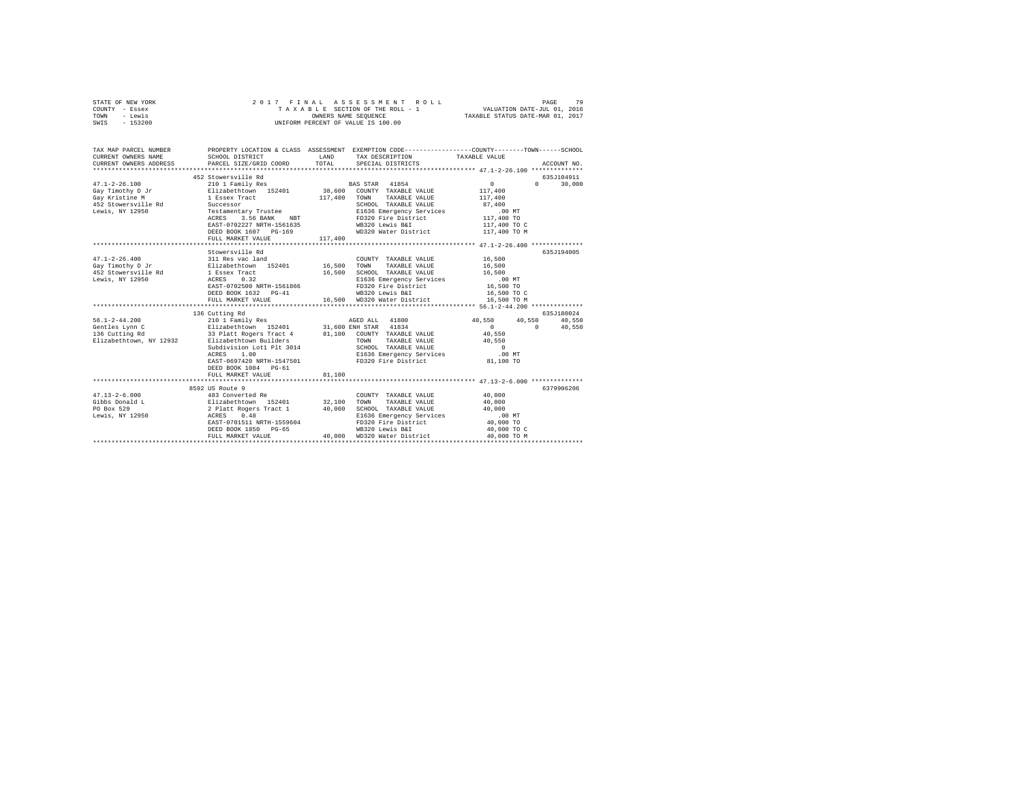| STATE OF NEW YORK<br>COUNTY - Essex<br>TOWN - Lewis<br>SWIS - 153200                                                                                                                                                                                                                    | 2017 FINAL ASSESSMENT F<br>TAXABLE SECTION OF THE ROLL - 1<br>UNIFORM PERCENT OF VALUE IS 100.00 |         | PAGE 79 PLA A SSESSMENT ROLL PAGE 79<br>TAXABLE SECTION OF THE ROLL - 1 VALUATION DATE-JUL 01, 2016<br>OWNERS NAME SEQUENCE 7TAXABLE STATUS DATE-MAR 01, 2017 |                                 |                              |
|-----------------------------------------------------------------------------------------------------------------------------------------------------------------------------------------------------------------------------------------------------------------------------------------|--------------------------------------------------------------------------------------------------|---------|---------------------------------------------------------------------------------------------------------------------------------------------------------------|---------------------------------|------------------------------|
| TAX MAP PARCEL NUMBER THE PROPERTY LOCATION & CLASS ASSESSMENT EXEMPTION CODE--------------COUNTY-------TOWN------SCHOOL<br>CURRENT OWNERS NAME<br>CURRENT OWNERS ADDRESS                                                                                                               | SCHOOL DISTRICT<br>PARCEL SIZE/GRID COORD                                                        | TOTAL   | LAND TAX DESCRIPTION<br>SPECIAL DISTRICTS                                                                                                                     | TAXABLE VALUE                   | ACCOUNT NO.                  |
|                                                                                                                                                                                                                                                                                         |                                                                                                  |         |                                                                                                                                                               |                                 |                              |
|                                                                                                                                                                                                                                                                                         | 452 Stowersville Rd                                                                              |         |                                                                                                                                                               |                                 | 635J104911                   |
| $47.1 - 2 - 26.100$                                                                                                                                                                                                                                                                     | 210 1 Family Res<br>Elizabethtown 152401                                                         |         | BAS STAR 41854<br>38,600 COUNTY TAXABLE VALUE                                                                                                                 | $\sim$ 0<br>$\Omega$<br>117,400 | 30,000                       |
| Gay Timothy D Jr<br>Gay Kristine M                                                                                                                                                                                                                                                      |                                                                                                  |         | 117,400 TOWN TAXABLE VALUE                                                                                                                                    | 117,400                         |                              |
| 452 Stowersville Rd                                                                                                                                                                                                                                                                     |                                                                                                  |         | SCHOOL TAXABLE VALUE                                                                                                                                          | 87,400                          |                              |
| Lewis, NY 12950                                                                                                                                                                                                                                                                         | 1 Essex Tract 117,40<br>Successor Teach 117,40<br>Testamentary Trustee<br>ACRES 3.56 BANK NBT    |         |                                                                                                                                                               | $.00$ MT                        |                              |
|                                                                                                                                                                                                                                                                                         |                                                                                                  |         | E1636 Emergency Services<br>FD320 Fire District                                                                                                               | 117,400 TO                      |                              |
|                                                                                                                                                                                                                                                                                         | EAST-0702227 NRTH-1561635                                                                        |         | WB320 Lewis B&I                                                                                                                                               | 117,400 TO C                    |                              |
|                                                                                                                                                                                                                                                                                         | DEED BOOK 1607 PG-169                                                                            |         | WD320 Water District                                                                                                                                          | 117,400 TO M                    |                              |
|                                                                                                                                                                                                                                                                                         | FULL MARKET VALUE                                                                                | 117,400 |                                                                                                                                                               |                                 |                              |
|                                                                                                                                                                                                                                                                                         |                                                                                                  |         |                                                                                                                                                               |                                 |                              |
|                                                                                                                                                                                                                                                                                         | Stowersville Rd                                                                                  |         |                                                                                                                                                               |                                 | 635J194005                   |
| $\begin{array}{lllllll} 47.1\hbox{-}2\hbox{-}2\hbox{-}6.400 & 311\hbox{ Res vac land} & 20 \hbox{UNTY TAXABLE VALUE} \\ {\small\rm Gay Timothy D Jr} & \multicolumn{2}{l}{\tt E1} \hbox{zabeththown} & 152401 & 16,500\hbox{ TOWN} & \multicolumn{2}{l}{\tt TAXABLE VALUE} \end{array}$ |                                                                                                  |         | COUNTY TAXABLE VALUE 16,500                                                                                                                                   |                                 |                              |
| Gay Timothy D Jr                                                                                                                                                                                                                                                                        |                                                                                                  |         |                                                                                                                                                               | 16,500                          |                              |
|                                                                                                                                                                                                                                                                                         |                                                                                                  |         | 16,500 SCHOOL TAXABLE VALUE                                                                                                                                   | 16,500                          |                              |
|                                                                                                                                                                                                                                                                                         |                                                                                                  |         | E1636 Emergency Services                                                                                                                                      | $.00$ MT                        |                              |
|                                                                                                                                                                                                                                                                                         | EAST-0702500 NRTH-1561866                                                                        |         | FD320 Fire District                                                                                                                                           | 16,500 TO                       |                              |
|                                                                                                                                                                                                                                                                                         | DEED BOOK 1632 PG-41                                                                             |         | WB320 Lewis B&I                                                                                                                                               | 16,500 TO C                     |                              |
|                                                                                                                                                                                                                                                                                         | FULL MARKET VALUE                                                                                |         | 16,500 WD320 Water District 16,500 TO M                                                                                                                       |                                 |                              |
|                                                                                                                                                                                                                                                                                         |                                                                                                  |         |                                                                                                                                                               |                                 |                              |
| $56.1 - 2 - 44.200$                                                                                                                                                                                                                                                                     | 136 Cutting Rd                                                                                   |         | AGED ALL 41800                                                                                                                                                | 40,550                          | 635.1180024<br>40.550 40.550 |
|                                                                                                                                                                                                                                                                                         |                                                                                                  |         |                                                                                                                                                               | $\sim$ 0 $\sim$<br>$\sim$ 0     | 40,550                       |
| Gentles Lynn C<br>136 Cutting Rd                                                                                                                                                                                                                                                        | 210 1 Family Res<br>Elizabethtown 152401<br>33 Platt Rogers Tract 4                              |         | 31,600 ENH STAR 41834<br>81,100 COUNTY TAXABLE VALUE                                                                                                          | 40,550                          |                              |
| Elizabethtown, NY 12932                                                                                                                                                                                                                                                                 |                                                                                                  |         | TOWN TAXABLE VALUE                                                                                                                                            | 40,550                          |                              |
|                                                                                                                                                                                                                                                                                         | Elizabethtown Builders<br>Gubdivision Lot1 Dlt 3014<br>Subdivision Lot1 Plt 3014                 |         | SCHOOL TAXABLE VALUE                                                                                                                                          | $\sim$ 0                        |                              |
|                                                                                                                                                                                                                                                                                         | ACRES 1.00                                                                                       |         |                                                                                                                                                               | $.00$ MT                        |                              |
|                                                                                                                                                                                                                                                                                         | EAST-0697420 NRTH-1547501                                                                        |         | E1636 Emergency Services<br>FD320 Fire District                                                                                                               | 81,100 TO                       |                              |
|                                                                                                                                                                                                                                                                                         | DEED BOOK 1084 PG-61                                                                             |         |                                                                                                                                                               |                                 |                              |
|                                                                                                                                                                                                                                                                                         | FULL MARKET VALUE                                                                                | 81,100  |                                                                                                                                                               |                                 |                              |
|                                                                                                                                                                                                                                                                                         |                                                                                                  |         |                                                                                                                                                               |                                 |                              |
|                                                                                                                                                                                                                                                                                         | 8592 US Route 9                                                                                  |         |                                                                                                                                                               |                                 | 6379906206                   |
|                                                                                                                                                                                                                                                                                         |                                                                                                  |         |                                                                                                                                                               | 40,000                          |                              |
|                                                                                                                                                                                                                                                                                         |                                                                                                  |         |                                                                                                                                                               | 40,000                          |                              |
|                                                                                                                                                                                                                                                                                         |                                                                                                  |         |                                                                                                                                                               | 40,000                          |                              |
|                                                                                                                                                                                                                                                                                         |                                                                                                  |         | E1636 Emergency Services .00 MT<br>FD320 Fire District 40,000 TO                                                                                              |                                 |                              |
|                                                                                                                                                                                                                                                                                         | EAST-0701511 NRTH-1559604                                                                        |         |                                                                                                                                                               |                                 |                              |
|                                                                                                                                                                                                                                                                                         | DEED BOOK 1850 PG-65                                                                             |         | WB320 Lewis B&I<br>40,000 WD320 Water District                                                                                                                | 40,000 TO C                     |                              |
|                                                                                                                                                                                                                                                                                         | FULL MARKET VALUE                                                                                |         |                                                                                                                                                               | 40,000 TO M                     |                              |
|                                                                                                                                                                                                                                                                                         |                                                                                                  |         |                                                                                                                                                               |                                 |                              |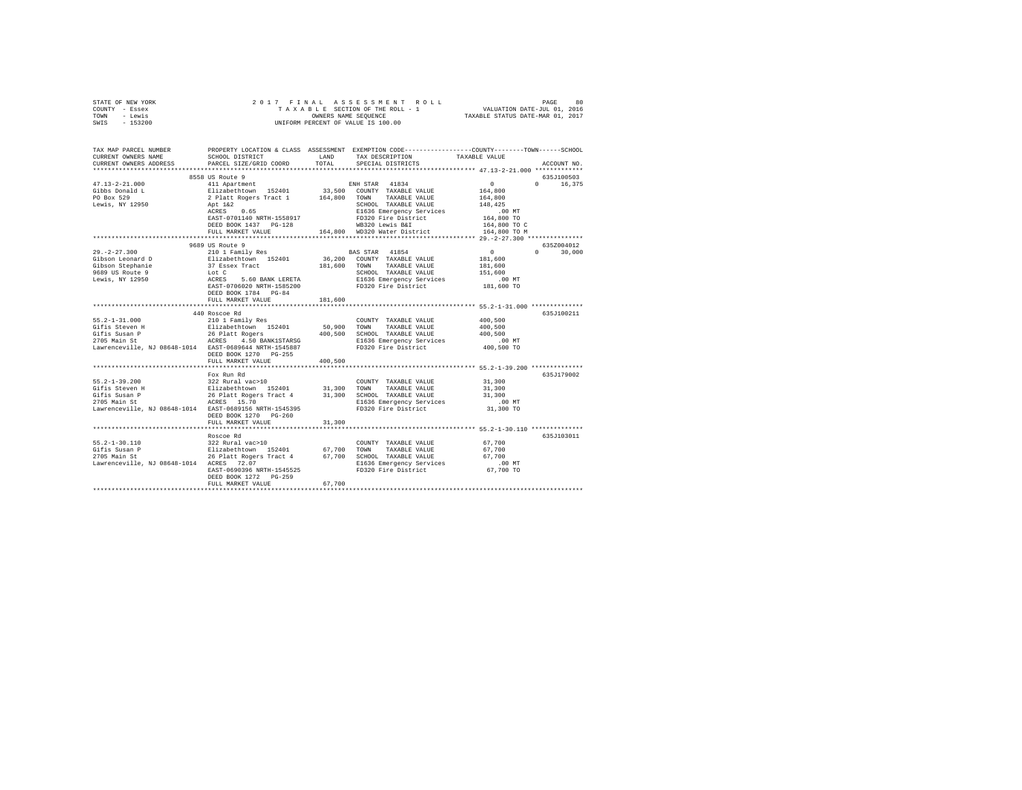| STATE OF NEW YORK<br>COUNTY - Essex<br>TOWN - Lewis<br>SWIS - 153200                                                                                                                                                                            |                                           |             |                                                                                                                                                                                                                                      |                     |               |
|-------------------------------------------------------------------------------------------------------------------------------------------------------------------------------------------------------------------------------------------------|-------------------------------------------|-------------|--------------------------------------------------------------------------------------------------------------------------------------------------------------------------------------------------------------------------------------|---------------------|---------------|
| TAX MAP PARCEL NUMBER PROPERTY LOCATION & CLASS ASSESSMENT EXEMPTION CODE---------------COUNTY-------TOWN------SCHOOL<br>CURRENT OWNERS NAME                                                                                                    | SCHOOL DISTRICT LAND                      |             | TAX DESCRIPTION                                                                                                                                                                                                                      | TAXABLE VALUE       |               |
| CURRENT OWNERS ADDRESS                                                                                                                                                                                                                          | PARCEL SIZE/GRID COORD                    | TOTAL       | SPECIAL DISTRICTS                                                                                                                                                                                                                    |                     | ACCOUNT NO.   |
|                                                                                                                                                                                                                                                 |                                           |             |                                                                                                                                                                                                                                      |                     |               |
|                                                                                                                                                                                                                                                 | 8558 US Route 9                           |             |                                                                                                                                                                                                                                      |                     | 635J100503    |
| $47.13 - 2 - 21.000$                                                                                                                                                                                                                            | 411 Apartment                             |             | ENH STAR 41834                                                                                                                                                                                                                       | $\sim$ 0            | $0 \t16,375$  |
| Gibbs Donald L<br>PO Box 529                                                                                                                                                                                                                    |                                           |             |                                                                                                                                                                                                                                      | 164,800<br>164,800  |               |
| Lewis, NY 12950                                                                                                                                                                                                                                 |                                           |             | --- extension 152401 33,500 COUNTY TAXABLE VALUE<br>2 Plate Rogers Tract 1 164,800 TOWN TAXABLE VALUE<br>2 Plate 2                                                                                                                   | 148.425             |               |
|                                                                                                                                                                                                                                                 |                                           |             | Apt 142 (201001 TAXABLE VALUE)<br>ACRES 0.65 E1636 Emergency Services<br>ENSIDE ENSIDE PORT FOR POSSIDE PRESSION CONTRACTED<br>DEED BOOK 1437 PO-128 (164,800 WB320 Nater District<br>FULL MARKET VALUE 164,800 WD320 Nater District | .00MT               |               |
|                                                                                                                                                                                                                                                 |                                           |             |                                                                                                                                                                                                                                      | 164,800 TO          |               |
|                                                                                                                                                                                                                                                 |                                           |             |                                                                                                                                                                                                                                      | 164,800 TO C        |               |
|                                                                                                                                                                                                                                                 |                                           |             |                                                                                                                                                                                                                                      | 164,800 TO M        |               |
|                                                                                                                                                                                                                                                 | 9689 US Route 9                           |             |                                                                                                                                                                                                                                      |                     | 635Z004012    |
| $29. -2 - 27.300$                                                                                                                                                                                                                               | 210 1 Family Res                          |             | BAS STAR 41854                                                                                                                                                                                                                       | $\sim$ 0 $\sim$ 0   | $0 \t 30.000$ |
|                                                                                                                                                                                                                                                 |                                           |             |                                                                                                                                                                                                                                      | 181,600             |               |
|                                                                                                                                                                                                                                                 |                                           |             |                                                                                                                                                                                                                                      | 181,600             |               |
|                                                                                                                                                                                                                                                 |                                           |             |                                                                                                                                                                                                                                      | 151,600             |               |
|                                                                                                                                                                                                                                                 |                                           |             |                                                                                                                                                                                                                                      | $.00$ MT            |               |
|                                                                                                                                                                                                                                                 | DEED BOOK 1784 PG-84<br>FULL MARKET VALUE | 181,600     |                                                                                                                                                                                                                                      | 181,600 TO          |               |
|                                                                                                                                                                                                                                                 |                                           | *********** | ****************************** 55.2-1-31.000 **************                                                                                                                                                                          |                     |               |
|                                                                                                                                                                                                                                                 | 440 Roscoe Rd                             |             |                                                                                                                                                                                                                                      |                     | 635J100211    |
| 55.2-1-31.000                                                                                                                                                                                                                                   | 210 1 Family Res                          |             | COUNTY TAXABLE VALUE                                                                                                                                                                                                                 | 400,500             |               |
|                                                                                                                                                                                                                                                 |                                           |             |                                                                                                                                                                                                                                      | 400,500<br>400,500  |               |
| USA SERVICE INTERNATIONAL EST DE L'ANNES DE L'ARCHITE DE L'ANNES DE L'ANNES DE L'ANNES DE L'ANNES DE L'ANNES<br>1999 - SAN DISPONDIT DE L'ANNES DE L'ANNES DE L'ANNES DE L'ANNES DE L'ANNES DE L'ANNES DE L'ANNES DE L'ANNES<br>270             |                                           |             |                                                                                                                                                                                                                                      |                     |               |
|                                                                                                                                                                                                                                                 |                                           |             |                                                                                                                                                                                                                                      |                     |               |
| Lawrenceville, NJ 08648-1014 EAST-0689644 NRTH-1545887                                                                                                                                                                                          | DEED BOOK 1270 PG-255                     |             |                                                                                                                                                                                                                                      |                     |               |
|                                                                                                                                                                                                                                                 | FULL MARKET VALUE                         | 400,500     |                                                                                                                                                                                                                                      |                     |               |
|                                                                                                                                                                                                                                                 |                                           |             |                                                                                                                                                                                                                                      |                     |               |
|                                                                                                                                                                                                                                                 | Fox Run Rd                                |             |                                                                                                                                                                                                                                      |                     | 635J179002    |
| $55.2 - 1 - 39.200$                                                                                                                                                                                                                             | 322 Rural vac>10                          |             | COUNTY TAXABLE VALUE                                                                                                                                                                                                                 | 31,300              |               |
| 9172-1-297-2001 - 1021 - 1021 - 1021 - 1021 - 1021 - 1021 - 1121 - 1121 - 1121 - 1121 - 1121 - 1121 - 1121 - 1<br>1911 - 1121 - 1121 - 1121 - 1121 - 1121 - 1121 - 1121 - 1121 - 1121 - 1121 - 1121 - 1121 - 1121 - 1121 - 1121<br>1            |                                           |             |                                                                                                                                                                                                                                      | 31,300              |               |
|                                                                                                                                                                                                                                                 |                                           |             |                                                                                                                                                                                                                                      | 31,300              |               |
| Lawrenceville, NJ 08648-1014 EAST-0689156 NRTH-1545395                                                                                                                                                                                          |                                           |             | FD320 Fire District                                                                                                                                                                                                                  | .00 MT<br>31,300 TO |               |
|                                                                                                                                                                                                                                                 | DEED BOOK 1270 PG-260                     |             |                                                                                                                                                                                                                                      |                     |               |
|                                                                                                                                                                                                                                                 | FULL MARKET VALUE                         | 31,300      |                                                                                                                                                                                                                                      |                     |               |
|                                                                                                                                                                                                                                                 |                                           |             |                                                                                                                                                                                                                                      |                     |               |
|                                                                                                                                                                                                                                                 | Roscoe Rd                                 |             |                                                                                                                                                                                                                                      |                     | 635J103011    |
| 55.2-1-30.110<br>$2705.2-1-30.110$ $2115.2-10.110$ $2705.2-10.110$ $2705.2-10.110$ $2705.2-10.10$ $2705.2-10.10$ $2705.2-10.10$ $2705.2-10.10$ $2705.2-10.10$ $2705.2-10.10$ $2705.2-10.10$ $2705.2-10.10$ $2705.2-10.10$ $2705.2-10.10$ $2705$ | 322 Rural vac>10                          |             | COUNTY TAXABLE VALUE                                                                                                                                                                                                                 | 67,700              |               |
|                                                                                                                                                                                                                                                 |                                           |             |                                                                                                                                                                                                                                      | 67,700<br>67,700    |               |
|                                                                                                                                                                                                                                                 |                                           |             |                                                                                                                                                                                                                                      |                     |               |
|                                                                                                                                                                                                                                                 |                                           |             |                                                                                                                                                                                                                                      |                     |               |
|                                                                                                                                                                                                                                                 | DEED BOOK 1272 PG-259                     |             |                                                                                                                                                                                                                                      |                     |               |
|                                                                                                                                                                                                                                                 | FULL MARKET VALUE                         | 67,700      |                                                                                                                                                                                                                                      |                     |               |
|                                                                                                                                                                                                                                                 |                                           |             |                                                                                                                                                                                                                                      |                     |               |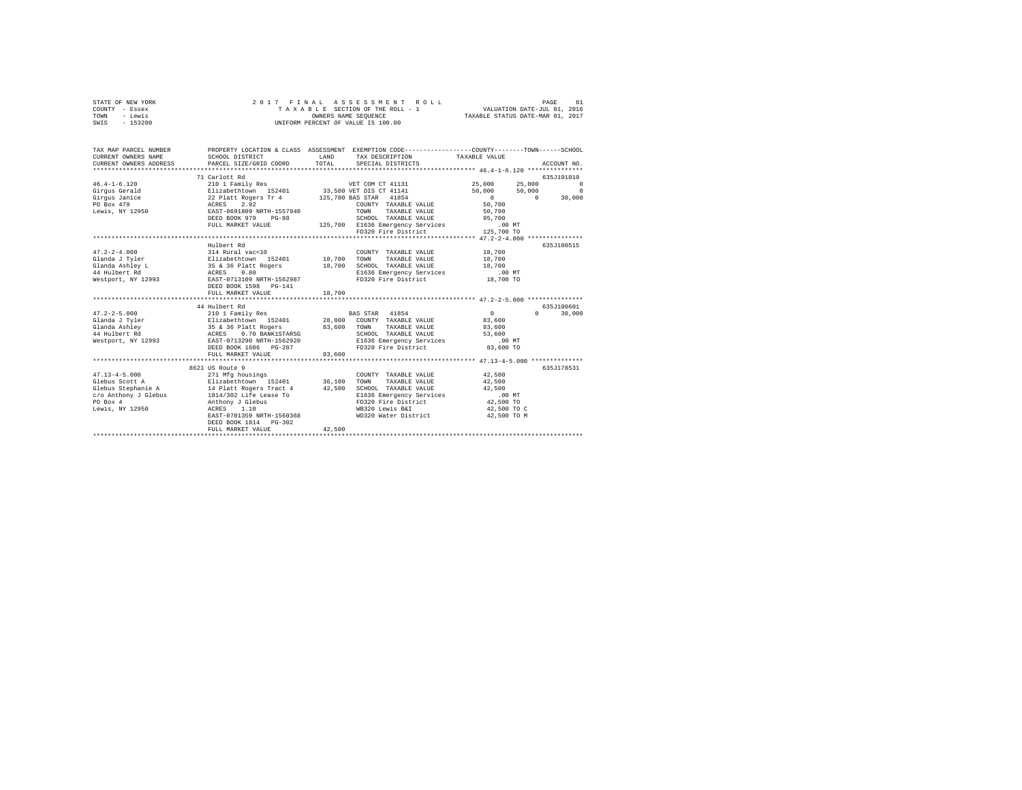| STATE OF NEW YORK<br>COUNTY - Essex                   | 2017<br>FINAL                                                            |        | ASSESSMENT<br>ROLL<br>TAXABLE SECTION OF THE ROLL - 1                                           | VALUATION DATE-JUL 01, 2016                 | PAGE<br>81             |
|-------------------------------------------------------|--------------------------------------------------------------------------|--------|-------------------------------------------------------------------------------------------------|---------------------------------------------|------------------------|
| TOWN<br>- Lewis<br>$-153200$<br>SWIS                  |                                                                          |        | OWNERS NAME SEQUENCE<br>UNIFORM PERCENT OF VALUE IS 100.00                                      | TAXABLE STATUS DATE-MAR 01, 2017            |                        |
|                                                       |                                                                          |        |                                                                                                 |                                             |                        |
| TAX MAP PARCEL NUMBER                                 |                                                                          |        | PROPERTY LOCATION & CLASS ASSESSMENT EXEMPTION CODE---------------COUNTY-------TOWN------SCHOOL |                                             |                        |
| CURRENT OWNERS NAME                                   | SCHOOL DISTRICT                                                          | LAND   | TAX DESCRIPTION                                                                                 | TAXABLE VALUE                               |                        |
| CURRENT OWNERS ADDRESS<br>*************************** | PARCEL SIZE/GRID COORD                                                   | TOTAL  | SPECIAL DISTRICTS                                                                               |                                             | ACCOUNT NO.            |
|                                                       | 71 Carlott Rd                                                            |        |                                                                                                 |                                             | 635J191010             |
| $46.4 - 1 - 6.120$                                    | 210 1 Family Res WET COM CT 41131                                        |        |                                                                                                 | 25,000<br>25,000                            | $\Omega$               |
| Girqus Gerald                                         | Elizabethtown 152401                                                     |        | 33,500 VET DIS CT 41141                                                                         | 50,000<br>50,000                            | $^{\circ}$             |
| Girgus Janice                                         | 22 Platt Rogers Tr 4                                                     |        | 125,700 BAS STAR 41854                                                                          | $\sim$ 0<br>$\sim$ 0                        | 30,000                 |
| PO Box 479                                            |                                                                          |        | COUNTY TAXABLE VALUE                                                                            | 50,700                                      |                        |
| Lewis, NY 12950                                       |                                                                          |        | TOWN<br>TAXABLE VALUE                                                                           | 50,700                                      |                        |
|                                                       | DEED BOOK 979<br>$PG-88$                                                 |        | SCHOOL TAXABLE VALUE                                                                            | 95,700                                      |                        |
|                                                       | FULL MARKET VALUE                                                        |        | 125,700 E1636 Emergency Services                                                                | .00MT                                       |                        |
|                                                       |                                                                          |        | FD320 Fire District                                                                             | 125,700 TO                                  |                        |
|                                                       |                                                                          |        |                                                                                                 | ************** 47.2-2-4.000 *************** |                        |
|                                                       | Hulbert Rd                                                               |        |                                                                                                 |                                             | 635J100515             |
| $47.2 - 2 - 4.000$                                    | 314 Rural vac<10                                                         |        | COUNTY TAXABLE VALUE                                                                            | 18,700                                      |                        |
| Glanda J Tyler                                        |                                                                          | 18,700 | TOWN<br>TAXABLE VALUE                                                                           | 18,700                                      |                        |
| Glanda Ashley L                                       | Elizabethtown 152401<br>35 & 36 Platt Rogers                             | 18,700 | SCHOOL TAXABLE VALUE                                                                            | 18,700                                      |                        |
| 44 Hulbert Rd                                         | ACRES<br>0.80                                                            |        | E1636 Emergency Services                                                                        | $.00$ MT                                    |                        |
| Westport, NY 12993                                    | EAST-0713109 NRTH-1562987                                                |        | FD320 Fire District                                                                             | 18,700 TO                                   |                        |
|                                                       | DEED BOOK 1598 PG-141                                                    |        |                                                                                                 |                                             |                        |
|                                                       | FULL MARKET VALUE                                                        | 18,700 |                                                                                                 |                                             |                        |
|                                                       |                                                                          |        |                                                                                                 |                                             |                        |
|                                                       | 44 Hulbert Rd                                                            |        |                                                                                                 |                                             | 635J100601<br>$\Omega$ |
| $47.2 - 2 - 5.000$                                    | 210 1 Family Res<br>Elizabethtown 152401                                 |        | BAS STAR 41854                                                                                  | $\sim$ 0                                    | 30,000                 |
| Glanda J Tyler                                        |                                                                          |        | 28,800 COUNTY TAXABLE VALUE<br>TAXABLE VALUE                                                    | 83,600                                      |                        |
| Glanda Ashley<br>44 Hulbert Rd                        | 35 & 36 Platt Rogers 83,600 TOWN<br>ACRES 0.70 BANK1STARSG 83,600 SCHOOL |        | SCHOOL TAXABLE VALUE                                                                            | 83,600<br>53,600                            |                        |
| Westport, NY 12993                                    | EAST-0713290 NRTH-1562920                                                |        | E1636 Emergency Services                                                                        | .00 MT                                      |                        |
|                                                       | DEED BOOK 1606 PG-287                                                    |        | FD320 Fire District                                                                             | 83,600 TO                                   |                        |
|                                                       | FULL MARKET VALUE                                                        | 83,600 |                                                                                                 |                                             |                        |
|                                                       |                                                                          |        |                                                                                                 |                                             |                        |
|                                                       | 8621 US Route 9                                                          |        |                                                                                                 |                                             | 635J178531             |
| $47.13 - 4 - 5.000$                                   | 271 Mfg housings                                                         |        | COUNTY TAXABLE VALUE                                                                            | 42,500                                      |                        |
| Glebus Scott A                                        | Elizabethtown 152401                                                     | 36,100 | TOWN<br>TAXABLE VALUE                                                                           | 42,500                                      |                        |
| Glebus Stephanie A                                    | 14 Platt Rogers Tract 4                                                  | 42,500 | SCHOOL TAXABLE VALUE                                                                            | 42,500                                      |                        |
| c/o Anthony J Glebus                                  | 1814/302 Life Lease To                                                   |        | E1636 Emergency Services                                                                        | $.00$ MT                                    |                        |
| PO Box 4                                              | Anthony J Glebus                                                         |        | FD320 Fire District                                                                             | 42,500 TO                                   |                        |
| Lewis, NY 12950                                       | ACRES 1.10                                                               |        | WB320 Lewis B&I                                                                                 | 42,500 TO C                                 |                        |
|                                                       | EAST-0701359 NRTH-1560368                                                |        | WD320 Water District                                                                            | 42,500 TO M                                 |                        |
|                                                       | DEED BOOK 1814 PG-302                                                    |        |                                                                                                 |                                             |                        |
|                                                       | FULL MARKET VALUE                                                        | 42,500 |                                                                                                 |                                             |                        |
|                                                       |                                                                          |        |                                                                                                 |                                             |                        |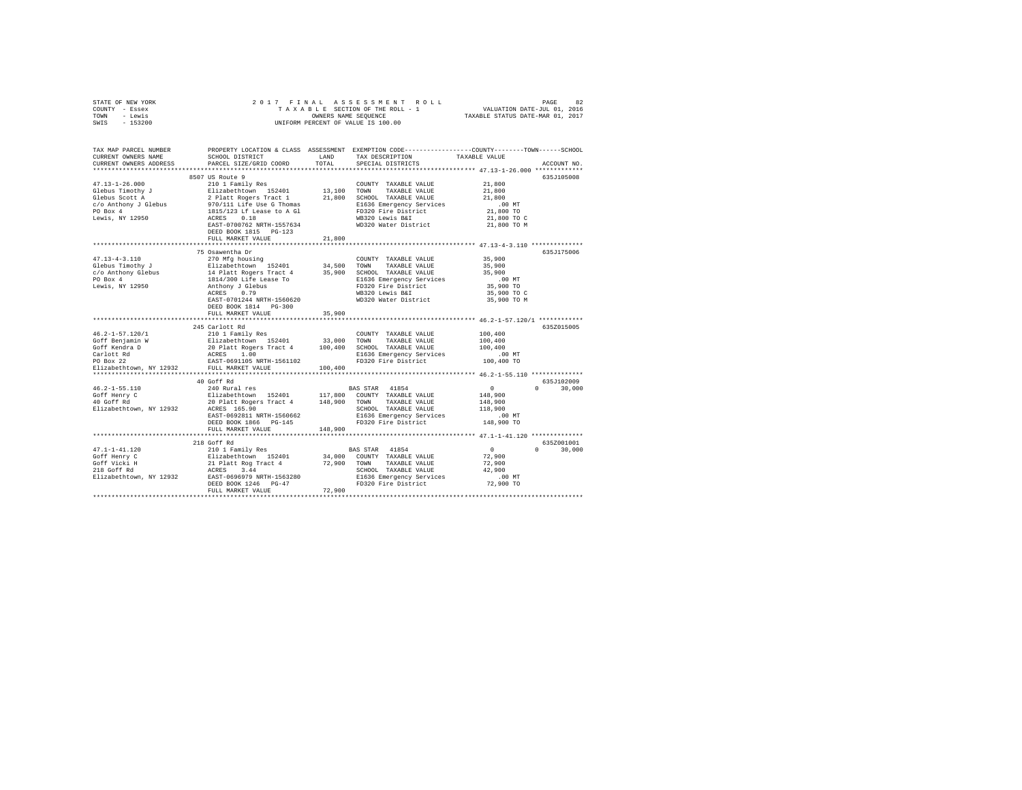|      | STATE OF NEW YORK |                      |  |  |  | 2017 FINAL ASSESSMENT ROLL         | 82<br>PAGE                       |  |
|------|-------------------|----------------------|--|--|--|------------------------------------|----------------------------------|--|
|      | COUNTY - Essex    |                      |  |  |  | TAXABLE SECTION OF THE ROLL - 1    | VALUATION DATE-JUL 01, 2016      |  |
| TOWN | - Lewis           | OWNERS NAME SEOUENCE |  |  |  |                                    | TAXABLE STATUS DATE-MAR 01, 2017 |  |
| SWIS | $-153200$         |                      |  |  |  | UNIFORM PERCENT OF VALUE IS 100.00 |                                  |  |

| TAX MAP PARCEL NUMBER<br>CURRENT OWNERS NAME      | SCHOOL DISTRICT                                                                                                                 | LAND        | TAX DESCRIPTION                                 | PROPERTY LOCATION & CLASS ASSESSMENT EXEMPTION CODE---------------COUNTY-------TOWN-----SCHOOL<br>TAXABLE VALUE |
|---------------------------------------------------|---------------------------------------------------------------------------------------------------------------------------------|-------------|-------------------------------------------------|-----------------------------------------------------------------------------------------------------------------|
| CURRENT OWNERS ADDRESS                            | PARCEL SIZE/GRID COORD                                                                                                          | TOTAL       | SPECIAL DISTRICTS                               | ACCOUNT NO.                                                                                                     |
|                                                   | 8507 US Route 9                                                                                                                 |             |                                                 | 635J105008                                                                                                      |
| $47.13 - 1 - 26.000$                              | 210 1 Family Res                                                                                                                |             | COUNTY TAXABLE VALUE                            | 21,800                                                                                                          |
| Glebus Timothy J                                  |                                                                                                                                 | 13,100 TOWN | TAXABLE VALUE                                   | 21,800                                                                                                          |
| Glebus Scott A                                    |                                                                                                                                 |             | 21,800 SCHOOL TAXABLE VALUE                     | 21,800                                                                                                          |
| c/o Anthony J Glebus                              | 210 1 Family Res<br>Elizabethtown 152401<br>2 Platt Rogers Tract 1<br>970/111 Life Use G Thomas<br>1815/123 Lf Lease to A Gl    |             | E1636 Emergency Services                        | .00MT                                                                                                           |
| PO Box 4                                          |                                                                                                                                 |             | FD320 Fire District                             | 21,800 TO                                                                                                       |
| Lewis, NY 12950                                   | ACRES<br>0.18                                                                                                                   |             | WB320 Lewis B&I                                 | 21,800 TO C                                                                                                     |
|                                                   | EAST-0700762 NRTH-1557634                                                                                                       |             | WD320 Water District                            | 21,800 TO M                                                                                                     |
|                                                   | DEED BOOK 1815 PG-123                                                                                                           |             |                                                 |                                                                                                                 |
|                                                   | FULL MARKET VALUE                                                                                                               | 21,800      |                                                 |                                                                                                                 |
|                                                   | 75 Osawentha Dr                                                                                                                 |             |                                                 | 635J175006                                                                                                      |
| $47.13 - 4 - 3.110$                               |                                                                                                                                 |             |                                                 | 35,900                                                                                                          |
| Glebus Timothy J                                  | 270 Mfg housing                                                                                                                 |             | COUNTY TAXABLE VALUE<br>TAXABLE VALUE           | 35,900                                                                                                          |
|                                                   | Elizabethtown 152401 34,500 TOWN<br>14 Platt Rogers Tract 4 35,900 SCHOC<br>1814/300 Life Lease To B16320 Life Rathony J Glebus |             | 35,900 SCHOOL TAXABLE VALUE                     | 35,900                                                                                                          |
| c/o Anthony Glebus<br>PO Box 4                    |                                                                                                                                 |             | E1636 Emergency Services                        | $.00$ MT                                                                                                        |
| Lewis, NY 12950                                   |                                                                                                                                 |             | FD320 Fire District                             | 35,900 TO                                                                                                       |
|                                                   | ACRES 0.79                                                                                                                      |             | WB320 Lewis B&I                                 | 35,900 TO C                                                                                                     |
|                                                   | EAST-0701244 NRTH-1560620                                                                                                       |             | WD320 Water District                            | 35,900 TO M                                                                                                     |
|                                                   | DEED BOOK 1814 PG-300                                                                                                           |             |                                                 |                                                                                                                 |
|                                                   | FULL MARKET VALUE                                                                                                               | 35,900      |                                                 |                                                                                                                 |
|                                                   |                                                                                                                                 |             |                                                 |                                                                                                                 |
|                                                   | 245 Carlott Rd                                                                                                                  |             |                                                 | 635Z015005                                                                                                      |
| 46.2-1-57.120/1                                   | 210 1 Family Res                                                                                                                |             | COUNTY TAXABLE VALUE                            | 100,400                                                                                                         |
| Goff Benjamin W                                   |                                                                                                                                 | 33,000      | TOWN<br>TAXABLE VALUE                           | 100,400                                                                                                         |
| Goff Kendra D                                     | Elizabethtown 152401<br>20 Platt Rogers Tract 4<br>ACRES 1.00<br>EAST-0691105 NRTH-1561102                                      |             | 100,400 SCHOOL TAXABLE VALUE                    | 100,400                                                                                                         |
| Carlott Rd                                        |                                                                                                                                 |             | E1636 Emergency Services                        | $.00$ MT                                                                                                        |
| PO Box 22                                         |                                                                                                                                 |             | FD320 Fire District                             | 100,400 TO                                                                                                      |
| Elizabethtown, NY 12932                           | FULL MARKET VALUE                                                                                                               | 100,400     |                                                 |                                                                                                                 |
|                                                   | 40 Goff Rd                                                                                                                      |             |                                                 | 635J102009                                                                                                      |
| $46.2 - 1 - 55.110$                               | 240 Rural res                                                                                                                   |             | BAS STAR 41854                                  | $\overline{0}$<br>$0 \t 30.000$                                                                                 |
|                                                   | Elizabethtown 152401 117,800 COUNTY TAXABLE VALUE                                                                               |             |                                                 | 148,900                                                                                                         |
| Goff Henry C<br>40 Goff Rd                        | 20 Platt Rogers Tract 4 148,900 TOWN TAXABLE VALUE                                                                              |             |                                                 | 148,900                                                                                                         |
| Elizabethtown, NY 12932                           | ACRES 165.90                                                                                                                    |             | SCHOOL TAXABLE VALUE                            | 118,900                                                                                                         |
|                                                   | EAST-0692811 NRTH-1560662                                                                                                       |             | E1636 Emergency Services                        | $.00$ MT                                                                                                        |
|                                                   | DEED BOOK 1866 PG-145                                                                                                           |             | FD320 Fire District                             | 148,900 TO                                                                                                      |
|                                                   | FULL MARKET VALUE                                                                                                               | 148,900     |                                                 |                                                                                                                 |
|                                                   | ****************************                                                                                                    |             |                                                 |                                                                                                                 |
|                                                   | 218 Goff Rd                                                                                                                     |             |                                                 | 635Z001001                                                                                                      |
| $47.1 - 1 - 41.120$                               | 210 1 Family Res                                                                                                                |             | BAS STAR 41854                                  | $\sim$ 0<br>$\Omega$<br>30,000                                                                                  |
| Goff Henry C                                      | Elizabethtown 152401                                                                                                            |             | 34,000 COUNTY TAXABLE VALUE                     | 72,900                                                                                                          |
| Goff Vicki H<br>218 Goff Rd                       | 21 Platt Rog Tract 4 72,900 TOWN<br>ACRES 3.44                                                                                  |             | TAXABLE VALUE<br>SCHOOL TAXABLE VALUE           | 72,900<br>42,900                                                                                                |
| Elizabethtown, NY 12932 EAST-0696979 NRTH-1563280 | 3.44<br>ACRES                                                                                                                   |             |                                                 | $.00$ MT                                                                                                        |
|                                                   | DEED BOOK 1246 PG-47                                                                                                            |             | E1636 Emergency Services<br>FD320 Fire District | 72,900 TO                                                                                                       |
|                                                   | FULL MARKET VALUE                                                                                                               | 72,900      |                                                 |                                                                                                                 |
|                                                   |                                                                                                                                 |             |                                                 |                                                                                                                 |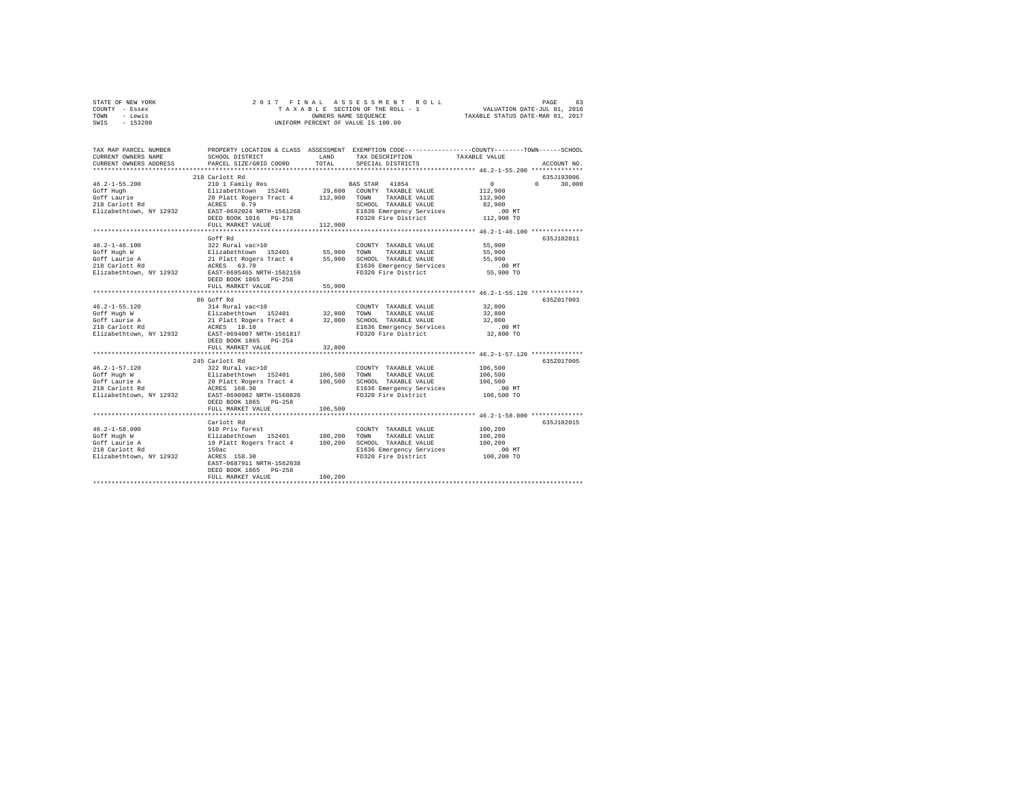| STATE OF NEW YORK | 2017 FINAL ASSESSMENT ROLL         | 83<br>PAGE                       |
|-------------------|------------------------------------|----------------------------------|
| COUNTY - Essex    | TAXABLE SECTION OF THE ROLL - 1    | VALUATION DATE-JUL 01, 2016      |
| TOWN<br>- Lewis   | OWNERS NAME SEOUENCE               | TAXABLE STATUS DATE-MAR 01, 2017 |
| $-153200$<br>SWIS | UNIFORM PERCENT OF VALUE IS 100.00 |                                  |

| TAX MAP PARCEL NUMBER<br>CURRENT OWNERS NAME<br>CURRENT OWNERS ADDRESS<br>*********************                 | SCHOOL DISTRICT<br>PARCEL SIZE/GRID COORD                                                                                                                                                                                                                                               | LAND<br>TOTAL      | PROPERTY LOCATION & CLASS ASSESSMENT EXEMPTION CODE---------------COUNTY-------TOWN-----SCHOOL<br>TAX DESCRIPTION<br>SPECIAL DISTRICTS | TAXABLE VALUE                                                                                    | ACCOUNT NO.                                   |
|-----------------------------------------------------------------------------------------------------------------|-----------------------------------------------------------------------------------------------------------------------------------------------------------------------------------------------------------------------------------------------------------------------------------------|--------------------|----------------------------------------------------------------------------------------------------------------------------------------|--------------------------------------------------------------------------------------------------|-----------------------------------------------|
| $46.2 - 1 - 55.200$<br>Goff Hugh<br>Goff Laurie<br>218 Carlott Rd<br>Elizabethtown, NY 12932                    | 218 Carlott Rd<br>ACRES 0.79<br>EAST-0692024 NRTH-1561268<br>DEED BOOK 1016 PG-178<br>FULL MARKET VALUE                                                                                                                                                                                 | 112,900            | SCHOOL TAXABLE VALUE<br>E1636 Emergency Services<br>FD320 Fire District 112,900 TO                                                     | $\sim$ 0<br>112,900<br>112,900<br>82,900<br>.00 MT                                               | 635J193006<br>30,000<br>$\Omega$ and $\Omega$ |
| $46.2 - 1 - 46.100$<br>Goff Hugh W<br>Goff Laurie A<br>218 Carlott Rd<br>218 Carlott Rd                         | Goff Rd<br>COUNTY TAXABLE VALUE<br>Elizabethtown 152401 55,900 TOWN TAXABLE VALUE<br>21 Platt Rogers Tract 4 55,900 SCHOOL TAXABLE VALUE<br>21 RERES 63.70 SLEG36 Rmergenov Sarvione<br>Elizabethtown, NY 12932 EAST-0695465 NRTH-1562159<br>DEED BOOK 1865 PG-258<br>FULL MARKET VALUE | 55,900             | FD320 Fire District                                                                                                                    | 55,900<br>55,900<br>55,900<br>.00 MT<br>55,900 TO                                                | 635.7102011                                   |
| $46.2 - 1 - 55.120$<br>Goff Hugh W<br>worf mugn w<br>Goff Laurie A<br>218 Carlott Rd<br>Elizabethtown, NY 12932 | 86 Goff Rd<br>314 Rural vac<10<br>Firms-Firms 152401 32,800 TOWN TAXABLE VALUE<br>21 Platt Rogers Tract 4 32,800 SCHOOL TAXABLE VALUE<br>ACRES 18.10 RIGI6 Electron RIGI6 Emergency Services<br>EAST-0694007 NRTH-1561817<br>DEED BOOK 1865 PG-254<br>FULL MARKET VALUE                 | 32,800             | COUNTY TAXABLE VALUE<br>E1636 Emergency Services<br>FD320 Fire District                                                                | 32,800<br>32,800<br>32,800<br>.00 MT<br>32,800 TO                                                | 635Z017003                                    |
| $46.2 - 1 - 57.120$<br>Goff Hugh W<br>Goff Laurie A<br>218 Carlott Rd<br>Elizabethtown, NY 12932                | 245 Carlott Rd<br>322 Rural vac>10<br>Elizabethtown 152401 106,500 TOWN TAXABLE-VALUE<br>20 Platt-Rogers Tract 4 106,500 SCHOOL TAXABLE-VALUE<br>ACRES 168.30<br>EAST-0690982 NRTH-1560826<br>DEED BOOK 1865 PG-258<br>FULL MARKET VALUE<br>*********************                       | 106,500            | COUNTY TAXABLE VALUE<br>TAXABLE VALUE<br>E1636 Emergency Services<br>FD320 Fire District                                               | 106,500<br>106,500<br>106,500<br>$.00$ MT<br>106,500 TO<br>********** 46.2-1-58.000 ************ | 635Z017005                                    |
| $46.2 - 1 - 58.000$<br>Goff Hugh W<br>Goff Laurie A<br>218 Carlott Rd<br>Elizabethtown, NY 12932                | Carlott Rd<br>910 Priv forest<br>Elizabethtown 152401<br>19 Platt Rogers Tract 4<br>150ac<br>ACRES 158.30<br>EAST-0687911 NRTH-1562038<br>DEED BOOK 1865 PG-258<br>FULL MARKET VALUE                                                                                                    | 100,200<br>100,200 | COUNTY TAXABLE VALUE<br>100,200 TOWN TAXABLE VALUE<br>SCHOOL TAXABLE VALUE<br>E1636 Emergency Services<br>FD320 Fire District          | 100,200<br>100,200<br>100,200<br>$.00$ MT<br>100,200 TO                                          | 635J102015                                    |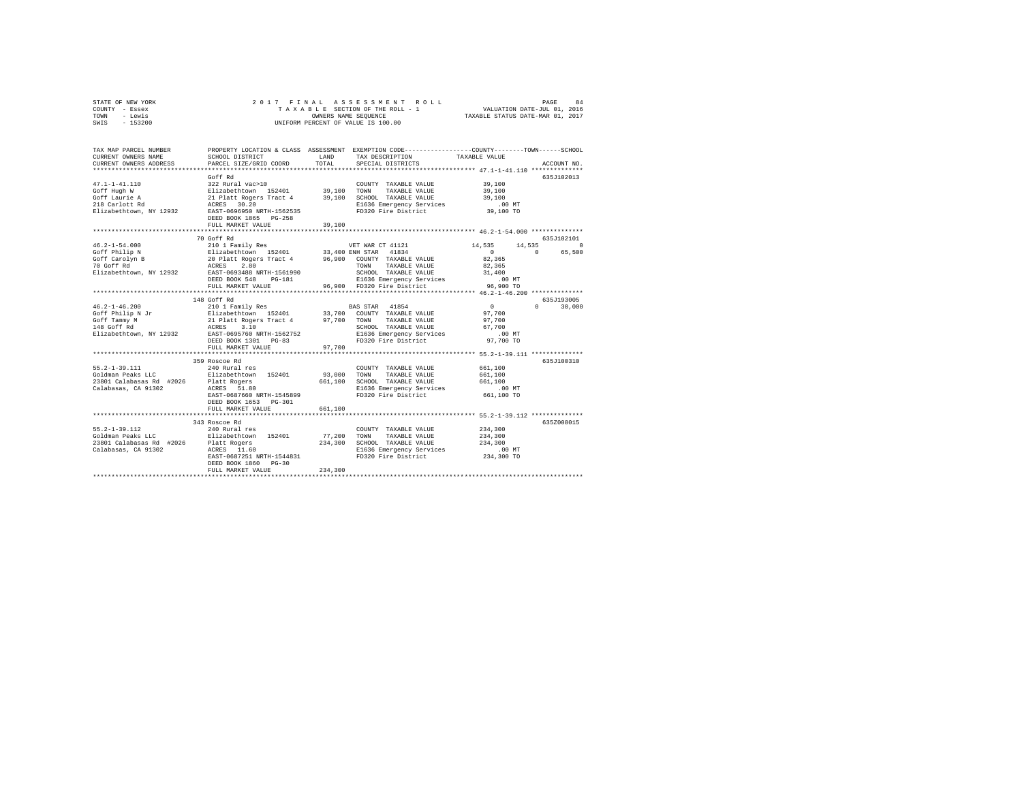| STATE OF NEW YORK |  |  | 2017 FINAL ASSESSMENT ROLL         |                                  | PAGE | 84 |
|-------------------|--|--|------------------------------------|----------------------------------|------|----|
| COUNTY - Essex    |  |  | TAXABLE SECTION OF THE ROLL - 1    | VALUATION DATE-JUL 01, 2016      |      |    |
| TOWN<br>- Lewis   |  |  | OWNERS NAME SEOUENCE               | TAXABLE STATUS DATE-MAR 01, 2017 |      |    |
| SWIS - 153200     |  |  | UNIFORM PERCENT OF VALUE IS 100.00 |                                  |      |    |

| TAX MAP PARCEL NUMBER<br>CURRENT OWNERS NAME<br>CURRENT OWNERS ADDRESS                                   | SCHOOL DISTRICT<br>PARCEL SIZE/GRID COORD                                                                                                                                                                                  | LAND<br>TOTAL                | PROPERTY LOCATION & CLASS ASSESSMENT EXEMPTION CODE----------------COUNTY-------TOWN------SCHOOL<br>TAX DESCRIPTION<br>SPECIAL DISTRICTS  | TAXABLE VALUE                                                   | ACCOUNT NO.            |
|----------------------------------------------------------------------------------------------------------|----------------------------------------------------------------------------------------------------------------------------------------------------------------------------------------------------------------------------|------------------------------|-------------------------------------------------------------------------------------------------------------------------------------------|-----------------------------------------------------------------|------------------------|
| $47.1 - 1 - 41.110$<br>Goff Hugh W<br>Goff Laurie A<br>218 Carlott Rd<br>Elizabethtown, NY 12932         | Goff Rd<br>322 Rural vac>10<br>Elizabethtown 152401 39,100 TOWN<br>21 Platt Rogers Tract 4 39,100 SCHOOL TAXABLE VALUE<br>ACRES 30.20<br>EAST-0696950 NRTH-1562535<br>DEED BOOK 1865 PG-258<br>FULL MARKET VALUE           | 39,100                       | COUNTY TAXABLE VALUE<br>TAXABLE VALUE<br>E1636 Emergency Services<br>FD320 Fire District                                                  | 39,100<br>39,100<br>39,100<br>$.00$ MT<br>39,100 TO             | 635J102013             |
| $46.2 - 1 - 54.000$                                                                                      | 70 Goff Rd<br>210 1 Family Res                                                                                                                                                                                             |                              | VET WAR CT 41121                                                                                                                          | 14,535<br>14,535                                                | 635J102101<br>$\Omega$ |
| Goff Philip N<br>Goff Carolyn B<br>70 Goff Rd<br>Elizabethtown, NY 12932                                 | Elizabethtown 152401 33,400 ENH STAR 41834<br>20 Platt Rogers Tract 4 96,900 COUNTY TAXABLE VALUE<br>ACRES<br>2.80<br>EAST-0693488 NRTH-1561990<br>DEED BOOK 548<br>PG-181<br>FULL MARKET VALUE<br>*********************** |                              | 96,900 COUNTY TAXABLE VALUE<br>TOWN<br>TAXABLE VALUE<br>SCHOOL TAXABLE VALUE<br>E1636 Emergency Services<br>96.900 FD320 Fire District    | $\sim$ 0<br>82,365<br>82,365<br>31,400<br>$.00$ MT<br>96,900 TO | 65,500<br>$\Omega$     |
|                                                                                                          | 148 Goff Rd                                                                                                                                                                                                                |                              |                                                                                                                                           | **** 46.2-1-46.200 ***********                                  | 635J193005             |
| $46.2 - 1 - 46.200$<br>46.2-1-40.<br>Goff Philip N Jr<br>Goff Tammy M<br>110 Moff Rd                     | 210 1 Family Res<br>Elizabethtown 152401<br>21 Platt Rogers Tract 4 97,700 TOWN<br>ACRES 3.10 SCHOC<br>Elizabethtown, NY 12932 EAST-0695760 NRTH-1562752<br>DEED BOOK 1301 PG-83                                           |                              | BAS STAR 41854<br>33,700 COUNTY TAXABLE VALUE<br>TAXABLE VALUE<br>SCHOOL TAXABLE VALUE<br>E1636 Emergency Services<br>FD320 Fire District | $\sim$ 0<br>97,700<br>97,700<br>67,700<br>$.00$ MT<br>97,700 TO | $\cap$<br>30,000       |
|                                                                                                          | FULL MARKET VALUE                                                                                                                                                                                                          | 97,700                       |                                                                                                                                           |                                                                 |                        |
| $55.2 - 1 - 39.111$<br>Goldman Peaks LLC<br>23801 Calabasas Rd #2026<br>Calabasas, CA 91302              | 359 Roscoe Rd<br>240 Rural res<br>Elizabethtown 152401<br>Platt Rogers<br>ACRES 51.80<br>EAST-0687660 NRTH-1545899<br>DEED BOOK 1653 PG-301                                                                                | 93,000 TOWN<br>661,100       | COUNTY TAXABLE VALUE<br>TAXABLE VALUE<br>SCHOOL TAXABLE VALUE<br>E1636 Emergency Services<br>FD320 Fire District                          | 661,100<br>661,100<br>661,100<br>$.00$ MT<br>661,100 TO         | 635J100310             |
|                                                                                                          | FULL MARKET VALUE<br>*************************************                                                                                                                                                                 | 661,100                      | ******************************** 55.2-1-39.112 *************                                                                              |                                                                 |                        |
| $55.2 - 1 - 39.112$<br>Goldman Peaks LLC<br>23801 Calabasas Rd #2026 Platt Rogers<br>Calabasas, CA 91302 | 343 Roscoe Rd<br>240 Rural res<br>Elizabethtown 152401<br>ACRES 11.60<br>EAST-0687251 NRTH-1544831<br>DEED BOOK 1860 PG-30<br>FULL MARKET VALUE                                                                            | 77,200<br>234,300<br>234,300 | COUNTY TAXABLE VALUE<br>TAXABLE VALUE<br>TOWN<br>SCHOOL TAXABLE VALUE<br>E1636 Emergency Services<br>FD320 Fire District                  | 234,300<br>234,300<br>234,300<br>$.00$ MT<br>234,300 TO         | 635Z008015             |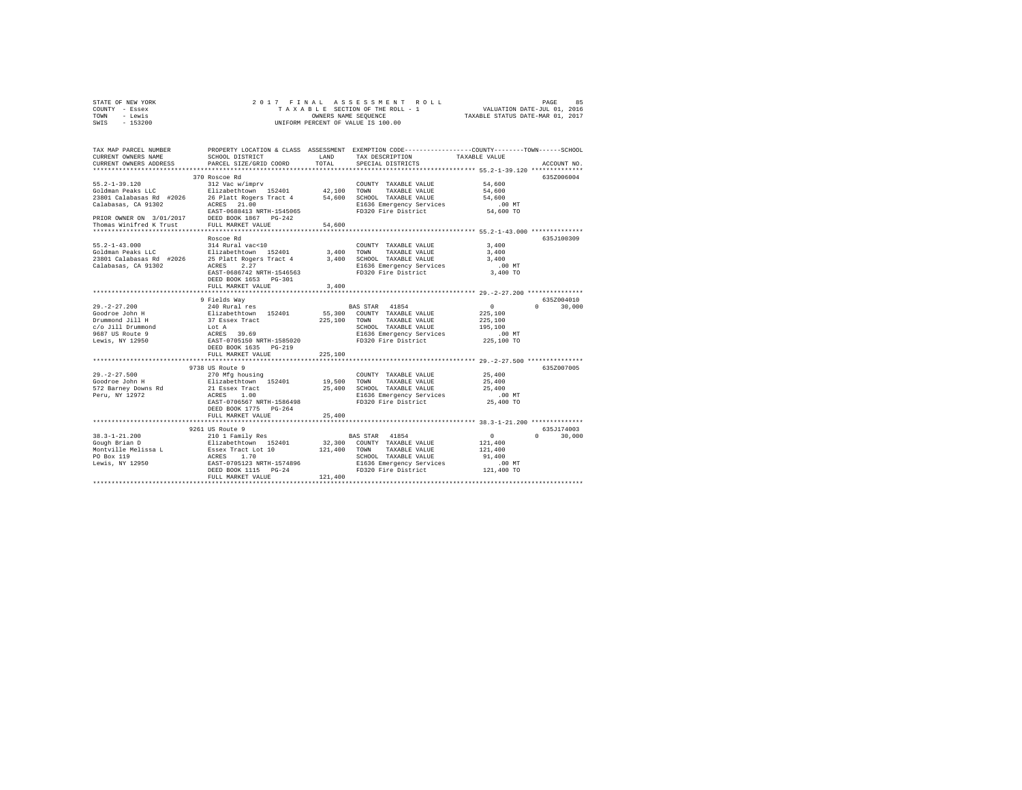| STATE OF NEW YORK | 2017 FINAL ASSESSMENT ROLL         | 85<br>PAGE                       |
|-------------------|------------------------------------|----------------------------------|
| COUNTY - Essex    | TAXABLE SECTION OF THE ROLL - 1    | VALUATION DATE-JUL 01, 2016      |
| TOWN<br>- Lewis   | OWNERS NAME SEOUENCE               | TAXABLE STATUS DATE-MAR 01, 2017 |
| $-153200$<br>SWIS | UNIFORM PERCENT OF VALUE IS 100.00 |                                  |

| TAX MAP PARCEL NUMBER<br>CURRENT OWNERS NAME                                                                                                                                               | SCHOOL DISTRICT                                                       | LAND    | TAX DESCRIPTION                                               | PROPERTY LOCATION & CLASS ASSESSMENT EXEMPTION CODE---------------COUNTY-------TOWN------SCHOOL<br>TAXABLE VALUE |
|--------------------------------------------------------------------------------------------------------------------------------------------------------------------------------------------|-----------------------------------------------------------------------|---------|---------------------------------------------------------------|------------------------------------------------------------------------------------------------------------------|
| CURRENT OWNERS ADDRESS<br>*************************                                                                                                                                        | PARCEL SIZE/GRID COORD                                                | TOTAL   | SPECIAL DISTRICTS                                             | ACCOUNT NO.                                                                                                      |
|                                                                                                                                                                                            | 370 Roscoe Rd                                                         |         |                                                               | 635Z006004                                                                                                       |
|                                                                                                                                                                                            |                                                                       |         |                                                               | 54,600                                                                                                           |
|                                                                                                                                                                                            |                                                                       |         |                                                               | 54,600                                                                                                           |
|                                                                                                                                                                                            |                                                                       |         |                                                               | 54,600                                                                                                           |
|                                                                                                                                                                                            |                                                                       |         |                                                               | $.00$ MT                                                                                                         |
|                                                                                                                                                                                            |                                                                       |         | FD320 Fire District                                           | 54,600 TO                                                                                                        |
|                                                                                                                                                                                            |                                                                       |         |                                                               |                                                                                                                  |
|                                                                                                                                                                                            |                                                                       |         |                                                               |                                                                                                                  |
|                                                                                                                                                                                            |                                                                       |         |                                                               |                                                                                                                  |
| 991.4-1-43.000<br>214 Rural vac<10<br>21801 Calabasas Rd #2026 25 Platt Rogers Tract 4 3,400<br>21801 Calabasas Rd #2026 25 Platt Rogers Tract 4 3,400<br>2181abasas, CA 91302 20CRES 2.27 |                                                                       |         |                                                               | 635J100309                                                                                                       |
|                                                                                                                                                                                            |                                                                       |         | COUNTY TAXABLE VALUE                                          | 3,400                                                                                                            |
|                                                                                                                                                                                            |                                                                       |         | TOWN<br>TAXABLE VALUE                                         | 3,400                                                                                                            |
|                                                                                                                                                                                            |                                                                       |         | SCHOOL TAXABLE VALUE                                          | 3,400                                                                                                            |
|                                                                                                                                                                                            |                                                                       |         | E1636 Emergency Services                                      | $.00$ MT                                                                                                         |
|                                                                                                                                                                                            | EAST-0686742 NRTH-1546563                                             |         | FD320 Fire District                                           | 3,400 TO                                                                                                         |
|                                                                                                                                                                                            | DEED BOOK 1653 PG-301                                                 |         |                                                               |                                                                                                                  |
|                                                                                                                                                                                            | FULL MARKET VALUE                                                     | 3,400   |                                                               | ********************************** 29. -2-27.200 ****************                                                |
|                                                                                                                                                                                            |                                                                       |         |                                                               |                                                                                                                  |
| $29. -2 - 27.200$                                                                                                                                                                          | 9 Fields Way                                                          |         | BAS STAR 41854                                                | 635Z004010<br>$\sim$<br>$\Omega$                                                                                 |
| Goodroe John H                                                                                                                                                                             | 240 Rural res<br>Elizabethtown 152401                                 |         | 55,300 COUNTY TAXABLE VALUE                                   | 30,000<br>225,100                                                                                                |
| Drummond Jill H                                                                                                                                                                            |                                                                       |         | 225,100 TOWN TAXABLE VALUE                                    | 225,100                                                                                                          |
| c/o Jill Drummond                                                                                                                                                                          |                                                                       |         | SCHOOL TAXABLE VALUE                                          | 195,100                                                                                                          |
| 9687 US Route 9                                                                                                                                                                            |                                                                       |         |                                                               | .00MT                                                                                                            |
| Lewis, NY 12950                                                                                                                                                                            | 37 Essex Tract<br>1 Lot A<br>ACRES 39.69<br>EAST-0705150 NRTH-1585020 |         | E1636 Emergency Services<br>FD320 Fire District               | 00 MT.<br>225,100 TO                                                                                             |
|                                                                                                                                                                                            | DEED BOOK 1635 PG-219                                                 |         |                                                               |                                                                                                                  |
|                                                                                                                                                                                            | FULL MARKET VALUE                                                     | 225,100 |                                                               |                                                                                                                  |
|                                                                                                                                                                                            | ************************                                              |         |                                                               | ************** 29. -2-27. 500 ***************                                                                    |
|                                                                                                                                                                                            | 9738 US Route 9                                                       |         |                                                               | 635Z007005                                                                                                       |
| $29. - 2 - 27.500$                                                                                                                                                                         |                                                                       |         | COUNTY TAXABLE VALUE                                          | 25,400                                                                                                           |
| Goodroe John H                                                                                                                                                                             | 270 Mfg housing<br>Elizabethtown 152401                               |         | 19,500 TOWN TAXABLE VALUE                                     | 25,400                                                                                                           |
| 572 Barney Downs Rd                                                                                                                                                                        | 21 Essex Tract                                                        |         | 25,400 SCHOOL TAXABLE VALUE                                   | 25,400                                                                                                           |
| Peru, NY 12972                                                                                                                                                                             | ACRES<br>1.00                                                         |         | E1636 Emergency Services                                      | $.00$ MT                                                                                                         |
|                                                                                                                                                                                            | EAST-0706567 NRTH-1586498                                             |         | FD320 Fire District                                           | 25,400 TO                                                                                                        |
|                                                                                                                                                                                            | DEED BOOK 1775 PG-264                                                 |         |                                                               |                                                                                                                  |
|                                                                                                                                                                                            | FULL MARKET VALUE                                                     | 25,400  |                                                               |                                                                                                                  |
|                                                                                                                                                                                            |                                                                       |         |                                                               |                                                                                                                  |
|                                                                                                                                                                                            | 9261 US Route 9                                                       |         |                                                               | 635J174003                                                                                                       |
| $38.3 - 1 - 21.200$                                                                                                                                                                        |                                                                       |         | BAS STAR 41854                                                | $\sim$ 0<br>$\mathsf{n}$<br>30,000                                                                               |
| Gough Brian D                                                                                                                                                                              |                                                                       |         | 32,300 COUNTY TAXABLE VALUE                                   | 121,400                                                                                                          |
| Montville Melissa L                                                                                                                                                                        |                                                                       |         | 121,400 TOWN TAXABLE VALUE                                    | 121,400                                                                                                          |
| PO Box 119<br>Lewis, NY 12950                                                                                                                                                              |                                                                       |         | SCHOOL TAXABLE VALUE                                          | 91,400                                                                                                           |
|                                                                                                                                                                                            | DEED BOOK 1115 PG-24                                                  |         | E1636 Emergency Services .00 MT<br>FD320 Fire District .00 MT |                                                                                                                  |
|                                                                                                                                                                                            | FULL MARKET VALUE                                                     | 121,400 |                                                               |                                                                                                                  |
|                                                                                                                                                                                            |                                                                       |         |                                                               |                                                                                                                  |
|                                                                                                                                                                                            |                                                                       |         |                                                               |                                                                                                                  |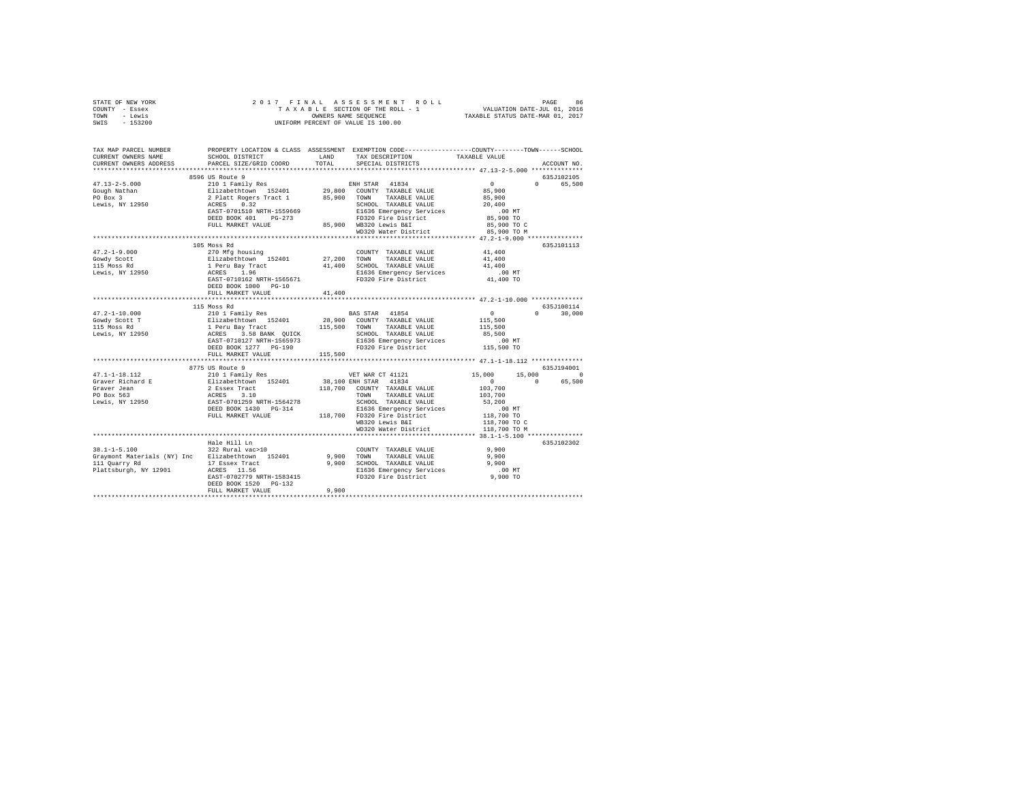| STATE OF NEW YORK                                                                                                                                                                                                                            |                         |        |                                                    |            |               |
|----------------------------------------------------------------------------------------------------------------------------------------------------------------------------------------------------------------------------------------------|-------------------------|--------|----------------------------------------------------|------------|---------------|
| COUNTY - Essex                                                                                                                                                                                                                               |                         |        |                                                    |            |               |
| TOWN - Lewis                                                                                                                                                                                                                                 |                         |        |                                                    |            |               |
| SWIS - 153200                                                                                                                                                                                                                                |                         |        |                                                    |            |               |
|                                                                                                                                                                                                                                              |                         |        |                                                    |            |               |
|                                                                                                                                                                                                                                              |                         |        |                                                    |            |               |
|                                                                                                                                                                                                                                              |                         |        |                                                    |            |               |
| TAX MAP PARCEL NUMBER PROPERTY LOCATION & CLASS ASSESSMENT EXEMPTION CODE---------------COUNTY-------TOWN------SCHOOL<br>CURRENT OWNERS NAME SCHOOL DISTRICT LAND TAX DESCRIPTION TAXABLE VALUE                                              |                         |        | SCHOOL DISTRICT LAND TAX DESCRIPTION TAXABLE VALUE |            |               |
| CURRENT OWNERS ADDRESS                                                                                                                                                                                                                       | PARCEL SIZE/GRID COORD  | TOTAL  |                                                    |            | ACCOUNT NO.   |
|                                                                                                                                                                                                                                              |                         |        | SPECIAL DISTRICTS                                  |            |               |
|                                                                                                                                                                                                                                              |                         |        |                                                    |            |               |
|                                                                                                                                                                                                                                              |                         |        |                                                    |            | 635J102105    |
|                                                                                                                                                                                                                                              |                         |        |                                                    |            | 0 65,500      |
|                                                                                                                                                                                                                                              |                         |        |                                                    |            |               |
|                                                                                                                                                                                                                                              |                         |        |                                                    |            |               |
|                                                                                                                                                                                                                                              |                         |        |                                                    |            |               |
|                                                                                                                                                                                                                                              |                         |        |                                                    |            |               |
|                                                                                                                                                                                                                                              |                         |        |                                                    |            |               |
|                                                                                                                                                                                                                                              |                         |        |                                                    |            |               |
|                                                                                                                                                                                                                                              |                         |        |                                                    |            |               |
| 3996 US Route 9<br>47.13-2–5.000<br>2010 1 Family Res<br>2010 Nathan 211zabethtown 152401<br>29,800 COUNTY TAXABLE VALUE 85,900<br>29,800 COUNTY TAXABLE VALUE 85,900<br>29,800 COUNTY TAXABLE VALUE 85,900<br>29,800 COUNTY TAXABLE VALUE 8 |                         |        |                                                    |            |               |
|                                                                                                                                                                                                                                              |                         |        |                                                    |            | 635J101113    |
|                                                                                                                                                                                                                                              |                         |        |                                                    |            |               |
|                                                                                                                                                                                                                                              |                         |        |                                                    |            |               |
|                                                                                                                                                                                                                                              |                         |        |                                                    |            |               |
|                                                                                                                                                                                                                                              |                         |        |                                                    |            |               |
|                                                                                                                                                                                                                                              |                         |        |                                                    |            |               |
|                                                                                                                                                                                                                                              |                         |        |                                                    |            |               |
|                                                                                                                                                                                                                                              | DEED BOOK 1000 PG-10    |        |                                                    |            |               |
|                                                                                                                                                                                                                                              | FULL MARKET VALUE       | 41,400 |                                                    |            |               |
|                                                                                                                                                                                                                                              |                         |        |                                                    |            |               |
|                                                                                                                                                                                                                                              |                         |        |                                                    |            | 635J100114    |
|                                                                                                                                                                                                                                              |                         |        |                                                    |            | $0 \t 30,000$ |
|                                                                                                                                                                                                                                              |                         |        |                                                    |            |               |
|                                                                                                                                                                                                                                              |                         |        |                                                    |            |               |
|                                                                                                                                                                                                                                              |                         |        |                                                    |            |               |
|                                                                                                                                                                                                                                              |                         |        |                                                    |            |               |
|                                                                                                                                                                                                                                              |                         |        |                                                    |            |               |
|                                                                                                                                                                                                                                              |                         |        |                                                    |            |               |
|                                                                                                                                                                                                                                              |                         |        |                                                    |            |               |
|                                                                                                                                                                                                                                              | 8775 US Route 9         |        |                                                    | 635J194001 |               |
|                                                                                                                                                                                                                                              |                         |        |                                                    |            |               |
|                                                                                                                                                                                                                                              |                         |        |                                                    |            |               |
|                                                                                                                                                                                                                                              |                         |        |                                                    |            |               |
|                                                                                                                                                                                                                                              |                         |        |                                                    |            |               |
|                                                                                                                                                                                                                                              |                         |        |                                                    |            |               |
|                                                                                                                                                                                                                                              |                         |        |                                                    |            |               |
|                                                                                                                                                                                                                                              |                         |        |                                                    |            |               |
|                                                                                                                                                                                                                                              |                         |        |                                                    |            |               |
|                                                                                                                                                                                                                                              |                         |        |                                                    |            |               |
|                                                                                                                                                                                                                                              |                         |        |                                                    |            |               |
|                                                                                                                                                                                                                                              |                         |        |                                                    |            |               |
| $38.1 - 1 - 5.100$                                                                                                                                                                                                                           | Hale Hill Ln            |        |                                                    |            | 635J102302    |
|                                                                                                                                                                                                                                              | 322 Rural vac>10        |        | COUNTY TAXABLE VALUE 9,900                         |            |               |
|                                                                                                                                                                                                                                              |                         |        |                                                    |            |               |
|                                                                                                                                                                                                                                              |                         |        |                                                    |            |               |
|                                                                                                                                                                                                                                              |                         |        |                                                    |            |               |
|                                                                                                                                                                                                                                              |                         |        |                                                    |            |               |
|                                                                                                                                                                                                                                              | DEED BOOK 1520 PG-132   |        |                                                    |            |               |
|                                                                                                                                                                                                                                              | FULL MARKET VALUE 9,900 |        |                                                    |            |               |
|                                                                                                                                                                                                                                              |                         |        |                                                    |            |               |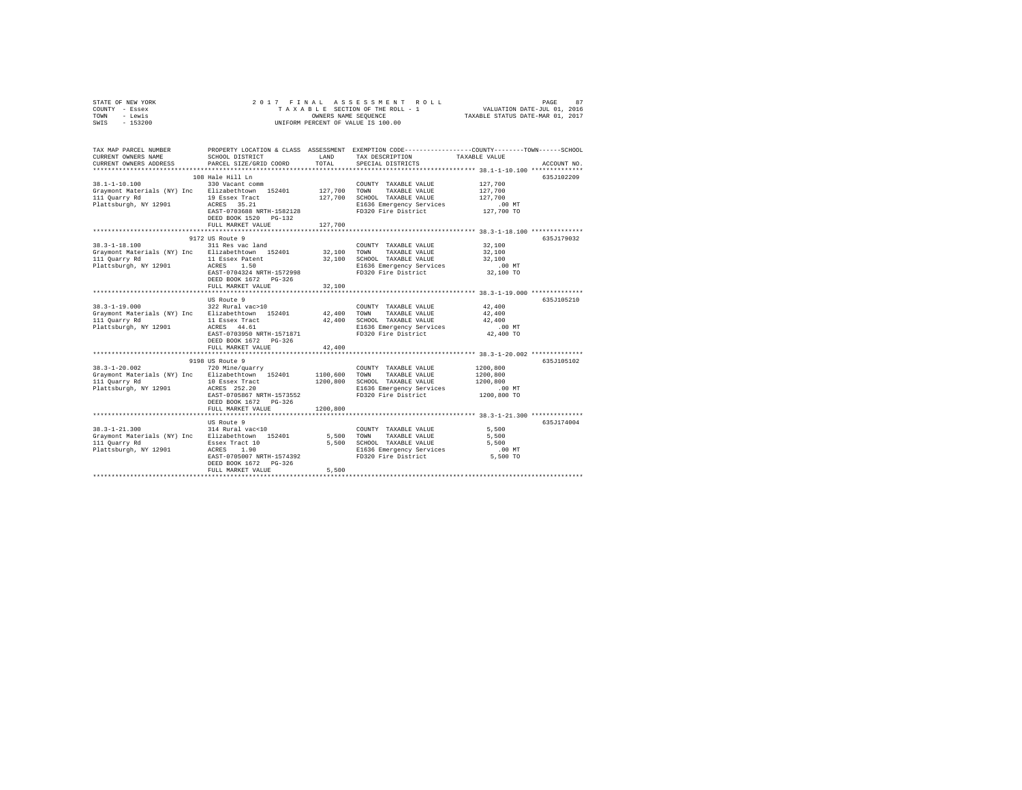| STATE OF NEW YORK | 2017 FINAL ASSESSMENT ROLL         | 87<br>PAGE                       |
|-------------------|------------------------------------|----------------------------------|
| COUNTY - Essex    | TAXABLE SECTION OF THE ROLL - 1    | VALUATION DATE-JUL 01, 2016      |
| TOWN<br>- Lewis   | OWNERS NAME SEOUENCE               | TAXABLE STATUS DATE-MAR 01, 2017 |
| SWIS<br>- 153200  | UNIFORM PERCENT OF VALUE IS 100.00 |                                  |
|                   |                                    |                                  |
|                   |                                    |                                  |
|                   |                                    |                                  |

| TAX MAP PARCEL NUMBER<br>CURRENT OWNERS NAME<br>CURRENT OWNERS ADDRESS                                                                                                                                                                              | SCHOOL DISTRICT<br>PARCEL SIZE/GRID COORD | LAND<br>TOTAL | TAX DESCRIPTION<br>SPECIAL DISTRICTS                                                                                                    | PROPERTY LOCATION & CLASS ASSESSMENT EXEMPTION CODE---------------COUNTY-------TOWN------SCHOOL<br>TAXABLE VALUE<br>ACCOUNT NO. |
|-----------------------------------------------------------------------------------------------------------------------------------------------------------------------------------------------------------------------------------------------------|-------------------------------------------|---------------|-----------------------------------------------------------------------------------------------------------------------------------------|---------------------------------------------------------------------------------------------------------------------------------|
|                                                                                                                                                                                                                                                     |                                           |               |                                                                                                                                         |                                                                                                                                 |
|                                                                                                                                                                                                                                                     | 108 Hale Hill Ln                          |               |                                                                                                                                         | 635J102209                                                                                                                      |
| $38.1 - 1 - 10.100$<br>Graymont Materials (NY) Inc Elizabethtown 152401 127,700 TOWN TAXABLE VALUE 127,700                                                                                                                                          | 330 Vacant comm                           |               | COUNTY TAXABLE VALUE 127,700                                                                                                            |                                                                                                                                 |
| 111 Quarry Rd                                                                                                                                                                                                                                       | 19 Essex Tract                            |               | 127,700 SCHOOL TAXABLE VALUE                                                                                                            | 127,700                                                                                                                         |
| Plattsburgh, NY 12901 ACRES 35.21                                                                                                                                                                                                                   |                                           |               | E1636 Emergency Services                                                                                                                |                                                                                                                                 |
|                                                                                                                                                                                                                                                     | EAST-0703688 NRTH-1582128                 |               | FD320 Fire District                                                                                                                     | 00 MT.<br>127,700 TO                                                                                                            |
|                                                                                                                                                                                                                                                     | DEED BOOK 1520 PG-132                     |               |                                                                                                                                         |                                                                                                                                 |
|                                                                                                                                                                                                                                                     | FULL MARKET VALUE                         | 127,700       |                                                                                                                                         |                                                                                                                                 |
|                                                                                                                                                                                                                                                     |                                           |               |                                                                                                                                         |                                                                                                                                 |
|                                                                                                                                                                                                                                                     | 9172 US Route 9                           |               |                                                                                                                                         | 635J179032                                                                                                                      |
| $38.3 - 1 - 18.100$                                                                                                                                                                                                                                 | 311 Res vac land                          |               | COUNTY TAXABLE VALUE 32,100                                                                                                             |                                                                                                                                 |
| Graymont Materials (NY) Inc Elizabethtown 152401 32,100 TOWN TAXABLE VALUE                                                                                                                                                                          |                                           |               |                                                                                                                                         | 32,100<br>32,100                                                                                                                |
| 111 Quarry Rd<br>Plattsburgh, NY 12901 ACRES 1.50                                                                                                                                                                                                   | 11 Essex Patent                           |               | 32,100 SCHOOL TAXABLE VALUE<br>E1636 Emergency Services<br>FD320 Fire District                                                          | $.00$ MT                                                                                                                        |
|                                                                                                                                                                                                                                                     | EAST-0704324 NRTH-1572998                 |               | E1636 Emergency Services<br>FD320 Fire District                                                                                         | 00 MT.<br>32,100 TO                                                                                                             |
|                                                                                                                                                                                                                                                     | DEED BOOK 1672    PG-326                  |               |                                                                                                                                         |                                                                                                                                 |
|                                                                                                                                                                                                                                                     | FULL MARKET VALUE                         | 32,100        |                                                                                                                                         |                                                                                                                                 |
|                                                                                                                                                                                                                                                     |                                           |               |                                                                                                                                         |                                                                                                                                 |
|                                                                                                                                                                                                                                                     | US Route 9                                |               |                                                                                                                                         | 635J105210                                                                                                                      |
| $\begin{array}{cccccc} 38.3\text{--}1\text{--}19.000 & 322\text{ Rural vac}\text{--}10 & \text{COUNTY TAXABLE VALUE} \\ \text{Graymont Materials (NY) Inc} & \text{Elizabethtown} & 152401 & 42,400\text{ TOWN} & \text{TAXABLE VALUE} \end{array}$ |                                           |               | COUNTY TAXABLE VALUE                                                                                                                    | 42,400                                                                                                                          |
|                                                                                                                                                                                                                                                     |                                           |               |                                                                                                                                         | 42,400                                                                                                                          |
| 111 Quarry Rd<br>Plattsburgh, NY 12901                                                                                                                                                                                                              |                                           |               |                                                                                                                                         |                                                                                                                                 |
|                                                                                                                                                                                                                                                     |                                           |               |                                                                                                                                         |                                                                                                                                 |
|                                                                                                                                                                                                                                                     |                                           |               |                                                                                                                                         |                                                                                                                                 |
|                                                                                                                                                                                                                                                     | DEED BOOK 1672 PG-326                     |               |                                                                                                                                         |                                                                                                                                 |
|                                                                                                                                                                                                                                                     | FULL MARKET VALUE                         | 42,400        |                                                                                                                                         |                                                                                                                                 |
|                                                                                                                                                                                                                                                     | 9198 US Route 9                           |               |                                                                                                                                         | 635J105102                                                                                                                      |
| $38.3 - 1 - 20.002$                                                                                                                                                                                                                                 | 720 Mine/quarry                           |               | COUNTY TAXABLE VALUE                                                                                                                    | 1200,800                                                                                                                        |
| Graymont Materials (NY) Inc Elizabethtown 152401 1100,600 TOWN                                                                                                                                                                                      |                                           |               | TAXABLE VALUE                                                                                                                           | 1200,800                                                                                                                        |
|                                                                                                                                                                                                                                                     |                                           |               |                                                                                                                                         |                                                                                                                                 |
|                                                                                                                                                                                                                                                     |                                           |               |                                                                                                                                         |                                                                                                                                 |
|                                                                                                                                                                                                                                                     | EAST-0705867 NRTH-1573552                 |               | FD320 Fire District                                                                                                                     | 1200,800 TO                                                                                                                     |
|                                                                                                                                                                                                                                                     | DEED BOOK 1672 PG-326                     |               |                                                                                                                                         |                                                                                                                                 |
|                                                                                                                                                                                                                                                     | FULL MARKET VALUE                         | 1200,800      |                                                                                                                                         |                                                                                                                                 |
|                                                                                                                                                                                                                                                     |                                           |               |                                                                                                                                         |                                                                                                                                 |
|                                                                                                                                                                                                                                                     | US Route 9                                |               |                                                                                                                                         | 635J174004                                                                                                                      |
| $38.3 - 1 - 21.300$                                                                                                                                                                                                                                 | 314 Rural vac<10                          |               | COUNTY TAXABLE VALUE                                                                                                                    | 5,500                                                                                                                           |
| Graymont Materials (NY) Inc Elizabethtown 152401 5,500 TOWN                                                                                                                                                                                         |                                           |               | TAXABLE VALUE                                                                                                                           | 5,500                                                                                                                           |
| 111 Quarry Rd<br>Plattsburgh, NY 12901                                                                                                                                                                                                              | Essex Tract 10<br>ACRES 1.90              |               | 5,500 TOWN TAXABLE VALUE 5,500<br>5,500 SCHOOL TAXABLE VALUE 5,500<br>E1636 Emergency Services 5,500 MT<br>FD320 Fire District 5,500 TO |                                                                                                                                 |
|                                                                                                                                                                                                                                                     | EAST-0705007 NRTH-1574392                 |               |                                                                                                                                         |                                                                                                                                 |
|                                                                                                                                                                                                                                                     | DEED BOOK 1672    PG-326                  |               |                                                                                                                                         |                                                                                                                                 |
|                                                                                                                                                                                                                                                     | FULL MARKET VALUE                         | 5,500         |                                                                                                                                         |                                                                                                                                 |
|                                                                                                                                                                                                                                                     |                                           |               |                                                                                                                                         |                                                                                                                                 |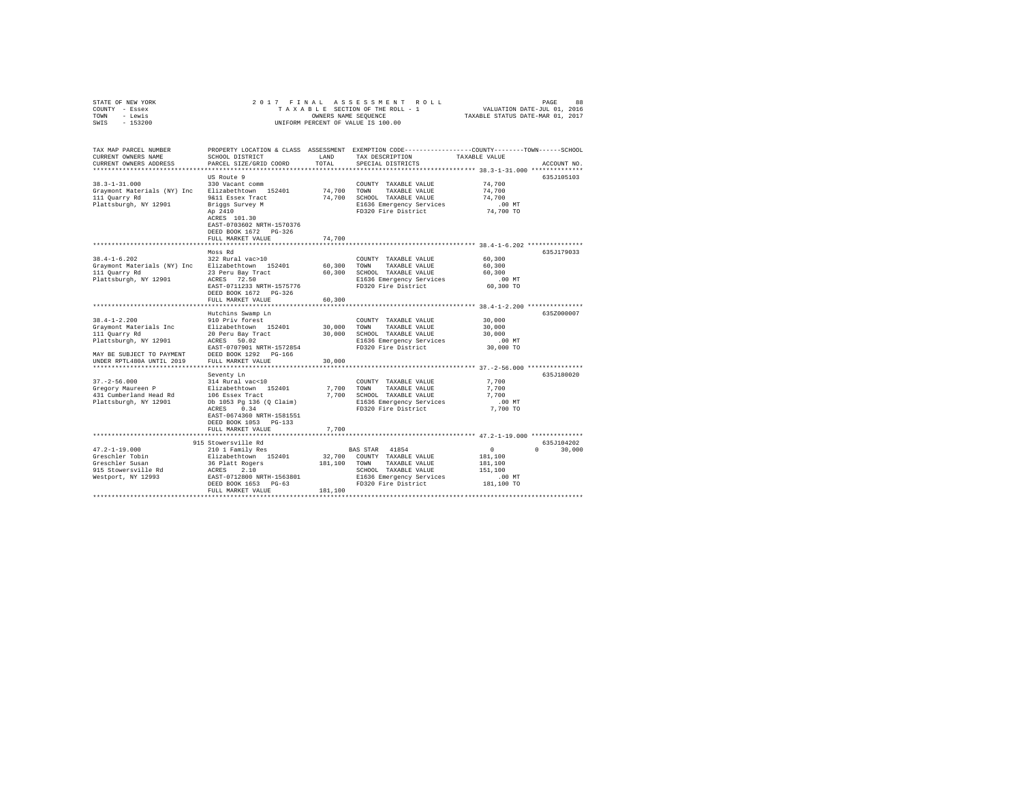| STATE OF NEW YORK | 2017 FINAL ASSESSMENT ROLL         | 88<br>PAGE                       |
|-------------------|------------------------------------|----------------------------------|
| COUNTY - Essex    | TAXABLE SECTION OF THE ROLL - 1    | VALUATION DATE-JUL 01, 2016      |
| TOWN<br>- Lewis   | OWNERS NAME SEOUENCE               | TAXABLE STATUS DATE-MAR 01, 2017 |
| - 153200<br>SWIS  | UNIFORM PERCENT OF VALUE IS 100.00 |                                  |

| TAX MAP PARCEL NUMBER<br>CURRENT OWNERS NAME<br>CURRENT OWNERS ADDRESS                                                  | PROPERTY LOCATION & CLASS ASSESSMENT<br>SCHOOL DISTRICT<br>PARCEL SIZE/GRID COORD<br>.                                                                                                                                                                  | LAND<br>TOTAL                     | EXEMPTION CODE-----------------COUNTY-------TOWN------SCHOOL<br>TAX DESCRIPTION<br>SPECIAL DISTRICTS                                                                                            | TAXABLE VALUE                                                                                            | ACCOUNT NO                       |
|-------------------------------------------------------------------------------------------------------------------------|---------------------------------------------------------------------------------------------------------------------------------------------------------------------------------------------------------------------------------------------------------|-----------------------------------|-------------------------------------------------------------------------------------------------------------------------------------------------------------------------------------------------|----------------------------------------------------------------------------------------------------------|----------------------------------|
| $38.3 - 1 - 31.000$<br>Graymont Materials (NY) Inc<br>111 Quarry Rd<br>Plattsburgh, NY 12901                            | US Route 9<br>330 Vacant comm<br>Elizabethtown 152401<br>9&11 Essex Tract<br>Briggs Survey M<br>Ap 2410<br>ACRES 101.30<br>EAST-0703602 NRTH-1570376<br>DEED BOOK 1672 PG-326<br>FULL MARKET VALUE                                                      | 74,700<br>74,700<br>74,700        | ************************************* 38.3-1-31.000 ***************<br>COUNTY TAXABLE VALUE<br>TOWN<br>TAXABLE VALUE<br>SCHOOL TAXABLE VALUE<br>E1636 Emergency Services<br>FD320 Fire District | 74,700<br>74,700<br>74,700<br>$.00$ MT<br>74,700 TO                                                      | 635J105103                       |
| $38.4 - 1 - 6.202$<br>Graymont Materials (NY) Inc<br>111 Quarry Rd<br>Plattsburgh, NY 12901                             | Moss Rd<br>322 Rural vac>10<br>Elizabethtown 152401<br>23 Peru Bay Tract<br>72.50<br>ACRES<br>EAST-0711233 NRTH-1575776<br>DEED BOOK 1672 PG-326<br>FULL MARKET VALUE<br>*************************                                                      | 60,300<br>60,300<br>60,300        | COUNTY TAXABLE VALUE<br>TOWN<br>TAXABLE VALUE<br>SCHOOL TAXABLE VALUE<br>E1636 Emergency Services<br>FD320 Fire District                                                                        | $38.4 - 1 - 6.202$ ************<br>60,300<br>60,300<br>60,300<br>$.00$ $MT$<br>60,300 TO                 | 635J179033                       |
| $38.4 - 1 - 2.200$<br>Graymont Materials Inc<br>111 Quarry Rd<br>Plattsburgh, NY 12901<br>MAY BE SUBJECT TO PAYMENT     | Hutchins Swamp Ln<br>910 Priv forest<br>Elizabethtown 152401<br>20 Peru Bay Tract<br>ACRES<br>50.02<br>EAST-0707901 NRTH-1572854<br>DEED BOOK 1292<br>PG-166                                                                                            | 30,000<br>30,000                  | COUNTY TAXABLE VALUE<br>TOWN<br>TAXABLE VALUE<br>SCHOOL TAXABLE VALUE<br>E1636 Emergency Services<br>FD320 Fire District                                                                        | *********************** 38.4-1-2.200 ***************<br>30,000<br>30,000<br>30,000<br>.00MT<br>30,000 TO | 635Z000007                       |
| UNDER RPTL480A UNTIL 2019<br>$37. - 2 - 56.000$<br>Gregory Maureen P<br>431 Cumberland Head Rd<br>Plattsburgh, NY 12901 | FULL MARKET VALUE<br>Seventy Ln<br>314 Rural vac<10<br>Elizabethtown 152401<br>106 Essex Tract<br>Db 1053 Pq 136 (Q Claim)<br>0.34<br>ACRES<br>EAST-0674360 NRTH-1581551<br>DEED BOOK 1053<br>PG-133<br>FULL MARKET VALUE<br>************************** | 30,000<br>7,700<br>7.700<br>7.700 | COUNTY TAXABLE VALUE<br>TOWN<br>TAXABLE VALUE<br>SCHOOL TAXABLE VALUE<br>E1636 Emergency Services<br>FD320 Fire District<br>***************************** 47.2-1-19.000 **************          | 7.700<br>7,700<br>7.700<br>.00 MT<br>7,700 TO                                                            | 635J180020                       |
| $47.2 - 1 - 19.000$<br>Greschler Tobin<br>Greschler Susan<br>915 Stowersville Rd<br>Westport, NY 12993                  | 915 Stowersville Rd<br>210 1 Family Res<br>Elizabethtown 152401<br>36 Platt Rogers<br>ACRES<br>2.10<br>EAST-0712800 NRTH-1563801<br>DEED BOOK 1653<br>$PG-63$<br>FULL MARKET VALUE                                                                      | 32,700<br>181,100<br>181,100      | BAS STAR<br>41854<br>COUNTY TAXABLE VALUE<br>TAXABLE VALUE<br>TOWN<br>SCHOOL TAXABLE VALUE<br>E1636 Emergency Services<br>FD320 Fire District                                                   | $\circ$<br>181,100<br>181,100<br>151,100<br>$.00$ $MT$<br>181,100 TO                                     | 635J104202<br>$\Omega$<br>30,000 |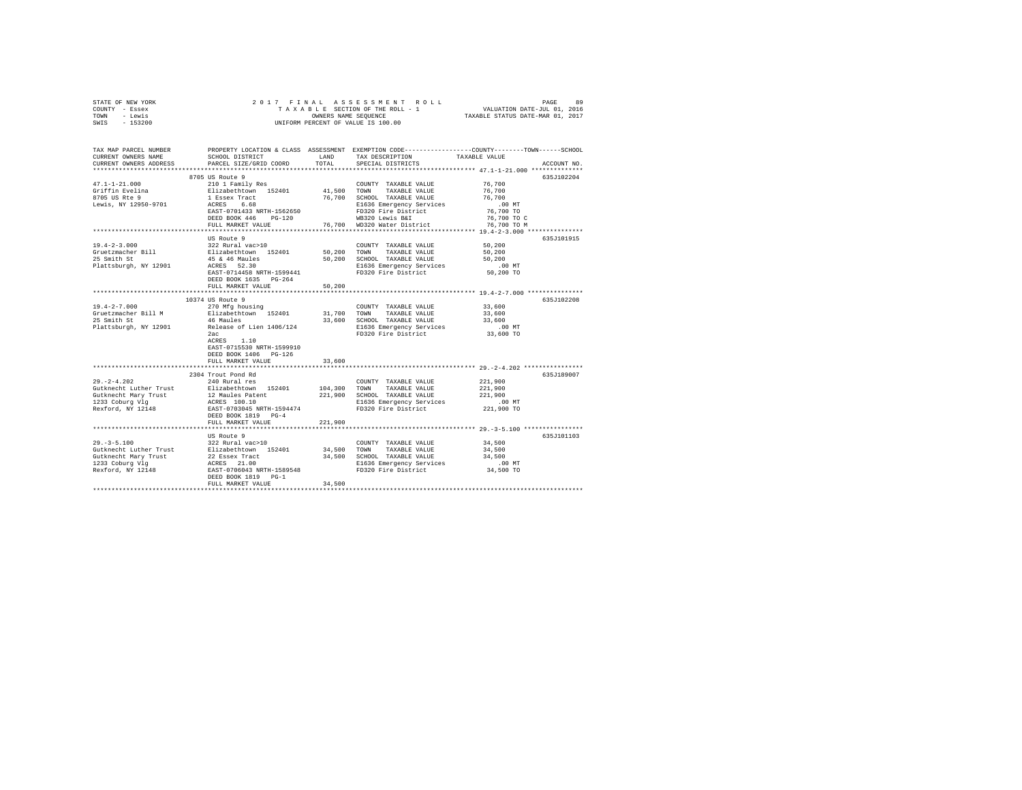| STATE OF NEW YORK<br>COUNTY - Essex                                                                                              |                                                    |             |                                                                                 |                                                                                                                       |
|----------------------------------------------------------------------------------------------------------------------------------|----------------------------------------------------|-------------|---------------------------------------------------------------------------------|-----------------------------------------------------------------------------------------------------------------------|
| TOWN - Lewis                                                                                                                     |                                                    |             |                                                                                 |                                                                                                                       |
| SWIS - 153200                                                                                                                    |                                                    |             |                                                                                 |                                                                                                                       |
|                                                                                                                                  |                                                    |             |                                                                                 |                                                                                                                       |
|                                                                                                                                  |                                                    |             |                                                                                 | TAX MAP PARCEL NUMBER PROPERTY LOCATION & CLASS ASSESSMENT EXEMPTION CODE---------------COUNTY-------TOWN------SCHOOL |
| CURRENT OWNERS NAME                                                                                                              | SCHOOL DISTRICT LAND                               |             | TAX DESCRIPTION                                                                 | TAXABLE VALUE                                                                                                         |
| CURRENT OWNERS ADDRESS                                                                                                           | PARCEL SIZE/GRID COORD                             | TOTAL       | SPECIAL DISTRICTS                                                               | ACCOUNT NO.                                                                                                           |
|                                                                                                                                  |                                                    |             |                                                                                 |                                                                                                                       |
|                                                                                                                                  | 8705 US Route 9                                    |             |                                                                                 | 635J102204                                                                                                            |
| $47.1 - 1 - 21.000$                                                                                                              | 210 1 Family Res                                   |             | COUNTY TAXABLE VALUE                                                            | 76,700<br>76,700                                                                                                      |
| Griffin Evelina<br>8705 US Rte 9                                                                                                 | Elizabethtown 152401                               | 41,500 TOWN | TAXABLE VALUE<br>76,700 SCHOOL TAXABLE VALUE                                    | 76,700                                                                                                                |
| Lewis, NY 12950-9701                                                                                                             | 1 Essex Tract<br>ACRES 6.68                        |             | E1636 Emergency Services                                                        | $.00$ MT                                                                                                              |
|                                                                                                                                  | ACRES 0.00<br>EAST-0701433 NRTH-1562650            |             | E1636 Emergency Services<br>FD320 Fire District<br>WB320 Lewis B&I<br>- Lindist | 76,700 TO                                                                                                             |
|                                                                                                                                  | DEED BOOK 446 PG-120                               |             |                                                                                 | 76,700 TO C                                                                                                           |
|                                                                                                                                  | FULL MARKET VALUE                                  |             | 76,700 WD320 Water District                                                     | 76,700 TO M                                                                                                           |
|                                                                                                                                  |                                                    |             |                                                                                 |                                                                                                                       |
|                                                                                                                                  | US Route 9                                         |             |                                                                                 | 635J101915                                                                                                            |
| $19.4 - 2 - 3.000$                                                                                                               | 322 Rural vac>10                                   |             | COUNTY TAXABLE VALUE                                                            | 50.200                                                                                                                |
| Gruetzmacher Bill<br>25 Smith St                                                                                                 | Elizabethtown 152401                               | 50,200 TOWN | TAXABLE VALUE                                                                   | 50,200                                                                                                                |
|                                                                                                                                  |                                                    |             | 50,200 SCHOOL TAXABLE VALUE                                                     | 50,200                                                                                                                |
| Plattsburgh, NY 12901                                                                                                            |                                                    |             | E1636 Emergency Services                                                        | $.00$ MT                                                                                                              |
|                                                                                                                                  | DEED BOOK 1635 PG-264                              |             | FD320 Fire District                                                             | 50,200 TO                                                                                                             |
|                                                                                                                                  | FULL MARKET VALUE                                  | 50,200      |                                                                                 |                                                                                                                       |
|                                                                                                                                  | ***************************                        |             |                                                                                 | ******************************** 19.4-2-7.000 ****************                                                        |
|                                                                                                                                  | 10374 US Route 9                                   |             |                                                                                 | 635J102208                                                                                                            |
| $19.4 - 2 - 7.000$                                                                                                               | 270 Mfg housing                                    |             | COUNTY TAXABLE VALUE                                                            | 33,600                                                                                                                |
| Gruetzmacher Bill M                                                                                                              | Elizabethtown 152401<br>46 Maules                  |             | 31,700 TOWN TAXABLE VALUE                                                       | 33,600                                                                                                                |
| 25 Smith St                                                                                                                      |                                                    |             | 33,600 SCHOOL TAXABLE VALUE                                                     | 33,600                                                                                                                |
| 25 Smith St<br>Plattsburgh, NY 12901 Release of Lien 1406/124 Plattsburgh, NY 12901 Release of Lien 1406/124 PD320 Fire District |                                                    |             |                                                                                 | $.00$ MT                                                                                                              |
|                                                                                                                                  |                                                    |             |                                                                                 | 33,600 TO                                                                                                             |
|                                                                                                                                  | ACRES 1.10                                         |             |                                                                                 |                                                                                                                       |
|                                                                                                                                  | EAST-0715530 NRTH-1599910<br>DEED BOOK 1406 PG-126 |             |                                                                                 |                                                                                                                       |
|                                                                                                                                  | FULL MARKET VALUE                                  | 33,600      |                                                                                 |                                                                                                                       |
|                                                                                                                                  |                                                    |             |                                                                                 |                                                                                                                       |
|                                                                                                                                  | 2304 Trout Pond Rd                                 |             |                                                                                 | 635J189007                                                                                                            |
| $29. -2 - 4.202$                                                                                                                 | 240 Rural res                                      |             | COUNTY TAXABLE VALUE                                                            | 221,900                                                                                                               |
|                                                                                                                                  |                                                    |             | 104,300 TOWN TAXABLE VALUE                                                      | 221,900                                                                                                               |
|                                                                                                                                  |                                                    |             | 221,900 SCHOOL TAXABLE VALUE                                                    | 221,900                                                                                                               |
| Gutknecht Mary Trust<br>1233 Coburg Vlg<br>Rexford, NY 12148                                                                     |                                                    |             | E1636 Emergency Services                                                        | 00 MT.<br>221,900 TO                                                                                                  |
|                                                                                                                                  |                                                    |             | FD320 Fire District                                                             |                                                                                                                       |
|                                                                                                                                  | DEED BOOK 1819 PG-4<br>FULL MARKET VALUE           |             |                                                                                 |                                                                                                                       |
|                                                                                                                                  |                                                    | 221,900     |                                                                                 |                                                                                                                       |
|                                                                                                                                  | US Route 9                                         |             |                                                                                 | 635J101103                                                                                                            |
| $29. -3 - 5.100$                                                                                                                 | 322 Rural vac>10                                   |             | COUNTY TAXABLE VALUE                                                            | 34,500                                                                                                                |
|                                                                                                                                  |                                                    |             |                                                                                 | 34,500                                                                                                                |
|                                                                                                                                  |                                                    |             |                                                                                 | 34,500                                                                                                                |
|                                                                                                                                  |                                                    |             |                                                                                 | $.00$ MT                                                                                                              |
|                                                                                                                                  |                                                    |             |                                                                                 | 34,500 TO                                                                                                             |
|                                                                                                                                  | DEED BOOK 1819 PG-1                                |             |                                                                                 |                                                                                                                       |
|                                                                                                                                  | FULL MARKET VALUE                                  | 34,500      |                                                                                 |                                                                                                                       |
|                                                                                                                                  |                                                    |             |                                                                                 |                                                                                                                       |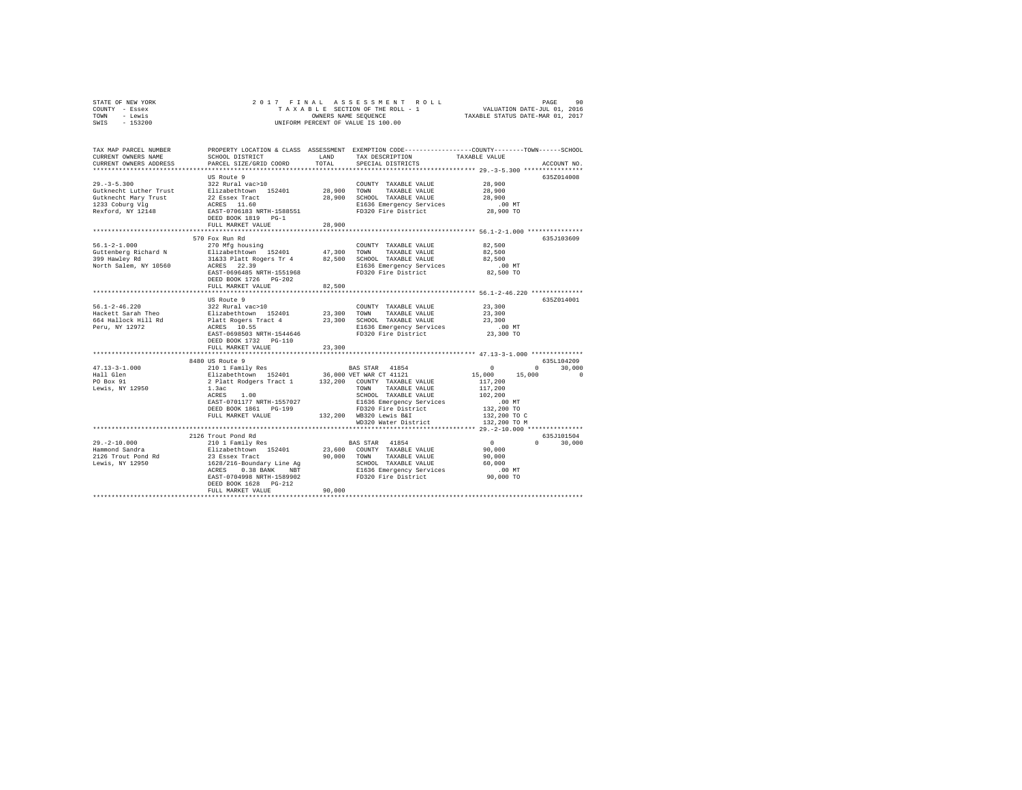| TOWN - Lewis<br>SWIS - 153200                                                                                        | UNIFORM PERCENT OF VALUE IS 100.00                                                                                                               | TAXABLE STATUS DATE-MAR 01, 2017 |                                                                                                                                                                                                                                            |                                                      |               |
|----------------------------------------------------------------------------------------------------------------------|--------------------------------------------------------------------------------------------------------------------------------------------------|----------------------------------|--------------------------------------------------------------------------------------------------------------------------------------------------------------------------------------------------------------------------------------------|------------------------------------------------------|---------------|
|                                                                                                                      |                                                                                                                                                  |                                  |                                                                                                                                                                                                                                            |                                                      |               |
| TAX MAP PARCEL NUMBER PROPERTY LOCATION & CLASS ASSESSMENT EXEMPTION CODE--------------COUNTY-------TOWN------SCHOOL |                                                                                                                                                  |                                  |                                                                                                                                                                                                                                            |                                                      |               |
| CURRENT OWNERS NAME                                                                                                  | SCHOOL DISTRICT                                                                                                                                  | LAND                             | TAX DESCRIPTION                                                                                                                                                                                                                            | TAXABLE VALUE                                        |               |
| CURRENT OWNERS ADDRESS                                                                                               | PARCEL SIZE/GRID COORD                                                                                                                           | TOTAL                            | SPECIAL DISTRICTS                                                                                                                                                                                                                          |                                                      | ACCOUNT NO.   |
|                                                                                                                      |                                                                                                                                                  |                                  |                                                                                                                                                                                                                                            |                                                      | 635Z014008    |
| $29 - 3 - 5 \cdot 300$                                                                                               | US Route 9<br>322 Rural vac>10                                                                                                                   |                                  | COUNTY TAXABLE VALUE                                                                                                                                                                                                                       | 28,900                                               |               |
| Gutknecht Luther Trust                                                                                               |                                                                                                                                                  | 28,900 TOWN                      | TAXABLE VALUE                                                                                                                                                                                                                              | 28,900                                               |               |
| Gutknecht Mary Trust                                                                                                 |                                                                                                                                                  |                                  | 28,900 SCHOOL TAXABLE VALUE                                                                                                                                                                                                                | 28,900                                               |               |
| 1233 Coburg Vlg                                                                                                      | Elizabethtown 152401<br>22 Essex Tract<br>ACRES 11.60<br>EAST-0706183 NRTH-1588551                                                               |                                  | E1636 Emergency Services                                                                                                                                                                                                                   | $.00$ MT                                             |               |
| $2233$ CODULS $12148$                                                                                                |                                                                                                                                                  |                                  | FD320 Fire District                                                                                                                                                                                                                        | 28,900 TO                                            |               |
|                                                                                                                      | DEED BOOK 1819 PG-1                                                                                                                              |                                  |                                                                                                                                                                                                                                            |                                                      |               |
|                                                                                                                      | FULL MARKET VALUE                                                                                                                                | 28,900                           |                                                                                                                                                                                                                                            |                                                      |               |
|                                                                                                                      |                                                                                                                                                  |                                  |                                                                                                                                                                                                                                            |                                                      |               |
|                                                                                                                      | 570 Fox Run Rd                                                                                                                                   |                                  |                                                                                                                                                                                                                                            |                                                      | 635J103609    |
| $56.1 - 2 - 1.000$                                                                                                   | 270 Mfg housing                                                                                                                                  |                                  | COUNTY TAXABLE VALUE 82,500                                                                                                                                                                                                                |                                                      |               |
|                                                                                                                      |                                                                                                                                                  |                                  | TOWN TAXABLE VALUE                                                                                                                                                                                                                         | 82,500                                               |               |
|                                                                                                                      |                                                                                                                                                  |                                  | SCHOOL TAXABLE VALUE                                                                                                                                                                                                                       | 82,500                                               |               |
|                                                                                                                      |                                                                                                                                                  |                                  | E1636 Emergency Services                                                                                                                                                                                                                   | 00 MT.<br>82,500 TO                                  |               |
|                                                                                                                      | EAST-0696485 NRTH-1551968                                                                                                                        |                                  | FD320 Fire District                                                                                                                                                                                                                        |                                                      |               |
|                                                                                                                      | DEED BOOK 1726 PG-202                                                                                                                            |                                  |                                                                                                                                                                                                                                            |                                                      |               |
|                                                                                                                      | FULL MARKET VALUE                                                                                                                                | 82,500                           |                                                                                                                                                                                                                                            | *********************** 56.1-2-46.220 ************** |               |
|                                                                                                                      | US Route 9                                                                                                                                       |                                  |                                                                                                                                                                                                                                            |                                                      | 635Z014001    |
| $56.1 - 2 - 46.220$                                                                                                  | 322 Rural vac>10                                                                                                                                 |                                  | COUNTY TAXABLE VALUE                                                                                                                                                                                                                       | 23,300                                               |               |
| Hackett Sarah Theo                                                                                                   |                                                                                                                                                  |                                  |                                                                                                                                                                                                                                            | 23,300                                               |               |
|                                                                                                                      |                                                                                                                                                  |                                  |                                                                                                                                                                                                                                            | 23,300                                               |               |
| 664 Hallock Hill Rd<br>Peru, NY 12972                                                                                |                                                                                                                                                  |                                  | %24 KUTAI VACALUM 152401 23,300 TOWN TAXABLE VALUE<br>Platt Rogers Tract 4 23,300 SCHOOL TAXABLE VALUE<br>ACRES 10.55 CHOOL TAXABLE VALUE<br>ACRES 10.55 EAST<br>EAST-0698503 NRTH-1544646 FD320 Fire District<br>E1636 Emergency Services | $.00$ MT                                             |               |
|                                                                                                                      |                                                                                                                                                  |                                  | FD320 Fire District                                                                                                                                                                                                                        | $23,300$ TO                                          |               |
|                                                                                                                      | DEED BOOK 1732 PG-110                                                                                                                            |                                  |                                                                                                                                                                                                                                            |                                                      |               |
|                                                                                                                      | FULL MARKET VALUE                                                                                                                                | 23,300                           |                                                                                                                                                                                                                                            |                                                      |               |
|                                                                                                                      |                                                                                                                                                  |                                  |                                                                                                                                                                                                                                            |                                                      |               |
|                                                                                                                      | 8480 US Route 9                                                                                                                                  |                                  |                                                                                                                                                                                                                                            |                                                      | 635L104209    |
| $47.13 - 3 - 1.000$                                                                                                  | 210 1 Family Res (1940) 1988 STAR 41854<br>Elizabethtown 152401 136,000 VET WAR CT 41121<br>2 Platt Rodgers Tract 1 132,200 COUNTY TAXABLE VALUE |                                  |                                                                                                                                                                                                                                            | $\sim$ 0                                             | $0 \t 30.000$ |
| Hall Glen                                                                                                            |                                                                                                                                                  |                                  |                                                                                                                                                                                                                                            | $15,000$ $15,000$                                    | $\sim$ 0      |
| PO Box 91                                                                                                            |                                                                                                                                                  |                                  |                                                                                                                                                                                                                                            | 117,200                                              |               |
| Lewis, NY 12950                                                                                                      | 1.3ac<br>$ACRES$ 1.00                                                                                                                            |                                  | <b>TOWN</b><br>TAXABLE VALUE                                                                                                                                                                                                               | 117,200                                              |               |
|                                                                                                                      | EAST-0701177 NRTH-1557027                                                                                                                        |                                  | SCHOOL TAXABLE VALUE                                                                                                                                                                                                                       | 102,200<br>$.00$ MT                                  |               |
|                                                                                                                      | DEED BOOK 1861 PG-199                                                                                                                            |                                  | E1636 Emergency Services<br>FD320 Fire District                                                                                                                                                                                            | 132,200 TO                                           |               |
|                                                                                                                      | FULL MARKET VALUE                                                                                                                                |                                  | 132,200 WB320 Lewis B&I                                                                                                                                                                                                                    | 132,200 TO C                                         |               |
|                                                                                                                      |                                                                                                                                                  |                                  | WD320 Water District                                                                                                                                                                                                                       | 132,200 TO M                                         |               |
|                                                                                                                      |                                                                                                                                                  |                                  |                                                                                                                                                                                                                                            |                                                      |               |
|                                                                                                                      | 2126 Trout Pond Rd                                                                                                                               |                                  |                                                                                                                                                                                                                                            |                                                      | 635J101504    |
| $29. - 2 - 10.000$                                                                                                   | 210 1 Family Res                                                                                                                                 |                                  | BAS STAR 41854                                                                                                                                                                                                                             | $\sim$ 0 $\sim$                                      | $0 \t 30,000$ |
| Hammond Sandra                                                                                                       |                                                                                                                                                  |                                  | 210 1 Family New York 23, 600 COUNTY TAXABLE VALUE<br>23 Essex Tract 1990,000 TOWN TAXABLE VALUE<br>1628/216-Boundary Line Ag 30,000 TOWN TAXABLE VALUE<br>ACRES 0.38 BANK NBT 251636 Emergency Services<br>EAST-0704998 NRTH-1589902 FD32 | 90,000                                               |               |
| 2126 Trout Pond Rd                                                                                                   |                                                                                                                                                  |                                  |                                                                                                                                                                                                                                            | 90,000                                               |               |
| Lewis, NY 12950                                                                                                      |                                                                                                                                                  |                                  |                                                                                                                                                                                                                                            | 60,000                                               |               |
|                                                                                                                      |                                                                                                                                                  |                                  |                                                                                                                                                                                                                                            | $.00$ MT                                             |               |
|                                                                                                                      |                                                                                                                                                  |                                  |                                                                                                                                                                                                                                            | 90,000 TO                                            |               |
|                                                                                                                      | DEED BOOK 1628 PG-212                                                                                                                            |                                  |                                                                                                                                                                                                                                            |                                                      |               |
|                                                                                                                      | FULL MARKET VALUE                                                                                                                                | 90,000                           |                                                                                                                                                                                                                                            |                                                      |               |
|                                                                                                                      |                                                                                                                                                  |                                  |                                                                                                                                                                                                                                            |                                                      |               |

STATE OF NEW YORK 2 0 1 7 F I N A L A S S E S S M E N T R O L L PAGE 90 COUNTY - Essex T A X A B L E SECTION OF THE ROLL - 1 VALUATION DATE-JUL 01, 2016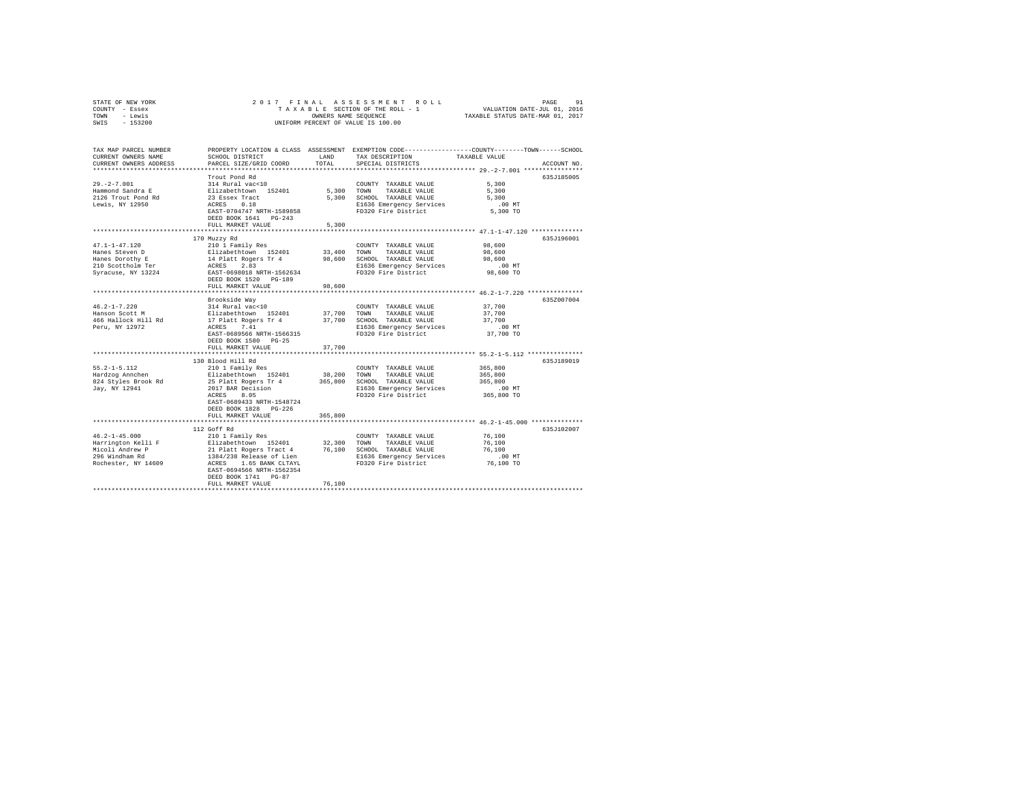| TOWN<br>- Lewis<br>$-153200$<br>SWIS         | UNIFORM PERCENT OF VALUE IS 100.00                                                                                                                            | TAXABLE STATUS DATE-MAR 01, 2017 |                                                 |                                                                                                                  |
|----------------------------------------------|---------------------------------------------------------------------------------------------------------------------------------------------------------------|----------------------------------|-------------------------------------------------|------------------------------------------------------------------------------------------------------------------|
|                                              |                                                                                                                                                               |                                  |                                                 |                                                                                                                  |
| TAX MAP PARCEL NUMBER<br>CURRENT OWNERS NAME | SCHOOL DISTRICT                                                                                                                                               | LAND                             | TAX DESCRIPTION                                 | PROPERTY LOCATION & CLASS ASSESSMENT EXEMPTION CODE---------------COUNTY-------TOWN------SCHOOL<br>TAXABLE VALUE |
| CURRENT OWNERS ADDRESS                       | PARCEL SIZE/GRID COORD                                                                                                                                        | TOTAL                            | SPECIAL DISTRICTS                               | ACCOUNT NO.                                                                                                      |
|                                              |                                                                                                                                                               |                                  |                                                 |                                                                                                                  |
|                                              | Trout Pond Rd                                                                                                                                                 |                                  |                                                 | 635J185005                                                                                                       |
| $29. -2 - 7.001$                             | 314 Rural vac<10                                                                                                                                              |                                  | COUNTY TAXABLE VALUE                            | 5,300                                                                                                            |
| Hammond Sandra E                             |                                                                                                                                                               | 5,300                            | TOWN<br>TAXABLE VALUE                           | 5,300                                                                                                            |
| 2126 Trout Pond Rd                           |                                                                                                                                                               | 5,300                            | SCHOOL TAXABLE VALUE                            | 5,300                                                                                                            |
| Lewis, NY 12950                              | Elizabethtown 152401<br>23 Essex Tract<br>ACRES 0.18                                                                                                          |                                  | E1636 Emergency Services                        | $.00$ MT                                                                                                         |
|                                              | EAST-0704747 NRTH-1589858                                                                                                                                     |                                  | FD320 Fire District                             | 5,300 TO                                                                                                         |
|                                              | DEED BOOK 1641    PG-243                                                                                                                                      |                                  |                                                 |                                                                                                                  |
|                                              | FULL MARKET VALUE                                                                                                                                             | 5,300<br>********                |                                                 | ********** 47.1-1-47.120 **************                                                                          |
|                                              | 170 Muzzy Rd                                                                                                                                                  |                                  |                                                 | 635J196001                                                                                                       |
| $47.1 - 1 - 47.120$                          | 210 1 Family Res                                                                                                                                              |                                  | COUNTY TAXABLE VALUE                            | 98,600                                                                                                           |
| Hanes Steven D                               |                                                                                                                                                               | 33,400                           | TOWN<br>TAXABLE VALUE                           | 98,600                                                                                                           |
| Hanes Dorothy E                              | Elizabethtown 152401<br>14 Platt Rogers Tr 4                                                                                                                  | 98,600                           | SCHOOL TAXABLE VALUE                            | 98,600                                                                                                           |
| 210 Scottholm Ter                            | ACRES 2.83                                                                                                                                                    |                                  | E1636 Emergency Services                        | $.00$ MT                                                                                                         |
| Syracuse, NY 13224                           | EAST-0698018 NRTH-1562634                                                                                                                                     |                                  | FD320 Fire District                             | 98,600 TO                                                                                                        |
|                                              | DEED BOOK 1520 PG-189                                                                                                                                         |                                  |                                                 |                                                                                                                  |
|                                              | FULL MARKET VALUE                                                                                                                                             | 98,600                           |                                                 |                                                                                                                  |
|                                              |                                                                                                                                                               |                                  |                                                 |                                                                                                                  |
|                                              | Brookside Way                                                                                                                                                 |                                  |                                                 | 635Z007004                                                                                                       |
| $46.2 - 1 - 7.220$<br>Hanson Scott M         | 314 Rural vac<10                                                                                                                                              | 37,700                           | COUNTY TAXABLE VALUE<br>TOWN<br>TAXABLE VALUE   | 37,700<br>37,700                                                                                                 |
| 466 Hallock Hill Rd                          |                                                                                                                                                               |                                  | 37,700 SCHOOL TAXABLE VALUE                     | 37,700                                                                                                           |
| Peru, NY 12972                               | Elizabethtown 152401<br>17 Platt Rogers Tr 4<br>ACRES 7.41                                                                                                    |                                  | E1636 Emergency Services                        | .00 MT                                                                                                           |
|                                              | EAST-0689566 NRTH-1566315                                                                                                                                     |                                  | FD320 Fire District                             | 37,700 TO                                                                                                        |
|                                              | DEED BOOK 1580 PG-25                                                                                                                                          |                                  |                                                 |                                                                                                                  |
|                                              | FULL MARKET VALUE                                                                                                                                             | 37,700                           |                                                 |                                                                                                                  |
|                                              | **************************                                                                                                                                    |                                  |                                                 | *********************** 55.2-1-5.112 ***************                                                             |
|                                              | 130 Blood Hill Rd                                                                                                                                             |                                  |                                                 | 635J189019                                                                                                       |
| $55.2 - 1 - 5.112$                           | 210 1 Family Res                                                                                                                                              |                                  | COUNTY TAXABLE VALUE                            | 365,800                                                                                                          |
| Hardzog Annchen                              | Elizabethtown 152401                                                                                                                                          | 38,200                           | TOWN<br>TAXABLE VALUE                           | 365,800                                                                                                          |
| 824 Styles Brook Rd<br>Jav. NY 12941         | 25 Platt Rogers Tr 4<br>2017 BAR Decision                                                                                                                     |                                  | 365,800 SCHOOL TAXABLE VALUE                    | 365,800<br>$.00$ MT                                                                                              |
|                                              | ACRES 8.05                                                                                                                                                    |                                  | E1636 Emergency Services<br>FD320 Fire District | 365,800 TO                                                                                                       |
|                                              | EAST-0689433 NRTH-1548724                                                                                                                                     |                                  |                                                 |                                                                                                                  |
|                                              | DEED BOOK 1828 PG-226                                                                                                                                         |                                  |                                                 |                                                                                                                  |
|                                              | FULL MARKET VALUE                                                                                                                                             | 365,800                          |                                                 |                                                                                                                  |
|                                              | **************************                                                                                                                                    |                                  |                                                 |                                                                                                                  |
|                                              | 112 Goff Rd                                                                                                                                                   |                                  |                                                 | 635J102007                                                                                                       |
| $46.2 - 1 - 45.000$                          | 210 1 Family Res                                                                                                                                              |                                  | COUNTY TAXABLE VALUE                            | 76,100                                                                                                           |
| Harrington Kelli F                           | Elizabethtown 152401                                                                                                                                          | 32,300                           | TOWN<br>TAXABLE VALUE                           | 76,100                                                                                                           |
| Micoli Andrew P<br>296 Windham Rd            |                                                                                                                                                               |                                  |                                                 | 76,100                                                                                                           |
|                                              | 21 Platt Rogers Tract 4 176,100 SCROOL TAXABLE VALUE<br>1384/238 Release of Lien 16,100 SCROOL TAXABLE VALUE<br>1384/238 Release of Lien 165 Parrency Service |                                  | E1636 Emergency Services<br>FD320 Fire District | $.00$ MT                                                                                                         |
| Rochester, NY 14609                          | EAST-0694566 NRTH-1562354                                                                                                                                     |                                  |                                                 | 76,100 TO                                                                                                        |
|                                              | DEED BOOK 1741 PG-87                                                                                                                                          |                                  |                                                 |                                                                                                                  |
|                                              | FULL MARKET VALUE                                                                                                                                             | 76,100                           |                                                 |                                                                                                                  |
|                                              |                                                                                                                                                               |                                  |                                                 |                                                                                                                  |

STATE OF NEW YORK 2 0 1 7 F I N A L A S S E S S M E N T R O L L PAGE 91 COUNTY - Essex T A X A B L E SECTION OF THE ROLL - 1 VALUATION DATE-JUL 01, 2016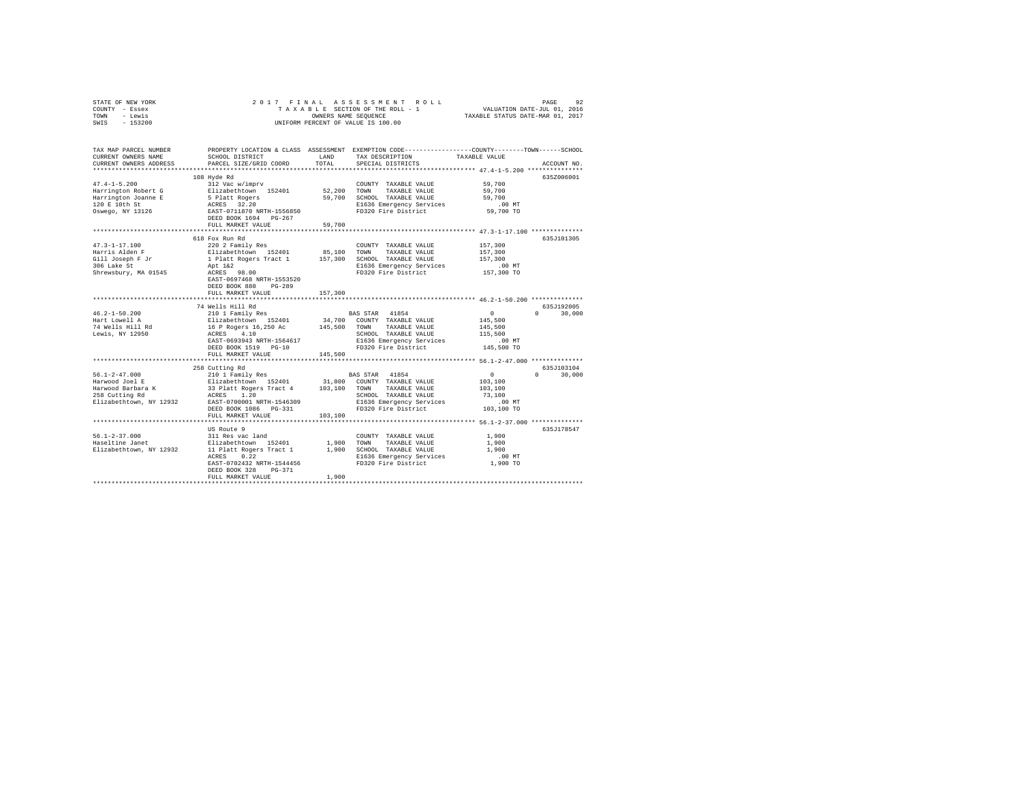| STATE OF NEW YORK<br>COUNTY - Essex | 2017 FINAL                                                                              |         | ASSESSMENT ROLL<br>TAXABLE SECTION OF THE ROLL - 1                                              |                                                      | 92<br>PAGE                      |  |  |
|-------------------------------------|-----------------------------------------------------------------------------------------|---------|-------------------------------------------------------------------------------------------------|------------------------------------------------------|---------------------------------|--|--|
| - Lewis<br>TOWN                     | VALUATION DATE-JUL 01, 2016<br>TAXABLE STATUS DATE-MAR 01, 2017<br>OWNERS NAME SEQUENCE |         |                                                                                                 |                                                      |                                 |  |  |
| SWIS<br>$-153200$                   | UNIFORM PERCENT OF VALUE IS 100.00                                                      |         |                                                                                                 |                                                      |                                 |  |  |
|                                     |                                                                                         |         |                                                                                                 |                                                      |                                 |  |  |
| TAX MAP PARCEL NUMBER               |                                                                                         |         | PROPERTY LOCATION & CLASS ASSESSMENT EXEMPTION CODE---------------COUNTY-------TOWN------SCHOOL |                                                      |                                 |  |  |
| CURRENT OWNERS NAME                 | SCHOOL DISTRICT                                                                         | LAND    | TAX DESCRIPTION                                                                                 | TAXABLE VALUE                                        |                                 |  |  |
| CURRENT OWNERS ADDRESS              | PARCEL SIZE/GRID COORD                                                                  | TOTAL   | SPECIAL DISTRICTS                                                                               |                                                      | ACCOUNT NO.                     |  |  |
|                                     | 108 Hyde Rd                                                                             |         |                                                                                                 |                                                      | 635Z006001                      |  |  |
| $47.4 - 1 - 5.200$                  | 312 Vac w/imprv                                                                         |         | COUNTY TAXABLE VALUE                                                                            | 59,700                                               |                                 |  |  |
| Harrington Robert G                 | Elizabethtown 152401                                                                    | 52,200  | TOWN<br>TAXABLE VALUE                                                                           | 59,700                                               |                                 |  |  |
| Harrington Joanne E                 |                                                                                         | 59,700  | SCHOOL TAXABLE VALUE                                                                            | 59,700                                               |                                 |  |  |
| 120 E 10th St                       | 5 Platt Rogers<br>ACRES 32.20                                                           |         | E1636 Emergency Services                                                                        | .00MT                                                |                                 |  |  |
| Oswego, NY 13126                    | EAST-0711870 NRTH-1556850                                                               |         | FD320 Fire District                                                                             | 59,700 TO                                            |                                 |  |  |
|                                     | DEED BOOK 1694 PG-267                                                                   |         |                                                                                                 |                                                      |                                 |  |  |
|                                     | FULL MARKET VALUE                                                                       | 59,700  |                                                                                                 |                                                      |                                 |  |  |
|                                     |                                                                                         |         |                                                                                                 | *********************** 47.3-1-17.100 ************** |                                 |  |  |
|                                     | 618 Fox Run Rd                                                                          |         |                                                                                                 |                                                      | 635J101305                      |  |  |
| $47.3 - 1 - 17.100$                 | 220 2 Family Res                                                                        |         | COUNTY TAXABLE VALUE                                                                            | 157,300                                              |                                 |  |  |
| Harris Alden F                      | Elizabethtown 152401                                                                    | 85,100  | TOWN<br>TAXABLE VALUE                                                                           | 157,300                                              |                                 |  |  |
| Gill Joseph F Jr                    | 1 Platt Rogers Tract 1                                                                  |         | 157,300 SCHOOL TAXABLE VALUE                                                                    | 157,300                                              |                                 |  |  |
| 306 Lake St                         | Apt 1&2                                                                                 |         | E1636 Emergency Services                                                                        | $.00$ MT                                             |                                 |  |  |
| Shrewsbury, MA 01545                | ACRES 98.00                                                                             |         | FD320 Fire District                                                                             | 157,300 TO                                           |                                 |  |  |
|                                     | EAST-0697468 NRTH-1553520                                                               |         |                                                                                                 |                                                      |                                 |  |  |
|                                     | DEED BOOK 880<br>PG-289                                                                 |         |                                                                                                 |                                                      |                                 |  |  |
|                                     | FULL MARKET VALUE                                                                       | 157,300 |                                                                                                 |                                                      |                                 |  |  |
|                                     |                                                                                         |         |                                                                                                 |                                                      |                                 |  |  |
|                                     | 74 Wells Hill Rd                                                                        |         |                                                                                                 |                                                      | 635J192005                      |  |  |
| $46.2 - 1 - 50.200$                 | 210 1 Family Res                                                                        |         | BAS STAR 41854                                                                                  | 0                                                    | 30,000<br>$\Omega$              |  |  |
| Hart Lowell A                       | Elizabethtown 152401<br>16 P Rogers 16,250 Ac                                           |         | 34,700 COUNTY TAXABLE VALUE<br>TOWN                                                             | 145,500                                              |                                 |  |  |
| 74 Wells Hill Rd<br>Lewis, NY 12950 | ACRES 4.10                                                                              | 145,500 | TAXABLE VALUE<br>SCHOOL TAXABLE VALUE                                                           | 145,500<br>115,500                                   |                                 |  |  |
|                                     | EAST-0693943 NRTH-1564617                                                               |         | E1636 Emergency Services                                                                        | .00MT                                                |                                 |  |  |
|                                     | DEED BOOK 1519 PG-10                                                                    |         | FD320 Fire District                                                                             | 145,500 TO                                           |                                 |  |  |
|                                     | FULL MARKET VALUE                                                                       | 145,500 |                                                                                                 |                                                      |                                 |  |  |
|                                     |                                                                                         |         |                                                                                                 |                                                      |                                 |  |  |
|                                     | 258 Cutting Rd                                                                          |         |                                                                                                 |                                                      | 635J103104                      |  |  |
| $56.1 - 2 - 47.000$                 | 210 1 Family Res                                                                        |         | BAS STAR 41854                                                                                  | $\Omega$                                             | $\Omega$ and $\Omega$<br>30,000 |  |  |
| Harwood Joel E                      | Elizabethtown 152401                                                                    |         | 31,800 COUNTY TAXABLE VALUE                                                                     | 103,100                                              |                                 |  |  |
| Harwood Barbara K                   | 33 Platt Rogers Tract 4                                                                 | 103,100 | TOWN TAXABLE VALUE                                                                              | 103,100                                              |                                 |  |  |
| 258 Cutting Rd                      | ACRES 1.20                                                                              |         | SCHOOL TAXABLE VALUE                                                                            | 73,100                                               |                                 |  |  |
| Elizabethtown, NY 12932             | EAST-0700001 NRTH-1546309                                                               |         | E1636 Emergency Services                                                                        | .00MT                                                |                                 |  |  |
|                                     | DEED BOOK 1086 PG-331                                                                   |         | FD320 Fire District                                                                             | 103,100 TO                                           |                                 |  |  |
|                                     | FULL MARKET VALUE                                                                       | 103,100 |                                                                                                 |                                                      |                                 |  |  |
|                                     |                                                                                         |         |                                                                                                 |                                                      |                                 |  |  |
|                                     | US Route 9                                                                              |         |                                                                                                 |                                                      | 635J178547                      |  |  |
| $56.1 - 2 - 37.000$                 | 311 Res vac land                                                                        |         | COUNTY TAXABLE VALUE                                                                            | 1,900                                                |                                 |  |  |
| Haseltine Janet                     | Elizabethtown 152401                                                                    | 1,900   | TOWN<br>TAXABLE VALUE                                                                           | 1,900                                                |                                 |  |  |
| Elizabethtown, NY 12932             | 11 Platt Rogers Tract 1                                                                 |         | 1,900 SCHOOL TAXABLE VALUE                                                                      | 1,900                                                |                                 |  |  |
|                                     | ACRES 0.22                                                                              |         | E1636 Emergency Services                                                                        | $.00$ MT                                             |                                 |  |  |
|                                     | EAST-0702432 NRTH-1544456                                                               |         | FD320 Fire District                                                                             | 1,900 TO                                             |                                 |  |  |
|                                     | PG-371<br>DEED BOOK 328                                                                 |         |                                                                                                 |                                                      |                                 |  |  |
|                                     | FULL MARKET VALUE                                                                       | 1,900   |                                                                                                 |                                                      |                                 |  |  |
|                                     |                                                                                         |         |                                                                                                 |                                                      |                                 |  |  |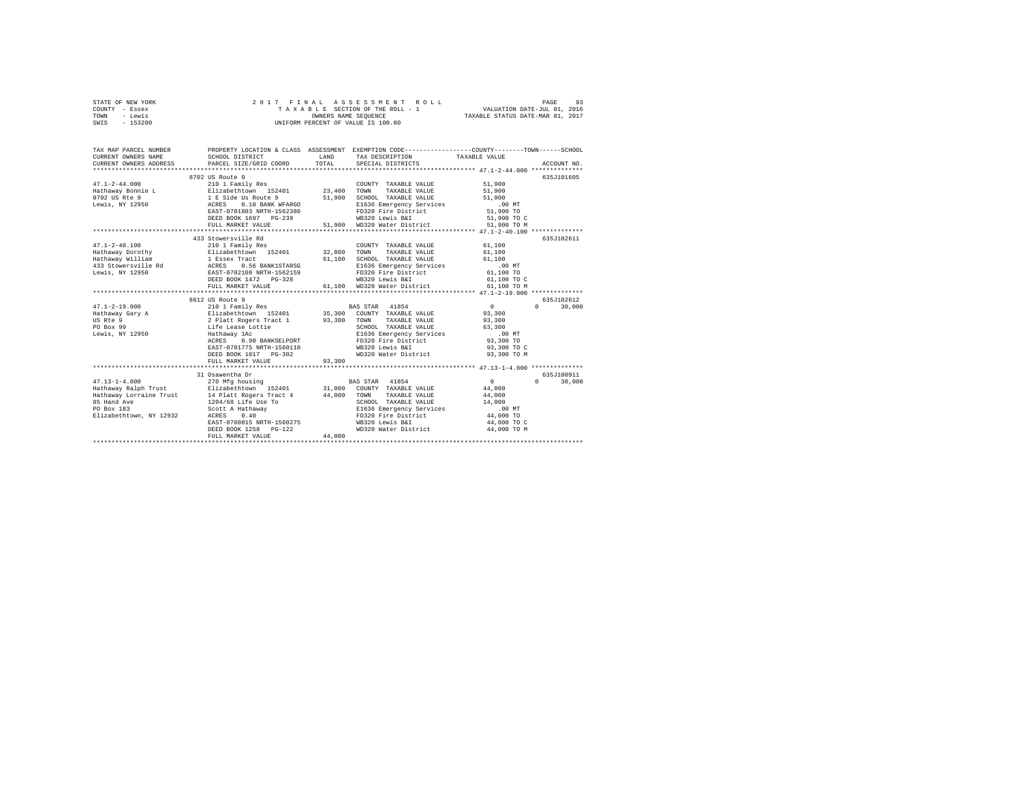| STATE OF NEW YORK | 2017 FINAL ASSESSMENT ROLL         | 93<br>PAGE                       |
|-------------------|------------------------------------|----------------------------------|
| COUNTY - Essex    | TAXABLE SECTION OF THE ROLL - 1    | VALUATION DATE-JUL 01, 2016      |
| TOWN<br>- Lewis   | OWNERS NAME SEOUENCE               | TAXABLE STATUS DATE-MAR 01, 2017 |
| $-153200$<br>SWIS | UNIFORM PERCENT OF VALUE IS 100.00 |                                  |

| TAX MAP PARCEL NUMBER<br>CURRENT OWNERS NAME<br>CURRENT OWNERS ADDRESS                              | SCHOOL DISTRICT<br>PARCEL SIZE/GRID COORD                                                                                                                                                                                                                                                 | LAND<br>TOTAL | PROPERTY LOCATION & CLASS ASSESSMENT EXEMPTION CODE----------------COUNTY-------TOWN------SCHOOL<br>TAX DESCRIPTION TAXABLE VALUE<br>SPECIAL DISTRICTS                           |                                                                                                   | ACCOUNT NO.                      |
|-----------------------------------------------------------------------------------------------------|-------------------------------------------------------------------------------------------------------------------------------------------------------------------------------------------------------------------------------------------------------------------------------------------|---------------|----------------------------------------------------------------------------------------------------------------------------------------------------------------------------------|---------------------------------------------------------------------------------------------------|----------------------------------|
| $47.1 - 2 - 44.000$<br>8702 US Rte 9<br>Lewis, NY 12950                                             | 8702 US Route 9<br>210 1 Family Res<br>Hathaway Bonnie L Elizabethtown 152401 23,400 TOWN<br>1 E Side Us Route 9<br>ACRES 0.10 BANK WFARGO<br>EAST-0701803 NRTH-1562380<br>DEED BOOK 1697 PG-239<br>FULL MARKET VALUE                                                                     | 51,900        | COUNTY TAXABLE VALUE<br>TAXABLE VALUE<br>SCHOOL TAXABLE VALUE<br>E1636 Emergency Services<br>FD320 Fire District<br>WB320 Lewis B&I<br>51,900 WD320 Water District               | 51,900<br>51,900<br>51,900<br>$.00$ MT<br>51,900 TO<br>51,900 TO C<br>51,900 TO M                 | 635J101605                       |
| $47.1 - 2 - 40.100$                                                                                 | 433 Stowersville Rd<br>210 1 Family Res<br>Hathaway Dorothy [Blizabethtown 152401 32,800 TOWN TAXABLE VALUE<br>DEED BOOK 1472    PG-328<br>FULL MARKET VALUE                                                                                                                              |               | COUNTY TAXABLE VALUE<br>61,100 SCHOOL TAXABLE VALUE 61,100<br>E1636 Emergency Services .00 MT<br>FD320 Fire District 61,100 TO<br>WB320 Lewis B&I<br>61,100 WD320 Water District | 61,100<br>61,100<br>61,100 TO C<br>61,100 TO M                                                    | 635J102611                       |
| $47.1 - 2 - 19.000$<br>Hathaway Gary A<br>US Rte 9<br>PO Box 99<br>Lewis, NY 12950                  | 8612 US Route 9<br>210 1 Family Res (BAS STAR 41854 VALUE Elizabethtown 152401 15,300 COUNTY TAXABLE VALUE 2 Platt Rogers (Patch<br>Life Lease Lottie<br>Hathaway 1Ac<br>0.90 BANKSELPORT<br>ACRES<br>EAST-0701775 NRTH-1560110<br>FULL MARKET VALUE                                      | 93,300        | TAXABLE VALUE<br>SCHOOL TAXABLE VALUE<br>E1636 Emergency Services<br>FD320 Fire District<br>WB320 Lewis B&I<br>WD320 Water District                                              | $\sim$ 0<br>93,300<br>93,300<br>63,300<br>$.00$ MT<br>93,300 TO<br>93,300 TO C<br>93,300 TO M     | 635J102612<br>$\Omega$<br>30,000 |
| $47.13 - 1 - 4.000$<br>Hathaway Ralph Trust<br>85 Hand Ave<br>PO Box 183<br>Elizabethtown, NY 12932 | 31 Osawentha Dr<br>270 Mfg housing<br>Elizabethtown 152401 31,000 COUNTY TAXABLE VALUE<br>Hathaway Lorraine Trust 14 Platt Rogers Tract 4 44,000 TOWN<br>1204/68 Life Use To<br>Scott A Hathaway<br>ACRES 0.40<br>EAST-0700815 NRTH-1560275<br>DEED BOOK 1258 PG-122<br>FULL MARKET VALUE | 44,000        | BAS STAR 41854<br>TAXABLE VALUE<br>SCHOOL TAXABLE VALUE<br>SCHOOL TAXABLE VALUE<br>E1636 Emergency Services<br>FD320 Fire District<br>WB320 Lewis B&I<br>WD320 Water District    | $\sim$ 0<br>44,000<br>44,000<br>14,000<br>$.00$ MT<br>44,000 TO<br>44,000 TO C<br>44,000 TO M<br> | 635.7100911<br>$\cap$<br>30,000  |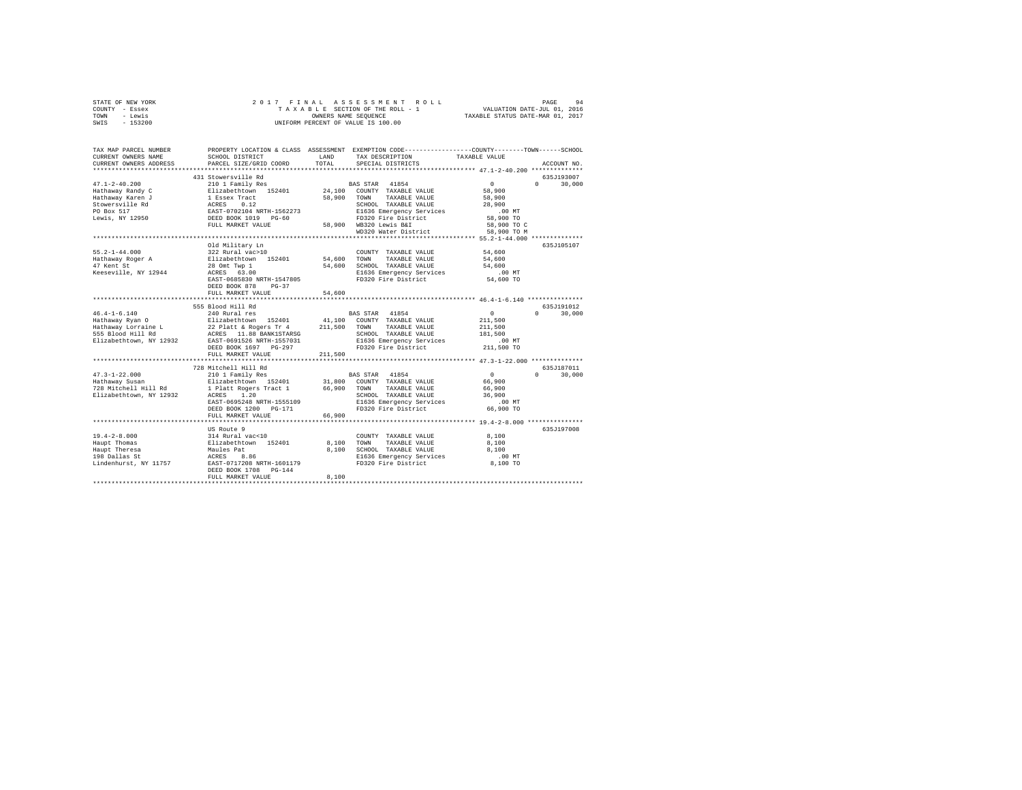| STATE OF NEW YORK                        | 2017 FINAL                                                                              |              | ASSESSMENT ROLL                                                                                |                | PAGE<br>94                          |  |
|------------------------------------------|-----------------------------------------------------------------------------------------|--------------|------------------------------------------------------------------------------------------------|----------------|-------------------------------------|--|
| COUNTY - Essex                           |                                                                                         |              | TAXABLE SECTION OF THE ROLL - 1                                                                |                |                                     |  |
| - Lewis<br>TOWN                          | VALUATION DATE-JUL 01, 2016<br>TAXABLE STATUS DATE-MAR 01, 2017<br>OWNERS NAME SEQUENCE |              |                                                                                                |                |                                     |  |
| SWIS<br>$-153200$                        |                                                                                         |              | UNIFORM PERCENT OF VALUE IS 100.00                                                             |                |                                     |  |
|                                          |                                                                                         |              |                                                                                                |                |                                     |  |
|                                          |                                                                                         |              |                                                                                                |                |                                     |  |
| TAX MAP PARCEL NUMBER                    |                                                                                         |              | PROPERTY LOCATION & CLASS ASSESSMENT EXEMPTION CODE---------------COUNTY-------TOWN-----SCHOOL |                |                                     |  |
| CURRENT OWNERS NAME                      | SCHOOL DISTRICT                                                                         | LAND         | TAX DESCRIPTION                                                                                | TAXABLE VALUE  |                                     |  |
| CURRENT OWNERS ADDRESS                   | PARCEL SIZE/GRID COORD                                                                  | TOTAL        | SPECIAL DISTRICTS                                                                              |                | ACCOUNT NO.                         |  |
|                                          |                                                                                         |              |                                                                                                |                |                                     |  |
|                                          | 431 Stowersville Rd                                                                     |              |                                                                                                |                | 635J193007                          |  |
| $47.1 - 2 - 40.200$                      | 210 1 Family Res                                                                        |              | BAS STAR 41854                                                                                 | $\sim$         | $\Omega$<br>30,000                  |  |
| Hathaway Randy C                         | Elizabethtown 152401                                                                    |              | 24.100 COUNTY TAXABLE VALUE                                                                    | 58,900         |                                     |  |
| Hathaway Karen J                         | 1 Essex Tract                                                                           | 58,900       | TOWN<br>TAXABLE VALUE                                                                          | 58,900         |                                     |  |
| Stowersville Rd                          | - 2000<br>RACES 0.12<br>EAST-0702104 NRTH-1562273<br>DEED BOOK 1019 PG-60               |              | SCHOOL TAXABLE VALUE                                                                           | 28,900         |                                     |  |
| PO Box 517                               |                                                                                         |              | E1636 Emergency Services                                                                       | $.00$ MT       |                                     |  |
| Lewis, NY 12950                          |                                                                                         |              | FD320 Fire District                                                                            | 58,900 TO      |                                     |  |
|                                          | FULL MARKET VALUE                                                                       |              | 58,900 WB320 Lewis B&I                                                                         | 58,900 TO C    |                                     |  |
|                                          |                                                                                         |              | WD320 Water District                                                                           | 58,900 TO M    |                                     |  |
|                                          |                                                                                         |              | ************************************* 55.2-1-44.000 *************                              |                |                                     |  |
|                                          | Old Military Ln                                                                         |              |                                                                                                |                | 635J105107                          |  |
| $55.2 - 1 - 44.000$                      | 322 Rural vac>10                                                                        |              | COUNTY TAXABLE VALUE                                                                           | 54,600         |                                     |  |
| Hathaway Roger A                         | Elizabethtown 152401                                                                    | 54,600       | TAXABLE VALUE<br>TOWN                                                                          | 54,600         |                                     |  |
| 47 Kent St                               | 28 Omt Twp 1                                                                            | 54,600       | SCHOOL TAXABLE VALUE                                                                           | 54,600         |                                     |  |
| Keeseville, NY 12944                     | ACRES 63.00                                                                             |              | E1636 Emergency Services                                                                       | $.00$ MT       |                                     |  |
|                                          | EAST-0685830 NRTH-1547805                                                               |              | FD320 Fire District                                                                            | 54,600 TO      |                                     |  |
|                                          | DEED BOOK 878 PG-37                                                                     |              |                                                                                                |                |                                     |  |
|                                          | FULL MARKET VALUE                                                                       | 54,600       |                                                                                                |                |                                     |  |
|                                          |                                                                                         |              |                                                                                                |                |                                     |  |
|                                          | 555 Blood Hill Rd                                                                       |              |                                                                                                |                | 635J191012                          |  |
| $46.4 - 1 - 6.140$                       | 240 Rural res                                                                           |              | <b>BAS STAR</b><br>41854                                                                       | $\overline{0}$ | 30,000<br>$\Omega$                  |  |
| Hathaway Ryan O                          | Elizabethtown 152401                                                                    |              | 41,100 COUNTY TAXABLE VALUE                                                                    | 211,500        |                                     |  |
|                                          | 22 Platt & Rogers Tr 4                                                                  | 211,500 TOWN | TAXABLE VALUE                                                                                  | 211,500        |                                     |  |
| Hathaway Lorraine L<br>555 Blood Hill Rd | ACRES 11.88 BANK1STARSG                                                                 |              | SCHOOL TAXABLE VALUE                                                                           | 181,500        |                                     |  |
| Elizabethtown, NY 12932                  | EAST-0691526 NRTH-1557031                                                               |              | E1636 Emergency Services                                                                       | $.00$ MT       |                                     |  |
|                                          | DEED BOOK 1697 PG-297                                                                   |              | FD320 Fire District                                                                            | 211,500 TO     |                                     |  |
|                                          | FULL MARKET VALUE                                                                       | 211,500      |                                                                                                |                |                                     |  |
|                                          |                                                                                         |              |                                                                                                |                |                                     |  |
|                                          |                                                                                         |              |                                                                                                |                |                                     |  |
|                                          | 728 Mitchell Hill Rd                                                                    |              |                                                                                                | $\sim$ 0       | 635J187011<br>$\Omega$ and $\Omega$ |  |
| $47.3 - 1 - 22.000$<br>Hathaway Susan    | 210 1 Family Res                                                                        |              | 41854<br><b>BAS STAR</b>                                                                       |                | 30,000                              |  |
|                                          | Elizabethtown 152401                                                                    |              | 31,800 COUNTY TAXABLE VALUE                                                                    | 66,900         |                                     |  |
| 728 Mitchell Hill Rd                     | 1 Platt Rogers Tract 1                                                                  | 66,900       | TOWN<br>TAXABLE VALUE                                                                          | 66,900         |                                     |  |
| Elizabethtown, NY 12932                  | ACRES 1.20                                                                              |              | SCHOOL TAXABLE VALUE                                                                           | 36,900         |                                     |  |
|                                          | EAST-0695248 NRTH-1555109                                                               |              | E1636 Emergency Services                                                                       | .00MT          |                                     |  |
|                                          | DEED BOOK 1200 PG-171                                                                   |              | FD320 Fire District                                                                            | 66,900 TO      |                                     |  |
|                                          | FULL MARKET VALUE                                                                       | 66,900       |                                                                                                |                |                                     |  |
|                                          |                                                                                         |              |                                                                                                |                |                                     |  |
|                                          | US Route 9                                                                              |              |                                                                                                |                | 635J197008                          |  |
| $19.4 - 2 - 8.000$                       | 314 Rural vac<10                                                                        |              | COUNTY TAXABLE VALUE                                                                           | 8,100          |                                     |  |
| Haupt Thomas                             | 511zabethtown 152401<br>Elizabethtown 152401<br>Maules Pat                              | 8,100        | TOWN<br>TAXABLE VALUE                                                                          | 8,100          |                                     |  |
| Haupt Theresa                            |                                                                                         |              | 8,100 SCHOOL TAXABLE VALUE                                                                     | 8,100          |                                     |  |
| 198 Dallas St                            |                                                                                         |              | E1636 Emergency Services                                                                       | .00 MT         |                                     |  |
| Lindenhurst, NY 11757                    | EAST-0717208 NRTH-1601179                                                               |              | FD320 Fire District                                                                            | 8,100 TO       |                                     |  |
|                                          | DEED BOOK 1708 PG-144                                                                   |              |                                                                                                |                |                                     |  |
|                                          | FULL MARKET VALUE                                                                       | 8,100        |                                                                                                |                |                                     |  |
|                                          |                                                                                         |              |                                                                                                |                |                                     |  |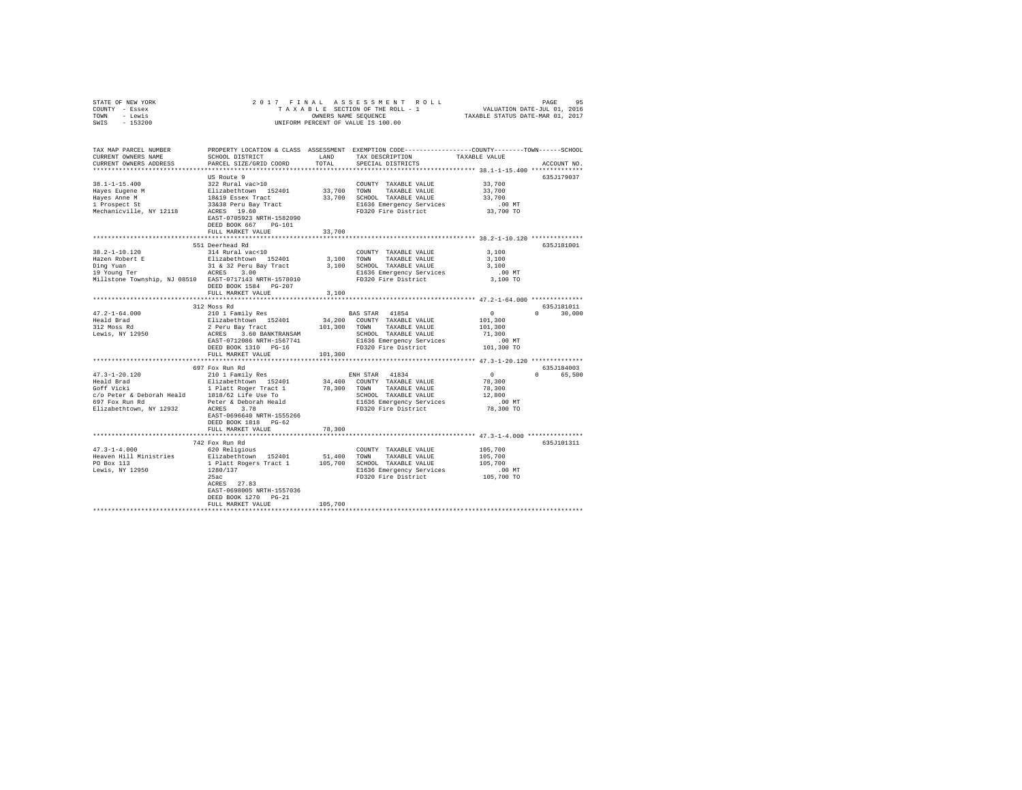| STATE OF NEW YORK                                                                                                                                                                                                                                                                                                                                                               |                                                                                                                                                                                                                                                                                                                                                                                                        |         |                                                                  |                                                          |               |
|---------------------------------------------------------------------------------------------------------------------------------------------------------------------------------------------------------------------------------------------------------------------------------------------------------------------------------------------------------------------------------|--------------------------------------------------------------------------------------------------------------------------------------------------------------------------------------------------------------------------------------------------------------------------------------------------------------------------------------------------------------------------------------------------------|---------|------------------------------------------------------------------|----------------------------------------------------------|---------------|
| COUNTY - Essex                                                                                                                                                                                                                                                                                                                                                                  |                                                                                                                                                                                                                                                                                                                                                                                                        |         |                                                                  |                                                          |               |
| TOWN - Lewis                                                                                                                                                                                                                                                                                                                                                                    | $\begin{tabular}{ccccc} 2 & 0 & 1 & 7 & F & I & N & A & S & S & E & S & S & M & E & N & T & R & O & L & L & P \end{tabular} \begin{tabular}{ccccc} PAGE & SFGTION OF THE ROLL - 1 & & & VALUATION DATE-JUL 01, 2016 \\ T A X A B E & SEGTION OF THE ROLLC & & & VALUATION DATE-JUL 01, 2017 \\ OMIFORM PERCENT OF VALUE IS 100.00 & & TAXABLE STATUS DATE-MAR 01, 2017 \\ \end{tabular}$               |         |                                                                  |                                                          |               |
| SWIS - 153200                                                                                                                                                                                                                                                                                                                                                                   |                                                                                                                                                                                                                                                                                                                                                                                                        |         |                                                                  |                                                          |               |
|                                                                                                                                                                                                                                                                                                                                                                                 |                                                                                                                                                                                                                                                                                                                                                                                                        |         |                                                                  |                                                          |               |
|                                                                                                                                                                                                                                                                                                                                                                                 |                                                                                                                                                                                                                                                                                                                                                                                                        |         |                                                                  |                                                          |               |
|                                                                                                                                                                                                                                                                                                                                                                                 |                                                                                                                                                                                                                                                                                                                                                                                                        |         |                                                                  |                                                          |               |
| TAX MAP PARCEL NUMBER PROPERTY LOCATION & CLASS ASSESSMENT EXEMPTION CODE---------------COUNTY-------TOWN-----SCHOOL                                                                                                                                                                                                                                                            |                                                                                                                                                                                                                                                                                                                                                                                                        |         |                                                                  |                                                          |               |
| CURRENT OWNERS NAME                                                                                                                                                                                                                                                                                                                                                             | SCHOOL DISTRICT LAND                                                                                                                                                                                                                                                                                                                                                                                   |         |                                                                  |                                                          |               |
|                                                                                                                                                                                                                                                                                                                                                                                 |                                                                                                                                                                                                                                                                                                                                                                                                        |         | TAX DESCRIPTION                                                  | TAXABLE VALUE                                            |               |
| CURRENT OWNERS ADDRESS                                                                                                                                                                                                                                                                                                                                                          | PARCEL SIZE/GRID COORD                                                                                                                                                                                                                                                                                                                                                                                 | TOTAL   | SPECIAL DISTRICTS                                                |                                                          | ACCOUNT NO.   |
|                                                                                                                                                                                                                                                                                                                                                                                 |                                                                                                                                                                                                                                                                                                                                                                                                        |         |                                                                  |                                                          |               |
|                                                                                                                                                                                                                                                                                                                                                                                 | US Route 9                                                                                                                                                                                                                                                                                                                                                                                             |         |                                                                  |                                                          | 635J179037    |
| $38.1 - 1 - 15.400$                                                                                                                                                                                                                                                                                                                                                             | 322 Rural vac>10                                                                                                                                                                                                                                                                                                                                                                                       |         | COUNTY TAXABLE VALUE                                             | 33,700                                                   |               |
|                                                                                                                                                                                                                                                                                                                                                                                 |                                                                                                                                                                                                                                                                                                                                                                                                        |         |                                                                  | 33,700                                                   |               |
|                                                                                                                                                                                                                                                                                                                                                                                 |                                                                                                                                                                                                                                                                                                                                                                                                        |         |                                                                  | 33,700                                                   |               |
|                                                                                                                                                                                                                                                                                                                                                                                 |                                                                                                                                                                                                                                                                                                                                                                                                        |         |                                                                  |                                                          |               |
| 38.1-1-13.400<br>Hayes Anne Mars 211zabethtown 152401 33,700 TOWN TAXABLE VALUE<br>Hayes Anne Mars 1818 Basex Tract 33,700 SCWN TAXABLE VALUE<br>Hayes Anne Mars 18819 Basex Tract 33,700 SCR DEG36 Emergency Services<br>1 Prospect S                                                                                                                                          |                                                                                                                                                                                                                                                                                                                                                                                                        |         | E1636 Emergency Services .00 MT<br>FD320 Fire District 33,700 TO |                                                          |               |
|                                                                                                                                                                                                                                                                                                                                                                                 |                                                                                                                                                                                                                                                                                                                                                                                                        |         |                                                                  |                                                          |               |
|                                                                                                                                                                                                                                                                                                                                                                                 | EAST-0705923 NRTH-1582090                                                                                                                                                                                                                                                                                                                                                                              |         |                                                                  |                                                          |               |
|                                                                                                                                                                                                                                                                                                                                                                                 | DEED BOOK 667 PG-101                                                                                                                                                                                                                                                                                                                                                                                   |         |                                                                  |                                                          |               |
|                                                                                                                                                                                                                                                                                                                                                                                 | FULL MARKET VALUE                                                                                                                                                                                                                                                                                                                                                                                      | 33,700  |                                                                  |                                                          |               |
|                                                                                                                                                                                                                                                                                                                                                                                 |                                                                                                                                                                                                                                                                                                                                                                                                        |         |                                                                  |                                                          |               |
|                                                                                                                                                                                                                                                                                                                                                                                 | 551 Deerhead Rd                                                                                                                                                                                                                                                                                                                                                                                        |         |                                                                  |                                                          | 635J181001    |
| 38.2-1-10.120                                                                                                                                                                                                                                                                                                                                                                   | 314 Rural vac<10                                                                                                                                                                                                                                                                                                                                                                                       |         | COUNTY TAXABLE VALUE 3,100                                       |                                                          |               |
| $\begin{tabular}{lcccc} \texttt{Hazen Robert E} & \texttt{E} & \texttt{E1izabethtown} & 152401 & 3,100 & \texttt{TOWN} & \texttt{TAXABLE VALUE} \\ \texttt{Ding Yun} & & & & 31 & 32 & \texttt{Peru Bay Tract} & 3,100 & \texttt{SCHODL TAXABLE VALUE} \\ \texttt{D1 Young Ter & & & & 3 \texttt{CEV} & \texttt{ACRES} & 3.00 & \texttt{SCHODL TAXABLE VALUE} \\ \end{tabular}$ |                                                                                                                                                                                                                                                                                                                                                                                                        |         |                                                                  | 3,100                                                    |               |
|                                                                                                                                                                                                                                                                                                                                                                                 |                                                                                                                                                                                                                                                                                                                                                                                                        |         |                                                                  | 3,100                                                    |               |
|                                                                                                                                                                                                                                                                                                                                                                                 |                                                                                                                                                                                                                                                                                                                                                                                                        |         |                                                                  |                                                          |               |
|                                                                                                                                                                                                                                                                                                                                                                                 |                                                                                                                                                                                                                                                                                                                                                                                                        |         |                                                                  |                                                          |               |
|                                                                                                                                                                                                                                                                                                                                                                                 |                                                                                                                                                                                                                                                                                                                                                                                                        |         |                                                                  | $3,100$ TO                                               |               |
|                                                                                                                                                                                                                                                                                                                                                                                 | DEED BOOK 1584 PG-207                                                                                                                                                                                                                                                                                                                                                                                  |         |                                                                  |                                                          |               |
|                                                                                                                                                                                                                                                                                                                                                                                 | FULL MARKET VALUE                                                                                                                                                                                                                                                                                                                                                                                      | 3,100   |                                                                  |                                                          |               |
|                                                                                                                                                                                                                                                                                                                                                                                 |                                                                                                                                                                                                                                                                                                                                                                                                        |         |                                                                  |                                                          |               |
|                                                                                                                                                                                                                                                                                                                                                                                 | 312 Moss Rd                                                                                                                                                                                                                                                                                                                                                                                            |         |                                                                  |                                                          | 635J181011    |
| $47.2 - 1 - 64.000$                                                                                                                                                                                                                                                                                                                                                             | $\begin{tabular}{l c c c c c} \hline 312&508&R4&32&808&83&87\text{AR}}&41854&\\ \hline \texttt{E1} & \texttt{Z1} & \texttt{S1} & \texttt{S2} & 101&1 & 34,200&70\text{NIT} & \texttt{TAXABLE VALUE}\\ \hline 2 & \texttt{Peru Bay Treat}&101,300&70\text{NN} & \texttt{TAXABLE VALUE} \\ \texttt{ACRES} & 3.60 & \texttt{BANTTAANSAM} & \texttt{SCHOLD} & \texttt{TXABLE VALUE} \\ \texttt{ESST}-0712$ |         |                                                                  | $\begin{smallmatrix}&&0\\&&101\,,\,300\end{smallmatrix}$ | $0 \t 30,000$ |
| Heald Brad<br>312 Moss Rd<br>Lewis, NY 12950                                                                                                                                                                                                                                                                                                                                    |                                                                                                                                                                                                                                                                                                                                                                                                        |         |                                                                  |                                                          |               |
|                                                                                                                                                                                                                                                                                                                                                                                 |                                                                                                                                                                                                                                                                                                                                                                                                        |         |                                                                  | 101,300                                                  |               |
|                                                                                                                                                                                                                                                                                                                                                                                 |                                                                                                                                                                                                                                                                                                                                                                                                        |         |                                                                  | 71,300                                                   |               |
|                                                                                                                                                                                                                                                                                                                                                                                 |                                                                                                                                                                                                                                                                                                                                                                                                        |         |                                                                  |                                                          |               |
|                                                                                                                                                                                                                                                                                                                                                                                 |                                                                                                                                                                                                                                                                                                                                                                                                        |         |                                                                  | $.00$ MT                                                 |               |
|                                                                                                                                                                                                                                                                                                                                                                                 |                                                                                                                                                                                                                                                                                                                                                                                                        |         |                                                                  | 101,300 TO                                               |               |
|                                                                                                                                                                                                                                                                                                                                                                                 | FULL MARKET VALUE                                                                                                                                                                                                                                                                                                                                                                                      | 101,300 |                                                                  |                                                          |               |
|                                                                                                                                                                                                                                                                                                                                                                                 | ********************************                                                                                                                                                                                                                                                                                                                                                                       |         |                                                                  |                                                          |               |
|                                                                                                                                                                                                                                                                                                                                                                                 | 697 Fox Run Rd                                                                                                                                                                                                                                                                                                                                                                                         |         |                                                                  | $\overline{0}$                                           | 635J184003    |
| $47.3 - 1 - 20.120$                                                                                                                                                                                                                                                                                                                                                             | 210 1 Family Res                                                                                                                                                                                                                                                                                                                                                                                       |         | ENH STAR 41834                                                   |                                                          | 0 65,500      |
|                                                                                                                                                                                                                                                                                                                                                                                 |                                                                                                                                                                                                                                                                                                                                                                                                        |         |                                                                  | 78,300                                                   |               |
|                                                                                                                                                                                                                                                                                                                                                                                 |                                                                                                                                                                                                                                                                                                                                                                                                        |         |                                                                  | 78,300                                                   |               |
|                                                                                                                                                                                                                                                                                                                                                                                 |                                                                                                                                                                                                                                                                                                                                                                                                        |         |                                                                  |                                                          |               |
|                                                                                                                                                                                                                                                                                                                                                                                 |                                                                                                                                                                                                                                                                                                                                                                                                        |         |                                                                  | 12,800                                                   |               |
|                                                                                                                                                                                                                                                                                                                                                                                 |                                                                                                                                                                                                                                                                                                                                                                                                        |         |                                                                  | 00 MT.<br>78,300 TO                                      |               |
|                                                                                                                                                                                                                                                                                                                                                                                 |                                                                                                                                                                                                                                                                                                                                                                                                        |         |                                                                  |                                                          |               |
|                                                                                                                                                                                                                                                                                                                                                                                 | EAST-0696640 NRTH-1555266                                                                                                                                                                                                                                                                                                                                                                              |         |                                                                  |                                                          |               |
|                                                                                                                                                                                                                                                                                                                                                                                 | DEED BOOK 1818 PG-62                                                                                                                                                                                                                                                                                                                                                                                   |         |                                                                  |                                                          |               |
|                                                                                                                                                                                                                                                                                                                                                                                 | FULL MARKET VALUE                                                                                                                                                                                                                                                                                                                                                                                      | 78,300  |                                                                  |                                                          |               |
|                                                                                                                                                                                                                                                                                                                                                                                 |                                                                                                                                                                                                                                                                                                                                                                                                        |         |                                                                  |                                                          |               |
|                                                                                                                                                                                                                                                                                                                                                                                 | 742 Fox Run Rd                                                                                                                                                                                                                                                                                                                                                                                         |         |                                                                  |                                                          | 635J101311    |
|                                                                                                                                                                                                                                                                                                                                                                                 |                                                                                                                                                                                                                                                                                                                                                                                                        |         |                                                                  |                                                          |               |
|                                                                                                                                                                                                                                                                                                                                                                                 |                                                                                                                                                                                                                                                                                                                                                                                                        |         |                                                                  |                                                          |               |
| 47.3-1-4.000<br>Eeaven Hill Ministries (20 Religious 152401 51,400 COUNTY TAXABLE VALUE<br>Elizabeth Communication Communication (195.700 SCHOOL TAXABLE VALUE                                                                                                                                                                                                                  |                                                                                                                                                                                                                                                                                                                                                                                                        |         |                                                                  |                                                          |               |
| PO Box 113                                                                                                                                                                                                                                                                                                                                                                      |                                                                                                                                                                                                                                                                                                                                                                                                        |         |                                                                  | 105,700<br>105,700<br>105,700                            |               |
| $PQ = Q$<br>Lewis, NY 12950                                                                                                                                                                                                                                                                                                                                                     |                                                                                                                                                                                                                                                                                                                                                                                                        |         |                                                                  |                                                          |               |
|                                                                                                                                                                                                                                                                                                                                                                                 |                                                                                                                                                                                                                                                                                                                                                                                                        |         |                                                                  |                                                          |               |
|                                                                                                                                                                                                                                                                                                                                                                                 |                                                                                                                                                                                                                                                                                                                                                                                                        |         |                                                                  |                                                          |               |
|                                                                                                                                                                                                                                                                                                                                                                                 |                                                                                                                                                                                                                                                                                                                                                                                                        |         |                                                                  |                                                          |               |
|                                                                                                                                                                                                                                                                                                                                                                                 |                                                                                                                                                                                                                                                                                                                                                                                                        |         |                                                                  |                                                          |               |
|                                                                                                                                                                                                                                                                                                                                                                                 | FULL MARKET VALUE                                                                                                                                                                                                                                                                                                                                                                                      | 105,700 |                                                                  |                                                          |               |
|                                                                                                                                                                                                                                                                                                                                                                                 |                                                                                                                                                                                                                                                                                                                                                                                                        |         |                                                                  |                                                          |               |
|                                                                                                                                                                                                                                                                                                                                                                                 |                                                                                                                                                                                                                                                                                                                                                                                                        |         |                                                                  |                                                          |               |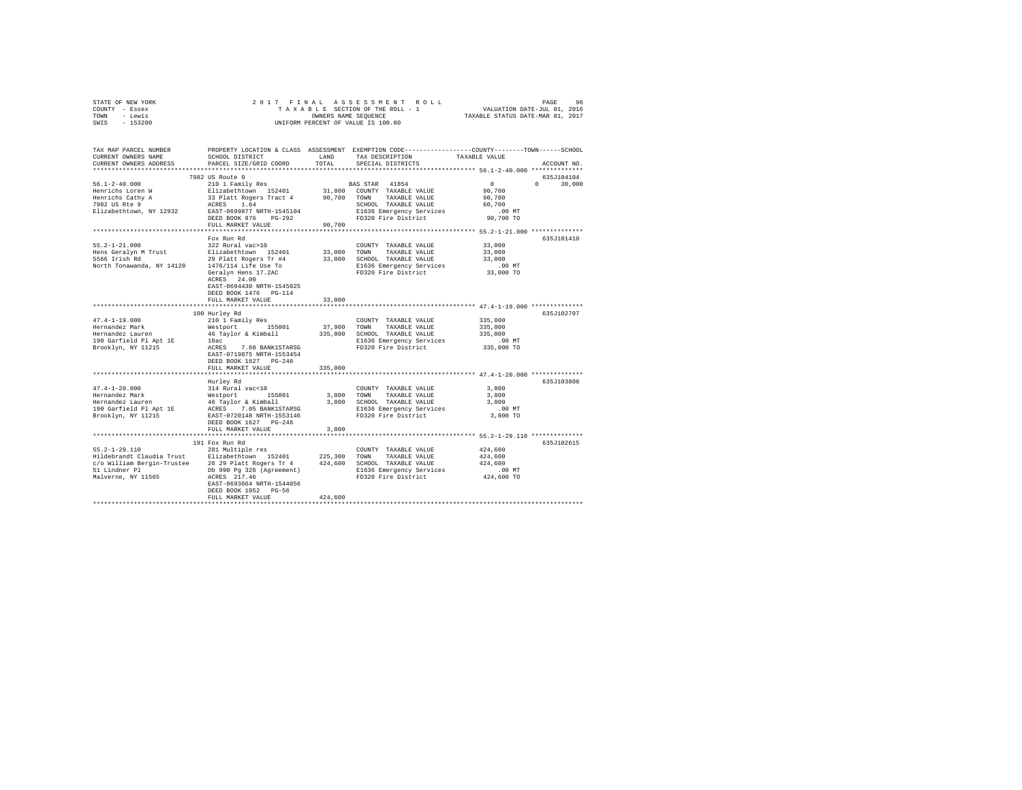|      | STATE OF NEW YORK |  |  | 2017 FINAL ASSESSMENT ROLL         | PAGE                             | 96 |
|------|-------------------|--|--|------------------------------------|----------------------------------|----|
|      | COUNTY - Essex    |  |  | TAXABLE SECTION OF THE ROLL - 1    | VALUATION DATE-JUL 01, 2016      |    |
| TOWN | - Lewis           |  |  | OWNERS NAME SEOUENCE               | TAXABLE STATUS DATE-MAR 01, 2017 |    |
| SWIS | - 153200          |  |  | UNIFORM PERCENT OF VALUE IS 100.00 |                                  |    |

| TAX MAP PARCEL NUMBER<br>CURRENT OWNERS NAME<br>CURRENT OWNERS ADDRESS                                                             | SCHOOL DISTRICT<br>PARCEL SIZE/GRID COORD                                                                                                                                                                                                                         | LAND<br>TOTAL           | PROPERTY LOCATION & CLASS ASSESSMENT EXEMPTION CODE---------------COUNTY-------TOWN-----SCHOOL<br>TAX DESCRIPTION<br>SPECIAL DISTRICTS                                                      | TAXABLE VALUE                                                                              | ACCOUNT NO.                      |
|------------------------------------------------------------------------------------------------------------------------------------|-------------------------------------------------------------------------------------------------------------------------------------------------------------------------------------------------------------------------------------------------------------------|-------------------------|---------------------------------------------------------------------------------------------------------------------------------------------------------------------------------------------|--------------------------------------------------------------------------------------------|----------------------------------|
| ***********************<br>$56.1 - 2 - 40.000$<br>Henrichs Loren W<br>Henrichs Cathy A<br>7982 US Rte 9<br>Elizabethtown, NY 12932 | 7982 US Route 9<br>210 1 Family Res<br>Elizabethtown 152401<br>33 Platt Rogers Tract 4<br>1.64<br>ACRES<br>EAST-0699877 NRTH-1545104<br>DEED BOOK 876 PG-292<br>FULL MARKET VALUE                                                                                 | 90.700 TOWN<br>90.700   | BAS STAR 41854<br>31,800 COUNTY TAXABLE VALUE<br>TAXABLE VALUE<br>SCHOOL TAXABLE VALUE<br>E1636 Emergency Services<br>FD320 Fire District                                                   | 0<br>90,700<br>90,700<br>60,700<br>$.00$ MT<br>90,700 TO                                   | 635J104104<br>$\Omega$<br>30,000 |
| $55.2 - 1 - 21.000$<br>Hens Geralyn M Trust<br>5566 Irish Rd<br>North Tonawanda, NY 14120                                          | Fox Run Rd<br>322 Rural vac>10<br>Elizabethtown 152401<br>29 Platt Rogers Tr #4<br>1476/114 Life Use To<br>Geralyn Hens 17.2AC<br>ACRES 24.00<br>EAST-0694430 NRTH-1545025<br>DEED BOOK 1476   PG-114<br>FULL MARKET VALUE                                        | 33,000<br>33,000        | COUNTY TAXABLE VALUE<br>TOWN TAXABLE VALUE<br>33,000 SCHOOL TAXABLE VALUE<br>E1636 Emergency Services<br>FD320 Fire District                                                                | 33,000<br>33,000<br>33,000<br>.00 MT<br>33,000 TO                                          | 635J101410                       |
| $47.4 - 1 - 19.000$<br>Hernandez Mark<br>Hernandez Lauren<br>190 Garfield Pl Apt 1E<br>Brooklyn, NY 11215                          | *************************<br>100 Hurley Rd<br>210 1 Family Res<br>Westport 155001<br>46 Taylor & Kimball<br>10ac<br>ACRES 7.60 BANK1STARSG<br>EAST-0719875 NRTH-1553454<br>DEED BOOK 1627 PG-246<br>FULL MARKET VALUE                                             | 37,900<br>335,000       | ***************************** 47.4-1-19.000 **************<br>COUNTY TAXABLE VALUE<br>TOWN TAXABLE VALUE<br>335,000 SCHOOL TAXABLE VALUE<br>E1636 Emergency Services<br>FD320 Fire District | 335,000<br>335,000<br>335,000<br>$.00$ MT<br>335,000 TO                                    | 635J102707                       |
| $47.4 - 1 - 20.000$<br>Hernandez Mark<br>Hernandez Lauren<br>190 Garfield Pl Apt 1E<br>Brooklyn, NY 11215                          | Hurley Rd<br>314 Rural vac<10<br>Westport 155001<br>46 Taylor & Kimball<br>ACRES 7.05 BANK1STARSG<br>EAST-0720148 NRTH-1553146<br>DEED BOOK 1627 PG-246<br>FULL MARKET VALUE                                                                                      | 3,800                   | COUNTY TAXABLE VALUE<br>3,800 TOWN TAXABLE VALUE<br>3,800 SCHOOL TAXABLE VALUE<br>E1636 Emergency Services<br>FD320 Fire District                                                           | 3,800<br>3,800<br>3,800<br>$.00$ MT<br>3,800 TO<br>************ 55.2-1-29.110 ************ | 635J103808                       |
| $55.2 - 1 - 29.110$<br>51 Lindner Pl<br>Malverne, NY 11565                                                                         | 191 Fox Run Rd<br>281 Multiple res<br>Hildebrandt Claudia Trust Elizabethtown 152401<br>c/o William Bergin-Trustee 26 29 Platt Rogers Tr 4<br>Db 990 Pg 326 (Agreement)<br>ACRES 217.46<br>EAST-0693664 NRTH-1544056<br>DEED BOOK 1052 PG-56<br>FULL MARKET VALUE | 225,300 TOWN<br>424,600 | COUNTY TAXABLE VALUE<br>TAXABLE VALUE<br>424,600 SCHOOL TAXABLE VALUE<br>E1636 Emergency Services<br>FD320 Fire District                                                                    | 424,600<br>424,600<br>424,600<br>$.00$ MT<br>424,600 TO                                    | 635J102615                       |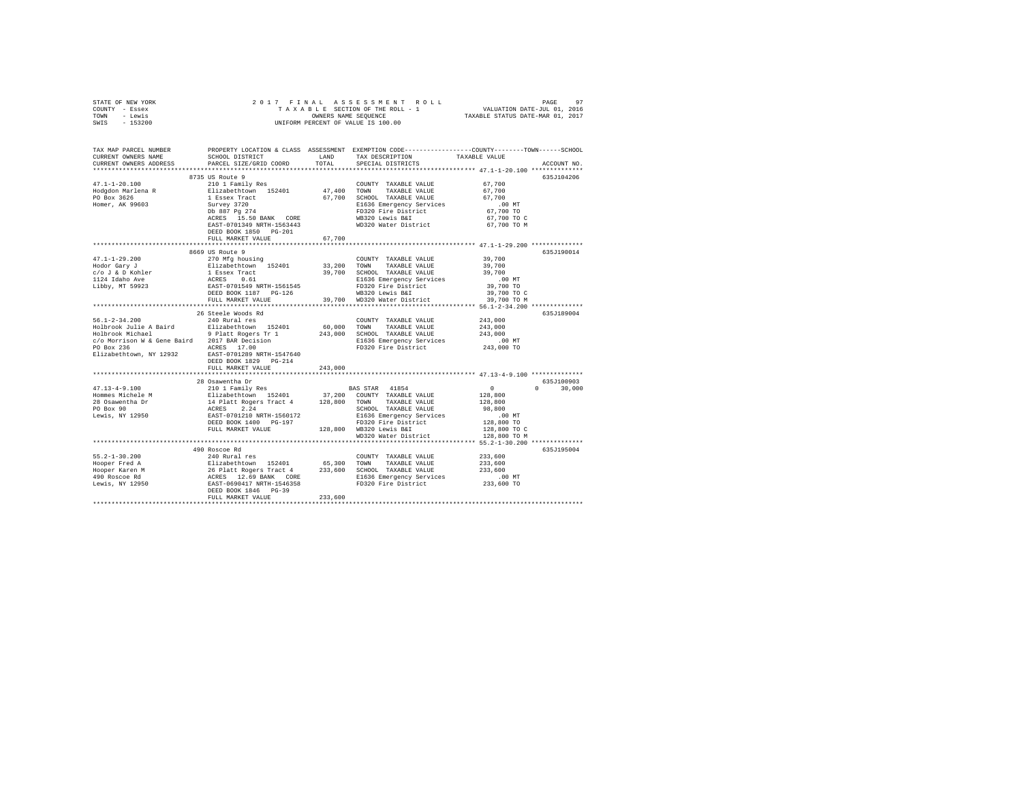| STATE OF NEW YORK                                                                                                                                                                                                                                                                                                                                                                                                                                        |                                                                                                                                                                                                                                                |        |                                                                                                                                       |                      |               |
|----------------------------------------------------------------------------------------------------------------------------------------------------------------------------------------------------------------------------------------------------------------------------------------------------------------------------------------------------------------------------------------------------------------------------------------------------------|------------------------------------------------------------------------------------------------------------------------------------------------------------------------------------------------------------------------------------------------|--------|---------------------------------------------------------------------------------------------------------------------------------------|----------------------|---------------|
| COUNTY - Essex                                                                                                                                                                                                                                                                                                                                                                                                                                           |                                                                                                                                                                                                                                                |        |                                                                                                                                       |                      |               |
| TOWN - Lewis                                                                                                                                                                                                                                                                                                                                                                                                                                             |                                                                                                                                                                                                                                                |        |                                                                                                                                       |                      |               |
| SWIS - 153200                                                                                                                                                                                                                                                                                                                                                                                                                                            |                                                                                                                                                                                                                                                |        |                                                                                                                                       |                      |               |
|                                                                                                                                                                                                                                                                                                                                                                                                                                                          |                                                                                                                                                                                                                                                |        |                                                                                                                                       |                      |               |
|                                                                                                                                                                                                                                                                                                                                                                                                                                                          |                                                                                                                                                                                                                                                |        |                                                                                                                                       |                      |               |
| TAX MAP PARCEL NUMBER PROPERTY LOCATION & CLASS ASSESSMENT EXEMPTION CODE---------------COUNTY-------TOWN------SCHOOL                                                                                                                                                                                                                                                                                                                                    |                                                                                                                                                                                                                                                |        |                                                                                                                                       |                      |               |
| CURRENT OWNERS NAME                                                                                                                                                                                                                                                                                                                                                                                                                                      | SCHOOL DISTRICT LAND TAX DESCRIPTION                                                                                                                                                                                                           |        |                                                                                                                                       | TAXABLE VALUE        |               |
| CURRENT OWNERS ADDRESS                                                                                                                                                                                                                                                                                                                                                                                                                                   | PARCEL SIZE/GRID COORD                                                                                                                                                                                                                         | TOTAL  | SPECIAL DISTRICTS                                                                                                                     |                      | ACCOUNT NO.   |
|                                                                                                                                                                                                                                                                                                                                                                                                                                                          |                                                                                                                                                                                                                                                |        |                                                                                                                                       |                      |               |
|                                                                                                                                                                                                                                                                                                                                                                                                                                                          | 8735 US Route 9                                                                                                                                                                                                                                |        |                                                                                                                                       |                      | 635J104206    |
|                                                                                                                                                                                                                                                                                                                                                                                                                                                          |                                                                                                                                                                                                                                                |        | COUNTY TAXABLE VALUE 67,700                                                                                                           |                      |               |
|                                                                                                                                                                                                                                                                                                                                                                                                                                                          |                                                                                                                                                                                                                                                |        |                                                                                                                                       | 67,700               |               |
| $\begin{tabular}{lllllllllll} \multicolumn{1}{c}{47.1-1-20.100} & \multicolumn{1}{c}{0.15-0.50} & \multicolumn{1}{c}{210} & \multicolumn{1}{c}{1 Fami1y Res} \\ \multicolumn{1}{c}{\text{Hodgeon Marlena R}} & \multicolumn{1}{c}{210} & \multicolumn{1}{c}{1 Fami1y Res} \\ \multicolumn{1}{c}{\text{Fodgeon Marlena R}} & \multicolumn{1}{c}{E1izabethtown} & \multicolumn{1}{c}{152401} \\ \multicolumn{1}{c}{\text{PO Box 3626}} & \multicolumn{1}{$ |                                                                                                                                                                                                                                                |        |                                                                                                                                       | 67,700               |               |
|                                                                                                                                                                                                                                                                                                                                                                                                                                                          |                                                                                                                                                                                                                                                |        |                                                                                                                                       |                      |               |
| Homer, AK 99603                                                                                                                                                                                                                                                                                                                                                                                                                                          |                                                                                                                                                                                                                                                |        |                                                                                                                                       | 00 MT.<br>67,700 TO  |               |
|                                                                                                                                                                                                                                                                                                                                                                                                                                                          | Elizabeth<br>Cowny TAXABLE VALUE 1<br>Elizabeth<br>Cown 152401 47,400 TOWN TAXABLE VALUE<br>1 Essex Tract 67,700 SCHOOL TAXABLE VALUE<br>SUVEY 3720 PLOS 1635 Emergency Services<br>2016 PD320 Eire District<br>2CRES 15.50 BANK CORE WB320 Le |        |                                                                                                                                       | 67,700 TO C          |               |
|                                                                                                                                                                                                                                                                                                                                                                                                                                                          | EAST-0701349 NRTH-1563443                                                                                                                                                                                                                      |        | WD320 Water District 67,700 TO M                                                                                                      |                      |               |
|                                                                                                                                                                                                                                                                                                                                                                                                                                                          | DEED BOOK 1850 PG-201                                                                                                                                                                                                                          |        |                                                                                                                                       |                      |               |
|                                                                                                                                                                                                                                                                                                                                                                                                                                                          | FULL MARKET VALUE                                                                                                                                                                                                                              | 67,700 |                                                                                                                                       |                      |               |
|                                                                                                                                                                                                                                                                                                                                                                                                                                                          |                                                                                                                                                                                                                                                |        |                                                                                                                                       |                      |               |
|                                                                                                                                                                                                                                                                                                                                                                                                                                                          | 8669 US Route 9                                                                                                                                                                                                                                |        |                                                                                                                                       |                      | 635J190014    |
|                                                                                                                                                                                                                                                                                                                                                                                                                                                          | 270 Mfg housing                                                                                                                                                                                                                                |        |                                                                                                                                       |                      |               |
| 47.1-1-29.200<br>Hodor Gary J                                                                                                                                                                                                                                                                                                                                                                                                                            |                                                                                                                                                                                                                                                |        | COUNTY TAXABLE VALUE 39,700                                                                                                           |                      |               |
|                                                                                                                                                                                                                                                                                                                                                                                                                                                          |                                                                                                                                                                                                                                                |        |                                                                                                                                       |                      |               |
|                                                                                                                                                                                                                                                                                                                                                                                                                                                          |                                                                                                                                                                                                                                                |        |                                                                                                                                       |                      |               |
|                                                                                                                                                                                                                                                                                                                                                                                                                                                          |                                                                                                                                                                                                                                                |        |                                                                                                                                       |                      |               |
|                                                                                                                                                                                                                                                                                                                                                                                                                                                          |                                                                                                                                                                                                                                                |        |                                                                                                                                       |                      |               |
|                                                                                                                                                                                                                                                                                                                                                                                                                                                          |                                                                                                                                                                                                                                                |        |                                                                                                                                       |                      |               |
|                                                                                                                                                                                                                                                                                                                                                                                                                                                          |                                                                                                                                                                                                                                                |        |                                                                                                                                       |                      |               |
|                                                                                                                                                                                                                                                                                                                                                                                                                                                          |                                                                                                                                                                                                                                                |        |                                                                                                                                       |                      |               |
|                                                                                                                                                                                                                                                                                                                                                                                                                                                          | 26 Steele Woods Rd<br>240 Rural res                                                                                                                                                                                                            |        |                                                                                                                                       |                      | 635J189004    |
| $56.1 - 2 - 34.200$                                                                                                                                                                                                                                                                                                                                                                                                                                      |                                                                                                                                                                                                                                                |        | $\begin{tabular}{lllllll} \multicolumn{2}{c}{\textbf{COUNTY}} & \textbf{TAXABLE} & \textbf{VALUE} & & \textbf{243,000} \end{tabular}$ |                      |               |
|                                                                                                                                                                                                                                                                                                                                                                                                                                                          |                                                                                                                                                                                                                                                |        |                                                                                                                                       |                      |               |
|                                                                                                                                                                                                                                                                                                                                                                                                                                                          |                                                                                                                                                                                                                                                |        |                                                                                                                                       |                      |               |
|                                                                                                                                                                                                                                                                                                                                                                                                                                                          |                                                                                                                                                                                                                                                |        |                                                                                                                                       |                      |               |
|                                                                                                                                                                                                                                                                                                                                                                                                                                                          |                                                                                                                                                                                                                                                |        |                                                                                                                                       |                      |               |
| Elizabethtown, NY 12932                                                                                                                                                                                                                                                                                                                                                                                                                                  | EAST-0701289 NRTH-1547640                                                                                                                                                                                                                      |        |                                                                                                                                       |                      |               |
|                                                                                                                                                                                                                                                                                                                                                                                                                                                          | DEED BOOK 1829 PG-214                                                                                                                                                                                                                          |        |                                                                                                                                       |                      |               |
|                                                                                                                                                                                                                                                                                                                                                                                                                                                          | FULL MARKET VALUE 243,000                                                                                                                                                                                                                      |        |                                                                                                                                       |                      |               |
|                                                                                                                                                                                                                                                                                                                                                                                                                                                          |                                                                                                                                                                                                                                                |        |                                                                                                                                       |                      |               |
|                                                                                                                                                                                                                                                                                                                                                                                                                                                          |                                                                                                                                                                                                                                                |        |                                                                                                                                       |                      | 635J100903    |
|                                                                                                                                                                                                                                                                                                                                                                                                                                                          |                                                                                                                                                                                                                                                |        |                                                                                                                                       |                      | $0 \t 30,000$ |
|                                                                                                                                                                                                                                                                                                                                                                                                                                                          |                                                                                                                                                                                                                                                |        |                                                                                                                                       |                      |               |
|                                                                                                                                                                                                                                                                                                                                                                                                                                                          |                                                                                                                                                                                                                                                |        |                                                                                                                                       |                      |               |
|                                                                                                                                                                                                                                                                                                                                                                                                                                                          |                                                                                                                                                                                                                                                |        |                                                                                                                                       |                      |               |
|                                                                                                                                                                                                                                                                                                                                                                                                                                                          |                                                                                                                                                                                                                                                |        |                                                                                                                                       |                      |               |
|                                                                                                                                                                                                                                                                                                                                                                                                                                                          |                                                                                                                                                                                                                                                |        |                                                                                                                                       |                      |               |
|                                                                                                                                                                                                                                                                                                                                                                                                                                                          |                                                                                                                                                                                                                                                |        |                                                                                                                                       |                      |               |
|                                                                                                                                                                                                                                                                                                                                                                                                                                                          |                                                                                                                                                                                                                                                |        |                                                                                                                                       |                      |               |
|                                                                                                                                                                                                                                                                                                                                                                                                                                                          |                                                                                                                                                                                                                                                |        |                                                                                                                                       |                      |               |
| $\begin{tabular}{l c c c c c} \multicolumn{4}{c}{\textbf{1.13}-4-9.100}} & \multicolumn{4}{c}{28\text{ Osa}} & \multicolumn{4}{c}{28\text{ Osa}} & \multicolumn{4}{c}{28\text{ Osa}} & \multicolumn{4}{c}{28\text{ Osa}} & \multicolumn{4}{c}{28\text{ Osa}} & \multicolumn{4}{c}{28\text{ Osa}} & \multicolumn{4}{c}{28\text{ Osa}} & \multicolumn{4}{c}{28\text{ Osa}} & \multicolumn{4}{c}{28\text{ Osa}} & \multicolumn{4}{c}{28\text$               |                                                                                                                                                                                                                                                |        |                                                                                                                                       |                      | 635J195004    |
|                                                                                                                                                                                                                                                                                                                                                                                                                                                          |                                                                                                                                                                                                                                                |        | COUNTY TAXABLE VALUE 233,600                                                                                                          |                      |               |
|                                                                                                                                                                                                                                                                                                                                                                                                                                                          |                                                                                                                                                                                                                                                |        |                                                                                                                                       | 233,600              |               |
|                                                                                                                                                                                                                                                                                                                                                                                                                                                          |                                                                                                                                                                                                                                                |        |                                                                                                                                       | 233,600              |               |
|                                                                                                                                                                                                                                                                                                                                                                                                                                                          |                                                                                                                                                                                                                                                |        |                                                                                                                                       |                      |               |
|                                                                                                                                                                                                                                                                                                                                                                                                                                                          |                                                                                                                                                                                                                                                |        |                                                                                                                                       | 00 MT.<br>233,600 TO |               |
|                                                                                                                                                                                                                                                                                                                                                                                                                                                          |                                                                                                                                                                                                                                                |        |                                                                                                                                       |                      |               |
|                                                                                                                                                                                                                                                                                                                                                                                                                                                          |                                                                                                                                                                                                                                                |        |                                                                                                                                       |                      |               |
|                                                                                                                                                                                                                                                                                                                                                                                                                                                          |                                                                                                                                                                                                                                                |        |                                                                                                                                       |                      |               |
|                                                                                                                                                                                                                                                                                                                                                                                                                                                          |                                                                                                                                                                                                                                                |        |                                                                                                                                       |                      |               |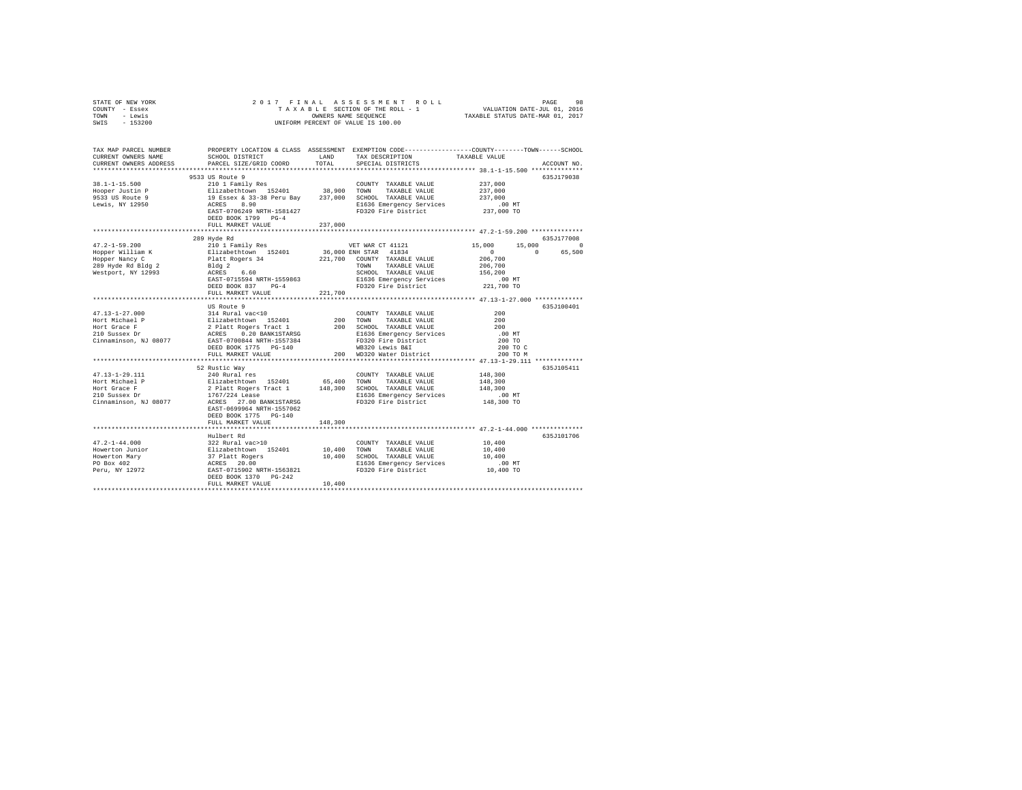| STATE OF NEW YORK<br>COUNTY - Essex<br>TOWN - Lewis                                                                   |                                                                                                                                                                                                                                         |         |                                                                   |                      |                        |
|-----------------------------------------------------------------------------------------------------------------------|-----------------------------------------------------------------------------------------------------------------------------------------------------------------------------------------------------------------------------------------|---------|-------------------------------------------------------------------|----------------------|------------------------|
| SWIS - 153200                                                                                                         |                                                                                                                                                                                                                                         |         |                                                                   |                      |                        |
| TAX MAP PARCEL NUMBER PROPERTY LOCATION & CLASS ASSESSMENT EXEMPTION CODE---------------COUNTY-------TOWN------SCHOOL |                                                                                                                                                                                                                                         |         |                                                                   |                      |                        |
| CURRENT OWNERS NAME                                                                                                   | SCHOOL DISTRICT LAND                                                                                                                                                                                                                    |         | TAX DESCRIPTION                                                   | TAXABLE VALUE        |                        |
| CURRENT OWNERS ADDRESS                                                                                                | PARCEL SIZE/GRID COORD                                                                                                                                                                                                                  | TOTAL   | SPECIAL DISTRICTS                                                 |                      | ACCOUNT NO.            |
|                                                                                                                       | 9533 US Route 9                                                                                                                                                                                                                         |         |                                                                   |                      | 635J179038             |
| $38.1 - 1 - 15.500$                                                                                                   | 210 1 Family Res                                                                                                                                                                                                                        |         | COUNTY TAXABLE VALUE                                              | 237,000              |                        |
|                                                                                                                       |                                                                                                                                                                                                                                         |         |                                                                   |                      |                        |
| Hooper Justin P<br>9533 US Route 9                                                                                    |                                                                                                                                                                                                                                         |         |                                                                   | 237,000<br>237,000   |                        |
| Lewis, NY 12950                                                                                                       | 210 - Family Res = 83401 = 8840 = 2008 = 2008 = 2008 = 2012 = 211 = 212 = 213 = 213 = 213 = 213 = 213 = 213 = 2<br>237,000 = 2387 = 237,000 = 237,000 = 215 = 215 = 216 = 216 = 216 = 216 = 216 = 216 = 216 = 216 = 216 = 216 = 2       |         |                                                                   |                      |                        |
|                                                                                                                       | EAST-0706249 NRTH-1581427<br>DEED BOOK 1799 PG-4                                                                                                                                                                                        |         | E1636 Emergency Services .00 MT<br>FD320 Fire District 237,000 TO |                      |                        |
|                                                                                                                       | FULL MARKET VALUE                                                                                                                                                                                                                       | 237,000 |                                                                   |                      |                        |
|                                                                                                                       |                                                                                                                                                                                                                                         |         |                                                                   |                      |                        |
| $47.2 - 1 - 59.200$                                                                                                   | 289 Hyde Rd                                                                                                                                                                                                                             |         | VET WAR CT 41121                                                  | 15,000               | 635J177008<br>15,000 0 |
|                                                                                                                       |                                                                                                                                                                                                                                         |         |                                                                   | $\sim$ 0             | 0 65,500               |
|                                                                                                                       |                                                                                                                                                                                                                                         |         |                                                                   |                      |                        |
| Hopper William K<br>Hopper Nancy C<br>289 Hyde Rd Bldg 2                                                              |                                                                                                                                                                                                                                         |         |                                                                   | 206,700<br>206,700   |                        |
| Westport, NY 12993                                                                                                    |                                                                                                                                                                                                                                         |         | SCHOOL TAXABLE VALUE                                              | 156,200              |                        |
|                                                                                                                       |                                                                                                                                                                                                                                         |         |                                                                   |                      |                        |
|                                                                                                                       |                                                                                                                                                                                                                                         |         |                                                                   | 00 MT.<br>221,700 TO |                        |
|                                                                                                                       | FULL MARKET VALUE                                                                                                                                                                                                                       | 221,700 |                                                                   |                      |                        |
|                                                                                                                       |                                                                                                                                                                                                                                         |         |                                                                   |                      |                        |
|                                                                                                                       | US Route 9                                                                                                                                                                                                                              |         |                                                                   |                      | 635J100401             |
|                                                                                                                       |                                                                                                                                                                                                                                         |         | COUNTY TAXABLE VALUE                                              | 200<br>200           |                        |
|                                                                                                                       |                                                                                                                                                                                                                                         |         |                                                                   | 200                  |                        |
|                                                                                                                       |                                                                                                                                                                                                                                         |         |                                                                   | .00MT                |                        |
|                                                                                                                       |                                                                                                                                                                                                                                         |         |                                                                   | 200 TO               |                        |
|                                                                                                                       | DEED BOOK 1775 PG-140                                                                                                                                                                                                                   |         |                                                                   |                      |                        |
|                                                                                                                       | FULL MARKET VALUE                                                                                                                                                                                                                       |         | WB320 Lewis B&I 200 TO C<br>200 WD320 Water District 200 TO M     |                      |                        |
|                                                                                                                       |                                                                                                                                                                                                                                         |         |                                                                   |                      |                        |
|                                                                                                                       | 52 Rustic Way                                                                                                                                                                                                                           |         |                                                                   |                      | 635J105411             |
| 47.13-1-29.111                                                                                                        |                                                                                                                                                                                                                                         |         |                                                                   | 148,300              |                        |
| Hort Michael P                                                                                                        |                                                                                                                                                                                                                                         |         |                                                                   | 148,300              |                        |
| Hort Grace F<br>Hort Grace F<br>210 Sussex Dr                                                                         |                                                                                                                                                                                                                                         |         |                                                                   | 148,300<br>.00MT     |                        |
| Cinnaminson, NJ 08077                                                                                                 | 24 Australines (COUNTY TAXABLE VALUE 211<br>240 Rural Pessiman (1940) 1940 100 100 124 AUUE 212 Australine VALUE 216<br>21 Platt Rogers Tract 1 148,300 SCHOOL TAXABLE VALUE<br>1767/224 Lease 27.00 BANK1STAR5G 2136 E1636 Energency S |         |                                                                   | 148,300 TO           |                        |
|                                                                                                                       | EAST-0699964 NRTH-1557062                                                                                                                                                                                                               |         |                                                                   |                      |                        |
|                                                                                                                       | DEED BOOK 1775 PG-140                                                                                                                                                                                                                   |         |                                                                   |                      |                        |
|                                                                                                                       | FULL MARKET VALUE                                                                                                                                                                                                                       | 148,300 |                                                                   |                      |                        |
|                                                                                                                       |                                                                                                                                                                                                                                         |         |                                                                   |                      |                        |
|                                                                                                                       | Hulbert Rd                                                                                                                                                                                                                              |         |                                                                   |                      | 635J101706             |
| $47.2 - 1 - 44.000$                                                                                                   | 322 Rural vac>10                                                                                                                                                                                                                        |         | COUNTY TAXABLE VALUE                                              | 10,400               |                        |
|                                                                                                                       |                                                                                                                                                                                                                                         |         |                                                                   | 10,400               |                        |
|                                                                                                                       |                                                                                                                                                                                                                                         |         |                                                                   | 10,400               |                        |
|                                                                                                                       |                                                                                                                                                                                                                                         |         | E1636 Emergency Services<br>FD320 Fire District                   | 00 MT.<br>10,400 TO  |                        |
|                                                                                                                       | DEED BOOK 1370 PG-242                                                                                                                                                                                                                   |         |                                                                   |                      |                        |
|                                                                                                                       | FULL MARKET VALUE                                                                                                                                                                                                                       | 10,400  |                                                                   |                      |                        |
|                                                                                                                       |                                                                                                                                                                                                                                         |         |                                                                   |                      |                        |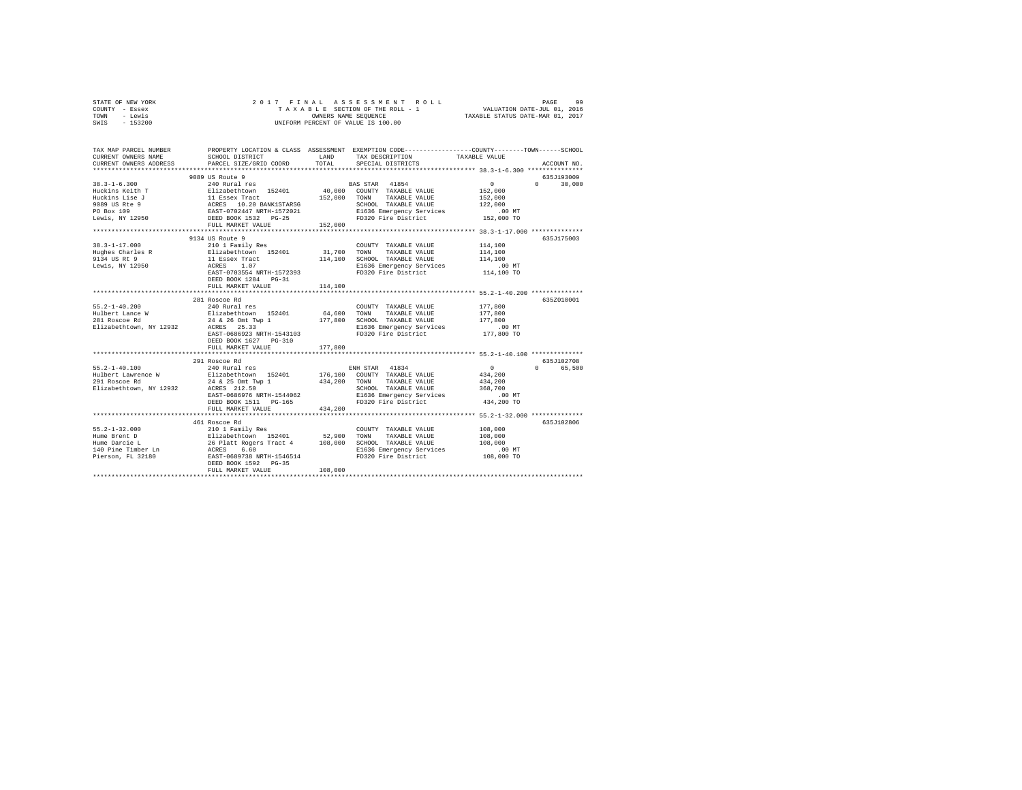| STATE OF NEW YORK | 2017 FINAL ASSESSMENT ROLL         | 99<br>PAGE                       |
|-------------------|------------------------------------|----------------------------------|
| COUNTY - Essex    | TAXABLE SECTION OF THE ROLL - 1    | VALUATION DATE-JUL 01, 2016      |
| TOWN<br>- Lewis   | OWNERS NAME SEOUENCE               | TAXABLE STATUS DATE-MAR 01, 2017 |
| $-153200$<br>SWIS | UNIFORM PERCENT OF VALUE IS 100.00 |                                  |

| TAX MAP PARCEL NUMBER<br>CURRENT OWNERS NAME<br>CURRENT OWNERS ADDRESS                              | SCHOOL DISTRICT<br>LAND<br>PARCEL SIZE/GRID COORD                                                                                                                                                                                                                                                                                                                                                                                                                                                          | TOTAL   | PROPERTY LOCATION & CLASS ASSESSMENT EXEMPTION CODE----------------COUNTY-------TOWN-----SCHOOL<br>TAX DESCRIPTION<br>SPECIAL DISTRICTS      | TAXABLE VALUE                               | ACCOUNT NO.                  |
|-----------------------------------------------------------------------------------------------------|------------------------------------------------------------------------------------------------------------------------------------------------------------------------------------------------------------------------------------------------------------------------------------------------------------------------------------------------------------------------------------------------------------------------------------------------------------------------------------------------------------|---------|----------------------------------------------------------------------------------------------------------------------------------------------|---------------------------------------------|------------------------------|
| *************************                                                                           |                                                                                                                                                                                                                                                                                                                                                                                                                                                                                                            |         |                                                                                                                                              |                                             |                              |
|                                                                                                     | 9089 US Route 9                                                                                                                                                                                                                                                                                                                                                                                                                                                                                            |         |                                                                                                                                              |                                             | 635.T193009<br>$0 \t 30,000$ |
|                                                                                                     | FULL MARKET VALUE                                                                                                                                                                                                                                                                                                                                                                                                                                                                                          | 152,000 |                                                                                                                                              | 00 MT.<br>152,000 TO                        |                              |
|                                                                                                     |                                                                                                                                                                                                                                                                                                                                                                                                                                                                                                            |         |                                                                                                                                              |                                             |                              |
| Lewis, NY 12950                                                                                     | 9134 US Route 9<br>ACRES 1.07<br>EAST-0703554 NRTH-1572393<br>DEED BOOK 1284 PG-31<br>FULL MARKET VALUE                                                                                                                                                                                                                                                                                                                                                                                                    | 114,100 | COUNTY TAXABLE VALUE 114,100<br>31,700 TOWN TAXABLE VALUE<br>114,100 SCHOOL TAXABLE VALUE<br>E1636 Emergency Services<br>FD320 Fire District | 114,100<br>114,100<br>.00 MT.<br>114,100 TO | 635J175003                   |
|                                                                                                     |                                                                                                                                                                                                                                                                                                                                                                                                                                                                                                            |         |                                                                                                                                              |                                             |                              |
| $55.2 - 1 - 40.200$<br>Hulbert Lance W<br>$\mathcal{N}$<br>281 Roscoe Rd<br>Elizabethtown, NY 12932 | 281 Roscoe Rd<br>$\begin{tabular}{lcccc} 240 \text{ Rural res} & & \text{COUNTY TAXABLE VALUE} & 177,800 \\ \text{E1izablethown} & 152401 & 64,600 & \text{TONYY TAXABLE VALUE} & 177,800 \\ 24 & \text{Le 5 Omt Type 1} & 177,800 & \text{SCHODL TAXABLE VALUE} & 177,800 \\ \text{ACRES} & 25.33 & 17.800 & \text{E1636 Energy} & 17.800 \\ \text{ACRES} & 25.33 & 16.36 & \text{Energy Services} & 1.00 MT \\ \end{tabular}$<br>EAST-0686923 NRTH-1543103<br>DEED BOOK 1627 PG-310<br>FULL MARKET VALUE |         | COUNTY TAXABLE VALUE<br>FD320 Fire District 177.800 TO                                                                                       | 177,800                                     | 635Z010001                   |
|                                                                                                     |                                                                                                                                                                                                                                                                                                                                                                                                                                                                                                            | 177,800 |                                                                                                                                              |                                             |                              |
| $55.2 - 1 - 40.100$<br>Elizabethtown, NY 12932 ACRES 212.50                                         | 291 Roscoe Rd<br>240 Rural res<br>991 - 1992 - 1992 - 1994 - 1994 - 1994 - 1994 - 1994 - 1994 - 1994 - 1994 - 1994 - 1994 - 1994 - 1994 - 1994 -<br>1994 - 1994 - 1994 - 1994 - 1994 - 1994 - 1994 - 1994 - 1994 - 1994 - 1994 - 1994 - 1994 - 1994 - 1994 - 1994<br>1<br>EAST-0686976 NRTH-1544062<br>DEED ROOK 1511 -- -<br>DEED BOOK 1511 $PG-165$                                                                                                                                                      |         | ENH STAR 41834<br>SCHOOL TAXABLE VALUE 368,700<br>E1636 Emergency Services .00 MT<br>FD320 Fire District  434,200 TO                         | $\sim$ 0                                    | 635-102708<br>0 65,500       |
|                                                                                                     | FULL MARKET VALUE                                                                                                                                                                                                                                                                                                                                                                                                                                                                                          | 434,200 |                                                                                                                                              |                                             |                              |
|                                                                                                     | 461 Roscoe Rd                                                                                                                                                                                                                                                                                                                                                                                                                                                                                              |         | COUNTY TAXABLE VALUE                                                                                                                         | 108,000                                     | 635J102806                   |
|                                                                                                     | DEED BOOK 1592 PG-35<br>FULL MARKET VALUE                                                                                                                                                                                                                                                                                                                                                                                                                                                                  | 108,000 | FD320 Fire District                                                                                                                          | 108,000<br>108,000                          |                              |
|                                                                                                     |                                                                                                                                                                                                                                                                                                                                                                                                                                                                                                            |         |                                                                                                                                              |                                             |                              |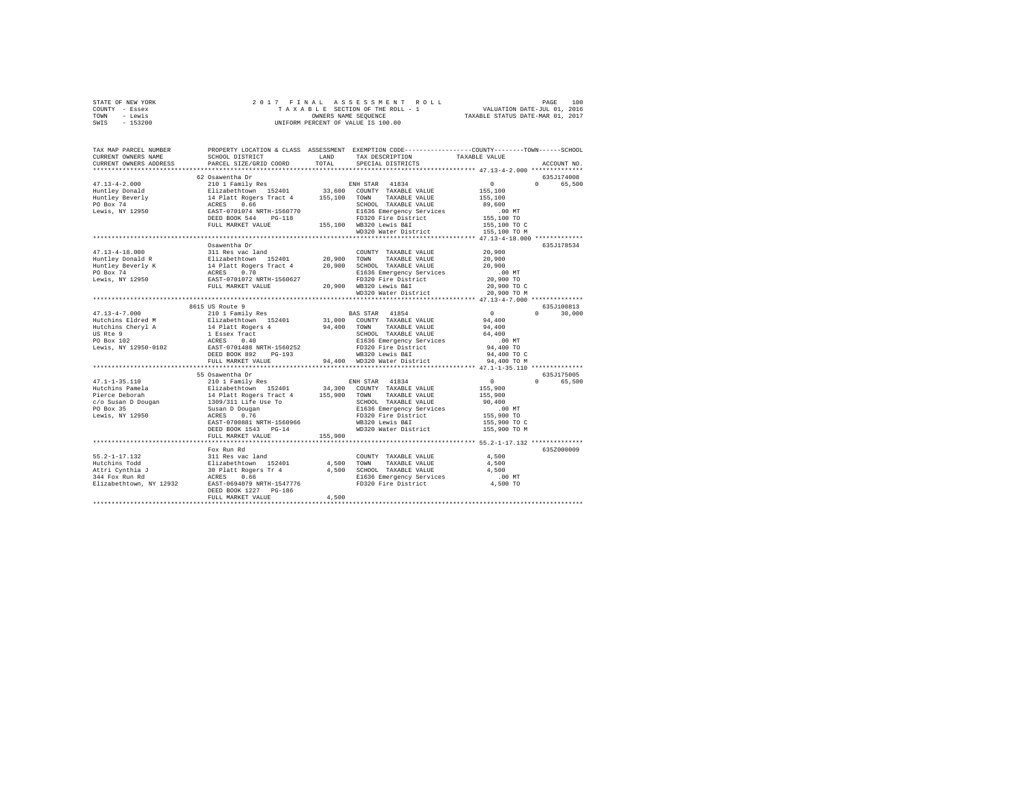| STATE OF NEW YORK | 2017 FINAL ASSESSMENT ROLL         | 100<br>PAGE                      |
|-------------------|------------------------------------|----------------------------------|
| - Essex<br>COUNTY | TAXABLE SECTION OF THE ROLL - 1    | VALUATION DATE-JUL 01, 2016      |
| - Lewis<br>TOWN   | OWNERS NAME SEOUENCE               | TAXABLE STATUS DATE-MAR 01, 2017 |
| $-153200$<br>SWIS | UNIFORM PERCENT OF VALUE IS 100.00 |                                  |

| PROPERTY LOCATION & CLASS ASSESSMENT EXEMPTION CODE----------------COUNTY-------TOWN------SCHOOL<br>TAX MAP PARCEL NUMBER<br>SCHOOL DISTRICT<br>TAXABLE VALUE<br>CURRENT OWNERS NAME<br>LAND<br>TAX DESCRIPTION                                    |                                            |
|----------------------------------------------------------------------------------------------------------------------------------------------------------------------------------------------------------------------------------------------------|--------------------------------------------|
| TOTAL<br>CURRENT OWNERS ADDRESS<br>PARCEL SIZE/GRID COORD<br>SPECIAL DISTRICTS                                                                                                                                                                     | ACCOUNT NO.                                |
|                                                                                                                                                                                                                                                    |                                            |
|                                                                                                                                                                                                                                                    | 635J174008                                 |
| $47.13 - 4 - 2.000$                                                                                                                                                                                                                                | $\sim$ 0<br>0 <sup>1</sup><br>65,500       |
|                                                                                                                                                                                                                                                    | 155,100                                    |
| Huntley Donald                                                                                                                                                                                                                                     |                                            |
| Huntley Beverly                                                                                                                                                                                                                                    | 155,100<br>89,600                          |
| SCHOOL TAXABLE VALUE                                                                                                                                                                                                                               |                                            |
| PO Box 74<br>Lewis, NY 12950<br>E1636 Emergency Services                                                                                                                                                                                           | $.00$ MT                                   |
| FD320 Fire District<br>I55,100 WB320 Lewis B&I                                                                                                                                                                                                     |                                            |
| FULL MARKET VALUE                                                                                                                                                                                                                                  | 155,100 TO<br>155,100 TO C<br>155,100 TO M |
| WD320 Water District                                                                                                                                                                                                                               |                                            |
|                                                                                                                                                                                                                                                    |                                            |
| Osawentha Dr                                                                                                                                                                                                                                       | 635J178534                                 |
| $47.13 - 4 - 18.000$<br>311 Res vac land<br>COUNTY TAXABLE VALUE                                                                                                                                                                                   | 20,900                                     |
| Huntley Donald R<br>TAXABLE VALUE                                                                                                                                                                                                                  | 20,900                                     |
| 311 Res Vac Land 152401 20,900 TOWN<br>14 Platt Rogers Tract 4 20,900 TOWN<br>ACRES 0.70 REGIST<br>REST-OTO1072 RETH-1560627<br>FULL MARKET VALUE 20,900 WB320<br>20,900 SCHOOL TAXABLE VALUE<br>Huntley Beverly K<br>PO Box 74<br>Lewis, NY 12950 | 20,900                                     |
| E1636 Emergency Services                                                                                                                                                                                                                           | $.00$ MT                                   |
| FD320 Fire District                                                                                                                                                                                                                                | 20,900 TO                                  |
| FULL MARKET VALUE<br>20,900 WB320 Lewis B&I<br>WD320 Water District                                                                                                                                                                                | 20,900 TO C                                |
|                                                                                                                                                                                                                                                    | 20,900 TO M                                |
|                                                                                                                                                                                                                                                    |                                            |
| 8615 US Route 9                                                                                                                                                                                                                                    | 635J100813                                 |
| 210 1 Family Res<br>$47.13 - 4 - 7.000$<br>BAS STAR 41854                                                                                                                                                                                          | $0$<br>94,400<br>94,400<br>$0 \t 30,000$   |
| 210 1 caully Res<br>Elizabethtown 152401<br>14 Platt Rogers 4<br>1 Essex Tract<br>ACRES 0.40<br>EAST-0701488 NRTH-1560252<br>31,000 COUNTY TAXABLE VALUE<br>94,400 TOWN TAXABLE VALUE<br>Hutchins Eldred M<br>Hutchins Cheryl A                    |                                            |
|                                                                                                                                                                                                                                                    |                                            |
| US Rte 9<br>SCHOOL TAXABLE VALUE                                                                                                                                                                                                                   | 64,400                                     |
| PO Box 102<br>E1636 Emergency Services                                                                                                                                                                                                             | $.00$ MT                                   |
| FD320 Fire District<br>Lewis, NY 12950-0102                                                                                                                                                                                                        | 94,400 TO                                  |
| DEED BOOK 892<br>PG-193                                                                                                                                                                                                                            | 94,400 TO C                                |
| WB320 Lewis B&I<br>94,400 WD320 Water District<br>FULL MARKET VALUE                                                                                                                                                                                | 94,400 TO M                                |
|                                                                                                                                                                                                                                                    |                                            |
| 55 Osawentha Dr                                                                                                                                                                                                                                    | 635J175005                                 |
| 210 1 Family Res<br>$47.1 - 1 - 35.110$<br>ENH STAR 41834                                                                                                                                                                                          | $\sim$ 0<br>0 65,500                       |
|                                                                                                                                                                                                                                                    | 155,900                                    |
|                                                                                                                                                                                                                                                    | 155,900                                    |
|                                                                                                                                                                                                                                                    | 90,400                                     |
| E1636 Emergency Services                                                                                                                                                                                                                           | $.00$ MT                                   |
| FD320 Fire District                                                                                                                                                                                                                                | 155,900 TO                                 |
| WB320 Lewis B&I<br>EAST-0700881 NRTH-1560966                                                                                                                                                                                                       | 155,900 TO C                               |
| DEED BOOK 1543 PG-14<br>WD320 Water District                                                                                                                                                                                                       | 155,900 TO M                               |
| 155,900<br>FULL MARKET VALUE                                                                                                                                                                                                                       |                                            |
|                                                                                                                                                                                                                                                    |                                            |
| Fox Run Rd                                                                                                                                                                                                                                         | 635Z000009                                 |
|                                                                                                                                                                                                                                                    | 4,500                                      |
|                                                                                                                                                                                                                                                    | 4,500                                      |
|                                                                                                                                                                                                                                                    | 4,500                                      |
|                                                                                                                                                                                                                                                    | .00 MT                                     |
|                                                                                                                                                                                                                                                    | 4,500 TO                                   |
| DEED BOOK 1227 PG-186                                                                                                                                                                                                                              |                                            |
| 4,500<br>FULL MARKET VALUE                                                                                                                                                                                                                         |                                            |
|                                                                                                                                                                                                                                                    |                                            |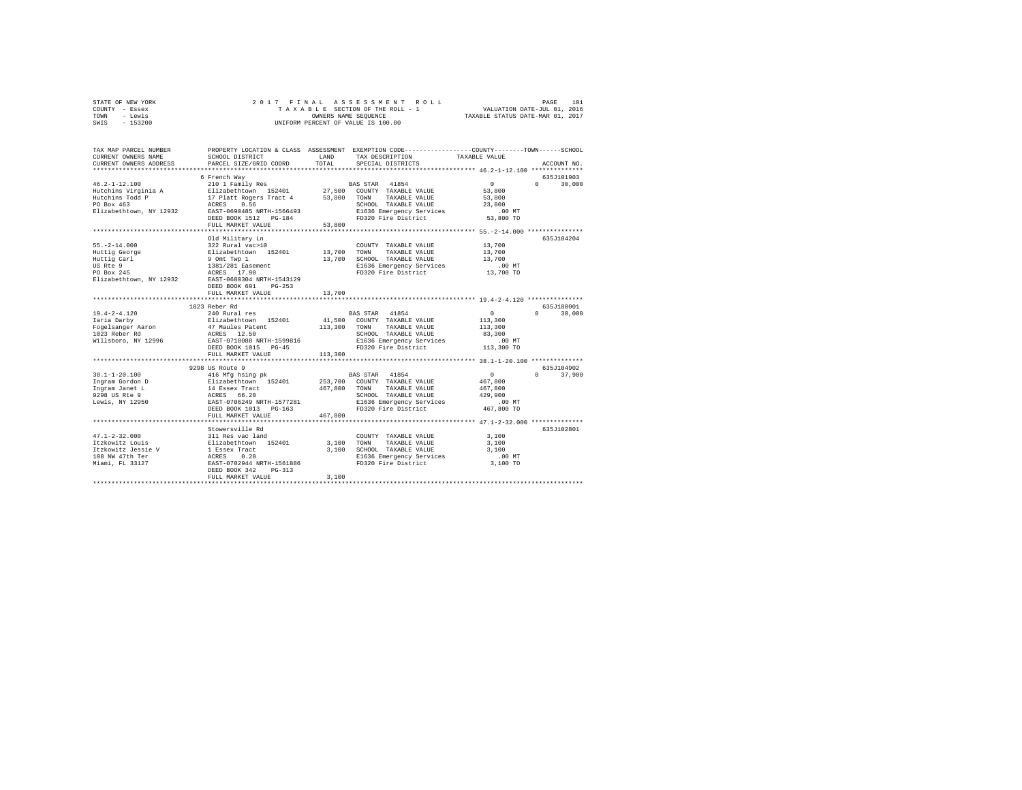| STATE OF NEW YORK | 2017 FINAL ASSESSMENT ROLL         | 101<br>PAGE                      |
|-------------------|------------------------------------|----------------------------------|
| COUNTY - Essex    | TAXABLE SECTION OF THE ROLL - 1    | VALUATION DATE-JUL 01, 2016      |
| TOWN<br>- Lewis   | OWNERS NAME SEOUENCE               | TAXABLE STATUS DATE-MAR 01, 2017 |
| $-153200$<br>SWIS | UNIFORM PERCENT OF VALUE IS 100.00 |                                  |

| TAX MAP PARCEL NUMBER<br>CURRENT OWNERS NAME<br>CURRENT OWNERS ADDRESS                                                                                                                              | SCHOOL DISTRICT<br>PARCEL SIZE/GRID COORD                                        | LAND<br>TOTAL | PROPERTY LOCATION & CLASS ASSESSMENT EXEMPTION CODE---------------COUNTY-------TOWN-----SCHOOL<br>TAX DESCRIPTION<br>SPECIAL DISTRICTS | TAXABLE VALUE                                | ACCOUNT NO.            |
|-----------------------------------------------------------------------------------------------------------------------------------------------------------------------------------------------------|----------------------------------------------------------------------------------|---------------|----------------------------------------------------------------------------------------------------------------------------------------|----------------------------------------------|------------------------|
|                                                                                                                                                                                                     |                                                                                  |               |                                                                                                                                        |                                              |                        |
|                                                                                                                                                                                                     | 6 French Way                                                                     |               |                                                                                                                                        |                                              | 635J101903             |
| $46.2 - 1 - 12.100$                                                                                                                                                                                 | 210 1 Family Res BAS STAR 41854                                                  |               |                                                                                                                                        | $\sim$ 0                                     | $0 \t 30.000$          |
| Hutchins Virginia A Blizabethtown 152401 27,500 COUNTY TAXABLE VALUE<br>Hutchins Todd P 17 Platt Rogers Tract 4 53,800 TOWN TAXABLE VALUE                                                           |                                                                                  |               |                                                                                                                                        | 53,800                                       |                        |
|                                                                                                                                                                                                     |                                                                                  |               |                                                                                                                                        | 53,800                                       |                        |
| PO Box 463                                                                                                                                                                                          | ACRES 0.56<br>EAST-0690485 NRTH-1566493                                          |               | SCHOOL TAXABLE VALUE                                                                                                                   | 23,800                                       |                        |
| Elizabethtown, NY 12932                                                                                                                                                                             |                                                                                  |               | E1636 Emergency Services                                                                                                               | .00 MT                                       |                        |
|                                                                                                                                                                                                     | DEED BOOK 1512 PG-184                                                            |               | FD320 Fire District 53,800 TO                                                                                                          |                                              |                        |
|                                                                                                                                                                                                     | FULL MARKET VALUE                                                                | 53,800        |                                                                                                                                        |                                              |                        |
|                                                                                                                                                                                                     | Old Military Ln                                                                  |               |                                                                                                                                        |                                              | 635.T104204            |
| $55. -2 - 14.000$                                                                                                                                                                                   | 322 Rural vac>10                                                                 |               | COUNTY TAXABLE VALUE                                                                                                                   | 13,700                                       |                        |
| Huttig George                                                                                                                                                                                       | Elizabethtown 152401 13,700 TOWN                                                 |               | TAXABLE VALUE                                                                                                                          | 13,700                                       |                        |
| Huttig Carl                                                                                                                                                                                         |                                                                                  |               | 13,700 SCHOOL TAXABLE VALUE                                                                                                            | 13,700                                       |                        |
| US Rte 9                                                                                                                                                                                            | 9 Omt Twp 1<br>1381/281 Easement                                                 |               | E1636 Emergency Services                                                                                                               | .00 MT                                       |                        |
| PO Box 245                                                                                                                                                                                          | ACRES 17.90                                                                      |               | FD320 Fire District 13,700 TO                                                                                                          |                                              |                        |
| Elizabethtown, NY 12932                                                                                                                                                                             | EAST-0680304 NRTH-1543129                                                        |               |                                                                                                                                        |                                              |                        |
|                                                                                                                                                                                                     | DEED BOOK 691<br>$PG-253$                                                        |               |                                                                                                                                        |                                              |                        |
|                                                                                                                                                                                                     | FULL MARKET VALUE                                                                | 13,700        |                                                                                                                                        |                                              |                        |
|                                                                                                                                                                                                     |                                                                                  |               |                                                                                                                                        |                                              |                        |
|                                                                                                                                                                                                     | 1023 Reber Rd                                                                    |               |                                                                                                                                        |                                              | 635J180001             |
| $19.4 - 2 - 4.120$                                                                                                                                                                                  | 240 Rural res                                                                    |               | BAS STAR 41854                                                                                                                         | $\sim$ 0                                     | $\mathbf{0}$<br>30,000 |
|                                                                                                                                                                                                     | Elizabethtown 152401                                                             |               | 41,500 COUNTY TAXABLE VALUE                                                                                                            | 113,300                                      |                        |
| Isia I Alian<br>Taria Darby<br>Fogelsanger Aaron<br>1023 Reber Rd                                                                                                                                   | 17 Maules Patent<br>ACRES 12.50<br>EAST-0718088 NRTH-1599816                     |               | 113,300 TOWN TAXABLE VALUE<br>SCHOOL TAXABLE VALUE                                                                                     | 113,300<br>83,300                            |                        |
| Willsboro, NY 12996                                                                                                                                                                                 |                                                                                  |               | E1636 Emergency Services                                                                                                               | $.00$ MT                                     |                        |
|                                                                                                                                                                                                     | DEED BOOK 1015 PG-45                                                             |               | FD320 Fire District                                                                                                                    | 113,300 TO                                   |                        |
|                                                                                                                                                                                                     | FULL MARKET VALUE                                                                | 113,300       |                                                                                                                                        |                                              |                        |
|                                                                                                                                                                                                     | **********************************                                               |               |                                                                                                                                        |                                              |                        |
|                                                                                                                                                                                                     | 9298 US Route 9                                                                  |               |                                                                                                                                        |                                              | 635J104902             |
| $38.1 - 1 - 20.100$                                                                                                                                                                                 | 416 Mfg hsing pk                                                                 |               | BAS STAR 41854                                                                                                                         | $\sim$ 0                                     | $\Omega$<br>37,900     |
|                                                                                                                                                                                                     |                                                                                  |               | 253,700 COUNTY TAXABLE VALUE                                                                                                           | 467,800                                      |                        |
|                                                                                                                                                                                                     |                                                                                  | 467,800       | TOWN<br>TAXABLE VALUE                                                                                                                  | 467,800                                      |                        |
| $\begin{tabular}{lcl} Ingram Gordon D & & & \texttt{Elizabethtown} & 152401 \\ Ingram Janet L & & & 14 Bases \texttt{Tact} \\ 9298 \texttt{ US RE} & 9 & & \texttt{ACRES} & 66.20 \\ \end{tabular}$ |                                                                                  |               | SCHOOL TAXABLE VALUE                                                                                                                   | 429,900                                      |                        |
| Lewis, NY 12950                                                                                                                                                                                     | EAST-0706249 NRTH-1577281                                                        |               | E1636 Emergency Services                                                                                                               | .00 MT                                       |                        |
|                                                                                                                                                                                                     | DEED BOOK 1013 PG-163                                                            |               | FD320 Fire District                                                                                                                    | 467,800 TO                                   |                        |
|                                                                                                                                                                                                     | FULL MARKET VALUE                                                                | 467,800       |                                                                                                                                        |                                              |                        |
|                                                                                                                                                                                                     |                                                                                  |               |                                                                                                                                        | *************** 47.1-2-32.000 ************** |                        |
| $47.1 - 2 - 32.000$                                                                                                                                                                                 | Stowersville Rd                                                                  |               |                                                                                                                                        |                                              | 635J102801             |
| Itzkowitz Louis                                                                                                                                                                                     | 311 Res vac land                                                                 | 3,100         | COUNTY TAXABLE VALUE<br>TOWN<br>TAXABLE VALUE                                                                                          | 3,100<br>3,100                               |                        |
| Itzkowitz Jessie V                                                                                                                                                                                  |                                                                                  | 3,100         | SCHOOL TAXABLE VALUE                                                                                                                   | 3,100                                        |                        |
| 108 NW 47th Ter                                                                                                                                                                                     |                                                                                  |               | E1636 Emergency Services                                                                                                               | $.00$ MT                                     |                        |
| Miami, FL 33127                                                                                                                                                                                     | Flizabethtown 152401<br>1 Essex Tract<br>ACRES 0.20<br>EAST-0702944 NRTH-1561886 |               | FD320 Fire District                                                                                                                    | 3,100 TO                                     |                        |
|                                                                                                                                                                                                     | DEED BOOK 342<br>$PG-313$                                                        |               |                                                                                                                                        |                                              |                        |
|                                                                                                                                                                                                     | FULL MARKET VALUE                                                                | 3,100         |                                                                                                                                        |                                              |                        |
|                                                                                                                                                                                                     |                                                                                  |               |                                                                                                                                        |                                              |                        |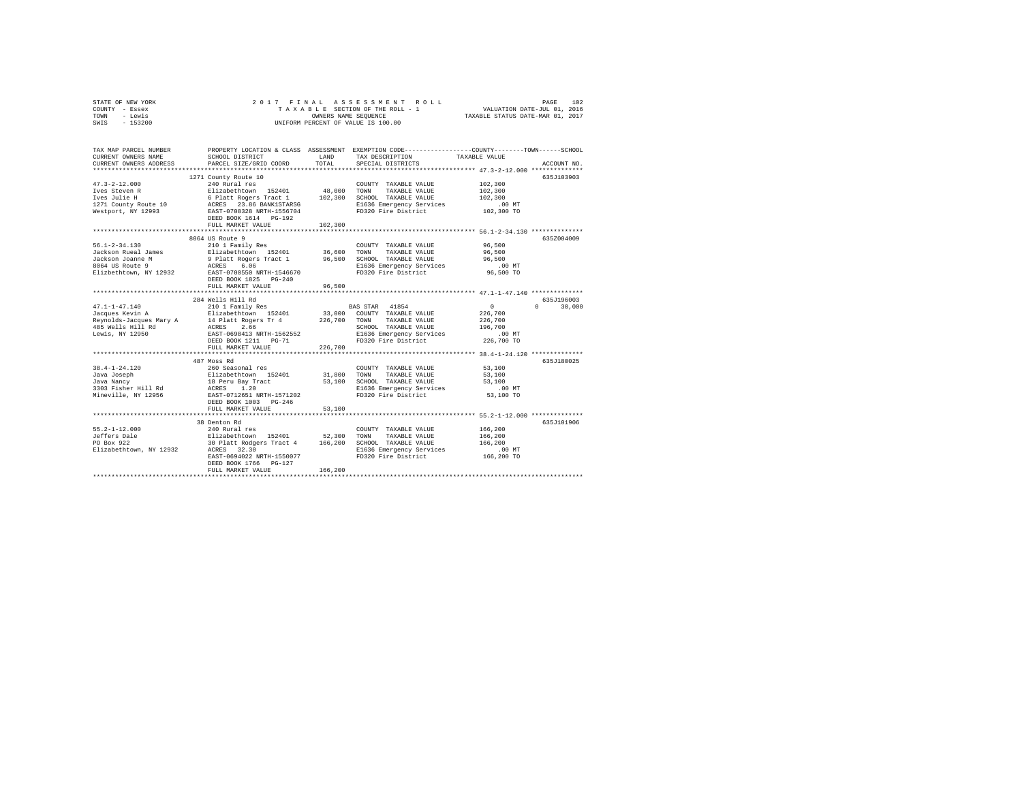| STATE OF NEW YORK<br>COUNTY - Essex<br>TOWN<br>- Lewis<br>$-153200$<br>SWIS | 2017 FINAL                                                                                              |               | OWNERS NAME SEQUENCE<br>UNIFORM PERCENT OF VALUE IS 100.00                                                                                                                                                      |                                                                                                                                |  |
|-----------------------------------------------------------------------------|---------------------------------------------------------------------------------------------------------|---------------|-----------------------------------------------------------------------------------------------------------------------------------------------------------------------------------------------------------------|--------------------------------------------------------------------------------------------------------------------------------|--|
| TAX MAP PARCEL NUMBER<br>CURRENT OWNERS NAME<br>CURRENT OWNERS ADDRESS      | SCHOOL DISTRICT<br>PARCEL SIZE/GRID COORD                                                               | LAND<br>TOTAL | TAX DESCRIPTION<br>SPECIAL DISTRICTS                                                                                                                                                                            | PROPERTY LOCATION & CLASS ASSESSMENT EXEMPTION CODE---------------COUNTY-------TOWN-----SCHOOL<br>TAXABLE VALUE<br>ACCOUNT NO. |  |
|                                                                             | 1271 County Route 10                                                                                    |               |                                                                                                                                                                                                                 | 635J103903                                                                                                                     |  |
| $47.3 - 2 - 12.000$                                                         | 240 Rural res                                                                                           |               | COUNTY TAXABLE VALUE                                                                                                                                                                                            | 102,300                                                                                                                        |  |
| Ives Steven R                                                               |                                                                                                         |               |                                                                                                                                                                                                                 | 102,300                                                                                                                        |  |
| Ives Julie H                                                                |                                                                                                         |               |                                                                                                                                                                                                                 | 102,300                                                                                                                        |  |
| 1271 County Route 10                                                        |                                                                                                         |               | E1636 Emergency Services                                                                                                                                                                                        | .00 MT                                                                                                                         |  |
| Westport, NY 12993                                                          |                                                                                                         |               | Elizabethtown 152401 48,000 TOWN TAXABLE VALUE<br>6 Platt Rogers Tract 1 102,300 SCHOOL TAXABLE VALUE<br>ACRES 23.66 BANKISTARSG 1636 E1636 Energency Services<br>EAST-0708328 NRTH-1556704 FD320 Fire District | 102,300 TO                                                                                                                     |  |
|                                                                             | DEED BOOK 1614 PG-192                                                                                   |               |                                                                                                                                                                                                                 |                                                                                                                                |  |
|                                                                             | FULL MARKET VALUE                                                                                       | 102,300       |                                                                                                                                                                                                                 |                                                                                                                                |  |
|                                                                             | 8064 US Route 9                                                                                         |               |                                                                                                                                                                                                                 | 635Z004009                                                                                                                     |  |
| $56.1 - 2 - 34.130$                                                         | 210 1 Family Res                                                                                        |               | COUNTY TAXABLE VALUE                                                                                                                                                                                            | 96.500                                                                                                                         |  |
| Jackson Rueal James                                                         | Elizabethtown 152401                                                                                    | 36,600 TOWN   | TAXABLE VALUE                                                                                                                                                                                                   | 96,500                                                                                                                         |  |
|                                                                             |                                                                                                         |               | 9 Platt Rogers Tract 1 96,500 SCHOOL TAXABLE VALUE                                                                                                                                                              | 96,500                                                                                                                         |  |
| Jackson Joanne M<br>8064 US Route 9                                         | ACRES 6.06                                                                                              |               | E1636 Emergency Services                                                                                                                                                                                        | $.00$ MT                                                                                                                       |  |
| Elizbethtown, NY 12932                                                      | EAST-0700550 NRTH-1546670                                                                               |               | FD320 Fire District                                                                                                                                                                                             | 96,500 TO                                                                                                                      |  |
|                                                                             | DEED BOOK 1825 PG-240                                                                                   |               |                                                                                                                                                                                                                 |                                                                                                                                |  |
|                                                                             | FULL MARKET VALUE                                                                                       | 96,500        |                                                                                                                                                                                                                 |                                                                                                                                |  |
|                                                                             |                                                                                                         |               |                                                                                                                                                                                                                 |                                                                                                                                |  |
| $47.1 - 1 - 47.140$                                                         | 284 Wells Hill Rd<br>84 Wells Hill Rd<br>210 1 Family Res                                               |               | BAS STAR 41854                                                                                                                                                                                                  | 635J196003<br>$\sim$ 0<br>$0 \t 30.000$                                                                                        |  |
|                                                                             |                                                                                                         |               |                                                                                                                                                                                                                 | 226,700                                                                                                                        |  |
|                                                                             |                                                                                                         |               |                                                                                                                                                                                                                 | 226,700                                                                                                                        |  |
|                                                                             | ACRES 2.66                                                                                              |               | SCHOOL TAXABLE VALUE                                                                                                                                                                                            | 196,700                                                                                                                        |  |
| 485 Wells Hill Rd<br>Lewis, NY 12950                                        | EAST-0698413 NRTH-1562552                                                                               |               |                                                                                                                                                                                                                 | $.00$ MT                                                                                                                       |  |
|                                                                             | DEED BOOK 1211 PG-71                                                                                    |               | E1636 Emergency Services<br>FD320 Fire District                                                                                                                                                                 | 226,700 TO                                                                                                                     |  |
|                                                                             | FULL MARKET VALUE                                                                                       | 226,700       |                                                                                                                                                                                                                 |                                                                                                                                |  |
|                                                                             |                                                                                                         |               |                                                                                                                                                                                                                 |                                                                                                                                |  |
|                                                                             | 487 Moss Rd                                                                                             |               |                                                                                                                                                                                                                 | 635J180025                                                                                                                     |  |
| 38.4-1-24.120                                                               | 260 Seasonal res                                                                                        |               | COUNTY TAXABLE VALUE                                                                                                                                                                                            | 53,100                                                                                                                         |  |
| Java Joseph<br>Java Nancy                                                   | Elizabethtown 152401<br>18 Peru Bay Tract                                                               |               | 31,800 TOWN TAXABLE VALUE<br>53,100 SCHOOL TAXABLE VALUE                                                                                                                                                        | 53,100<br>53,100                                                                                                               |  |
| 3303 Fisher Hill Rd                                                         | ACRES 1.20                                                                                              |               |                                                                                                                                                                                                                 | $.00$ MT                                                                                                                       |  |
| Mineville, NY 12956                                                         | EAST-0712651 NRTH-1571202                                                                               |               |                                                                                                                                                                                                                 | 53,100 TO                                                                                                                      |  |
|                                                                             | DEED BOOK 1003 PG-246                                                                                   |               | E1636 Emeryency --                                                                                                                                                                                              |                                                                                                                                |  |
|                                                                             | FULL MARKET VALUE                                                                                       | 53,100        |                                                                                                                                                                                                                 |                                                                                                                                |  |
|                                                                             |                                                                                                         |               |                                                                                                                                                                                                                 |                                                                                                                                |  |
|                                                                             | 38 Denton Rd                                                                                            |               |                                                                                                                                                                                                                 | 635J101906                                                                                                                     |  |
| $55.2 - 1 - 12.000$                                                         | 240 Rural res                                                                                           |               | COUNTY TAXABLE VALUE                                                                                                                                                                                            | 166,200                                                                                                                        |  |
| Jeffers Dale<br>PO Box 922                                                  | Elizabethtown 152401 52,300 TOWN TAXABLE VALUE<br>30 Platt Rodgers Tract 4 166,200 SCHOOL TAXABLE VALUE |               |                                                                                                                                                                                                                 | 166,200                                                                                                                        |  |
| Elizabethtown, NY 12932                                                     | ACRES 32.30                                                                                             |               | E1636 Emergency Services                                                                                                                                                                                        | 166,200<br>.00 MT                                                                                                              |  |
|                                                                             | EAST-0694022 NRTH-1550077                                                                               |               | FD320 Fire District                                                                                                                                                                                             | 166,200 TO                                                                                                                     |  |
|                                                                             | DEED BOOK 1766 PG-127                                                                                   |               |                                                                                                                                                                                                                 |                                                                                                                                |  |
|                                                                             | FULL MARKET VALUE                                                                                       | 166,200       |                                                                                                                                                                                                                 |                                                                                                                                |  |
|                                                                             |                                                                                                         |               |                                                                                                                                                                                                                 |                                                                                                                                |  |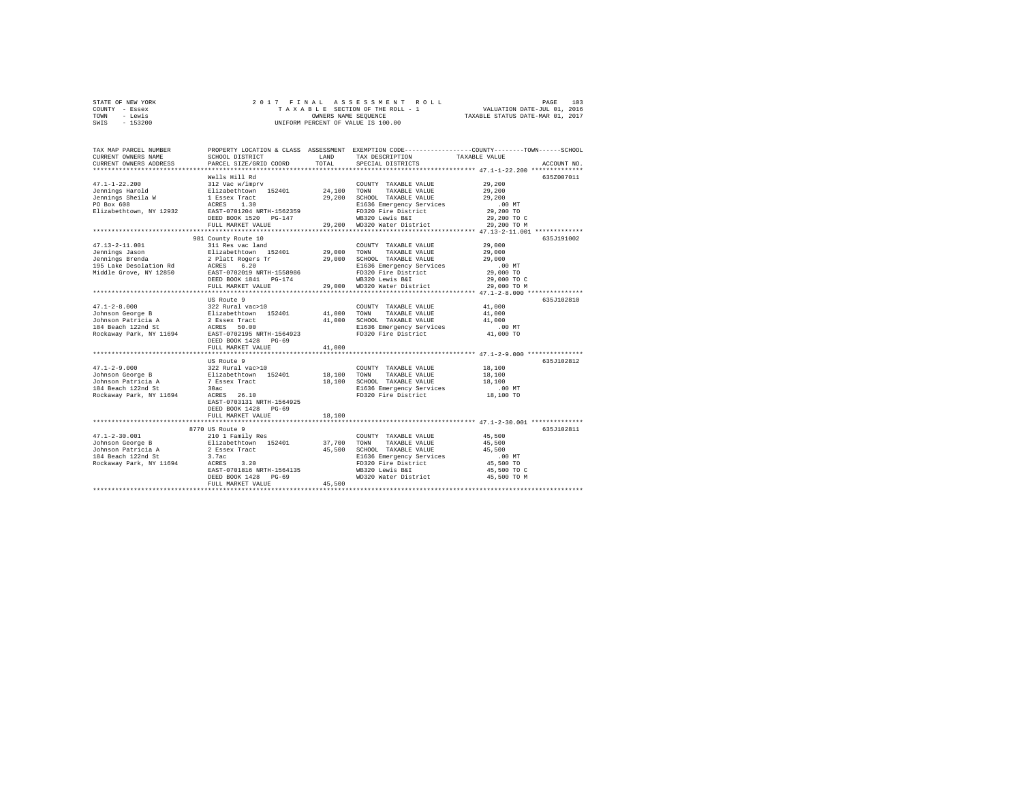| STATE OF NEW YORK | 2017 FINAL ASSESSMENT ROLL         | 103<br>PAGE                      |
|-------------------|------------------------------------|----------------------------------|
| COUNTY - Essex    | TAXABLE SECTION OF THE ROLL - 1    | VALUATION DATE-JUL 01, 2016      |
| TOWN<br>- Lewis   | OWNERS NAME SEOUENCE               | TAXABLE STATUS DATE-MAR 01, 2017 |
| $-153200$<br>SWIS | UNIFORM PERCENT OF VALUE IS 100.00 |                                  |

| TAX MAP PARCEL NUMBER<br>CURRENT OWNERS NAME<br>CURRENT OWNERS ADDRESS                                                                                                                                          | SCHOOL DISTRICT<br>PARCEL SIZE/GRID COORD                 | LAND<br>TOTAL. | TAX DESCRIPTION<br>SPECIAL DISTRICTS            | PROPERTY LOCATION & CLASS ASSESSMENT EXEMPTION CODE----------------COUNTY-------TOWN-----SCHOOL<br>TAXABLE VALUE<br>ACCOUNT NO. |  |
|-----------------------------------------------------------------------------------------------------------------------------------------------------------------------------------------------------------------|-----------------------------------------------------------|----------------|-------------------------------------------------|---------------------------------------------------------------------------------------------------------------------------------|--|
|                                                                                                                                                                                                                 |                                                           |                |                                                 |                                                                                                                                 |  |
|                                                                                                                                                                                                                 | Wells Hill Rd                                             |                |                                                 | 635Z007011                                                                                                                      |  |
| $47.1 - 1 - 22.200$                                                                                                                                                                                             | 312 Vac w/imprv                                           |                | COUNTY TAXABLE VALUE                            | 29,200                                                                                                                          |  |
| Jennings Harold                                                                                                                                                                                                 | Elizabethtown 152401<br>1 Essex Tract<br>ACRES 1.30       | 24,100 TOWN    | TAXABLE VALUE                                   | 29,200                                                                                                                          |  |
| Jennings Sheila W                                                                                                                                                                                               |                                                           |                | 29,200 SCHOOL TAXABLE VALUE                     | 29,200                                                                                                                          |  |
| PO Box 608<br>Elizabethtown, NY 12932                                                                                                                                                                           | EAST-0701204 NRTH-1562359                                 |                | E1636 Emergency Services<br>FD320 Fire District | $.00$ MT<br>29,200 TO                                                                                                           |  |
|                                                                                                                                                                                                                 | DEED BOOK 1520 PG-147                                     |                | WB320 Lewis B&I                                 |                                                                                                                                 |  |
|                                                                                                                                                                                                                 | FULL MARKET VALUE                                         |                | 29,200 WD320 Water District                     | 29,200 TO C<br>29,200 TO M                                                                                                      |  |
|                                                                                                                                                                                                                 | ****************************                              |                |                                                 | **************** 47.13-2-11.001 **********                                                                                      |  |
|                                                                                                                                                                                                                 |                                                           |                |                                                 | 635J191002                                                                                                                      |  |
| $47.13 - 2 - 11.001$                                                                                                                                                                                            |                                                           |                | COUNTY TAXABLE VALUE                            | 29,000                                                                                                                          |  |
| Jennings Jason                                                                                                                                                                                                  |                                                           | 29,000         | TOWN<br>TAXABLE VALUE                           | 29,000                                                                                                                          |  |
| Jennings Brenda                                                                                                                                                                                                 |                                                           | 29,000         | SCHOOL TAXABLE VALUE                            | 29,000                                                                                                                          |  |
| 195 Lake Desolation Rd                                                                                                                                                                                          |                                                           |                | E1636 Emergency Services                        | .00 MT                                                                                                                          |  |
| Middle Grove, NY 12850                                                                                                                                                                                          | EAST-0702019 NRTH-1558986                                 |                | FD320 Fire District                             | 29,000 TO                                                                                                                       |  |
|                                                                                                                                                                                                                 | DEED BOOK 1841 PG-174                                     |                | WB320 Lewis B&I                                 | 29,000 TO C                                                                                                                     |  |
|                                                                                                                                                                                                                 | FULL MARKET VALUE                                         |                | 29.000 WD320 Water District                     | 29,000 TO M                                                                                                                     |  |
|                                                                                                                                                                                                                 |                                                           |                |                                                 |                                                                                                                                 |  |
|                                                                                                                                                                                                                 | US Route 9                                                |                |                                                 | 635J102810                                                                                                                      |  |
| $47.1 - 2 - 8.000$                                                                                                                                                                                              | 322 Rural vac>10                                          |                | COUNTY TAXABLE VALUE                            | 41,000                                                                                                                          |  |
|                                                                                                                                                                                                                 |                                                           | 41.000 TOWN    | TAXABLE VALUE                                   | 41,000                                                                                                                          |  |
| First Constant of the Mariam School of the Marian School of the Marian School of the Maria School of the Maria<br>184 Beach 122nd School 2018 2 AGRES 50.00<br>184 Beach 122nd School EAST-0702195 NRTH-1564923 |                                                           | 41,000         | SCHOOL TAXABLE VALUE                            | 41,000                                                                                                                          |  |
|                                                                                                                                                                                                                 |                                                           |                |                                                 | $.00$ MT                                                                                                                        |  |
|                                                                                                                                                                                                                 |                                                           |                | E1636 Emergency Services<br>FD320 Fire District | 41,000 TO                                                                                                                       |  |
|                                                                                                                                                                                                                 | DEED BOOK 1428 PG-69                                      |                |                                                 |                                                                                                                                 |  |
|                                                                                                                                                                                                                 | FULL MARKET VALUE                                         | 41,000         |                                                 |                                                                                                                                 |  |
|                                                                                                                                                                                                                 |                                                           |                |                                                 |                                                                                                                                 |  |
|                                                                                                                                                                                                                 | US Route 9                                                |                |                                                 | 635J102812                                                                                                                      |  |
| $47.1 - 2 - 9.000$                                                                                                                                                                                              |                                                           |                | COUNTY TAXABLE VALUE                            | 18,100                                                                                                                          |  |
| Johnson George B                                                                                                                                                                                                | 322 Rural vac>10<br>Elizabethtown 152401<br>7 Essex Tract | 18,100 TOWN    | TAXABLE VALUE                                   | 18,100                                                                                                                          |  |
| Johnson Patricia A                                                                                                                                                                                              |                                                           |                | 18,100 SCHOOL TAXABLE VALUE                     | 18,100                                                                                                                          |  |
| 184 Beach 122nd St                                                                                                                                                                                              | 30ac                                                      |                | E1636 Emergency Services                        | $.00$ MT                                                                                                                        |  |
| Rockaway Park, NY 11694                                                                                                                                                                                         | ACRES 26.10                                               |                | FD320 Fire District                             | 18,100 TO                                                                                                                       |  |
|                                                                                                                                                                                                                 | EAST-0703131 NRTH-1564925                                 |                |                                                 |                                                                                                                                 |  |
|                                                                                                                                                                                                                 | DEED BOOK 1428 PG-69                                      |                |                                                 |                                                                                                                                 |  |
|                                                                                                                                                                                                                 | FULL MARKET VALUE                                         | 18,100         |                                                 |                                                                                                                                 |  |
|                                                                                                                                                                                                                 |                                                           |                |                                                 |                                                                                                                                 |  |
|                                                                                                                                                                                                                 | 8770 US Route 9                                           |                |                                                 | 635J102811                                                                                                                      |  |
| $47.1 - 2 - 30.001$                                                                                                                                                                                             | 210 1 Family Res                                          |                | COUNTY TAXABLE VALUE                            | 45,500                                                                                                                          |  |
|                                                                                                                                                                                                                 |                                                           |                | 37.700 TOWN<br>TAXABLE VALUE                    | 45,500                                                                                                                          |  |
|                                                                                                                                                                                                                 |                                                           |                | 45,500 SCHOOL TAXABLE VALUE                     | 45,500                                                                                                                          |  |
| 184 Beach 122nd St                                                                                                                                                                                              | 3.7ac                                                     |                | E1636 Emergency Services                        | .00 MT                                                                                                                          |  |
| Rockaway Park, NY 11694                                                                                                                                                                                         | ACRES<br>3.20                                             |                | FD320 Fire District                             | 45,500 TO                                                                                                                       |  |
|                                                                                                                                                                                                                 | EAST-0701816 NRTH-1564135                                 |                | WB320 Lewis B&I                                 | 45,500 TO C                                                                                                                     |  |
|                                                                                                                                                                                                                 | DEED BOOK 1428 PG-69<br>FULL MARKET VALUE                 | 45,500         | WD320 Water District                            | 45,500 TO M                                                                                                                     |  |
|                                                                                                                                                                                                                 |                                                           |                |                                                 |                                                                                                                                 |  |
|                                                                                                                                                                                                                 |                                                           |                |                                                 |                                                                                                                                 |  |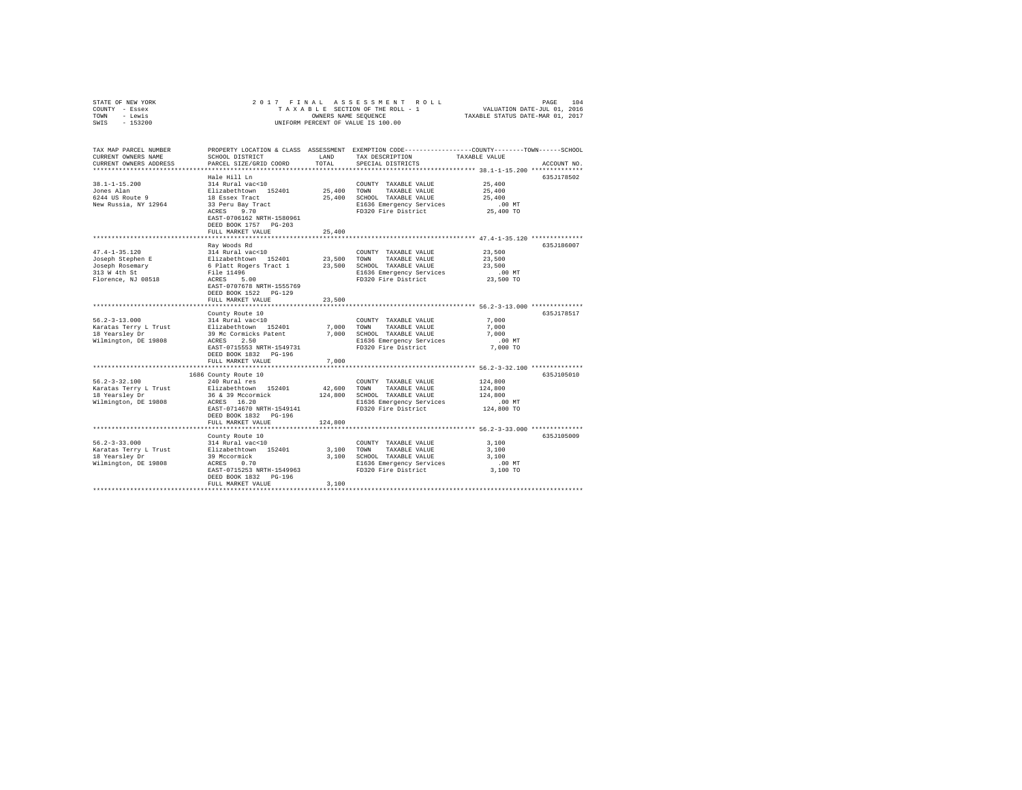| STATE OF NEW YORK<br>COUNTY - Essex<br>- Lewis<br>TOWN<br>$-153200$<br>SWIS  | 2017 FINAL                                                                               |               | PAGE 104 ROLL PAGE 104 PAGE 104 PAGE 104 PAGE 104 PAGE 104 PAGE 105 PAGE 105 PAGE 105 PAGE 105 PAGE 105 PAGE 1<br>TAXABLE SECTION OF THE ROLL - 1 PAXABLE STATUS DATE-NAR 01, 2017<br>UNIFORM PERCENT OF VALUE IS 100.00 |                                        |             |
|------------------------------------------------------------------------------|------------------------------------------------------------------------------------------|---------------|--------------------------------------------------------------------------------------------------------------------------------------------------------------------------------------------------------------------------|----------------------------------------|-------------|
| TAX MAP PARCEL NUMBER<br>CURRENT OWNERS NAME<br>CURRENT OWNERS ADDRESS       | SCHOOL DISTRICT<br>PARCEL SIZE/GRID COORD                                                | LAND<br>TOTAL | PROPERTY LOCATION & CLASS ASSESSMENT EXEMPTION CODE---------------COUNTY-------TOWN------SCHOOL<br>TAX DESCRIPTION<br>SPECIAL DISTRICTS                                                                                  | TAXABLE VALUE                          | ACCOUNT NO. |
| **************************                                                   |                                                                                          |               |                                                                                                                                                                                                                          |                                        |             |
|                                                                              | Hale Hill Ln                                                                             |               |                                                                                                                                                                                                                          |                                        | 635J178502  |
| $38.1 - 1 - 15.200$<br>Jones Alan<br>6244 US Route 9<br>New Russia, NY 12964 | 314 Rural vac<10<br>Elizabethtown 152401<br>18 Essex Tract<br>33 Peru Bay Tract          | 25,400 TOWN   | COUNTY TAXABLE VALUE<br>TAXABLE VALUE<br>25,400 SCHOOL TAXABLE VALUE<br>E1636 Emergency Services                                                                                                                         | 25,400<br>25,400<br>25,400<br>$.00$ MT |             |
|                                                                              | ACRES 9.70<br>EAST-0706162 NRTH-1580961<br>DEED BOOK 1757 PG-203<br>FULL MARKET VALUE    | 25,400        | FD320 Fire District                                                                                                                                                                                                      | 25,400 TO                              |             |
|                                                                              |                                                                                          |               |                                                                                                                                                                                                                          |                                        |             |
| $47.4 - 1 - 35.120$<br>Joseph Stephen E                                      | Ray Woods Rd<br>314 Rural vac<10                                                         |               | COUNTY TAXABLE VALUE<br>23,500 TOWN TAXABLE VALUE                                                                                                                                                                        | 23,500<br>23,500                       | 635J186007  |
| Joseph Rosemary<br>313 W 4th St                                              | Elizabethtown 152401<br>6 Platt Rogers Tract 1<br>File 11496<br>File 11496<br>ACRES 5.00 |               | 23,500 SCHOOL TAXABLE VALUE<br>E1636 Emergency Services                                                                                                                                                                  | 23,500<br>$.00$ MT                     |             |
| Florence, NJ 08518                                                           | EAST-0707678 NRTH-1555769<br>DEED BOOK 1522 PG-129<br>FULL MARKET VALUE                  | 23,500        | FD320 Fire District                                                                                                                                                                                                      | 23,500 TO                              |             |
|                                                                              | ***************************                                                              | *********     | ***************************** 56.2-3-13.000 **************                                                                                                                                                               |                                        |             |
|                                                                              | County Route 10                                                                          |               |                                                                                                                                                                                                                          |                                        | 635J178517  |
| $56.2 - 3 - 13.000$                                                          | 314 Rural vac<10                                                                         |               | COUNTY TAXABLE VALUE                                                                                                                                                                                                     | 7.000                                  |             |
| Karatas Terry L Trust                                                        | Elizabethtown 152401                                                                     |               | 7,000 TOWN TAXABLE VALUE                                                                                                                                                                                                 | 7,000<br>7,000                         |             |
| 18 Yearsley Dr<br>Wilmington, DE 19808                                       | 39 Mc Cormicks Patent<br>ACRES 2.50                                                      |               | 7,000 SCHOOL TAXABLE VALUE                                                                                                                                                                                               | $.00$ MT                               |             |
|                                                                              | EAST-0715553 NRTH-1549731<br>DEED BOOK 1832 PG-196                                       |               | E1636 Emergency Services<br>FD320 Fire District                                                                                                                                                                          | 7,000 TO                               |             |
|                                                                              | FULL MARKET VALUE                                                                        | 7,000         |                                                                                                                                                                                                                          |                                        |             |
| $56.2 - 3 - 32.100$                                                          | ********************************<br>1686 County Route 10<br>240 Rural res                |               | COUNTY TAXABLE VALUE                                                                                                                                                                                                     | 124,800                                | 635J105010  |
| Karatas Terry L Trust                                                        | Elizabethtown 152401                                                                     | 42,600        | TOWN TAXABLE VALUE                                                                                                                                                                                                       | 124,800                                |             |
| 18 Yearsley Dr                                                               |                                                                                          |               | 124,800 SCHOOL TAXABLE VALUE                                                                                                                                                                                             | 124,800                                |             |
| Wilmington, DE 19808                                                         | 36 & 39 Mccormick<br>ACRES 16.20                                                         |               | E1636 Emergency Services                                                                                                                                                                                                 | $.00$ MT                               |             |
|                                                                              | EAST-0714670 NRTH-1549141<br>DEED BOOK 1832 PG-196<br>FULL MARKET VALUE                  | 124,800       | FD320 Fire District                                                                                                                                                                                                      | 124,800 TO                             |             |
|                                                                              |                                                                                          |               |                                                                                                                                                                                                                          |                                        |             |
|                                                                              | County Route 10                                                                          |               |                                                                                                                                                                                                                          |                                        | 635J105009  |
| $56.2 - 3 - 33.000$                                                          | 314 Rural vac<10                                                                         |               | COUNTY TAXABLE VALUE                                                                                                                                                                                                     | 3,100                                  |             |
| Karatas Terry L Trust                                                        | Elizabethtown 152401                                                                     | 3,100 TOWN    | TAXABLE VALUE                                                                                                                                                                                                            | 3,100                                  |             |
| 18 Yearsley Dr                                                               | 39 Mccormick                                                                             |               | 3,100 SCHOOL TAXABLE VALUE                                                                                                                                                                                               | 3,100                                  |             |
| Wilmington, DE 19808                                                         | ACRES 0.70                                                                               |               | E1636 Emergency Services                                                                                                                                                                                                 | $.00$ MT                               |             |
|                                                                              | EAST-0715253 NRTH-1549963<br>DEED BOOK 1832 PG-196<br>FULL MARKET VALUE                  | 3,100         | FD320 Fire District                                                                                                                                                                                                      | 3,100 TO                               |             |
|                                                                              |                                                                                          |               |                                                                                                                                                                                                                          |                                        |             |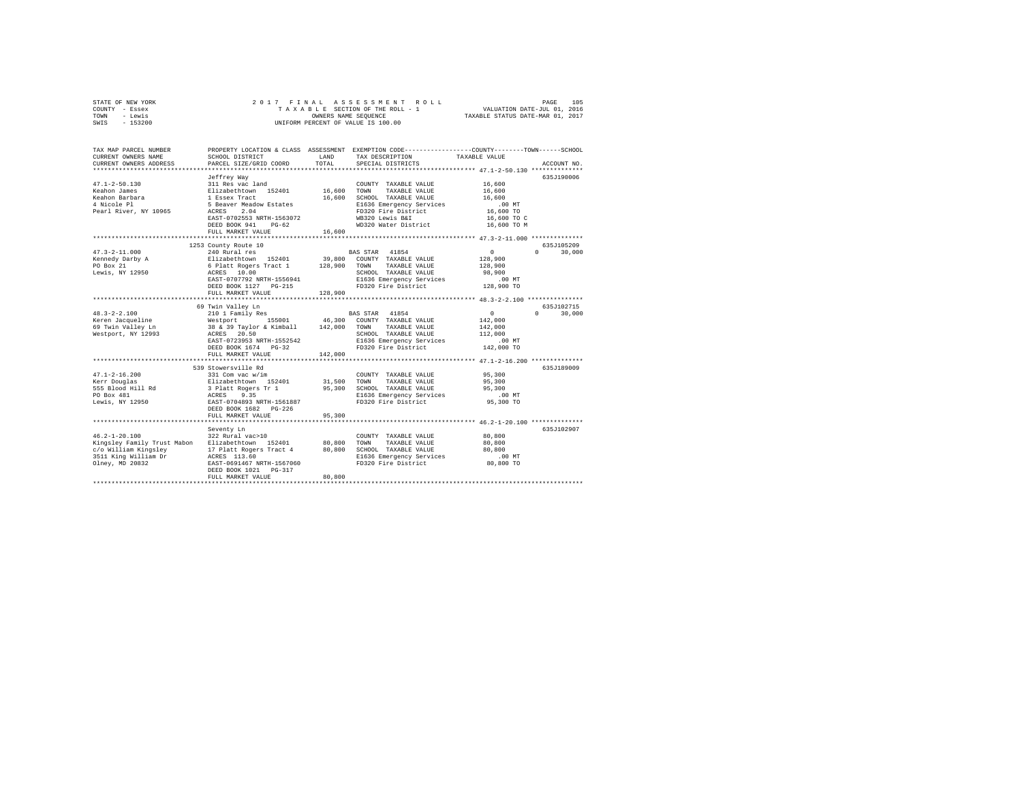| STATE OF NEW YORK | 2017 FINAL ASSESSMENT ROLL         | 105<br>PAGE                      |
|-------------------|------------------------------------|----------------------------------|
| COUNTY - Essex    | TAXABLE SECTION OF THE ROLL - 1    | VALUATION DATE-JUL 01, 2016      |
| TOWN<br>- Lewis   | OWNERS NAME SEOUENCE               | TAXABLE STATUS DATE-MAR 01, 2017 |
| $-153200$<br>SWIS | UNIFORM PERCENT OF VALUE IS 100.00 |                                  |

| TAX MAP PARCEL NUMBER<br>CURRENT OWNERS NAME<br>CURRENT OWNERS ADDRESS                                                | SCHOOL DISTRICT<br>PARCEL SIZE/GRID COORD                                                                                                                                                                       | <b>T.AND</b><br>TOTAL        | PROPERTY LOCATION & CLASS ASSESSMENT EXEMPTION CODE---------------COUNTY-------TOWN-----SCHOOL<br>TAX DESCRIPTION<br>SPECIAL DISTRICTS                                                      | TAXABLE VALUE                                                                                              | ACCOUNT NO.                      |
|-----------------------------------------------------------------------------------------------------------------------|-----------------------------------------------------------------------------------------------------------------------------------------------------------------------------------------------------------------|------------------------------|---------------------------------------------------------------------------------------------------------------------------------------------------------------------------------------------|------------------------------------------------------------------------------------------------------------|----------------------------------|
| $47.1 - 2 - 50.130$<br>Keahon James<br>Keahon Barbara<br>4 Nicole Pl<br>Pearl River, NY 10965                         | Jeffrey Way<br>311 Res vac land<br>Elizabethtown 152401<br>1 Essex Tract<br>5 Beaver Meadow Estates<br>2.04<br>ACRES<br>EAST-0702553 NRTH-1563072<br>DEED BOOK 941<br>$PG-62$<br>FULL MARKET VALUE              | 16,600<br>16,600<br>16,600   | COUNTY TAXABLE VALUE<br>TOWN<br>TAXABLE VALUE<br>SCHOOL TAXABLE VALUE<br>E1636 Emergency Services<br>FD320 Fire District<br>WB320 Lewis B&I<br>WD320 Water District                         | 16,600<br>16,600<br>16,600<br>$.00$ MT<br>16,600 TO<br>16,600 TO C<br>16,600 TO M                          | 635J190006                       |
| $47.3 - 2 - 11.000$<br>Kennedy Darby A<br>PO Box 21<br>Lewis, NY 12950                                                | 1253 County Route 10<br>240 Rural res<br>Elizabethtown 152401<br>6 Platt Rogers Tract 1<br>ACRES 10.00<br>EAST-0707792 NRTH-1556941<br>DEED BOOK 1127 PG-215<br>FULL MARKET VALUE                               | 39,800<br>128,900<br>128,900 | BAS STAR 41854<br>COUNTY TAXABLE VALUE<br>TOWN<br>TAXABLE VALUE<br>SCHOOL TAXABLE VALUE<br>E1636 Emergency Services<br>FD320 Fire District                                                  | $\circ$<br>128,900<br>128,900<br>98,900<br>$.00$ MT<br>128,900 TO                                          | 635J105209<br>$\Omega$<br>30,000 |
| $48.3 - 2 - 2.100$<br>Keren Jacqueline<br>69 Twin Valley Ln<br>Westport, NY 12993                                     | 69 Twin Valley Ln<br>210 1 Family Res<br>Westport<br>155001<br>38 & 39 Taylor & Kimball 142,000<br>ACRES 20.50<br>EAST-0723953 NRTH-1552542<br>DEED BOOK 1674 PG-32<br>FULL MARKET VALUE                        | 46,300<br>142,000            | BAS STAR 41854<br>COUNTY TAXABLE VALUE<br>TAXABLE VALUE<br>TOWN<br>SCHOOL TAXABLE VALUE<br>E1636 Emergency Services<br>FD320 Fire District                                                  | $\circ$<br>142,000<br>142,000<br>112,000<br>.00MT<br>142,000 TO                                            | 635J102715<br>$\cap$<br>30,000   |
| $47.1 - 2 - 16.200$<br>Kerr Douglas<br>555 Blood Hill Rd<br>PO Box 481<br>Lewis, NY 12950                             | *************************<br>539 Stowersville Rd<br>331 Com vac w/im<br>Elizabethtown 152401<br>3 Platt Rogers Tr 1<br>ACRES<br>9.35<br>EAST-0704893 NRTH-1561887<br>DEED BOOK 1682 PG-226<br>FULL MARKET VALUE | 31,500<br>95,300<br>95,300   | COUNTY TAXABLE VALUE<br>TOWN<br>TAXABLE VALUE<br>SCHOOL TAXABLE VALUE<br>E1636 Emergency Services<br>FD320 Fire District<br>********************************** 46.2-1-20.100 ************** | *********************** 47.1-2-16.200 *************<br>95,300<br>95,300<br>95,300<br>$.00$ MT<br>95,300 TO | 635J189009                       |
| $46.2 - 1 - 20.100$<br>Kingsley Family Trust Mabon<br>c/o William Kingsley<br>3511 King William Dr<br>Olney, MD 20832 | Seventy Ln<br>322 Rural vac>10<br>Elizabethtown 152401<br>17 Platt Rogers Tract 4<br>ACRES 113.60<br>EAST-0691467 NRTH-1567060<br>DEED BOOK 1021 PG-317<br>FULL MARKET VALUE                                    | 80,800<br>80,800<br>80,800   | COUNTY TAXABLE VALUE<br>TOWN<br>TAXABLE VALUE<br>SCHOOL TAXABLE VALUE<br>E1636 Emergency Services<br>FD320 Fire District                                                                    | 80,800<br>80,800<br>80,800<br>.00 MT<br>80,800 TO                                                          | 635J102907                       |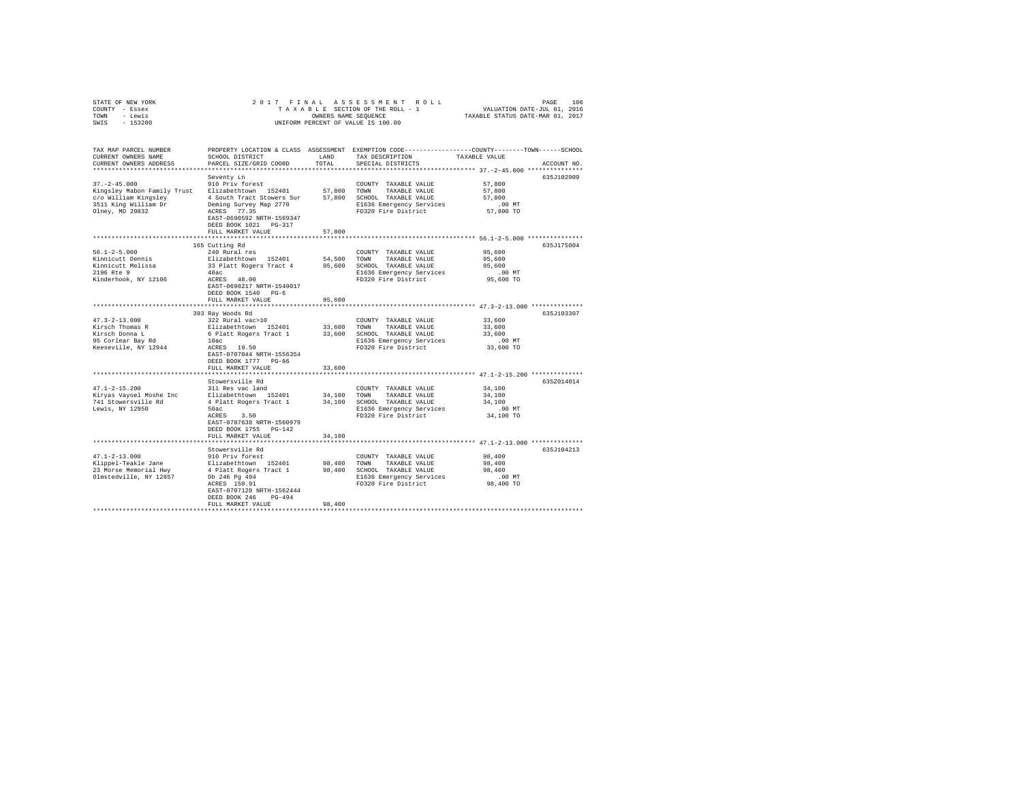| STATE OF NEW YORK                                | 2017 FINAL                                               |                |                                                                                                 |                                                       |             |
|--------------------------------------------------|----------------------------------------------------------|----------------|-------------------------------------------------------------------------------------------------|-------------------------------------------------------|-------------|
| COUNTY - Essex                                   |                                                          |                |                                                                                                 |                                                       |             |
| TOWN - Lewis                                     | TAXABLE STATUS DATE-MAR 01, 2017<br>OWNERS NAME SEQUENCE |                |                                                                                                 |                                                       |             |
| SWIS - 153200                                    |                                                          |                | UNIFORM PERCENT OF VALUE IS 100.00                                                              |                                                       |             |
|                                                  |                                                          |                |                                                                                                 |                                                       |             |
|                                                  |                                                          |                |                                                                                                 |                                                       |             |
|                                                  |                                                          |                |                                                                                                 |                                                       |             |
| TAX MAP PARCEL NUMBER                            |                                                          |                | PROPERTY LOCATION & CLASS ASSESSMENT EXEMPTION CODE---------------COUNTY-------TOWN------SCHOOL |                                                       |             |
| CURRENT OWNERS NAME                              | SCHOOL DISTRICT                                          | LAND           | TAX DESCRIPTION                                                                                 | TAXABLE VALUE                                         |             |
| CURRENT OWNERS ADDRESS                           | PARCEL SIZE/GRID COORD                                   | TOTAL          | SPECIAL DISTRICTS                                                                               |                                                       | ACCOUNT NO. |
|                                                  |                                                          |                |                                                                                                 |                                                       |             |
|                                                  | Seventy Ln                                               |                |                                                                                                 |                                                       | 635J102909  |
| $37. - 2 - 45.000$                               | 910 Priv forest                                          |                | COUNTY TAXABLE VALUE                                                                            | 57,800                                                |             |
| Kingsley Mabon Family Trust Elizabethtown 152401 |                                                          |                | 57,800 TOWN TAXABLE VALUE                                                                       | 57,800                                                |             |
| c/o William Kingsley 54 South Tract Stowers Sur  |                                                          |                | 57,800 SCHOOL TAXABLE VALUE                                                                     | 57,800                                                |             |
| 3511 King William Dr                             | Deming Survey Map 2770                                   |                | E1636 Emergency Services                                                                        | $.00$ MT                                              |             |
|                                                  | ACRES 77.35                                              |                | FD320 Fire District                                                                             | 57,800 TO                                             |             |
| Olney, MD 20832                                  |                                                          |                |                                                                                                 |                                                       |             |
|                                                  | EAST-0690592 NRTH-1569347                                |                |                                                                                                 |                                                       |             |
|                                                  | DEED BOOK 1021 PG-317                                    |                |                                                                                                 |                                                       |             |
|                                                  | FULL MARKET VALUE                                        | 57,800         |                                                                                                 |                                                       |             |
|                                                  |                                                          |                |                                                                                                 |                                                       |             |
|                                                  | 165 Cutting Rd                                           |                |                                                                                                 |                                                       | 635J175004  |
| $56.1 - 2 - 5.000$                               | 240 Rural res                                            |                | COUNTY TAXABLE VALUE                                                                            | 95,600                                                |             |
| Kinnicutt Dennis                                 | Elizabethtown 152401                                     |                | 54,500 TOWN TAXABLE VALUE                                                                       | 95,600                                                |             |
| Kinnicutt Melissa                                | 33 Platt Rogers Tract 4 95,600 SCHOOL TAXABLE VALUE      |                |                                                                                                 | 95,600                                                |             |
| 2196 Rte 9                                       | 40ac                                                     |                | E1636 Emergency Services                                                                        | $.00$ MT                                              |             |
| Kinderhook, NY 12106                             | ACRES 48.00                                              |                | FD320 Fire District                                                                             | 95,600 TO                                             |             |
|                                                  | EAST-0698217 NRTH-1549017                                |                |                                                                                                 |                                                       |             |
|                                                  | DEED BOOK 1540 PG-6                                      |                |                                                                                                 |                                                       |             |
|                                                  | FULL MARKET VALUE                                        | 95,600         |                                                                                                 |                                                       |             |
|                                                  |                                                          | ************** | ******************************** 47.3-2-13.000 **************                                   |                                                       |             |
|                                                  | 393 Ray Woods Rd                                         |                |                                                                                                 |                                                       | 635J103307  |
| $47.3 - 2 - 13.000$                              | 322 Rural vac>10                                         |                | COUNTY TAXABLE VALUE                                                                            | 33,600                                                |             |
|                                                  | Elizabethtown 152401                                     |                |                                                                                                 | 33,600                                                |             |
| Kirsch Thomas R                                  |                                                          |                | 33,600 TOWN TAXABLE VALUE<br>6 Platt Rogers Tract 1 33,600 SCHOOL TAXABLE VALUE                 |                                                       |             |
| Kirsch Donna L                                   |                                                          |                |                                                                                                 | 33,600                                                |             |
| 95 Corlear Bay Rd                                | 10ac<br>$ACRES$ 19.50                                    |                | E1636 Emergency Services                                                                        | $.00$ MT                                              |             |
| Keeseville, NY 12944                             |                                                          |                | FD320 Fire District                                                                             | 33,600 TO                                             |             |
|                                                  | EAST-0707044 NRTH-1556354                                |                |                                                                                                 |                                                       |             |
|                                                  | DEED BOOK 1777 PG-86                                     |                |                                                                                                 |                                                       |             |
|                                                  | FULL MARKET VALUE                                        | 33,600         |                                                                                                 |                                                       |             |
|                                                  | *********************                                    |                |                                                                                                 | ************************ 47.1-2-15.200 ************** |             |
|                                                  | Stowersville Rd                                          |                |                                                                                                 |                                                       | 635Z014014  |
| $47.1 - 2 - 15.200$                              | 311 Res vac land                                         |                | COUNTY TAXABLE VALUE                                                                            | 34,100                                                |             |
| Kiryas Vayoel Moshe Inc                          | Elizabethtown 152401                                     | 34,100         | TOWN<br>TAXABLE VALUE                                                                           | 34,100                                                |             |
| 741 Stowersville Rd                              | 4 Platt Rogers Tract 1                                   |                | 34,100 SCHOOL TAXABLE VALUE                                                                     | 34,100                                                |             |
| Lewis, NY 12950                                  | 50ac                                                     |                | E1636 Emergency Services                                                                        | $.00$ MT                                              |             |
|                                                  | ACRES 3.50                                               |                | FD320 Fire District                                                                             | 34,100 TO                                             |             |
|                                                  | EAST-0707638 NRTH-1560979                                |                |                                                                                                 |                                                       |             |
|                                                  | DEED BOOK 1755 PG-142                                    |                |                                                                                                 |                                                       |             |
|                                                  | FULL MARKET VALUE                                        | 34,100         |                                                                                                 |                                                       |             |
|                                                  |                                                          |                |                                                                                                 |                                                       |             |
|                                                  |                                                          |                |                                                                                                 |                                                       |             |
|                                                  | Stowersville Rd                                          |                |                                                                                                 |                                                       | 635J104213  |
| $47.1 - 2 - 13.000$                              | 910 Priv forest                                          |                | COUNTY TAXABLE VALUE                                                                            | 98,400                                                |             |
|                                                  |                                                          |                | 98,400 TOWN TAXABLE VALUE                                                                       | 98,400                                                |             |
|                                                  |                                                          |                | 98,400 SCHOOL TAXABLE VALUE                                                                     | 98,400                                                |             |
|                                                  |                                                          |                | E1636 Emergency Services                                                                        | $.00$ MT                                              |             |
|                                                  | ACRES 150.91                                             |                | FD320 Fire District                                                                             | 98,400 TO                                             |             |
|                                                  | EAST-0707128 NRTH-1562444                                |                |                                                                                                 |                                                       |             |
|                                                  | DEED BOOK 246 PG-494                                     |                |                                                                                                 |                                                       |             |
|                                                  | FULL MARKET VALUE                                        | 98,400         |                                                                                                 |                                                       |             |
|                                                  |                                                          |                |                                                                                                 |                                                       |             |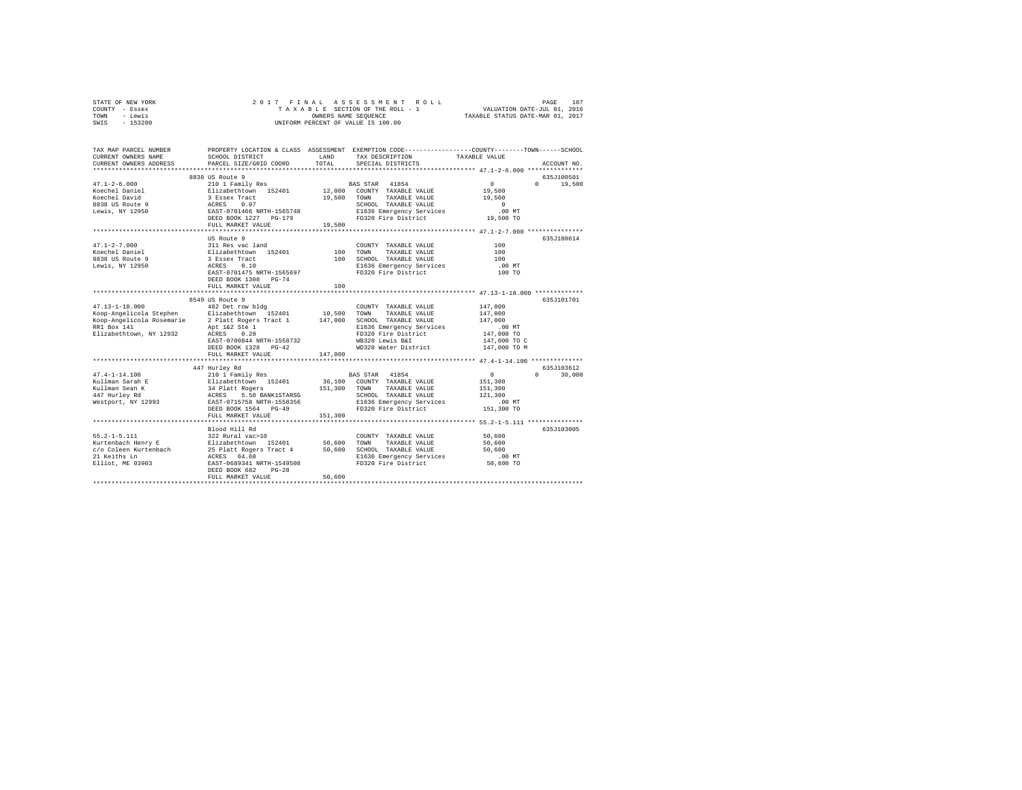| STATE OF NEW YORK<br>COUNTY - Essex | 2017 FINAL<br>ASSESSMENT<br>PAGE<br>107<br>ROLL<br>VALUATION DATE-JUL 01, 2016<br>TAXABLE SECTION OF THE ROLL - 1 |         |                                                                                                |                       |                                  |
|-------------------------------------|-------------------------------------------------------------------------------------------------------------------|---------|------------------------------------------------------------------------------------------------|-----------------------|----------------------------------|
| TOWN<br>- Lewis                     | OWNERS NAME SEQUENCE                                                                                              |         |                                                                                                |                       | TAXABLE STATUS DATE-MAR 01, 2017 |
| SWIS<br>$-153200$                   | UNIFORM PERCENT OF VALUE IS 100.00                                                                                |         |                                                                                                |                       |                                  |
|                                     |                                                                                                                   |         |                                                                                                |                       |                                  |
| TAX MAP PARCEL NUMBER               |                                                                                                                   |         | PROPERTY LOCATION & CLASS ASSESSMENT EXEMPTION CODE---------------COUNTY-------TOWN-----SCHOOL |                       |                                  |
| CURRENT OWNERS NAME                 | SCHOOL DISTRICT                                                                                                   | LAND    | TAX DESCRIPTION                                                                                | TAXABLE VALUE         |                                  |
| CURRENT OWNERS ADDRESS              | PARCEL SIZE/GRID COORD                                                                                            | TOTAL   | SPECIAL DISTRICTS                                                                              |                       | ACCOUNT NO.                      |
|                                     |                                                                                                                   |         |                                                                                                |                       |                                  |
|                                     | 8838 US Route 9                                                                                                   |         |                                                                                                |                       | 635J100501                       |
| $47.1 - 2 - 6.000$                  | 210 1 Family Res                                                                                                  |         | 41854<br><b>BAS STAR</b>                                                                       | $\circ$               | $\Omega$<br>19,500               |
| Koechel Daniel                      | Elizabethtown 152401                                                                                              |         | 12,000 COUNTY TAXABLE VALUE                                                                    | 19,500                |                                  |
| Koechel David                       | 3 Essex Tract                                                                                                     | 19,500  | TOWN<br>TAXABLE VALUE                                                                          | 19,500                |                                  |
| 8838 US Route 9                     | 0.07<br>ACRES                                                                                                     |         | SCHOOL TAXABLE VALUE                                                                           | $\Omega$              |                                  |
| Lewis, NY 12950                     | EAST-0701466 NRTH-1565748                                                                                         |         | E1636 Emergency Services                                                                       | $.00$ MT              |                                  |
|                                     | DEED BOOK 1227 PG-179                                                                                             |         | FD320 Fire District                                                                            | 19,500 TO             |                                  |
|                                     | FULL MARKET VALUE                                                                                                 | 19,500  |                                                                                                |                       |                                  |
|                                     | *************************                                                                                         |         |                                                                                                |                       |                                  |
|                                     | US Route 9                                                                                                        |         |                                                                                                |                       | 635J100614                       |
| $47.1 - 2 - 7.000$                  | 311 Res vac land                                                                                                  |         | COUNTY TAXABLE VALUE                                                                           | 100                   |                                  |
| Koechel Daniel                      | Elizabethtown 152401                                                                                              | 100     | TOWN<br>TAXABLE VALUE                                                                          | 100                   |                                  |
| 8838 US Route 9                     | 3 Essex Tract                                                                                                     | 100     | SCHOOL TAXABLE VALUE                                                                           | 100                   |                                  |
| Lewis, NY 12950                     | ACRES<br>0.10                                                                                                     |         | E1636 Emergency Services                                                                       | .00 MT                |                                  |
|                                     | EAST-0701475 NRTH-1565697                                                                                         |         | FD320 Fire District                                                                            | 100 TO                |                                  |
|                                     | DEED BOOK 1308 PG-74                                                                                              |         |                                                                                                |                       |                                  |
|                                     | FULL MARKET VALUE                                                                                                 | 100     |                                                                                                |                       |                                  |
|                                     |                                                                                                                   |         |                                                                                                |                       |                                  |
|                                     | 8549 US Route 9                                                                                                   |         |                                                                                                |                       | 635.T101701                      |
| $47.13 - 1 - 18.000$                | 482 Det row bldg                                                                                                  |         | COUNTY TAXABLE VALUE                                                                           | 147,000               |                                  |
| Koop-Angelicola Stephen             | Elizabethtown 152401                                                                                              | 10,500  | TOWN<br>TAXABLE VALUE                                                                          | 147,000               |                                  |
| Koop-Angelicola Rosemarie           | 2 Platt Rogers Tract 1                                                                                            | 147,000 | SCHOOL TAXABLE VALUE                                                                           | 147,000               |                                  |
| RR1 Box 141                         | Apt 1&2 Ste 1                                                                                                     |         | E1636 Emergency Services                                                                       | $.00$ MT              |                                  |
| Elizabethtown, NY 12932             | ACRES<br>0.20                                                                                                     |         | FD320 Fire District                                                                            | 147,000 TO            |                                  |
|                                     | EAST-0700844 NRTH-1558732                                                                                         |         | WB320 Lewis B&I                                                                                | 147,000 TO C          |                                  |
|                                     | DEED BOOK 1328 PG-42                                                                                              |         | WD320 Water District                                                                           | 147,000 TO M          |                                  |
|                                     | FULL MARKET VALUE                                                                                                 | 147,000 |                                                                                                |                       |                                  |
|                                     |                                                                                                                   |         |                                                                                                |                       |                                  |
| $47.4 - 1 - 14.100$                 | 447 Hurley Rd                                                                                                     |         | 41854                                                                                          | $\Omega$              | 635J103612<br>$\Omega$           |
|                                     | 210 1 Family Res                                                                                                  |         | <b>BAS STAR</b>                                                                                |                       | 30,000                           |
| Kullman Sarah E                     | Elizabethtown 152401                                                                                              | 36,100  | COUNTY TAXABLE VALUE                                                                           | 151,300               |                                  |
| Kullman Sean K                      | 34 Platt Rogers                                                                                                   | 151,300 | TOWN<br>TAXABLE VALUE                                                                          | 151,300               |                                  |
| 447 Hurley Rd                       | ACRES<br>5.50 BANK1STARSG                                                                                         |         | SCHOOL TAXABLE VALUE                                                                           | 121,300               |                                  |
| Westport, NY 12993                  | EAST-0715758 NRTH-1558356                                                                                         |         | E1636 Emergency Services                                                                       | .00MT                 |                                  |
|                                     | DEED BOOK 1564 PG-49                                                                                              |         | FD320 Fire District                                                                            | 151,300 TO            |                                  |
|                                     | FULL MARKET VALUE                                                                                                 | 151,300 |                                                                                                |                       |                                  |
|                                     |                                                                                                                   |         |                                                                                                |                       |                                  |
|                                     | Blood Hill Rd                                                                                                     |         |                                                                                                |                       | 635J103005                       |
| $55.2 - 1 - 5.111$                  | 322 Rural vac>10                                                                                                  |         | COUNTY TAXABLE VALUE                                                                           | 50,600                |                                  |
| Kurtenbach Henry E                  | Elizabethtown 152401                                                                                              | 50,600  | TOWN<br>TAXABLE VALUE                                                                          | 50,600                |                                  |
| c/o Coleen Kurtenbach               | 25 Platt Rogers Tract 4                                                                                           | 50,600  | SCHOOL TAXABLE VALUE                                                                           | 50,600                |                                  |
| 21 Keiths Ln                        | ACRES 64.60<br>EAST-0689341 NRTH-1549508                                                                          |         | E1636 Emergency Services<br>FD320 Fire District                                                | $.00$ MT<br>50,600 TO |                                  |
| Elliot, ME 03903                    |                                                                                                                   |         |                                                                                                |                       |                                  |
|                                     | DEED BOOK 682<br>$PG-28$                                                                                          | 50,600  |                                                                                                |                       |                                  |
|                                     | FULL MARKET VALUE                                                                                                 |         |                                                                                                |                       |                                  |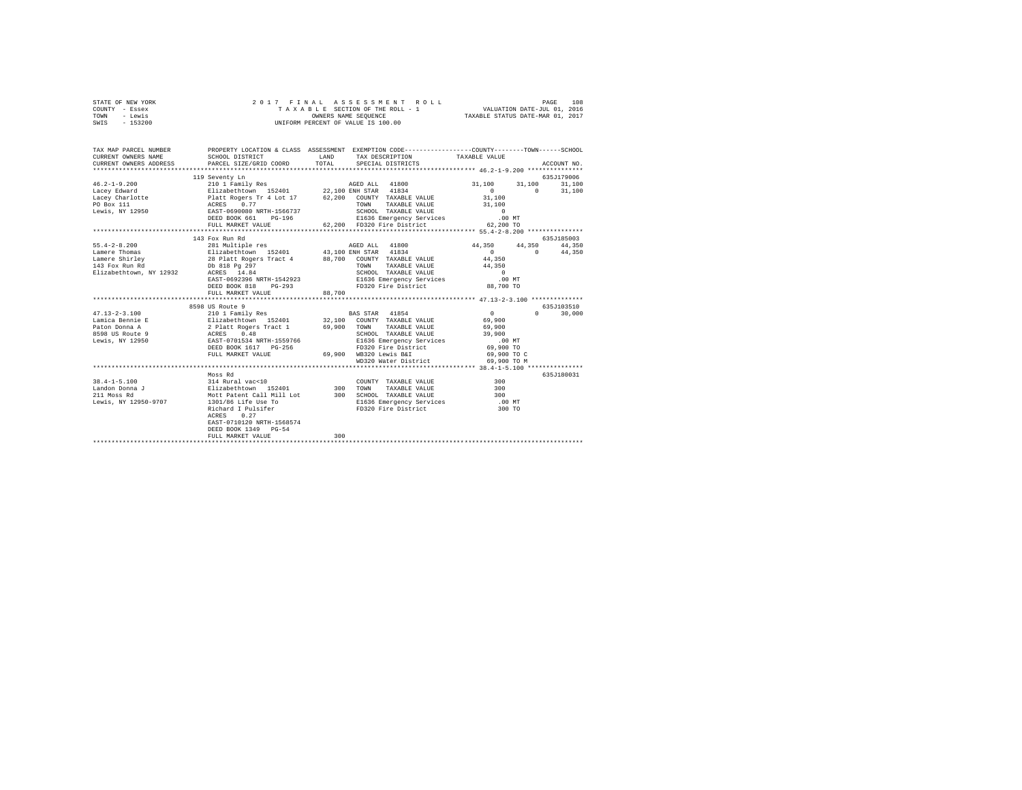| STATE OF NEW YORK | 2017 FINAL ASSESSMENT ROLL         | 108<br>PAGE                      |
|-------------------|------------------------------------|----------------------------------|
| COUNTY - Essex    | TAXABLE SECTION OF THE ROLL - 1    | VALUATION DATE-JUL 01, 2016      |
| TOWN<br>- Lewis   | OWNERS NAME SEOUENCE               | TAXABLE STATUS DATE-MAR 01, 2017 |
| $-153200$<br>SWIS | UNIFORM PERCENT OF VALUE IS 100.00 |                                  |

| TAX MAP PARCEL NUMBER<br>CURRENT OWNERS NAME<br>CURRENT OWNERS ADDRESS                     | PROPERTY LOCATION & CLASS ASSESSMENT EXEMPTION CODE----------------COUNTY-------TOWN-----SCHOOL<br>SCHOOL DISTRICT<br>PARCEL SIZE/GRID COORD  | <b>T.AND</b><br>TOTAL. |      | TAX DESCRIPTION TAXABLE VALUE<br>SPECIAL DISTRICTS                                                                                    |                                                                                    |                               | ACCOUNT NO.                    |
|--------------------------------------------------------------------------------------------|-----------------------------------------------------------------------------------------------------------------------------------------------|------------------------|------|---------------------------------------------------------------------------------------------------------------------------------------|------------------------------------------------------------------------------------|-------------------------------|--------------------------------|
|                                                                                            | 119 Seventy Ln                                                                                                                                |                        |      |                                                                                                                                       | 31,100<br>$\sim$ 0                                                                 | 31,100<br>$\sim$ 0            | 635J179006<br>31,100<br>31,100 |
|                                                                                            | DEED BOOK 661                                                                                                                                 |                        |      |                                                                                                                                       | 31,100<br>31,100                                                                   |                               |                                |
|                                                                                            | FULL MARKET VALUE                                                                                                                             |                        |      | 62,200 FD320 Fire District                                                                                                            | 62,200 TO                                                                          |                               |                                |
|                                                                                            |                                                                                                                                               |                        |      |                                                                                                                                       |                                                                                    |                               |                                |
| $55.4 - 2 - 8.200$                                                                         | 143 Fox Run Rd<br>281 Multiple res<br>Elizabethtown 152401 43,100 ENH STAR 41834                                                              |                        |      |                                                                                                                                       | 44,350 44,350                                                                      |                               | 635J185003<br>44,350           |
| Lamere Thomas<br>Lamere Shirley <b>28 Platt Rogers Tract 4</b> 88,700 COUNTY TAXABLE VALUE |                                                                                                                                               |                        | TOWN | TAXABLE VALUE 44,350                                                                                                                  | $\sim$ 0<br>44,350                                                                 | $\mathbf{0}$ and $\mathbf{0}$ | 44,350                         |
| 143 Fox Run Rd<br>Elizabethtown, NY 12932 ACRES 14.84                                      |                                                                                                                                               |                        |      |                                                                                                                                       |                                                                                    |                               |                                |
|                                                                                            | FULL MARKET VALUE                                                                                                                             | 88,700                 |      |                                                                                                                                       |                                                                                    |                               |                                |
|                                                                                            | 8598 US Route 9                                                                                                                               |                        |      |                                                                                                                                       |                                                                                    |                               | 635J103510                     |
|                                                                                            |                                                                                                                                               |                        |      | TAXABLE VALUE 69,900                                                                                                                  | $\sim$ 0<br>69,900                                                                 | $0 \qquad \qquad$             | 30,000                         |
|                                                                                            |                                                                                                                                               |                        |      |                                                                                                                                       | SCHOOL TAXABLE VALUE 39,900<br>E1636 Emergency Services .00 MT                     |                               |                                |
|                                                                                            | DEED BOOK 1617 PG-256<br>FULL MARKET VALUE                                                                                                    |                        |      | WD320 Water District                                                                                                                  | FD320 Fire District 69,900 TO<br>69,900 WB320 Lewis B&I 69,900 TO C<br>69,900 TO M |                               |                                |
|                                                                                            |                                                                                                                                               |                        |      |                                                                                                                                       |                                                                                    |                               |                                |
|                                                                                            | Moss Rd                                                                                                                                       |                        |      |                                                                                                                                       |                                                                                    |                               | 635J180031                     |
| 211 Moss Rd<br>Lewis, NY 12950-9707                                                        | Mott Patent Call Mill Lot 300 SCHOOL TAXABLE VALUE<br>1301/86 Life Use To<br>Richard I Pulsifer<br>ACRES<br>0.27<br>EAST-0710120 NRTH-1568574 |                        |      | COUNTY TAXABLE VALUE 300<br>TAXABLE VALUE 300<br>9000L TAXABLE VALUE<br>E1636 Emergency Services (1992)<br>FD320 Fire District (2008) | .00 MT<br>300 TO                                                                   |                               |                                |
|                                                                                            | DEED BOOK 1349 PG-54<br>FULL MARKET VALUE                                                                                                     | 300                    |      |                                                                                                                                       |                                                                                    |                               |                                |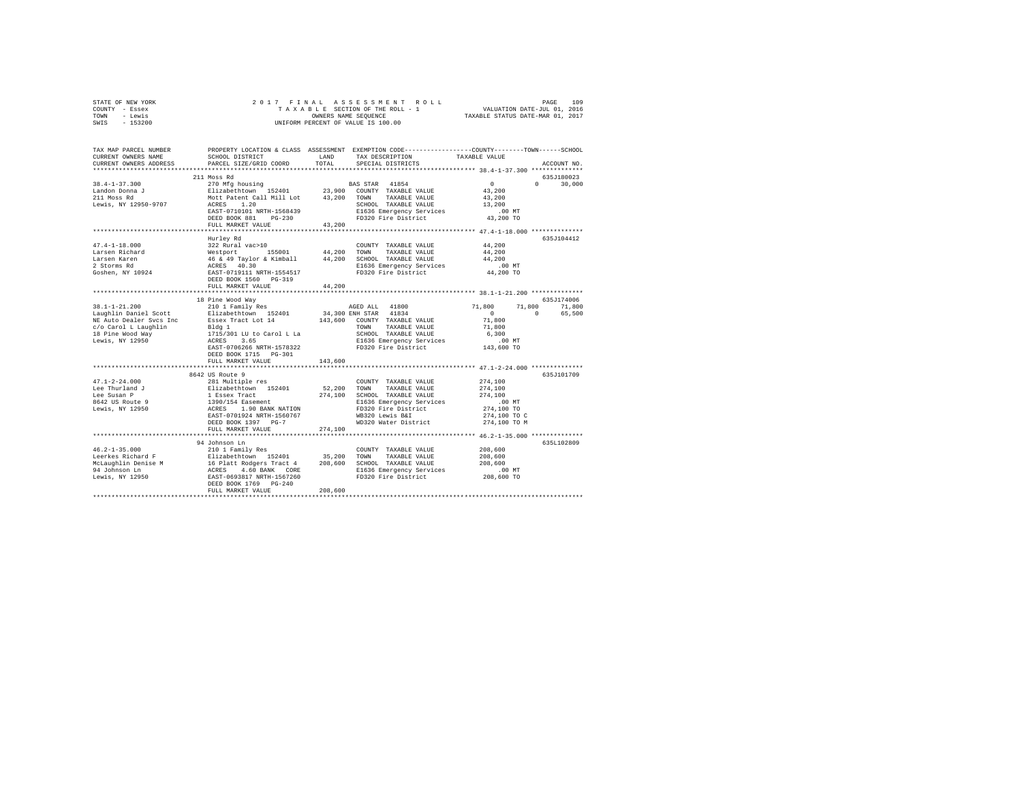| TOWN<br>- Lewis<br>SWIS<br>$-153200$ | UNIFORM PERCENT OF VALUE IS 100.00                                                                                | TAXABLE STATUS DATE-MAR 01, 2017 |                                                 |                                                                                                 |  |
|--------------------------------------|-------------------------------------------------------------------------------------------------------------------|----------------------------------|-------------------------------------------------|-------------------------------------------------------------------------------------------------|--|
|                                      |                                                                                                                   |                                  |                                                 |                                                                                                 |  |
| TAX MAP PARCEL NUMBER                |                                                                                                                   |                                  |                                                 | PROPERTY LOCATION & CLASS ASSESSMENT EXEMPTION CODE---------------COUNTY-------TOWN------SCHOOL |  |
| CURRENT OWNERS NAME                  | SCHOOL DISTRICT                                                                                                   | LAND                             | TAX DESCRIPTION                                 | TAXABLE VALUE                                                                                   |  |
| CURRENT OWNERS ADDRESS               | PARCEL SIZE/GRID COORD                                                                                            | TOTAL                            | SPECIAL DISTRICTS                               | ACCOUNT NO.                                                                                     |  |
|                                      |                                                                                                                   |                                  |                                                 |                                                                                                 |  |
|                                      | 211 Moss Rd                                                                                                       |                                  |                                                 | 635J180023<br>$\sim$ 0                                                                          |  |
| $38.4 - 1 - 37.300$                  | 270 Mfg housing<br>Elizabethtown 152401                                                                           |                                  | BAS STAR 41854<br>23,900 COUNTY TAXABLE VALUE   | $0 \t 30.000$<br>43,200                                                                         |  |
| Landon Donna J<br>211 Moss Rd        | Mott Patent Call Mill Lot 43,200 TOWN TAXABLE VALUE                                                               |                                  |                                                 | 43,200                                                                                          |  |
| Lewis, NY 12950-9707                 | ACRES 1.20                                                                                                        |                                  | SCHOOL TAXABLE VALUE                            | 13,200                                                                                          |  |
|                                      | EAST-0710101 NRTH-1568439                                                                                         |                                  | E1636 Emergency Services                        | $.00$ MT                                                                                        |  |
|                                      | DEED BOOK 881 PG-230                                                                                              |                                  | FD320 Fire District                             | 43,200 TO                                                                                       |  |
|                                      | FULL MARKET VALUE                                                                                                 | 43,200                           |                                                 |                                                                                                 |  |
|                                      |                                                                                                                   |                                  |                                                 |                                                                                                 |  |
|                                      | Hurley Rd                                                                                                         |                                  |                                                 | 635.7104412                                                                                     |  |
| $47.4 - 1 - 18.000$                  | 322 Rural vac>10                                                                                                  |                                  | COUNTY TAXABLE VALUE                            | 44,200                                                                                          |  |
| Larsen Richard                       | Westport 155001 44,200<br>46 & 49 Taylor & Kimball 44,200<br>ACRES 40.30<br>EAST-0719111 NRTH-1554517             |                                  | TOWN TAXABLE VALUE                              | 44,200                                                                                          |  |
| Larsen Karen                         |                                                                                                                   |                                  | SCHOOL TAXABLE VALUE                            | 44,200                                                                                          |  |
| 2 Storms Rd                          |                                                                                                                   |                                  | E1636 Emergency Services                        | .00MT                                                                                           |  |
| Goshen, NY 10924                     |                                                                                                                   |                                  | FD320 Fire District                             | 44,200 TO                                                                                       |  |
|                                      | DEED BOOK 1560 PG-319                                                                                             |                                  |                                                 |                                                                                                 |  |
|                                      | FULL MARKET VALUE<br>*******************                                                                          | 44,200                           |                                                 | ********************* 38.1-1-21.200 **************                                              |  |
|                                      | 18 Pine Wood Way                                                                                                  |                                  |                                                 | 635J174006                                                                                      |  |
| 38.1-1-21.200                        | 210 1 Family Res                                                                                                  |                                  | AGED ALL 41800                                  | 71,800<br>71,800<br>71,800                                                                      |  |
| Laughlin Daniel Scott                | Elizabethtown 152401                                                                                              |                                  | 34,300 ENH STAR 41834                           | $\sim$ 0<br>$\sim$ 0<br>65,500                                                                  |  |
| NE Auto Dealer Svcs Inc              | Essex Tract Lot 14                                                                                                |                                  | 143,600 COUNTY TAXABLE VALUE                    | 71,800                                                                                          |  |
| c/o Carol L Laughlin                 |                                                                                                                   |                                  | TOWN TAXABLE VALUE                              | 71,800                                                                                          |  |
| 18 Pine Wood Way                     |                                                                                                                   |                                  | SCHOOL TAXABLE VALUE                            | 6,300                                                                                           |  |
| Lewis, NY 12950                      | Bldg 1<br>1715/301 LU to Carol L La<br>ACRES 3.65                                                                 |                                  | E1636 Emergency Services                        | .00MT                                                                                           |  |
|                                      | EAST-0706266 NRTH-1578322                                                                                         |                                  | FD320 Fire District                             | 143,600 TO                                                                                      |  |
|                                      | DEED BOOK 1715 PG-301                                                                                             |                                  |                                                 |                                                                                                 |  |
|                                      | FULL MARKET VALUE                                                                                                 | 143,600                          |                                                 |                                                                                                 |  |
|                                      |                                                                                                                   |                                  |                                                 | *********** 47.1-2-24.000 ***************                                                       |  |
| $47.1 - 2 - 24.000$                  | 8642 US Route 9<br>281 Multiple res                                                                               |                                  |                                                 | 635J101709<br>274,100                                                                           |  |
| Lee Thurland J                       |                                                                                                                   | 52,200                           | COUNTY TAXABLE VALUE<br>TOWN<br>TAXABLE VALUE   | 274,100                                                                                         |  |
| Lee Susan P                          |                                                                                                                   |                                  | 274,100 SCHOOL TAXABLE VALUE                    | 274,100                                                                                         |  |
| 8642 US Route 9                      | Elizabethtown 152401<br>1 Essex Tract<br>1390/154 Easement<br>ACRES 1.90 BANK NATION<br>EAST-0701924 NRTH-1560767 |                                  | E1636 Emergency Services                        | $.00$ MT                                                                                        |  |
| Lewis, NY 12950                      |                                                                                                                   |                                  | FD320 Fire District                             | 274,100 TO                                                                                      |  |
|                                      |                                                                                                                   |                                  | WB320 Lewis B&I                                 | 274,100 TO C                                                                                    |  |
|                                      | DEED BOOK 1397 PG-7                                                                                               |                                  | WD320 Water District                            | 274,100 TO M                                                                                    |  |
|                                      | FULL MARKET VALUE                                                                                                 | 274,100                          |                                                 |                                                                                                 |  |
|                                      |                                                                                                                   |                                  |                                                 |                                                                                                 |  |
|                                      | 94 Johnson Ln                                                                                                     |                                  |                                                 | 635L102809                                                                                      |  |
| $46.2 - 1 - 35.000$                  | 210 1 Family Res                                                                                                  |                                  | COUNTY TAXABLE VALUE                            | 208,600                                                                                         |  |
|                                      |                                                                                                                   |                                  | TOWN<br>TAXABLE VALUE                           | 208,600                                                                                         |  |
|                                      |                                                                                                                   |                                  | 208,600 SCHOOL TAXABLE VALUE                    | 208,600<br>$.00$ MT                                                                             |  |
|                                      |                                                                                                                   |                                  | E1636 Emergency Services<br>FD320 Fire District | 208,600 TO                                                                                      |  |
|                                      | DEED BOOK 1769 PG-240                                                                                             |                                  |                                                 |                                                                                                 |  |
|                                      | FULL MARKET VALUE                                                                                                 | 208,600                          |                                                 |                                                                                                 |  |
|                                      |                                                                                                                   |                                  |                                                 |                                                                                                 |  |

STATE OF NEW YORK 2 0 1 7 F I N A L A S S E S S M E N T R O L L PAGE 109 COUNTY - Essex T A X A B L E SECTION OF THE ROLL - 1 VALUATION DATE-JUL 01, 2016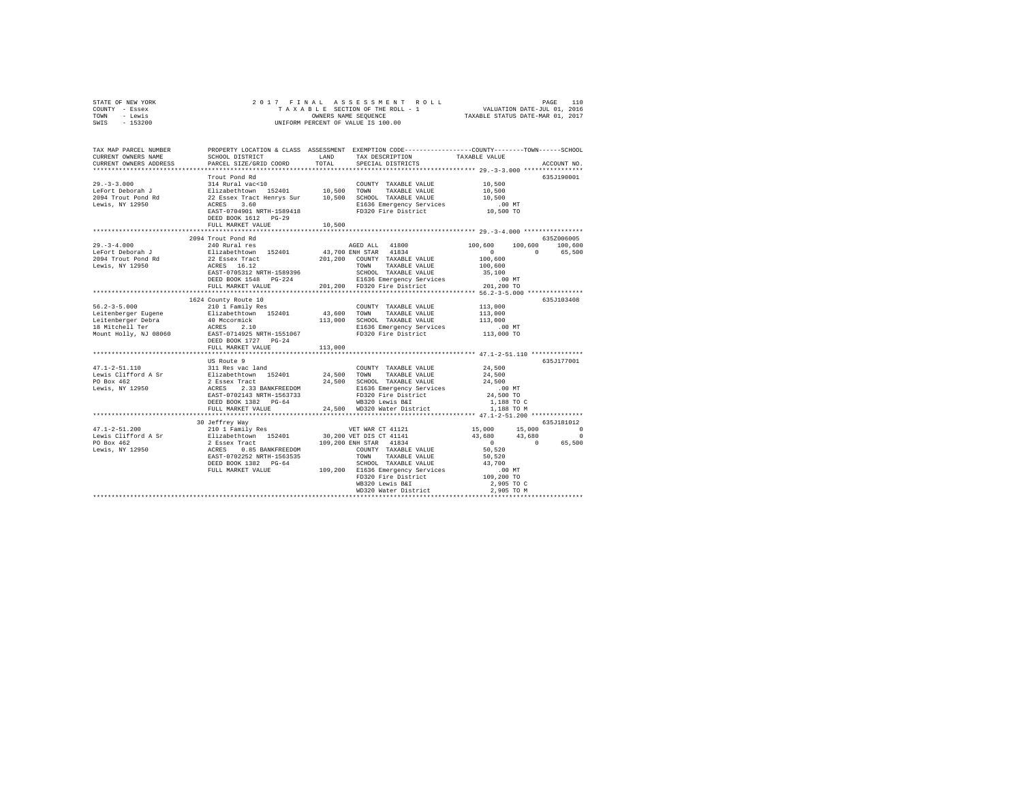| STATE OF NEW YORK | 2017 FINAL ASSESSMENT ROLL         | 110<br>PAGE                      |
|-------------------|------------------------------------|----------------------------------|
| COUNTY - Essex    | TAXABLE SECTION OF THE ROLL - 1    | VALUATION DATE-JUL 01, 2016      |
| TOWN<br>- Lewis   | OWNERS NAME SEOUENCE               | TAXABLE STATUS DATE-MAR 01, 2017 |
| $-153200$<br>SWIS | UNIFORM PERCENT OF VALUE IS 100.00 |                                  |

| TAX MAP PARCEL NUMBER<br>CURRENT OWNERS NAME<br>CURRENT OWNERS ADDRESS                                                                                                                                                                                                                                                                                              | SCHOOL DISTRICT<br>PARCEL SIZE/GRID COORD               | LAND<br>TOTAL | PROPERTY LOCATION & CLASS ASSESSMENT EXEMPTION CODE---------------COUNTY-------TOWN-----SCHOOL<br>TAX DESCRIPTION<br>SPECIAL DISTRICTS | TAXABLE VALUE                                        | ACCOUNT NO.                                 |
|---------------------------------------------------------------------------------------------------------------------------------------------------------------------------------------------------------------------------------------------------------------------------------------------------------------------------------------------------------------------|---------------------------------------------------------|---------------|----------------------------------------------------------------------------------------------------------------------------------------|------------------------------------------------------|---------------------------------------------|
|                                                                                                                                                                                                                                                                                                                                                                     | Trout Pond Rd<br>FULL MARKET VALUE                      | 10,500        |                                                                                                                                        |                                                      | 635J190001                                  |
|                                                                                                                                                                                                                                                                                                                                                                     |                                                         |               |                                                                                                                                        |                                                      |                                             |
| $\begin{tabular}{l c c c c c c c c} \hline \multicolumn{3}{c}{\textbf{LePort} & 100,600} & 100,600 & 100,600 & 100,600 & 100,600 \\ \hline \multicolumn{3}{c}{\textbf{LePort} & 100,600} & \multicolumn{3}{c}{\textbf{E1izabeth} \\ 2094 Trout Pond Rd & 22 Bsexr Tract & 201,200 & EMRs TAR & 41834 & 100,600 & 0 \\ \multicolumn{3}{c}{\textbf{E1izabeth} & 201,$ |                                                         |               |                                                                                                                                        |                                                      | 635Z006005<br>$100,600$ $100,600$<br>65,500 |
|                                                                                                                                                                                                                                                                                                                                                                     |                                                         |               |                                                                                                                                        |                                                      |                                             |
|                                                                                                                                                                                                                                                                                                                                                                     |                                                         |               |                                                                                                                                        |                                                      |                                             |
|                                                                                                                                                                                                                                                                                                                                                                     | 1624 County Route 10<br>FULL MARKET VALUE<br>US Route 9 | 113,000       |                                                                                                                                        | ************************* 47.1-2-51.110 ************ | 635J103408<br>635J177001                    |
|                                                                                                                                                                                                                                                                                                                                                                     | 30 Jeffrey Way                                          |               |                                                                                                                                        |                                                      | 635J181012                                  |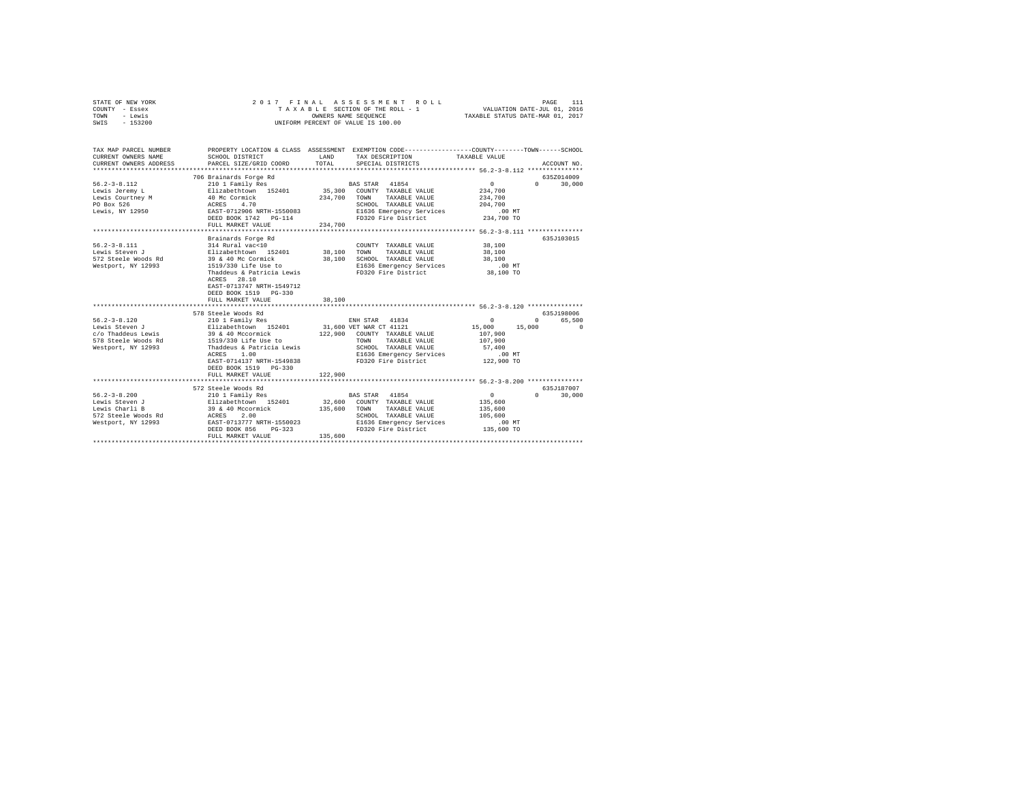| STATE OF NEW YORK<br>COUNTY - Essex<br>TOWN - Lewis<br>SWIS - 153200                                                                                                                                                                                                                                                        | 2017 FINAL                                                                                                                                                                                             | ASSESSMENT ROLL<br>T A X A B L E SECTION OF THE ROLL - 1<br>OWNERS NAME SEQUENCE<br>UNIFORM PERCENT OF VALUE IS 100.00                                                                                                                                                                  | PAGE 111<br>VALUATION DATE-JUL 01, 2016<br>TAXABLE STATUS DATE-MAR 01, 2017                                                                           |
|-----------------------------------------------------------------------------------------------------------------------------------------------------------------------------------------------------------------------------------------------------------------------------------------------------------------------------|--------------------------------------------------------------------------------------------------------------------------------------------------------------------------------------------------------|-----------------------------------------------------------------------------------------------------------------------------------------------------------------------------------------------------------------------------------------------------------------------------------------|-------------------------------------------------------------------------------------------------------------------------------------------------------|
| CURRENT OWNERS NAME<br>CURRENT OWNERS ADDRESS                                                                                                                                                                                                                                                                               | SCHOOL DISTRICT<br>PARCEL SIZE/GRID COORD                                                                                                                                                              | LAND TAX DESCRIPTION<br>TOTAL<br>SPECIAL DISTRICTS                                                                                                                                                                                                                                      | TAX MAP PARCEL NUMBER PROPERTY LOCATION & CLASS ASSESSMENT EXEMPTION CODE---------------COUNTY-------TOWN------SCHOOL<br>TAXABLE VALUE<br>ACCOUNT NO. |
| $56.2 - 3 - 8.112$<br>Lewis Jeremy L<br>Lewis Courtney M<br>PO Box 526<br>Lewis, NY 12950                                                                                                                                                                                                                                   | 706 Brainards Forge Rd<br>210 1 Family Res<br>Elizabethtown 152401<br>40 Mc Cormick<br>ACRES 4.70<br>EAST-0712906 NRTH-1550083<br>DEED BOOK 1742 PG-114<br>FULL MARKET VALUE                           | BAS STAR 41854<br>35,300 COUNTY TAXABLE VALUE<br>234,700 TOWN<br>TAXABLE VALUE<br>SCHOOL TAXABLE VALUE<br>E1636 Emergency Services<br>E1636 Emergency Services<br>FD320 Fire District<br>234,700                                                                                        | 6357014009<br>$\sim$ 0<br>$0 \t 30.000$<br>234,700<br>234,700<br>204,700<br>$.00$ MT<br>$234,700$ TO                                                  |
| $56.2 - 3 - 8.111$<br>Lewis Steven J                                                                                                                                                                                                                                                                                        | Brainards Forge Rd<br>314 Rural vac<10<br>Elizabethtown 152401<br>ACRES 28.10<br>EAST-0713747 NRTH-1549712<br>DEED BOOK 1519 PG-330<br>FULL MARKET VALUE                                               | COUNTY TAXABLE VALUE 38,100<br>38,100 TOWN<br>TAXABLE VALUE<br>Lewis Steven (2008)<br>Same Steele Woods Rd (2008)<br>Same Steele Woods Rd (2008)<br>Mestport, NY 12993 (1519/330 Life Use to B1636 Emergency Services<br>Thaddeus & Patricia Lewis (2019) PD320 Fire District<br>38,100 | 635J103015<br>38,100<br>38,100<br>$.00$ MT<br>38,100 TO                                                                                               |
| $56.2 - 3 - 8.120$<br>Lewis Steven J<br>c/o Thaddeus Lewis<br>578 Steele Woods Rd<br>Westport, NY 12993                                                                                                                                                                                                                     | 578 Steele Woods Rd<br>210 1 Family Res<br>Elizabethtown 152401<br>39 & 40 Mccormick<br>1519/330 Lire use $\sim$<br>Thaddeus & Patricia Lewis<br>EAST-0714137 NRTH-1549838<br>DEED BOOK 1519    PG-330 | ENH STAR 41834<br>31,600 VET WAR CT 41121<br>122,900 COUNTY TAXABLE VALUE<br>TOWN TAXABLE VALUE<br>SCHOOL TAXABLE VALUE<br>E1636 Emergency Services<br>FD320 Fire District                                                                                                              | 635.T198006<br>$\sim$ 0<br>0 65,500<br>15,000 15,000<br>$\sim$ 0<br>107,900<br>107,900<br>57,400<br>$.00$ MT<br>122,900 TO                            |
| 56.2-3-8.200<br>Lewis Steven J<br>Lewis Steven J<br>Lewis Charli B<br>S72 Steele Woods Rd<br>S72 Steele Woods Rd<br>S72 Steele Woods Rd<br>S72 Steele Woods Rd<br>S72 Steele Woods Rd<br>S72 Steele Woods Rd<br>S72 Steele Woods Rd<br>S72 Steele Wo<br>572 Steele Woods Rd<br>Westport, NY 12993 EAST-0713777 NRTH-1550023 | FULL MARKET VALUE<br>572 Steele Woods Rd<br>DEED BOOK 856 PG-323<br>FULL MARKET VALUE                                                                                                                  | 122,900<br>BAS STAR 41854<br>32,600 COUNTY TAXABLE VALUE<br>135,600 TOWN<br>TAXABLE VALUE<br>SCHOOL TAXABLE VALUE<br>SCHOOL TAXABLE VALUE<br>E1636 Emergency Services<br>FD320 Fire District<br>135,600                                                                                 | 635J187007<br>$\sim$ 0<br>$0 \t 30,000$<br>135,600<br>135,600<br>105,600<br>$.00$ MT<br>135,600 TO                                                    |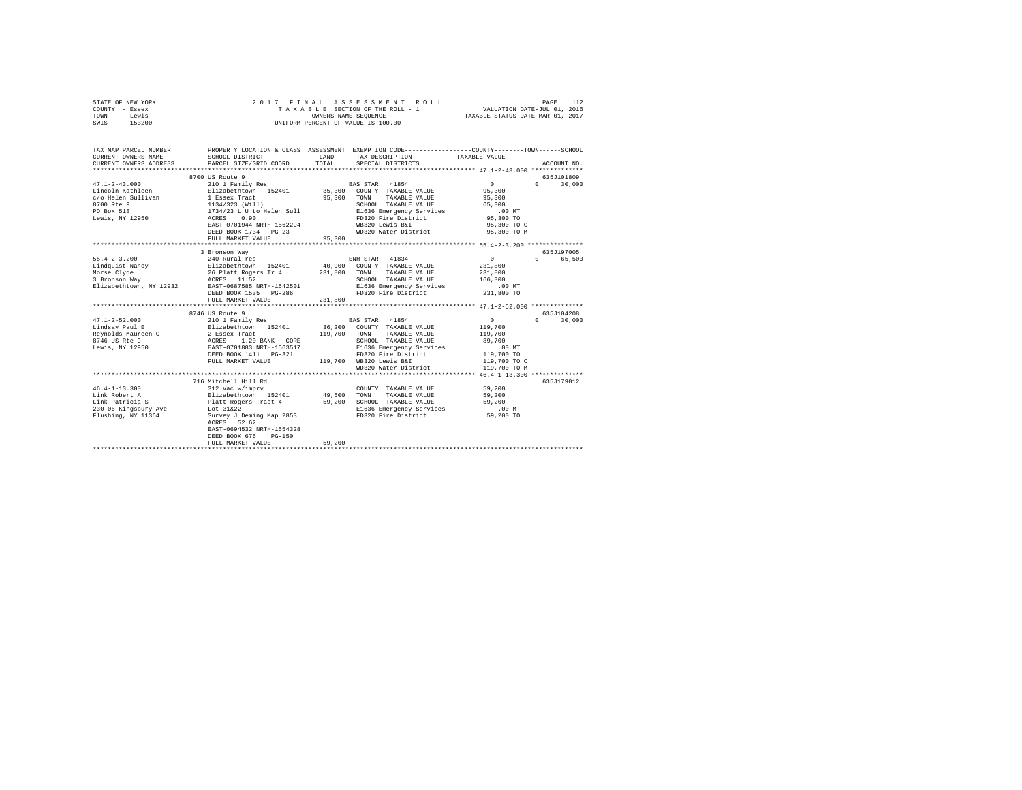| STATE OF NEW YORK<br>COUNTY - Essex<br>TOWN<br>- Lewis<br>SWIS - 153200                                                                                                                                                                                                                                                                                                                                                                          | 2017 FINAL              |        | ASSESSMENT ROLL<br>TAXABLE SECTION OF THE ROLL - 1<br>OWNERS NAME SEOUENCE<br>UNIFORM PERCENT OF VALUE IS 100.00                             | VALUATION DATE-JUL 01, 2016<br>TAXABLE STATUS DATE-MAR 01, 2017 | PAGE<br>112   |
|--------------------------------------------------------------------------------------------------------------------------------------------------------------------------------------------------------------------------------------------------------------------------------------------------------------------------------------------------------------------------------------------------------------------------------------------------|-------------------------|--------|----------------------------------------------------------------------------------------------------------------------------------------------|-----------------------------------------------------------------|---------------|
| TAX MAP PARCEL NUMBER PROPERTY LOCATION & CLASS ASSESSMENT EXEMPTION CODE--------------COUNTY-------TOWN------SCHOOL<br>CURRENT OWNERS NAME                                                                                                                                                                                                                                                                                                      | SCHOOL DISTRICT         | LAND   | TAX DESCRIPTION                                                                                                                              | TAXABLE VALUE                                                   |               |
| CURRENT OWNERS ADDRESS                                                                                                                                                                                                                                                                                                                                                                                                                           | PARCEL SIZE/GRID COORD  | TOTAL  | SPECIAL DISTRICTS                                                                                                                            |                                                                 | ACCOUNT NO.   |
|                                                                                                                                                                                                                                                                                                                                                                                                                                                  | 8700 US Route 9         |        |                                                                                                                                              |                                                                 | 635J101809    |
| $47.1 - 2 - 43.000$                                                                                                                                                                                                                                                                                                                                                                                                                              |                         |        | BAS STAR 41854                                                                                                                               | $\sim$ 0                                                        | $0 \t 30,000$ |
| Lincoln Kathleen                                                                                                                                                                                                                                                                                                                                                                                                                                 |                         |        | 35,300 COUNTY TAXABLE VALUE                                                                                                                  | 95,300                                                          |               |
| c/o Helen Sullivan                                                                                                                                                                                                                                                                                                                                                                                                                               |                         |        | 95,300 TOWN TAXABLE VALUE                                                                                                                    | 95,300                                                          |               |
| 8700 Rte 9<br>PO Box 518                                                                                                                                                                                                                                                                                                                                                                                                                         |                         |        | SCHOOL TAXABLE VALUE<br>SCHOOL TAXABLE <i>value</i><br>E1636 Emergency Services<br>FD320 Fire District<br>WB320 Lewis B&I<br>WB320 Lewis R&I | 65,300                                                          |               |
|                                                                                                                                                                                                                                                                                                                                                                                                                                                  |                         |        |                                                                                                                                              | $.00$ MT                                                        |               |
| $Lewis$ , NY 12950                                                                                                                                                                                                                                                                                                                                                                                                                               |                         |        |                                                                                                                                              | 95,300 TO                                                       |               |
|                                                                                                                                                                                                                                                                                                                                                                                                                                                  |                         |        |                                                                                                                                              | 95,300 TO C                                                     |               |
|                                                                                                                                                                                                                                                                                                                                                                                                                                                  | DEED BOOK 1734 PG-23    |        | WD320 Water District                                                                                                                         | 95,300 TO M                                                     |               |
|                                                                                                                                                                                                                                                                                                                                                                                                                                                  | FULL MARKET VALUE       | 95,300 |                                                                                                                                              |                                                                 |               |
|                                                                                                                                                                                                                                                                                                                                                                                                                                                  | 3 Bronson Way           |        |                                                                                                                                              |                                                                 | 635J197005    |
| $55.4 - 2 - 3.200$                                                                                                                                                                                                                                                                                                                                                                                                                               | 240 Rural res           |        | ENH STAR 41834                                                                                                                               | $\sim$ 0                                                        | 0 65,500      |
| Lindquist Nancy                                                                                                                                                                                                                                                                                                                                                                                                                                  |                         |        | 40,900 COUNTY TAXABLE VALUE                                                                                                                  | 231,800                                                         |               |
|                                                                                                                                                                                                                                                                                                                                                                                                                                                  |                         |        | 231,800 TOWN TAXABLE VALUE                                                                                                                   | 231,800                                                         |               |
|                                                                                                                                                                                                                                                                                                                                                                                                                                                  |                         |        |                                                                                                                                              |                                                                 |               |
|                                                                                                                                                                                                                                                                                                                                                                                                                                                  |                         |        |                                                                                                                                              |                                                                 |               |
|                                                                                                                                                                                                                                                                                                                                                                                                                                                  | DEED BOOK 1535 PG-286   |        |                                                                                                                                              |                                                                 |               |
|                                                                                                                                                                                                                                                                                                                                                                                                                                                  | FULL MARKET VALUE       |        | SCHOOL TAXABLE VALUE<br>E1636 Emergency Services .00 MT<br>FD320 Fire District  231,800 TO                                                   |                                                                 |               |
|                                                                                                                                                                                                                                                                                                                                                                                                                                                  |                         |        |                                                                                                                                              |                                                                 |               |
|                                                                                                                                                                                                                                                                                                                                                                                                                                                  | 8746 US Route 9         |        |                                                                                                                                              |                                                                 | 635J104208    |
|                                                                                                                                                                                                                                                                                                                                                                                                                                                  |                         |        | BAS STAR 41854                                                                                                                               | $\sim$ 0                                                        | $0 \t 30,000$ |
|                                                                                                                                                                                                                                                                                                                                                                                                                                                  |                         |        | 36,200 COUNTY TAXABLE VALUE                                                                                                                  | 119,700                                                         |               |
|                                                                                                                                                                                                                                                                                                                                                                                                                                                  |                         |        | 119,700 TOWN TAXABLE VALUE                                                                                                                   | 119,700                                                         |               |
|                                                                                                                                                                                                                                                                                                                                                                                                                                                  |                         |        | SCHOOL TAXABLE VALUE                                                                                                                         | 89,700                                                          |               |
|                                                                                                                                                                                                                                                                                                                                                                                                                                                  |                         |        | E1636 Emergency Services                                                                                                                     | .00 MT<br>119,700 TO                                            |               |
| $\begin{tabular}{l c c c} \multicolumn{1}{c}{\textbf{47.1-2-52.000}} & \multicolumn{1}{c}{\textbf{67.1-2-52.000}} & \multicolumn{1}{c}{\textbf{67.1-2-52.000}} & \multicolumn{1}{c}{\textbf{57.1-2-52.001}} & \multicolumn{1}{c}{\textbf{67.1-2-52.001}} & \multicolumn{1}{c}{\textbf{57.1-2-52.001}} & \multicolumn{1}{c}{\textbf{58.1-2-52.001}} & \multicolumn{1}{c}{\$                                                                       | FULL MARKET VALUE       |        | FD320 Fire District<br>119,700 WB320 Lewis B&I                                                                                               |                                                                 |               |
|                                                                                                                                                                                                                                                                                                                                                                                                                                                  |                         |        | WD320 Water District                                                                                                                         | 119,700 TO C<br>119,700 TO M                                    |               |
|                                                                                                                                                                                                                                                                                                                                                                                                                                                  |                         |        |                                                                                                                                              |                                                                 |               |
|                                                                                                                                                                                                                                                                                                                                                                                                                                                  |                         |        |                                                                                                                                              |                                                                 | 635J179012    |
|                                                                                                                                                                                                                                                                                                                                                                                                                                                  |                         |        | COUNTY TAXABLE VALUE                                                                                                                         | 59,200                                                          |               |
|                                                                                                                                                                                                                                                                                                                                                                                                                                                  |                         |        | TAXABLE VALUE                                                                                                                                | 59,200                                                          |               |
|                                                                                                                                                                                                                                                                                                                                                                                                                                                  |                         | 59,200 |                                                                                                                                              | 59,200                                                          |               |
|                                                                                                                                                                                                                                                                                                                                                                                                                                                  |                         |        | 0 SCHOOL TAXABLE VALUE<br>E1636 Emergency Services<br>FD320 Fire District                                                                    | .00 MT                                                          |               |
|                                                                                                                                                                                                                                                                                                                                                                                                                                                  |                         |        |                                                                                                                                              | 59,200 TO                                                       |               |
| $\begin{tabular}{lllllllllllll} \multicolumn{3}{l}{{\small 46.4-1-13.300}} & & & & & & & & & \\ \multicolumn{2}{l}{\small 46.4-1-13.300} & & & & & & & & \\ \multicolumn{2}{l}{\small 112.4\textwidth} & & & & & & & \\ \multicolumn{2}{l}{\small 112.4\textwidth} & & & & & & & \\ \multicolumn{2}{l}{\small 123.4\textwidth} & & & & & & & \\ \multicolumn{2}{l}{\small 230-06 Kingsbury Ave} & & & & & & & \\ \multicolumn{2}{l}{\small 231-$ |                         |        |                                                                                                                                              |                                                                 |               |
|                                                                                                                                                                                                                                                                                                                                                                                                                                                  |                         |        |                                                                                                                                              |                                                                 |               |
|                                                                                                                                                                                                                                                                                                                                                                                                                                                  | DEED BOOK 676<br>PG-150 |        |                                                                                                                                              |                                                                 |               |
|                                                                                                                                                                                                                                                                                                                                                                                                                                                  | FULL MARKET VALUE       | 59,200 |                                                                                                                                              |                                                                 |               |
|                                                                                                                                                                                                                                                                                                                                                                                                                                                  |                         |        |                                                                                                                                              |                                                                 |               |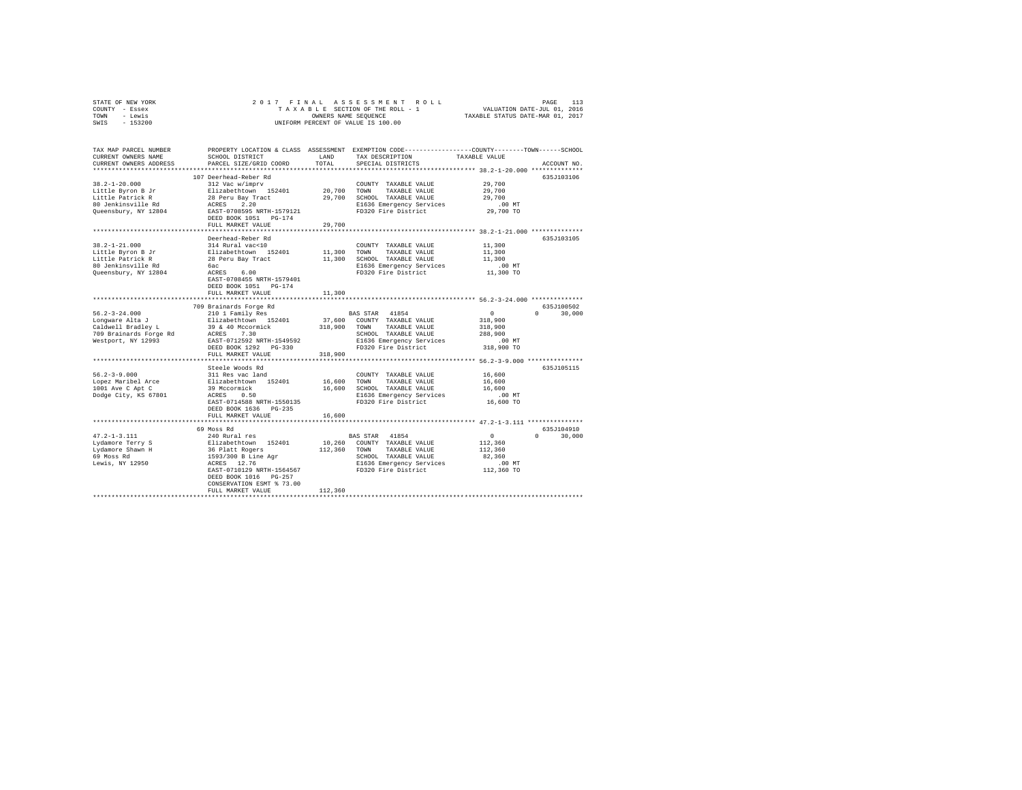|      | STATE OF NEW YORK |  |  | 2017 FINAL ASSESSMENT ROLL         |                                  | PAGE                        | 113 |
|------|-------------------|--|--|------------------------------------|----------------------------------|-----------------------------|-----|
|      | COUNTY - Essex    |  |  | TAXABLE SECTION OF THE ROLL - 1    |                                  | VALUATION DATE-JUL 01, 2016 |     |
| TOWN | - Lewis           |  |  | OWNERS NAME SEOUENCE               | TAXABLE STATUS DATE-MAR 01, 2017 |                             |     |
| SWIS | $-153200$         |  |  | UNIFORM PERCENT OF VALUE IS 100.00 |                                  |                             |     |

| TAX MAP PARCEL NUMBER<br>CURRENT OWNERS NAME<br>CURRENT OWNERS ADDRESS | SCHOOL DISTRICT<br>PARCEL SIZE/GRID COORD | <b>T.AND</b><br>TOTAL | PROPERTY LOCATION & CLASS ASSESSMENT EXEMPTION CODE---------------COUNTY-------TOWN-----SCHOOL<br>TAX DESCRIPTION<br>SPECIAL DISTRICTS | TAXABLE VALUE | ACCOUNT NO.        |
|------------------------------------------------------------------------|-------------------------------------------|-----------------------|----------------------------------------------------------------------------------------------------------------------------------------|---------------|--------------------|
| **********************                                                 |                                           |                       |                                                                                                                                        |               |                    |
|                                                                        | 107 Deerhead-Reber Rd                     |                       |                                                                                                                                        |               | 635J103106         |
| $38.2 - 1 - 20.000$                                                    | 312 Vac w/imprv                           |                       | COUNTY TAXABLE VALUE                                                                                                                   | 29,700        |                    |
| Little Byron B Jr                                                      | Elizabethtown 152401                      | 20,700                | TOWN<br>TAXABLE VALUE                                                                                                                  | 29,700        |                    |
| Little Patrick R                                                       | 28 Peru Bay Tract                         | 29,700                | SCHOOL TAXABLE VALUE                                                                                                                   | 29,700        |                    |
| 80 Jenkinsville Rd                                                     | ACRES 2.20                                |                       | E1636 Emergency Services                                                                                                               | $.00$ MT      |                    |
| Queensbury, NY 12804                                                   | EAST-0708595 NRTH-1579121                 |                       | FD320 Fire District                                                                                                                    | 29,700 TO     |                    |
|                                                                        | DEED BOOK 1051 PG-174                     |                       |                                                                                                                                        |               |                    |
|                                                                        | FULL MARKET VALUE                         | 29,700                |                                                                                                                                        |               |                    |
|                                                                        |                                           |                       |                                                                                                                                        |               |                    |
|                                                                        | Deerhead-Reber Rd                         |                       |                                                                                                                                        |               | 635J103105         |
| $38.2 - 1 - 21.000$                                                    | 314 Rural vac<10                          |                       | COUNTY TAXABLE VALUE                                                                                                                   | 11,300        |                    |
| Little Byron B Jr                                                      | Elizabethtown 152401                      | 11,300                | TOWN<br>TAXABLE VALUE                                                                                                                  | 11,300        |                    |
| Little Patrick R                                                       | 28 Peru Bay Tract                         | 11,300                | SCHOOL TAXABLE VALUE                                                                                                                   | 11,300        |                    |
| 80 Jenkinsville Rd                                                     | бас                                       |                       | E1636 Emergency Services                                                                                                               | .00 MT        |                    |
| Queensbury, NY 12804                                                   | ACRES<br>6.00                             |                       | FD320 Fire District                                                                                                                    | 11,300 TO     |                    |
|                                                                        | EAST-0708455 NRTH-1579401                 |                       |                                                                                                                                        |               |                    |
|                                                                        | DEED BOOK 1051 PG-174                     |                       |                                                                                                                                        |               |                    |
|                                                                        | FULL MARKET VALUE                         | 11,300                |                                                                                                                                        |               |                    |
|                                                                        |                                           |                       | ****************************** 56.2-3-24.000 **************                                                                            |               |                    |
|                                                                        | 709 Brainards Forge Rd                    |                       |                                                                                                                                        |               | 635J100502         |
| $56.2 - 3 - 24.000$                                                    | 210 1 Family Res                          |                       | BAS STAR 41854                                                                                                                         | $\circ$       | $\Omega$<br>30,000 |
| Lonqware Alta J                                                        | Elizabethtown 152401                      | 37,600                | COUNTY TAXABLE VALUE                                                                                                                   | 318,900       |                    |
| Caldwell Bradley L                                                     | 39 & 40 Mccormick                         | 318,900               | TOWN<br>TAXABLE VALUE                                                                                                                  | 318,900       |                    |
| 709 Brainards Forge Rd                                                 | ACRES 7.30                                |                       | SCHOOL TAXABLE VALUE                                                                                                                   | 288,900       |                    |
| Westport, NY 12993                                                     | EAST-0712592 NRTH-1549592                 |                       | E1636 Emergency Services                                                                                                               | $.00$ MT      |                    |
|                                                                        | DEED BOOK 1292 PG-330                     |                       | FD320 Fire District                                                                                                                    | 318,900 TO    |                    |
|                                                                        | FULL MARKET VALUE                         | 318,900               |                                                                                                                                        |               |                    |
|                                                                        |                                           | .                     | ************************************ 56.2-3-9.000 ***************                                                                      |               |                    |
|                                                                        | Steele Woods Rd                           |                       |                                                                                                                                        |               | 635J105115         |
| $56.2 - 3 - 9.000$                                                     | 311 Res vac land                          |                       | COUNTY TAXABLE VALUE                                                                                                                   | 16,600        |                    |
| Lopez Maribel Arce                                                     | Elizabethtown 152401                      | 16,600                | TOWN<br>TAXABLE VALUE                                                                                                                  | 16,600        |                    |
| 1001 Ave C Apt C                                                       | 39 Mccormick                              | 16,600                | SCHOOL TAXABLE VALUE                                                                                                                   | 16,600        |                    |
| Dodge City, KS 67801                                                   | ACRES<br>0.50                             |                       | E1636 Emergency Services                                                                                                               | $.00$ MT      |                    |
|                                                                        | EAST-0714588 NRTH-1550135                 |                       | FD320 Fire District                                                                                                                    | 16,600 TO     |                    |
|                                                                        | DEED BOOK 1636 PG-235                     |                       |                                                                                                                                        |               |                    |
|                                                                        | FULL MARKET VALUE                         | 16,600                |                                                                                                                                        |               |                    |
|                                                                        | ************************                  |                       |                                                                                                                                        |               |                    |
|                                                                        | 69 Moss Rd                                |                       |                                                                                                                                        |               | 635J104910         |
| $47.2 - 1 - 3.111$                                                     | 240 Rural res                             |                       | BAS STAR 41854                                                                                                                         | $\Omega$      | $\Omega$<br>30,000 |
| Lydamore Terry S                                                       | Elizabethtown 152401                      | 10,260                | COUNTY TAXABLE VALUE                                                                                                                   | 112,360       |                    |
| Lydamore Shawn H                                                       | 36 Platt Rogers                           | 112,360               | TOWN TAXABLE VALUE                                                                                                                     | 112,360       |                    |
| 69 Moss Rd                                                             | 1593/300 B Line Agr                       |                       | SCHOOL TAXABLE VALUE                                                                                                                   | 82,360        |                    |
| Lewis, NY 12950                                                        | ACRES 12.76                               |                       | E1636 Emergency Services                                                                                                               | .00 MT        |                    |
|                                                                        | EAST-0710129 NRTH-1564567                 |                       | FD320 Fire District                                                                                                                    | 112,360 TO    |                    |
|                                                                        | DEED BOOK 1016 PG-257                     |                       |                                                                                                                                        |               |                    |
|                                                                        | CONSERVATION ESMT % 73.00                 |                       |                                                                                                                                        |               |                    |
|                                                                        | FULL MARKET VALUE                         | 112,360               |                                                                                                                                        |               |                    |
|                                                                        |                                           |                       |                                                                                                                                        |               |                    |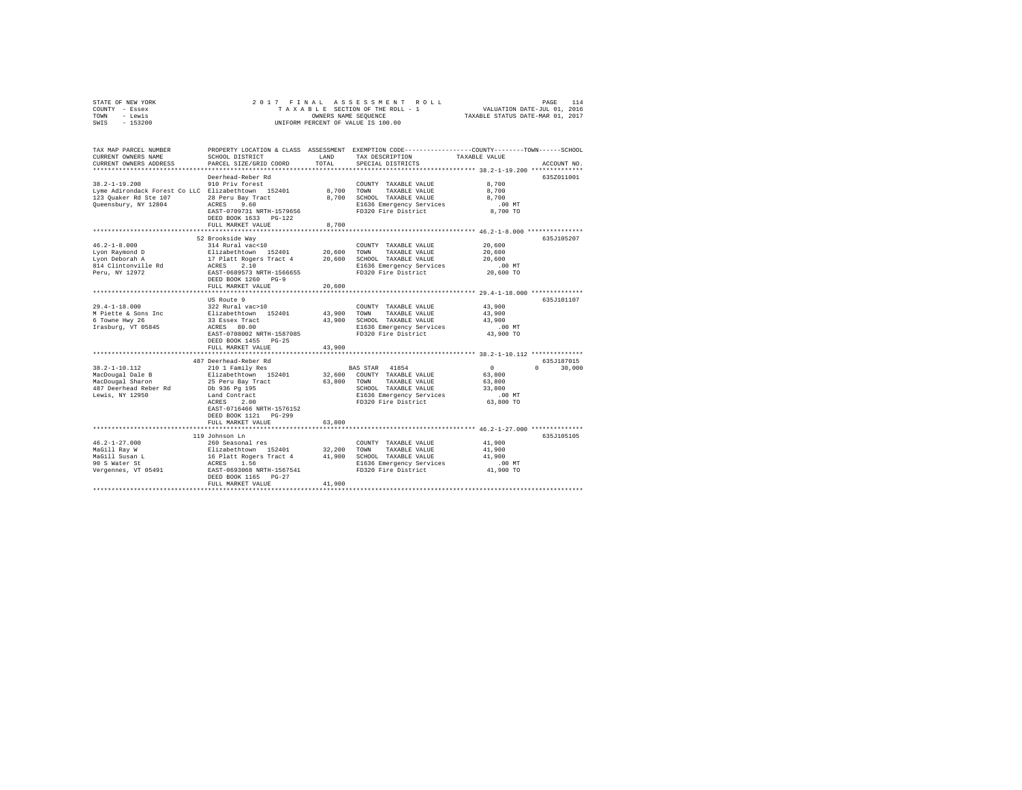| STATE OF NEW YORK | 2017 FINAL ASSESSMENT ROLL         | 114<br>PAGE                      |
|-------------------|------------------------------------|----------------------------------|
| COUNTY - Essex    | TAXABLE SECTION OF THE ROLL - 1    | VALUATION DATE-JUL 01, 2016      |
| TOWN<br>- Lewis   | OWNERS NAME SEOUENCE               | TAXABLE STATUS DATE-MAR 01, 2017 |
| $-153200$<br>SWIS | UNIFORM PERCENT OF VALUE IS 100.00 |                                  |

| TAX MAP PARCEL NUMBER<br>CURRENT OWNERS NAME<br>CURRENT OWNERS ADDRESS                                                     | SCHOOL DISTRICT<br>PARCEL SIZE/GRID COORD                                                                                                                                         | LAND<br>TOTAL                   | PROPERTY LOCATION & CLASS ASSESSMENT EXEMPTION CODE----------------COUNTY-------TOWN------SCHOOL<br>TAX DESCRIPTION<br>SPECIAL DISTRICTS  | TAXABLE VALUE                                                             | ACCOUNT NO. |
|----------------------------------------------------------------------------------------------------------------------------|-----------------------------------------------------------------------------------------------------------------------------------------------------------------------------------|---------------------------------|-------------------------------------------------------------------------------------------------------------------------------------------|---------------------------------------------------------------------------|-------------|
| *************************                                                                                                  |                                                                                                                                                                                   |                                 |                                                                                                                                           |                                                                           |             |
| $38.2 - 1 - 19.200$<br>Lyme Adirondack Forest Co LLC Elizabethtown 152401<br>123 Quaker Rd Ste 107<br>Queensbury, NY 12804 | Deerhead-Reber Rd<br>910 Priv forest<br>28 Peru Bay Tract<br>ACRES 9.60<br>EAST-0709731 NRTH-1579656<br>DEED BOOK 1633 PG-122                                                     | 8,700 TOWN                      | COUNTY TAXABLE VALUE<br>TAXABLE VALUE<br>8,700 SCHOOL TAXABLE VALUE<br>E1636 Emergency Services<br>FD320 Fire District                    | 8,700<br>8,700<br>8,700<br>.00 MT<br>8,700 TO                             | 635Z011001  |
|                                                                                                                            | FULL MARKET VALUE                                                                                                                                                                 | 8,700                           |                                                                                                                                           |                                                                           |             |
|                                                                                                                            |                                                                                                                                                                                   |                                 |                                                                                                                                           |                                                                           |             |
| $46.2 - 1 - 8.000$<br>Lyon Raymond D<br>Lyon Deborah A<br>814 Clintonville Rd<br>Peru, NY 12972                            | 52 Brookside Way<br>314 Rural vac<10<br>Elizabethtown 152401<br>17 Platt Rogers Tract 4<br>2.10<br>ACRES<br>EAST-0689573 NRTH-1566655<br>DEED BOOK 1260 PG-9<br>FULL MARKET VALUE | 20,600<br>20,600<br>20,600      | COUNTY TAXABLE VALUE<br>TAXABLE VALUE<br>TOWN<br>SCHOOL TAXABLE VALUE<br>E1636 Emergency Services<br>FD320 Fire District                  | 20,600<br>20,600<br>20,600<br>.00 MT<br>20,600 TO                         | 635J105207  |
|                                                                                                                            | US Route 9                                                                                                                                                                        |                                 |                                                                                                                                           |                                                                           | 635J101107  |
| $29.4 - 1 - 18.000$<br>M Piette & Sons Inc<br>6 Towne Hwy 26<br>Irasburg, VT 05845                                         | 322 Rural vac>10<br>Elizabethtown 152401<br>33 Essex Tract<br>ACRES 80.00<br>EAST-0708002 NRTH-1587085<br>DEED BOOK 1455 PG-25<br>FULL MARKET VALUE                               | 43,900<br>43,900<br>43,900      | COUNTY TAXABLE VALUE<br>TOWN<br>TAXABLE VALUE<br>SCHOOL TAXABLE VALUE<br>E1636 Emergency Services<br>FD320 Fire District                  | 43,900<br>43,900<br>43,900<br>.00 MT<br>43,900 TO                         |             |
|                                                                                                                            | 487 Deerhead-Reber Rd                                                                                                                                                             |                                 |                                                                                                                                           |                                                                           | 635J187015  |
| $38.2 - 1 - 10.112$<br>MacDougal Dale B<br>MacDougal Sharon<br>487 Deerhead Reber Rd<br>Lewis, NY 12950                    | 210 1 Family Res<br>Elizabethtown 152401<br>25 Peru Bay Tract<br>Db 936 Pg 195<br>Land Contract<br>ACRES<br>2.00<br>EAST-0716466 NRTH-1576152<br>DEED BOOK 1121 PG-299            | 63.800 TOWN                     | BAS STAR 41854<br>32,600 COUNTY TAXABLE VALUE<br>TAXABLE VALUE<br>SCHOOL TAXABLE VALUE<br>E1636 Emergency Services<br>FD320 Fire District | $\Omega$<br>$\cap$<br>63,800<br>63,800<br>33,800<br>$.00$ MT<br>63,800 TO | 30,000      |
|                                                                                                                            | FULL MARKET VALUE                                                                                                                                                                 | 63,800                          |                                                                                                                                           |                                                                           |             |
|                                                                                                                            |                                                                                                                                                                                   |                                 |                                                                                                                                           |                                                                           |             |
| $46.2 - 1 - 27.000$<br>MaGill Ray W<br>MaGill Susan L<br>90 S Water St<br>Vergennes, VT 05491                              | 119 Johnson Ln<br>260 Seasonal res<br>Elizabethtown 152401<br>16 Platt Rogers Tract 4<br>1.56<br>ACRES<br>EAST-0693068 NRTH-1567541<br>DEED BOOK 1165 PG-27<br>FULL MARKET VALUE  | 32,200 TOWN<br>41,900<br>41,900 | COUNTY TAXABLE VALUE<br>TAXABLE VALUE<br>SCHOOL TAXABLE VALUE<br>E1636 Emergency Services<br>FD320 Fire District                          | 41,900<br>41,900<br>41,900<br>$.00$ MT<br>41,900 TO                       | 635J105105  |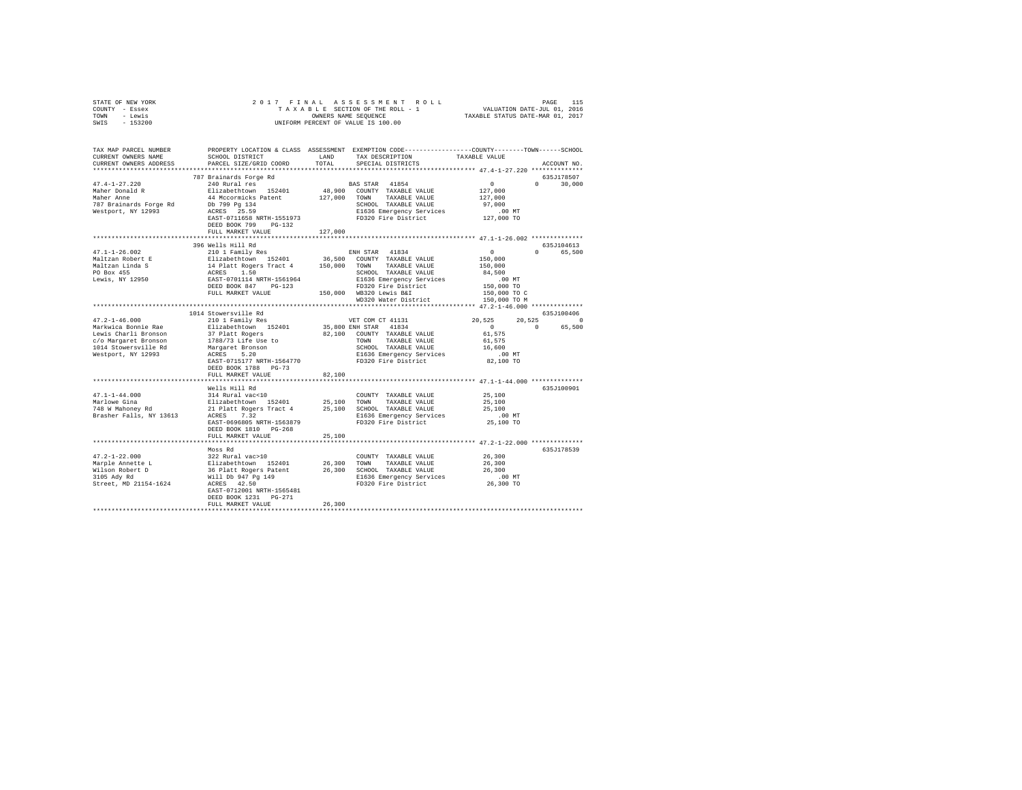| STATE OF NEW YORK                                                                                                                                                                                                                                                                                                                                                                                                                                                                         |                           |         |                                                    |                                             |               |
|-------------------------------------------------------------------------------------------------------------------------------------------------------------------------------------------------------------------------------------------------------------------------------------------------------------------------------------------------------------------------------------------------------------------------------------------------------------------------------------------|---------------------------|---------|----------------------------------------------------|---------------------------------------------|---------------|
| COUNTY - Essex                                                                                                                                                                                                                                                                                                                                                                                                                                                                            |                           |         |                                                    |                                             |               |
| TOWN - Lewis                                                                                                                                                                                                                                                                                                                                                                                                                                                                              |                           |         |                                                    |                                             |               |
| SWIS - 153200                                                                                                                                                                                                                                                                                                                                                                                                                                                                             |                           |         |                                                    |                                             |               |
|                                                                                                                                                                                                                                                                                                                                                                                                                                                                                           |                           |         |                                                    |                                             |               |
|                                                                                                                                                                                                                                                                                                                                                                                                                                                                                           |                           |         |                                                    |                                             |               |
|                                                                                                                                                                                                                                                                                                                                                                                                                                                                                           |                           |         |                                                    |                                             |               |
|                                                                                                                                                                                                                                                                                                                                                                                                                                                                                           |                           |         |                                                    |                                             |               |
| TAX MAP PARCEL NUMBER PROPERTY LOCATION & CLASS ASSESSMENT EXEMPTION CODE---------------COUNTY-------TOWN-----SCHOOL                                                                                                                                                                                                                                                                                                                                                                      |                           |         | SCHOOL DISTRICT LAND TAX DESCRIPTION TAXABLE VALUE |                                             |               |
| CURRENT OWNERS NAME                                                                                                                                                                                                                                                                                                                                                                                                                                                                       |                           |         |                                                    |                                             |               |
| CURRENT OWNERS ADDRESS                                                                                                                                                                                                                                                                                                                                                                                                                                                                    | PARCEL SIZE/GRID COORD    | TOTAL   | SPECIAL DISTRICTS                                  |                                             | ACCOUNT NO.   |
|                                                                                                                                                                                                                                                                                                                                                                                                                                                                                           |                           |         |                                                    |                                             |               |
|                                                                                                                                                                                                                                                                                                                                                                                                                                                                                           | 787 Brainards Forge Rd    |         |                                                    |                                             | 635J178507    |
| $47.4 - 1 - 27.220$                                                                                                                                                                                                                                                                                                                                                                                                                                                                       |                           |         |                                                    |                                             | $0 \t 30,000$ |
|                                                                                                                                                                                                                                                                                                                                                                                                                                                                                           |                           |         |                                                    |                                             |               |
| Maher Donald R<br>Maher Donald R<br>Maher Anne<br>Maher Douald Maher Anne (1999 1941 Meconnicks Patent 127,000 TOWN TAXABLE VALUE 127,000<br>127,000 TOWN TAXABLE VALUE 127,000<br>127 Brainards Forge Rd bb 799 134<br>Mestport, NY 12993 RARES 25.59 E1636 Emergency Services<br>RARES                                                                                                                                                                                                  |                           |         |                                                    |                                             |               |
|                                                                                                                                                                                                                                                                                                                                                                                                                                                                                           |                           |         |                                                    |                                             |               |
|                                                                                                                                                                                                                                                                                                                                                                                                                                                                                           |                           |         |                                                    |                                             |               |
|                                                                                                                                                                                                                                                                                                                                                                                                                                                                                           |                           |         |                                                    |                                             |               |
|                                                                                                                                                                                                                                                                                                                                                                                                                                                                                           |                           |         |                                                    |                                             |               |
|                                                                                                                                                                                                                                                                                                                                                                                                                                                                                           | DEED BOOK 799 PG-132      |         |                                                    |                                             |               |
|                                                                                                                                                                                                                                                                                                                                                                                                                                                                                           | FULL MARKET VALUE         | 127,000 |                                                    |                                             |               |
|                                                                                                                                                                                                                                                                                                                                                                                                                                                                                           |                           |         |                                                    |                                             |               |
|                                                                                                                                                                                                                                                                                                                                                                                                                                                                                           | 396 Wells Hill Rd         |         |                                                    |                                             | 635J104613    |
| $47.1 - 1 - 26.002$                                                                                                                                                                                                                                                                                                                                                                                                                                                                       | 210 1 Family Res          |         | ENH STAR 41834                                     | $\begin{array}{c} 0 \\ 150,000 \end{array}$ | 0 65,500      |
| $\begin{tabular}{l c c c c c} \multicolumn{1}{c}{\textbf{Mailzane Robert E}} & \multicolumn{1}{c}{2101} \multicolumn{1}{c}{\textbf{Mailzane Robert E}} & \multicolumn{1}{c}{2101} \multicolumn{1}{c}{\textbf{Mailzane Robert E}} & \multicolumn{1}{c}{\textbf{Mailzane in}} & \multicolumn{1}{c}{\textbf{Mailzane in}} \\ \multicolumn{1}{c}{\textbf{Mailzane In}} & \multicolumn{1}{c}{\textbf{Allz Roger Tract 4}} & \multicolumn{1}{c}{\textbf{150}} & \multicolumn{1}{c}{\textbf{100$ |                           |         |                                                    |                                             |               |
|                                                                                                                                                                                                                                                                                                                                                                                                                                                                                           |                           |         |                                                    | 150,000                                     |               |
|                                                                                                                                                                                                                                                                                                                                                                                                                                                                                           |                           |         |                                                    |                                             |               |
|                                                                                                                                                                                                                                                                                                                                                                                                                                                                                           |                           |         |                                                    | 84,500                                      |               |
|                                                                                                                                                                                                                                                                                                                                                                                                                                                                                           |                           |         |                                                    | .00 MT<br>150,000 TO<br>150,000 TO C        |               |
|                                                                                                                                                                                                                                                                                                                                                                                                                                                                                           |                           |         |                                                    |                                             |               |
|                                                                                                                                                                                                                                                                                                                                                                                                                                                                                           |                           |         |                                                    |                                             |               |
|                                                                                                                                                                                                                                                                                                                                                                                                                                                                                           |                           |         | WD320 Water District 150,000 TO M                  |                                             |               |
|                                                                                                                                                                                                                                                                                                                                                                                                                                                                                           |                           |         |                                                    |                                             |               |
|                                                                                                                                                                                                                                                                                                                                                                                                                                                                                           | 1014 Stowersville Rd      |         |                                                    |                                             | 635J100406    |
|                                                                                                                                                                                                                                                                                                                                                                                                                                                                                           |                           |         |                                                    | $20,525$ $20,525$ 0<br>0 0 65,500           |               |
|                                                                                                                                                                                                                                                                                                                                                                                                                                                                                           |                           |         |                                                    |                                             |               |
|                                                                                                                                                                                                                                                                                                                                                                                                                                                                                           |                           |         |                                                    |                                             |               |
|                                                                                                                                                                                                                                                                                                                                                                                                                                                                                           |                           |         |                                                    |                                             |               |
|                                                                                                                                                                                                                                                                                                                                                                                                                                                                                           |                           |         |                                                    |                                             |               |
|                                                                                                                                                                                                                                                                                                                                                                                                                                                                                           |                           |         |                                                    |                                             |               |
|                                                                                                                                                                                                                                                                                                                                                                                                                                                                                           |                           |         |                                                    |                                             |               |
|                                                                                                                                                                                                                                                                                                                                                                                                                                                                                           |                           |         |                                                    |                                             |               |
|                                                                                                                                                                                                                                                                                                                                                                                                                                                                                           | DEED BOOK 1788 PG-73      |         |                                                    |                                             |               |
|                                                                                                                                                                                                                                                                                                                                                                                                                                                                                           | FULL MARKET VALUE         | 82,100  |                                                    |                                             |               |
|                                                                                                                                                                                                                                                                                                                                                                                                                                                                                           |                           |         |                                                    |                                             |               |
|                                                                                                                                                                                                                                                                                                                                                                                                                                                                                           |                           |         |                                                    |                                             | 635J100901    |
|                                                                                                                                                                                                                                                                                                                                                                                                                                                                                           |                           |         |                                                    |                                             |               |
|                                                                                                                                                                                                                                                                                                                                                                                                                                                                                           |                           |         |                                                    |                                             |               |
|                                                                                                                                                                                                                                                                                                                                                                                                                                                                                           |                           |         |                                                    |                                             |               |
|                                                                                                                                                                                                                                                                                                                                                                                                                                                                                           |                           |         |                                                    |                                             |               |
|                                                                                                                                                                                                                                                                                                                                                                                                                                                                                           |                           |         |                                                    |                                             |               |
|                                                                                                                                                                                                                                                                                                                                                                                                                                                                                           |                           |         |                                                    |                                             |               |
|                                                                                                                                                                                                                                                                                                                                                                                                                                                                                           |                           |         |                                                    |                                             |               |
|                                                                                                                                                                                                                                                                                                                                                                                                                                                                                           | FULL MARKET VALUE         | 25,100  |                                                    |                                             |               |
|                                                                                                                                                                                                                                                                                                                                                                                                                                                                                           |                           |         |                                                    |                                             |               |
|                                                                                                                                                                                                                                                                                                                                                                                                                                                                                           | Moss Rd                   |         |                                                    |                                             | 635J178539    |
|                                                                                                                                                                                                                                                                                                                                                                                                                                                                                           |                           |         |                                                    |                                             |               |
|                                                                                                                                                                                                                                                                                                                                                                                                                                                                                           |                           |         |                                                    |                                             |               |
|                                                                                                                                                                                                                                                                                                                                                                                                                                                                                           |                           |         |                                                    |                                             |               |
|                                                                                                                                                                                                                                                                                                                                                                                                                                                                                           |                           |         |                                                    |                                             |               |
|                                                                                                                                                                                                                                                                                                                                                                                                                                                                                           |                           |         |                                                    |                                             |               |
|                                                                                                                                                                                                                                                                                                                                                                                                                                                                                           |                           |         |                                                    |                                             |               |
|                                                                                                                                                                                                                                                                                                                                                                                                                                                                                           | EAST-0712001 NRTH-1565481 |         |                                                    |                                             |               |
|                                                                                                                                                                                                                                                                                                                                                                                                                                                                                           | DEED BOOK 1231 PG-271     |         |                                                    |                                             |               |
|                                                                                                                                                                                                                                                                                                                                                                                                                                                                                           | FULL MARKET VALUE         | 26,300  |                                                    |                                             |               |
|                                                                                                                                                                                                                                                                                                                                                                                                                                                                                           |                           |         |                                                    |                                             |               |
|                                                                                                                                                                                                                                                                                                                                                                                                                                                                                           |                           |         |                                                    |                                             |               |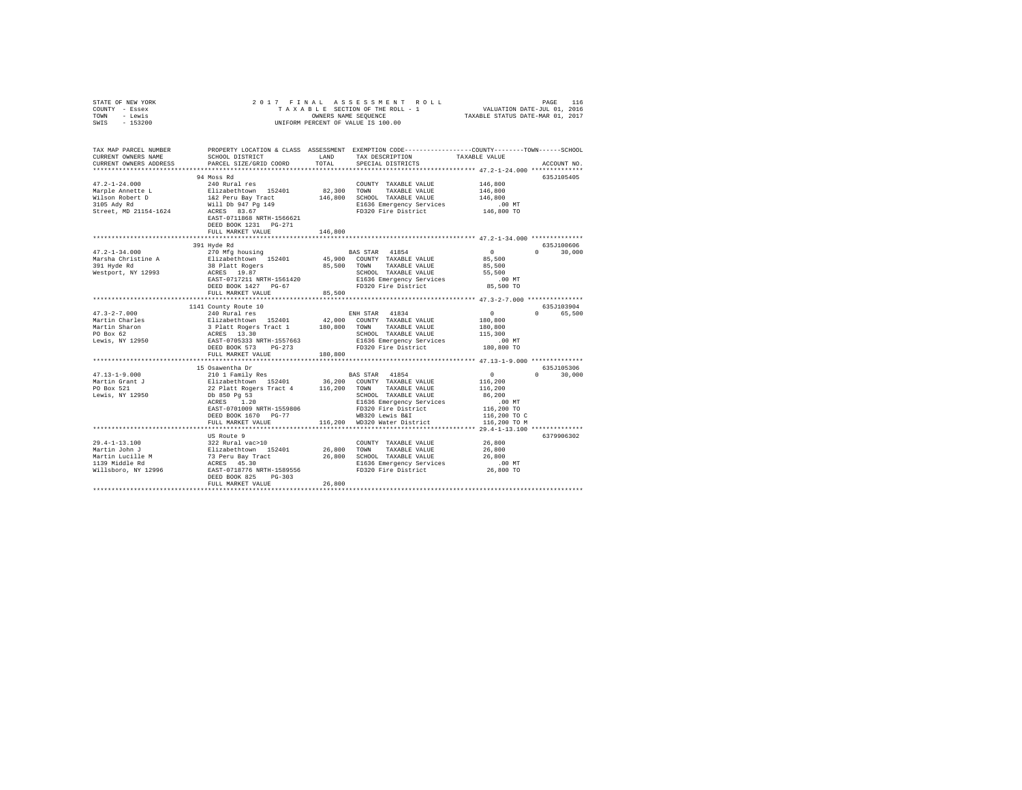| STATE OF NEW YORK<br>COUNTY - Essex<br>- Lewis<br>TOWN<br>$-153200$<br>SWIS | 2017 FINAL                                                                                                                                 |               | UNIFORM PERCENT OF VALUE IS 100.00                                                              |                              |                      |
|-----------------------------------------------------------------------------|--------------------------------------------------------------------------------------------------------------------------------------------|---------------|-------------------------------------------------------------------------------------------------|------------------------------|----------------------|
| TAX MAP PARCEL NUMBER                                                       |                                                                                                                                            |               | PROPERTY LOCATION & CLASS ASSESSMENT EXEMPTION CODE---------------COUNTY-------TOWN------SCHOOL |                              |                      |
| CURRENT OWNERS NAME<br>CURRENT OWNERS ADDRESS                               | SCHOOL DISTRICT<br>PARCEL SIZE/GRID COORD                                                                                                  | LAND<br>TOTAL | TAX DESCRIPTION<br>SPECIAL DISTRICTS                                                            | TAXABLE VALUE                | ACCOUNT NO.          |
| **************************                                                  |                                                                                                                                            |               |                                                                                                 |                              |                      |
|                                                                             | 94 Moss Rd                                                                                                                                 |               |                                                                                                 |                              | 635J105405           |
| $47.2 - 1 - 24.000$                                                         | 240 Rural res                                                                                                                              |               | COUNTY TAXABLE VALUE                                                                            | 146,800                      |                      |
| Marple Annette L                                                            | Elizabethtown 152401                                                                                                                       | 82,300        | TOWN<br>TAXABLE VALUE                                                                           | 146,800                      |                      |
| Wilson Robert D<br>3105 Ady Rd                                              | 1&2 Peru Bay Tract                                                                                                                         |               | 146,800 SCHOOL TAXABLE VALUE                                                                    | 146,800                      |                      |
| Street, MD 21154-1624                                                       | Will Db 947 Pg 149<br>ACRES 83.67                                                                                                          |               | E1636 Emergency Services<br>FD320 Fire District                                                 | $.00$ MT<br>146,800 TO       |                      |
|                                                                             | EAST-0711868 NRTH-1566621<br>DEED BOOK 1231 PG-271                                                                                         |               |                                                                                                 |                              |                      |
|                                                                             | FULL MARKET VALUE                                                                                                                          | 146,800       |                                                                                                 |                              |                      |
|                                                                             | 391 Hyde Rd                                                                                                                                |               |                                                                                                 |                              | 635J100606           |
| $47.2 - 1 - 34.000$                                                         | 270 Mfg housing                                                                                                                            |               | BAS STAR 41854                                                                                  | $\sim$ 0                     | $0 \t 30,000$        |
| Marsha Christine A                                                          | Elizabethtown 152401                                                                                                                       |               | 45,900 COUNTY TAXABLE VALUE                                                                     | 85,500                       |                      |
| 391 Hyde Rd                                                                 | 38 Platt Rogers                                                                                                                            |               | 85,500 TOWN TAXABLE VALUE                                                                       | 85,500                       |                      |
| Westport, NY 12993                                                          | ACRES 19.87                                                                                                                                |               | SCHOOL TAXABLE VALUE                                                                            | 55,500                       |                      |
|                                                                             | EAST-0717211 NRTH-1561420<br>DEED BOOK 1427 PG-67                                                                                          |               | E1636 Emergency Services<br>FD320 Fire District                                                 | $.00$ MT<br>85,500 TO        |                      |
|                                                                             | FULL MARKET VALUE                                                                                                                          | 85,500        |                                                                                                 |                              |                      |
|                                                                             |                                                                                                                                            |               |                                                                                                 |                              |                      |
|                                                                             | 1141 County Route 10                                                                                                                       |               |                                                                                                 |                              | 635J103904           |
| $47.3 - 2 - 7.000$                                                          | $240$ Rural res                                                                                                                            |               | ENH STAR 41834                                                                                  | $\sim$ 0                     | 0 65,500             |
| Martin Charles                                                              |                                                                                                                                            |               | 42,000 COUNTY TAXABLE VALUE                                                                     | 180,800                      |                      |
| Martin Sharon<br>PO Box 62                                                  | Elizabethtown 152401 42,000 COUNTY<br>3 Platt Rogers Tract 1 180,800 TOWN<br>ACRES 13.30 5000 SCHOOL<br>EAST-0705333 NRTH-1557663 E1636 En |               | TAXABLE VALUE<br>SCHOOL TAXABLE VALUE                                                           | 180,800<br>115,300           |                      |
| Lewis, NY 12950                                                             |                                                                                                                                            |               | E1636 Emergency Services                                                                        | $.00$ MT                     |                      |
|                                                                             | DEED BOOK 573 PG-273                                                                                                                       |               | FD320 Fire District                                                                             | 180,800 TO                   |                      |
|                                                                             | FULL MARKET VALUE                                                                                                                          | 180,800       |                                                                                                 |                              |                      |
|                                                                             |                                                                                                                                            |               |                                                                                                 |                              |                      |
| $47.13 - 1 - 9.000$                                                         | 15 Osawentha Dr<br>210 1 Family Res                                                                                                        |               | <b>BAS STAR</b> 41854                                                                           | $\mathbf{0}$<br>$\Omega$     | 635J105306<br>30,000 |
| Martin Grant J                                                              |                                                                                                                                            |               | 36,200 COUNTY TAXABLE VALUE                                                                     | 116,200                      |                      |
| PO Box 521                                                                  | Elizabethtown 152401<br>22 Platt Rogers Tract 4                                                                                            |               | 116,200 TOWN TAXABLE VALUE                                                                      | 116,200                      |                      |
| Lewis, NY 12950                                                             | Db 850 Pg 53                                                                                                                               |               | SCHOOL TAXABLE VALUE                                                                            | 86,200                       |                      |
|                                                                             | ACRES 1.20                                                                                                                                 |               | E1636 Emergency Services                                                                        | .00MT                        |                      |
|                                                                             | EAST-0701009 NRTH-1559806                                                                                                                  |               | FD320 Fire District                                                                             | 116,200 TO                   |                      |
|                                                                             | DEED BOOK 1670 PG-77<br>FULL MARKET VALUE                                                                                                  |               | WB320 Lewis B&I<br>116,200 WD320 Water District                                                 | 116,200 TO C<br>116,200 TO M |                      |
|                                                                             |                                                                                                                                            |               |                                                                                                 |                              |                      |
|                                                                             | US Route 9                                                                                                                                 |               |                                                                                                 |                              | 6379906302           |
| 29.4-1-13.100                                                               | 322 Rural vac>10                                                                                                                           |               | COUNTY TAXABLE VALUE                                                                            | 26,800                       |                      |
| Martin John $J$                                                             |                                                                                                                                            | 26,800 TOWN   | TAXABLE VALUE                                                                                   | 26,800                       |                      |
| Martin Lucille M<br>1139 Middle Rd                                          |                                                                                                                                            |               | 26,800 SCHOOL TAXABLE VALUE                                                                     | 26,800                       |                      |
| Willsboro, NY 12996                                                         | 322 Rural vac>10<br>Elizabethtown 152401<br>73 Peru Bay Tract<br>ACRES 45.30<br>EAST-0718776 NRTH-1589556                                  |               | E1636 Emergency Services<br>FD320 Fire District                                                 | $.00$ MT<br>26,800 TO        |                      |
|                                                                             | DEED BOOK 825 PG-303                                                                                                                       |               |                                                                                                 |                              |                      |
|                                                                             | FULL MARKET VALUE                                                                                                                          | 26,800        |                                                                                                 |                              |                      |
|                                                                             |                                                                                                                                            |               |                                                                                                 |                              |                      |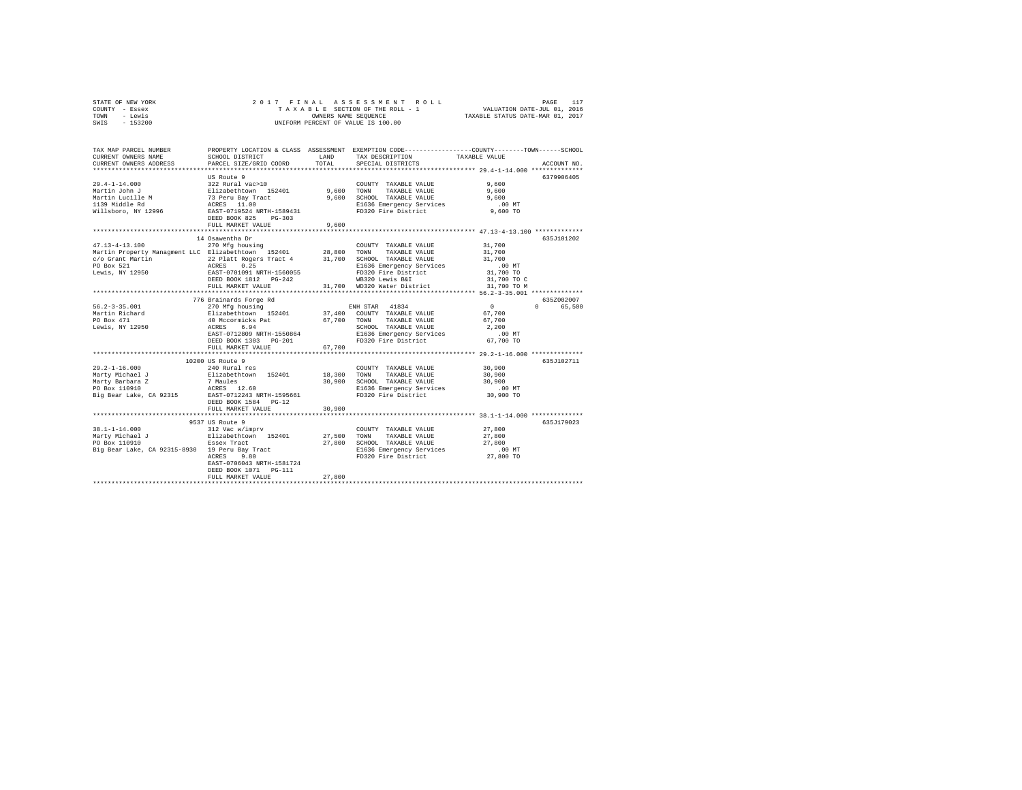| STATE OF NEW YORK | 2017 FINAL ASSESSMENT ROLL         | PAGE                             |
|-------------------|------------------------------------|----------------------------------|
| COUNTY - Essex    | TAXABLE SECTION OF THE ROLL - 1    | VALUATION DATE-JUL 01, 2016      |
| TOWN<br>- Lewis   | OWNERS NAME SEOUENCE               | TAXABLE STATUS DATE-MAR 01, 2017 |
| $-153200$<br>SWIS | UNIFORM PERCENT OF VALUE IS 100.00 |                                  |

| TAX MAP PARCEL NUMBER<br>CURRENT OWNERS NAME<br>CURRENT OWNERS ADDRESS                                                                                                         | SCHOOL DISTRICT<br>PARCEL SIZE/GRID COORD                                                                                                                                                                   | <b>T.AND</b><br>TOTAL       | PROPERTY LOCATION & CLASS ASSESSMENT EXEMPTION CODE---------------COUNTY-------TOWN-----SCHOOL<br>TAX DESCRIPTION<br>SPECIAL DISTRICTS           | TAXABLE VALUE                                                                                  | ACCOUNT NO.                      |
|--------------------------------------------------------------------------------------------------------------------------------------------------------------------------------|-------------------------------------------------------------------------------------------------------------------------------------------------------------------------------------------------------------|-----------------------------|--------------------------------------------------------------------------------------------------------------------------------------------------|------------------------------------------------------------------------------------------------|----------------------------------|
| $29.4 - 1 - 14.000$<br>Martin John J<br>Martin Lucille M<br>1139 Middle Rd<br>Willsboro, NY 12996                                                                              | US Route 9<br>322 Rural vac>10<br>Elizabethtown 152401<br>73 Peru Bay Tract<br>ACRES 11.00<br>EAST-0719524 NRTH-1589431<br>DEED BOOK 825<br>$PG-303$<br>FULL MARKET VALUE<br>                               | 9.600<br>9,600<br>********* | COUNTY TAXABLE VALUE<br>TOWN<br>TAXABLE VALUE<br>9,600 SCHOOL TAXABLE VALUE<br>E1636 Emergency Services<br>FD320 Fire District                   | 9,600<br>9,600<br>9,600<br>$.00$ MT<br>9,600 TO<br>*************** 47.13-4-13.100 ************ | 6379906405                       |
| $47.13 - 4 - 13.100$<br>Martin Property Managment LLC Elizabethtown 152401 28,800 TOWN<br>Lewis, NY 12950                                                                      | 14 Osawentha Dr<br>270 Mfg housing<br>EAST-0701091 NRTH-1560055<br>DEED BOOK 1812    PG-242<br>FULL MARKET VALUE                                                                                            |                             | COUNTY TAXABLE VALUE<br>TAXABLE VALUE<br>FD320 Fire District<br>WB320 Lewis B&I<br>31,700 WD320 Water District                                   | 31,700<br>31,700<br>31,700<br>$.00$ MT<br>31,700 TO<br>31,700 TO C<br>31,700 TO M              | 635.T101202                      |
| $56.2 - 3 - 35.001$<br>Martin Richard<br>PO Box 471<br>Lewis, NY 12950                                                                                                         | 776 Brainards Forge Rd<br>270 Mfg housing<br>Elizabethtown 152401<br>40 Mccormicks Pat<br>ACRES 6.94<br>EAST-0712809 NRTH-1550864<br>DEED BOOK 1303 PG-201<br>FULL MARKET VALUE<br>************************ | 67.700 TOWN<br>67,700       | ENH STAR 41834<br>37,400 COUNTY TAXABLE VALUE<br>TAXABLE VALUE<br>SCHOOL TAXABLE VALUE<br>E1636 Emergency Services<br>FD320 Fire District        | $\circ$<br>67.700<br>67,700<br>2,200<br>$.00$ MT<br>67,700 TO                                  | 635Z002007<br>65,500<br>$\Omega$ |
| $29.2 - 1 - 16.000$<br>Marty Michael J<br>Marty Barbara Z<br>PO Box 110910<br>Big Bear Lake, CA 92315                                                                          | 10200 US Route 9<br>240 Rural res<br>Elizabethtown 152401<br>7 Maules<br>ACRES 12.60<br>EAST-0712243 NRTH-1595661<br>DEED BOOK 1584 PG-12<br>FULL MARKET VALUE                                              | 18,300<br>30,900<br>30,900  | COUNTY TAXABLE VALUE<br>TOWN<br>TAXABLE VALUE<br>SCHOOL TAXABLE VALUE<br>E1636 Emergency Services<br>FD320 Fire District                         | 30,900<br>30,900<br>30,900<br>.00 MT<br>30,900 TO                                              | 635J102711                       |
| $38.1 - 1 - 14.000$<br>Marty Michael J<br>PO Box 110910<br>PO Box 110910<br>Big Bear Lake, CA 92315-8930 – 19 Peru Bay Tract<br>2000 – 2000 – 2000 – 2000 – 2000 – 2000 – 2000 | ************************<br>9537 US Route 9<br>312 Vac w/imprv<br>Elizabethtown 152401<br>Essex Tract<br>EAST-0706043 NRTH-1581724<br>DEED BOOK 1071    PG-111<br>FULL MARKET VALUE                         | 27,800                      | COUNTY TAXABLE VALUE<br>27.500 TOWN<br>TAXABLE VALUE<br>27,800 SCHOOL TAXABLE VALUE<br>E1636 Emergency Services<br>FD320 Fire District 27,800 TO | ************** 38.1-1-14.000 **************<br>27,800<br>27,800<br>27,800<br>$.00$ MT          | 635J179023                       |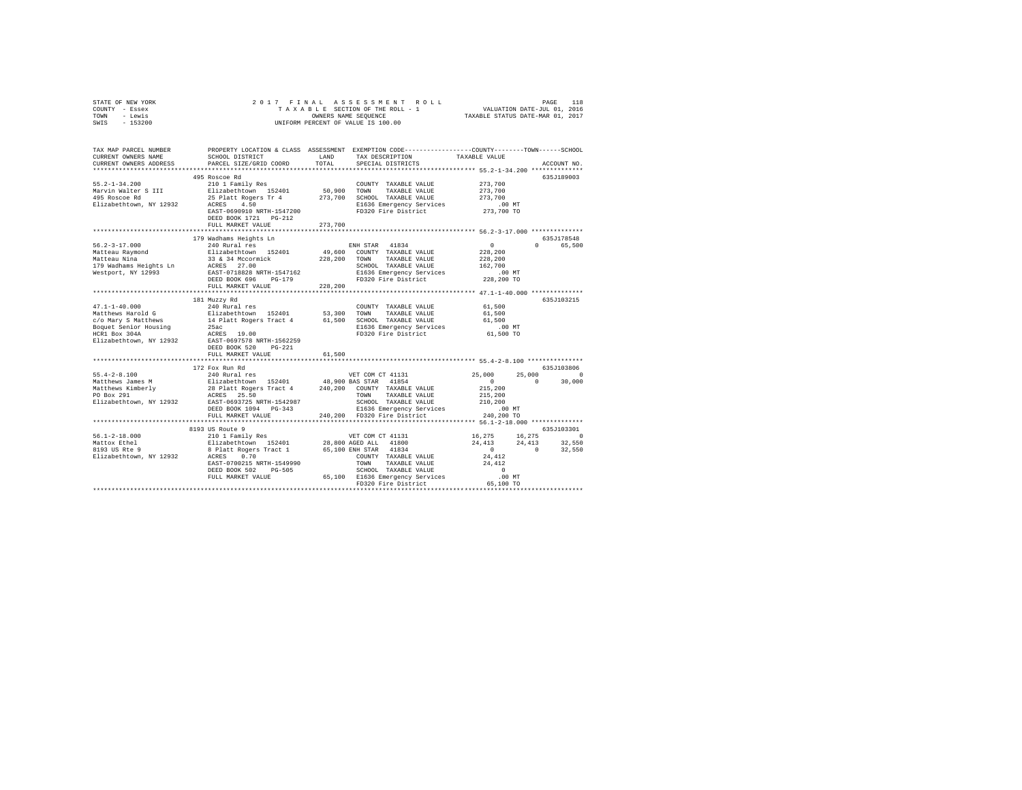| STATE OF NEW YORK | 2017 FINAL ASSESSMENT ROLL         | 118<br>PAGE                      |
|-------------------|------------------------------------|----------------------------------|
| COUNTY - Essex    | TAXABLE SECTION OF THE ROLL - 1    | VALUATION DATE-JUL 01, 2016      |
| TOWN<br>- Lewis   | OWNERS NAME SEOUENCE               | TAXABLE STATUS DATE-MAR 01, 2017 |
| $-153200$<br>SWIS | UNIFORM PERCENT OF VALUE IS 100.00 |                                  |

| TAX MAP PARCEL NUMBER<br>CURRENT OWNERS NAME<br>CURRENT OWNERS ADDRESS                      | SCHOOL DISTRICT<br>PARCEL SIZE/GRID COORD                                                                                                                                                                                                                                                                                                                                                                                                                           | LAND<br>TOTAL | PROPERTY LOCATION & CLASS ASSESSMENT EXEMPTION CODE---------------COUNTY-------TOWN------SCHOOL<br>TAX DESCRIPTION<br>SPECIAL DISTRICTS                                  | TAXABLE VALUE                                                           | ACCOUNT NO.                                |
|---------------------------------------------------------------------------------------------|---------------------------------------------------------------------------------------------------------------------------------------------------------------------------------------------------------------------------------------------------------------------------------------------------------------------------------------------------------------------------------------------------------------------------------------------------------------------|---------------|--------------------------------------------------------------------------------------------------------------------------------------------------------------------------|-------------------------------------------------------------------------|--------------------------------------------|
| $55.2 - 1 - 34.200$<br>Elizabethtown, NY 12932 ACRES 4.50                                   | 495 Roscoe Rd<br>210 1 Family Res<br>Marvin Walter S III Blizabethtown 152401<br>495 Roscoe Rd 25 Platt Rogers Tr 4<br>EAST-0690910 NRTH-1547200<br>DEED BOOK 1721    PG-212<br>FULL MARKET VALUE                                                                                                                                                                                                                                                                   | 273,700       | COUNTY TAXABLE VALUE 273,700<br>50,900 TOWN TAXABLE VALUE<br>273,700 SCHOOL TAXABLE VALUE<br>E1636 Emergency Services<br>FD320 Fire District                             | 273,700<br>273,700<br>00 MT.<br>273,700 TO                              | 635J189003                                 |
|                                                                                             |                                                                                                                                                                                                                                                                                                                                                                                                                                                                     |               |                                                                                                                                                                          |                                                                         |                                            |
|                                                                                             |                                                                                                                                                                                                                                                                                                                                                                                                                                                                     | 228,200       | ENH STAR 41834<br>49,600 COUNTY TAXABLE VALUE<br>228.200 TOWN TAXABLE VALUE<br>SCHOOL TAXABLE VALUE<br>E1636 Emergency Services .00 MT<br>FD320 Fire District 228,200 TO | $\mathbf{0}$<br>228,200<br>228,200<br>162,700                           | 635J178548<br>0 65,500                     |
| $47.1 - 1 - 40.000$<br>ALLOCATE SMATTER SMATTER COMPANY SMATTER SCALE AND STATE ACTES 19.00 | 181 Muzzy Rd<br>240 Rural res<br>Elizabethtown, NY 12932 EAST-0697578 NRTH-1562259<br>DEED BOOK 520 PG-221<br>FULL MARKET VALUE                                                                                                                                                                                                                                                                                                                                     | 61,500        | COUNTY TAXABLE VALUE                                                                                                                                                     | 61,500<br>.00 MT<br>61,500 TO                                           | 635J103215                                 |
|                                                                                             |                                                                                                                                                                                                                                                                                                                                                                                                                                                                     |               |                                                                                                                                                                          |                                                                         |                                            |
|                                                                                             | 172 Fox Run Rd<br>$\begin{array}{lcccccc} \texttt{PO Box 291} & \texttt{ACRES} & \texttt{25.50} & \texttt{TOWN} & \texttt{TANKBLE} & \texttt{VALUE} & \texttt{215,200} \\ \texttt{Elizabethtown, NY 12932} & \texttt{EAST-0693725 NRTH-1542987} & \texttt{SCHOOL} & \texttt{TAKABLE VALUE} & \texttt{210,200} & \texttt{210,200} & \texttt{210,200} & \texttt{210,200} & \texttt{210,200} & \texttt{210,200} & \text$<br>DEED BOOK 1094 PG-343<br>FULL MARKET VALUE |               | 3-343 E1636 Emergency Services<br>240,200 FD320 Fire District                                                                                                            | 25,000<br>$\mathbf{0}$<br>$\sim$ 0<br>215,200<br>$.00$ MT<br>240,200 TO | 635J103806<br>25,000<br>$\Omega$<br>30,000 |
|                                                                                             | *****************************                                                                                                                                                                                                                                                                                                                                                                                                                                       |               |                                                                                                                                                                          |                                                                         |                                            |
| $56.1 - 2 - 18.000$<br>Mattox Ethel<br>8193 US Rte 9<br>Elizabethtown, NY 12932 ACRES 0.70  | 8193 US Route 9<br>210 1 Family Res<br>$\begin{tabular}{lcccc} \texttt{ACRES} & 0.70 & & & \texttt{COUNTY TAAABLE VALUE} & 24,412 \\ \texttt{EST-0700215 NRTH-1549990} & & 70000 & TAXABLE VALUE & 24,412 \\ \texttt{EST-0700215 NRTH-1549990} & & 70000 & TAXABLE VALUE \\ \texttt{PED BOKE S02} & 0 & 65,100 & E1636 Emergency Services & .00 MT \\ \end{tabular}$                                                                                                |               | VET COM CT 41131<br>FD320 Fire District 65,100 TO                                                                                                                        | 16, 275 16, 275<br>$24,413$ $24,413$ $32,550$<br>$24,412$ 0 $32,550$    | 635J103301<br>$\Omega$                     |
|                                                                                             |                                                                                                                                                                                                                                                                                                                                                                                                                                                                     |               |                                                                                                                                                                          |                                                                         |                                            |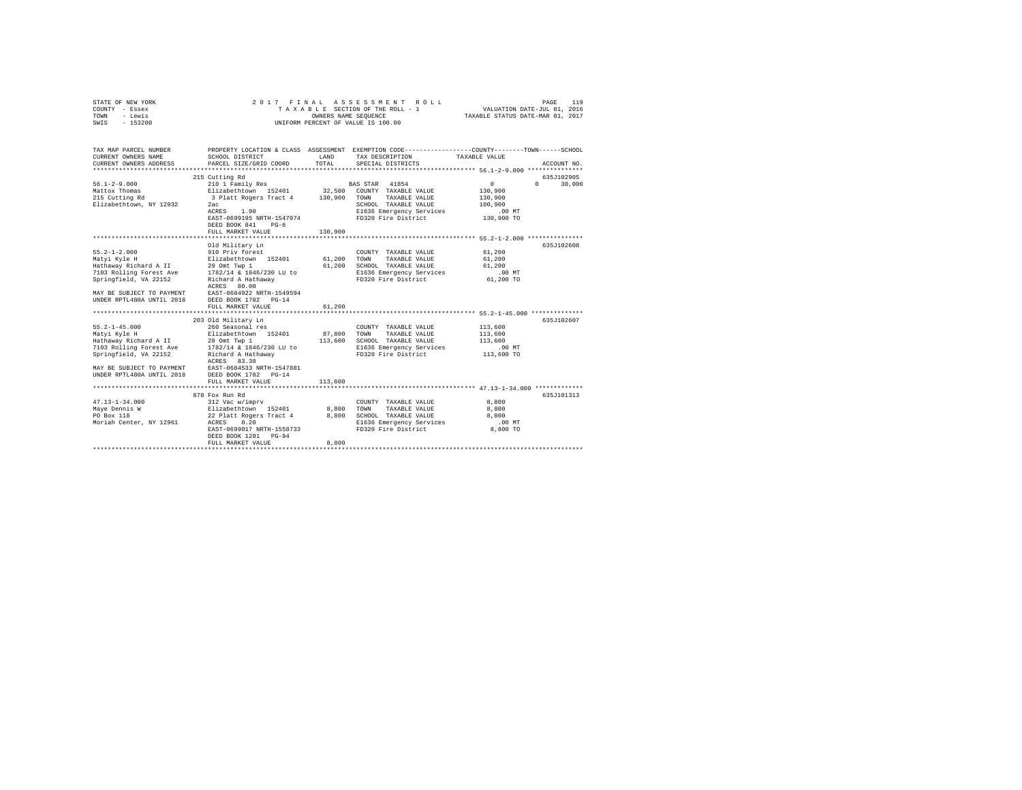| STATE OF NEW YORK<br>COUNTY - Essex<br>TOWN<br>- Lewis<br>SWIS - 153200                                                                                                                                                                                                                                                  |                                                                                                                                                                                                                                                                                                                                                                                                                                                                | OWNERS NAME SEOUENCE                            | 2017 FINAL ASSESSMENT ROLL<br>TAXABLE SECTION OF THE ROLL - 1<br>UNIFORM PERCENT OF VALUE IS 100.00                                                                                                                                                  | PAGE<br>VALUATION DATE-JUL 01, 2016<br>TAXABLE STATUS DATE-MAR 01, 2017                                                                                                             | 119 |
|--------------------------------------------------------------------------------------------------------------------------------------------------------------------------------------------------------------------------------------------------------------------------------------------------------------------------|----------------------------------------------------------------------------------------------------------------------------------------------------------------------------------------------------------------------------------------------------------------------------------------------------------------------------------------------------------------------------------------------------------------------------------------------------------------|-------------------------------------------------|------------------------------------------------------------------------------------------------------------------------------------------------------------------------------------------------------------------------------------------------------|-------------------------------------------------------------------------------------------------------------------------------------------------------------------------------------|-----|
| TAX MAP PARCEL NUMBER<br>CURRENT OWNERS NAME                                                                                                                                                                                                                                                                             | SCHOOL DISTRICT<br>PARCEL SIZE/GRID COORD                                                                                                                                                                                                                                                                                                                                                                                                                      | LAND<br>TOTAL                                   | TAX DESCRIPTION                                                                                                                                                                                                                                      | PROPERTY LOCATION & CLASS ASSESSMENT EXEMPTION CODE---------------COUNTY-------TOWN------SCHOOL<br>TAXABLE VALUE<br>ACCOUNT NO.                                                     |     |
| CURRENT OWNERS ADDRESS                                                                                                                                                                                                                                                                                                   |                                                                                                                                                                                                                                                                                                                                                                                                                                                                |                                                 | SPECIAL DISTRICTS                                                                                                                                                                                                                                    |                                                                                                                                                                                     |     |
|                                                                                                                                                                                                                                                                                                                          | 215 Cutting Rd                                                                                                                                                                                                                                                                                                                                                                                                                                                 |                                                 |                                                                                                                                                                                                                                                      | 635J102905                                                                                                                                                                          |     |
| $56.1 - 2 - 9.000$<br>Mattox Thomas<br>215 Cutting Rd<br>Elizabethtown, NY 12932                                                                                                                                                                                                                                         | 210 1 Family Res<br>Elizabethtown 152401<br>3 Platt Rogers Tract 4<br>2ac<br>ACRES 1.90<br>EAST-0699195 NRTH-1547074<br>DEED BOOK 841<br>$PG-6$                                                                                                                                                                                                                                                                                                                |                                                 | BAS STAR 41854<br>32,500 COUNTY TAXABLE VALUE<br>130,900 TOWN TAXABLE VALUE<br>SCHOOL TAXABLE VALUE<br>E1636 Emergency Services<br>FD320 Fire District                                                                                               | $\circ$<br>$\Omega$ and $\Omega$<br>30,000<br>130,900<br>130,900<br>100,900<br>$.00$ MT<br>130,900 TO                                                                               |     |
|                                                                                                                                                                                                                                                                                                                          | FULL MARKET VALUE                                                                                                                                                                                                                                                                                                                                                                                                                                              | 130,900                                         |                                                                                                                                                                                                                                                      |                                                                                                                                                                                     |     |
|                                                                                                                                                                                                                                                                                                                          | Old Military Ln                                                                                                                                                                                                                                                                                                                                                                                                                                                |                                                 |                                                                                                                                                                                                                                                      | 635J102608                                                                                                                                                                          |     |
| $55.2 - 1 - 2.000$<br>Matyi Kyle H<br>Springfield, VA 22152<br>MAY BE SUBJECT TO PAYMENT<br>UNDER RPTL480A UNTIL 2018<br>$55.2 - 1 - 45.000$<br>Matyi Kyle H<br>Hathaway Richard A II<br>7103 Rolling Forest Ave<br>Springfield, VA 22152<br>MAY BE SUBJECT TO PAYMENT<br>UNDER RPTL480A UNTIL 2018 DEED BOOK 1782 PG-14 | 910 Priv forest<br>Elizabethtown 152401<br>Hathaway Richard A II 29 Omt Twp 1<br>7103 Rolling Forest Ave 1782/14 & 1846/230 LU to<br>Richard A Hathaway<br>ACRES 80.00<br>EAST-0684922 NRTH-1549594<br>DEED BOOK 1782 PG-14<br>FULL MARKET VALUE<br>*************************<br>203 Old Military Ln<br>260 Seasonal res<br>Elizabethtown 152401<br>28 Omt Twp 1<br>1782/14 & 1846/230 LU to<br>Richard A Hathaway<br>ACRES 83.30<br>EAST-0684533 NRTH-1547881 | 61,200<br>61,200<br>61,200<br>87,800<br>113,600 | COUNTY TAXABLE VALUE<br>TOWN<br>TAXABLE VALUE<br>SCHOOL TAXABLE VALUE<br>E1636 Emergency Services<br>FD320 Fire District<br>COUNTY TAXABLE VALUE<br>TOWN<br>TAXABLE VALUE<br>SCHOOL TAXABLE VALUE<br>E1636 Emergency Services<br>FD320 Fire District | 61,200<br>61,200<br>61,200<br>$.00$ MT<br>61,200 TO<br>************************* 55.2-1-45.000 **************<br>635J102607<br>113,600<br>113,600<br>113,600<br>.00MT<br>113,600 TO |     |
|                                                                                                                                                                                                                                                                                                                          | FULL MARKET VALUE                                                                                                                                                                                                                                                                                                                                                                                                                                              | 113,600                                         |                                                                                                                                                                                                                                                      |                                                                                                                                                                                     |     |
| $47.13 - 1 - 34.000$<br>Maye Dennis W<br>PO Box 118<br>Moriah Center, NY 12961                                                                                                                                                                                                                                           | 878 Fox Run Rd<br>312 Vac w/imprv<br>Elizabethtown 152401<br>22 Platt Rogers Tract 4<br>ACRES<br>0.20<br>EAST-0699017 NRTH-1558733<br>DEED BOOK 1281 PG-94<br>FULL MARKET VALUE                                                                                                                                                                                                                                                                                | 8,800<br>8,800<br>8,800                         | COUNTY TAXABLE VALUE<br>TOWN<br>TAXABLE VALUE<br>SCHOOL TAXABLE VALUE<br>E1636 Emergency Services<br>FD320 Fire District                                                                                                                             | 635J101313<br>8,800<br>8,800<br>8,800<br>$.00$ MT<br>8,800 TO                                                                                                                       |     |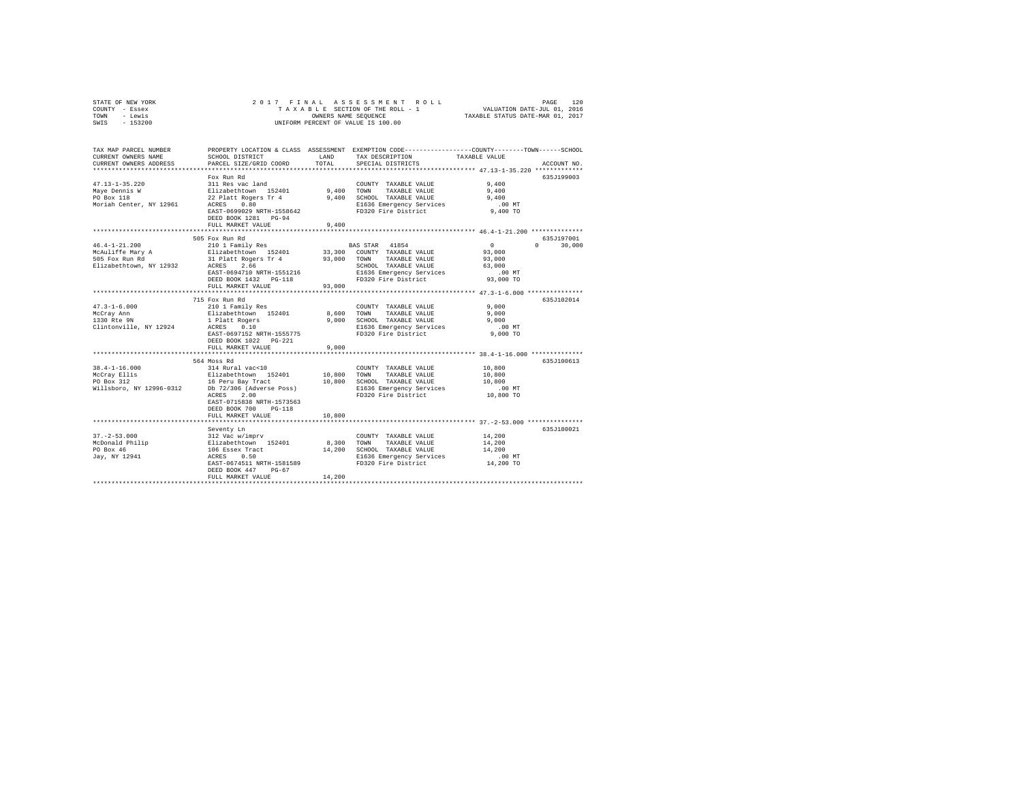| STATE OF NEW YORK | 2017 FINAL ASSESSMENT ROLL         | 120<br>PAGE                      |
|-------------------|------------------------------------|----------------------------------|
| COUNTY - Essex    | TAXABLE SECTION OF THE ROLL - 1    | VALUATION DATE-JUL 01, 2016      |
| TOWN<br>- Lewis   | OWNERS NAME SEOUENCE               | TAXABLE STATUS DATE-MAR 01, 2017 |
| $-153200$<br>SWIS | UNIFORM PERCENT OF VALUE IS 100.00 |                                  |

| TAX MAP PARCEL NUMBER<br>CURRENT OWNERS NAME<br>CURRENT OWNERS ADDRESS               | SCHOOL DISTRICT<br>PARCEL SIZE/GRID COORD                                                                                                                                                                                            | <b>T.AND</b><br>TOTAL     | PROPERTY LOCATION & CLASS ASSESSMENT EXEMPTION CODE---------------COUNTY-------TOWN-----SCHOOL<br>TAX DESCRIPTION<br>SPECIAL DISTRICTS                                                    | TAXABLE VALUE                                                                                        | ACCOUNT NO.                       |
|--------------------------------------------------------------------------------------|--------------------------------------------------------------------------------------------------------------------------------------------------------------------------------------------------------------------------------------|---------------------------|-------------------------------------------------------------------------------------------------------------------------------------------------------------------------------------------|------------------------------------------------------------------------------------------------------|-----------------------------------|
| $47.13 - 1 - 35.220$<br>Maye Dennis W<br>PO Box 118<br>Moriah Center, NY 12961       | Fox Run Rd<br>311 Res vac land<br>Elizabethtown 152401<br>22 Platt Rogers Tr 4<br>ACRES<br>0.80<br>EAST-0699029 NRTH-1558642<br>DEED BOOK 1281 PG-94<br>FULL MARKET VALUE<br>                                                        | 9.400<br>9.400<br>        | COUNTY TAXABLE VALUE<br>TOWN<br>TAXABLE VALUE<br>9,400 SCHOOL TAXABLE VALUE<br>E1636 Emergency Services<br>FD320 Fire District                                                            | 9.400<br>9.400<br>9.400<br>$.00$ MT<br>9,400 TO<br>**************** 46.4-1-21.200 ***************    | 635J199003                        |
| $46.4 - 1 - 21.200$<br>McAuliffe Mary A<br>505 Fox Run Rd<br>Elizabethtown, NY 12932 | 505 Fox Run Rd<br>210 1 Family Res<br>Elizabethtown 152401<br>31 Platt Rogers Tr 4 93,000 TOWN<br>ACRES 2.66 SCHOO<br>EAST-0694710 NRTH-1551216<br>DEED BOOK 1432 PG-118<br>FULL MARKET VALUE                                        | 93,000                    | BAS STAR 41854<br>33,300 COUNTY TAXABLE VALUE<br>TAXABLE VALUE<br>SCHOOL TAXABLE VALUE<br>E1636 Emergency Services<br>FD320 Fire District                                                 | $\sim$ 0<br>93,000<br>93,000<br>63,000<br>$.00$ MT<br>93,000 TO                                      | 635.T197001<br>30,000<br>$\Omega$ |
| $47.3 - 1 - 6.000$<br>McCrav Ann<br>Clintonville, NY 12924                           | 715 Fox Run Rd<br>210 1 Family Res<br>Elizabethtown 152401<br>1 Platt Rogers<br>ACRES 0.10<br>EAST-0697152 NRTH-1555775<br>DEED BOOK 1022 PG-221<br>FULL MARKET VALUE                                                                | 8,600<br>9.000<br>9.000   | COUNTY TAXABLE VALUE<br>TOWN<br>TAXABLE VALUE<br>SCHOOL TAXABLE VALUE<br>E1636 Emergency Services<br>FD320 Fire District                                                                  | 9.000<br>9.000<br>9.000<br>$.00$ MT<br>$9.000$ TO                                                    | 635J102014                        |
| $38.4 - 1 - 16.000$<br>McCray Ellis<br>PO Box 312<br>Willsboro, NY 12996-0312        | ************************<br>564 Moss Rd<br>314 Rural vac<10<br>Elizabethtown 152401<br>16 Peru Bay Tract<br>Db 72/306 (Adverse Poss)<br>2.00<br>ACRES<br>EAST-0715838 NRTH-1573563<br>DEED BOOK 700<br>$PG-118$<br>FULL MARKET VALUE | 10,800 TOWN<br>10,800     | COUNTY TAXABLE VALUE<br>TAXABLE VALUE<br>10,800 SCHOOL TAXABLE VALUE<br>E1636 Emergency Services<br>FD320 Fire District<br>********************************** 37.-2-53.000 ************** | **************** 38.4-1-16.000 **************<br>10,800<br>10,800<br>10,800<br>$.00$ MT<br>10,800 TO | 635J100613                        |
|                                                                                      | EAST-0674511 NRTH-1581589<br>DEED BOOK 447<br>$PG-67$<br>FULL MARKET VALUE                                                                                                                                                           | 8,300<br>14,200<br>14,200 | COUNTY TAXABLE VALUE<br>TOWN<br>TAXABLE VALUE<br>SCHOOL TAXABLE VALUE<br>E1636 Emergency Services<br>FD320 Fire District                                                                  | 14,200<br>14,200<br>14,200<br>$.00$ MT<br>14,200 TO                                                  | 635J180021                        |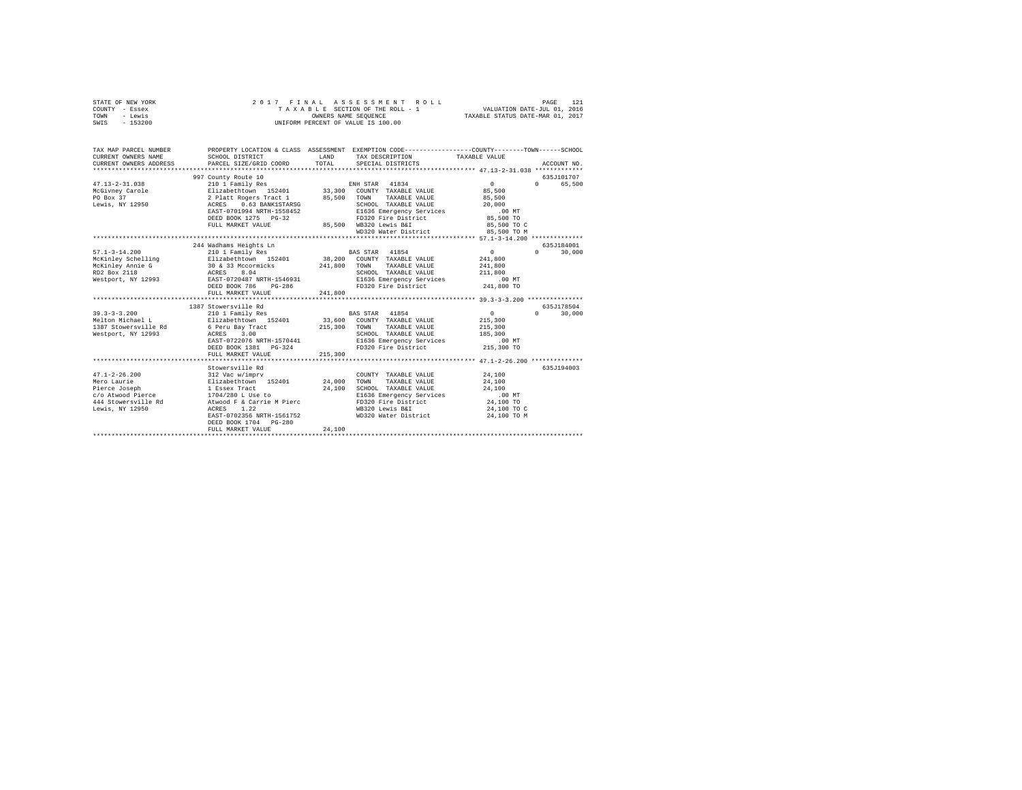| STATE OF NEW YORK<br>COUNTY - Essex<br>TOWN<br>- Lewis<br>$-153200$<br>SWIS                                                                                                                 | 2017 FINAL                                                                                                                                                                                                                                                                                                                                     |                            | ASSESSMENT ROLL<br>TAXABLE SECTION OF THE ROLL - 1<br>OWNERS NAME SEQUENCE<br>UNIFORM PERCENT OF VALUE IS 100.00                                                                                                                                                                                                  | VALUATION DATE-JUL 01, 2016<br>TAXABLE STATUS DATE-MAR 01, 2017                                                 | PAGE<br>121                                                                       |
|---------------------------------------------------------------------------------------------------------------------------------------------------------------------------------------------|------------------------------------------------------------------------------------------------------------------------------------------------------------------------------------------------------------------------------------------------------------------------------------------------------------------------------------------------|----------------------------|-------------------------------------------------------------------------------------------------------------------------------------------------------------------------------------------------------------------------------------------------------------------------------------------------------------------|-----------------------------------------------------------------------------------------------------------------|-----------------------------------------------------------------------------------|
| TAX MAP PARCEL NUMBER<br>CURRENT OWNERS NAME<br>CURRENT OWNERS ADDRESS                                                                                                                      | SCHOOL DISTRICT<br>PARCEL SIZE/GRID COORD                                                                                                                                                                                                                                                                                                      | LAND<br>TOTAL              | PROPERTY LOCATION & CLASS ASSESSMENT EXEMPTION CODE---------------COUNTY-------TOWN------SCHOOL<br>TAX DESCRIPTION<br>SPECIAL DISTRICTS                                                                                                                                                                           | TAXABLE VALUE                                                                                                   | ACCOUNT NO.                                                                       |
| $47.13 - 2 - 31.038$<br>McGivnev Carole<br>PO Box 37<br>Lewis, NY 12950                                                                                                                     | 997 County Route 10<br>210 1 Family Res<br>Elizabethtown 152401<br>2 Platt Rogers Tract 1<br>ACRES 0.63 BANK1STARSG<br>EAST-0701994 NRTH-1558452<br>DEED BOOK 1275 PG-32<br>FULL MARKET VALUE                                                                                                                                                  |                            | ENH STAR 41834<br>33,300 COUNTY TAXABLE VALUE<br>85,500 TOWN TAXABLE VALUE<br>SCHOOL TAXABLE VALUE<br>E1636 Emergency Services<br>FD320 Fire District<br>85,500 WB320 Lewis B&I<br>WD320 Water District                                                                                                           | $\sim$ 0<br>85,500<br>85,500<br>20,000<br>$.00$ MT<br>85,500 TO<br>85,500 TO C<br>85,500 TO M                   | 635J101707<br>0 65,500                                                            |
|                                                                                                                                                                                             |                                                                                                                                                                                                                                                                                                                                                |                            |                                                                                                                                                                                                                                                                                                                   |                                                                                                                 |                                                                                   |
| $57.1 - 3 - 14.200$<br>McKinley Schelling<br>McKinley Annie G<br>RD2 Box 2118<br>Westport, NY 12993<br>$39.3 - 3 - 3.200$<br>Melton Michael L<br>1387 Stowersville Rd<br>Westport, NY 12993 | 244 Wadhams Heights Ln<br>210 1 Family Res<br>Elizabethtown 152401<br>30 & 33 Mccormicks<br>ACRES 8.04<br>EAST-0720487 NRTH-1546931<br>DEED BOOK 786 PG-286<br>FULL MARKET VALUE<br>1387 Stowersville Rd<br>210 1 Family Res<br>Elizabethtown 152401<br>6 Peru Bay Tract<br>ACRES 3.00<br>EAST-0722076 NRTH-1570441<br>DEED BOOK 1381   PG-324 | 241,800<br>215,300 TOWN    | BAS STAR 41854<br>38,200 COUNTY TAXABLE VALUE<br>241,800 TOWN<br>TAXABLE VALUE<br>SCHOOL TAXABLE VALUE<br>E1636 Emergency Services<br>FD320 Fire District 241,800 TO<br>BAS STAR 41854<br>33,600 COUNTY TAXABLE VALUE<br>TAXABLE VALUE<br>SCHOOL TAXABLE VALUE<br>E1636 Emergency Services<br>FD320 Fire District | 0<br>241,800<br>241,800<br>211,800<br>.00 MT<br>$\sim$<br>215,300<br>215,300<br>185,300<br>.00 MT<br>215,300 TO | 635J184001<br>30,000<br>$\Omega$ and $\Omega$<br>635J178504<br>$\Omega$<br>30,000 |
|                                                                                                                                                                                             | FULL MARKET VALUE                                                                                                                                                                                                                                                                                                                              | 215,300                    |                                                                                                                                                                                                                                                                                                                   |                                                                                                                 |                                                                                   |
| $47.1 - 2 - 26.200$<br>Mero Laurie<br>Pierce Joseph<br>c/o Atwood Pierce<br>444 Stowersville Rd<br>Lewis, NY 12950                                                                          | Stowersville Rd<br>$312$ Vac $w/$ imprv<br>Elizabethtown 152401<br>Elizabethtown<br>1 Essex Tract<br>1704/280 L Use to<br>Atwood F & Carrie M Pierc<br>ACRES 1.22<br>EAST-0702356 NRTH-1561752<br>DEED BOOK 1704 PG-280<br>FULL MARKET VALUE<br>****************************                                                                   | 24,000<br>24,100<br>24,100 | COUNTY TAXABLE VALUE<br>TOWN<br>TAXABLE VALUE<br>SCHOOL TAXABLE VALUE<br>E1636 Emergency Services<br>FD320 Fire District<br>WB320 Lewis B&I<br>WD320 Water District                                                                                                                                               | 24,100<br>24,100<br>24,100<br>$.00$ MT<br>24,100 TO<br>24,100 TO C<br>24,100 TO M                               | 635J194003                                                                        |
|                                                                                                                                                                                             |                                                                                                                                                                                                                                                                                                                                                |                            |                                                                                                                                                                                                                                                                                                                   |                                                                                                                 |                                                                                   |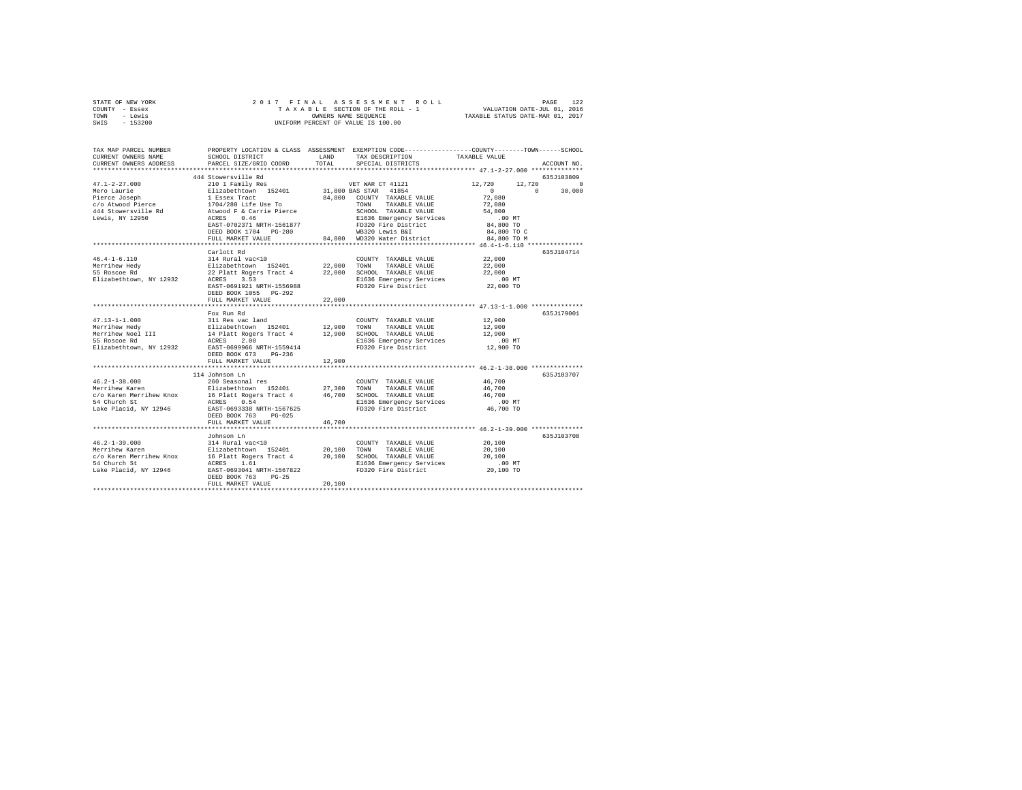| STATE OF NEW YORK | 2017 FINAL ASSESSMENT ROLL         | 122<br>PAGE                      |
|-------------------|------------------------------------|----------------------------------|
| COUNTY - Essex    | TAXABLE SECTION OF THE ROLL - 1    | VALUATION DATE-JUL 01, 2016      |
| TOWN<br>- Lewis   | OWNERS NAME SEOUENCE               | TAXABLE STATUS DATE-MAR 01, 2017 |
| $-153200$<br>SWIS | UNIFORM PERCENT OF VALUE IS 100.00 |                                  |

| TAX MAP PARCEL NUMBER<br>CURRENT OWNERS NAME<br>CURRENT OWNERS ADDRESS         | SCHOOL DISTRICT<br>PARCEL SIZE/GRID COORD                                                                                                             | LAND<br>TOTAL    | PROPERTY LOCATION & CLASS ASSESSMENT EXEMPTION CODE---------------COUNTY-------TOWN-----SCHOOL<br>TAX DESCRIPTION<br>SPECIAL DISTRICTS                              | TAXABLE VALUE                                                                   | ACCOUNT NO.                                  |
|--------------------------------------------------------------------------------|-------------------------------------------------------------------------------------------------------------------------------------------------------|------------------|---------------------------------------------------------------------------------------------------------------------------------------------------------------------|---------------------------------------------------------------------------------|----------------------------------------------|
| ***********************                                                        |                                                                                                                                                       |                  |                                                                                                                                                                     |                                                                                 |                                              |
| $47.1 - 2 - 27.000$<br>Mero Laurie                                             | 444 Stowersville Rd<br>210 1 Family Res<br>Elizabethtown 152401                                                                                       |                  | VET WAR CT 41121<br>31,800 BAS STAR 41854                                                                                                                           | 12,720<br>12,720<br>$\Omega$                                                    | 635J103809<br>$\Omega$<br>$\Omega$<br>30,000 |
| Pierce Joseph<br>c/o Atwood Pierce                                             | 1 Essex Tract<br>1704/280 Life Use To<br>EAST-0702371 NRTH-1561877<br>DEED BOOK 1704 PG-280<br>FULL MARKET VALUE                                      | 84,800<br>84,800 | COUNTY TAXABLE VALUE<br>TOWN<br>TAXABLE VALUE<br>SCHOOL TAXABLE VALUE<br>E1636 Emergency Services<br>FD320 Fire District<br>WB320 Lewis B&I<br>WD320 Water District | 72,080<br>72,080<br>54,800<br>.00 MT<br>84,800 TO<br>84,800 TO C<br>84,800 TO M |                                              |
|                                                                                | *************************************                                                                                                                 |                  | ************************************ 46.4-1-6.110 *************                                                                                                     |                                                                                 |                                              |
| $46.4 - 1 - 6.110$<br>Merrihew Hedy<br>55 Roscoe Rd<br>Elizabethtown, NY 12932 | Carlott Rd<br>314 Rural vac<10<br>Elizabethtown 152401<br>22 Platt Rogers Tract 4<br>ACRES 3.53<br>EAST-0691921 NRTH-1556988<br>DEED BOOK 1055 PG-292 | 22.000 TOWN      | COUNTY TAXABLE VALUE<br>TAXABLE VALUE<br>22,000 SCHOOL TAXABLE VALUE<br>E1636 Emergency Services<br>FD320 Fire District                                             | 22,000<br>22,000<br>22,000<br>$.00$ MT<br>22,000 TO                             | 635J104714                                   |
|                                                                                | FULL MARKET VALUE                                                                                                                                     | 22,000           |                                                                                                                                                                     |                                                                                 |                                              |
|                                                                                |                                                                                                                                                       |                  |                                                                                                                                                                     | *********************** 47.13-1-1.000 ***************                           |                                              |
| $47.13 - 1 - 1.000$                                                            | Fox Run Rd<br>311 Res vac land                                                                                                                        |                  | COUNTY TAXABLE VALUE                                                                                                                                                | 12,900                                                                          | 635J179001                                   |
| Merrihew Hedy                                                                  |                                                                                                                                                       | 12,900           | TOWN<br>TAXABLE VALUE                                                                                                                                               | 12,900                                                                          |                                              |
| Merrihew Noel III                                                              | Sir nes var innen<br>Elizabethtown 152401<br>14 Platt Rogers Tract 4<br>ACRES 2.00                                                                    |                  | 12,900 SCHOOL TAXABLE VALUE                                                                                                                                         | 12,900                                                                          |                                              |
| 55 Roscoe Rd                                                                   |                                                                                                                                                       |                  | E1636 Emergency Services                                                                                                                                            | .00 MT                                                                          |                                              |
| Elizabethtown, NY 12932                                                        | EAST-0699966 NRTH-1559414<br>DEED BOOK 673<br>$PG-236$                                                                                                |                  | FD320 Fire District                                                                                                                                                 | 12,900 TO                                                                       |                                              |
|                                                                                | FULL MARKET VALUE                                                                                                                                     | 12,900           |                                                                                                                                                                     |                                                                                 |                                              |
|                                                                                | 114 Johnson Ln                                                                                                                                        |                  |                                                                                                                                                                     |                                                                                 | 635J103707                                   |
| $46.2 - 1 - 38.000$                                                            | 260 Seasonal res                                                                                                                                      |                  | COUNTY TAXABLE VALUE                                                                                                                                                | 46,700                                                                          |                                              |
| Merrihew Karen                                                                 | Elizabethtown 152401                                                                                                                                  | 27,300           | TOWN<br>TAXABLE VALUE                                                                                                                                               | 46,700                                                                          |                                              |
| c/o Karen Merrihew Knox                                                        | 16 Platt Rogers Tract 4                                                                                                                               |                  | 46,700 SCHOOL TAXABLE VALUE                                                                                                                                         | 46,700                                                                          |                                              |
| 54 Church St                                                                   | ACRES 0.54<br>EAST-0693338 NRTH-1567625                                                                                                               |                  | E1636 Emergency Services<br>FD320 Fire District                                                                                                                     | .00 MT<br>46,700 TO                                                             |                                              |
| Lake Placid, NY 12946                                                          | DEED BOOK 763<br>$PG-0.25$<br>FULL MARKET VALUE                                                                                                       | 46.700           |                                                                                                                                                                     |                                                                                 |                                              |
|                                                                                |                                                                                                                                                       |                  |                                                                                                                                                                     |                                                                                 |                                              |
|                                                                                | Johnson Ln                                                                                                                                            |                  |                                                                                                                                                                     |                                                                                 | 635J103708                                   |
| $46.2 - 1 - 39.000$                                                            | 314 Rural vac<10                                                                                                                                      |                  | COUNTY TAXABLE VALUE                                                                                                                                                | 20,100                                                                          |                                              |
| Merrihew Karen                                                                 | Elizabethtown 152401 20.100 TOWN                                                                                                                      |                  | TAXABLE VALUE                                                                                                                                                       | 20,100                                                                          |                                              |
| c/o Karen Merrihew Knox                                                        | 16 Platt Rogers Tract 4 20,100 SCHOOL TAXABLE VALUE                                                                                                   |                  |                                                                                                                                                                     | 20,100                                                                          |                                              |
| 54 Church St<br>Lake Placid, NY 12946                                          | 1.61<br>ACRES<br>EAST-0693041 NRTH-1567822<br>DEED BOOK 763<br>$PG-25$<br>FULL MARKET VALUE                                                           | 20,100           | E1636 Emergency Services<br>FD320 Fire District                                                                                                                     | .00MT<br>20,100 TO                                                              |                                              |
|                                                                                |                                                                                                                                                       |                  |                                                                                                                                                                     |                                                                                 |                                              |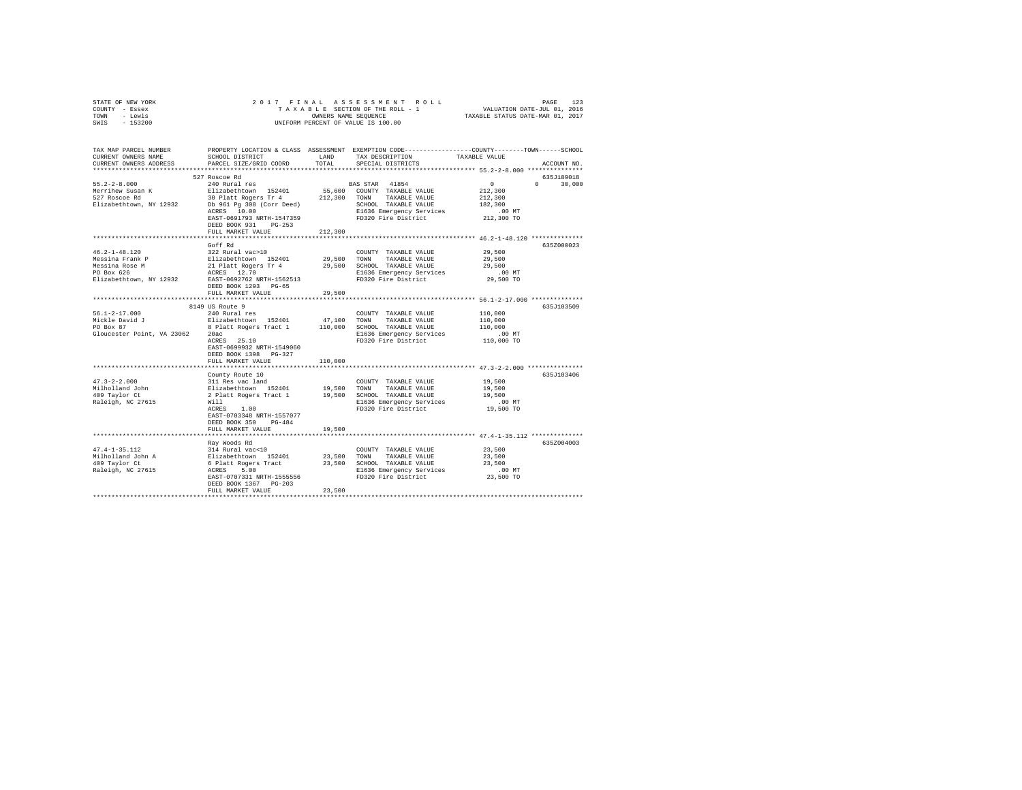| STATE OF NEW YORK                                                                                                                                                                                                                                    |                                                                                                                                                                                                                               |         |                                                                                                                                                                                                           |                                                                                                                     |
|------------------------------------------------------------------------------------------------------------------------------------------------------------------------------------------------------------------------------------------------------|-------------------------------------------------------------------------------------------------------------------------------------------------------------------------------------------------------------------------------|---------|-----------------------------------------------------------------------------------------------------------------------------------------------------------------------------------------------------------|---------------------------------------------------------------------------------------------------------------------|
| COUNTY - Essex                                                                                                                                                                                                                                       |                                                                                                                                                                                                                               |         |                                                                                                                                                                                                           |                                                                                                                     |
| TOWN - Lewis                                                                                                                                                                                                                                         |                                                                                                                                                                                                                               |         | OWNERS NAME SEQUENCE<br>UNIFORM PERCENT OF VALUE IS 100.00                                                                                                                                                |                                                                                                                     |
| SWIS - 153200                                                                                                                                                                                                                                        |                                                                                                                                                                                                                               |         |                                                                                                                                                                                                           |                                                                                                                     |
|                                                                                                                                                                                                                                                      |                                                                                                                                                                                                                               |         |                                                                                                                                                                                                           |                                                                                                                     |
|                                                                                                                                                                                                                                                      |                                                                                                                                                                                                                               |         |                                                                                                                                                                                                           |                                                                                                                     |
|                                                                                                                                                                                                                                                      |                                                                                                                                                                                                                               |         |                                                                                                                                                                                                           |                                                                                                                     |
|                                                                                                                                                                                                                                                      |                                                                                                                                                                                                                               |         |                                                                                                                                                                                                           | TAX MAP PARCEL NUMBER PROPERTY LOCATION & CLASS ASSESSMENT EXEMPTION CODE--------------COUNTY-------TOWN-----SCHOOL |
| CURRENT OWNERS NAME                                                                                                                                                                                                                                  | SCHOOL DISTRICT                                                                                                                                                                                                               | LAND    | TAX DESCRIPTION                                                                                                                                                                                           | TAXABLE VALUE                                                                                                       |
| CURRENT OWNERS ADDRESS                                                                                                                                                                                                                               | PARCEL SIZE/GRID COORD                                                                                                                                                                                                        | TOTAL   | SPECIAL DISTRICTS                                                                                                                                                                                         | ACCOUNT NO.                                                                                                         |
|                                                                                                                                                                                                                                                      |                                                                                                                                                                                                                               |         |                                                                                                                                                                                                           |                                                                                                                     |
|                                                                                                                                                                                                                                                      | 527 Roscoe Rd                                                                                                                                                                                                                 |         |                                                                                                                                                                                                           | 635J189018                                                                                                          |
| $55.2 - 2 - 8.000$                                                                                                                                                                                                                                   | 240 Rural res                                                                                                                                                                                                                 |         | BAS STAR 41854                                                                                                                                                                                            | $\sim$ 0<br>$0 \t 30,000$                                                                                           |
| Merrihew Susan K<br>527 Roscoe Rd                                                                                                                                                                                                                    |                                                                                                                                                                                                                               |         |                                                                                                                                                                                                           | 212,300                                                                                                             |
|                                                                                                                                                                                                                                                      |                                                                                                                                                                                                                               |         |                                                                                                                                                                                                           | 212,300                                                                                                             |
| Elizabethtown, NY 12932                                                                                                                                                                                                                              |                                                                                                                                                                                                                               |         |                                                                                                                                                                                                           | 182,300                                                                                                             |
|                                                                                                                                                                                                                                                      | 240 Rural res 152401 55,600 COUNTY TAXABLE VALUE RIAGED POINT TAXABLE VALUE 10 PM TAXABLE VALUE POINT TAXABLE VALUE POINT TAXABLE VALUE POINT TAXABLE VALUE POINT TAXABLE VALUE POINT TAXABLE VALUE POINT TAXABLE VALUE POINT |         | E1636 Emergency Services                                                                                                                                                                                  | $.00$ MT                                                                                                            |
|                                                                                                                                                                                                                                                      | EAST-0691793 NRTH-1547359                                                                                                                                                                                                     |         | FD320 Fire District                                                                                                                                                                                       | 212,300 TO                                                                                                          |
|                                                                                                                                                                                                                                                      | DEED BOOK 931 PG-253                                                                                                                                                                                                          |         |                                                                                                                                                                                                           |                                                                                                                     |
|                                                                                                                                                                                                                                                      | FULL MARKET VALUE                                                                                                                                                                                                             | 212,300 |                                                                                                                                                                                                           |                                                                                                                     |
|                                                                                                                                                                                                                                                      |                                                                                                                                                                                                                               |         |                                                                                                                                                                                                           |                                                                                                                     |
|                                                                                                                                                                                                                                                      | Goff Rd                                                                                                                                                                                                                       |         |                                                                                                                                                                                                           | 635Z000023                                                                                                          |
| $46.2 - 1 - 48.120$                                                                                                                                                                                                                                  | 322 Rural vac>10                                                                                                                                                                                                              |         | COUNTY TAXABLE VALUE 29,500                                                                                                                                                                               |                                                                                                                     |
| Wessina Frank P<br>Messina Rome P<br>29,500 COWN TAXABLE VALUE<br>Messina Rose M<br>29,500 COWN TAXABLE VALUE<br>PO Box 626<br>29,500 COMN TAXABLE VALUE<br>PO Box 626<br>29,500 COMN TAXABLE VALUE<br>PO Box 626<br>29,500 COMN TAXABLE VALUE<br>PO |                                                                                                                                                                                                                               |         |                                                                                                                                                                                                           | 29,500                                                                                                              |
|                                                                                                                                                                                                                                                      |                                                                                                                                                                                                                               |         |                                                                                                                                                                                                           | 29,500                                                                                                              |
|                                                                                                                                                                                                                                                      |                                                                                                                                                                                                                               |         |                                                                                                                                                                                                           | $.00$ MT                                                                                                            |
|                                                                                                                                                                                                                                                      |                                                                                                                                                                                                                               |         |                                                                                                                                                                                                           | 29,500 TO                                                                                                           |
|                                                                                                                                                                                                                                                      | DEED BOOK 1293 PG-65                                                                                                                                                                                                          |         |                                                                                                                                                                                                           |                                                                                                                     |
|                                                                                                                                                                                                                                                      | FULL MARKET VALUE                                                                                                                                                                                                             | 29,500  |                                                                                                                                                                                                           |                                                                                                                     |
|                                                                                                                                                                                                                                                      |                                                                                                                                                                                                                               |         |                                                                                                                                                                                                           |                                                                                                                     |
|                                                                                                                                                                                                                                                      | 8149 US Route 9                                                                                                                                                                                                               |         |                                                                                                                                                                                                           | 635J103509                                                                                                          |
| $56.1 - 2 - 17.000$                                                                                                                                                                                                                                  | 240 Rural res                                                                                                                                                                                                                 |         | COUNTY TAXABLE VALUE                                                                                                                                                                                      | 110,000                                                                                                             |
|                                                                                                                                                                                                                                                      |                                                                                                                                                                                                                               |         |                                                                                                                                                                                                           | 110,000                                                                                                             |
|                                                                                                                                                                                                                                                      |                                                                                                                                                                                                                               |         |                                                                                                                                                                                                           | 110,000                                                                                                             |
| Gloucester Point, VA 23062 20ac                                                                                                                                                                                                                      |                                                                                                                                                                                                                               |         | E1636 Emergency Services                                                                                                                                                                                  | .00 MT                                                                                                              |
|                                                                                                                                                                                                                                                      | $20ac$<br>ACRES $25.10$                                                                                                                                                                                                       |         | FD320 Fire District                                                                                                                                                                                       | 110,000 TO                                                                                                          |
|                                                                                                                                                                                                                                                      | EAST-0699932 NRTH-1549060                                                                                                                                                                                                     |         |                                                                                                                                                                                                           |                                                                                                                     |
|                                                                                                                                                                                                                                                      | DEED BOOK 1398 PG-327                                                                                                                                                                                                         |         |                                                                                                                                                                                                           |                                                                                                                     |
|                                                                                                                                                                                                                                                      | FULL MARKET VALUE                                                                                                                                                                                                             | 110,000 |                                                                                                                                                                                                           |                                                                                                                     |
|                                                                                                                                                                                                                                                      |                                                                                                                                                                                                                               |         |                                                                                                                                                                                                           |                                                                                                                     |
|                                                                                                                                                                                                                                                      |                                                                                                                                                                                                                               |         | County Route 10<br>311 Res vac land<br>Elizabethcown 152401 19,500 TOWN TAXABLE VALUE<br>2 Platt Rogers Tract 1 19,500 SCHOOL TAXABLE VALUE<br>2 Platt Rogers Tract 1 19,500 SCHOOL TAXABLE VALUE<br>Will | 635J103406                                                                                                          |
| $47.3 - 2 - 2.000$                                                                                                                                                                                                                                   |                                                                                                                                                                                                                               |         |                                                                                                                                                                                                           | 19,500                                                                                                              |
|                                                                                                                                                                                                                                                      |                                                                                                                                                                                                                               |         |                                                                                                                                                                                                           | 19,500                                                                                                              |
| Milholland John<br>409 Taylor Ct                                                                                                                                                                                                                     |                                                                                                                                                                                                                               |         |                                                                                                                                                                                                           | 19,500                                                                                                              |
| Raleigh, NC 27615                                                                                                                                                                                                                                    |                                                                                                                                                                                                                               |         |                                                                                                                                                                                                           | $.00$ MT                                                                                                            |
|                                                                                                                                                                                                                                                      | Will<br>ACRES 1.00                                                                                                                                                                                                            |         | FD320 Fire District                                                                                                                                                                                       | 19,500 TO                                                                                                           |
|                                                                                                                                                                                                                                                      | EAST-0703348 NRTH-1557077                                                                                                                                                                                                     |         |                                                                                                                                                                                                           |                                                                                                                     |
|                                                                                                                                                                                                                                                      | DEED BOOK 350 PG-484                                                                                                                                                                                                          |         |                                                                                                                                                                                                           |                                                                                                                     |
|                                                                                                                                                                                                                                                      | FULL MARKET VALUE                                                                                                                                                                                                             | 19,500  |                                                                                                                                                                                                           |                                                                                                                     |
|                                                                                                                                                                                                                                                      |                                                                                                                                                                                                                               |         |                                                                                                                                                                                                           |                                                                                                                     |
|                                                                                                                                                                                                                                                      | Ray Woods Rd                                                                                                                                                                                                                  |         |                                                                                                                                                                                                           | 635Z004003                                                                                                          |
| $47.4 - 1 - 35.112$                                                                                                                                                                                                                                  | 314 Rural vac<10                                                                                                                                                                                                              |         | COUNTY TAXABLE VALUE                                                                                                                                                                                      | 23,500                                                                                                              |
|                                                                                                                                                                                                                                                      |                                                                                                                                                                                                                               |         |                                                                                                                                                                                                           | 23,500                                                                                                              |
| 47.4-1-33.1.<br>Milholland John A<br>409 Taylor Ct                                                                                                                                                                                                   |                                                                                                                                                                                                                               |         |                                                                                                                                                                                                           | 23,500                                                                                                              |
| Raleigh, NC 27615                                                                                                                                                                                                                                    |                                                                                                                                                                                                                               |         |                                                                                                                                                                                                           |                                                                                                                     |
|                                                                                                                                                                                                                                                      | EAST-0707331 NRTH-1555556                                                                                                                                                                                                     |         | E1636 Emergency Services<br>FD320 Fire District                                                                                                                                                           | 00 MT.<br>23,500 TO                                                                                                 |
|                                                                                                                                                                                                                                                      | DEED BOOK 1367 PG-203                                                                                                                                                                                                         |         |                                                                                                                                                                                                           |                                                                                                                     |
|                                                                                                                                                                                                                                                      | FULL MARKET VALUE                                                                                                                                                                                                             | 23,500  |                                                                                                                                                                                                           |                                                                                                                     |
|                                                                                                                                                                                                                                                      |                                                                                                                                                                                                                               |         |                                                                                                                                                                                                           |                                                                                                                     |
|                                                                                                                                                                                                                                                      |                                                                                                                                                                                                                               |         |                                                                                                                                                                                                           |                                                                                                                     |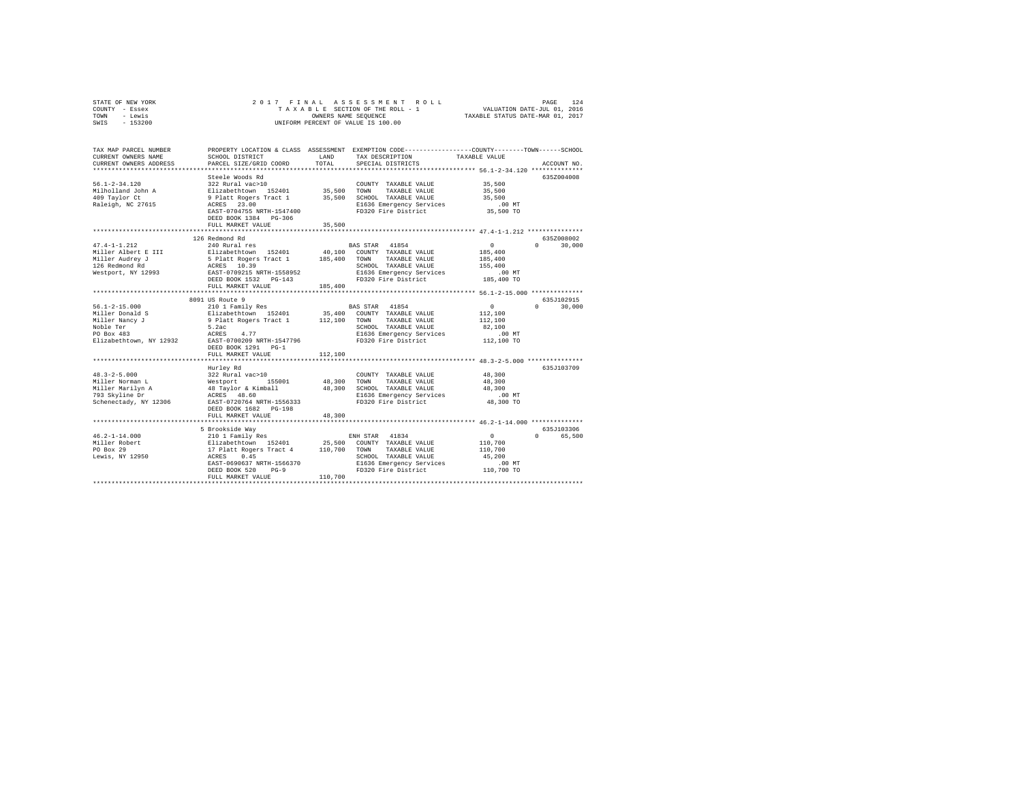| STATE OF NEW YORK<br>COUNTY - Essex                     | 2017 FINAL                                     |                      | ASSESSMENT ROLL<br>TAXABLE SECTION OF THE ROLL - 1                                             |                                                                 | 124<br>PAGE        |
|---------------------------------------------------------|------------------------------------------------|----------------------|------------------------------------------------------------------------------------------------|-----------------------------------------------------------------|--------------------|
| - Lewis<br>TOWN                                         |                                                | OWNERS NAME SEQUENCE |                                                                                                | VALUATION DATE-JUL 01, 2016<br>TAXABLE STATUS DATE-MAR 01, 2017 |                    |
| SWIS<br>$-153200$                                       |                                                |                      | UNIFORM PERCENT OF VALUE IS 100.00                                                             |                                                                 |                    |
|                                                         |                                                |                      |                                                                                                |                                                                 |                    |
|                                                         |                                                |                      |                                                                                                |                                                                 |                    |
|                                                         |                                                |                      |                                                                                                |                                                                 |                    |
| TAX MAP PARCEL NUMBER                                   |                                                |                      | PROPERTY LOCATION & CLASS ASSESSMENT EXEMPTION CODE---------------COUNTY-------TOWN-----SCHOOL |                                                                 |                    |
| CURRENT OWNERS NAME                                     | SCHOOL DISTRICT                                | LAND                 | TAX DESCRIPTION                                                                                | TAXABLE VALUE                                                   |                    |
| CURRENT OWNERS ADDRESS                                  | PARCEL SIZE/GRID COORD                         | TOTAL                | SPECIAL DISTRICTS                                                                              |                                                                 | ACCOUNT NO.        |
|                                                         |                                                |                      |                                                                                                |                                                                 |                    |
|                                                         | Steele Woods Rd                                |                      |                                                                                                |                                                                 | 635Z004008         |
| $56.1 - 2 - 34.120$                                     | 322 Rural vac>10                               |                      | COUNTY TAXABLE VALUE                                                                           | 35,500                                                          |                    |
| Milholland John A                                       | Elizabethtown 152401<br>9 Platt Rogers Tract 1 | 35,500               | TOWN<br>TAXABLE VALUE                                                                          | 35,500                                                          |                    |
| 409 Taylor Ct                                           |                                                |                      | 35,500 SCHOOL TAXABLE VALUE                                                                    | 35,500                                                          |                    |
| Raleigh, NC 27615                                       | ACRES 23.00                                    |                      | E1636 Emergency Services                                                                       | .00MT                                                           |                    |
|                                                         | EAST-0704755 NRTH-1547400                      |                      | FD320 Fire District                                                                            | 35,500 TO                                                       |                    |
|                                                         | DEED BOOK 1384 PG-306                          |                      |                                                                                                |                                                                 |                    |
|                                                         | FULL MARKET VALUE                              | 35,500               |                                                                                                |                                                                 |                    |
|                                                         |                                                | *************        |                                                                                                |                                                                 |                    |
|                                                         | 126 Redmond Rd                                 |                      |                                                                                                |                                                                 | 635Z008002         |
| $47.4 - 1 - 1.212$                                      | 240 Rural res                                  |                      | BAS STAR 41854                                                                                 | $\mathbf{0}$                                                    | $\Omega$<br>30,000 |
| Miller Albert E III                                     | Elizabethtown 152401                           |                      | 40,100 COUNTY TAXABLE VALUE                                                                    | 185,400                                                         |                    |
|                                                         | 5 Platt Rogers Tract 1                         | 185,400              | TOWN TAXABLE VALUE                                                                             | 185,400                                                         |                    |
| Miller Audrey J<br>126 Redmond Rd<br>Westport, NY 12993 | ACRES 10.39                                    |                      | SCHOOL TAXABLE VALUE                                                                           | 155,400                                                         |                    |
|                                                         | EAST-0709215 NRTH-1558952                      |                      | E1636 Emergency Services                                                                       | $.00$ MT                                                        |                    |
|                                                         | DEED BOOK 1532 PG-143                          |                      | FD320 Fire District                                                                            | 185,400 TO                                                      |                    |
|                                                         | FULL MARKET VALUE                              | 185,400              |                                                                                                |                                                                 |                    |
|                                                         |                                                |                      |                                                                                                |                                                                 |                    |
|                                                         | 8091 US Route 9                                |                      |                                                                                                |                                                                 | 635J102915         |
| $56.1 - 2 - 15.000$                                     | 210 1 Family Res                               |                      | BAS STAR 41854                                                                                 | $\Omega$                                                        | $\Omega$<br>30,000 |
| Miller Donald S                                         | Elizabethtown 152401                           |                      | 35,400 COUNTY TAXABLE VALUE                                                                    | 112,100                                                         |                    |
| Miller Nancy J                                          | 9 Platt Rogers Tract 1                         | 112,100 TOWN         | TAXABLE VALUE                                                                                  | 112,100                                                         |                    |
| Noble Ter                                               | 5.2ac                                          |                      | SCHOOL TAXABLE VALUE                                                                           | 82,100                                                          |                    |
| PO Box 483                                              | ACRES 4.77                                     |                      | E1636 Emergency Services                                                                       | $.00$ MT                                                        |                    |
| Elizabethtown, NY 12932                                 | EAST-0700209 NRTH-1547796                      |                      | FD320 Fire District                                                                            | 112,100 TO                                                      |                    |
|                                                         | DEED BOOK 1291 PG-1                            |                      |                                                                                                |                                                                 |                    |
|                                                         | FULL MARKET VALUE                              | 112,100              |                                                                                                |                                                                 |                    |
|                                                         |                                                |                      |                                                                                                |                                                                 |                    |
|                                                         | Hurley Rd                                      |                      |                                                                                                |                                                                 | 635J103709         |
| $48.3 - 2 - 5.000$                                      | 322 Rural vac>10                               |                      | COUNTY TAXABLE VALUE                                                                           | 48,300                                                          |                    |
| Miller Norman L                                         | Westport 155001<br>48 Taylor & Kimball         | 48,300               | TOWN<br>TAXABLE VALUE                                                                          | 48,300                                                          |                    |
| Miller Marilyn A                                        |                                                |                      | 48,300 SCHOOL TAXABLE VALUE                                                                    | 48,300                                                          |                    |
| 793 Skyline Dr                                          | ACRES 48.60                                    |                      | E1636 Emergency Services                                                                       | $.00$ MT                                                        |                    |
| Schenectady, NY 12306                                   | EAST-0720764 NRTH-1556333                      |                      | FD320 Fire District                                                                            | 48,300 TO                                                       |                    |
|                                                         | DEED BOOK 1682 PG-198                          |                      |                                                                                                |                                                                 |                    |
|                                                         | FULL MARKET VALUE                              | 48,300               |                                                                                                |                                                                 |                    |
|                                                         |                                                |                      |                                                                                                |                                                                 |                    |
|                                                         | 5 Brookside Way                                |                      |                                                                                                |                                                                 | 635J103306         |
| $46.2 - 1 - 14.000$                                     | 210 1 Family Res                               |                      | ENH STAR 41834                                                                                 | 0                                                               | 0 65,500           |
| Miller Robert                                           | Elizabethtown 152401                           | 25,500               | COUNTY TAXABLE VALUE                                                                           | 110,700                                                         |                    |
| PO Box 29                                               | 17 Platt Rogers Tract 4<br>ACRES 0.45          | 110,700              | TOWN<br>TAXABLE VALUE                                                                          | 110,700                                                         |                    |
| Lewis, NY 12950                                         |                                                |                      | SCHOOL TAXABLE VALUE                                                                           | 45,200                                                          |                    |
|                                                         | EAST-0690637 NRTH-1566370                      |                      | E1636 Emergency Services                                                                       | $.00$ MT                                                        |                    |
|                                                         | $PG-9$<br>DEED BOOK 520                        |                      | FD320 Fire District                                                                            | 110,700 TO                                                      |                    |
|                                                         | FULL MARKET VALUE                              | 110,700              |                                                                                                |                                                                 |                    |
|                                                         |                                                |                      |                                                                                                |                                                                 |                    |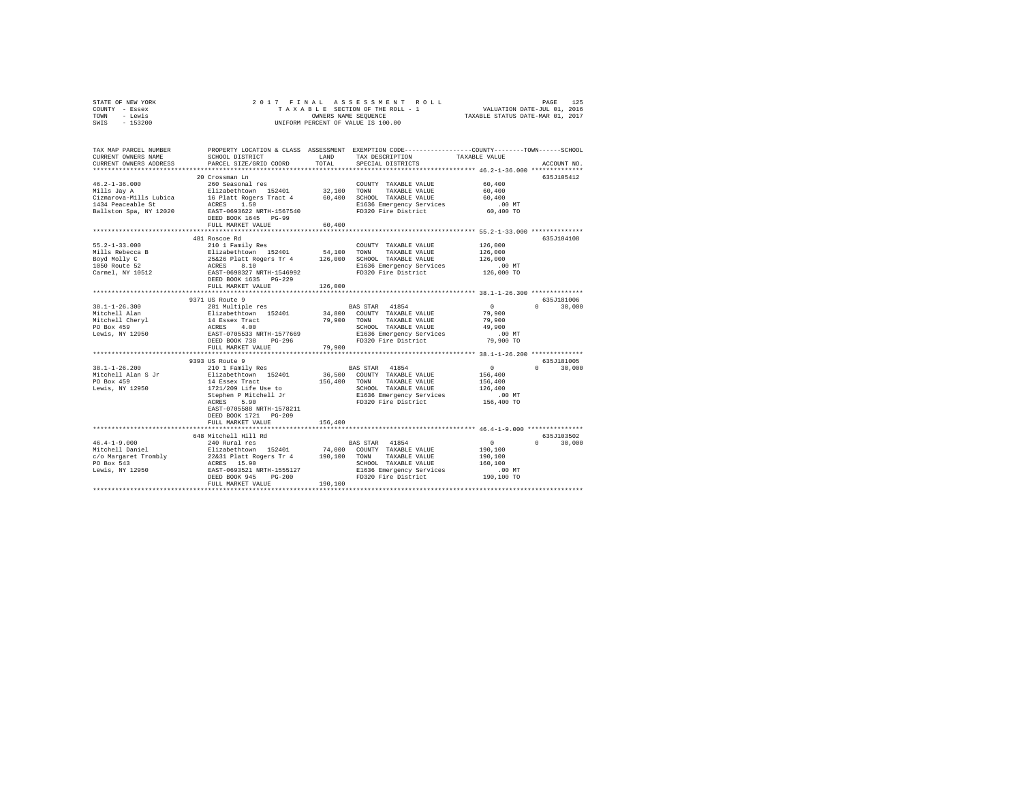| STATE OF NEW YORK |          |  |  |  |                      | 2017 FINAL ASSESSMENT ROLL         |                                  | PAGE | 125 |
|-------------------|----------|--|--|--|----------------------|------------------------------------|----------------------------------|------|-----|
| COUNTY - Essex    |          |  |  |  |                      | TAXABLE SECTION OF THE ROLL - 1    | VALUATION DATE-JUL 01, 2016      |      |     |
| TOWN              | - Lewis  |  |  |  | OWNERS NAME SEOUENCE |                                    | TAXABLE STATUS DATE-MAR 01, 2017 |      |     |
| SWIS              | - 153200 |  |  |  |                      | UNIFORM PERCENT OF VALUE IS 100.00 |                                  |      |     |

| TAX MAP PARCEL NUMBER<br>CURRENT OWNERS NAME<br>CURRENT OWNERS ADDRESS                                                                                                                                                         | SCHOOL DISTRICT<br>PARCEL SIZE/GRID COORD                                                                                                                                                                            | LAND<br>TOTAL | TAX DESCRIPTION<br>SPECIAL DISTRICTS             | PROPERTY LOCATION & CLASS ASSESSMENT EXEMPTION CODE----------------COUNTY-------TOWN-----SCHOOL<br>TAXABLE VALUE<br>ACCOUNT NO. |
|--------------------------------------------------------------------------------------------------------------------------------------------------------------------------------------------------------------------------------|----------------------------------------------------------------------------------------------------------------------------------------------------------------------------------------------------------------------|---------------|--------------------------------------------------|---------------------------------------------------------------------------------------------------------------------------------|
| **************************                                                                                                                                                                                                     |                                                                                                                                                                                                                      |               |                                                  |                                                                                                                                 |
| $46.2 - 1 - 36.000$                                                                                                                                                                                                            | 20 Crossman Ln                                                                                                                                                                                                       |               | COUNTY TAXABLE VALUE                             | 635.7105412<br>60,400                                                                                                           |
| Mills Jay A                                                                                                                                                                                                                    | 260 Seasonal res<br>Elizabethtown 152401                                                                                                                                                                             |               | 32.100 TOWN TAXABLE VALUE                        | 60,400                                                                                                                          |
|                                                                                                                                                                                                                                |                                                                                                                                                                                                                      |               |                                                  | 60,400                                                                                                                          |
|                                                                                                                                                                                                                                |                                                                                                                                                                                                                      |               |                                                  | .00 MT                                                                                                                          |
| Pallston Spa, NY 12020<br>Ballston Spa, NY 12020 BAST-0693622 NRTH-1567540                                                                                                                                                     |                                                                                                                                                                                                                      |               | FD320 Fire District                              | 60,400 TO                                                                                                                       |
|                                                                                                                                                                                                                                | FULL MARKET VALUE                                                                                                                                                                                                    | 60,400        |                                                  |                                                                                                                                 |
|                                                                                                                                                                                                                                |                                                                                                                                                                                                                      |               |                                                  |                                                                                                                                 |
|                                                                                                                                                                                                                                | 481 Roscoe Rd                                                                                                                                                                                                        |               |                                                  | 635J104108                                                                                                                      |
| $55.2 - 1 - 33.000$                                                                                                                                                                                                            | 210 1 Family Res                                                                                                                                                                                                     |               | COUNTY TAXABLE VALUE                             | 126,000                                                                                                                         |
| 54,100 MINIS Rebecca B 210 MINIS Represents the SALIE SALIE SERVING SALIES IN THE SALIES IN THE SALIES OF 25626 Platt Represents 106,000 SCHOL TAXABLE VALUE ROYAL MONEY CONSULTED A ACRESS 8.100 MINIS REPRESENT AND SALIES C |                                                                                                                                                                                                                      |               |                                                  | 126,000                                                                                                                         |
|                                                                                                                                                                                                                                |                                                                                                                                                                                                                      |               |                                                  | 126,000                                                                                                                         |
|                                                                                                                                                                                                                                |                                                                                                                                                                                                                      |               | E1636 Emergency Services<br>FD320 Fire District  | $.00$ MT                                                                                                                        |
|                                                                                                                                                                                                                                |                                                                                                                                                                                                                      |               |                                                  | 126,000 TO                                                                                                                      |
|                                                                                                                                                                                                                                | DEED BOOK 1635 PG-229                                                                                                                                                                                                |               |                                                  |                                                                                                                                 |
|                                                                                                                                                                                                                                | FULL MARKET VALUE                                                                                                                                                                                                    | 126,000       |                                                  |                                                                                                                                 |
|                                                                                                                                                                                                                                | ***************************                                                                                                                                                                                          |               |                                                  | **************** 38.1-1-26.300 **************                                                                                   |
|                                                                                                                                                                                                                                | 9371 US Route 9                                                                                                                                                                                                      |               |                                                  | 635J181006<br>$\sim$ 0                                                                                                          |
|                                                                                                                                                                                                                                |                                                                                                                                                                                                                      |               | BAS STAR 41854<br>34,800 COUNTY TAXABLE VALUE    | $0 \t 30,000$                                                                                                                   |
|                                                                                                                                                                                                                                |                                                                                                                                                                                                                      |               | 79,900 TOWN TAXABLE VALUE                        | 79,900<br>79,900                                                                                                                |
|                                                                                                                                                                                                                                |                                                                                                                                                                                                                      |               |                                                  | 49,900                                                                                                                          |
|                                                                                                                                                                                                                                |                                                                                                                                                                                                                      |               | SCHOOL TAXABLE VALUE<br>E1636 Emergency Services | .00 MT                                                                                                                          |
|                                                                                                                                                                                                                                | DEED BOOK 738 PG-296                                                                                                                                                                                                 |               | FD320 Fire District                              | 79,900 TO                                                                                                                       |
|                                                                                                                                                                                                                                | FULL MARKET VALUE                                                                                                                                                                                                    | 79,900        |                                                  |                                                                                                                                 |
|                                                                                                                                                                                                                                |                                                                                                                                                                                                                      |               |                                                  |                                                                                                                                 |
|                                                                                                                                                                                                                                | 9393 US Route 9                                                                                                                                                                                                      |               |                                                  | 635J181005                                                                                                                      |
|                                                                                                                                                                                                                                |                                                                                                                                                                                                                      |               | BAS STAR 41854                                   | $\sim$ 0<br>$0 \t 30,000$                                                                                                       |
|                                                                                                                                                                                                                                |                                                                                                                                                                                                                      |               | 36,500 COUNTY TAXABLE VALUE                      | 156,400                                                                                                                         |
|                                                                                                                                                                                                                                |                                                                                                                                                                                                                      |               | 156,400 TOWN TAXABLE VALUE                       | 156,400                                                                                                                         |
| Lewis, NY 12950                                                                                                                                                                                                                | 1721/209 Life Use to                                                                                                                                                                                                 |               | SCHOOL TAXABLE VALUE                             | 126,400                                                                                                                         |
|                                                                                                                                                                                                                                | Stephen P Mitchell Jr                                                                                                                                                                                                |               | E1636 Emergency Services<br>FD320 Fire District  | .00 MT                                                                                                                          |
|                                                                                                                                                                                                                                | ACRES 5.90                                                                                                                                                                                                           |               |                                                  | 156,400 TO                                                                                                                      |
|                                                                                                                                                                                                                                | EAST-0705588 NRTH-1578211                                                                                                                                                                                            |               |                                                  |                                                                                                                                 |
|                                                                                                                                                                                                                                | DEED BOOK 1721 PG-209                                                                                                                                                                                                |               |                                                  |                                                                                                                                 |
|                                                                                                                                                                                                                                | FULL MARKET VALUE                                                                                                                                                                                                    | 156,400       |                                                  |                                                                                                                                 |
|                                                                                                                                                                                                                                |                                                                                                                                                                                                                      |               |                                                  |                                                                                                                                 |
|                                                                                                                                                                                                                                | 648 Mitchell Hill Rd                                                                                                                                                                                                 |               |                                                  | 635J103502                                                                                                                      |
| $46.4 - 1 - 9.000$<br>Mitchell Daniel                                                                                                                                                                                          | 240 Rural res                                                                                                                                                                                                        |               | <b>BAS STAR</b> 41854                            | $\sim$ 0<br>$\mathsf{n}$<br>30,000                                                                                              |
|                                                                                                                                                                                                                                |                                                                                                                                                                                                                      |               |                                                  | 190,100                                                                                                                         |
| c/o Margaret Trombly<br>PO Box 543                                                                                                                                                                                             | Elizabethtown 152401 74,000 COUNTY TAXABLE VALUE<br>26231 Platt Rogers Tr 4 190,100 TOWN TAXABLE VALUE<br>26231 Platt Rogers Tr 4 190,100 SCHOOL TAXABLE VALUE<br>ERST-0693521 NRTH-1555127 E1636 Emergency Services |               | SCHOOL TAXABLE VALUE                             | 190,100<br>160,100                                                                                                              |
|                                                                                                                                                                                                                                |                                                                                                                                                                                                                      |               |                                                  | $.00$ MT                                                                                                                        |
| Lewis, NY 12950                                                                                                                                                                                                                | DEED BOOK 945                                                                                                                                                                                                        |               | E1636 Emergency Services<br>FD320 Fire District  | 190,100 TO                                                                                                                      |
|                                                                                                                                                                                                                                | $PG-200$<br>LUE 190,100<br>FULL MARKET VALUE                                                                                                                                                                         |               |                                                  |                                                                                                                                 |
|                                                                                                                                                                                                                                |                                                                                                                                                                                                                      |               |                                                  |                                                                                                                                 |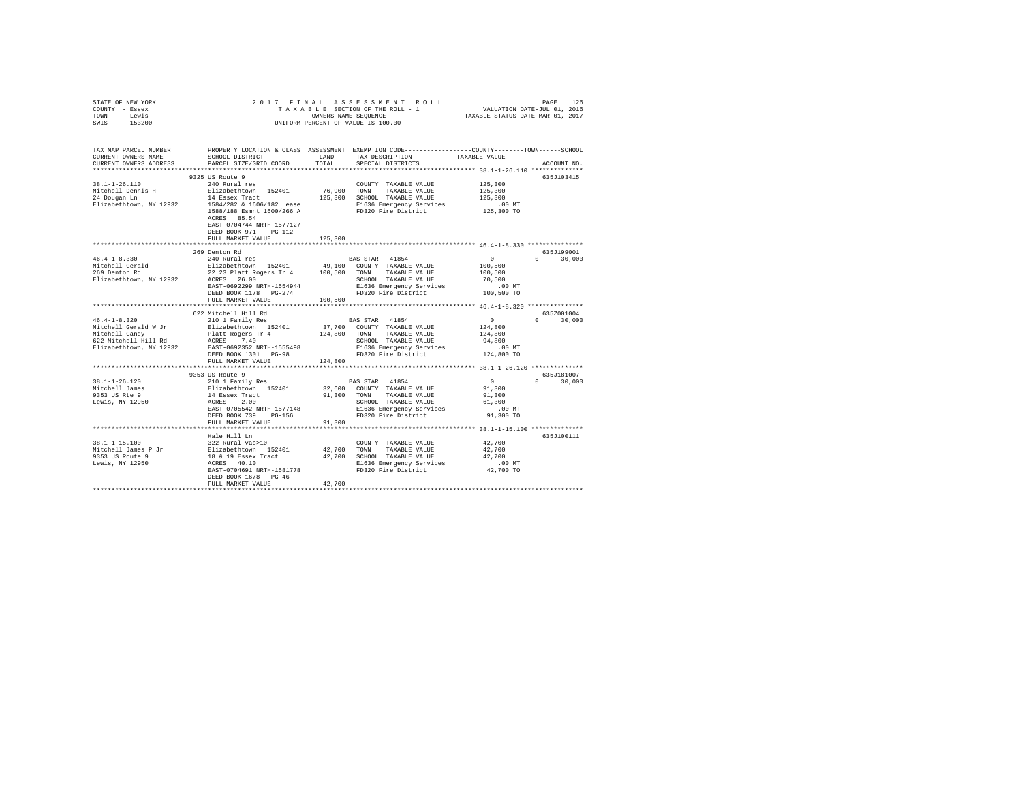| STATE OF NEW YORK                            |                                                      | 2017 FINAL ASSESSMENT ROLL                                            | PAGE<br>126                                                                                     |
|----------------------------------------------|------------------------------------------------------|-----------------------------------------------------------------------|-------------------------------------------------------------------------------------------------|
| COUNTY - Essex                               |                                                      |                                                                       | TAXABLE SECTION OF THE ROLL - 1 VALUATION DATE-JUL 01, 2016                                     |
| TOWN - Lewis                                 |                                                      |                                                                       | OWNERS NAME SEQUENCE TAXABLE STATUS DATE-MAR 01, 2017                                           |
| SWIS - 153200                                |                                                      | UNIFORM PERCENT OF VALUE IS 100.00                                    |                                                                                                 |
|                                              |                                                      |                                                                       |                                                                                                 |
|                                              |                                                      |                                                                       |                                                                                                 |
|                                              |                                                      |                                                                       | PROPERTY LOCATION & CLASS ASSESSMENT EXEMPTION CODE---------------COUNTY-------TOWN------SCHOOL |
| TAX MAP PARCEL NUMBER<br>CURRENT OWNERS NAME | SCHOOL DISTRICT                                      | LAND TAX DESCRIPTION                                                  | TAXABLE VALUE                                                                                   |
| CURRENT OWNERS ADDRESS                       | PARCEL SIZE/GRID COORD                               | TOTAL SPECIAL DISTRICTS                                               | ACCOUNT NO.                                                                                     |
|                                              |                                                      |                                                                       |                                                                                                 |
|                                              | 9325 US Route 9                                      |                                                                       | 635J103415                                                                                      |
| $38.1 - 1 - 26.110$                          | 240 Rural res                                        | COUNTY TAXABLE VALUE                                                  | 125,300                                                                                         |
|                                              |                                                      | Mitchell Dennis H Blizabethtown 152401 76,900 TOWN TAXABLE VALUE      | 125,300                                                                                         |
| 24 Dougan Ln                                 | 14 Essex Tract                                       | 125,300 SCHOOL TAXABLE VALUE                                          | 125,300                                                                                         |
|                                              |                                                      | E1636 Emergency Services                                              | .00 MT                                                                                          |
|                                              |                                                      |                                                                       | $125,300$ TO                                                                                    |
|                                              | ACRES 85.54                                          |                                                                       |                                                                                                 |
|                                              | EAST-0704744 NRTH-1577127                            |                                                                       |                                                                                                 |
|                                              | DEED BOOK 971 PG-112                                 |                                                                       |                                                                                                 |
|                                              | FULL MARKET VALUE                                    | 125,300                                                               |                                                                                                 |
|                                              |                                                      |                                                                       |                                                                                                 |
|                                              | 269 Denton Rd                                        |                                                                       | 635J199001                                                                                      |
|                                              |                                                      |                                                                       | $0 \t30.000$<br>$\sim$ 0 $\sim$                                                                 |
|                                              |                                                      |                                                                       | 100,500                                                                                         |
|                                              |                                                      |                                                                       | 100,500                                                                                         |
| Elizabethtown, NY 12932                      | ACRES 26.00                                          | SCHOOL TAXABLE VALUE 70.500                                           |                                                                                                 |
|                                              | EAST-0692299 NRTH-1554944                            | E1636 Emergency Services .00 MT                                       |                                                                                                 |
|                                              |                                                      | FD320 Fire District                                                   | 100,500 TO                                                                                      |
|                                              | FULL MARKET VALUE                                    | 100,500                                                               |                                                                                                 |
|                                              |                                                      |                                                                       |                                                                                                 |
|                                              | 622 Mitchell Hill Rd                                 |                                                                       | 635Z001004                                                                                      |
| $46.4 - 1 - 8.320$                           |                                                      |                                                                       | $0 \t 30,000$<br>$\sim$ 0                                                                       |
|                                              |                                                      | Mitchell Gerald W Jr Blizabethtown 152401 37,700 COUNTY TAXABLE VALUE | 124,800                                                                                         |
|                                              | Mitchell Candy <b>Platt</b> Rogers Tr 4 124,800 TOWN | TAXABLE VALUE                                                         | 124,800                                                                                         |
| 622 Mitchell Hill Rd                         | ACRES 7.40                                           | SCHOOL TAXABLE VALUE                                                  | 94,800                                                                                          |
| Elizabethtown, NY 12932                      | EAST-0692352 NRTH-1555498                            | E1636 Emergency Services                                              | .00MT                                                                                           |
|                                              | DEED BOOK 1301 PG-98                                 | FD320 Fire District                                                   | 124,800 TO                                                                                      |
|                                              | FULL MARKET VALUE                                    | 124,800                                                               |                                                                                                 |
|                                              |                                                      |                                                                       |                                                                                                 |
|                                              | 9353 US Route 9                                      |                                                                       | 635.7181007                                                                                     |
| $38.1 - 1 - 26.120$                          | 210 1 Family Res                                     | BAS STAR 41854                                                        | $\Omega$<br>$0 \t 30.000$                                                                       |
| Mitchell James                               |                                                      | Rligabethtown 152401 - 32.600 COUNTY TAXARLE VALUE                    | 91 300                                                                                          |

| Elizabethtown, NY 12932      | EAST-0692352 NRTH-1555498                        |        | E1636 Emergency Services        | $.00$ MT       |                        |
|------------------------------|--------------------------------------------------|--------|---------------------------------|----------------|------------------------|
|                              | DEED BOOK 1301 PG-98                             |        | FD320 Fire District 124,800 TO  |                |                        |
|                              | FULL MARKET VALUE 124,800                        |        |                                 |                |                        |
|                              |                                                  |        |                                 |                |                        |
|                              | 9353 US Route 9                                  |        |                                 |                | 635J181007             |
| 38.1-1-26.120                | 210 1 Family Res                                 |        | BAS STAR 41854                  | $\overline{0}$ | 30,000<br>$\mathbf{0}$ |
| Mitchell James               | Elizabethtown 152401 32,600 COUNTY TAXABLE VALUE |        |                                 | 91,300         |                        |
| 9353 US Rte 9 14 Essex Tract |                                                  | 91,300 | TOWN<br>TAXABLE VALUE           | 91,300         |                        |
| Lewis, NY 12950              | ACRES 2.00                                       |        | SCHOOL TAXABLE VALUE            | 61,300         |                        |
|                              | EAST-0705542 NRTH-1577148                        |        | E1636 Emergency Services        | $.00$ MT       |                        |
|                              | DEED BOOK 739 PG-156                             |        | FD320 Fire District             | 91,300 TO      |                        |
|                              | FULL MARKET VALUE 91,300                         |        |                                 |                |                        |
|                              |                                                  |        |                                 |                |                        |
|                              | Hale Hill Ln                                     |        |                                 |                | 635J100111             |
|                              | 38.1-1-15.100 322 Rural vac>10                   |        | COUNTY TAXABLE VALUE            | 42,700         |                        |
| Mitchell James P Jr          | Elizabethtown 152401 42,700                      |        | TAXABLE VALUE<br>TOWN           | 42,700         |                        |
| 9353 US Route 9              | 18 & 19 Essex Tract                              | 42,700 | SCHOOL TAXABLE VALUE            | 42,700         |                        |
| Lewis, NY 12950              | ACRES 40.10                                      |        | E1636 Emergency Services .00 MT |                |                        |
|                              | EAST-0704691 NRTH-1581778                        |        | FD320 Fire District             | 42,700 TO      |                        |
|                              | DEED BOOK 1678 PG-46                             |        |                                 |                |                        |
|                              | FULL MARKET VALUE                                | 42,700 |                                 |                |                        |
|                              |                                                  |        |                                 |                |                        |
|                              |                                                  |        |                                 |                |                        |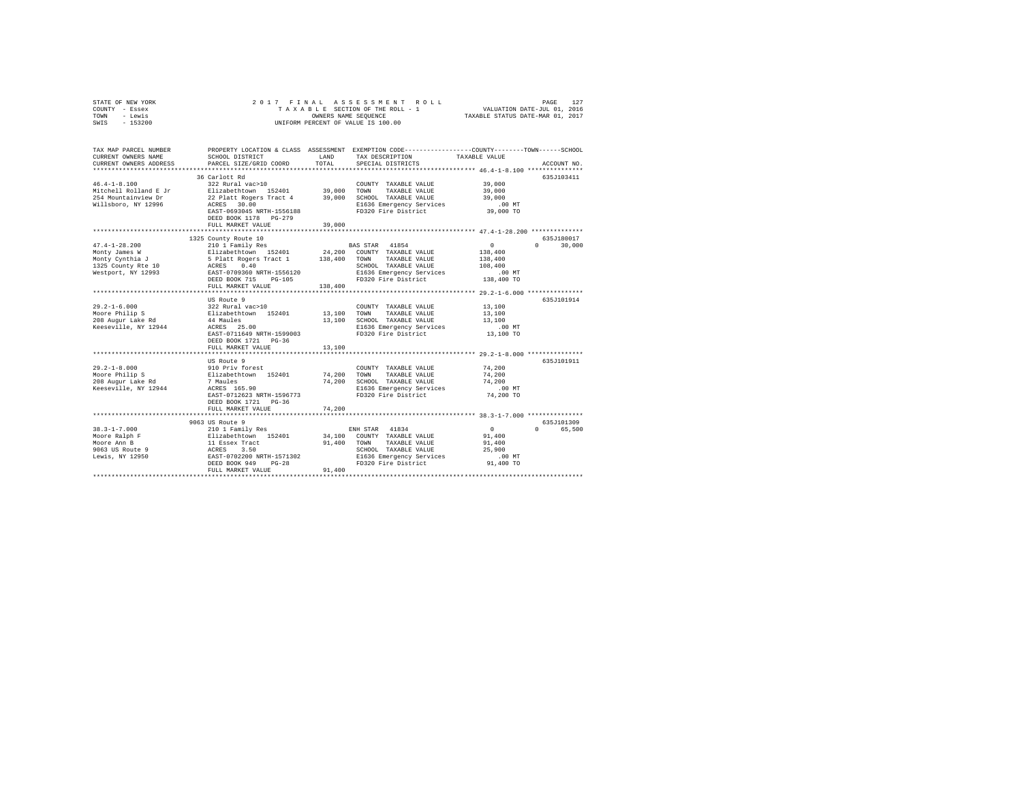| STATE OF NEW YORK | 2017 FINAL ASSESSMENT ROLL         | 127<br>PAGE                      |
|-------------------|------------------------------------|----------------------------------|
| COUNTY - Essex    | TAXABLE SECTION OF THE ROLL - 1    | VALUATION DATE-JUL 01, 2016      |
| TOWN<br>- Lewis   | OWNERS NAME SEOUENCE               | TAXABLE STATUS DATE-MAR 01, 2017 |
| $-153200$<br>SWIS | UNIFORM PERCENT OF VALUE IS 100.00 |                                  |

| TAX MAP PARCEL NUMBER<br>CURRENT OWNERS NAME<br>CURRENT OWNERS ADDRESS                              | SCHOOL DISTRICT<br>PARCEL SIZE/GRID COORD                                                                                                                                                                              | LAND<br>TOTAL                   | PROPERTY LOCATION & CLASS ASSESSMENT EXEMPTION CODE---------------COUNTY-------TOWN-----SCHOOL<br>TAX DESCRIPTION<br>SPECIAL DISTRICTS            | TAXABLE VALUE                                                                                                     | ACCOUNT NO.                          |
|-----------------------------------------------------------------------------------------------------|------------------------------------------------------------------------------------------------------------------------------------------------------------------------------------------------------------------------|---------------------------------|---------------------------------------------------------------------------------------------------------------------------------------------------|-------------------------------------------------------------------------------------------------------------------|--------------------------------------|
| $46.4 - 1 - 8.100$<br>Mitchell Rolland E Jr<br>254 Mountainview Dr<br>Willsboro, NY 12996           | 36 Carlott Rd<br>322 Rural vac>10<br>Elizabethtown 152401 39,000<br>22 Platt Rogers Tract 4<br>ACRES 30.00<br>EAST-0693045 NRTH-1556188<br>DEED BOOK 1178   PG-279<br>FULL MARKET VALUE<br>*************************** | 39,000<br>39,000                | COUNTY TAXABLE VALUE<br>TOWN<br>TAXABLE VALUE<br>SCHOOL TAXABLE VALUE<br>E1636 Emergency Services<br>FD320 Fire District                          | 39,000<br>39,000<br>39,000<br>$.00$ MT<br>39,000 TO<br>******************** 47.4-1-28.200 **************          | 635J103411                           |
| $47.4 - 1 - 28.200$<br>Monty James W<br>Monty Cynthia J<br>1325 County Rte 10<br>Westport, NY 12993 | 1325 County Route 10<br>210 1 Family Res<br>Elizabethtown 152401<br>5 Platt Rogers Tract 1<br>ACRES 0.40<br>EAST-0709360 NRTH-1556120<br>DEED BOOK 715<br>PG-105<br>FULL MARKET VALUE<br>******************            | 138,400<br>138,400              | BAS STAR 41854<br>24,200 COUNTY TAXABLE VALUE<br>TOWN<br>TAXABLE VALUE<br>SCHOOL TAXABLE VALUE<br>E1636 Emergency Services<br>FD320 Fire District | $\sim$ 0<br>138,400<br>138,400<br>108,400<br>$.00$ MT<br>138,400 TO<br>************** 29.2-1-6.000 ************** | 635J180017<br>$\Omega$<br>30,000     |
| $29.2 - 1 - 6.000$<br>Moore Philip S<br>208 Augur Lake Rd<br>Keeseville, NY 12944                   | US Route 9<br>322 Rural vac>10<br>Elizabethtown 152401<br>44 Maules<br>ACRES 25.00<br>EAST-0711649 NRTH-1599003<br>DEED BOOK 1721 PG-36<br>FULL MARKET VALUE                                                           | 13,100 TOWN<br>13,100<br>13,100 | COUNTY TAXABLE VALUE<br>TAXABLE VALUE<br>SCHOOL TAXABLE VALUE<br>E1636 Emergency Services<br>FD320 Fire District                                  | 13,100<br>13,100<br>13,100<br>$.00$ MT<br>13,100 TO                                                               | 635J101914                           |
| $29.2 - 1 - 8.000$<br>Moore Philip S<br>208 Augur Lake Rd<br>Keeseville, NY 12944                   | US Route 9<br>910 Priv forest<br>Elizabethtown 152401<br>7 Maules<br>ACRES 165.90<br>EAST-0712623 NRTH-1596773<br>DEED BOOK 1721 PG-36<br>FULL MARKET VALUE                                                            | 74,200<br>74,200<br>74,200      | COUNTY TAXABLE VALUE<br>TOWN<br>TAXABLE VALUE<br>SCHOOL TAXABLE VALUE<br>E1636 Emergency Services<br>FD320 Fire District                          | 74,200<br>74,200<br>74,200<br>$.00$ MT<br>74,200 TO                                                               | 635J101911                           |
| $38.3 - 1 - 7.000$<br>Moore Ralph F<br>Moore Ann B<br>9063 US Route 9<br>Lewis, NY 12950            | 9063 US Route 9<br>210 1 Family Res<br>Elizabethtown 152401<br>11 Essex Tract<br>ACRES 3.50<br>EAST-0702200 NRTH-1571302<br>DEED BOOK 949<br>$PG-28$<br>FULL MARKET VALUE                                              | 91,400<br>91,400                | ENH STAR 41834<br>34,100 COUNTY TAXABLE VALUE<br>TOWN<br>TAXABLE VALUE<br>SCHOOL TAXABLE VALUE<br>E1636 Emergency Services<br>FD320 Fire District | $\circ$<br>91,400<br>91,400<br>25,900<br>$.00$ MT<br>91,400 TO                                                    | 635J101309<br>$\mathbf{0}$<br>65,500 |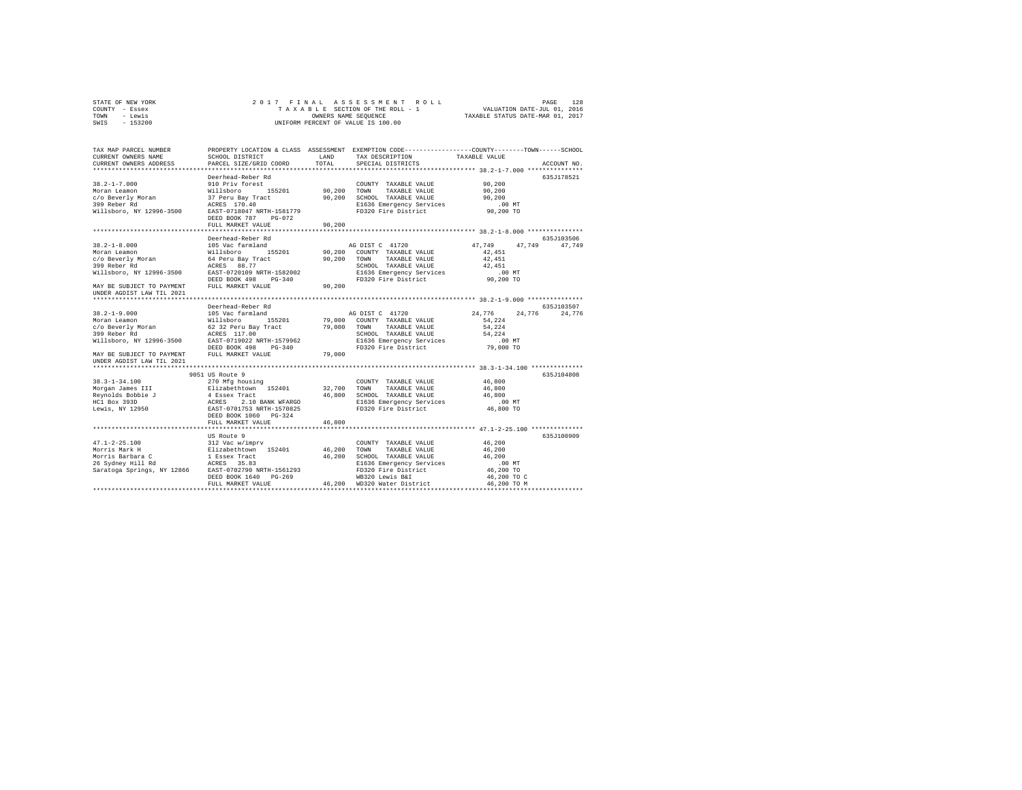| STATE OF NEW YORK | 2017 FINAL ASSESSMENT ROLL         | 128<br>PAGE                      |
|-------------------|------------------------------------|----------------------------------|
| COUNTY - Essex    | TAXABLE SECTION OF THE ROLL - 1    | VALUATION DATE-JUL 01, 2016      |
| TOWN<br>- Lewis   | OWNERS NAME SEOUENCE               | TAXABLE STATUS DATE-MAR 01, 2017 |
| SWIS - 153200     | UNIFORM PERCENT OF VALUE IS 100.00 |                                  |

| TAX MAP PARCEL NUMBER<br>CURRENT OWNERS NAME<br>CURRENT OWNERS ADDRESS                                                                | SCHOOL DISTRICT<br>PARCEL SIZE/GRID COORD                                                                                                                                     | LAND<br>TOTAL. | TAX DESCRIPTION<br>SPECIAL DISTRICTS                                               | PROPERTY LOCATION & CLASS ASSESSMENT EXEMPTION CODE----------------COUNTY-------TOWN-----SCHOOL<br>TAXABLE VALUE<br>ACCOUNT NO. |        |
|---------------------------------------------------------------------------------------------------------------------------------------|-------------------------------------------------------------------------------------------------------------------------------------------------------------------------------|----------------|------------------------------------------------------------------------------------|---------------------------------------------------------------------------------------------------------------------------------|--------|
|                                                                                                                                       |                                                                                                                                                                               |                |                                                                                    |                                                                                                                                 |        |
|                                                                                                                                       | Deerhead-Reber Rd                                                                                                                                                             |                |                                                                                    | 635J178521                                                                                                                      |        |
| $38.2 - 1 - 7.000$                                                                                                                    | 910 Priv forest                                                                                                                                                               |                | COUNTY TAXABLE VALUE                                                               | 90,200                                                                                                                          |        |
| Moran Leamon                                                                                                                          | yillsboro<br>Willsboro 155201<br>37 Peru Bay Tract<br>ACRES 170.40                                                                                                            | 90,200 TOWN    | TAXABLE VALUE                                                                      | 90,200                                                                                                                          |        |
| c/o Beverly Moran                                                                                                                     |                                                                                                                                                                               |                | 90,200 SCHOOL TAXABLE VALUE                                                        | 90,200                                                                                                                          |        |
| 399 Reber Rd                                                                                                                          |                                                                                                                                                                               |                | E1636 Emergency Services                                                           | $.00$ MT                                                                                                                        |        |
| Willsboro, NY 12996-3500                                                                                                              | EAST-0718047 NRTH-1581779                                                                                                                                                     |                | FD320 Fire District                                                                | 90,200 TO                                                                                                                       |        |
|                                                                                                                                       | DEED BOOK 787 PG-072                                                                                                                                                          |                |                                                                                    |                                                                                                                                 |        |
|                                                                                                                                       | FULL MARKET VALUE                                                                                                                                                             | 90,200         |                                                                                    |                                                                                                                                 |        |
|                                                                                                                                       |                                                                                                                                                                               |                |                                                                                    | *********************************** 38.2-1-8.000 ****************                                                               |        |
|                                                                                                                                       | Deerhead-Reber Rd                                                                                                                                                             |                |                                                                                    | 635J103506                                                                                                                      |        |
| $38.2 - 1 - 8.000$                                                                                                                    | 105 Vac farmland                                                                                                                                                              |                | AG DIST C 41720                                                                    | 47.749<br>47.749 47.749                                                                                                         |        |
| Moran Leamon                                                                                                                          |                                                                                                                                                                               |                | 90,200 COUNTY TAXABLE VALUE                                                        | 42,451                                                                                                                          |        |
|                                                                                                                                       |                                                                                                                                                                               |                | 90.200 TOWN<br>TAXABLE VALUE                                                       | 42,451                                                                                                                          |        |
|                                                                                                                                       | Willsboro 155201<br>64 Peru Bay Tract<br>ACRES 88.77                                                                                                                          |                | SCHOOL TAXABLE VALUE                                                               | 42,451                                                                                                                          |        |
| c/o Beverly Moran                         64 Peru Bay Tract<br>399 Reber Rd<br>Willsboro, NY 12996-3500     EAST-0720109 NRTH-1582002 |                                                                                                                                                                               |                |                                                                                    | .00 MT                                                                                                                          |        |
|                                                                                                                                       | DEED BOOK 498<br>$PG-340$                                                                                                                                                     |                | E1636 Emergency Services<br>FD320 Fire District                                    | 90,200 TO                                                                                                                       |        |
| MAY BE SUBJECT TO PAYMENT FULL MARKET VALUE                                                                                           |                                                                                                                                                                               | 90,200         |                                                                                    |                                                                                                                                 |        |
| UNDER AGDIST LAW TIL 2021                                                                                                             |                                                                                                                                                                               |                |                                                                                    |                                                                                                                                 |        |
|                                                                                                                                       |                                                                                                                                                                               |                |                                                                                    |                                                                                                                                 |        |
|                                                                                                                                       | Deerhead-Reber Rd                                                                                                                                                             |                |                                                                                    | 635J103507                                                                                                                      |        |
| $38.2 - 1 - 9.000$                                                                                                                    | AG DIST<br>105 Vac farmland<br>105 Vac farmland<br>62 32 Peru Bay Tract<br>62 32 Peru Bay Tract<br>79,000 TOWN<br>2GRS<br>2HOJ0022 RRTH-1579962<br>2GRO E11636<br>2GRO E11636 |                | AG DIST C 41720                                                                    | 24.776 24.776                                                                                                                   | 24.776 |
| Moran Leamon                                                                                                                          |                                                                                                                                                                               |                | 79,000 COUNTY TAXABLE VALUE                                                        | 54,224                                                                                                                          |        |
| c/o Beverly Moran<br>399 Reber Rd                                                                                                     |                                                                                                                                                                               |                | TAXABLE VALUE                                                                      | 54,224                                                                                                                          |        |
| 399 Reber Rd                                                                                                                          |                                                                                                                                                                               |                | SCHOOL TAXABLE VALUE                                                               | 54,224                                                                                                                          |        |
| Willsboro, NY 12996-3500                                                                                                              |                                                                                                                                                                               |                | E1636 Emergency Services<br>FD320 Fire District                                    | $.00$ MT                                                                                                                        |        |
|                                                                                                                                       | DEED BOOK 498 PG-340                                                                                                                                                          |                |                                                                                    | 79,000 TO                                                                                                                       |        |
| MAY BE SUBJECT TO PAYMENT                                                                                                             | FULL MARKET VALUE                                                                                                                                                             | 79,000         |                                                                                    |                                                                                                                                 |        |
| UNDER AGDIST LAW TIL 2021                                                                                                             |                                                                                                                                                                               |                |                                                                                    |                                                                                                                                 |        |
|                                                                                                                                       | 9051 US Route 9                                                                                                                                                               |                |                                                                                    | 635J104808                                                                                                                      |        |
| $38.3 - 1 - 34.100$                                                                                                                   | 270 Mfg housing                                                                                                                                                               |                | COUNTY TAXABLE VALUE                                                               | 46,800                                                                                                                          |        |
|                                                                                                                                       |                                                                                                                                                                               |                | 32,700 TOWN TAXABLE VALUE                                                          | 46,800                                                                                                                          |        |
|                                                                                                                                       |                                                                                                                                                                               |                | 46,800 SCHOOL TAXABLE VALUE                                                        | 46,800                                                                                                                          |        |
|                                                                                                                                       |                                                                                                                                                                               |                |                                                                                    |                                                                                                                                 |        |
|                                                                                                                                       |                                                                                                                                                                               |                | E1636 Emergency Services<br>FD320 Fire District                                    | $46,800$ TO                                                                                                                     |        |
|                                                                                                                                       | DEED BOOK 1060 PG-324                                                                                                                                                         |                |                                                                                    |                                                                                                                                 |        |
|                                                                                                                                       | FULL MARKET VALUE                                                                                                                                                             | 46,800         |                                                                                    |                                                                                                                                 |        |
|                                                                                                                                       |                                                                                                                                                                               |                |                                                                                    |                                                                                                                                 |        |
|                                                                                                                                       | US Route 9                                                                                                                                                                    |                |                                                                                    | 635J100909                                                                                                                      |        |
| $47.1 - 2 - 25.100$                                                                                                                   |                                                                                                                                                                               |                | COUNTY TAXABLE VALUE                                                               | 46,200                                                                                                                          |        |
| Morris Mark H                                                                                                                         | 312 Vac w/imprv<br>Elizabethtown 152401                                                                                                                                       | $46.200$ TOWN  | TAXABLE VALUE                                                                      | 46,200                                                                                                                          |        |
|                                                                                                                                       |                                                                                                                                                                               |                |                                                                                    | 46,200                                                                                                                          |        |
|                                                                                                                                       |                                                                                                                                                                               |                | 46,200 SCHOOL TAXABLE VALUE<br>E1636 Emergency Service<br>E1636 Emergency Services | $.00$ MT                                                                                                                        |        |
|                                                                                                                                       |                                                                                                                                                                               |                | FD320 Fire District                                                                | 46,200 TO                                                                                                                       |        |
|                                                                                                                                       | DEED BOOK 1640 PG-269                                                                                                                                                         |                |                                                                                    | 46,200 TO C                                                                                                                     |        |
|                                                                                                                                       | FULL MARKET VALUE                                                                                                                                                             |                | 269 MB320 Lewis B&I<br>46,200 MD320 Mater District                                 | 46,200 TO M                                                                                                                     |        |
|                                                                                                                                       |                                                                                                                                                                               |                |                                                                                    |                                                                                                                                 |        |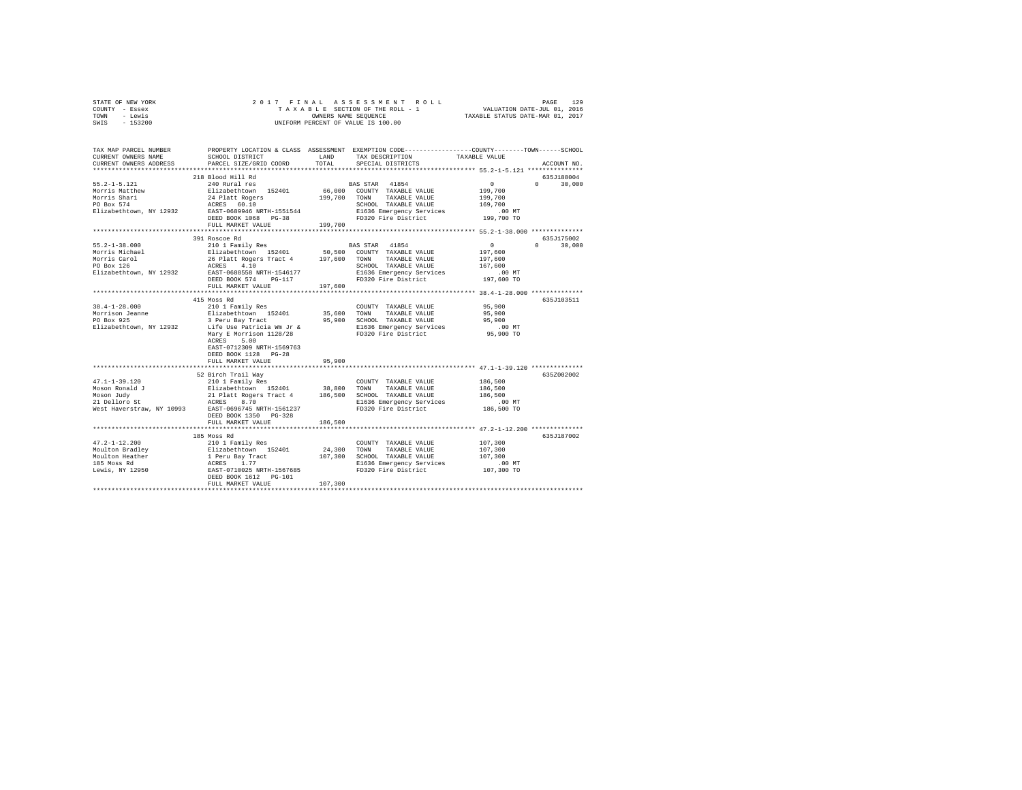| STATE OF NEW YORK | 2017 FINAL ASSESSMENT ROLL         | 129<br>PAGE                      |
|-------------------|------------------------------------|----------------------------------|
| COUNTY - Essex    | TAXABLE SECTION OF THE ROLL - 1    | VALUATION DATE-JUL 01, 2016      |
| TOWN<br>- Lewis   | OWNERS NAME SEOUENCE               | TAXABLE STATUS DATE-MAR 01, 2017 |
| $-153200$<br>SWIS | UNIFORM PERCENT OF VALUE IS 100.00 |                                  |

| TAX MAP PARCEL NUMBER<br>CURRENT OWNERS NAME<br>CURRENT OWNERS ADDRESS                      | SCHOOL DISTRICT<br>PARCEL SIZE/GRID COORD                                                                                                                                                                                                                                                                                                                                                                                                   | LAND<br>TOTAL          | PROPERTY LOCATION & CLASS ASSESSMENT EXEMPTION CODE----------------COUNTY-------TOWN------SCHOOL<br>TAX DESCRIPTION<br>SPECIAL DISTRICTS | TAXABLE VALUE                                                       | ACCOUNT NO.                      |
|---------------------------------------------------------------------------------------------|---------------------------------------------------------------------------------------------------------------------------------------------------------------------------------------------------------------------------------------------------------------------------------------------------------------------------------------------------------------------------------------------------------------------------------------------|------------------------|------------------------------------------------------------------------------------------------------------------------------------------|---------------------------------------------------------------------|----------------------------------|
|                                                                                             |                                                                                                                                                                                                                                                                                                                                                                                                                                             |                        |                                                                                                                                          |                                                                     |                                  |
| $55.2 - 1 - 5.121$<br>Morris Matthew<br>Morris Shari<br>PO Box 574                          | 218 Blood Hill Rd<br>240 Rural res<br>Elizabethtown 152401<br>24 Platt Rogers<br>ACRES 60.10                                                                                                                                                                                                                                                                                                                                                |                        | BAS STAR 41854<br>66,000 COUNTY TAXABLE VALUE<br>199,700 TOWN TAXABLE VALUE<br>SCHOOL TAXABLE VALUE                                      | $\sim$ 0<br>199,700<br>199,700<br>169,700                           | 635J188004<br>$\Omega$<br>30,000 |
|                                                                                             | Elizabethtown, NY 12932 EAST-0689946 NRTH-1551544<br>DEED BOOK 1068 PG-38<br>FULL MARKET VALUE                                                                                                                                                                                                                                                                                                                                              | 199,700                | E1636 Emergency Services<br>FD320 Fire District                                                                                          | .00 MT<br>199,700 TO                                                |                                  |
|                                                                                             |                                                                                                                                                                                                                                                                                                                                                                                                                                             |                        |                                                                                                                                          |                                                                     |                                  |
| $55.2 - 1 - 38.000$                                                                         | 391 Roscoe Rd<br>210 1 Family Res<br>Morris Michael Blizabethtown 152401 50,500 COUNTY TAXABLE VALUE<br>Morris Carol 26 Platt Rogers Tract 4 197,600 TOWN TAXABLE VALUE<br>PO Box 126 ACRES 4.10 SCRES 110 SCRES 10 SCRED TAXABLE VALUE<br>PLIzabethtown, NY 12932 EAST-0<br>DEED BOOK 574 PG-117<br>FULL MARKET VALUE                                                                                                                      | 197,600                | BAS STAR 41854<br>SCHOOL TAXABLE VALUE<br>E1636 Emergency Services<br>FD320 Fire District                                                | $\sim$ 0<br>197,600<br>197,600<br>167.600<br>$.00$ MT<br>197,600 TO | 635J175002<br>$0 \t 30,000$      |
|                                                                                             |                                                                                                                                                                                                                                                                                                                                                                                                                                             |                        |                                                                                                                                          |                                                                     |                                  |
| $38.4 - 1 - 28.000$                                                                         | 415 Moss Rd<br>210 1 Family Res<br>Form and the search of the search of the search of the search of the search of the search of the search of the<br>PO Box 925 The Search Search Search Search Search Search Search Search Search Search Search Search Search Sear<br>Elizabethtown, NY 12932 Life Use Patricia Wm Jr &<br>Mary E Morrison 1128/28<br>ACRES 5.00<br>EAST-0712309 NRTH-1569763<br>DEED BOOK 1128 PG-28<br>FULL MARKET VALUE | 95,900                 | COUNTY TAXABLE VALUE<br>35,600 TOWN TAXABLE VALUE<br>95,900 SCHOOL TAXABLE VALUE<br>E1636 Emergency Services<br>FD320 Fire District      | 95,900<br>95,900<br>95,900<br>.00MT<br>$95,900$ TO                  | 635J103511                       |
|                                                                                             | 52 Birch Trail Way                                                                                                                                                                                                                                                                                                                                                                                                                          |                        |                                                                                                                                          |                                                                     | 635Z002002                       |
| $47.1 - 1 - 39.120$                                                                         | 210 1 Family Res<br>DEED BOOK 1350 PG-328                                                                                                                                                                                                                                                                                                                                                                                                   |                        | COUNTY TAXABLE VALUE<br>E1636 Emergency Services<br>FD320 Fire District                                                                  | 186,500<br>186,500<br>186,500<br>00 MT.<br>186,500 TO               |                                  |
|                                                                                             | FULL MARKET VALUE                                                                                                                                                                                                                                                                                                                                                                                                                           | 186,500                |                                                                                                                                          |                                                                     |                                  |
|                                                                                             |                                                                                                                                                                                                                                                                                                                                                                                                                                             |                        |                                                                                                                                          |                                                                     |                                  |
| $47.2 - 1 - 12.200$<br>Moulton Bradley<br>Moulton Heather<br>185 Moss Rd<br>Lewis, NY 12950 | 185 Moss Rd<br>210 1 Family Res<br>FULL MARKET VALUE                                                                                                                                                                                                                                                                                                                                                                                        | 24,300 TOWN<br>107,300 | COUNTY TAXABLE VALUE<br>TAXABLE VALUE<br>107,300 SCHOOL TAXABLE VALUE<br>E1636 Emergency Services<br>FD320 Fire District                 | 107,300<br>107,300<br>107,300<br>$.00$ MT<br>107,300 TO             | 635.T187002                      |
|                                                                                             |                                                                                                                                                                                                                                                                                                                                                                                                                                             |                        |                                                                                                                                          |                                                                     |                                  |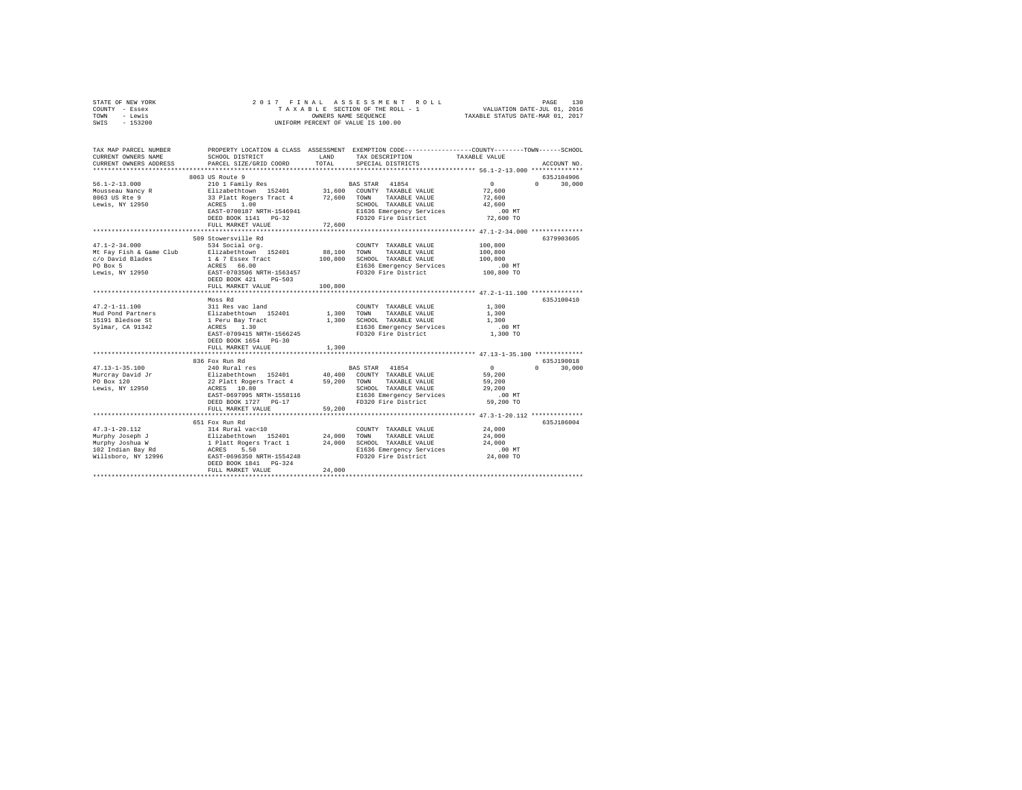| STATE OF NEW YORK | 2017 FINAL ASSESSMENT ROLL         | 130<br>PAGE                      |
|-------------------|------------------------------------|----------------------------------|
| COUNTY - Essex    | TAXABLE SECTION OF THE ROLL - 1    | VALUATION DATE-JUL 01, 2016      |
| TOWN<br>- Lewis   | OWNERS NAME SEOUENCE               | TAXABLE STATUS DATE-MAR 01, 2017 |
| $-153200$<br>SWIS | UNIFORM PERCENT OF VALUE IS 100.00 |                                  |

| TAX MAP PARCEL NUMBER<br>CURRENT OWNERS NAME<br>CURRENT OWNERS ADDRESS                                    | SCHOOL DISTRICT<br>PARCEL SIZE/GRID COORD                                                                                       | LAND<br>TOTAL              | PROPERTY LOCATION & CLASS ASSESSMENT EXEMPTION CODE---------------COUNTY-------TOWN-----SCHOOL<br>TAX DESCRIPTION<br>SPECIAL DISTRICTS | TAXABLE VALUE                                     | ACCOUNT NO.                                    |
|-----------------------------------------------------------------------------------------------------------|---------------------------------------------------------------------------------------------------------------------------------|----------------------------|----------------------------------------------------------------------------------------------------------------------------------------|---------------------------------------------------|------------------------------------------------|
|                                                                                                           | *****************************                                                                                                   |                            |                                                                                                                                        |                                                   |                                                |
| $56.1 - 2 - 13.000$<br>Mousseau Nancy R Elizabethtown 152401 31,600 COUNTY TAXABLE VALUE<br>8063 US Rte 9 | 8063 US Route 9<br>210 1 Family Res BAS STAR 41854<br>33 Platt Rogers Tract 4                                                   |                            | 72,600 TOWN TAXABLE VALUE                                                                                                              | $\sim$ 0<br>72,600<br>72,600                      | 635.7104906<br>$\Omega$ and $\Omega$<br>30,000 |
| Lewis, NY 12950                                                                                           | ACRES<br>1.00<br>EAST-0700187 NRTH-1546941<br>DEED BOOK 1141 PG-32<br>FULL MARKET VALUE                                         | 72,600                     | SCHOOL TAXABLE VALUE<br>E1636 Emergency Services<br>FD320 Fire District                                                                | 42,600<br>$.00$ MT<br>72,600 TO                   |                                                |
|                                                                                                           |                                                                                                                                 |                            |                                                                                                                                        |                                                   |                                                |
| $47.1 - 2 - 34.000$<br>Mt Fay Fish & Game Club                                                            | 509 Stowersville Rd<br>534 Social org.<br>Elizabethtown 152401                                                                  |                            | COUNTY TAXABLE VALUE<br>88,100 TOWN TAXABLE VALUE                                                                                      | 100,800<br>100,800                                | 6379903605                                     |
| c/o David Blades<br>PO Box 5<br>Lewis, NY 12950                                                           | 1 & 7 Essex Tract<br>ACRES 66.00<br>EAST-0703506 NRTH-1563457                                                                   | 100,800                    | SCHOOL TAXABLE VALUE<br>E1636 Emergency Services<br>FD320 Fire District                                                                | 100,800<br>$.00$ MT<br>$100,800$ TO               |                                                |
|                                                                                                           | DEED BOOK 421<br>$PG-503$<br>FULL MARKET VALUE                                                                                  | 100,800                    |                                                                                                                                        |                                                   |                                                |
|                                                                                                           | Moss Rd                                                                                                                         |                            |                                                                                                                                        |                                                   | 635J100410                                     |
| $47.2 - 1 - 11.100$<br>Mud Pond Partners<br>15191 Bledsoe St<br>Svlmar, CA 91342                          | 311 Res vac land<br>Elizabethtown 152401<br>1 Peru Bay Tract<br>ACRES 1.30<br>EAST-0709415 NRTH-1566245<br>DEED BOOK 1654 PG-30 | COUNT<br>1,300 TOWN        | COUNTY TAXABLE VALUE<br>TAXABLE VALUE<br>1,300 SCHOOL TAXABLE VALUE<br>E1636 Emergency Services<br>FD320 Fire District                 | 1,300<br>1,300<br>1,300<br>$.00$ MT<br>1,300 TO   |                                                |
|                                                                                                           | FULL MARKET VALUE                                                                                                               | 1,300                      |                                                                                                                                        |                                                   |                                                |
|                                                                                                           |                                                                                                                                 |                            |                                                                                                                                        |                                                   |                                                |
| $47.13 - 1 - 35.100$<br>Lewis, NY 12950                                                                   | 836 Fox Run Rd<br>240 Rural res<br>ACRES 10.80<br>EAST-0697995 NRTH-1558116<br>DEED BOOK 1727 PG-17                             |                            | BAS STAR 41854<br>TAXABLE VALUE<br>SCHOOL TAXABLE VALUE<br>E1636 Emergency Services .00 MT<br>FD320 Fire District 59,200 TO            | $\Omega$<br>59,200<br>59,200<br>29,200            | 635.T190018<br>30,000<br>$\cap$                |
|                                                                                                           | FULL MARKET VALUE                                                                                                               | 59,200                     |                                                                                                                                        |                                                   |                                                |
|                                                                                                           | 651 Fox Run Rd                                                                                                                  |                            |                                                                                                                                        |                                                   | 635J186004                                     |
|                                                                                                           | DEED BOOK 1841 PG-324<br>FULL MARKET VALUE                                                                                      | 24,000<br>24,000<br>24,000 | COUNTY TAXABLE VALUE<br>TOWN<br>TAXABLE VALUE<br>SCHOOL TAXABLE VALUE<br>E1636 Emergency Services<br>FD320 Fire District               | 24,000<br>24,000<br>24,000<br>00 MT.<br>24,000 TO |                                                |
|                                                                                                           |                                                                                                                                 |                            |                                                                                                                                        |                                                   |                                                |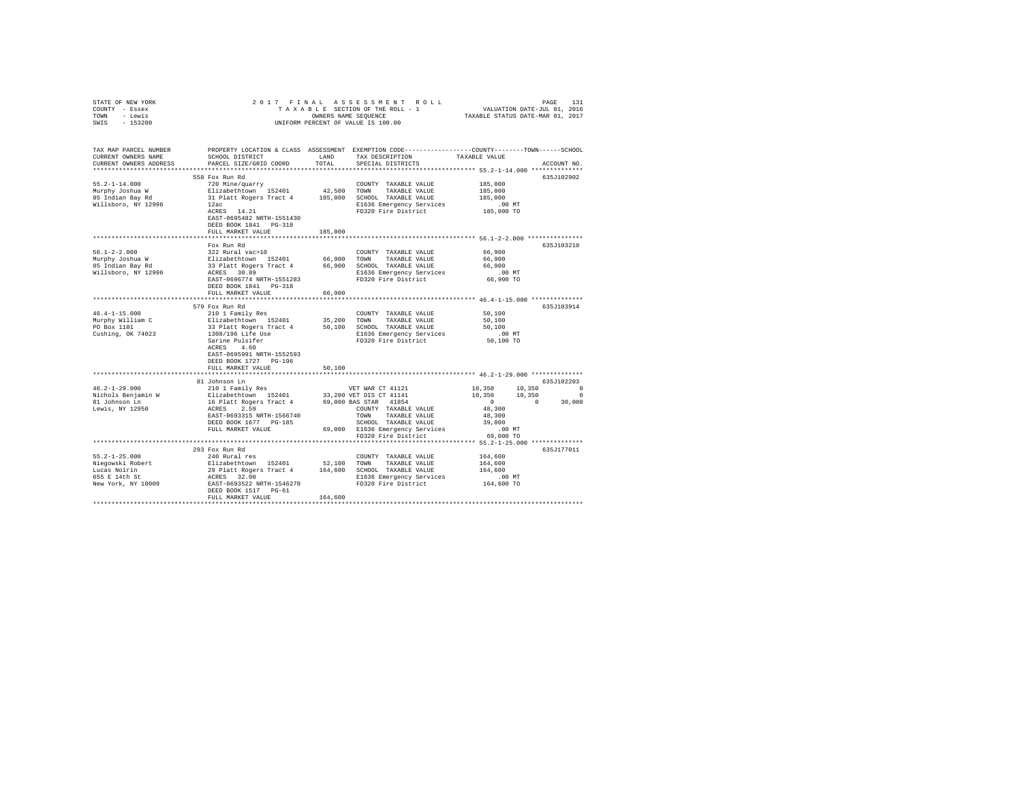| STATE OF NEW YORK                   |                                                                                                                                                                                                           |         |                                                                                                 |                                                     |             |
|-------------------------------------|-----------------------------------------------------------------------------------------------------------------------------------------------------------------------------------------------------------|---------|-------------------------------------------------------------------------------------------------|-----------------------------------------------------|-------------|
| COUNTY - Essex                      |                                                                                                                                                                                                           |         |                                                                                                 |                                                     |             |
| TOWN - Lewis                        |                                                                                                                                                                                                           |         |                                                                                                 |                                                     |             |
| SWIS - 153200                       |                                                                                                                                                                                                           |         |                                                                                                 |                                                     |             |
|                                     |                                                                                                                                                                                                           |         |                                                                                                 |                                                     |             |
|                                     |                                                                                                                                                                                                           |         |                                                                                                 |                                                     |             |
| TAX MAP PARCEL NUMBER               |                                                                                                                                                                                                           |         | PROPERTY LOCATION & CLASS ASSESSMENT EXEMPTION CODE---------------COUNTY-------TOWN------SCHOOL |                                                     |             |
| CURRENT OWNERS NAME                 | SCHOOL DISTRICT                                                                                                                                                                                           | LAND    | TAX DESCRIPTION                                                                                 | TAXABLE VALUE                                       |             |
| CURRENT OWNERS ADDRESS              | PARCEL SIZE/GRID COORD                                                                                                                                                                                    | TOTAL   | SPECIAL DISTRICTS                                                                               |                                                     | ACCOUNT NO. |
|                                     |                                                                                                                                                                                                           |         |                                                                                                 |                                                     |             |
|                                     | 558 Fox Run Rd                                                                                                                                                                                            |         |                                                                                                 |                                                     | 635J102902  |
| $55.2 - 1 - 14.000$                 | 720 Mine/quarry                                                                                                                                                                                           |         | COUNTY TAXABLE VALUE                                                                            | 185,000                                             |             |
| Murphy Joshua W                     | Elizabethtown 152401                                                                                                                                                                                      |         | 42,500 TOWN TAXABLE VALUE                                                                       | 185,000                                             |             |
| 85 Indian Bay Rd                    | 31 Platt Rogers Tract 4 185,000 SCHOOL TAXABLE VALUE                                                                                                                                                      |         |                                                                                                 | 185,000                                             |             |
| Willsboro, NY 12996                 | 12ac                                                                                                                                                                                                      |         | E1636 Emergency Services                                                                        | .00 MT                                              |             |
|                                     | ACRES 14.21                                                                                                                                                                                               |         | FD320 Fire District                                                                             | 185,000 TO                                          |             |
|                                     | EAST-0695482 NRTH-1551430                                                                                                                                                                                 |         |                                                                                                 |                                                     |             |
|                                     | DEED BOOK 1841 PG-318                                                                                                                                                                                     |         |                                                                                                 |                                                     |             |
|                                     | FULL MARKET VALUE                                                                                                                                                                                         | 185,000 |                                                                                                 |                                                     |             |
|                                     |                                                                                                                                                                                                           |         |                                                                                                 |                                                     |             |
|                                     | Fox Run Rd                                                                                                                                                                                                |         |                                                                                                 |                                                     | 635J103210  |
| $56.1 - 2 - 2.000$                  | 322 Rural vac>10                                                                                                                                                                                          |         | COUNTY TAXABLE VALUE                                                                            | 66,900                                              |             |
|                                     |                                                                                                                                                                                                           |         |                                                                                                 | 66,900                                              |             |
| Murphy Joshua W<br>85 Indian Bay Rd |                                                                                                                                                                                                           |         |                                                                                                 | 66,900                                              |             |
|                                     |                                                                                                                                                                                                           |         |                                                                                                 |                                                     |             |
| Willsboro, NY 12996                 | ACRES 30.89<br>EAST-0696774 NRTH-1551283                                                                                                                                                                  |         | E1636 Emergency Services                                                                        | $.00$ MT                                            |             |
|                                     |                                                                                                                                                                                                           |         | FD320 Fire District                                                                             | 66,900 TO                                           |             |
|                                     | DEED BOOK 1841 PG-318                                                                                                                                                                                     |         |                                                                                                 |                                                     |             |
|                                     | FULL MARKET VALUE                                                                                                                                                                                         | 66,900  |                                                                                                 |                                                     |             |
|                                     | *************************                                                                                                                                                                                 |         |                                                                                                 | ********************** 46.4-1-15.000 ************** |             |
|                                     | 579 Fox Run Rd                                                                                                                                                                                            |         |                                                                                                 |                                                     | 635J103914  |
| $46.4 - 1 - 15.000$                 | 210 1 Family Res                                                                                                                                                                                          |         | COUNTY TAXABLE VALUE                                                                            | 50,100                                              |             |
| Murphy William C                    | Elizabethtown 152401 35,200 TOWN TAXABLE VALUE                                                                                                                                                            |         |                                                                                                 | 50,100                                              |             |
| PO Box 1101                         | 33 Platt Rogers Tract 4<br>1308/196 Life Use<br>Sarine Pulsifer<br>acpre 4 60                                                                                                                             |         | 50,100 SCHOOL TAXABLE VALUE                                                                     | 50,100                                              |             |
| Cushing, OK 74023                   |                                                                                                                                                                                                           |         | E1636 Emergency Services 60 00 MT<br>FD320 Fire District 50,100 TO                              |                                                     |             |
|                                     |                                                                                                                                                                                                           |         |                                                                                                 |                                                     |             |
|                                     | ACRES 4.60                                                                                                                                                                                                |         |                                                                                                 |                                                     |             |
|                                     | EAST-0695991 NRTH-1552593                                                                                                                                                                                 |         |                                                                                                 |                                                     |             |
|                                     | DEED BOOK 1727 PG-196                                                                                                                                                                                     |         |                                                                                                 |                                                     |             |
|                                     | FULL MARKET VALUE                                                                                                                                                                                         | 50,100  |                                                                                                 |                                                     |             |
|                                     |                                                                                                                                                                                                           |         |                                                                                                 |                                                     |             |
|                                     | 81 Johnson Ln                                                                                                                                                                                             |         |                                                                                                 |                                                     | 635J102203  |
| $46.2 - 1 - 29.000$                 | 210 1 Family Res                                                                                                                                                                                          |         | VET WAR CT 41121                                                                                |                                                     |             |
|                                     |                                                                                                                                                                                                           |         |                                                                                                 |                                                     |             |
| Nichols Benjamin W<br>81 Johnson Ln | 210 1 Family Res $\frac{12401}{33,200 \text{ VET DIS CT}}$ 41844<br>Elizabethtown 152401 33,200 VET DIS CT 41141<br>16 Platt Rogers Tract 4 69,000 BAS STAR 41854                                         |         |                                                                                                 | $10,350$ $10,350$ 0<br>$10,350$ 0<br>0 0 30,000     |             |
| Lewis, NY 12950                     | ACRES 2.59                                                                                                                                                                                                |         | COUNTY TAXABLE VALUE                                                                            | 48,300                                              |             |
|                                     | EAST-0693315 NRTH-1566740                                                                                                                                                                                 |         | TOWN TAXABLE VALUE                                                                              | 48,300                                              |             |
|                                     | DEED BOOK 1677 PG-185                                                                                                                                                                                     |         | SCHOOL TAXABLE VALUE                                                                            | 39,000                                              |             |
|                                     | FULL MARKET VALUE                                                                                                                                                                                         |         |                                                                                                 |                                                     |             |
|                                     |                                                                                                                                                                                                           |         | 69,000 E1636 Emergency Services .00 MT<br>FD320 Fire District 69,000 TO                         |                                                     |             |
|                                     |                                                                                                                                                                                                           |         |                                                                                                 |                                                     |             |
|                                     |                                                                                                                                                                                                           |         |                                                                                                 |                                                     |             |
|                                     | 293 Fox Run Rd                                                                                                                                                                                            |         |                                                                                                 |                                                     | 635J177011  |
| $55.2 - 1 - 25.000$                 | 240 Rural res                                                                                                                                                                                             |         | COUNTY TAXABLE VALUE                                                                            | 164,600                                             |             |
| Niegowski Robert                    |                                                                                                                                                                                                           |         |                                                                                                 | 164,600                                             |             |
| Lucas Noirin                        |                                                                                                                                                                                                           |         |                                                                                                 | 164,600                                             |             |
| 655 E 14th St<br>New York, NY 10009 |                                                                                                                                                                                                           |         | E1636 Emergency Services                                                                        | $.00$ MT                                            |             |
|                                     | Elizabethtown 152401 52,100 COWN TAXABLE VALUE<br>29 Platt Rogers Tract 4 164,600 SCHOOL TAXABLE VALUE<br>20 PLATE ROSES 32.00 ELISIS Emergency Services<br>EAST-0693532 NRTH-1546270 FD320 Fire District |         | FD320 Fire District                                                                             | 164,600 TO                                          |             |
|                                     | DEED BOOK 1517 PG-61                                                                                                                                                                                      |         |                                                                                                 |                                                     |             |
|                                     | FULL MARKET VALUE                                                                                                                                                                                         | 164,600 |                                                                                                 |                                                     |             |
|                                     |                                                                                                                                                                                                           |         |                                                                                                 |                                                     |             |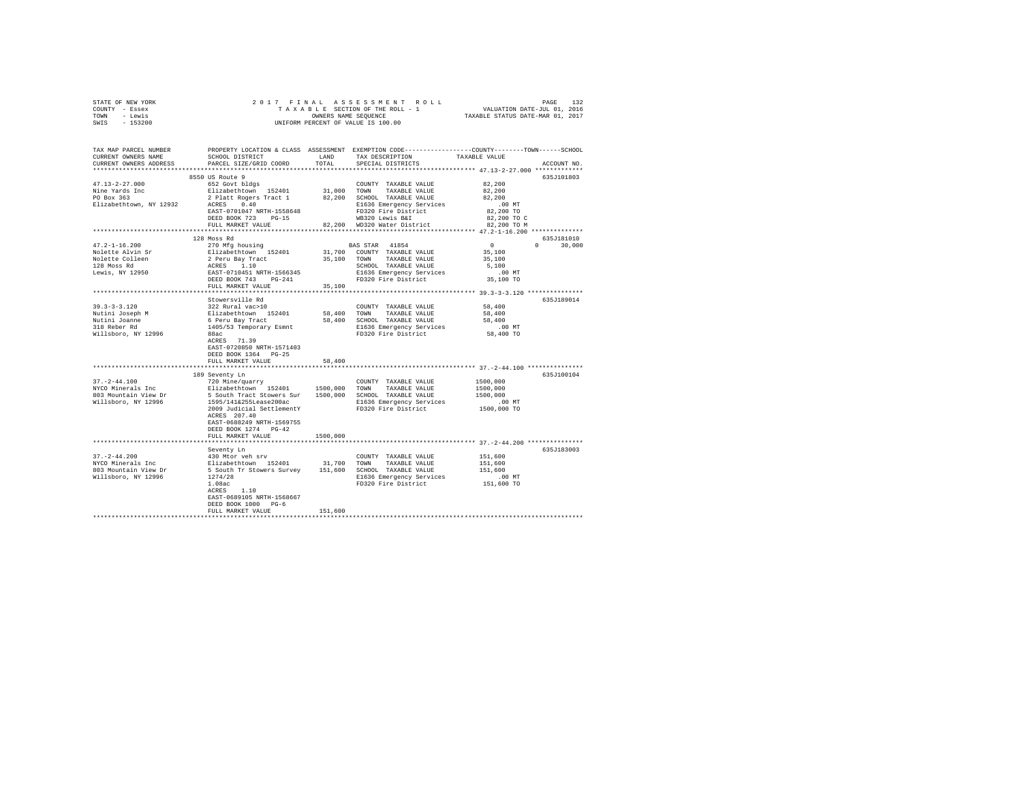| STATE OF NEW YORK | 2017 FINAL ASSESSMENT ROLL         | 132<br>PAGE                      |
|-------------------|------------------------------------|----------------------------------|
| COUNTY - Essex    | TAXABLE SECTION OF THE ROLL - 1    | VALUATION DATE-JUL 01, 2016      |
| TOWN<br>- Lewis   | OWNERS NAME SEOUENCE               | TAXABLE STATUS DATE-MAR 01, 2017 |
| $-153200$<br>SWIS | UNIFORM PERCENT OF VALUE IS 100.00 |                                  |

| TAX MAP PARCEL NUMBER<br>CURRENT OWNERS NAME | SCHOOL DISTRICT                                             | LAND        | TAX DESCRIPTION              | PROPERTY LOCATION & CLASS ASSESSMENT EXEMPTION CODE---------------COUNTY-------TOWN-----SCHOOL<br>TAXABLE VALUE |
|----------------------------------------------|-------------------------------------------------------------|-------------|------------------------------|-----------------------------------------------------------------------------------------------------------------|
| CURRENT OWNERS ADDRESS<br>****************** | PARCEL SIZE/GRID COORD                                      | TOTAL       | SPECIAL DISTRICTS            | ACCOUNT NO.                                                                                                     |
|                                              |                                                             |             |                              |                                                                                                                 |
|                                              | 8550 US Route 9                                             |             |                              | 635J101803                                                                                                      |
| $47.13 - 2 - 27.000$                         | 652 Govt bldgs                                              |             | COUNTY TAXABLE VALUE         | 82,200                                                                                                          |
| Nine Yards Inc                               | Elizabethtown 152401                                        | 31,000 TOWN | TAXABLE VALUE                | 82,200                                                                                                          |
| PO Box 363                                   | 2 Platt Rogers Tract 1                                      |             | 82.200 SCHOOL TAXABLE VALUE  | 82,200                                                                                                          |
| Elizabethtown, NY 12932                      | ACRES 0.40                                                  |             | E1636 Emergency Services     | .00 MT                                                                                                          |
|                                              | EAST-0701047 NRTH-1558648                                   |             | FD320 Fire District          | 82,200 TO                                                                                                       |
|                                              | DEED BOOK 723 PG-15                                         |             | WB320 Lewis B&I              | 82,200 TO C                                                                                                     |
|                                              | FULL MARKET VALUE<br>**************************             |             | 82.200 WD320 Water District  | 82,200 TO M                                                                                                     |
|                                              |                                                             |             |                              |                                                                                                                 |
|                                              | 128 Moss Rd                                                 |             |                              | 635J181010                                                                                                      |
| $47.2 - 1 - 16.200$                          | 270 Mfg housing                                             |             | BAS STAR 41854               | $\sim$ 0<br>$\Omega$<br>30,000                                                                                  |
| Nolette Alvin Sr                             | Elizabethtown 152401                                        |             | 31,700 COUNTY TAXABLE VALUE  | 35,100                                                                                                          |
| Nolette Colleen                              | 2 Peru Bay Tract<br>ACRES 1.10<br>EAST-0710451 NRTH-1566345 |             | 35,100 TOWN TAXABLE VALUE    | 35,100                                                                                                          |
| 128 Moss Rd                                  |                                                             |             | SCHOOL TAXABLE VALUE         | 5,100                                                                                                           |
| Lewis, NY 12950                              |                                                             |             | E1636 Emergency Services     | $.00$ MT                                                                                                        |
|                                              | DEED BOOK 743 PG-241                                        |             | FD320 Fire District          | 35,100 TO                                                                                                       |
|                                              | FULL MARKET VALUE                                           | 35,100      |                              |                                                                                                                 |
|                                              |                                                             |             |                              |                                                                                                                 |
|                                              | Stowersville Rd                                             |             |                              | 635.T189014                                                                                                     |
| $39.3 - 3 - 3.120$                           | 322 Rural vac>10                                            |             | COUNTY TAXABLE VALUE         | 58,400                                                                                                          |
| Nutini Joseph M                              | Elizabethtown 152401<br>6 Peru Bay Tract                    | 58,400      | TOWN TAXABLE VALUE           | 58,400                                                                                                          |
| Nutini Joanne                                |                                                             |             | 58,400 SCHOOL TAXABLE VALUE  | 58,400                                                                                                          |
| 318 Reber Rd                                 | 1405/53 Temporary Esmnt                                     |             | E1636 Emergency Services     | $.00$ MT                                                                                                        |
| Willsboro, NY 12996                          | 88ac                                                        |             | FD320 Fire District          | 58,400 TO                                                                                                       |
|                                              | ACRES 71.39                                                 |             |                              |                                                                                                                 |
|                                              | EAST-0720850 NRTH-1571403                                   |             |                              |                                                                                                                 |
|                                              | DEED BOOK 1364 PG-25                                        |             |                              |                                                                                                                 |
|                                              | FULL MARKET VALUE                                           | 58,400      |                              |                                                                                                                 |
|                                              |                                                             |             |                              |                                                                                                                 |
|                                              | 189 Seventy Ln                                              |             |                              | 635J100104                                                                                                      |
| $37. - 2 - 44.100$                           | 720 Mine/quarry                                             |             | COUNTY TAXABLE VALUE         | 1500,000                                                                                                        |
| NYCO Minerals Inc                            | Elizabethtown 152401 1500,000 TOWN                          |             | TAXABLE VALUE                | 1500,000                                                                                                        |
| 803 Mountain View Dr                         | 5 South Tract Stowers Sur 1500,000 SCHOOL TAXABLE VALUE     |             |                              | 1500,000                                                                                                        |
| Willsboro, NY 12996                          | 1595/141&255Lease200ac                                      |             | E1636 Emergency Services     | .00 MT                                                                                                          |
|                                              | 2009 Judicial SettlementY                                   |             | FD320 Fire District          | 1500,000 TO                                                                                                     |
|                                              | ACRES 207.40                                                |             |                              |                                                                                                                 |
|                                              | EAST-0688249 NRTH-1569755                                   |             |                              |                                                                                                                 |
|                                              | DEED BOOK 1274 PG-42                                        |             |                              |                                                                                                                 |
|                                              | FULL MARKET VALUE                                           | 1500,000    |                              |                                                                                                                 |
|                                              |                                                             | *********** |                              |                                                                                                                 |
|                                              | Seventy Ln                                                  |             |                              | 635J183003                                                                                                      |
| $37. - 2 - 44.200$                           | 430 Mtor veh srv                                            |             | COUNTY TAXABLE VALUE         | 151,600                                                                                                         |
| NYCO Minerals Inc                            | Elizabethtown 152401                                        | 31,700 TOWN | TAXABLE VALUE                | 151,600                                                                                                         |
| 803 Mountain View Dr                         | 5 South Tr Stowers Survey                                   |             | 151,600 SCHOOL TAXABLE VALUE | 151,600                                                                                                         |
| Willsboro, NY 12996                          | 1274/28                                                     |             | E1636 Emergency Services     | $.00$ MT                                                                                                        |
|                                              | 1.08ac                                                      |             | FD320 Fire District          | 151,600 TO                                                                                                      |
|                                              | 1.10<br>ACRES                                               |             |                              |                                                                                                                 |
|                                              | EAST-0689105 NRTH-1568667                                   |             |                              |                                                                                                                 |
|                                              | DEED BOOK 1000 PG-6                                         |             |                              |                                                                                                                 |
|                                              | FULL MARKET VALUE                                           | 151,600     |                              |                                                                                                                 |
|                                              |                                                             |             |                              |                                                                                                                 |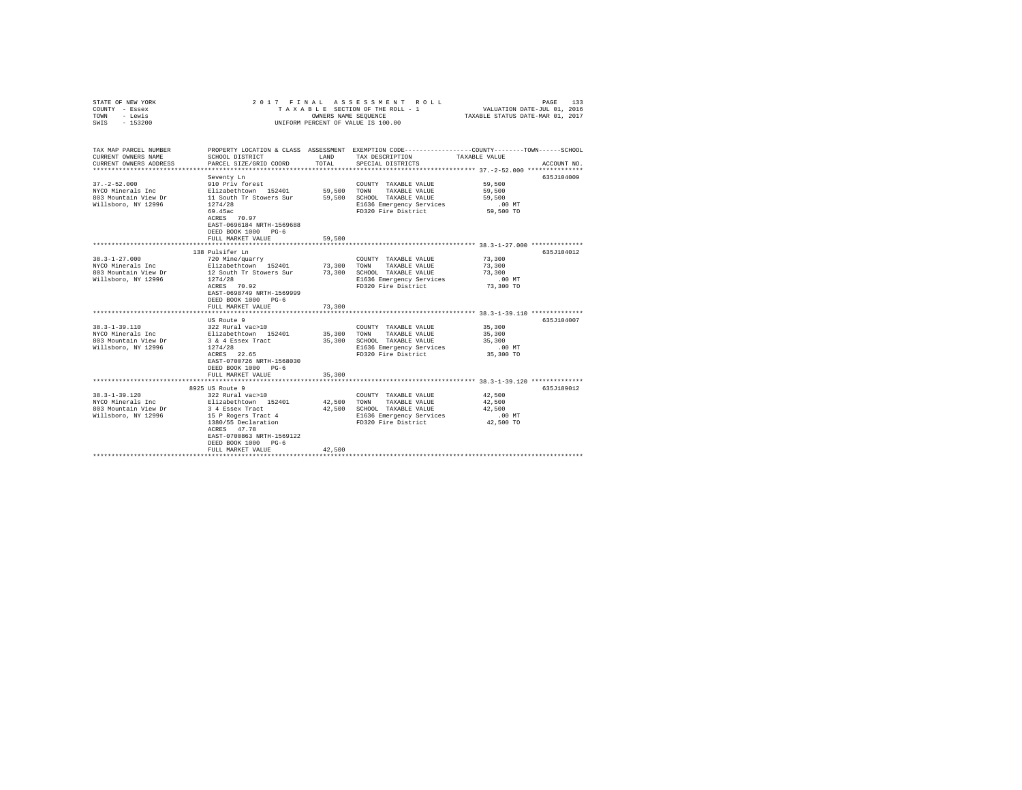| STATE OF NEW YORK<br>COUNTY - Essex<br>TOWN - Lewis<br>SWIS - 153200                    | 2017 FINAL ASSESSMENT ROLL<br>PAGE<br>TAXABLE SECTION OF THE ROLL - 1 VALUATION DATE-JUL 01, 2016<br>OWNERS NAME SEQUENCE TAXABLE STATUS DATE-MAR 01. 2017<br>UNIFORM PERCENT OF VALUE IS 100.00                 |                                 |                                                                                                                              |                                                                                                                                 |  |  |  |  |  |  |  |
|-----------------------------------------------------------------------------------------|------------------------------------------------------------------------------------------------------------------------------------------------------------------------------------------------------------------|---------------------------------|------------------------------------------------------------------------------------------------------------------------------|---------------------------------------------------------------------------------------------------------------------------------|--|--|--|--|--|--|--|
| TAX MAP PARCEL NUMBER<br>CURRENT OWNERS NAME<br>CURRENT OWNERS ADDRESS                  | SCHOOL DISTRICT<br>PARCEL SIZE/GRID COORD                                                                                                                                                                        | TOTAL                           | LAND TAX DESCRIPTION<br>SPECIAL DISTRICTS                                                                                    | PROPERTY LOCATION & CLASS ASSESSMENT EXEMPTION CODE---------------COUNTY-------TOWN------SCHOOL<br>TAXABLE VALUE<br>ACCOUNT NO. |  |  |  |  |  |  |  |
| $37. - 2 - 52.000$<br>NYCO Minerals Inc<br>803 Mountain View Dr<br>Willsboro, NY 12996  | Seventy Ln<br>910 Priv forest<br>Elizabethtown 152401<br>11 South Tr Stowers Sur 59,500<br>1274/28<br>69.45ac<br>ACRES 70.97<br>EAST-0696184 NRTH-1569688<br>DEED BOOK 1000 PG-6<br>FULL MARKET VALUE            | 59,500<br>59,500                | COUNTY TAXABLE VALUE<br>TOWN TAXABLE VALUE<br>SCHOOL TAXABLE VALUE<br>E1636 Emergency Services<br>FD320 Fire District        | 635.7104009<br>59,500<br>59,500<br>59,500<br>.00MT<br>59,500 TO                                                                 |  |  |  |  |  |  |  |
|                                                                                         | 138 Pulsifer Ln                                                                                                                                                                                                  |                                 |                                                                                                                              | 635J104012                                                                                                                      |  |  |  |  |  |  |  |
| $38.3 - 1 - 27.000$<br>NYCO Minerals Inc<br>803 Mountain View Dr<br>Willsboro, NY 12996 | 720 Mine/quarry<br>Elizabethtown 152401<br>12 South Tr Stowers Sur<br>1274/28<br>ACRES 70.92<br>EAST-0698749 NRTH-1569999<br>DEED BOOK 1000 PG-6<br>FULL MARKET VALUE                                            | 73,300<br>73,300<br>73,300      | COUNTY TAXABLE VALUE<br>TOWN<br>TAXABLE VALUE<br>SCHOOL TAXABLE VALUE<br>E1636 Emergency Services<br>FD320 Fire District     | 73,300<br>73,300<br>73,300<br>$.00$ MT<br>73,300 TO                                                                             |  |  |  |  |  |  |  |
| $38.3 - 1 - 39.110$<br>NYCO Minerals Inc<br>803 Mountain View Dr<br>Willsboro, NY 12996 | US Route 9<br>322 Rural vac>10<br>Elizabethtown 152401<br>3 & 4 Essex Tract<br>1274/28<br>ACRES 22.65<br>EAST-0700726 NRTH-1568030<br>DEED BOOK 1000 PG-6<br>FULL MARKET VALUE                                   | 35,300<br>35,300                | COUNTY TAXABLE VALUE<br>35,300 TOWN TAXABLE VALUE<br>SCHOOL TAXABLE VALUE<br>E1636 Emergency Services<br>FD320 Fire District | 635.T104007<br>35,300<br>35,300<br>35,300<br>$.00$ MT<br>35,300 TO                                                              |  |  |  |  |  |  |  |
|                                                                                         |                                                                                                                                                                                                                  |                                 |                                                                                                                              | 635.T189012                                                                                                                     |  |  |  |  |  |  |  |
| $38.3 - 1 - 39.120$<br>NYCO Minerals Inc<br>803 Mountain View Dr<br>Willsboro, NY 12996 | 8925 US Route 9<br>322 Rural vac>10<br>Elizabethtown 152401<br>3 4 Essex Tract<br>3 4 Essex Tract<br>15 P Rogers Tract 4<br>ACRES 47.78<br>EAST-0700863 NRTH-1569122<br>DEED BOOK 1000 PG-6<br>FULL MARKET VALUE | 42.500 TOWN<br>42,500<br>42.500 | COUNTY TAXABLE VALUE<br>TAXABLE VALUE<br>SCHOOL TAXABLE VALUE<br>E1636 Emergency Services<br>FD320 Fire District             | 42,500<br>42,500<br>42,500<br>$.00$ MT<br>42,500 TO                                                                             |  |  |  |  |  |  |  |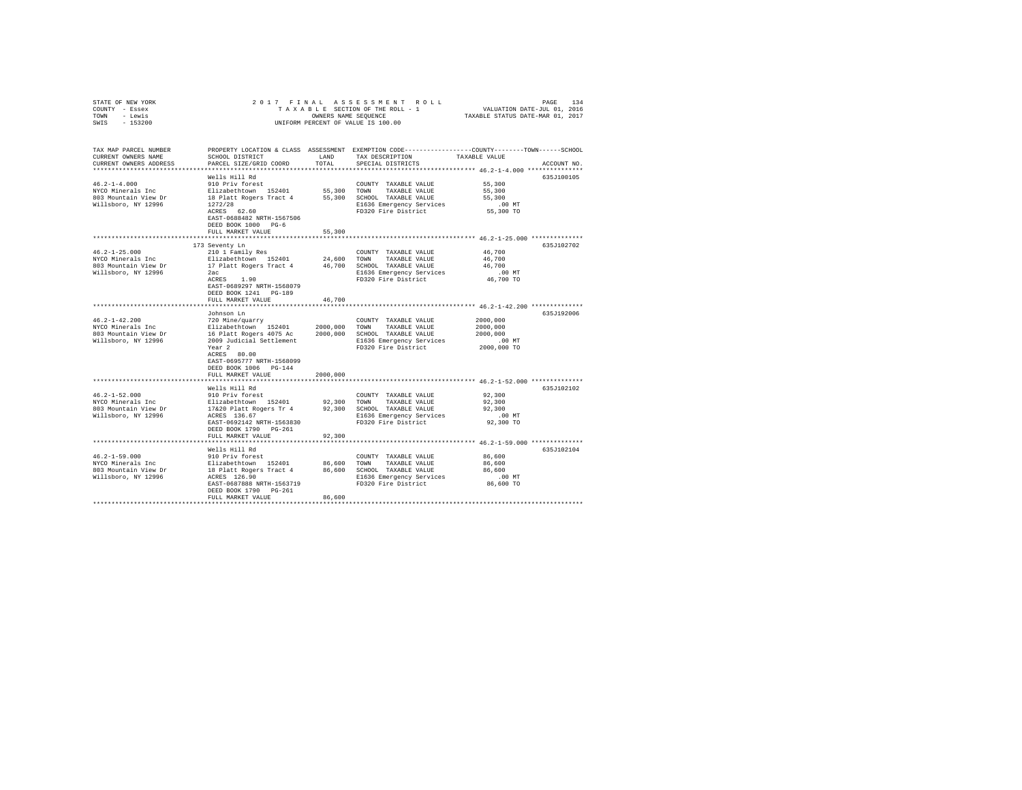| STATE OF NEW YORK<br>COUNTY - Essex<br>- Lewis<br>TOWN<br>SWIS - 153200                 |                                                                                                                                                                                        | OWNERS NAME SEQUENCE    | 2017 FINAL ASSESSMENT ROLL<br>UNIFORM PERCENT OF VALUE IS 100.00                                                                  | PAGE<br>134<br>TAXABLE SECTION OF THE ROLL - 1 VALUATION DATE-JUL 01, 2016<br>TAXABLE STATUS DATE-MAR 01, 2017                  |
|-----------------------------------------------------------------------------------------|----------------------------------------------------------------------------------------------------------------------------------------------------------------------------------------|-------------------------|-----------------------------------------------------------------------------------------------------------------------------------|---------------------------------------------------------------------------------------------------------------------------------|
| TAX MAP PARCEL NUMBER<br>CURRENT OWNERS NAME<br>CURRENT OWNERS ADDRESS                  | SCHOOL DISTRICT<br>PARCEL SIZE/GRID COORD                                                                                                                                              | LAND<br>TOTAL           | TAX DESCRIPTION<br>SPECIAL DISTRICTS                                                                                              | PROPERTY LOCATION & CLASS ASSESSMENT EXEMPTION CODE---------------COUNTY-------TOWN------SCHOOL<br>TAXABLE VALUE<br>ACCOUNT NO. |
| $46.2 - 1 - 4.000$<br>NYCO Minerals Inc<br>803 Mountain View Dr<br>Willsboro, NY 12996  | Wells Hill Rd<br>910 Priv forest<br>Elizabethtown 152401<br>18 Platt Rogers Tract 4<br>1272/28<br>ACRES 62.60<br>EAST-0688482 NRTH-1567506<br>DEED BOOK 1000 PG-6<br>FULL MARKET VALUE | 55,300 TOWN<br>55,300   | COUNTY TAXABLE VALUE<br>TAXABLE VALUE<br>55,300 SCHOOL TAXABLE VALUE<br>E1636 Emergency Services<br>FD320 Fire District           | 635J100105<br>55,300<br>55,300<br>55,300<br>$.00$ MT<br>55,300 TO                                                               |
|                                                                                         |                                                                                                                                                                                        |                         |                                                                                                                                   |                                                                                                                                 |
| $46.2 - 1 - 25.000$<br>NYCO Minerals Inc<br>803 Mountain View Dr<br>Willsboro, NY 12996 | 173 Seventy Ln<br>210 1 Family Res<br>Elizabethtown 152401<br>17 Platt Rogers Tract 4<br>2ac<br>ACRES 1.90<br>EAST-0689297 NRTH-1568079<br>DEED BOOK 1241 PG-189                       | 24,600                  | COUNTY TAXABLE VALUE<br>TOWN<br>TAXABLE VALUE<br>46.700 SCHOOL TAXABLE VALUE<br>E1636 Emergency Services<br>FD320 Fire District   | 635J102702<br>46,700<br>46.700<br>46,700<br>.00MT<br>46,700 TO                                                                  |
|                                                                                         | FULL MARKET VALUE                                                                                                                                                                      | 46,700                  |                                                                                                                                   |                                                                                                                                 |
| $46.2 - 1 - 42.200$<br>NYCO Minerals Inc<br>803 Mountain View Dr<br>Willsboro, NY 12996 | Johnson Ln<br>720 Mine/quarry<br>Elizabethtown 152401<br>16 Platt Rogers 4075 Ac<br>2009 Judicial Settlement<br>Year <sub>2</sub><br>ACRES 80.00<br>EAST-0695777 NRTH-1568099          | 2000.000                | COUNTY TAXABLE VALUE<br>TOWN<br>TAXABLE VALUE<br>2000,000 SCHOOL TAXABLE VALUE<br>E1636 Emergency Services<br>FD320 Fire District | 635J192006<br>2000,000<br>2000,000<br>2000,000<br>.00 MT<br>2000,000 TO                                                         |
|                                                                                         | DEED BOOK 1006 PG-144                                                                                                                                                                  |                         |                                                                                                                                   |                                                                                                                                 |
| $46.2 - 1 - 52.000$<br>NYCO Minerals Inc<br>803 Mountain View Dr<br>Willsboro, NY 12996 | FULL MARKET VALUE<br>Wells Hill Rd<br>910 Priv forest<br>Elizabethtown 152401<br>17&20 Platt Rogers Tr 4<br>ACRES 136.67<br>EAST-0692142 NRTH-1563830<br>DEED BOOK 1790 PG-261         | 2000,000<br>92,300 TOWN | COUNTY TAXABLE VALUE<br>TAXABLE VALUE<br>92,300 SCHOOL TAXABLE VALUE<br>E1636 Emergency Services<br>FD320 Fire District           | 635J102102<br>92,300<br>92,300<br>92,300<br>$.00$ MT<br>92,300 TO                                                               |
|                                                                                         | FULL MARKET VALUE                                                                                                                                                                      | 92,300                  |                                                                                                                                   |                                                                                                                                 |
| $46.2 - 1 - 59.000$<br>NYCO Minerals Inc<br>803 Mountain View Dr<br>Willsboro, NY 12996 | Wells Hill Rd<br>910 Priv forest<br>Elizabethtown 152401<br>18 Platt Rogers Tract 4<br>ACRES 126.90<br>EAST-0687888 NRTH-1563719<br>DEED BOOK 1790 PG-261                              | 86,600<br>86,600        | COUNTY TAXABLE VALUE<br>TAXABLE VALUE<br>TOWN<br>SCHOOL TAXABLE VALUE<br>E1636 Emergency Services<br>FD320 Fire District          | ********** 46.2-1-59.000 **************<br>635J102104<br>86,600<br>86,600<br>86,600<br>$.00$ MT<br>86,600 TO                    |
|                                                                                         | FULL MARKET VALUE                                                                                                                                                                      | 86,600                  |                                                                                                                                   |                                                                                                                                 |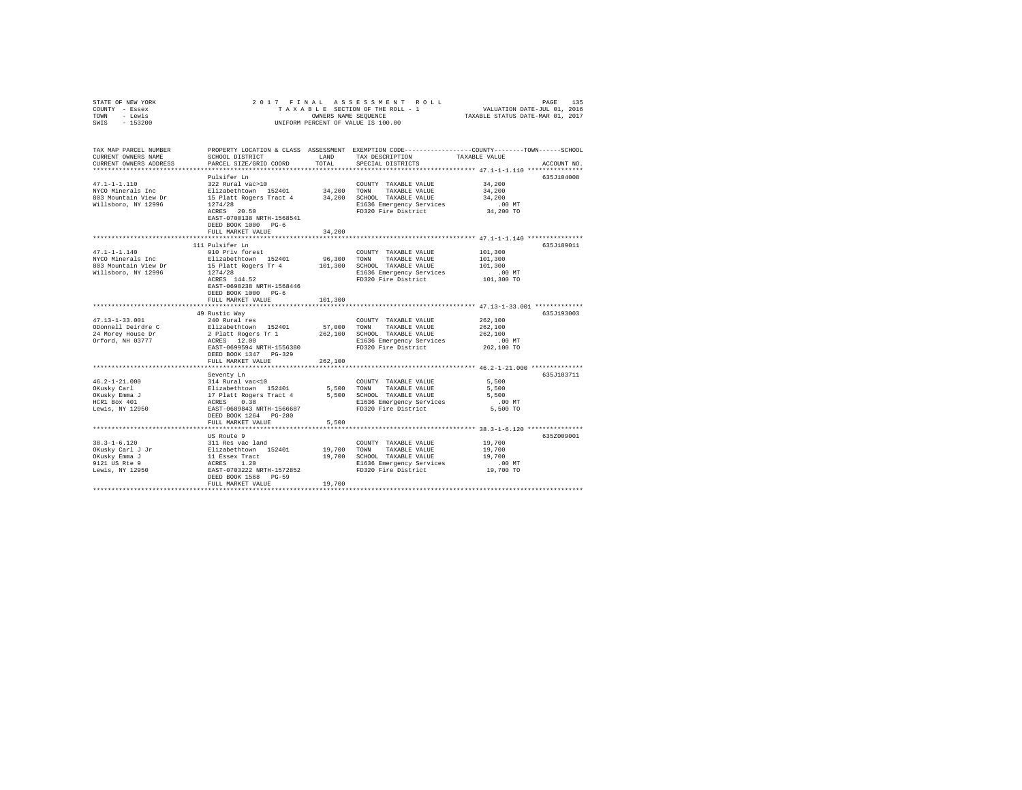| COUNTY - Essex<br>TOWN - Lewis<br>SWIS - 153200                                             | UNIFORM PERCENT OF VALUE IS 100.00                                                                                                                                                     |                         |                                                                                                                                      |                                                                                                                                                                                              |
|---------------------------------------------------------------------------------------------|----------------------------------------------------------------------------------------------------------------------------------------------------------------------------------------|-------------------------|--------------------------------------------------------------------------------------------------------------------------------------|----------------------------------------------------------------------------------------------------------------------------------------------------------------------------------------------|
| TAX MAP PARCEL NUMBER<br>CURRENT OWNERS NAME<br>CURRENT OWNERS ADDRESS                      | SCHOOL DISTRICT<br>PARCEL SIZE/GRID COORD                                                                                                                                              | LAND<br>TOTAL           | TAX DESCRIPTION<br>SPECIAL DISTRICTS                                                                                                 | PROPERTY LOCATION & CLASS ASSESSMENT EXEMPTION CODE---------------COUNTY-------TOWN------SCHOOL<br>TAXABLE VALUE<br>ACCOUNT NO.<br>***************************** 47.1-1.110 **************** |
| $47.1 - 1 - 1.110$<br>NYCO Minerals Inc<br>803 Mountain View Dr<br>Willsboro, NY 12996      | Pulsifer Ln<br>322 Rural vac>10<br>Elizabethtown 152401<br>15 Platt Rogers Tract 4<br>1274/28<br>ACRES 20.50<br>EAST-0700138 NRTH-1568541<br>DEED BOOK 1000 PG-6<br>FULL MARKET VALUE  | 34,200                  | COUNTY TAXABLE VALUE<br>34,200 TOWN TAXABLE VALUE<br>34,200 SCHOOL TAXABLE VALUE<br>E1636 Emergency Services<br>FD320 Fire District  | 635J104008<br>34,200<br>34,200<br>34,200<br>.00MT<br>34,200 TO                                                                                                                               |
| $47.1 - 1 - 1.140$<br>NYCO Minerals Inc<br>803 Mountain View Dr<br>Willsboro, NY 12996      | 111 Pulsifer Ln<br>910 Priv forest<br>Elizabethtown 152401<br>15 Platt Rogers Tr 4<br>1274/28<br>ACRES 144.52<br>EAST-0698238 NRTH-1568446<br>DEED BOOK 1000 PG-6<br>FULL MARKET VALUE | ************<br>101,300 | COUNTY TAXABLE VALUE<br>96,300 TOWN TAXABLE VALUE<br>101,300 SCHOOL TAXABLE VALUE<br>E1636 Emergency Services<br>FD320 Fire District | 635J189011<br>101,300<br>101,300<br>101,300<br>$.00$ MT<br>101,300 TO                                                                                                                        |
| $47.13 - 1 - 33.001$<br>ODonnell Deirdre C<br>24 Morey House Dr<br>Orford, NH 03777         | 49 Rustic Way<br>240 Rural res<br>Elizabethtown 152401<br>2 Platt Rogers Tr 1<br>ACRES 12.00<br>EAST-0699594 NRTH-1556380<br>DEED BOOK 1347 PG-329<br>FULL MARKET VALUE                | 262,100                 | COUNTY TAXABLE VALUE<br>57,000 TOWN TAXABLE VALUE<br>262,100 SCHOOL TAXABLE VALUE<br>E1636 Emergency Services<br>FD320 Fire District | 635J193003<br>262,100<br>262,100<br>262,100<br>$.00$ MT<br>262,100 TO                                                                                                                        |
| $46.2 - 1 - 21.000$<br>OKusky Carl<br>OKusky Emma J<br>HCR1 Box 401<br>Lewis, NY $12950$    | Seventy Ln<br>314 Rural vac<10<br>Elizabethtown 152401<br>17 Platt Rogers Tract 4<br>ACRES 0.38<br>EAST-0689843 NRTH-1566687<br>DEED BOOK 1264 PG-280<br>FULL MARKET VALUE             | 5,500                   | COUNTY TAXABLE VALUE<br>5,500 TOWN TAXABLE VALUE<br>5,500 SCHOOL TAXABLE VALUE<br>E1636 Emergency Services<br>FD320 Fire District    | 635J103711<br>5,500<br>5,500<br>5,500<br>$.00$ MT<br>5,500 TO                                                                                                                                |
| $38.3 - 1 - 6.120$<br>OKusky Carl J Jr<br>OKusky Emma J<br>9121 US Rte 9<br>Lewis, NY 12950 | US Route 9<br>311 Res vac land<br>511 Res Vac 1610<br>Elizabethtown 152401<br>11 Essex Tract<br>ACRES 1.20<br>EAST-0703222 NRTH-1572852<br>DEED BOOK 1568 PG-59<br>FULL MARKET VALUE   | 19,700                  | COUNTY TAXABLE VALUE<br>19,700 TOWN TAXABLE VALUE<br>19,700 SCHOOL TAXABLE VALUE<br>E1636 Emergency Services<br>FD320 Fire District  | ************************************ 38.3-1-6.120 ***************<br>635Z009001<br>19,700<br>19,700<br>19,700<br>.00 MT<br>19,700 TO                                                         |

STATE OF NEW YORK 2017 FINAL ASSESSMENT ROLL PAGE 135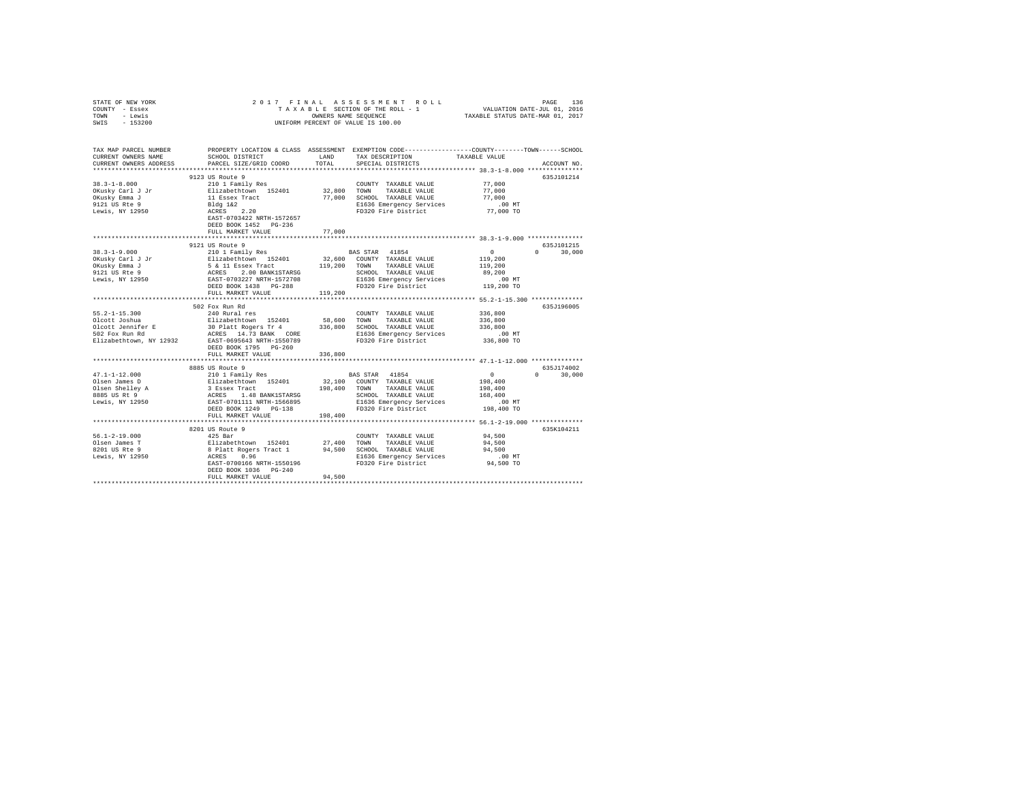| STATE OF NEW YORK<br>COUNTY - Essex<br>TOWN - Lewis | 2017 FINAL                                                                                                                                                                                                                                                          |             |                                                            | PAGE 136 בESS MENT ROLL PAGE 136 PAGE 136 בESS MENT ROLL TAXABLE SECTION OF THE ROLL TAXABLE STATION ON THE PO<br>TAXABLE SECTION OF THE ROLL - 1 TAXABLE STATUS DATE--VAR 01, 2017 |               |
|-----------------------------------------------------|---------------------------------------------------------------------------------------------------------------------------------------------------------------------------------------------------------------------------------------------------------------------|-------------|------------------------------------------------------------|-------------------------------------------------------------------------------------------------------------------------------------------------------------------------------------|---------------|
| SWIS<br>$-153200$                                   |                                                                                                                                                                                                                                                                     |             | OWNERS NAME SEQUENCE<br>UNIFORM PERCENT OF VALUE IS 100.00 |                                                                                                                                                                                     |               |
| TAX MAP PARCEL NUMBER<br>CURRENT OWNERS NAME        | PROPERTY LOCATION & CLASS ASSESSMENT EXEMPTION CODE---------------COUNTY-------TOWN-----SCHOOL<br>SCHOOL DISTRICT LAND                                                                                                                                              |             | TAX DESCRIPTION                                            | TAXABLE VALUE                                                                                                                                                                       |               |
| CURRENT OWNERS ADDRESS                              | PARCEL SIZE/GRID COORD                                                                                                                                                                                                                                              | TOTAL       | SPECIAL DISTRICTS                                          |                                                                                                                                                                                     | ACCOUNT NO.   |
|                                                     |                                                                                                                                                                                                                                                                     |             |                                                            |                                                                                                                                                                                     |               |
|                                                     | 9123 US Route 9                                                                                                                                                                                                                                                     |             |                                                            |                                                                                                                                                                                     | 635J101214    |
| $38.3 - 1 - 8.000$                                  | 210 1 Family Res                                                                                                                                                                                                                                                    |             | COUNTY TAXABLE VALUE                                       | 77,000                                                                                                                                                                              |               |
| OKusky Carl J Jr                                    | Elizabethtown 152401<br>11 Essex Tract                                                                                                                                                                                                                              | 32,800 TOWN | TAXABLE VALUE                                              | 77,000                                                                                                                                                                              |               |
| OKusky Emma J<br>9121 US Rte 9<br>Lewis, NY 12950   |                                                                                                                                                                                                                                                                     |             | 77,000 SCHOOL TAXABLE VALUE<br>E1636 Emergency Services    | 77,000<br>$.00$ MT                                                                                                                                                                  |               |
|                                                     |                                                                                                                                                                                                                                                                     |             | FD320 Fire District                                        | 77,000 TO                                                                                                                                                                           |               |
|                                                     | Bldg 1&2<br>ACRES 2.20<br>EAST-0703422 NRTH-1572657                                                                                                                                                                                                                 |             |                                                            |                                                                                                                                                                                     |               |
|                                                     | DEED BOOK 1452 PG-236                                                                                                                                                                                                                                               |             |                                                            |                                                                                                                                                                                     |               |
|                                                     | FULL MARKET VALUE                                                                                                                                                                                                                                                   | 77,000      |                                                            |                                                                                                                                                                                     |               |
|                                                     | 9121 US Route 9                                                                                                                                                                                                                                                     |             |                                                            |                                                                                                                                                                                     | 635J101215    |
| 38.3-1-9.000                                        | 210 1 Family Res                                                                                                                                                                                                                                                    |             | BAS STAR 41854                                             | $\sim$                                                                                                                                                                              | $0 \t 30.000$ |
|                                                     |                                                                                                                                                                                                                                                                     |             |                                                            | 119,200                                                                                                                                                                             |               |
| OKusky Carl J Jr<br>OKusky Emma J<br>9121 US Rte 9  | Elizabeth<br>town 152401 32,600 COUNTY TAXABLE VALUE $5$ & 11 Essex Tract<br>ACRES 2.00 BANK1STARSG SCHOOL TAXABLE VALUE EAST-0703227 NRTH-1572708 E1636 Emergency Services<br>EAST-0703227 NRTH-15727029 E1636 Emergency Services                                  |             |                                                            | 119,200                                                                                                                                                                             |               |
|                                                     |                                                                                                                                                                                                                                                                     |             | SCHOOL TAXABLE VALUE                                       | 89,200                                                                                                                                                                              |               |
| Lewis, NY 12950                                     |                                                                                                                                                                                                                                                                     |             | E1636 Emergency Services                                   | $.00$ MT                                                                                                                                                                            |               |
|                                                     | DEED BOOK 1438 PG-288                                                                                                                                                                                                                                               |             | FD320 Fire District                                        | 119,200 TO                                                                                                                                                                          |               |
|                                                     | FULL MARKET VALUE                                                                                                                                                                                                                                                   | 119,200     |                                                            |                                                                                                                                                                                     |               |
|                                                     |                                                                                                                                                                                                                                                                     |             |                                                            |                                                                                                                                                                                     |               |
|                                                     | 502 Fox Run Rd                                                                                                                                                                                                                                                      |             |                                                            |                                                                                                                                                                                     | 635J196005    |
| $55.2 - 1 - 15.300$                                 | 240 Rural res                                                                                                                                                                                                                                                       |             | COUNTY TAXABLE VALUE                                       | 336,800                                                                                                                                                                             |               |
| Olcott Joshua                                       |                                                                                                                                                                                                                                                                     |             |                                                            | 336,800                                                                                                                                                                             |               |
| Olcott Jennifer E<br>502 Fox Run Rd                 |                                                                                                                                                                                                                                                                     |             |                                                            | 336,800                                                                                                                                                                             |               |
|                                                     | For a series and the S8,600 TOWN TAXABLE VALUE<br>30 Platt Rogers Tr 4 336,800 SCHOOL TAXABLE VALUE<br>20 Platt Rogers Tr 4 236,800 SCHOOL TAXABLE VALUE<br>20 PR 20 PLATT PLATT PLATT PLATT PLATT PLATT PLATT PLATT PLATT PLATT PLATT<br>EAST-0695643 NRTH-1550789 |             | E1636 Emergency Services<br>FD320 Fire District            | $.00$ MT<br>336,800 TO                                                                                                                                                              |               |
| Elizabethtown, NY 12932                             |                                                                                                                                                                                                                                                                     |             |                                                            |                                                                                                                                                                                     |               |
|                                                     | DEED BOOK 1795 PG-260<br>FULL MARKET VALUE                                                                                                                                                                                                                          | 336,800     |                                                            |                                                                                                                                                                                     |               |
|                                                     |                                                                                                                                                                                                                                                                     |             |                                                            |                                                                                                                                                                                     |               |
|                                                     | 8885 US Route 9                                                                                                                                                                                                                                                     |             |                                                            |                                                                                                                                                                                     | 635J174002    |
|                                                     |                                                                                                                                                                                                                                                                     |             |                                                            | $\mathbf{0}$                                                                                                                                                                        | $0 \t 30,000$ |
|                                                     |                                                                                                                                                                                                                                                                     |             |                                                            | 198,400                                                                                                                                                                             |               |
|                                                     |                                                                                                                                                                                                                                                                     |             |                                                            | 198,400                                                                                                                                                                             |               |
|                                                     |                                                                                                                                                                                                                                                                     |             |                                                            | 168,400                                                                                                                                                                             |               |
|                                                     |                                                                                                                                                                                                                                                                     |             |                                                            | .00MT                                                                                                                                                                               |               |
|                                                     |                                                                                                                                                                                                                                                                     |             |                                                            | 198,400 TO                                                                                                                                                                          |               |
|                                                     | FULL MARKET VALUE                                                                                                                                                                                                                                                   | 198,400     |                                                            |                                                                                                                                                                                     |               |
|                                                     |                                                                                                                                                                                                                                                                     |             |                                                            |                                                                                                                                                                                     |               |
|                                                     | 8201 US Route 9                                                                                                                                                                                                                                                     |             |                                                            |                                                                                                                                                                                     | 635K104211    |
| $56.1 - 2 - 19.000$                                 | 425 Bar                                                                                                                                                                                                                                                             |             | COUNTY TAXABLE VALUE                                       | 94,500                                                                                                                                                                              |               |
|                                                     |                                                                                                                                                                                                                                                                     |             |                                                            | 94,500                                                                                                                                                                              |               |
|                                                     |                                                                                                                                                                                                                                                                     |             | 94,500 SCHOOL TAXABLE VALUE<br>E1636 Emergency Services    | 94,500<br>$.00$ MT                                                                                                                                                                  |               |
|                                                     |                                                                                                                                                                                                                                                                     |             | E1636 Emergency Services<br>FD320 Fire District            | 94,500 TO                                                                                                                                                                           |               |
|                                                     | DEED BOOK 1036 PG-240                                                                                                                                                                                                                                               |             |                                                            |                                                                                                                                                                                     |               |
|                                                     | FULL MARKET VALUE                                                                                                                                                                                                                                                   | 94,500      |                                                            |                                                                                                                                                                                     |               |
|                                                     |                                                                                                                                                                                                                                                                     |             |                                                            |                                                                                                                                                                                     |               |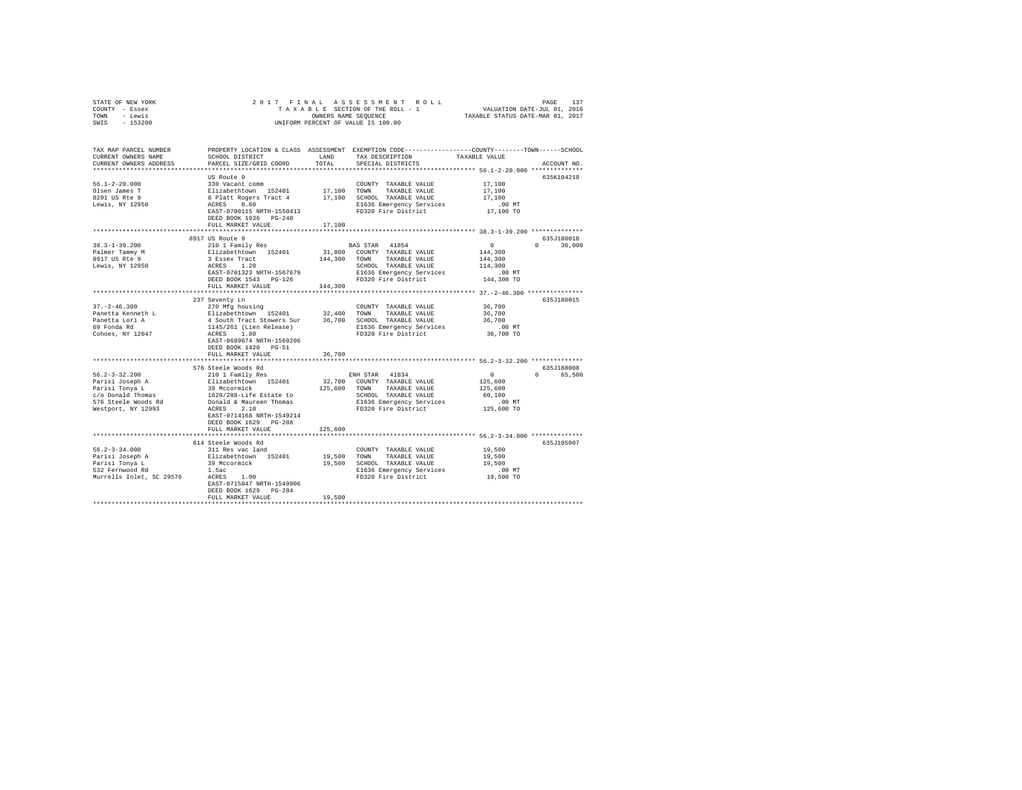| STATE OF NEW YORK<br>COUNTY - Essex           |                                                                                                                                                                                                                                                |         |                                                                                                                                                                                                                                   |                                                      |                        |
|-----------------------------------------------|------------------------------------------------------------------------------------------------------------------------------------------------------------------------------------------------------------------------------------------------|---------|-----------------------------------------------------------------------------------------------------------------------------------------------------------------------------------------------------------------------------------|------------------------------------------------------|------------------------|
| TOWN - Lewis<br>SWIS - 153200                 |                                                                                                                                                                                                                                                |         |                                                                                                                                                                                                                                   |                                                      |                        |
|                                               |                                                                                                                                                                                                                                                |         |                                                                                                                                                                                                                                   |                                                      |                        |
| TAX MAP PARCEL NUMBER                         | PROPERTY LOCATION & CLASS ASSESSMENT EXEMPTION CODE----------------COUNTY-------TOWN-----SCHOOL                                                                                                                                                |         |                                                                                                                                                                                                                                   |                                                      |                        |
| CURRENT OWNERS NAME<br>CURRENT OWNERS ADDRESS | SCHOOL DISTRICT LAND TAX DESCRIPTION<br>PARCEL SIZE/GRID COORD                                                                                                                                                                                 | TOTAL   | SPECIAL DISTRICTS                                                                                                                                                                                                                 | TAXABLE VALUE                                        | ACCOUNT NO.            |
|                                               |                                                                                                                                                                                                                                                |         |                                                                                                                                                                                                                                   |                                                      |                        |
|                                               | COUNTY TAXABLE VALUE<br>310 Vacant comm<br>Elizabethtown 152401 17,100 TOWN TAXABLE VALUE<br>8 Platt Rogers Tract 4 17,100 SCHOOL TAXABLE VALUE<br>ACRES 0.60 160 SCHOOL TAXA PARTIC VALUE                                                     |         |                                                                                                                                                                                                                                   |                                                      | 635K104210             |
| $56.1 - 2 - 20.000$                           |                                                                                                                                                                                                                                                |         |                                                                                                                                                                                                                                   | 17,100                                               |                        |
| Olsen James T                                 |                                                                                                                                                                                                                                                |         |                                                                                                                                                                                                                                   | 17,100                                               |                        |
| 8201 US Rte 9                                 |                                                                                                                                                                                                                                                |         |                                                                                                                                                                                                                                   | 17,100                                               |                        |
| $Levis$ , $NY$ 12950                          |                                                                                                                                                                                                                                                |         | E1636 Emergency Services<br>FD320 Fire District                                                                                                                                                                                   | .00 MT.<br>17,100 TO                                 |                        |
|                                               | EAST-0700115 NRTH-1550413<br>DEED BOOK 1036 PG-240                                                                                                                                                                                             |         |                                                                                                                                                                                                                                   |                                                      |                        |
|                                               | FULL MARKET VALUE                                                                                                                                                                                                                              | 17,100  |                                                                                                                                                                                                                                   |                                                      |                        |
|                                               |                                                                                                                                                                                                                                                |         |                                                                                                                                                                                                                                   |                                                      |                        |
|                                               | 8917 US Route 9                                                                                                                                                                                                                                |         |                                                                                                                                                                                                                                   |                                                      | 635J180018             |
| $38.3 - 1 - 39.200$                           | 210 1 Family Res                                                                                                                                                                                                                               |         | BAS STAR 41854                                                                                                                                                                                                                    | $\sim$ 0                                             | $0 \t 30.000$          |
| Palmer Tammy M<br>8917 US Rte 9               | Ellizabethtown 152401                                                                                                                                                                                                                          |         | 31,800 COUNTY TAXABLE VALUE                                                                                                                                                                                                       | 144,300<br>144,300                                   |                        |
|                                               |                                                                                                                                                                                                                                                |         |                                                                                                                                                                                                                                   |                                                      |                        |
| Lewis, NY 12950                               |                                                                                                                                                                                                                                                |         |                                                                                                                                                                                                                                   |                                                      |                        |
|                                               | Elizabethcown 1924u1<br>3 Essex Tract 144,300 TOWN TAXABLE VALUE 144,300<br>ACRES 1.20 ACHOOL TAXABLE VALUE 114,300<br>ERST-0701323 NRTH-1567679 E1636 Emergency Services 144,300 MT<br>ERST DOOK 1543 PG-126 FD320 Fire District 144,         |         |                                                                                                                                                                                                                                   |                                                      |                        |
|                                               | FULL MARKET VALUE                                                                                                                                                                                                                              | 144,300 |                                                                                                                                                                                                                                   |                                                      |                        |
|                                               |                                                                                                                                                                                                                                                |         |                                                                                                                                                                                                                                   |                                                      |                        |
|                                               | 237 Seventy Ln                                                                                                                                                                                                                                 |         |                                                                                                                                                                                                                                   |                                                      | 635J180015             |
| $37. - 2 - 46.300$                            |                                                                                                                                                                                                                                                |         |                                                                                                                                                                                                                                   | 36,700<br>36,700                                     |                        |
| Panetta Kenneth L                             |                                                                                                                                                                                                                                                |         |                                                                                                                                                                                                                                   |                                                      |                        |
| Panetta Lori A<br>69 Fonda Rd                 |                                                                                                                                                                                                                                                |         |                                                                                                                                                                                                                                   | 36,700<br>$.00$ MT                                   |                        |
| Cohoes, NY 12047                              | 4 South Tract Stowers Sur 196,700 SCHOOL TAXABLE VALUE<br>1145/261 (Lien Release) 86,700 SCHOOL TAXABLE VALUE<br>2016 ELGS 2010 ELGS ENGINEERING FOR THE District                                                                              |         |                                                                                                                                                                                                                                   | 36,700 TO                                            |                        |
|                                               | EAST-0689674 NRTH-1569206                                                                                                                                                                                                                      |         |                                                                                                                                                                                                                                   |                                                      |                        |
|                                               | DEED BOOK 1420 PG-51                                                                                                                                                                                                                           |         |                                                                                                                                                                                                                                   |                                                      |                        |
|                                               | FULL MARKET VALUE                                                                                                                                                                                                                              | 36,700  |                                                                                                                                                                                                                                   |                                                      |                        |
|                                               |                                                                                                                                                                                                                                                |         | ********************************** 56.2-3-32.200 *************                                                                                                                                                                    |                                                      |                        |
|                                               | 576 Steele Woods Rd<br>210 1 Family Res                                                                                                                                                                                                        |         |                                                                                                                                                                                                                                   | $\sim$ 0                                             | 635J188008<br>0 65,500 |
| $56.2 - 3 - 32.200$                           |                                                                                                                                                                                                                                                |         | ENH STAR 41834                                                                                                                                                                                                                    |                                                      |                        |
|                                               |                                                                                                                                                                                                                                                |         |                                                                                                                                                                                                                                   | 125,600<br>125,600                                   |                        |
|                                               |                                                                                                                                                                                                                                                |         |                                                                                                                                                                                                                                   | 60,100                                               |                        |
|                                               |                                                                                                                                                                                                                                                |         |                                                                                                                                                                                                                                   | $.00$ MT                                             |                        |
|                                               | Parisi Joseph A 210 1 raminy Res<br>Parisi Joseph A 39 Mccormick<br>Parisi Tonya L 39 Mccormick<br>C/o Donald Thomas<br>SPS Steele Woods Rd Donald & Mauren Thomas<br>Restport, NY 12993<br>REST-0714168 NRTH-1549214<br>REST 2.10<br>REST 2.1 |         | 32,700 COUNTY TAXABLE VALUE 125,600 TOWN TAXABLE VALUE SCHOOL TAXABLE VALUE E536 Emergency Services<br>FB320 Fire ending the school of the school of the partners of the partners of the partners of the school of the partners o | 125,600 TO                                           |                        |
|                                               |                                                                                                                                                                                                                                                |         |                                                                                                                                                                                                                                   |                                                      |                        |
|                                               | DEED BOOK 1629 PG-288                                                                                                                                                                                                                          |         |                                                                                                                                                                                                                                   |                                                      |                        |
|                                               | FULL MARKET VALUE<br>**************************                                                                                                                                                                                                | 125,600 |                                                                                                                                                                                                                                   | *********************** 56.2-3-34.000 ************** |                        |
|                                               | 614 Steele Woods Rd                                                                                                                                                                                                                            |         |                                                                                                                                                                                                                                   |                                                      | 635J105007             |
| $56.2 - 3 - 34.000$                           | 311 Res vac land                                                                                                                                                                                                                               |         | COUNTY TAXABLE VALUE                                                                                                                                                                                                              | 19,500                                               |                        |
|                                               | Parisi Joseph A Blizabethtown 152401 19,500 TOWN TAXABLE VALUE 19,500<br>Parisi Tonya L 39 Mccomick 19,500 SCHOOL TAXABLE VALUE 19,500<br>FASI PETIMBER AND 1.52 1.00 ELECT 19,500 S32 Pernwood Rd<br>Murrells Inlet, SC 29576 ACRES           |         |                                                                                                                                                                                                                                   |                                                      |                        |
|                                               |                                                                                                                                                                                                                                                |         |                                                                                                                                                                                                                                   |                                                      |                        |
|                                               |                                                                                                                                                                                                                                                |         |                                                                                                                                                                                                                                   |                                                      |                        |
|                                               | EAST-0715047 NRTH-1549906                                                                                                                                                                                                                      |         |                                                                                                                                                                                                                                   |                                                      |                        |
|                                               | DEED BOOK 1629    PG-284                                                                                                                                                                                                                       |         |                                                                                                                                                                                                                                   |                                                      |                        |
|                                               | FULL MARKET VALUE                                                                                                                                                                                                                              | 19,500  |                                                                                                                                                                                                                                   |                                                      |                        |
|                                               |                                                                                                                                                                                                                                                |         |                                                                                                                                                                                                                                   |                                                      |                        |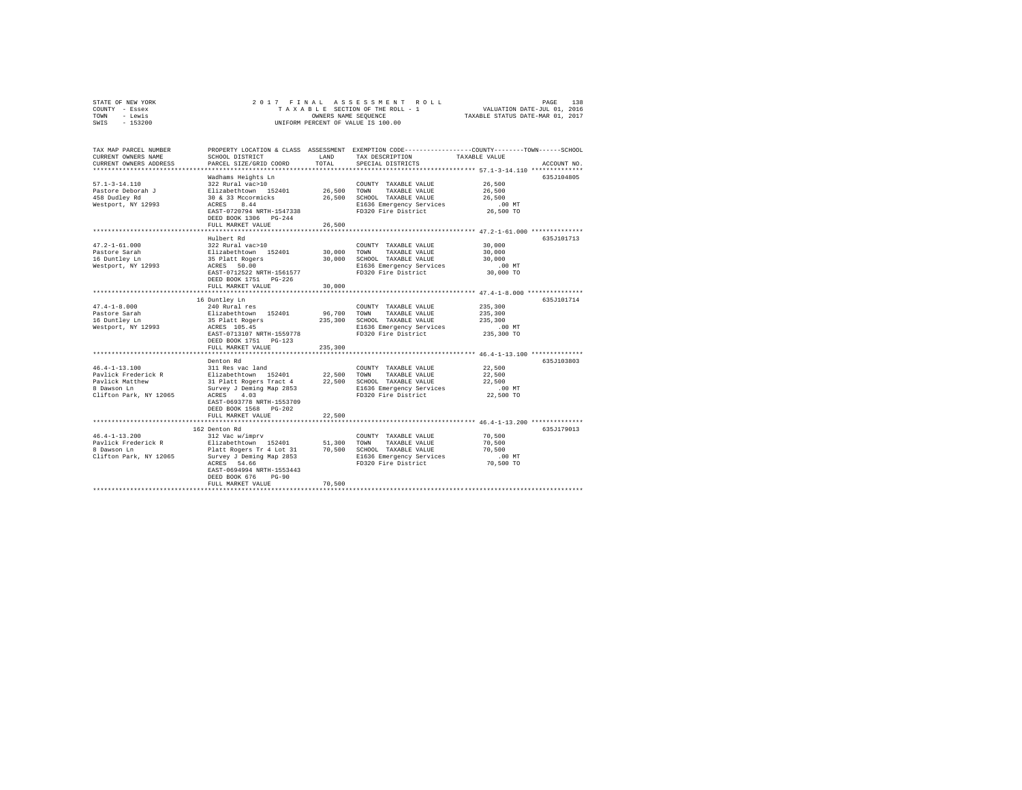| COUNTY<br>- Essex      |                                                          |                                    | TAXABLE SECTION OF THE ROLL - 1 | VALUATION DATE-JUL 01, 2016                                  |  |  |  |  |  |  |  |
|------------------------|----------------------------------------------------------|------------------------------------|---------------------------------|--------------------------------------------------------------|--|--|--|--|--|--|--|
| - Lewis<br>TOWN        | TAXABLE STATUS DATE-MAR 01, 2017<br>OWNERS NAME SEQUENCE |                                    |                                 |                                                              |  |  |  |  |  |  |  |
| SWIS<br>$-153200$      |                                                          | UNIFORM PERCENT OF VALUE IS 100.00 |                                 |                                                              |  |  |  |  |  |  |  |
|                        |                                                          |                                    |                                 |                                                              |  |  |  |  |  |  |  |
|                        |                                                          |                                    |                                 |                                                              |  |  |  |  |  |  |  |
|                        |                                                          |                                    |                                 |                                                              |  |  |  |  |  |  |  |
| TAX MAP PARCEL NUMBER  | PROPERTY LOCATION & CLASS                                | ASSESSMENT                         |                                 | EXEMPTION CODE-----------------COUNTY-------TOWN------SCHOOL |  |  |  |  |  |  |  |
| CURRENT OWNERS NAME    | SCHOOL DISTRICT                                          | LAND                               | TAX DESCRIPTION                 | TAXABLE VALUE                                                |  |  |  |  |  |  |  |
| CURRENT OWNERS ADDRESS | PARCEL SIZE/GRID COORD TOTAL                             |                                    | SPECIAL DISTRICTS               | ACCOUNT NO.                                                  |  |  |  |  |  |  |  |
|                        |                                                          |                                    |                                 |                                                              |  |  |  |  |  |  |  |
|                        | Wadhams Heights Ln                                       |                                    |                                 | 635J104805                                                   |  |  |  |  |  |  |  |
| $57.1 - 3 - 14.110$    | 322 Rural vac>10                                         |                                    | COUNTY<br>TAXABLE VALUE         | 26,500                                                       |  |  |  |  |  |  |  |
| Pastore Deborah J      | Elizabethtown 152401                                     | 26,500                             | TOWN<br>TAXABLE VALUE           | 26,500                                                       |  |  |  |  |  |  |  |
| 458 Dudley Rd          | 30 & 33 Mccormicks                                       | 26,500                             | SCHOOL TAXABLE VALUE            | 26,500                                                       |  |  |  |  |  |  |  |
| Westport, NY 12993     | 8.44<br>ACRES                                            |                                    | E1636 Emergency Services .00 MT |                                                              |  |  |  |  |  |  |  |
|                        | EAST-0720794 NRTH-1547338                                |                                    | FD320 Fire District             | 26,500 TO                                                    |  |  |  |  |  |  |  |
|                        | DEED BOOK 1306 PG-244                                    |                                    |                                 |                                                              |  |  |  |  |  |  |  |
|                        | FULL MARKET VALUE                                        | 26,500                             |                                 |                                                              |  |  |  |  |  |  |  |
|                        |                                                          |                                    |                                 |                                                              |  |  |  |  |  |  |  |
|                        | Hulbert Rd                                               |                                    |                                 | 635.T101713                                                  |  |  |  |  |  |  |  |
|                        |                                                          |                                    |                                 |                                                              |  |  |  |  |  |  |  |

STATE OF NEW YORK 2 0 1 7 F I N A L A S S E S S M E N T R O L L PAGE 138

|                        |                                                       |         |                                                 | 47.2-1-61.000 *************** |  |
|------------------------|-------------------------------------------------------|---------|-------------------------------------------------|-------------------------------|--|
|                        | Hulbert Rd                                            |         |                                                 | 635J101713                    |  |
| $47.2 - 1 - 61.000$    | 322 Rural vac>10                                      |         | COUNTY TAXABLE VALUE                            | 30,000                        |  |
| Pastore Sarah          | Elizabethtown 152401                                  | 30,000  | TAXABLE VALUE<br>TOWN                           | 30,000                        |  |
| 16 Duntley Ln          | 35 Platt Rogers                                       | 30,000  | SCHOOL TAXABLE VALUE                            | 30,000                        |  |
| Westport, NY 12993     | ACRES 50.00                                           |         | E1636 Emergency Services                        | $.00$ MT                      |  |
|                        | EAST-0712522 NRTH-1561577                             |         | FD320 Fire District                             | 30,000 TO                     |  |
|                        | DEED BOOK 1751 PG-226                                 |         |                                                 |                               |  |
|                        | FULL MARKET VALUE                                     | 30,000  |                                                 |                               |  |
|                        | *************************                             |         |                                                 |                               |  |
|                        | 16 Duntley Ln                                         |         |                                                 | 635J101714                    |  |
| $47.4 - 1 - 8.000$     | 240 Rural res                                         |         | COUNTY TAXABLE VALUE                            | 235,300                       |  |
| Pastore Sarah          | Elizabethtown 152401                                  | 96,700  | TOWN<br>TAXABLE VALUE                           | 235,300                       |  |
| 16 Duntley Ln          | 35 Platt Rogers                                       | 235,300 | SCHOOL TAXABLE VALUE                            | 235,300                       |  |
| Westport, NY 12993     | ACRES 105.45<br>EAST-0713107 NRTH-1559778             |         | E1636 Emergency Services<br>FD320 Fire District | .00MT<br>235,300 TO           |  |
|                        | DEED BOOK 1751 PG-123                                 |         |                                                 |                               |  |
|                        |                                                       | 235,300 |                                                 |                               |  |
|                        | FULL MARKET VALUE<br>******************************** |         |                                                 |                               |  |
|                        | Denton Rd                                             |         |                                                 | 635J103803                    |  |
| $46.4 - 1 - 13.100$    | 311 Res vac land                                      |         | COUNTY TAXABLE VALUE                            | 22,500                        |  |
| Pavlick Frederick R    | Elizabethtown 152401 22,500 TOWN                      |         | TAXABLE VALUE                                   | 22,500                        |  |
| Pavlick Matthew        | 31 Platt Rogers Tract 4                               |         | 22.500 SCHOOL TAXABLE VALUE                     | 22,500                        |  |
| 8 Dawson Ln            | Survey J Deming Map 2853                              |         | E1636 Emergency Services                        | .00MT                         |  |
| Clifton Park, NY 12065 | ACRES 4.03                                            |         | FD320 Fire District                             | 22,500 TO                     |  |
|                        | EAST-0693778 NRTH-1553709                             |         |                                                 |                               |  |
|                        | DEED BOOK 1568 PG-202                                 |         |                                                 |                               |  |
|                        | FULL MARKET VALUE                                     | 22,500  |                                                 |                               |  |
|                        |                                                       |         |                                                 |                               |  |
|                        | 162 Denton Rd                                         |         |                                                 | 635J179013                    |  |
| $46.4 - 1 - 13.200$    | 312 Vac w/imprv                                       |         | COUNTY TAXABLE VALUE                            | 70,500                        |  |
| Pavlick Frederick R    | Elizabethtown 152401 51.300                           |         | TOWN<br>TAXABLE VALUE                           | 70,500                        |  |
| 8 Dawson Ln            | Platt Rogers Tr 4 Lot 31 70,500 SCHOOL TAXABLE VALUE  |         |                                                 | 70,500                        |  |
| Clifton Park, NY 12065 | Survey J Deming Map 2853                              |         | E1636 Emergency Services                        | .00MT                         |  |
|                        | ACRES 54.66                                           |         | FD320 Fire District                             | 70,500 TO                     |  |
|                        | EAST-0694994 NRTH-1553443                             |         |                                                 |                               |  |
|                        | DEED BOOK 676<br>$PG-90$                              |         |                                                 |                               |  |
|                        | FULL MARKET VALUE                                     | 70,500  |                                                 |                               |  |
|                        |                                                       |         |                                                 |                               |  |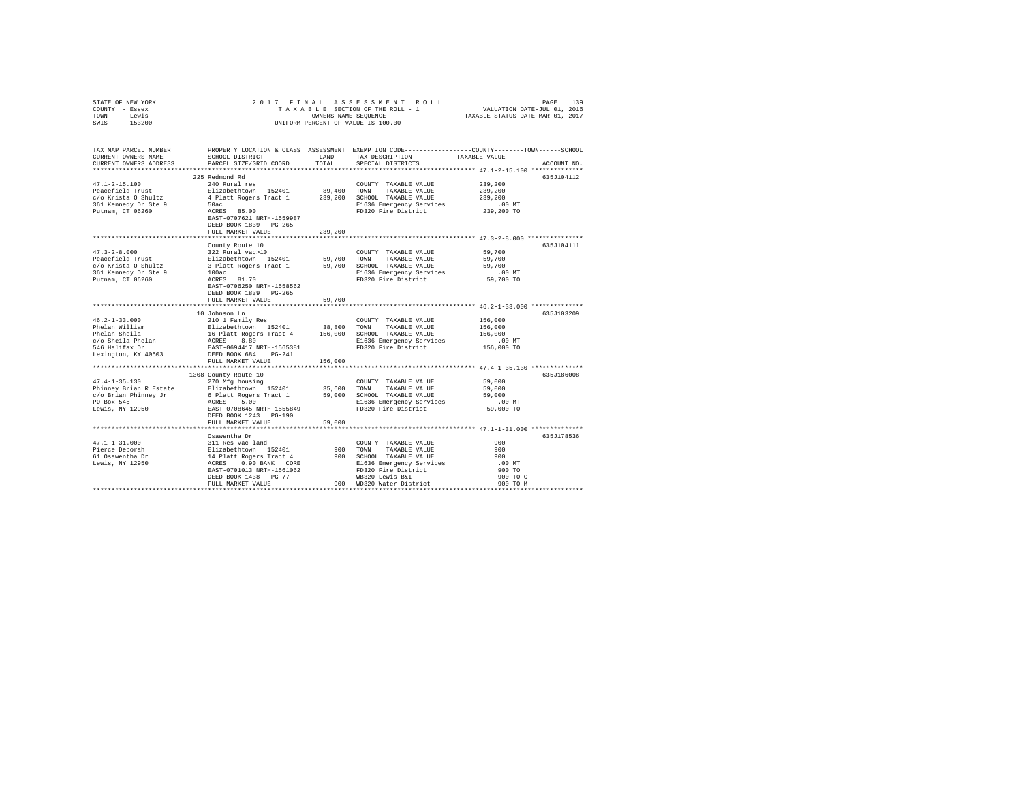| STATE OF NEW YORK                                                                                                                                                                                                                                                                                                                                                                                             |                                                                                                                            |                        |                                                                                                      |                                                                                                                       |
|---------------------------------------------------------------------------------------------------------------------------------------------------------------------------------------------------------------------------------------------------------------------------------------------------------------------------------------------------------------------------------------------------------------|----------------------------------------------------------------------------------------------------------------------------|------------------------|------------------------------------------------------------------------------------------------------|-----------------------------------------------------------------------------------------------------------------------|
| COUNTY - Essex                                                                                                                                                                                                                                                                                                                                                                                                | 2017 FINAL ASSESSMENT ROL<br>TAXABLE SECTION OF THE ROLL - 1<br>ONNERS NAME SEQUENCE<br>UNIFORM PERCENT OF VALUE IS 100.00 |                        |                                                                                                      |                                                                                                                       |
| TOWN - Lewis                                                                                                                                                                                                                                                                                                                                                                                                  |                                                                                                                            |                        |                                                                                                      |                                                                                                                       |
| SWIS<br>$-153200$                                                                                                                                                                                                                                                                                                                                                                                             |                                                                                                                            |                        |                                                                                                      |                                                                                                                       |
|                                                                                                                                                                                                                                                                                                                                                                                                               |                                                                                                                            |                        |                                                                                                      |                                                                                                                       |
|                                                                                                                                                                                                                                                                                                                                                                                                               |                                                                                                                            |                        |                                                                                                      |                                                                                                                       |
|                                                                                                                                                                                                                                                                                                                                                                                                               |                                                                                                                            |                        |                                                                                                      | TAX MAP PARCEL NUMBER PROPERTY LOCATION & CLASS ASSESSMENT EXEMPTION CODE---------------COUNTY-------TOWN------SCHOOL |
| CURRENT OWNERS NAME                                                                                                                                                                                                                                                                                                                                                                                           |                                                                                                                            |                        | SCHOOL DISTRICT                        LAND         TAX DESCRIPTION                    TAXABLE VALUE |                                                                                                                       |
| CURRENT OWNERS ADDRESS                                                                                                                                                                                                                                                                                                                                                                                        | PARCEL SIZE/GRID COORD                                                                                                     | TOTAL                  | SPECIAL DISTRICTS                                                                                    | ACCOUNT NO.                                                                                                           |
|                                                                                                                                                                                                                                                                                                                                                                                                               |                                                                                                                            |                        |                                                                                                      |                                                                                                                       |
|                                                                                                                                                                                                                                                                                                                                                                                                               | 225 Redmond Rd                                                                                                             |                        |                                                                                                      | 635J104112                                                                                                            |
| $47.1 - 2 - 15.100$                                                                                                                                                                                                                                                                                                                                                                                           | 240 Rural res                                                                                                              |                        | COUNTY TAXABLE VALUE                                                                                 | 239,200                                                                                                               |
|                                                                                                                                                                                                                                                                                                                                                                                                               |                                                                                                                            |                        |                                                                                                      | 239,200                                                                                                               |
|                                                                                                                                                                                                                                                                                                                                                                                                               |                                                                                                                            |                        |                                                                                                      | 239,200                                                                                                               |
|                                                                                                                                                                                                                                                                                                                                                                                                               |                                                                                                                            |                        |                                                                                                      | $.00$ MT                                                                                                              |
|                                                                                                                                                                                                                                                                                                                                                                                                               |                                                                                                                            |                        | E1636 Emergency Services<br>FD320 Fire District                                                      | 239,200 TO                                                                                                            |
|                                                                                                                                                                                                                                                                                                                                                                                                               |                                                                                                                            |                        |                                                                                                      |                                                                                                                       |
|                                                                                                                                                                                                                                                                                                                                                                                                               |                                                                                                                            |                        |                                                                                                      |                                                                                                                       |
| $\begin{tabular}{l c c c c c} \hline \texttt{1} & \texttt{1} & \texttt{2} + 0 & \texttt{2} + 0 & \texttt{2} + 0 & \texttt{2} + 0 & \texttt{2} + 0 & \texttt{2} + 0 & \texttt{2} + 0 & \texttt{2} + 0 & \texttt{2} + 0 & \texttt{2} + 0 & \texttt{2} + 0 & \texttt{2} + 0 & \texttt{2} + 0 & \texttt{2} + 0 & \texttt{2} + 0 & \texttt{2} + 0 & \texttt{2} + 0 & \texttt{2} + 0 & \texttt{2$                   | FULL MARKET VALUE                                                                                                          | 239,200                |                                                                                                      |                                                                                                                       |
|                                                                                                                                                                                                                                                                                                                                                                                                               |                                                                                                                            |                        |                                                                                                      |                                                                                                                       |
|                                                                                                                                                                                                                                                                                                                                                                                                               | County Route 10                                                                                                            |                        |                                                                                                      | 635J104111                                                                                                            |
|                                                                                                                                                                                                                                                                                                                                                                                                               |                                                                                                                            |                        |                                                                                                      | 59,700                                                                                                                |
|                                                                                                                                                                                                                                                                                                                                                                                                               |                                                                                                                            |                        |                                                                                                      | 59,700                                                                                                                |
|                                                                                                                                                                                                                                                                                                                                                                                                               |                                                                                                                            |                        |                                                                                                      |                                                                                                                       |
|                                                                                                                                                                                                                                                                                                                                                                                                               |                                                                                                                            |                        |                                                                                                      | 59,700                                                                                                                |
|                                                                                                                                                                                                                                                                                                                                                                                                               |                                                                                                                            |                        | E1636 Emergency Services 00 MT<br>FD320 Fire District 59,700 TO                                      |                                                                                                                       |
|                                                                                                                                                                                                                                                                                                                                                                                                               |                                                                                                                            |                        |                                                                                                      |                                                                                                                       |
|                                                                                                                                                                                                                                                                                                                                                                                                               | EAST-0706250 NRTH-1558562                                                                                                  |                        |                                                                                                      |                                                                                                                       |
|                                                                                                                                                                                                                                                                                                                                                                                                               | DEED BOOK 1839 PG-265                                                                                                      |                        |                                                                                                      |                                                                                                                       |
|                                                                                                                                                                                                                                                                                                                                                                                                               | FULL MARKET VALUE                                                                                                          | 59,700<br>************ |                                                                                                      |                                                                                                                       |
|                                                                                                                                                                                                                                                                                                                                                                                                               |                                                                                                                            |                        |                                                                                                      | ********************************** 46.2-1-33.000 ***************                                                      |
|                                                                                                                                                                                                                                                                                                                                                                                                               | 10 Johnson Ln                                                                                                              |                        |                                                                                                      | 635J103209                                                                                                            |
|                                                                                                                                                                                                                                                                                                                                                                                                               |                                                                                                                            |                        |                                                                                                      | 156,000                                                                                                               |
|                                                                                                                                                                                                                                                                                                                                                                                                               |                                                                                                                            |                        |                                                                                                      | 156,000<br>156,000                                                                                                    |
|                                                                                                                                                                                                                                                                                                                                                                                                               |                                                                                                                            |                        |                                                                                                      |                                                                                                                       |
|                                                                                                                                                                                                                                                                                                                                                                                                               |                                                                                                                            |                        |                                                                                                      |                                                                                                                       |
|                                                                                                                                                                                                                                                                                                                                                                                                               |                                                                                                                            |                        |                                                                                                      |                                                                                                                       |
|                                                                                                                                                                                                                                                                                                                                                                                                               |                                                                                                                            |                        |                                                                                                      |                                                                                                                       |
|                                                                                                                                                                                                                                                                                                                                                                                                               | FULL MARKET VALUE                                                                                                          | 156,000                |                                                                                                      |                                                                                                                       |
|                                                                                                                                                                                                                                                                                                                                                                                                               |                                                                                                                            |                        |                                                                                                      |                                                                                                                       |
|                                                                                                                                                                                                                                                                                                                                                                                                               | 1308 County Route 10                                                                                                       |                        |                                                                                                      | 635J186008                                                                                                            |
| $47.4 - 1 - 35.130$                                                                                                                                                                                                                                                                                                                                                                                           | 270 Mfg housing                                                                                                            |                        | COUNTY TAXABLE VALUE                                                                                 | 59,000                                                                                                                |
| Phinney Brian R Estate and Mixabelthcom 152401 35,600 TOWN TAXABLE VALUE C/O Brian Phinney Jr 6 Platt Rogers Tract 1 59,000 SCHOOL TAXABLE VALUE C/O Brian Phinney Jr 6 Platt Rogers Tract 1 59,000 SCHOOL EXABLE VALUE DO Box                                                                                                                                                                                |                                                                                                                            |                        |                                                                                                      | 59,000                                                                                                                |
|                                                                                                                                                                                                                                                                                                                                                                                                               |                                                                                                                            |                        |                                                                                                      | 59,000                                                                                                                |
|                                                                                                                                                                                                                                                                                                                                                                                                               |                                                                                                                            |                        |                                                                                                      | 00 MT.<br>59,000 TO                                                                                                   |
|                                                                                                                                                                                                                                                                                                                                                                                                               |                                                                                                                            |                        |                                                                                                      |                                                                                                                       |
|                                                                                                                                                                                                                                                                                                                                                                                                               |                                                                                                                            |                        |                                                                                                      |                                                                                                                       |
|                                                                                                                                                                                                                                                                                                                                                                                                               | FULL MARKET VALUE                                                                                                          | 59,000                 |                                                                                                      |                                                                                                                       |
|                                                                                                                                                                                                                                                                                                                                                                                                               |                                                                                                                            |                        |                                                                                                      |                                                                                                                       |
|                                                                                                                                                                                                                                                                                                                                                                                                               |                                                                                                                            |                        |                                                                                                      | 635J178536                                                                                                            |
|                                                                                                                                                                                                                                                                                                                                                                                                               |                                                                                                                            |                        |                                                                                                      | 900                                                                                                                   |
|                                                                                                                                                                                                                                                                                                                                                                                                               |                                                                                                                            |                        |                                                                                                      |                                                                                                                       |
|                                                                                                                                                                                                                                                                                                                                                                                                               |                                                                                                                            |                        |                                                                                                      | 900                                                                                                                   |
|                                                                                                                                                                                                                                                                                                                                                                                                               |                                                                                                                            |                        |                                                                                                      | $.00$ MT                                                                                                              |
|                                                                                                                                                                                                                                                                                                                                                                                                               |                                                                                                                            |                        |                                                                                                      | 900 TO                                                                                                                |
|                                                                                                                                                                                                                                                                                                                                                                                                               |                                                                                                                            |                        |                                                                                                      | 900 TO C                                                                                                              |
| $\begin{tabular}{lcccc} \bf 47.1-1-31.000 & \tt 05aweetha & \tt 001MTY TAXABLE VALUB \\ \hline \end{tabular} \begin{tabular}{lcccc} \bf 47.1-1-31.000 & \tt 0511 Res vac land & \tt 001TYY TAXABLE VALUB \\ \hline \bf 61 Gawentha Dr & \tt 1412 It Rcdgers Tract & \tt 900 & \tt 000MT & TAXABLE VALUB \\ \bf 61 Gawentha Dr & \tt 1412 It Redgers Tacot & \tt 900 & \tt 05000L & TAXABLE VALUB \\ \tt 1636$ |                                                                                                                            |                        |                                                                                                      | 900 TO M                                                                                                              |
|                                                                                                                                                                                                                                                                                                                                                                                                               |                                                                                                                            |                        |                                                                                                      |                                                                                                                       |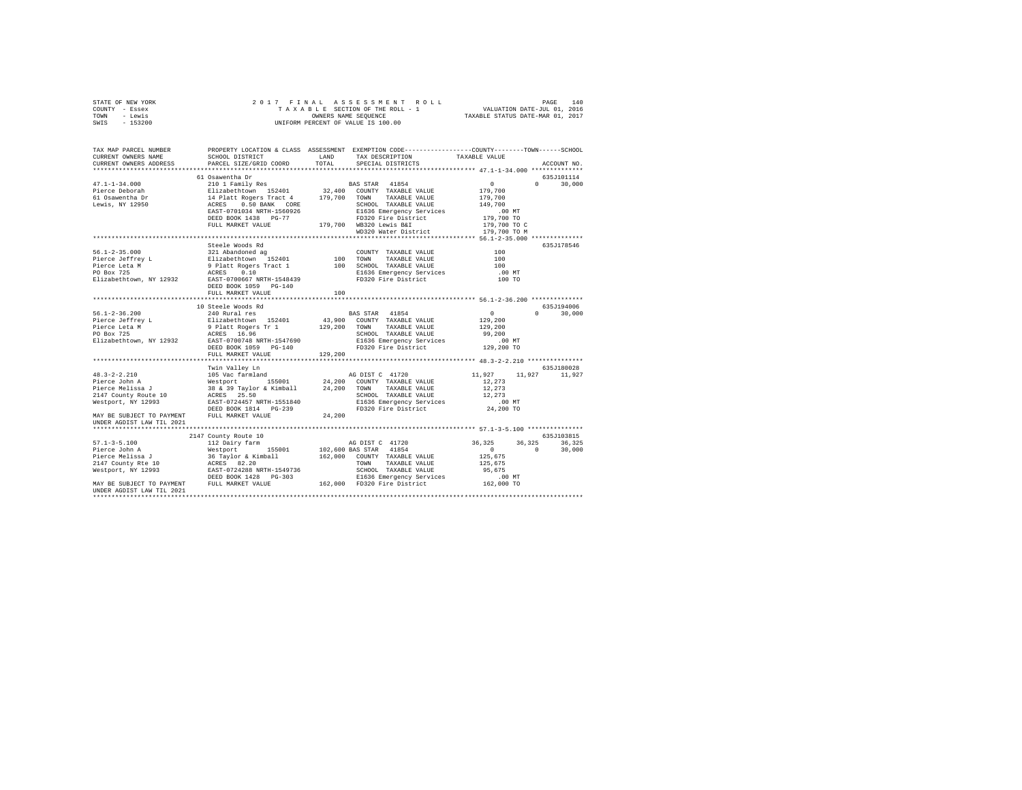| STATE OF NEW YORK                               |                                                                                                                                                                                                                                                                                                                                                                                                                       |         |                                |                                           |                 |
|-------------------------------------------------|-----------------------------------------------------------------------------------------------------------------------------------------------------------------------------------------------------------------------------------------------------------------------------------------------------------------------------------------------------------------------------------------------------------------------|---------|--------------------------------|-------------------------------------------|-----------------|
| COUNTY - Essex                                  |                                                                                                                                                                                                                                                                                                                                                                                                                       |         |                                |                                           |                 |
| TOWN - Lewis                                    |                                                                                                                                                                                                                                                                                                                                                                                                                       |         |                                |                                           |                 |
| SWIS - 153200                                   |                                                                                                                                                                                                                                                                                                                                                                                                                       |         |                                |                                           |                 |
|                                                 |                                                                                                                                                                                                                                                                                                                                                                                                                       |         |                                |                                           |                 |
|                                                 |                                                                                                                                                                                                                                                                                                                                                                                                                       |         |                                |                                           |                 |
|                                                 |                                                                                                                                                                                                                                                                                                                                                                                                                       |         |                                |                                           |                 |
|                                                 |                                                                                                                                                                                                                                                                                                                                                                                                                       |         |                                |                                           |                 |
| CURRENT OWNERS NAME                             | SCHOOL DISTRICT LAND                                                                                                                                                                                                                                                                                                                                                                                                  |         | TAX DESCRIPTION TAXABLE VALUE  |                                           |                 |
| CURRENT OWNERS ADDRESS                          | PARCEL SIZE/GRID COORD                                                                                                                                                                                                                                                                                                                                                                                                | TOTAL   | SPECIAL DISTRICTS              |                                           | ACCOUNT NO.     |
|                                                 |                                                                                                                                                                                                                                                                                                                                                                                                                       |         |                                |                                           |                 |
|                                                 |                                                                                                                                                                                                                                                                                                                                                                                                                       |         |                                |                                           | 635J101114      |
|                                                 |                                                                                                                                                                                                                                                                                                                                                                                                                       |         |                                |                                           | $0 \t 30.000$   |
|                                                 |                                                                                                                                                                                                                                                                                                                                                                                                                       |         |                                |                                           |                 |
|                                                 |                                                                                                                                                                                                                                                                                                                                                                                                                       |         |                                |                                           |                 |
|                                                 |                                                                                                                                                                                                                                                                                                                                                                                                                       |         |                                |                                           |                 |
|                                                 |                                                                                                                                                                                                                                                                                                                                                                                                                       |         |                                |                                           |                 |
|                                                 |                                                                                                                                                                                                                                                                                                                                                                                                                       |         |                                |                                           |                 |
|                                                 |                                                                                                                                                                                                                                                                                                                                                                                                                       |         |                                |                                           |                 |
|                                                 |                                                                                                                                                                                                                                                                                                                                                                                                                       |         |                                |                                           |                 |
|                                                 |                                                                                                                                                                                                                                                                                                                                                                                                                       |         |                                |                                           |                 |
|                                                 | $\begin{tabular}{l c c c c c} \multicolumn{4}{c}{\text{\texttt{51.54.000}}} & \multicolumn{4}{c}{\text{\texttt{61.54.000}}} & \multicolumn{4}{c}{\text{\texttt{61.54.000}}} & \multicolumn{4}{c}{\text{\texttt{61.54.000}}} & \multicolumn{4}{c}{\text{\texttt{61.54.000}}} & \multicolumn{4}{c}{\text{\texttt{61.54.000}}} & \multicolumn{4}{c}{\text{\texttt{61.54.000}}} & \multicolumn{4}{c}{\text{\texttt{61.54$ |         |                                |                                           |                 |
|                                                 |                                                                                                                                                                                                                                                                                                                                                                                                                       |         |                                |                                           | 635J178546      |
|                                                 |                                                                                                                                                                                                                                                                                                                                                                                                                       |         |                                |                                           |                 |
|                                                 |                                                                                                                                                                                                                                                                                                                                                                                                                       |         |                                | $\begin{array}{c} 100 \\ 100 \end{array}$ |                 |
|                                                 |                                                                                                                                                                                                                                                                                                                                                                                                                       |         |                                | 100                                       |                 |
|                                                 |                                                                                                                                                                                                                                                                                                                                                                                                                       |         |                                | .00 MT                                    |                 |
|                                                 |                                                                                                                                                                                                                                                                                                                                                                                                                       |         |                                | 100 TO                                    |                 |
|                                                 |                                                                                                                                                                                                                                                                                                                                                                                                                       |         |                                |                                           |                 |
|                                                 | FULL MARKET VALUE                                                                                                                                                                                                                                                                                                                                                                                                     | 100     |                                |                                           |                 |
|                                                 |                                                                                                                                                                                                                                                                                                                                                                                                                       |         |                                |                                           |                 |
|                                                 | 10 Steele Woods Rd                                                                                                                                                                                                                                                                                                                                                                                                    |         |                                |                                           | 635J194006      |
| $56.1 - 2 - 36.200$                             | 240 Rural res                                                                                                                                                                                                                                                                                                                                                                                                         |         | BAS STAR 41854                 | $\sim$ 0                                  | $0 \t 30,000$   |
|                                                 |                                                                                                                                                                                                                                                                                                                                                                                                                       |         |                                |                                           |                 |
|                                                 |                                                                                                                                                                                                                                                                                                                                                                                                                       |         |                                | 129,200<br>129,200                        |                 |
| Pierce Jeffrey L<br>Pierce Leta M<br>PO Box 725 |                                                                                                                                                                                                                                                                                                                                                                                                                       |         |                                | 99,200                                    |                 |
|                                                 | - 1922–1920 1920<br>1920 11 129,200 NOUNTY TAXABLE VALUE<br>1920 100NN TAXABLE VALUE<br>129,200 TOWN TAXABLE VALUE<br>129,200 NOUNTY TAXABLE VALUE<br>1636 EMERGENCY SCHOOL TAXABLE VALUE<br>EAST-0700748 NRTH-1547690 1636 Emergency Serv                                                                                                                                                                            |         | E1636 Emergency Services       | $.00$ MT                                  |                 |
| Elizabethtown, NY 12932                         |                                                                                                                                                                                                                                                                                                                                                                                                                       |         | FD320 Fire District 129,200 TO |                                           |                 |
|                                                 | DEED BOOK 1059 PG-140                                                                                                                                                                                                                                                                                                                                                                                                 |         |                                |                                           |                 |
|                                                 | FULL MARKET VALUE                                                                                                                                                                                                                                                                                                                                                                                                     | 129,200 |                                |                                           |                 |
|                                                 |                                                                                                                                                                                                                                                                                                                                                                                                                       |         |                                |                                           |                 |
|                                                 | Twin Valley Ln                                                                                                                                                                                                                                                                                                                                                                                                        |         |                                |                                           | 635J180028      |
|                                                 |                                                                                                                                                                                                                                                                                                                                                                                                                       |         |                                | 11,927                                    | 11,927 11,927   |
|                                                 |                                                                                                                                                                                                                                                                                                                                                                                                                       |         |                                | 12,273                                    |                 |
|                                                 |                                                                                                                                                                                                                                                                                                                                                                                                                       |         |                                | 12,273                                    |                 |
|                                                 |                                                                                                                                                                                                                                                                                                                                                                                                                       |         |                                | 12,273                                    |                 |
|                                                 |                                                                                                                                                                                                                                                                                                                                                                                                                       |         |                                | .00 MT                                    |                 |
|                                                 |                                                                                                                                                                                                                                                                                                                                                                                                                       |         |                                | 24,200 TO                                 |                 |
|                                                 | MAY BE SUBJECT TO PAYMENT FULL MARKET VALUE                                                                                                                                                                                                                                                                                                                                                                           | 24,200  |                                |                                           |                 |
| UNDER AGDIST LAW TIL 2021                       |                                                                                                                                                                                                                                                                                                                                                                                                                       |         |                                |                                           |                 |
|                                                 |                                                                                                                                                                                                                                                                                                                                                                                                                       |         |                                |                                           |                 |
|                                                 | 2147 County Route 10                                                                                                                                                                                                                                                                                                                                                                                                  |         |                                |                                           | 635J103815      |
|                                                 |                                                                                                                                                                                                                                                                                                                                                                                                                       |         |                                | 36,325                                    | 36, 325 36, 325 |
|                                                 |                                                                                                                                                                                                                                                                                                                                                                                                                       |         | AG DIST C 41720                | $\sim$ 0                                  | $0 \t 30.000$   |
|                                                 |                                                                                                                                                                                                                                                                                                                                                                                                                       |         |                                | 125,675                                   |                 |
|                                                 |                                                                                                                                                                                                                                                                                                                                                                                                                       |         |                                | 125,675                                   |                 |
|                                                 |                                                                                                                                                                                                                                                                                                                                                                                                                       |         |                                | 95,675                                    |                 |
|                                                 |                                                                                                                                                                                                                                                                                                                                                                                                                       |         |                                |                                           |                 |
|                                                 |                                                                                                                                                                                                                                                                                                                                                                                                                       |         |                                | .00 MT                                    |                 |
|                                                 |                                                                                                                                                                                                                                                                                                                                                                                                                       |         |                                | 162,000 TO                                |                 |
| UNDER AGDIST LAW TIL 2021                       |                                                                                                                                                                                                                                                                                                                                                                                                                       |         |                                |                                           |                 |
|                                                 |                                                                                                                                                                                                                                                                                                                                                                                                                       |         |                                |                                           |                 |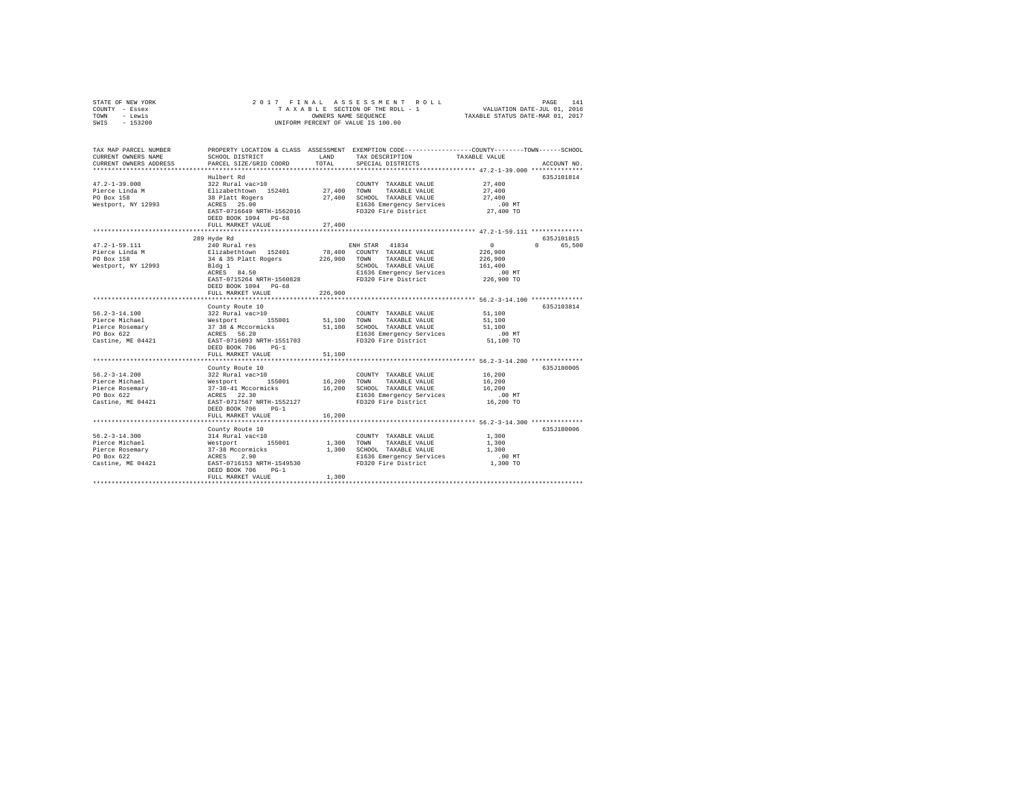|      | STATE OF NEW YORK |                      |  |  |  |  |  |  | 2017 FINAL ASSESSMENT ROLL         |  |                                  |                             | PAGE | 141 |
|------|-------------------|----------------------|--|--|--|--|--|--|------------------------------------|--|----------------------------------|-----------------------------|------|-----|
|      | COUNTY - Essex    |                      |  |  |  |  |  |  | TAXABLE SECTION OF THE ROLL - 1    |  |                                  | VALUATION DATE-JUL 01, 2016 |      |     |
| TOWN | - Lewis           | OWNERS NAME SEOUENCE |  |  |  |  |  |  |                                    |  | TAXABLE STATUS DATE-MAR 01, 2017 |                             |      |     |
| SWIS | $-153200$         |                      |  |  |  |  |  |  | UNIFORM PERCENT OF VALUE IS 100.00 |  |                                  |                             |      |     |

| TAX MAP PARCEL NUMBER<br>CURRENT OWNERS NAME | SCHOOL DISTRICT                                                           | LAND         | PROPERTY LOCATION & CLASS ASSESSMENT EXEMPTION CODE---------------COUNTY-------TOWN-----SCHOOL<br>TAX DESCRIPTION                    | TAXABLE VALUE     |                             |
|----------------------------------------------|---------------------------------------------------------------------------|--------------|--------------------------------------------------------------------------------------------------------------------------------------|-------------------|-----------------------------|
| CURRENT OWNERS ADDRESS                       | PARCEL SIZE/GRID COORD                                                    | TOTAL        | SPECIAL DISTRICTS                                                                                                                    |                   | ACCOUNT NO.                 |
|                                              | Hulbert Rd                                                                |              |                                                                                                                                      |                   | 635.7101814                 |
| $47.2 - 1 - 39.000$                          | 322 Rural vac>10                                                          |              | COUNTY TAXABLE VALUE                                                                                                                 | 27,400            |                             |
| Pierce Linda M                               | Elizabethtown 152401                                                      |              | 27.400 TOWN TAXABLE VALUE                                                                                                            | 27,400            |                             |
| PO Box 158                                   | 38 Platt Rogers                                                           |              | 27,400 SCHOOL TAXABLE VALUE                                                                                                          | 27,400            |                             |
| Westport, NY 12993                           | ACRES 25.00                                                               |              | E1636 Emergency Services                                                                                                             | $.00$ MT          |                             |
|                                              | EAST-0716649 NRTH-1562016                                                 |              | FD320 Fire District                                                                                                                  | 27,400 TO         |                             |
|                                              | DEED BOOK 1094 PG-68                                                      |              |                                                                                                                                      |                   |                             |
|                                              | FULL MARKET VALUE                                                         | 27,400       |                                                                                                                                      |                   |                             |
|                                              |                                                                           |              |                                                                                                                                      |                   |                             |
|                                              | 289 Hyde Rd                                                               |              |                                                                                                                                      |                   | 635J101815                  |
| $47.2 - 1 - 59.111$                          | 240 Rural res                                                             |              | ENH STAR 41834                                                                                                                       | $\sim$ 0          | $0 \qquad \qquad$<br>65,500 |
| Pierce Linda M                               | Elizabethtown 152401                                                      |              | 78,400 COUNTY TAXABLE VALUE                                                                                                          | 226,900           |                             |
| PO Box 158                                   | 34 & 35 Platt Rogers<br>Bldg 1                                            | 226,900 TOWN | TAXABLE VALUE<br>SCHOOL TAXABLE VALUE                                                                                                | 226,900           |                             |
| Westport, NY 12993                           | ACRES 84.50                                                               |              |                                                                                                                                      | 161,400<br>.00 MT |                             |
|                                              | EAST-0715264 NRTH-1560828                                                 |              | E1636 Emergency Services<br>FD320 Fire District                                                                                      | 226,900 TO        |                             |
|                                              | DEED BOOK 1094 PG-68                                                      |              |                                                                                                                                      |                   |                             |
|                                              | FULL MARKET VALUE                                                         | 226,900      |                                                                                                                                      |                   |                             |
|                                              |                                                                           |              |                                                                                                                                      |                   |                             |
|                                              | County Route 10                                                           |              |                                                                                                                                      |                   | 635J103814                  |
| $56.2 - 3 - 14.100$                          | 322 Rural vac>10                                                          |              | COUNTY TAXABLE VALUE                                                                                                                 | 51,100            |                             |
| Pierce Michael                               | Westport 155001 51,100<br>37 38 & Mccormicks 51,100<br>ACRES 56.20 51,100 |              | TOWN<br>TAXABLE VALUE                                                                                                                | 51,100            |                             |
| Pierce Rosemary                              |                                                                           |              | 51,100 SCHOOL TAXABLE VALUE                                                                                                          | 51,100            |                             |
| PO Box 622                                   |                                                                           |              | E1636 Emergency Services                                                                                                             | $.00$ MT          |                             |
| Castine, ME 04421                            | EAST-0716093 NRTH-1551703                                                 |              | FD320 Fire District                                                                                                                  | 51,100 TO         |                             |
|                                              | DEED BOOK 706<br>$PG-1$                                                   |              |                                                                                                                                      |                   |                             |
|                                              | FULL MARKET VALUE                                                         | 51,100       |                                                                                                                                      |                   |                             |
|                                              | County Route 10                                                           |              |                                                                                                                                      |                   | 635J180005                  |
| $56.2 - 3 - 14.200$                          | 322 Rural vac>10                                                          |              | COUNTY TAXABLE VALUE                                                                                                                 | 16,200            |                             |
| Pierce Michael                               |                                                                           |              |                                                                                                                                      | 16,200            |                             |
| Pierce Rosemary                              |                                                                           |              |                                                                                                                                      | 16,200            |                             |
| PO Box 622                                   |                                                                           |              | Westport 155001 16,200 TOWN TAXABLE-VALUE<br>37-38-41 Mccormicks 16,200 SCHOOL TAXABLE-VALUE<br>ACRES 22.30 SIG36 Emergency-Services | $.00$ MT          |                             |
| Castine, ME 04421                            | EAST-0717567 NRTH-1552127                                                 |              | FD320 Fire District                                                                                                                  | 16,200 TO         |                             |
|                                              | DEED BOOK 706<br>$PG-1$                                                   |              |                                                                                                                                      |                   |                             |
|                                              | FULL MARKET VALUE                                                         | 16,200       |                                                                                                                                      |                   |                             |
|                                              |                                                                           |              |                                                                                                                                      |                   |                             |
|                                              | County Route 10                                                           |              |                                                                                                                                      |                   | 635J180006                  |
| $56.2 - 3 - 14.300$<br>Pierce Michael        | 314 Rural vac<10                                                          | 1,300        | COUNTY TAXABLE VALUE<br>TOWN<br>TAXABLE VALUE                                                                                        | 1,300<br>1,300    |                             |
| Pierce Rosemary                              | Westport<br>37-38 Mccormicks<br>ACRES 2.90<br>EAST-0716153 NRTH-1549530   | 1,300        | SCHOOL TAXABLE VALUE                                                                                                                 | 1,300             |                             |
| PO Box 622                                   |                                                                           |              | E1636 Emergency Services                                                                                                             | $.00$ MT          |                             |
| Castine, ME 04421                            |                                                                           |              | FD320 Fire District                                                                                                                  | 1,300 TO          |                             |
|                                              | DEED BOOK 706<br>$PG-1$                                                   |              |                                                                                                                                      |                   |                             |
|                                              | FULL MARKET VALUE                                                         | 1,300        |                                                                                                                                      |                   |                             |
|                                              |                                                                           |              |                                                                                                                                      |                   |                             |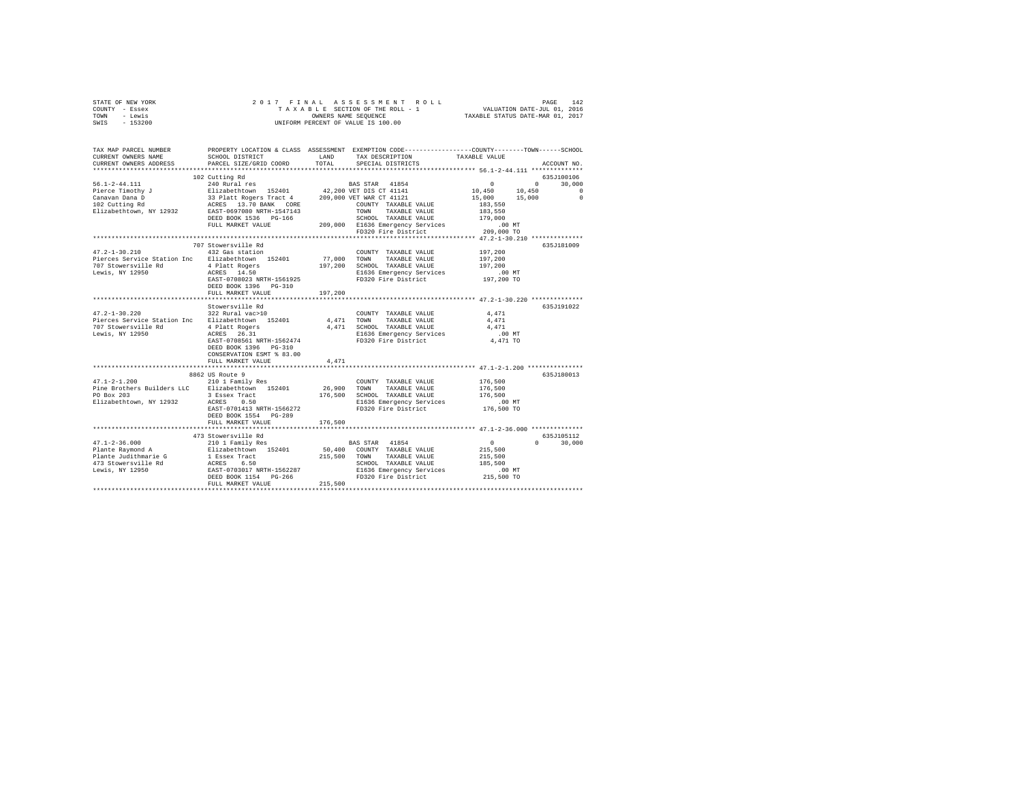| STATE OF NEW YORK<br>COUNTY - Essex<br>TOWN - Lewis<br>SWIS - 153200                                                                                                                                                                                                                                                                                |                                                                                    |         |                                                                         |                                                           |                             |
|-----------------------------------------------------------------------------------------------------------------------------------------------------------------------------------------------------------------------------------------------------------------------------------------------------------------------------------------------------|------------------------------------------------------------------------------------|---------|-------------------------------------------------------------------------|-----------------------------------------------------------|-----------------------------|
| TAX MAP PARCEL NUMBER PROPERTY LOCATION & CLASS ASSESSMENT EXEMPTION CODE---------------COUNTY-------TOWN------SCHOOL<br>CURRENT OWNERS NAME<br>CURRENT OWNERS ADDRESS                                                                                                                                                                              | PARCEL SIZE/GRID COORD                                                             | TOTAL   | SCHOOL DISTRICT TAND TAX DESCRIPTION TAXABLE VALUE<br>SPECIAL DISTRICTS |                                                           | ACCOUNT NO.                 |
|                                                                                                                                                                                                                                                                                                                                                     |                                                                                    |         |                                                                         |                                                           |                             |
| $\begin{tabular}{l c c c c} \textbf{56.1-2-44.111} & \textbf{10.450} & \textbf{0.451} & \textbf{0.451} & \textbf{0.451} & \textbf{0.451} & \textbf{0.451} & \textbf{0.451} & \textbf{0.451} & \textbf{0.451} & \textbf{0.451} & \textbf{0.451} & \textbf{0.451} & \textbf{0.451} & \textbf{0.451} & \textbf{0.451} & \textbf{0.451} & \textbf{0.45$ | 102 Cutting Rd                                                                     |         |                                                                         |                                                           | 635J100106                  |
|                                                                                                                                                                                                                                                                                                                                                     |                                                                                    |         |                                                                         |                                                           |                             |
| $47.2 - 1 - 30.210$<br>Lewis, NY 12950                                                                                                                                                                                                                                                                                                              | 707 Stowersville Rd<br>707 Stowersville Rd<br>432 Gas station<br>FULL MARKET VALUE | 197,200 | COUNTY TAXABLE VALUE                                                    | 197,200<br>197.200<br>197,200<br>$.00$ MT<br>197,200 TO   | 635J181009                  |
|                                                                                                                                                                                                                                                                                                                                                     | Stowersville Rd                                                                    |         |                                                                         |                                                           | 635J191022                  |
| $47.2 - 1 - 30.220$ $322$ Rural vac > 10<br>Pierces Service Station Inc Elizabethtown 152401<br>707 Stowersville Rd<br>Lewis, NY 12950 26.31 Applement Market 26.31 2010<br>Lewis, NY 12950 26.31 26.31 26.31 26.92 26.31 26.52 26.22 26.31 26.32 26.22 26.22 26.22 26.22 26.22 27.32 27.32                                                         | DEED BOOK 1396 PG-310<br>CONSERVATION ESMT % 83.00                                 |         | COUNTY TAXABLE VALUE<br>4,471 TOWN<br>TAXABLE VALUE                     | 4,471<br>4.471<br>4.471<br>$.00$ MT<br>4,471 TO           |                             |
|                                                                                                                                                                                                                                                                                                                                                     | FULL MARKET VALUE                                                                  | 4,471   |                                                                         |                                                           |                             |
| 47.1-2-1.200 210 1 Family Res<br>Pine Brothers Builders LLC Elizabethtown 152401<br>PO Box 203<br>PO Box 203<br>PO Box 203<br>ELizabethtown, NY 12932<br>REGES 0.500<br>ELIZABETH-1566272<br>PD320 Fire District<br>PD320 Fire District                                                                                                             | 8862 US Route 9<br>DEED BOOK 1554 PG-289                                           |         | COUNTY TAXABLE VALUE<br>26,900 TOWN TAXABLE VALUE                       | 176,500<br>176,500<br>176,500<br>00 MT.<br>176,500 TO     | 635J180013                  |
|                                                                                                                                                                                                                                                                                                                                                     | FULL MARKET VALUE                                                                  | 176,500 |                                                                         |                                                           |                             |
|                                                                                                                                                                                                                                                                                                                                                     | 473 Stowersville Rd                                                                |         |                                                                         | $\overline{0}$<br>215,500<br>215,500<br>185,500<br>.00 MT | 635J105112<br>$0 \t 30,000$ |
|                                                                                                                                                                                                                                                                                                                                                     |                                                                                    |         |                                                                         | 215,500 TO                                                |                             |
|                                                                                                                                                                                                                                                                                                                                                     |                                                                                    |         |                                                                         |                                                           |                             |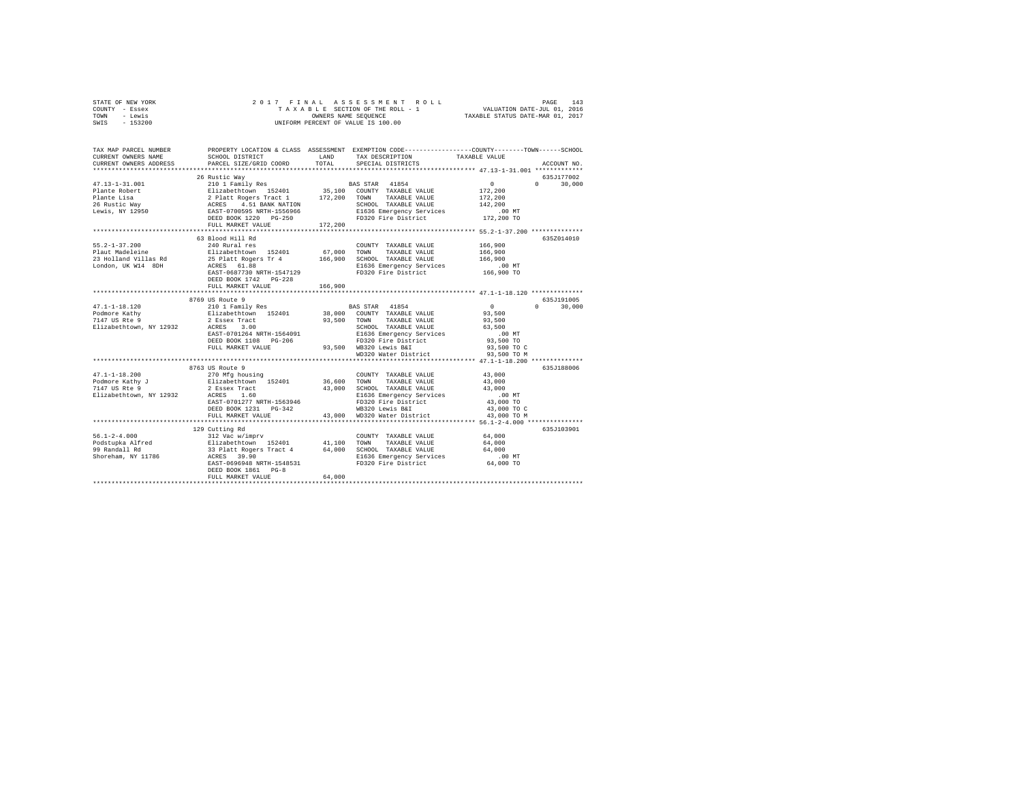| STATE OF NEW YORK<br>COUNTY - Essex<br>- Lewis<br>TOWN<br>SWIS - 153200 |                                                                                                                                                                                                                                                 |         | 2017 FINAL ASSESSMENT ROLL<br>TAXABLE SECTION OF THE ROLL - 1 VALUATION DATE-JUL 01, 2016<br>OWNERS NAME SEQUENCE TAXABLE STATUS DATE-MAR 01, 2017<br>UNIFORM PERCENT OF VALUE IS 100.00 |                                                                                                                                                                                                                                                                                                                                                 | 143<br>PAGE                 |
|-------------------------------------------------------------------------|-------------------------------------------------------------------------------------------------------------------------------------------------------------------------------------------------------------------------------------------------|---------|------------------------------------------------------------------------------------------------------------------------------------------------------------------------------------------|-------------------------------------------------------------------------------------------------------------------------------------------------------------------------------------------------------------------------------------------------------------------------------------------------------------------------------------------------|-----------------------------|
| TAX MAP PARCEL NUMBER<br>CURRENT OWNERS NAME<br>CURRENT OWNERS ADDRESS  | PROPERTY LOCATION & CLASS ASSESSMENT EXEMPTION CODE---------------COUNTY-------TOWN-----SCHOOL<br>SCHOOL DISTRICT<br>PARCEL SIZE/GRID COORD TOTAL SPECIAL DISTRICTS                                                                             | T.AND   | TAX DESCRIPTION TAXABLE VALUE                                                                                                                                                            |                                                                                                                                                                                                                                                                                                                                                 | ACCOUNT NO.                 |
|                                                                         |                                                                                                                                                                                                                                                 |         |                                                                                                                                                                                          |                                                                                                                                                                                                                                                                                                                                                 |                             |
|                                                                         | 26 Rustic Way                                                                                                                                                                                                                                   |         |                                                                                                                                                                                          |                                                                                                                                                                                                                                                                                                                                                 | 635.T177002                 |
| $47.13 - 1 - 31.001$<br>26 Rustic Way <b>ACRES</b><br>Lewis, NY 12950   | 4.51 BANK NATION<br>EAST-0700595 NRTH-1556966<br>DEED BOOK 1220 PG-250<br>FULL MARKET VALUE 172,200                                                                                                                                             |         | 210 1 Family Res 60 8 8 8 8 8 8 8 8 8 7 AM<br>SCHOOL TAXABLE VALUE                                                                                                                       | $\mathbf{0}$ and $\mathbf{0}$ and $\mathbf{0}$ and $\mathbf{0}$ and $\mathbf{0}$ and $\mathbf{0}$ and $\mathbf{0}$ and $\mathbf{0}$ and $\mathbf{0}$ and $\mathbf{0}$ and $\mathbf{0}$ and $\mathbf{0}$ and $\mathbf{0}$ and $\mathbf{0}$ and $\mathbf{0}$ and $\mathbf{0}$ and $\mathbf{0}$ and<br>172,200<br>172,200<br>142,200<br>172,200 TO | $0 \t 30.000$               |
| $55.2 - 1 - 37.200$<br>London, UK W14 8DH                               | 63 Blood Hill Rd<br>240 Rural res<br>Plaut Madeleine $\qquad \qquad$ Elizabethtown 152401 67.000<br>23 Holland Villas Rd 25 Platt Rogers Tr 4 166,900<br>ACRES 61.88<br>EAST-0687730 NRTH-1547129<br>DEED BOOK 1742 PG-228<br>FULL MARKET VALUE | 166,900 | COUNTY TAXABLE VALUE<br>TOWN<br>TAXABLE VALUE<br>SCHOOL TAXABLE VALUE<br>E1636 Emergency Services<br>FD320 Fire District 166,900 TO                                                      | 166,900<br>166,900<br>166,900<br>.00 MT                                                                                                                                                                                                                                                                                                         | 635Z014010                  |
| $47.1 - 1 - 18.120$<br>Podmore Kathy<br>7147 US Rte 9                   | 8769 US Route 9<br>210 1 Family Res<br>Elizabethtown 152401 38,000 COUNTY TAXABLE VALUE 93,500                                                                                                                                                  |         | BAS STAR 41854                                                                                                                                                                           | $\sim$ 0                                                                                                                                                                                                                                                                                                                                        | 635J191005<br>$0 \t 30.000$ |

|                         | 8769 US Route 9             |        |                             |             | 635J191005         |
|-------------------------|-----------------------------|--------|-----------------------------|-------------|--------------------|
| $47.1 - 1 - 18.120$     | 210 1 Family Res            |        | BAS STAR 41854              | $\circ$     | 30,000<br>$\Omega$ |
| Podmore Kathy           | Elizabethtown 152401        |        | 38,000 COUNTY TAXABLE VALUE | 93,500      |                    |
| 7147 US Rte 9           | 2 Essex Tract               | 93,500 | TOWN<br>TAXABLE VALUE       | 93,500      |                    |
| Elizabethtown, NY 12932 | 3.00<br>ACRES               |        | SCHOOL TAXABLE VALUE        | 63,500      |                    |
|                         | EAST-0701264 NRTH-1564091   |        | E1636 Emergency Services    | .00MT       |                    |
|                         | DEED BOOK 1108 PG-206       |        | FD320 Fire District         | 93,500 TO   |                    |
|                         | FULL MARKET VALUE           | 93,500 | WB320 Lewis B&I             | 93,500 TO C |                    |
|                         |                             |        | WD320 Water District        | 93,500 TO M |                    |
|                         |                             |        |                             |             |                    |
|                         | 8763 US Route 9             |        |                             |             | 635J188006         |
| 47.1-1-18.200           | 270 Mfg housing             |        | COUNTY TAXABLE VALUE        | 43,000      |                    |
| Podmore Kathy J         | Elizabethtown 152401        | 36,600 | TAXABLE VALUE<br>TOWN       | 43,000      |                    |
| 7147 US Rte 9           | 2 Essex Tract               | 43,000 | SCHOOL TAXABLE VALUE        | 43,000      |                    |
| Elizabethtown, NY 12932 | ACRES 1.60                  |        | E1636 Emergency Services    | $.00$ MT    |                    |
|                         | EAST-0701277 NRTH-1563946   |        | FD320 Fire District         | 43,000 TO   |                    |
|                         | DEED BOOK 1231 PG-342       |        | WB320 Lewis B&I             | 43,000 TO C |                    |
|                         | FULL MARKET VALUE           |        | 43,000 WD320 Water District | 43,000 TO M |                    |
|                         |                             |        |                             |             |                    |
|                         | 129 Cutting Rd              |        |                             |             | 635.7103901        |
| $56.1 - 2 - 4.000$      | 312 Vac w/imprv             |        | COUNTY TAXABLE VALUE        | 64,000      |                    |
| Podstupka Alfred        | Elizabethtown 152401 41,100 |        | TOWN<br>TAXABLE VALUE       | 64,000      |                    |
| 99 Randall Rd           | 33 Platt Rogers Tract 4     | 64,000 | SCHOOL TAXABLE VALUE        | 64,000      |                    |
| Shoreham, NY 11786      | ACRES 39.90                 |        | E1636 Emergency Services    | .00MT       |                    |
|                         | EAST-0696948 NRTH-1548531   |        | FD320 Fire District         | 64,000 TO   |                    |
|                         | DEED BOOK 1861 PG-8         |        |                             |             |                    |
|                         | FULL MARKET VALUE           | 64,000 |                             |             |                    |
|                         |                             |        |                             |             |                    |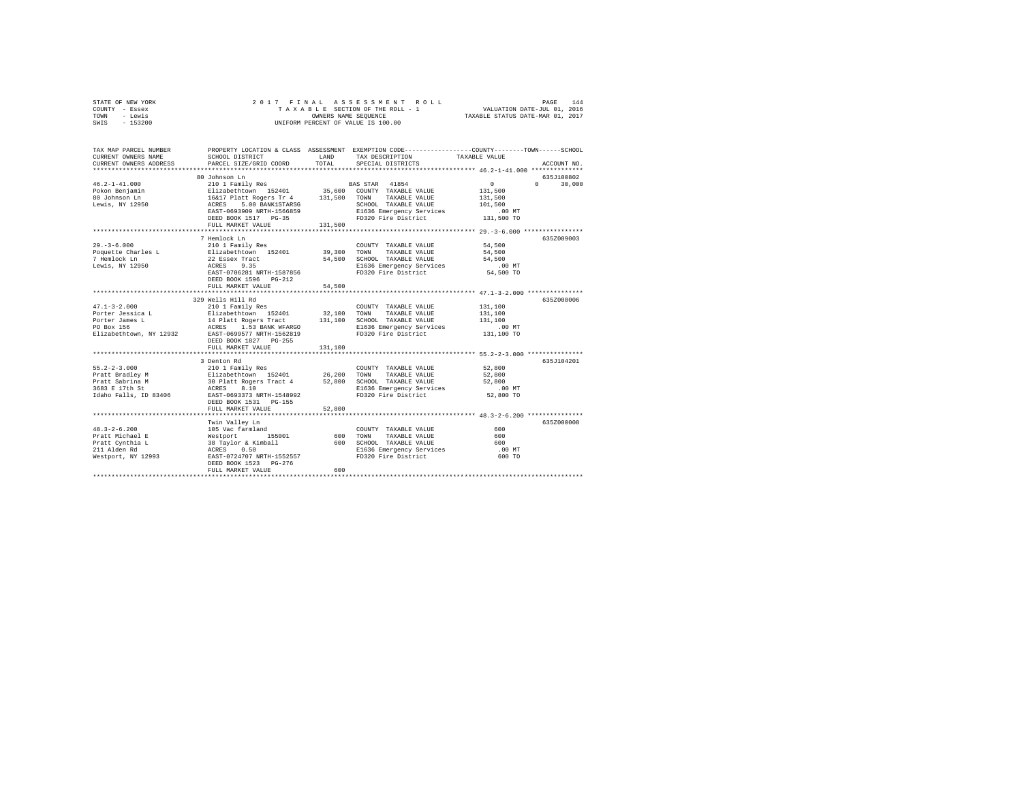|      | STATE OF NEW YORK |  |  |  | 2017 FINAL ASSESSMENT ROLL         |  |                                  | PAGE | 144 |
|------|-------------------|--|--|--|------------------------------------|--|----------------------------------|------|-----|
|      | COUNTY - Essex    |  |  |  | TAXABLE SECTION OF THE ROLL - 1    |  | VALUATION DATE-JUL 01, 2016      |      |     |
| TOWN | - Lewis           |  |  |  | OWNERS NAME SEOUENCE               |  | TAXABLE STATUS DATE-MAR 01, 2017 |      |     |
|      | SWIS - 153200     |  |  |  | UNIFORM PERCENT OF VALUE IS 100.00 |  |                                  |      |     |

| TAX MAP PARCEL NUMBER<br>CURRENT OWNERS NAME | SCHOOL DISTRICT                                                                                                                                                                                                                                                                                                                                                                      | LAND    | PROPERTY LOCATION & CLASS ASSESSMENT EXEMPTION CODE----------------COUNTY-------TOWN------SCHOOL<br>TAX DESCRIPTION | TAXABLE VALUE     |                    |
|----------------------------------------------|--------------------------------------------------------------------------------------------------------------------------------------------------------------------------------------------------------------------------------------------------------------------------------------------------------------------------------------------------------------------------------------|---------|---------------------------------------------------------------------------------------------------------------------|-------------------|--------------------|
| CURRENT OWNERS ADDRESS                       | PARCEL SIZE/GRID COORD                                                                                                                                                                                                                                                                                                                                                               | TOTAL   | SPECIAL DISTRICTS                                                                                                   |                   | ACCOUNT NO.        |
|                                              | 80 Johnson Ln                                                                                                                                                                                                                                                                                                                                                                        |         |                                                                                                                     |                   | 635J100802         |
|                                              |                                                                                                                                                                                                                                                                                                                                                                                      |         |                                                                                                                     | $\sim$ 0          | 30,000<br>$\Omega$ |
|                                              |                                                                                                                                                                                                                                                                                                                                                                                      |         |                                                                                                                     | 131,500           |                    |
|                                              |                                                                                                                                                                                                                                                                                                                                                                                      |         |                                                                                                                     | 131,500           |                    |
| Lewis, NY 12950                              | ACRES 5.00 BANK1STARSG                                                                                                                                                                                                                                                                                                                                                               |         | SCHOOL TAXABLE VALUE                                                                                                | 101,500           |                    |
|                                              | EAST-0693909 NRTH-1566859                                                                                                                                                                                                                                                                                                                                                            |         | E1636 Emergency Services                                                                                            | .00 MT            |                    |
|                                              | DEED BOOK 1517 PG-35                                                                                                                                                                                                                                                                                                                                                                 |         | FD320 Fire District 131.500 TO                                                                                      |                   |                    |
|                                              | FULL MARKET VALUE                                                                                                                                                                                                                                                                                                                                                                    | 131,500 |                                                                                                                     |                   |                    |
|                                              |                                                                                                                                                                                                                                                                                                                                                                                      |         |                                                                                                                     |                   |                    |
|                                              | 7 Hemlock Ln                                                                                                                                                                                                                                                                                                                                                                         |         |                                                                                                                     |                   | 635Z009003         |
| $29. - 3 - 6.000$                            | 210 1 Family Res                                                                                                                                                                                                                                                                                                                                                                     |         | COUNTY TAXABLE VALUE                                                                                                | 54,500            |                    |
| Poquette Charles L<br>7 Hemlock Ln           | Elizabethtown 152401<br>22 Essex Tract                                                                                                                                                                                                                                                                                                                                               |         | 39,300 TOWN TAXABLE VALUE                                                                                           | 54,500            |                    |
| 7 Hemlock Ln                                 |                                                                                                                                                                                                                                                                                                                                                                                      |         | 54,500 SCHOOL TAXABLE VALUE                                                                                         | 54,500            |                    |
| Lewis, NY 12950                              | ACRES 9.35                                                                                                                                                                                                                                                                                                                                                                           |         | E1636 Emergency Services                                                                                            | $.00$ MT          |                    |
|                                              | EAST-0706281 NRTH-1587856                                                                                                                                                                                                                                                                                                                                                            |         | FD320 Fire District                                                                                                 | $54,500$ TO       |                    |
|                                              | DEED BOOK 1596 PG-212                                                                                                                                                                                                                                                                                                                                                                |         |                                                                                                                     |                   |                    |
|                                              | FULL MARKET VALUE                                                                                                                                                                                                                                                                                                                                                                    | 54,500  |                                                                                                                     |                   |                    |
|                                              | 329 Wells Hill Rd                                                                                                                                                                                                                                                                                                                                                                    |         |                                                                                                                     |                   | 635Z008006         |
| $47.1 - 3 - 2.000$                           |                                                                                                                                                                                                                                                                                                                                                                                      |         | COUNTY TAXABLE VALUE                                                                                                | 131,100           |                    |
|                                              | 210 1 Family Res<br>Elizabethtown 152401                                                                                                                                                                                                                                                                                                                                             |         |                                                                                                                     | 131,100           |                    |
|                                              |                                                                                                                                                                                                                                                                                                                                                                                      |         |                                                                                                                     |                   |                    |
|                                              |                                                                                                                                                                                                                                                                                                                                                                                      |         |                                                                                                                     | 131,100<br>.00 MT |                    |
|                                              | Porter Jessica L<br>Porter Jessica L<br>Porter James L<br>Porter James L<br>Porter James L<br>20 Box 156<br>PO Box 156<br>PO Box 156<br>PO Box 156<br>PO Box 156<br>PO Box 156<br>PO Box 156<br>PO Box 156<br>PO Box 156<br>PO Box 156<br>PO Box 156<br>PO Box<br>Elizabethtown, NY 12932 EAST-0699577 NRTH-1562819                                                                  |         | FD320 Fire District                                                                                                 | 131,100 TO        |                    |
|                                              | DEED BOOK 1827 PG-255                                                                                                                                                                                                                                                                                                                                                                |         |                                                                                                                     |                   |                    |
|                                              | FULL MARKET VALUE                                                                                                                                                                                                                                                                                                                                                                    | 131,100 |                                                                                                                     |                   |                    |
|                                              |                                                                                                                                                                                                                                                                                                                                                                                      |         |                                                                                                                     |                   |                    |
|                                              | 3 Denton Rd                                                                                                                                                                                                                                                                                                                                                                          |         |                                                                                                                     |                   | 635J104201         |
| $55.2 - 2 - 3.000$                           | $\begin{tabular}{lcccccc} 210 1 Family Res & & & \texttt{COUNT} & \texttt{TXABLE VALUE} & & \texttt{52,800} \\ \texttt{Elizabethtown} & 152401 & & 26,200 & \texttt{TONNT} & \texttt{TXABLE VALUE} & & \texttt{52,800} \\ 30 121 at R. Dgers Tract 4 & & 52,800 & \texttt{SCHOOL} & \texttt{TXABLE VALUE} & & \texttt{52,800} \\ \texttt{ACRES} & 8.10 & & & & & & \\ \end{tabular}$ |         |                                                                                                                     |                   |                    |
| Pratt Bradley M                              |                                                                                                                                                                                                                                                                                                                                                                                      |         |                                                                                                                     |                   |                    |
| Pratt Sabrina M                              |                                                                                                                                                                                                                                                                                                                                                                                      |         |                                                                                                                     |                   |                    |
| 3683 E 17th St                               |                                                                                                                                                                                                                                                                                                                                                                                      |         |                                                                                                                     |                   |                    |
|                                              | Idaho Falls, ID 83406 EAST-0693373 NRTH-1548992                                                                                                                                                                                                                                                                                                                                      |         | FD320 Fire District                                                                                                 | 52,800 TO         |                    |
|                                              | DEED BOOK 1531 PG-155                                                                                                                                                                                                                                                                                                                                                                |         |                                                                                                                     |                   |                    |
|                                              | FULL MARKET VALUE                                                                                                                                                                                                                                                                                                                                                                    | 52,800  |                                                                                                                     |                   |                    |
|                                              |                                                                                                                                                                                                                                                                                                                                                                                      |         |                                                                                                                     |                   | 635Z000008         |
|                                              | Twin Valley Ln                                                                                                                                                                                                                                                                                                                                                                       |         |                                                                                                                     |                   |                    |
| $48.3 - 2 - 6.200$<br>Pratt Michael E        | 105 Vac farmland                                                                                                                                                                                                                                                                                                                                                                     |         | COUNTY TAXABLE VALUE<br>TOWN<br>TAXABLE VALUE                                                                       | 600<br>600        |                    |
| Pratt Cynthia L                              |                                                                                                                                                                                                                                                                                                                                                                                      |         | 600 SCHOOL TAXABLE VALUE                                                                                            | 600               |                    |
| 211 Alden Rd                                 |                                                                                                                                                                                                                                                                                                                                                                                      |         | E1636 Emergency Services                                                                                            | $.00$ MT          |                    |
| Westport, NY 12993                           | Westport 155001 600<br>38 Taylor & Kimball 600<br>ACRES 0.50<br>EAST-0724707 NRTH-1552557                                                                                                                                                                                                                                                                                            |         | FD320 Fire District                                                                                                 | 600 TO            |                    |
|                                              | DEED BOOK 1523 PG-276                                                                                                                                                                                                                                                                                                                                                                |         |                                                                                                                     |                   |                    |
|                                              | FULL MARKET VALUE                                                                                                                                                                                                                                                                                                                                                                    | 600     |                                                                                                                     |                   |                    |
|                                              |                                                                                                                                                                                                                                                                                                                                                                                      |         |                                                                                                                     |                   |                    |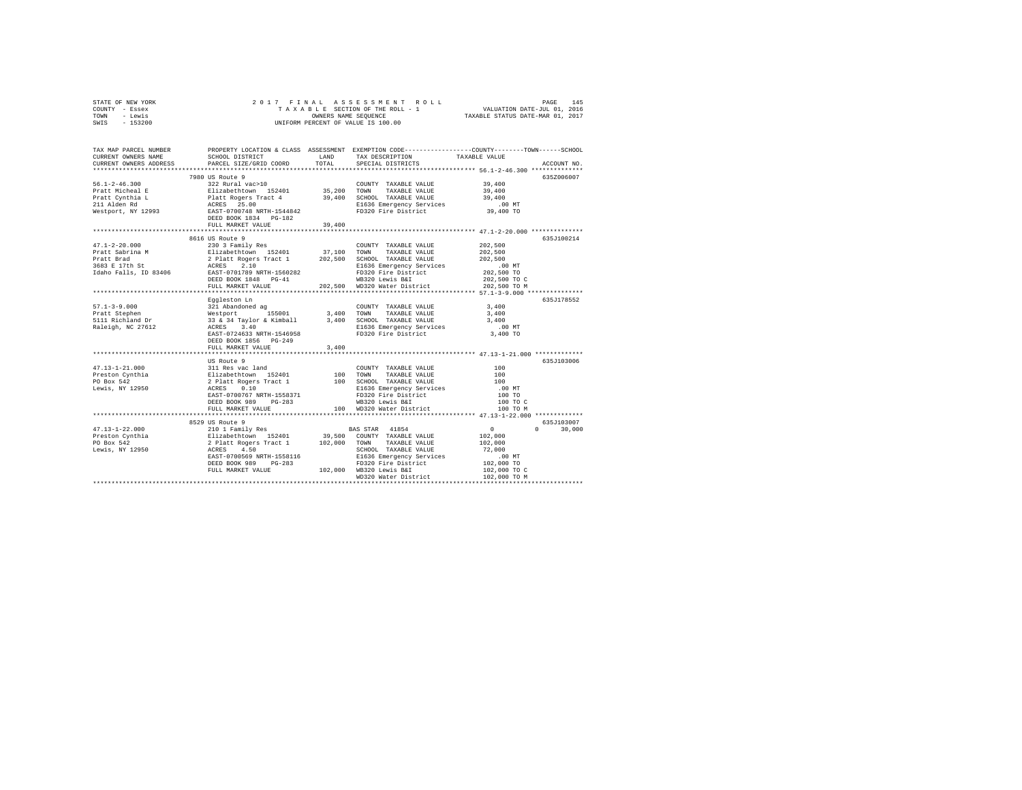| STATE OF NEW YORK | 2017 FINAL ASSESSMENT ROLL         | 145<br>PAGE                      |
|-------------------|------------------------------------|----------------------------------|
| COUNTY - Essex    | TAXABLE SECTION OF THE ROLL - 1    | VALUATION DATE-JUL 01, 2016      |
| TOWN<br>- Lewis   | OWNERS NAME SEOUENCE               | TAXABLE STATUS DATE-MAR 01, 2017 |
| $-153200$<br>SWIS | UNIFORM PERCENT OF VALUE IS 100.00 |                                  |

| TAX MAP PARCEL NUMBER<br>CURRENT OWNERS NAME<br>CURRENT OWNERS ADDRESS | SCHOOL DISTRICT<br><b>LAND</b><br>PARCEL SIZE/GRID COORD | TOTAL    | PROPERTY LOCATION & CLASS ASSESSMENT EXEMPTION CODE---------------COUNTY-------TOWN-----SCHOOL<br>TAX DESCRIPTION<br>SPECIAL DISTRICTS | TAXABLE VALUE                                             | ACCOUNT NO.        |
|------------------------------------------------------------------------|----------------------------------------------------------|----------|----------------------------------------------------------------------------------------------------------------------------------------|-----------------------------------------------------------|--------------------|
|                                                                        |                                                          |          |                                                                                                                                        |                                                           |                    |
|                                                                        | 7980 US Route 9                                          |          |                                                                                                                                        |                                                           | 635Z006007         |
|                                                                        |                                                          |          |                                                                                                                                        |                                                           |                    |
|                                                                        |                                                          |          |                                                                                                                                        |                                                           |                    |
|                                                                        |                                                          |          |                                                                                                                                        |                                                           |                    |
|                                                                        |                                                          |          |                                                                                                                                        |                                                           |                    |
|                                                                        |                                                          |          |                                                                                                                                        |                                                           |                    |
|                                                                        |                                                          |          |                                                                                                                                        |                                                           |                    |
|                                                                        | FULL MARKET VALUE                                        | 39,400   |                                                                                                                                        |                                                           |                    |
|                                                                        | 8616 US Route 9                                          |          |                                                                                                                                        |                                                           | 635.T100214        |
|                                                                        |                                                          |          |                                                                                                                                        | 202,500                                                   |                    |
|                                                                        |                                                          |          |                                                                                                                                        | 202,500                                                   |                    |
|                                                                        |                                                          |          |                                                                                                                                        |                                                           |                    |
|                                                                        |                                                          |          |                                                                                                                                        | 202,500<br>00 MT 202,500 TO<br>202,500 TO 202,500 TO C    |                    |
|                                                                        |                                                          |          |                                                                                                                                        |                                                           |                    |
|                                                                        |                                                          |          | FD320 Fire District<br>WB320 Lewis B&I                                                                                                 |                                                           |                    |
|                                                                        |                                                          |          | FULL MARKET VALUE 202,500 WD320 Water District 202,500 TO M                                                                            |                                                           |                    |
|                                                                        |                                                          |          |                                                                                                                                        |                                                           |                    |
|                                                                        | Eqqleston Ln                                             |          |                                                                                                                                        |                                                           | 635J178552         |
|                                                                        |                                                          |          | COUNTY TAXABLE VALUE                                                                                                                   | 3,400                                                     |                    |
|                                                                        |                                                          |          |                                                                                                                                        | 3,400                                                     |                    |
|                                                                        |                                                          |          |                                                                                                                                        | 3,400                                                     |                    |
|                                                                        |                                                          |          |                                                                                                                                        |                                                           |                    |
|                                                                        | EAST-0724633 NRTH-1546958                                |          | E1636 Emergency Services .00 MT<br>FD320 Fire District 3,400 TO                                                                        |                                                           |                    |
|                                                                        | DEED BOOK 1856 PG-249                                    |          |                                                                                                                                        |                                                           |                    |
|                                                                        | FULL MARKET VALUE                                        | 3,400    |                                                                                                                                        |                                                           |                    |
|                                                                        |                                                          |          |                                                                                                                                        |                                                           |                    |
|                                                                        |                                                          |          |                                                                                                                                        |                                                           | 635J103006         |
|                                                                        |                                                          |          |                                                                                                                                        | 100                                                       |                    |
|                                                                        |                                                          |          |                                                                                                                                        | 100                                                       |                    |
|                                                                        |                                                          |          |                                                                                                                                        | 100                                                       |                    |
|                                                                        |                                                          |          |                                                                                                                                        | .00MT                                                     |                    |
|                                                                        | EAST-0700767 NRTH-1558371                                |          |                                                                                                                                        | 100 TO                                                    |                    |
|                                                                        | DEED BOOK 989                                            | $PG-283$ |                                                                                                                                        | 100 TO C                                                  |                    |
|                                                                        | FULL MARKET VALUE                                        |          | 100 WD320 Water District                                                                                                               | 100 TO M                                                  |                    |
|                                                                        | ************************                                 |          |                                                                                                                                        |                                                           |                    |
|                                                                        | 8529 US Route 9                                          |          |                                                                                                                                        |                                                           | 635J103007         |
|                                                                        |                                                          |          |                                                                                                                                        | $\begin{smallmatrix}&&0\\&&0\\102\,,000\end{smallmatrix}$ | 30,000<br>$\Omega$ |
|                                                                        |                                                          |          |                                                                                                                                        |                                                           |                    |
|                                                                        |                                                          |          |                                                                                                                                        | 102,000                                                   |                    |
|                                                                        |                                                          |          |                                                                                                                                        | 72,000                                                    |                    |
|                                                                        |                                                          |          |                                                                                                                                        |                                                           |                    |
|                                                                        |                                                          |          |                                                                                                                                        |                                                           |                    |
|                                                                        |                                                          |          |                                                                                                                                        | 102,000 TO C<br>102,000 TO M                              |                    |
|                                                                        |                                                          |          | WD320 Water District                                                                                                                   |                                                           |                    |
|                                                                        |                                                          |          |                                                                                                                                        |                                                           |                    |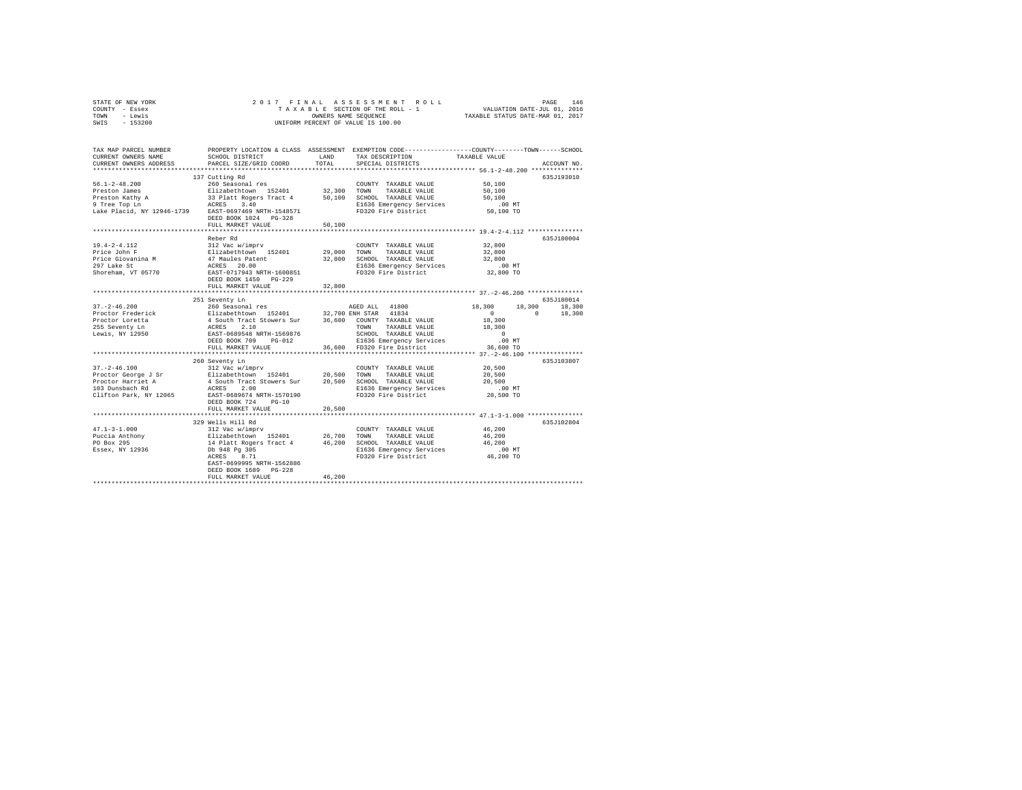| STATE OF NEW YORK | 2017 FINAL ASSESSMENT ROLL         | 146<br>PAGE                      |
|-------------------|------------------------------------|----------------------------------|
| COUNTY - Essex    | TAXABLE SECTION OF THE ROLL - 1    | VALUATION DATE-JUL 01, 2016      |
| TOWN<br>- Lewis   | OWNERS NAME SEOUENCE               | TAXABLE STATUS DATE-MAR 01, 2017 |
| $-153200$<br>SWIS | UNIFORM PERCENT OF VALUE IS 100.00 |                                  |

| TAX MAP PARCEL NUMBER<br>CURRENT OWNERS NAME<br>CURRENT OWNERS ADDRESS                                                         | SCHOOL DISTRICT<br>PARCEL SIZE/GRID COORD                                                                                                                                                                                                                                                                                                                                                                                                                   | LAND<br>TOTAL | PROPERTY LOCATION & CLASS ASSESSMENT EXEMPTION CODE---------------COUNTY-------TOWN-----SCHOOL<br>TAX DESCRIPTION<br>SPECIAL DISTRICTS | TAXABLE VALUE                          | ACCOUNT NO. |
|--------------------------------------------------------------------------------------------------------------------------------|-------------------------------------------------------------------------------------------------------------------------------------------------------------------------------------------------------------------------------------------------------------------------------------------------------------------------------------------------------------------------------------------------------------------------------------------------------------|---------------|----------------------------------------------------------------------------------------------------------------------------------------|----------------------------------------|-------------|
|                                                                                                                                | *****************************                                                                                                                                                                                                                                                                                                                                                                                                                               |               |                                                                                                                                        |                                        |             |
|                                                                                                                                | 137 Cutting Rd                                                                                                                                                                                                                                                                                                                                                                                                                                              |               |                                                                                                                                        |                                        | 635J193010  |
| $56.1 - 2 - 48.200$                                                                                                            | 260 Seasonal res                                                                                                                                                                                                                                                                                                                                                                                                                                            |               | COUNTY TAXABLE VALUE                                                                                                                   | 50,100                                 |             |
| Preston James                                                                                                                  | Elizabethtown 152401 32,300<br>33 Platt Rogers Tract 4 50,100<br>ACRES 3.40                                                                                                                                                                                                                                                                                                                                                                                 |               | TOWN<br>TAXABLE VALUE                                                                                                                  | 50,100                                 |             |
| Preston Kathy A                                                                                                                |                                                                                                                                                                                                                                                                                                                                                                                                                                                             |               | SCHOOL TAXABLE VALUE                                                                                                                   | 50,100                                 |             |
| 9 Tree Top Ln                                                                                                                  |                                                                                                                                                                                                                                                                                                                                                                                                                                                             |               | E1636 Emergency Services                                                                                                               | $.00$ MT                               |             |
| Lake Placid, NY 12946-1739 EAST-0697469 NRTH-1548571                                                                           | DEED BOOK 1024 PG-328                                                                                                                                                                                                                                                                                                                                                                                                                                       |               | FD320 Fire District                                                                                                                    | 50,100 TO                              |             |
|                                                                                                                                | FULL MARKET VALUE                                                                                                                                                                                                                                                                                                                                                                                                                                           | 50,100        |                                                                                                                                        |                                        |             |
|                                                                                                                                |                                                                                                                                                                                                                                                                                                                                                                                                                                                             |               |                                                                                                                                        |                                        | 635.T180004 |
|                                                                                                                                | Reber Rd                                                                                                                                                                                                                                                                                                                                                                                                                                                    |               |                                                                                                                                        |                                        |             |
| $19.4 - 2 - 4.112$                                                                                                             | 312 Vac w/imprv<br>Elizabethtown 152401                                                                                                                                                                                                                                                                                                                                                                                                                     |               | COUNTY TAXABLE VALUE                                                                                                                   | 32,800                                 |             |
| Price John F                                                                                                                   |                                                                                                                                                                                                                                                                                                                                                                                                                                                             | 29,000 TOWN   | TAXABLE VALUE                                                                                                                          | 32,800                                 |             |
|                                                                                                                                |                                                                                                                                                                                                                                                                                                                                                                                                                                                             | 32,800        | SCHOOL TAXABLE VALUE                                                                                                                   | 32,800                                 |             |
|                                                                                                                                |                                                                                                                                                                                                                                                                                                                                                                                                                                                             |               | E1636 Emergency Services                                                                                                               | .00 MT                                 |             |
| Price Giovanina M<br>Price Giovanina M<br>297 Lake St<br>Shoreham, VT 05770<br>Shoreham, VT 05770<br>EAST-0717943 NRTH-1600851 |                                                                                                                                                                                                                                                                                                                                                                                                                                                             |               | FD320 Fire District                                                                                                                    | 32,800 TO                              |             |
|                                                                                                                                | DEED BOOK 1450 PG-229                                                                                                                                                                                                                                                                                                                                                                                                                                       |               |                                                                                                                                        |                                        |             |
|                                                                                                                                | FULL MARKET VALUE                                                                                                                                                                                                                                                                                                                                                                                                                                           | 32,800        |                                                                                                                                        |                                        |             |
|                                                                                                                                |                                                                                                                                                                                                                                                                                                                                                                                                                                                             |               |                                                                                                                                        |                                        |             |
|                                                                                                                                | 251 Seventy Ln                                                                                                                                                                                                                                                                                                                                                                                                                                              |               |                                                                                                                                        |                                        | 635J180014  |
| $37. - 2 - 46.200$                                                                                                             | 260 Seasonal res                                                                                                                                                                                                                                                                                                                                                                                                                                            |               | AGED ALL 41800                                                                                                                         | 18,300<br>18,300                       | 18,300      |
| Proctor Frederick<br>Proctor Loretta                                                                                           | $\begin{tabular}{lcccc} Elizabeth {\footnotesize{Cown}} & 11 zabeth {\footnotesize{100}} & 152401 & 32,700 {\footnotesize{ ENH} \mbox{ STAR}} & 41834 \\ 4 {\footnotesize{ South Tract}} & Stowers {\footnotesize{Sur}} & 36,600 {\footnotesize{COWN}} \mbox{ TAXABLE VALUE} \\ ACES & 2,10 & {\footnotesize{TONN}} \mbox{ TAXABLEE VALUE} \\ EAST-0689548 {\footnotesize{ NRTH-1569876}} & {\footnotesize{SCHODL} \mbox{ TAXABLEE VALUE} \\ \end{tabular}$ |               |                                                                                                                                        | $\Omega$<br>$\circ$                    | 18,300      |
|                                                                                                                                |                                                                                                                                                                                                                                                                                                                                                                                                                                                             |               |                                                                                                                                        | 18,300                                 |             |
| 255 Seventy Ln<br>Lewis, NY 12950                                                                                              |                                                                                                                                                                                                                                                                                                                                                                                                                                                             |               |                                                                                                                                        | 18,300                                 |             |
|                                                                                                                                |                                                                                                                                                                                                                                                                                                                                                                                                                                                             |               | SCHOOL TAXABLE VALUE                                                                                                                   | $\sim$ 0                               |             |
|                                                                                                                                | DEED BOOK 709<br>$PG-012$                                                                                                                                                                                                                                                                                                                                                                                                                                   |               | E1636 Emergency Services                                                                                                               | $.00$ MT                               |             |
|                                                                                                                                | FULL MARKET VALUE                                                                                                                                                                                                                                                                                                                                                                                                                                           |               | 36,600 FD320 Fire District                                                                                                             | 36,600 TO                              |             |
|                                                                                                                                | **************************                                                                                                                                                                                                                                                                                                                                                                                                                                  |               |                                                                                                                                        |                                        |             |
|                                                                                                                                | 260 Seventy Ln                                                                                                                                                                                                                                                                                                                                                                                                                                              |               |                                                                                                                                        |                                        | 635J103807  |
| $37. - 2 - 46.100$                                                                                                             | 312 Vac w/imprv                                                                                                                                                                                                                                                                                                                                                                                                                                             |               | COUNTY TAXABLE VALUE                                                                                                                   | 20,500                                 |             |
| Proctor George J Sr Elizabethtown 152401 20,500                                                                                |                                                                                                                                                                                                                                                                                                                                                                                                                                                             |               | TOWN<br>TAXABLE VALUE                                                                                                                  | 20,500                                 |             |
| Proctor Harriet A                                                                                                              |                                                                                                                                                                                                                                                                                                                                                                                                                                                             |               | 20,500 SCHOOL TAXABLE VALUE                                                                                                            | 20,500                                 |             |
| 103 Dunsbach Rd                                                                                                                | 4 South Tract Stowers Sur<br>ACRES 2.00<br>EAST-0689674 NRTH-1570190                                                                                                                                                                                                                                                                                                                                                                                        |               | E1636 Emergency Services                                                                                                               | .00MT                                  |             |
| Clifton Park, NY 12065                                                                                                         |                                                                                                                                                                                                                                                                                                                                                                                                                                                             |               | FD320 Fire District                                                                                                                    | 20,500 TO                              |             |
|                                                                                                                                | DEED BOOK 724<br>$PG-10$                                                                                                                                                                                                                                                                                                                                                                                                                                    |               |                                                                                                                                        |                                        |             |
|                                                                                                                                | FULL MARKET VALUE                                                                                                                                                                                                                                                                                                                                                                                                                                           | 20,500        |                                                                                                                                        |                                        |             |
|                                                                                                                                | *********************                                                                                                                                                                                                                                                                                                                                                                                                                                       |               |                                                                                                                                        | ********** 47.1-3-1.000 ************** |             |
|                                                                                                                                | 329 Wells Hill Rd                                                                                                                                                                                                                                                                                                                                                                                                                                           |               |                                                                                                                                        |                                        | 635J102804  |
| $47.1 - 3 - 1.000$                                                                                                             | 312 Vac w/imprv                                                                                                                                                                                                                                                                                                                                                                                                                                             |               | COUNTY TAXABLE VALUE                                                                                                                   | 46,200                                 |             |
| Puccia Anthony                                                                                                                 |                                                                                                                                                                                                                                                                                                                                                                                                                                                             |               | TOWN<br>TAXABLE VALUE                                                                                                                  | 46,200                                 |             |
| PO Box 295                                                                                                                     |                                                                                                                                                                                                                                                                                                                                                                                                                                                             |               | SCHOOL TAXABLE VALUE                                                                                                                   | 46,200                                 |             |
| Essex, NY 12936                                                                                                                | 312 Vac w/imprv<br>Elizabethtown 152401 26,700<br>14 Platt Rogers Tract 4 46,200<br>Db 948 Pg 305<br>2                                                                                                                                                                                                                                                                                                                                                      |               | E1636 Emergency Services                                                                                                               | $.00$ MT                               |             |
|                                                                                                                                | ACRES<br>8.71                                                                                                                                                                                                                                                                                                                                                                                                                                               |               | FD320 Fire District 46,200 TO                                                                                                          |                                        |             |
|                                                                                                                                | EAST-0699995 NRTH-1562886                                                                                                                                                                                                                                                                                                                                                                                                                                   |               |                                                                                                                                        |                                        |             |
|                                                                                                                                | DEED BOOK 1689 PG-228                                                                                                                                                                                                                                                                                                                                                                                                                                       |               |                                                                                                                                        |                                        |             |
|                                                                                                                                | FULL MARKET VALUE                                                                                                                                                                                                                                                                                                                                                                                                                                           | 46,200        |                                                                                                                                        |                                        |             |
|                                                                                                                                |                                                                                                                                                                                                                                                                                                                                                                                                                                                             |               |                                                                                                                                        |                                        |             |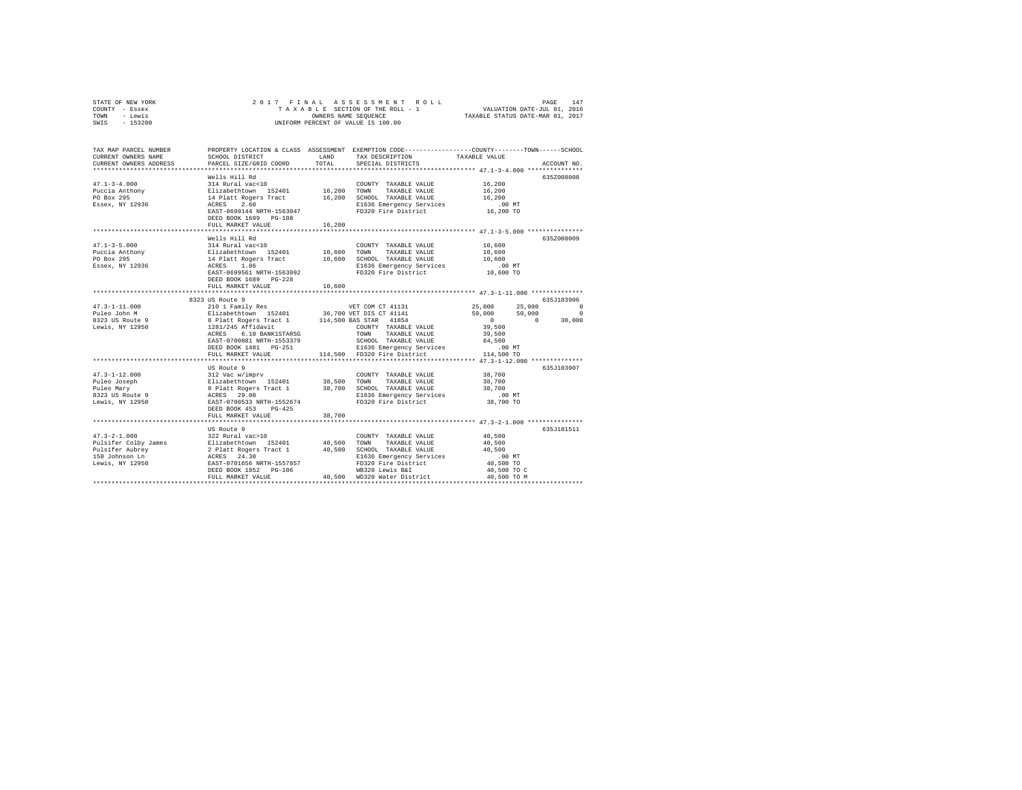| STATE OF NEW YORK | 2017 FINAL ASSESSMENT ROLL         | 147<br>PAGE                      |
|-------------------|------------------------------------|----------------------------------|
| COUNTY - Essex    | TAXABLE SECTION OF THE ROLL - 1    | VALUATION DATE-JUL 01, 2016      |
| TOWN<br>- Lewis   | OWNERS NAME SEOUENCE               | TAXABLE STATUS DATE-MAR 01, 2017 |
| $-153200$<br>SWIS | UNIFORM PERCENT OF VALUE IS 100.00 |                                  |

| TAX MAP PARCEL NUMBER<br>CURRENT OWNERS NAME<br>CURRENT OWNERS ADDRESS                                                                                                                                                                                                                                                                                                                                             | SCHOOL DISTRICT<br>PARCEL SIZE/GRID COORD                                                                                                                              | LAND<br>TOTAL | PROPERTY LOCATION & CLASS ASSESSMENT EXEMPTION CODE---------------COUNTY-------TOWN-----SCHOOL<br>TAX DESCRIPTION<br>SPECIAL DISTRICTS | TAXABLE VALUE                                                 | ACCOUNT NO. |
|--------------------------------------------------------------------------------------------------------------------------------------------------------------------------------------------------------------------------------------------------------------------------------------------------------------------------------------------------------------------------------------------------------------------|------------------------------------------------------------------------------------------------------------------------------------------------------------------------|---------------|----------------------------------------------------------------------------------------------------------------------------------------|---------------------------------------------------------------|-------------|
|                                                                                                                                                                                                                                                                                                                                                                                                                    |                                                                                                                                                                        |               |                                                                                                                                        |                                                               |             |
|                                                                                                                                                                                                                                                                                                                                                                                                                    | Wells Hill Rd                                                                                                                                                          |               |                                                                                                                                        |                                                               | 635Z008008  |
| $47.1 - 3 - 4.000$                                                                                                                                                                                                                                                                                                                                                                                                 | 314 Rural vac<10                                                                                                                                                       |               | COUNTY TAXABLE VALUE                                                                                                                   | 16,200                                                        |             |
| ${\small \begin{tabular}{lcccccc} \texttt{Puccia} & \texttt{Rathomy} & \texttt{E1izabethtown} & \texttt{152401} & \texttt{16,200} & \texttt{TOMN} \\ \texttt{PO Box 295} & & & & & 14 & \texttt{Platt Rogerm} & \texttt{16,200} & \texttt{SCHOVI} \\ \texttt{E58ex, NY 12936} & & & & & 16 & \texttt{SCEIO} & \texttt{SCEIO} \\ \texttt{E58ex, NY 12936} & & & & & & \texttt{ACRES} & \texttt{2.60} & \texttt{E16$ |                                                                                                                                                                        |               | TAXABLE VALUE                                                                                                                          | 16,200                                                        |             |
|                                                                                                                                                                                                                                                                                                                                                                                                                    |                                                                                                                                                                        |               | 16,200 SCHOOL TAXABLE VALUE                                                                                                            | 16,200                                                        |             |
|                                                                                                                                                                                                                                                                                                                                                                                                                    |                                                                                                                                                                        |               | E1636 Emergency Services .00 MT<br>FD320 Fire District  16,200 TO                                                                      |                                                               |             |
|                                                                                                                                                                                                                                                                                                                                                                                                                    | EAST-0699144 NRTH-1563047                                                                                                                                              |               |                                                                                                                                        |                                                               |             |
|                                                                                                                                                                                                                                                                                                                                                                                                                    | DEED BOOK 1699 PG-108                                                                                                                                                  |               |                                                                                                                                        |                                                               |             |
|                                                                                                                                                                                                                                                                                                                                                                                                                    | FULL MARKET VALUE                                                                                                                                                      | 16,200        |                                                                                                                                        |                                                               |             |
|                                                                                                                                                                                                                                                                                                                                                                                                                    |                                                                                                                                                                        |               |                                                                                                                                        |                                                               |             |
|                                                                                                                                                                                                                                                                                                                                                                                                                    | Wells Hill Rd                                                                                                                                                          |               |                                                                                                                                        |                                                               | 6357008009  |
| $47.1 - 3 - 5.000$                                                                                                                                                                                                                                                                                                                                                                                                 | 314 Rural vac<10                                                                                                                                                       |               | COUNTY TAXABLE VALUE                                                                                                                   | 10,600                                                        |             |
| Puccia Anthony                                                                                                                                                                                                                                                                                                                                                                                                     |                                                                                                                                                                        |               |                                                                                                                                        | 10,600                                                        |             |
| PO Box 295                                                                                                                                                                                                                                                                                                                                                                                                         | % = Ausar Valley = 10,600 = TOWN TAXABLE VALUE<br>14 Platt Rogers Tract = 10,600 = TOWN TAXABLE VALUE<br>14 Platt Rogers Tract = 10,600 = DIG36 Emergency Services     |               |                                                                                                                                        | 10,600<br>.00 MT                                              |             |
| Essex, NY 12936                                                                                                                                                                                                                                                                                                                                                                                                    |                                                                                                                                                                        |               | E1636 Emergency Services                                                                                                               |                                                               |             |
|                                                                                                                                                                                                                                                                                                                                                                                                                    | EAST-0699561 NRTH-1563092                                                                                                                                              |               | FD320 Fire District                                                                                                                    | 10,600 TO                                                     |             |
|                                                                                                                                                                                                                                                                                                                                                                                                                    | DEED BOOK 1689 PG-228                                                                                                                                                  |               |                                                                                                                                        |                                                               |             |
|                                                                                                                                                                                                                                                                                                                                                                                                                    | FULL MARKET VALUE                                                                                                                                                      | 10,600        |                                                                                                                                        |                                                               |             |
|                                                                                                                                                                                                                                                                                                                                                                                                                    |                                                                                                                                                                        |               |                                                                                                                                        |                                                               |             |
|                                                                                                                                                                                                                                                                                                                                                                                                                    | 8323 US Route 9                                                                                                                                                        |               |                                                                                                                                        |                                                               | 635J103906  |
|                                                                                                                                                                                                                                                                                                                                                                                                                    |                                                                                                                                                                        |               |                                                                                                                                        | 25,000<br>25,000                                              | $\Omega$    |
|                                                                                                                                                                                                                                                                                                                                                                                                                    |                                                                                                                                                                        |               |                                                                                                                                        | 50,000<br>50,000                                              | $\circ$     |
|                                                                                                                                                                                                                                                                                                                                                                                                                    |                                                                                                                                                                        |               |                                                                                                                                        | $\sim$ 0<br>$\Omega$                                          | 30,000      |
|                                                                                                                                                                                                                                                                                                                                                                                                                    |                                                                                                                                                                        |               | COUNTY TAXABLE VALUE                                                                                                                   | 39,500                                                        |             |
|                                                                                                                                                                                                                                                                                                                                                                                                                    | ACRES 6.10 BANK1STARSG                                                                                                                                                 |               | TOWN<br>TAXABLE VALUE                                                                                                                  | 39,500                                                        |             |
|                                                                                                                                                                                                                                                                                                                                                                                                                    | EAST-0700081 NRTH-1553379                                                                                                                                              |               | SCHOOL TAXABLE VALUE 84,500<br>E1636 Emergency Services .00 MT                                                                         |                                                               |             |
|                                                                                                                                                                                                                                                                                                                                                                                                                    | DEED BOOK 1481 PG-251                                                                                                                                                  |               |                                                                                                                                        |                                                               |             |
|                                                                                                                                                                                                                                                                                                                                                                                                                    | FULL MARKET VALUE                                                                                                                                                      |               | 114.500 FD320 Fire District                                                                                                            | 114,500 TO                                                    |             |
|                                                                                                                                                                                                                                                                                                                                                                                                                    | *************************                                                                                                                                              |               |                                                                                                                                        |                                                               |             |
|                                                                                                                                                                                                                                                                                                                                                                                                                    | US Route 9                                                                                                                                                             |               |                                                                                                                                        |                                                               | 635J103907  |
| $47.3 - 1 - 12.000$                                                                                                                                                                                                                                                                                                                                                                                                | 312 Vac w/imprv                                                                                                                                                        |               | COUNTY TAXABLE VALUE 38,700                                                                                                            |                                                               |             |
| Puleo Joseph                                                                                                                                                                                                                                                                                                                                                                                                       |                                                                                                                                                                        |               |                                                                                                                                        |                                                               |             |
| Puleo Mary                                                                                                                                                                                                                                                                                                                                                                                                         | >11/12.00 M/2==" 152401 38,500 TOWN TAXABLE VALUE 38,700<br>8 Platt Rogers Tract 1 38,700 SCHOOL TAXABLE VALUE 38,700<br>28,700 RCHERS 29.00 SLEG36 Emergency Services |               |                                                                                                                                        |                                                               |             |
| 8323 US Route 9                                                                                                                                                                                                                                                                                                                                                                                                    | EAST-0700533 NRTH-1552674                                                                                                                                              |               |                                                                                                                                        | $.00$ MT                                                      |             |
| Lewis, NY 12950                                                                                                                                                                                                                                                                                                                                                                                                    |                                                                                                                                                                        |               | FD320 Fire District                                                                                                                    | 38,700 TO                                                     |             |
|                                                                                                                                                                                                                                                                                                                                                                                                                    | DEED BOOK 453 PG-425                                                                                                                                                   |               |                                                                                                                                        |                                                               |             |
|                                                                                                                                                                                                                                                                                                                                                                                                                    | FULL MARKET VALUE                                                                                                                                                      | 38,700        |                                                                                                                                        | ********************************** 47.3-2-1.000 ************* |             |
|                                                                                                                                                                                                                                                                                                                                                                                                                    |                                                                                                                                                                        |               |                                                                                                                                        |                                                               |             |
|                                                                                                                                                                                                                                                                                                                                                                                                                    | US Route 9                                                                                                                                                             |               |                                                                                                                                        |                                                               | 635J101511  |
| $47.3 - 2 - 1.000$                                                                                                                                                                                                                                                                                                                                                                                                 | 322 Rural vac>10                                                                                                                                                       |               | COUNTY TAXABLE VALUE                                                                                                                   | 40,500                                                        |             |
|                                                                                                                                                                                                                                                                                                                                                                                                                    |                                                                                                                                                                        |               |                                                                                                                                        | 40,500                                                        |             |
|                                                                                                                                                                                                                                                                                                                                                                                                                    |                                                                                                                                                                        |               |                                                                                                                                        | 40,500                                                        |             |
|                                                                                                                                                                                                                                                                                                                                                                                                                    |                                                                                                                                                                        |               | E1636 Emergency Services                                                                                                               | $.00$ MT                                                      |             |
|                                                                                                                                                                                                                                                                                                                                                                                                                    |                                                                                                                                                                        |               | FD320 Fire District                                                                                                                    | 40,500 TO                                                     |             |
|                                                                                                                                                                                                                                                                                                                                                                                                                    | DEED BOOK 1852 PG-106                                                                                                                                                  |               | WB320 Lewis B&I<br>40,500 WD320 Water District                                                                                         | 40,500 TO C                                                   |             |
|                                                                                                                                                                                                                                                                                                                                                                                                                    | FULL MARKET VALUE                                                                                                                                                      |               |                                                                                                                                        | 40,500 TO M                                                   |             |
|                                                                                                                                                                                                                                                                                                                                                                                                                    |                                                                                                                                                                        |               |                                                                                                                                        |                                                               |             |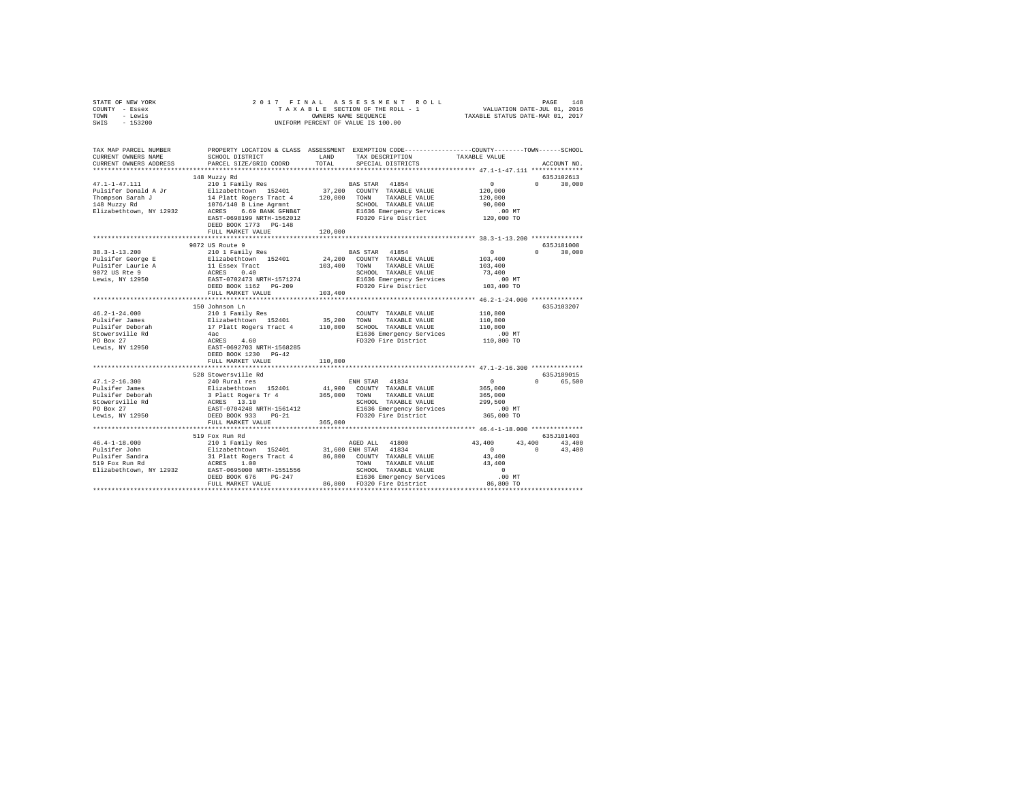| STATE OF NEW YORK<br>COUNTY - Essex<br>TOWN - Lewis<br>SWIS - 153200 |                                                                                                                                                                                                                                                                                                                                                                                                                                         |         |                                                                                                                                |                                         |                   |
|----------------------------------------------------------------------|-----------------------------------------------------------------------------------------------------------------------------------------------------------------------------------------------------------------------------------------------------------------------------------------------------------------------------------------------------------------------------------------------------------------------------------------|---------|--------------------------------------------------------------------------------------------------------------------------------|-----------------------------------------|-------------------|
| CURRENT OWNERS NAME                                                  | TAX MAP PARCEL NUMBER PROPERTY LOCATION & CLASS ASSESSMENT EXEMPTION CODE--------------COUNTY-------TOWN-----SCHOOL                                                                                                                                                                                                                                                                                                                     |         | SCHOOL DISTRICT LAND TAX DESCRIPTION TAXABLE VALUE                                                                             |                                         |                   |
| CURRENT OWNERS ADDRESS                                               | PARCEL SIZE/GRID COORD                                                                                                                                                                                                                                                                                                                                                                                                                  | TOTAL   | SPECIAL DISTRICTS                                                                                                              |                                         | ACCOUNT NO.       |
|                                                                      |                                                                                                                                                                                                                                                                                                                                                                                                                                         |         |                                                                                                                                |                                         |                   |
|                                                                      | 148 Muzzy Rd                                                                                                                                                                                                                                                                                                                                                                                                                            |         |                                                                                                                                |                                         | 635J102613        |
|                                                                      | 210 1 Family Res                                                                                                                                                                                                                                                                                                                                                                                                                        |         | BAS STAR 41854                                                                                                                 | $\sim$ 0                                | $0 \t 30.000$     |
|                                                                      |                                                                                                                                                                                                                                                                                                                                                                                                                                         |         |                                                                                                                                |                                         |                   |
|                                                                      |                                                                                                                                                                                                                                                                                                                                                                                                                                         |         |                                                                                                                                |                                         |                   |
|                                                                      |                                                                                                                                                                                                                                                                                                                                                                                                                                         |         |                                                                                                                                |                                         |                   |
|                                                                      |                                                                                                                                                                                                                                                                                                                                                                                                                                         |         |                                                                                                                                |                                         |                   |
|                                                                      |                                                                                                                                                                                                                                                                                                                                                                                                                                         |         |                                                                                                                                |                                         |                   |
|                                                                      | DEED BOOK 1773 PG-148<br>FULL MARKET VALUE                                                                                                                                                                                                                                                                                                                                                                                              | 120,000 |                                                                                                                                |                                         |                   |
|                                                                      |                                                                                                                                                                                                                                                                                                                                                                                                                                         |         |                                                                                                                                |                                         |                   |
|                                                                      | 9072 US Route 9                                                                                                                                                                                                                                                                                                                                                                                                                         |         |                                                                                                                                |                                         | 635J181008        |
| $38.3 - 1 - 13.200$                                                  | 210 1 Family Res                                                                                                                                                                                                                                                                                                                                                                                                                        |         | BAS STAR 41854                                                                                                                 | $\sim$ 0 $\sim$                         | $0 \t 30.000$     |
|                                                                      |                                                                                                                                                                                                                                                                                                                                                                                                                                         |         |                                                                                                                                | $103,400$<br>$103,400$                  |                   |
|                                                                      |                                                                                                                                                                                                                                                                                                                                                                                                                                         |         |                                                                                                                                |                                         |                   |
|                                                                      |                                                                                                                                                                                                                                                                                                                                                                                                                                         |         |                                                                                                                                |                                         |                   |
|                                                                      |                                                                                                                                                                                                                                                                                                                                                                                                                                         |         |                                                                                                                                |                                         |                   |
|                                                                      |                                                                                                                                                                                                                                                                                                                                                                                                                                         |         |                                                                                                                                |                                         |                   |
|                                                                      |                                                                                                                                                                                                                                                                                                                                                                                                                                         |         |                                                                                                                                |                                         |                   |
|                                                                      |                                                                                                                                                                                                                                                                                                                                                                                                                                         |         |                                                                                                                                |                                         | 635J103207        |
|                                                                      |                                                                                                                                                                                                                                                                                                                                                                                                                                         |         |                                                                                                                                |                                         |                   |
|                                                                      |                                                                                                                                                                                                                                                                                                                                                                                                                                         |         |                                                                                                                                |                                         |                   |
|                                                                      |                                                                                                                                                                                                                                                                                                                                                                                                                                         |         |                                                                                                                                |                                         |                   |
|                                                                      |                                                                                                                                                                                                                                                                                                                                                                                                                                         |         |                                                                                                                                |                                         |                   |
|                                                                      |                                                                                                                                                                                                                                                                                                                                                                                                                                         |         |                                                                                                                                |                                         |                   |
|                                                                      | $\begin{tabular}{l c c c c c} \multicolumn{3}{c c c c} \multicolumn{3}{c c c} \multicolumn{3}{c c c} \multicolumn{3}{c c c} \multicolumn{3}{c c c} \multicolumn{3}{c c c} \multicolumn{3}{c c c} \multicolumn{3}{c c c} \multicolumn{3}{c c c} \multicolumn{3}{c c c} \multicolumn{3}{c c c} \multicolumn{3}{c c c} \multicolumn{3}{c c c} \multicolumn{3}{c c c} \multicolumn{3}{c c c} \multicolumn{$                                 |         |                                                                                                                                |                                         |                   |
|                                                                      | FULL MARKET VALUE                                                                                                                                                                                                                                                                                                                                                                                                                       | 110,800 |                                                                                                                                |                                         |                   |
|                                                                      |                                                                                                                                                                                                                                                                                                                                                                                                                                         |         |                                                                                                                                |                                         |                   |
|                                                                      | 528 Stowersville Rd                                                                                                                                                                                                                                                                                                                                                                                                                     |         |                                                                                                                                |                                         | 635J189015        |
|                                                                      | $\begin{tabular}{l c c c c c} \multicolumn{3}{c}{\textbf{47.1-2-16.300}} & $\textbf{5248} $\texttt{X} \texttt{W} \texttt{R} \texttt{H}$ & $\textbf{EMB} $\texttt{STAR}$ & $\textbf{41834}$ \\ \multicolumn{2}{c}{\textbf{Pulisifer Deboral}} & $\textbf{540} $\texttt{Run} \texttt{R}$ & $\textbf{EMB} $\texttt{STAR}$ & $\textbf{41,900} $\texttt{COUNT} $\texttt{T} \texttt{X} \texttt{A} \texttt{L} \texttt{U} \texttt{E}$ \\ \mult$ |         |                                                                                                                                | $\begin{array}{c}0\\365,000\end{array}$ | 0 65,500          |
|                                                                      |                                                                                                                                                                                                                                                                                                                                                                                                                                         |         |                                                                                                                                |                                         |                   |
|                                                                      |                                                                                                                                                                                                                                                                                                                                                                                                                                         |         |                                                                                                                                |                                         |                   |
|                                                                      |                                                                                                                                                                                                                                                                                                                                                                                                                                         |         | TOWN TAXABLE VALUE 365,000<br>SCHOOL TAXABLE VALUE 299,500<br>E1636 Emergency Services 00 MT<br>FD320 Fire District 365,000 TO |                                         |                   |
|                                                                      |                                                                                                                                                                                                                                                                                                                                                                                                                                         |         |                                                                                                                                |                                         |                   |
|                                                                      | FULL MARKET VALUE                                                                                                                                                                                                                                                                                                                                                                                                                       | 365,000 |                                                                                                                                |                                         |                   |
|                                                                      |                                                                                                                                                                                                                                                                                                                                                                                                                                         |         |                                                                                                                                |                                         |                   |
|                                                                      | 519 Fox Run Rd                                                                                                                                                                                                                                                                                                                                                                                                                          |         |                                                                                                                                |                                         | 635J101403        |
|                                                                      |                                                                                                                                                                                                                                                                                                                                                                                                                                         |         |                                                                                                                                |                                         | $43,400$ $43,400$ |
| 46.4-1-18.000<br>Pulsifer John                                       |                                                                                                                                                                                                                                                                                                                                                                                                                                         |         |                                                                                                                                | $\sim$ 0                                | 43,400            |
|                                                                      |                                                                                                                                                                                                                                                                                                                                                                                                                                         |         |                                                                                                                                |                                         |                   |
|                                                                      |                                                                                                                                                                                                                                                                                                                                                                                                                                         |         |                                                                                                                                |                                         |                   |
|                                                                      |                                                                                                                                                                                                                                                                                                                                                                                                                                         |         |                                                                                                                                |                                         |                   |
|                                                                      |                                                                                                                                                                                                                                                                                                                                                                                                                                         |         |                                                                                                                                |                                         |                   |
|                                                                      |                                                                                                                                                                                                                                                                                                                                                                                                                                         |         |                                                                                                                                |                                         |                   |
|                                                                      |                                                                                                                                                                                                                                                                                                                                                                                                                                         |         |                                                                                                                                |                                         |                   |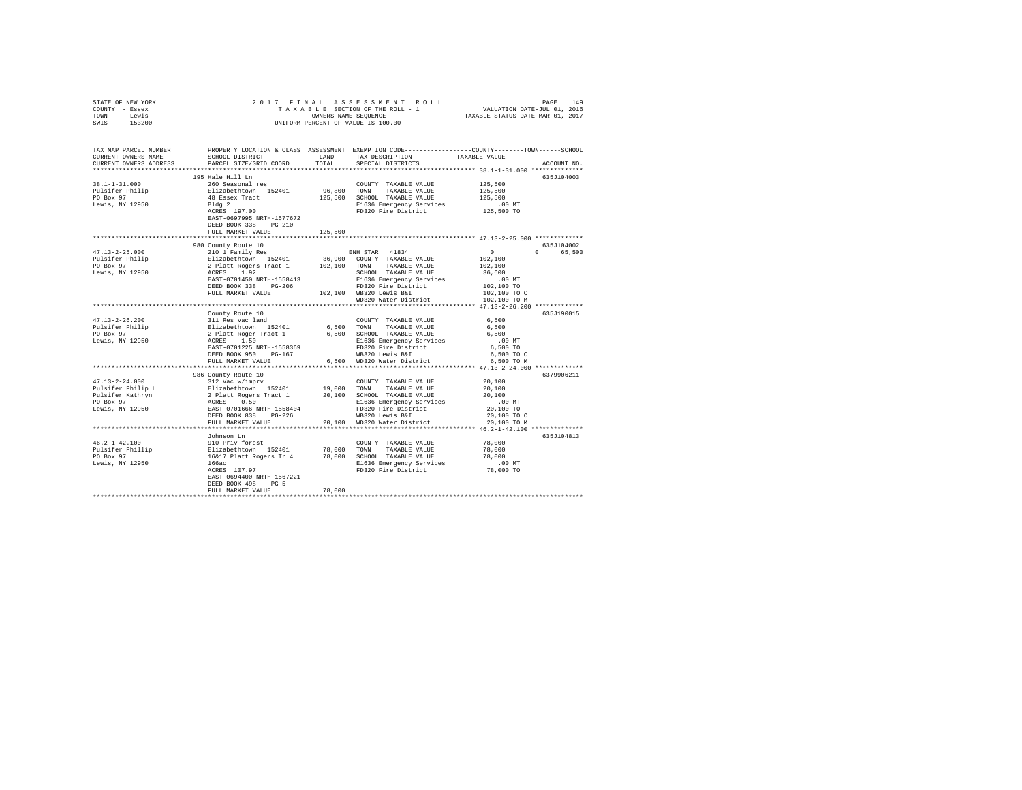| STATE OF NEW YORK                                                                                                                                                                                                                                                                                                                                                                                                              |                                        |            |                                                                                                                                                                                                                                                    |                                                          |             |
|--------------------------------------------------------------------------------------------------------------------------------------------------------------------------------------------------------------------------------------------------------------------------------------------------------------------------------------------------------------------------------------------------------------------------------|----------------------------------------|------------|----------------------------------------------------------------------------------------------------------------------------------------------------------------------------------------------------------------------------------------------------|----------------------------------------------------------|-------------|
| COUNTY - Essex                                                                                                                                                                                                                                                                                                                                                                                                                 |                                        |            |                                                                                                                                                                                                                                                    |                                                          |             |
| TOWN - Lewis                                                                                                                                                                                                                                                                                                                                                                                                                   |                                        |            |                                                                                                                                                                                                                                                    |                                                          |             |
| SWIS - 153200                                                                                                                                                                                                                                                                                                                                                                                                                  |                                        |            |                                                                                                                                                                                                                                                    |                                                          |             |
|                                                                                                                                                                                                                                                                                                                                                                                                                                |                                        |            |                                                                                                                                                                                                                                                    |                                                          |             |
|                                                                                                                                                                                                                                                                                                                                                                                                                                |                                        |            |                                                                                                                                                                                                                                                    |                                                          |             |
|                                                                                                                                                                                                                                                                                                                                                                                                                                |                                        |            |                                                                                                                                                                                                                                                    |                                                          |             |
| TAX MAP PARCEL NUMBER PROPERTY LOCATION & CLASS ASSESSMENT EXEMPTION CODE--------------COUNTY-------TOWN------SCHOOL                                                                                                                                                                                                                                                                                                           |                                        |            |                                                                                                                                                                                                                                                    |                                                          |             |
| CURRENT OWNERS NAME                                                                                                                                                                                                                                                                                                                                                                                                            | SCHOOL DISTRICT LAND                   |            | TAX DESCRIPTION                                                                                                                                                                                                                                    | TAXABLE VALUE                                            |             |
| CURRENT OWNERS ADDRESS                                                                                                                                                                                                                                                                                                                                                                                                         | PARCEL SIZE/GRID COORD                 | TOTAL      | SPECIAL DISTRICTS                                                                                                                                                                                                                                  |                                                          | ACCOUNT NO. |
|                                                                                                                                                                                                                                                                                                                                                                                                                                |                                        |            |                                                                                                                                                                                                                                                    |                                                          |             |
|                                                                                                                                                                                                                                                                                                                                                                                                                                |                                        |            | 260 Seasonal res<br>260 Seasonal res<br>261 Seasonal res<br>26,800 TOWN TAXABLE VALUE<br>26 Seasonal results<br>26,500 SCHOOL TAXABLE VALUE<br>2010 R1636 Processor<br>2010 R1636 Processor<br>2010 R1636 Processor<br>2010 R1636 Processor<br>201 |                                                          |             |
|                                                                                                                                                                                                                                                                                                                                                                                                                                |                                        |            |                                                                                                                                                                                                                                                    |                                                          | 635J104003  |
| $38.1 - 1 - 31.000$                                                                                                                                                                                                                                                                                                                                                                                                            |                                        |            |                                                                                                                                                                                                                                                    | 125,500                                                  |             |
|                                                                                                                                                                                                                                                                                                                                                                                                                                |                                        |            |                                                                                                                                                                                                                                                    | 125,500                                                  |             |
|                                                                                                                                                                                                                                                                                                                                                                                                                                |                                        |            |                                                                                                                                                                                                                                                    | 125,500                                                  |             |
| Pulsifer Philip<br>PO Box 97<br>Lewis, NY 12950                                                                                                                                                                                                                                                                                                                                                                                |                                        |            |                                                                                                                                                                                                                                                    |                                                          |             |
|                                                                                                                                                                                                                                                                                                                                                                                                                                | Bldg 2<br>ACRES 197.00                 |            | FD320 Fire District                                                                                                                                                                                                                                | 00 MT.<br>125,500 TO                                     |             |
|                                                                                                                                                                                                                                                                                                                                                                                                                                | EAST-0697995 NRTH-1577672              |            |                                                                                                                                                                                                                                                    |                                                          |             |
|                                                                                                                                                                                                                                                                                                                                                                                                                                | DEED BOOK 338 PG-210                   |            |                                                                                                                                                                                                                                                    |                                                          |             |
|                                                                                                                                                                                                                                                                                                                                                                                                                                | FULL MARKET VALUE                      | 125,500    |                                                                                                                                                                                                                                                    |                                                          |             |
|                                                                                                                                                                                                                                                                                                                                                                                                                                |                                        |            |                                                                                                                                                                                                                                                    |                                                          |             |
|                                                                                                                                                                                                                                                                                                                                                                                                                                | 980 County Route 10                    |            |                                                                                                                                                                                                                                                    |                                                          | 635J104002  |
|                                                                                                                                                                                                                                                                                                                                                                                                                                |                                        |            | 980 County Route 10<br>210 1 Family Res 2011 1 26,900 COUNTY TAXABLE VALUE 2<br>2 Platt Rogers Tract 1 202,100 COUNTY TAXABLE VALUE 2<br>2 Platt Rogers Tract 1 202,100 TOWN TAXABLE VALUE 2<br>RCRES 1.92<br>BERT-DY01450 RFT-1558413<br>         |                                                          |             |
| $47.13 - 2 - 25.000$                                                                                                                                                                                                                                                                                                                                                                                                           |                                        |            |                                                                                                                                                                                                                                                    | $\begin{smallmatrix}&&0\\&&2\\102&,100\end{smallmatrix}$ | 0 65,500    |
| Pulsifer Philip<br>PO Box 97                                                                                                                                                                                                                                                                                                                                                                                                   |                                        |            |                                                                                                                                                                                                                                                    |                                                          |             |
|                                                                                                                                                                                                                                                                                                                                                                                                                                |                                        |            |                                                                                                                                                                                                                                                    | 102,100                                                  |             |
| Lewis, NY 12950                                                                                                                                                                                                                                                                                                                                                                                                                |                                        |            |                                                                                                                                                                                                                                                    | 36,600                                                   |             |
|                                                                                                                                                                                                                                                                                                                                                                                                                                |                                        |            |                                                                                                                                                                                                                                                    | 00 MT.<br>102,100 TO<br>102,100 TO C                     |             |
|                                                                                                                                                                                                                                                                                                                                                                                                                                |                                        |            |                                                                                                                                                                                                                                                    |                                                          |             |
|                                                                                                                                                                                                                                                                                                                                                                                                                                | FULL MARKET VALUE                      |            | 102.100 WB320 Lewis B&I                                                                                                                                                                                                                            |                                                          |             |
|                                                                                                                                                                                                                                                                                                                                                                                                                                |                                        |            | WD320 Water District 102.100 TO M                                                                                                                                                                                                                  |                                                          |             |
|                                                                                                                                                                                                                                                                                                                                                                                                                                |                                        |            |                                                                                                                                                                                                                                                    |                                                          |             |
|                                                                                                                                                                                                                                                                                                                                                                                                                                |                                        |            |                                                                                                                                                                                                                                                    |                                                          | 635J190015  |
|                                                                                                                                                                                                                                                                                                                                                                                                                                |                                        |            |                                                                                                                                                                                                                                                    | 6,500                                                    |             |
|                                                                                                                                                                                                                                                                                                                                                                                                                                |                                        |            |                                                                                                                                                                                                                                                    | 6,500                                                    |             |
|                                                                                                                                                                                                                                                                                                                                                                                                                                |                                        |            |                                                                                                                                                                                                                                                    |                                                          |             |
|                                                                                                                                                                                                                                                                                                                                                                                                                                |                                        |            |                                                                                                                                                                                                                                                    | 6,500                                                    |             |
|                                                                                                                                                                                                                                                                                                                                                                                                                                |                                        |            |                                                                                                                                                                                                                                                    | $.00$ MT                                                 |             |
|                                                                                                                                                                                                                                                                                                                                                                                                                                |                                        |            |                                                                                                                                                                                                                                                    | 6,500 TO                                                 |             |
|                                                                                                                                                                                                                                                                                                                                                                                                                                |                                        |            |                                                                                                                                                                                                                                                    | 6.500 TO C                                               |             |
|                                                                                                                                                                                                                                                                                                                                                                                                                                |                                        |            |                                                                                                                                                                                                                                                    | 6,500 TO M                                               |             |
|                                                                                                                                                                                                                                                                                                                                                                                                                                |                                        |            |                                                                                                                                                                                                                                                    |                                                          |             |
|                                                                                                                                                                                                                                                                                                                                                                                                                                | 986 County Route 10<br>312 Vac w/imprv |            |                                                                                                                                                                                                                                                    |                                                          | 6379906211  |
| $47.13 - 2 - 24.000$                                                                                                                                                                                                                                                                                                                                                                                                           |                                        |            | COUNTY TAXABLE VALUE                                                                                                                                                                                                                               | 20.100                                                   |             |
| 9992/2000 10000 10000 10000 10000 10000 10000 10000 10000 10000 10000 10000 10000 10000 10000 10000 10000 1000<br>Pulsifer Philip L Pulsifer Sachron 20,000 10000 10000 10000 10000 10000 10000 10000 10000 10000 10000 10000 1                                                                                                                                                                                                |                                        |            |                                                                                                                                                                                                                                                    | 20,100                                                   |             |
|                                                                                                                                                                                                                                                                                                                                                                                                                                |                                        |            |                                                                                                                                                                                                                                                    | 20,100                                                   |             |
|                                                                                                                                                                                                                                                                                                                                                                                                                                |                                        |            |                                                                                                                                                                                                                                                    | .00 MT                                                   |             |
|                                                                                                                                                                                                                                                                                                                                                                                                                                |                                        |            |                                                                                                                                                                                                                                                    | 20,100 TO                                                |             |
|                                                                                                                                                                                                                                                                                                                                                                                                                                |                                        |            |                                                                                                                                                                                                                                                    |                                                          |             |
|                                                                                                                                                                                                                                                                                                                                                                                                                                |                                        |            | WB320 Lewis B&1 20,100 TO C<br>20,100 WD320 Water District 20,100 TO M                                                                                                                                                                             | 20,100 TO C                                              |             |
|                                                                                                                                                                                                                                                                                                                                                                                                                                | FULL MARKET VALUE                      |            |                                                                                                                                                                                                                                                    |                                                          |             |
|                                                                                                                                                                                                                                                                                                                                                                                                                                |                                        |            |                                                                                                                                                                                                                                                    |                                                          |             |
|                                                                                                                                                                                                                                                                                                                                                                                                                                | Johnson Ln                             |            |                                                                                                                                                                                                                                                    |                                                          | 635J104813  |
|                                                                                                                                                                                                                                                                                                                                                                                                                                |                                        |            |                                                                                                                                                                                                                                                    |                                                          |             |
|                                                                                                                                                                                                                                                                                                                                                                                                                                |                                        |            |                                                                                                                                                                                                                                                    |                                                          |             |
| $\begin{tabular}{lcccc} 46.2-1-42.100 & 910 { { { \small{''}}} } & 910 { { \small{''}}} & 910 { { \small{''}}} & 910 { { \small{''}}} & 910 { { \small{''}}} & 910 { { \small{''}}} & 910 { { \small{''}}} & 910 { { \small{''}}} & 910 { { \small{''}}} & 910 { { \small{''}}} & 910 { { \small{''}}} & 910 { { \small{''}}} & 910 { { \small{''}}} & 910 { { \small{''}}} & 910 { { \small{''}}} & 910 { { \small{''}}} & 9$ |                                        |            |                                                                                                                                                                                                                                                    |                                                          |             |
|                                                                                                                                                                                                                                                                                                                                                                                                                                |                                        |            |                                                                                                                                                                                                                                                    |                                                          |             |
|                                                                                                                                                                                                                                                                                                                                                                                                                                |                                        |            |                                                                                                                                                                                                                                                    |                                                          |             |
|                                                                                                                                                                                                                                                                                                                                                                                                                                | EAST-0694400 NRTH-1567221              |            |                                                                                                                                                                                                                                                    |                                                          |             |
|                                                                                                                                                                                                                                                                                                                                                                                                                                | DEED BOOK 498 PG-5                     |            |                                                                                                                                                                                                                                                    |                                                          |             |
|                                                                                                                                                                                                                                                                                                                                                                                                                                | FULL MARKET VALUE                      | 78,000     |                                                                                                                                                                                                                                                    |                                                          |             |
|                                                                                                                                                                                                                                                                                                                                                                                                                                |                                        | ********** |                                                                                                                                                                                                                                                    |                                                          |             |
|                                                                                                                                                                                                                                                                                                                                                                                                                                |                                        |            |                                                                                                                                                                                                                                                    |                                                          |             |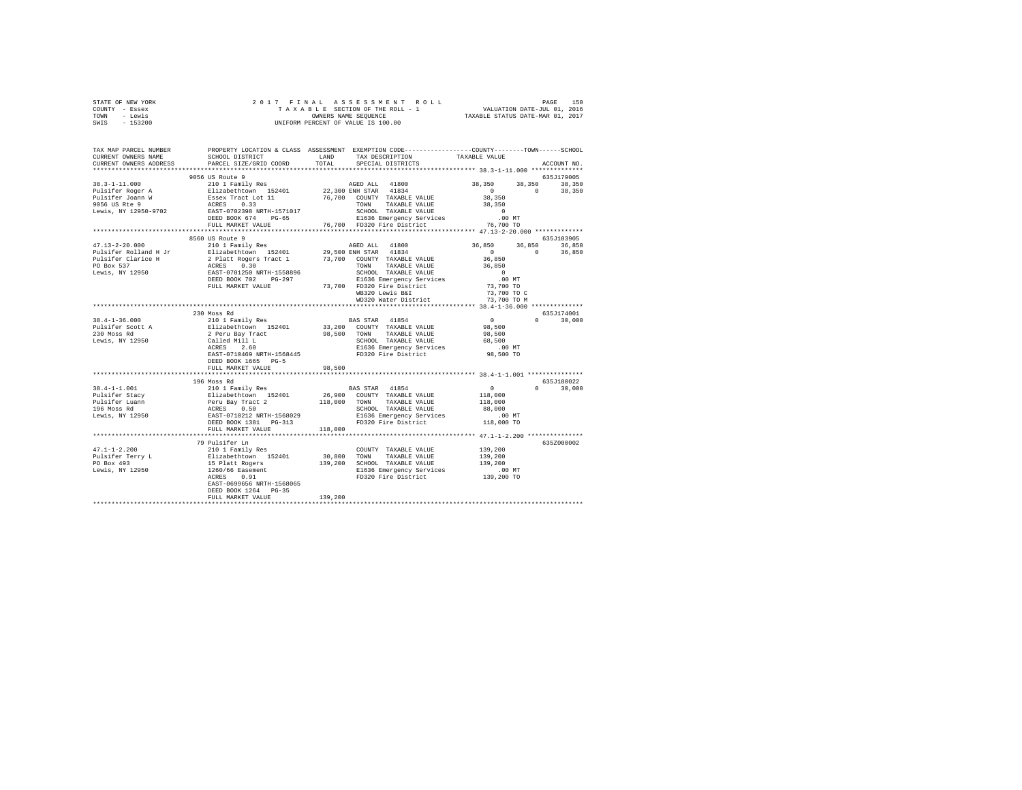| STATE OF NEW YORK | 2017 FINAL ASSESSMENT ROLL         |  | PAGE                             | 150 |
|-------------------|------------------------------------|--|----------------------------------|-----|
| COUNTY - Essex    | TAXABLE SECTION OF THE ROLL - 1    |  | VALUATION DATE-JUL 01, 2016      |     |
| TOWN<br>- Lewis   | OWNERS NAME SEOUENCE               |  | TAXABLE STATUS DATE-MAR 01, 2017 |     |
| $-153200$<br>SWIS | UNIFORM PERCENT OF VALUE IS 100.00 |  |                                  |     |

| TAX MAP PARCEL NUMBER<br>CURRENT OWNERS NAME<br>CURRENT OWNERS ADDRESS                                              | SCHOOL DISTRICT<br>PARCEL SIZE/GRID COORD                                                                                                                                                           | LAND<br>TOTAL | PROPERTY LOCATION & CLASS ASSESSMENT EXEMPTION CODE---------------COUNTY-------TOWN-----SCHOOL<br>TAX DESCRIPTION<br>SPECIAL DISTRICTS                                                                                    | TAXABLE VALUE                                                                                             | ACCOUNT NO.                                          |
|---------------------------------------------------------------------------------------------------------------------|-----------------------------------------------------------------------------------------------------------------------------------------------------------------------------------------------------|---------------|---------------------------------------------------------------------------------------------------------------------------------------------------------------------------------------------------------------------------|-----------------------------------------------------------------------------------------------------------|------------------------------------------------------|
|                                                                                                                     |                                                                                                                                                                                                     |               |                                                                                                                                                                                                                           |                                                                                                           |                                                      |
| $38.3 - 1 - 11.000$<br>Pulsifer Roger A<br>$\mathbf W$<br>Pulsifer Joann W<br>9056 US Rte 9<br>Lewis, NY 12950-9702 | 9056 US Route 9<br>2000 CACCLE 2010<br>210 1 Family Res<br>Elizabethtown 152401<br>ESSex Tract Lot 11<br>ACRES 0.33<br>EAST-0702398 NRTH-1571017<br>DEED BOOK 674<br>$PG-65$<br>FULL MARKET VALUE   |               | AGED ALL 41800<br>22,300 ENH STAR 41834<br>76.700 COUNTY TAXABLE VALUE<br>TOWN<br>TAXABLE VALUE<br>SCHOOL TAXABLE VALUE<br>E1636 Emergency Services<br>76,700 FD320 Fire District                                         | 38,350<br>$\sim$ 0<br>38,350<br>38,350<br>$\sim$ 0<br>00 MT.<br>76,700 TO                                 | 635J179005<br>38,350<br>38,350<br>$\Omega$<br>38,350 |
|                                                                                                                     | ************************                                                                                                                                                                            |               |                                                                                                                                                                                                                           |                                                                                                           |                                                      |
| $47.13 - 2 - 20.000$<br>Pulsifer Clarice H<br>PO Box 537<br>Lewis, NY 12950                                         | 8560 US Route 9<br>210 1 Family Res<br>Pulsifer Rolland H Jr Elizabethtown 152401<br>2 Platt Rogers Tract 1<br>ACRES 0.30<br>EAST-0701250 NRTH-1558896<br>DEED BOOK 702 PG-297<br>FULL MARKET VALUE |               | AGED ALL 41800<br>29,500 ENH STAR 41834<br>73,700 COUNTY TAXABLE VALUE<br>TOWN TAXABLE VALUE<br>SCHOOL TAXABLE VALUE<br>E1636 Emergency Services<br>73,700 FD320 Fire District<br>WB320 Lewis B&I<br>WD320 Water District | 36,850<br>$\sim$ 0<br>36,850<br>36,850<br>$\sim$ 0<br>$.00$ MT<br>73,700 TO<br>73,700 TO C<br>73,700 TO M | 635J103905<br>36,850<br>36,850<br>$\sim$ 0<br>36,850 |
|                                                                                                                     | ***********************************<br>230 Moss Rd                                                                                                                                                  |               |                                                                                                                                                                                                                           |                                                                                                           | 635J174001                                           |
| $38.4 - 1 - 36.000$<br>Pulsifer Scott A<br>230 Moss Rd<br>Lewis, NY 12950                                           | 210 1 Family Res<br>--- -<br>Elizabethtown 152401<br>2 Peru Bay Tract<br>Called Mill L<br>ACRES 2.60<br>EAST-0710469 NRTH-1568445<br>DEED BOOK 1665 PG-5                                            |               | <b>BAS STAR</b> 41854<br>33,200 COUNTY TAXABLE VALUE<br>98,500 TOWN TAXABLE VALUE<br>SCHOOL TAXABLE VALUE<br>E1636 Emergency Services<br>FD320 Fire District                                                              | $\sim$ 0<br>98,500<br>98,500<br>68,500<br>$.00$ MT<br>98,500 TO                                           | 30,000<br>$\Omega$                                   |
|                                                                                                                     | FULL MARKET VALUE                                                                                                                                                                                   | 98,500        |                                                                                                                                                                                                                           |                                                                                                           |                                                      |
|                                                                                                                     | 196 Moss Rd                                                                                                                                                                                         |               | <b>BAS STAR</b> 41854<br>26,900 COUNTY TAXABLE VALUE<br>TOWN TAXABLE VALUE<br>SCHOOL TAXABLE VALUE<br>E1636 Emergency Services<br>FD320 Fire District                                                                     | $\sim$ 0<br>118,000<br>118,000<br>88,000<br>$.00$ MT<br>118,000 TO                                        | 635J180022<br>$\Omega$<br>30,000                     |
|                                                                                                                     | FULL MARKET VALUE                                                                                                                                                                                   | 118,000       |                                                                                                                                                                                                                           | ************************ 47.1-1-2.200 ***********                                                         |                                                      |
| $47.1 - 1 - 2.200$                                                                                                  | 79 Pulsifer Ln<br>210 1 Family Res<br>EAST-0699656 NRTH-1568065<br>DEED BOOK 1264 PG-35<br>FULL MARKET VALUE                                                                                        | 139,200       | COUNTY TAXABLE VALUE<br>30,800 TOWN TAXABLE VALUE<br>139,200 SCHOOL TAXABLE VALUE<br>E1636 Emergency Services<br>FD320 Fire District                                                                                      | 139,200<br>139,200<br>139,200<br>00 MT.<br>139,200 TO                                                     | 635Z000002                                           |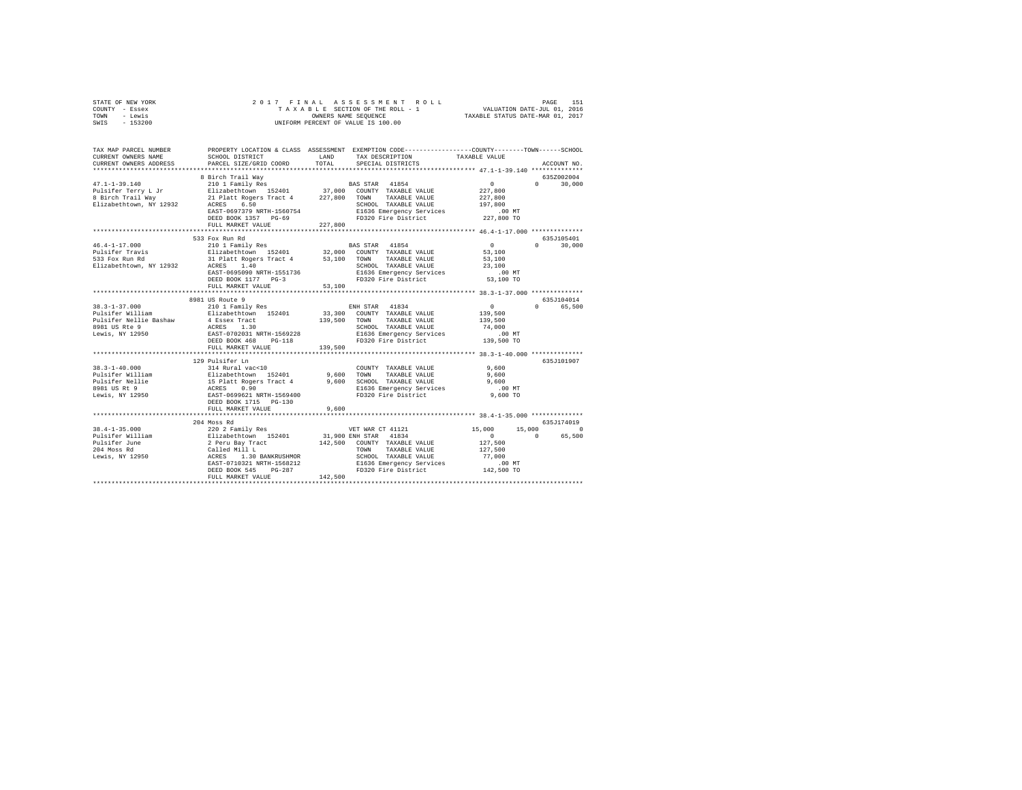| STATE OF NEW YORK<br>COUNTY<br>$-$ Essex<br>- Lewis<br>TOWN<br>$-153200$<br>SWIS |                                                                        | 2017 FINAL ASSESSMENT ROLL<br>TAXABLE SECTION OF THE ROLL - 1<br>OWNERS NAME SEOUENCE<br>UNIFORM PERCENT OF VALUE IS 100.00 | 151<br>PAGE<br>VALUATION DATE-JUL 01, 2016<br>TAXABLE STATUS DATE-MAR 01, 2017                                 |  |
|----------------------------------------------------------------------------------|------------------------------------------------------------------------|-----------------------------------------------------------------------------------------------------------------------------|----------------------------------------------------------------------------------------------------------------|--|
| TAX MAP PARCEL NUMBER<br>CURRENT OWNERS NAME<br>CURRENT OWNERS ADDRESS           | PROPERTY LOCATION & CLASS<br>SCHOOL DISTRICT<br>PARCEL SIZE/GRID COORD | ASSESSMENT<br>LAND<br>TAX DESCRIPTION<br>TOTAL<br>SPECIAL DISTRICTS                                                         | EXEMPTION CODE-----------------COUNTY-------TOWN------SCHOOL<br>TAXABLE VALUE<br>ACCOUNT NO.<br>************** |  |
| $47.1 - 1 - 39.140$                                                              | 8 Birch Trail Way<br>210 1 Family Res                                  | 41854<br><b>BAS STAR</b>                                                                                                    | 6352002004<br>30,000                                                                                           |  |

| Pulsifer Terry L Jr                | Elizabethtown 152401 37,000                                       | COUNTY TAXABLE VALUE                                                                                                                            | 227,800                                                                                                                                                                                                                                                                                                             |
|------------------------------------|-------------------------------------------------------------------|-------------------------------------------------------------------------------------------------------------------------------------------------|---------------------------------------------------------------------------------------------------------------------------------------------------------------------------------------------------------------------------------------------------------------------------------------------------------------------|
|                                    | 8 Birch Trail Way 21 Platt Rogers Tract 4 227,800 TOWN            | TAXABLE VALUE                                                                                                                                   | 227,800                                                                                                                                                                                                                                                                                                             |
| Elizabethtown, NY 12932 ACRES 6.50 | ACRES 6.50<br>EAST-0697379 NRTH-1560754<br>DEED BOOK 1357 PG-69   | SCHOOL TAXABLE VALUE                                                                                                                            | 197,800                                                                                                                                                                                                                                                                                                             |
|                                    |                                                                   | E1636 Emergency Services<br>FD320 Fire District                                                                                                 | 00 MT.<br>227,800 TO                                                                                                                                                                                                                                                                                                |
|                                    |                                                                   |                                                                                                                                                 |                                                                                                                                                                                                                                                                                                                     |
|                                    | FULL MARKET VALUE                                                 | 227,800                                                                                                                                         |                                                                                                                                                                                                                                                                                                                     |
|                                    |                                                                   |                                                                                                                                                 |                                                                                                                                                                                                                                                                                                                     |
|                                    | 533 Fox Run Rd                                                    |                                                                                                                                                 | 635J105401                                                                                                                                                                                                                                                                                                          |
| $46.4 - 1 - 17.000$                |                                                                   | 210 1 Family Res 60 BAS STAR 41854                                                                                                              | $\sim$ 0<br>$0 \t 30.000$                                                                                                                                                                                                                                                                                           |
| Pulsifer Travis                    |                                                                   | Elizabethtown 152401 32,000 COUNTY TAXABLE VALUE                                                                                                | 53,100                                                                                                                                                                                                                                                                                                              |
| 533 Fox Run Rd                     |                                                                   | TAXABLE VALUE                                                                                                                                   |                                                                                                                                                                                                                                                                                                                     |
| Elizabethtown, NY 12932            | 31 Platt Rogers Tract 4 53,100 TOWN<br>IY 12932 ACRES 1.40 SCHOOI | SCHOOL TAXABLE VALUE                                                                                                                            | 53,100<br>23,100                                                                                                                                                                                                                                                                                                    |
|                                    | ACRES 1.40<br>EAST-0695090 NRTH-1551736                           | E1636 Emergency Services .00 MT                                                                                                                 |                                                                                                                                                                                                                                                                                                                     |
|                                    | DEED BOOK 1177 PG-3                                               | FD320 Fire District 53,100 TO                                                                                                                   |                                                                                                                                                                                                                                                                                                                     |
|                                    | FULL MARKET VALUE                                                 | 53,100                                                                                                                                          |                                                                                                                                                                                                                                                                                                                     |
|                                    |                                                                   |                                                                                                                                                 |                                                                                                                                                                                                                                                                                                                     |
|                                    | 8981 US Route 9                                                   |                                                                                                                                                 | 635J104014                                                                                                                                                                                                                                                                                                          |
| $38.3 - 1 - 37.000$                | 210 1 Family Res                                                  | ENH STAR 41834                                                                                                                                  | $\sim$<br>0 65,500                                                                                                                                                                                                                                                                                                  |
| Pulsifer William                   |                                                                   | Elizabethtown 152401 33,300 COUNTY TAXABLE VALUE                                                                                                | 139,500                                                                                                                                                                                                                                                                                                             |
|                                    |                                                                   | TAXABLE VALUE                                                                                                                                   | 139,500                                                                                                                                                                                                                                                                                                             |
|                                    |                                                                   | 139,500 TOWN<br>SCHOO<br>SCHOOL TAXABLE VALUE                                                                                                   | 74,000                                                                                                                                                                                                                                                                                                              |
| Lewis, NY 12950                    | EAST-0702031 NRTH-1569228                                         | E1636 Emergency Services                                                                                                                        | .00 MT                                                                                                                                                                                                                                                                                                              |
|                                    | DEED BOOK 468<br>$PG-118$                                         | FD320 Fire District                                                                                                                             | 139,500 TO                                                                                                                                                                                                                                                                                                          |
|                                    | FULL MARKET VALUE                                                 | 139,500                                                                                                                                         |                                                                                                                                                                                                                                                                                                                     |
|                                    |                                                                   |                                                                                                                                                 |                                                                                                                                                                                                                                                                                                                     |
|                                    | 129 Pulsifer Ln                                                   |                                                                                                                                                 | 635J101907                                                                                                                                                                                                                                                                                                          |
| $38.3 - 1 - 40.000$                |                                                                   |                                                                                                                                                 | 9,600                                                                                                                                                                                                                                                                                                               |
| Pulsifer William                   | 314 Rural vac<10 COUNTY<br>Elizabethtown 152401 9,600 TOWN        | COUNTY TAXABLE VALUE                                                                                                                            |                                                                                                                                                                                                                                                                                                                     |
|                                    |                                                                   | TAXABLE VALUE                                                                                                                                   | 9,600                                                                                                                                                                                                                                                                                                               |
| Pulsifer Nellie                    |                                                                   | 115 Platt Rogers Tract 4<br>ACRES 0.90 ACHOOL TAXABLE VALUE<br>ACRES 0.90 ACHOOL TAXABLE VALUE<br>E1576 PS9621 NRTH-1569400 F1530 Pire District | 9,600                                                                                                                                                                                                                                                                                                               |
| 8981 US Rt 9                       |                                                                   | E1636 Emergency Services                                                                                                                        | .00 MT                                                                                                                                                                                                                                                                                                              |
| Lewis, NY 12950                    |                                                                   |                                                                                                                                                 | 9,600 TO                                                                                                                                                                                                                                                                                                            |
|                                    | DEED BOOK 1715 PG-130                                             |                                                                                                                                                 |                                                                                                                                                                                                                                                                                                                     |
|                                    | FULL MARKET VALUE                                                 | 9,600                                                                                                                                           |                                                                                                                                                                                                                                                                                                                     |
|                                    |                                                                   |                                                                                                                                                 |                                                                                                                                                                                                                                                                                                                     |
|                                    | 204 Moss Rd                                                       |                                                                                                                                                 | 635J174019                                                                                                                                                                                                                                                                                                          |
| $38.4 - 1 - 35.000$                | 220 2 Family Res                                                  | VET WAR CT 41121                                                                                                                                | 15,000<br>$\sim$ 0.000 $\sim$ 0.000 $\sim$ 0.000 $\sim$ 0.000 $\sim$ 0.000 $\sim$ 0.000 $\sim$ 0.000 $\sim$ 0.000 $\sim$ 0.000 $\sim$ 0.000 $\sim$ 0.000 $\sim$ 0.000 $\sim$ 0.000 $\sim$ 0.000 $\sim$ 0.000 $\sim$ 0.000 $\sim$ 0.000 $\sim$ 0.000 $\sim$ 0.000 $\sim$ 0.000<br>15,000                             |
| Pulsifer William                   | Elizabethtown 152401 31,900 ENH STAR 41834                        |                                                                                                                                                 | $\sim$ 0 $\sim$ 0 $\sim$ 0 $\sim$ 0 $\sim$ 0 $\sim$ 0 $\sim$ 0 $\sim$ 0 $\sim$ 0 $\sim$ 0 $\sim$ 0 $\sim$ 0 $\sim$ 0 $\sim$ 0 $\sim$ 0 $\sim$ 0 $\sim$ 0 $\sim$ 0 $\sim$ 0 $\sim$ 0 $\sim$ 0 $\sim$ 0 $\sim$ 0 $\sim$ 0 $\sim$ 0 $\sim$ 0 $\sim$ 0 $\sim$ 0 $\sim$ 0 $\sim$ 0 $\sim$ 0 $\sim$<br>$\Omega$<br>65,500 |
| Pulsifer June                      | 2 Peru Bay Tract<br>Called Mill L                                 | 142,500 COUNTY TAXABLE VALUE<br>TOWN TAXABLE VALUE                                                                                              | 127,500                                                                                                                                                                                                                                                                                                             |
| 204 Moss Rd                        |                                                                   |                                                                                                                                                 | 127,500                                                                                                                                                                                                                                                                                                             |
| Lewis, NY 12950                    | 1.30 BANKRUSHMOR<br>ACRES                                         | SCHOOL TAXABLE VALUE                                                                                                                            | 77,000                                                                                                                                                                                                                                                                                                              |
|                                    | EAST-0710321 NRTH-1568212<br>DEED BOOK 545 PG-287                 | E1636 Emergency Services                                                                                                                        | $.00$ MT                                                                                                                                                                                                                                                                                                            |
|                                    |                                                                   | FD320 Fire District                                                                                                                             | 142,500 TO                                                                                                                                                                                                                                                                                                          |
|                                    | FULL MARKET VALUE                                                 | 142,500                                                                                                                                         |                                                                                                                                                                                                                                                                                                                     |
|                                    |                                                                   |                                                                                                                                                 |                                                                                                                                                                                                                                                                                                                     |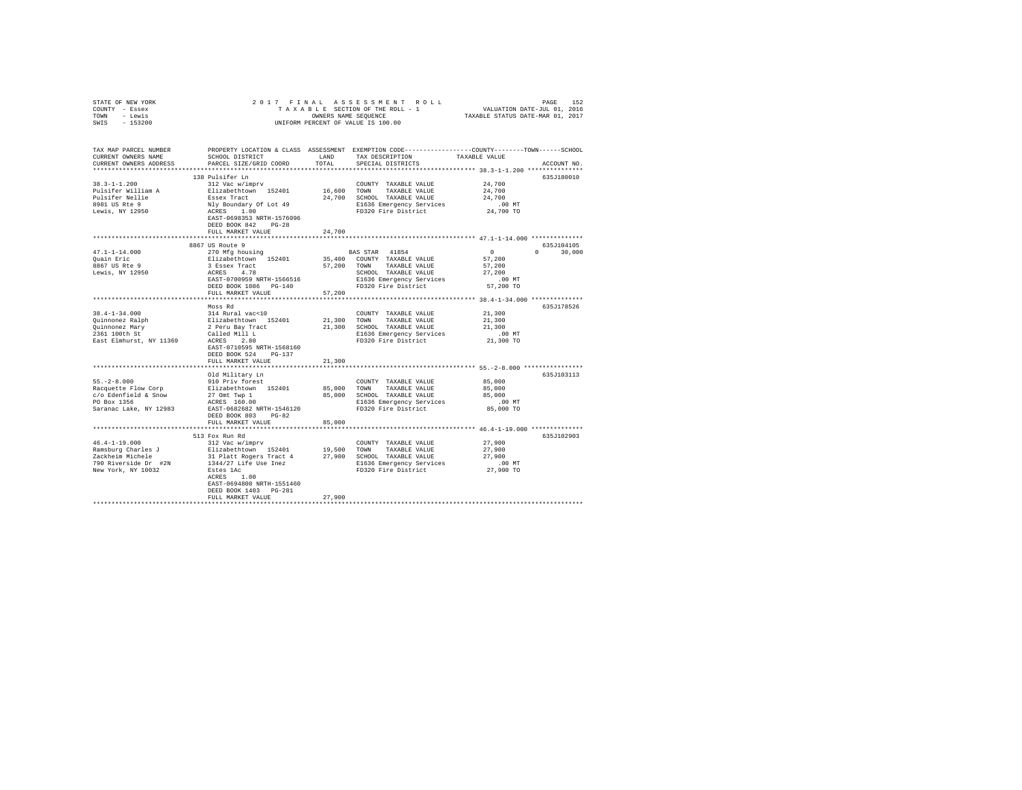| STATE OF NEW YORK                | 2017 FINAL                                                                                      |           | 17 FINAL ASSESSMENT ROLL PAGE 152<br>TAXABLE SECTION OF THE ROLL - 1 VALUATION DATE-JUL 01, 2016<br>TAXABLE STATUS DATE-MAR 01, 2017 |                                                         |               |
|----------------------------------|-------------------------------------------------------------------------------------------------|-----------|--------------------------------------------------------------------------------------------------------------------------------------|---------------------------------------------------------|---------------|
| COUNTY - Essex                   |                                                                                                 |           |                                                                                                                                      |                                                         |               |
| TOWN - Lewis                     |                                                                                                 |           |                                                                                                                                      |                                                         |               |
| SWIS - 153200                    |                                                                                                 |           | UNIFORM PERCENT OF VALUE IS 100.00                                                                                                   |                                                         |               |
|                                  |                                                                                                 |           |                                                                                                                                      |                                                         |               |
| TAX MAP PARCEL NUMBER            | PROPERTY LOCATION & CLASS ASSESSMENT EXEMPTION CODE---------------COUNTY-------TOWN------SCHOOL |           |                                                                                                                                      |                                                         |               |
| CURRENT OWNERS NAME              | SCHOOL DISTRICT                                                                                 | LAND      | TAX DESCRIPTION                                                                                                                      | TAXABLE VALUE                                           |               |
| CURRENT OWNERS ADDRESS           | PARCEL SIZE/GRID COORD                                                                          | TOTAL     | SPECIAL DISTRICTS                                                                                                                    |                                                         | ACCOUNT NO.   |
|                                  |                                                                                                 |           |                                                                                                                                      |                                                         |               |
|                                  |                                                                                                 |           |                                                                                                                                      |                                                         |               |
| $38.3 - 1 - 1.200$               | 138 Pulsifer Ln                                                                                 |           |                                                                                                                                      |                                                         | 635J180010    |
|                                  | 312 Vac w/imprv                                                                                 |           | COUNTY TAXABLE VALUE                                                                                                                 | 24,700                                                  |               |
| Pulsifer William A               | Elizabethtown 152401                                                                            |           | 16,600 TOWN TAXABLE VALUE                                                                                                            | 24,700                                                  |               |
| Pulsifer Nellie                  | Essex Tract                                                                                     |           | 24,700 SCHOOL TAXABLE VALUE                                                                                                          | 24,700                                                  |               |
| 8981 US Rte 9<br>Lewis, NY 12950 |                                                                                                 |           | E1636 Emergency Services                                                                                                             | $.00$ MT                                                |               |
|                                  | Nly Boundary Of Lot 49<br>ACRES 1.00                                                            |           | FD320 Fire District                                                                                                                  | 24,700 TO                                               |               |
|                                  | EAST-0698353 NRTH-1576096                                                                       |           |                                                                                                                                      |                                                         |               |
|                                  | DEED BOOK 842 PG-28                                                                             |           |                                                                                                                                      |                                                         |               |
|                                  | FULL MARKET VALUE                                                                               | 24,700    |                                                                                                                                      |                                                         |               |
|                                  |                                                                                                 |           |                                                                                                                                      |                                                         |               |
|                                  | 8867 US Route 9                                                                                 |           |                                                                                                                                      |                                                         | 635J104105    |
| $47.1 - 1 - 14.000$              | 270 Mfg housing                                                                                 |           | BAS STAR 41854                                                                                                                       | $\sim$ 0                                                | $0 \t 30,000$ |
| Quain Eric                       | Elizabethtown 152401                                                                            |           | 35,400 COUNTY TAXABLE VALUE                                                                                                          | 57,200                                                  |               |
| 8867 US Rte 9                    |                                                                                                 |           | 57,200 TOWN TAXABLE VALUE                                                                                                            | 57,200                                                  |               |
| Lewis, NY 12950                  | 3 Essex Tract<br>ACRES 4.78<br>EAST-0700959 NRTH-1566516                                        |           | SCHOOL TAXABLE VALUE                                                                                                                 | 27,200                                                  |               |
|                                  |                                                                                                 |           | E1636 Emergency Services                                                                                                             | $.00$ MT                                                |               |
|                                  | DEED BOOK 1086 PG-140                                                                           |           | FD320 Fire District                                                                                                                  | 57,200 TO                                               |               |
|                                  |                                                                                                 |           |                                                                                                                                      |                                                         |               |
|                                  | FULL MARKET VALUE                                                                               | 57,200    |                                                                                                                                      | ********************** 38.4-1-34.000 **************     |               |
|                                  |                                                                                                 |           |                                                                                                                                      |                                                         |               |
|                                  | Moss Rd                                                                                         |           |                                                                                                                                      |                                                         | 635J178526    |
| $38.4 - 1 - 34.000$              | 314 Rural vac<10                                                                                |           | COUNTY TAXABLE VALUE                                                                                                                 | 21,300                                                  |               |
| Quinnonez Ralph                  | Elizabethtown 152401                                                                            |           | 21,300 TOWN TAXABLE VALUE                                                                                                            | 21,300                                                  |               |
| Quinnonez Mary                   | 2 Peru Bay Tract                                                                                |           | 21,300 SCHOOL TAXABLE VALUE                                                                                                          | 21,300                                                  |               |
|                                  |                                                                                                 |           | E1636 Emergency Services                                                                                                             | .00 MT                                                  |               |
|                                  |                                                                                                 |           | FD320 Fire District                                                                                                                  | 21,300 TO                                               |               |
|                                  | EAST-0710595 NRTH-1568160                                                                       |           |                                                                                                                                      |                                                         |               |
|                                  | DEED BOOK 524 PG-137                                                                            |           |                                                                                                                                      |                                                         |               |
|                                  | FULL MARKET VALUE                                                                               | 21,300    |                                                                                                                                      |                                                         |               |
|                                  | **********************                                                                          | ********* |                                                                                                                                      | ************************** 55.-2-8.000 **************** |               |
|                                  | Old Military Ln                                                                                 |           |                                                                                                                                      |                                                         | 635J103113    |
| $55. -2 - 8.000$                 | 910 Priv forest                                                                                 |           | COUNTY TAXABLE VALUE                                                                                                                 | 85,000                                                  |               |
| Racquette Flow Corp              | Elizabethtown 152401                                                                            |           | 85,000 TOWN TAXABLE VALUE                                                                                                            | 85,000                                                  |               |
| c/o Edenfield & Snow             |                                                                                                 |           | 85,000 SCHOOL TAXABLE VALUE                                                                                                          | 85,000                                                  |               |
| PO Box 1356                      | 27 Omt Twp 1<br>ACRES 160.00                                                                    |           | E1636 Emergency Services                                                                                                             | .00MT                                                   |               |
| Saranac Lake, NY 12983           | EAST-0682682 NRTH-1546120                                                                       |           | FD320 Fire District                                                                                                                  | 85,000 TO                                               |               |
|                                  | DEED BOOK 803 PG-82                                                                             |           |                                                                                                                                      |                                                         |               |
|                                  | FULL MARKET VALUE                                                                               | 85,000    |                                                                                                                                      |                                                         |               |
|                                  |                                                                                                 |           |                                                                                                                                      |                                                         |               |
|                                  |                                                                                                 |           |                                                                                                                                      |                                                         |               |
|                                  | 513 Fox Run Rd                                                                                  |           |                                                                                                                                      | 27,900                                                  | 635J102903    |
| $46.4 - 1 - 19.000$              | 312 Vac w/imprv                                                                                 |           | COUNTY TAXABLE VALUE                                                                                                                 |                                                         |               |
|                                  | المدد V/1mprv Darles J<br>Zackheim Michele 19 - Blizabethtown<br>21 Platt Rogers Tract 4        |           | 19,500 TOWN TAXABLE VALUE                                                                                                            | 27,900                                                  |               |
|                                  |                                                                                                 |           | 27,900 SCHOOL TAXABLE VALUE                                                                                                          | 27,900                                                  |               |
| 790 Riverside Dr #2N             | 1344/27 Life Use Inez                                                                           |           | E1636 Emergency Services<br>FD320 Fire District                                                                                      | $.00$ MT                                                |               |
| New York, NY 10032               | Estes 1Ac                                                                                       |           | FD320 Fire District                                                                                                                  | 27,900 TO                                               |               |
|                                  | ACRES 1.00                                                                                      |           |                                                                                                                                      |                                                         |               |
|                                  | EAST-0694800 NRTH-1551460                                                                       |           |                                                                                                                                      |                                                         |               |
|                                  | DEED BOOK 1403 PG-281                                                                           |           |                                                                                                                                      |                                                         |               |
|                                  | FULL MARKET VALUE                                                                               | 27,900    |                                                                                                                                      |                                                         |               |
|                                  |                                                                                                 |           |                                                                                                                                      |                                                         |               |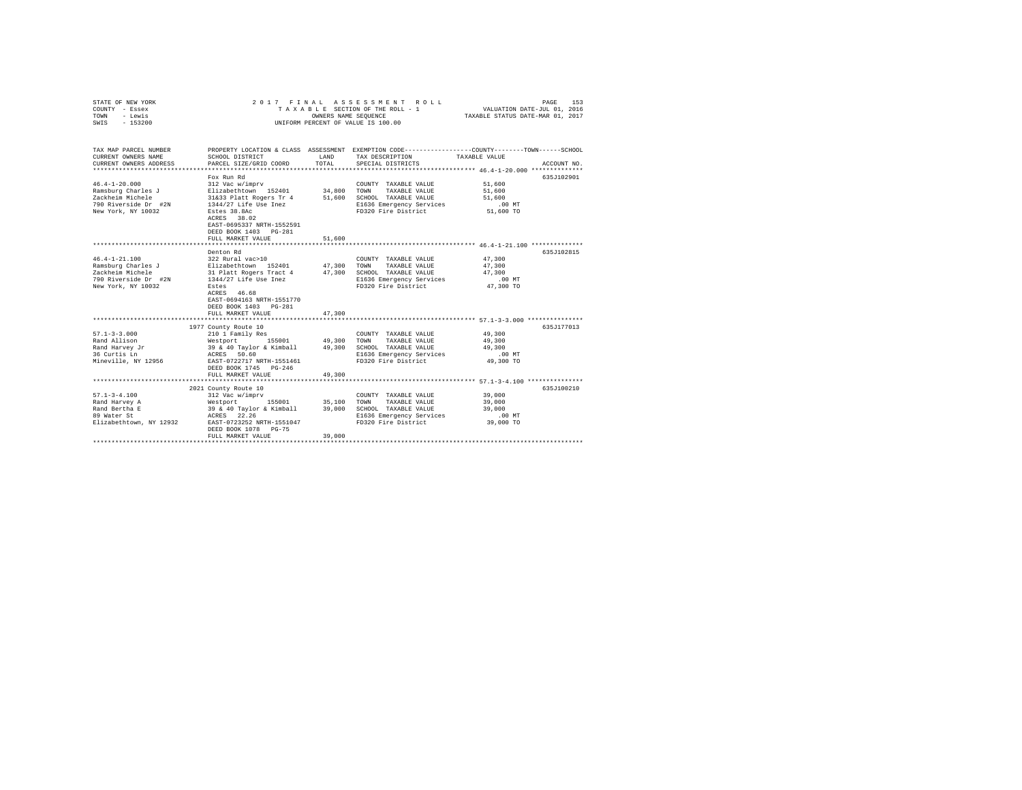| STATE OF NEW YORK<br>COUNTY - Essex<br>TOWN<br>- Lewis<br>$-153200$<br>SWIS                                 | 2017 FINAL                                                                                                                                                                                                                 | OWNERS NAME SEQUENCE       | ASSESSMENT ROLL<br>TAXABLE SECTION OF THE ROLL - 1<br>UNIFORM PERCENT OF VALUE IS 100.00                                 | 153<br>PAGE<br>VALUATION DATE-JUL 01, 2016<br>TAXABLE STATUS DATE-MAR 01, 2017                                                  |
|-------------------------------------------------------------------------------------------------------------|----------------------------------------------------------------------------------------------------------------------------------------------------------------------------------------------------------------------------|----------------------------|--------------------------------------------------------------------------------------------------------------------------|---------------------------------------------------------------------------------------------------------------------------------|
| TAX MAP PARCEL NUMBER<br>CURRENT OWNERS NAME<br>CURRENT OWNERS ADDRESS                                      | SCHOOL DISTRICT<br>PARCEL SIZE/GRID COORD                                                                                                                                                                                  | LAND<br>TOTAL              | TAX DESCRIPTION<br>SPECIAL DISTRICTS                                                                                     | PROPERTY LOCATION & CLASS ASSESSMENT EXEMPTION CODE---------------COUNTY-------TOWN------SCHOOL<br>TAXABLE VALUE<br>ACCOUNT NO. |
| $46.4 - 1 - 20.000$<br>Ramsburg Charles J<br>Zackheim Michele<br>790 Riverside Dr #2N<br>New York, NY 10032 | Fox Run Rd<br>312 Vac w/imprv<br>Elizabethtown 152401<br>31&33 Platt Rogers Tr 4 51,600<br>1344/27 Life Use Inez<br>Estes 38.8Ac<br>ACRES 38.02<br>EAST-0695337 NRTH-1552591<br>DEED BOOK 1403 PG-281<br>FULL MARKET VALUE | 34,800<br>51,600           | COUNTY TAXABLE VALUE<br>TOWN<br>TAXABLE VALUE<br>SCHOOL TAXABLE VALUE<br>E1636 Emergency Services<br>FD320 Fire District | 635J102901<br>51,600<br>51,600<br>51,600<br>$.00$ MT<br>51,600 TO                                                               |
|                                                                                                             |                                                                                                                                                                                                                            |                            |                                                                                                                          |                                                                                                                                 |
| $46.4 - 1 - 21.100$<br>Ramsburg Charles J<br>Zackheim Michele<br>790 Riverside Dr #2N<br>New York, NY 10032 | Denton Rd<br>322 Rural vac>10<br>Elizabethtown 152401<br>31 Platt Rogers Tract 4 47,300<br>1344/27 Life Use Inez<br>Estes<br>ACRES 46.68<br>EAST-0694163 NRTH-1551770<br>DEED BOOK 1403 PG-281<br>FULL MARKET VALUE        | 47,300<br>47,300           | COUNTY TAXABLE VALUE<br>TOWN<br>TAXABLE VALUE<br>SCHOOL TAXABLE VALUE<br>E1636 Emergency Services<br>FD320 Fire District | 635J102815<br>47,300<br>47.300<br>47,300<br>$.00$ MT<br>47,300 TO                                                               |
| $57.1 - 3 - 3.000$<br>Rand Allison<br>Rand Harvey Jr<br>36 Curtis Ln<br>Mineville, NY 12956                 | 1977 County Route 10<br>210 1 Family Res<br>Westport 155001<br>39 & 40 Taylor & Kimball<br>ACRES 50.60<br>EAST-0722717 NRTH-1551461<br>DEED BOOK 1745 PG-246<br>FULL MARKET VALUE                                          | 49,300<br>49,300<br>49,300 | COUNTY TAXABLE VALUE<br>TOWN<br>TAXABLE VALUE<br>SCHOOL TAXABLE VALUE<br>E1636 Emergency Services<br>FD320 Fire District | 635J177013<br>49,300<br>49,300<br>49,300<br>$.00$ MT<br>49,300 TO                                                               |
| $57.1 - 3 - 4.100$<br>Rand Harvey A<br>Rand Bertha E<br>89 Water St<br>Elizabethtown, NY 12932              | 2021 County Route 10<br>312 Vac w/imprv<br>Westport 155001<br>39 & 40 Taylor & Kimball<br>ACRES 22.26<br>EAST-0723252 NRTH-1551047<br>DEED BOOK 1078 PG-75<br>FULL MARKET VALUE                                            | 35,100<br>39,000<br>39,000 | COUNTY TAXABLE VALUE<br>TOWN<br>TAXABLE VALUE<br>SCHOOL TAXABLE VALUE<br>E1636 Emergency Services<br>FD320 Fire District | 635J100210<br>39,000<br>39,000<br>39,000<br>.00 MT<br>39,000 TO                                                                 |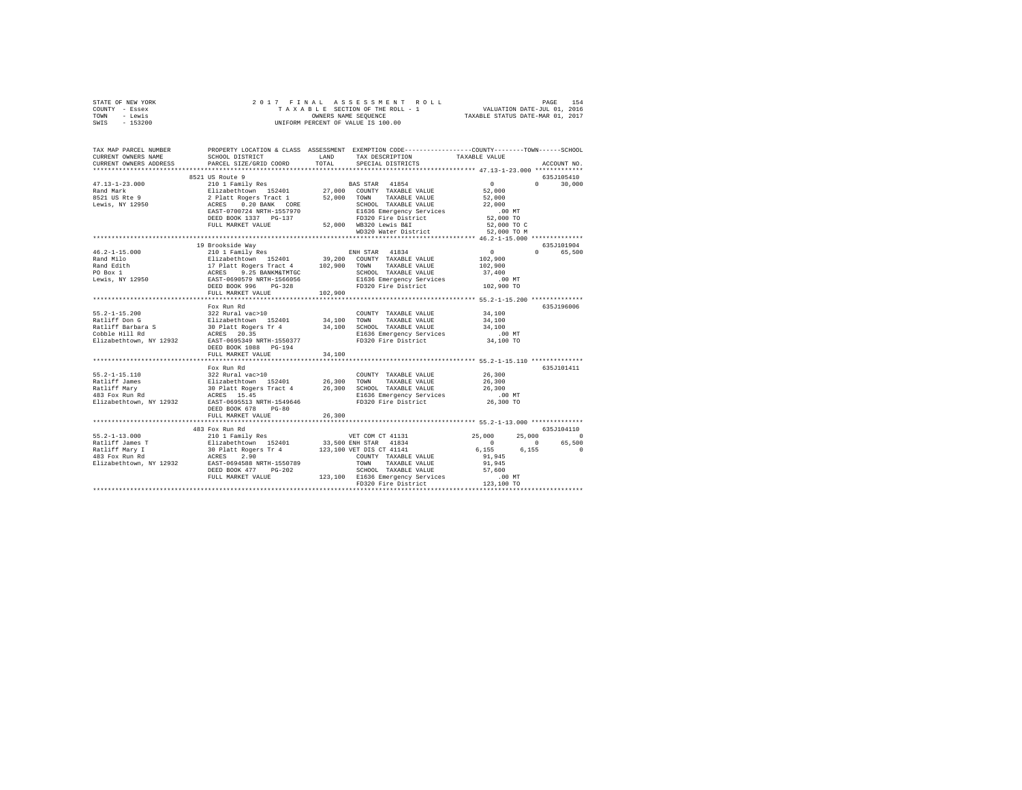| COUNTY<br>- Essex<br>- Lewis<br>TOWN |                                      |               | TAXABLE SECTION OF THE ROLL - 1<br>OWNERS NAME SEQUENCE                                                                                                                                                                                                   | VALUATION DATE-JUL 01, 2016<br>TAXABLE STATUS DATE-MAR 01, 2017 |               |
|--------------------------------------|--------------------------------------|---------------|-----------------------------------------------------------------------------------------------------------------------------------------------------------------------------------------------------------------------------------------------------------|-----------------------------------------------------------------|---------------|
| $-153200$<br>SWIS                    |                                      |               | UNIFORM PERCENT OF VALUE IS 100.00                                                                                                                                                                                                                        |                                                                 |               |
|                                      |                                      |               |                                                                                                                                                                                                                                                           |                                                                 |               |
| TAX MAP PARCEL NUMBER                | PROPERTY LOCATION & CLASS ASSESSMENT |               | EXEMPTION CODE-----------------COUNTY-------TOWN------SCHOOL                                                                                                                                                                                              |                                                                 |               |
| CURRENT OWNERS NAME                  | SCHOOL DISTRICT                      | LAND          | TAX DESCRIPTION                                                                                                                                                                                                                                           | TAXABLE VALUE                                                   |               |
| CURRENT OWNERS ADDRESS               | PARCEL SIZE/GRID COORD               | TOTAL         | SPECIAL DISTRICTS                                                                                                                                                                                                                                         |                                                                 | ACCOUNT NO.   |
|                                      |                                      |               |                                                                                                                                                                                                                                                           |                                                                 | ************* |
|                                      | 8521 US Route 9                      |               |                                                                                                                                                                                                                                                           |                                                                 | 635J105410    |
| $47.13 - 1 - 23.000$                 | 210 1 Family Res                     |               | 41854<br>BAS STAR                                                                                                                                                                                                                                         | $\Omega$                                                        | 30,000        |
| Rand Mark                            | Elizabethtown 152401                 | 27,000        | COUNTY<br>TAXABLE VALUE                                                                                                                                                                                                                                   | 52,000                                                          |               |
| 8521 US Rte 9                        | 2 Platt Rogers Tract 1               | 52,000        | TOWN<br>TAXABLE VALUE                                                                                                                                                                                                                                     | 52,000                                                          |               |
| Lewis, NY 12950                      | 0.20 BANK CORE<br>ACRES              |               | SCHOOL TAXABLE VALUE                                                                                                                                                                                                                                      | 22,000                                                          |               |
|                                      | EAST-0700724 NRTH-1557970            |               | E1636 Emergency Services                                                                                                                                                                                                                                  | $.00$ MT                                                        |               |
|                                      | DEED BOOK 1337 PG-137                |               | FD320 Fire District                                                                                                                                                                                                                                       | 52,000 TO                                                       |               |
|                                      |                                      | <b>EQ AOD</b> | $1.7000 + 0.0200 + 0.0000 + 0.0000 + 0.0000 + 0.0000 + 0.0000 + 0.0000 + 0.0000 + 0.0000 + 0.0000 + 0.0000 + 0.0000 + 0.0000 + 0.0000 + 0.0000 + 0.0000 + 0.0000 + 0.0000 + 0.0000 + 0.0000 + 0.0000 + 0.0000 + 0.0000 + 0.0000 + 0.0000 + 0.0000 + 0.00$ | EQ AOS TO C                                                     |               |

STATE OF NEW YORK 2017 FINAL ASSESSMENT ROLL PAGE 154

|                                                                                                        | DEED BOOK 1337 PG-137<br>FULL MARKET VALUE                                                                                                                                                            | FD320 Fire District<br>52,000 WB320 Lewis B&I<br>WD320 Water District                                                                                                            | 52,000 TO<br>52,000 TO C<br>52,000 TO M                                                                                                                                  |
|--------------------------------------------------------------------------------------------------------|-------------------------------------------------------------------------------------------------------------------------------------------------------------------------------------------------------|----------------------------------------------------------------------------------------------------------------------------------------------------------------------------------|--------------------------------------------------------------------------------------------------------------------------------------------------------------------------|
| $46.2 - 1 - 15.000$<br>Rand Milo<br>Rand Edith<br>PO Box 1<br>Lewis, NY 12950                          | 19 Brookside Way<br>210 1 Family Res<br>17 Platt Rogers Tract 4 102,900 TOWN<br>ACRES<br>9.25 BANKM&TMTGC<br>EAST-0690579 NRTH-1566056<br>DEED BOOK 996<br>$PG-328$<br>FULL MARKET VALUE              | ENH STAR 41834<br>Elizabethtown 152401 39,200 COUNTY TAXABLE VALUE<br>TAXABLE VALUE<br>SCHOOL TAXABLE VALUE<br>E1636 Emergency Services<br>FD320 Fire District<br>102,900        | 635J101904<br>65,500<br>$\Omega$<br>$\Omega$<br>102,900<br>102,900<br>37,400<br>.00MT<br>$102,900$ TO                                                                    |
| $55.2 - 1 - 15.200$<br>Ratliff Don G<br>Ratliff Barbara S<br>Cobble Hill Rd<br>Elizabethtown, NY 12932 | Fox Run Rd<br>322 Rural vac>10<br>Elizabethtown 152401 34,100 TOWN<br>30 Platt Rogers Tr 4 34,100 SCHOOI<br>ACRES 20.35<br>EAST-0695349 NRTH-1550377<br>DEED BOOK 1088 PG-194<br>FULL MARKET VALUE    | COUNTY TAXABLE VALUE<br>TAXABLE VALUE<br>34.100 SCHOOL TAXABLE VALUE<br>E1636 Emergency Services<br>F1636 Emergency Services<br>FD320 Fire District<br>34,100 TO<br>34,100       | 635J196006<br>34,100<br>34,100<br>34,100                                                                                                                                 |
| $55.2 - 1 - 15.110$<br>Ratliff James<br>Ratliff Marv<br>483 Fox Run Rd<br>Elizabethtown, NY 12932      | Fox Run Rd<br>322 Rural vac>10<br>Elizabethtown 152401 26.300 TOWN<br>ACRES 15.45<br>EAST-0695513 NRTH-1549646<br>DEED BOOK 678<br>$PG-80$<br>FULL MARKET VALUE                                       | COUNTY TAXABLE VALUE<br>TAXABLE VALUE<br>30 Platt Rogers Tract 4 26,300 SCHOOL TAXABLE VALUE<br>E1636 Emergency Services .00 MT<br>FD320 Fire District<br>26,300                 | 635J101411<br>26,300<br>26,300<br>26,300<br>26,300 TO                                                                                                                    |
| $55.2 - 1 - 13.000$<br>Ratliff James T<br>Ratliff Mary I<br>483 Fox Run Rd<br>Elizabethtown, NY 12932  | 483 Fox Run Rd<br>210 1 Family Res<br>Elizabethtown 152401 33,500 ENH STAR 41834<br>30 Platt Rogers Tr 4<br>ACRES 2.90<br>EAST-0694588 NRTH-1550789<br>DEED BOOK 477<br>$PG-202$<br>FULL MARKET VALUE | VET COM CT 41131<br>123,100 VET DIS CT 41141<br>COUNTY TAXABLE VALUE<br>TOWN<br>TAXABLE VALUE<br>SCHOOL TAXABLE VALUE<br>123,100 E1636 Emergency Services<br>FD320 Fire District | 635J104110<br>25,000<br>25,000<br>$\Omega$<br>65,500<br>$\sim$ 0<br>$\overline{0}$<br>$\Omega$<br>6.155<br>6.155<br>91,945<br>91,945<br>57,600<br>$.00$ MT<br>123,100 TO |
|                                                                                                        |                                                                                                                                                                                                       |                                                                                                                                                                                  |                                                                                                                                                                          |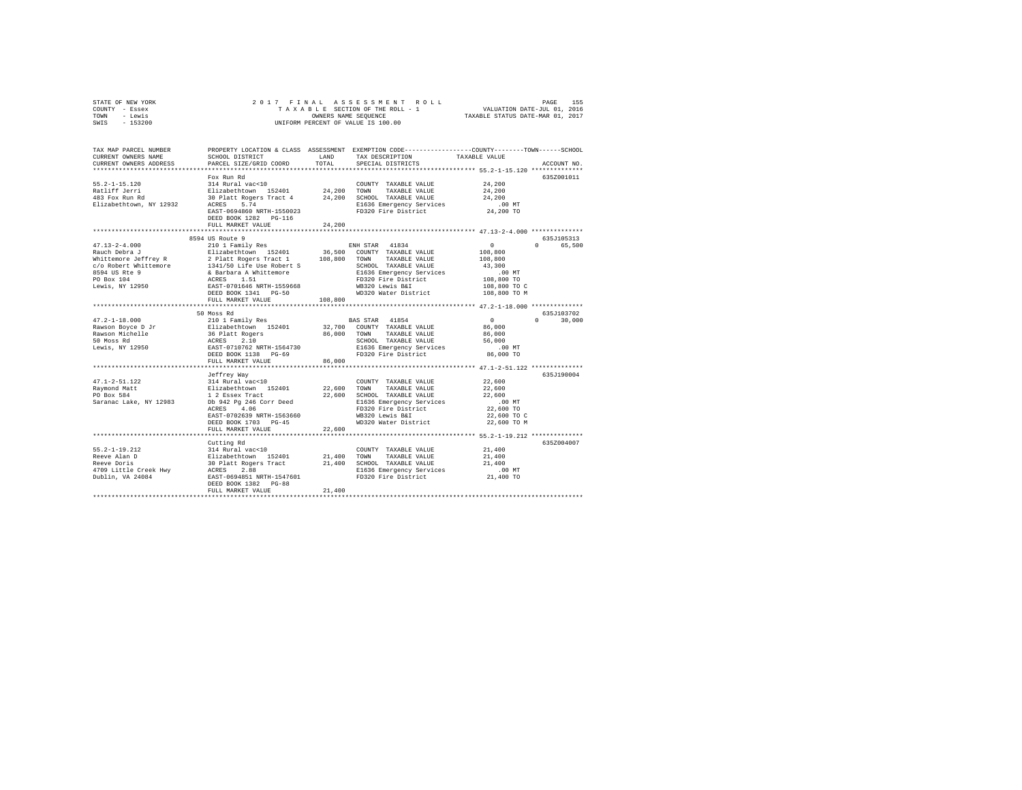| STATE OF NEW YORK | 2017 FINAL ASSESSMENT ROLL         | 155<br>PAGE                      |
|-------------------|------------------------------------|----------------------------------|
| COUNTY - Essex    | TAXABLE SECTION OF THE ROLL - 1    | VALUATION DATE-JUL 01, 2016      |
| TOWN<br>- Lewis   | OWNERS NAME SEOUENCE               | TAXABLE STATUS DATE-MAR 01, 2017 |
| $-153200$<br>SWIS | UNIFORM PERCENT OF VALUE IS 100.00 |                                  |

| TAX MAP PARCEL NUMBER<br>CURRENT OWNERS NAME<br>CURRENT OWNERS ADDRESS | SCHOOL DISTRICT<br>PARCEL SIZE/GRID COORD         | LAND<br>TOTAL | PROPERTY LOCATION & CLASS ASSESSMENT EXEMPTION CODE---------------COUNTY-------TOWN-----SCHOOL<br>TAX DESCRIPTION<br>SPECIAL DISTRICTS | TAXABLE VALUE         | ACCOUNT NO             |
|------------------------------------------------------------------------|---------------------------------------------------|---------------|----------------------------------------------------------------------------------------------------------------------------------------|-----------------------|------------------------|
|                                                                        | ************************                          |               |                                                                                                                                        |                       |                        |
|                                                                        | Fox Run Rd                                        |               |                                                                                                                                        |                       | 635Z001011             |
| $55.2 - 1 - 15.120$                                                    | 314 Rural vac<10                                  |               | COUNTY TAXABLE VALUE                                                                                                                   | 24,200                |                        |
| Ratliff Jerri                                                          | Elizabethtown 152401                              | 24,200        | TOWN<br>TAXABLE VALUE                                                                                                                  | 24,200                |                        |
| 483 Fox Run Rd                                                         | 30 Platt Rogers Tract 4                           |               | 24.200 SCHOOL TAXABLE VALUE                                                                                                            | 24,200                |                        |
| Elizabethtown, NY 12932                                                | ACRES<br>5.74                                     |               | E1636 Emergency Services                                                                                                               | $.00$ MT              |                        |
|                                                                        | EAST-0694860 NRTH-1550023                         |               | FD320 Fire District                                                                                                                    | 24,200 TO             |                        |
|                                                                        | DEED BOOK 1282 PG-116                             |               |                                                                                                                                        |                       |                        |
|                                                                        | FULL MARKET VALUE                                 | 24,200        |                                                                                                                                        |                       |                        |
|                                                                        |                                                   |               |                                                                                                                                        |                       |                        |
|                                                                        | 8594 US Route 9                                   |               |                                                                                                                                        |                       | 635J105313             |
| $47.13 - 2 - 4.000$                                                    | 210 1 Family Res                                  |               | ENH STAR 41834                                                                                                                         | $^{\circ}$            | 65,500<br>$\Omega$     |
| Rauch Debra J                                                          | Elizabethtown 152401                              |               | 36,500 COUNTY TAXABLE VALUE                                                                                                            | 108,800               |                        |
| Whittemore Jeffrey R                                                   | 2 Platt Rogers Tract 1                            | 108,800       | TOWN TAXABLE VALUE                                                                                                                     | 108,800               |                        |
| c/o Robert Whittemore                                                  | 1341/50 Life Use Robert S                         |               | SCHOOL TAXABLE VALUE                                                                                                                   | 43,300                |                        |
| 8594 US Rte 9                                                          | & Barbara A Whittemore                            |               | E1636 Emergency Services                                                                                                               | .00MT                 |                        |
| PO Box 104                                                             | 1.51<br>ACRES                                     |               | FD320 Fire District                                                                                                                    | 108,800 TO            |                        |
| Lewis, NY 12950                                                        | EAST-0701646 NRTH-1559668                         |               | WB320 Lewis B&I                                                                                                                        | 108,800 TO C          |                        |
|                                                                        | DEED BOOK 1341 PG-50                              |               | WD320 Water District                                                                                                                   | 108,800 TO M          |                        |
|                                                                        | FULL MARKET VALUE                                 | 108,800       |                                                                                                                                        |                       |                        |
|                                                                        |                                                   |               |                                                                                                                                        |                       |                        |
|                                                                        | 50 Moss Rd                                        |               |                                                                                                                                        |                       | 635J103702<br>$\Omega$ |
| $47.2 - 1 - 18.000$                                                    | 210 1 Family Res                                  |               | BAS STAR 41854                                                                                                                         | $\mathbf{0}$          | 30,000                 |
| Rawson Boyce D Jr<br>Rawson Michelle                                   | Elizabethtown 152401                              | 86,000        | 32.700 COUNTY TAXABLE VALUE<br>TOWN<br>TAXABLE VALUE                                                                                   | 86,000<br>86,000      |                        |
| 50 Moss Rd                                                             | 36 Platt Rogers<br>ACRES<br>2.10                  |               |                                                                                                                                        | 56,000                |                        |
|                                                                        |                                                   |               | SCHOOL TAXABLE VALUE                                                                                                                   |                       |                        |
| Lewis, NY 12950                                                        | EAST-0710762 NRTH-1564730<br>DEED BOOK 1138 PG-69 |               | E1636 Emergency Services<br>FD320 Fire District                                                                                        | $.00$ MT<br>86,000 TO |                        |
|                                                                        | FULL MARKET VALUE                                 | 86,000        |                                                                                                                                        |                       |                        |
|                                                                        |                                                   |               |                                                                                                                                        |                       |                        |
|                                                                        | Jeffrey Way                                       |               |                                                                                                                                        |                       | 635J190004             |
| $47.1 - 2 - 51.122$                                                    | 314 Rural vac<10                                  |               | COUNTY TAXABLE VALUE                                                                                                                   | 22,600                |                        |
| Raymond Matt                                                           | Elizabethtown 152401                              | 22,600        | TOWN<br>TAXABLE VALUE                                                                                                                  | 22,600                |                        |
| PO Box 584                                                             | 1 2 Essex Tract                                   | 22,600        | SCHOOL TAXABLE VALUE                                                                                                                   | 22,600                |                        |
| Saranac Lake, NY 12983                                                 | Db 942 Pg 246 Corr Deed                           |               | E1636 Emergency Services                                                                                                               | .00 MT                |                        |
|                                                                        | 4.06<br>ACRES                                     |               | FD320 Fire District                                                                                                                    | 22,600 TO             |                        |
|                                                                        | EAST-0702639 NRTH-1563660                         |               | WB320 Lewis B&I                                                                                                                        | 22,600 TO C           |                        |
|                                                                        | DEED BOOK 1703 PG-45                              |               | WD320 Water District                                                                                                                   | 22,600 TO M           |                        |
|                                                                        | FULL MARKET VALUE                                 | 22,600        |                                                                                                                                        |                       |                        |
|                                                                        | **************************                        |               | **************************** 55.2-1-19.212 **************                                                                              |                       |                        |
|                                                                        | Cutting Rd                                        |               |                                                                                                                                        |                       | 635Z004007             |
| $55.2 - 1 - 19.212$                                                    | 314 Rural vac<10                                  |               | COUNTY TAXABLE VALUE                                                                                                                   | 21,400                |                        |
| Reeve Alan D                                                           | Elizabethtown 152401                              | 21,400        | TOWN<br>TAXABLE VALUE                                                                                                                  | 21,400                |                        |
| Reeve Doris                                                            | 30 Platt Rogers Tract                             | 21,400        | SCHOOL TAXABLE VALUE                                                                                                                   | 21,400                |                        |
| 4709 Little Creek Hwy                                                  | ACRES<br>2.88                                     |               | E1636 Emergency Services                                                                                                               | $.00$ MT              |                        |
| Dublin, VA 24084                                                       | EAST-0694851 NRTH-1547601                         |               | FD320 Fire District                                                                                                                    | 21,400 TO             |                        |
|                                                                        | DEED BOOK 1382 PG-88                              |               |                                                                                                                                        |                       |                        |
|                                                                        | FULL MARKET VALUE                                 | 21,400        |                                                                                                                                        |                       |                        |
|                                                                        |                                                   |               |                                                                                                                                        |                       |                        |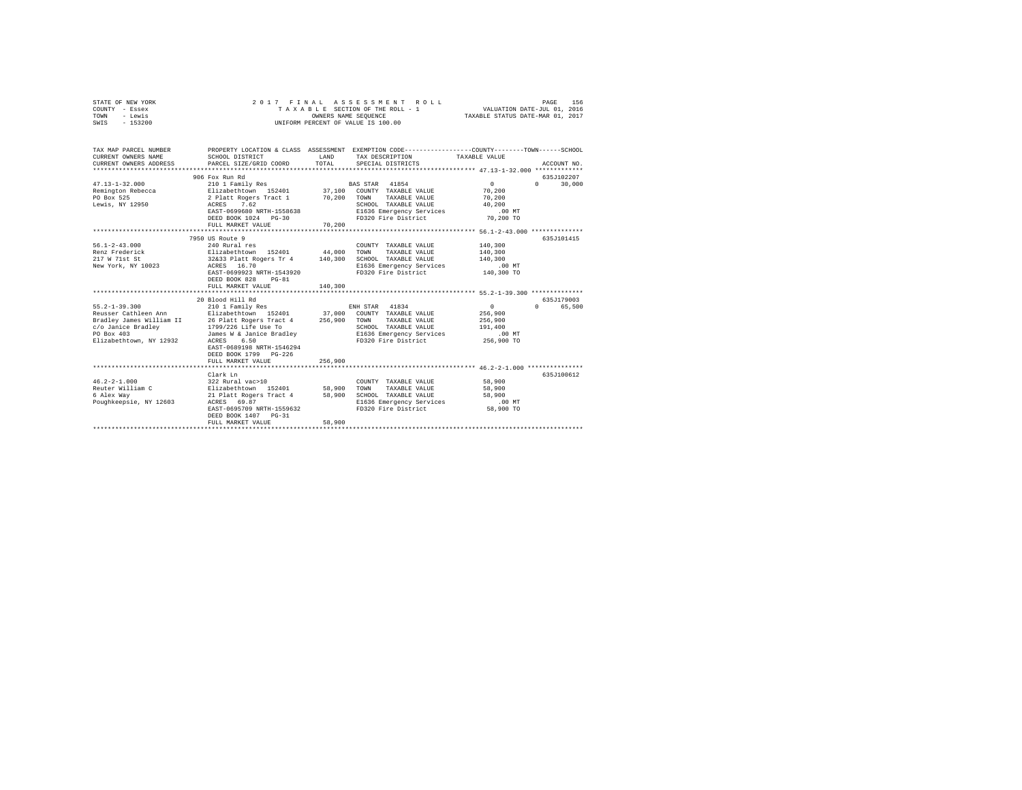| STATE OF NEW YORK<br>COUNTY - Essex<br>- Lewis<br>TOWN<br>$-153200$<br>SWIS                         | 2017 FINAL                                                                                      | OWNERS NAME SEOUENCE | ASSESSMENT ROLL<br>TAXABLE SECTION OF THE ROLL - 1<br>UNIFORM PERCENT OF VALUE IS 100.00 | VALUATION DATE-JUL 01, 2016<br>TAXABLE STATUS DATE-MAR 01, 2017 | 156<br>PAGE        |
|-----------------------------------------------------------------------------------------------------|-------------------------------------------------------------------------------------------------|----------------------|------------------------------------------------------------------------------------------|-----------------------------------------------------------------|--------------------|
| TAX MAP PARCEL NUMBER                                                                               | PROPERTY LOCATION & CLASS ASSESSMENT EXEMPTION CODE---------------COUNTY-------TOWN------SCHOOL |                      |                                                                                          |                                                                 |                    |
| CURRENT OWNERS NAME                                                                                 | SCHOOL DISTRICT                                                                                 | LAND                 | TAX DESCRIPTION                                                                          | TAXABLE VALUE                                                   |                    |
| CURRENT OWNERS ADDRESS                                                                              | PARCEL SIZE/GRID COORD                                                                          | TOTAL                | SPECIAL DISTRICTS                                                                        |                                                                 | ACCOUNT NO.        |
|                                                                                                     |                                                                                                 |                      |                                                                                          |                                                                 |                    |
|                                                                                                     | 906 Fox Run Rd                                                                                  |                      |                                                                                          |                                                                 | 635J102207         |
| $47.13 - 1 - 32.000$                                                                                | 210 1 Family Res                                                                                |                      | BAS STAR 41854                                                                           | $\sim$ 0                                                        | 30,000<br>$\cap$   |
| Remington Rebecca                                                                                   | Elizabethtown 152401 37,100 COUNTY TAXABLE VALUE                                                |                      |                                                                                          | 70,200                                                          |                    |
| PO Box 525                                                                                          | 2 Platt Rogers Tract 1 70,200<br>ACRES 7.62                                                     |                      | TOWN<br>TAXABLE VALUE                                                                    | 70,200                                                          |                    |
| Lewis, NY 12950                                                                                     | EAST-0699680 NRTH-1558638                                                                       |                      | SCHOOL TAXABLE VALUE                                                                     | 40,200                                                          |                    |
|                                                                                                     | DEED BOOK 1024   PG-30                                                                          |                      | E1636 Emergency Services<br>FD320 Fire District                                          | $.00$ MT<br>70,200 TO                                           |                    |
|                                                                                                     | FULL MARKET VALUE                                                                               | 70,200               |                                                                                          |                                                                 |                    |
|                                                                                                     |                                                                                                 |                      |                                                                                          |                                                                 |                    |
|                                                                                                     | 7950 US Route 9                                                                                 |                      |                                                                                          |                                                                 | 635J101415         |
| $56.1 - 2 - 43.000$                                                                                 | 240 Rural res                                                                                   |                      | COUNTY TAXABLE VALUE                                                                     | 140,300                                                         |                    |
|                                                                                                     |                                                                                                 |                      | TAXABLE VALUE<br>TOWN                                                                    | 140,300                                                         |                    |
|                                                                                                     |                                                                                                 |                      | SCHOOL TAXABLE VALUE                                                                     | 140,300                                                         |                    |
| New York, NY 10023                                                                                  | ACRES 16.70                                                                                     |                      | E1636 Emergency Services                                                                 | $.00$ MT                                                        |                    |
|                                                                                                     | EAST-0699923 NRTH-1543920                                                                       |                      | FD320 Fire District                                                                      | 140,300 TO                                                      |                    |
|                                                                                                     | DEED BOOK 828<br>$PG-81$                                                                        |                      |                                                                                          |                                                                 |                    |
|                                                                                                     | FULL MARKET VALUE                                                                               | 140,300              |                                                                                          |                                                                 |                    |
|                                                                                                     | 20 Blood Hill Rd                                                                                |                      |                                                                                          |                                                                 | 635.T179003        |
| $55.2 - 1 - 39.300$                                                                                 | 210 1 Family Res                                                                                |                      | ENH STAR 41834                                                                           | $\overline{0}$                                                  | 65,500<br>$\Omega$ |
|                                                                                                     |                                                                                                 |                      |                                                                                          | 256,900                                                         |                    |
| Peusser Cathleen Ann ann an Elizabethtown 152401<br>Reasser Cathleen Ann II 26 Platt Rogers Tract 4 |                                                                                                 |                      | 37,000 COUNTY TAXABLE VALUE<br>256,900 TOWN TAXABLE VALUE                                | 256,900                                                         |                    |
| c/o Janice Bradley                                                                                  |                                                                                                 |                      | SCHOOL TAXABLE VALUE                                                                     | 191,400                                                         |                    |
| PO Box 403                                                                                          | --<br>1799/226 Life Use To<br>James W & Janice Bradley                                          |                      | E1636 Emergency Services                                                                 | $.00$ MT                                                        |                    |
| Elizabethtown, NY 12932                                                                             | ACRES 6.50                                                                                      |                      | FD320 Fire District 256,900 TO                                                           |                                                                 |                    |
|                                                                                                     | EAST-0689198 NRTH-1546294                                                                       |                      |                                                                                          |                                                                 |                    |
|                                                                                                     | DEED BOOK 1799 PG-226                                                                           |                      |                                                                                          |                                                                 |                    |
|                                                                                                     | FULL MARKET VALUE                                                                               | 256,900              |                                                                                          |                                                                 |                    |
|                                                                                                     |                                                                                                 |                      |                                                                                          |                                                                 |                    |
|                                                                                                     | Clark Ln                                                                                        |                      |                                                                                          |                                                                 | 635J100612         |
| $46.2 - 2 - 1.000$<br>Reuter William C                                                              | 322 Rural vac>10<br>Elizabethtown 152401                                                        | 58,900               | COUNTY TAXABLE VALUE<br>TAXABLE VALUE<br>TOWN                                            | 58,900<br>58,900                                                |                    |
| 6 Alex Way                                                                                          | 21 Platt Rogers Tract 4                                                                         | 58,900               | SCHOOL TAXABLE VALUE                                                                     | 58,900                                                          |                    |
| Poughkeepsie, NY 12603                                                                              | ACRES 69.87                                                                                     |                      | E1636 Emergency Services                                                                 | $.00$ MT                                                        |                    |
|                                                                                                     | EAST-0695709 NRTH-1559632                                                                       |                      | FD320 Fire District                                                                      | 58,900 TO                                                       |                    |
|                                                                                                     | DEED BOOK 1407 PG-31                                                                            |                      |                                                                                          |                                                                 |                    |
|                                                                                                     | FULL MARKET VALUE                                                                               | 58,900               |                                                                                          |                                                                 |                    |
|                                                                                                     |                                                                                                 |                      |                                                                                          |                                                                 |                    |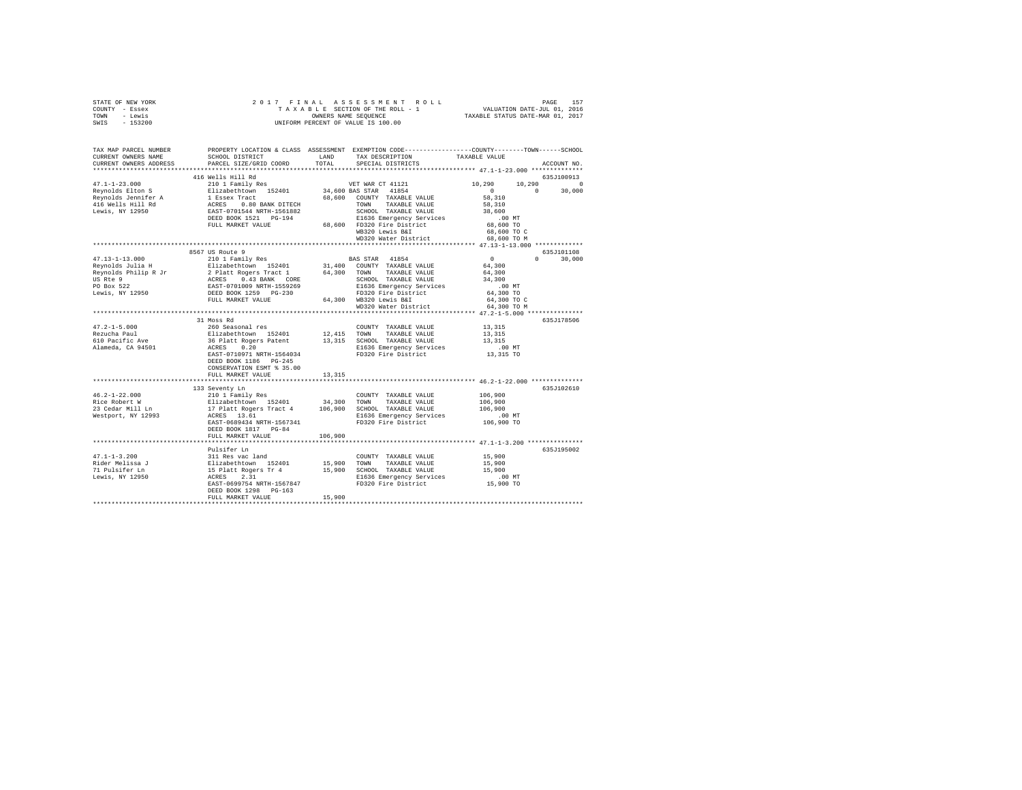| TOWN - Lewis<br>SWIS - 153200                        | OWNERS NAME SEQUENCE<br>UNIFORM PERCENT OF VALUE IS 100.00                                                                                                                                                                                                                                                                                                                                                                                   |        |                                                                                                                                                                                                                      | TAXABLE STATUS DATE-MAR 01, 2017                                                                                                                                                                                                                                                                                                                                                              |  |  |  |
|------------------------------------------------------|----------------------------------------------------------------------------------------------------------------------------------------------------------------------------------------------------------------------------------------------------------------------------------------------------------------------------------------------------------------------------------------------------------------------------------------------|--------|----------------------------------------------------------------------------------------------------------------------------------------------------------------------------------------------------------------------|-----------------------------------------------------------------------------------------------------------------------------------------------------------------------------------------------------------------------------------------------------------------------------------------------------------------------------------------------------------------------------------------------|--|--|--|
|                                                      |                                                                                                                                                                                                                                                                                                                                                                                                                                              |        |                                                                                                                                                                                                                      | TAX MAP PARCEL NUMBER PROPERTY LOCATION & CLASS ASSESSMENT EXEMPTION CODE---------------COUNTY-------TOWN-----SCHOOL                                                                                                                                                                                                                                                                          |  |  |  |
|                                                      |                                                                                                                                                                                                                                                                                                                                                                                                                                              |        |                                                                                                                                                                                                                      |                                                                                                                                                                                                                                                                                                                                                                                               |  |  |  |
|                                                      |                                                                                                                                                                                                                                                                                                                                                                                                                                              | TOTAL  |                                                                                                                                                                                                                      | ACCOUNT NO.<br>************************* 47.1-1-23.000 **************                                                                                                                                                                                                                                                                                                                         |  |  |  |
|                                                      |                                                                                                                                                                                                                                                                                                                                                                                                                                              |        |                                                                                                                                                                                                                      | $\begin{tabular}{l c c c c c c c c} \multicolumn{3}{c c c c c} \multicolumn{3}{c c c c} \multicolumn{3}{c c c c} \multicolumn{3}{c c c c} \multicolumn{3}{c c c} \multicolumn{3}{c c c} \multicolumn{3}{c c c} \multicolumn{3}{c c c} \multicolumn{3}{c c c} \multicolumn{3}{c c c} \multicolumn{3}{c c c} \multicolumn{3}{c c c} \multicolumn{3}{c c c} \multicolumn{3}{c c c} \multicolumn$ |  |  |  |
|                                                      |                                                                                                                                                                                                                                                                                                                                                                                                                                              |        |                                                                                                                                                                                                                      |                                                                                                                                                                                                                                                                                                                                                                                               |  |  |  |
|                                                      |                                                                                                                                                                                                                                                                                                                                                                                                                                              |        |                                                                                                                                                                                                                      |                                                                                                                                                                                                                                                                                                                                                                                               |  |  |  |
|                                                      |                                                                                                                                                                                                                                                                                                                                                                                                                                              |        |                                                                                                                                                                                                                      |                                                                                                                                                                                                                                                                                                                                                                                               |  |  |  |
|                                                      |                                                                                                                                                                                                                                                                                                                                                                                                                                              |        |                                                                                                                                                                                                                      |                                                                                                                                                                                                                                                                                                                                                                                               |  |  |  |
|                                                      |                                                                                                                                                                                                                                                                                                                                                                                                                                              |        |                                                                                                                                                                                                                      |                                                                                                                                                                                                                                                                                                                                                                                               |  |  |  |
|                                                      |                                                                                                                                                                                                                                                                                                                                                                                                                                              |        |                                                                                                                                                                                                                      |                                                                                                                                                                                                                                                                                                                                                                                               |  |  |  |
|                                                      |                                                                                                                                                                                                                                                                                                                                                                                                                                              |        |                                                                                                                                                                                                                      | 68,600 TO                                                                                                                                                                                                                                                                                                                                                                                     |  |  |  |
|                                                      |                                                                                                                                                                                                                                                                                                                                                                                                                                              |        | VB320 Lewis B&I<br>WB320 Lewis B&I 68,600 TO C<br>WD320 Water District 68,600 TO M                                                                                                                                   |                                                                                                                                                                                                                                                                                                                                                                                               |  |  |  |
|                                                      | SCHOOL TAXABLE VALUE<br>FULL MARKET VALUE<br>FULL MARKET VALUE<br>68,600 FD320 Fire District<br>WB320 Lewis B&I                                                                                                                                                                                                                                                                                                                              |        |                                                                                                                                                                                                                      |                                                                                                                                                                                                                                                                                                                                                                                               |  |  |  |
|                                                      |                                                                                                                                                                                                                                                                                                                                                                                                                                              |        |                                                                                                                                                                                                                      |                                                                                                                                                                                                                                                                                                                                                                                               |  |  |  |
|                                                      |                                                                                                                                                                                                                                                                                                                                                                                                                                              |        |                                                                                                                                                                                                                      | 635J101108                                                                                                                                                                                                                                                                                                                                                                                    |  |  |  |
|                                                      |                                                                                                                                                                                                                                                                                                                                                                                                                                              |        |                                                                                                                                                                                                                      | $0 \t 30,000$                                                                                                                                                                                                                                                                                                                                                                                 |  |  |  |
|                                                      |                                                                                                                                                                                                                                                                                                                                                                                                                                              |        |                                                                                                                                                                                                                      |                                                                                                                                                                                                                                                                                                                                                                                               |  |  |  |
|                                                      |                                                                                                                                                                                                                                                                                                                                                                                                                                              |        |                                                                                                                                                                                                                      |                                                                                                                                                                                                                                                                                                                                                                                               |  |  |  |
|                                                      |                                                                                                                                                                                                                                                                                                                                                                                                                                              |        |                                                                                                                                                                                                                      |                                                                                                                                                                                                                                                                                                                                                                                               |  |  |  |
|                                                      |                                                                                                                                                                                                                                                                                                                                                                                                                                              |        |                                                                                                                                                                                                                      |                                                                                                                                                                                                                                                                                                                                                                                               |  |  |  |
|                                                      |                                                                                                                                                                                                                                                                                                                                                                                                                                              |        |                                                                                                                                                                                                                      |                                                                                                                                                                                                                                                                                                                                                                                               |  |  |  |
|                                                      |                                                                                                                                                                                                                                                                                                                                                                                                                                              |        |                                                                                                                                                                                                                      |                                                                                                                                                                                                                                                                                                                                                                                               |  |  |  |
|                                                      | $\begin{tabular}{l c c c c c} \multicolumn{3}{c}{\textbf{0.1}} & \multicolumn{3}{c}{\textbf{0.1}} & \multicolumn{3}{c}{\textbf{0.1}} & \multicolumn{3}{c}{\textbf{0.1}} & \multicolumn{3}{c}{\textbf{0.1}} & \multicolumn{3}{c}{\textbf{0.1}} & \multicolumn{3}{c}{\textbf{0.1}} & \multicolumn{3}{c}{\textbf{0.1}} & \multicolumn{3}{c}{\textbf{0.1}} & \multicolumn{3}{c}{\textbf{0.1}} & \multicolumn{3}{c}{\textbf{0.1}} & \multicolumn$ |        |                                                                                                                                                                                                                      |                                                                                                                                                                                                                                                                                                                                                                                               |  |  |  |
|                                                      |                                                                                                                                                                                                                                                                                                                                                                                                                                              |        |                                                                                                                                                                                                                      | 635J178506                                                                                                                                                                                                                                                                                                                                                                                    |  |  |  |
| $47.2 - 1 - 5.000$                                   |                                                                                                                                                                                                                                                                                                                                                                                                                                              |        |                                                                                                                                                                                                                      |                                                                                                                                                                                                                                                                                                                                                                                               |  |  |  |
|                                                      |                                                                                                                                                                                                                                                                                                                                                                                                                                              |        |                                                                                                                                                                                                                      |                                                                                                                                                                                                                                                                                                                                                                                               |  |  |  |
|                                                      |                                                                                                                                                                                                                                                                                                                                                                                                                                              |        |                                                                                                                                                                                                                      |                                                                                                                                                                                                                                                                                                                                                                                               |  |  |  |
| Rezucha Paul<br>610 Pacific Ave<br>Alameda, CA 94501 |                                                                                                                                                                                                                                                                                                                                                                                                                                              |        |                                                                                                                                                                                                                      |                                                                                                                                                                                                                                                                                                                                                                                               |  |  |  |
|                                                      |                                                                                                                                                                                                                                                                                                                                                                                                                                              |        |                                                                                                                                                                                                                      |                                                                                                                                                                                                                                                                                                                                                                                               |  |  |  |
|                                                      |                                                                                                                                                                                                                                                                                                                                                                                                                                              |        |                                                                                                                                                                                                                      |                                                                                                                                                                                                                                                                                                                                                                                               |  |  |  |
|                                                      | CONSERVATION ESMT % 35.00                                                                                                                                                                                                                                                                                                                                                                                                                    |        |                                                                                                                                                                                                                      |                                                                                                                                                                                                                                                                                                                                                                                               |  |  |  |
|                                                      | FULL MARKET VALUE                                                                                                                                                                                                                                                                                                                                                                                                                            | 13,315 |                                                                                                                                                                                                                      |                                                                                                                                                                                                                                                                                                                                                                                               |  |  |  |
|                                                      |                                                                                                                                                                                                                                                                                                                                                                                                                                              |        |                                                                                                                                                                                                                      | 635J102610                                                                                                                                                                                                                                                                                                                                                                                    |  |  |  |
| $46.2 - 1 - 22.000$                                  | 133 Seventy Ln<br>210 1 Family Res                                                                                                                                                                                                                                                                                                                                                                                                           |        |                                                                                                                                                                                                                      |                                                                                                                                                                                                                                                                                                                                                                                               |  |  |  |
| Rice Robert W                                        |                                                                                                                                                                                                                                                                                                                                                                                                                                              |        |                                                                                                                                                                                                                      |                                                                                                                                                                                                                                                                                                                                                                                               |  |  |  |
| Rice Robert w<br>23 Cedar Mill Ln                    |                                                                                                                                                                                                                                                                                                                                                                                                                                              |        |                                                                                                                                                                                                                      |                                                                                                                                                                                                                                                                                                                                                                                               |  |  |  |
| Westport, NY 12993                                   | ACRES 13.61                                                                                                                                                                                                                                                                                                                                                                                                                                  |        |                                                                                                                                                                                                                      |                                                                                                                                                                                                                                                                                                                                                                                               |  |  |  |
|                                                      | 33 Seventy Ln $210$ I ramily Res $106,900$<br>2101 Family Res $106,900$<br>217 Platt Rogers Tract 4 $106,900$<br>34,300 TOWN TAXABLE VALUE $106,900$<br>217 Platt Rogers Tract 4 $106,900$<br>21636 Emergency Services 00 MT<br>21636 Eme                                                                                                                                                                                                    |        |                                                                                                                                                                                                                      |                                                                                                                                                                                                                                                                                                                                                                                               |  |  |  |
|                                                      | DEED BOOK 1817 PG-84                                                                                                                                                                                                                                                                                                                                                                                                                         |        |                                                                                                                                                                                                                      |                                                                                                                                                                                                                                                                                                                                                                                               |  |  |  |
|                                                      | FULL MARKET VALUE 106,900                                                                                                                                                                                                                                                                                                                                                                                                                    |        |                                                                                                                                                                                                                      |                                                                                                                                                                                                                                                                                                                                                                                               |  |  |  |
|                                                      |                                                                                                                                                                                                                                                                                                                                                                                                                                              |        |                                                                                                                                                                                                                      |                                                                                                                                                                                                                                                                                                                                                                                               |  |  |  |
|                                                      | Pulsifer Ln<br>311 Res vac land<br>Elizabethcown 152401 15,900 TOWN TAXABLE VALUE<br>15 Platt Rogers Tr 4 15,900 SCHOOL TAXABLE VALUE<br>ACRES 2.31 15,900 SCHOOL TAXABLE VALUE<br>EL636 Franconcord                                                                                                                                                                                                                                         |        |                                                                                                                                                                                                                      | 635J195002                                                                                                                                                                                                                                                                                                                                                                                    |  |  |  |
| 47.1-1-3.200<br>Rider Melissa J                      |                                                                                                                                                                                                                                                                                                                                                                                                                                              |        | $\begin{tabular}{lllllllllllll} \multicolumn{2}{c}{\text{COUNTY}} & \text{TAXABLE VALUE} & & & 15\, , \text{900} \\ \multicolumn{2}{c}{\text{TOWN}} & \text{TAXABLE VALUE} & & & 15\, , \text{900} \\ \end{tabular}$ |                                                                                                                                                                                                                                                                                                                                                                                               |  |  |  |
|                                                      |                                                                                                                                                                                                                                                                                                                                                                                                                                              |        |                                                                                                                                                                                                                      |                                                                                                                                                                                                                                                                                                                                                                                               |  |  |  |
| 71 Pulsifer Ln                                       |                                                                                                                                                                                                                                                                                                                                                                                                                                              |        |                                                                                                                                                                                                                      | 15,900                                                                                                                                                                                                                                                                                                                                                                                        |  |  |  |
| Lewis, NY 12950                                      |                                                                                                                                                                                                                                                                                                                                                                                                                                              |        |                                                                                                                                                                                                                      |                                                                                                                                                                                                                                                                                                                                                                                               |  |  |  |
|                                                      |                                                                                                                                                                                                                                                                                                                                                                                                                                              |        |                                                                                                                                                                                                                      |                                                                                                                                                                                                                                                                                                                                                                                               |  |  |  |
|                                                      | DEED BOOK 1298 PG-163<br>FULL MARKET VALUE                                                                                                                                                                                                                                                                                                                                                                                                   | 15,900 |                                                                                                                                                                                                                      |                                                                                                                                                                                                                                                                                                                                                                                               |  |  |  |
|                                                      |                                                                                                                                                                                                                                                                                                                                                                                                                                              |        |                                                                                                                                                                                                                      |                                                                                                                                                                                                                                                                                                                                                                                               |  |  |  |

STATE OF NEW YORK 2 0 1 7 F I N A L A S S E S S M E N T R O L L PAGE 157 COUNTY - Essex T A X A B L E SECTION OF THE ROLL - 1 VALUATION DATE-JUL 01, 2016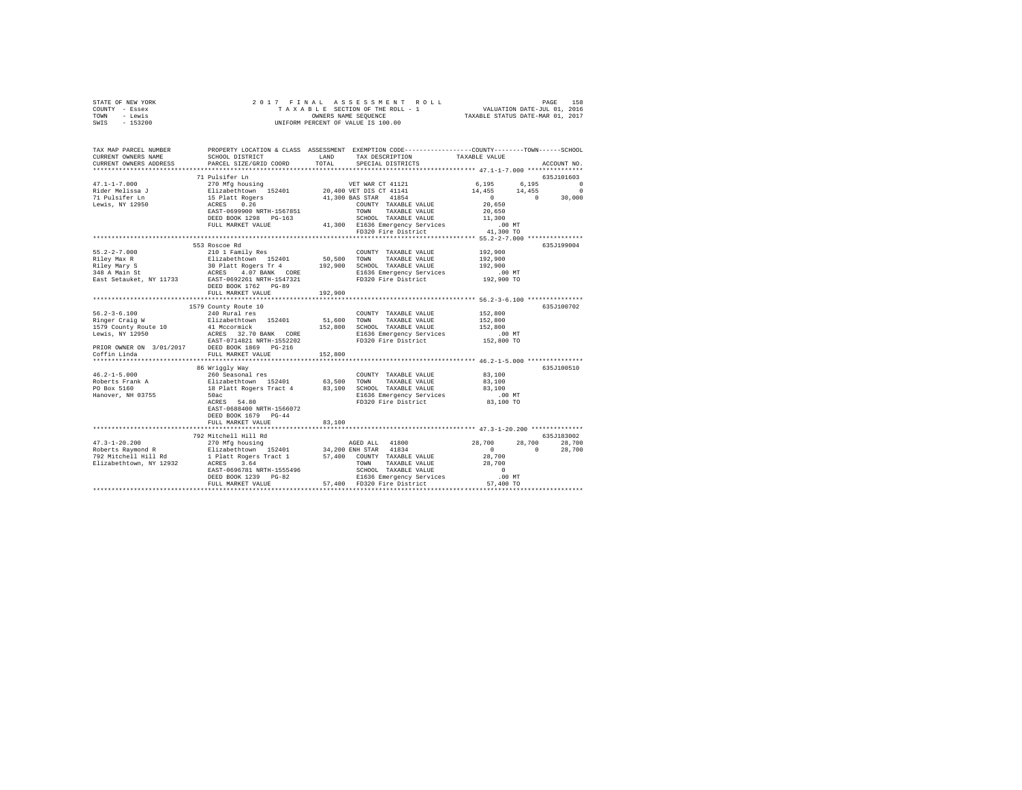| TAX MAP PARCEL NUMBER PROPERTY LOCATION & CLASS ASSESSMENT EXEMPTION CODE--------------COUNTY-------TOWN------SCHOOL<br>SCHOOL DISTRICT<br>LAND TAX DESCRIPTION<br>TAXABLE VALUE<br>CURRENT OWNERS NAME<br>                                                                                                                                                                                                                         |  |
|-------------------------------------------------------------------------------------------------------------------------------------------------------------------------------------------------------------------------------------------------------------------------------------------------------------------------------------------------------------------------------------------------------------------------------------|--|
|                                                                                                                                                                                                                                                                                                                                                                                                                                     |  |
|                                                                                                                                                                                                                                                                                                                                                                                                                                     |  |
|                                                                                                                                                                                                                                                                                                                                                                                                                                     |  |
|                                                                                                                                                                                                                                                                                                                                                                                                                                     |  |
|                                                                                                                                                                                                                                                                                                                                                                                                                                     |  |
|                                                                                                                                                                                                                                                                                                                                                                                                                                     |  |
| Lewis, NY 12950                                                                                                                                                                                                                                                                                                                                                                                                                     |  |
|                                                                                                                                                                                                                                                                                                                                                                                                                                     |  |
|                                                                                                                                                                                                                                                                                                                                                                                                                                     |  |
|                                                                                                                                                                                                                                                                                                                                                                                                                                     |  |
|                                                                                                                                                                                                                                                                                                                                                                                                                                     |  |
| 553 Roscoe Rd<br>635J199004                                                                                                                                                                                                                                                                                                                                                                                                         |  |
| 192,900<br>210 1 Family Res<br>$55.2 - 2 - 7.000$<br>COUNTY TAXABLE VALUE                                                                                                                                                                                                                                                                                                                                                           |  |
| 192,900<br>192,900                                                                                                                                                                                                                                                                                                                                                                                                                  |  |
|                                                                                                                                                                                                                                                                                                                                                                                                                                     |  |
| 93.2-2-7.000<br>FRIEV Marx Strain and The Extreme of the Marx Strain and Headers Transaction (192,900 SCM) TAXABLE VALUE<br>Riey Marx Strain 31<br>192,900 SCM TAXABLE VALUE<br>193.900 SCM TAXABLE VALUE<br>193.900 SCM TAXABLE VALUE<br>.00 MT<br>192,900 TO                                                                                                                                                                      |  |
| DEED BOOK 1762 PG-89                                                                                                                                                                                                                                                                                                                                                                                                                |  |
| FULL MARKET VALUE<br>192,900                                                                                                                                                                                                                                                                                                                                                                                                        |  |
|                                                                                                                                                                                                                                                                                                                                                                                                                                     |  |
| 635J100702                                                                                                                                                                                                                                                                                                                                                                                                                          |  |
|                                                                                                                                                                                                                                                                                                                                                                                                                                     |  |
|                                                                                                                                                                                                                                                                                                                                                                                                                                     |  |
|                                                                                                                                                                                                                                                                                                                                                                                                                                     |  |
|                                                                                                                                                                                                                                                                                                                                                                                                                                     |  |
| PRIOR OWNER ON 3/01/2017<br>Coffin Linda PULL MARKET VALUE                                                                                                                                                                                                                                                                                                                                                                          |  |
| 152,800<br>****************************** 46.2-1-5.000 ***************                                                                                                                                                                                                                                                                                                                                                              |  |
| 635J100510<br>86 Wriggly Way                                                                                                                                                                                                                                                                                                                                                                                                        |  |
| $46.2 - 1 - 5.000$<br>$\begin{tabular}{lllllll} \multicolumn{2}{l}{{\bf COUNTY}} & \multicolumn{2}{l}{\bf{TAXABLE}} & \multicolumn{2}{l}{\bf VALUE} & \multicolumn{2}{l}{\bf 83,100} \end{tabular}$                                                                                                                                                                                                                                 |  |
| Roberts Frank A<br>PO Box 5160<br>83,100                                                                                                                                                                                                                                                                                                                                                                                            |  |
| 83,100                                                                                                                                                                                                                                                                                                                                                                                                                              |  |
| 00 MH291 May 1820<br>Elizabethcoven 152401 63,500 TOWNTY TAXABLE VALUE<br>Elizabethcoven 152401 63,500 TOWN TAXABLE VALUE<br>18 Platt Rogers Tract 4 83,100 SCROOL TAXABLE VALUE<br>FO320 Fire District<br>ER36 Emergency Services<br>ER36<br>Hanover, NH 03755<br>$.00$ MT<br>83,100 TO                                                                                                                                            |  |
| EAST-0688400 NRTH-1566072                                                                                                                                                                                                                                                                                                                                                                                                           |  |
| DEED BOOK 1679 PG-44                                                                                                                                                                                                                                                                                                                                                                                                                |  |
| FULL MARKET VALUE<br>83,100                                                                                                                                                                                                                                                                                                                                                                                                         |  |
|                                                                                                                                                                                                                                                                                                                                                                                                                                     |  |
| 792 Mitchell Hill Rd<br>635J183002                                                                                                                                                                                                                                                                                                                                                                                                  |  |
| 28,700 28,700<br>0 28,700                                                                                                                                                                                                                                                                                                                                                                                                           |  |
|                                                                                                                                                                                                                                                                                                                                                                                                                                     |  |
|                                                                                                                                                                                                                                                                                                                                                                                                                                     |  |
|                                                                                                                                                                                                                                                                                                                                                                                                                                     |  |
| $\begin{tabular}{l c c c c} \multicolumn{3}{c}{\textbf{47.3--1-20.200}} & \multicolumn{3}{c}{\textbf{792} Mitchell Hill and} & \multicolumn{3}{c}{\textbf{270} Mfg hours} & \multicolumn{3}{c}{\textbf{AGED ALL}} & \multicolumn{3}{c}{\textbf{41800}} & \multicolumn{3}{c}{\textbf{28.700}} & \multicolumn{3}{c}{\textbf{29.700}} & \multicolumn{3}{c}{\textbf{20.80}} & \multicolumn{3}{c}{\textbf{20.80}} & \multicolumn{3}{c}{$ |  |
|                                                                                                                                                                                                                                                                                                                                                                                                                                     |  |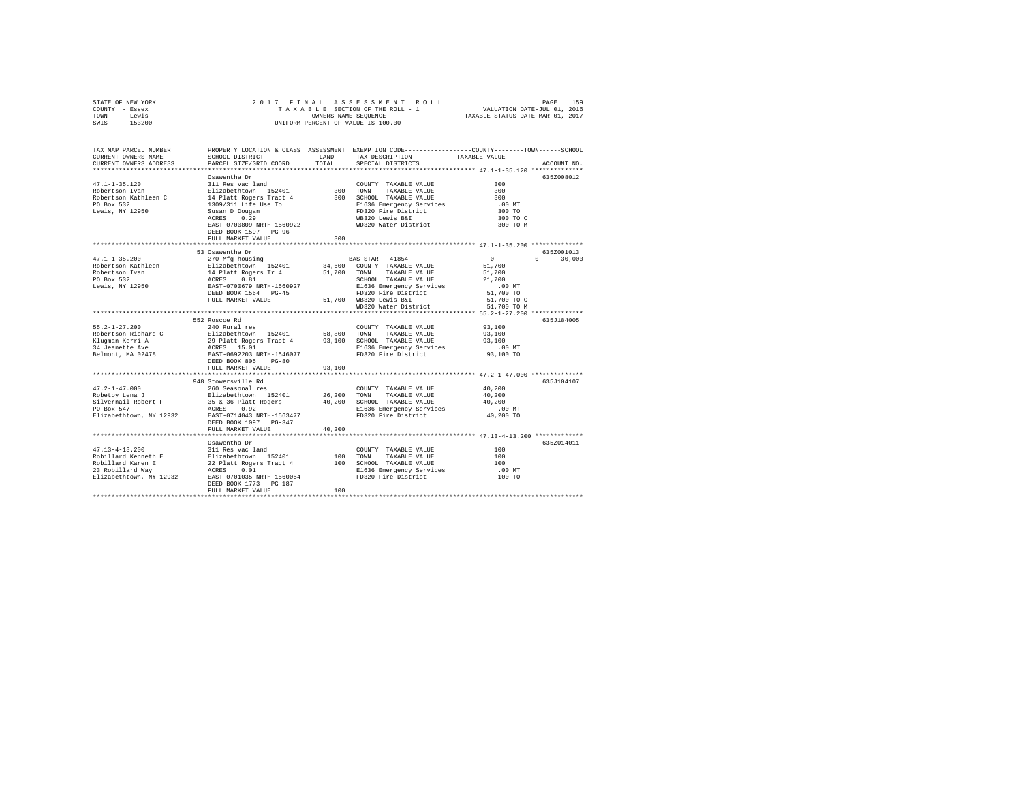| STATE OF NEW YORK                                                                                                                                                                                                                                                                                                                                             |                                                                                                                                                                       |        |                                                                                                 |                    |               |
|---------------------------------------------------------------------------------------------------------------------------------------------------------------------------------------------------------------------------------------------------------------------------------------------------------------------------------------------------------------|-----------------------------------------------------------------------------------------------------------------------------------------------------------------------|--------|-------------------------------------------------------------------------------------------------|--------------------|---------------|
| COUNTY - Essex                                                                                                                                                                                                                                                                                                                                                |                                                                                                                                                                       |        |                                                                                                 |                    |               |
| TOWN - Lewis                                                                                                                                                                                                                                                                                                                                                  |                                                                                                                                                                       |        |                                                                                                 |                    |               |
| SWIS - 153200                                                                                                                                                                                                                                                                                                                                                 |                                                                                                                                                                       |        |                                                                                                 |                    |               |
|                                                                                                                                                                                                                                                                                                                                                               |                                                                                                                                                                       |        |                                                                                                 |                    |               |
|                                                                                                                                                                                                                                                                                                                                                               |                                                                                                                                                                       |        |                                                                                                 |                    |               |
|                                                                                                                                                                                                                                                                                                                                                               |                                                                                                                                                                       |        |                                                                                                 |                    |               |
| TAX MAP PARCEL NUMBER                                                                                                                                                                                                                                                                                                                                         |                                                                                                                                                                       |        | PROPERTY LOCATION & CLASS ASSESSMENT EXEMPTION CODE---------------COUNTY-------TOWN------SCHOOL |                    |               |
| CURRENT OWNERS NAME                                                                                                                                                                                                                                                                                                                                           | SCHOOL DISTRICT                                                                                                                                                       | LAND   | TAX DESCRIPTION                                                                                 | TAXABLE VALUE      |               |
| CURRENT OWNERS ADDRESS                                                                                                                                                                                                                                                                                                                                        | PARCEL SIZE/GRID COORD                                                                                                                                                | TOTAL  | SPECIAL DISTRICTS                                                                               |                    | ACCOUNT NO.   |
|                                                                                                                                                                                                                                                                                                                                                               |                                                                                                                                                                       |        |                                                                                                 |                    |               |
|                                                                                                                                                                                                                                                                                                                                                               | Osawentha Dr                                                                                                                                                          |        |                                                                                                 |                    | 635Z008012    |
| $47.1 - 1 - 35.120$                                                                                                                                                                                                                                                                                                                                           |                                                                                                                                                                       |        |                                                                                                 | 300                |               |
| Robertson Ivan                                                                                                                                                                                                                                                                                                                                                |                                                                                                                                                                       |        |                                                                                                 | 300                |               |
| Robertson Kathleen C                                                                                                                                                                                                                                                                                                                                          | 311 Res vac land<br>Elizabethtown 152401 1300 TOWN TAXABLE VALUE<br>14 Platt Rogers Tract 4 300 SCHOOL TAXABLE VALUE                                                  |        |                                                                                                 | 300                |               |
|                                                                                                                                                                                                                                                                                                                                                               |                                                                                                                                                                       |        |                                                                                                 |                    |               |
| PO Box 532                                                                                                                                                                                                                                                                                                                                                    | 1309/311 Life Use To                                                                                                                                                  |        | Elf36 Emergency Services<br>FD320 Fire District<br>WB320 Lewis B&I<br>WD320 Water District      | $.00$ MT           |               |
| Lewis, NY 12950                                                                                                                                                                                                                                                                                                                                               | Susan D Dougan<br>ACRES 0.29                                                                                                                                          |        |                                                                                                 | 300 TO             |               |
|                                                                                                                                                                                                                                                                                                                                                               |                                                                                                                                                                       |        |                                                                                                 | 300 TO C           |               |
|                                                                                                                                                                                                                                                                                                                                                               | EAST-0700809 NRTH-1560922                                                                                                                                             |        |                                                                                                 | 300 TO M           |               |
|                                                                                                                                                                                                                                                                                                                                                               | DEED BOOK 1597 PG-96                                                                                                                                                  |        |                                                                                                 |                    |               |
|                                                                                                                                                                                                                                                                                                                                                               | FULL MARKET VALUE                                                                                                                                                     | 300    |                                                                                                 |                    |               |
|                                                                                                                                                                                                                                                                                                                                                               |                                                                                                                                                                       |        |                                                                                                 |                    |               |
|                                                                                                                                                                                                                                                                                                                                                               | 53 Osawentha Dr                                                                                                                                                       |        |                                                                                                 |                    | 635Z001013    |
| $47.1 - 1 - 35.200$                                                                                                                                                                                                                                                                                                                                           | 270 Mfg housing                                                                                                                                                       |        | BAS STAR 41854                                                                                  | $\sim$ 0           | $0 \t 30,000$ |
| Robertson Kathleen                                                                                                                                                                                                                                                                                                                                            |                                                                                                                                                                       |        |                                                                                                 | 51,700             |               |
| Robertson Ivan<br>PO Box 532<br>Lewis, NY 12950                                                                                                                                                                                                                                                                                                               |                                                                                                                                                                       |        |                                                                                                 | 51,700             |               |
|                                                                                                                                                                                                                                                                                                                                                               |                                                                                                                                                                       |        |                                                                                                 | 21,700             |               |
|                                                                                                                                                                                                                                                                                                                                                               |                                                                                                                                                                       |        |                                                                                                 | $.00$ MT           |               |
|                                                                                                                                                                                                                                                                                                                                                               |                                                                                                                                                                       |        | E1636 Emergency Services<br>FD320 Fire District                                                 | 51,700 TO          |               |
|                                                                                                                                                                                                                                                                                                                                                               | FULL MARKET VALUE                                                                                                                                                     |        |                                                                                                 | 51,700 TO C        |               |
|                                                                                                                                                                                                                                                                                                                                                               |                                                                                                                                                                       |        | 51,700 WB320 Lewis B&I<br>WD320 Water District                                                  | 51,700 TO M        |               |
|                                                                                                                                                                                                                                                                                                                                                               |                                                                                                                                                                       |        |                                                                                                 |                    |               |
|                                                                                                                                                                                                                                                                                                                                                               | 552 Roscoe Rd                                                                                                                                                         |        |                                                                                                 |                    | 635J184005    |
| $55.2 - 1 - 27.200$                                                                                                                                                                                                                                                                                                                                           | 240 Rural res                                                                                                                                                         |        |                                                                                                 |                    |               |
|                                                                                                                                                                                                                                                                                                                                                               |                                                                                                                                                                       |        | COUNTY TAXABLE VALUE 93,100                                                                     |                    |               |
| Robertson Richard C                                                                                                                                                                                                                                                                                                                                           | COUNTY TAXABLE VALUE<br>Elizabethtown 152401 58,800 TOWN TAXABLE VALUE<br>29 Platt Rogers Tract 4 93,100 SCHOOL TAXABLE VALUE<br>ACRES 15.01 21636 Emergency Services |        |                                                                                                 | 93,100             |               |
| Klugman Kerri A                                                                                                                                                                                                                                                                                                                                               |                                                                                                                                                                       |        |                                                                                                 | 93,100             |               |
| 34 Jeanette Ave                                                                                                                                                                                                                                                                                                                                               |                                                                                                                                                                       |        | E1636 Emergency Services<br>FD320 Fire District                                                 | $.00$ MT           |               |
| Belmont, MA 02478                                                                                                                                                                                                                                                                                                                                             | EAST-0692203 NRTH-1546077                                                                                                                                             |        |                                                                                                 | 93,100 TO          |               |
|                                                                                                                                                                                                                                                                                                                                                               | DEED BOOK 805 PG-80                                                                                                                                                   |        |                                                                                                 |                    |               |
|                                                                                                                                                                                                                                                                                                                                                               | FULL MARKET VALUE                                                                                                                                                     | 93,100 |                                                                                                 |                    |               |
|                                                                                                                                                                                                                                                                                                                                                               |                                                                                                                                                                       |        |                                                                                                 |                    |               |
|                                                                                                                                                                                                                                                                                                                                                               | 948 Stowersville Rd                                                                                                                                                   |        |                                                                                                 |                    | 635J104107    |
| $47.2 - 1 - 47.000$                                                                                                                                                                                                                                                                                                                                           | 260 Seasonal res                                                                                                                                                      |        | COUNTY TAXABLE VALUE                                                                            | 40,200             |               |
|                                                                                                                                                                                                                                                                                                                                                               |                                                                                                                                                                       |        |                                                                                                 | 40,200             |               |
|                                                                                                                                                                                                                                                                                                                                                               |                                                                                                                                                                       |        |                                                                                                 | 40,200             |               |
|                                                                                                                                                                                                                                                                                                                                                               |                                                                                                                                                                       |        | E1636 Emergency Services                                                                        | .00 MT             |               |
| $\verb Elizablechtown, NY 12932   \qquad \verb EAST-0714043 NRTH-1563477$                                                                                                                                                                                                                                                                                     |                                                                                                                                                                       |        | FD320 Fire District                                                                             | 40,200 TO          |               |
|                                                                                                                                                                                                                                                                                                                                                               | DEED BOOK 1097 PG-347                                                                                                                                                 |        |                                                                                                 |                    |               |
|                                                                                                                                                                                                                                                                                                                                                               | FULL MARKET VALUE                                                                                                                                                     | 40,200 |                                                                                                 |                    |               |
|                                                                                                                                                                                                                                                                                                                                                               |                                                                                                                                                                       |        |                                                                                                 |                    |               |
|                                                                                                                                                                                                                                                                                                                                                               |                                                                                                                                                                       |        |                                                                                                 |                    |               |
|                                                                                                                                                                                                                                                                                                                                                               | Osawentha Dr                                                                                                                                                          |        |                                                                                                 |                    | 635Z014011    |
| $47.13 - 4 - 13.200$                                                                                                                                                                                                                                                                                                                                          | 311 Res vac land                                                                                                                                                      |        | COUNTY TAXABLE VALUE                                                                            | 100                |               |
|                                                                                                                                                                                                                                                                                                                                                               |                                                                                                                                                                       |        |                                                                                                 | 100                |               |
|                                                                                                                                                                                                                                                                                                                                                               |                                                                                                                                                                       |        |                                                                                                 | 100                |               |
|                                                                                                                                                                                                                                                                                                                                                               |                                                                                                                                                                       |        |                                                                                                 | $.00$ MT<br>100 TO |               |
| ${\small \begin{tabular}{lcccc} $4$ & $1.1$ - $4$ - $1.2.00$ \\ Robillard Kenneth E & & $11$ & $14$ & $34$ & $100$ & $170$ & $170$ & $170$ & $170$ & $170$ & $180$ & $140$ & $160$ \\ Robillard Karen E & & $22$ & $11$ & $160$ & $100$ & $170$ & $170$ & $170$ & $170$ & $180$ & $160$ \\ Robillard Karen E & & $22$ & $11$ & $160$ & $100$ & $170$ & $170$$ |                                                                                                                                                                       |        |                                                                                                 |                    |               |
|                                                                                                                                                                                                                                                                                                                                                               | DEED BOOK 1773 PG-187                                                                                                                                                 |        |                                                                                                 |                    |               |
|                                                                                                                                                                                                                                                                                                                                                               | FULL MARKET VALUE                                                                                                                                                     | 100    |                                                                                                 |                    |               |
|                                                                                                                                                                                                                                                                                                                                                               |                                                                                                                                                                       |        |                                                                                                 |                    |               |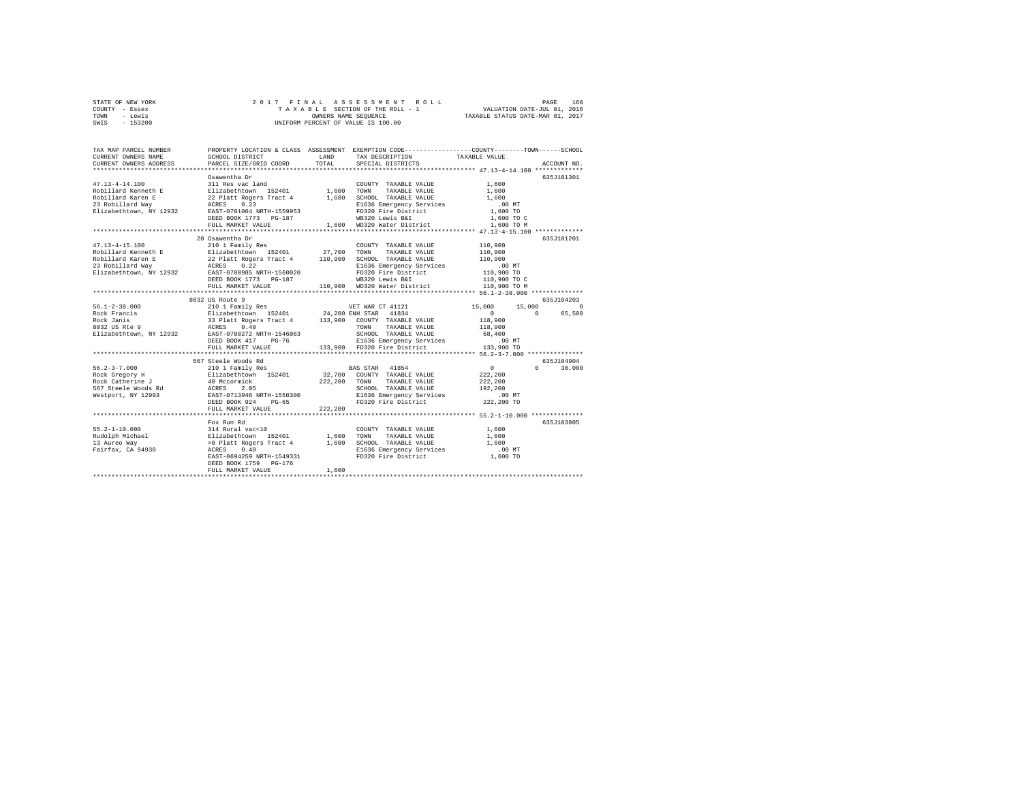| STATE OF NEW YORK |           |  |  |  | 2017 FINAL ASSESSMENT ROLL         |                                  | PAGE                        | 160 |
|-------------------|-----------|--|--|--|------------------------------------|----------------------------------|-----------------------------|-----|
| COUNTY - Essex    |           |  |  |  | TAXABLE SECTION OF THE ROLL - 1    |                                  | VALUATION DATE-JUL 01, 2016 |     |
| TOWN              | - Lewis   |  |  |  | OWNERS NAME SEOUENCE               | TAXABLE STATUS DATE-MAR 01, 2017 |                             |     |
| SWIS              | $-153200$ |  |  |  | UNIFORM PERCENT OF VALUE IS 100.00 |                                  |                             |     |

| TAX MAP PARCEL NUMBER<br>CURRENT OWNERS NAME<br>CURRENT OWNERS ADDRESS                                          | PROPERTY LOCATION & CLASS ASSESSMENT<br>SCHOOL DISTRICT<br>PARCEL SIZE/GRID COORD                                                                                                                                                                               | LAND<br>TOTAL           | EXEMPTION CODE----------------COUNTY-------TOWN------SCHOOL<br>TAX DESCRIPTION<br>SPECIAL DISTRICTS                                                                     | TAXABLE VALUE                                                                          | ACCOUNT NO.          |
|-----------------------------------------------------------------------------------------------------------------|-----------------------------------------------------------------------------------------------------------------------------------------------------------------------------------------------------------------------------------------------------------------|-------------------------|-------------------------------------------------------------------------------------------------------------------------------------------------------------------------|----------------------------------------------------------------------------------------|----------------------|
| $47.13 - 4 - 14.100$<br>Robillard Kenneth E<br>Robillard Karen E<br>23 Robillard Way<br>Elizabethtown, NY 12932 | Osawentha Dr<br>311 Res vac land<br>Elizabethtown 152401 1,600 TOWN<br>22 Platt Rogers Tract 4<br>22 Pla<br>ACRES<br>0.23<br>EAST-0701064 NRTH-1559953<br>DEED BOOK 1773 PG-187<br>FULL MARKET VALUE<br>**************************                              |                         | COUNTY TAXABLE VALUE<br>TAXABLE VALUE<br>1,600 SCHOOL TAXABLE VALUE<br>E1636 Emergency Services<br>FD320 Fire District<br>WB320 Lewis B&I<br>1,600 WD320 Water District | 1,600<br>1,600<br>1,600<br>.00MT<br>1,600 TO<br>1,600 TO C<br>1,600 TO M               | 635J101301           |
| $47.13 - 4 - 15.100$<br>Robillard Kenneth E<br>Robillard Karen E<br>23 Robillard Way<br>Elizabethtown, NY 12932 | 20 Osawentha Dr<br>210 1 Family Res<br>Elizabethtown 152401 27,700 TOWN TAXABLE VALUE<br>22 Platt Rogers Tract 4 110,900 SCHOOL TAXABLE VALUE<br>ACRES 0.22<br>EAST-0700985 NRTH-1560020<br>DEED BOOK 1773 PG-187<br>FULL MARKET VALUE                          |                         | COUNTY TAXABLE VALUE 110,900<br>E1636 Emergency Services<br>FD320 Fire District<br>WB320 Lewis B&I<br>110,900 WD320 Water District                                      | 110,900<br>110,900<br>$.00$ MT<br>00 MT.<br>110,900 TO<br>110,900 TO C<br>110,900 TO M | 635J101201           |
|                                                                                                                 | 8032 US Route 9                                                                                                                                                                                                                                                 |                         |                                                                                                                                                                         |                                                                                        | 635J104203           |
|                                                                                                                 | Elizabethtown, NY 12932 EAST-0700272 NRTH-1546063<br>DEED BOOK 417 PG-76                                                                                                                                                                                        |                         | SCHOOL TAXABLE VALUE<br>E1636 Emergency Services .00 MT<br>133,900 FD320 Fire District  133,900 TO                                                                      | 15,000<br>15,000<br>$\sim$ 0<br>$\Omega$<br>118,900<br>118,900<br>68,400               | $\circ$<br>65,500    |
|                                                                                                                 | FULL MARKET VALUE                                                                                                                                                                                                                                               |                         |                                                                                                                                                                         |                                                                                        |                      |
| $56.2 - 3 - 7.000$                                                                                              | 567 Steele Woods Rd<br>210 1 Family Res<br>56 2-3-7.000<br>Rock Gregory H and H0 Mccormick 222<br>Rock Gregory H and ACCRES 2.05<br>567 Steele Woods Rd ACCRES 2.05<br>Mestport, NY 12993 EAST-0713946 NRTH-1550300<br>EEED BOOK 924 PG-65<br>FULL MARKET VALUE | 222,200 TOWN<br>222,200 | <b>BAS STAR</b> 41854<br>32,700 COUNTY TAXABLE VALUE<br>TAXABLE VALUE<br>SCHOOL TAXABLE VALUE<br>E1636 Emergency Services<br>FD320 Fire District                        | $\sim$ 0<br>$\cap$<br>222,200<br>222,200<br>192,200<br>$.00$ MT<br>222,200 TO          | 635J104904<br>30,000 |
|                                                                                                                 | Fox Run Rd                                                                                                                                                                                                                                                      |                         |                                                                                                                                                                         |                                                                                        | 635J103805           |
| $55.2 - 1 - 10.000$<br>Rudolph Michael<br>13 Aureo Wav<br>13 Aureo Way<br>Fairfax, CA 94930                     | EAST-0694259 NRTH-1549331<br>DEED BOOK 1759 PG-176<br>FULL MARKET VALUE                                                                                                                                                                                         | 1,600<br>1,600<br>1,600 | COUNTY TAXABLE VALUE<br>TAXABLE VALUE<br>TOWN<br>SCHOOL TAXABLE VALUE<br>E1636 Emergency Services<br>FD320 Fire District                                                | 1,600<br>1,600<br>1,600<br>$.00$ MT<br>1,600 TO                                        |                      |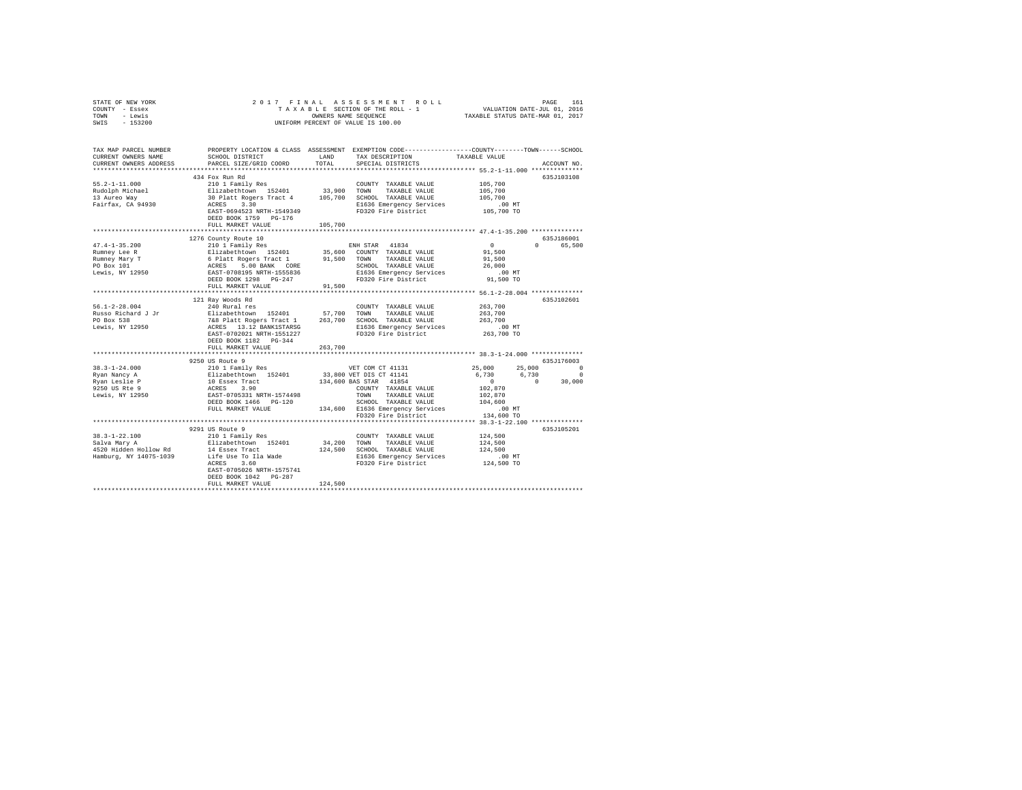| STATE OF NEW YORK<br>COUNTY - Essex                                                                                                                                                                                                                                                                                                                                                                     |                           |         |                                                                                              |                      |                        |  |
|---------------------------------------------------------------------------------------------------------------------------------------------------------------------------------------------------------------------------------------------------------------------------------------------------------------------------------------------------------------------------------------------------------|---------------------------|---------|----------------------------------------------------------------------------------------------|----------------------|------------------------|--|
| TOWN - Lewis<br>SWIS - 153200                                                                                                                                                                                                                                                                                                                                                                           |                           |         |                                                                                              |                      |                        |  |
|                                                                                                                                                                                                                                                                                                                                                                                                         |                           |         |                                                                                              |                      |                        |  |
| TAX MAP PARCEL NUMBER PROPERTY LOCATION & CLASS ASSESSMENT EXEMPTION CODE---------------COUNTY-------TOWN------SCHOOL                                                                                                                                                                                                                                                                                   |                           |         |                                                                                              |                      |                        |  |
| CURRENT OWNERS NAME                                                                                                                                                                                                                                                                                                                                                                                     |                           |         |                                                                                              |                      |                        |  |
| CURRENT OWNERS ADDRESS                                                                                                                                                                                                                                                                                                                                                                                  |                           |         |                                                                                              |                      | ACCOUNT NO.            |  |
|                                                                                                                                                                                                                                                                                                                                                                                                         | 434 Fox Run Rd            |         |                                                                                              |                      | 635J103108             |  |
|                                                                                                                                                                                                                                                                                                                                                                                                         |                           |         |                                                                                              |                      |                        |  |
|                                                                                                                                                                                                                                                                                                                                                                                                         |                           |         |                                                                                              |                      |                        |  |
|                                                                                                                                                                                                                                                                                                                                                                                                         |                           |         |                                                                                              |                      |                        |  |
|                                                                                                                                                                                                                                                                                                                                                                                                         |                           |         |                                                                                              |                      |                        |  |
| 55.2-1-11.000<br>Rudolph Michael 2001 Pamily Res 2401<br>Rudolph Michael Sizabethrown 152401 33,900 TOWN TAXABLE VALUE 105,700<br>13 Aureo Way 30 Paint Rogers 3.300<br>20 Paint Rogers 3.300 SCHOOL TAXABLE VALUE 105,700<br>Paint R                                                                                                                                                                   |                           |         |                                                                                              |                      |                        |  |
|                                                                                                                                                                                                                                                                                                                                                                                                         | DEED BOOK 1759 PG-176     |         |                                                                                              |                      |                        |  |
|                                                                                                                                                                                                                                                                                                                                                                                                         | FULL MARKET VALUE         | 105,700 |                                                                                              |                      |                        |  |
|                                                                                                                                                                                                                                                                                                                                                                                                         |                           |         |                                                                                              |                      |                        |  |
| $\begin{tabular}{l c c c c c} \multicolumn{3}{c c c c} \multicolumn{3}{c c c} \multicolumn{3}{c c c} \multicolumn{3}{c c c} \multicolumn{3}{c c c} \multicolumn{3}{c c c} \multicolumn{3}{c c c} \multicolumn{3}{c c c} \multicolumn{3}{c c c} \multicolumn{3}{c c c} \multicolumn{3}{c c c} \multicolumn{3}{c c c} \multicolumn{3}{c c c} \multicolumn{3}{c c c} \multicolumn{3}{c c c} \multicolumn{$ | 1276 County Route 10      |         |                                                                                              |                      | 635J186001<br>0 65.500 |  |
|                                                                                                                                                                                                                                                                                                                                                                                                         |                           |         |                                                                                              |                      |                        |  |
|                                                                                                                                                                                                                                                                                                                                                                                                         |                           |         |                                                                                              |                      |                        |  |
|                                                                                                                                                                                                                                                                                                                                                                                                         |                           |         |                                                                                              |                      |                        |  |
|                                                                                                                                                                                                                                                                                                                                                                                                         |                           |         |                                                                                              |                      |                        |  |
|                                                                                                                                                                                                                                                                                                                                                                                                         |                           |         |                                                                                              |                      |                        |  |
|                                                                                                                                                                                                                                                                                                                                                                                                         | FULL MARKET VALUE 91,500  |         |                                                                                              |                      |                        |  |
|                                                                                                                                                                                                                                                                                                                                                                                                         |                           |         |                                                                                              |                      |                        |  |
|                                                                                                                                                                                                                                                                                                                                                                                                         | 121 Ray Woods Rd          |         |                                                                                              |                      | 635J102601             |  |
|                                                                                                                                                                                                                                                                                                                                                                                                         | 240 Rural res             |         | $\texttt{COUNTY} \quad \texttt{TAXABLE} \quad \texttt{VALUE} \qquad \qquad \texttt{263,700}$ |                      |                        |  |
| 56.1-2-28.004<br>Russo Richard J Jr<br>PO Box 538                                                                                                                                                                                                                                                                                                                                                       |                           |         |                                                                                              | 263,700<br>263,700   |                        |  |
|                                                                                                                                                                                                                                                                                                                                                                                                         |                           |         |                                                                                              |                      |                        |  |
|                                                                                                                                                                                                                                                                                                                                                                                                         |                           |         |                                                                                              | 00 MT.<br>263,700 TO |                        |  |
|                                                                                                                                                                                                                                                                                                                                                                                                         | DEED BOOK 1182 PG-344     |         |                                                                                              |                      |                        |  |
|                                                                                                                                                                                                                                                                                                                                                                                                         | FULL MARKET VALUE 263,700 |         |                                                                                              |                      |                        |  |
|                                                                                                                                                                                                                                                                                                                                                                                                         |                           |         |                                                                                              |                      |                        |  |
|                                                                                                                                                                                                                                                                                                                                                                                                         | 9250 US Route 9           |         |                                                                                              |                      | 635J176003             |  |
|                                                                                                                                                                                                                                                                                                                                                                                                         |                           |         |                                                                                              |                      |                        |  |
|                                                                                                                                                                                                                                                                                                                                                                                                         |                           |         |                                                                                              |                      |                        |  |
|                                                                                                                                                                                                                                                                                                                                                                                                         |                           |         |                                                                                              |                      |                        |  |
|                                                                                                                                                                                                                                                                                                                                                                                                         |                           |         |                                                                                              |                      |                        |  |
|                                                                                                                                                                                                                                                                                                                                                                                                         |                           |         |                                                                                              |                      |                        |  |
|                                                                                                                                                                                                                                                                                                                                                                                                         |                           |         |                                                                                              |                      |                        |  |
|                                                                                                                                                                                                                                                                                                                                                                                                         |                           |         |                                                                                              |                      |                        |  |
|                                                                                                                                                                                                                                                                                                                                                                                                         |                           |         |                                                                                              |                      |                        |  |
|                                                                                                                                                                                                                                                                                                                                                                                                         | 9291 US Route 9           |         |                                                                                              |                      | 635J105201             |  |
|                                                                                                                                                                                                                                                                                                                                                                                                         |                           |         |                                                                                              |                      |                        |  |
|                                                                                                                                                                                                                                                                                                                                                                                                         |                           |         |                                                                                              |                      |                        |  |
|                                                                                                                                                                                                                                                                                                                                                                                                         |                           |         |                                                                                              |                      |                        |  |
|                                                                                                                                                                                                                                                                                                                                                                                                         |                           |         |                                                                                              |                      |                        |  |
|                                                                                                                                                                                                                                                                                                                                                                                                         | EAST-0705026 NRTH-1575741 |         |                                                                                              |                      |                        |  |
|                                                                                                                                                                                                                                                                                                                                                                                                         | DEED BOOK 1042    PG-287  |         |                                                                                              |                      |                        |  |
|                                                                                                                                                                                                                                                                                                                                                                                                         | FULL MARKET VALUE         | 124,500 |                                                                                              |                      |                        |  |
|                                                                                                                                                                                                                                                                                                                                                                                                         |                           |         |                                                                                              |                      |                        |  |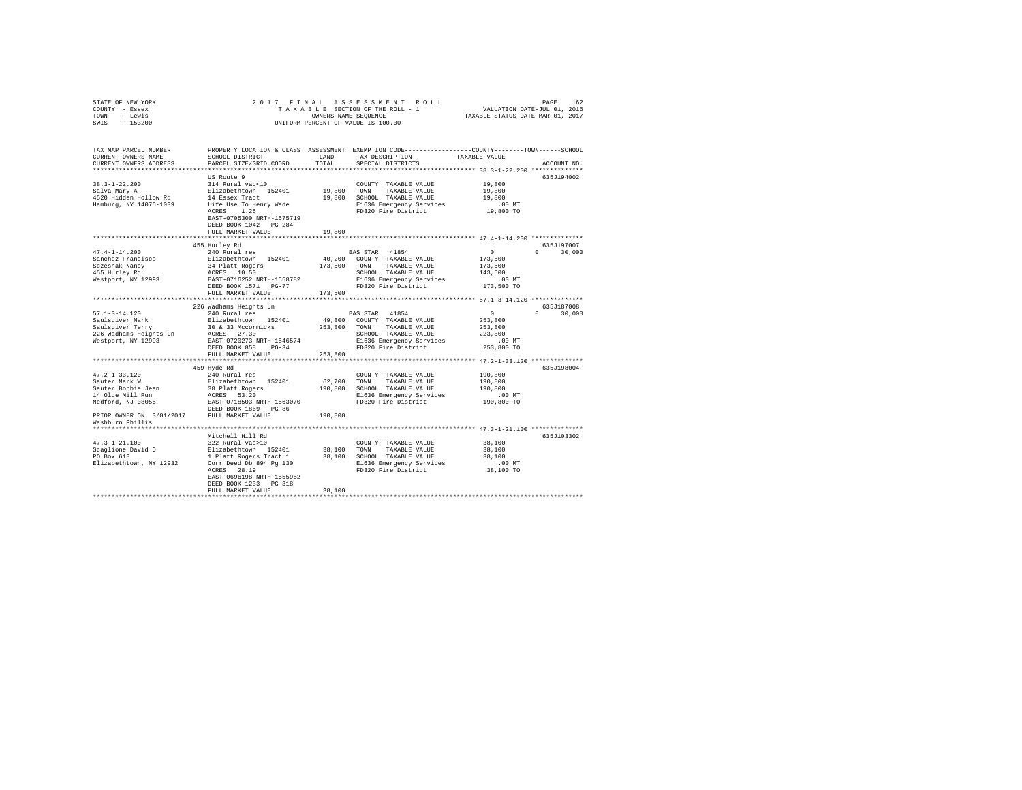| STATE OF NEW YORK                            | 2017 FINAL                                        |              |                                                                                                 |                  |               |  |
|----------------------------------------------|---------------------------------------------------|--------------|-------------------------------------------------------------------------------------------------|------------------|---------------|--|
| COUNTY - Essex                               |                                                   |              |                                                                                                 |                  |               |  |
| TOWN - Lewis                                 |                                                   |              |                                                                                                 |                  |               |  |
| $-153200$<br>SWIS                            |                                                   |              | UNIFORM PERCENT OF VALUE IS 100.00                                                              |                  |               |  |
|                                              |                                                   |              |                                                                                                 |                  |               |  |
|                                              |                                                   |              |                                                                                                 |                  |               |  |
|                                              |                                                   |              |                                                                                                 |                  |               |  |
| TAX MAP PARCEL NUMBER                        |                                                   |              | PROPERTY LOCATION & CLASS ASSESSMENT EXEMPTION CODE---------------COUNTY-------TOWN------SCHOOL |                  |               |  |
| CURRENT OWNERS NAME                          | SCHOOL DISTRICT                                   | LAND         | TAX DESCRIPTION                                                                                 | TAXABLE VALUE    |               |  |
| CURRENT OWNERS ADDRESS                       | PARCEL SIZE/GRID COORD                            | TOTAL        | SPECIAL DISTRICTS                                                                               |                  | ACCOUNT NO.   |  |
|                                              |                                                   |              |                                                                                                 |                  |               |  |
|                                              | US Route 9                                        |              |                                                                                                 |                  | 635J194002    |  |
| $38.3 - 1 - 22.200$                          | 314 Rural vac<10                                  |              | COUNTY TAXABLE VALUE                                                                            | 19,800           |               |  |
| Salva Mary A                                 | Elizabethtown 152401                              | 19,800 TOWN  | TAXABLE VALUE                                                                                   | 19,800           |               |  |
| 4520 Hidden Hollow Rd                        | 14 Essex Tract                                    |              | 19,800 SCHOOL TAXABLE VALUE                                                                     | 19,800           |               |  |
| Hamburg, NY 14075-1039                       | Life Use To Henry Wade                            |              | E1636 Emergency Services                                                                        | $.00$ MT         |               |  |
|                                              | ACRES 1.25                                        |              | FD320 Fire District                                                                             | 19,800 TO        |               |  |
|                                              | EAST-0705300 NRTH-1575719                         |              |                                                                                                 |                  |               |  |
|                                              | DEED BOOK 1042 PG-284                             |              |                                                                                                 |                  |               |  |
|                                              | FULL MARKET VALUE                                 | 19,800       |                                                                                                 |                  |               |  |
|                                              |                                                   |              |                                                                                                 |                  |               |  |
|                                              | 455 Hurley Rd                                     |              |                                                                                                 |                  | 635J197007    |  |
| $47.4 - 1 - 14.200$                          | 240 Rural res                                     |              | BAS STAR 41854                                                                                  | $\sim$ 0         | $0 \t 30.000$ |  |
| Sanchez Francisco                            | Elizabethtown 152401                              |              | 40,200 COUNTY TAXABLE VALUE                                                                     | 173,500          |               |  |
| sczesnak Nancy<br>455 Hurley Rd              | 34 Platt Rogers<br>ACRES 10.50                    | 173.500 TOWN | TAXABLE VALUE                                                                                   | 173,500          |               |  |
|                                              |                                                   |              | SCHOOL TAXABLE VALUE                                                                            | 143,500          |               |  |
| Westport, NY 12993                           | EAST-0716252 NRTH-1558782                         |              | E1636 Emergency Services                                                                        | $.00$ MT         |               |  |
|                                              | DEED BOOK 1571 PG-77                              |              | FD320 Fire District                                                                             | 173,500 TO       |               |  |
|                                              | FULL MARKET VALUE                                 | 173,500      |                                                                                                 |                  |               |  |
|                                              |                                                   |              |                                                                                                 |                  |               |  |
|                                              | 226 Wadhams Heights Ln                            |              |                                                                                                 |                  | 635J187008    |  |
| $57.1 - 3 - 14.120$                          | 240 Rural res                                     |              | BAS STAR 41854                                                                                  | $\sim$ 0         | $0 \t 30.000$ |  |
|                                              | Elizabethtown 152401                              |              | 49,800 COUNTY TAXABLE VALUE                                                                     | 253,800          |               |  |
| Saulsgiver Mark<br>Saulsgiver Terry          |                                                   |              |                                                                                                 | 253,800          |               |  |
| 226 Wadhams Heights Ln                       |                                                   |              | SCHOOL TAXABLE VALUE                                                                            | 223,800          |               |  |
| Westport, NY 12993                           | EAST-0720273 NRTH-1546574                         |              | E1636 Emergency Services                                                                        | $.00$ MT         |               |  |
|                                              | DEED BOOK 858 PG-34                               |              | FD320 Fire District                                                                             | 253,800 TO       |               |  |
|                                              | FULL MARKET VALUE                                 | 253,800      |                                                                                                 |                  |               |  |
|                                              |                                                   |              |                                                                                                 |                  |               |  |
|                                              | 459 Hyde Rd                                       |              |                                                                                                 |                  | 635J198004    |  |
|                                              | 240 Rural res                                     |              | COUNTY TAXABLE VALUE                                                                            | 190.800          |               |  |
| 47.2-1-33.120<br>Sauter Mark W               | Elizabethtown 152401                              | 62.700 TOWN  | TAXABLE VALUE                                                                                   | 190,800          |               |  |
| Sauter Bobbie Jean                           | 38 Platt Rogers                                   |              | 190,800 SCHOOL TAXABLE VALUE                                                                    | 190,800          |               |  |
|                                              |                                                   |              | E1636 Emergency Services                                                                        | $.00$ MT         |               |  |
|                                              |                                                   |              | FD320 Fire District                                                                             | 190,800 TO       |               |  |
|                                              |                                                   |              |                                                                                                 |                  |               |  |
| PRIOR OWNER ON $3/01/2017$ FULL MARKET VALUE |                                                   | 190,800      |                                                                                                 |                  |               |  |
| Washburn Phillis                             |                                                   |              |                                                                                                 |                  |               |  |
|                                              |                                                   |              |                                                                                                 |                  |               |  |
|                                              | Mitchell Hill Rd                                  |              |                                                                                                 |                  | 635J103302    |  |
| $47.3 - 1 - 21.100$                          | 322 Rural vac>10                                  |              |                                                                                                 |                  |               |  |
|                                              | Elizabethtown 152401                              | 38,100 TOWN  | COUNTY TAXABLE VALUE<br>TAXABLE VALUE                                                           | 38,100<br>38,100 |               |  |
| Scaglione David D<br>PO Box 613              |                                                   |              |                                                                                                 |                  |               |  |
|                                              | 1 Platt Rogers Tract 1<br>Corr Deed Db 894 Pg 130 |              | 38,100 SCHOOL TAXABLE VALUE                                                                     | 38,100           |               |  |
| Elizabethtown, NY 12932                      | ACRES 28.19                                       |              | E1636 Emergency Services<br>FD320 Fire District                                                 | .00MT            |               |  |
|                                              |                                                   |              |                                                                                                 | 38,100 TO        |               |  |
|                                              | EAST-0696198 NRTH-1555952                         |              |                                                                                                 |                  |               |  |
|                                              | DEED BOOK 1233 PG-318                             |              |                                                                                                 |                  |               |  |
|                                              | FULL MARKET VALUE                                 | 38,100       |                                                                                                 |                  |               |  |
|                                              |                                                   |              |                                                                                                 |                  |               |  |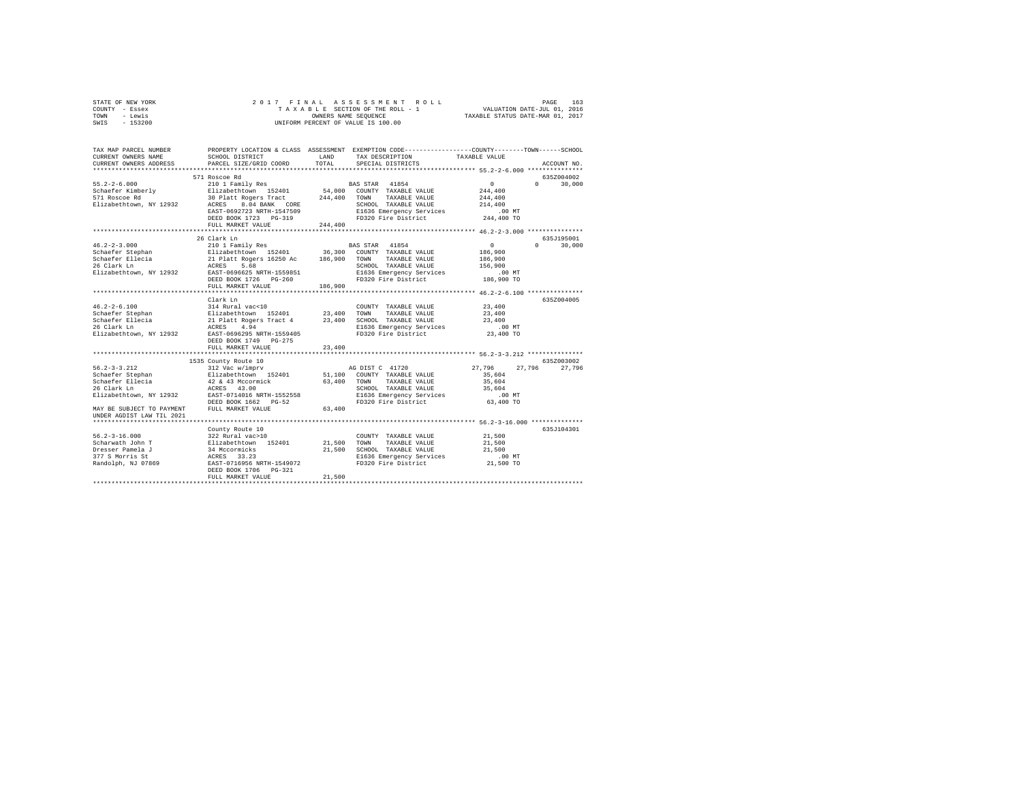| STATE OF NEW YORK | 2017 FINAL ASSESSMENT ROLL         | 163<br>PAGE                      |
|-------------------|------------------------------------|----------------------------------|
| COUNTY - Essex    | TAXABLE SECTION OF THE ROLL - 1    | VALUATION DATE-JUL 01, 2016      |
| TOWN<br>- Lewis   | OWNERS NAME SEOUENCE               | TAXABLE STATUS DATE-MAR 01, 2017 |
| $-153200$<br>SWIS | UNIFORM PERCENT OF VALUE IS 100.00 |                                  |

| TAX MAP PARCEL NUMBER<br>CURRENT OWNERS NAME                                                                                                                                                                                                                                                                                                                                          | PROPERTY LOCATION & CLASS ASSESSMENT EXEMPTION CODE----------------COUNTY-------TOWN------SCHOOL<br>SCHOOL DISTRICT | LAND    | TAX DESCRIPTION                                 | TAXABLE VALUE                 |               |
|---------------------------------------------------------------------------------------------------------------------------------------------------------------------------------------------------------------------------------------------------------------------------------------------------------------------------------------------------------------------------------------|---------------------------------------------------------------------------------------------------------------------|---------|-------------------------------------------------|-------------------------------|---------------|
| CURRENT OWNERS ADDRESS                                                                                                                                                                                                                                                                                                                                                                | PARCEL SIZE/GRID COORD                                                                                              | TOTAL   | SPECIAL DISTRICTS                               |                               | ACCOUNT NO.   |
|                                                                                                                                                                                                                                                                                                                                                                                       | 571 Roscoe Rd                                                                                                       |         |                                                 |                               | 635Z004002    |
|                                                                                                                                                                                                                                                                                                                                                                                       |                                                                                                                     |         |                                                 | $\sim$ 0                      | $0 \t 30,000$ |
|                                                                                                                                                                                                                                                                                                                                                                                       |                                                                                                                     |         |                                                 | 244,400                       |               |
|                                                                                                                                                                                                                                                                                                                                                                                       |                                                                                                                     |         |                                                 | 244,400                       |               |
|                                                                                                                                                                                                                                                                                                                                                                                       |                                                                                                                     |         | SCHOOL TAXABLE VALUE                            | 214,400                       |               |
| 55.2-2-6.000<br>Schaefer Kimberly 210 1 Family Res BAS STAR 41854<br>Schaefer Kimberly 113401 54,000 CONTY TAXABLE VALUE<br>Filizabethtown, NY 12932 AGRES 8.04 BANK CORE<br>Elizabethtown, NY 12932 AGRES 8.04 BANK CORE<br>ELizabetht                                                                                                                                               |                                                                                                                     |         |                                                 | .00MT                         |               |
|                                                                                                                                                                                                                                                                                                                                                                                       | DEED BOOK 1723 PG-319                                                                                               |         | FD320 Fire District                             | 244,400 TO                    |               |
|                                                                                                                                                                                                                                                                                                                                                                                       | FULL MARKET VALUE                                                                                                   | 244,400 |                                                 |                               |               |
|                                                                                                                                                                                                                                                                                                                                                                                       |                                                                                                                     |         |                                                 |                               |               |
|                                                                                                                                                                                                                                                                                                                                                                                       |                                                                                                                     |         |                                                 |                               | 635J195001    |
|                                                                                                                                                                                                                                                                                                                                                                                       |                                                                                                                     |         |                                                 | $\sim$ 0<br>$0 \qquad \qquad$ | 30,000        |
|                                                                                                                                                                                                                                                                                                                                                                                       |                                                                                                                     |         |                                                 | 186,900                       |               |
|                                                                                                                                                                                                                                                                                                                                                                                       |                                                                                                                     |         |                                                 | 186,900                       |               |
|                                                                                                                                                                                                                                                                                                                                                                                       |                                                                                                                     |         |                                                 | 156,900                       |               |
|                                                                                                                                                                                                                                                                                                                                                                                       |                                                                                                                     |         | E1636 Emergency Services<br>FD320 Fire District | $.00$ MT                      |               |
|                                                                                                                                                                                                                                                                                                                                                                                       |                                                                                                                     |         |                                                 | 186,900 TO                    |               |
|                                                                                                                                                                                                                                                                                                                                                                                       | FULL MARKET VALUE                                                                                                   | 186,900 |                                                 |                               |               |
|                                                                                                                                                                                                                                                                                                                                                                                       | Clark Ln                                                                                                            |         |                                                 |                               | 635Z004005    |
|                                                                                                                                                                                                                                                                                                                                                                                       |                                                                                                                     |         | COUNTY TAXABLE VALUE                            | 23,400                        |               |
|                                                                                                                                                                                                                                                                                                                                                                                       |                                                                                                                     |         |                                                 | 23,400                        |               |
|                                                                                                                                                                                                                                                                                                                                                                                       |                                                                                                                     |         | SCHOOL TAXABLE VALUE                            | 23,400                        |               |
|                                                                                                                                                                                                                                                                                                                                                                                       |                                                                                                                     |         | E1636 Emergency Services<br>FD320 Fire District | $.00$ MT                      |               |
|                                                                                                                                                                                                                                                                                                                                                                                       |                                                                                                                     |         |                                                 | 23,400 TO                     |               |
|                                                                                                                                                                                                                                                                                                                                                                                       | DEED BOOK 1749 PG-275                                                                                               |         |                                                 |                               |               |
|                                                                                                                                                                                                                                                                                                                                                                                       | FULL MARKET VALUE                                                                                                   | 23,400  |                                                 |                               |               |
|                                                                                                                                                                                                                                                                                                                                                                                       |                                                                                                                     |         |                                                 |                               |               |
| $56.2 - 3 - 3.212$                                                                                                                                                                                                                                                                                                                                                                    | 1535 County Route 10<br>b County Route 10<br>312 Vac w/imprv                                                        |         | AG DIST C 41720                                 | 27,796 27,796 27,796          | 635Z003002    |
|                                                                                                                                                                                                                                                                                                                                                                                       |                                                                                                                     |         |                                                 | 35,604                        |               |
| Schaefer Ellecia                                                                                                                                                                                                                                                                                                                                                                      | 42 & 43 Mccormick                                                                                                   |         | 63,400 TOWN TAXABLE VALUE                       | 35,604                        |               |
| 26 Clark Ln                                                                                                                                                                                                                                                                                                                                                                           | ACRES 43.00                                                                                                         |         | SCHOOL TAXABLE VALUE                            | 35,604                        |               |
| Elizabethtown, NY 12932                                                                                                                                                                                                                                                                                                                                                               | EAST-0714016 NRTH-1552558                                                                                           |         | E1636 Emergency Services                        | $.00$ MT                      |               |
|                                                                                                                                                                                                                                                                                                                                                                                       | DEED BOOK 1662 PG-52                                                                                                |         | FD320 Fire District                             | 63,400 TO                     |               |
| MAY BE SUBJECT TO PAYMENT                                                                                                                                                                                                                                                                                                                                                             | FULL MARKET VALUE                                                                                                   | 63,400  |                                                 |                               |               |
| UNDER AGDIST LAW TIL 2021                                                                                                                                                                                                                                                                                                                                                             |                                                                                                                     |         |                                                 |                               |               |
|                                                                                                                                                                                                                                                                                                                                                                                       |                                                                                                                     |         |                                                 |                               |               |
|                                                                                                                                                                                                                                                                                                                                                                                       | County Route 10                                                                                                     |         |                                                 |                               | 635J104301    |
|                                                                                                                                                                                                                                                                                                                                                                                       |                                                                                                                     |         | COUNTY TAXABLE VALUE                            | 21,500                        |               |
|                                                                                                                                                                                                                                                                                                                                                                                       |                                                                                                                     | 21,500  | TOWN<br>TAXABLE VALUE                           | 21,500                        |               |
| $R = \begin{bmatrix} 56.2-3-16.000 & 322 \text{ Rural vac} & 10 \\ 50 \text{haryath John T} & 322 \text{ Rural vac} & 10 \\ 50 \text{haryath John T} & 152 \text{dM} & 152 \text{dM} & 21 \\ 77 \text{S Morris St} & 34 \text{ Mocormics} & 21 \\ 377 \text{S Morris St} & 33.23 & 33 \\ 377 \text{S Morris St} & 35.23 & 33.23 \\ 378 \text{Randid, NJ 07869} & 33.23 & 33.23 \\ 37$ |                                                                                                                     |         | 21,500 SCHOOL TAXABLE VALUE                     | 21,500                        |               |
|                                                                                                                                                                                                                                                                                                                                                                                       |                                                                                                                     |         | E1636 Emergency Services<br>FD320 Fire District | .00 MT                        |               |
|                                                                                                                                                                                                                                                                                                                                                                                       |                                                                                                                     |         |                                                 | 21,500 TO                     |               |
|                                                                                                                                                                                                                                                                                                                                                                                       | DEED BOOK 1706 PG-321<br>FULL MARKET VALUE                                                                          | 21,500  |                                                 |                               |               |
|                                                                                                                                                                                                                                                                                                                                                                                       |                                                                                                                     |         |                                                 |                               |               |
|                                                                                                                                                                                                                                                                                                                                                                                       |                                                                                                                     |         |                                                 |                               |               |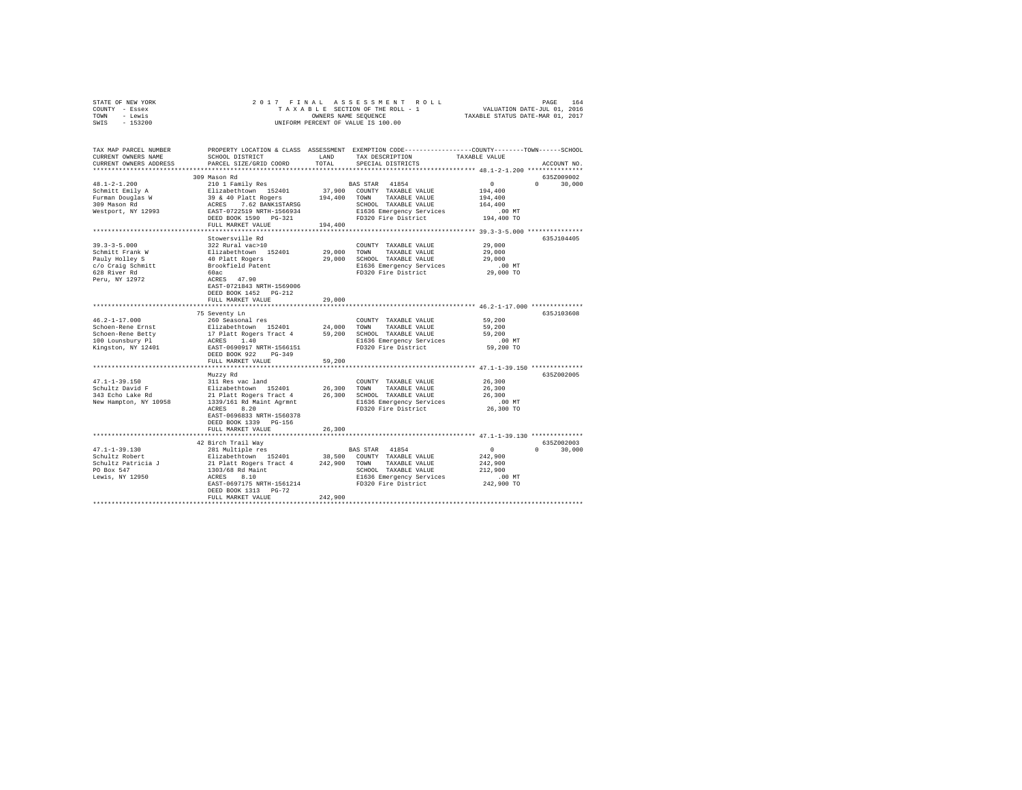| STATE OF NEW YORK | 2017 FINAL ASSESSMENT ROLL         | 164<br>PAGE                      |
|-------------------|------------------------------------|----------------------------------|
| COUNTY - Essex    | TAXABLE SECTION OF THE ROLL - 1    | VALUATION DATE-JUL 01, 2016      |
| TOWN<br>- Lewis   | OWNERS NAME SEOUENCE               | TAXABLE STATUS DATE-MAR 01, 2017 |
| $-153200$<br>SWIS | UNIFORM PERCENT OF VALUE IS 100.00 |                                  |

| TAX MAP PARCEL NUMBER<br>CURRENT OWNERS NAME<br>CURRENT OWNERS ADDRESS | SCHOOL DISTRICT<br>PARCEL SIZE/GRID COORD  | LAND<br>TOTAL | PROPERTY LOCATION & CLASS ASSESSMENT EXEMPTION CODE----------------COUNTY-------TOWN------SCHOOL<br>TAX DESCRIPTION<br>SPECIAL DISTRICTS | TAXABLE VALUE                       | ACCOUNT NO.        |
|------------------------------------------------------------------------|--------------------------------------------|---------------|------------------------------------------------------------------------------------------------------------------------------------------|-------------------------------------|--------------------|
|                                                                        |                                            |               |                                                                                                                                          |                                     |                    |
|                                                                        | 309 Mason Rd                               |               |                                                                                                                                          |                                     | 635Z009002         |
| $48.1 - 2 - 1.200$                                                     | 210 1 Family Res                           |               | BAS STAR<br>41854                                                                                                                        | $\overline{0}$                      | $\Omega$<br>30,000 |
| Schmitt Emily A                                                        | Elizabethtown 152401                       | 37,900        | COUNTY TAXABLE VALUE                                                                                                                     | 194,400                             |                    |
| Furman Douglas W                                                       | 39 & 40 Platt Rogers                       | 194,400       | TAXABLE VALUE<br>TOWN                                                                                                                    | 194,400                             |                    |
| 309 Mason Rd                                                           | 7.62 BANK1STARSG<br>ACRES                  |               | SCHOOL TAXABLE VALUE                                                                                                                     | 164,400                             |                    |
| Westport, NY 12993                                                     | EAST-0722519 NRTH-1566934                  |               | E1636 Emergency Services                                                                                                                 | $.00$ MT                            |                    |
|                                                                        | DEED BOOK 1590 PG-321<br>FULL MARKET VALUE | 194,400       | FD320 Fire District                                                                                                                      | 194,400 TO                          |                    |
|                                                                        |                                            |               |                                                                                                                                          |                                     |                    |
|                                                                        | Stowersville Rd                            |               |                                                                                                                                          |                                     | 635J104405         |
| $39.3 - 3 - 5.000$                                                     | 322 Rural vac>10                           |               | COUNTY TAXABLE VALUE                                                                                                                     | 29,000                              |                    |
| Schmitt Frank W                                                        | Elizabethtown 152401                       | 29,000        | TOWN<br>TAXABLE VALUE                                                                                                                    | 29,000                              |                    |
| Pauly Holley S                                                         | 40 Platt Rogers                            | 29,000        | SCHOOL TAXABLE VALUE                                                                                                                     | 29,000                              |                    |
| c/o Craig Schmitt                                                      | Brookfield Patent                          |               | E1636 Emergency Services                                                                                                                 | .00 MT                              |                    |
| 628 River Rd                                                           | 60ac                                       |               | FD320 Fire District                                                                                                                      | 29,000 TO                           |                    |
| Peru, NY 12972                                                         | ACRES 47.90                                |               |                                                                                                                                          |                                     |                    |
|                                                                        | EAST-0721843 NRTH-1569006                  |               |                                                                                                                                          |                                     |                    |
|                                                                        | DEED BOOK 1452 PG-212                      |               |                                                                                                                                          |                                     |                    |
|                                                                        | FULL MARKET VALUE                          | 29,000        |                                                                                                                                          |                                     |                    |
|                                                                        | ****************************               |               | ********************************* 46.2-1-17.000 **************                                                                           |                                     |                    |
| $46.2 - 1 - 17.000$                                                    | 75 Seventy Ln<br>260 Seasonal res          |               |                                                                                                                                          | 59,200                              | 635J103608         |
| Schoen-Rene Ernst                                                      | Elizabethtown 152401                       | 24,000        | COUNTY TAXABLE VALUE<br>TOWN<br>TAXABLE VALUE                                                                                            | 59,200                              |                    |
| Schoen-Rene Betty                                                      | 17 Platt Rogers Tract 4                    | 59,200        | SCHOOL TAXABLE VALUE                                                                                                                     | 59,200                              |                    |
| 100 Lounsbury Pl                                                       | 1.40<br>ACRES                              |               | E1636 Emergency Services                                                                                                                 | $.00$ MT                            |                    |
| Kingston, NY 12401                                                     | EAST-0690917 NRTH-1566151                  |               | FD320 Fire District                                                                                                                      | 59,200 TO                           |                    |
|                                                                        | DEED BOOK 922<br>$PG-349$                  |               |                                                                                                                                          |                                     |                    |
|                                                                        | FULL MARKET VALUE                          | 59,200        |                                                                                                                                          |                                     |                    |
|                                                                        |                                            |               |                                                                                                                                          |                                     |                    |
|                                                                        | Muzzy Rd                                   |               |                                                                                                                                          |                                     | 635Z002005         |
| $47.1 - 1 - 39.150$                                                    | 311 Res vac land                           |               | COUNTY TAXABLE VALUE                                                                                                                     | 26,300                              |                    |
| Schultz David F                                                        | Elizabethtown 152401                       | 26,300        | TAXABLE VALUE<br>TOWN                                                                                                                    | 26,300                              |                    |
| 343 Echo Lake Rd                                                       | 21 Platt Rogers Tract 4                    | 26,300        | SCHOOL TAXABLE VALUE                                                                                                                     | 26,300                              |                    |
| New Hampton, NY 10958                                                  | 1339/161 Rd Maint Agrmnt                   |               | E1636 Emergency Services                                                                                                                 | .00 MT                              |                    |
|                                                                        | ACRES<br>8.20<br>EAST-0696833 NRTH-1560378 |               | FD320 Fire District                                                                                                                      | 26,300 TO                           |                    |
|                                                                        | DEED BOOK 1339 PG-156                      |               |                                                                                                                                          |                                     |                    |
|                                                                        | FULL MARKET VALUE                          | 26,300        |                                                                                                                                          |                                     |                    |
|                                                                        |                                            |               |                                                                                                                                          | *********** 47.1-1-39.130 ********* |                    |
|                                                                        | 42 Birch Trail Way                         |               |                                                                                                                                          |                                     | 635Z002003         |
| $47.1 - 1 - 39.130$                                                    | 281 Multiple res                           |               | BAS STAR 41854                                                                                                                           | $\overline{0}$                      | 30,000<br>$\cap$   |
| Schultz Robert                                                         | Elizabethtown 152401                       | 38,500        | COUNTY TAXABLE VALUE                                                                                                                     | 242,900                             |                    |
| Schultz Patricia J                                                     | 21 Platt Rogers Tract 4                    | 242,900       | TOWN TAXABLE VALUE                                                                                                                       | 242,900                             |                    |
| PO Box 547                                                             | 1303/68 Rd Maint                           |               | SCHOOL TAXABLE VALUE                                                                                                                     | 212,900                             |                    |
| Lewis, NY 12950                                                        | 8.10<br>ACRES                              |               | E1636 Emergency Services                                                                                                                 | .00MT                               |                    |
|                                                                        | EAST-0697175 NRTH-1561214                  |               | FD320 Fire District                                                                                                                      | 242,900 TO                          |                    |
|                                                                        | DEED BOOK 1313 PG-72                       |               |                                                                                                                                          |                                     |                    |
|                                                                        | FULL MARKET VALUE                          | 242,900       |                                                                                                                                          |                                     |                    |
|                                                                        |                                            |               |                                                                                                                                          |                                     |                    |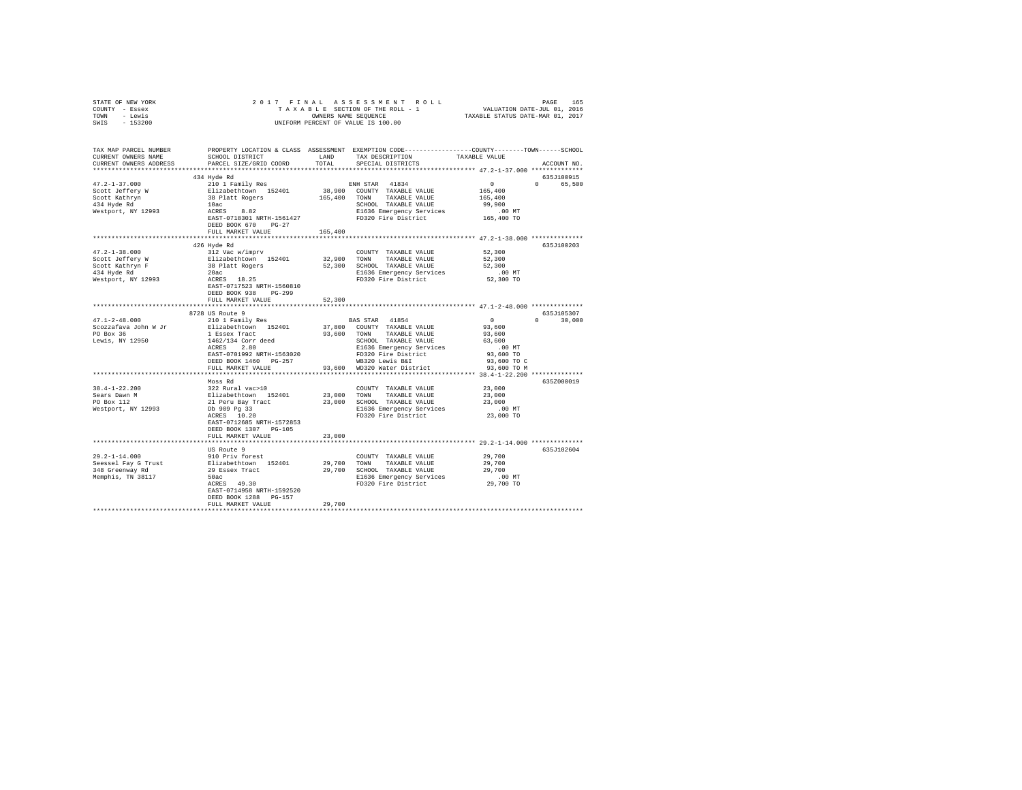| STATE OF NEW YORK<br>COUNTY - Essex                                                                                                                                                                                                                                |                                                                                                                                                                                                                                                 |         |                                                    |           |               |
|--------------------------------------------------------------------------------------------------------------------------------------------------------------------------------------------------------------------------------------------------------------------|-------------------------------------------------------------------------------------------------------------------------------------------------------------------------------------------------------------------------------------------------|---------|----------------------------------------------------|-----------|---------------|
| TOWN - Lewis                                                                                                                                                                                                                                                       |                                                                                                                                                                                                                                                 |         |                                                    |           |               |
| SWIS - 153200                                                                                                                                                                                                                                                      |                                                                                                                                                                                                                                                 |         |                                                    |           |               |
|                                                                                                                                                                                                                                                                    |                                                                                                                                                                                                                                                 |         |                                                    |           |               |
| TAX MAP PARCEL NUMBER PROPERTY LOCATION & CLASS ASSESSMENT EXEMPTION CODE--------------COUNTY-------TOWN-----SCHOOL                                                                                                                                                |                                                                                                                                                                                                                                                 |         |                                                    |           |               |
| CURRENT OWNERS NAME                                                                                                                                                                                                                                                |                                                                                                                                                                                                                                                 |         | SCHOOL DISTRICT LAND TAX DESCRIPTION TAXABLE VALUE |           |               |
| CURRENT OWNERS ADDRESS                                                                                                                                                                                                                                             | PARCEL SIZE/GRID COORD TOTAL                                                                                                                                                                                                                    |         | SPECIAL DISTRICTS                                  |           | ACCOUNT NO.   |
|                                                                                                                                                                                                                                                                    |                                                                                                                                                                                                                                                 |         |                                                    |           |               |
|                                                                                                                                                                                                                                                                    | 434 Hyde Rd                                                                                                                                                                                                                                     |         |                                                    |           | 635J100915    |
|                                                                                                                                                                                                                                                                    |                                                                                                                                                                                                                                                 |         |                                                    |           |               |
|                                                                                                                                                                                                                                                                    |                                                                                                                                                                                                                                                 |         |                                                    |           |               |
|                                                                                                                                                                                                                                                                    |                                                                                                                                                                                                                                                 |         |                                                    |           |               |
|                                                                                                                                                                                                                                                                    |                                                                                                                                                                                                                                                 |         |                                                    |           |               |
|                                                                                                                                                                                                                                                                    |                                                                                                                                                                                                                                                 |         |                                                    |           |               |
|                                                                                                                                                                                                                                                                    |                                                                                                                                                                                                                                                 |         |                                                    |           |               |
|                                                                                                                                                                                                                                                                    | FULL MARKET VALUE                                                                                                                                                                                                                               | 165,400 |                                                    |           |               |
|                                                                                                                                                                                                                                                                    |                                                                                                                                                                                                                                                 |         |                                                    |           |               |
|                                                                                                                                                                                                                                                                    | 426 Hyde Rd                                                                                                                                                                                                                                     |         |                                                    |           | 635J100203    |
|                                                                                                                                                                                                                                                                    |                                                                                                                                                                                                                                                 |         |                                                    |           |               |
|                                                                                                                                                                                                                                                                    |                                                                                                                                                                                                                                                 |         |                                                    |           |               |
|                                                                                                                                                                                                                                                                    |                                                                                                                                                                                                                                                 |         |                                                    |           |               |
|                                                                                                                                                                                                                                                                    |                                                                                                                                                                                                                                                 |         |                                                    |           |               |
|                                                                                                                                                                                                                                                                    |                                                                                                                                                                                                                                                 |         |                                                    |           |               |
|                                                                                                                                                                                                                                                                    | EAST-0717523 NRTH-1560810                                                                                                                                                                                                                       |         |                                                    |           |               |
|                                                                                                                                                                                                                                                                    | DEED BOOK 938 PG-299                                                                                                                                                                                                                            |         |                                                    |           |               |
|                                                                                                                                                                                                                                                                    | FULL MARKET VALUE 52,300                                                                                                                                                                                                                        |         |                                                    |           |               |
|                                                                                                                                                                                                                                                                    | 8728 US Route 9                                                                                                                                                                                                                                 |         |                                                    |           | 635J105307    |
|                                                                                                                                                                                                                                                                    |                                                                                                                                                                                                                                                 |         |                                                    |           | $0 \t 30,000$ |
|                                                                                                                                                                                                                                                                    |                                                                                                                                                                                                                                                 |         |                                                    |           |               |
|                                                                                                                                                                                                                                                                    |                                                                                                                                                                                                                                                 |         |                                                    |           |               |
|                                                                                                                                                                                                                                                                    |                                                                                                                                                                                                                                                 |         |                                                    |           |               |
|                                                                                                                                                                                                                                                                    |                                                                                                                                                                                                                                                 |         |                                                    |           |               |
|                                                                                                                                                                                                                                                                    |                                                                                                                                                                                                                                                 |         |                                                    |           |               |
| $\begin{tabular}{lcccc} 47.1-2-48.000 & 8728 \: \text{N\&D101} & 87.000 & 97.0000 & 97.00000 & 97.000000 & 97.000000 & 97.000000 & 97.000000 & 97.000000 & 97.000000 & 97.000000 & 97.000000 & 97.000000 & 97.000000 & 97.000000 & 97.000000 & 97.000000 & 97.000$ |                                                                                                                                                                                                                                                 |         |                                                    |           |               |
|                                                                                                                                                                                                                                                                    |                                                                                                                                                                                                                                                 |         |                                                    |           |               |
|                                                                                                                                                                                                                                                                    |                                                                                                                                                                                                                                                 |         |                                                    |           | 635Z000019    |
| 38.4-1-22.200                                                                                                                                                                                                                                                      |                                                                                                                                                                                                                                                 |         |                                                    |           |               |
|                                                                                                                                                                                                                                                                    |                                                                                                                                                                                                                                                 |         |                                                    |           |               |
| Sears Dawn M<br>PO Box 112                                                                                                                                                                                                                                         | Moss Rd<br>322 Rural vac>10<br>23,000 TOWN TAXABLE VALUE 23,000<br>21 Peru Bay Tract<br>23,000 SCHOE 23,000 SCHOE 23,000<br>21 P99 Pg 33<br>23,000 SCHOE EMEXABLE VALUE<br>23,000 P99 Pg 33<br>RCRES 10.20<br>23,000 F1230 Fire District 23,000 |         |                                                    |           |               |
| Westport, NY 12993                                                                                                                                                                                                                                                 |                                                                                                                                                                                                                                                 |         |                                                    | $.00$ MT  |               |
|                                                                                                                                                                                                                                                                    |                                                                                                                                                                                                                                                 |         |                                                    | 23,000 TO |               |
|                                                                                                                                                                                                                                                                    | EAST-0712685 NRTH-1572853                                                                                                                                                                                                                       |         |                                                    |           |               |
|                                                                                                                                                                                                                                                                    | DEED BOOK 1307 PG-105                                                                                                                                                                                                                           |         |                                                    |           |               |
|                                                                                                                                                                                                                                                                    | FULL MARKET VALUE                                                                                                                                                                                                                               | 23,000  |                                                    |           |               |
|                                                                                                                                                                                                                                                                    |                                                                                                                                                                                                                                                 |         |                                                    |           |               |
|                                                                                                                                                                                                                                                                    | US Route 9                                                                                                                                                                                                                                      |         |                                                    |           | 635J102604    |
|                                                                                                                                                                                                                                                                    |                                                                                                                                                                                                                                                 |         |                                                    |           |               |
| 29.2-1-14.000<br>Seessel Fay G Trust<br>348 Greenway Rd<br>Memphis, TN 38117                                                                                                                                                                                       | US Route 9<br>910 Priv forest<br>152401 29,700 TOWN TAXABLE VALUE 29,700<br>29,700 SERENT 29,700 TOWN TAXABLE VALUE 29,700<br>29,700 SCHOOL TAXABLE VALUE 29,700<br>50ac 29,700 B1636 Emergency Services<br>29,700 B1636 Emergency Servic       |         |                                                    |           |               |
|                                                                                                                                                                                                                                                                    |                                                                                                                                                                                                                                                 |         |                                                    |           |               |
|                                                                                                                                                                                                                                                                    |                                                                                                                                                                                                                                                 |         |                                                    |           |               |
|                                                                                                                                                                                                                                                                    | EAST-0714958 NRTH-1592520                                                                                                                                                                                                                       |         |                                                    |           |               |
|                                                                                                                                                                                                                                                                    | DEED BOOK 1288 PG-157                                                                                                                                                                                                                           |         |                                                    |           |               |
|                                                                                                                                                                                                                                                                    | FULL MARKET VALUE                                                                                                                                                                                                                               | 29,700  |                                                    |           |               |
|                                                                                                                                                                                                                                                                    |                                                                                                                                                                                                                                                 |         |                                                    |           |               |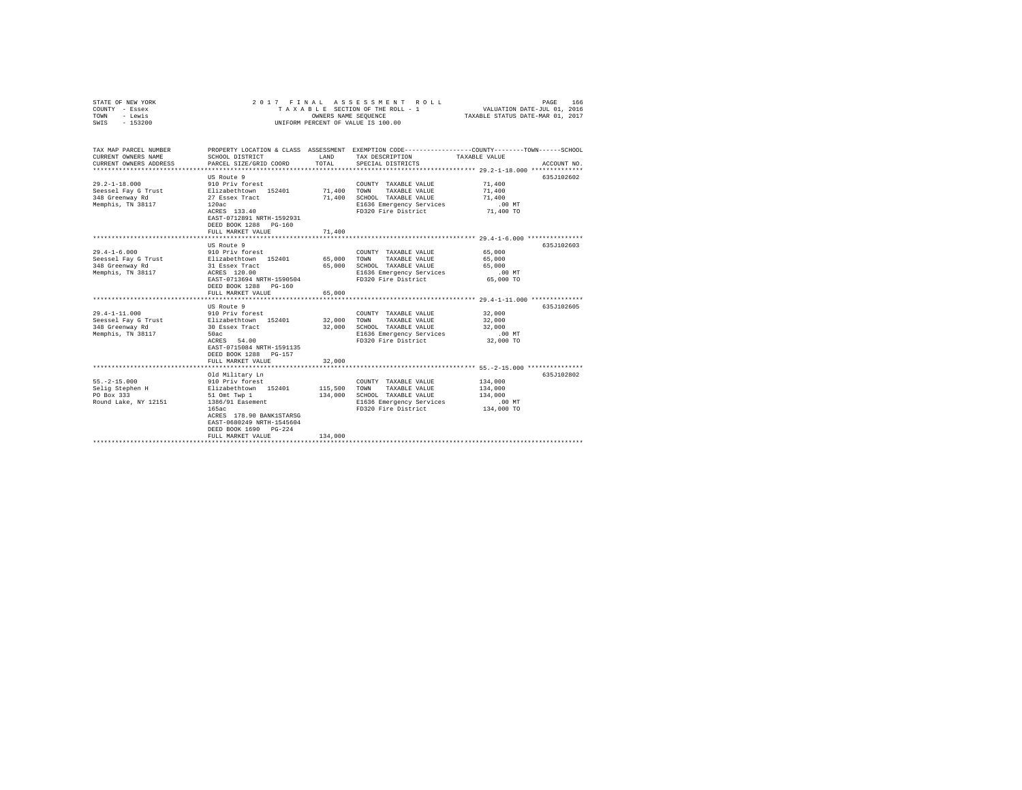| COUNTY - Essex<br>TOWN<br>- Lewis<br>SWIS<br>$-153200$                             | TAXABLE SECTION OF THE ROLL - 1<br>UNIFORM PERCENT OF VALUE IS 100.00                                                                                                                     | VALUATION DATE-JUL 01, 2016<br>TAXABLE STATUS DATE-MAR 01, 2017 |                                                                                                                          |                                                                                                                                 |
|------------------------------------------------------------------------------------|-------------------------------------------------------------------------------------------------------------------------------------------------------------------------------------------|-----------------------------------------------------------------|--------------------------------------------------------------------------------------------------------------------------|---------------------------------------------------------------------------------------------------------------------------------|
| TAX MAP PARCEL NUMBER<br>CURRENT OWNERS NAME<br>CURRENT OWNERS ADDRESS             | SCHOOL DISTRICT<br>PARCEL SIZE/GRID COORD                                                                                                                                                 | LAND<br>TOTAL                                                   | TAX DESCRIPTION<br>SPECIAL DISTRICTS                                                                                     | PROPERTY LOCATION & CLASS ASSESSMENT EXEMPTION CODE---------------COUNTY-------TOWN------SCHOOL<br>TAXABLE VALUE<br>ACCOUNT NO. |
|                                                                                    |                                                                                                                                                                                           |                                                                 |                                                                                                                          |                                                                                                                                 |
| $29.2 - 1 - 18.000$<br>Seessel Fay G Trust<br>348 Greenway Rd<br>Memphis, TN 38117 | US Route 9<br>910 Priv forest<br>Elizabethtown 152401<br>27 Essex Tract<br>120ac<br>ACRES 133.40<br>EAST-0712891 NRTH-1592931<br>DEED BOOK 1288 PG-160                                    | 71,400<br>71,400                                                | COUNTY TAXABLE VALUE<br>TOWN<br>TAXABLE VALUE<br>SCHOOL TAXABLE VALUE<br>E1636 Emergency Services<br>FD320 Fire District | 635J102602<br>71,400<br>71,400<br>71,400<br>$.00$ MT<br>71,400 TO                                                               |
|                                                                                    | FULL MARKET VALUE                                                                                                                                                                         | 71,400                                                          |                                                                                                                          |                                                                                                                                 |
|                                                                                    | US Route 9                                                                                                                                                                                |                                                                 |                                                                                                                          | 635J102603                                                                                                                      |
| $29.4 - 1 - 6.000$<br>Seessel Fay G Trust<br>348 Greenway Rd<br>Memphis, TN 38117  | 910 Priv forest<br>Elizabethtown 152401<br>31 Essex Tract<br>ACRES 120.00<br>EAST-0713694 NRTH-1590504<br>DEED BOOK 1288 PG-160<br>FULL MARKET VALUE<br>US Route 9                        | 65,000<br>65,000<br>65,000                                      | COUNTY TAXABLE VALUE<br>TAXABLE VALUE<br>TOWN<br>SCHOOL TAXABLE VALUE<br>E1636 Emergency Services<br>FD320 Fire District | 65,000<br>65,000<br>65,000<br>$.00$ MT<br>65,000 TO<br>635J102605                                                               |
| $29.4 - 1 - 11.000$<br>Seessel Fay G Trust<br>348 Greenway Rd<br>Memphis, TN 38117 | 910 Priv forest<br>Elizabethtown 152401<br>30 Essex Tract<br>50ac<br>ACRES 54.00<br>EAST-0715084 NRTH-1591135<br>DEED BOOK 1288 PG-157<br>FULL MARKET VALUE                               | 32,000<br>32,000<br>32,000                                      | COUNTY TAXABLE VALUE<br>TAXABLE VALUE<br>TOWN<br>SCHOOL TAXABLE VALUE<br>E1636 Emergency Services<br>FD320 Fire District | 32,000<br>32,000<br>32,000<br>$.00$ MT<br>32,000 TO                                                                             |
|                                                                                    |                                                                                                                                                                                           |                                                                 |                                                                                                                          |                                                                                                                                 |
| $55. -2 - 15.000$<br>Selig Stephen H<br>PO Box 333<br>Round Lake, NY 12151         | Old Military Ln<br>910 Priv forest<br>Elizabethtown 152401<br>51 Omt Twp 1<br>1386/91 Easement<br>165ac<br>ACRES 178.90 BANK1STARSG<br>EAST-0680249 NRTH-1545604<br>DEED BOOK 1690 PG-224 | 115,500<br>134,000                                              | COUNTY TAXABLE VALUE<br>TOWN<br>TAXABLE VALUE<br>SCHOOL TAXABLE VALUE<br>E1636 Emergency Services<br>FD320 Fire District | 635J102802<br>134,000<br>134,000<br>134,000<br>$.00$ MT<br>134,000 TO                                                           |
|                                                                                    | FULL MARKET VALUE                                                                                                                                                                         | 134,000                                                         |                                                                                                                          |                                                                                                                                 |

STATE OF NEW YORK 2017 FINAL ASSESSMENT ROLL PAGE 166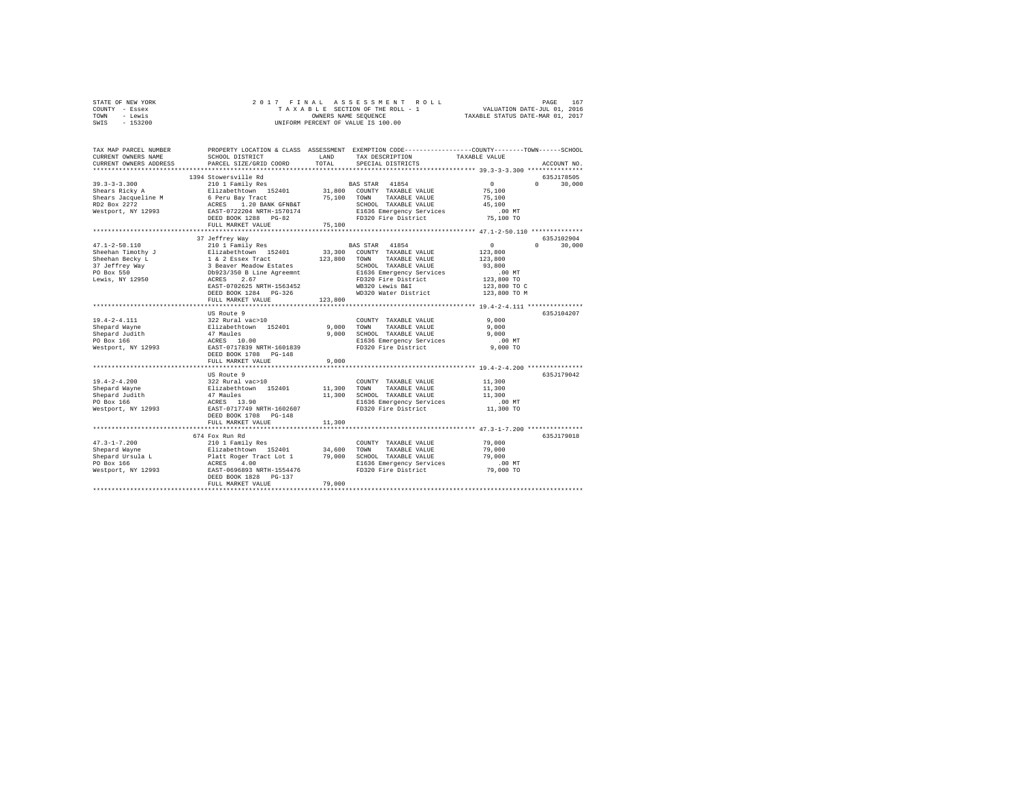|                | STATE OF NEW YORK |  |  | 2017 FINAL ASSESSMENT ROLL         |                                  | PAGE                        | 167 |
|----------------|-------------------|--|--|------------------------------------|----------------------------------|-----------------------------|-----|
| COUNTY - Essex |                   |  |  | TAXABLE SECTION OF THE ROLL - 1    |                                  | VALUATION DATE-JUL 01, 2016 |     |
| TOWN           | - Lewis           |  |  | OWNERS NAME SEOUENCE               | TAXABLE STATUS DATE-MAR 01, 2017 |                             |     |
| SWIS           | $-153200$         |  |  | UNIFORM PERCENT OF VALUE IS 100.00 |                                  |                             |     |

| TAX MAP PARCEL NUMBER<br>CURRENT OWNERS NAME                                | SCHOOL DISTRICT                                                                        | LAND                       | TAX DESCRIPTION                                                                                | PROPERTY LOCATION & CLASS ASSESSMENT EXEMPTION CODE----------------COUNTY-------TOWN------SCHOOL<br>TAXABLE VALUE |
|-----------------------------------------------------------------------------|----------------------------------------------------------------------------------------|----------------------------|------------------------------------------------------------------------------------------------|-------------------------------------------------------------------------------------------------------------------|
| CURRENT OWNERS ADDRESS<br>************************                          | PARCEL SIZE/GRID COORD                                                                 | TOTAL                      | SPECIAL DISTRICTS                                                                              | ACCOUNT NO.                                                                                                       |
|                                                                             | 1394 Stowersville Rd                                                                   |                            |                                                                                                | 635J178505                                                                                                        |
| $39.3 - 3 - 3.300$<br>Shears Ricky A<br>Shears Jacqueline M<br>RD2 Box 2272 | 210 1 Family Res<br>Elizabethtown 152401<br>6 Peru Bay Tract<br>ACRES 1.20 BANK GFNB&T | 75,100                     | BAS STAR 41854<br>31,800 COUNTY TAXABLE VALUE<br>TOWN<br>TAXABLE VALUE<br>SCHOOL TAXABLE VALUE | $\sim$ 0<br>$\Omega$<br>30,000<br>75,100<br>75,100<br>45,100                                                      |
| Westport, NY 12993                                                          | EAST-0722204 NRTH-1570174<br>DEED BOOK 1288 PG-82                                      |                            | E1636 Emergency Services<br>FD320 Fire District                                                | $.00$ MT<br>75,100 TO                                                                                             |
|                                                                             | FULL MARKET VALUE                                                                      | 75,100                     |                                                                                                |                                                                                                                   |
|                                                                             | 37 Jeffrey Way                                                                         |                            |                                                                                                | 635J102904                                                                                                        |
| $47.1 - 2 - 50.110$<br>Sheehan Timothy J                                    | 210 1 Family Res<br>Elizabethtown 152401                                               | 33,300                     | BAS STAR 41854<br>COUNTY TAXABLE VALUE                                                         | $\circ$<br>$0 \qquad \qquad$<br>30,000<br>123,800                                                                 |
| Sheehan Becky L<br>37 Jeffrey Way<br>PO Box 550                             | 1 & 2 Essex Tract<br>3 Beaver Meadow Estates<br>Db923/350 B Line Agreemnt              | 123,800                    | TAXABLE VALUE<br>TOWN<br>SCHOOL TAXABLE VALUE<br>E1636 Emergency Services                      | 123,800<br>93,800<br>$.00$ MT                                                                                     |
| Lewis, NY 12950                                                             | ACRES<br>2.67<br>EAST-0702625 NRTH-1563452<br>DEED BOOK 1284 PG-326                    |                            | FD320 Fire District<br>WB320 Lewis B&I<br>WD320 Water District                                 | 123,800 TO<br>123,800 TO C<br>123,800 TO M                                                                        |
|                                                                             | FULL MARKET VALUE                                                                      | 123,800                    |                                                                                                |                                                                                                                   |
|                                                                             |                                                                                        | ************************** |                                                                                                | *************** 19.4-2-4.111 **************                                                                       |
|                                                                             | US Route 9                                                                             |                            |                                                                                                | 635J104207                                                                                                        |
| $19.4 - 2 - 4.111$                                                          | 322 Rural vac>10                                                                       |                            | COUNTY TAXABLE VALUE                                                                           | 9.000                                                                                                             |
| Shepard Wayne                                                               | Elizabethtown 152401                                                                   | 9,000<br>9.000             | TOWN<br>TAXABLE VALUE                                                                          | 9,000<br>9.000                                                                                                    |
| Shepard Judith<br>PO Box 166                                                | 47 Maules<br>ACRES 10.00                                                               |                            | SCHOOL TAXABLE VALUE<br>E1636 Emergency Services                                               | $.00$ MT                                                                                                          |
| Westport, NY 12993                                                          | EAST-0717839 NRTH-1601839                                                              |                            | FD320 Fire District                                                                            | $9.000$ TO                                                                                                        |
|                                                                             | DEED BOOK 1708 PG-148<br>FULL MARKET VALUE                                             | 9,000                      |                                                                                                |                                                                                                                   |
|                                                                             |                                                                                        |                            |                                                                                                |                                                                                                                   |
|                                                                             | US Route 9                                                                             |                            |                                                                                                | 635J179042                                                                                                        |
| $19.4 - 2 - 4.200$                                                          | 322 Rural vac>10                                                                       |                            | COUNTY TAXABLE VALUE                                                                           | 11,300                                                                                                            |
| Shepard Wayne                                                               | Elizabethtown 152401<br>47 Maules                                                      | 11,300                     | TOWN<br>TAXABLE VALUE                                                                          | 11,300                                                                                                            |
| Shepard Judith                                                              |                                                                                        | 11,300                     | SCHOOL TAXABLE VALUE                                                                           | 11,300                                                                                                            |
| PO Box 166                                                                  | ACRES 13.90<br>EAST-0717749 NRTH-1602607                                               |                            | E1636 Emergency Services                                                                       | $.00$ MT                                                                                                          |
| Westport, NY 12993                                                          | DEED BOOK 1708 PG-148<br>FULL MARKET VALUE                                             | 11,300                     | FD320 Fire District                                                                            | 11,300 TO                                                                                                         |
|                                                                             |                                                                                        |                            |                                                                                                |                                                                                                                   |
|                                                                             | 674 Fox Run Rd                                                                         |                            |                                                                                                | 635J179018                                                                                                        |
| $47.3 - 1 - 7.200$                                                          | 210 1 Family Res                                                                       |                            | COUNTY TAXABLE VALUE                                                                           | 79,000                                                                                                            |
| Shepard Wayne                                                               | Elizabethtown 152401                                                                   | 34,600                     | TOWN<br>TAXABLE VALUE                                                                          | 79,000                                                                                                            |
| Shepard Ursula L                                                            | Platt Roger Tract Lot 1 79,000<br>ACRES 4.00                                           |                            | SCHOOL TAXABLE VALUE                                                                           | 79,000                                                                                                            |
| PO Box 166                                                                  |                                                                                        |                            | E1636 Emergency Services                                                                       | .00MT                                                                                                             |
| Westport, NY 12993                                                          | EAST-0696893 NRTH-1554476<br>DEED BOOK 1828 PG-137<br>FULL MARKET VALUE                | 79,000                     | FD320 Fire District                                                                            | 79,000 TO                                                                                                         |
|                                                                             |                                                                                        |                            |                                                                                                |                                                                                                                   |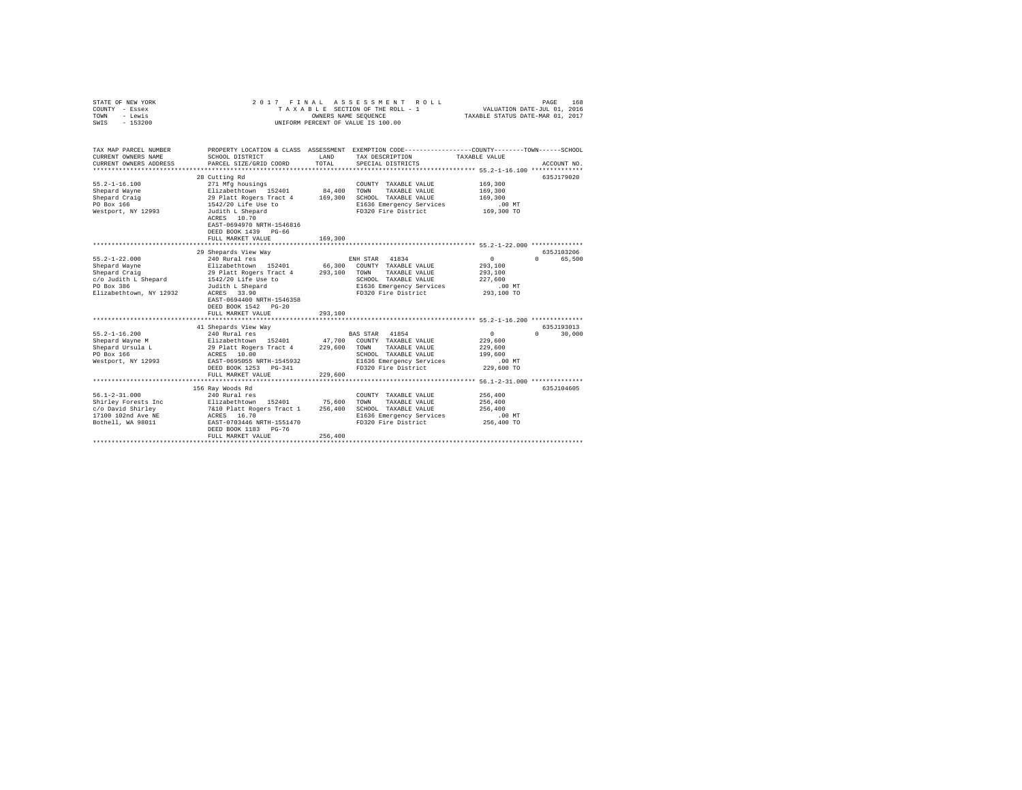| STATE OF NEW YORK<br>COUNTY - Essex<br>- Lewis<br>TOWN<br>$-153200$<br>SWIS | 2017                                                                                 | FINAL<br>OWNERS NAME SEQUENCE | ASSESSMENT ROLL<br>TAXABLE SECTION OF THE ROLL - 1<br>UNIFORM PERCENT OF VALUE IS 100.00                                                 | VALUATION DATE-JUL 01, 2016<br>TAXABLE STATUS DATE-MAR 01, 2017 | PAGE<br>168          |
|-----------------------------------------------------------------------------|--------------------------------------------------------------------------------------|-------------------------------|------------------------------------------------------------------------------------------------------------------------------------------|-----------------------------------------------------------------|----------------------|
| TAX MAP PARCEL NUMBER<br>CURRENT OWNERS NAME<br>CURRENT OWNERS ADDRESS      | SCHOOL DISTRICT<br>PARCEL SIZE/GRID COORD                                            | LAND<br>TOTAL                 | PROPERTY LOCATION & CLASS ASSESSMENT EXEMPTION CODE----------------COUNTY-------TOWN------SCHOOL<br>TAX DESCRIPTION<br>SPECIAL DISTRICTS | TAXABLE VALUE                                                   | ACCOUNT NO.          |
| ************************                                                    |                                                                                      |                               |                                                                                                                                          |                                                                 |                      |
|                                                                             | 28 Cutting Rd                                                                        |                               |                                                                                                                                          |                                                                 | 635J179020           |
| $55.2 - 1 - 16.100$                                                         | 271 Mfg housings                                                                     |                               | COUNTY TAXABLE VALUE                                                                                                                     | 169,300                                                         |                      |
| Shepard Wayne                                                               | Elizabethtown 152401                                                                 | 84,400                        | TOWN<br>TAXABLE VALUE                                                                                                                    | 169,300                                                         |                      |
| Shepard Craig                                                               | 29 Platt Rogers Tract 4                                                              | 169,300                       | SCHOOL TAXABLE VALUE                                                                                                                     | 169,300                                                         |                      |
| PO Box 166                                                                  | 1542/20 Life Use to                                                                  |                               | E1636 Emergency Services                                                                                                                 | .00MT                                                           |                      |
| Westport, NY 12993                                                          | Judith L Shepard<br>ACRES 10.70<br>EAST-0694970 NRTH-1546816<br>DEED BOOK 1439 PG-66 |                               | FD320 Fire District                                                                                                                      | 169,300 TO                                                      |                      |
|                                                                             | FULL MARKET VALUE                                                                    | 169,300                       |                                                                                                                                          |                                                                 |                      |
|                                                                             |                                                                                      |                               |                                                                                                                                          |                                                                 |                      |
|                                                                             | 29 Shepards View Way                                                                 |                               |                                                                                                                                          |                                                                 | 635J103206<br>$\cap$ |
| $55.2 - 1 - 22.000$                                                         | 240 Rural res<br>Elizabethtown 152401                                                |                               | 41834<br>ENH STAR<br>COUNTY TAXABLE VALUE                                                                                                | $\circ$<br>293,100                                              | 65,500               |
| Shepard Wayne<br>Shepard Craig                                              | 29 Platt Rogers Tract 4                                                              | 66,300<br>293,100             | TAXABLE VALUE<br>TOWN                                                                                                                    | 293,100                                                         |                      |
| c/o Judith L Shepard                                                        | 1542/20 Life Use to                                                                  |                               | SCHOOL TAXABLE VALUE                                                                                                                     | 227,600                                                         |                      |
| PO Box 386                                                                  | Judith L Shepard                                                                     |                               | E1636 Emergency Services                                                                                                                 | $.00$ MT                                                        |                      |
| Elizabethtown, NY 12932                                                     | ACRES 33.90                                                                          |                               | FD320 Fire District                                                                                                                      | 293,100 TO                                                      |                      |
|                                                                             | EAST-0694400 NRTH-1546358                                                            |                               |                                                                                                                                          |                                                                 |                      |
|                                                                             | DEED BOOK 1542 PG-20                                                                 |                               |                                                                                                                                          |                                                                 |                      |
|                                                                             | FULL MARKET VALUE                                                                    | 293,100                       |                                                                                                                                          |                                                                 |                      |
|                                                                             |                                                                                      |                               |                                                                                                                                          |                                                                 |                      |
|                                                                             | 41 Shepards View Way                                                                 |                               |                                                                                                                                          |                                                                 | 635J193013           |
| $55.2 - 1 - 16.200$                                                         | 240 Rural res                                                                        |                               | BAS STAR 41854                                                                                                                           | $^{\circ}$                                                      | 30,000<br>$\cap$     |
| Shepard Wayne M                                                             | Elizabethtown 152401                                                                 | 47,700                        | COUNTY TAXABLE VALUE                                                                                                                     | 229,600                                                         |                      |
| Shepard Ursula L                                                            | 29 Platt Rogers Tract 4                                                              | 229,600                       | TAXABLE VALUE<br>TOWN                                                                                                                    | 229,600                                                         |                      |
| PO Box 166                                                                  | ACRES 10.00                                                                          |                               | SCHOOL TAXABLE VALUE                                                                                                                     | 199,600                                                         |                      |
| Westport, NY 12993                                                          | EAST-0695055 NRTH-1545932                                                            |                               | E1636 Emergency Services                                                                                                                 | $.00$ MT                                                        |                      |
|                                                                             | DEED BOOK 1253 PG-341                                                                |                               | FD320 Fire District                                                                                                                      | 229,600 TO                                                      |                      |
|                                                                             | FULL MARKET VALUE                                                                    | 229,600                       |                                                                                                                                          |                                                                 |                      |
|                                                                             | 156 Ray Woods Rd                                                                     |                               |                                                                                                                                          |                                                                 | 635J104605           |
| $56.1 - 2 - 31.000$                                                         | 240 Rural res                                                                        |                               | COUNTY TAXABLE VALUE                                                                                                                     | 256,400                                                         |                      |
| Shirley Forests Inc                                                         |                                                                                      | 75,600                        | TOWN<br>TAXABLE VALUE                                                                                                                    | 256,400                                                         |                      |
| c/o David Shirley                                                           | Elizabethtown 152401<br>7&10 Platt Rogers Tract 1                                    | 256,400                       | SCHOOL TAXABLE VALUE                                                                                                                     | 256,400                                                         |                      |
| 17100 102nd Ave NE                                                          | ACRES 16.70                                                                          |                               | E1636 Emergency Services                                                                                                                 | .00MT                                                           |                      |
| Bothell, WA 98011                                                           | EAST-0703446 NRTH-1551470                                                            |                               | FD320 Fire District                                                                                                                      | 256,400 TO                                                      |                      |
|                                                                             | DEED BOOK 1183 PG-76                                                                 |                               |                                                                                                                                          |                                                                 |                      |
|                                                                             | FULL MARKET VALUE                                                                    | 256,400                       |                                                                                                                                          |                                                                 |                      |
|                                                                             |                                                                                      |                               |                                                                                                                                          |                                                                 |                      |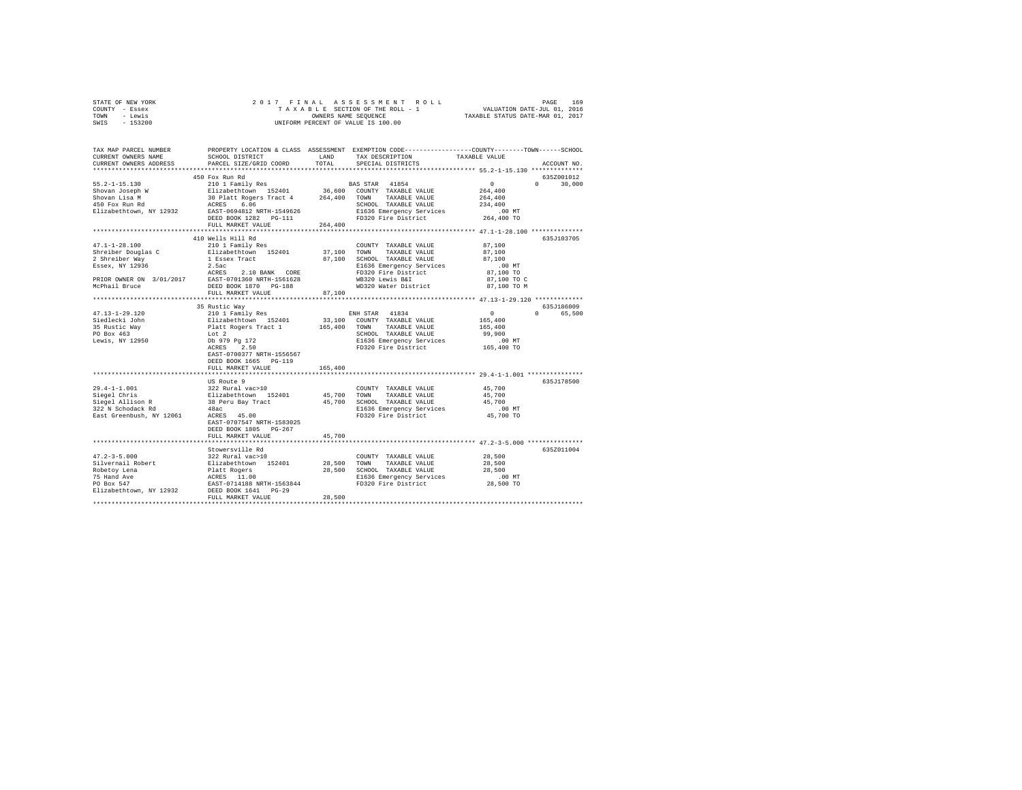| STATE OF NEW YORK | 2017 FINAL ASSESSMENT ROLL         | 169<br>PAGE                      |
|-------------------|------------------------------------|----------------------------------|
| COUNTY - Essex    | TAXABLE SECTION OF THE ROLL - 1    | VALUATION DATE-JUL 01, 2016      |
| TOWN<br>- Lewis   | OWNERS NAME SEOUENCE               | TAXABLE STATUS DATE-MAR 01, 2017 |
| $-153200$<br>SWIS | UNIFORM PERCENT OF VALUE IS 100.00 |                                  |

| TAX MAP PARCEL NUMBER<br>CURRENT OWNERS NAME<br>CURRENT OWNERS ADDRESS                                                      | SCHOOL DISTRICT<br>PARCEL SIZE/GRID COORD                                                                                                                                                                             | LAND<br>TOTAL                | TAX DESCRIPTION<br>SPECIAL DISTRICTS                                                                                                                                | PROPERTY LOCATION & CLASS ASSESSMENT EXEMPTION CODE---------------COUNTY-------TOWN------SCHOOL<br>TAXABLE VALUE<br>ACCOUNT NO. |        |
|-----------------------------------------------------------------------------------------------------------------------------|-----------------------------------------------------------------------------------------------------------------------------------------------------------------------------------------------------------------------|------------------------------|---------------------------------------------------------------------------------------------------------------------------------------------------------------------|---------------------------------------------------------------------------------------------------------------------------------|--------|
|                                                                                                                             |                                                                                                                                                                                                                       |                              |                                                                                                                                                                     |                                                                                                                                 |        |
| $55.2 - 1 - 15.130$<br>Shovan Joseph W<br>Shovan Lisa M<br>450 Fox Run Rd<br>Elizabethtown, NY 12932                        | 450 Fox Run Rd<br>210 1 Family Res<br>Elizabethtown 152401<br>30 Platt Rogers Tract 4<br>6.06<br>ACRES<br>EAST-0694812 NRTH-1549626<br>DEED BOOK 1282 PG-111<br>FULL MARKET VALUE                                     | 36,600<br>264,400<br>264,400 | BAS STAR 41854<br>COUNTY TAXABLE VALUE<br>TAXABLE VALUE<br>TOWN<br>SCHOOL TAXABLE VALUE<br>E1636 Emergency Services<br>FD320 Fire District                          | 635Z001012<br>$\Omega$<br>$\Omega$<br>264,400<br>264,400<br>234,400<br>$.00$ MT<br>264,400 TO                                   | 30,000 |
|                                                                                                                             | **************************                                                                                                                                                                                            |                              |                                                                                                                                                                     |                                                                                                                                 |        |
| $47.1 - 1 - 28.100$<br>Shreiber Douglas C<br>2 Shreiber Way<br>Essex, NY 12936<br>PRIOR OWNER ON 3/01/2017<br>McPhail Bruce | 410 Wells Hill Rd<br>210 1 Family Res<br>Elizabethtown 152401<br>1 Essex Tract<br>2.5ac<br>ACRES<br>2.10 BANK CORE<br>EAST-0701360 NRTH-1561628<br>DEED BOOK 1870 PG-188                                              | 37,100<br>87,100             | COUNTY TAXABLE VALUE<br>TOWN<br>TAXABLE VALUE<br>SCHOOL TAXABLE VALUE<br>E1636 Emergency Services<br>FD320 Fire District<br>WB320 Lewis B&I<br>WD320 Water District | 635J103705<br>87,100<br>87,100<br>87,100<br>$.00$ MT<br>87,100 TO<br>87,100 TO C<br>87,100 TO M                                 |        |
|                                                                                                                             | FULL MARKET VALUE                                                                                                                                                                                                     | 87,100                       |                                                                                                                                                                     |                                                                                                                                 |        |
| $47.13 - 1 - 29.120$<br>Siedlecki John<br>35 Rustic Way<br>PO Box 463<br>Lewis, NY 12950                                    | 35 Rustic Way<br>210 1 Family Res<br>Elizabethtown 152401<br>Platt Rogers Tract 1<br>Lot 2<br>Db 979 Pg 172<br>2.50<br>ACRES<br>EAST-0700377 NRTH-1556567<br>DEED BOOK 1665 PG-119<br>FULL MARKET VALUE<br>US Route 9 | 33,100<br>165,400<br>165,400 | ENH STAR 41834<br>COUNTY TAXABLE VALUE<br>TOWN<br>TAXABLE VALUE<br>SCHOOL TAXABLE VALUE<br>E1636 Emergency Services<br>FD320 Fire District                          | 635J186009<br>$^{\circ}$<br>$\cap$<br>165,400<br>165,400<br>99,900<br>$.00$ MT<br>165,400 TO<br>635J178500                      | 65,500 |
| $29.4 - 1 - 1.001$<br>Siegel Chris<br>Siegel Allison R<br>322 N Schodack Rd<br>East Greenbush, NY 12061                     | 322 Rural vac>10<br>Elizabethtown 152401<br>38 Peru Bay Tract<br>48ac<br>ACRES 45.00<br>EAST-0707547 NRTH-1583025<br>DEED BOOK 1805 PG-267<br>FULL MARKET VALUE                                                       | 45,700<br>45,700<br>45,700   | COUNTY TAXABLE VALUE<br>TOWN<br>TAXABLE VALUE<br>SCHOOL TAXABLE VALUE<br>E1636 Emergency Services<br>FD320 Fire District                                            | 45,700<br>45,700<br>45,700<br>$.00$ MT<br>45,700 TO                                                                             |        |
|                                                                                                                             | Stowersville Rd                                                                                                                                                                                                       |                              |                                                                                                                                                                     | 635Z011004                                                                                                                      |        |
| $47.2 - 3 - 5.000$<br>Silvernail Robert<br>Robetoy Lena<br>75 Hand Ave<br>PO Box 547<br>Elizabethtown, NY 12932             | 322 Rural vac>10<br>Elizabethtown 152401<br>Platt Rogers<br>ACRES 11.00<br>EAST-0714188 NRTH-1563844<br>DEED BOOK 1641 PG-29<br>FULL MARKET VALUE                                                                     | 28,500<br>28,500<br>28,500   | COUNTY TAXABLE VALUE<br>TOWN<br>TAXABLE VALUE<br>SCHOOL TAXABLE VALUE<br>E1636 Emergency Services<br>FD320 Fire District                                            | 28,500<br>28,500<br>28,500<br>.00 MT<br>28,500 TO                                                                               |        |
|                                                                                                                             |                                                                                                                                                                                                                       |                              |                                                                                                                                                                     |                                                                                                                                 |        |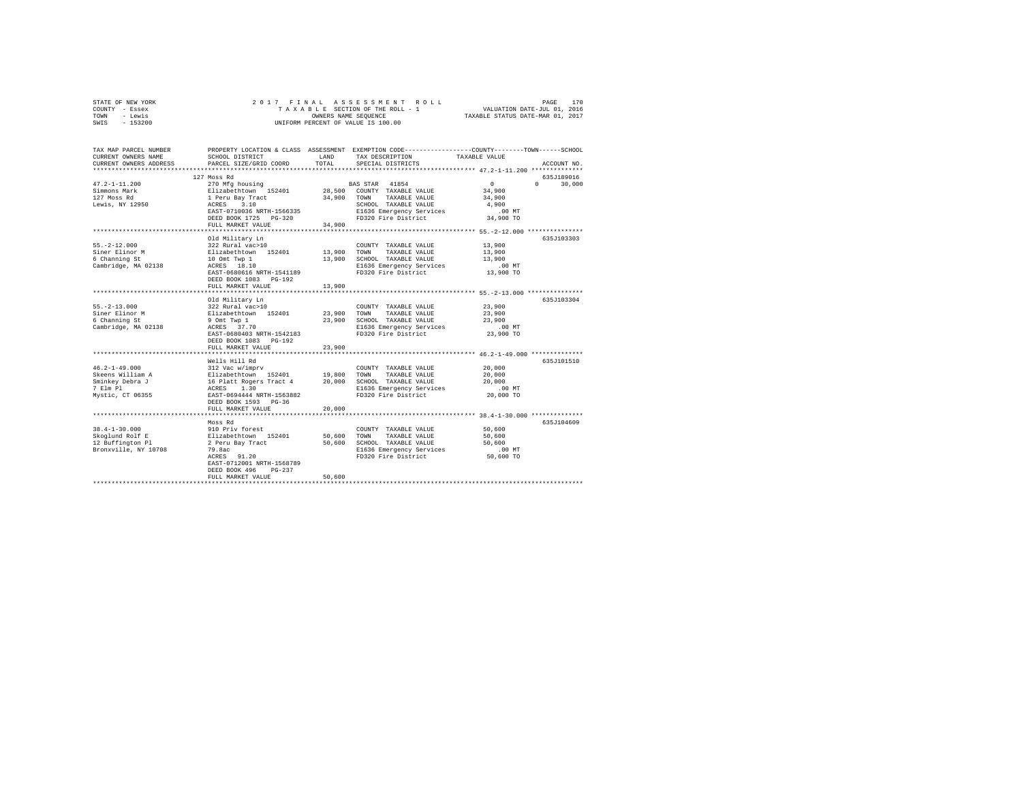| STATE OF NEW YORK | 2017 FINAL ASSESSMENT ROLL         | 170<br>PAGE                      |
|-------------------|------------------------------------|----------------------------------|
| COUNTY - Essex    | TAXABLE SECTION OF THE ROLL - 1    | VALUATION DATE-JUL 01, 2016      |
| TOWN<br>- Lewis   | OWNERS NAME SEOUENCE               | TAXABLE STATUS DATE-MAR 01, 2017 |
| $-153200$<br>SWIS | UNIFORM PERCENT OF VALUE IS 100.00 |                                  |

| TAX MAP PARCEL NUMBER<br>CURRENT OWNERS NAME<br>CURRENT OWNERS ADDRESS | SCHOOL DISTRICT<br>PARCEL SIZE/GRID COORD  | LAND<br>TOTAL.   | PROPERTY LOCATION & CLASS ASSESSMENT EXEMPTION CODE---------------COUNTY-------TOWN-----SCHOOL<br>TAX DESCRIPTION<br>SPECIAL DISTRICTS | TAXABLE VALUE                        | ACCOUNT NO.                 |
|------------------------------------------------------------------------|--------------------------------------------|------------------|----------------------------------------------------------------------------------------------------------------------------------------|--------------------------------------|-----------------------------|
|                                                                        |                                            |                  |                                                                                                                                        |                                      |                             |
|                                                                        | 127 Moss Rd                                |                  |                                                                                                                                        |                                      | 635J189016                  |
| $47.2 - 1 - 11.200$                                                    | 270 Mfg housing                            |                  | BAS STAR 41854                                                                                                                         | $\sim$ 0                             | $0 \qquad \qquad$<br>30,000 |
| Simmons Mark                                                           | Elizabethtown 152401                       |                  | 28,500 COUNTY TAXABLE VALUE                                                                                                            | 34,900                               |                             |
| 127 Moss Rd                                                            | 1 Peru Bay Tract                           |                  | 34,900 TOWN TAXABLE VALUE                                                                                                              | 34,900                               |                             |
| Lewis, NY 12950                                                        | ACRES 3.10                                 |                  | SCHOOL TAXABLE VALUE                                                                                                                   | 4,900                                |                             |
|                                                                        | EAST-0710036 NRTH-1566335                  |                  | E1636 Emergency Services                                                                                                               | $.00$ MT                             |                             |
|                                                                        | DEED BOOK 1725 PG-320<br>FULL MARKET VALUE | 34,900           | FD320 Fire District                                                                                                                    | 34,900 TO                            |                             |
|                                                                        |                                            |                  |                                                                                                                                        |                                      |                             |
|                                                                        | Old Military Ln                            |                  |                                                                                                                                        |                                      | 635J103303                  |
| $55. -2 - 12.000$                                                      | 322 Rural vac>10                           |                  | COUNTY TAXABLE VALUE                                                                                                                   | 13,900                               |                             |
| Siner Elinor M                                                         | Elizabethtown 152401                       | 13,900 TOWN      | TAXABLE VALUE                                                                                                                          | 13,900                               |                             |
| 6 Channing St                                                          | 10 Omt Twp 1                               | 13,900           | SCHOOL TAXABLE VALUE                                                                                                                   | 13,900                               |                             |
| Cambridge, MA 02138                                                    | ACRES 18.10                                |                  | E1636 Emergency Services                                                                                                               | $.00$ MT                             |                             |
|                                                                        | EAST-0680616 NRTH-1541189                  |                  | FD320 Fire District                                                                                                                    | 13,900 TO                            |                             |
|                                                                        | DEED BOOK 1083 PG-192                      |                  |                                                                                                                                        |                                      |                             |
|                                                                        | FULL MARKET VALUE                          | 13,900           |                                                                                                                                        |                                      |                             |
|                                                                        | ***********************************        |                  | ***************************** 55.-2-13.000 ****************                                                                            |                                      |                             |
|                                                                        | Old Military Ln                            |                  |                                                                                                                                        |                                      | 635J103304                  |
| $55. -2 - 13.000$                                                      | 322 Rural vac>10                           |                  | COUNTY TAXABLE VALUE                                                                                                                   | 23,900                               |                             |
| Siner Elinor M<br>6 Channing St                                        | Elizabethtown 152401<br>9 Omt Twp 1        | 23,900<br>23,900 | TOWN<br>TAXABLE VALUE<br>SCHOOL TAXABLE VALUE                                                                                          | 23,900<br>23,900                     |                             |
| Cambridge, MA 02138                                                    | ACRES 37.70                                |                  | E1636 Emergency Services                                                                                                               | $.00$ MT                             |                             |
|                                                                        | EAST-0680403 NRTH-1542183                  |                  | FD320 Fire District                                                                                                                    | 23,900 TO                            |                             |
|                                                                        | DEED BOOK 1083 PG-192                      |                  |                                                                                                                                        |                                      |                             |
|                                                                        | FULL MARKET VALUE                          | 23,900           |                                                                                                                                        |                                      |                             |
|                                                                        |                                            |                  |                                                                                                                                        |                                      |                             |
|                                                                        | Wells Hill Rd                              |                  |                                                                                                                                        |                                      | 635J101510                  |
| $46.2 - 1 - 49.000$                                                    | 312 Vac w/imprv                            |                  | COUNTY TAXABLE VALUE                                                                                                                   | 20,000                               |                             |
| Skeens William A                                                       | Elizabethtown 152401 19,800                |                  | TOWN<br>TAXABLE VALUE                                                                                                                  | 20,000                               |                             |
| Sminkey Debra J                                                        | 16 Platt Rogers Tract 4<br>ACRES 1.30      | 20,000           | SCHOOL TAXABLE VALUE                                                                                                                   | 20,000                               |                             |
| 7 Elm Pl                                                               |                                            |                  | E1636 Emergency Services                                                                                                               | $.00$ MT                             |                             |
| Mystic, CT 06355                                                       | EAST-0694444 NRTH-1563882                  |                  | FD320 Fire District                                                                                                                    | 20,000 TO                            |                             |
|                                                                        | DEED BOOK 1593 PG-36<br>FULL MARKET VALUE  | 20,000           |                                                                                                                                        |                                      |                             |
|                                                                        | .                                          |                  |                                                                                                                                        | ********** 38.4-1-30.000 *********** |                             |
|                                                                        | Moss Rd                                    |                  |                                                                                                                                        |                                      | 635J104609                  |
| $38.4 - 1 - 30.000$                                                    | 910 Priv forest                            |                  | COUNTY TAXABLE VALUE                                                                                                                   | 50,600                               |                             |
| Skoglund Rolf E                                                        | Elizabethtown 152401                       | 50,600           | TOWN<br>TAXABLE VALUE                                                                                                                  | 50,600                               |                             |
| 12 Buffington Pl                                                       | 2 Peru Bay Tract                           | 50,600           | SCHOOL TAXABLE VALUE                                                                                                                   | 50,600                               |                             |
| Bronxville, NY 10708                                                   | 79.8ac                                     |                  | E1636 Emergency Services                                                                                                               | $.00$ MT                             |                             |
|                                                                        | ACRES 91.20                                |                  | FD320 Fire District                                                                                                                    | 50,600 TO                            |                             |
|                                                                        | EAST-0712001 NRTH-1568789                  |                  |                                                                                                                                        |                                      |                             |
|                                                                        | DEED BOOK 496<br>$PG-237$                  |                  |                                                                                                                                        |                                      |                             |
|                                                                        | FULL MARKET VALUE                          | 50,600           |                                                                                                                                        |                                      |                             |
|                                                                        |                                            |                  |                                                                                                                                        |                                      |                             |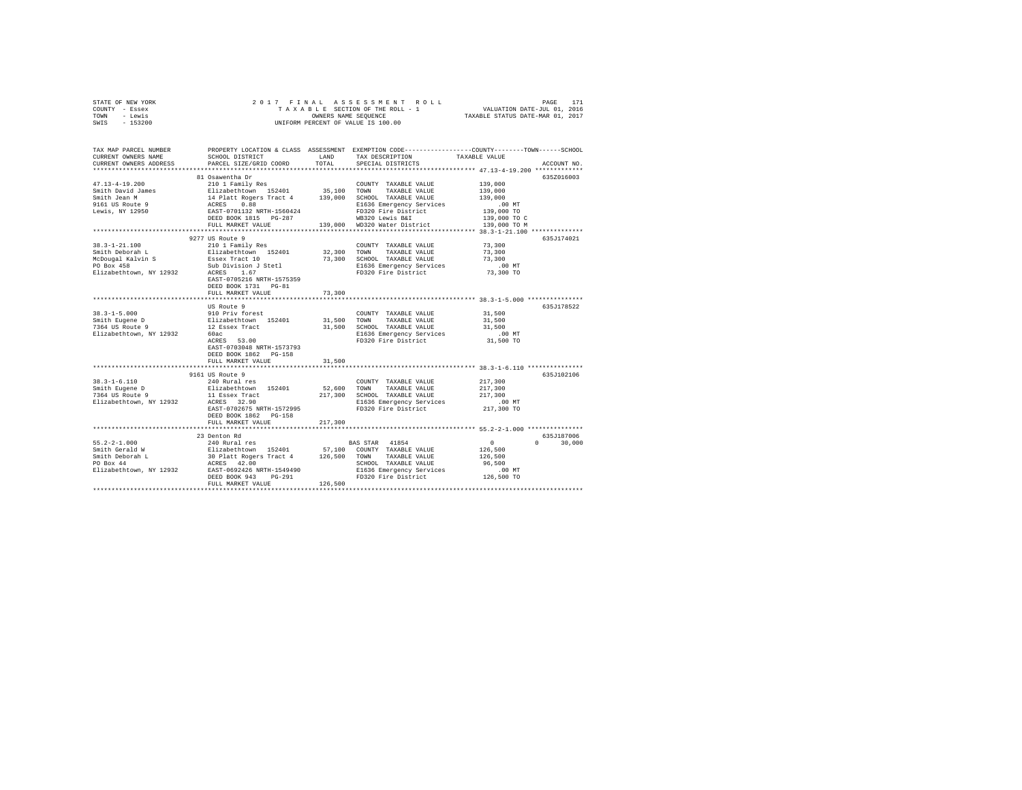| STATE OF NEW YORK | 2017 FINAL ASSESSMENT ROLL         | 171<br>PAGE                      |
|-------------------|------------------------------------|----------------------------------|
| COUNTY - Essex    | TAXABLE SECTION OF THE ROLL - 1    | VALUATION DATE-JUL 01, 2016      |
| TOWN<br>- Lewis   | OWNERS NAME SEOUENCE               | TAXABLE STATUS DATE-MAR 01, 2017 |
| $-153200$<br>SWIS | UNIFORM PERCENT OF VALUE IS 100.00 |                                  |

| TAX MAP PARCEL NUMBER<br>CURRENT OWNERS NAME                | SCHOOL DISTRICT                                       | LAND        | TAX DESCRIPTION                                  | PROPERTY LOCATION & CLASS ASSESSMENT EXEMPTION CODE----------------COUNTY-------TOWN------SCHOOL<br>TAXABLE VALUE |        |
|-------------------------------------------------------------|-------------------------------------------------------|-------------|--------------------------------------------------|-------------------------------------------------------------------------------------------------------------------|--------|
| CURRENT OWNERS ADDRESS<br>**********************            | PARCEL SIZE/GRID COORD<br>*************************** | TOTAL       | SPECIAL DISTRICTS                                | ACCOUNT NO.                                                                                                       |        |
|                                                             | 81 Osawentha Dr                                       |             |                                                  | 635Z016003                                                                                                        |        |
| $47.13 - 4 - 19.200$                                        | 210 1 Family Res                                      |             | COUNTY TAXABLE VALUE                             | 139,000                                                                                                           |        |
| Smith David James                                           | Elizabethtown 152401                                  | 35,100 TOWN | TAXABLE VALUE                                    | 139,000                                                                                                           |        |
| Smith Jean M                                                | 14 Platt Rogers Tract 4                               |             | 139,000 SCHOOL TAXABLE VALUE                     | 139,000                                                                                                           |        |
| 9161 US Route 9                                             | ACRES 0.88                                            |             | E1636 Emergency Services                         | $.00$ MT                                                                                                          |        |
| Lewis, NY 12950                                             | EAST-0701132 NRTH-1560424                             |             | FD320 Fire District                              | 139,000 TO                                                                                                        |        |
|                                                             | DEED BOOK 1815 PG-287                                 |             | WB320 Lewis B&I                                  | 139,000 TO C                                                                                                      |        |
|                                                             | FULL MARKET VALUE                                     |             | 139,000 WD320 Water District                     | 139,000 TO M                                                                                                      |        |
|                                                             |                                                       |             |                                                  | *************** 38.3-1-21.100 *************                                                                       |        |
|                                                             | 9277 US Route 9                                       |             |                                                  | 635J174021                                                                                                        |        |
| $38.3 - 1 - 21.100$                                         | 210 1 Family Res                                      |             | COUNTY TAXABLE VALUE                             | 73,300                                                                                                            |        |
| Smith Deborah L                                             |                                                       | 32,300      | TAXABLE VALUE<br>TOWN                            | 73,300                                                                                                            |        |
| McDougal Kalvin S                                           | Elizabethtown 152401<br>Essex Tract 10                | 73,300      | SCHOOL TAXABLE VALUE                             | 73,300                                                                                                            |        |
| PO Box 458                                                  | Sub Division J Stetl                                  |             | E1636 Emergency Services                         | .00 MT                                                                                                            |        |
| Elizabethtown, NY 12932                                     | ACRES<br>1.67                                         |             | FD320 Fire District                              | 73,300 TO                                                                                                         |        |
|                                                             | EAST-0705216 NRTH-1575359                             |             |                                                  |                                                                                                                   |        |
|                                                             | DEED BOOK 1731 PG-81                                  |             |                                                  |                                                                                                                   |        |
|                                                             | FULL MARKET VALUE                                     | 73,300      |                                                  |                                                                                                                   |        |
|                                                             | *************************                             |             |                                                  |                                                                                                                   |        |
|                                                             | US Route 9                                            |             |                                                  | 635J178522                                                                                                        |        |
| $38.3 - 1 - 5.000$                                          | 910 Priv forest                                       |             | COUNTY TAXABLE VALUE                             | 31,500                                                                                                            |        |
| Smith Eugene D                                              | Elizabethtown 152401                                  | 31,500 TOWN | TAXABLE VALUE                                    | 31,500                                                                                                            |        |
| 7364 US Route 9                                             | 12 Essex Tract                                        |             | 31,500 SCHOOL TAXABLE VALUE                      | 31,500                                                                                                            |        |
| Elizabethtown, NY 12932                                     | 60ac                                                  |             | E1636 Emergency Services                         | .00 MT                                                                                                            |        |
|                                                             | ACRES 53.00                                           |             | FD320 Fire District                              | 31,500 TO                                                                                                         |        |
|                                                             | EAST-0703048 NRTH-1573793                             |             |                                                  |                                                                                                                   |        |
|                                                             | DEED BOOK 1862 PG-158                                 |             |                                                  |                                                                                                                   |        |
|                                                             | FULL MARKET VALUE                                     | 31,500      |                                                  |                                                                                                                   |        |
|                                                             |                                                       |             |                                                  |                                                                                                                   |        |
|                                                             | 9161 US Route 9                                       |             |                                                  | 635J102106                                                                                                        |        |
| $38.3 - 1 - 6.110$                                          | 240 Rural res                                         |             | COUNTY TAXABLE VALUE                             | 217,300                                                                                                           |        |
| Smith Eugene D                                              | Elizabethtown 152401                                  | 52,600      | TOWN<br>TAXABLE VALUE                            | 217,300<br>217,300                                                                                                |        |
| 7364 US Route 9<br>Elizabethtown, NY 12932                  | 11 Essex Tract<br>ACRES 32.90                         | 217,300     | SCHOOL TAXABLE VALUE<br>E1636 Emergency Services | $.00$ MT                                                                                                          |        |
|                                                             | EAST-0702675 NRTH-1572995                             |             | FD320 Fire District                              | 217,300 TO                                                                                                        |        |
|                                                             | DEED BOOK 1862 PG-158                                 |             |                                                  |                                                                                                                   |        |
|                                                             | FULL MARKET VALUE                                     | 217,300     |                                                  |                                                                                                                   |        |
|                                                             |                                                       |             |                                                  |                                                                                                                   |        |
|                                                             | 23 Denton Rd                                          |             |                                                  | 635J187006                                                                                                        |        |
| $55.2 - 2 - 1.000$                                          | 240 Rural res                                         |             | BAS STAR 41854                                   | 0<br>$\Omega$                                                                                                     | 30,000 |
| Smith Gerald W                                              | Elizabethtown 152401                                  |             | 57,100 COUNTY TAXABLE VALUE                      | 126,500                                                                                                           |        |
| Smith Deborah L                                             | 30 Platt Rogers Tract 4 126,500 TOWN                  |             | TAXABLE VALUE                                    | 126,500                                                                                                           |        |
| $\mathbf{L}$ and $\mathbf{L}$ and $\mathbf{L}$<br>PO Box 44 |                                                       |             | SCHOOL TAXABLE VALUE                             | 96,500                                                                                                            |        |
| Elizabethtown, NY 12932                                     | ACRES 42.00<br>EAST-0692426 NRTH-1549490              |             | E1636 Emergency Services                         | $.00$ MT                                                                                                          |        |
|                                                             | DEED BOOK 943<br>PG-291                               |             | FD320 Fire District                              | 126,500 TO                                                                                                        |        |
|                                                             | FULL MARKET VALUE                                     | 126,500     |                                                  |                                                                                                                   |        |
|                                                             |                                                       |             |                                                  |                                                                                                                   |        |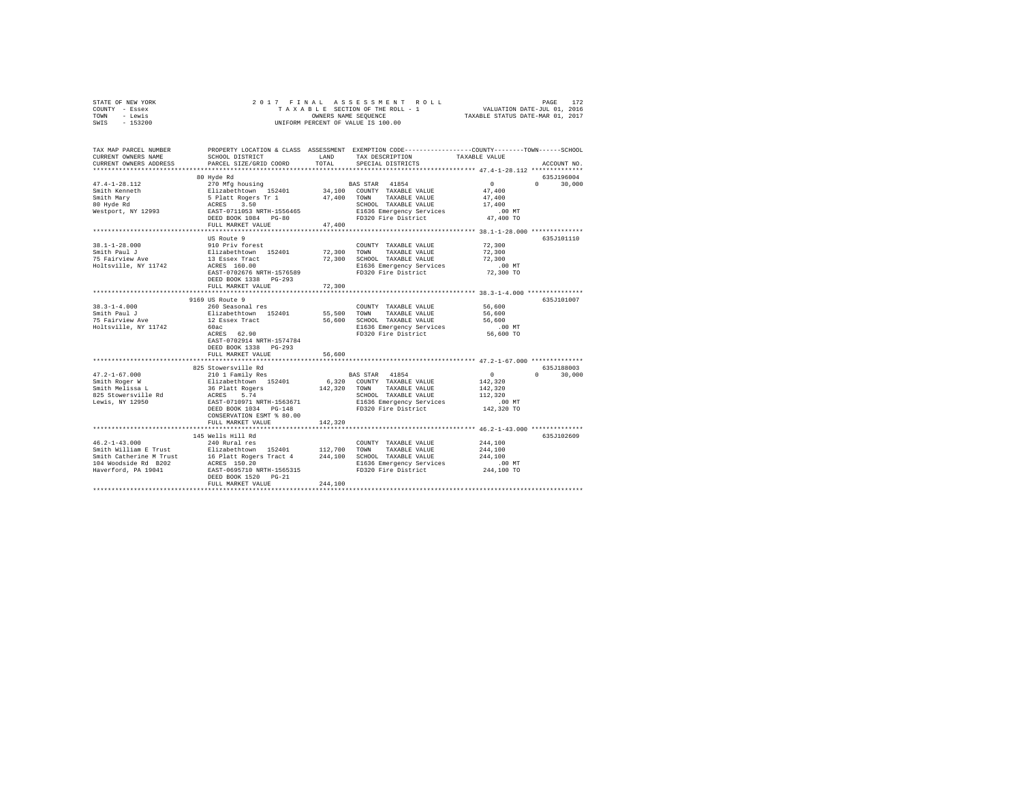| STATE OF NEW YORK | 2017 FINAL ASSESSMENT ROLL         | 172<br>PAGE                      |
|-------------------|------------------------------------|----------------------------------|
| COUNTY - Essex    | TAXABLE SECTION OF THE ROLL - 1    | VALUATION DATE-JUL 01, 2016      |
| TOWN<br>- Lewis   | OWNERS NAME SEOUENCE               | TAXABLE STATUS DATE-MAR 01, 2017 |
| $-153200$<br>SWIS | UNIFORM PERCENT OF VALUE IS 100.00 |                                  |

| TAX MAP PARCEL NUMBER<br>CURRENT OWNERS NAME<br>CURRENT OWNERS ADDRESS                                                                                                                                                                              | SCHOOL DISTRICT<br>PARCEL SIZE/GRID COORD                                                              | LAND<br>TOTAL            | TAX DESCRIPTION<br>SPECIAL DISTRICTS            | PROPERTY LOCATION & CLASS ASSESSMENT EXEMPTION CODE----------------COUNTY-------TOWN-----SCHOOL<br>TAXABLE VALUE<br>ACCOUNT NO. |
|-----------------------------------------------------------------------------------------------------------------------------------------------------------------------------------------------------------------------------------------------------|--------------------------------------------------------------------------------------------------------|--------------------------|-------------------------------------------------|---------------------------------------------------------------------------------------------------------------------------------|
|                                                                                                                                                                                                                                                     |                                                                                                        |                          |                                                 |                                                                                                                                 |
|                                                                                                                                                                                                                                                     | 80 Hyde Rd                                                                                             |                          |                                                 | 635J196004                                                                                                                      |
| $47.4 - 1 - 28.112$                                                                                                                                                                                                                                 | 270 Mfg housing                                                                                        |                          | BAS STAR 41854                                  | $\sim$ 0<br>$\Omega$ and $\Omega$<br>30,000                                                                                     |
|                                                                                                                                                                                                                                                     |                                                                                                        |                          | 34,100 COUNTY TAXABLE VALUE                     | 47.400                                                                                                                          |
|                                                                                                                                                                                                                                                     |                                                                                                        |                          | 47,400 TOWN TAXABLE VALUE                       | 47,400                                                                                                                          |
|                                                                                                                                                                                                                                                     |                                                                                                        |                          | SCHOOL TAXABLE VALUE                            | 17,400                                                                                                                          |
|                                                                                                                                                                                                                                                     | DEED BOOK 1084 PG-80                                                                                   |                          | E1636 Emergency Services<br>FD320 Fire District | $.00$ MT<br>47,400 TO                                                                                                           |
|                                                                                                                                                                                                                                                     | FULL MARKET VALUE                                                                                      | 47.400                   |                                                 |                                                                                                                                 |
|                                                                                                                                                                                                                                                     |                                                                                                        | ************************ |                                                 | ************************ 38.1-1-28.000 ***************                                                                          |
|                                                                                                                                                                                                                                                     | US Route 9                                                                                             |                          |                                                 | 635J101110                                                                                                                      |
| $38.1 - 1 - 28.000$                                                                                                                                                                                                                                 | 910 Priv forest                                                                                        |                          | COUNTY TAXABLE VALUE                            | 72,300                                                                                                                          |
|                                                                                                                                                                                                                                                     | Elizabethtown 152401<br>13 Essex Tract                                                                 | 72,300                   | TOWN<br>TAXABLE VALUE                           | 72,300                                                                                                                          |
| Smith Paul J<br>75 Fairview Ave                                                                                                                                                                                                                     |                                                                                                        | 72,300                   | SCHOOL TAXABLE VALUE                            | 72,300                                                                                                                          |
| Holtsville, NY 11742                                                                                                                                                                                                                                | ACRES 160.00                                                                                           |                          | E1636 Emergency Services                        | .00 MT                                                                                                                          |
|                                                                                                                                                                                                                                                     | EAST-0702676 NRTH-1576589                                                                              |                          | FD320 Fire District                             | 72,300 TO                                                                                                                       |
|                                                                                                                                                                                                                                                     | DEED BOOK 1338 PG-293                                                                                  |                          |                                                 |                                                                                                                                 |
|                                                                                                                                                                                                                                                     | FULL MARKET VALUE                                                                                      | 72,300                   |                                                 |                                                                                                                                 |
|                                                                                                                                                                                                                                                     | 9169 US Route 9                                                                                        |                          |                                                 | 635J101007                                                                                                                      |
| $38.3 - 1 - 4.000$                                                                                                                                                                                                                                  | 260 Seasonal res                                                                                       |                          | COUNTY TAXABLE VALUE                            | 56,600                                                                                                                          |
|                                                                                                                                                                                                                                                     |                                                                                                        | 55,500                   | TOWN TAXABLE VALUE                              | 56,600                                                                                                                          |
| Smith Paul J<br>75 Fairview Ave                                                                                                                                                                                                                     | Elizabethtown 152401<br>12 Essex Tract                                                                 |                          | 56,600 SCHOOL TAXABLE VALUE                     | 56,600                                                                                                                          |
| Holtsville, NY 11742                                                                                                                                                                                                                                | 60ac                                                                                                   |                          | E1636 Emergency Services                        | $.00$ MT                                                                                                                        |
|                                                                                                                                                                                                                                                     | ACRES 62.90                                                                                            |                          | FD320 Fire District                             | $56,600$ TO                                                                                                                     |
|                                                                                                                                                                                                                                                     | EAST-0702914 NRTH-1574784                                                                              |                          |                                                 |                                                                                                                                 |
|                                                                                                                                                                                                                                                     | DEED BOOK 1338 PG-293                                                                                  |                          |                                                 |                                                                                                                                 |
|                                                                                                                                                                                                                                                     | FULL MARKET VALUE                                                                                      | 56,600                   |                                                 |                                                                                                                                 |
|                                                                                                                                                                                                                                                     |                                                                                                        |                          |                                                 |                                                                                                                                 |
|                                                                                                                                                                                                                                                     | 825 Stowersville Rd                                                                                    |                          |                                                 | 635J188003<br>$0 \qquad \qquad$                                                                                                 |
| $47.2 - 1 - 67.000$                                                                                                                                                                                                                                 |                                                                                                        |                          | BAS STAR 41854<br>6,320 COUNTY TAXABLE VALUE    | $\circ$<br>30,000                                                                                                               |
| Smith Roger W<br>Smith Melissa L                                                                                                                                                                                                                    |                                                                                                        |                          | 142,320 TOWN TAXABLE VALUE                      | 142,320<br>142,320                                                                                                              |
| 825 Stowersville Rd                                                                                                                                                                                                                                 |                                                                                                        |                          | SCHOOL TAXABLE VALUE                            | 112,320                                                                                                                         |
| Lewis, NY 12950                                                                                                                                                                                                                                     | 210 1 Family Res<br>Elizabethtown 152401<br>36 Platt Rogers<br>ACRES 5.74<br>EAST-0710971 NRTH-1563671 |                          | E1636 Emergency Services                        | $.00$ MT                                                                                                                        |
|                                                                                                                                                                                                                                                     | DEED BOOK 1034    PG-148                                                                               |                          | FD320 Fire District                             | $142,320$ TO                                                                                                                    |
|                                                                                                                                                                                                                                                     | CONSERVATION ESMT % 80.00                                                                              |                          |                                                 |                                                                                                                                 |
|                                                                                                                                                                                                                                                     | FULL MARKET VALUE                                                                                      | 142,320                  |                                                 |                                                                                                                                 |
|                                                                                                                                                                                                                                                     |                                                                                                        |                          |                                                 |                                                                                                                                 |
|                                                                                                                                                                                                                                                     | 145 Wells Hill Rd                                                                                      |                          |                                                 | 635J102609                                                                                                                      |
| $46.2 - 1 - 43.000$                                                                                                                                                                                                                                 | 240 Rural res                                                                                          |                          | COUNTY TAXABLE VALUE                            | 244,100                                                                                                                         |
| Smith William E Trust Elizabethtown 152401 112,700 TOWN<br>Smith Catherine M Trust 16 Platt Rogers Tract 4 112,700 SCHOOL TAXABLE VALUE<br>104 Woodside Rd B202 20 ACRES 150.20 1244,100 SCHOOL TAXABLE VALUE<br>Haverford Ph 10041 20 RCRES 150.20 |                                                                                                        |                          |                                                 | 244,100                                                                                                                         |
|                                                                                                                                                                                                                                                     |                                                                                                        |                          |                                                 | 244,100                                                                                                                         |
| Haverford, PA 19041                                                                                                                                                                                                                                 | EAST-0695710 NRTH-1565315                                                                              |                          | E1636 Emergency Services<br>FD320 Fire District | $.00$ MT<br>244,100 TO                                                                                                          |
|                                                                                                                                                                                                                                                     | DEED BOOK 1520 PG-21                                                                                   |                          |                                                 |                                                                                                                                 |
|                                                                                                                                                                                                                                                     | FULL MARKET VALUE                                                                                      | 244,100                  |                                                 |                                                                                                                                 |
|                                                                                                                                                                                                                                                     |                                                                                                        |                          |                                                 |                                                                                                                                 |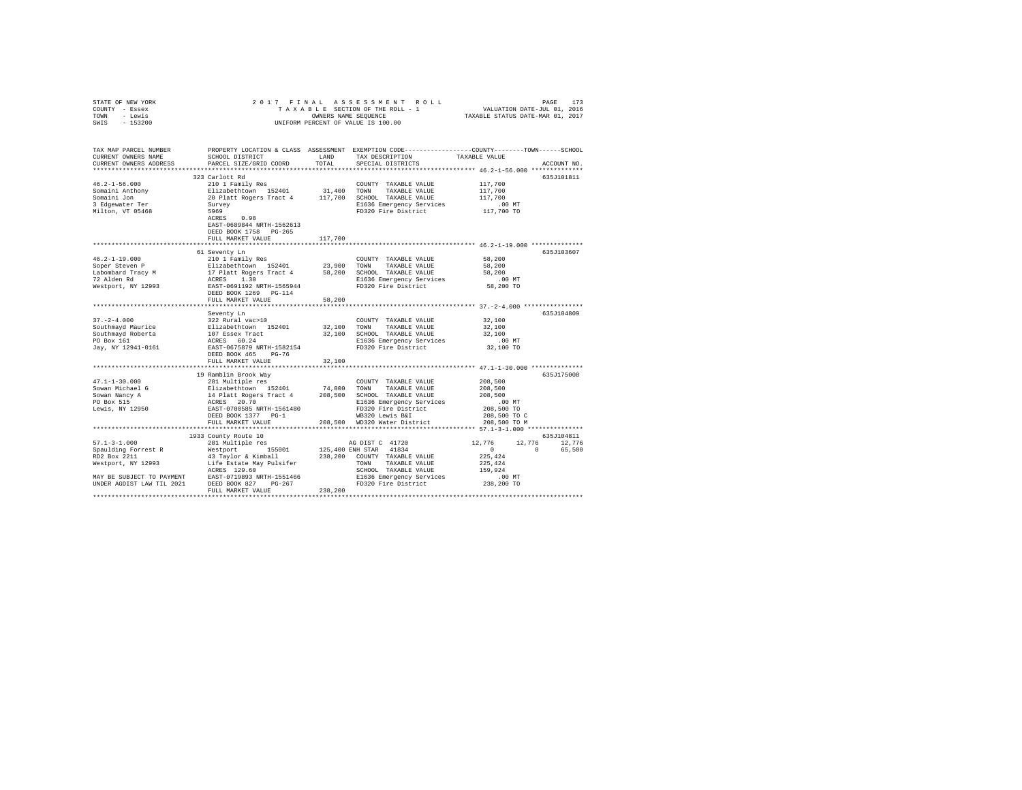| STATE OF NEW YORK                                  | 2017 FINAL                                                                                                                                                                                      |         |                                           |                             |                         |  |
|----------------------------------------------------|-------------------------------------------------------------------------------------------------------------------------------------------------------------------------------------------------|---------|-------------------------------------------|-----------------------------|-------------------------|--|
| COUNTY - Essex                                     |                                                                                                                                                                                                 |         |                                           |                             |                         |  |
| TOWN - Lewis                                       | OWNERS NAME SEQUENCE                                                                                                                                                                            |         |                                           |                             |                         |  |
| SWIS - 153200                                      |                                                                                                                                                                                                 |         | UNIFORM PERCENT OF VALUE IS 100.00        |                             |                         |  |
|                                                    |                                                                                                                                                                                                 |         |                                           |                             |                         |  |
|                                                    |                                                                                                                                                                                                 |         |                                           |                             |                         |  |
|                                                    |                                                                                                                                                                                                 |         |                                           |                             |                         |  |
|                                                    | TAX MAP PARCEL NUMBER PROPERTY LOCATION & CLASS ASSESSMENT EXEMPTION CODE--------------COUNTY-------TOWN-----SCHOOL                                                                             |         |                                           |                             |                         |  |
| CURRENT OWNERS NAME                                | SCHOOL DISTRICT                                                                                                                                                                                 | LAND    | TAX DESCRIPTION                           | TAXABLE VALUE               |                         |  |
| CURRENT OWNERS ADDRESS                             | PARCEL SIZE/GRID COORD                                                                                                                                                                          | TOTAL   | SPECIAL DISTRICTS                         |                             | ACCOUNT NO.             |  |
|                                                    |                                                                                                                                                                                                 |         |                                           |                             |                         |  |
|                                                    | 323 Carlott Rd                                                                                                                                                                                  |         |                                           |                             | 635J101811              |  |
| $46.2 - 1 - 56.000$                                | 210 1 Family Res                                                                                                                                                                                |         | COUNTY TAXABLE VALUE                      | 117,700                     |                         |  |
| Somaini Anthony                                    |                                                                                                                                                                                                 |         |                                           | 117,700                     |                         |  |
| Somaini Jon                                        |                                                                                                                                                                                                 |         |                                           | 117,700                     |                         |  |
| 3 Edgewater Ter                                    |                                                                                                                                                                                                 |         | E1636 Emergency Services                  | .00 MT                      |                         |  |
| Milton, VT 05468                                   | 5969                                                                                                                                                                                            |         | FD320 Fire District                       | 117,700 TO                  |                         |  |
|                                                    | ACRES 0.98                                                                                                                                                                                      |         |                                           |                             |                         |  |
|                                                    | EAST-0689844 NRTH-1562613                                                                                                                                                                       |         |                                           |                             |                         |  |
|                                                    | DEED BOOK 1758 PG-265                                                                                                                                                                           |         |                                           |                             |                         |  |
|                                                    |                                                                                                                                                                                                 |         |                                           |                             |                         |  |
|                                                    | FULL MARKET VALUE                                                                                                                                                                               | 117,700 |                                           |                             |                         |  |
|                                                    |                                                                                                                                                                                                 |         |                                           |                             |                         |  |
|                                                    | 61 Seventy Ln                                                                                                                                                                                   |         |                                           |                             | 635J103607              |  |
| $46.2 - 1 - 19.000$                                | 210 1 Family Res                                                                                                                                                                                |         | COUNTY TAXABLE VALUE                      | 58,200                      |                         |  |
| Soper Steven P                                     | Elizabethtown 152401                                                                                                                                                                            | 23,900  | TOWN<br>TAXABLE VALUE                     | 58,200                      |                         |  |
| Labombard Tracy M<br>72 Alden Rd                   |                                                                                                                                                                                                 |         |                                           | 58,200                      |                         |  |
|                                                    |                                                                                                                                                                                                 |         | E1636 Emergency Services                  | $.00$ MT                    |                         |  |
| Westport, NY 12993                                 |                                                                                                                                                                                                 |         | FD320 Fire District                       | 58,200 TO                   |                         |  |
|                                                    | DEED BOOK 1269 PG-114                                                                                                                                                                           |         |                                           |                             |                         |  |
|                                                    | FULL MARKET VALUE                                                                                                                                                                               | 58,200  |                                           |                             |                         |  |
|                                                    |                                                                                                                                                                                                 |         |                                           |                             |                         |  |
|                                                    | Seventy Ln                                                                                                                                                                                      |         |                                           |                             | 635J104809              |  |
| $37. - 2 - 4.000$                                  | 322 Rural vac>10                                                                                                                                                                                |         | COUNTY TAXABLE VALUE                      | 32,100                      |                         |  |
| Southmayd Maurice                                  |                                                                                                                                                                                                 |         | 32,100 TOWN TAXABLE VALUE                 | 32,100                      |                         |  |
|                                                    |                                                                                                                                                                                                 |         | 32,100 SCHOOL TAXABLE VALUE               | 32,100                      |                         |  |
| Southmayd Roberta<br>PO Box 161                    | 322 Ruiai variiv<br>Elizabethtown 152401<br>107 Essex Tract<br>ACRES 60.24                                                                                                                      |         | E1636 Emergency Services                  | $.00$ MT                    |                         |  |
| Jay, NY 12941-0161                                 | EAST-0675879 NRTH-1582154                                                                                                                                                                       |         | FD320 Fire District                       | 32,100 TO                   |                         |  |
|                                                    | DEED BOOK 465 PG-76                                                                                                                                                                             |         |                                           |                             |                         |  |
|                                                    | FULL MARKET VALUE                                                                                                                                                                               | 32,100  |                                           |                             |                         |  |
|                                                    |                                                                                                                                                                                                 |         |                                           |                             |                         |  |
|                                                    |                                                                                                                                                                                                 |         |                                           |                             | 635J175008              |  |
| $47.1 - 1 - 30.000$                                | 19 Ramblin Brook Way<br>281 Multiple res                                                                                                                                                        |         | COUNTY TAXABLE VALUE                      | 208,500                     |                         |  |
| Sowan Michael G                                    |                                                                                                                                                                                                 |         |                                           | 208,500                     |                         |  |
| Sowan Nancy A<br>PO Box 515                        | Elizabethtown 152401 74,000 TOWN TAXABLE VALUE<br>14 Platt Rogers Tract 4 208,500 SCHOOL TAXABLE VALUE<br>ACRES 20.70 SIG16 Emergency Services<br>EAST-0700585 NRTH-1561480 FD320 Fire District |         |                                           | 208,500                     |                         |  |
|                                                    |                                                                                                                                                                                                 |         |                                           | $.00$ MT                    |                         |  |
| Lewis, NY 12950                                    |                                                                                                                                                                                                 |         |                                           | 208,500 TO                  |                         |  |
|                                                    | DEED BOOK 1377 PG-1                                                                                                                                                                             |         | WB320 Lewis B&I                           | 208,500 TO C                |                         |  |
|                                                    | FULL MARKET VALUE                                                                                                                                                                               |         | 208,500 WD320 Water District              | 208,500 TO M                |                         |  |
|                                                    |                                                                                                                                                                                                 |         |                                           |                             |                         |  |
|                                                    | 1933 County Route 10                                                                                                                                                                            |         |                                           |                             | 635J104811              |  |
| $57.1 - 3 - 1.000$                                 | 281 Multiple res                                                                                                                                                                                |         |                                           | 12,776                      |                         |  |
| Spaulding Forrest R                                |                                                                                                                                                                                                 |         | AG DIST C 41720<br>125,400 ENH STAR 41834 | $\sim$ 0 $\sim$<br>$\sim$ 0 | 12,776 12,776<br>65,500 |  |
|                                                    | Westport 155001                                                                                                                                                                                 |         |                                           |                             |                         |  |
| RD2 Box 2211<br>NDZ BOA 2011<br>Westport, NY 12993 | 43 Taylor & Kimball                                                                                                                                                                             |         | 238,200 COUNTY TAXABLE VALUE              | 225,424                     |                         |  |
|                                                    | Westport, NY 12993 Life Estate May Pulsifer<br>ACRES 129.60<br>MAY BE SUBJECT TO PAYMENT ERST-0719893 NRTH-1551466<br>UNDER AGDIST LAW TIL 2021 DEED BOOK 827 PG-267                            |         | TOWN<br>TAXABLE VALUE                     | 225,424                     |                         |  |
|                                                    |                                                                                                                                                                                                 |         | SCHOOL TAXABLE VALUE                      | 159,924                     |                         |  |
|                                                    |                                                                                                                                                                                                 |         | E1636 Emergency Services                  | $.00$ MT                    |                         |  |
|                                                    |                                                                                                                                                                                                 |         | FD320 Fire District                       | 238,200 TO                  |                         |  |
|                                                    | FULL MARKET VALUE                                                                                                                                                                               | 238,200 |                                           |                             |                         |  |
|                                                    |                                                                                                                                                                                                 |         |                                           |                             |                         |  |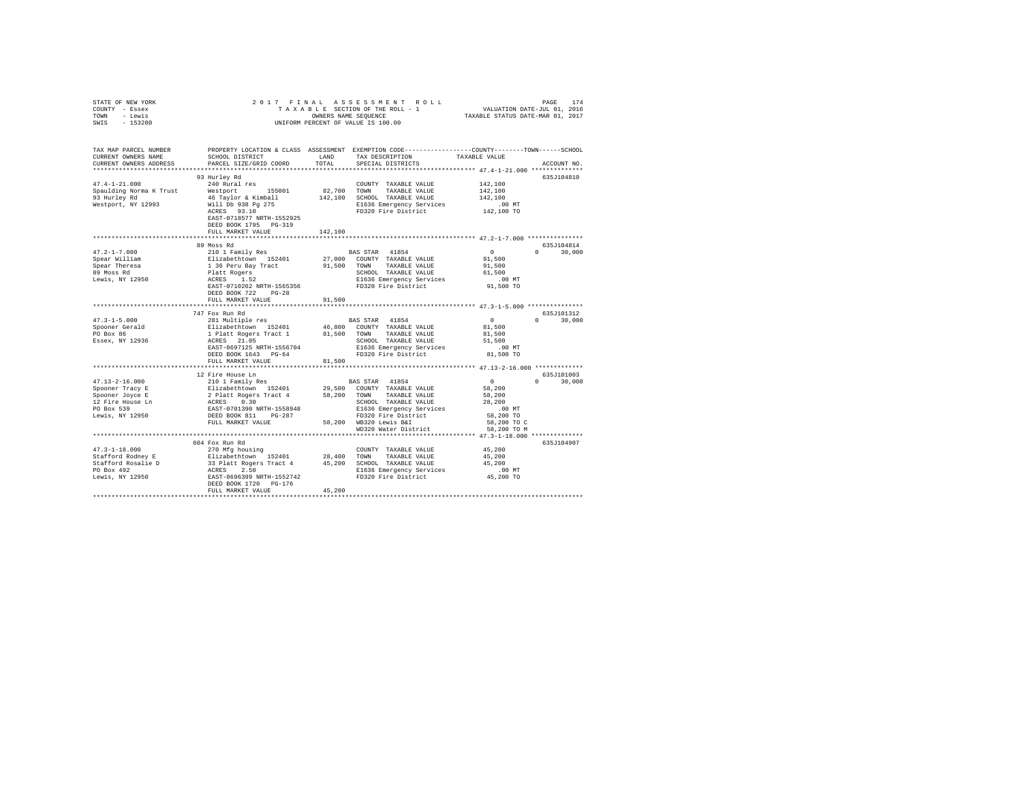| TOWN<br>- Lewis<br>SWIS<br>$-153200$                                                                                         | OWNERS NAME SEQUENCE<br>TAXABLE STATUS DATE-MAR 01, 2017<br>UNIFORM PERCENT OF VALUE IS 100.00 |             |                                                                                                                    |                                                              |                                     |
|------------------------------------------------------------------------------------------------------------------------------|------------------------------------------------------------------------------------------------|-------------|--------------------------------------------------------------------------------------------------------------------|--------------------------------------------------------------|-------------------------------------|
| TAX MAP PARCEL NUMBER<br>CURRENT OWNERS NAME                                                                                 | SCHOOL DISTRICT                                                                                | LAND        | PROPERTY LOCATION & CLASS ASSESSMENT EXEMPTION CODE---------------COUNTY-------TOWN------SCHOOL<br>TAX DESCRIPTION | TAXABLE VALUE                                                |                                     |
| CURRENT OWNERS ADDRESS                                                                                                       | PARCEL SIZE/GRID COORD                                                                         | TOTAL       | SPECIAL DISTRICTS                                                                                                  |                                                              | ACCOUNT NO.                         |
|                                                                                                                              |                                                                                                |             |                                                                                                                    |                                                              |                                     |
| $47.4 - 1 - 21.000$                                                                                                          | 93 Hurley Rd<br>240 Rural res                                                                  |             | COUNTY TAXABLE VALUE                                                                                               | 142,100                                                      | 635J104810                          |
| Spaulding Norma K Trust                                                                                                      | Westport 155001                                                                                | 82,700 TOWN | TAXABLE VALUE                                                                                                      | 142,100                                                      |                                     |
| 93 Hurley Rd                                                                                                                 | 46 Taylor & Kimball                                                                            |             | 142,100 SCHOOL TAXABLE VALUE                                                                                       | 142,100                                                      |                                     |
| Westport, NY 12993                                                                                                           | Will Db 938 Pg 275                                                                             |             | E1636 Emergency Services                                                                                           | $.00$ MT                                                     |                                     |
|                                                                                                                              | ACRES 93.10                                                                                    |             | FD320 Fire District                                                                                                | 142,100 TO                                                   |                                     |
|                                                                                                                              | EAST-0718577 NRTH-1552925                                                                      |             |                                                                                                                    |                                                              |                                     |
|                                                                                                                              | DEED BOOK 1795 PG-319<br>FULL MARKET VALUE                                                     | 142,100     |                                                                                                                    |                                                              |                                     |
|                                                                                                                              |                                                                                                |             |                                                                                                                    |                                                              |                                     |
|                                                                                                                              | 89 Moss Rd                                                                                     |             |                                                                                                                    |                                                              | 635J104814                          |
| $47.2 - 1 - 7.000$                                                                                                           | 210 1 Family Res                                                                               |             | BAS STAR 41854                                                                                                     | $\sim$ 0                                                     | $0 \t 30,000$                       |
| Spear William                                                                                                                | Elizabethtown 152401<br>1 36 Peru Bay Tract<br>Platt Rogers<br>ACRES 1.52                      |             | 27,000 COUNTY TAXABLE VALUE                                                                                        | 91,500                                                       |                                     |
| Spear Theresa                                                                                                                |                                                                                                |             | 91,500 TOWN TAXABLE VALUE                                                                                          | 91,500                                                       |                                     |
| 89 Moss Rd                                                                                                                   |                                                                                                |             | SCHOOL TAXABLE VALUE                                                                                               | 61,500                                                       |                                     |
| Lewis, NY 12950                                                                                                              | EAST-0710262 NRTH-1565356                                                                      |             | E1636 Emergency Services<br>FD320 Fire District                                                                    | $.00$ MT<br>91,500 TO                                        |                                     |
|                                                                                                                              | DEED BOOK 722 PG-28                                                                            |             |                                                                                                                    |                                                              |                                     |
|                                                                                                                              | FULL MARKET VALUE                                                                              | 91,500      |                                                                                                                    |                                                              |                                     |
|                                                                                                                              |                                                                                                |             |                                                                                                                    |                                                              |                                     |
|                                                                                                                              | 747 Fox Run Rd                                                                                 |             |                                                                                                                    |                                                              | 635.7101312                         |
| $47.3 - 1 - 5.000$                                                                                                           | 281 Multiple res                                                                               |             | BAS STAR 41854                                                                                                     | $\Omega$                                                     | 30,000<br>$\Omega$ and $\Omega$     |
| Spooner Gerald<br>PO Box 86                                                                                                  |                                                                                                |             | 46,800 COUNTY TAXABLE VALUE<br>81.500 TOWN TAXABLE VALUE                                                           | 81,500<br>81,500                                             |                                     |
| Essex, NY 12936                                                                                                              | Elizabethtown 152401<br>1 Platt Rogers Tract 1<br>ACRES 21.05                                  |             | SCHOOL TAXABLE VALUE                                                                                               | 51,500                                                       |                                     |
|                                                                                                                              | EAST-0697125 NRTH-1556704                                                                      |             | E1636 Emergency Services                                                                                           | .00MT                                                        |                                     |
|                                                                                                                              | DEED BOOK 1643 PG-64                                                                           |             | FD320 Fire District                                                                                                | 81,500 TO                                                    |                                     |
|                                                                                                                              | FULL MARKET VALUE                                                                              | 81,500      |                                                                                                                    |                                                              |                                     |
|                                                                                                                              |                                                                                                | **********  |                                                                                                                    | *************** 47.13-2-16.000 *************                 |                                     |
|                                                                                                                              | 12 Fire House Ln                                                                               |             |                                                                                                                    |                                                              | 635J101003<br>$\Omega$ and $\Omega$ |
| $47.13 - 2 - 16.000$<br>Spooner Tracy E                                                                                      | 210 1 Family Res<br>Elizabethtown 152401                                                       |             | BAS STAR 41854<br>29,500 COUNTY TAXABLE VALUE                                                                      | $\sim$ 0<br>58,200                                           | 30,000                              |
| Spooner Joyce E                                                                                                              | 2 Platt Rogers Tract 4                                                                         |             | 58,200 TOWN TAXABLE VALUE                                                                                          | 58,200                                                       |                                     |
|                                                                                                                              |                                                                                                |             | SCHOOL TAXABLE VALUE                                                                                               | 28,200                                                       |                                     |
| 12 Fire House Ln<br>PO Box 539                                                                                               | ACRES 0.30<br>EAST-0701390 NRTH-1558948<br>DEED BOOK 811 PG-287                                |             | E1636 Emergency Services                                                                                           | $.00$ MT                                                     |                                     |
| Lewis, NY 12950                                                                                                              |                                                                                                |             | FD320 Fire District                                                                                                | 58,200 TO                                                    |                                     |
|                                                                                                                              | FULL MARKET VALUE                                                                              |             | 58,200 WB320 Lewis B&I                                                                                             | 58,200 TO C                                                  |                                     |
|                                                                                                                              |                                                                                                |             | WD320 Water District                                                                                               | 58,200 TO M<br>**************** 47.3-1-18.000 ************** |                                     |
|                                                                                                                              | 604 Fox Run Rd                                                                                 |             |                                                                                                                    |                                                              | 635J104907                          |
| $47.3 - 1 - 18.000$                                                                                                          | 270 Mfg housing                                                                                |             | COUNTY TAXABLE VALUE                                                                                               | 45,200                                                       |                                     |
| Stafford Rodney E                                                                                                            | Elizabethtown 152401                                                                           |             | 28,400 TOWN TAXABLE VALUE                                                                                          | 45,200                                                       |                                     |
|                                                                                                                              |                                                                                                |             | 45.200 SCHOOL TAXABLE VALUE                                                                                        | 45,200                                                       |                                     |
|                                                                                                                              |                                                                                                |             | E1636 Emergency Services                                                                                           | $.00$ MT                                                     |                                     |
| Stafford Rosalie D<br>23 Platt Rogers Tract 4<br>25 Platt Rogers Tract 4<br>250 Eewis, NY 12950<br>2537-0696399 NRTH-1552742 |                                                                                                |             | FD320 Fire District                                                                                                | 45,200 TO                                                    |                                     |
|                                                                                                                              | DEED BOOK 1720 PG-176<br>FULL MARKET VALUE                                                     | 45.200      |                                                                                                                    |                                                              |                                     |
|                                                                                                                              |                                                                                                |             |                                                                                                                    |                                                              |                                     |

STATE OF NEW YORK 2 0 1 7 F I N A L A S S E S S M E N T R O L L PAGE 174 COUNTY - Essex T A X A B L E SECTION OF THE ROLL - 1 VALUATION DATE-JUL 01, 2016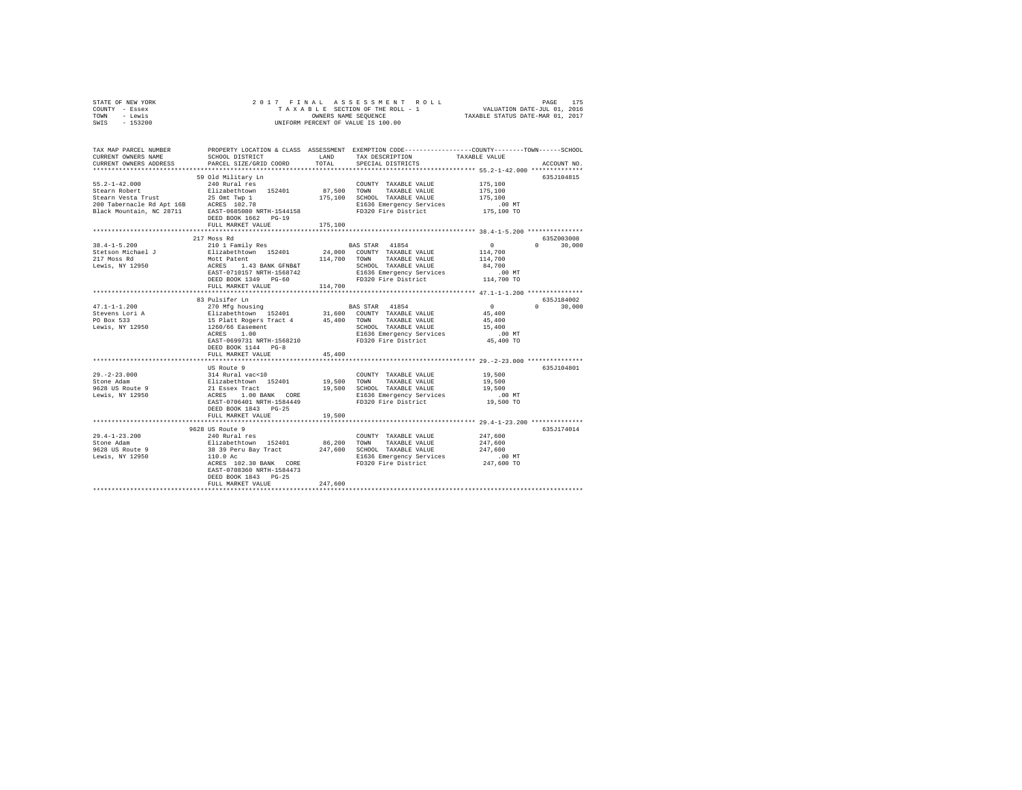|      | STATE OF NEW YORK |  |  | 2017 FINAL ASSESSMENT ROLL         | PAGE                             | 175 |
|------|-------------------|--|--|------------------------------------|----------------------------------|-----|
|      | COUNTY - Essex    |  |  | TAXABLE SECTION OF THE ROLL - 1    | VALUATION DATE-JUL 01, 2016      |     |
| TOWN | - Lewis           |  |  | OWNERS NAME SEOUENCE               | TAXABLE STATUS DATE-MAR 01, 2017 |     |
| SWIS | - 153200          |  |  | UNIFORM PERCENT OF VALUE IS 100.00 |                                  |     |

| TAX MAP PARCEL NUMBER<br>CURRENT OWNERS NAME<br>CURRENT OWNERS ADDRESS                                                                                                                                                           | SCHOOL DISTRICT<br>PARCEL SIZE/GRID COORD                                          | LAND<br>TOTAL | PROPERTY LOCATION & CLASS ASSESSMENT EXEMPTION CODE----------------COUNTY-------TOWN------SCHOOL<br>TAX DESCRIPTION<br>SPECIAL DISTRICTS                                                                  | TAXABLE VALUE                    | ACCOUNT NO.   |
|----------------------------------------------------------------------------------------------------------------------------------------------------------------------------------------------------------------------------------|------------------------------------------------------------------------------------|---------------|-----------------------------------------------------------------------------------------------------------------------------------------------------------------------------------------------------------|----------------------------------|---------------|
|                                                                                                                                                                                                                                  |                                                                                    |               |                                                                                                                                                                                                           |                                  |               |
|                                                                                                                                                                                                                                  | 59 Old Military Ln                                                                 |               |                                                                                                                                                                                                           |                                  | 635J104815    |
| $55.2 - 1 - 42.000$                                                                                                                                                                                                              | 240 Rural res                                                                      |               | COUNTY TAXABLE VALUE                                                                                                                                                                                      | 175,100                          |               |
| Stearn Robert                                                                                                                                                                                                                    | Elizabethtown 152401                                                               |               | 87,500 TOWN TAXABLE VALUE                                                                                                                                                                                 | 175,100                          |               |
|                                                                                                                                                                                                                                  |                                                                                    |               | 175,100 SCHOOL TAXABLE VALUE                                                                                                                                                                              | 175,100                          |               |
|                                                                                                                                                                                                                                  |                                                                                    |               | E1636 Emergency Services                                                                                                                                                                                  | $.00$ MT                         |               |
| Stearn Robert<br>Stearn Vesta Trust<br>200 Tabernacle Rd Apt 16B<br>200 Tabernacle Rd Apt 16B<br>200 Tabernacle Rd Apt 16B<br>200 Tabernacle Party Carel 2008000 RRTH-1544158<br>200 Tabernacle Party Carel 2008000 RRTH-1544158 |                                                                                    |               | FD320 Fire District                                                                                                                                                                                       | 175,100 TO                       |               |
|                                                                                                                                                                                                                                  | DEED BOOK 1662 PG-19                                                               |               |                                                                                                                                                                                                           |                                  |               |
|                                                                                                                                                                                                                                  | FULL MARKET VALUE                                                                  | 175,100       |                                                                                                                                                                                                           |                                  |               |
|                                                                                                                                                                                                                                  |                                                                                    |               |                                                                                                                                                                                                           |                                  |               |
|                                                                                                                                                                                                                                  | 217 Moss Rd                                                                        |               |                                                                                                                                                                                                           |                                  | 635Z003008    |
| $38.4 - 1 - 5.200$                                                                                                                                                                                                               | 210 1 Family Res                                                                   |               | BAS STAR 41854                                                                                                                                                                                            | $\Omega$ and $\Omega$<br>$\circ$ | 30,000        |
| Stetson Michael J                                                                                                                                                                                                                |                                                                                    |               | 24,000 COUNTY TAXABLE VALUE                                                                                                                                                                               | 114,700                          |               |
| 217 Moss Rd                                                                                                                                                                                                                      |                                                                                    |               |                                                                                                                                                                                                           | 114,700                          |               |
| Lewis, NY 12950                                                                                                                                                                                                                  |                                                                                    |               | Elizabethtown 152401 24,000 COUNTY TAXABLE VALUE Mott Patent 114,700 TOWN TAXABLE VALUE ACRES 1.43 BANK GFNB4T<br>ACRES 1.43 BANK GFNB4T SCHOOL TAXABLE VALUE ACRES 1.43 BANK GFNB4T SCHOOL TAXABLE VALUE | 84,700<br>$.00$ MT               |               |
|                                                                                                                                                                                                                                  | DEED BOOK 1349 PG-60                                                               |               | FD320 Fire District 114,700 TO                                                                                                                                                                            |                                  |               |
|                                                                                                                                                                                                                                  | FULL MARKET VALUE                                                                  | 114,700       |                                                                                                                                                                                                           |                                  |               |
|                                                                                                                                                                                                                                  |                                                                                    |               |                                                                                                                                                                                                           |                                  |               |
|                                                                                                                                                                                                                                  | 83 Pulsifer Ln                                                                     |               |                                                                                                                                                                                                           |                                  | 635J184002    |
| $47.1 - 1 - 1.200$                                                                                                                                                                                                               | 270 Mfg housing                                                                    |               | BAS STAR 41854                                                                                                                                                                                            | $\sim$ 0                         | $0 \t 30,000$ |
|                                                                                                                                                                                                                                  |                                                                                    |               |                                                                                                                                                                                                           | $45\,,\,400$                     |               |
|                                                                                                                                                                                                                                  |                                                                                    |               |                                                                                                                                                                                                           | 45,400                           |               |
|                                                                                                                                                                                                                                  |                                                                                    |               | SCHOOL TAXABLE VALUE<br>E1636 Emergency Services                                                                                                                                                          | $15\,, 400$                      |               |
|                                                                                                                                                                                                                                  | ACRES 1.00                                                                         |               |                                                                                                                                                                                                           | $.00$ MT                         |               |
|                                                                                                                                                                                                                                  | EAST-0699731 NRTH-1568210                                                          |               | FD320 Fire District                                                                                                                                                                                       | 45,400 TO                        |               |
|                                                                                                                                                                                                                                  | DEED BOOK 1144 PG-8                                                                |               |                                                                                                                                                                                                           |                                  |               |
|                                                                                                                                                                                                                                  | FULL MARKET VALUE                                                                  | 45,400        |                                                                                                                                                                                                           |                                  |               |
|                                                                                                                                                                                                                                  | US Route 9                                                                         |               |                                                                                                                                                                                                           |                                  | 635J104801    |
| $29. -2 - 23.000$                                                                                                                                                                                                                |                                                                                    |               | COUNTY TAXABLE VALUE                                                                                                                                                                                      | 19,500                           |               |
| Stone Adam                                                                                                                                                                                                                       |                                                                                    |               | 19,500 TOWN TAXABLE VALUE                                                                                                                                                                                 | 19,500                           |               |
| 9628 US Route 9                                                                                                                                                                                                                  | 314 Rural vac<10<br>Elizabethtown 152401<br>21 Essex Tract<br>ACRES 1.00 BANK CORE |               | 19,500 SCHOOL TAXABLE VALUE                                                                                                                                                                               | 19,500                           |               |
| Lewis, NY 12950                                                                                                                                                                                                                  |                                                                                    |               |                                                                                                                                                                                                           | $.00$ MT                         |               |
|                                                                                                                                                                                                                                  | EAST-0706401 NRTH-1584449                                                          |               | E1636 Emergency Services<br>FD320 Fire District                                                                                                                                                           | 19,500 TO                        |               |
|                                                                                                                                                                                                                                  | DEED BOOK 1843 PG-25                                                               |               |                                                                                                                                                                                                           |                                  |               |
|                                                                                                                                                                                                                                  | FULL MARKET VALUE                                                                  | 19,500        |                                                                                                                                                                                                           |                                  |               |
|                                                                                                                                                                                                                                  |                                                                                    |               |                                                                                                                                                                                                           |                                  |               |
|                                                                                                                                                                                                                                  | 9628 US Route 9                                                                    |               |                                                                                                                                                                                                           |                                  | 635J174014    |
| 29.4-1-23.200                                                                                                                                                                                                                    |                                                                                    |               | COUNTY TAXABLE VALUE                                                                                                                                                                                      | 247,600                          |               |
| Stone Adam<br>9628 US Route 9                                                                                                                                                                                                    |                                                                                    |               |                                                                                                                                                                                                           | 247,600                          |               |
|                                                                                                                                                                                                                                  |                                                                                    |               |                                                                                                                                                                                                           | 247,600                          |               |
| Lewis, NY 12950                                                                                                                                                                                                                  | 110.0 Ac                                                                           |               | E1636 Emergency Services<br>FD320 Fire District 247,600 TO                                                                                                                                                | $.00$ MT                         |               |
|                                                                                                                                                                                                                                  | ACRES 102.30 BANK CORE<br>EAST-0708360 NRTH-1584473                                |               |                                                                                                                                                                                                           |                                  |               |
|                                                                                                                                                                                                                                  | DEED BOOK 1843 PG-25                                                               |               |                                                                                                                                                                                                           |                                  |               |
|                                                                                                                                                                                                                                  | FULL MARKET VALUE                                                                  | 247,600       |                                                                                                                                                                                                           |                                  |               |
|                                                                                                                                                                                                                                  |                                                                                    |               |                                                                                                                                                                                                           |                                  |               |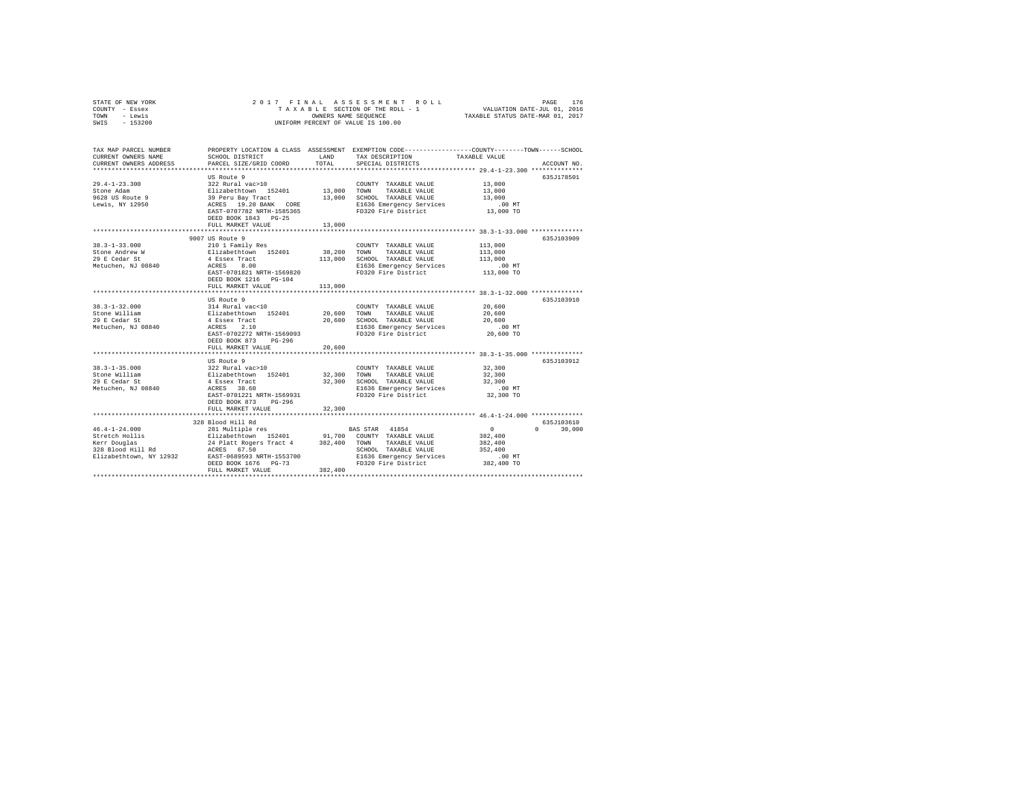| STATE OF NEW YORK | 2017 FINAL ASSESSMENT ROLL         | 176<br>PAGE                      |
|-------------------|------------------------------------|----------------------------------|
| COUNTY - Essex    | TAXABLE SECTION OF THE ROLL - 1    | VALUATION DATE-JUL 01, 2016      |
| TOWN<br>- Lewis   | OWNERS NAME SEOUENCE               | TAXABLE STATUS DATE-MAR 01, 2017 |
| $-153200$<br>SWIS | UNIFORM PERCENT OF VALUE IS 100.00 |                                  |

| TAX MAP PARCEL NUMBER<br>CURRENT OWNERS NAME<br>CURRENT OWNERS ADDRESS | SCHOOL DISTRICT<br>PARCEL SIZE/GRID COORD                                                         | LAND<br>TOTAL | PROPERTY LOCATION & CLASS ASSESSMENT EXEMPTION CODE----------------COUNTY-------TOWN-----SCHOOL<br>TAX DESCRIPTION<br>SPECIAL DISTRICTS | TAXABLE VALUE                 | ACCOUNT NO.        |
|------------------------------------------------------------------------|---------------------------------------------------------------------------------------------------|---------------|-----------------------------------------------------------------------------------------------------------------------------------------|-------------------------------|--------------------|
|                                                                        |                                                                                                   |               |                                                                                                                                         |                               |                    |
|                                                                        | US Route 9                                                                                        |               |                                                                                                                                         |                               | 635J178501         |
| $29.4 - 1 - 23.300$                                                    | 322 Rural vac>10                                                                                  |               | COUNTY TAXABLE VALUE                                                                                                                    | 13,000                        |                    |
| Stone Adam                                                             |                                                                                                   |               | TAXABLE VALUE                                                                                                                           | 13,000                        |                    |
| 9628 US Route 9                                                        |                                                                                                   |               | 13,000 SCHOOL TAXABLE VALUE                                                                                                             | 13,000                        |                    |
| Lewis, NY 12950                                                        | Elizabethtown 152401 13,000 TOWN<br>39 Peru Bay Tract 13,000 SCHOO<br>ACRES 19.20 BANK CORE E1636 |               | E1636 Emergency Services                                                                                                                | .00MT                         |                    |
|                                                                        | EAST-0707782 NRTH-1585365                                                                         |               | FD320 Fire District                                                                                                                     | 13,000 TO                     |                    |
|                                                                        | DEED BOOK 1843 PG-25                                                                              |               |                                                                                                                                         |                               |                    |
|                                                                        | FULL MARKET VALUE                                                                                 | 13,000        |                                                                                                                                         |                               |                    |
|                                                                        |                                                                                                   | ************* | *********************************** 38.3-1-33.000 ***************                                                                       |                               |                    |
|                                                                        | 9007 US Route 9                                                                                   |               |                                                                                                                                         |                               | 635J103909         |
| $38.3 - 1 - 33.000$                                                    | 210 1 Family Res                                                                                  |               | COUNTY TAXABLE VALUE                                                                                                                    | 113,000                       |                    |
| Stone Andrew W                                                         |                                                                                                   |               | 38,200 TOWN TAXABLE VALUE                                                                                                               | 113,000                       |                    |
| 29 E Cedar St                                                          | Elizabethtown 152401<br>4 Essex Tract                                                             |               | 113,000 SCHOOL TAXABLE VALUE                                                                                                            | 113,000                       |                    |
| Metuchen, NJ 08840                                                     | 8.00<br>ACRES                                                                                     |               | E1636 Emergency Services                                                                                                                | $.00$ MT                      |                    |
|                                                                        | EAST-0701821 NRTH-1569820                                                                         |               | FD320 Fire District                                                                                                                     | $113,000$ TO                  |                    |
|                                                                        | DEED BOOK 1216 PG-104                                                                             |               |                                                                                                                                         |                               |                    |
|                                                                        | FULL MARKET VALUE                                                                                 | 113,000       |                                                                                                                                         |                               |                    |
|                                                                        |                                                                                                   |               |                                                                                                                                         |                               |                    |
|                                                                        | US Route 9                                                                                        |               |                                                                                                                                         |                               | 635J103910         |
| $38.3 - 1 - 32.000$                                                    |                                                                                                   |               | COUNTY TAXABLE VALUE                                                                                                                    | 20,600                        |                    |
| Stone William                                                          |                                                                                                   | 20,600 TOWN   |                                                                                                                                         | 20,600                        |                    |
| 29 E Cedar St                                                          |                                                                                                   |               |                                                                                                                                         |                               |                    |
| Metuchen, NJ 08840                                                     | 314 Rural vac<10<br>Elizabethtown 152401<br>4 Essex Tract<br>ACRES 2.10                           |               | 10,600 TOWN TAARDLE YOU~~<br>20,600 SCHOOL TAXABLE VALUE<br>- ^^^ Taaramay Sarvices 20,600 MT - ^^^ Taaramay Sarvices                   |                               |                    |
|                                                                        |                                                                                                   |               |                                                                                                                                         |                               |                    |
|                                                                        | EAST-0702272 NRTH-1569093                                                                         |               | FD320 Fire District                                                                                                                     | 20,600 TO                     |                    |
|                                                                        | DEED BOOK 873 PG-296                                                                              |               |                                                                                                                                         |                               |                    |
|                                                                        | FULL MARKET VALUE                                                                                 | 20,600        |                                                                                                                                         |                               |                    |
|                                                                        |                                                                                                   |               |                                                                                                                                         |                               |                    |
|                                                                        | US Route 9                                                                                        |               |                                                                                                                                         |                               | 635.7103912        |
| $38.3 - 1 - 35.000$                                                    |                                                                                                   |               | COUNTY TAXABLE VALUE                                                                                                                    | 32,300                        |                    |
| Stone William                                                          | COUNT (COUNT) 2012 Rural vac>10<br>Elizabethtown 152401 32,300 TOWN<br>4 Essex Tract 32,300 SCHOO |               | TAXABLE VALUE                                                                                                                           | 32,300                        |                    |
| 29 E Cedar St                                                          |                                                                                                   |               | 32,300 SCHOOL TAXABLE VALUE 32,300<br>E1636 Emergency Services .00 MT                                                                   |                               |                    |
| Metuchen, NJ 08840 ACRES 38.60                                         |                                                                                                   |               |                                                                                                                                         |                               |                    |
|                                                                        | EAST-0701221 NRTH-1569931                                                                         |               | FD320 Fire District                                                                                                                     | 32,300 TO                     |                    |
|                                                                        | DEED BOOK 873<br>PG-296                                                                           |               |                                                                                                                                         |                               |                    |
|                                                                        | FULL MARKET VALUE                                                                                 | 32,300        |                                                                                                                                         |                               |                    |
|                                                                        |                                                                                                   |               |                                                                                                                                         |                               |                    |
|                                                                        | 328 Blood Hill Rd                                                                                 |               |                                                                                                                                         |                               | 635J103610         |
| $46.4 - 1 - 24.000$                                                    | 281 Multiple res                                                                                  |               | BAS STAR 41854                                                                                                                          | $\sim$ 0                      | $\Omega$<br>30,000 |
| Stretch Hollis                                                         |                                                                                                   |               |                                                                                                                                         | 382,400                       |                    |
|                                                                        |                                                                                                   |               |                                                                                                                                         | 382,400                       |                    |
|                                                                        |                                                                                                   |               | SCHOOL TAXABLE VALUE                                                                                                                    | 352,400                       |                    |
|                                                                        |                                                                                                   |               | E1636 Emergency Services                                                                                                                | $.00$ MT                      |                    |
|                                                                        | DEED BOOK 1676 PG-73                                                                              |               | FD320 Fire District 382,400 TO                                                                                                          |                               |                    |
|                                                                        | FULL MARKET VALUE                                                                                 | 382,400       |                                                                                                                                         |                               |                    |
|                                                                        |                                                                                                   |               |                                                                                                                                         | ***************************** |                    |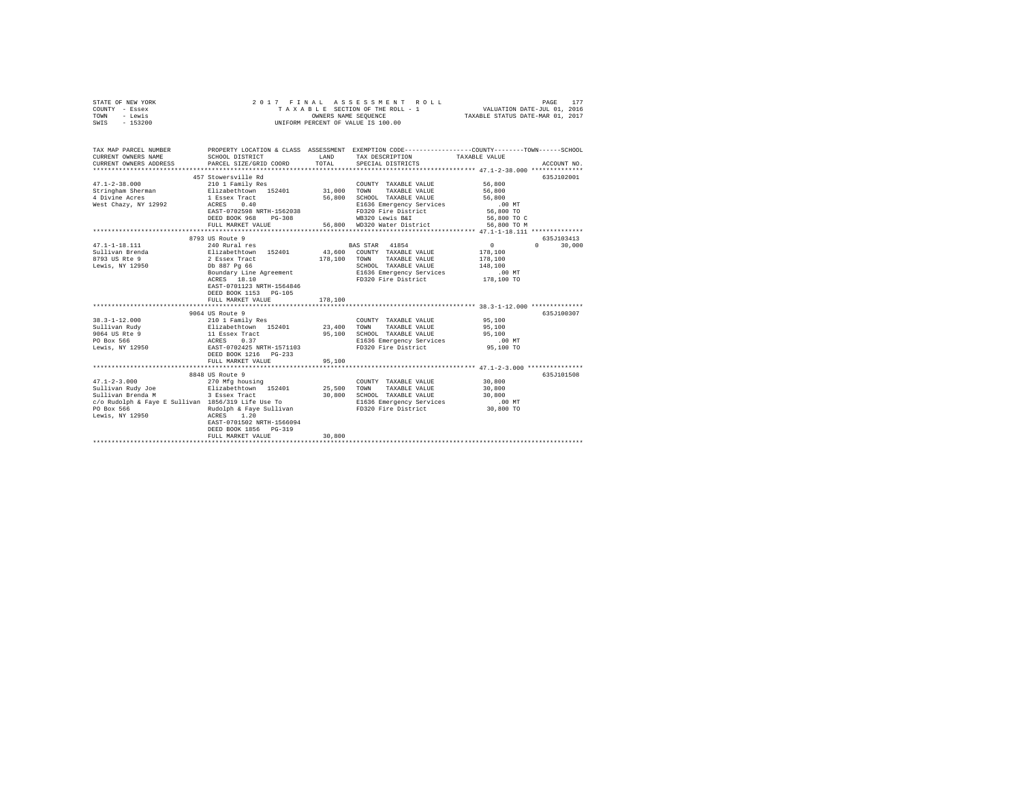| STATE OF NEW YORK<br>COUNTY - Essex<br>TOWN - Lewis<br>SWIS - 153200                                                                                                            | 2017 FINAL                                                                                                                                                                                                     | OWNERS NAME SEQUENCE       | ASSESSMENT ROLL<br>TAXABLE SECTION OF THE ROLL - 1<br>UNIFORM PERCENT OF VALUE IS 100.00                                                                           | PAGE<br>VALUATION DATE-JUL 01, 2016<br>TAXABLE STATUS DATE-MAR 01, 2017                                                                                 | 177 |
|---------------------------------------------------------------------------------------------------------------------------------------------------------------------------------|----------------------------------------------------------------------------------------------------------------------------------------------------------------------------------------------------------------|----------------------------|--------------------------------------------------------------------------------------------------------------------------------------------------------------------|---------------------------------------------------------------------------------------------------------------------------------------------------------|-----|
| CURRENT OWNERS NAME<br>CURRENT OWNERS ADDRESS                                                                                                                                   | SCHOOL DISTRICT<br>PARCEL SIZE/GRID COORD                                                                                                                                                                      | LAND<br>TOTAL              | TAX DESCRIPTION<br>SPECIAL DISTRICTS                                                                                                                               | TAX MAP PARCEL NUMBER THE PROPERTY LOCATION & CLASS ASSESSMENT EXEMPTION CODE-------------COUNTY-------TOWN------SCHOOL<br>TAXABLE VALUE<br>ACCOUNT NO. |     |
| $47.1 - 2 - 38.000$<br>Stringham Sherman<br>4 Divine Acres<br>West Chazy, NY 12992                                                                                              | 457 Stowersville Rd<br>210 1 Family Res<br>Elizabethtown 152401<br>1 Essex Tract<br>ACRES 0.40<br>EAST-0702598 NRTH-1562038<br>DEED BOOK 968 PG-308<br>FULL MARKET VALUE                                       | 31,000 TOWN<br>56,800      | COUNTY TAXABLE VALUE<br>TAXABLE VALUE<br>SCHOOL TAXABLE VALUE<br>E1636 Emergency Services<br>FD320 Fire District<br>WB320 Lewis B&I<br>56,800 WD320 Water District | 635J102001<br>56,800<br>56,800<br>56,800<br>$.00$ MT<br>56,800 TO<br>56,800 TO C<br>56,800 TO M                                                         |     |
| $47.1 - 1 - 18.111$<br>Sullivan Brenda<br>8793 US Rte 9<br>Lewis, NY 12950                                                                                                      | 8793 US Route 9<br>240 Rural res<br>Elizabethtown 152401<br>2 Essex Tract<br>Db 887 Pg 66<br>Boundary Line Agreement<br>ACRES 18.10<br>EAST-0701123 NRTH-1564846<br>DEED BOOK 1153 PG-105<br>FULL MARKET VALUE | 178,100<br>178,100         | BAS STAR 41854<br>43,600 COUNTY TAXABLE VALUE<br>TOWN TAXABLE VALUE<br>SCHOOL TAXABLE VALUE<br>E1636 Emergency Services<br>FD320 Fire District                     | 635J103413<br>$0 \qquad \qquad$<br>$0 \t 30.000$<br>178,100<br>178,100<br>148,100<br>.00 MT<br>178,100 TO                                               |     |
| $38.3 - 1 - 12.000$<br>Sullivan Rudy<br>9064 US Rte 9<br>PO Box 566<br>Lewis, NY 12950                                                                                          | 9064 US Route 9<br>210 1 Family Res<br>210 1 Family Res<br>212 Ssex Tract<br>11 Ssex Tract<br>ACRES<br>0.37<br>EAST-0702425 NRTH-1571103<br>DEED BOOK 1216 PG-233<br>FULL MARKET VALUE                         | 23,400<br>95,100<br>95,100 | COUNTY TAXABLE VALUE<br>TOWN<br>TAXABLE VALUE<br>SCHOOL TAXABLE VALUE<br>E1636 Emergency Services<br>FD320 Fire District                                           | 635J100307<br>95,100<br>95,100<br>95,100<br>$.00$ MT<br>95,100 TO                                                                                       |     |
| $47.1 - 2 - 3.000$<br>Sullivan Rudy Joe Blizabethtown 152401 25,500<br>Sullivan Brenda M<br>c/o Rudolph & Faye E Sullivan 1856/319 Life Use To<br>PO Box 566<br>Lewis, NY 12950 | 8848 US Route 9<br>270 Mfg housing<br>3 Essex Tract<br>Rudolph & Faye Sullivan<br>ACRES 1.20<br>EAST-0701502 NRTH-1566094<br>DEED BOOK 1856 PG-319<br>FULL MARKET VALUE                                        | 30,800                     | COUNTY TAXABLE VALUE<br>TOWN<br>TAXABLE VALUE<br>30,800 SCHOOL TAXABLE VALUE<br>E1636 Emergency Services<br>E1636 Emergency Supple PD320 Fire District             | 635J101508<br>30,800<br>30,800<br>30,800<br>00 MT.<br>30,800 TO                                                                                         |     |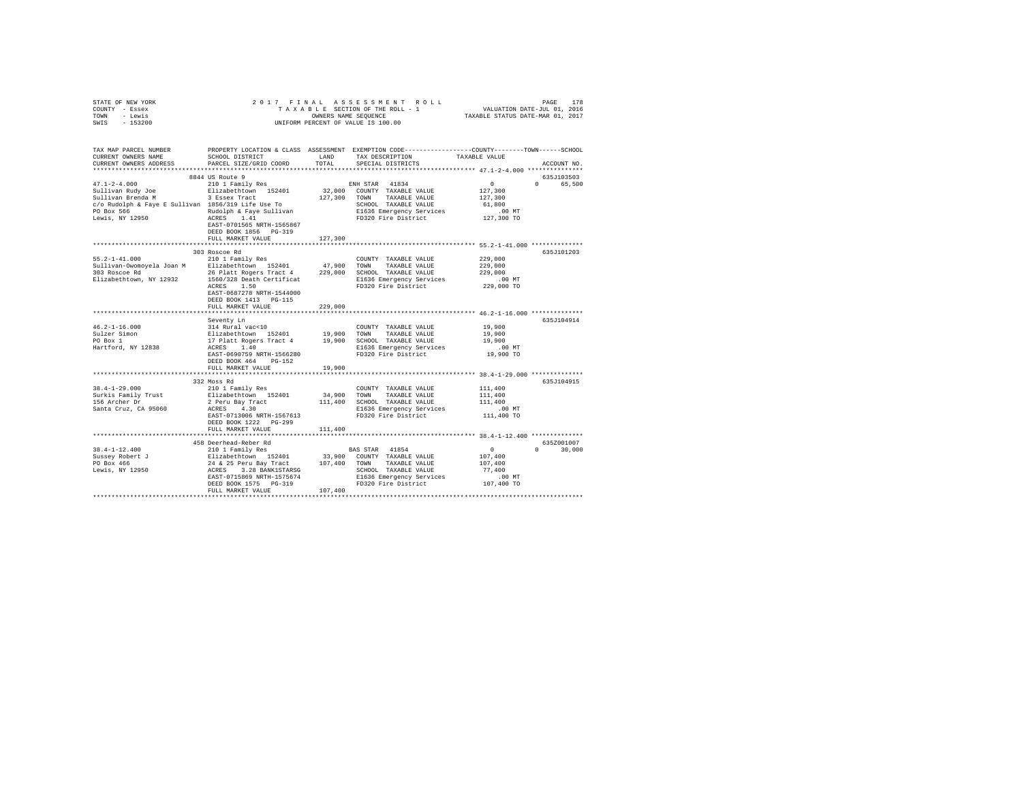| STATE OF NEW YORK                                                                                                                                                                                                                                                                                                                                                                                                                                            |                           |         |                                                                                                                                                                                                                                                                                                                                               |                                                         |               |  |  |
|--------------------------------------------------------------------------------------------------------------------------------------------------------------------------------------------------------------------------------------------------------------------------------------------------------------------------------------------------------------------------------------------------------------------------------------------------------------|---------------------------|---------|-----------------------------------------------------------------------------------------------------------------------------------------------------------------------------------------------------------------------------------------------------------------------------------------------------------------------------------------------|---------------------------------------------------------|---------------|--|--|
| COUNTY - Essex                                                                                                                                                                                                                                                                                                                                                                                                                                               |                           |         |                                                                                                                                                                                                                                                                                                                                               |                                                         |               |  |  |
| TOWN - Lewis                                                                                                                                                                                                                                                                                                                                                                                                                                                 |                           |         |                                                                                                                                                                                                                                                                                                                                               |                                                         |               |  |  |
| SWIS - 153200                                                                                                                                                                                                                                                                                                                                                                                                                                                |                           |         |                                                                                                                                                                                                                                                                                                                                               |                                                         |               |  |  |
|                                                                                                                                                                                                                                                                                                                                                                                                                                                              |                           |         |                                                                                                                                                                                                                                                                                                                                               |                                                         |               |  |  |
|                                                                                                                                                                                                                                                                                                                                                                                                                                                              |                           |         |                                                                                                                                                                                                                                                                                                                                               |                                                         |               |  |  |
|                                                                                                                                                                                                                                                                                                                                                                                                                                                              |                           |         |                                                                                                                                                                                                                                                                                                                                               |                                                         |               |  |  |
|                                                                                                                                                                                                                                                                                                                                                                                                                                                              |                           |         |                                                                                                                                                                                                                                                                                                                                               |                                                         |               |  |  |
| CURRENT OWNERS NAME                                                                                                                                                                                                                                                                                                                                                                                                                                          | SCHOOL DISTRICT LAND      |         | TAX DESCRIPTION TAXABLE VALUE                                                                                                                                                                                                                                                                                                                 |                                                         |               |  |  |
| CURRENT OWNERS ADDRESS                                                                                                                                                                                                                                                                                                                                                                                                                                       | PARCEL SIZE/GRID COORD    | TOTAL   | SPECIAL DISTRICTS                                                                                                                                                                                                                                                                                                                             |                                                         | ACCOUNT NO.   |  |  |
|                                                                                                                                                                                                                                                                                                                                                                                                                                                              |                           |         |                                                                                                                                                                                                                                                                                                                                               |                                                         |               |  |  |
|                                                                                                                                                                                                                                                                                                                                                                                                                                                              | 8844 US Route 9           |         |                                                                                                                                                                                                                                                                                                                                               |                                                         | 635J103503    |  |  |
| $47.1 - 2 - 4.000$                                                                                                                                                                                                                                                                                                                                                                                                                                           | 210 1 Family Res          |         | ENH STAR 41834                                                                                                                                                                                                                                                                                                                                | $\sim$ 0                                                | 0 65,500      |  |  |
|                                                                                                                                                                                                                                                                                                                                                                                                                                                              |                           |         | 32,000 COUNTY TAXABLE VALUE                                                                                                                                                                                                                                                                                                                   | 127,300                                                 |               |  |  |
|                                                                                                                                                                                                                                                                                                                                                                                                                                                              |                           |         | 127,300 TOWN TAXABLE VALUE                                                                                                                                                                                                                                                                                                                    | 127,300                                                 |               |  |  |
| Sullivan Rudy Joe Blizabethtown 152401<br>Sullivan Brenda M<br>c/o Rudolph & Faye E Sullivan 1856/319 Life Use To                                                                                                                                                                                                                                                                                                                                            |                           |         |                                                                                                                                                                                                                                                                                                                                               |                                                         |               |  |  |
|                                                                                                                                                                                                                                                                                                                                                                                                                                                              |                           |         |                                                                                                                                                                                                                                                                                                                                               |                                                         |               |  |  |
| $\mbox{\tt CO}\xspace$ \mbox{\tt E} \xspace$ \mbox{\tt CO} \xspace$ \mbox{\tt O} \xspace$ \mbox{\tt O} \xspace$ \mbox{\tt O} \xspace$ \mbox{\tt O} \xspace$ \mbox{\tt O} \xspace$ \mbox{\tt O} \xspace$ \mbox{\tt O} \xspace$ \mbox{\tt O} \xspace$ \mbox{\tt O} \xspace$ \mbox{\tt O} \xspace$ \mbox{\tt O} \xspace$ \mbox{\tt O} \xspace$ \mbox{\tt O} \xspace$ \mbox{\tt O} \xspace$ \mbox{\tt O} \xspace$ \mbox{\tt O} \xspace$ \mbox{\tt O} \xspace$ \$ |                           |         |                                                                                                                                                                                                                                                                                                                                               |                                                         |               |  |  |
|                                                                                                                                                                                                                                                                                                                                                                                                                                                              |                           |         |                                                                                                                                                                                                                                                                                                                                               |                                                         |               |  |  |
|                                                                                                                                                                                                                                                                                                                                                                                                                                                              | EAST-0701565 NRTH-1565867 |         |                                                                                                                                                                                                                                                                                                                                               |                                                         |               |  |  |
|                                                                                                                                                                                                                                                                                                                                                                                                                                                              | DEED BOOK 1856 PG-319     |         |                                                                                                                                                                                                                                                                                                                                               |                                                         |               |  |  |
|                                                                                                                                                                                                                                                                                                                                                                                                                                                              | FULL MARKET VALUE         | 127,300 |                                                                                                                                                                                                                                                                                                                                               |                                                         |               |  |  |
|                                                                                                                                                                                                                                                                                                                                                                                                                                                              |                           |         |                                                                                                                                                                                                                                                                                                                                               |                                                         |               |  |  |
|                                                                                                                                                                                                                                                                                                                                                                                                                                                              |                           |         |                                                                                                                                                                                                                                                                                                                                               |                                                         | 635J101203    |  |  |
|                                                                                                                                                                                                                                                                                                                                                                                                                                                              |                           |         |                                                                                                                                                                                                                                                                                                                                               | 229,000                                                 |               |  |  |
|                                                                                                                                                                                                                                                                                                                                                                                                                                                              |                           |         |                                                                                                                                                                                                                                                                                                                                               | 229,000                                                 |               |  |  |
|                                                                                                                                                                                                                                                                                                                                                                                                                                                              |                           |         |                                                                                                                                                                                                                                                                                                                                               | 229,000                                                 |               |  |  |
|                                                                                                                                                                                                                                                                                                                                                                                                                                                              |                           |         |                                                                                                                                                                                                                                                                                                                                               | .00 MT                                                  |               |  |  |
|                                                                                                                                                                                                                                                                                                                                                                                                                                                              |                           |         |                                                                                                                                                                                                                                                                                                                                               | 229,000 TO                                              |               |  |  |
|                                                                                                                                                                                                                                                                                                                                                                                                                                                              |                           |         |                                                                                                                                                                                                                                                                                                                                               |                                                         |               |  |  |
|                                                                                                                                                                                                                                                                                                                                                                                                                                                              | DEED BOOK 1413 PG-115     |         |                                                                                                                                                                                                                                                                                                                                               |                                                         |               |  |  |
|                                                                                                                                                                                                                                                                                                                                                                                                                                                              | FULL MARKET VALUE         | 229,000 |                                                                                                                                                                                                                                                                                                                                               |                                                         |               |  |  |
|                                                                                                                                                                                                                                                                                                                                                                                                                                                              |                           |         |                                                                                                                                                                                                                                                                                                                                               |                                                         |               |  |  |
|                                                                                                                                                                                                                                                                                                                                                                                                                                                              |                           |         |                                                                                                                                                                                                                                                                                                                                               |                                                         |               |  |  |
|                                                                                                                                                                                                                                                                                                                                                                                                                                                              |                           |         |                                                                                                                                                                                                                                                                                                                                               |                                                         | 635J104914    |  |  |
|                                                                                                                                                                                                                                                                                                                                                                                                                                                              |                           |         | $\begin{tabular}{llllll} \textbf{COUNTY} & \textbf{TAXABLE} & \textbf{VALUE} & & \textbf{19,900} \end{tabular}$                                                                                                                                                                                                                               |                                                         |               |  |  |
|                                                                                                                                                                                                                                                                                                                                                                                                                                                              |                           |         |                                                                                                                                                                                                                                                                                                                                               | 19,900                                                  |               |  |  |
|                                                                                                                                                                                                                                                                                                                                                                                                                                                              |                           |         |                                                                                                                                                                                                                                                                                                                                               | 19,900                                                  |               |  |  |
|                                                                                                                                                                                                                                                                                                                                                                                                                                                              |                           |         | E1636 Emergency Services                                                                                                                                                                                                                                                                                                                      | $.00$ MT                                                |               |  |  |
|                                                                                                                                                                                                                                                                                                                                                                                                                                                              | EAST-0690759 NRTH-1566280 |         | FD320 Fire District                                                                                                                                                                                                                                                                                                                           | 19,900 TO                                               |               |  |  |
|                                                                                                                                                                                                                                                                                                                                                                                                                                                              | DEED BOOK 464 PG-152      |         |                                                                                                                                                                                                                                                                                                                                               |                                                         |               |  |  |
|                                                                                                                                                                                                                                                                                                                                                                                                                                                              | FULL MARKET VALUE         | 19,900  |                                                                                                                                                                                                                                                                                                                                               |                                                         |               |  |  |
|                                                                                                                                                                                                                                                                                                                                                                                                                                                              |                           |         |                                                                                                                                                                                                                                                                                                                                               |                                                         |               |  |  |
|                                                                                                                                                                                                                                                                                                                                                                                                                                                              | 332 Moss Rd               |         |                                                                                                                                                                                                                                                                                                                                               |                                                         | 635J104915    |  |  |
| $38.4 - 1 - 29.000$                                                                                                                                                                                                                                                                                                                                                                                                                                          | 210 1 Family Res          |         | COUNTY TAXABLE VALUE                                                                                                                                                                                                                                                                                                                          | 111,400                                                 |               |  |  |
| Surkis Family Trust                                                                                                                                                                                                                                                                                                                                                                                                                                          |                           |         | --- raming Ness Communication of the Salizabeth<br>2 Peru Bay Tract 111,400 SCHOOL TAXABLE VALUE<br>2 Peru Bay Tract 111,400 SCHOOL TAXABLE VALUE<br>8 REST 0713006 NRTH-1567613 B1636 Emergency Services                                                                                                                                     |                                                         |               |  |  |
| 156 Archer Dr                                                                                                                                                                                                                                                                                                                                                                                                                                                |                           |         |                                                                                                                                                                                                                                                                                                                                               | 111,400<br>111,400                                      |               |  |  |
|                                                                                                                                                                                                                                                                                                                                                                                                                                                              |                           |         |                                                                                                                                                                                                                                                                                                                                               |                                                         |               |  |  |
| Santa Cruz, CA 95060                                                                                                                                                                                                                                                                                                                                                                                                                                         |                           |         | E1636 Emergency Services<br>FD320 Fire District                                                                                                                                                                                                                                                                                               | .00 MT                                                  |               |  |  |
|                                                                                                                                                                                                                                                                                                                                                                                                                                                              |                           |         |                                                                                                                                                                                                                                                                                                                                               | 111,400 TO                                              |               |  |  |
|                                                                                                                                                                                                                                                                                                                                                                                                                                                              | DEED BOOK 1222 PG-299     |         |                                                                                                                                                                                                                                                                                                                                               |                                                         |               |  |  |
|                                                                                                                                                                                                                                                                                                                                                                                                                                                              | FULL MARKET VALUE         | 111,400 |                                                                                                                                                                                                                                                                                                                                               |                                                         |               |  |  |
|                                                                                                                                                                                                                                                                                                                                                                                                                                                              |                           |         |                                                                                                                                                                                                                                                                                                                                               |                                                         |               |  |  |
|                                                                                                                                                                                                                                                                                                                                                                                                                                                              |                           |         |                                                                                                                                                                                                                                                                                                                                               |                                                         | 635Z001007    |  |  |
| $38.4 - 1 - 12.400$                                                                                                                                                                                                                                                                                                                                                                                                                                          |                           |         |                                                                                                                                                                                                                                                                                                                                               | $\begin{smallmatrix}&&0\\&&2\\107,400\end{smallmatrix}$ | $0 \t 30.000$ |  |  |
|                                                                                                                                                                                                                                                                                                                                                                                                                                                              |                           |         |                                                                                                                                                                                                                                                                                                                                               |                                                         |               |  |  |
|                                                                                                                                                                                                                                                                                                                                                                                                                                                              |                           |         |                                                                                                                                                                                                                                                                                                                                               | 107,400                                                 |               |  |  |
| Sussey Robert J<br>PO Box 466<br>Lewis, NY 12950                                                                                                                                                                                                                                                                                                                                                                                                             |                           |         |                                                                                                                                                                                                                                                                                                                                               | 77.400                                                  |               |  |  |
|                                                                                                                                                                                                                                                                                                                                                                                                                                                              |                           |         |                                                                                                                                                                                                                                                                                                                                               | .00 MT                                                  |               |  |  |
|                                                                                                                                                                                                                                                                                                                                                                                                                                                              |                           |         |                                                                                                                                                                                                                                                                                                                                               | 107,400 TO                                              |               |  |  |
|                                                                                                                                                                                                                                                                                                                                                                                                                                                              |                           |         |                                                                                                                                                                                                                                                                                                                                               |                                                         |               |  |  |
|                                                                                                                                                                                                                                                                                                                                                                                                                                                              |                           |         | $\begin{tabular}{c c c} \textbf{14.15.4} & \textbf{14.15.5} \\ \textbf{25.15.1} & \textbf{15.15.1} & \textbf{15.15.1} \\ \textbf{26.15.1} & \textbf{15.15.1} & \textbf{15.15.1} \\ \textbf{27.15.1} & \textbf{28.15.1} & \textbf{29.15.1} \\ \textbf{28.15.1} & \textbf{29.15.1} & \textbf{29.15.1} \\ \textbf{20.15.1} & \textbf{21.15.1} &$ |                                                         |               |  |  |
|                                                                                                                                                                                                                                                                                                                                                                                                                                                              |                           |         |                                                                                                                                                                                                                                                                                                                                               |                                                         |               |  |  |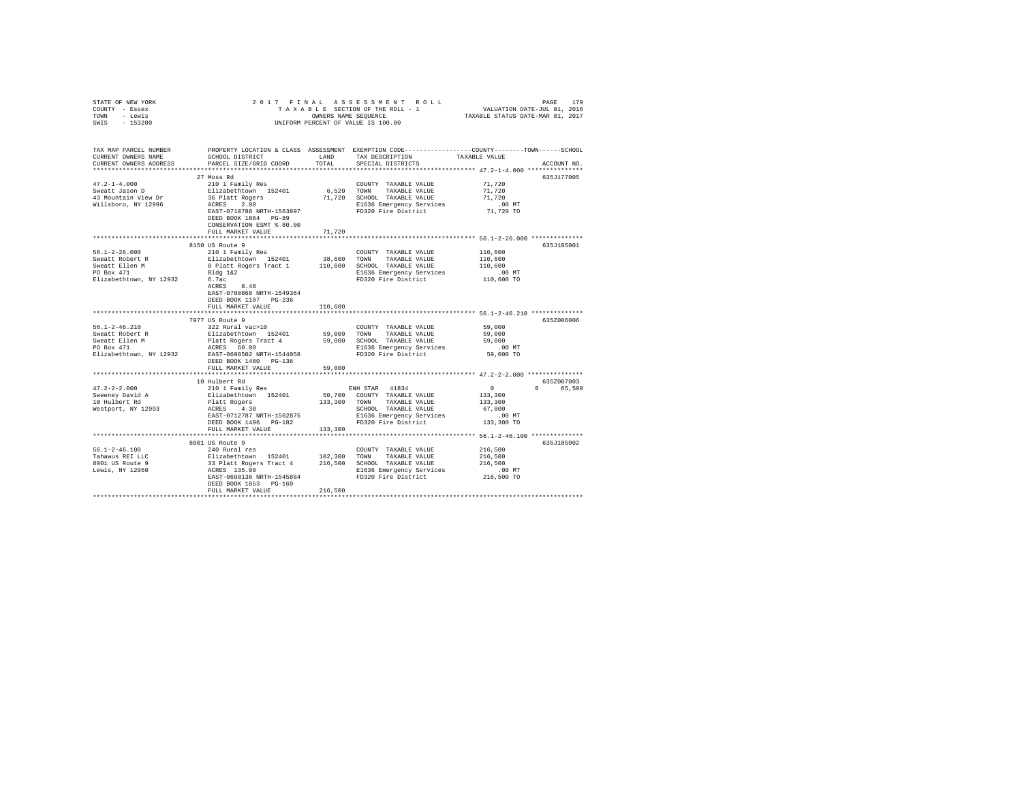| STATE OF NEW YORK<br>COUNTY - Essex<br>TOWN - Lewis<br>SWIS - 153200                              | 2017 FINAL                                                                                                                                                                                                                           |               | UNIFORM PERCENT OF VALUE IS 100.00                                                                                                                     | PAGE 179 PAGE 179 PAGE 179<br>TAXABLE SECTION OF THE ROLL - 1 VALUATION DATE-JUL 01, 2016<br>OWNERS NAME SEQUENCE TRXABLE STATUS DATE-MAR 01, 2017 |             |
|---------------------------------------------------------------------------------------------------|--------------------------------------------------------------------------------------------------------------------------------------------------------------------------------------------------------------------------------------|---------------|--------------------------------------------------------------------------------------------------------------------------------------------------------|----------------------------------------------------------------------------------------------------------------------------------------------------|-------------|
| CURRENT OWNERS NAME<br>CURRENT OWNERS ADDRESS                                                     | TAX MAP PARCEL NUMBER PROPERTY LOCATION & CLASS ASSESSMENT EXEMPTION CODE--------------COUNTY-------TOWN-----SCHOOL<br>SCHOOL DISTRICT<br>PARCEL SIZE/GRID COORD                                                                     | LAND<br>TOTAL | TAX DESCRIPTION<br>SPECIAL DISTRICTS                                                                                                                   | TAXABLE VALUE                                                                                                                                      | ACCOUNT NO. |
| $47.2 - 1 - 4.000$<br>Sweatt Jason D<br>43 Mountain View Dr<br>Willsboro, NY 12996                | 27 Moss Rd<br>210 1 Family Res<br>Elizabethtown 152401<br>36 Platt Rogers<br>ACRES 2.00<br>EAST-0710788 NRTH-1563897<br>DEED BOOK 1864 PG-89<br>CONSERVATION ESMT % 80.00<br>FULL MARKET VALUE                                       | 71,720        | COUNTY TAXABLE VALUE<br>6,520 TOWN TAXABLE VALUE<br>71,720 SCHOOL TAXABLE VALUE<br>E1636 Emergency Services<br>FD320 Fire District                     | 71,720<br>71,720<br>71.720<br>$.00$ MT<br>71,720 TO                                                                                                | 635J177005  |
| $56.1 - 2 - 26.000$<br>Sweatt Robert R<br>Sweatt Ellen M<br>PO Box 471<br>Elizabethtown, NY 12932 | 8150 US Route 9<br>210 1 Family Res<br>Elizabethtown 152401<br>8 Platt Rogers Tract 1 110,600 SCHOOL TAXABLE VALUE<br>Bldg 1&2<br>6.7ac<br>$ACRES$ $8.48$<br>EAST-0700868 NRTH-1549364<br>DEED BOOK 1107 PG-236<br>FULL MARKET VALUE | 110,600       | COUNTY TAXABLE VALUE<br>38,600 TOWN TAXABLE VALUE<br>E1636 Emergency Services<br>FD320 Fire District                                                   | 110,600<br>110,600<br>110,600<br>.00 MT<br>110,600 TO                                                                                              | 635J105001  |
| $56.1 - 2 - 46.210$                                                                               | 7977 US Route 9<br>322 Rural vac>10<br>DEED BOOK 1480 PG-136<br>FULL MARKET VALUE                                                                                                                                                    | 59,000        | COUNTY TAXABLE VALUE<br>E1636 Emergency Services<br>FD320 Fire District                                                                                | 59,000<br>59,000<br>59,000<br>.00 MT<br>59,000 TO                                                                                                  | 635Z006006  |
|                                                                                                   |                                                                                                                                                                                                                                      |               |                                                                                                                                                        |                                                                                                                                                    |             |
| $47.2 - 2 - 2.000$<br>Sweeney David A<br>10 Hulbert Rd<br>Westport, NY 12993                      | 10 Hulbert Rd<br>210 1 Family Res<br>Elizabethtown 152401<br>Platt Rogers<br>ACRES 4.30<br>EAST-0712787 NRTH-1562875<br>DEED BOOK 1496 PG-182                                                                                        | 133,300       | ENH STAR 41834<br>50,700 COUNTY TAXABLE VALUE<br>133,300 TOWN TAXABLE VALUE<br>SCHOOL TAXABLE VALUE<br>E1636 Emergency Services<br>FD320 Fire District | $\sim$ 0<br>0 65,500<br>133,300<br>133,300<br>67,800<br>$.00$ MT<br>133,300 TO                                                                     | 635Z007003  |
|                                                                                                   | FULL MARKET VALUE                                                                                                                                                                                                                    |               |                                                                                                                                                        |                                                                                                                                                    |             |
| $56.1 - 2 - 46.100$<br>Tahawus REI LLC<br>8001 US Route 9<br>Lewis, NY 12950                      | 8001 US Route 9<br>240 Rural res<br>EAST-0698136 NRTH-1545884<br>DEED BOOK 1853 PG-160<br>FULL MARKET VALUE                                                                                                                          | 216,500       | COUNTY TAXABLE VALUE<br>E1636 Emergency Services<br>FD320 Fire District                                                                                | 216,500<br>216,500<br>216,500<br>$.00$ MT<br>216,500 TO                                                                                            | 635J105002  |
|                                                                                                   |                                                                                                                                                                                                                                      |               |                                                                                                                                                        |                                                                                                                                                    |             |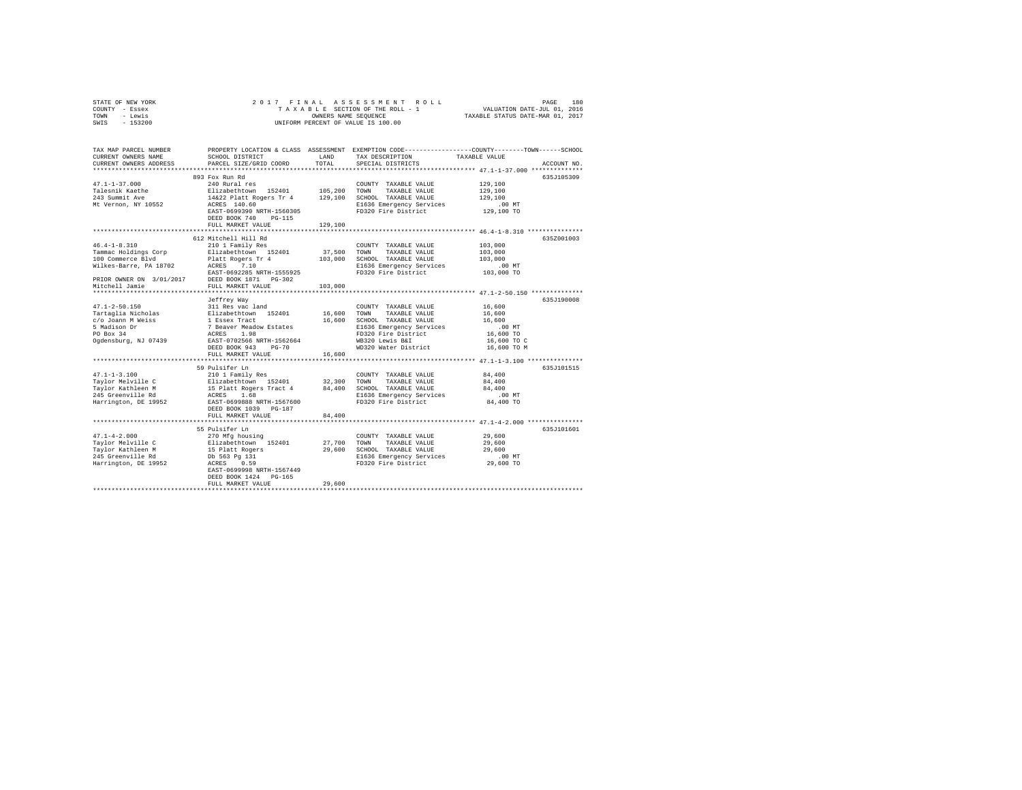| STATE OF NEW YORK<br>COUNTY - Essex<br>- Lewis<br>TOWN<br>$-153200$<br>SWIS                                                                                                                                                                                                                                                            | 2017 FINAL                                                                                                                                             | PAGE 180 PAGE 180 PAGE 180 PAGE 180 PAGE 180 PAGE 180 PAGE 180 PAGE 180 PAGE 180 PAGE 180 PAGE 180 PAGE 180 PAGE 180 PAGE 180 PAGE 180 PAGE 180 PAGE 180 PAGE 180 PAGE 180 PAGE 180 PAGE 180 PAGE 180 PAGE 180 PAGE 180 PAGE 1 |                                                                                                                                                                          |                                                                                                 |  |  |  |
|----------------------------------------------------------------------------------------------------------------------------------------------------------------------------------------------------------------------------------------------------------------------------------------------------------------------------------------|--------------------------------------------------------------------------------------------------------------------------------------------------------|--------------------------------------------------------------------------------------------------------------------------------------------------------------------------------------------------------------------------------|--------------------------------------------------------------------------------------------------------------------------------------------------------------------------|-------------------------------------------------------------------------------------------------|--|--|--|
| UNIFORM PERCENT OF VALUE IS 100.00                                                                                                                                                                                                                                                                                                     |                                                                                                                                                        |                                                                                                                                                                                                                                |                                                                                                                                                                          |                                                                                                 |  |  |  |
| TAX MAP PARCEL NUMBER                                                                                                                                                                                                                                                                                                                  |                                                                                                                                                        |                                                                                                                                                                                                                                |                                                                                                                                                                          | PROPERTY LOCATION & CLASS ASSESSMENT EXEMPTION CODE---------------COUNTY-------TOWN------SCHOOL |  |  |  |
| CURRENT OWNERS NAME                                                                                                                                                                                                                                                                                                                    | SCHOOL DISTRICT LAND                                                                                                                                   |                                                                                                                                                                                                                                | TAX DESCRIPTION                                                                                                                                                          | TAXABLE VALUE                                                                                   |  |  |  |
| CURRENT OWNERS ADDRESS                                                                                                                                                                                                                                                                                                                 | PARCEL SIZE/GRID COORD                                                                                                                                 | TOTAL                                                                                                                                                                                                                          | SPECIAL DISTRICTS                                                                                                                                                        | ACCOUNT NO.                                                                                     |  |  |  |
|                                                                                                                                                                                                                                                                                                                                        |                                                                                                                                                        |                                                                                                                                                                                                                                |                                                                                                                                                                          |                                                                                                 |  |  |  |
| $47.1 - 1 - 37.000$                                                                                                                                                                                                                                                                                                                    | 893 Fox Run Rd<br>240 Rural res                                                                                                                        |                                                                                                                                                                                                                                | COUNTY TAXABLE VALUE                                                                                                                                                     | 635J105309<br>129,100                                                                           |  |  |  |
|                                                                                                                                                                                                                                                                                                                                        |                                                                                                                                                        |                                                                                                                                                                                                                                | TAXABLE VALUE                                                                                                                                                            | 129,100                                                                                         |  |  |  |
| Talesnik Kaethe<br>243 Summit Ave                                                                                                                                                                                                                                                                                                      |                                                                                                                                                        |                                                                                                                                                                                                                                |                                                                                                                                                                          | 129,100                                                                                         |  |  |  |
| Mt Vernon, NY 10552                                                                                                                                                                                                                                                                                                                    | Elizabethcown 152401 105,200 COWN TAXABLE VALUE<br>14622 Platt Rogers Tr 4 129,100 SCHODL TAXABLE VALUE<br>ACRES 140.60 CREED BL636 Emergency Services |                                                                                                                                                                                                                                |                                                                                                                                                                          |                                                                                                 |  |  |  |
|                                                                                                                                                                                                                                                                                                                                        | EAST-0699390 NRTH-1560305                                                                                                                              |                                                                                                                                                                                                                                | E1636 Emergency Services .00 MT<br>FD320 Fire District  129,100 TO                                                                                                       |                                                                                                 |  |  |  |
|                                                                                                                                                                                                                                                                                                                                        | DEED BOOK 740 PG-115                                                                                                                                   |                                                                                                                                                                                                                                |                                                                                                                                                                          |                                                                                                 |  |  |  |
|                                                                                                                                                                                                                                                                                                                                        | FULL MARKET VALUE                                                                                                                                      | 129,100                                                                                                                                                                                                                        |                                                                                                                                                                          |                                                                                                 |  |  |  |
|                                                                                                                                                                                                                                                                                                                                        |                                                                                                                                                        |                                                                                                                                                                                                                                |                                                                                                                                                                          |                                                                                                 |  |  |  |
|                                                                                                                                                                                                                                                                                                                                        | 612 Mitchell Hill Rd                                                                                                                                   |                                                                                                                                                                                                                                |                                                                                                                                                                          | 635Z001003                                                                                      |  |  |  |
| $46.4 - 1 - 8.310$                                                                                                                                                                                                                                                                                                                     | 210 1 Family Res                                                                                                                                       |                                                                                                                                                                                                                                | COUNTY TAXABLE VALUE                                                                                                                                                     | 103,000                                                                                         |  |  |  |
|                                                                                                                                                                                                                                                                                                                                        |                                                                                                                                                        |                                                                                                                                                                                                                                |                                                                                                                                                                          | 103,000                                                                                         |  |  |  |
| $\begin{tabular}{l c c c c c} \multicolumn{1}{c}{\textbf{Frame: Fooling} \begin{tabular}{p{0.8cm}p{0.8cm}}p{0.8cm} & \multicolumn{1}{c}{\textbf{Frame: Fooling} \begin{tabular}{p{0.8cm}p{0.8cm}}p{0.8cm}p{0.8cm}p{0.8cm}p{0.8cm}p{0.8cm}p{0.8cm}p{0.8cm}p{0.8cm}p{0.8cm}p{0.8cm}p{0.8cm}p{0.8cm}p{0.8cm}p{0.8cm}p{0.8cm}p{0.8cm}p{0.$ |                                                                                                                                                        |                                                                                                                                                                                                                                |                                                                                                                                                                          | 103,000                                                                                         |  |  |  |
|                                                                                                                                                                                                                                                                                                                                        |                                                                                                                                                        |                                                                                                                                                                                                                                |                                                                                                                                                                          | 00 MT.<br>103,000 TO                                                                            |  |  |  |
|                                                                                                                                                                                                                                                                                                                                        |                                                                                                                                                        |                                                                                                                                                                                                                                |                                                                                                                                                                          |                                                                                                 |  |  |  |
|                                                                                                                                                                                                                                                                                                                                        |                                                                                                                                                        |                                                                                                                                                                                                                                |                                                                                                                                                                          |                                                                                                 |  |  |  |
| Mitchell Jamie                                                                                                                                                                                                                                                                                                                         | FULL MARKET VALUE<br>**************************                                                                                                        | 103,000                                                                                                                                                                                                                        |                                                                                                                                                                          | ******************************** 47.1-2-50.150 ***************                                  |  |  |  |
|                                                                                                                                                                                                                                                                                                                                        |                                                                                                                                                        |                                                                                                                                                                                                                                |                                                                                                                                                                          | 635J190008                                                                                      |  |  |  |
| $47.1 - 2 - 50.150$                                                                                                                                                                                                                                                                                                                    | Jeffrey Way<br>311 Res vac land                                                                                                                        |                                                                                                                                                                                                                                | COUNTY TAXABLE VALUE                                                                                                                                                     | 16,600                                                                                          |  |  |  |
| Tartaglia Nicholas                                                                                                                                                                                                                                                                                                                     |                                                                                                                                                        | 16,600                                                                                                                                                                                                                         | TOWN TAXABLE VALUE                                                                                                                                                       | 16,600                                                                                          |  |  |  |
| c/o Joann M Weiss                                                                                                                                                                                                                                                                                                                      |                                                                                                                                                        |                                                                                                                                                                                                                                | 16,600 SCHOOL TAXABLE VALUE                                                                                                                                              | 16,600                                                                                          |  |  |  |
| 5 Madison Dr                                                                                                                                                                                                                                                                                                                           |                                                                                                                                                        |                                                                                                                                                                                                                                | E1636 Emergency Services                                                                                                                                                 | $.00$ MT                                                                                        |  |  |  |
| $PO$ Box 34                                                                                                                                                                                                                                                                                                                            | 311 Res vac 1and<br>Elizabethtown 152401<br>1 Essex Tract<br>7 Beaver Meadow Estates<br>ACRES 1.98<br>EAST-0702566 NRTH-1562664                        |                                                                                                                                                                                                                                | FD320 Fire District                                                                                                                                                      | 16,600 TO                                                                                       |  |  |  |
| Ogdensburg, NJ 07439                                                                                                                                                                                                                                                                                                                   |                                                                                                                                                        |                                                                                                                                                                                                                                | WB320 Lewis B&I                                                                                                                                                          | 16,600 TO C                                                                                     |  |  |  |
|                                                                                                                                                                                                                                                                                                                                        | DEED BOOK 943 PG-70                                                                                                                                    |                                                                                                                                                                                                                                | WD320 Water District                                                                                                                                                     | 16,600 TO M                                                                                     |  |  |  |
|                                                                                                                                                                                                                                                                                                                                        | FULL MARKET VALUE                                                                                                                                      | 16,600                                                                                                                                                                                                                         |                                                                                                                                                                          |                                                                                                 |  |  |  |
|                                                                                                                                                                                                                                                                                                                                        |                                                                                                                                                        |                                                                                                                                                                                                                                |                                                                                                                                                                          |                                                                                                 |  |  |  |
|                                                                                                                                                                                                                                                                                                                                        | 59 Pulsifer Ln                                                                                                                                         |                                                                                                                                                                                                                                |                                                                                                                                                                          | 635J101515                                                                                      |  |  |  |
| $47.1 - 1 - 3.100$                                                                                                                                                                                                                                                                                                                     | 210 1 Family Res                                                                                                                                       |                                                                                                                                                                                                                                | COUNTY TAXABLE VALUE                                                                                                                                                     | 84,400                                                                                          |  |  |  |
| Taylor Melville C                                                                                                                                                                                                                                                                                                                      |                                                                                                                                                        |                                                                                                                                                                                                                                |                                                                                                                                                                          | 84,400                                                                                          |  |  |  |
| Taylor Kathleen M<br>245 Greenville Rd<br>Harrington, DE 19952                                                                                                                                                                                                                                                                         |                                                                                                                                                        |                                                                                                                                                                                                                                | COUNTY TAXABLE VALUE<br>Initiable through the series of the MAXABLE VALUE<br>IS Platt Rogers Tract 4 084,400 SCHOOL TAXABLE VALUE<br>ACRES 1.68 21636 Emergency Services | 84,400                                                                                          |  |  |  |
|                                                                                                                                                                                                                                                                                                                                        | EAST-0699888 NRTH-1567600                                                                                                                              |                                                                                                                                                                                                                                | E1636 Emergency Services<br>FD320 Fire District                                                                                                                          | $.00$ MT<br>84,400 TO                                                                           |  |  |  |
|                                                                                                                                                                                                                                                                                                                                        | DEED BOOK 1039 PG-187                                                                                                                                  |                                                                                                                                                                                                                                |                                                                                                                                                                          |                                                                                                 |  |  |  |
|                                                                                                                                                                                                                                                                                                                                        | FULL MARKET VALUE                                                                                                                                      | 84,400                                                                                                                                                                                                                         |                                                                                                                                                                          |                                                                                                 |  |  |  |
|                                                                                                                                                                                                                                                                                                                                        | ************************                                                                                                                               |                                                                                                                                                                                                                                |                                                                                                                                                                          | ******************* 47.1-4-2.000 ***************                                                |  |  |  |
|                                                                                                                                                                                                                                                                                                                                        | 55 Pulsifer Ln                                                                                                                                         |                                                                                                                                                                                                                                |                                                                                                                                                                          | 635.T101601                                                                                     |  |  |  |
| $47.1 - 4 - 2.000$                                                                                                                                                                                                                                                                                                                     | 270 Mfg housing                                                                                                                                        |                                                                                                                                                                                                                                | COUNTY TAXABLE VALUE                                                                                                                                                     | 29,600                                                                                          |  |  |  |
| Taylor Melville C<br>Taylor Kathleen M<br>245 Greenville Rd<br>Harrington, DE 19952                                                                                                                                                                                                                                                    |                                                                                                                                                        |                                                                                                                                                                                                                                | TOWN<br>TAXABLE VALUE                                                                                                                                                    | 29,600                                                                                          |  |  |  |
|                                                                                                                                                                                                                                                                                                                                        |                                                                                                                                                        |                                                                                                                                                                                                                                | 29,600 SCHOOL TAXABLE VALUE                                                                                                                                              | 29,600                                                                                          |  |  |  |
|                                                                                                                                                                                                                                                                                                                                        |                                                                                                                                                        |                                                                                                                                                                                                                                | E1636 Emergency Services<br>FD320 Fire District                                                                                                                          | .00 MT                                                                                          |  |  |  |
|                                                                                                                                                                                                                                                                                                                                        | Elizabethtown 152401 27,700<br>15 Platt Rogers 29,600<br>Db 563 Pg 131<br>ACRES 0.59                                                                   |                                                                                                                                                                                                                                |                                                                                                                                                                          | 29,600 TO                                                                                       |  |  |  |
|                                                                                                                                                                                                                                                                                                                                        | EAST-0699998 NRTH-1567449                                                                                                                              |                                                                                                                                                                                                                                |                                                                                                                                                                          |                                                                                                 |  |  |  |
|                                                                                                                                                                                                                                                                                                                                        | DEED BOOK 1424 PG-165                                                                                                                                  |                                                                                                                                                                                                                                |                                                                                                                                                                          |                                                                                                 |  |  |  |
|                                                                                                                                                                                                                                                                                                                                        | FULL MARKET VALUE                                                                                                                                      | 29,600                                                                                                                                                                                                                         |                                                                                                                                                                          |                                                                                                 |  |  |  |
|                                                                                                                                                                                                                                                                                                                                        |                                                                                                                                                        |                                                                                                                                                                                                                                |                                                                                                                                                                          |                                                                                                 |  |  |  |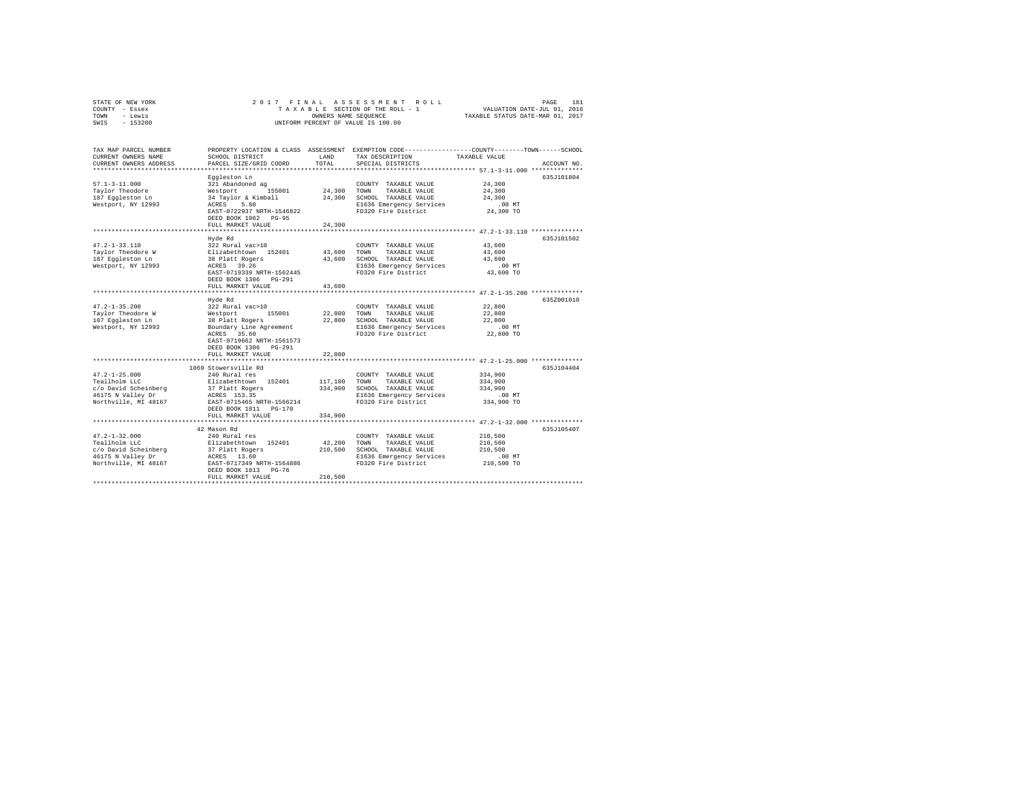| STATE OF NEW YORK<br>COUNTY - Essex<br>- Lewis<br>TOWN                                                    | ASSESSMENT ROLL<br>181<br>2017 FINAL<br>PAGE<br>TAXABLE SECTION OF THE ROLL - 1<br>VALUATION DATE-JUL 01, 2016<br>TAXABLE STATUS DATE-MAR 01, 2017<br>OWNERS NAME SEQUENCE  |                               |                                                                                                                                         |                                                                                                            |             |
|-----------------------------------------------------------------------------------------------------------|-----------------------------------------------------------------------------------------------------------------------------------------------------------------------------|-------------------------------|-----------------------------------------------------------------------------------------------------------------------------------------|------------------------------------------------------------------------------------------------------------|-------------|
| SWIS<br>$-153200$                                                                                         |                                                                                                                                                                             |                               | UNIFORM PERCENT OF VALUE IS 100.00                                                                                                      |                                                                                                            |             |
| TAX MAP PARCEL NUMBER<br>CURRENT OWNERS NAME<br>CURRENT OWNERS ADDRESS                                    | SCHOOL DISTRICT<br>PARCEL SIZE/GRID COORD                                                                                                                                   | LAND<br>TOTAL                 | PROPERTY LOCATION & CLASS ASSESSMENT EXEMPTION CODE---------------COUNTY-------TOWN------SCHOOL<br>TAX DESCRIPTION<br>SPECIAL DISTRICTS | TAXABLE VALUE                                                                                              | ACCOUNT NO. |
| $57.1 - 3 - 11.000$<br>Taylor Theodore<br>187 Eqqleston Ln<br>Westport, NY 12993                          | Eqqleston Ln<br>321 Abandoned ag<br>155001<br>Westport<br>34 Taylor & Kimball<br>ACRES<br>5.80<br>EAST-0722937 NRTH-1546822<br>DEED BOOK 1062 PG-95<br>FULL MARKET VALUE    | 24,300<br>24,300<br>24,300    | COUNTY TAXABLE VALUE<br>TOWN<br>TAXABLE VALUE<br>SCHOOL TAXABLE VALUE<br>E1636 Emergency Services<br>FD320 Fire District                | 24,300<br>24,300<br>24,300<br>$.00$ MT<br>24,300 TO                                                        | 635J101804  |
| $47.2 - 1 - 33.110$<br>Taylor Theodore W<br>187 Eqqleston Ln<br>Westport, NY 12993                        | *******************<br>Hyde Rd<br>322 Rural vac>10<br>Elizabethtown 152401<br>38 Platt Rogers<br>ACRES 39.26<br>EAST-0719339 NRTH-1562445<br>DEED BOOK 1306 PG-291          | 43,600<br>43,600<br>43,600    | COUNTY TAXABLE VALUE<br>TOWN<br>TAXABLE VALUE<br>SCHOOL TAXABLE VALUE<br>E1636 Emergency Services<br>FD320 Fire District                | ********************** 47.2-1-33.110 **************<br>43,600<br>43,600<br>43,600<br>$.00$ MT<br>43,600 TO | 635J101502  |
|                                                                                                           | FULL MARKET VALUE<br>***********************                                                                                                                                |                               |                                                                                                                                         |                                                                                                            |             |
| $47.2 - 1 - 35.200$<br>Taylor Theodore W<br>187 Eqqleston Ln<br>Westport, NY 12993                        | Hyde Rd<br>322 Rural vac>10<br>Westport<br>155001<br>38 Platt Rogers<br>Boundary Line Agreement<br>ACRES 35.60<br>EAST-0719662 NRTH-1561573<br>DEED BOOK 1306 PG-291        | 22,800<br>22,800              | COUNTY TAXABLE VALUE<br>TOWN<br>TAXABLE VALUE<br>SCHOOL TAXABLE VALUE<br>E1636 Emergency Services<br>FD320 Fire District                | 22,800<br>22,800<br>22,800<br>$.00$ MT<br>22,800 TO                                                        | 635Z001010  |
|                                                                                                           | FULL MARKET VALUE                                                                                                                                                           | 22,800                        |                                                                                                                                         |                                                                                                            |             |
| $47.2 - 1 - 25.000$<br>Teallholm LLC<br>c/o David Scheinberg<br>46175 N Valley Dr<br>Northville, MI 48167 | 1069 Stowersville Rd<br>240 Rural res<br>Elizabethtown 152401<br>37 Platt Rogers<br>ACRES 153.35<br>EAST-0715465 NRTH-1566214<br>DEED BOOK 1811 PG-170<br>FULL MARKET VALUE | 117,100<br>334,900<br>334,900 | COUNTY TAXABLE VALUE<br>TAXABLE VALUE<br>TOWN<br>SCHOOL TAXABLE VALUE<br>E1636 Emergency Services<br>FD320 Fire District                | 334,900<br>334,900<br>334,900<br>$.00$ MT<br>334,900 TO                                                    | 635J104404  |
|                                                                                                           | **********************                                                                                                                                                      |                               |                                                                                                                                         |                                                                                                            |             |
| $47.2 - 1 - 32.000$<br>Teallholm LLC<br>c/o David Scheinberg<br>46175 N Valley Dr<br>Northville, MI 48167 | 42 Mason Rd<br>240 Rural res<br>Elizabethtown 152401<br>37 Platt Rogers<br>ACRES 13.60<br>EAST-0717349 NRTH-1564886<br>DEED BOOK 1813 PG-76<br>FULL MARKET VALUE            | 42.200<br>210,500<br>210,500  | COUNTY TAXABLE VALUE<br>TOWN<br>TAXABLE VALUE<br>SCHOOL TAXABLE VALUE<br>E1636 Emergency Services<br>FD320 Fire District                | 210,500<br>210,500<br>210,500<br>$.00$ MT<br>210,500 TO                                                    | 635J105407  |
|                                                                                                           |                                                                                                                                                                             |                               |                                                                                                                                         |                                                                                                            |             |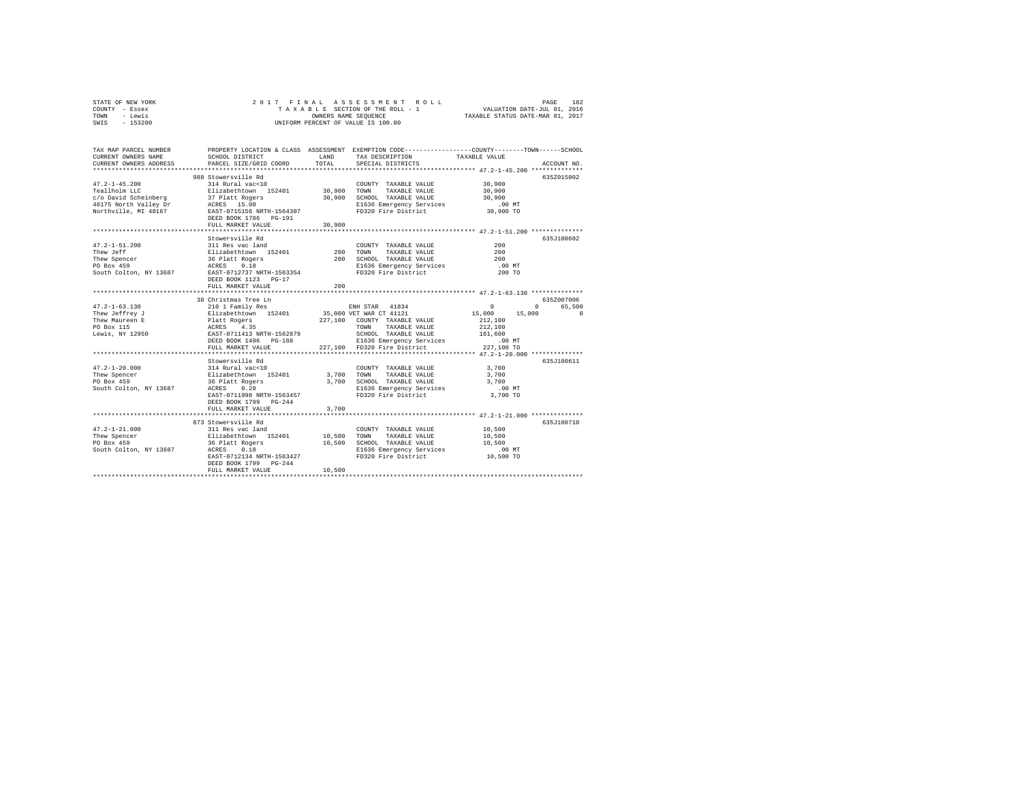| STATE OF NEW YORK | 2017 FINAL ASSESSMENT ROLL         | 182<br>PAGE                      |
|-------------------|------------------------------------|----------------------------------|
| COUNTY - Essex    | TAXABLE SECTION OF THE ROLL - 1    | VALUATION DATE-JUL 01, 2016      |
| TOWN<br>- Lewis   | OWNERS NAME SEOUENCE               | TAXABLE STATUS DATE-MAR 01, 2017 |
| $-153200$<br>SWIS | UNIFORM PERCENT OF VALUE IS 100.00 |                                  |

| TAX MAP PARCEL NUMBER<br>CURRENT OWNERS NAME<br>CURRENT OWNERS ADDRESS                   | SCHOOL DISTRICT<br>PARCEL SIZE/GRID COORD                                                                                                                                                 | LAND<br>TOTAL                     | PROPERTY LOCATION & CLASS ASSESSMENT EXEMPTION CODE---------------COUNTY-------TOWN------SCHOOL<br>TAX DESCRIPTION<br>SPECIAL DISTRICTS                                                   | TAXABLE VALUE                                                                          | ACCOUNT NO.                                    |
|------------------------------------------------------------------------------------------|-------------------------------------------------------------------------------------------------------------------------------------------------------------------------------------------|-----------------------------------|-------------------------------------------------------------------------------------------------------------------------------------------------------------------------------------------|----------------------------------------------------------------------------------------|------------------------------------------------|
| $47.2 - 1 - 45.200$<br>Teallholm LLC<br>Northville, MI 48167                             | 988 Stowersville Rd<br>314 Rural vac<10<br>Elizabethtown 152401 30,900 TOWN<br>EAST-0715156 NRTH-1564307<br>DEED BOOK 1786 PG-191<br>FULL MARKET VALUE<br>***************************     | 30,900<br>30,900                  | COUNTY TAXABLE VALUE<br>TAXABLE VALUE<br>SCHOOL TAXABLE VALUE<br>E1636 Emergency Services<br>FD320 Fire District<br>****************************** 47.2-1-51.200 ***************          | 30,900<br>30,900<br>30,900<br>$.00$ MT<br>30,900 TO                                    | 635Z015002                                     |
| $47.2 - 1 - 51.200$<br>Thew Jeff<br>Thew Spencer<br>PO Box 459<br>South Colton, NY 13687 | Stowersville Rd<br>311 Res vac land<br>Elizabethtown 152401<br>36 Platt Rogers<br>ACRES 0.18<br>EAST-0712737 NRTH-1563354<br>DEED BOOK 1123 PG-17<br>FULL MARKET VALUE                    | 200<br>200<br>200<br>************ | COUNTY TAXABLE VALUE<br>TOWN<br>TAXABLE VALUE<br>SCHOOL TAXABLE VALUE<br>E1636 Emergency Services<br>FD320 Fire District<br>******************************** 47.2-1-63.130 ************** | 200<br>200<br>200<br>$.00$ MT<br>200 TO                                                | 635J100602                                     |
|                                                                                          | 38 Christmas Tree Ln                                                                                                                                                                      |                                   |                                                                                                                                                                                           |                                                                                        | 635Z007006                                     |
| $47.2 - 1 - 63.130$<br>Thew Jeffrey J<br>Thew Maureen E<br>PO Box 115<br>Lewis, NY 12950 | 210 1 Family Res<br>Elizabethtown 152401<br>Platt Rogers<br>ACRES 4.35<br>EAST-0711413 NRTH-1562879<br>DEED BOOK 1496 PG-188<br>FULL MARKET VALUE                                         |                                   | ENH STAR 41834<br>35,000 VET WAR CT 41121<br>227,100 COUNTY TAXABLE VALUE<br>TOWN<br>TAXABLE VALUE<br>SCHOOL TAXABLE VALUE<br>E1636 Emergency Services<br>227.100 FD320 Fire District     | $\circ$<br>15,000<br>15,000<br>212,100<br>212,100<br>161,600<br>$.00$ MT<br>227,100 TO | 65,500<br>$^{\circ}$<br>$\Omega$<br>635J100611 |
| $47.2 - 1 - 20.000$<br>Thew Spencer<br>PO Box 459<br>South Colton, NY 13687              | e Rd<br>314 Rural vac<10<br>Elizabethtown 152401<br>36 Platt Boosse<br>0.28<br>ACRES<br>EAST-0711998 NRTH-1563457<br>DEED BOOK 1799 PG-244<br>FULL MARKET VALUE                           | 3,700 TOWN<br>3,700               | COUNTY TAXABLE VALUE<br>TAXABLE VALUE<br>3,700 SCHOOL TAXABLE VALUE<br>E1636 Emergency Services<br>FD320 Fire District                                                                    | 3,700<br>3,700<br>3,700<br>$.00$ MT<br>3,700 TO                                        |                                                |
| $47.2 - 1 - 21.000$<br>Thew Spencer<br>PO Box 459<br>South Colton, NY 13687              | 873 Stowersville Rd<br>311 Res vac land<br>Elizabethtown 152401<br>36 Platt Rogers<br>ACRES 0.18<br>ACRES 0.18<br>EAST-0712134 NRTH-1563427<br>DEED BOOK 1799 PG-244<br>FULL MARKET VALUE | 10,500<br>10,500<br>10,500        | COUNTY TAXABLE VALUE<br>TOWN<br>TAXABLE VALUE<br>SCHOOL TAXABLE VALUE<br>E1636 Emergency Services<br>FD320 Fire District                                                                  | 10,500<br>10,500<br>10,500<br>$.00$ MT<br>10,500 TO                                    | 635J100710                                     |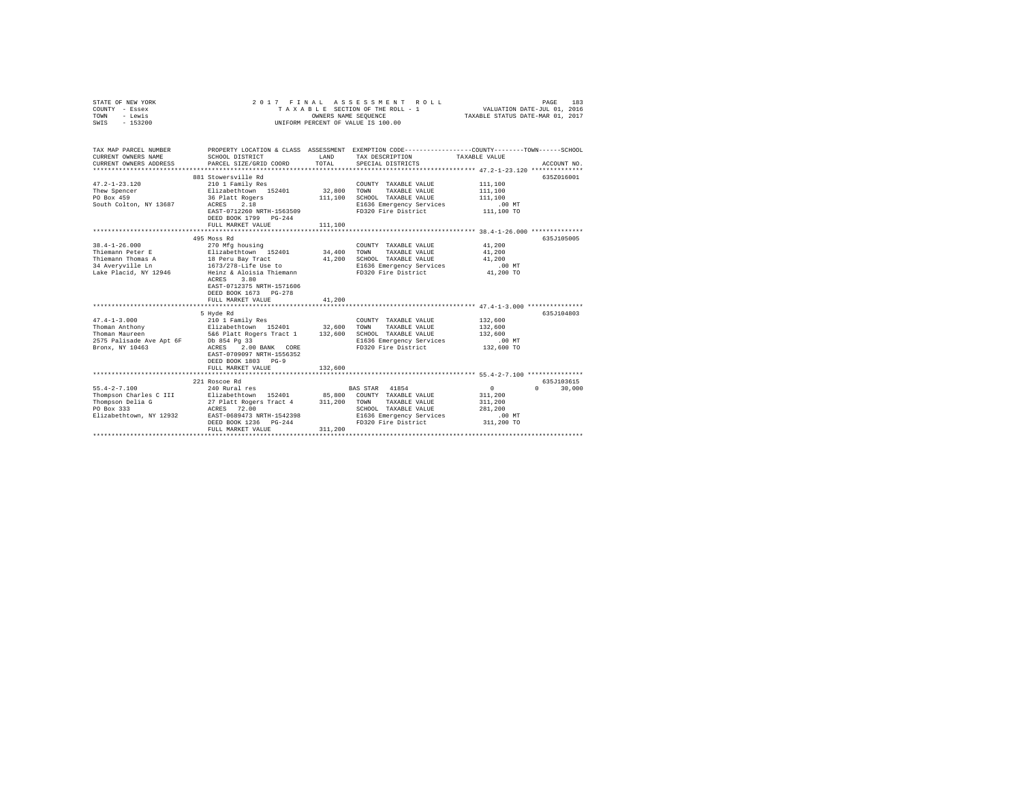| COUNTY - Essex<br>- Lewis<br>TOWN<br>$-153200$<br>SWIS | TAXABLE SECTION OF THE ROLL - 1<br>OWNERS NAME SEQUENCE<br>UNIFORM PERCENT OF VALUE IS 100.00 |         |                                                                                                                    | VALUATION DATE-JUL 01, 2016<br>TAXABLE STATUS DATE-MAR 01, 2017 |                    |
|--------------------------------------------------------|-----------------------------------------------------------------------------------------------|---------|--------------------------------------------------------------------------------------------------------------------|-----------------------------------------------------------------|--------------------|
|                                                        |                                                                                               |         |                                                                                                                    |                                                                 |                    |
| TAX MAP PARCEL NUMBER<br>CURRENT OWNERS NAME           | SCHOOL DISTRICT                                                                               | LAND    | PROPERTY LOCATION & CLASS ASSESSMENT EXEMPTION CODE----------------COUNTY-------TOWN-----SCHOOL<br>TAX DESCRIPTION | TAXABLE VALUE                                                   |                    |
| CURRENT OWNERS ADDRESS                                 | PARCEL SIZE/GRID COORD                                                                        | TOTAL   | SPECIAL DISTRICTS                                                                                                  | ******************** 47.2-1-23.120 ***************              | ACCOUNT NO.        |
|                                                        | 881 Stowersville Rd                                                                           |         |                                                                                                                    |                                                                 | 635Z016001         |
| $47.2 - 1 - 23.120$                                    | 210 1 Family Res                                                                              |         | COUNTY TAXABLE VALUE                                                                                               | 111,100                                                         |                    |
| Thew Spencer                                           | Elizabethtown 152401                                                                          | 32,800  | TOWN<br>TAXABLE VALUE                                                                                              | 111,100                                                         |                    |
| PO Box 459                                             | 36 Platt Rogers                                                                               | 111,100 | SCHOOL TAXABLE VALUE                                                                                               | 111,100                                                         |                    |
| South Colton, NY 13687                                 | ACRES<br>2.18                                                                                 |         | E1636 Emergency Services                                                                                           | .00 MT                                                          |                    |
|                                                        | EAST-0712260 NRTH-1563509                                                                     |         | FD320 Fire District                                                                                                | 111,100 TO                                                      |                    |
|                                                        | DEED BOOK 1799 PG-244                                                                         |         |                                                                                                                    |                                                                 |                    |
|                                                        | FULL MARKET VALUE                                                                             | 111,100 |                                                                                                                    |                                                                 |                    |
|                                                        |                                                                                               |         |                                                                                                                    |                                                                 |                    |
|                                                        | 495 Moss Rd                                                                                   |         |                                                                                                                    |                                                                 | 635J105005         |
| $38.4 - 1 - 26.000$                                    | 270 Mfg housing<br>Elizabethtown 152401                                                       |         | COUNTY TAXABLE VALUE                                                                                               | 41,200                                                          |                    |
| Thiemann Peter E                                       |                                                                                               | 34,400  | TOWN<br>TAXABLE VALUE                                                                                              | 41,200                                                          |                    |
| Thiemann Thomas A                                      | 18 Peru Bay Tract                                                                             | 41,200  | SCHOOL TAXABLE VALUE                                                                                               | 41,200<br>$.00$ MT                                              |                    |
| 34 Averyville Ln<br>Lake Placid, NY 12946              | 1673/278-Life Use to<br>Heinz & Aloisia Thiemann                                              |         | E1636 Emergency Services<br>FD320 Fire District                                                                    | 41,200 TO                                                       |                    |
|                                                        | 3.80<br>ACRES                                                                                 |         |                                                                                                                    |                                                                 |                    |
|                                                        | EAST-0712375 NRTH-1571606                                                                     |         |                                                                                                                    |                                                                 |                    |
|                                                        | DEED BOOK 1673 PG-278                                                                         |         |                                                                                                                    |                                                                 |                    |
|                                                        | FULL MARKET VALUE                                                                             | 41,200  |                                                                                                                    |                                                                 |                    |
|                                                        |                                                                                               |         |                                                                                                                    |                                                                 |                    |
|                                                        | 5 Hyde Rd                                                                                     |         |                                                                                                                    |                                                                 | 635J104803         |
| $47.4 - 1 - 3.000$                                     | 210 1 Family Res                                                                              |         | COUNTY TAXABLE VALUE                                                                                               | 132,600                                                         |                    |
| Thoman Anthony                                         | Elizabethtown 152401 32,600                                                                   |         | TAXABLE VALUE<br>TOWN                                                                                              | 132,600                                                         |                    |
|                                                        | Thoman Maureen 5&6 Platt Rogers Tract 1 $132,600$<br>2575 Palisade Ave Apt 6F bb 854 Pg 33    |         | SCHOOL TAXABLE VALUE                                                                                               | 132,600                                                         |                    |
|                                                        |                                                                                               |         | E1636 Emergency Services                                                                                           | $.00$ MT                                                        |                    |
| Bronx, NY 10463                                        | ACRES<br>2.00 BANK CORE                                                                       |         | FD320 Fire District                                                                                                | 132,600 TO                                                      |                    |
|                                                        | EAST-0709097 NRTH-1556352                                                                     |         |                                                                                                                    |                                                                 |                    |
|                                                        | DEED BOOK 1803 PG-9                                                                           |         |                                                                                                                    |                                                                 |                    |
|                                                        | FULL MARKET VALUE                                                                             | 132,600 |                                                                                                                    |                                                                 |                    |
|                                                        |                                                                                               |         |                                                                                                                    |                                                                 |                    |
|                                                        | 221 Roscoe Rd                                                                                 |         |                                                                                                                    |                                                                 | 635J103615         |
| $55.4 - 2 - 7.100$                                     | 240 Rural res                                                                                 |         | 41854<br><b>BAS STAR</b>                                                                                           | $\overline{0}$                                                  | $\Omega$<br>30,000 |
| Thompson Charles C III                                 | Elizabethtown 152401                                                                          |         | 85,800 COUNTY TAXABLE VALUE                                                                                        | 311,200                                                         |                    |
| Thompson Delia G                                       | 27 Platt Rogers Tract 4 311,200                                                               |         | TOWN<br>TAXABLE VALUE                                                                                              | 311,200                                                         |                    |
| PO Box 333                                             | ACRES 72.00                                                                                   |         | SCHOOL TAXABLE VALUE                                                                                               | 281,200                                                         |                    |
| Elizabethtown, NY 12932                                | EAST-0689473 NRTH-1542398                                                                     |         | E1636 Emergency Services                                                                                           | $.00$ MT                                                        |                    |
|                                                        | DEED BOOK 1236 PG-244                                                                         |         | FD320 Fire District                                                                                                | 311,200 TO                                                      |                    |
|                                                        | FULL MARKET VALUE                                                                             | 311,200 |                                                                                                                    |                                                                 |                    |
|                                                        |                                                                                               |         |                                                                                                                    |                                                                 |                    |

STATE OF NEW YORK 2 0 1 7 F I N A L A S S E S S M E N T R O L L PAGE 183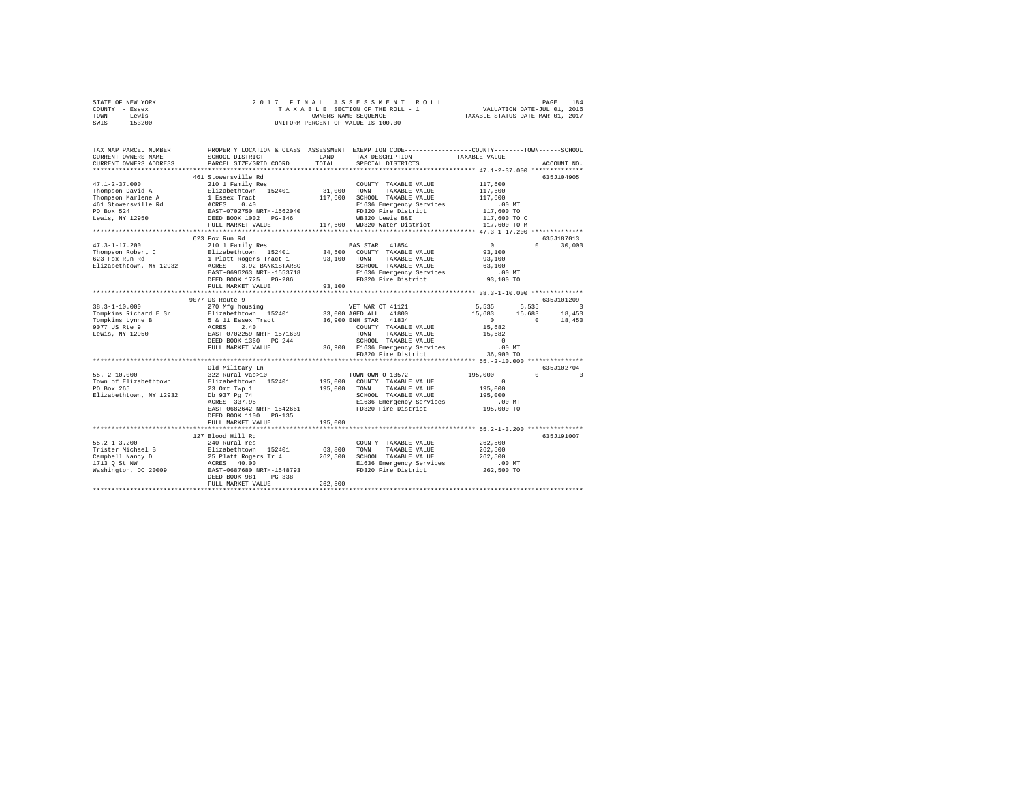| STATE OF NEW YORK<br>COUNTY - Essex<br>TOWN - Lewis<br>SWIS - 153200                                                                                                                                                                                                                                                                                                                                                                                                                                                  |                                                                                                                                                                                                                                                                                                                                                  |         |                                                                                                                                                                                                                                                              |                                                                                                                                           |                                                            |
|-----------------------------------------------------------------------------------------------------------------------------------------------------------------------------------------------------------------------------------------------------------------------------------------------------------------------------------------------------------------------------------------------------------------------------------------------------------------------------------------------------------------------|--------------------------------------------------------------------------------------------------------------------------------------------------------------------------------------------------------------------------------------------------------------------------------------------------------------------------------------------------|---------|--------------------------------------------------------------------------------------------------------------------------------------------------------------------------------------------------------------------------------------------------------------|-------------------------------------------------------------------------------------------------------------------------------------------|------------------------------------------------------------|
| TAX MAP PARCEL NUMBER<br>CURRENT OWNERS NAME<br>CURRENT OWNERS ADDRESS                                                                                                                                                                                                                                                                                                                                                                                                                                                | PROPERTY LOCATION & CLASS ASSESSMENT EXEMPTION CODE----------------COUNTY-------TOWN------SCHOOL<br>SCHOOL DISTRICT LAND<br>PARCEL SIZE/GRID COORD                                                                                                                                                                                               | TOTAL   | TAX DESCRIPTION TAXABLE VALUE<br>SPECIAL DISTRICTS                                                                                                                                                                                                           |                                                                                                                                           | ACCOUNT NO.                                                |
| $47.1 - 2 - 37.000$<br>Thompson David A<br>${\small \begin{tabular}{l cccc}c} \textbf{Thompon Marche A} & \textbf{1} & \textbf{2} & \textbf{3} & \textbf{5} & \textbf{6} & \textbf{7} & \textbf{8} & \textbf{10} & \textbf{10} & \textbf{10} & \textbf{10} & \textbf{10} & \textbf{10} & \textbf{11} & \textbf{11} & \textbf{12} & \textbf{12} & \textbf{13} & \textbf{14} & \textbf{15} & \textbf{16} & \textbf{17} & \textbf{18} & \textbf{18} & \textbf{18} & \$                                                   | 461 Stowersville Rd<br>210 1 Family Res<br>Elizabethtown 152401                                                                                                                                                                                                                                                                                  | 31,000  | COUNTY TAXABLE VALUE<br>TAXABLE VALUE<br>TOWN<br>E1636 Emergency Services                                                                                                                                                                                    | 117,600<br>117,600<br>117,600<br>.00 MT<br>117,600 TO<br>117,600 TO C<br>117,600 TO M                                                     | 635J104905                                                 |
|                                                                                                                                                                                                                                                                                                                                                                                                                                                                                                                       | 623 Fox Run Rd                                                                                                                                                                                                                                                                                                                                   |         |                                                                                                                                                                                                                                                              | $\overline{0}$<br>93,100<br>93,100<br>63,100<br>$.00$ MT                                                                                  | 635J187013<br>$0 \t 30.000$                                |
| $38.3 - 1 - 10.000$<br>Tompkins Richard E Sr<br>Tompkins Lynne B<br>9077 US Rte 9<br>Lewis, NY 12950                                                                                                                                                                                                                                                                                                                                                                                                                  | ****************************<br>9077 US Route 9<br>270 Mfg housing<br>% 20 MHz 1001<br>Elizabeth Low 152401 33,000 AGED ALL 41800<br>5 & 11 Essex Tract 36,900 EMH STAR 41834<br>ACRES 2.40 2006 EMH STAR 41834<br>ACRES 2.40 COUNTY TAXABLE VALUE<br>EAST-0702259 NRTH-1571639 TOWN TAXABLE VALUE<br>DEED BOOK 1360 PG-244<br>FULL MARKET VALUE |         | VET WAR CT 41121<br>COUNTY TAXABLE VALUE<br>TOWN TAXABLE VALUE<br>SCHOOL TAXABLE VALUE<br>SCHOOL TAXABLE VALUE                                                                                                                                               | 93,100 TO<br>$5,535$ $5,535$ 0<br>15,683 15,683 18,450<br>$\begin{array}{ccc} & & 0 & \hline \end{array}$<br>15,682<br>15,682<br>$\sim$ 0 | 635J101209<br>18,450                                       |
| $55. -2 - 10.000$<br>Town of Elizabethtown                                                                                                                                                                                                                                                                                                                                                                                                                                                                            | Old Military Ln<br>322 Rural vac>10<br>Elizabethtown 152401<br>EAST-0682642 NRTH-1542661<br>DEED BOOK 1100 PG-135<br>FULL MARKET VALUE                                                                                                                                                                                                           | 195,000 | 00 MT E1636 Emergency Services .00 MT PD320 Fire District 36,900 TO<br>TOWN OWN O 13572<br>195,000 COUNTY TAXABLE VALUE<br>195,000 TOWN TAXABLE VALUE<br>SCHOOL TAXABLE VALUE<br>E1636 Emergency Services<br>E1636 Emergency Services<br>FD320 Fire District | 195,000<br>$\sim$ 0.000 $\sim$ 0.000 $\sim$ 0.000 $\sim$ 0.000 $\sim$ 0.000 $\sim$<br>195,000<br>195,000<br>00 MT.<br>195,000 TO          | 635J102704<br>$\begin{array}{ccc}\n0 & & & 0\n\end{array}$ |
| $55.2 - 1 - 3.200$<br>$\begin{tabular}{lcccc} x-x-x-x. \end{tabular} \begin{tabular}{lcccc} x-x-x. \end{tabular} \begin{tabular}{lcccc} x-x-x. \end{tabular} \end{tabular} \begin{tabular}{lcccc} x-x-x. \end{tabular} \end{tabular} \begin{tabular}{lcccc} x-x-x. \end{tabular} \begin{tabular}{lcccc} x-x-x. \end{tabular} \end{tabular} \begin{tabular}{lcccc} \hline \textbf{X} + \textbf{X} & \textbf{X} & \textbf{X} & \textbf{X} & \textbf{X} & \textbf{X} & \textbf{X} & \textbf{X} & \textbf{X} & \textbf{X$ | 127 Blood Hill Rd<br>240 Rural res<br>DEED BOOK 981 PG-338<br>FULL MARKET VALUE                                                                                                                                                                                                                                                                  | 262,500 | COUNTY TAXABLE VALUE                                                                                                                                                                                                                                         | 262,500<br>262,500<br>262,500<br>00 MT.<br>262,500 TO                                                                                     | 635J191007                                                 |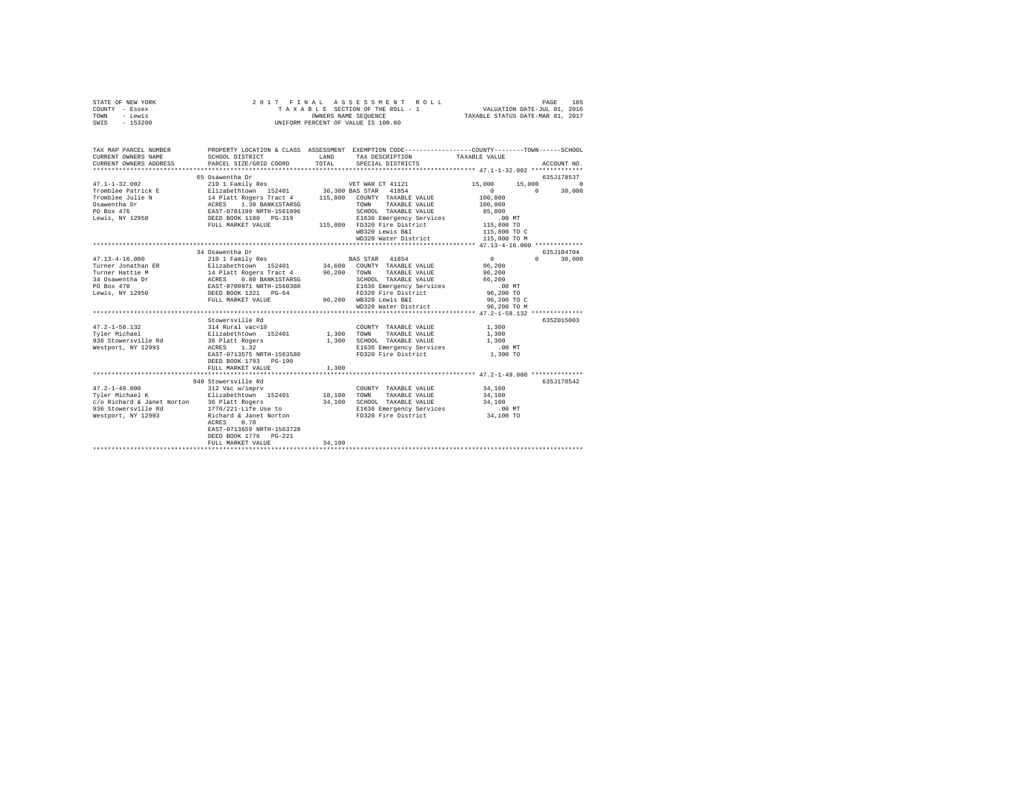| STATE OF NEW YORK | 2017 FINAL ASSESSMENT ROLL         | 185<br>PAGE                      |
|-------------------|------------------------------------|----------------------------------|
| COUNTY - Essex    | TAXABLE SECTION OF THE ROLL - 1    | VALUATION DATE-JUL 01, 2016      |
| TOWN<br>- Lewis   | OWNERS NAME SEOUENCE               | TAXABLE STATUS DATE-MAR 01, 2017 |
| $-153200$<br>SWIS | UNIFORM PERCENT OF VALUE IS 100.00 |                                  |

| TAX MAP PARCEL NUMBER<br>CURRENT OWNERS NAME                                                                                                                                                                                                                                                                                                                                                 |                                 |       |                                                                                                                                                                                                                                                                                                                                                       |                |               |
|----------------------------------------------------------------------------------------------------------------------------------------------------------------------------------------------------------------------------------------------------------------------------------------------------------------------------------------------------------------------------------------------|---------------------------------|-------|-------------------------------------------------------------------------------------------------------------------------------------------------------------------------------------------------------------------------------------------------------------------------------------------------------------------------------------------------------|----------------|---------------|
|                                                                                                                                                                                                                                                                                                                                                                                              |                                 |       |                                                                                                                                                                                                                                                                                                                                                       |                |               |
|                                                                                                                                                                                                                                                                                                                                                                                              | 65 Osawentha Dr                 |       |                                                                                                                                                                                                                                                                                                                                                       |                | 635J178537    |
|                                                                                                                                                                                                                                                                                                                                                                                              |                                 |       |                                                                                                                                                                                                                                                                                                                                                       |                |               |
|                                                                                                                                                                                                                                                                                                                                                                                              |                                 |       |                                                                                                                                                                                                                                                                                                                                                       |                |               |
|                                                                                                                                                                                                                                                                                                                                                                                              |                                 |       |                                                                                                                                                                                                                                                                                                                                                       |                |               |
|                                                                                                                                                                                                                                                                                                                                                                                              |                                 |       |                                                                                                                                                                                                                                                                                                                                                       |                |               |
|                                                                                                                                                                                                                                                                                                                                                                                              |                                 |       |                                                                                                                                                                                                                                                                                                                                                       |                |               |
| $\begin{tabular}{l c c c c c} \multicolumn{3}{c}{47.1-1-32.002} & \multicolumn{3}{c}{5.000} & \multicolumn{3}{c}{5.000} & \multicolumn{3}{c}{5.000} & \multicolumn{3}{c}{5.000} & \multicolumn{3}{c}{5.000} & \multicolumn{3}{c}{5.000} & \multicolumn{3}{c}{5.000} & \multicolumn{3}{c}{5.000} & \multicolumn{3}{c}{5.000} & \multicolumn{3}{c}{5.000} & \multicolumn{3}{c}{5.000} & \mult$ |                                 |       |                                                                                                                                                                                                                                                                                                                                                       |                |               |
|                                                                                                                                                                                                                                                                                                                                                                                              |                                 |       |                                                                                                                                                                                                                                                                                                                                                       |                |               |
|                                                                                                                                                                                                                                                                                                                                                                                              |                                 |       |                                                                                                                                                                                                                                                                                                                                                       |                |               |
|                                                                                                                                                                                                                                                                                                                                                                                              |                                 |       |                                                                                                                                                                                                                                                                                                                                                       |                |               |
|                                                                                                                                                                                                                                                                                                                                                                                              |                                 |       |                                                                                                                                                                                                                                                                                                                                                       |                |               |
|                                                                                                                                                                                                                                                                                                                                                                                              | 34 Osawentha Dr                 |       |                                                                                                                                                                                                                                                                                                                                                       |                | 635J104704    |
| $47.13 - 4 - 16.000$                                                                                                                                                                                                                                                                                                                                                                         | 210 1 Family Res BAS STAR 41854 |       |                                                                                                                                                                                                                                                                                                                                                       | $\overline{0}$ | $0 \t 30.000$ |
|                                                                                                                                                                                                                                                                                                                                                                                              |                                 |       |                                                                                                                                                                                                                                                                                                                                                       |                |               |
|                                                                                                                                                                                                                                                                                                                                                                                              |                                 |       |                                                                                                                                                                                                                                                                                                                                                       |                |               |
|                                                                                                                                                                                                                                                                                                                                                                                              |                                 |       |                                                                                                                                                                                                                                                                                                                                                       |                |               |
|                                                                                                                                                                                                                                                                                                                                                                                              |                                 |       |                                                                                                                                                                                                                                                                                                                                                       |                |               |
|                                                                                                                                                                                                                                                                                                                                                                                              |                                 |       |                                                                                                                                                                                                                                                                                                                                                       |                |               |
|                                                                                                                                                                                                                                                                                                                                                                                              |                                 |       | WD320 Water District 96,200 TO M                                                                                                                                                                                                                                                                                                                      | 96,200 то с    |               |
|                                                                                                                                                                                                                                                                                                                                                                                              |                                 |       |                                                                                                                                                                                                                                                                                                                                                       |                |               |
|                                                                                                                                                                                                                                                                                                                                                                                              | Stowersville Rd                 |       |                                                                                                                                                                                                                                                                                                                                                       |                | 635Z015003    |
|                                                                                                                                                                                                                                                                                                                                                                                              |                                 |       |                                                                                                                                                                                                                                                                                                                                                       |                |               |
|                                                                                                                                                                                                                                                                                                                                                                                              |                                 |       |                                                                                                                                                                                                                                                                                                                                                       |                |               |
|                                                                                                                                                                                                                                                                                                                                                                                              |                                 |       |                                                                                                                                                                                                                                                                                                                                                       |                |               |
|                                                                                                                                                                                                                                                                                                                                                                                              |                                 |       | E1636 Emergency Services .00 MT                                                                                                                                                                                                                                                                                                                       |                |               |
| $\begin{array}{cccc}\texttt{Nestport, NY} & 12993 & & & \texttt{ACRES} & 1.\overline{32} \\ & & & \texttt{EAST-0713575 NRTH-1563580} \end{array}$                                                                                                                                                                                                                                            |                                 |       | FD320 Fire District                                                                                                                                                                                                                                                                                                                                   | 1,300 TO       |               |
|                                                                                                                                                                                                                                                                                                                                                                                              | DEED BOOK 1793 PG-190           |       |                                                                                                                                                                                                                                                                                                                                                       |                |               |
|                                                                                                                                                                                                                                                                                                                                                                                              | FULL MARKET VALUE               | 1,300 |                                                                                                                                                                                                                                                                                                                                                       |                |               |
|                                                                                                                                                                                                                                                                                                                                                                                              |                                 |       |                                                                                                                                                                                                                                                                                                                                                       |                |               |
|                                                                                                                                                                                                                                                                                                                                                                                              | 940 Stowersville Rd             |       | $\begin{tabular}{lllllll} \multicolumn{2}{c}{\textbf{COUNTY}} & \textbf{TXABLE VALUE} & & & 34,100 \\ & \multicolumn{2}{c}{\multicolumn{2}{c}{\textbf{TXABLE VALUE}}} & & & 34,100 \\ \multicolumn{2}{c}{\multicolumn{2}{c}{\textbf{TX1-ITR}}} & & & 34,100 \\ \multicolumn{2}{c}{\multicolumn{2}{c}{\textbf{NALIIR}}} & & & 34,100 \\ \end{tabular}$ |                | 635J178542    |
|                                                                                                                                                                                                                                                                                                                                                                                              |                                 |       |                                                                                                                                                                                                                                                                                                                                                       |                |               |
|                                                                                                                                                                                                                                                                                                                                                                                              |                                 |       |                                                                                                                                                                                                                                                                                                                                                       |                |               |
|                                                                                                                                                                                                                                                                                                                                                                                              |                                 |       |                                                                                                                                                                                                                                                                                                                                                       |                |               |
|                                                                                                                                                                                                                                                                                                                                                                                              |                                 |       |                                                                                                                                                                                                                                                                                                                                                       |                |               |
| -rich control of the control of the control of the control of the control of the control of the control of the<br>1936 Stowersville Rd 1776/221-Life Use to B1636 Emergency Services 14,100<br>Mestport, NY 12993 Richard & Janet No                                                                                                                                                         |                                 |       |                                                                                                                                                                                                                                                                                                                                                       |                |               |
|                                                                                                                                                                                                                                                                                                                                                                                              |                                 |       |                                                                                                                                                                                                                                                                                                                                                       |                |               |
|                                                                                                                                                                                                                                                                                                                                                                                              | EAST-0713659 NRTH-1563728       |       |                                                                                                                                                                                                                                                                                                                                                       |                |               |
|                                                                                                                                                                                                                                                                                                                                                                                              | DEED BOOK 1776 PG-221           |       |                                                                                                                                                                                                                                                                                                                                                       |                |               |
|                                                                                                                                                                                                                                                                                                                                                                                              |                                 |       |                                                                                                                                                                                                                                                                                                                                                       |                |               |
|                                                                                                                                                                                                                                                                                                                                                                                              |                                 |       |                                                                                                                                                                                                                                                                                                                                                       |                |               |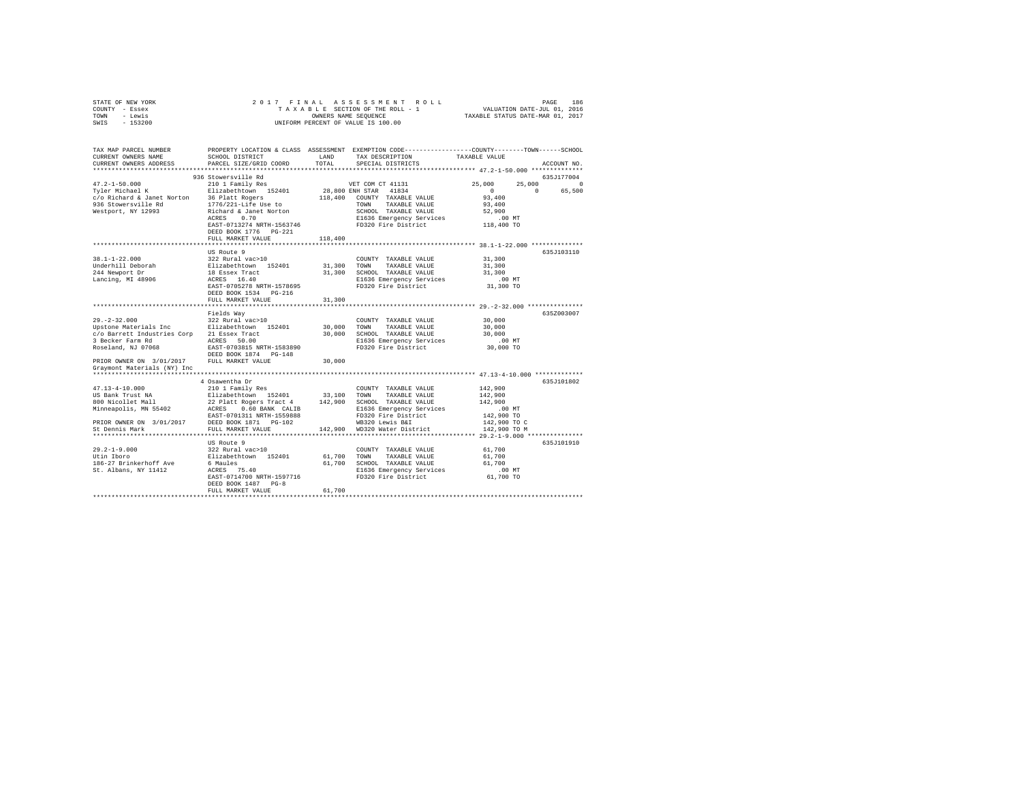| STATE OF NEW YORK | 2017 FINAL ASSESSMENT ROLL         | 186<br>PAGE                      |
|-------------------|------------------------------------|----------------------------------|
| COUNTY - Essex    | TAXABLE SECTION OF THE ROLL - 1    | VALUATION DATE-JUL 01, 2016      |
| TOWN<br>- Lewis   | OWNERS NAME SEOUENCE               | TAXABLE STATUS DATE-MAR 01, 2017 |
| $-153200$<br>SWIS | UNIFORM PERCENT OF VALUE IS 100.00 |                                  |

| TAX MAP PARCEL NUMBER<br>CURRENT OWNERS NAME<br>CURRENT OWNERS ADDRESS                                                                                                                                                   | SCHOOL DISTRICT<br>PARCEL SIZE/GRID COORD                                                                                                                                                                                                                               | LAND<br>TOTAL                         | TAX DESCRIPTION<br>SPECIAL DISTRICTS                                                                                                                                                                                                                 | PROPERTY LOCATION & CLASS ASSESSMENT EXEMPTION CODE----------------COUNTY-------TOWN------SCHOOL<br>TAXABLE VALUE<br>ACCOUNT NO.                  |
|--------------------------------------------------------------------------------------------------------------------------------------------------------------------------------------------------------------------------|-------------------------------------------------------------------------------------------------------------------------------------------------------------------------------------------------------------------------------------------------------------------------|---------------------------------------|------------------------------------------------------------------------------------------------------------------------------------------------------------------------------------------------------------------------------------------------------|---------------------------------------------------------------------------------------------------------------------------------------------------|
| .                                                                                                                                                                                                                        |                                                                                                                                                                                                                                                                         |                                       |                                                                                                                                                                                                                                                      |                                                                                                                                                   |
| $47.2 - 1 - 50.000$<br>Tyler Michael K<br>c/o Richard & Janet Norton<br>936 Stowersville Rd<br>Westport, NY 12993                                                                                                        | 936 Stowersville Rd<br>210 1 Family Res<br>Elizabethtown 152401<br>36 Platt Rogers<br>1776/221-Life Use to<br>Richard & Janet Norton<br>0.70<br>ACRES<br>EAST-0713274 NRTH-1563746<br>DEED BOOK 1776 PG-221<br>FULL MARKET VALUE                                        | 118,400<br>118,400                    | VET COM CT 41131<br>28,800 ENH STAR 41834<br>COUNTY TAXABLE VALUE<br>TOWN<br>TAXABLE VALUE<br>SCHOOL TAXABLE VALUE<br>E1636 Emergency Services<br>FD320 Fire District                                                                                | 635J177004<br>25,000<br>25,000<br>$\Omega$<br>$\Omega$<br>$\Omega$<br>65,500<br>93,400<br>93,400<br>52,900<br>$.00$ MT<br>118,400 TO              |
|                                                                                                                                                                                                                          |                                                                                                                                                                                                                                                                         |                                       |                                                                                                                                                                                                                                                      |                                                                                                                                                   |
| $38.1 - 1 - 22.000$<br>Underhill Deborah<br>244 Newport Dr<br>Lancing, MI 48906                                                                                                                                          | US Route 9<br>322 Rural vac>10<br>Elizabethtown 152401<br>18 Essex Tract<br>ACRES 16.40<br>EAST-0705278 NRTH-1578695<br>DEED BOOK 1534 PG-216                                                                                                                           | 31,300<br>31,300                      | COUNTY TAXABLE VALUE<br>TOWN<br>TAXABLE VALUE<br>SCHOOL TAXABLE VALUE<br>E1636 Emergency Services<br>FD320 Fire District                                                                                                                             | 635J103110<br>31,300<br>31,300<br>31,300<br>$.00$ MT<br>31,300 TO                                                                                 |
|                                                                                                                                                                                                                          | FULL MARKET VALUE                                                                                                                                                                                                                                                       | 31,300                                |                                                                                                                                                                                                                                                      |                                                                                                                                                   |
| $29. -2 - 32.000$<br>Upstone Materials Inc<br>c/o Barrett Industries Corp 21 Essex Tract<br>3 Becker Farm Rd<br>Roseland, NJ 07068                                                                                       | Fields Way<br>322 Rural vac>10<br>Elizabethtown 152401<br>ACRES 50.00<br>EAST-0703815 NRTH-1583890<br>DEED BOOK 1874 PG-148                                                                                                                                             | 30,000<br>30,000                      | COUNTY TAXABLE VALUE<br>TOWN<br>TAXABLE VALUE<br>SCHOOL TAXABLE VALUE<br>E1636 Emergency Services<br>FD320 Fire District                                                                                                                             | 635Z003007<br>30,000<br>30,000<br>30,000<br>.00 MT<br>30,000 TO                                                                                   |
| PRIOR OWNER ON 3/01/2017<br>Graymont Materials (NY) Inc                                                                                                                                                                  | FULL MARKET VALUE                                                                                                                                                                                                                                                       | 30,000                                |                                                                                                                                                                                                                                                      |                                                                                                                                                   |
|                                                                                                                                                                                                                          |                                                                                                                                                                                                                                                                         |                                       |                                                                                                                                                                                                                                                      |                                                                                                                                                   |
| $47.13 - 4 - 10.000$<br>US Bank Trust NA<br>800 Nicollet Mall<br>Minneapolis, MN 55402<br>PRIOR OWNER ON 3/01/2017 DEED BOOK 1871 PG-102<br>St Dennis Mark<br>$29.2 - 1 - 9.000$<br>Utin Iboro<br>186-27 Brinkerhoff Ave | 4 Osawentha Dr<br>210 1 Family Res<br>Elizabethtown 152401<br>22 Platt Rogers Tract 4<br>0.60 BANK CALIB<br>ACRES<br>EAST-0701311 NRTH-1559888<br>FULL MARKET VALUE<br>**************************<br>US Route 9<br>322 Rural vac>10<br>Elizabethtown 152401<br>6 Maules | 33,100<br>142,900<br>61,700<br>61,700 | COUNTY TAXABLE VALUE<br>TOWN<br>TAXABLE VALUE<br>SCHOOL TAXABLE VALUE<br>E1636 Emergency Services<br>FD320 Fire District<br>WB320 Lewis B&I<br>142.900 WD320 Water District<br>COUNTY TAXABLE VALUE<br>TOWN<br>TAXABLE VALUE<br>SCHOOL TAXABLE VALUE | 635J101802<br>142,900<br>142,900<br>142,900<br>$.00$ MT<br>142,900 TO<br>142,900 TO C<br>142,900 TO M<br>635J101910<br>61,700<br>61,700<br>61,700 |
| St. Albans, NY 11412                                                                                                                                                                                                     | ACRES 75.40<br>EAST-0714700 NRTH-1597716<br>DEED BOOK 1487 PG-8<br>FULL MARKET VALUE                                                                                                                                                                                    | 61,700                                | E1636 Emergency Services<br>FD320 Fire District                                                                                                                                                                                                      | $.00$ MT<br>61,700 TO                                                                                                                             |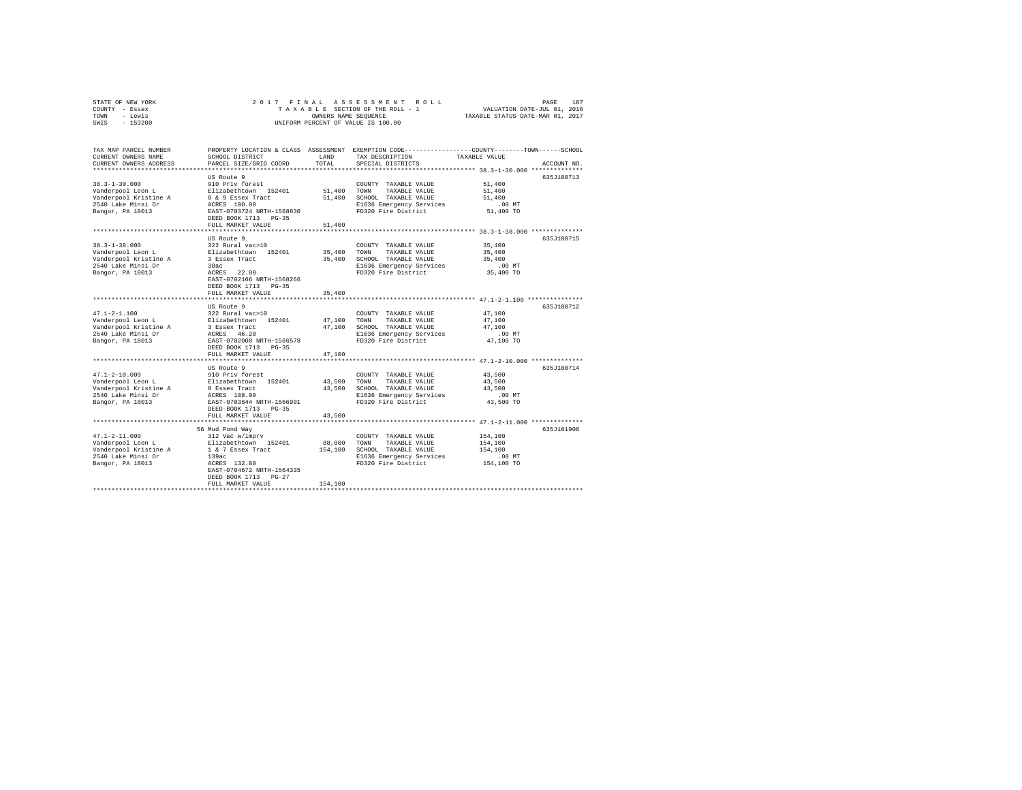| STATE OF NEW YORK<br>COUNTY - Essex<br>TOWN<br>- Lewis<br>SWIS<br>$-153200$ | 2017 FINAL                    | OWNERS NAME SEOUENCE | ASSESSMENT ROLL<br>TAXABLE SECTION OF THE ROLL - 1<br>UNIFORM PERCENT OF VALUE IS 100.00 | PAGE<br>VALUATION DATE-JUL 01, 2016<br>TAXABLE STATUS DATE-MAR 01, 2017                          | 187         |
|-----------------------------------------------------------------------------|-------------------------------|----------------------|------------------------------------------------------------------------------------------|--------------------------------------------------------------------------------------------------|-------------|
|                                                                             |                               |                      |                                                                                          |                                                                                                  |             |
| TAX MAP PARCEL NUMBER                                                       |                               |                      |                                                                                          | PROPERTY LOCATION & CLASS ASSESSMENT EXEMPTION CODE----------------COUNTY-------TOWN------SCHOOL |             |
| CURRENT OWNERS NAME                                                         | SCHOOL DISTRICT               | LAND                 | TAX DESCRIPTION                                                                          | TAXABLE VALUE                                                                                    |             |
| CURRENT OWNERS ADDRESS                                                      | PARCEL SIZE/GRID COORD        | TOTAL                | SPECIAL DISTRICTS                                                                        |                                                                                                  | ACCOUNT NO. |
|                                                                             | US Route 9                    |                      |                                                                                          |                                                                                                  | 635J100713  |
| $38.3 - 1 - 30.000$                                                         | 910 Priv forest               |                      | COUNTY TAXABLE VALUE                                                                     | 51,400                                                                                           |             |
| Vanderpool Leon L                                                           | Elizabethtown 152401          | 51,400               | TOWN<br>TAXABLE VALUE                                                                    | 51,400                                                                                           |             |
| Vanderpool Kristine A                                                       | 8 & 9 Essex Tract             | 51,400               | SCHOOL TAXABLE VALUE                                                                     | 51,400                                                                                           |             |
| 2540 Lake Minsi Dr                                                          | ACRES 100.00                  |                      | E1636 Emergency Services                                                                 | $.00$ MT                                                                                         |             |
| Bangor, PA 18013                                                            | EAST-0703724 NRTH-1568830     |                      | FD320 Fire District                                                                      | 51,400 TO                                                                                        |             |
|                                                                             | DEED BOOK 1713 PG-35          |                      |                                                                                          |                                                                                                  |             |
|                                                                             | FULL MARKET VALUE             | 51,400               |                                                                                          |                                                                                                  |             |
|                                                                             |                               |                      |                                                                                          |                                                                                                  |             |
|                                                                             | US Route 9                    |                      |                                                                                          |                                                                                                  | 635J100715  |
| $38.3 - 1 - 38.000$                                                         | 322 Rural vac>10              |                      | COUNTY TAXABLE VALUE                                                                     | 35,400                                                                                           |             |
| Vanderpool Leon L                                                           | Elizabethtown 152401          | 35,400               | TAXABLE VALUE<br>TOWN                                                                    | 35,400                                                                                           |             |
| Vanderpool Kristine A                                                       | 3 Essex Tract                 | 35,400               | SCHOOL TAXABLE VALUE                                                                     | 35,400                                                                                           |             |
| 2540 Lake Minsi Dr                                                          | 30ac<br>ACRES 22.80           |                      | E1636 Emergency Services<br>FD320 Fire District                                          | $.00$ MT<br>35,400 TO                                                                            |             |
| Bangor, PA 18013                                                            | EAST-0702166 NRTH-1568266     |                      |                                                                                          |                                                                                                  |             |
|                                                                             | DEED BOOK 1713 PG-35          |                      |                                                                                          |                                                                                                  |             |
|                                                                             | FULL MARKET VALUE             | 35,400               |                                                                                          |                                                                                                  |             |
|                                                                             |                               |                      |                                                                                          |                                                                                                  |             |
|                                                                             | US Route 9                    |                      |                                                                                          |                                                                                                  | 635J100712  |
| $47.1 - 2 - 1.100$                                                          | 322 Rural vac>10              |                      | COUNTY TAXABLE VALUE                                                                     | 47.100                                                                                           |             |
| Vanderpool Leon L                                                           | Elizabethtown 152401          | 47,100               | TOWN<br>TAXABLE VALUE                                                                    | 47,100                                                                                           |             |
| Vanderpool Kristine A                                                       | 3 Essex Tract                 | 47,100               | SCHOOL TAXABLE VALUE                                                                     | 47,100                                                                                           |             |
| 2540 Lake Minsi Dr                                                          | ACRES 46.20                   |                      | E1636 Emergency Services                                                                 | $.00$ MT                                                                                         |             |
| Bangor, PA 18013                                                            | EAST-0702000 NRTH-1566578     |                      | FD320 Fire District                                                                      | 47,100 TO                                                                                        |             |
|                                                                             | DEED BOOK 1713 PG-35          |                      |                                                                                          |                                                                                                  |             |
|                                                                             | FULL MARKET VALUE             | 47,100               |                                                                                          |                                                                                                  |             |
|                                                                             |                               |                      |                                                                                          |                                                                                                  |             |
| $47.1 - 2 - 10.000$                                                         | US Route 9<br>910 Priv forest |                      | COUNTY TAXABLE VALUE                                                                     | 43,500                                                                                           | 635J100714  |
| Vanderpool Leon L                                                           | Elizabethtown 152401          | 43,500               | TOWN<br>TAXABLE VALUE                                                                    | 43,500                                                                                           |             |
| Vanderpool Kristine A                                                       | 8 Essex Tract                 | 43,500               | SCHOOL TAXABLE VALUE                                                                     | 43,500                                                                                           |             |
| 2540 Lake Minsi Dr                                                          | ACRES 108.00                  |                      | E1636 Emergency Services                                                                 | $.00$ MT                                                                                         |             |
| Bangor, PA 18013                                                            | EAST-0703844 NRTH-1566901     |                      | FD320 Fire District                                                                      | 43,500 TO                                                                                        |             |
|                                                                             | DEED BOOK 1713 PG-35          |                      |                                                                                          |                                                                                                  |             |
|                                                                             | FULL MARKET VALUE             | 43,500               |                                                                                          |                                                                                                  |             |
|                                                                             |                               |                      |                                                                                          |                                                                                                  |             |
|                                                                             | 56 Mud Pond Way               |                      |                                                                                          |                                                                                                  | 635J101908  |
| $47.1 - 2 - 11.000$                                                         | 312 Vac w/imprv               |                      | COUNTY TAXABLE VALUE                                                                     | 154,100                                                                                          |             |
| Vanderpool Leon L                                                           | Elizabethtown 152401          | 88,000               | TOWN<br>TAXABLE VALUE                                                                    | 154,100                                                                                          |             |
| Vanderpool Kristine A                                                       | 1 & 7 Essex Tract             | 154,100              | SCHOOL TAXABLE VALUE                                                                     | 154,100                                                                                          |             |

Vanderpool Kristine A 16 (7 Essex Tract 154,100 SCHOOL TAXABLE VALUE 2010)<br>2540 Lake Minsi Dr 139ac<br>Bangor, PA 18013 ACRES 132.80<br>Bangor, PA 18013 ACRES 132.80<br>DEED BOOK 1713 PG-27<br>FIFED BOOK 1713 PG-27<br>ACRES 154,100 FD320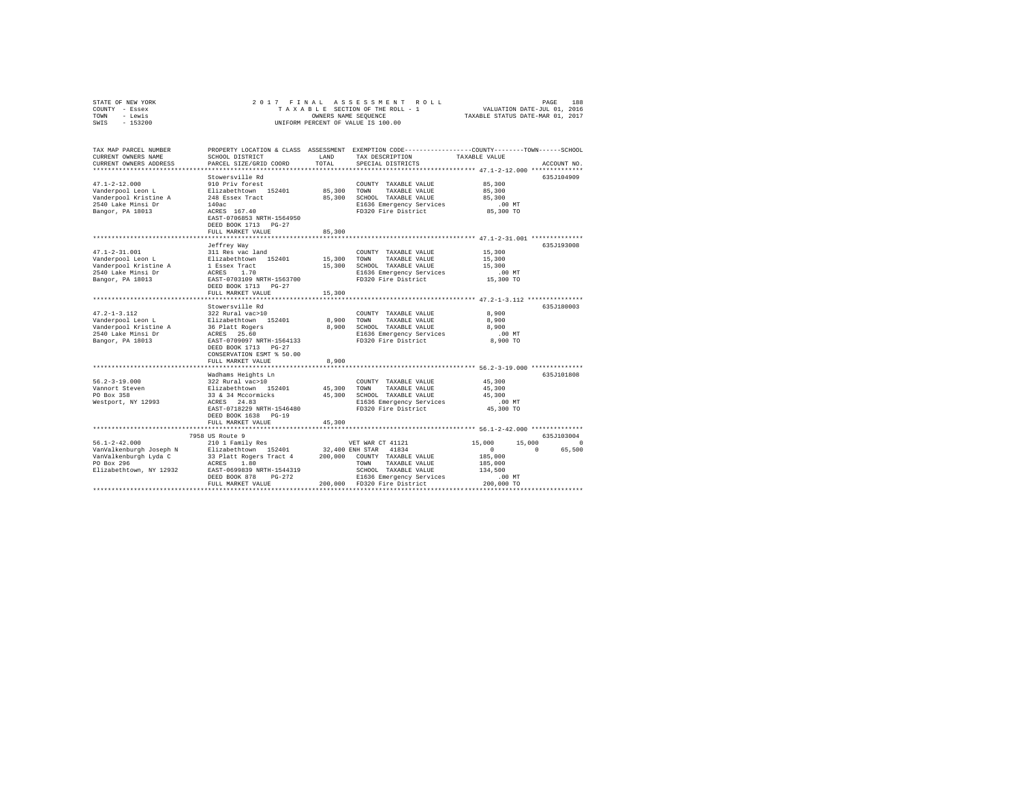| TOWN<br>- Lewis<br>$-153200$<br>SWIS         | OWNERS NAME SEQUENCE<br>UNIFORM PERCENT OF VALUE IS 100.00 |         |                                                                                                                     | TAXABLE STATUS DATE-MAR 01, 2017              |                    |
|----------------------------------------------|------------------------------------------------------------|---------|---------------------------------------------------------------------------------------------------------------------|-----------------------------------------------|--------------------|
|                                              |                                                            |         |                                                                                                                     |                                               |                    |
| TAX MAP PARCEL NUMBER<br>CURRENT OWNERS NAME | SCHOOL DISTRICT                                            | LAND    | PROPERTY LOCATION & CLASS ASSESSMENT EXEMPTION CODE----------------COUNTY-------TOWN------SCHOOL<br>TAX DESCRIPTION | TAXABLE VALUE                                 |                    |
| CURRENT OWNERS ADDRESS                       | PARCEL SIZE/GRID COORD                                     | TOTAL   | SPECIAL DISTRICTS                                                                                                   |                                               | ACCOUNT NO.        |
|                                              |                                                            |         |                                                                                                                     |                                               |                    |
|                                              | Stowersville Rd                                            |         |                                                                                                                     |                                               | 635J104909         |
| $47.1 - 2 - 12.000$                          | 910 Priv forest                                            |         | COUNTY TAXABLE VALUE                                                                                                | 85,300                                        |                    |
| Vanderpool Leon L                            | Elizabethtown 152401                                       | 85,300  | TOWN<br>TAXABLE VALUE                                                                                               | 85,300                                        |                    |
| Vanderpool Kristine A                        | 248 Essex Tract                                            | 85,300  | SCHOOL TAXABLE VALUE                                                                                                | 85,300                                        |                    |
| 2540 Lake Minsi Dr                           | 140ac                                                      |         | E1636 Emergency Services                                                                                            | .00MT                                         |                    |
| Bangor, PA 18013                             | ACRES 167.40                                               |         | FD320 Fire District                                                                                                 | 85,300 TO                                     |                    |
|                                              | EAST-0706853 NRTH-1564950                                  |         |                                                                                                                     |                                               |                    |
|                                              | DEED BOOK 1713 PG-27                                       |         |                                                                                                                     |                                               |                    |
|                                              | FULL MARKET VALUE                                          | 85,300  |                                                                                                                     |                                               |                    |
|                                              |                                                            |         |                                                                                                                     |                                               | 635J193008         |
| $47.1 - 2 - 31.001$                          | Jeffrey Way<br>311 Res vac land                            |         | COUNTY TAXABLE VALUE                                                                                                | 15,300                                        |                    |
| Vanderpool Leon L                            | Elizabethtown 152401                                       | 15,300  | TOWN<br>TAXABLE VALUE                                                                                               | 15,300                                        |                    |
| Vanderpool Kristine A                        | 1 Essex Tract                                              | 15,300  | SCHOOL TAXABLE VALUE                                                                                                | 15,300                                        |                    |
| 2540 Lake Minsi Dr                           | ACRES<br>1.70                                              |         | E1636 Emergency Services                                                                                            | $.00$ MT                                      |                    |
| Bangor, PA 18013                             | EAST-0703109 NRTH-1563700                                  |         | FD320 Fire District                                                                                                 | 15,300 TO                                     |                    |
|                                              | DEED BOOK 1713 PG-27                                       |         |                                                                                                                     |                                               |                    |
|                                              | FULL MARKET VALUE                                          | 15,300  |                                                                                                                     |                                               |                    |
|                                              |                                                            |         | ********************************* 47.2-1-3.112 ****************                                                     |                                               |                    |
|                                              | Stowersville Rd                                            |         |                                                                                                                     |                                               | 635J180003         |
| $47.2 - 1 - 3.112$                           | 322 Rural vac>10                                           |         | COUNTY TAXABLE VALUE                                                                                                | 8,900                                         |                    |
| Vanderpool Leon L                            | Elizabethtown 152401                                       | 8,900   | TOWN<br>TAXABLE VALUE                                                                                               | 8,900                                         |                    |
| Vanderpool Kristine A                        | 36 Platt Rogers                                            | 8,900   | SCHOOL TAXABLE VALUE                                                                                                | 8,900                                         |                    |
| 2540 Lake Minsi Dr<br>Bangor, PA 18013       | ACRES 25.60<br>EAST-0709097 NRTH-1564133                   |         | E1636 Emergency Services<br>FD320 Fire District                                                                     | $.00$ MT<br>8,900 TO                          |                    |
|                                              | DEED BOOK 1713 PG-27                                       |         |                                                                                                                     |                                               |                    |
|                                              | CONSERVATION ESMT % 50.00                                  |         |                                                                                                                     |                                               |                    |
|                                              | FULL MARKET VALUE                                          | 8,900   |                                                                                                                     |                                               |                    |
|                                              |                                                            |         |                                                                                                                     |                                               |                    |
|                                              | Wadhams Heights Ln                                         |         |                                                                                                                     |                                               | 635J101808         |
| $56.2 - 3 - 19.000$                          | 322 Rural vac>10                                           |         | COUNTY TAXABLE VALUE                                                                                                | 45,300                                        |                    |
| Vannort Steven                               | Elizabethtown 152401                                       | 45,300  | TOWN<br>TAXABLE VALUE                                                                                               | 45,300                                        |                    |
| PO Box 358                                   | 33 & 34 Mccormicks                                         | 45,300  | SCHOOL TAXABLE VALUE                                                                                                | 45,300                                        |                    |
| Westport, NY 12993                           | ACRES 24.83                                                |         | E1636 Emergency Services                                                                                            | $.00$ MT                                      |                    |
|                                              | EAST-0718229 NRTH-1546480                                  |         | FD320 Fire District                                                                                                 | 45,300 TO                                     |                    |
|                                              | DEED BOOK 1638 PG-19                                       |         |                                                                                                                     |                                               |                    |
|                                              | FULL MARKET VALUE<br>.                                     | 45,300  |                                                                                                                     |                                               |                    |
|                                              | 7958 US Route 9                                            |         |                                                                                                                     | *************** 56.1-2-42.000 *************** | 635J103004         |
| $56.1 - 2 - 42.000$                          |                                                            |         | VET WAR CT 41121                                                                                                    | 15,000<br>15,000                              |                    |
| VanValkenburgh Joseph N                      | 210 1 Family Res<br>Elizabethtown 152401                   |         | 32,400 ENH STAR 41834                                                                                               | $^{\circ}$                                    | $\Omega$<br>65,500 |
| VanValkenburgh Lyda C                        | 33 Platt Rogers Tract 4                                    | 200,000 | COUNTY TAXABLE VALUE                                                                                                | 185,000                                       |                    |
| PO Box 296                                   | 1.80<br>ACRES                                              |         | TOWN<br>TAXABLE VALUE                                                                                               | 185,000                                       |                    |
| Elizabethtown, NY 12932                      | EAST-0699839 NRTH-1544319                                  |         | SCHOOL TAXABLE VALUE                                                                                                | 134,500                                       |                    |
|                                              | DEED BOOK 878<br>$PG-272$                                  |         | E1636 Emergency Services                                                                                            | .00MT                                         |                    |
|                                              | FULL MARKET VALUE                                          |         | 200,000 FD320 Fire District                                                                                         | 200,000 TO                                    |                    |
|                                              |                                                            |         |                                                                                                                     |                                               |                    |

STATE OF NEW YORK 2 0 1 7 F I N A L A S S E S S M E N T R O L L PAGE 188 COUNTY - Essex T A X A B L E SECTION OF THE ROLL - 1 VALUATION DATE-JUL 01, 2016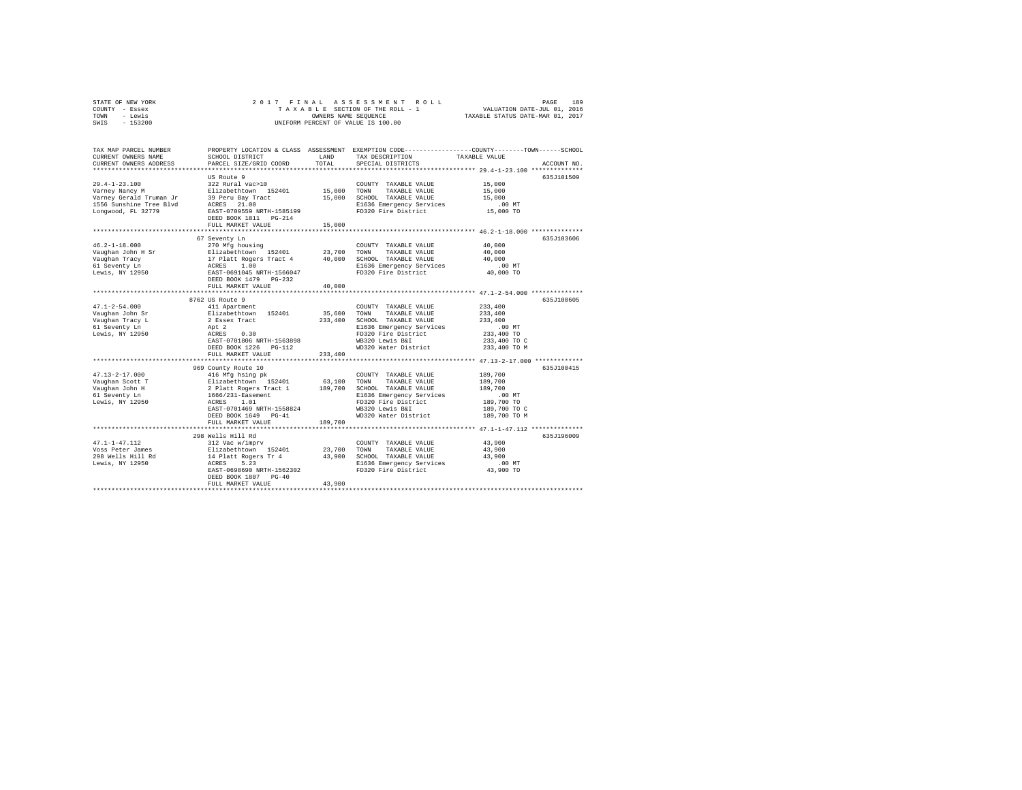| STATE OF NEW YORK<br>COUNTY<br>- Essex<br>- Lewis<br>TOWN<br>$-153200$<br>SWIS              |                                                                                               |                             | 2017 FINAL ASSESSMENT ROLL<br>TAXABLE SECTION OF THE ROLL - 1<br>OWNERS NAME SEOUENCE<br>UNIFORM PERCENT OF VALUE IS 100.00 | 189<br>PAGE<br>VALUATION DATE-JUL 01, 2016<br>TAXABLE STATUS DATE-MAR 01, 2017              |
|---------------------------------------------------------------------------------------------|-----------------------------------------------------------------------------------------------|-----------------------------|-----------------------------------------------------------------------------------------------------------------------------|---------------------------------------------------------------------------------------------|
| TAX MAP PARCEL NUMBER<br>CURRENT OWNERS NAME<br>CURRENT OWNERS ADDRESS                      | PROPERTY LOCATION & CLASS<br>SCHOOL DISTRICT<br>PARCEL SIZE/GRID COORD                        | ASSESSMENT<br>LAND<br>TOTAL | TAX DESCRIPTION<br>SPECIAL DISTRICTS                                                                                        | EXEMPTION CODE----------------COUNTY-------TOWN------SCHOOL<br>TAXABLE VALUE<br>ACCOUNT NO. |
| $29.4 - 1 - 23.100$<br>Varney Nancy M<br>Varney Gerald Truman Jr<br>1556 Sunshine Tree Blyd | US Route 9<br>322 Rural vac>10<br>Elizabethtown 152401<br>39 Peru Bay Tract<br>21.00<br>ACRES | 15,000<br>15,000            | COUNTY<br>TAXABLE VALUE<br>TOWN<br>TAXABLE VALUE<br>SCHOOL<br>TAXABLE VALUE<br>E1636 Emergency Services                     | 635.T101509<br>15,000<br>15,000<br>15,000<br>.00MT                                          |

| Lonqwood, FL 32779               | EAST-0709559 NRTH-1585199<br>DEED BOOK 1811    PG-214<br>FULL MARKET VALUE | 15,000  | FD320 Fire District                           | 15,000 TO          |            |
|----------------------------------|----------------------------------------------------------------------------|---------|-----------------------------------------------|--------------------|------------|
|                                  |                                                                            |         |                                               |                    |            |
|                                  | 67 Seventy Ln                                                              |         |                                               |                    | 635J103606 |
| $46.2 - 1 - 18.000$              | 270 Mfg housing                                                            |         | COUNTY TAXABLE VALUE                          | 40,000             |            |
| Vaughan John H Sr                | Elizabethtown 152401                                                       | 23,700  | TAXABLE VALUE<br>TOWN                         | 40,000             |            |
| Vaughan Tracy                    | 17 Platt Rogers Tract 4                                                    | 40,000  | SCHOOL TAXABLE VALUE                          | 40,000             |            |
| 61 Seventy Ln                    | 1.00<br>ACRES                                                              |         | E1636 Emergency Services                      | .00MT              |            |
| Lewis, NY 12950                  | EAST-0691045 NRTH-1566047<br>DEED BOOK 1479 PG-232                         |         | FD320 Fire District                           | 40,000 TO          |            |
|                                  | FULL MARKET VALUE                                                          | 40,000  |                                               |                    |            |
|                                  |                                                                            |         |                                               |                    |            |
|                                  | 8762 US Route 9                                                            |         |                                               |                    | 635J100605 |
| $47.1 - 2 - 54.000$              | 411 Apartment<br>Elizabethtown 152401                                      | 35,600  | COUNTY TAXABLE VALUE<br>TOWN<br>TAXABLE VALUE | 233,400<br>233,400 |            |
| Vaughan John Sr                  |                                                                            |         | SCHOOL TAXABLE VALUE                          |                    |            |
| Vaughan Tracy L<br>61 Seventy Ln | 2 Essex Tract<br>Apt 2                                                     | 233,400 | E1636 Emergency Services                      | 233,400<br>.00MT   |            |
| Lewis, NY 12950                  | ACRES<br>0.30                                                              |         | FD320 Fire District                           | 233,400 TO         |            |
|                                  | EAST-0701806 NRTH-1563898                                                  |         | WB320 Lewis B&I                               | 233,400 TO C       |            |
|                                  |                                                                            |         |                                               |                    |            |
|                                  | DEED BOOK 1226<br>$PG-112$<br>FULL MARKET VALUE                            | 233,400 | WD320 Water District                          | 233,400 TO M       |            |
|                                  |                                                                            |         |                                               |                    |            |
|                                  | 969 County Route 10                                                        |         |                                               |                    | 635J100415 |
| $47.13 - 2 - 17.000$             | 416 Mfg hsing pk                                                           |         | COUNTY TAXABLE VALUE                          | 189,700            |            |
| Vaughan Scott T                  | Elizabethtown 152401                                                       | 63,100  | TOWN<br>TAXABLE VALUE                         | 189,700            |            |
| Vaughan John H                   | 2 Platt Rogers Tract 1                                                     | 189,700 | SCHOOL TAXABLE VALUE                          | 189,700            |            |
| 61 Seventy Ln                    | 1666/231-Easement                                                          |         | E1636 Emergency Services                      | $.00$ MT           |            |
| Lewis, NY 12950                  | ACRES<br>1.01                                                              |         | FD320 Fire District                           | 189,700 TO         |            |
|                                  | EAST-0701469 NRTH-1558824                                                  |         | WB320 Lewis B&I                               | 189,700 TO C       |            |
|                                  | DEED BOOK 1649 PG-41                                                       |         | WD320 Water District                          | 189,700 TO M       |            |
|                                  | FULL MARKET VALUE                                                          | 189,700 |                                               |                    |            |
|                                  | ******************************                                             |         |                                               |                    |            |
|                                  | 298 Wells Hill Rd                                                          |         |                                               |                    | 635J196009 |
| $47.1 - 1 - 47.112$              | 312 Vac w/imprv                                                            |         | COUNTY TAXABLE VALUE                          | 43,900             |            |
| Voss Peter James                 | Elizabethtown 152401                                                       | 23,700  | TOWN<br>TAXABLE VALUE                         | 43,900             |            |
| 298 Wells Hill Rd                | 14 Platt Rogers Tr 4                                                       | 43,900  | SCHOOL TAXABLE VALUE                          | 43,900             |            |
| Lewis, NY 12950                  | ACRES<br>5.23                                                              |         | E1636 Emergency Services                      | $.00$ MT           |            |
|                                  | EAST-0698690 NRTH-1562302                                                  |         | FD320 Fire District                           | 43,900 TO          |            |
|                                  | DEED BOOK 1807 PG-40                                                       |         |                                               |                    |            |
|                                  | FULL MARKET VALUE                                                          | 43,900  |                                               |                    |            |
|                                  |                                                                            |         |                                               |                    |            |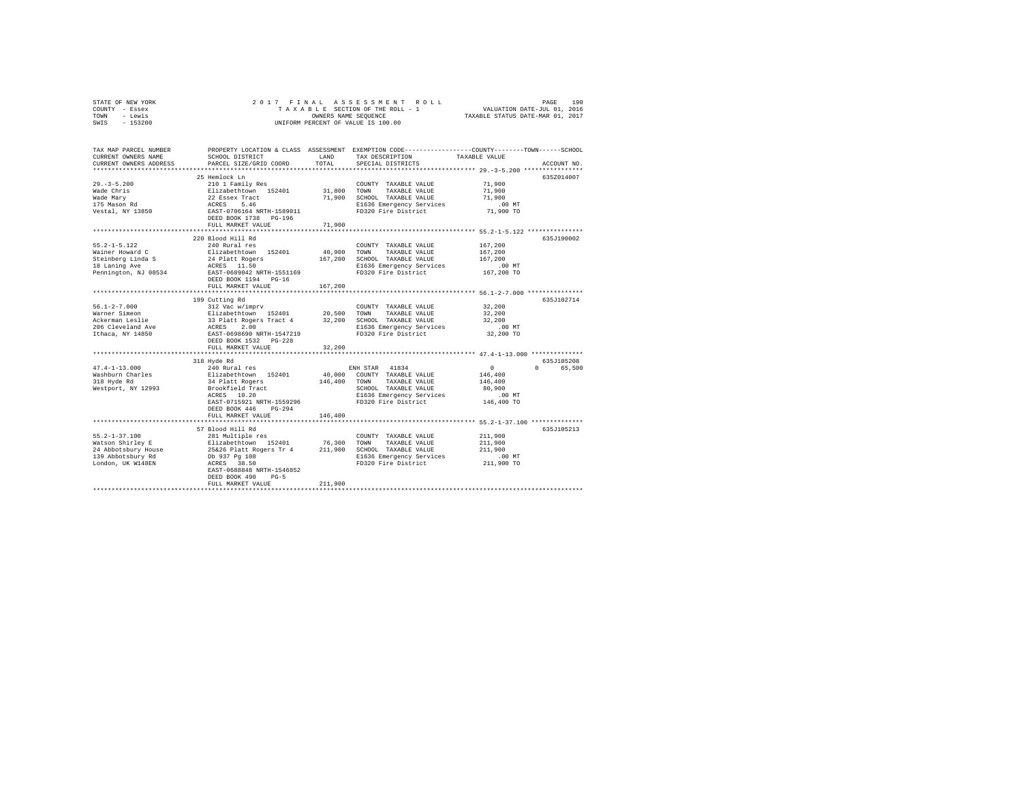| STATE OF NEW YORK | 2017 FINAL ASSESSMENT ROLL         | 190<br>PAGE                      |
|-------------------|------------------------------------|----------------------------------|
| COUNTY - Essex    | TAXABLE SECTION OF THE ROLL - 1    | VALUATION DATE-JUL 01, 2016      |
| TOWN<br>- Lewis   | OWNERS NAME SEOUENCE               | TAXABLE STATUS DATE-MAR 01, 2017 |
| $-153200$<br>SWIS | UNIFORM PERCENT OF VALUE IS 100.00 |                                  |

| TAX MAP PARCEL NUMBER<br>CURRENT OWNERS NAME<br>CURRENT OWNERS ADDRESS | SCHOOL DISTRICT<br>PARCEL SIZE/GRID COORD                                           | LAND<br>TOTAL | TAX DESCRIPTION<br>SPECIAL DISTRICTS            | PROPERTY LOCATION & CLASS ASSESSMENT EXEMPTION CODE---------------COUNTY-------TOWN-----SCHOOL<br>TAXABLE VALUE<br>ACCOUNT NO. |
|------------------------------------------------------------------------|-------------------------------------------------------------------------------------|---------------|-------------------------------------------------|--------------------------------------------------------------------------------------------------------------------------------|
|                                                                        |                                                                                     |               |                                                 |                                                                                                                                |
|                                                                        | 25 Hemlock Ln                                                                       |               |                                                 | 635Z014007                                                                                                                     |
| $29. - 3 - 5.200$                                                      | 210 1 Family Res                                                                    |               | COUNTY TAXABLE VALUE                            | 71,900                                                                                                                         |
| Wade Chris                                                             | Elizabethtown 152401                                                                | 31,800        | TOWN<br>TAXABLE VALUE                           | 71,900                                                                                                                         |
| Wade Mary                                                              | 22 Essex Tract                                                                      | 71,900        | SCHOOL TAXABLE VALUE                            | 71,900                                                                                                                         |
| 175 Mason Rd                                                           | ACRES 5.46                                                                          |               | E1636 Emergency Services                        | $.00$ MT                                                                                                                       |
| Vestal, NY 13850                                                       | EAST-0706164 NRTH-1589011                                                           |               | FD320 Fire District                             | 71,900 TO                                                                                                                      |
|                                                                        | DEED BOOK 1738 PG-196                                                               |               |                                                 |                                                                                                                                |
|                                                                        | FULL MARKET VALUE                                                                   | 71,900        |                                                 |                                                                                                                                |
|                                                                        |                                                                                     |               |                                                 |                                                                                                                                |
|                                                                        | 220 Blood Hill Rd                                                                   |               |                                                 | 635J190002                                                                                                                     |
| $55.2 - 1 - 5.122$                                                     | 240 Rural res                                                                       |               | COUNTY TAXABLE VALUE                            | 167,200                                                                                                                        |
| Wainer Howard C                                                        |                                                                                     | 40,900        | TOWN<br>TAXABLE VALUE                           | 167,200                                                                                                                        |
| Steinberg Linda S                                                      |                                                                                     | 167,200       | SCHOOL TAXABLE VALUE                            | 167,200                                                                                                                        |
| 18 Laning Ave                                                          | Elizabethtown 152401<br>24 Platt Rogers<br>ACRES 11.50<br>EAST-0689042 NRTH-1551169 |               | E1636 Emergency Services                        | $.00$ MT                                                                                                                       |
| Pennington, NJ 08534                                                   |                                                                                     |               | FD320 Fire District                             | 167,200 TO                                                                                                                     |
|                                                                        | DEED BOOK 1194 PG-16                                                                |               |                                                 |                                                                                                                                |
|                                                                        | FULL MARKET VALUE                                                                   | 167.200       |                                                 |                                                                                                                                |
|                                                                        |                                                                                     |               |                                                 |                                                                                                                                |
|                                                                        | 199 Cutting Rd                                                                      |               |                                                 | 635J102714                                                                                                                     |
| $56.1 - 2 - 7.000$                                                     | 312 Vac w/imprv                                                                     |               | COUNTY TAXABLE VALUE                            | 32,200                                                                                                                         |
| Warner Simeon                                                          | Elizabethtown 152401<br>33 Platt Rogers Tract 4                                     | 20,500        | TOWN<br>TAXABLE VALUE                           | 32,200                                                                                                                         |
| Ackerman Leslie<br>206 Cleveland Ave                                   |                                                                                     | 32,200        | SCHOOL TAXABLE VALUE                            | 32,200<br>$.00$ MT                                                                                                             |
| Ithaca, NY 14850                                                       | ACRES 2.00<br>EAST-0698690 NRTH-1547219                                             |               | E1636 Emergency Services<br>FD320 Fire District | 32,200 TO                                                                                                                      |
|                                                                        |                                                                                     |               |                                                 |                                                                                                                                |
|                                                                        | DEED BOOK 1532 PG-228<br>FULL MARKET VALUE                                          | 32,200        |                                                 |                                                                                                                                |
|                                                                        | *************************                                                           |               |                                                 | *********** 47.4-1-13.000 ***************                                                                                      |
|                                                                        | 318 Hyde Rd                                                                         |               |                                                 | 635J105208                                                                                                                     |
| $47.4 - 1 - 13.000$                                                    | 240 Rural res                                                                       |               | ENH STAR 41834                                  | $\sim$ 0<br>$\Omega$<br>65,500                                                                                                 |
| Washburn Charles                                                       | Elizabethtown 152401                                                                | 40,000        | COUNTY TAXABLE VALUE                            | 146,400                                                                                                                        |
| 318 Hyde Rd                                                            | 34 Platt Rogers                                                                     | 146,400       | TOWN<br>TAXABLE VALUE                           | 146,400                                                                                                                        |
| Westport, NY 12993                                                     | Brookfield Tract                                                                    |               | SCHOOL TAXABLE VALUE                            | 80,900                                                                                                                         |
|                                                                        | ACRES 10.20                                                                         |               | E1636 Emergency Services                        | .00 MT                                                                                                                         |
|                                                                        | EAST-0715921 NRTH-1559296                                                           |               | FD320 Fire District                             | 146,400 TO                                                                                                                     |
|                                                                        | DEED BOOK 446<br>$PG-294$                                                           |               |                                                 |                                                                                                                                |
|                                                                        | FULL MARKET VALUE                                                                   | 146,400       |                                                 |                                                                                                                                |
|                                                                        |                                                                                     |               |                                                 |                                                                                                                                |
|                                                                        | 57 Blood Hill Rd                                                                    |               |                                                 | 635J105213                                                                                                                     |
| $55.2 - 1 - 37.100$                                                    | 281 Multiple res                                                                    |               | COUNTY TAXABLE VALUE                            | 211,900                                                                                                                        |
| Watson Shirley E                                                       |                                                                                     |               | TOWN<br>TAXABLE VALUE                           | 211,900                                                                                                                        |
| 24 Abbotsbury House                                                    | Elizabethtown 152401 76,300<br>25&26 Platt Rogers Tr 4 211,900                      |               | SCHOOL TAXABLE VALUE                            | 211,900                                                                                                                        |
| 139 Abbotsbury Rd                                                      |                                                                                     |               | E1636 Emergency Services                        | $.00$ MT                                                                                                                       |
| London, UK W148EN                                                      | Db 937 Pg 108<br>ACRES 38.50                                                        |               | FD320 Fire District                             | 211,900 TO                                                                                                                     |
|                                                                        | EAST-0688848 NRTH-1546852                                                           |               |                                                 |                                                                                                                                |
|                                                                        | DEED BOOK 490<br>$PG-5$                                                             |               |                                                 |                                                                                                                                |
|                                                                        | FULL MARKET VALUE                                                                   | 211,900       |                                                 |                                                                                                                                |
|                                                                        |                                                                                     |               |                                                 |                                                                                                                                |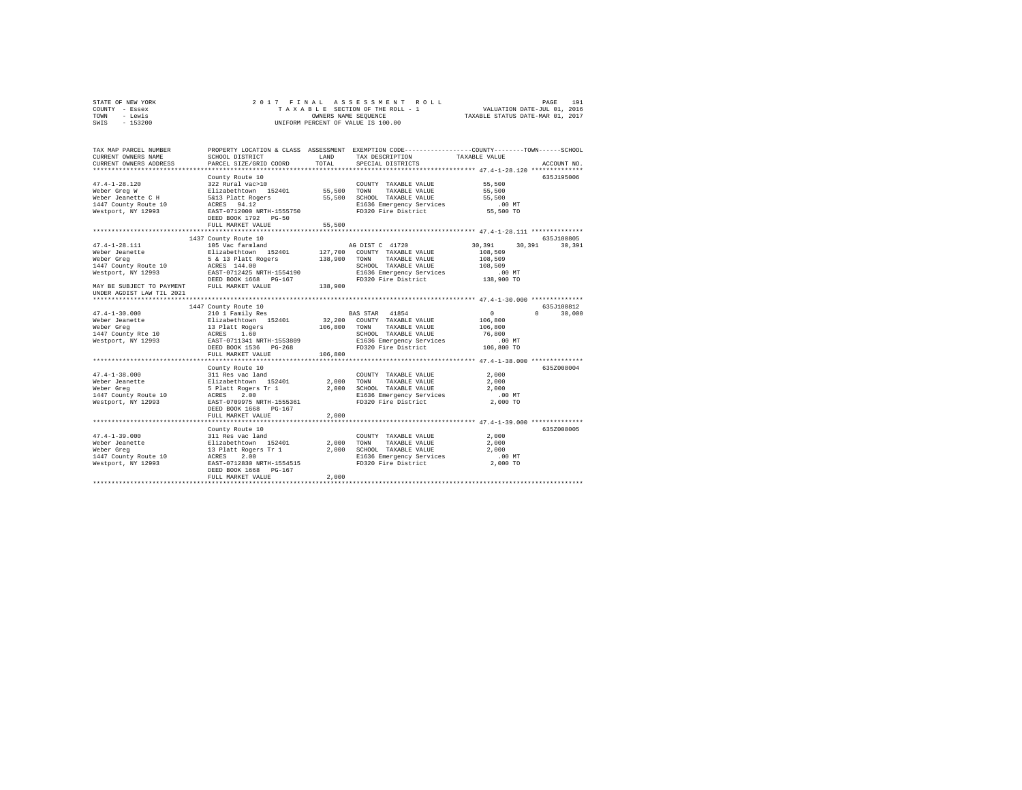|                | STATE OF NEW YORK |  | 2017 FINAL ASSESSMENT ROLL         |                                  | PAGE | 191 |
|----------------|-------------------|--|------------------------------------|----------------------------------|------|-----|
| COUNTY - Essex |                   |  | TAXABLE SECTION OF THE ROLL - 1    | VALUATION DATE-JUL 01, 2016      |      |     |
| TOWN           | - Lewis           |  | OWNERS NAME SEOUENCE               | TAXABLE STATUS DATE-MAR 01, 2017 |      |     |
| SWIS - 153200  |                   |  | UNIFORM PERCENT OF VALUE IS 100.00 |                                  |      |     |
|                |                   |  |                                    |                                  |      |     |

| PROPERTY LOCATION & CLASS ASSESSMENT EXEMPTION CODE---------------COUNTY-------TOWN-----SCHOOL<br>TAX MAP PARCEL NUMBER                                                                        |                                 |
|------------------------------------------------------------------------------------------------------------------------------------------------------------------------------------------------|---------------------------------|
| CURRENT OWNERS NAME<br>SCHOOL DISTRICT<br>LAND<br>TAX DESCRIPTION<br>TAXABLE VALUE                                                                                                             |                                 |
| TOTAL<br>CURRENT OWNERS ADDRESS<br>PARCEL SIZE/GRID COORD<br>SPECIAL DISTRICTS                                                                                                                 | ACCOUNT NO.                     |
|                                                                                                                                                                                                |                                 |
| County Route 10                                                                                                                                                                                | 635J195006                      |
| 55,500<br>$47.4 - 1 - 28.120$<br>322 Rural vac>10<br>COUNTY TAXABLE VALUE<br>COUNT<br>55,500 TOWN                                                                                              |                                 |
| Elizabethtown 152401<br>Weber Grea W<br>TAXABLE VALUE<br>55,500                                                                                                                                |                                 |
| 55,500 SCHOOL TAXABLE VALUE<br>55,500                                                                                                                                                          |                                 |
| Weber Jeanette C H – Estable Hattle Press (Selate Teamette C H<br>1447 County Route 10 – ACRES – 94.12<br>Mestport, NY 12993 – EAST-0712000 NRTH-1555750<br>E1636 Emergency Services<br>.00 MT |                                 |
| FD320 Fire District 55,500 TO                                                                                                                                                                  |                                 |
| DEED BOOK 1792 PG-50                                                                                                                                                                           |                                 |
| 55,500<br>FULL MARKET VALUE                                                                                                                                                                    |                                 |
|                                                                                                                                                                                                |                                 |
| 1437 County Route 10                                                                                                                                                                           | 635J100805                      |
| $47.4 - 1 - 28.111$<br>30.391<br>105 Vac farmland<br>AG DIST C 41720                                                                                                                           | 30,391<br>30,391                |
| 127,700 COUNTY TAXABLE VALUE<br>108,509                                                                                                                                                        |                                 |
| 138,900 TOWN<br>TAXABLE VALUE<br>108,509                                                                                                                                                       |                                 |
| SCHOOL TAXABLE VALUE<br>108,509                                                                                                                                                                |                                 |
|                                                                                                                                                                                                |                                 |
| 138,900<br>DEED BOOK 1668 PG-167                                                                                                                                                               |                                 |
| MAY BE SUBJECT TO PAYMENT<br>FULL MARKET VALUE                                                                                                                                                 |                                 |
| UNDER AGDIST LAW TIL 2021                                                                                                                                                                      |                                 |
|                                                                                                                                                                                                |                                 |
| 1447 County Route 10                                                                                                                                                                           | 635.7100812                     |
| $\sim$ 0 $\sim$<br>BAS STAR 41854<br>$47.4 - 1 - 30.000$<br>210 1 Family Res                                                                                                                   | $\Omega$ and $\Omega$<br>30,000 |
| 32.200 COUNTY TAXABLE VALUE<br>Elizabethtown 152401<br>13 Platt Rogers<br>Weber Jeanette<br>106,800                                                                                            |                                 |
| 106,800 TOWN TAXABLE VALUE<br>Weber Grea<br>106,800                                                                                                                                            |                                 |
| 1447 County Rte 10<br>ACRES 1.60<br>EAST-0711341 NRTH-1553809<br>SCHOOL TAXABLE VALUE<br>E1636 Emergency Services<br>76,800                                                                    |                                 |
| .00 MT<br>Westport, NY 12993                                                                                                                                                                   |                                 |
| FD320 Fire District 106,800 TO<br>DEED BOOK 1536 PG-268                                                                                                                                        |                                 |
| 106,800<br>FULL MARKET VALUE                                                                                                                                                                   |                                 |
|                                                                                                                                                                                                |                                 |
| County Route 10                                                                                                                                                                                | 635Z008004                      |
| $47.4 - 1 - 38.000$<br>311 Res vac land<br>2,000<br>COUNTY TAXABLE VALUE                                                                                                                       |                                 |
| 511 Res vac 1 and<br>Elizabethtown 152401<br>5 Platt Rogers Tr 1<br>ACRES 2.00<br>Weber Jeanette<br>2,000 TOWN<br>2,000<br>TAXABLE VALUE                                                       |                                 |
| Weber Greg<br>2,000<br>SCHOOL TAXABLE VALUE<br>E1636 Emergency Services<br>2,000                                                                                                               |                                 |
| 1447 County Route 10<br>$.00$ MT<br>FD320 Fire District<br>2,000 TO                                                                                                                            |                                 |
| Westport, NY 12993 EAST-0709975 NRTH-1555361<br>DEED BOOK 1668 PG-167                                                                                                                          |                                 |
| 2,000<br>FULL MARKET VALUE                                                                                                                                                                     |                                 |
|                                                                                                                                                                                                |                                 |
| County Route 10                                                                                                                                                                                | 635Z008005                      |
| 2,000<br>COUNTY TAXABLE VALUE                                                                                                                                                                  |                                 |
| 2,000<br>TOWN<br>TAXABLE VALUE<br>2,000                                                                                                                                                        |                                 |
| 2,000 SCHOOL TAXABLE VALUE<br>2,000                                                                                                                                                            |                                 |
| E1636 Emergency Services<br>$.00$ MT                                                                                                                                                           |                                 |
| FD320 Fire District<br>2,000 TO                                                                                                                                                                |                                 |
|                                                                                                                                                                                                |                                 |
|                                                                                                                                                                                                |                                 |
| DEED BOOK 1668 PG-167<br>2,000<br>FULL MARKET VALUE                                                                                                                                            |                                 |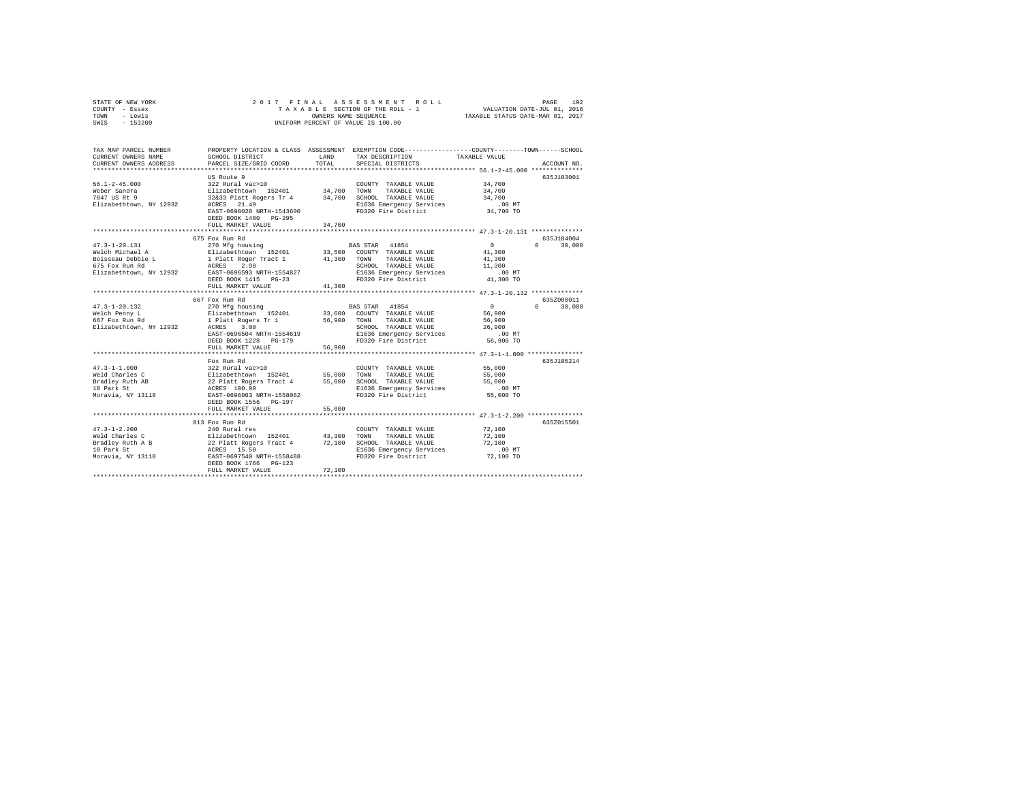|      | STATE OF NEW YORK |  |  | 2017 FINAL ASSESSMENT ROLL         | 192<br>PAGE                      |  |
|------|-------------------|--|--|------------------------------------|----------------------------------|--|
|      | COUNTY - Essex    |  |  | TAXABLE SECTION OF THE ROLL - 1    | VALUATION DATE-JUL 01, 2016      |  |
| TOWN | - Lewis           |  |  | OWNERS NAME SEOUENCE               | TAXABLE STATUS DATE-MAR 01, 2017 |  |
| SWIS | - 153200          |  |  | UNIFORM PERCENT OF VALUE IS 100.00 |                                  |  |

| TAX MAP PARCEL NUMBER<br>CURRENT OWNERS NAME<br>CURRENT OWNERS ADDRESS                                   | PROPERTY LOCATION & CLASS ASSESSMENT<br>SCHOOL DISTRICT<br>PARCEL SIZE/GRID COORD                                                                                                                       | LAND<br>TOTAL              | EXEMPTION CODE----------------COUNTY-------TOWN-----SCHOOL<br>TAX DESCRIPTION<br>SPECIAL DISTRICTS                                                                                              | TAXABLE VALUE                                                                                                       | ACCOUNT NO.                      |
|----------------------------------------------------------------------------------------------------------|---------------------------------------------------------------------------------------------------------------------------------------------------------------------------------------------------------|----------------------------|-------------------------------------------------------------------------------------------------------------------------------------------------------------------------------------------------|---------------------------------------------------------------------------------------------------------------------|----------------------------------|
| $56.1 - 2 - 45.000$<br>Weber Sandra<br>7847 US Rt 9<br>Elizabethtown, NY 12932                           | US Route 9<br>322 Rural vac>10<br>Elizabethtown 152401<br>32&33 Platt Rogers Tr 4<br>ACRES 21.49<br>EAST-0698028 NRTH-1543600<br>DEED BOOK 1480 PG-295<br>FULL MARKET VALUE<br>************************ | 34,700<br>34,700<br>34,700 | COUNTY TAXABLE VALUE<br>TOWN<br>TAXABLE VALUE<br>SCHOOL TAXABLE VALUE<br>E1636 Emergency Services<br>FD320 Fire District                                                                        | 34,700<br>34,700<br>34,700<br>$.00$ MT<br>34,700 TO<br>***************** 47.3-1-20.131 *************                | 635J103001                       |
| $47.3 - 1 - 20.131$<br>Welch Michael A<br>Boisseau Debbie L<br>675 Fox Run Rd<br>Elizabethtown, NY 12932 | 675 Fox Run Rd<br>270 Mfg housing<br>Elizabethtown 152401<br>1 Platt Roger Tract 1<br>2.90<br>ACRES<br>EAST-0696593 NRTH-1554827<br>DEED BOOK 1415 PG-23<br>FULL MARKET VALUE<br>.                      | 41,300<br>41,300           | BAS STAR 41854<br>33,500 COUNTY TAXABLE VALUE<br>TOWN<br>TAXABLE VALUE<br>SCHOOL TAXABLE VALUE<br>E1636 Emergency Services<br>FD320 Fire District                                               | $\circ$<br>41,300<br>41,300<br>11,300<br>$.00$ MT<br>41,300 TO                                                      | 635J184004<br>$\cap$<br>30,000   |
| $47.3 - 1 - 20.132$<br>Welch Penny L<br>667 Fox Run Rd<br>Elizabethtown, NY 12932                        | 667 Fox Run Rd<br>270 Mfg housing<br>Elizabethtown 152401<br>1 Platt Rogers Tr 1<br>ACRES<br>3.00<br>EAST-0696504 NRTH-1554619<br>DEED BOOK 1228 PG-179<br>FULL MARKET VALUE                            | 56,900<br>56,900           | BAS STAR 41854<br>33,600 COUNTY TAXABLE VALUE<br>TOWN<br>TAXABLE VALUE<br>SCHOOL TAXABLE VALUE<br>E1636 Emergency Services<br>FD320 Fire District                                               | **************** 47.3-1-20.132 **************<br>$\overline{0}$<br>56,900<br>56,900<br>26,900<br>.00MT<br>56,900 TO | 635Z000011<br>$\Omega$<br>30,000 |
| $47.3 - 1 - 1.000$<br>Weld Charles C<br>Bradley Ruth AB<br>18 Park St<br>Moravia, NY 13118               | Fox Run Rd<br>322 Rural vac>10<br>Elizabethtown 152401<br>22 Platt Rogers Tract 4<br>ACRES 100.00<br>EAST-0696063 NRTH-1558062<br>DEED BOOK 1556 PG-197<br>FULL MARKET VALUE                            | 55,000<br>55,000<br>55,000 | COUNTY TAXABLE VALUE<br><b>TOWN</b><br>TAXABLE VALUE<br>SCHOOL TAXABLE VALUE<br>E1636 Emergency Services<br>FD320 Fire District<br>******************************** 47.3-1-2.200 ************** | 55,000<br>55,000<br>55,000<br>$.00$ MT<br>55,000 TO                                                                 | 635J105214                       |
| $47.3 - 1 - 2.200$<br>Weld Charles C<br>Bradley Ruth A B<br>18 Park St<br>Moravia, NY 13118              | 813 Fox Run Rd<br>240 Rural res<br>Elizabethtown 152401<br>22 Platt Rogers Tract 4<br>ACRES 15.50<br>EAST-0697540 NRTH-1558488<br>DEED BOOK 1766 PG-123<br>FULL MARKET VALUE                            | 43,300<br>72,100<br>72,100 | COUNTY TAXABLE VALUE<br>TOWN<br>TAXABLE VALUE<br>SCHOOL TAXABLE VALUE<br>E1636 Emergency Services<br>FD320 Fire District                                                                        | 72,100<br>72,100<br>72,100<br>$.00$ MT<br>72,100 TO                                                                 | 635Z015501                       |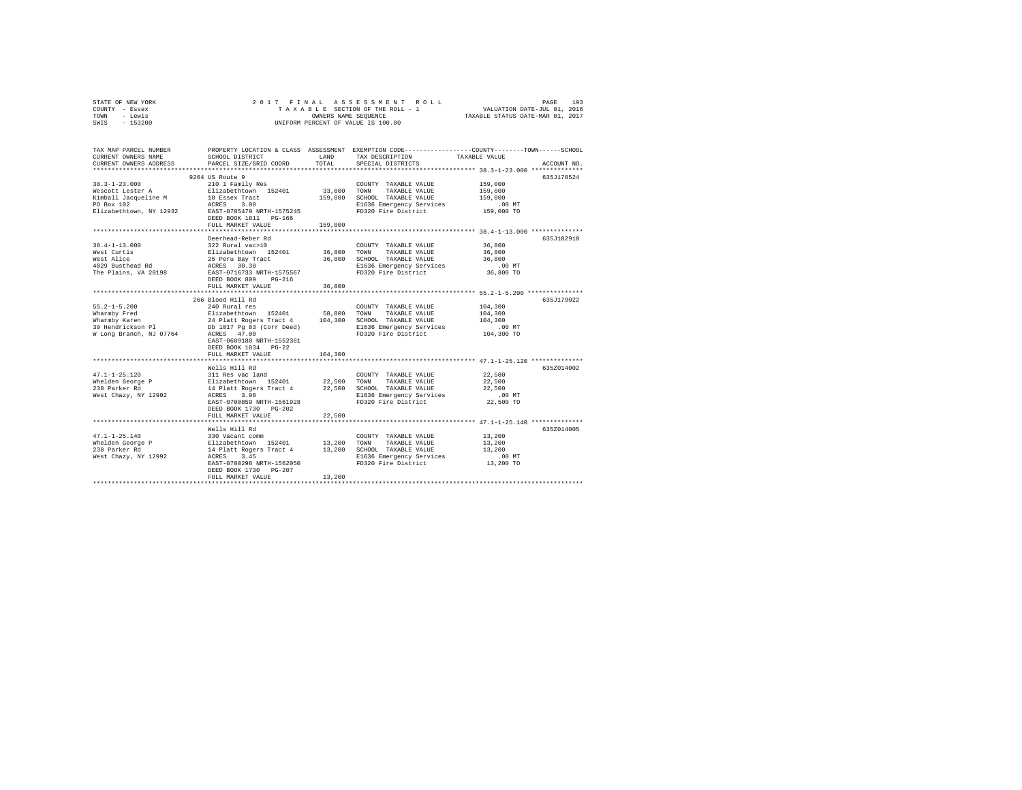|      | STATE OF NEW YORK |  | 2017 FINAL ASSESSMENT ROLL         |                                  | PAGE                        | 193 |
|------|-------------------|--|------------------------------------|----------------------------------|-----------------------------|-----|
|      | COUNTY - Essex    |  | TAXABLE SECTION OF THE ROLL - 1    |                                  | VALUATION DATE-JUL 01, 2016 |     |
| TOWN | - Lewis           |  | OWNERS NAME SEOUENCE               | TAXABLE STATUS DATE-MAR 01, 2017 |                             |     |
| SWIS | - 153200          |  | UNIFORM PERCENT OF VALUE IS 100.00 |                                  |                             |     |

| TAX MAP PARCEL NUMBER<br>CURRENT OWNERS NAME<br>CURRENT OWNERS ADDRESS                                                                                                                                                         | SCHOOL DISTRICT<br>PARCEL SIZE/GRID COORD                           | LAND<br>TOTAL | TAX DESCRIPTION<br>SPECIAL DISTRICTS                                                                                                 | PROPERTY LOCATION & CLASS ASSESSMENT EXEMPTION CODE---------------COUNTY-------TOWN-----SCHOOL<br>TAXABLE VALUE<br>ACCOUNT NO. |
|--------------------------------------------------------------------------------------------------------------------------------------------------------------------------------------------------------------------------------|---------------------------------------------------------------------|---------------|--------------------------------------------------------------------------------------------------------------------------------------|--------------------------------------------------------------------------------------------------------------------------------|
|                                                                                                                                                                                                                                |                                                                     |               |                                                                                                                                      |                                                                                                                                |
| 38.3-1-23.000<br>Nescott Lester A = 210 1 Family Res<br>Nimball Jacqueline M = 11 Fabethcown<br>Films 10 Essex Tract<br>Filizabethtcown, NY 12932 = RAST-0705479 NRTH-1575245                                                  | 9264 US Route 9                                                     |               | COUNTY TAXABLE VALUE<br>33,600 TOWN TAXABLE VALUE<br>159,000 SCHOOL TAXABLE VALUE<br>E1636 Emergency Services<br>FD320 Fire District | 635J178524<br>159,000<br>159,000<br>159,000<br>$.00$ MT<br>™ 00.<br>159,000 TO                                                 |
|                                                                                                                                                                                                                                | DEED BOOK 1811 PG-166<br>FULL MARKET VALUE                          | 159,000       |                                                                                                                                      |                                                                                                                                |
|                                                                                                                                                                                                                                | Deerhead-Reber Rd                                                   |               |                                                                                                                                      | 635J102910                                                                                                                     |
|                                                                                                                                                                                                                                |                                                                     |               |                                                                                                                                      | 36,800<br>36,800<br>36,800<br>.00 MT<br>36,800 TO                                                                              |
|                                                                                                                                                                                                                                | FULL MARKET VALUE                                                   | 36,800        |                                                                                                                                      |                                                                                                                                |
|                                                                                                                                                                                                                                | 266 Blood Hill Rd                                                   |               |                                                                                                                                      | 635J179022                                                                                                                     |
| $55.2 - 1 - 5.200$<br>W Long Branch, NJ 07764 ACRES 47.00                                                                                                                                                                      | 240 Rural res<br>EAST-0689180 NRTH-1552361<br>DEED BOOK 1834 PG-22  |               | COUNTY TAXABLE VALUE<br>TAXABLE VALUE<br>SCHOOL TAXABLE VALUE<br>E1636 Emergency Services<br>FD320 Fire District                     | 104,300<br>104,300<br>104,300<br>$.00$ MT<br>104,300 TO                                                                        |
|                                                                                                                                                                                                                                | FULL MARKET VALUE                                                   | 104,300       |                                                                                                                                      |                                                                                                                                |
| $47.1 - 1 - 25.120$<br>Whelden George P<br><sup>938</sup> Parker Rd<br>West Chazy, NY 12992                                                                                                                                    | Wells Hill Rd<br>EAST-0700859 NRTH-1561928<br>DEED BOOK 1730 PG-202 |               | FD320 Fire District                                                                                                                  | 6357014002<br>22,500<br>22,500<br>22,500<br>.00MT<br>22,500 TO                                                                 |
|                                                                                                                                                                                                                                | FULL MARKET VALUE                                                   | 22,500        |                                                                                                                                      |                                                                                                                                |
|                                                                                                                                                                                                                                |                                                                     |               |                                                                                                                                      | 635Z014005                                                                                                                     |
| Wells nii were also a community of the community of the state of the state of the state of the state of the state of the state of the state of the state of the state of the state of the state of the state of the state of t | DEED BOOK 1730 PG-207<br>FULL MARKET VALUE                          | 13,200        | E1636 Emergency Services                                                                                                             | 13,200<br>13,200<br>13,200<br>$.00$ MT<br>13,200 TO                                                                            |
|                                                                                                                                                                                                                                |                                                                     |               |                                                                                                                                      |                                                                                                                                |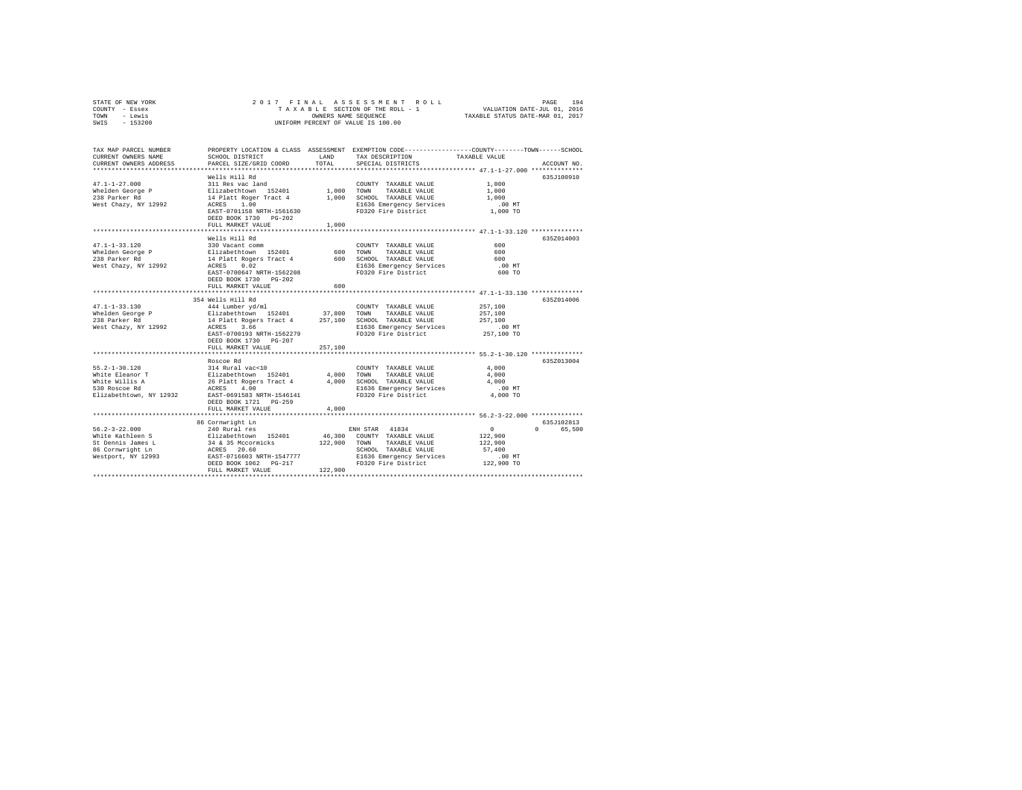| STATE OF NEW YORK | 2017 FINAL ASSESSMENT ROLL         | 194<br>PAGE                      |
|-------------------|------------------------------------|----------------------------------|
| COUNTY - Essex    | TAXABLE SECTION OF THE ROLL - 1    | VALUATION DATE-JUL 01, 2016      |
| TOWN<br>- Lewis   | OWNERS NAME SEOUENCE               | TAXABLE STATUS DATE-MAR 01, 2017 |
| $-153200$<br>SWIS | UNIFORM PERCENT OF VALUE IS 100.00 |                                  |

| TAX MAP PARCEL NUMBER<br>CURRENT OWNERS NAME<br>CURRENT OWNERS ADDRESS                                 | SCHOOL DISTRICT<br>PARCEL SIZE/GRID COORD                                                                                                                                                                                                 | LAND<br>TOTAL                      | PROPERTY LOCATION & CLASS ASSESSMENT EXEMPTION CODE---------------COUNTY-------TOWN-----SCHOOL<br>TAX DESCRIPTION<br>SPECIAL DISTRICTS                                                       | TAXABLE VALUE                                                                                       | ACCOUNT NO.                    |
|--------------------------------------------------------------------------------------------------------|-------------------------------------------------------------------------------------------------------------------------------------------------------------------------------------------------------------------------------------------|------------------------------------|----------------------------------------------------------------------------------------------------------------------------------------------------------------------------------------------|-----------------------------------------------------------------------------------------------------|--------------------------------|
| $47.1 - 1 - 27.000$<br>Whelden George P<br>238 Parker Rd<br>West Chazy, NY 12992                       | Wells Hill Rd<br>311 Res vac land<br>Elizabethtown 152401<br>14 Platt Roger Tract 4<br>1.00<br>ACRES<br>EAST-0701158 NRTH-1561630<br>DEED BOOK 1730 PG-202<br>FULL MARKET VALUE<br>************************                               | 1,000<br>1,000<br>1,000            | COUNTY TAXABLE VALUE<br>TOWN<br>TAXABLE VALUE<br>SCHOOL TAXABLE VALUE<br>E1636 Emergency Services<br>FD320 Fire District                                                                     | 1,000<br>1,000<br>1,000<br>$.00$ MT<br>1,000 TO<br>******************** 47.1-1-33.120 ************* | 635J100910                     |
| $47.1 - 1 - 33.120$<br>Whelden George P<br>238 Parker Rd<br>West Chazy, NY 12992                       | Wells Hill Rd<br>330 Vacant comm<br>Elizabethtown 152401<br>14 Platt Rogers Tract 4<br>ACRES<br>0.02<br>EAST-0700647 NRTH-1562208<br>DEED BOOK 1730 PG-202<br>FULL MARKET VALUE                                                           | 600<br>600<br>600                  | COUNTY TAXABLE VALUE<br>TOWN<br>TAXABLE VALUE<br>SCHOOL TAXABLE VALUE<br>E1636 Emergency Services<br>FD320 Fire District                                                                     | 600<br>600<br>600<br>$.00$ MT<br>600 TO<br>**************** 47.1-1-33.130 *************             | 635Z014003                     |
| $47.1 - 1 - 33.130$<br>Whelden George P<br>238 Parker Rd<br>West Chazy, NY 12992                       | 354 Wells Hill Rd<br>444 Lumber yd/ml<br>Elizabethtown 152401<br>14 Platt Rogers Tract 4<br>ACRES<br>3.66<br>EAST-0700193 NRTH-1562279<br>DEED BOOK 1730 PG-207                                                                           | 37,800<br>257,100                  | COUNTY TAXABLE VALUE<br>TOWN<br>TAXABLE VALUE<br>SCHOOL TAXABLE VALUE<br>E1636 Emergency Services<br>FD320 Fire District                                                                     | 257,100<br>257,100<br>257,100<br>$.00$ MT<br>257,100 TO                                             | 635Z014006                     |
| $55.2 - 1 - 30.120$<br>White Eleanor T<br>White Willis A<br>530 Roscoe Rd<br>Elizabethtown, NY 12932   | FULL MARKET VALUE<br>Roscoe Rd<br>314 Rural vac<10<br>Elizabethtown 152401<br>26 Platt Rogers Tract 4<br>4.00<br>ACRES<br>EAST-0691583 NRTH-1546141<br>DEED BOOK 1721 PG-259<br>FULL MARKET VALUE<br>************************************ | 257,100<br>4,000<br>4,000<br>4,000 | COUNTY TAXABLE VALUE<br>TOWN<br>TAXABLE VALUE<br>SCHOOL TAXABLE VALUE<br>E1636 Emergency Services<br>FD320 Fire District<br>*********************************** 56.2-3-22.000 ************** | 4,000<br>4,000<br>4,000<br>$.00$ MT<br>4,000 TO                                                     | 635Z013004                     |
| $56.2 - 3 - 22.000$<br>White Kathleen S<br>St Dennis James L<br>86 Cornwright Ln<br>Westport, NY 12993 | 86 Cornwright Ln<br>240 Rural res<br>Elizabethtown 152401<br>34 & 35 Mccormicks<br>ACRES 20.60<br>EAST-0716603 NRTH-1547777<br>DEED BOOK 1062 PG-217<br>FULL MARKET VALUE                                                                 | 46,300<br>122,900<br>122,900       | ENH STAR 41834<br>COUNTY TAXABLE VALUE<br>TOWN<br>TAXABLE VALUE<br>SCHOOL TAXABLE VALUE<br>E1636 Emergency Services<br>FD320 Fire District                                                   | $\circ$<br>122,900<br>122,900<br>57,400<br>$.00$ MT<br>122,900 TO                                   | 635J102813<br>65,500<br>$\cap$ |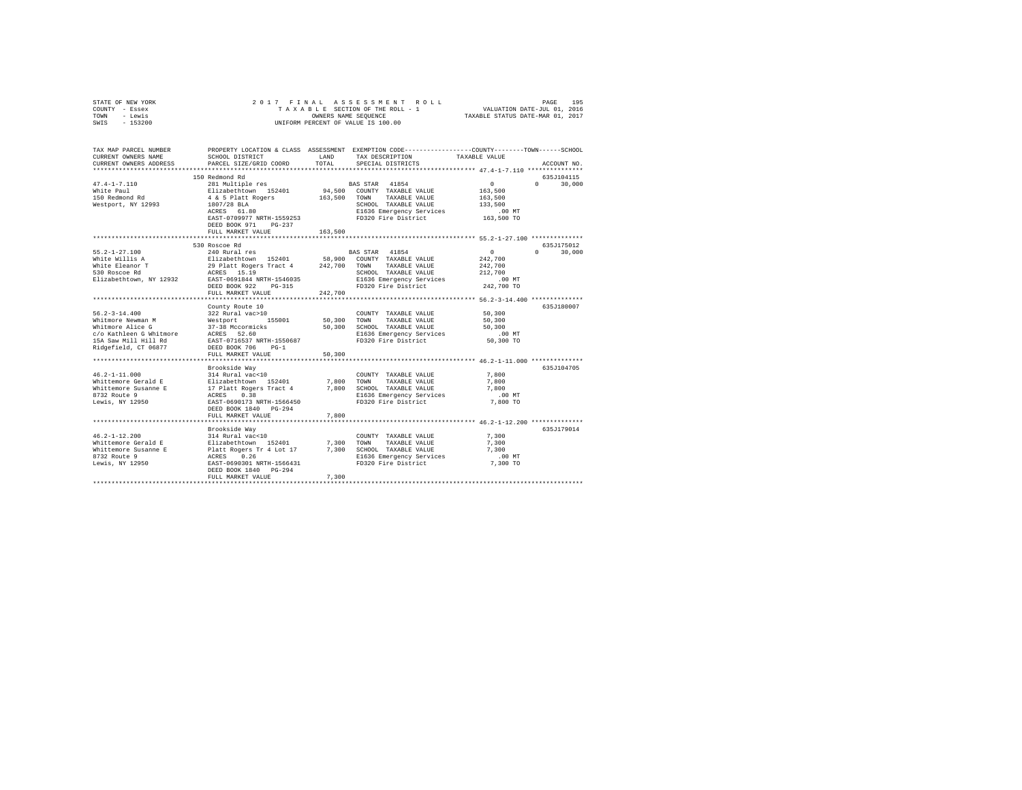| STATE OF NEW YORK<br>COUNTY - Essex<br>- Lewis<br>TOWN<br>SWIS<br>$-153200$                                                     | 2017 FINAL                                                                      | OWNERS NAME SEOUENCE | ASSESSMENT ROLL<br>TAXABLE SECTION OF THE ROLL - 1<br>UNIFORM PERCENT OF VALUE IS 100.00                                               | VALUATION DATE-JUL 01, 2016<br>TAXABLE STATUS DATE-MAR 01, 2017 | 195<br>PAGE        |
|---------------------------------------------------------------------------------------------------------------------------------|---------------------------------------------------------------------------------|----------------------|----------------------------------------------------------------------------------------------------------------------------------------|-----------------------------------------------------------------|--------------------|
| TAX MAP PARCEL NUMBER<br>CURRENT OWNERS NAME<br>CURRENT OWNERS ADDRESS                                                          | SCHOOL DISTRICT<br>PARCEL SIZE/GRID COORD                                       | LAND<br>TOTAL        | PROPERTY LOCATION & CLASS ASSESSMENT EXEMPTION CODE---------------COUNTY-------TOWN-----SCHOOL<br>TAX DESCRIPTION<br>SPECIAL DISTRICTS | TAXABLE VALUE                                                   | ACCOUNT NO.        |
|                                                                                                                                 | 150 Redmond Rd                                                                  |                      |                                                                                                                                        |                                                                 | 635J104115         |
| $47.4 - 1 - 7.110$                                                                                                              | 281 Multiple res                                                                |                      | BAS STAR 41854                                                                                                                         | 0                                                               | $\Omega$<br>30,000 |
| White Paul                                                                                                                      | Elizabethtown 152401                                                            |                      | 94,500 COUNTY TAXABLE VALUE                                                                                                            | 163,500                                                         |                    |
| 150 Redmond Rd                                                                                                                  | 4 & 5 Platt Rogers                                                              | 163,500 TOWN         | TAXABLE VALUE                                                                                                                          | 163,500                                                         |                    |
| Westport, NY 12993                                                                                                              | 1807/28 BLA<br>$\mathbf{r} = \mathbf{r} \times \mathbf{r}$                      |                      | SCHOOL TAXABLE VALUE                                                                                                                   | 133,500                                                         |                    |
|                                                                                                                                 | ACRES 61.80                                                                     |                      | E1636 Emergency Services                                                                                                               | $.00$ MT                                                        |                    |
|                                                                                                                                 | EAST-0709977 NRTH-1559253<br>DEED BOOK 971 PG-237                               |                      | FD320 Fire District                                                                                                                    | 163,500 TO                                                      |                    |
|                                                                                                                                 | FULL MARKET VALUE                                                               | 163,500              |                                                                                                                                        |                                                                 |                    |
|                                                                                                                                 | ***************************                                                     |                      |                                                                                                                                        |                                                                 |                    |
|                                                                                                                                 | 530 Roscoe Rd                                                                   |                      |                                                                                                                                        |                                                                 | 635J175012         |
| 55.2-1-27.100                                                                                                                   | 240 Rural res                                                                   |                      | BAS STAR 41854                                                                                                                         | $\sim$                                                          | 30,000<br>$\Omega$ |
| White Willis A                                                                                                                  | Elizabethtown 152401                                                            |                      | 58,900 COUNTY TAXABLE VALUE                                                                                                            | 242,700                                                         |                    |
| White Eleanor T<br>530 Roscoe Rd                                                                                                | 29 Platt Rogers Tract 4 242,700 TOWN<br>ACRES 15.19                             |                      | TAXABLE VALUE<br>SCHOOL TAXABLE VALUE                                                                                                  | 242,700<br>212,700                                              |                    |
| Elizabethtown, NY 12932                                                                                                         | EAST-0691844 NRTH-1546035                                                       |                      | E1636 Emergency Services                                                                                                               | $.00$ MT                                                        |                    |
|                                                                                                                                 | DEED BOOK 922 PG-315                                                            |                      | FD320 Fire District                                                                                                                    | 242,700 TO                                                      |                    |
|                                                                                                                                 | FULL MARKET VALUE                                                               | 242,700              |                                                                                                                                        |                                                                 |                    |
|                                                                                                                                 |                                                                                 |                      |                                                                                                                                        |                                                                 |                    |
|                                                                                                                                 | County Route 10                                                                 |                      |                                                                                                                                        |                                                                 | 635J180007         |
| $56.2 - 3 - 14.400$                                                                                                             | 322 Rural vac>10                                                                |                      | COUNTY TAXABLE VALUE                                                                                                                   | 50,300                                                          |                    |
| Whitmore Newman M                                                                                                               |                                                                                 | 50,300               | TAXABLE VALUE<br>TOWN                                                                                                                  | 50,300                                                          |                    |
| Whitmore Alice G                                                                                                                | Westport 155001<br>37-38 Mccormicks                                             |                      | 50,300 SCHOOL TAXABLE VALUE                                                                                                            | 50,300                                                          |                    |
| Whitemore Ailer of Mitmore<br>C/O Kathleen G Whitmore ACRES 52.60<br><sup>15A Co</sup> w Mill Hill Rd BAST-0716537 NRTH-1550687 |                                                                                 |                      | E1636 Emergency Services                                                                                                               | .00MT                                                           |                    |
|                                                                                                                                 |                                                                                 |                      | FD320 Fire District                                                                                                                    | 50,300 TO                                                       |                    |
| Ridgefield, CT 06877                                                                                                            | DEED BOOK 706 PG-1                                                              |                      |                                                                                                                                        |                                                                 |                    |
|                                                                                                                                 | FULL MARKET VALUE                                                               | 50,300               |                                                                                                                                        |                                                                 |                    |
|                                                                                                                                 |                                                                                 |                      |                                                                                                                                        |                                                                 |                    |
|                                                                                                                                 | Brookside Way                                                                   |                      |                                                                                                                                        |                                                                 | 635J104705         |
| $46.2 - 1 - 11.000$                                                                                                             | 314 Rural vac<10                                                                |                      | COUNTY TAXABLE VALUE                                                                                                                   | 7,800                                                           |                    |
| Whittemore Gerald E                                                                                                             | Elizabethtown 152401                                                            | 7,800                | TOWN<br>TAXABLE VALUE                                                                                                                  | 7,800                                                           |                    |
| Whittemore Susanne E                                                                                                            | 17 Platt Rogers Tract 4                                                         |                      | 7,800 SCHOOL TAXABLE VALUE                                                                                                             | 7,800                                                           |                    |
| 8732 Route 9<br>Lewis, NY 12950                                                                                                 | ACRES 0.38                                                                      |                      | E1636 Emergency Services                                                                                                               | $.00$ MT                                                        |                    |
|                                                                                                                                 | EAST-0690173 NRTH-1566450                                                       |                      | FD320 Fire District                                                                                                                    | 7,800 TO                                                        |                    |
|                                                                                                                                 | DEED BOOK 1840 PG-294                                                           | 7.800                |                                                                                                                                        |                                                                 |                    |
|                                                                                                                                 | FULL MARKET VALUE                                                               |                      |                                                                                                                                        |                                                                 |                    |
|                                                                                                                                 |                                                                                 |                      |                                                                                                                                        |                                                                 | 635J179014         |
| $46.2 - 1 - 12.200$                                                                                                             | Brookside Way<br>314 Rural vac<10                                               |                      | COUNTY TAXABLE VALUE                                                                                                                   | 7.300                                                           |                    |
| Whittemore Gerald E                                                                                                             |                                                                                 | 7.300                | TOWN<br>TAXABLE VALUE                                                                                                                  | 7.300                                                           |                    |
| Whittemore Susanne E                                                                                                            | Elizabethtown<br>Elizabethtown 152401<br>Platt Rogers Tr 4 Lot 17<br>ACRES 0.26 |                      | 7,300 SCHOOL TAXABLE VALUE                                                                                                             | 7.300                                                           |                    |
| 8732 Route 9                                                                                                                    |                                                                                 |                      | E1636 Emergency Services                                                                                                               | $.00$ MT                                                        |                    |
| Lewis, NY 12950                                                                                                                 | EAST-0690301 NRTH-1566431                                                       |                      | FD320 Fire District                                                                                                                    | 7,300 TO                                                        |                    |
|                                                                                                                                 | DEED BOOK 1840 PG-294                                                           |                      |                                                                                                                                        |                                                                 |                    |
|                                                                                                                                 | FULL MARKET VALUE                                                               | 7.300                |                                                                                                                                        |                                                                 |                    |
|                                                                                                                                 |                                                                                 |                      |                                                                                                                                        |                                                                 |                    |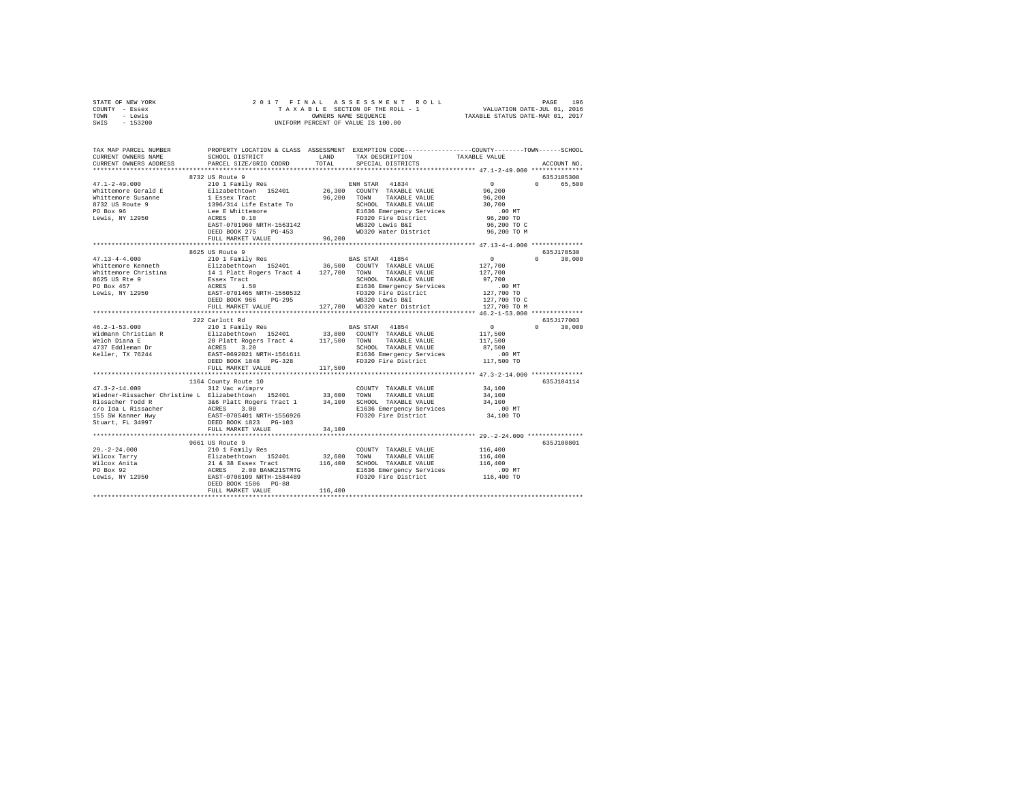|      | STATE OF NEW YORK |  |  | 2017 FINAL ASSESSMENT ROLL         |                                  | PAGE                        | 196 |
|------|-------------------|--|--|------------------------------------|----------------------------------|-----------------------------|-----|
|      | COUNTY - Essex    |  |  | TAXABLE SECTION OF THE ROLL - 1    |                                  | VALUATION DATE-JUL 01, 2016 |     |
| TOWN | - Lewis           |  |  | OWNERS NAME SEOUENCE               | TAXABLE STATUS DATE-MAR 01, 2017 |                             |     |
| SWIS | - 153200          |  |  | UNIFORM PERCENT OF VALUE IS 100.00 |                                  |                             |     |

| TAX MAP PARCEL NUMBER<br>CURRENT OWNERS NAME<br>CURRENT OWNERS ADDRESS                                              | SCHOOL DISTRICT<br>PARCEL SIZE/GRID COORD                                                                                                   | LAND<br>TOTAL.    | PROPERTY LOCATION & CLASS ASSESSMENT EXEMPTION CODE----------------COUNTY-------TOWN------SCHOOL<br>TAX DESCRIPTION<br>SPECIAL DISTRICTS   | TAXABLE VALUE                                                     | ACCOUNT NO                       |
|---------------------------------------------------------------------------------------------------------------------|---------------------------------------------------------------------------------------------------------------------------------------------|-------------------|--------------------------------------------------------------------------------------------------------------------------------------------|-------------------------------------------------------------------|----------------------------------|
|                                                                                                                     |                                                                                                                                             |                   |                                                                                                                                            |                                                                   |                                  |
| $47.1 - 2 - 49.000$<br>Whittemore Gerald E<br>Whittemore Susanne                                                    | 8732 US Route 9<br>210 1 Family Res<br>Elizabethtown 152401<br>1 Essex Tract                                                                | 26,300<br>96,200  | ENH STAR 41834<br>COUNTY TAXABLE VALUE<br>TAXABLE VALUE<br>TOWN                                                                            | $\circ$<br>96,200<br>96,200                                       | 635J105308<br>65,500<br>$\Omega$ |
| 8732 US Route 9<br>PO Box 96<br>Lewis, NY 12950                                                                     | 1396/314 Life Estate To<br>Lee E Whittemore<br>0.18<br>ACRES<br>EAST-0701960 NRTH-1563142<br>DEED BOOK 275<br>$PG-453$<br>FULL MARKET VALUE | 96,200            | SCHOOL TAXABLE VALUE<br>E1636 Emergency Services<br>FD320 Fire District<br>WB320 Lewis B&I<br>WD320 Water District                         | 30,700<br>$.00$ MT<br>96,200 TO<br>96,200 TO C<br>96,200 TO M     |                                  |
|                                                                                                                     |                                                                                                                                             |                   |                                                                                                                                            |                                                                   |                                  |
|                                                                                                                     | 8625 US Route 9                                                                                                                             |                   |                                                                                                                                            |                                                                   | 635J178530                       |
| $47.13 - 4 - 4.000$<br>Whittemore Kenneth<br>Whittemore Christina<br>8625 US Rte 9<br>PO Box 457<br>Lewis, NY 12950 | 210 1 Family Res<br>Elizabethtown 152401<br>14 1 Platt Rogers Tract 4<br>Essex Tract<br>ACRES<br>1.50<br>EAST-0701465 NRTH-1560532          | 36,500<br>127,700 | BAS STAR 41854<br>COUNTY TAXABLE VALUE<br>TOWN<br>TAXABLE VALUE<br>SCHOOL TAXABLE VALUE<br>E1636 Emergency Services<br>FD320 Fire District | $\circ$<br>127,700<br>127,700<br>97.700<br>$.00$ MT<br>127,700 TO | $\Omega$<br>30,000               |
|                                                                                                                     | DEED BOOK 966<br>PG-295<br>FULL MARKET VALUE                                                                                                | 127,700           | WB320 Lewis B&I<br>WD320 Water District                                                                                                    | 127,700 TO C<br>127,700 TO M                                      |                                  |
|                                                                                                                     | **********************                                                                                                                      |                   |                                                                                                                                            |                                                                   |                                  |
|                                                                                                                     | 222 Carlott Rd                                                                                                                              |                   |                                                                                                                                            |                                                                   | 635J177003<br>$\Omega$           |
| $46.2 - 1 - 53.000$<br>Widmann Christian R                                                                          | 210 1 Family Res<br>Elizabethtown 152401                                                                                                    | 33,800            | BAS STAR 41854<br>COUNTY TAXABLE VALUE                                                                                                     | $\sim$ 0                                                          | 30,000                           |
| Welch Diana E                                                                                                       | 20 Platt Rogers Tract 4                                                                                                                     | 117,500           | TOWN<br>TAXABLE VALUE                                                                                                                      | 117,500<br>117,500                                                |                                  |
| 4737 Eddleman Dr                                                                                                    | ACRES<br>3.20                                                                                                                               |                   | SCHOOL TAXABLE VALUE                                                                                                                       | 87,500                                                            |                                  |
| Keller, TX 76244                                                                                                    | EAST-0692021 NRTH-1561611                                                                                                                   |                   | E1636 Emergency Services                                                                                                                   | $.00$ MT                                                          |                                  |
|                                                                                                                     | DEED BOOK 1848 PG-328                                                                                                                       |                   | FD320 Fire District                                                                                                                        | 117,500 TO                                                        |                                  |
|                                                                                                                     | FULL MARKET VALUE                                                                                                                           | 117,500           |                                                                                                                                            |                                                                   |                                  |
|                                                                                                                     |                                                                                                                                             |                   |                                                                                                                                            |                                                                   |                                  |
|                                                                                                                     | 1164 County Route 10                                                                                                                        |                   |                                                                                                                                            |                                                                   | 635J104114                       |
| $47.3 - 2 - 14.000$                                                                                                 | 312 Vac w/imprv                                                                                                                             |                   | COUNTY TAXABLE VALUE                                                                                                                       | 34,100                                                            |                                  |
| Wiedner-Rissacher Christine L Elizabethtown 152401                                                                  |                                                                                                                                             | 33,600            | TOWN<br>TAXABLE VALUE                                                                                                                      | 34,100                                                            |                                  |
| Rissacher Todd R                                                                                                    | 3&6 Platt Rogers Tract 1                                                                                                                    | 34,100            | SCHOOL TAXABLE VALUE                                                                                                                       | 34,100                                                            |                                  |
| c/o Ida L Rissacher                                                                                                 | ACRES 3.00<br>EAST-0705401 NRTH-1556926                                                                                                     |                   | E1636 Emergency Services                                                                                                                   | $.00$ MT                                                          |                                  |
| 155 SW Kanner Hwy                                                                                                   |                                                                                                                                             |                   | FD320 Fire District                                                                                                                        | 34,100 TO                                                         |                                  |
| Stuart, FL 34997                                                                                                    | DEED BOOK 1823 PG-103                                                                                                                       |                   |                                                                                                                                            |                                                                   |                                  |
|                                                                                                                     | FULL MARKET VALUE<br>****************************                                                                                           | 34,100            |                                                                                                                                            |                                                                   |                                  |
|                                                                                                                     | 9661 US Route 9                                                                                                                             |                   |                                                                                                                                            |                                                                   | 635J100801                       |
| $29. -2 - 24.000$                                                                                                   | 210 1 Family Res                                                                                                                            |                   | COUNTY TAXABLE VALUE                                                                                                                       | 116,400                                                           |                                  |
| Wilcox Tarry                                                                                                        |                                                                                                                                             | 32,600            | TOWN<br>TAXABLE VALUE                                                                                                                      | 116,400                                                           |                                  |
| Wilcox Anita                                                                                                        |                                                                                                                                             | 116,400           | SCHOOL TAXABLE VALUE                                                                                                                       | 116,400                                                           |                                  |
| PO Box 92                                                                                                           |                                                                                                                                             |                   | E1636 Emergency Services                                                                                                                   | .00MT                                                             |                                  |
| Lewis, NY 12950                                                                                                     | Elizabethtown 152401<br>21 & 38 Essex Tract<br>ACRES 2.00 BANK21STMTG<br>EAST-0706109 NRTH-1584489<br>DEED BOOK 1586 PG-88                  |                   | FD320 Fire District                                                                                                                        | 116,400 TO                                                        |                                  |
|                                                                                                                     | FULL MARKET VALUE                                                                                                                           | 116,400           |                                                                                                                                            |                                                                   |                                  |
|                                                                                                                     |                                                                                                                                             |                   |                                                                                                                                            |                                                                   |                                  |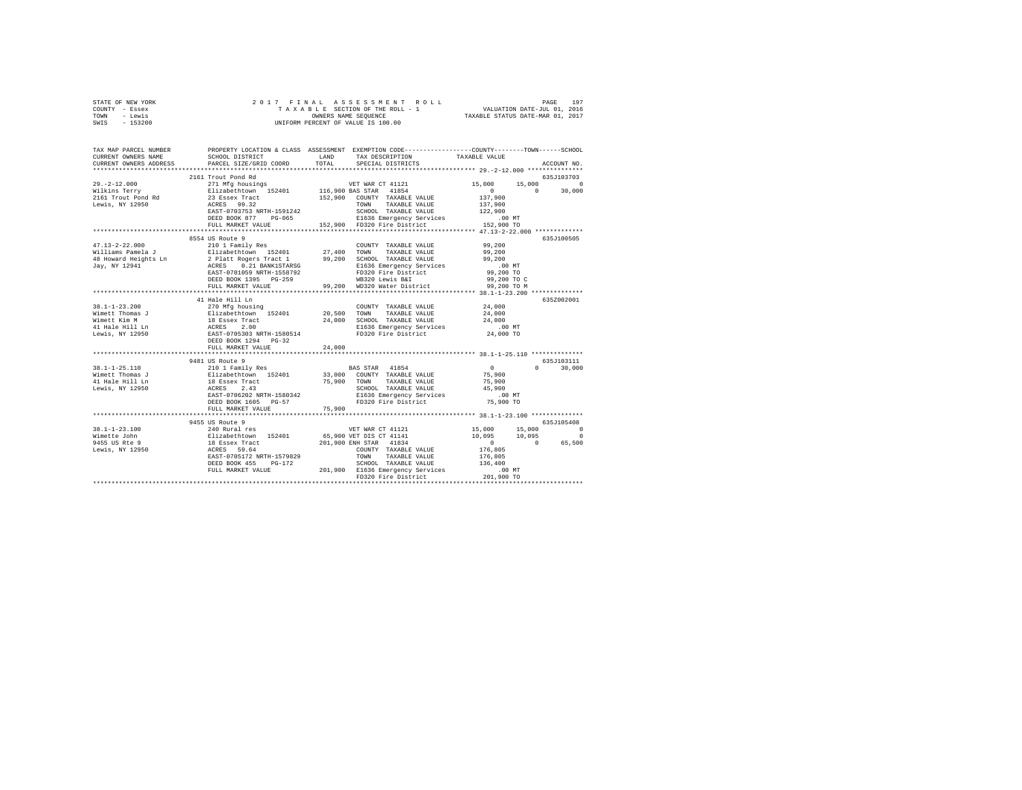| STATE OF NEW YORK | 2017 FINAL ASSESSMENT ROLL         | 197<br>PAGE                      |
|-------------------|------------------------------------|----------------------------------|
| COUNTY - Essex    | TAXABLE SECTION OF THE ROLL - 1    | VALUATION DATE-JUL 01, 2016      |
| TOWN<br>- Lewis   | OWNERS NAME SEOUENCE               | TAXABLE STATUS DATE-MAR 01, 2017 |
| - 153200<br>SWIS  | UNIFORM PERCENT OF VALUE IS 100.00 |                                  |

| TAX MAP PARCEL NUMBER<br>CURRENT OWNERS NAME<br>CURRENT OWNERS ADDRESS                                                                                                                                                             | SCHOOL DISTRICT<br>PARCEL SIZE/GRID COORD | LAND<br>TOTAL | PROPERTY LOCATION & CLASS ASSESSMENT EXEMPTION CODE---------------COUNTY-------TOWN------SCHOOL<br>TAX DESCRIPTION<br>SPECIAL DISTRICTS                                                                                                                              | TAXABLE VALUE      | ACCOUNT NO.   |
|------------------------------------------------------------------------------------------------------------------------------------------------------------------------------------------------------------------------------------|-------------------------------------------|---------------|----------------------------------------------------------------------------------------------------------------------------------------------------------------------------------------------------------------------------------------------------------------------|--------------------|---------------|
|                                                                                                                                                                                                                                    |                                           |               |                                                                                                                                                                                                                                                                      |                    |               |
|                                                                                                                                                                                                                                    | 2161 Trout Pond Rd                        |               |                                                                                                                                                                                                                                                                      |                    | 635.T103703   |
|                                                                                                                                                                                                                                    |                                           |               |                                                                                                                                                                                                                                                                      | $15,000$<br>0 30   | $\Omega$      |
|                                                                                                                                                                                                                                    |                                           |               |                                                                                                                                                                                                                                                                      |                    | 30,000        |
|                                                                                                                                                                                                                                    |                                           |               |                                                                                                                                                                                                                                                                      |                    |               |
| Lewis, NY 12950                                                                                                                                                                                                                    | ACRES 99.32<br>EAST-0703753 NRTH-1591242  |               | TOWN TAXABLE VALUE<br>SCHOOL TAXABLE VALUE                                                                                                                                                                                                                           | 137,900<br>122,900 |               |
|                                                                                                                                                                                                                                    | DEED BOOK 877 PG-065                      |               |                                                                                                                                                                                                                                                                      |                    |               |
|                                                                                                                                                                                                                                    | FULL MARKET VALUE                         |               | DO MT E1636 Emergency Services .00 MT<br>152,900 FD320 Fire District 152,900 TO                                                                                                                                                                                      |                    |               |
|                                                                                                                                                                                                                                    |                                           |               |                                                                                                                                                                                                                                                                      |                    |               |
|                                                                                                                                                                                                                                    | 8554 US Route 9                           |               |                                                                                                                                                                                                                                                                      |                    | 635J100505    |
|                                                                                                                                                                                                                                    |                                           |               | COUNTY TAXABLE VALUE                                                                                                                                                                                                                                                 | 99,200             |               |
|                                                                                                                                                                                                                                    |                                           |               | TAXABLE VALUE 99,200                                                                                                                                                                                                                                                 |                    |               |
|                                                                                                                                                                                                                                    |                                           |               |                                                                                                                                                                                                                                                                      |                    |               |
|                                                                                                                                                                                                                                    |                                           |               |                                                                                                                                                                                                                                                                      |                    |               |
|                                                                                                                                                                                                                                    |                                           |               |                                                                                                                                                                                                                                                                      |                    |               |
|                                                                                                                                                                                                                                    |                                           |               |                                                                                                                                                                                                                                                                      |                    |               |
| A SILE AND A SURFACE SERVICE CONTRAINING A SURFACE OF A SURFACE SERVICE SERVICE SERVICE SERVICE SERVICE SERVICE<br>3 A SURFACE SERVICE SERVICE SERVICE SERVICE SERVICE SERVICE SERVICE SERVICE SERVICE SERVICE SERVICE SERVICE S   |                                           |               |                                                                                                                                                                                                                                                                      |                    |               |
|                                                                                                                                                                                                                                    |                                           |               |                                                                                                                                                                                                                                                                      |                    |               |
|                                                                                                                                                                                                                                    | 41 Hale Hill Ln                           |               |                                                                                                                                                                                                                                                                      |                    | 635Z002001    |
|                                                                                                                                                                                                                                    |                                           |               | COUNTY TAXABLE VALUE 24,000                                                                                                                                                                                                                                          |                    |               |
|                                                                                                                                                                                                                                    |                                           |               |                                                                                                                                                                                                                                                                      | 24,000             |               |
|                                                                                                                                                                                                                                    |                                           |               |                                                                                                                                                                                                                                                                      | 24,000             |               |
|                                                                                                                                                                                                                                    |                                           |               | E1636 Emergency Services .00 MT<br>FD320 Fire District 24,000 TO                                                                                                                                                                                                     |                    |               |
|                                                                                                                                                                                                                                    |                                           |               |                                                                                                                                                                                                                                                                      |                    |               |
|                                                                                                                                                                                                                                    | DEED BOOK 1294 PG-32                      |               |                                                                                                                                                                                                                                                                      |                    |               |
|                                                                                                                                                                                                                                    | FULL MARKET VALUE                         | 24,000        |                                                                                                                                                                                                                                                                      |                    |               |
|                                                                                                                                                                                                                                    | 9481 US Route 9                           |               |                                                                                                                                                                                                                                                                      |                    | 635.7103111   |
| 38.1-1-25.110                                                                                                                                                                                                                      | 210 1 Family Res                          |               | <b>BAS STAR</b> 41854                                                                                                                                                                                                                                                | $\sim$ 0           | $0 \t 30.000$ |
| Wimett Thomas J                                                                                                                                                                                                                    |                                           |               |                                                                                                                                                                                                                                                                      |                    |               |
| 41 Hale Hill Ln                                                                                                                                                                                                                    |                                           |               |                                                                                                                                                                                                                                                                      |                    |               |
| Lewis, NY 12950                                                                                                                                                                                                                    |                                           |               |                                                                                                                                                                                                                                                                      |                    |               |
|                                                                                                                                                                                                                                    |                                           |               | 210 1 2001 2007 2008 2008 2008 2008 2012 2013<br>Elizabethtown 152401 33,000 COUNTY TAXABLE VALUE 75,900<br>18 Essex Tract 75,900 70WN TAXABLE VALUE 75,900<br>26HOL TAXABLE VALUE 75,900<br>26HOL TAXABLE VALUE 75,900<br>26HOL TAXABLE<br>E1636 Emergency Services |                    |               |
|                                                                                                                                                                                                                                    | DEED BOOK 1605 PG-57                      |               | FD320 Fire District 75,900 TO                                                                                                                                                                                                                                        |                    |               |
|                                                                                                                                                                                                                                    | FULL MARKET VALUE                         | 75,900        |                                                                                                                                                                                                                                                                      |                    |               |
|                                                                                                                                                                                                                                    |                                           |               |                                                                                                                                                                                                                                                                      |                    |               |
|                                                                                                                                                                                                                                    |                                           |               |                                                                                                                                                                                                                                                                      |                    | 635J105408    |
|                                                                                                                                                                                                                                    |                                           |               |                                                                                                                                                                                                                                                                      |                    | $\Omega$      |
|                                                                                                                                                                                                                                    |                                           |               |                                                                                                                                                                                                                                                                      |                    | $\sim$ 0      |
| 19.1-1-23.100 (19.5511)<br>19.1-1-23.100 (19.000 240 Runal res (19.900 VET DR CT 41141 (19.000 15.000 15.000 15.000 15.000 15.000 15.000<br>19.095 10.095 10.095 10.095 12.000 EXRES 19.64 (19.000 EXRES 19.04 (19.000 15.000 15.0 |                                           |               |                                                                                                                                                                                                                                                                      |                    | 65.500        |
|                                                                                                                                                                                                                                    |                                           |               |                                                                                                                                                                                                                                                                      |                    |               |
|                                                                                                                                                                                                                                    | EAST-0705172 NRTH-1579829                 |               | TOWN TAXABLE VALUE 176,805<br>SCHOOL TAXABLE VALUE 136,400                                                                                                                                                                                                           |                    |               |
|                                                                                                                                                                                                                                    | DEED BOOK 455 PG-172                      |               | SCHOOL TAXABLE VALUE                                                                                                                                                                                                                                                 |                    |               |
|                                                                                                                                                                                                                                    |                                           |               | FULL MARKET VALUE 701,900 E1636 Emergency Services .00 MT<br>FULL MARKET VALUE 70320 Fire District 201,900 TO                                                                                                                                                        |                    |               |
|                                                                                                                                                                                                                                    |                                           |               |                                                                                                                                                                                                                                                                      |                    |               |
|                                                                                                                                                                                                                                    |                                           |               |                                                                                                                                                                                                                                                                      |                    |               |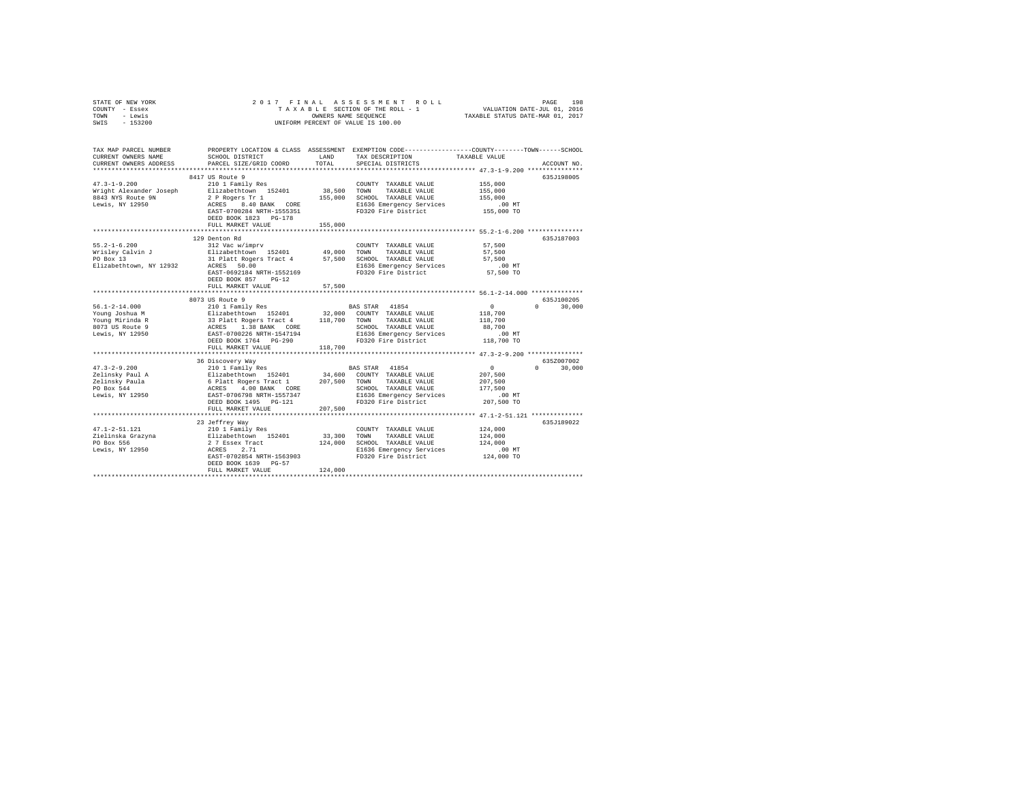| STATE OF NEW YORK<br>COUNTY - Essex<br>TOWN - Lewis<br>SWIS - 153200                                                                         | 2017 FINAL                                                 |               |                                                                                                                                                       |                 |               |
|----------------------------------------------------------------------------------------------------------------------------------------------|------------------------------------------------------------|---------------|-------------------------------------------------------------------------------------------------------------------------------------------------------|-----------------|---------------|
| TAX MAP PARCEL NUMBER<br>CURRENT OWNERS NAME<br>CURRENT OWNERS ADDRESS                                                                       | SCHOOL DISTRICT<br>PARCEL SIZE/GRID COORD                  | LAND<br>TOTAL | PROPERTY LOCATION & CLASS ASSESSMENT EXEMPTION CODE---------------COUNTY-------TOWN------SCHOOL<br>TAX DESCRIPTION TAXABLE VALUE<br>SPECIAL DISTRICTS |                 | ACCOUNT NO.   |
|                                                                                                                                              | 8417 US Route 9                                            |               |                                                                                                                                                       |                 | 635J198005    |
| $47.3 - 1 - 9.200$                                                                                                                           | 210 1 Family Res                                           |               | COUNTY TAXABLE VALUE                                                                                                                                  | 155,000         |               |
| Wright Alexander Joseph                                                                                                                      | Elizabethtown 152401                                       |               | 38,500 TOWN TAXABLE VALUE                                                                                                                             | 155,000         |               |
| 8843 NYS Route 9N                                                                                                                            |                                                            |               | 2 P Rogers Tr 1 155,000 SCHOOL TAXABLE VALUE                                                                                                          | 155,000         |               |
| Lewis, NY 12950                                                                                                                              |                                                            |               | 2 P Rogers Tr 1<br>ACRES 8.40 BANK CORE . B1636 Emergency SEIVING.<br>--- 2200204 NRTH-1555351 . FD320 Fire District                                  | $.00$ MT        |               |
|                                                                                                                                              |                                                            |               |                                                                                                                                                       | 155,000 TO      |               |
|                                                                                                                                              |                                                            |               |                                                                                                                                                       |                 |               |
|                                                                                                                                              | FULL MARKET VALUE                                          | 155,000       |                                                                                                                                                       |                 |               |
|                                                                                                                                              | 129 Denton Rd                                              |               |                                                                                                                                                       |                 | 635J187003    |
| $55.2 - 1 - 6.200$                                                                                                                           | 312 Vac w/imprv                                            |               | COUNTY TAXABLE VALUE 57,500                                                                                                                           |                 |               |
|                                                                                                                                              | Elizabethtown 152401 49,000 TOWN TAXABLE VALUE             |               |                                                                                                                                                       | 57,500          |               |
| Wrisley Calvin J<br>PO Box 13                                                                                                                |                                                            |               | 31 Platt Rogers Tract 4 57,500 SCHOOL TAXABLE VALUE                                                                                                   | 57.500          |               |
| Elizabethtown, NY 12932                                                                                                                      | ACRES 50.00                                                |               | ACRES 50.00 E1636 Emergency Services<br>EAST-0692184 NRTH-1552169 FD320 Fire District                                                                 | $.00$ MT        |               |
|                                                                                                                                              |                                                            |               |                                                                                                                                                       | 57,500 TO       |               |
|                                                                                                                                              | DEED BOOK 857 PG-12                                        |               |                                                                                                                                                       |                 |               |
|                                                                                                                                              | FULL MARKET VALUE                                          | 57,500        |                                                                                                                                                       |                 |               |
|                                                                                                                                              | 8073 US Route 9                                            |               |                                                                                                                                                       |                 | 635J100205    |
|                                                                                                                                              |                                                            |               |                                                                                                                                                       |                 | $0 \t 30.000$ |
|                                                                                                                                              |                                                            |               |                                                                                                                                                       |                 |               |
|                                                                                                                                              |                                                            |               |                                                                                                                                                       |                 |               |
|                                                                                                                                              |                                                            |               |                                                                                                                                                       |                 |               |
|                                                                                                                                              |                                                            |               |                                                                                                                                                       |                 |               |
|                                                                                                                                              |                                                            |               |                                                                                                                                                       |                 |               |
|                                                                                                                                              | FULL MARKET VALUE                                          | 118,700       |                                                                                                                                                       |                 |               |
|                                                                                                                                              | 36 Discovery Way                                           |               |                                                                                                                                                       |                 | 635Z007002    |
| $47.3 - 2 - 9.200$                                                                                                                           | 6 Discovery Way<br>210 1 Family Res                        |               | BAS STAR 41854                                                                                                                                        | $\sim$ 0 $\sim$ | $0 \t 30,000$ |
|                                                                                                                                              |                                                            |               |                                                                                                                                                       | 207,500         |               |
|                                                                                                                                              |                                                            |               |                                                                                                                                                       | 207,500         |               |
|                                                                                                                                              |                                                            |               |                                                                                                                                                       | 177,500         |               |
|                                                                                                                                              |                                                            |               |                                                                                                                                                       | .00 MT          |               |
|                                                                                                                                              | FULL MARKET VALUE                                          | 207,500       |                                                                                                                                                       | 207,500 TO      |               |
|                                                                                                                                              |                                                            |               |                                                                                                                                                       |                 |               |
|                                                                                                                                              | 23 Jeffrey Way                                             |               |                                                                                                                                                       |                 | 635J189022    |
|                                                                                                                                              |                                                            |               | COUNTY TAXABLE VALUE                                                                                                                                  | 124,000         |               |
|                                                                                                                                              |                                                            |               | 33,300 TOWN TAXABLE VALUE<br>124,000 SCHOOL TAXABLE VALUE                                                                                             | 124,000         |               |
|                                                                                                                                              |                                                            |               |                                                                                                                                                       | 124,000         |               |
|                                                                                                                                              |                                                            |               |                                                                                                                                                       |                 |               |
| 47.1-2-51.121 210 1 Family Res<br>Zielinska Grazyna 2112 27 Essex Tract<br>PO Box 556 27 Essex Tract<br>$2.7$ Essex Tract<br>Lewis, NY 12950 |                                                            |               | E1636 Emergency Services                                                                                                                              | $.00$ MT        |               |
|                                                                                                                                              | 2 7 Essex Tract<br>ACRES 2.71<br>EAST-0702854 NRTH-1563903 |               | FD320 Fire District                                                                                                                                   | 124,000 TO      |               |
|                                                                                                                                              | DEED BOOK 1639 PG-57<br>FULL MARKET VALUE                  | 124,000       |                                                                                                                                                       |                 |               |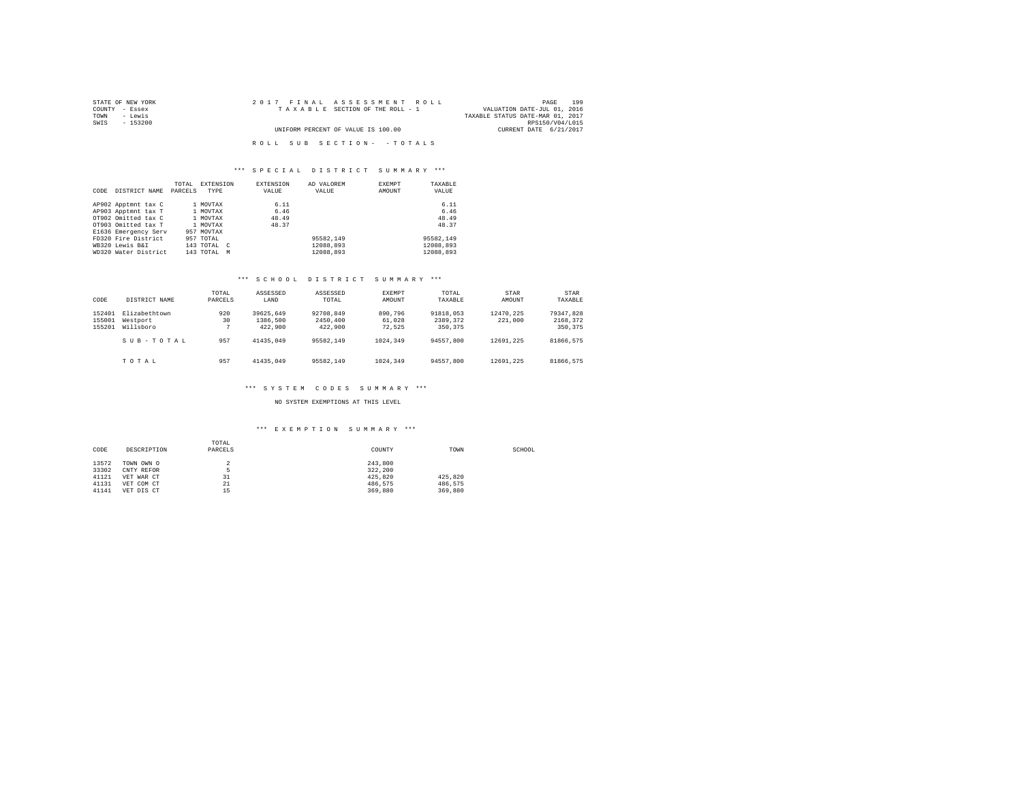| STATE OF NEW YORK | 2017 FINAL ASSESSMENT ROLL         | 199<br>PAGE                      |
|-------------------|------------------------------------|----------------------------------|
| COUNTY - Essex    | TAXABLE SECTION OF THE ROLL - 1    | VALUATION DATE-JUL 01, 2016      |
| TOWN<br>- Lewis   |                                    | TAXABLE STATUS DATE-MAR 01, 2017 |
| SWIS<br>- 153200  |                                    | RPS150/V04/L015                  |
|                   | UNIFORM PERCENT OF VALUE IS 100.00 | CURRENT DATE 6/21/2017           |
|                   |                                    |                                  |
|                   | ROLL SUB SECTION- - TOTALS         |                                  |

### \*\*\* S P E C I A L D I S T R I C T S U M M A R Y \*\*\*

|      |                      | TOTAL   | <b>EXTENSION</b> | <b>EXTENSION</b> | AD VALOREM | EXEMPT | TAXABLE   |
|------|----------------------|---------|------------------|------------------|------------|--------|-----------|
| CODE | DISTRICT NAME        | PARCELS | TYPE             | VALUE            | VALUE      | AMOUNT | VALUE     |
|      |                      |         |                  |                  |            |        |           |
|      | AP902 Apptmnt tax C  |         | 1 MOVTAX         | 6.11             |            |        | 6.11      |
|      | AP903 Apptmnt tax T  |         | 1 MOVTAX         | 6.46             |            |        | 6.46      |
|      | OT902 Omitted tax C  |         | 1 MOVTAX         | 48.49            |            |        | 48.49     |
|      | OT903 Omitted tax T  |         | 1 MOVTAX         | 48.37            |            |        | 48.37     |
|      | E1636 Emergency Serv |         | 957 MOVTAX       |                  |            |        |           |
|      | FD320 Fire District  |         | 957 TOTAL        |                  | 95582.149  |        | 95582,149 |
|      | WB320 Lewis B&I      |         | 143 TOTAL C      |                  | 12088.893  |        | 12088.893 |
|      | WD320 Water District |         | 143 TOTAL M      |                  | 12088.893  |        | 12088.893 |

## \*\*\* S C H O O L D I S T R I C T S U M M A R Y \*\*\*

| CODE                       | DISTRICT NAME                          | TOTAL<br>PARCELS | ASSESSED<br>LAND                 | ASSESSED<br>TOTAL                | EXEMPT<br>AMOUNT            | TOTAL<br>TAXABLE                  | STAR<br>AMOUNT       | STAR<br>TAXABLE                   |
|----------------------------|----------------------------------------|------------------|----------------------------------|----------------------------------|-----------------------------|-----------------------------------|----------------------|-----------------------------------|
| 152401<br>155001<br>155201 | Elizabethtown<br>Westport<br>Willsboro | 920<br>30        | 39625.649<br>1386,500<br>422,900 | 92708.849<br>2450,400<br>422,900 | 890,796<br>61.028<br>72.525 | 91818,053<br>2389.372<br>350, 375 | 12470.225<br>221,000 | 79347.828<br>2168.372<br>350, 375 |
|                            | SUB-TOTAL                              | 957              | 41435.049                        | 95582.149                        | 1024,349                    | 94557.800                         | 12691.225            | 81866.575                         |
|                            | TOTAL                                  | 957              | 41435.049                        | 95582.149                        | 1024,349                    | 94557.800                         | 12691.225            | 81866.575                         |

### \*\*\* S Y S T E M C O D E S S U M M A R Y \*\*\*

NO SYSTEM EXEMPTIONS AT THIS LEVEL

### \*\*\* E X E M P T I O N S U M M A R Y \*\*\*

| CODE  | DESCRIPTION | TOTAL<br>PARCELS | COUNTY  | TOWN    | SCHOOL |
|-------|-------------|------------------|---------|---------|--------|
| 13572 |             |                  | 243,800 |         |        |
|       | TOWN OWN O  |                  |         |         |        |
| 33302 | CNTY REFOR  |                  | 322.200 |         |        |
| 41121 | VET WAR CT  | 31               | 425.820 | 425.820 |        |
| 41131 | VET COM CT  | 21               | 486.575 | 486.575 |        |
| 41141 | VET DIS CT  | 1.5<br>--        | 369,880 | 369,880 |        |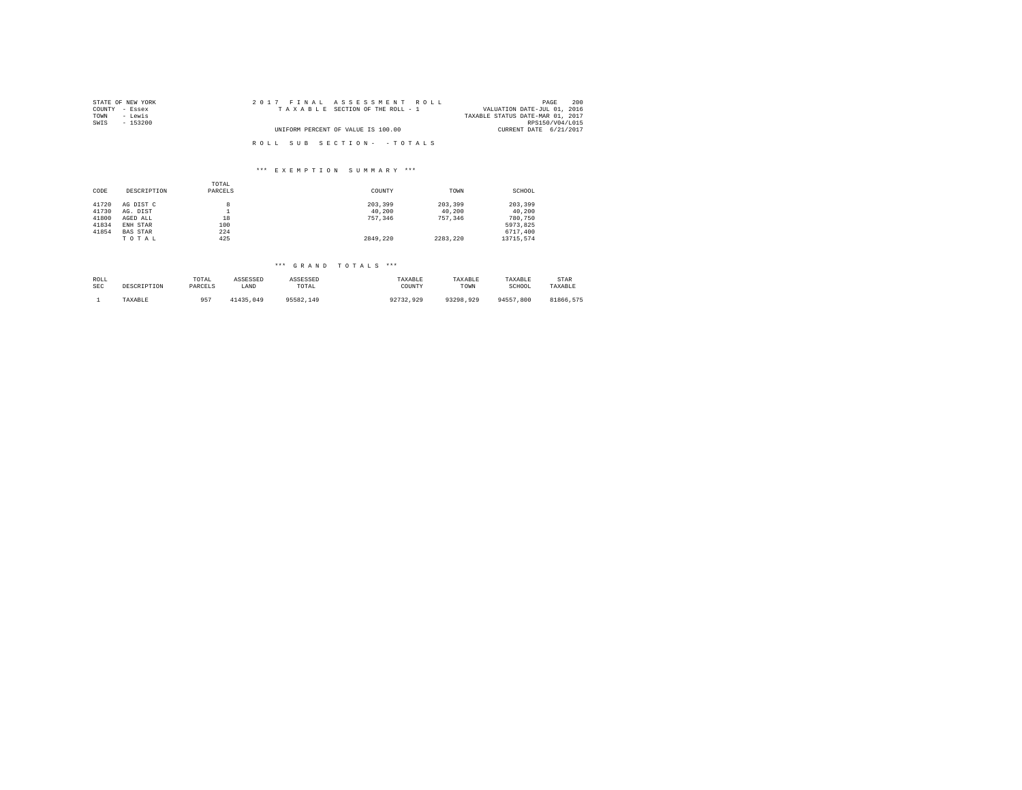| STATE OF NEW YORK | 2017 FINAL ASSESSMENT ROLL         | 200<br>PAGE                      |
|-------------------|------------------------------------|----------------------------------|
| COUNTY - Essex    | TAXABLE SECTION OF THE ROLL - 1    | VALUATION DATE-JUL 01, 2016      |
| TOWN<br>- Lewis   |                                    | TAXABLE STATUS DATE-MAR 01, 2017 |
| SWIS<br>$-153200$ |                                    | RPS150/V04/L015                  |
|                   | UNIFORM PERCENT OF VALUE IS 100.00 | CURRENT DATE 6/21/2017           |
|                   |                                    |                                  |
|                   | ROLL SUB SECTION- - TOTALS         |                                  |

#### \*\*\* E X E M P T I O N S U M M A R Y \*\*\*

|       |                 | TOTAL    |          |          |           |
|-------|-----------------|----------|----------|----------|-----------|
| CODE  | DESCRIPTION     | PARCELS  | COUNTY   | TOWN     | SCHOOL    |
|       |                 |          |          |          |           |
| 41720 | AG DIST C       | 8        | 203,399  | 203,399  | 203,399   |
| 41730 | AG. DIST        | <b>.</b> | 40.200   | 40.200   | 40.200    |
| 41800 | AGED ALL        | 18       | 757.346  | 757.346  | 780.750   |
| 41834 | ENH STAR        | 100      |          |          | 5973.825  |
| 41854 | <b>BAS STAR</b> | 224      |          |          | 6717.400  |
|       | TOTAL           | 425      | 2849.220 | 2283.220 | 13715.574 |

# \*\*\* G R A N D T O T A L S \*\*\*

| ROLL       | DESCRIPTION | TOTAL   | ASSESSED      | ASSESSED  | TAXABLE   | TAXABLE   | TAXABLE       | STAR      |
|------------|-------------|---------|---------------|-----------|-----------|-----------|---------------|-----------|
| <b>SEC</b> |             | PARCELS | LAND          | TOTAL     | COUNTY    | TOWN      | SCHOOL        | TAXABLE   |
|            | TAXABLE     | 957     | +1435<br>.049 | 95582.149 | 92732.929 | 93298.929 | 94557<br>.800 | 81866.575 |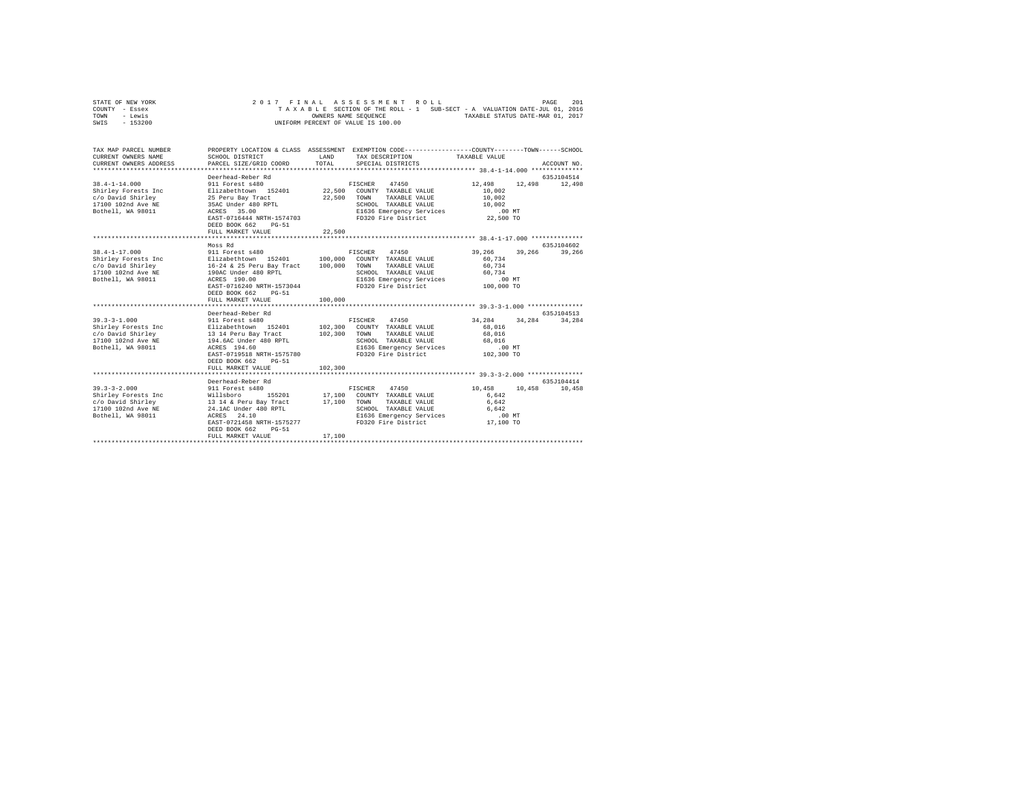|      | STATE OF NEW YORK |  |  |  | 2017 FINAL ASSESSMENT ROLL         |  |  |                                                                          |                                  | PAGE | 2.01 |
|------|-------------------|--|--|--|------------------------------------|--|--|--------------------------------------------------------------------------|----------------------------------|------|------|
|      | COUNTY - Essex    |  |  |  |                                    |  |  | TAXABLE SECTION OF THE ROLL - 1 SUB-SECT - A VALUATION DATE-JUL 01, 2016 |                                  |      |      |
| TOWN | - Lewis           |  |  |  | OWNERS NAME SEOUENCE               |  |  |                                                                          | TAXABLE STATUS DATE-MAR 01, 2017 |      |      |
| SWIS | - 153200          |  |  |  | UNIFORM PERCENT OF VALUE IS 100.00 |  |  |                                                                          |                                  |      |      |

| TAX MAP PARCEL NUMBER<br>CURRENT OWNERS NAME<br>CURRENT OWNERS ADDRESS                                                                                                                                                      | PROPERTY LOCATION & CLASS ASSESSMENT EXEMPTION CODE----------------COUNTY-------TOWN-----SCHOOL<br>SCHOOL DISTRICT<br>PARCEL SIZE/GRID COORD                                                                                                                    | T.AND<br>TOTAL.         | TAX DESCRIPTION TAXABLE VALUE<br>SPECIAL DISTRICTS                                                                                                          |                                                                      | ACCOUNT NO.                 |
|-----------------------------------------------------------------------------------------------------------------------------------------------------------------------------------------------------------------------------|-----------------------------------------------------------------------------------------------------------------------------------------------------------------------------------------------------------------------------------------------------------------|-------------------------|-------------------------------------------------------------------------------------------------------------------------------------------------------------|----------------------------------------------------------------------|-----------------------------|
| $38.4 - 1 - 14.000$<br>Shirley Forests Inc<br>c/o David Shirley<br>17100 102nd Ave NE<br>Bothell, WA 98011                                                                                                                  | Deerhead-Reber Rd<br>911 Forest s480<br>Elizabethtown 152401 22.500 COUNTY TAXABLE VALUE<br>25 Peru Bay Tract<br>35AC Under 480 RPTL<br>ACRES 35.00<br>EAST-0716444 NRTH-1574703 FD320 Fire District 22,500 TO<br>DEED BOOK 662<br>$PG-51$<br>FULL MARKET VALUE | 22,500<br>22,500        | FISCHER 47450<br>TOWN<br>TAXABLE VALUE<br>SCHOOL TAXABLE VALUE 10,002<br>E1636 Emergency Services .00 MT                                                    | 12,498<br>10,002<br>10,002                                           | 635J104514<br>12,498 12,498 |
|                                                                                                                                                                                                                             |                                                                                                                                                                                                                                                                 |                         |                                                                                                                                                             |                                                                      |                             |
| $38.4 - 1 - 17.000$<br>Shirley Forests Inc 51izabethtown 152401 100,000 COUNTY TAXABLE VALUE<br>c/o David Shirley<br>16-24 & 25 Peru Bay Tract<br>17100 102nd Ave NE 190AC Under 480 RPTL<br>Bothell, WA 98011 ACRES 190.00 | Moss Rd<br>911 Forest s480<br>EAST-0716240 NRTH-1573044<br>DEED BOOK 662<br>$PG - 51$<br>FULL MARKET VALUE                                                                                                                                                      | 100.000 TOWN<br>100,000 | FISCHER 47450<br>TAXABLE VALUE<br>SCHOOL TAXABLE VALUE 60,734<br>E1636 Emergency Services .00 MT<br>FD320 Fire District 100,000 TO                          | 39,266<br>39,266<br>60.734<br>60.734                                 | 635.7104602<br>39,266       |
|                                                                                                                                                                                                                             |                                                                                                                                                                                                                                                                 |                         |                                                                                                                                                             |                                                                      |                             |
| $39.3 - 3 - 1.000$<br>Shirley Forests Inc Blizabethtown 152401 102,300<br>Bothell, WA 98011                                                                                                                                 | Deerhead-Reber Rd<br>911 Forest s480<br>ACRES 194.60<br>EAST-0719518 NRTH-1575780<br>DEED BOOK 662 PG-51<br>FULL MARKET VALUE                                                                                                                                   | 102,300                 | FISCHER 47450<br>COUNTY TAXABLE VALUE<br>TAXABLE VALUE<br>SCHOOL TAXABLE VALUE<br>E1636 Emergency Services<br>FD320 Fire District 102.300 TO                | 34,284<br>34,284<br>68,016<br>68,016<br>68,016<br>.00MT              | 635J104513<br>34.284        |
| $39.3 - 3 - 2.000$<br>Bothell, WA 98011                                                                                                                                                                                     | Deerhead-Reber Rd<br>911 Forest s480<br>ACRES 24.10<br>EAST-0721458 NRTH-1575277<br>DEED BOOK 662<br>$PG-51$<br>FULL MARKET VALUE                                                                                                                               | 17,100                  | FISCHER 47450<br>155201 17,100 COUNTY TAXABLE VALUE<br>17,100 TOWN TAXABLE VALUE<br>SCHOOL TAXABLE VALUE<br>E1636 Emergency Services<br>FD320 Fire District | 10,458<br>10,458<br>6.642<br>6.642<br>6,642<br>$.00$ MT<br>17,100 TO | 635J104414<br>10,458        |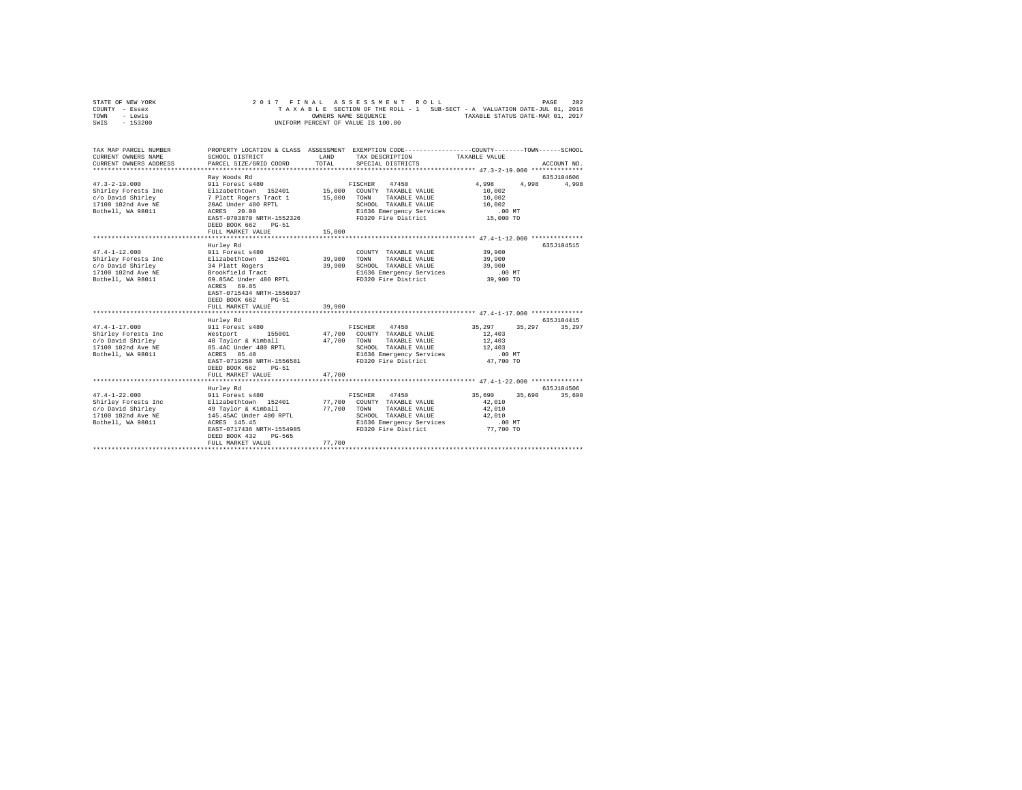|      | STATE OF NEW YORK |  |  | 2017 FINAL ASSESSMENT ROLL         |  |  |  |                                                                          | PAGE | 202 |
|------|-------------------|--|--|------------------------------------|--|--|--|--------------------------------------------------------------------------|------|-----|
|      | COUNTY - Essex    |  |  |                                    |  |  |  | TAXABLE SECTION OF THE ROLL - 1 SUB-SECT - A VALUATION DATE-JUL 01, 2016 |      |     |
| TOWN | - Lewis           |  |  | OWNERS NAME SEOUENCE               |  |  |  | TAXABLE STATUS DATE-MAR 01, 2017                                         |      |     |
| SWIS | - 153200          |  |  | UNIFORM PERCENT OF VALUE IS 100.00 |  |  |  |                                                                          |      |     |
|      |                   |  |  |                                    |  |  |  |                                                                          |      |     |
|      |                   |  |  |                                    |  |  |  |                                                                          |      |     |

| TAX MAP PARCEL NUMBER                                                                                                                                                                                                                                                                                                             |                                                  |             | PROPERTY LOCATION & CLASS ASSESSMENT EXEMPTION CODE----------------COUNTY-------TOWN-----SCHOOL |                 |             |
|-----------------------------------------------------------------------------------------------------------------------------------------------------------------------------------------------------------------------------------------------------------------------------------------------------------------------------------|--------------------------------------------------|-------------|-------------------------------------------------------------------------------------------------|-----------------|-------------|
| CURRENT OWNERS NAME                                                                                                                                                                                                                                                                                                               | SCHOOL DISTRICT                                  | LAND        | TAX DESCRIPTION                                                                                 | TAXABLE VALUE   |             |
| CURRENT OWNERS ADDRESS                                                                                                                                                                                                                                                                                                            | PARCEL SIZE/GRID COORD                           | TOTAL.      | SPECIAL DISTRICTS                                                                               |                 | ACCOUNT NO. |
|                                                                                                                                                                                                                                                                                                                                   |                                                  |             |                                                                                                 |                 |             |
|                                                                                                                                                                                                                                                                                                                                   | Ray Woods Rd                                     |             |                                                                                                 |                 | 635J104606  |
| $47.3 - 2 - 19.000$                                                                                                                                                                                                                                                                                                               | 911 Forest s480                                  |             | FISCHER 47450                                                                                   | 4,998<br>4,998  | 4,998       |
| Shirley Forests Inc                                                                                                                                                                                                                                                                                                               | Elizabethtown 152401 15,000 COUNTY TAXABLE VALUE |             |                                                                                                 | 10,002          |             |
| $\verb c/o David Shirley 20AC Under 480 RPL 1100 102nd Ave NE 20AC Under 480 RPL 1200 102nd Ave NE 20AC Under 480 RPL 2000 RPL 2000 102nd Ave NE 20AC Under 480 RPL 2000 RPL 2000 102nd AveNE 2000 RPL 2000 RPL 2000 RPL 2000 RPL 2000 RPL 2000 RPL 2000 RPL 2000 RPL 2000 RPL 2000 RPL 2000 RPL 2000 RPL 2000 RPL 2000 RPL 2000$ |                                                  |             | TAXABLE VALUE                                                                                   | 10,002          |             |
|                                                                                                                                                                                                                                                                                                                                   |                                                  |             | SCHOOL TAXABLE VALUE                                                                            | 10,002          |             |
| Bothell, WA 98011                                                                                                                                                                                                                                                                                                                 | ACRES 20.00                                      |             | E1636 Emergency Services                                                                        | $.00$ MT        |             |
|                                                                                                                                                                                                                                                                                                                                   | EAST-0703870 NRTH-1552326                        |             | FD320 Fire District                                                                             | 15,000 TO       |             |
|                                                                                                                                                                                                                                                                                                                                   | DEED BOOK 662<br>$PG-51$                         |             |                                                                                                 |                 |             |
|                                                                                                                                                                                                                                                                                                                                   | FULL MARKET VALUE                                | 15,000      |                                                                                                 |                 |             |
|                                                                                                                                                                                                                                                                                                                                   |                                                  |             |                                                                                                 |                 |             |
|                                                                                                                                                                                                                                                                                                                                   | Hurley Rd                                        |             |                                                                                                 |                 | 635J104515  |
| $47.4 - 1 - 12.000$                                                                                                                                                                                                                                                                                                               | 911 Forest s480                                  |             | COUNTY TAXABLE VALUE                                                                            | 39,900          |             |
| Shirley Forests Inc                                                                                                                                                                                                                                                                                                               | Elizabethtown 152401 39,900                      |             | TOWN<br>TAXABLE VALUE                                                                           | 39,900          |             |
| c/o David Shirley                                                                                                                                                                                                                                                                                                                 | 34 Platt Rogers<br>Brookfield Tract              | 39,900      | SCHOOL TAXABLE VALUE                                                                            | 39,900          |             |
| 17100 102nd Ave NE                                                                                                                                                                                                                                                                                                                |                                                  |             | E1636 Emergency Services                                                                        | .00 MT          |             |
| Bothell, WA 98011                                                                                                                                                                                                                                                                                                                 | 69.85AC Under 480 RPTL                           |             | FD320 Fire District                                                                             | 39,900 TO       |             |
|                                                                                                                                                                                                                                                                                                                                   | ACRES 69.85                                      |             |                                                                                                 |                 |             |
|                                                                                                                                                                                                                                                                                                                                   | EAST-0715434 NRTH-1556937                        |             |                                                                                                 |                 |             |
|                                                                                                                                                                                                                                                                                                                                   | DEED BOOK 662<br>$PG-51$                         |             |                                                                                                 |                 |             |
|                                                                                                                                                                                                                                                                                                                                   | FULL MARKET VALUE                                | 39,900      |                                                                                                 |                 |             |
|                                                                                                                                                                                                                                                                                                                                   |                                                  |             |                                                                                                 |                 |             |
|                                                                                                                                                                                                                                                                                                                                   | Hurley Rd                                        |             |                                                                                                 |                 | 635J104415  |
| $47.4 - 1 - 17.000$                                                                                                                                                                                                                                                                                                               | 911 Forest s480                                  |             | FISCHER 47450                                                                                   | 35, 297 35, 297 | 35,297      |
| Shirley Forests Inc                                                                                                                                                                                                                                                                                                               | Westport 155001                                  |             | 47,700 COUNTY TAXABLE VALUE                                                                     | 12,403          |             |
| c/o David Shirley                                                                                                                                                                                                                                                                                                                 | 48 Taylor & Kimball                              | 47.700 TOWN | TAXABLE VALUE                                                                                   | 12,403          |             |
| 17100 102nd Ave NE                                                                                                                                                                                                                                                                                                                | 85.4AC Under 480 RPTL                            |             | SCHOOL TAXABLE VALUE                                                                            | 12,403          |             |
| Bothell, WA 98011                                                                                                                                                                                                                                                                                                                 | ACRES 85.40                                      |             | E1636 Emergency Services                                                                        | $.00$ MT        |             |
|                                                                                                                                                                                                                                                                                                                                   | EAST-0719258 NRTH-1556581                        |             | FD320 Fire District                                                                             | 47,700 TO       |             |
|                                                                                                                                                                                                                                                                                                                                   | DEED BOOK 662<br>$PG-51$                         |             |                                                                                                 |                 |             |
|                                                                                                                                                                                                                                                                                                                                   | FULL MARKET VALUE                                | 47.700      |                                                                                                 |                 |             |
|                                                                                                                                                                                                                                                                                                                                   |                                                  |             |                                                                                                 |                 |             |
|                                                                                                                                                                                                                                                                                                                                   | Hurley Rd                                        |             |                                                                                                 |                 | 635J104506  |
| $47.4 - 1 - 22.000$                                                                                                                                                                                                                                                                                                               | 911 Forest s480                                  |             | FISCHER 47450                                                                                   | 35,690 35,690   | 35,690      |
| Shirley Forests Inc Blizabethtown 152401                                                                                                                                                                                                                                                                                          |                                                  |             | 77.700 COUNTY TAXABLE VALUE                                                                     | 42,010          |             |
| c/o David Shirley 19 Taylor & Kimball<br>17100 102nd Ave NE 145.45AC Under 480 RPTL                                                                                                                                                                                                                                               |                                                  |             | 77,700 TOWN<br>TAXABLE VALUE                                                                    | 42,010          |             |
|                                                                                                                                                                                                                                                                                                                                   |                                                  |             | SCHOOL TAXABLE VALUE                                                                            | 42,010          |             |
| Bothell, WA 98011                                                                                                                                                                                                                                                                                                                 | ACRES 145.45                                     |             | E1636 Emergency Services                                                                        | $.00$ MT        |             |
|                                                                                                                                                                                                                                                                                                                                   | EAST-0717436 NRTH-1554985                        |             | FD320 Fire District                                                                             | 77,700 TO       |             |
|                                                                                                                                                                                                                                                                                                                                   | DEED BOOK 432<br>PG-565                          |             |                                                                                                 |                 |             |
|                                                                                                                                                                                                                                                                                                                                   | FULL MARKET VALUE                                | 77.700      |                                                                                                 |                 |             |
|                                                                                                                                                                                                                                                                                                                                   |                                                  |             |                                                                                                 |                 |             |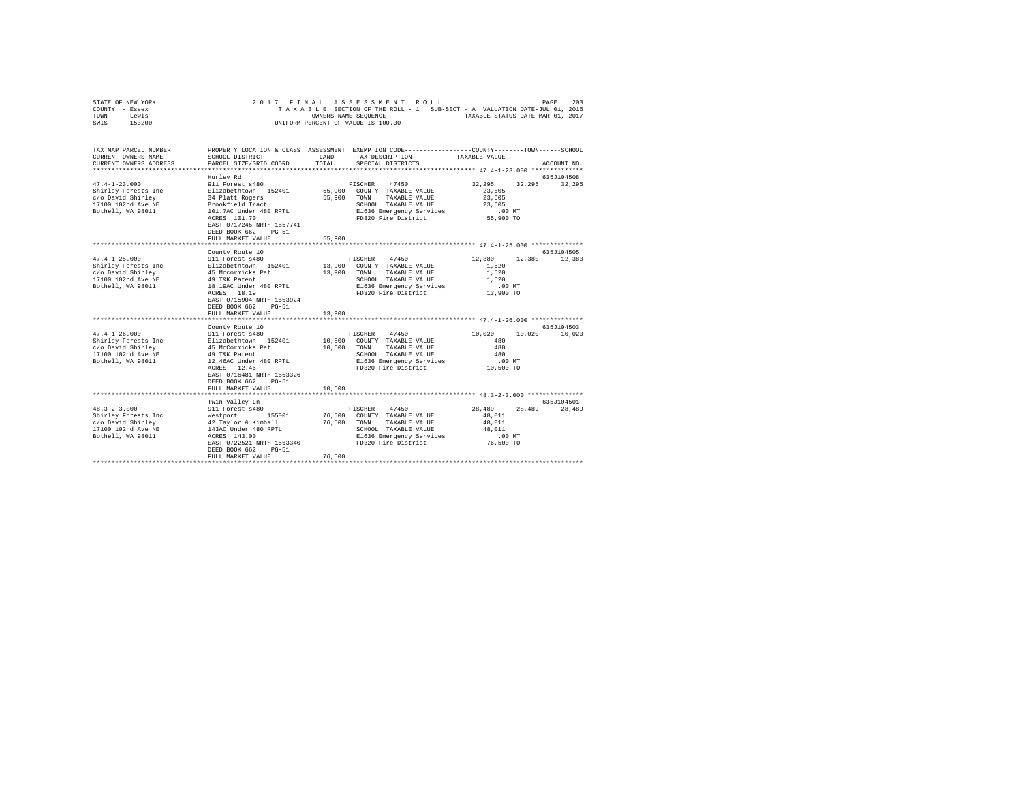| STATE OF NEW YORK | 2017 FINAL ASSESSMENT ROLL                                               | 203<br>PAGE                      |
|-------------------|--------------------------------------------------------------------------|----------------------------------|
| COUNTY - Essex    | TAXABLE SECTION OF THE ROLL - 1 SUB-SECT - A VALUATION DATE-JUL 01, 2016 |                                  |
| TOWN<br>- Lewis   | OWNERS NAME SEOUENCE                                                     | TAXABLE STATUS DATE-MAR 01, 2017 |
| - 153200<br>SWIS  | UNIFORM PERCENT OF VALUE IS 100.00                                       |                                  |

| TAX MAP PARCEL NUMBER<br>CURRENT OWNERS NAME                                                                                                                                                                                                                                                                             | SCHOOL DISTRICT                                                                                         | LAND                  | PROPERTY LOCATION & CLASS ASSESSMENT EXEMPTION CODE----------------COUNTY-------TOWN------SCHOOL<br>TAX DESCRIPTION                                            | TAXABLE VALUE                                                          |                             |
|--------------------------------------------------------------------------------------------------------------------------------------------------------------------------------------------------------------------------------------------------------------------------------------------------------------------------|---------------------------------------------------------------------------------------------------------|-----------------------|----------------------------------------------------------------------------------------------------------------------------------------------------------------|------------------------------------------------------------------------|-----------------------------|
| CURRENT OWNERS ADDRESS                                                                                                                                                                                                                                                                                                   | PARCEL SIZE/GRID COORD                                                                                  | TOTAL                 | SPECIAL DISTRICTS                                                                                                                                              |                                                                        | ACCOUNT NO.                 |
|                                                                                                                                                                                                                                                                                                                          |                                                                                                         |                       |                                                                                                                                                                |                                                                        |                             |
|                                                                                                                                                                                                                                                                                                                          | Hurley Rd<br>ACRES 101.70<br>EAST-0717245 NRTH-1557741<br>DEED BOOK 662 PG-51<br>FULL MARKET VALUE      | 55,900                | E1636 Emergency Services<br>FD320 Fire District                                                                                                                | 32,295 32,295 32,295<br>23,605<br>23,605<br>23,605<br>MT.<br>55,900 TO | 635J104508                  |
|                                                                                                                                                                                                                                                                                                                          |                                                                                                         |                       |                                                                                                                                                                |                                                                        |                             |
| $47.4 - 1 - 25.000$<br>%7.4-1-23.000<br>Shirley Forests Inc = 112abethrown 152401<br>17100 102nd Ave NE = 49 Mccormicks Pat<br>Bothell, WA 98011 = 18.19AC Under 480 RPTL<br>ACRES 18.19                                                                                                                                 | County Route 10<br>911 Forest s480<br>EAST-0715904 NRTH-1553924<br>DEED BOOK 662 PG-51                  |                       | FISCHER 47450<br>13,900 COUNTY TAXABLE VALUE<br>13,900 TOWN TAXABLE VALUE<br>SCHOOL TAXABLE VALUE<br>E1636 Emergency Services<br>FD320 Fire District 13.900 TO | 12,380 12,380<br>1,520<br>1,520<br>1,520<br>.00 MT                     | 635J104505<br>12,380        |
|                                                                                                                                                                                                                                                                                                                          | FULL MARKET VALUE                                                                                       | 13,900                |                                                                                                                                                                |                                                                        |                             |
|                                                                                                                                                                                                                                                                                                                          |                                                                                                         |                       |                                                                                                                                                                |                                                                        |                             |
| 47.4-1-26.000         911 Forest s480               FISCHER   47450<br>Shirley Forests Inc       Elizabethtown  152401      10,500  COUNTY TAXABLE VALUE<br>c/o David Shirley                       45 McCormicks Pat<br>17100 102nd Ave NE                    49 T&K Patent<br>Bothell, WA 98011 12.46AC Under 480 RPTL | County Route 10<br>ACRES 12.46<br>EAST-0716481 NRTH-1553326<br>DEED BOOK 662 PG-51<br>FULL MARKET VALUE | 10,500 TOWN<br>10,500 | TAXABLE VALUE<br>SCHOOL TAXABLE VALUE<br>E1636 Emergency Services<br>FD320 Fire District                                                                       | 10.020<br>480<br>480<br>480<br>$.00$ MT<br>10,500 TO                   | 635J104503<br>10,020 10,020 |
|                                                                                                                                                                                                                                                                                                                          | Twin Valley Ln                                                                                          |                       |                                                                                                                                                                |                                                                        | 635J104501                  |
| 48.3-2-3.000 911 Forest s480<br>Shirley Forests Inc Westport 155001<br>c/o David Shirley 42 Taylor & Kimball                                                                                                                                                                                                             | DEED BOOK 662 PG-51<br>FULL MARKET VALUE                                                                | 76,500 TOWN<br>76,500 | FISCHER<br>47450<br>76,500 COUNTY TAXABLE VALUE<br>TAXABLE VALUE<br>SCHOOL TAXABLE VALUE 48,011                                                                | 28,489<br>28,489<br>48,011<br>48,011                                   | 28,489                      |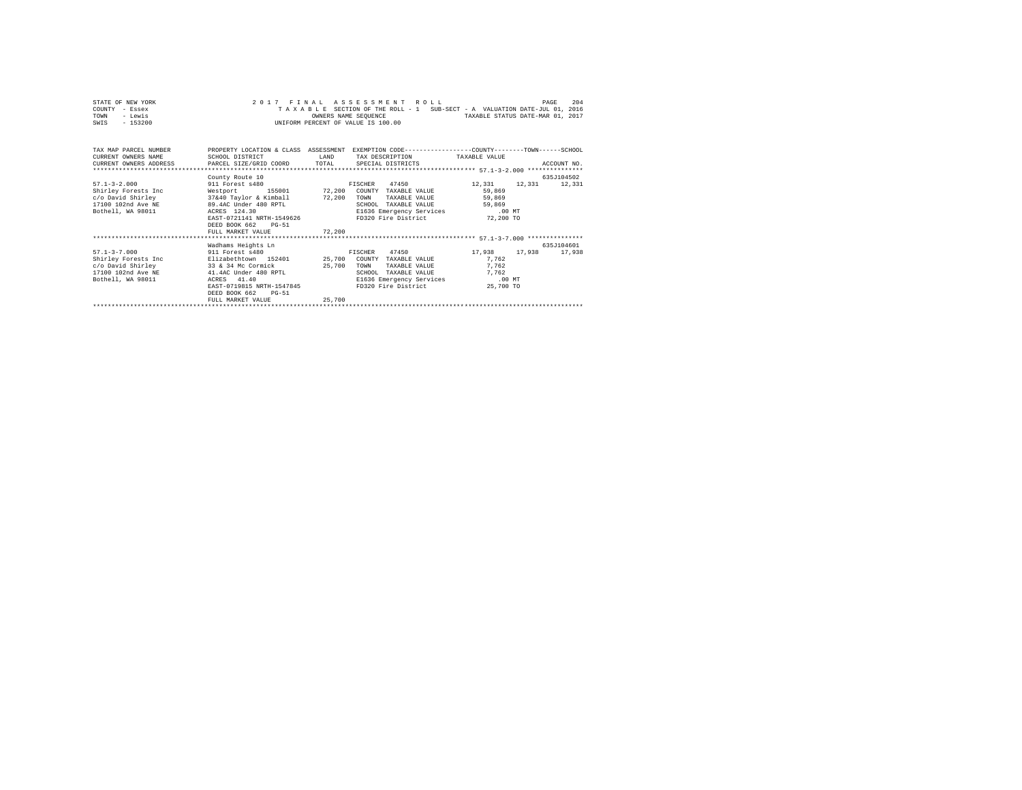| STATE OF NEW YORK | 2017 FINAL ASSESSMENT ROLL                                               | 204<br>PAGE                      |
|-------------------|--------------------------------------------------------------------------|----------------------------------|
| COUNTY - Essex    | TAXABLE SECTION OF THE ROLL - 1 SUB-SECT - A VALUATION DATE-JUL 01, 2016 |                                  |
| TOWN<br>- Lewis   | OWNERS NAME SEOUENCE                                                     | TAXABLE STATUS DATE-MAR 01, 2017 |
| - 153200<br>SWIS  | UNIFORM PERCENT OF VALUE IS 100.00                                       |                                  |

| TAX MAP PARCEL NUMBER<br>CURRENT OWNERS NAME<br>CURRENT OWNERS ADDRESS PARCEL SIZE/GRID COORD                                                    | PROPERTY LOCATION & CLASS ASSESSMENT<br>SCHOOL DISTRICT                                                                                                                                                                 | LAND<br>TOTAL              | EXEMPTION CODE-----------------COUNTY-------TOWN------SCHOOL<br>TAX DESCRIPTION<br>SPECIAL DISTRICTS                                            | TAXABLE VALUE                                                           | ACCOUNT NO.          |
|--------------------------------------------------------------------------------------------------------------------------------------------------|-------------------------------------------------------------------------------------------------------------------------------------------------------------------------------------------------------------------------|----------------------------|-------------------------------------------------------------------------------------------------------------------------------------------------|-------------------------------------------------------------------------|----------------------|
| $57.1 - 3 - 2.000$<br>Shirley Forests Inc<br>c/o David Shirley<br>17100 102nd Ave NE<br>Bothell, WA 98011                                        | County Route 10<br>911 Forest s480<br>155001 72,200<br>Westport<br>37&40 Taylor & Kimball 72,200<br>89.4AC Under 480 RPTL<br>ACRES 124.30<br>EAST-0721141 NRTH-1549626<br>DEED BOOK 662<br>$PG-51$<br>FULL MARKET VALUE | 72,200                     | 47450<br>FISCHER<br>COUNTY TAXABLE VALUE<br>TOWN<br>TAXABLE VALUE<br>SCHOOL<br>TAXABLE VALUE<br>E1636 Emergency Services<br>FD320 Fire District | 12,331<br>12,331<br>59,869<br>59,869<br>59,869<br>$.00$ MT<br>72,200 TO | 635J104502<br>12,331 |
| $57.1 - 3 - 7.000$<br>911 Forest \$480<br>Shirley Forests Inc<br>c/o David Shirley 33 & 34 Mc Cormick<br>17100 102nd Ave NE<br>Bothell, WA 98011 | Wadhams Heights Ln<br>Elizabethtown 152401<br>41.4AC Under 480 RPTL<br>41.40<br>ACRES<br>EAST-0719815 NRTH-1547845<br>DEED BOOK 662<br>$PG-51$<br>FULL MARKET VALUE                                                     | 25,700<br>25,700<br>25,700 | 47450<br>FISCHER<br>COUNTY TAXABLE VALUE<br>TOWN<br>TAXABLE VALUE<br>SCHOOL<br>TAXABLE VALUE<br>E1636 Emergency Services<br>FD320 Fire District | 17,938<br>17.938<br>7.762<br>7.762<br>7.762<br>$.00$ MT<br>25,700 TO    | 635J104601<br>17,938 |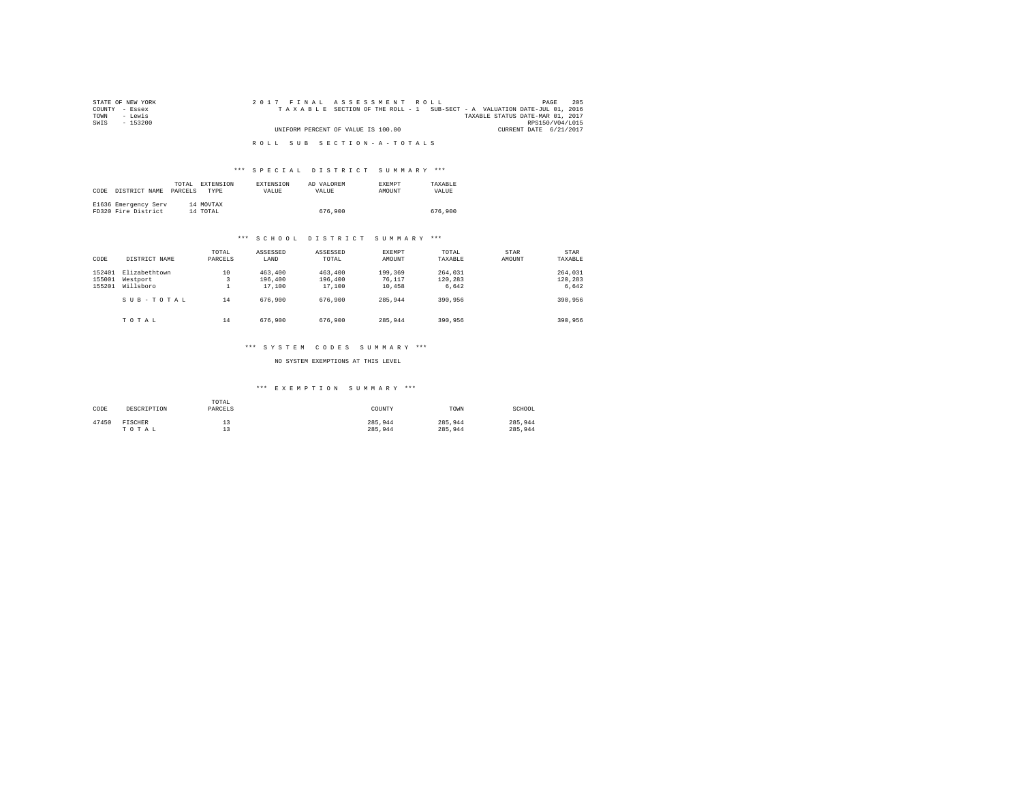| STATE OF NEW YORK | 2017 FINAL ASSESSMENT ROLL                                               | 205<br>PAGE     |
|-------------------|--------------------------------------------------------------------------|-----------------|
| COUNTY - Essex    | TAXABLE SECTION OF THE ROLL - 1 SUB-SECT - A VALUATION DATE-JUL 01, 2016 |                 |
| TOWN<br>siwe.T    | TAXABLE STATUS DATE-MAR 01, 2017                                         |                 |
| SWIS<br>$-153200$ |                                                                          | RPS150/V04/L015 |
|                   | UNIFORM PERCENT OF VALUE IS 100.00<br>CURRENT DATE 6/21/2017             |                 |
|                   |                                                                          |                 |
|                   | ROLL SUB SECTION-A-TOTALS                                                |                 |

# \*\*\* S P E C I A L D I S T R I C T S U M M A R Y \*\*\*

| CODE | DISTRICT NAME                               | TOTAL.<br>PARCELS | EXTENSION<br><b>TYPE</b> | EXTENSION<br>VALUE | AD VALOREM<br>VALUE | <b>EXEMPT</b><br>AMOUNT | TAXARLE<br>VALUE |
|------|---------------------------------------------|-------------------|--------------------------|--------------------|---------------------|-------------------------|------------------|
|      | E1636 Emergency Serv<br>FD320 Fire District |                   | 14 MOVTAX<br>14 TOTAL    |                    | 676,900             |                         | 676,900          |

### \*\*\* S C H O O L D I S T R I C T S U M M A R Y \*\*\*

| CODE                       | DISTRICT NAME                                       | TOTAL<br>PARCELS | ASSESSED<br>LAND                        | ASSESSED<br>TOTAL                       | EXEMPT<br>AMOUNT                       | TOTAL<br>TAXABLE                       | STAR<br>AMOUNT | STAR<br>TAXABLE                        |
|----------------------------|-----------------------------------------------------|------------------|-----------------------------------------|-----------------------------------------|----------------------------------------|----------------------------------------|----------------|----------------------------------------|
| 152401<br>155001<br>155201 | Elizabethtown<br>Westport<br>Willsboro<br>SUB-TOTAL | 10<br>14         | 463,400<br>196,400<br>17,100<br>676,900 | 463,400<br>196,400<br>17,100<br>676,900 | 199,369<br>76.117<br>10,458<br>285.944 | 264,031<br>120.283<br>6.642<br>390,956 |                | 264,031<br>120,283<br>6.642<br>390,956 |
|                            | TOTAL                                               | 14               | 676,900                                 | 676,900                                 | 285,944                                | 390,956                                |                | 390,956                                |

## \*\*\* S Y S T E M C O D E S S U M M A R Y \*\*\*

### NO SYSTEM EXEMPTIONS AT THIS LEVEL

# \*\*\* E X E M P T I O N S U M M A R Y \*\*\*

| CODE  | DESCRIPTION | TOTAL<br>PARCELS | COUNTY  | TOWN    | SCHOOL  |
|-------|-------------|------------------|---------|---------|---------|
| 47450 | FISCHER     | --               | 285.944 | 285.944 | 285.944 |
|       | TOTAL       | --               | 285.944 | 285.944 | 285.944 |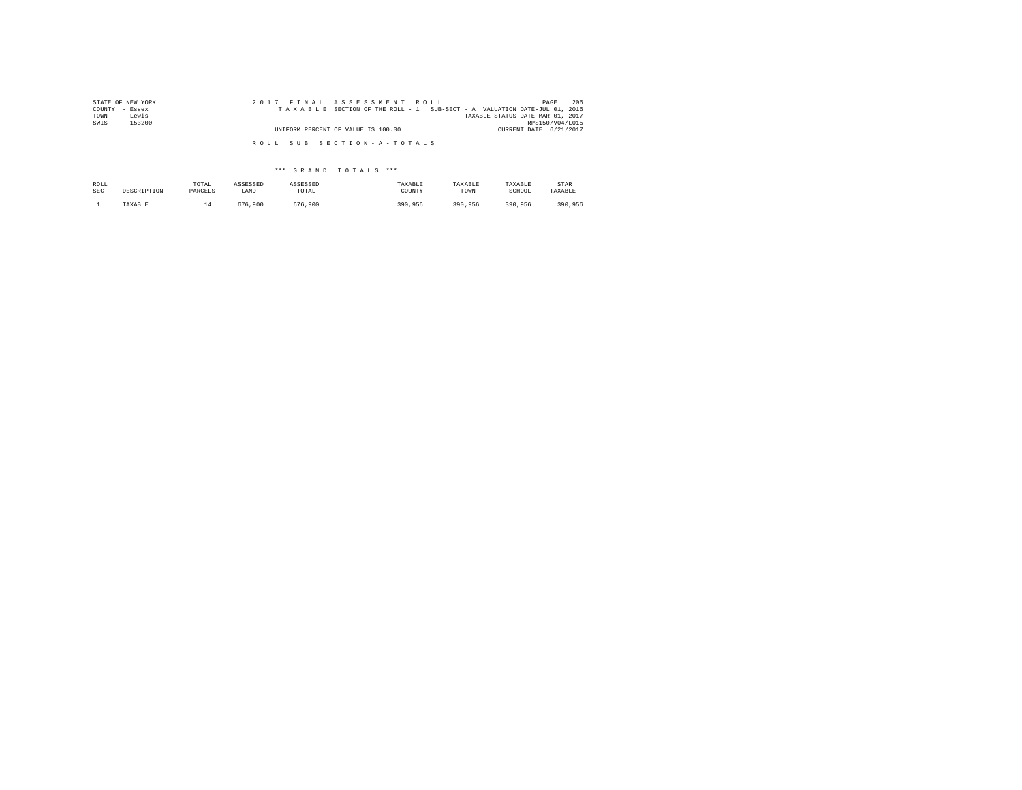| STATE OF NEW YORK | 2017 FINAL ASSESSMENT ROLL                                               | 206<br>PAGE                      |
|-------------------|--------------------------------------------------------------------------|----------------------------------|
| COUNTY - Essex    | TAXABLE SECTION OF THE ROLL - 1 SUB-SECT - A VALUATION DATE-JUL 01, 2016 |                                  |
| - Lewis<br>TOWN   |                                                                          | TAXABLE STATUS DATE-MAR 01, 2017 |
| SWIS<br>$-153200$ |                                                                          | RPS150/V04/L015                  |
|                   | UNIFORM PERCENT OF VALUE IS 100.00                                       | CURRENT DATE 6/21/2017           |
|                   |                                                                          |                                  |
|                   | ROLL SUB SECTION-A-TOTALS                                                |                                  |

\*\*\* G R A N D T O T A L S \*\*\*

| ROLL       | DESCRIPTION | TOTAL   | ASSESSED | ASSESSED | TAXABLE | TAXABLE | TAXABLE | STAR    |
|------------|-------------|---------|----------|----------|---------|---------|---------|---------|
| <b>SEC</b> |             | PARCELS | LAND     | TOTAL    | COUNTY  | TOWN    | SCHOOL  | TAXABLE |
|            | TAXABLE     | ∸       | 676.900  | 676.900  | 390.956 | 390.956 | 390.956 | 390.956 |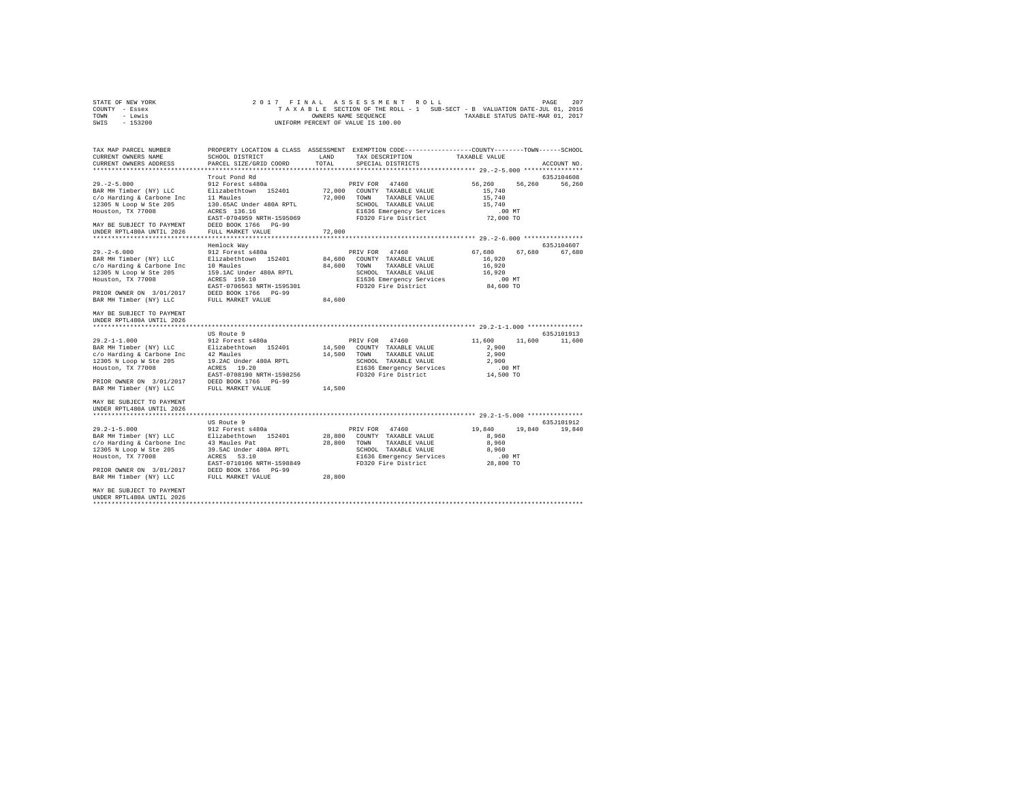|                | STATE OF NEW YORK |  |  |  | 2017 FINAL ASSESSMENT ROLL         |  |  |  |                                                                          | PAGE | 207 |
|----------------|-------------------|--|--|--|------------------------------------|--|--|--|--------------------------------------------------------------------------|------|-----|
| COUNTY - Essex |                   |  |  |  |                                    |  |  |  | TAXABLE SECTION OF THE ROLL - 1 SUB-SECT - B VALUATION DATE-JUL 01, 2016 |      |     |
| TOWN           | - Lewis           |  |  |  | OWNERS NAME SEOUENCE               |  |  |  | TAXABLE STATUS DATE-MAR 01, 2017                                         |      |     |
| SWIS           | $-153200$         |  |  |  | UNIFORM PERCENT OF VALUE IS 100.00 |  |  |  |                                                                          |      |     |

| TAX MAP PARCEL NUMBER<br>CURRENT OWNERS NAME<br>CURRENT OWNERS ADDRESS<br>************************                                                                                                                                                                          | SCHOOL DISTRICT<br>PARCEL SIZE/GRID COORD                                                                                                                                                    | LAND<br>TOTAL              | PROPERTY LOCATION & CLASS ASSESSMENT EXEMPTION CODE---------------COUNTY-------TOWN-----SCHOOL<br>TAX DESCRIPTION<br>SPECIAL DISTRICTS            | TAXABLE VALUE                                                         | ACCOUNT NO.          |
|-----------------------------------------------------------------------------------------------------------------------------------------------------------------------------------------------------------------------------------------------------------------------------|----------------------------------------------------------------------------------------------------------------------------------------------------------------------------------------------|----------------------------|---------------------------------------------------------------------------------------------------------------------------------------------------|-----------------------------------------------------------------------|----------------------|
| $29. - 2 - 5.000$<br>BAR MH Timber (NY) LLC<br>c/o Harding & Carbone Inc<br>12305 N Loop W Ste 205<br>Houston, TX 77008<br>MAY BE SUBJECT TO PAYMENT<br>UNDER RPTL480A UNTIL 2026                                                                                           | Trout Pond Rd<br>912 Forest s480a<br>Elizabethtown 152401<br>11 Maules<br>130.65AC Under 480A RPTL<br>ACRES 136.16<br>EAST-0704959 NRTH-1595069<br>DEED BOOK 1766 PG-99<br>FULL MARKET VALUE | 72,000<br>72,000           | PRIV FOR 47460<br>72,000 COUNTY TAXABLE VALUE<br>TOWN<br>TAXABLE VALUE<br>SCHOOL TAXABLE VALUE<br>E1636 Emergency Services<br>FD320 Fire District | 56.260<br>56,260<br>15,740<br>15,740<br>15,740<br>.00 MT<br>72,000 TO | 635J104608<br>56,260 |
| $29. - 2 - 6.000$<br>BAR MH Timber (NY) LLC<br>c/o Harding & Carbone Inc<br>12305 N Loop W Ste 205<br>Houston, TX 77008<br>PRIOR OWNER ON 3/01/2017<br>BAR MH Timber (NY) LLC                                                                                               | Hemlock Way<br>912 Forest s480a<br>Elizabethtown 152401<br>10 Maules<br>159.1AC Under 480A RPTL<br>ACRES 159.10<br>EAST-0706563 NRTH-1595301<br>DEED BOOK 1766 PG-99<br>FULL MARKET VALUE    | 84,600<br>84,600<br>84,600 | PRIV FOR 47460<br>COUNTY TAXABLE VALUE<br>TOWN<br>TAXABLE VALUE<br>SCHOOL TAXABLE VALUE<br>E1636 Emergency Services<br>FD320 Fire District        | 67,680<br>67.680<br>16,920<br>16,920<br>16,920<br>.00 MT<br>84,600 TO | 635J104607<br>67.680 |
| MAY BE SUBJECT TO PAYMENT<br>UNDER RPTL480A UNTIL 2026<br>************************<br>$29.2 - 1 - 1.000$<br>BAR MH Timber (NY) LLC<br>c/o Harding & Carbone Inc<br>12305 N Loop W Ste 205<br>Houston, TX 77008<br>PRIOR OWNER ON 3/01/2017<br>BAR MH Timber (NY) LLC        | US Route 9<br>912 Forest s480a<br>Elizabethtown 152401<br>nc 42 Maules<br>19.2AC Under 480A RPTL<br>ACRES 19.20<br>EAST-0708190 NRTH-1598256<br>DEED BOOK 1766 PG-99<br>FULL MARKET VALUE    | 14,500<br>14,500           | PRIV FOR 47460<br>14,500 COUNTY TAXABLE VALUE<br>TOWN<br>TAXABLE VALUE<br>SCHOOL TAXABLE VALUE<br>E1636 Emergency Services<br>FD320 Fire District | 11,600<br>11,600<br>2,900<br>2,900<br>2,900<br>$.00$ MT<br>14,500 TO  | 635J101913<br>11,600 |
| MAY BE SUBJECT TO PAYMENT<br>UNDER RPTL480A UNTIL 2026<br>$29.2 - 1 - 5.000$<br>BAR MH Timber (NY) LLC Blizabethtown 152401<br>c/o Harding & Carbone Inc 43 Maules Pat<br>12305 N Loop W Ste 205<br>Houston, TX 77008<br>PRIOR OWNER ON 3/01/2017<br>BAR MH Timber (NY) LLC | US Route 9<br>912 Forest s480a<br>39.5AC Under 480A RPTL<br>ACRES<br>53.10<br>EAST-0710106 NRTH-1598849<br>DEED BOOK 1766 PG-99<br>FULL MARKET VALUE                                         | 28,800<br>28,800           | PRIV FOR 47460<br>28,800 COUNTY TAXABLE VALUE<br>TOWN TAXABLE VALUE<br>SCHOOL TAXABLE VALUE<br>E1636 Emergency Services<br>FD320 Fire District    | 19,840<br>19,840<br>8,960<br>8,960<br>8,960<br>$.00$ MT<br>28,800 TO  | 635J101912<br>19,840 |
| MAY BE SUBJECT TO PAYMENT<br>UNDER RPTL480A UNTIL 2026<br>                                                                                                                                                                                                                  |                                                                                                                                                                                              |                            |                                                                                                                                                   |                                                                       |                      |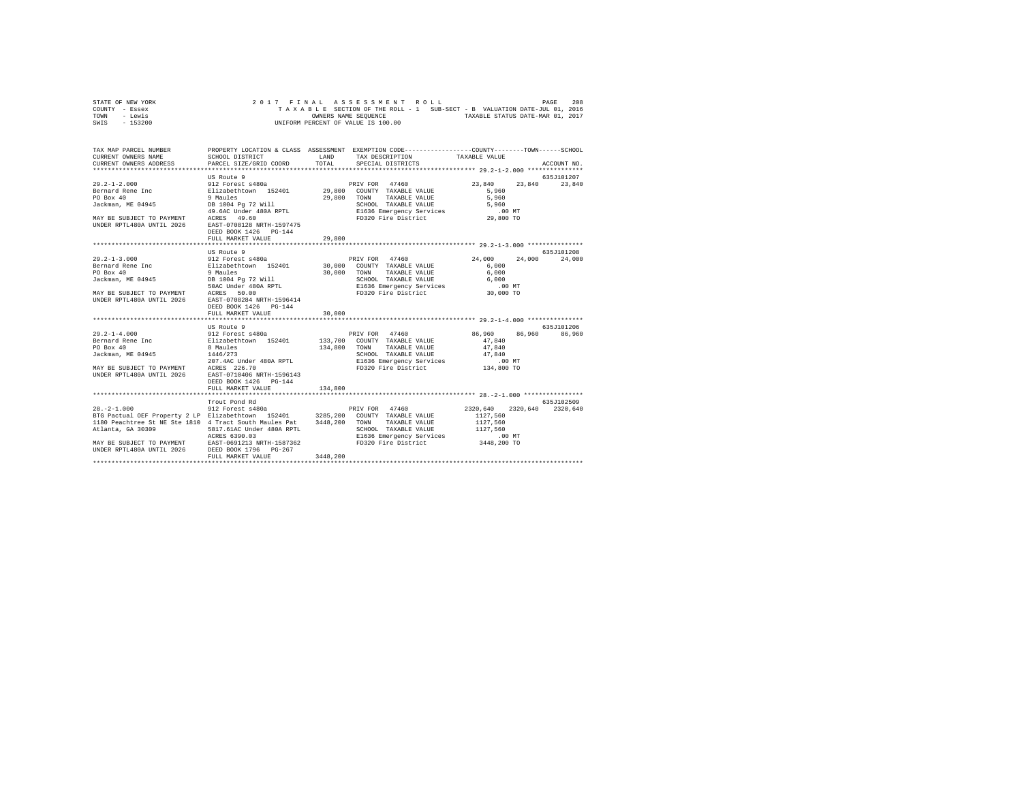| STATE OF NEW YORK |  |  |  | 2017 FINAL ASSESSMENT ROLL         |  |  |  |                                                                          | PAGE | 208 |
|-------------------|--|--|--|------------------------------------|--|--|--|--------------------------------------------------------------------------|------|-----|
| COUNTY - Essex    |  |  |  |                                    |  |  |  | TAXABLE SECTION OF THE ROLL - 1 SUB-SECT - B VALUATION DATE-JUL 01, 2016 |      |     |
| TOWN<br>- Lewis   |  |  |  | OWNERS NAME SEOUENCE               |  |  |  | TAXABLE STATUS DATE-MAR 01, 2017                                         |      |     |
| - 153200<br>SWIS  |  |  |  | UNIFORM PERCENT OF VALUE IS 100.00 |  |  |  |                                                                          |      |     |

| TAX MAP PARCEL NUMBER<br>CURRENT OWNERS NAME<br>CURRENT OWNERS ADDRESS PARCEL SIZE/GRID COORD                                                                                                                                                                                                                                                                                                                                      | SCHOOL DISTRICT                                                                   | LAND<br>TOTAL          | PROPERTY LOCATION & CLASS ASSESSMENT EXEMPTION CODE---------------COUNTY-------TOWN------SCHOOL<br>TAX DESCRIPTION TAXABLE VALUE SPECIAL DISTRICTS |                                | ACCOUNT NO.          |
|------------------------------------------------------------------------------------------------------------------------------------------------------------------------------------------------------------------------------------------------------------------------------------------------------------------------------------------------------------------------------------------------------------------------------------|-----------------------------------------------------------------------------------|------------------------|----------------------------------------------------------------------------------------------------------------------------------------------------|--------------------------------|----------------------|
|                                                                                                                                                                                                                                                                                                                                                                                                                                    |                                                                                   |                        |                                                                                                                                                    |                                |                      |
|                                                                                                                                                                                                                                                                                                                                                                                                                                    | US Route 9                                                                        |                        |                                                                                                                                                    | 23,840 23,840 23,840           | 635J101207           |
|                                                                                                                                                                                                                                                                                                                                                                                                                                    |                                                                                   |                        |                                                                                                                                                    |                                |                      |
| MAY BE SUBJECT TO PAYMENT ACRES 49.60<br>UNDER RPTL480A UNTIL 2026 EAST-0708128 NRTH-1597475                                                                                                                                                                                                                                                                                                                                       | DEED BOOK 1426 PG-144                                                             | 29,800                 |                                                                                                                                                    |                                |                      |
|                                                                                                                                                                                                                                                                                                                                                                                                                                    | FULL MARKET VALUE                                                                 |                        |                                                                                                                                                    |                                |                      |
|                                                                                                                                                                                                                                                                                                                                                                                                                                    | US Route 9                                                                        |                        |                                                                                                                                                    |                                | 635J101208           |
| UNDER RPTL480A UNTIL 2026 EAST-0708284 NRTH-1596414<br>29.2-1-4.000   912 Forest s480a   PRIV FOR 47460<br>Bernard Rene Inc   Elizabethtown 152401   133,700   COUNTY TAXABLE VALUE                                                                                                                                                                                                                                                | DEED BOOK 1426 PG-144<br>FULL MARKET VALUE<br>US Route 9<br>DEED BOOK 1426 PG-144 | 30,000<br>134,800 TOWN |                                                                                                                                                    | 86,960 86,960 86,960<br>47.840 | 24,000<br>635J101206 |
|                                                                                                                                                                                                                                                                                                                                                                                                                                    | FULL MARKET VALUE                                                                 | 134,800                |                                                                                                                                                    |                                |                      |
|                                                                                                                                                                                                                                                                                                                                                                                                                                    | Trout Pond Rd                                                                     |                        |                                                                                                                                                    |                                | 635.7102509          |
| $28. - 2 - 1.000$<br>BTG Pactual OEF Property 2 LP Elizabethtown 152401 3285,200 COUNTY TAXABLE VALUE<br>1180 Peachtree St NE Ste 1810 4 Tract South Maules Pat 3448,200 TOWN TAXABLE VALUE<br>MAY BE SUBJECT TO PAYMENT<br>MAY BE SUBJECT TO PAYMENT RORES 6390.03 SCHOOL TAXABLE VALUE 1127,560<br>MAY BE SUBJECT TO PAYMENT RARES 6390.03 E1636 Emergency Services<br>NDER RPTL480A UNTIL 2026 DEED BOOK 1796 PG-267 PD320 Fire | 912 Forest s480a                                                                  |                        | PRIV FOR 47460 2320.640 2320.640 2320.640                                                                                                          | 1127.560                       |                      |
|                                                                                                                                                                                                                                                                                                                                                                                                                                    |                                                                                   |                        |                                                                                                                                                    |                                |                      |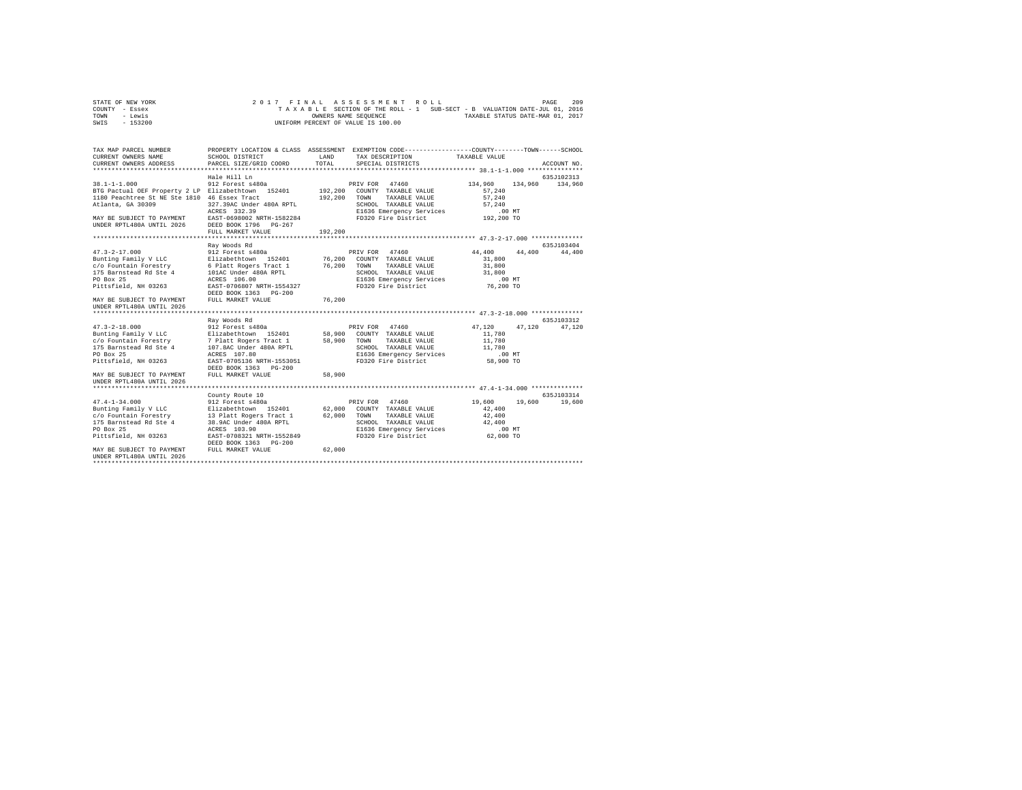| STATE OF NEW YORK | 2017 FINAL ASSESSMENT ROLL                                               | 209<br>PAGE                      |
|-------------------|--------------------------------------------------------------------------|----------------------------------|
| COUNTY - Essex    | TAXABLE SECTION OF THE ROLL - 1 SUB-SECT - B VALUATION DATE-JUL 01, 2016 |                                  |
| TOWN<br>- Lewis   | OWNERS NAME SEOUENCE                                                     | TAXABLE STATUS DATE-MAR 01, 2017 |
| $-153200$<br>SWIS | UNIFORM PERCENT OF VALUE IS 100.00                                       |                                  |

| TAX MAP PARCEL NUMBER<br>CURRENT OWNERS NAME<br>CURRENT OWNERS ADDRESS                                                      | SCHOOL DISTRICT<br>PARCEL SIZE/GRID COORD | LAND<br>TOTAL | PROPERTY LOCATION & CLASS ASSESSMENT EXEMPTION CODE---------------COUNTY-------TOWN------SCHOOL<br>TAX DESCRIPTION<br>SPECIAL DISTRICTS | TAXABLE VALUE      | ACCOUNT NO.                 |
|-----------------------------------------------------------------------------------------------------------------------------|-------------------------------------------|---------------|-----------------------------------------------------------------------------------------------------------------------------------------|--------------------|-----------------------------|
|                                                                                                                             |                                           |               |                                                                                                                                         |                    |                             |
|                                                                                                                             | Hale Hill Ln                              |               |                                                                                                                                         |                    | 635J102313                  |
| $38.1 - 1 - 1.000$                                                                                                          | 912 Forest s480a                          |               | PRIV FOR 47460                                                                                                                          | 134,960<br>134,960 | 134,960                     |
| BTG Pactual OEF Property 2 LP Elizabethtown 152401 192,200 COUNTY TAXABLE VALUE                                             |                                           |               |                                                                                                                                         | 57.240             |                             |
| 1180 Peachtree St NE Ste 1810 46 Essex Tract                                                                                |                                           | 192,200       | TAXABLE VALUE<br>TOWN                                                                                                                   | 57,240             |                             |
| Atlanta, GA 30309                                                                                                           | 327.39AC Under 480A RPTL                  |               | SCHOOL TAXABLE VALUE                                                                                                                    | 57.240             |                             |
|                                                                                                                             | ACRES 332.39                              |               | E1636 Emergency Services 6 192,200 MT<br>FD320 Fire District 192,200 TO                                                                 |                    |                             |
| MAY BE SUBJECT TO PAYMENT EAST-0698002 NRTH-1582284                                                                         |                                           |               |                                                                                                                                         |                    |                             |
| UNDER RPTL480A UNTIL 2026 DEED BOOK 1796 PG-267                                                                             |                                           |               |                                                                                                                                         |                    |                             |
|                                                                                                                             | FULL MARKET VALUE                         | 192,200       |                                                                                                                                         |                    |                             |
|                                                                                                                             |                                           |               |                                                                                                                                         |                    |                             |
|                                                                                                                             | Ray Woods Rd                              |               |                                                                                                                                         |                    | 635J103404                  |
| 47.3-2-17.000 912 Forest s480a<br>Bunting Family V LLC Blizabethtown 152401<br>C/O Fountain Forestry 6 Platt Rogers Tract 1 |                                           |               | PRIV FOR 47460                                                                                                                          | 44,400<br>44.400   | 44,400                      |
|                                                                                                                             |                                           |               | 76,200 COUNTY TAXABLE VALUE                                                                                                             | 31,800             |                             |
|                                                                                                                             |                                           | $76\,, 200$   | TOWN<br>TAXABLE VALUE                                                                                                                   | 31,800             |                             |
| 175 Barnstead Rd Ste 4                                                                                                      | 101AC Under 480A RPTL                     |               | SCHOOL TAXABLE VALUE                                                                                                                    | 31,800             |                             |
| PO Box 25                                                                                                                   | ACRES 106.00<br>EAST-0706807 NRTH-1554327 |               |                                                                                                                                         |                    |                             |
| Pittsfield, NH 03263                                                                                                        | DEED BOOK 1363 PG-200                     |               |                                                                                                                                         |                    |                             |
| MAY BE SUBJECT TO PAYMENT                                                                                                   | FULL MARKET VALUE                         | 76,200        |                                                                                                                                         |                    |                             |
| UNDER RPTL480A UNTIL 2026                                                                                                   |                                           |               |                                                                                                                                         |                    |                             |
|                                                                                                                             |                                           |               |                                                                                                                                         |                    |                             |
|                                                                                                                             | Rav Woods Rd                              |               |                                                                                                                                         |                    | 635J103312                  |
| $47.3 - 2 - 18.000$                                                                                                         | 912 Forest s480a                          |               | PRIV FOR 47460                                                                                                                          | 47.120<br>47.120   | 47.120                      |
|                                                                                                                             |                                           |               |                                                                                                                                         | 11,780             |                             |
|                                                                                                                             |                                           |               |                                                                                                                                         | 11,780             |                             |
| 175 Barnstead Rd Ste 4                                                                                                      | 107.8AC Under 480A RPTL                   |               | SCHOOL TAXABLE VALUE                                                                                                                    | 11,780             |                             |
| PO Box 25                                                                                                                   | ACRES 107.80                              |               | E1636 Emergency Services<br>FD320 Fire District                                                                                         | .00 MT             |                             |
| Pittsfield, NH 03263                                                                                                        | EAST-0705136 NRTH-1553051                 |               |                                                                                                                                         | 58,900 TO          |                             |
|                                                                                                                             | DEED BOOK 1363 PG-200                     |               |                                                                                                                                         |                    |                             |
| MAY BE SUBJECT TO PAYMENT                                                                                                   | FULL MARKET VALUE                         | 58,900        |                                                                                                                                         |                    |                             |
| UNDER RPTL480A UNTIL 2026                                                                                                   |                                           |               |                                                                                                                                         |                    |                             |
|                                                                                                                             |                                           |               |                                                                                                                                         |                    |                             |
| $47.4 - 1 - 34.000$                                                                                                         | County Route 10<br>912 Forest s480a       |               | PRIV FOR 47460                                                                                                                          | 19,600             | 635J103314<br>19,600 19,600 |
| Bunting Family V LLC Elizabethtown 152401 62,000 COUNTY TAXABLE VALUE                                                       |                                           |               |                                                                                                                                         | 42,400             |                             |
|                                                                                                                             |                                           |               | TAXABLE VALUE                                                                                                                           | 42,400             |                             |
| c/o Fountain Forestry 13 Platt Rogers Tract 1 62,000 TOWN<br>175 Barnstead Rd Ste 4 38.9AC Under 480A RPTL 5CHOC            |                                           |               | SCHOOL TAXABLE VALUE                                                                                                                    | 42,400             |                             |
| PO Box 25                                                                                                                   | ACRES 103.90                              |               | E1636 Emergency Services .00 MT                                                                                                         |                    |                             |
| Pittsfield, NH 03263                                                                                                        | EAST-0708321 NRTH-1552849                 |               | FD320 Fire District                                                                                                                     | 62,000 TO          |                             |
|                                                                                                                             | DEED BOOK 1363 PG-200                     |               |                                                                                                                                         |                    |                             |
| MAY BE SUBJECT TO PAYMENT                                                                                                   | FULL MARKET VALUE                         | 62,000        |                                                                                                                                         |                    |                             |
| UNDER RPTL480A UNTIL 2026                                                                                                   |                                           |               |                                                                                                                                         |                    |                             |
|                                                                                                                             |                                           |               |                                                                                                                                         |                    |                             |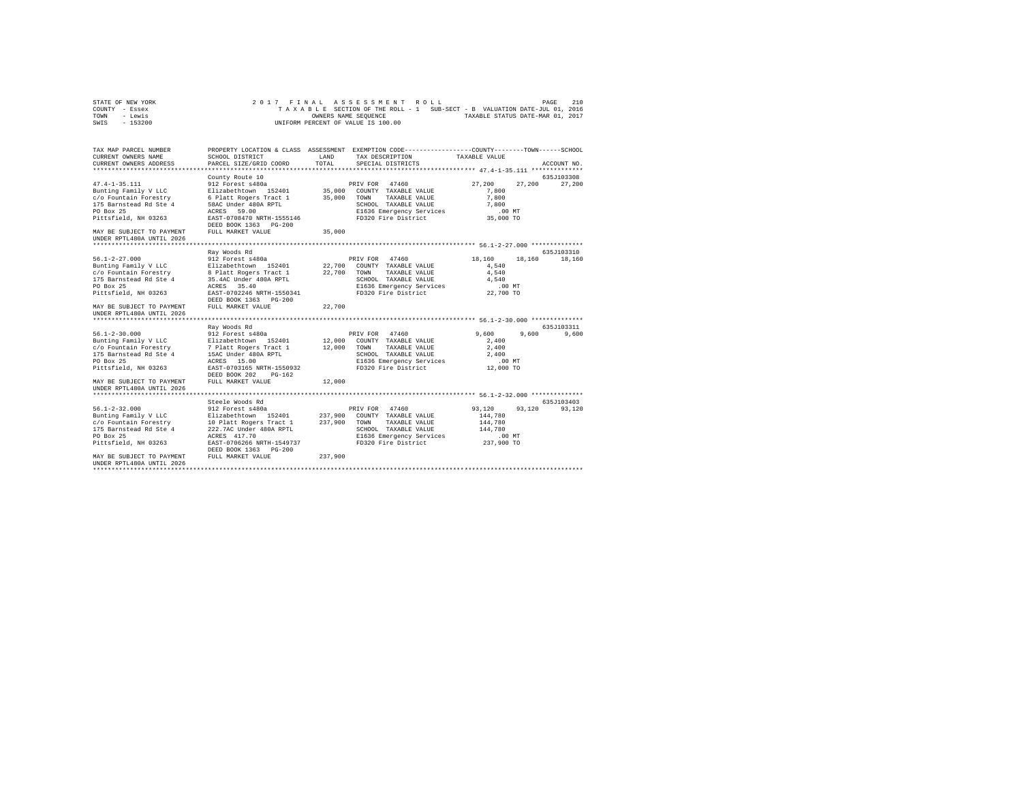| STATE OF NEW YORK | 2017 FINAL ASSESSMENT ROLL                                               | PAGE | 210 |
|-------------------|--------------------------------------------------------------------------|------|-----|
| COUNTY - Essex    | TAXABLE SECTION OF THE ROLL - 1 SUB-SECT - B VALUATION DATE-JUL 01, 2016 |      |     |
| TOWN<br>- Lewis   | TAXABLE STATUS DATE-MAR 01, 2017<br>OWNERS NAME SEOUENCE                 |      |     |
| - 153200<br>SWIS  | UNIFORM PERCENT OF VALUE IS 100.00                                       |      |     |

| TAX MAP PARCEL NUMBER                                                                         |                                                        |               | PROPERTY LOCATION & CLASS ASSESSMENT EXEMPTION CODE---------------COUNTY-------TOWN------SCHOOL |                  |             |
|-----------------------------------------------------------------------------------------------|--------------------------------------------------------|---------------|-------------------------------------------------------------------------------------------------|------------------|-------------|
| CURRENT OWNERS NAME                                                                           | SCHOOL DISTRICT                                        | LAND<br>TOTAL | TAX DESCRIPTION<br>SPECIAL DISTRICTS                                                            | TAXABLE VALUE    |             |
| CURRENT OWNERS ADDRESS                                                                        | PARCEL SIZE/GRID COORD                                 |               |                                                                                                 |                  | ACCOUNT NO. |
|                                                                                               | County Route 10                                        |               |                                                                                                 |                  | 635J103308  |
| $47.4 - 1 - 35.111$                                                                           | 912 Forest s480a                                       |               | PRIV FOR 47460                                                                                  | 27,200<br>27.200 | 27,200      |
| Bunting Family V LLC                                                                          | Elizabethtown 152401                                   |               | 35,000 COUNTY TAXABLE VALUE                                                                     | 7,800            |             |
| c/o Fountain Forestry                                                                         | 6 Platt Rogers Tract 1                                 | 35,000 TOWN   | TAXABLE VALUE                                                                                   | 7,800            |             |
| 175 Barnstead Rd Ste 4                                                                        | 58AC Under 480A RPTL                                   |               | SCHOOL TAXABLE VALUE                                                                            | 7,800            |             |
| PO Box 25                                                                                     | ACRES 59.00                                            |               | E1636 Emergency Services                                                                        | $.00$ MT         |             |
| Pittsfield, NH 03263                                                                          | EAST-0708470 NRTH-1555146<br>DEED BOOK 1363 PG-200     |               | FD320 Fire District                                                                             | 35,000 TO        |             |
| MAY BE SUBJECT TO PAYMENT                                                                     | FULL MARKET VALUE                                      | 35,000        |                                                                                                 |                  |             |
| UNDER RPTL480A UNTIL 2026                                                                     |                                                        |               |                                                                                                 |                  |             |
|                                                                                               |                                                        |               |                                                                                                 |                  |             |
|                                                                                               | Ray Woods Rd                                           |               |                                                                                                 |                  | 635J103310  |
| 56.1-2-27.000                                                                                 | 912 Forest s480a<br>Elizabethtown 152401               |               | PRIV FOR 47460                                                                                  | 18,160<br>18,160 | 18,160      |
| Bunting Family V LLC                                                                          |                                                        |               | 22,700 COUNTY TAXABLE VALUE                                                                     | 4.540            |             |
| c/o Fountain Forestry 8 Platt Rogers Tract 1<br>175 Barnstead Rd Ste 4 35.4AC Under 480A RPTL |                                                        | 22.700        | TAXABLE VALUE<br>TOWN                                                                           | 4.540            |             |
|                                                                                               |                                                        |               | SCHOOL TAXABLE VALUE                                                                            | 4.540            |             |
| PO Box 25                                                                                     | 35.40<br>ACRES                                         |               | E1636 Emergency Services                                                                        | $.00$ MT         |             |
| Pittsfield, NH 03263                                                                          | EAST-0702246 NRTH-1550341                              |               | FD320 Fire District                                                                             | 22,700 TO        |             |
| MAY BE SUBJECT TO PAYMENT                                                                     | DEED BOOK 1363 PG-200<br>FULL MARKET VALUE             | 22,700        |                                                                                                 |                  |             |
| UNDER RPTL480A UNTIL 2026                                                                     |                                                        |               |                                                                                                 |                  |             |
|                                                                                               |                                                        |               |                                                                                                 |                  |             |
|                                                                                               | Ray Woods Rd                                           |               |                                                                                                 |                  | 635J103311  |
| $56.1 - 2 - 30.000$                                                                           | 912 Forest s480a                                       |               | PRIV FOR 47460                                                                                  | 9,600<br>9.600   | 9,600       |
| Bunting Family V LLC                                                                          | Elizabethtown 152401                                   |               | 12,000 COUNTY TAXABLE VALUE                                                                     | 2,400            |             |
| c/o Fountain Forestry                                                                         | 7 Platt Rogers Tract 1                                 | 12,000 TOWN   | TAXABLE VALUE                                                                                   | 2,400            |             |
| 175 Barnstead Rd Ste 4                                                                        | 15AC Under 480A RPTL                                   |               | SCHOOL TAXABLE VALUE                                                                            | 2,400            |             |
| PO Box 25                                                                                     | ACRES 15.00                                            |               | E1636 Emergency Services                                                                        | $.00$ MT         |             |
| Pittsfield, NH 03263                                                                          | EAST-0703165 NRTH-1550932<br>DEED BOOK 202<br>$PG-162$ |               | FD320 Fire District                                                                             | 12,000 TO        |             |
| MAY BE SUBJECT TO PAYMENT                                                                     | FULL MARKET VALUE                                      | 12,000        |                                                                                                 |                  |             |
| UNDER RPTL480A UNTIL 2026                                                                     |                                                        |               |                                                                                                 |                  |             |
|                                                                                               |                                                        |               |                                                                                                 |                  |             |
|                                                                                               | Steele Woods Rd                                        |               |                                                                                                 |                  | 635J103403  |
| $56.1 - 2 - 32.000$                                                                           | 912 Forest s480a                                       |               | PRIV FOR 47460                                                                                  | 93.120<br>93,120 | 93,120      |
| Bunting Family V LLC                                                                          | Elizabethtown 152401                                   |               | 237,900 COUNTY TAXABLE VALUE                                                                    | 144.780          |             |
| c/o Fountain Forestry 10 Platt Rogers Tract 1                                                 |                                                        | 237,900       | TOWN<br>TAXABLE VALUE                                                                           | 144,780          |             |
| 175 Barnstead Rd Ste 4                                                                        | 222.7AC Under 480A RPTL                                |               | SCHOOL TAXABLE VALUE                                                                            | 144,780          |             |
| PO Box 25                                                                                     | ACRES 417.70                                           |               | E1636 Emergency Services                                                                        | $.00$ MT         |             |
| Pittsfield, NH 03263                                                                          | EAST-0706266 NRTH-1549737<br>DEED BOOK 1363 PG-200     |               | FD320 Fire District                                                                             | 237,900 TO       |             |
| MAY BE SUBJECT TO PAYMENT                                                                     | FULL MARKET VALUE                                      | 237,900       |                                                                                                 |                  |             |
| UNDER RPTL480A UNTIL 2026                                                                     |                                                        |               |                                                                                                 |                  |             |
|                                                                                               |                                                        |               |                                                                                                 |                  |             |
|                                                                                               |                                                        |               |                                                                                                 |                  |             |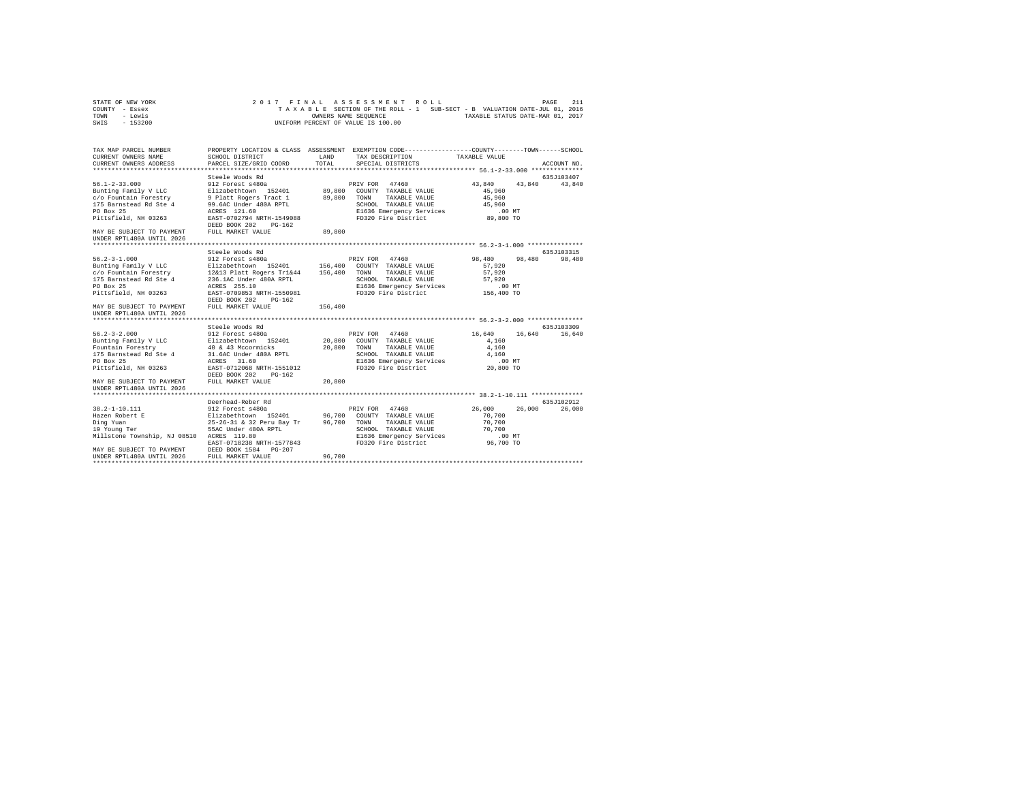| STATE OF NEW YORK | 2017 FINAL ASSESSMENT ROLL                                               | PAGE                             | 211 |
|-------------------|--------------------------------------------------------------------------|----------------------------------|-----|
| COUNTY - Essex    | TAXABLE SECTION OF THE ROLL - 1 SUB-SECT - B VALUATION DATE-JUL 01, 2016 |                                  |     |
| TOWN<br>- Lewis   | OWNERS NAME SEOUENCE                                                     | TAXABLE STATUS DATE-MAR 01, 2017 |     |
| - 153200<br>SWIS  | UNIFORM PERCENT OF VALUE IS 100.00                                       |                                  |     |

| TAX MAP PARCEL NUMBER<br>CURRENT OWNERS NAME                                                                                                                                                                                                   | SCHOOL DISTRICT   |        | PROPERTY LOCATION & CLASS ASSESSMENT EXEMPTION CODE----------------COUNTY-------TOWN------SCHOOL<br>LAND TAX DESCRIPTION TAXABLE VALUE |                            |               |
|------------------------------------------------------------------------------------------------------------------------------------------------------------------------------------------------------------------------------------------------|-------------------|--------|----------------------------------------------------------------------------------------------------------------------------------------|----------------------------|---------------|
| CURRENT OWNERS ADDRESS PARCEL SIZE/GRID COORD                                                                                                                                                                                                  |                   | TOTAL  | SPECIAL DISTRICTS                                                                                                                      |                            | ACCOUNT NO.   |
|                                                                                                                                                                                                                                                | Steele Woods Rd   |        |                                                                                                                                        |                            | 635J103407    |
|                                                                                                                                                                                                                                                |                   |        |                                                                                                                                        | $43,840$ $43,840$ $43,840$ |               |
|                                                                                                                                                                                                                                                |                   |        |                                                                                                                                        |                            |               |
|                                                                                                                                                                                                                                                |                   |        |                                                                                                                                        |                            |               |
|                                                                                                                                                                                                                                                |                   |        |                                                                                                                                        |                            |               |
|                                                                                                                                                                                                                                                |                   |        |                                                                                                                                        |                            |               |
|                                                                                                                                                                                                                                                |                   |        |                                                                                                                                        |                            |               |
|                                                                                                                                                                                                                                                |                   |        |                                                                                                                                        |                            |               |
| MAY BE SUBJECT TO PAYMENT FULL MARKET VALUE                                                                                                                                                                                                    |                   | 89,800 |                                                                                                                                        |                            |               |
| UNDER RPTL480A UNTIL 2026                                                                                                                                                                                                                      |                   |        |                                                                                                                                        |                            |               |
|                                                                                                                                                                                                                                                |                   |        |                                                                                                                                        |                            |               |
|                                                                                                                                                                                                                                                | Steele Woods Rd   |        |                                                                                                                                        |                            | 635J103315    |
|                                                                                                                                                                                                                                                |                   |        |                                                                                                                                        |                            |               |
|                                                                                                                                                                                                                                                |                   |        |                                                                                                                                        |                            |               |
|                                                                                                                                                                                                                                                |                   |        |                                                                                                                                        |                            |               |
|                                                                                                                                                                                                                                                |                   |        |                                                                                                                                        |                            |               |
|                                                                                                                                                                                                                                                |                   |        |                                                                                                                                        |                            |               |
|                                                                                                                                                                                                                                                |                   |        |                                                                                                                                        |                            |               |
| PO Box 25<br>Pittsfield, NH 03263 RARES 255.10<br>Pittsfield, NH 03263 RARES 255.10<br>DEED BOX 202 PG-162<br>DEED BOX 202 PG-162<br>DEED BOX 202 PG-162<br>156,400<br>MAY BE SUBJECT TO PAYMENT FULL MARKET VALUE<br>MAY BE SUBJECT TO PAYMEN |                   |        |                                                                                                                                        |                            |               |
|                                                                                                                                                                                                                                                |                   |        |                                                                                                                                        |                            |               |
| UNDER RPTL480A UNTIL 2026                                                                                                                                                                                                                      |                   |        |                                                                                                                                        |                            |               |
|                                                                                                                                                                                                                                                |                   |        |                                                                                                                                        |                            |               |
|                                                                                                                                                                                                                                                | Steele Woods Rd   |        |                                                                                                                                        |                            | 635J103309    |
| 96.2–3–2.000<br>Sunting Family VLC 912 Forest s480a<br>Bunting Family VLC Blizabethtown 152401 20,800 COUNTY TAXABLE VALUE 4,160<br>Fountain Forestry 40 & 43 Mccormicks 20,800 TOWN TAXABLE VALUE 4,160<br>FO Box 25<br>20,800 TO BOX         |                   |        |                                                                                                                                        |                            | 16,640 16,640 |
|                                                                                                                                                                                                                                                |                   |        |                                                                                                                                        |                            |               |
|                                                                                                                                                                                                                                                |                   |        |                                                                                                                                        |                            |               |
|                                                                                                                                                                                                                                                |                   |        |                                                                                                                                        |                            |               |
|                                                                                                                                                                                                                                                |                   |        |                                                                                                                                        |                            |               |
|                                                                                                                                                                                                                                                |                   |        |                                                                                                                                        |                            |               |
|                                                                                                                                                                                                                                                |                   |        |                                                                                                                                        |                            |               |
| MAY BE SUBJECT TO PAYMENT FULL MARKET VALUE                                                                                                                                                                                                    |                   | 20,800 |                                                                                                                                        |                            |               |
| UNDER RPTL480A UNTIL 2026                                                                                                                                                                                                                      |                   |        |                                                                                                                                        |                            |               |
|                                                                                                                                                                                                                                                |                   |        |                                                                                                                                        |                            |               |
|                                                                                                                                                                                                                                                | Deerhead-Reber Rd |        |                                                                                                                                        |                            | 635.7102912   |
|                                                                                                                                                                                                                                                |                   |        | PRIV FOR 47460                                                                                                                         | 26,000 26,000 26,000       |               |
|                                                                                                                                                                                                                                                |                   |        |                                                                                                                                        | 70,700                     |               |
|                                                                                                                                                                                                                                                |                   |        |                                                                                                                                        |                            |               |
|                                                                                                                                                                                                                                                |                   |        |                                                                                                                                        |                            |               |
|                                                                                                                                                                                                                                                |                   |        |                                                                                                                                        |                            |               |
|                                                                                                                                                                                                                                                |                   |        |                                                                                                                                        |                            |               |
|                                                                                                                                                                                                                                                |                   |        |                                                                                                                                        |                            |               |
|                                                                                                                                                                                                                                                |                   |        |                                                                                                                                        |                            |               |
|                                                                                                                                                                                                                                                |                   |        |                                                                                                                                        |                            |               |
|                                                                                                                                                                                                                                                |                   |        |                                                                                                                                        |                            |               |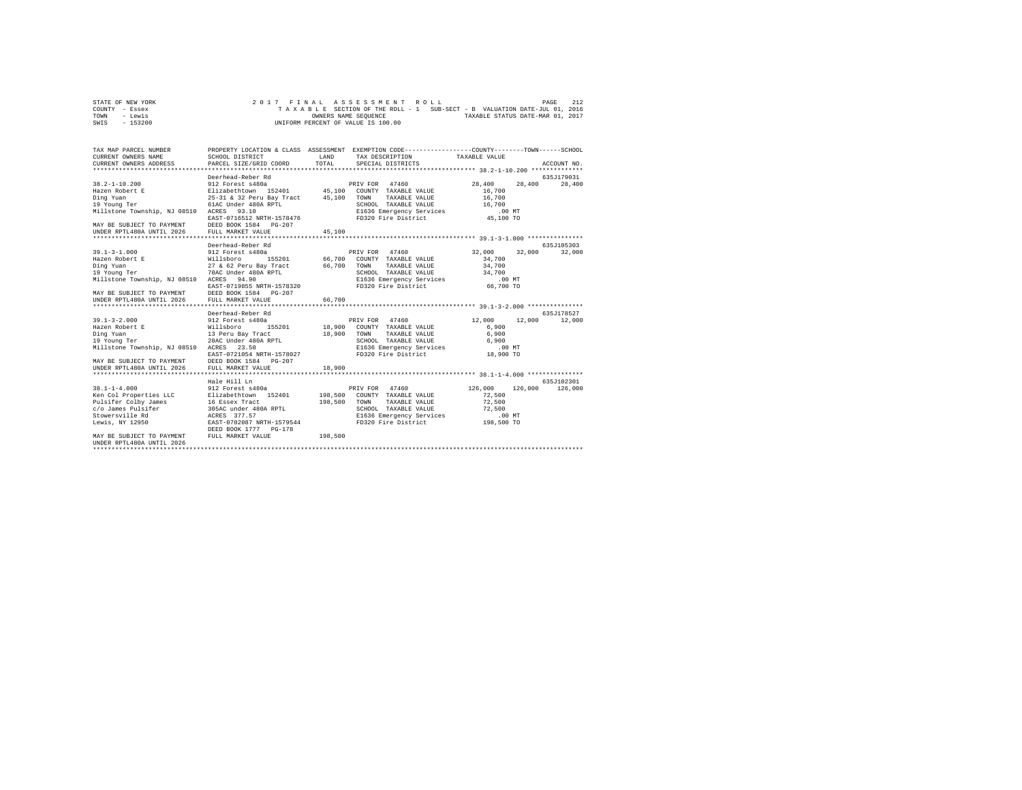| STATE OF NEW YORK | 2017 FINAL ASSESSMENT ROLL                                               | 212<br>PAGE                      |
|-------------------|--------------------------------------------------------------------------|----------------------------------|
| COUNTY - Essex    | TAXABLE SECTION OF THE ROLL - 1 SUB-SECT - B VALUATION DATE-JUL 01, 2016 |                                  |
| TOWN<br>- Lewis   | OWNERS NAME SEOUENCE                                                     | TAXABLE STATUS DATE-MAR 01, 2017 |
| - 153200<br>SWIS  | UNIFORM PERCENT OF VALUE IS 100.00                                       |                                  |

| TAX MAP PARCEL NUMBER<br>CURRENT OWNERS NAME<br>CURRENT OWNERS ADDRESS                                                                                                                                    | SCHOOL DISTRICT<br>PARCEL SIZE/GRID COORD                                                                                                                              | <b>T.AND</b><br>TOTAL | PROPERTY LOCATION & CLASS ASSESSMENT EXEMPTION CODE---------------COUNTY-------TOWN------SCHOOL<br>TAX DESCRIPTION TAXABLE VALUE<br>SPECIAL DISTRICTS                                     |                                                                         | ACCOUNT NO.          |
|-----------------------------------------------------------------------------------------------------------------------------------------------------------------------------------------------------------|------------------------------------------------------------------------------------------------------------------------------------------------------------------------|-----------------------|-------------------------------------------------------------------------------------------------------------------------------------------------------------------------------------------|-------------------------------------------------------------------------|----------------------|
|                                                                                                                                                                                                           |                                                                                                                                                                        |                       |                                                                                                                                                                                           |                                                                         |                      |
|                                                                                                                                                                                                           | Deerhead-Reber Rd                                                                                                                                                      |                       |                                                                                                                                                                                           |                                                                         | 635J179031           |
| $38.2 - 1 - 10.200$<br>Hazen Robert E<br>Ding Yuan<br>wing fuan<br>19 Young Ter<br>Millstone Township, NJ 08510 ACRES<br>MAY BE SUBJECT TO PAYMENT DEED BOOK 1584 PG-207                                  | 912 Forest s480a<br>Elizabethtown 152401 45,100 COUNTY TAXABLE VALUE<br>25-31 & 32 Peru Bay Tract 45,100<br>61AC Under 480A RPTL<br>93.10<br>EAST-0716512 NRTH-1578476 |                       | PRIV FOR 47460<br>TOWN<br>TAXABLE VALUE<br>SCHOOL TAXABLE VALUE<br>E1636 Emergency Services<br>FD320 Fire District                                                                        | 28,400<br>28,400<br>16,700<br>16,700<br>16,700<br>$.00$ MT<br>45,100 TO | 28,400               |
|                                                                                                                                                                                                           |                                                                                                                                                                        |                       |                                                                                                                                                                                           |                                                                         |                      |
|                                                                                                                                                                                                           |                                                                                                                                                                        |                       |                                                                                                                                                                                           |                                                                         |                      |
| $39.1 - 3 - 1.000$<br>Hazen Robert E<br>Ding Yuan<br>19 Young Ter<br>Millstone Township, NJ 08510 ACRES 94.90                                                                                             | Deerhead-Reber Rd<br>912 Forest s480a<br>Willsboro 155201<br>27 & 62 Peru Bay Tract<br>70AC Under 480A RPTL<br>EAST-0719855 NRTH-1578320                               | 66,700                | PRIV FOR 47460<br>66.700 COUNTY TAXABLE VALUE<br>TOWN<br>TAXABLE VALUE<br>SCHOOL TAXABLE VALUE<br>E1636 Emergency Services .00 MT<br>FD320 Fire District 66,700 TO<br>FD320 Fire District | 32,000<br>32,000<br>34,700<br>34,700<br>34,700                          | 635J105303<br>32,000 |
| MAY BE SUBJECT TO PAYMENT DEED BOOK 1584 PG-207<br>UNDER RPTL480A UNTIL 2026 FULL MARKET VALUE                                                                                                            |                                                                                                                                                                        | 66,700                |                                                                                                                                                                                           |                                                                         |                      |
|                                                                                                                                                                                                           |                                                                                                                                                                        |                       |                                                                                                                                                                                           |                                                                         |                      |
|                                                                                                                                                                                                           | Deerhead-Reber Rd                                                                                                                                                      |                       |                                                                                                                                                                                           |                                                                         | 635J178527           |
| $39.1 - 3 - 2.000$<br>Hazen Robert E<br>Ding Yuan<br>19 Young Ter<br>Millstone Township, NJ 08510 ACRES<br>MAY BE SUBJECT TO PAYMENT DEED BOOK 1584 PG-207<br>UNDER RPTL480A UNTIL 2026 FULL MARKET VALUE | 912 Forest s480a<br>Willsboro<br>13 Peru Bay Tract<br>20AC Under 480A RPTL<br>23.50<br>EAST-0721054 NRTH-1578027                                                       | 18,900 TOWN<br>18,900 | PRIV FOR 47460<br>155201 18,900 COUNTY TAXABLE VALUE<br>TAXABLE VALUE<br>SCHOOL TAXABLE VALUE<br>E1636 Emergency Services<br>FD320 Fire District                                          | 12,000<br>12,000<br>6,900<br>6,900<br>6,900<br>.00 MT<br>18,900 TO      | 12,000               |
|                                                                                                                                                                                                           | Hale Hill Ln                                                                                                                                                           |                       |                                                                                                                                                                                           |                                                                         | 635J102301           |
| $38.1 - 1 - 4.000$<br>Ken Col Properties LLC<br>Pulsifer Colby James 16 Essex Tract<br>Lewis, NY 12950                                                                                                    | 912 Forest s480a<br>Elizabethtown 152401<br>EAST-0702087 NRTH-1579544<br>DEED BOOK 1777 PG-178                                                                         | 198,500               | 47460<br>PRIV FOR<br>198,500 COUNTY TAXABLE VALUE<br>TOWN<br>TAXABLE VALUE<br>SCHOOL TAXABLE VALUE<br>E1636 Emergency Services 198,500 MT<br>FD320 Fire District 198,500 TO               | 126,000<br>126,000<br>72,500<br>72.500<br>72,500<br>$.00$ MT            | 126,000              |
| MAY BE SUBJECT TO PAYMENT<br>UNDER RPTL480A UNTIL 2026                                                                                                                                                    | FULL MARKET VALUE                                                                                                                                                      | 198,500               |                                                                                                                                                                                           |                                                                         |                      |
|                                                                                                                                                                                                           |                                                                                                                                                                        |                       |                                                                                                                                                                                           |                                                                         |                      |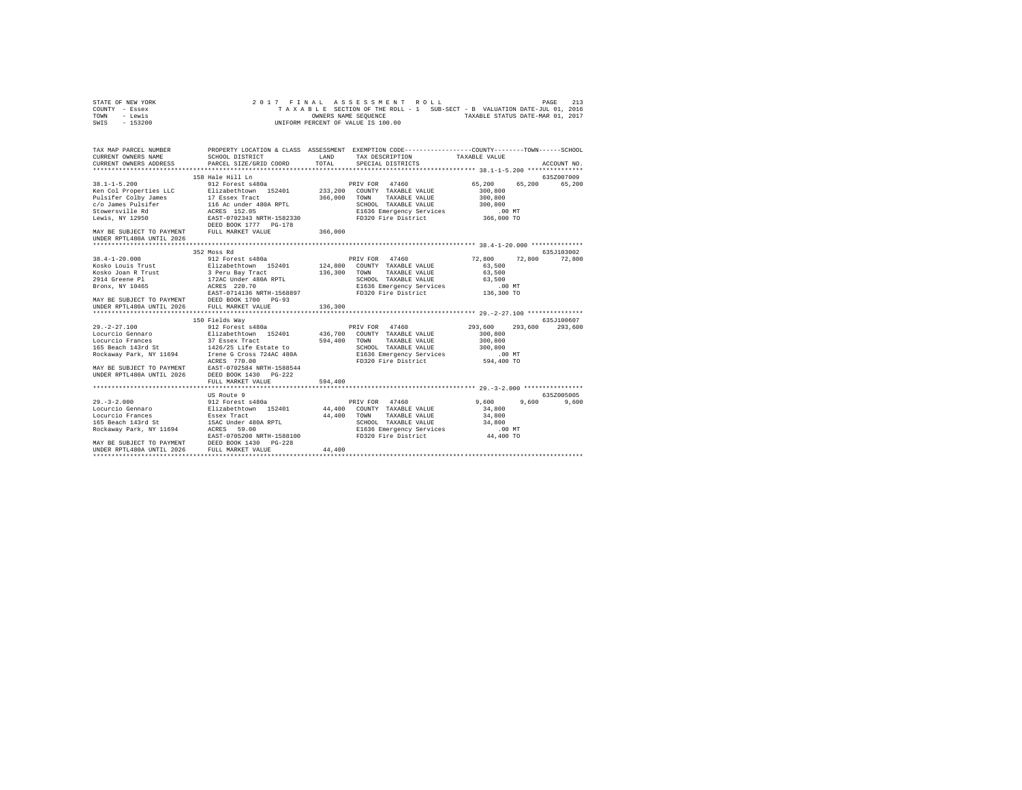| STATE OF NEW YORK | 2017 FINAL ASSESSMENT ROLL                                               | 213<br>PAGE                      |
|-------------------|--------------------------------------------------------------------------|----------------------------------|
| COUNTY - Essex    | TAXABLE SECTION OF THE ROLL - 1 SUB-SECT - B VALUATION DATE-JUL 01, 2016 |                                  |
| TOWN<br>- Lewis   | OWNERS NAME SEOUENCE                                                     | TAXABLE STATUS DATE-MAR 01, 2017 |
| - 153200<br>SWIS  | UNIFORM PERCENT OF VALUE IS 100.00                                       |                                  |

| TAX MAP PARCEL NUMBER<br>CURRENT OWNERS NAME                                     | SCHOOL DISTRICT                                                                                                                                                                                                                                                                                                                                       | LAND               | PROPERTY LOCATION & CLASS ASSESSMENT EXEMPTION CODE---------------COUNTY-------TOWN-----SCHOOL<br>TAX DESCRIPTION                                             | TAXABLE VALUE                                                              |                        |
|----------------------------------------------------------------------------------|-------------------------------------------------------------------------------------------------------------------------------------------------------------------------------------------------------------------------------------------------------------------------------------------------------------------------------------------------------|--------------------|---------------------------------------------------------------------------------------------------------------------------------------------------------------|----------------------------------------------------------------------------|------------------------|
| CURRENT OWNERS ADDRESS                                                           | PARCEL SIZE/GRID COORD                                                                                                                                                                                                                                                                                                                                | TOTAL              | SPECIAL DISTRICTS                                                                                                                                             |                                                                            | ACCOUNT NO.            |
| $38.1 - 1 - 5.200$                                                               | 158 Hale Hill Ln<br>912 Forest s480a                                                                                                                                                                                                                                                                                                                  |                    | PRIV FOR<br>47460                                                                                                                                             | 65,200<br>65,200                                                           | 635Z007009<br>65,200   |
| Ken Col Properties LLC<br>Pulsifer Colby James 17 Essex Tract<br>Lewis, NY 12950 | Elizabethtown 152401<br>EAST-0702343 NRTH-1582330                                                                                                                                                                                                                                                                                                     | 233,200<br>366,000 | COUNTY TAXABLE VALUE<br>TOWN<br>TAXABLE VALUE<br>SCHOOL TAXABLE VALUE                                                                                         | 300,800<br>300,800<br>300,800                                              |                        |
| MAY BE SUBJECT TO PAYMENT FULL MARKET VALUE<br>UNDER RPTL480A UNTIL 2026         | DEED BOOK 1777 PG-178                                                                                                                                                                                                                                                                                                                                 | 366,000            |                                                                                                                                                               |                                                                            |                        |
|                                                                                  | 352 Moss Rd                                                                                                                                                                                                                                                                                                                                           |                    |                                                                                                                                                               |                                                                            | 635J103002             |
| UNDER RPTL480A UNTIL 2026 FULL MARKET VALUE                                      | 38.4-1-20.000<br>Nosko Louis Trust<br>Nosko Joan R Trust<br>Nosko Joan R Trust<br>2914 Greene P1<br>2914 Greene P1<br>2914 Greene P1<br>2914 Greene P1<br>2017 220.000<br>2017<br>2017<br>2017<br>2017<br>2017<br>2017<br>2017<br>2017<br>2017<br>2017<br>2017<br>2017<br>EAST-0714136 NRTH-1568897<br>MAY BE SUBJECT TO PAYMENT DEED BOOK 1700 PG-93 | 136,300<br>136,300 | PRIV FOR 47460<br>124,800 COUNTY TAXABLE VALUE<br>TOWN<br>TAXABLE VALUE<br>SCHOOL TAXABLE VALUE<br>E1636 Emergency Services<br>FD320 Fire District 136,300 TO | 72.800<br>72,800<br>63,500<br>63,500<br>63,500<br>$.00$ MT                 | 72,800                 |
|                                                                                  |                                                                                                                                                                                                                                                                                                                                                       |                    |                                                                                                                                                               |                                                                            |                        |
| $29. -2 - 27.100$                                                                | 150 Fields Way<br>912 Forest s480a<br>ACRES 770.00<br>MAY BE SUBJECT TO PAYMENT EAST-0702584 NRTH-1588544<br>UNDER RPTL480A UNTIL 2026 DEED BOOK 1430 PG-222                                                                                                                                                                                          | 594,400            | 47460<br>PRIV FOR<br>436,700 COUNTY TAXABLE VALUE<br>TOWN<br>TAXABLE VALUE<br>SCHOOL TAXABLE VALUL<br>E1636 Emergency Services<br>FD320 Fire District         | 293,600<br>293,600<br>300,800<br>300,800<br>300,800<br>.00MT<br>594,400 TO | 635.7100607<br>293,600 |
|                                                                                  | FULL MARKET VALUE                                                                                                                                                                                                                                                                                                                                     | 594,400            |                                                                                                                                                               |                                                                            |                        |
|                                                                                  | US Route 9                                                                                                                                                                                                                                                                                                                                            |                    |                                                                                                                                                               |                                                                            | 635Z005005             |
|                                                                                  | 29.-3-2.000 912 Forest s480a<br>Locurcio Gennaro - Elizabethrown 152401<br>Locurcio Frances - Essex Tract<br>165 Beach 143rd 5t<br>Rockaway Park, NY 11694 - ACRES 59.00<br>EAST-0705200 NRTH-1588100<br>MAY BE SUBJECT TO PAYMENT DEED BOOK 1430 PG-228<br>UNDER RPTL480A UNTIL 2026 FULL MARKET VALUE                                               | 44,400             | PRIV FOR 47460<br>44,400 COUNTY TAXABLE VALUE<br>TOWN<br>TAXABLE VALUE<br>SCHOOL TAXABLE VALUE<br>E1636 Emergency Services<br>FD320 Fire District 44,400 TO   | 9,600<br>9,600<br>34,800<br>34,800<br>34,800<br>$.00$ MT                   | 9,600                  |
|                                                                                  |                                                                                                                                                                                                                                                                                                                                                       | 44,400             |                                                                                                                                                               |                                                                            |                        |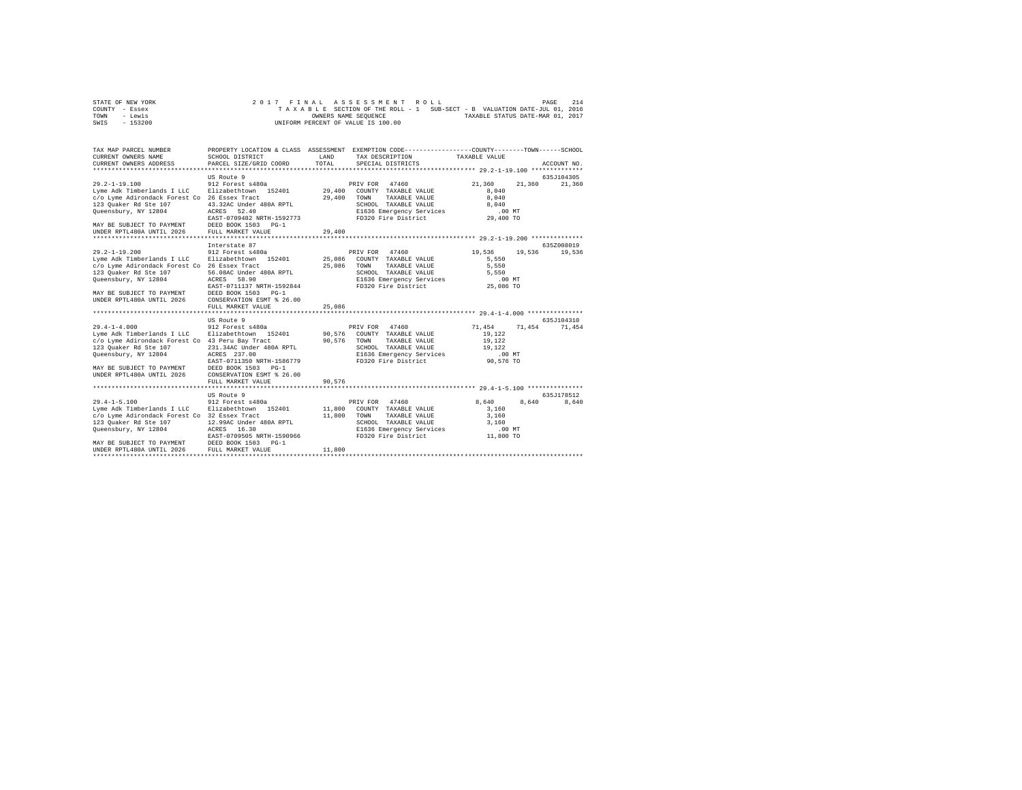| STATE OF NEW YORK | 2017 FINAL ASSESSMENT ROLL                                               | 214<br>PAGE                      |
|-------------------|--------------------------------------------------------------------------|----------------------------------|
| COUNTY - Essex    | TAXABLE SECTION OF THE ROLL - 1 SUB-SECT - B VALUATION DATE-JUL 01, 2016 |                                  |
| TOWN<br>- Lewis   | OWNERS NAME SEOUENCE                                                     | TAXABLE STATUS DATE-MAR 01, 2017 |
| - 153200<br>SWIS  | UNIFORM PERCENT OF VALUE IS 100.00                                       |                                  |

| PROPERTY LOCATION & CLASS ASSESSMENT EXEMPTION CODE-----------------COUNTY-------TOWN------SCHOOL<br>TAX MAP PARCEL NUMBER<br>CURRENT OWNERS NAME<br>SCHOOL DISTRICT<br>LAND<br>TAX DESCRIPTION TAXABLE VALUE<br>TOTAL<br>CURRENT OWNERS ADDRESS<br>PARCEL SIZE/GRID COORD<br>SPECIAL DISTRICTS<br>ACCOUNT NO.                                                                                                                                                                                                                                                                                                                                                              | 635J104305<br>21,360 |
|-----------------------------------------------------------------------------------------------------------------------------------------------------------------------------------------------------------------------------------------------------------------------------------------------------------------------------------------------------------------------------------------------------------------------------------------------------------------------------------------------------------------------------------------------------------------------------------------------------------------------------------------------------------------------------|----------------------|
|                                                                                                                                                                                                                                                                                                                                                                                                                                                                                                                                                                                                                                                                             |                      |
|                                                                                                                                                                                                                                                                                                                                                                                                                                                                                                                                                                                                                                                                             |                      |
| US Route 9<br>$29.2 - 1 - 19.100$<br>912 Forest s480a<br>PRIV FOR 47460<br>21,360<br>21,360<br>Lyme Adk Timberlands I LLC Blizabethtown 152401 29,400 COUNTY TAXABLE VALUE<br>8.040<br>29,400 TOWN<br>c/o Lyme Adirondack Forest Co 26 Essex Tract<br>TAXABLE VALUE<br>8,040<br>123 Quaker Rd Ste 107<br>SCHOOL TAXABLE VALUE<br>43.32AC Under 480A RPTL<br>8,040<br>Queensbury, NY 12804<br>E1636 Emergency Services<br>FD320 Fire District<br>ACRES 52.40<br>$.00$ MT<br>EAST-0709482 NRTH-1592773<br>29,400 TO<br>DEED BOOK 1503 PG-1<br>MAY BE SUBJECT TO PAYMENT<br>UNDER RPTL480A UNTIL 2026 FULL MARKET VALUE<br>29,400                                              |                      |
|                                                                                                                                                                                                                                                                                                                                                                                                                                                                                                                                                                                                                                                                             |                      |
| 635Z008019<br>Interstate 87<br>19,536<br>$29.2 - 1 - 19.200$<br>912 Forest s480a<br>PRIV FOR 47460<br>19,536<br>Lyme Adk Timberlands I LLC Blizabethtown 152401 25.086 COUNTY TAXABLE VALUE<br>5.550                                                                                                                                                                                                                                                                                                                                                                                                                                                                        | 19,536               |
| 25,086<br>c/o Lyme Adirondack Forest Co 26 Essex Tract<br>TOWN<br>TAXABLE VALUE<br>5,550<br>56.08AC Under 480A RPTL<br>SCHOOL TAXABLE VALUE<br>123 Quaker Rd Ste 107<br>5.550<br>E1636 Emergency Services<br>FD320 Fire District 25,086 TO<br>Queensbury, NY 12804<br>ACRES 58.90<br>EAST-0711137 NRTH-1592844                                                                                                                                                                                                                                                                                                                                                              |                      |
| MAY BE SUBJECT TO PAYMENT<br>DEED BOOK 1503 PG-1<br>UNDER RPTL480A UNTIL 2026<br>CONSERVATION ESMT % 26.00<br>25,086<br>FULL MARKET VALUE                                                                                                                                                                                                                                                                                                                                                                                                                                                                                                                                   |                      |
| ************************************ 29.4-1-4.000 ****************                                                                                                                                                                                                                                                                                                                                                                                                                                                                                                                                                                                                          |                      |
| 635J104310<br>US Route 9<br>$29.4 - 1 - 4.000$<br>PRIV FOR 47460<br>71,454<br>912 Forest s480a<br>71,454 71,454<br>Lyme Adk Timberlands I LLC     Elizabethtown   152401         90,576   COUNTY   TAXABLE VALUE<br>19,122<br>c/o Lyme Adirondack Forest Co 43 Peru Bay Tract<br>90.576 TOWN<br>TAXABLE VALUE<br>19,122<br>123 Quaker Rd Ste 107<br>231.34AC Under 480A RPTL<br>SCHOOL TAXABLE VALUE 19,122<br>Oueensbury, NY 12804<br>E1636 Emergency Services<br>FD320 Fire District<br>ACRES 237.00<br>$.00$ MT<br>90,576 TO<br>EAST-0711350 NRTH-1586779<br>MAY BE SUBJECT TO PAYMENT<br>DEED BOOK 1503 PG-1<br>CONSERVATION ESMT \$ 26.00<br>UNDER RPTL480A UNTIL 2026 |                      |
| 90,576<br>FULL MARKET VALUE                                                                                                                                                                                                                                                                                                                                                                                                                                                                                                                                                                                                                                                 |                      |
|                                                                                                                                                                                                                                                                                                                                                                                                                                                                                                                                                                                                                                                                             |                      |
| US Route 9<br>635.T178512                                                                                                                                                                                                                                                                                                                                                                                                                                                                                                                                                                                                                                                   |                      |
| 912 Forest s480a<br>$29.4 - 1 - 5.100$<br>PRIV FOR 47460<br>8,640<br>8,640<br>Lyme Adk Timberlands I LLC Blizabethtown 152401<br>11,800 COUNTY TAXABLE VALUE<br>3,160<br>c/o Lyme Adirondack Forest Co 32 Essex Tract<br>11,800 TOWN<br>TAXABLE VALUE<br>3,160<br>123 Quaker Rd Ste 107 12.99AC Under 480A RPTL<br>SCHOOL TAXABLE VALUE 3,160<br>E1636 Emergency Services .00 MT<br>FD320 Fire District 11,800 TO<br>Queensbury, NY 12804<br>ACRES 16.30<br>EAST-0709505 NRTH-1590966<br>MAY BE SUBJECT TO PAYMENT DEED BOOK 1503 PG-1<br>UNDER RPTL480A UNTIL 2026 FULL MARKET VALUE<br>11,800                                                                             | 8,640                |
|                                                                                                                                                                                                                                                                                                                                                                                                                                                                                                                                                                                                                                                                             |                      |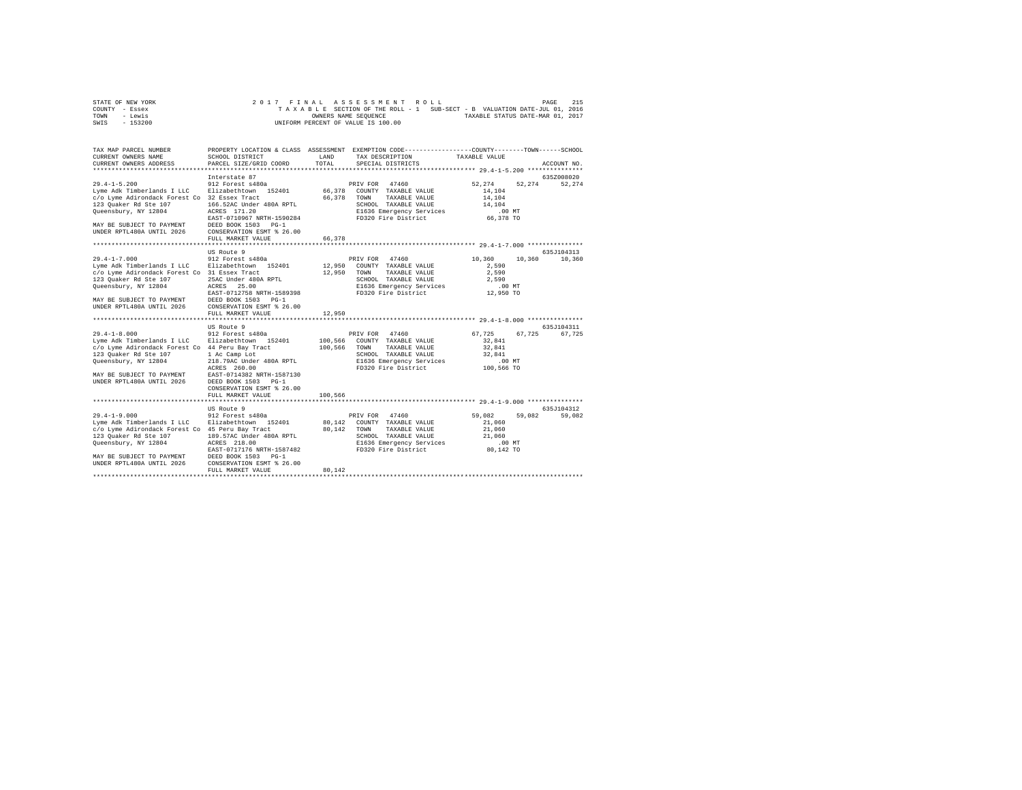| STATE OF NEW YORK | 2017 FINAL ASSESSMENT ROLL                                               | 215<br>PAGE                      |
|-------------------|--------------------------------------------------------------------------|----------------------------------|
| COUNTY - Essex    | TAXABLE SECTION OF THE ROLL - 1 SUB-SECT - B VALUATION DATE-JUL 01, 2016 |                                  |
| TOWN<br>- Lewis   | OWNERS NAME SEOUENCE                                                     | TAXABLE STATUS DATE-MAR 01, 2017 |
| - 153200<br>SWIS  | UNIFORM PERCENT OF VALUE IS 100.00                                       |                                  |

| TAX MAP PARCEL NUMBER<br>CURRENT OWNERS NAME                                                                                                                                                                   | SCHOOL DISTRICT                                                                                                                                                                                             | <b>T.AND</b>                  | PROPERTY LOCATION & CLASS ASSESSMENT EXEMPTION CODE----------------COUNTY-------TOWN------SCHOOL<br>TAX DESCRIPTION                           | TAXABLE VALUE                                                              |                      |
|----------------------------------------------------------------------------------------------------------------------------------------------------------------------------------------------------------------|-------------------------------------------------------------------------------------------------------------------------------------------------------------------------------------------------------------|-------------------------------|-----------------------------------------------------------------------------------------------------------------------------------------------|----------------------------------------------------------------------------|----------------------|
| CURRENT OWNERS ADDRESS                                                                                                                                                                                         | PARCEL SIZE/GRID COORD                                                                                                                                                                                      | TOTAL                         | SPECIAL DISTRICTS                                                                                                                             |                                                                            | ACCOUNT NO.          |
|                                                                                                                                                                                                                | Interstate 87                                                                                                                                                                                               |                               |                                                                                                                                               |                                                                            | 635Z008020           |
| $29.4 - 1 - 5.200$<br>Lyme Adk Timberlands I LLC<br>c/o Lyme Adirondack Forest Co 32 Essex Tract<br>123 Ouaker Rd Ste 107<br>Queensbury, NY 12804<br>MAY BE SUBJECT TO PAYMENT<br>UNDER RPTL480A UNTIL 2026    | 912 Forest s480a<br>Elizabethtown<br>152401<br>166.52AC Under 480A RPTL<br>ACRES 171.20<br>EAST-0710967 NRTH-1590284<br>DEED BOOK 1503 PG-1<br>CONSERVATION ESMT % 26.00<br>FULL MARKET VALUE               | 66,378<br>66,378<br>66,378    | PRIV FOR 47460<br>COUNTY TAXABLE VALUE<br>TOWN<br>TAXABLE VALUE<br>SCHOOL TAXABLE VALUE<br>E1636 Emergency Services<br>FD320 Fire District    | 52,274<br>52,274<br>14,104<br>14,104<br>14,104<br>$.00$ MT<br>66,378 TO    | 52,274               |
|                                                                                                                                                                                                                |                                                                                                                                                                                                             |                               |                                                                                                                                               |                                                                            |                      |
| $29.4 - 1 - 7.000$<br>Lyme Adk Timberlands I LLC<br>c/o Lyme Adirondack Forest Co 31 Essex Tract<br>123 Ouaker Rd Ste 107<br>Queensbury, NY 12804<br>MAY BE SUBJECT TO PAYMENT<br>UNDER RPTL480A UNTIL 2026    | US Route 9<br>912 Forest s480a<br>Elizabethtown 152401<br>25AC Under 480A RPTL<br>ACRES 25.00<br>EAST-0712758 NRTH-1589398<br>DEED BOOK 1503 PG-1<br>CONSERVATION ESMT % 26.00                              | 12,950<br>12,950              | PRIV FOR<br>47460<br>COUNTY TAXABLE VALUE<br>TOWN<br>TAXABLE VALUE<br>SCHOOL TAXABLE VALUE<br>E1636 Emergency Services<br>FD320 Fire District | 10,360<br>10,360<br>2,590<br>2,590<br>2,590<br>$.00$ MT<br>12,950 TO       | 635J104313<br>10,360 |
|                                                                                                                                                                                                                | FULL MARKET VALUE                                                                                                                                                                                           | 12,950                        |                                                                                                                                               |                                                                            |                      |
| **************************                                                                                                                                                                                     | ************************                                                                                                                                                                                    |                               |                                                                                                                                               |                                                                            |                      |
|                                                                                                                                                                                                                | US Route 9                                                                                                                                                                                                  |                               |                                                                                                                                               |                                                                            | 635J104311           |
| $29.4 - 1 - 8.000$<br>Lyme Adk Timberlands I LLC<br>c/o Lyme Adirondack Forest Co 44 Peru Bay Tract<br>123 Ouaker Rd Ste 107<br>Queensbury, NY 12804<br>MAY BE SUBJECT TO PAYMENT<br>UNDER RPTL480A UNTIL 2026 | 912 Forest s480a<br>Elizabethtown 152401<br>1 Ac Camp Lot<br>218.79AC Under 480A RPTL<br>ACRES 260.00<br>EAST-0714382 NRTH-1587130<br>DEED BOOK 1503 PG-1<br>CONSERVATION ESMT % 26.00<br>FULL MARKET VALUE | 100,566<br>100,566<br>100.566 | PRIV FOR<br>47460<br>COUNTY TAXABLE VALUE<br>TOWN<br>TAXABLE VALUE<br>SCHOOL TAXABLE VALUE<br>E1636 Emergency Services<br>FD320 Fire District | 67,725<br>67,725<br>32,841<br>32.841<br>32.841<br>$.00$ $MT$<br>100,566 TO | 67,725               |
|                                                                                                                                                                                                                |                                                                                                                                                                                                             |                               |                                                                                                                                               |                                                                            |                      |
| $29.4 - 1 - 9.000$<br>Lyme Adk Timberlands I LLC<br>c/o Lyme Adirondack Forest Co 45 Peru Bay Tract<br>123 Quaker Rd Ste 107<br>Queensbury, NY 12804<br>MAY BE SUBJECT TO PAYMENT<br>UNDER RPTL480A UNTIL 2026 | US Route 9<br>912 Forest s480a<br>Elizabethtown 152401<br>189.57AC Under 480A RPTL<br>ACRES 218.00<br>EAST-0717176 NRTH-1587482<br>DEED BOOK 1503 PG-1<br>CONSERVATION ESMT % 26.00<br>FULL MARKET VALUE    | 80.142<br>80.142<br>80.142    | PRIV FOR<br>47460<br>COUNTY TAXABLE VALUE<br>TAXABLE VALUE<br>TOWN<br>SCHOOL TAXABLE VALUE<br>E1636 Emergency Services<br>FD320 Fire District | 59,082<br>59,082<br>21,060<br>21,060<br>21,060<br>$.00$ MT<br>80,142 TO    | 635J104312<br>59,082 |
|                                                                                                                                                                                                                |                                                                                                                                                                                                             |                               |                                                                                                                                               |                                                                            |                      |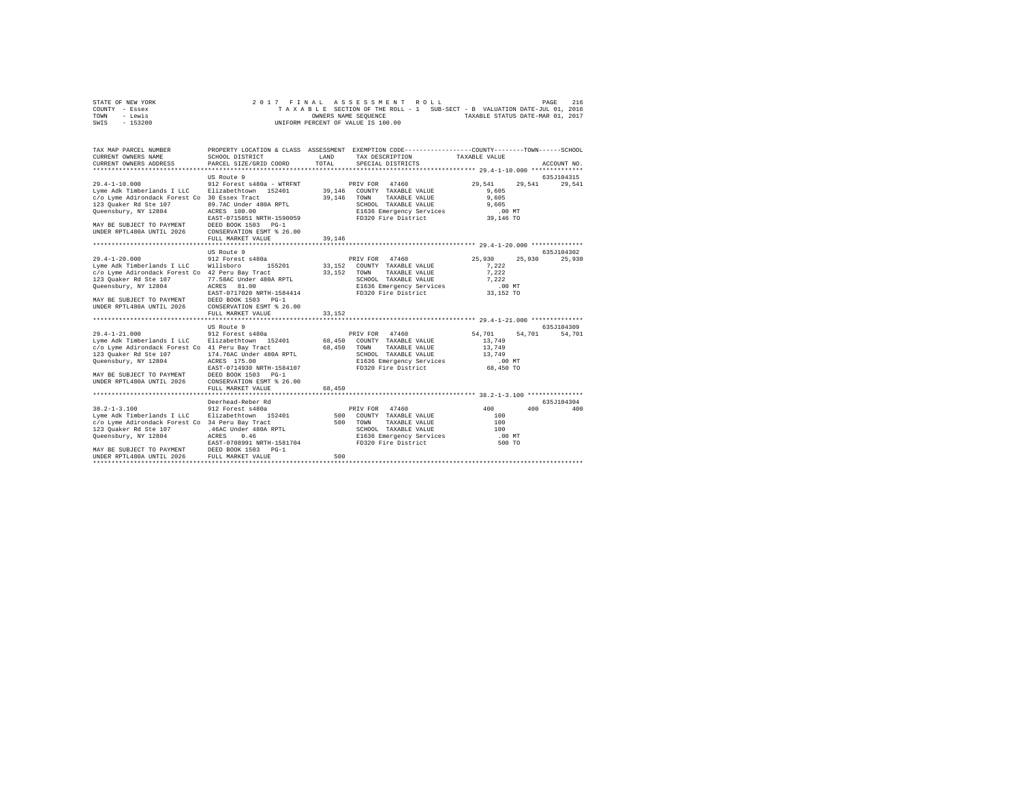| STATE OF NEW YORK | 2017 FINAL ASSESSMENT ROLL                                               | 216<br>PAGE                      |
|-------------------|--------------------------------------------------------------------------|----------------------------------|
| COUNTY - Essex    | TAXABLE SECTION OF THE ROLL - 1 SUB-SECT - B VALUATION DATE-JUL 01, 2016 |                                  |
| TOWN<br>- Lewis   | OWNERS NAME SEOUENCE                                                     | TAXABLE STATUS DATE-MAR 01, 2017 |
| - 153200<br>SWIS  | UNIFORM PERCENT OF VALUE IS 100.00                                       |                                  |

| TAX MAP PARCEL NUMBER<br>CURRENT OWNERS NAME<br>CURRENT OWNERS ADDRESS                                                                                                                                                                                                  | PROPERTY LOCATION & CLASS ASSESSMENT EXEMPTION CODE---------------COUNTY-------TOWN------SCHOOL<br>SCHOOL DISTRICT<br>PARCEL SIZE/GRID COORD                                                                | LAND<br>TOTAL              | TAX DESCRIPTION<br>SPECIAL DISTRICTS                                                                                                              | TAXABLE VALUE                                                                                                                           | ACCOUNT NO.          |
|-------------------------------------------------------------------------------------------------------------------------------------------------------------------------------------------------------------------------------------------------------------------------|-------------------------------------------------------------------------------------------------------------------------------------------------------------------------------------------------------------|----------------------------|---------------------------------------------------------------------------------------------------------------------------------------------------|-----------------------------------------------------------------------------------------------------------------------------------------|----------------------|
| $29.4 - 1 - 10.000$<br>Lyme Adk Timberlands I LLC<br>c/o Lyme Adirondack Forest Co 30 Essex Tract<br>123 Quaker Rd Ste 107<br>Oueensbury, NY 12804<br>MAY BE SUBJECT TO PAYMENT<br>UNDER RPTL480A UNTIL 2026                                                            | US Route 9<br>912 Forest s480a - WTRFNT<br>Elizabethtown 152401<br>89.7AC Under 480A RPTL<br>ACRES 100.00<br>EAST-0715851 NRTH-1590059<br>DEED BOOK 1503 PG-1<br>CONSERVATION ESMT % 26.00                  | 39,146<br>39,146           | 47460<br>PRIV FOR<br>COUNTY TAXABLE VALUE<br>TOWN<br>TAXABLE VALUE<br>SCHOOL TAXABLE VALUE<br>E1636 Emergency Services<br>FD320 Fire District     | 29.541<br>29.541<br>9.605<br>9,605<br>9,605<br>.00 MT<br>39,146 TO                                                                      | 635J104315<br>29,541 |
|                                                                                                                                                                                                                                                                         | FULL MARKET VALUE                                                                                                                                                                                           | 39,146                     |                                                                                                                                                   |                                                                                                                                         |                      |
|                                                                                                                                                                                                                                                                         |                                                                                                                                                                                                             |                            |                                                                                                                                                   |                                                                                                                                         |                      |
|                                                                                                                                                                                                                                                                         | US Route 9                                                                                                                                                                                                  |                            |                                                                                                                                                   |                                                                                                                                         | 635J104302           |
| $29.4 - 1 - 20.000$<br>Lyme Adk Timberlands I LLC Willsboro<br>c/o Lyme Adirondack Forest Co 42 Peru Bay Tract<br>123 Quaker Rd Ste 107<br>Queensbury, NY 12804<br>MAY BE SUBJECT TO PAYMENT DEED BOOK 1503 PG-1<br>UNDER RPTL480A UNTIL 2026 CONSERVATION ESMT % 26.00 | 912 Forest s480a<br>155201<br>77.58AC Under 480A RPTL<br>ACRES 81.00<br>EAST-0717020 NRTH-1584414                                                                                                           | 33,152<br>33,152           | PRIV FOR 47460<br>COUNTY TAXABLE VALUE<br>TOWN<br>TAXABLE VALUE<br>SCHOOL TAXABLE VALUE<br>E1636 Emergency Services<br>FD320 Fire District        | 25,930<br>25,930<br>7.222<br>7,222<br>7.222<br>.00 MT<br>33,152 TO                                                                      | 25,930               |
|                                                                                                                                                                                                                                                                         | FULL MARKET VALUE                                                                                                                                                                                           | 33,152                     |                                                                                                                                                   |                                                                                                                                         |                      |
|                                                                                                                                                                                                                                                                         |                                                                                                                                                                                                             |                            |                                                                                                                                                   |                                                                                                                                         |                      |
|                                                                                                                                                                                                                                                                         |                                                                                                                                                                                                             |                            |                                                                                                                                                   |                                                                                                                                         |                      |
| $29.4 - 1 - 21.000$<br>Lyme Adk Timberlands I LLC Elizabethtown 152401<br>c/o Lyme Adirondack Forest Co 41 Peru Bay Tract<br>123 Quaker Rd Ste 107<br>Queensbury, NY 12804<br>MAY BE SUBJECT TO PAYMENT<br>UNDER RPTL480A UNTIL 2026                                    | US Route 9<br>912 Forest s480a<br>174.76AC Under 480A RPTL<br>ACRES 175.00<br>EAST-0714930 NRTH-1584107<br>DEED BOOK 1503 PG-1<br>CONSERVATION ESMT % 26.00<br>FULL MARKET VALUE<br>*********************** | 68,450<br>68,450<br>68,450 | PRIV FOR 47460<br>COUNTY TAXABLE VALUE<br>TOWN<br>TAXABLE VALUE<br>SCHOOL TAXABLE VALUE<br>E1636 Emergency Services<br>FD320 Fire District        | 54,701<br>54,701<br>13,749<br>13,749<br>13,749<br>.00MT<br>68,450 TO<br>********************************* 38.2-1-3.100 **************** | 635J104309<br>54,701 |
|                                                                                                                                                                                                                                                                         | Deerhead-Reber Rd                                                                                                                                                                                           |                            |                                                                                                                                                   |                                                                                                                                         | 635.7104304          |
| $38.2 - 1 - 3.100$<br>Lyme Adk Timberlands I LLC<br>c/o Lyme Adirondack Forest Co 34 Peru Bay Tract<br>123 Ouaker Rd Ste 107<br>Queensbury, NY 12804<br>MAY BE SUBJECT TO PAYMENT DEED BOOK 1503 PG-1<br>UNDER RPTL480A UNTIL 2026 FULL MARKET VALUE                    | 912 Forest s480a<br>Elizabethtown 152401<br>.46AC Under 480A RPTL<br>ACRES<br>0.46<br>EAST-0708991 NRTH-1581704                                                                                             | 500<br>500                 | 47460<br>PRIV FOR<br>500 COUNTY TAXABLE VALUE<br>TOWN<br>TAXABLE VALUE<br>SCHOOL TAXABLE VALUE<br>E1636 Emergency Services<br>FD320 Fire District | 400<br>400<br>100<br>100<br>100<br>$.00$ MT<br>500 TO                                                                                   | 400                  |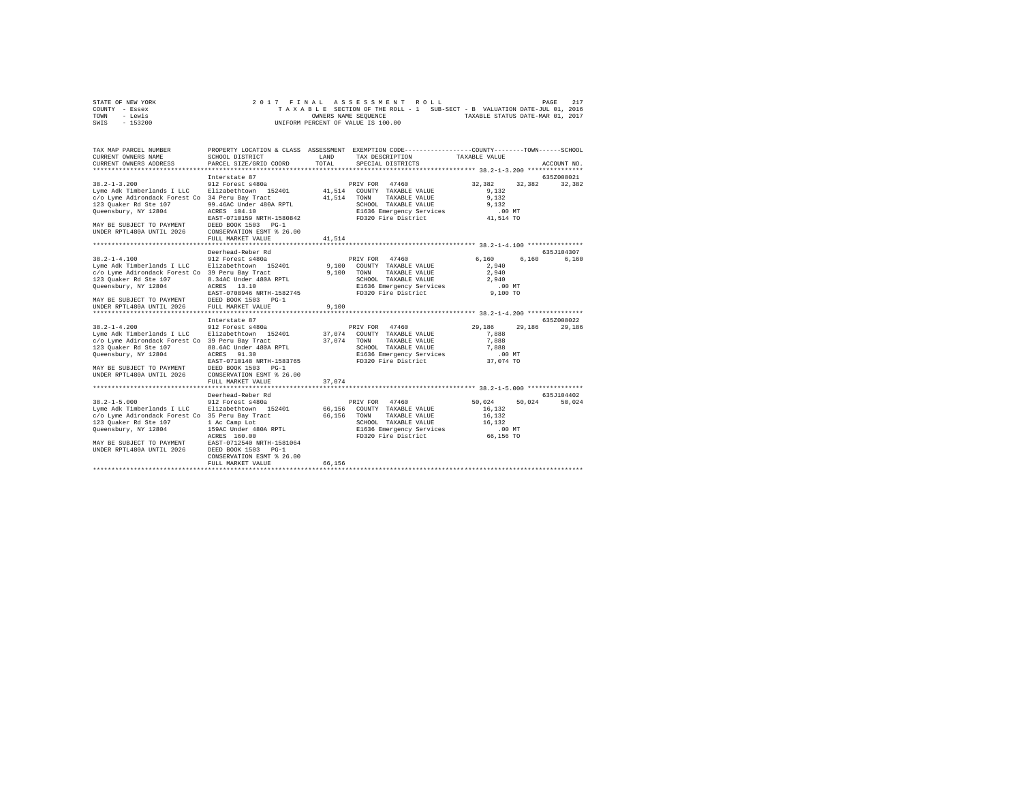| STATE OF NEW YORK | 2017 FINAL ASSESSMENT ROLL                                               | 217<br>PAGE                      |
|-------------------|--------------------------------------------------------------------------|----------------------------------|
| COUNTY - Essex    | TAXABLE SECTION OF THE ROLL - 1 SUB-SECT - B VALUATION DATE-JUL 01, 2016 |                                  |
| TOWN<br>- Lewis   | OWNERS NAME SEOUENCE                                                     | TAXABLE STATUS DATE-MAR 01, 2017 |
| - 153200<br>SWIS  | UNIFORM PERCENT OF VALUE IS 100.00                                       |                                  |

| TAX MAP PARCEL NUMBER<br>CURRENT OWNERS NAME<br>CURRENT OWNERS ADDRESS                                                                                                                                                              | SCHOOL DISTRICT<br>PARCEL SIZE/GRID COORD                                                                                                                                                                                               | LAND<br>TOTAL              | PROPERTY LOCATION & CLASS ASSESSMENT EXEMPTION CODE---------------COUNTY-------TOWN------SCHOOL<br>TAX DESCRIPTION<br>SPECIAL DISTRICTS       | TAXABLE VALUE                                                             | ACCOUNT NO.          |
|-------------------------------------------------------------------------------------------------------------------------------------------------------------------------------------------------------------------------------------|-----------------------------------------------------------------------------------------------------------------------------------------------------------------------------------------------------------------------------------------|----------------------------|-----------------------------------------------------------------------------------------------------------------------------------------------|---------------------------------------------------------------------------|----------------------|
| $38.2 - 1 - 3.200$<br>Lyme Adk Timberlands I LLC<br>c/o Lyme Adirondack Forest Co 34 Peru Bay Tract<br>123 Quaker Rd Ste 107<br>Queensbury, NY 12804<br>MAY BE SUBJECT TO PAYMENT<br>UNDER RPTL480A UNTIL 2026                      | Interstate 87<br>912 Forest s480a<br>Elizabethtown 152401<br>99.46AC Under 480A RPTL<br>ACRES 104.10<br>EAST-0710159 NRTH-1580842<br>DEED BOOK 1503<br>$PG-1$<br>CONSERVATION ESMT % 26.00<br>FULL MARKET VALUE<br>******************** | 41.514<br>41,514<br>41.514 | 47460<br>PRIV FOR<br>COUNTY TAXABLE VALUE<br>TOWN<br>TAXABLE VALUE<br>SCHOOL TAXABLE VALUE<br>E1636 Emergency Services<br>FD320 Fire District | 32,382<br>32,382<br>9.132<br>9,132<br>9.132<br>$.00$ MT<br>41,514 TO      | 635Z008021<br>32,382 |
| $38.2 - 1 - 4.100$<br>Lyme Adk Timberlands I LLC Elizabethtown 152401<br>c/o Lyme Adirondack Forest Co 39 Peru Bay Tract<br>123 Quaker Rd Ste 107<br>Queensbury, NY 12804<br>MAY BE SUBJECT TO PAYMENT<br>UNDER RPTL480A UNTIL 2026 | Deerhead-Reber Rd<br>912 Forest s480a<br>8.34AC Under 480A RPTL<br>ACRES<br>13.10<br>EAST-0708946 NRTH-1582745<br>DEED BOOK 1503 PG-1<br>FULL MARKET VALUE                                                                              | 9,100<br>9.100<br>9,100    | PRIV FOR 47460<br>COUNTY TAXABLE VALUE<br>TOWN<br>TAXABLE VALUE<br>SCHOOL TAXABLE VALUE<br>E1636 Emergency Services<br>FD320 Fire District    | 6.160<br>6,160<br>2,940<br>2,940<br>2.940<br>.00MT<br>9,100 TO            | 635J104307<br>6,160  |
| $38.2 - 1 - 4.200$<br>Lyme Adk Timberlands I LLC<br>c/o Lyme Adirondack Forest Co 39 Peru Bay Tract<br>123 Ouaker Rd Ste 107<br>Queensbury, NY 12804<br>MAY BE SUBJECT TO PAYMENT<br>UNDER RPTL480A UNTIL 2026                      | Interstate 87<br>912 Forest s480a<br>Elizabethtown 152401<br>88.6AC Under 480A RPTL<br>ACRES 91.30<br>EAST-0710148 NRTH-1583765<br>DEED BOOK 1503 PG-1<br>CONSERVATION ESMT % 26.00<br>FULL MARKET VALUE                                | 37.074<br>37,074<br>37.074 | 47460<br>PRIV FOR<br>COUNTY TAXABLE VALUE<br>TOWN<br>TAXABLE VALUE<br>SCHOOL TAXABLE VALUE<br>E1636 Emergency Services<br>FD320 Fire District | 29,186<br>29,186<br>7.888<br>7,888<br>7.888<br>.00MT<br>37,074 TO         | 635Z008022<br>29,186 |
| $38.2 - 1 - 5.000$<br>Lyme Adk Timberlands I LLC<br>c/o Lyme Adirondack Forest Co 35 Peru Bay Tract<br>123 Quaker Rd Ste 107<br>Queensbury, NY 12804<br>MAY BE SUBJECT TO PAYMENT<br>UNDER RPTL480A UNTIL 2026                      | Deerhead-Reber Rd<br>912 Forest s480a<br>Elizabethtown 152401<br>1 Ac Camp Lot<br>159AC Under 480A RPTL<br>ACRES 160.00<br>EAST-0712540 NRTH-1581064<br>DEED BOOK 1503 PG-1<br>CONSERVATION ESMT % 26.00<br>FULL MARKET VALUE           | 66.156<br>66,156<br>66,156 | PRIV FOR 47460<br>COUNTY TAXABLE VALUE<br>TOWN<br>TAXABLE VALUE<br>SCHOOL TAXABLE VALUE<br>E1636 Emergency Services<br>FD320 Fire District    | 50.024<br>50.024<br>16.132<br>16,132<br>16.132<br>$.00$ $MT$<br>66,156 TO | 635J104402<br>50,024 |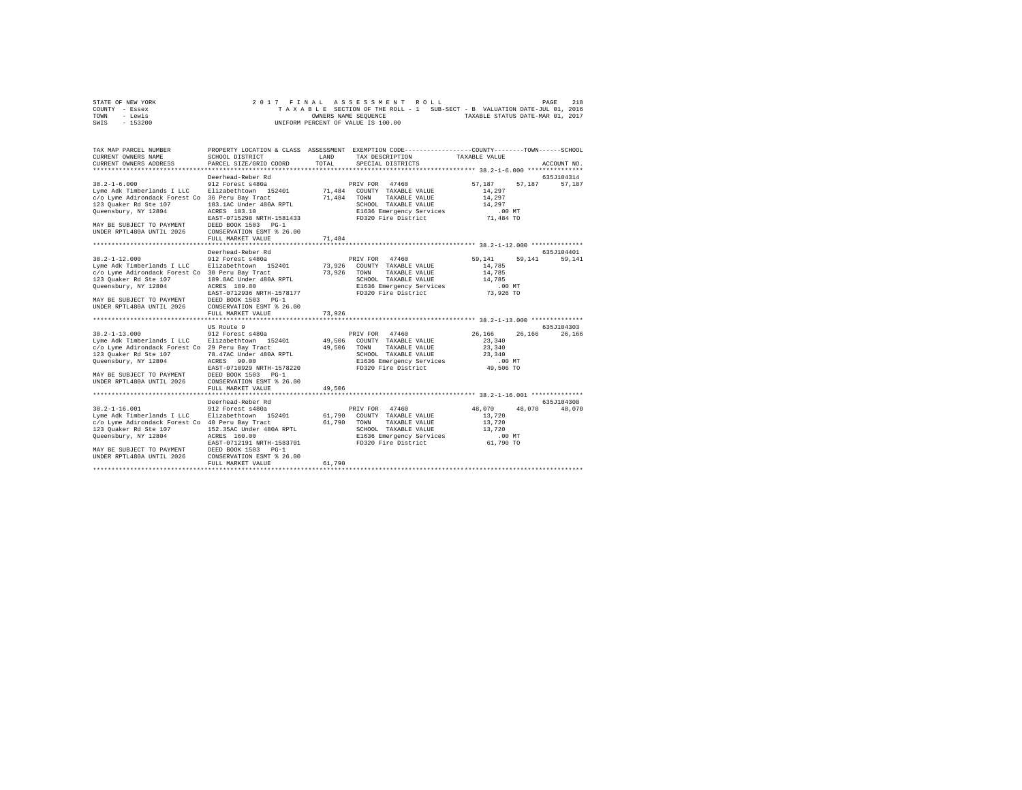| STATE OF NEW YORK | 2017 FINAL ASSESSMENT ROLL                                               | 218<br>PAGE                      |
|-------------------|--------------------------------------------------------------------------|----------------------------------|
| COUNTY - Essex    | TAXABLE SECTION OF THE ROLL - 1 SUB-SECT - B VALUATION DATE-JUL 01, 2016 |                                  |
| TOWN<br>- Lewis   | OWNERS NAME SEOUENCE                                                     | TAXABLE STATUS DATE-MAR 01, 2017 |
| $-153200$<br>SWIS | UNIFORM PERCENT OF VALUE IS 100.00                                       |                                  |

| TAX MAP PARCEL NUMBER<br>CURRENT OWNERS NAME<br>CURRENT OWNERS ADDRESS                                                                                                                                          | SCHOOL DISTRICT<br>PARCEL SIZE/GRID COORD                                                                                                                                                                                                      | LAND<br>TOTAL              | PROPERTY LOCATION & CLASS ASSESSMENT EXEMPTION CODE---------------COUNTY-------TOWN------SCHOOL<br>TAX DESCRIPTION<br>SPECIAL DISTRICTS       | TAXABLE VALUE                                                             | ACCOUNT NO.          |
|-----------------------------------------------------------------------------------------------------------------------------------------------------------------------------------------------------------------|------------------------------------------------------------------------------------------------------------------------------------------------------------------------------------------------------------------------------------------------|----------------------------|-----------------------------------------------------------------------------------------------------------------------------------------------|---------------------------------------------------------------------------|----------------------|
| $38.2 - 1 - 6.000$<br>Lyme Adk Timberlands I LLC<br>c/o Lyme Adirondack Forest Co 36 Peru Bay Tract<br>123 Quaker Rd Ste 107<br>Oueensbury, NY 12804<br>MAY BE SUBJECT TO PAYMENT<br>UNDER RPTL480A UNTIL 2026  | Deerhead-Reber Rd<br>912 Forest s480a<br>Elizabethtown 152401<br>183.1AC Under 480A RPTL<br>ACRES 183.10<br>EAST-0715298 NRTH-1581433<br>DEED BOOK 1503<br>$PG-1$<br>CONSERVATION ESMT % 26.00<br>FULL MARKET VALUE<br>*********************** | 71,484<br>71,484<br>71,484 | 47460<br>PRIV FOR<br>COUNTY TAXABLE VALUE<br>TOWN<br>TAXABLE VALUE<br>SCHOOL TAXABLE VALUE<br>E1636 Emergency Services<br>FD320 Fire District | 57.187<br>57.187<br>14,297<br>14,297<br>14,297<br>$.00$ MT<br>71,484 TO   | 635J104314<br>57,187 |
| $38.2 - 1 - 12.000$<br>Lyme Adk Timberlands I LLC<br>c/o Lyme Adirondack Forest Co 30 Peru Bay Tract<br>123 Quaker Rd Ste 107<br>Queensbury, NY 12804<br>MAY BE SUBJECT TO PAYMENT<br>UNDER RPTL480A UNTIL 2026 | Deerhead-Reber Rd<br>912 Forest s480a<br>Elizabethtown 152401<br>189.8AC Under 480A RPTL<br>ACRES 189.80<br>EAST-0712936 NRTH-1578177<br>DEED BOOK 1503 PG-1<br>CONSERVATION ESMT % 26.00<br>FULL MARKET VALUE                                 | 73,926<br>73.926<br>73.926 | PRIV FOR 47460<br>COUNTY TAXABLE VALUE<br>TOWN<br>TAXABLE VALUE<br>SCHOOL TAXABLE VALUE<br>E1636 Emergency Services<br>FD320 Fire District    | 59.141<br>59,141<br>14,785<br>14,785<br>14,785<br>.00MT<br>73,926 TO      | 635J104401<br>59,141 |
| $38.2 - 1 - 13.000$<br>Lyme Adk Timberlands I LLC<br>c/o Lyme Adirondack Forest Co 29 Peru Bay Tract<br>123 Quaker Rd Ste 107<br>Queensbury, NY 12804<br>MAY BE SUBJECT TO PAYMENT<br>UNDER RPTL480A UNTIL 2026 | US Route 9<br>912 Forest s480a<br>Elizabethtown 152401<br>78.47AC Under 480A RPTL<br>90.00<br>ACRES<br>EAST-0710929 NRTH-1578220<br>DEED BOOK 1503<br>$PG-1$<br>CONSERVATION ESMT % 26.00<br>FULL MARKET VALUE                                 | 49,506<br>49.506<br>49,506 | PRIV FOR 47460<br>COUNTY TAXABLE VALUE<br>TOWN<br>TAXABLE VALUE<br>SCHOOL TAXABLE VALUE<br>E1636 Emergency Services<br>FD320 Fire District    | 26,166<br>26.166<br>23,340<br>23,340<br>23,340<br>.00MT<br>49,506 TO      | 635J104303<br>26,166 |
| $38.2 - 1 - 16.001$<br>Lyme Adk Timberlands I LLC<br>c/o Lyme Adirondack Forest Co 40 Peru Bay Tract<br>123 Quaker Rd Ste 107<br>Queensbury, NY 12804<br>MAY BE SUBJECT TO PAYMENT<br>UNDER RPTL480A UNTIL 2026 | Deerhead-Reber Rd<br>912 Forest s480a<br>Elizabethtown 152401<br>152.35AC Under 480A RPTL<br>ACRES 160.00<br>EAST-0712191 NRTH-1583701<br>DEED BOOK 1503 PG-1<br>CONSERVATION ESMT % 26.00<br>FULL MARKET VALUE                                | 61,790<br>61,790<br>61,790 | PRIV FOR<br>47460<br>COUNTY TAXABLE VALUE<br>TOWN<br>TAXABLE VALUE<br>SCHOOL TAXABLE VALUE<br>E1636 Emergency Services<br>FD320 Fire District | 48,070<br>48,070<br>13,720<br>13,720<br>13,720<br>$.00$ $MT$<br>61,790 TO | 635J104308<br>48,070 |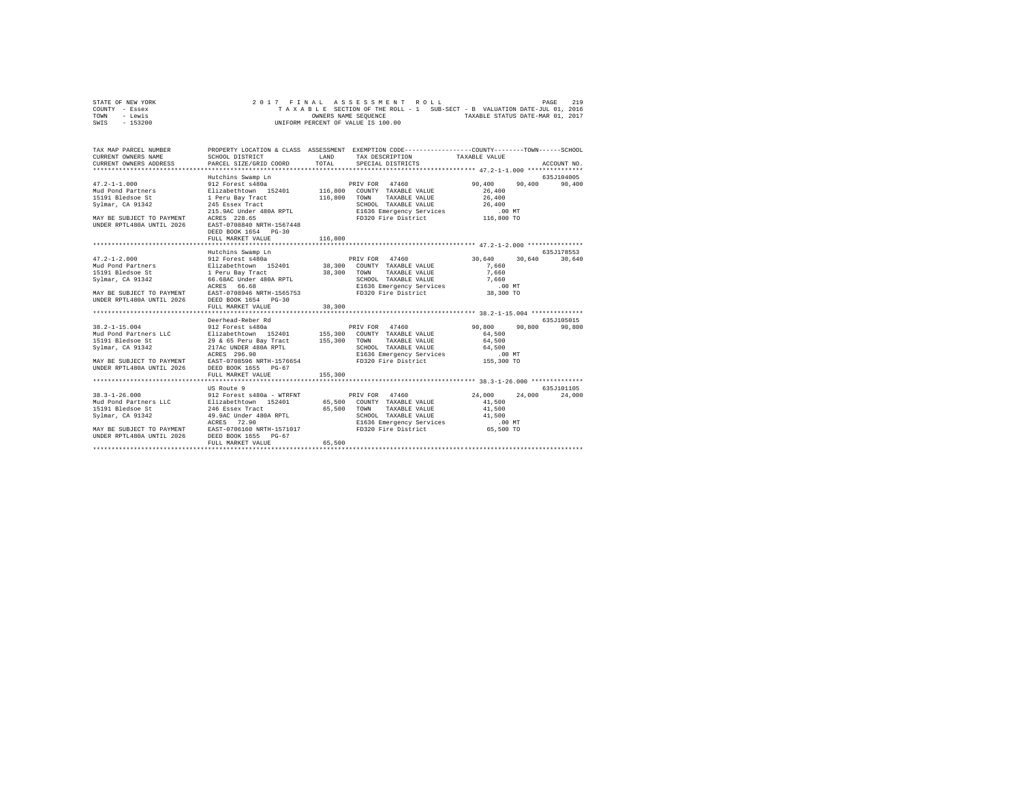| STATE OF NEW YORK | 2017 FINAL ASSESSMENT ROLL                                               | 219<br>PAGE                      |
|-------------------|--------------------------------------------------------------------------|----------------------------------|
| COUNTY - Essex    | TAXABLE SECTION OF THE ROLL - 1 SUB-SECT - B VALUATION DATE-JUL 01, 2016 |                                  |
| TOWN<br>- Lewis   | OWNERS NAME SEOUENCE                                                     | TAXABLE STATUS DATE-MAR 01, 2017 |
| $-153200$<br>SWIS | UNIFORM PERCENT OF VALUE IS 100.00                                       |                                  |

| TAX MAP PARCEL NUMBER                                                                                                               |                                                                                                                                                                                 |         | PROPERTY LOCATION & CLASS ASSESSMENT EXEMPTION CODE---------------COUNTY-------TOWN------SCHOOL |                                      |                             |
|-------------------------------------------------------------------------------------------------------------------------------------|---------------------------------------------------------------------------------------------------------------------------------------------------------------------------------|---------|-------------------------------------------------------------------------------------------------|--------------------------------------|-----------------------------|
|                                                                                                                                     |                                                                                                                                                                                 |         |                                                                                                 |                                      |                             |
|                                                                                                                                     | Hutchins Swamp Ln                                                                                                                                                               |         |                                                                                                 |                                      | 635J104005                  |
| $47.2 - 1 - 1.000$<br>MAY BE SUBJECT TO PAYMENT ACRES 228.65<br>UNDER RPTL480A UNTIL 2026 EAST-0708840 NRTH-1567448                 | 249 Euses rigues (1986)<br>215.9AC Under 480A RPTL (2008) EUSS Emergency Services (1987)<br>228.65 PD320 Fire District (201.800 TO<br>DEED BOOK 1654 PG-30<br>FULL MARKET VALUE | 116,800 |                                                                                                 | 90.400<br>26,400<br>26,400<br>26,400 | 90,400 90,400               |
|                                                                                                                                     |                                                                                                                                                                                 |         |                                                                                                 |                                      |                             |
|                                                                                                                                     | Hutchins Swamp Ln                                                                                                                                                               |         |                                                                                                 |                                      | 635J178553                  |
|                                                                                                                                     |                                                                                                                                                                                 |         |                                                                                                 | 30.640                               | 30,640                      |
|                                                                                                                                     | FULL MARKET VALUE                                                                                                                                                               | 38,300  |                                                                                                 |                                      |                             |
|                                                                                                                                     |                                                                                                                                                                                 |         |                                                                                                 |                                      |                             |
| Svlmar, CA 91342<br>MAY BE SUBJECT TO PAYMENT EAST-0708596 NRTH-1576654<br>UNDER RPTL480A UNTIL 2026 DEED BOOK 1655 PG-67           | Deerhead-Reber Rd<br>217Ac UNDER 480A RPTL<br>ACRES 296.90<br>FULL MARKET VALUE                                                                                                 | 155,300 |                                                                                                 |                                      | 635J105015<br>90,800        |
|                                                                                                                                     |                                                                                                                                                                                 |         |                                                                                                 |                                      |                             |
| MAY BE SUBJECT TO PAYMENT BAST-0706160 NRTH-1571017 FD320 Fire District 65,500 TO<br>UNDER RPTL480A UNTIL 2026 DEED BOOK 1655 PG-67 |                                                                                                                                                                                 |         |                                                                                                 |                                      | 635J101105<br>24,000 24,000 |
|                                                                                                                                     | FULL MARKET VALUE                                                                                                                                                               | 65,500  |                                                                                                 |                                      |                             |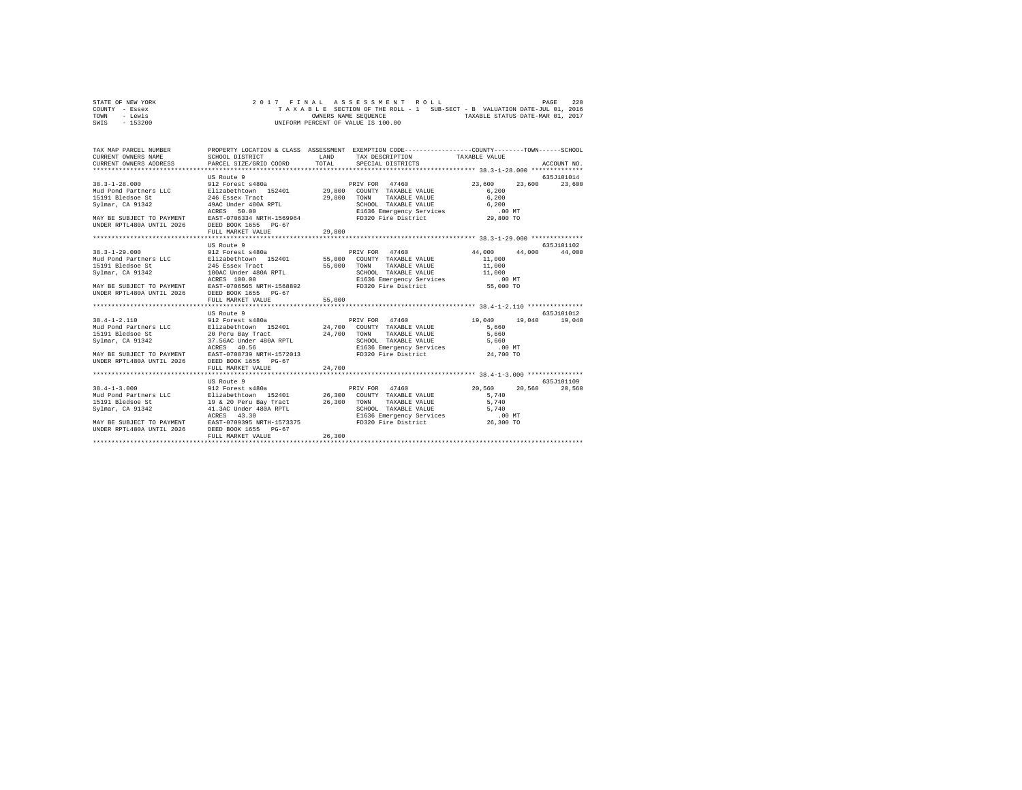| STATE OF NEW YORK | 2017 FINAL ASSESSMENT ROLL         | 220<br>PAGE                                                              |
|-------------------|------------------------------------|--------------------------------------------------------------------------|
| COUNTY - Essex    |                                    | TAXABLE SECTION OF THE ROLL - 1 SUB-SECT - B VALUATION DATE-JUL 01, 2016 |
| TOWN<br>- Lewis   | OWNERS NAME SEOUENCE               | TAXABLE STATUS DATE-MAR 01, 2017                                         |
| - 153200<br>SWIS  | UNIFORM PERCENT OF VALUE IS 100.00 |                                                                          |

| TAX MAP PARCEL NUMBER<br>CURRENT OWNERS NAME<br>CURRENT OWNERS ADDRESS PARCEL SIZE/GRID COORD                                                                                                                                                                                                                                                                                                                                                               | SCHOOL DISTRICT                                                                                                                                                                                          | LAND<br>TOTAL    | PROPERTY LOCATION & CLASS ASSESSMENT EXEMPTION CODE----------------COUNTY-------TOWN------SCHOOL<br>TAX DESCRIPTION TAXABLE VALUE<br>SPECIAL DISTRICTS                 |                                                                    | ACCOUNT NO.                           |
|-------------------------------------------------------------------------------------------------------------------------------------------------------------------------------------------------------------------------------------------------------------------------------------------------------------------------------------------------------------------------------------------------------------------------------------------------------------|----------------------------------------------------------------------------------------------------------------------------------------------------------------------------------------------------------|------------------|------------------------------------------------------------------------------------------------------------------------------------------------------------------------|--------------------------------------------------------------------|---------------------------------------|
| $38.3 - 1 - 28.000$<br>Sylmar, CA 91342<br>MAY BE SUBJECT TO PAYMENT EAST-0706334 NRTH-1569964 FD320 Fire District<br>UNDER RPTL480A UNTIL 2026 DEED BOOK 1655 PG-67                                                                                                                                                                                                                                                                                        | US Route 9<br>912 Forest s480a<br>49AC Under 480A RPTL<br>ACRES<br>50.00<br>FULL MARKET VALUE                                                                                                            | 29,800           | PRIV FOR 47460<br>TAXABLE VALUE 6,200<br>CHOOL TAXABLE VALUE 6,200<br>E1636 Emergency Services 6,200 MT<br>FD320 Fire District 29,800 TO                               | 23,600<br>6.200                                                    | 635J101014<br>23,600<br>23,600        |
|                                                                                                                                                                                                                                                                                                                                                                                                                                                             |                                                                                                                                                                                                          |                  |                                                                                                                                                                        |                                                                    |                                       |
|                                                                                                                                                                                                                                                                                                                                                                                                                                                             | US Route 9                                                                                                                                                                                               |                  |                                                                                                                                                                        |                                                                    | 635.7101102                           |
| $38.3 - 1 - 29.000$<br>Mud Pond Partners LLC and Elizabethtown 152401 55,000 COUNTY TAXABLE VALUE<br>15191 Bledsoe St<br>Svlmar, CA 91342<br>MAY BE SUBJECT TO PAYMENT<br>UNDER RPTL480A UNTIL 2026<br>$38.4 - 1 - 2.110$<br>Not be a set to the country of the country of the country of the country of the country of the country of the country of the set of the set of the set of the set of the set of the set of the set of the set of the set of th | 912 Forest s480a<br>245 Essex Tract<br>100AC Under 480A RPTL<br>ACRES 100.00<br>ACRES 100.00<br>EAST-0706565 NRTH-1568892<br>DEED BOOK 1655 PG-67<br>FULL MARKET VALUE<br>US Route 9<br>912 Forest s480a | 55,000<br>55,000 | PRIV FOR 47460<br>TOWN<br>TAXABLE VALUE 11,000<br>SCHOOL TAXABLE VALUE 11,000<br>E1636 Emergency Services 10,000 MT<br>FD320 Fire District 55,000 TO<br>PRIV FOR 47460 | 44,000 44,000<br>11,000<br>19,040<br>5,660<br>5,660                | 44,000<br>635J101012<br>19,040 19,040 |
| MAY BE SUBJECT TO PAYMENT EAST-0708739 NRTH-1572013<br>UNDER RPTL480A UNTIL 2026                                                                                                                                                                                                                                                                                                                                                                            | DEED BOOK 1655 PG-67<br>FULL MARKET VALUE<br>***************************                                                                                                                                 | 24,700           | FD320 Fire District 24,700 TO                                                                                                                                          | 5,660                                                              |                                       |
| $38.4 - 1 - 3.000$<br>MAY BE SUBJECT TO PAYMENT EAST-0709395 NRTH-1573375<br>UNDER RPTL480A UNTIL 2026 DEED BOOK 1655 PG-67                                                                                                                                                                                                                                                                                                                                 | US Route 9<br>912 Forest s480a<br>ACRES<br>43.30<br>FULL MARKET VALUE                                                                                                                                    | 26,300           | PRIV FOR 47460<br>SCHOOL TAXABLE VALUE<br>E1636 Emergency Services<br>FD320 Fire District                                                                              | 20,560<br>20.560<br>5,740<br>5,740<br>5,740<br>.00 MT<br>26,300 TO | 635.7101109<br>20,560                 |
|                                                                                                                                                                                                                                                                                                                                                                                                                                                             |                                                                                                                                                                                                          |                  |                                                                                                                                                                        |                                                                    |                                       |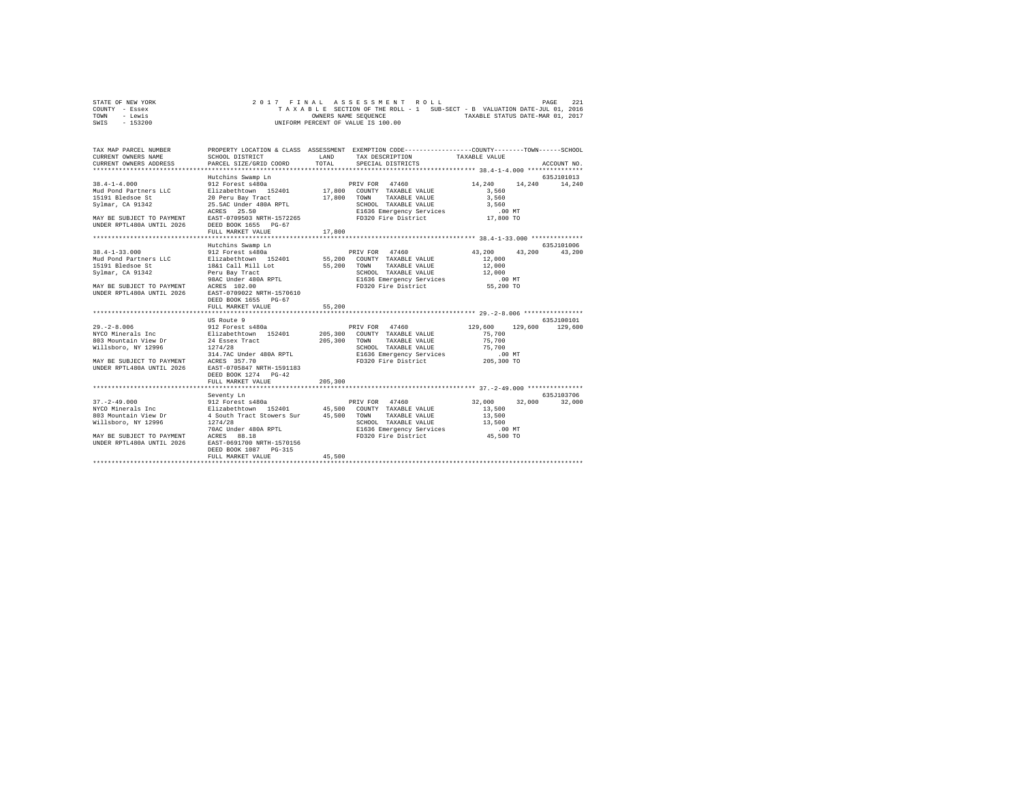| STATE OF NEW YORK | 2017 FINAL ASSESSMENT ROLL                                               | 221<br>PAGE                      |
|-------------------|--------------------------------------------------------------------------|----------------------------------|
| COUNTY - Essex    | TAXABLE SECTION OF THE ROLL - 1 SUB-SECT - B VALUATION DATE-JUL 01, 2016 |                                  |
| TOWN<br>- Lewis   | OWNERS NAME SEOUENCE                                                     | TAXABLE STATUS DATE-MAR 01, 2017 |
| - 153200<br>SWIS  | UNIFORM PERCENT OF VALUE IS 100.00                                       |                                  |

| TAX MAP PARCEL NUMBER<br>CURRENT OWNERS NAME | SCHOOL DISTRICT                                                                                                                                                                                                                                            | <b>T.AND</b> | PROPERTY LOCATION & CLASS ASSESSMENT EXEMPTION CODE----------------COUNTY-------TOWN------SCHOOL<br>TAX DESCRIPTION TAXABLE VALUE |                      |               |
|----------------------------------------------|------------------------------------------------------------------------------------------------------------------------------------------------------------------------------------------------------------------------------------------------------------|--------------|-----------------------------------------------------------------------------------------------------------------------------------|----------------------|---------------|
| CURRENT OWNERS ADDRESS                       | PARCEL SIZE/GRID COORD                                                                                                                                                                                                                                     | TOTAL        | SPECIAL DISTRICTS                                                                                                                 |                      | ACCOUNT NO.   |
|                                              |                                                                                                                                                                                                                                                            |              |                                                                                                                                   |                      |               |
|                                              | Hutchins Swamp Ln                                                                                                                                                                                                                                          |              |                                                                                                                                   |                      | 635J101013    |
| $38.4 - 1 - 4.000$                           | 912 Forest s480a                                                                                                                                                                                                                                           |              | PRIV FOR 47460                                                                                                                    | 14,240               | 14,240 14,240 |
|                                              |                                                                                                                                                                                                                                                            |              |                                                                                                                                   | 3,560                |               |
|                                              |                                                                                                                                                                                                                                                            |              |                                                                                                                                   | 3,560                |               |
|                                              |                                                                                                                                                                                                                                                            |              |                                                                                                                                   |                      |               |
|                                              |                                                                                                                                                                                                                                                            |              |                                                                                                                                   |                      |               |
|                                              |                                                                                                                                                                                                                                                            |              |                                                                                                                                   |                      |               |
|                                              | 23.560 Under 480A RPTL (2016) CHOOL TAXABLE VALUE 45.560<br>ARY BE SUBJECT TO PAYMENT AGRES 25.50<br>MAY BE SUBJECT TO PAYMENT BAST-0709503 NRTH-1572265 (2016) E1636 Emergency Services (2018)<br>UNDER RPTL480A UNTIL 2026 (2018) B<br>FULL MARKET VALUE | 17,800       |                                                                                                                                   |                      |               |
|                                              |                                                                                                                                                                                                                                                            |              |                                                                                                                                   |                      |               |
|                                              | Hutchins Swamp Ln                                                                                                                                                                                                                                          |              |                                                                                                                                   |                      | 635J101006    |
| $38.4 - 1 - 33.000$                          | 912 Forest s480a                                                                                                                                                                                                                                           |              | PRIV FOR 47460                                                                                                                    | 43,200 43,200 43,200 |               |
| Mud Pond Partners LLC                        |                                                                                                                                                                                                                                                            |              |                                                                                                                                   | 12,000               |               |
| 15191 Bledsoe St                             | Elizabethtown 152401 55,200 COUNTY TAXABLE VALUE<br>18&1 Call Mill Lot 55,200 TOWN TAXABLE VALUE                                                                                                                                                           |              | TAXABLE VALUE                                                                                                                     | 12,000               |               |
| Sylmar, CA 91342                             |                                                                                                                                                                                                                                                            |              |                                                                                                                                   |                      |               |
|                                              |                                                                                                                                                                                                                                                            |              |                                                                                                                                   |                      |               |
|                                              | MAY BE SUBJECT TO PAYMENT ACRES 102.00<br>UNDER RPTL480A UNTIL 2026 EAST-0709022 NRTH-1570610                                                                                                                                                              |              |                                                                                                                                   |                      |               |
|                                              |                                                                                                                                                                                                                                                            |              |                                                                                                                                   |                      |               |
|                                              | DEED BOOK 1655 PG-67                                                                                                                                                                                                                                       |              |                                                                                                                                   |                      |               |
|                                              | FULL MARKET VALUE                                                                                                                                                                                                                                          | 55,200       |                                                                                                                                   |                      |               |
|                                              |                                                                                                                                                                                                                                                            |              |                                                                                                                                   |                      |               |
| $29. -2 - 8.006$                             | US Route 9<br>912 Forest s480a                                                                                                                                                                                                                             |              | PRIV FOR 47460 129,600 129,600                                                                                                    |                      | 635J100101    |
|                                              |                                                                                                                                                                                                                                                            |              |                                                                                                                                   | 75,700               | 129,600       |
|                                              |                                                                                                                                                                                                                                                            |              |                                                                                                                                   | 75,700               |               |
|                                              |                                                                                                                                                                                                                                                            |              |                                                                                                                                   |                      |               |
|                                              |                                                                                                                                                                                                                                                            |              | SCHOOL TAXABLE VALUE<br>ELG36 Emergency Services 75,700<br>FD320 Fire District 205,300 TO 70320                                   |                      |               |
| MAY BE SUBJECT TO PAYMENT ACRES 357.70       |                                                                                                                                                                                                                                                            |              |                                                                                                                                   |                      |               |
| UNDER RPTL480A UNTIL 2026                    | EAST-0705847 NRTH-1591183                                                                                                                                                                                                                                  |              |                                                                                                                                   |                      |               |
|                                              | DEED BOOK 1274 PG-42                                                                                                                                                                                                                                       |              |                                                                                                                                   |                      |               |
|                                              | FULL MARKET VALUE                                                                                                                                                                                                                                          | 205,300      |                                                                                                                                   |                      |               |
|                                              |                                                                                                                                                                                                                                                            |              |                                                                                                                                   |                      |               |
|                                              | Seventy Ln                                                                                                                                                                                                                                                 |              |                                                                                                                                   |                      | 635.T103706   |
|                                              |                                                                                                                                                                                                                                                            |              |                                                                                                                                   | 32,000<br>32,000     | 32,000        |
|                                              |                                                                                                                                                                                                                                                            |              |                                                                                                                                   | 13,500               |               |
| 803 Mountain View Dr<br>Willsboro, NY 12996  | 4 South Tract Stowers Sur 45,500 TOWN<br>1274/28 SCHOC                                                                                                                                                                                                     |              | TAXABLE VALUE                                                                                                                     | 13,500               |               |
|                                              |                                                                                                                                                                                                                                                            |              | SCHOOL TAXABLE VALUE                                                                                                              | 13,500               |               |
|                                              |                                                                                                                                                                                                                                                            |              |                                                                                                                                   |                      |               |
|                                              |                                                                                                                                                                                                                                                            |              |                                                                                                                                   |                      |               |
| UNDER RPTL480A UNTIL 2026                    | EAST-0691700 NRTH-1570156<br>DEED BOOK 1087 PG-315                                                                                                                                                                                                         |              |                                                                                                                                   |                      |               |
|                                              | FULL MARKET VALUE                                                                                                                                                                                                                                          | 45,500       |                                                                                                                                   |                      |               |
|                                              |                                                                                                                                                                                                                                                            |              |                                                                                                                                   |                      |               |
|                                              |                                                                                                                                                                                                                                                            |              |                                                                                                                                   |                      |               |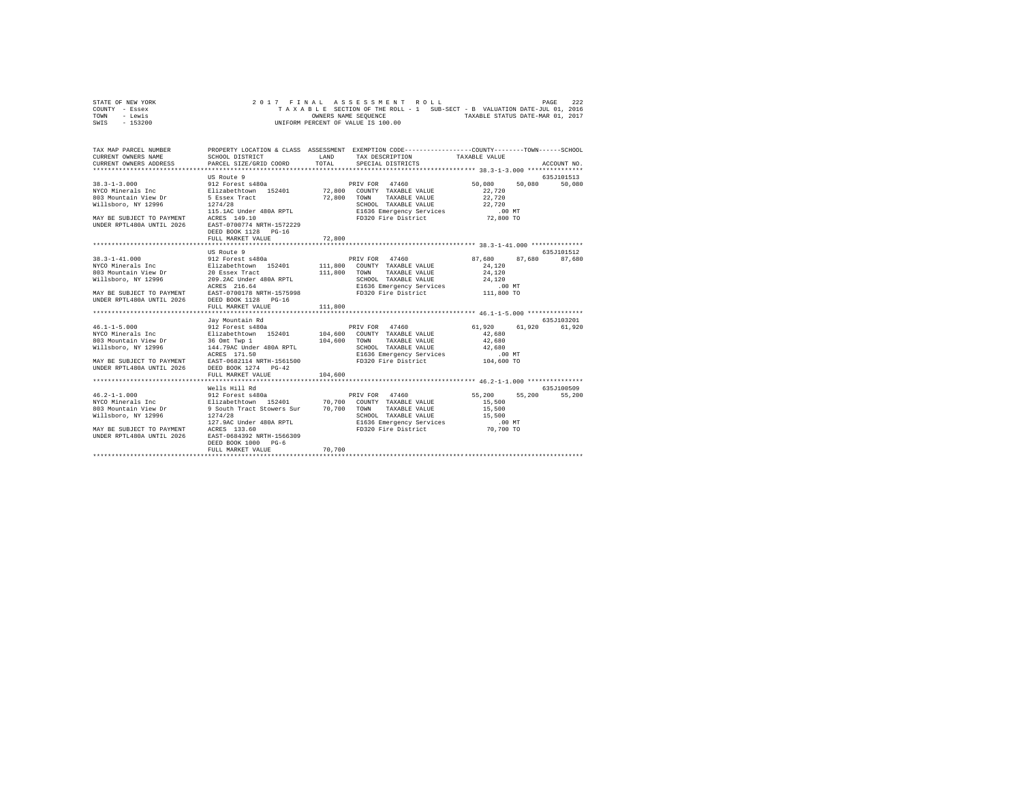| STATE OF NEW YORK | 2017 FINAL ASSESSMENT ROLL                                               | PAGE | 222 |
|-------------------|--------------------------------------------------------------------------|------|-----|
| COUNTY - Essex    | TAXABLE SECTION OF THE ROLL - 1 SUB-SECT - B VALUATION DATE-JUL 01, 2016 |      |     |
| TOWN<br>- Lewis   | TAXABLE STATUS DATE-MAR 01, 2017<br>OWNERS NAME SEOUENCE                 |      |     |
| $-153200$<br>SWIS | UNIFORM PERCENT OF VALUE IS 100.00                                       |      |     |

| TAX MAP PARCEL NUMBER<br>CURRENT OWNERS NAME<br>CURRENT OWNERS ADDRESS                                                                                                               | SCHOOL DISTRICT<br>PARCEL SIZE/GRID COORD                                                              | LAND<br>TOTAL | PROPERTY LOCATION & CLASS ASSESSMENT EXEMPTION CODE----------------COUNTY-------TOWN-----SCHOOL<br>TAX DESCRIPTION TAXABLE VALUE<br>SPECIAL DISTRICTS |                                          | ACCOUNT NO.                  |
|--------------------------------------------------------------------------------------------------------------------------------------------------------------------------------------|--------------------------------------------------------------------------------------------------------|---------------|-------------------------------------------------------------------------------------------------------------------------------------------------------|------------------------------------------|------------------------------|
| $38.3 - 1 - 3.000$<br>MAY BE SUBJECT TO PAYMENT ACRES 149.10<br>UNDER RPTL480A UNTIL 2026 EAST-0700774 NRTH-1572229                                                                  | US Route 9<br>912 Forest s480a<br>115.1AC Under 480A RPTL<br>DEED BOOK 1128 PG-16<br>FULL MARKET VALUE | 72,800        | PRIV FOR 47460<br>SCHOOL TAXABLE VALUE 22,720                                                                                                         | 50,080<br>50,080<br>22,720<br>22,720     | 635J101513<br>50,080         |
|                                                                                                                                                                                      | US Route 9                                                                                             |               |                                                                                                                                                       |                                          | 635.7101512                  |
| UNDER RPTL480A UNTIL 2026 DEED BOOK 1128 PG-16                                                                                                                                       | FULL MARKET VALUE                                                                                      | 111,800       |                                                                                                                                                       | 87,680 87,680 87,680<br>24,120<br>24,120 |                              |
|                                                                                                                                                                                      |                                                                                                        |               |                                                                                                                                                       |                                          |                              |
| Willsboro, NY 12996<br>D. 10 MT ACRES 171.50<br>MAY BE SUBJECT TO PAYMENT EAST-0682114 NRTH-1561500 FD320 Fire District 104,600 TO<br>UNDER RPTL480A UNTIL 2026 DEED BOOK 1274 PG-42 | Jay Mountain Rd<br>144.79AC Under 480A RPTL                                                            |               | SCHOOL TAXABLE VALUE 42,680                                                                                                                           | 61,920<br>42,680<br>42,680               | 635.7103201<br>61,920 61,920 |
|                                                                                                                                                                                      | FULL MARKET VALUE                                                                                      | 104,600       |                                                                                                                                                       |                                          |                              |
|                                                                                                                                                                                      | Wells Hill Rd                                                                                          |               |                                                                                                                                                       |                                          | 635J100509                   |
| Willsboro, NY 12996 1274/28<br>MAY BE SUBJECT TO PAYMENT ACRES 133.60<br>UNDER RPTL480A UNTIL 2026                                                                                   | EAST-0684392 NRTH-1566309<br>DEED BOOK 1000 PG-6<br>FULL MARKET VALUE                                  | 70,700        | SCHOOL TAXABLE VALUE 15,500                                                                                                                           | 55,200<br>15,500<br>15,500               | 55,200<br>55,200             |
|                                                                                                                                                                                      |                                                                                                        |               |                                                                                                                                                       |                                          |                              |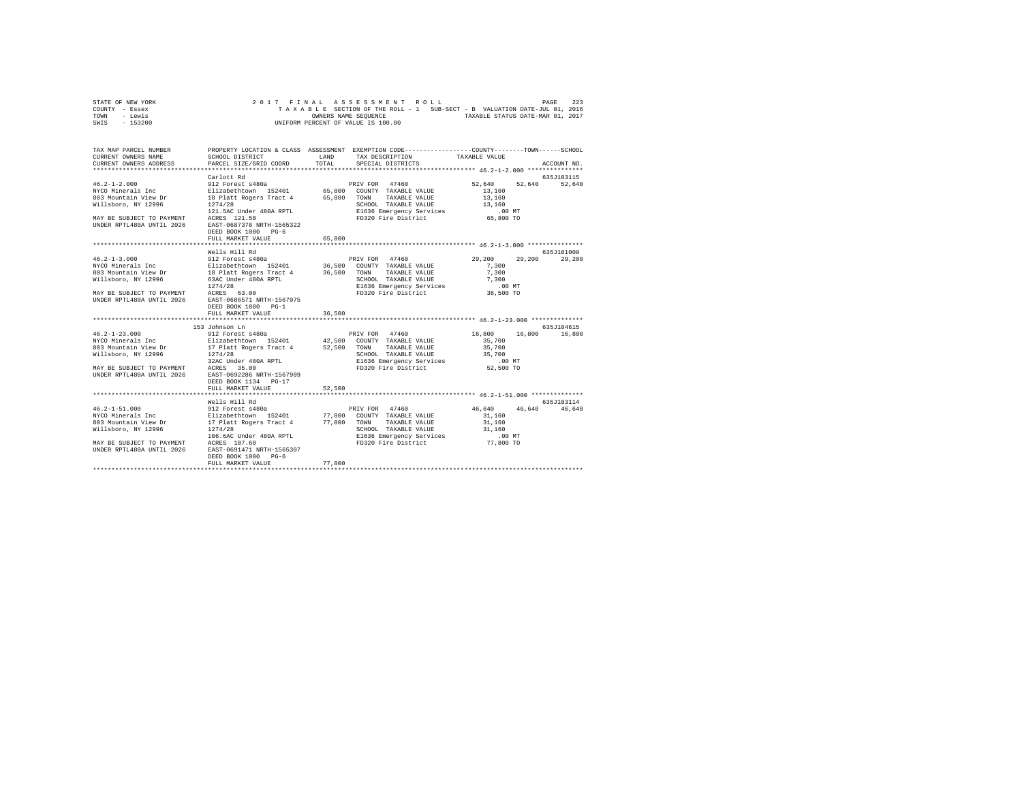| STATE OF NEW YORK |  |  |  |  | 2017 FINAL ASSESSMENT ROLL         |  |  |  |  |                                                                          | PAGE | 223 |
|-------------------|--|--|--|--|------------------------------------|--|--|--|--|--------------------------------------------------------------------------|------|-----|
| COUNTY - Essex    |  |  |  |  |                                    |  |  |  |  | TAXABLE SECTION OF THE ROLL - 1 SUB-SECT - B VALUATION DATE-JUL 01, 2016 |      |     |
| TOWN<br>- Lewis   |  |  |  |  | OWNERS NAME SEOUENCE               |  |  |  |  | TAXABLE STATUS DATE-MAR 01, 2017                                         |      |     |
| $-153200$<br>SWIS |  |  |  |  | UNIFORM PERCENT OF VALUE IS 100.00 |  |  |  |  |                                                                          |      |     |

| TAX MAP PARCEL NUMBER<br>CURRENT OWNERS NAME<br>CURRENT OWNERS ADDRESS PARCEL SIZE/GRID COORD                                                                                                                                                                                    | PROPERTY LOCATION & CLASS ASSESSMENT EXEMPTION CODE---------------COUNTY-------TOWN------SCHOOL<br>SCHOOL DISTRICT |        | LAND TAX DESCRIPTION<br>TOTAL SPECIAL DISTRICTS | TAXABLE VALUE            | ACCOUNT NO.                 |
|----------------------------------------------------------------------------------------------------------------------------------------------------------------------------------------------------------------------------------------------------------------------------------|--------------------------------------------------------------------------------------------------------------------|--------|-------------------------------------------------|--------------------------|-----------------------------|
| 46.2-1-2.000<br>May BE 2010 1 21 2010 12 2010 12 2010 12 2010 12 2010 12 2010 12 2010 12 2010 12 2010 12 2010 12<br>MAY BE SUBJECT TO PAYMENT 18 PLIAR ROBER TRACE 4 65,800 TOWN TAXABLE VALUE<br>MAY BE SUBJECT TO PAYMENT 12026 12                                             | DEED BOOK 1000 PG-6<br>FULL MARKET VALUE                                                                           | 65,800 |                                                 | 52,640 52,640 52,640     | 635J103115                  |
| 46.2-1-3.000<br>NO 912 Forest 480a<br>NO 912 Forest 480a<br>NO 912 Forest 480a<br>POIZ 1274/28<br>203 Mountain View Dr<br>203 Mountain View Dr<br>203 Mountain View Dr<br>203 Mountain View Dr<br>2030 More 180A RPTL<br>2046 SAC Under 480A RPTL<br>                            | Wells Hill Rd<br>DEED BOOK 1000 PG-1<br>FULL MARKET VALUE                                                          | 36,500 |                                                 | 29,200<br>7,300<br>7,300 | 635J101009<br>29,200 29,200 |
|                                                                                                                                                                                                                                                                                  | 153 Johnson Ln<br>DEED BOOK 1134 PG-17<br>FULL MARKET VALUE                                                        | 52,500 |                                                 | 16,800 16,800 16,800     | 635J104615                  |
| $\begin{tabular}{lcccc} 46.2-1-51.000 & 912 Forest sd80a & 9RIV FOR & 47460 & 46,640 & 46,640 & 46,640 & 46,640 & 46,640 & 46,640 & 46,640 & 46,640 & 46,640 & 46,640 & 46,640 & 46,640 & 46,640 & 46,640 & 46,640 & 46,640 & 46,640 & 46,640 & 46,640 & 46,640 & 46,640 & 46,6$ | Wells Hill Rd<br>DEED BOOK 1000 PG-6                                                                               | 77,800 |                                                 | 46,640 46,640 46,640     | 635.7103114                 |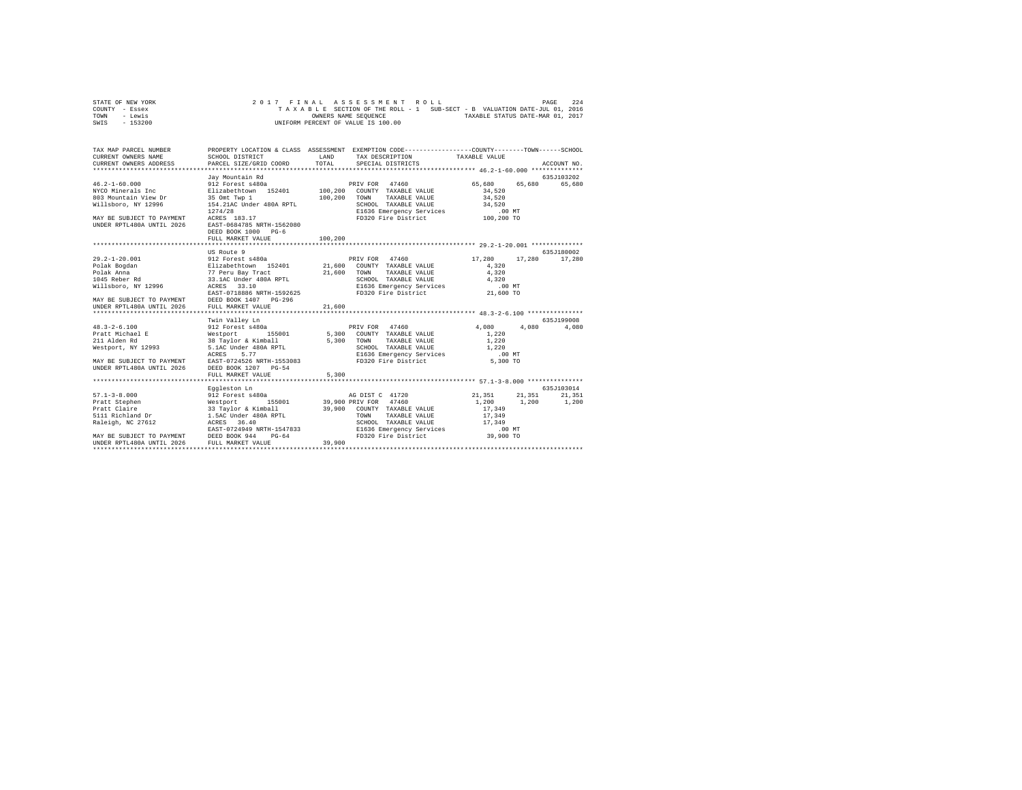| STATE OF NEW YORK |  |  |  |  | 2017 FINAL ASSESSMENT ROLL         |  |  |  |  |                                                                          | PAGE | 224 |
|-------------------|--|--|--|--|------------------------------------|--|--|--|--|--------------------------------------------------------------------------|------|-----|
| COUNTY - Essex    |  |  |  |  |                                    |  |  |  |  | TAXABLE SECTION OF THE ROLL - 1 SUB-SECT - B VALUATION DATE-JUL 01, 2016 |      |     |
| TOWN<br>- Lewis   |  |  |  |  | OWNERS NAME SEOUENCE               |  |  |  |  | TAXABLE STATUS DATE-MAR 01, 2017                                         |      |     |
| $-153200$<br>SWIS |  |  |  |  | UNIFORM PERCENT OF VALUE IS 100.00 |  |  |  |  |                                                                          |      |     |

| TAX MAP PARCEL NUMBER                                                                                                                                    |                                                                                                        | PROPERTY LOCATION & CLASS ASSESSMENT EXEMPTION CODE----------------COUNTY-------TOWN-----SCHOOL<br>TAX DESCRIPTION TAXABLE VALUE                                                                                                                                                            |                                                                                                                            |
|----------------------------------------------------------------------------------------------------------------------------------------------------------|--------------------------------------------------------------------------------------------------------|---------------------------------------------------------------------------------------------------------------------------------------------------------------------------------------------------------------------------------------------------------------------------------------------|----------------------------------------------------------------------------------------------------------------------------|
| 803 Mountain View Dr<br>Willsboro, NY 12996<br>$1274/28$ MAY BE SUBJECT TO PAYMENT ACRES $183.17$<br>UNDER RPTL480A UNTIL 2026 EAST-0684785 NRTH-1562080 | Jay Mountain Rd<br>35 Omt Twp 1 100,200 TOWN<br>154.21AC Under 480A RPTL 5CHOOL<br>DEED BOOK 1000 PG-6 | $\frac{46.2-1-60.000}{100}$ 912 Forest s480a<br>NYCO Minerals Inc = 12 as abethrown 152401 100,200 COUNTY TAXABLE VALUE<br>100,200 TOWN TAXABLE VALUE 100,200 TOWN TAXABLE VALUE 34,520<br>SCHOOL TAXABLE VALUE 34,520<br>EI636 Emergency Services 100 MT<br>FD320 Fire District 100,200 TO | 635J103202<br>65,680 65,680 65,680<br>34,520                                                                               |
|                                                                                                                                                          | FULL MARKET VALUE                                                                                      | 100,200                                                                                                                                                                                                                                                                                     |                                                                                                                            |
|                                                                                                                                                          |                                                                                                        |                                                                                                                                                                                                                                                                                             |                                                                                                                            |
| EASI-0710000 MAIR-1392023<br>MAY BE SUBJECT TO PAYMENT DEED BOOK 1407 PG-296                                                                             | US Route 9                                                                                             |                                                                                                                                                                                                                                                                                             | 635J180002<br>17.280 17.280 17.280                                                                                         |
| UNDER RPTL480A UNTIL 2026                                                                                                                                | FULL MARKET VALUE                                                                                      | 21,600                                                                                                                                                                                                                                                                                      |                                                                                                                            |
|                                                                                                                                                          |                                                                                                        |                                                                                                                                                                                                                                                                                             |                                                                                                                            |
| MAY BE SUBJECT TO PAYMENT EAST-0724526 NRTH-1553083<br>UNDER RPTL480A UNTIL 2026                                                                         | Twin Valley Ln<br>DEED BOOK 1207 PG-54                                                                 | ----<br>1,220 Mestport, NY 12993 5.1AC Under 480A RPTL SCHOOL TAXABLE VALUE 1,220<br>1.0 E1636 Emergency Services                                                                                                                                                                           | 635J199008<br>4,080<br>.00MT                                                                                               |
|                                                                                                                                                          | FULL MARKET VALUE                                                                                      | 5,300                                                                                                                                                                                                                                                                                       |                                                                                                                            |
| $57.1 - 3 - 8.000$                                                                                                                                       | Eggleston Ln<br>Eggleston Ln<br>912 Forest s480a                                                       |                                                                                                                                                                                                                                                                                             | 635.T103014<br>4G DIST C 41720<br>PRIV FOR 47460<br>21, 200 1.200 1.200 1.200<br>$\ensuremath{17}$ ,<br>$\ensuremath{349}$ |
| MAY BE SUBJECT TO PAYMENT DEED BOOK 944 PG-64<br>UNDER RPTL480A UNTIL 2026                                                                               | FULL MARKET VALUE                                                                                      | TOWN TAXABLE VALUE 17,349<br>SCHOOL TAXABLE VALUE 17,349<br>EAST-0724949 NRTH-1547833 E1636 Emergency Services 600 MT<br>hRRD ROOK 944 PG-64 FD320 Fire District 39,900 TO<br>FD320 Fire District<br>39,900                                                                                 |                                                                                                                            |
|                                                                                                                                                          |                                                                                                        |                                                                                                                                                                                                                                                                                             |                                                                                                                            |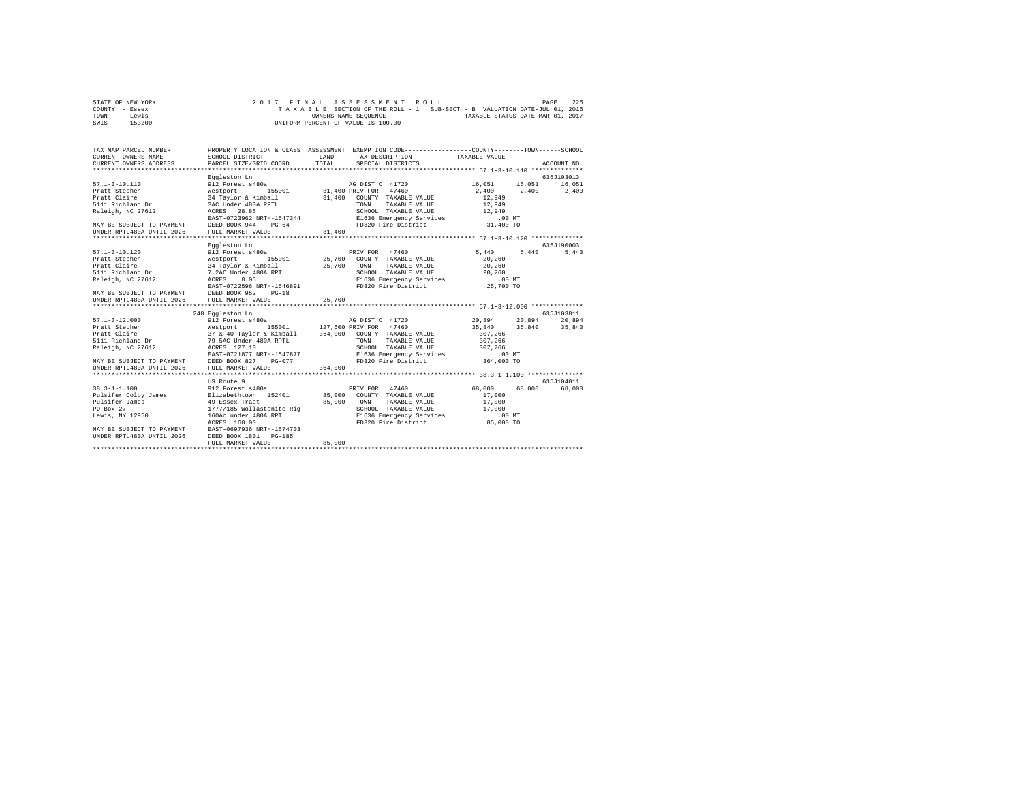| STATE OF NEW YORK | 2017 FINAL ASSESSMENT ROLL                                               | PAGE | 225 |
|-------------------|--------------------------------------------------------------------------|------|-----|
| COUNTY - Essex    | TAXABLE SECTION OF THE ROLL - 1 SUB-SECT - B VALUATION DATE-JUL 01, 2016 |      |     |
| TOWN<br>- Lewis   | TAXABLE STATUS DATE-MAR 01, 2017<br>OWNERS NAME SEOUENCE                 |      |     |
| $-153200$<br>SWIS | UNIFORM PERCENT OF VALUE IS 100.00                                       |      |     |

| TAX MAP PARCEL NUMBER<br>CURRENT OWNERS NAME<br>CURRENT OWNERS ADDRESS                                 | PROPERTY LOCATION & CLASS ASSESSMENT EXEMPTION CODE---------------COUNTY-------TOWN------SCHOOL<br>SCHOOL DISTRICT<br>PARCEL SIZE/GRID COORD                                  | LAND<br>TOTAL. | TAX DESCRIPTION TAXABLE VALUE<br>SPECIAL DISTRICTS                 |                                       |        | ACCOUNT NO. |
|--------------------------------------------------------------------------------------------------------|-------------------------------------------------------------------------------------------------------------------------------------------------------------------------------|----------------|--------------------------------------------------------------------|---------------------------------------|--------|-------------|
|                                                                                                        |                                                                                                                                                                               |                |                                                                    |                                       |        |             |
|                                                                                                        | Eggleston Ln                                                                                                                                                                  |                |                                                                    |                                       |        | 635J103013  |
| $57.1 - 3 - 10.110$                                                                                    | 912 Forest s480a                                                                                                                                                              |                | AG DIST C 41720                                                    | 16.051  16.051  16.051                |        |             |
| Pratt Stephen                                                                                          | Westport                                                                                                                                                                      |                | 155001 31,400 PRIV FOR 47460                                       | 2,400 2,400 2,400                     |        |             |
| Pratt Claire                                                                                           |                                                                                                                                                                               |                | COUNTY TAXABLE VALUE                                               | 12,949                                |        |             |
| 5111 Richland Dr                                                                                       | 34 Taylor & Kimball<br>34 Taylor & Kimball<br>36 Under 480A RPTL<br>EAST-0723962 NRTH-1547344<br>EAST-0723962 NRTH-1547344<br>DEED BOOK 944<br>PERD 800K 944<br>PERD 800K 944 |                | TOWN<br>TAXABLE VALUE                                              | 12,949                                |        |             |
| Raleigh, NC 27612                                                                                      | ACRES 28.85                                                                                                                                                                   |                | SCHOOL TAXABLE VALUE 12,949                                        |                                       |        |             |
|                                                                                                        |                                                                                                                                                                               |                |                                                                    |                                       |        |             |
| MAY BE SUBJECT TO PAYMENT DEED BOOK 944 PG-64                                                          |                                                                                                                                                                               |                | E1636 Emergency Services .00 MT<br>FD320 Fire District  31,400 TO  |                                       |        |             |
| UNDER RPTL480A UNTIL 2026 FULL MARKET VALUE                                                            |                                                                                                                                                                               | 31,400         |                                                                    |                                       |        |             |
|                                                                                                        |                                                                                                                                                                               |                |                                                                    |                                       |        |             |
|                                                                                                        | Eggleston Ln                                                                                                                                                                  |                |                                                                    |                                       |        | 635.T190003 |
| $57.1 - 3 - 10.120$                                                                                    | 912 Forest s480a                                                                                                                                                              |                | PRIV FOR 47460                                                     | 5,440 5,440                           |        | 5,440       |
| Pratt Stephen<br>Pratt Claire                                                                          |                                                                                                                                                                               |                |                                                                    | 20,260                                |        |             |
|                                                                                                        |                                                                                                                                                                               |                |                                                                    | 20,260                                |        |             |
|                                                                                                        |                                                                                                                                                                               |                |                                                                    |                                       |        |             |
| 5111 Richiana -<br>Raleigh, NC 27612                                                                   |                                                                                                                                                                               |                |                                                                    |                                       |        |             |
|                                                                                                        |                                                                                                                                                                               |                |                                                                    |                                       |        |             |
| MAY BE SUBJECT TO PAYMENT DEED BOOK 952<br>UNDER RPTL480A UNTIL 2026 FULL MARKET VA                    | $PG-18$                                                                                                                                                                       |                |                                                                    |                                       |        |             |
|                                                                                                        | FULL MARKET VALUE                                                                                                                                                             | 25,700         |                                                                    |                                       |        |             |
|                                                                                                        |                                                                                                                                                                               |                |                                                                    |                                       |        |             |
|                                                                                                        | 248 Eggleston Ln<br>912 Forest s480a                                                                                                                                          |                |                                                                    |                                       |        | 635.T103811 |
| $57.1 - 3 - 12.000$                                                                                    |                                                                                                                                                                               |                | AG DIST C 41720                                                    | 20,894 20,894<br>35,840 35,840 35,840 |        | 20.894      |
|                                                                                                        |                                                                                                                                                                               |                |                                                                    | 307,266                               |        |             |
|                                                                                                        |                                                                                                                                                                               |                |                                                                    | 307,266                               |        |             |
| Raleigh, NC 27612                                                                                      | ACRES 127.10                                                                                                                                                                  |                | SCHOOL TAXABLE VALUE 307,266                                       |                                       |        |             |
|                                                                                                        | EAST-0721877 NRTH-1547877                                                                                                                                                     |                |                                                                    |                                       |        |             |
| MAY BE SUBJECT TO PAYMENT DEED BOOK 827                                                                |                                                                                                                                                                               |                | RTH-1547877 E1636 Emergency Services<br>PG-077 FD320 Fire District | 00 MT.<br>364,000 TO                  |        |             |
|                                                                                                        |                                                                                                                                                                               |                |                                                                    |                                       |        |             |
|                                                                                                        |                                                                                                                                                                               |                |                                                                    |                                       |        |             |
|                                                                                                        | US Route 9                                                                                                                                                                    |                |                                                                    |                                       |        | 635.7104011 |
| $38.3 - 1 - 1.100$                                                                                     |                                                                                                                                                                               |                |                                                                    |                                       | 68,000 | 68,000      |
| Pulsifer Colby James                                                                                   |                                                                                                                                                                               |                |                                                                    |                                       |        |             |
| Pulsifer James                                                                                         |                                                                                                                                                                               |                |                                                                    |                                       |        |             |
| PO Box 27                                                                                              |                                                                                                                                                                               |                |                                                                    |                                       |        |             |
| Lewis, NY 12950                                                                                        |                                                                                                                                                                               |                |                                                                    |                                       |        |             |
|                                                                                                        |                                                                                                                                                                               |                |                                                                    |                                       |        |             |
|                                                                                                        |                                                                                                                                                                               |                |                                                                    |                                       |        |             |
| MAY BE SUBJECT TO PAYMENT BAST-0697936 NRTH-1574703<br>UNDER RPTL480A UNTIL 2026 DEED BOOK 1801 PG-185 |                                                                                                                                                                               |                |                                                                    |                                       |        |             |
|                                                                                                        | FULL MARKET VALUE                                                                                                                                                             | 85,000         |                                                                    |                                       |        |             |
|                                                                                                        |                                                                                                                                                                               |                |                                                                    |                                       |        |             |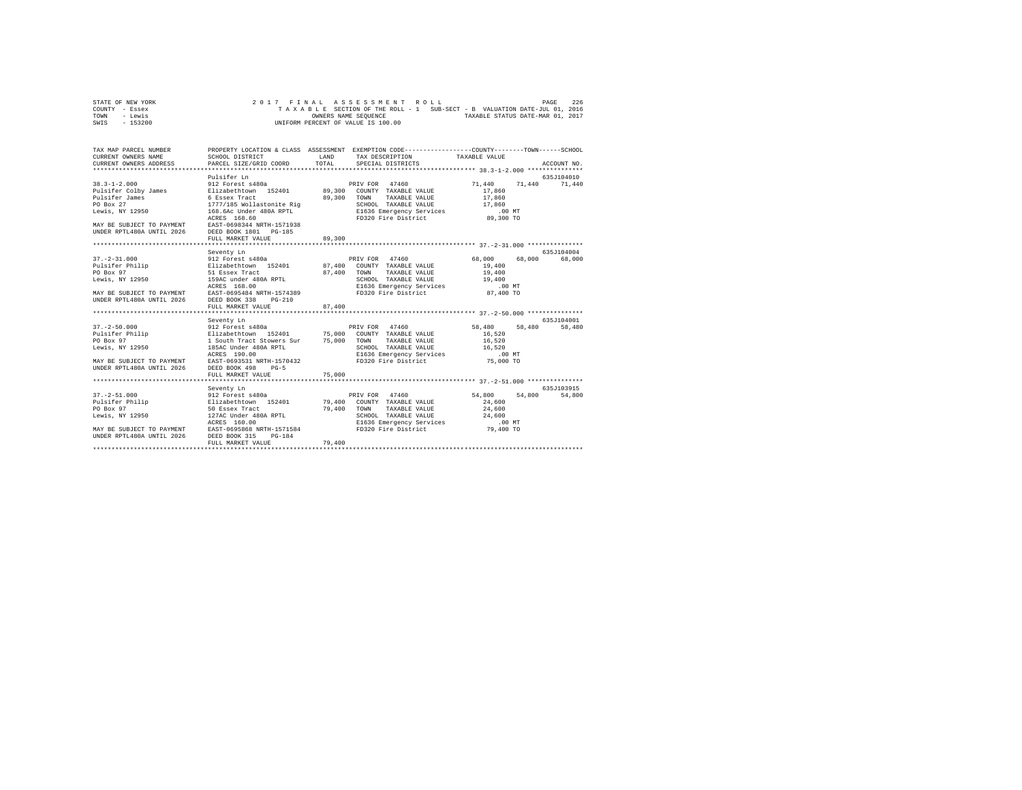| STATE OF NEW YORK |  |  |  | 2017 FINAL ASSESSMENT ROLL         |  |  |  |                                                                          | PAGE | 226 |
|-------------------|--|--|--|------------------------------------|--|--|--|--------------------------------------------------------------------------|------|-----|
| COUNTY - Essex    |  |  |  |                                    |  |  |  | TAXABLE SECTION OF THE ROLL - 1 SUB-SECT - B VALUATION DATE-JUL 01, 2016 |      |     |
| TOWN<br>- Lewis   |  |  |  | OWNERS NAME SEOUENCE               |  |  |  | TAXABLE STATUS DATE-MAR 01, 2017                                         |      |     |
| - 153200<br>SWIS  |  |  |  | UNIFORM PERCENT OF VALUE IS 100.00 |  |  |  |                                                                          |      |     |

| TAX MAP PARCEL NUMBER                                                                                                                                                                                                                                                                                                               |                             |        | PROPERTY LOCATION & CLASS ASSESSMENT EXEMPTION CODE----------------COUNTY-------TOWN-----SCHOOL                              |                                   |               |
|-------------------------------------------------------------------------------------------------------------------------------------------------------------------------------------------------------------------------------------------------------------------------------------------------------------------------------------|-----------------------------|--------|------------------------------------------------------------------------------------------------------------------------------|-----------------------------------|---------------|
|                                                                                                                                                                                                                                                                                                                                     |                             |        |                                                                                                                              |                                   |               |
|                                                                                                                                                                                                                                                                                                                                     | Pulsifer Ln                 |        |                                                                                                                              |                                   | 635J104010    |
| $38.3 - 1 - 2.000$<br>Pulsifer Colby James Blizabethtown 152401 89,300 COUNTY TAXABLE VALUE<br>Pulsifer Colby James and the statement of the colby James of Essex Tract (1999) 2008 TOWN TAXABLE VALUE 17<br>Pulsifer James 6 Essex Tract (1999) 2009 TOWN TAXABLE VALUE 17<br>Dewis, NY 12950 168.66 Under 480A RPTL (19936 Energe | 912 Forest s480a            |        | PRIV FOR 47460                                                                                                               | 71,440<br>17,860<br>17,860        | 71,440 71,440 |
|                                                                                                                                                                                                                                                                                                                                     |                             |        |                                                                                                                              | 17,860                            |               |
|                                                                                                                                                                                                                                                                                                                                     |                             |        |                                                                                                                              | .00 MT<br>89,300 TO               |               |
| MAY BE SUBJECT TO PAYMENT EAST-0698344 NRTH-1571938<br>UNDER RPTL480A UNTIL 2026 DEED BOOK 1801 PG-185                                                                                                                                                                                                                              | FULL MARKET VALUE           | 89,300 |                                                                                                                              |                                   |               |
|                                                                                                                                                                                                                                                                                                                                     |                             |        |                                                                                                                              |                                   |               |
|                                                                                                                                                                                                                                                                                                                                     | Seventy Ln                  |        |                                                                                                                              |                                   | 635.7104004   |
|                                                                                                                                                                                                                                                                                                                                     | FULL MARKET VALUE           | 87,400 | TAXABLE VALUE<br>SCHOOL TAXABLE VALUE 19,400<br>E1636 Emergency Services .00 MT<br>FD320 Fire District 87,400 TO             | 68,000<br>19,400<br>19,400        | 68,000 68,000 |
|                                                                                                                                                                                                                                                                                                                                     |                             |        |                                                                                                                              |                                   |               |
|                                                                                                                                                                                                                                                                                                                                     | Seventy Ln                  |        |                                                                                                                              |                                   | 635J104001    |
| Lewis, NY 12950 185AC Under 480A RPTL                                                                                                                                                                                                                                                                                               | ACRES 190.00                |        | SCHOOL TAXABLE VALUE 16,520                                                                                                  | 58,480                            | 58,480        |
| MAY BE SUBJECT TO PAYMENT EAST-0693531 NRTH-1570432<br>UNDER RPTL480A UNTIL 2026 DEED BOOK 498                                                                                                                                                                                                                                      | $PG-5$<br>FULL MARKET VALUE | 75,000 |                                                                                                                              |                                   |               |
|                                                                                                                                                                                                                                                                                                                                     |                             |        |                                                                                                                              |                                   |               |
|                                                                                                                                                                                                                                                                                                                                     |                             |        |                                                                                                                              |                                   | 635.7103915   |
|                                                                                                                                                                                                                                                                                                                                     |                             |        | 79,400 TOWN TAXABLE VALUE<br>SCHOOL TAXABLE VALUE 24,600<br>E1636 Emergency Services .00 MT<br>FD320 Fire District 79,400 TO | 54,800 54,800<br>24,600<br>24,600 | 54,800        |
|                                                                                                                                                                                                                                                                                                                                     | FULL MARKET VALUE           | 79,400 |                                                                                                                              |                                   |               |
|                                                                                                                                                                                                                                                                                                                                     |                             |        |                                                                                                                              |                                   |               |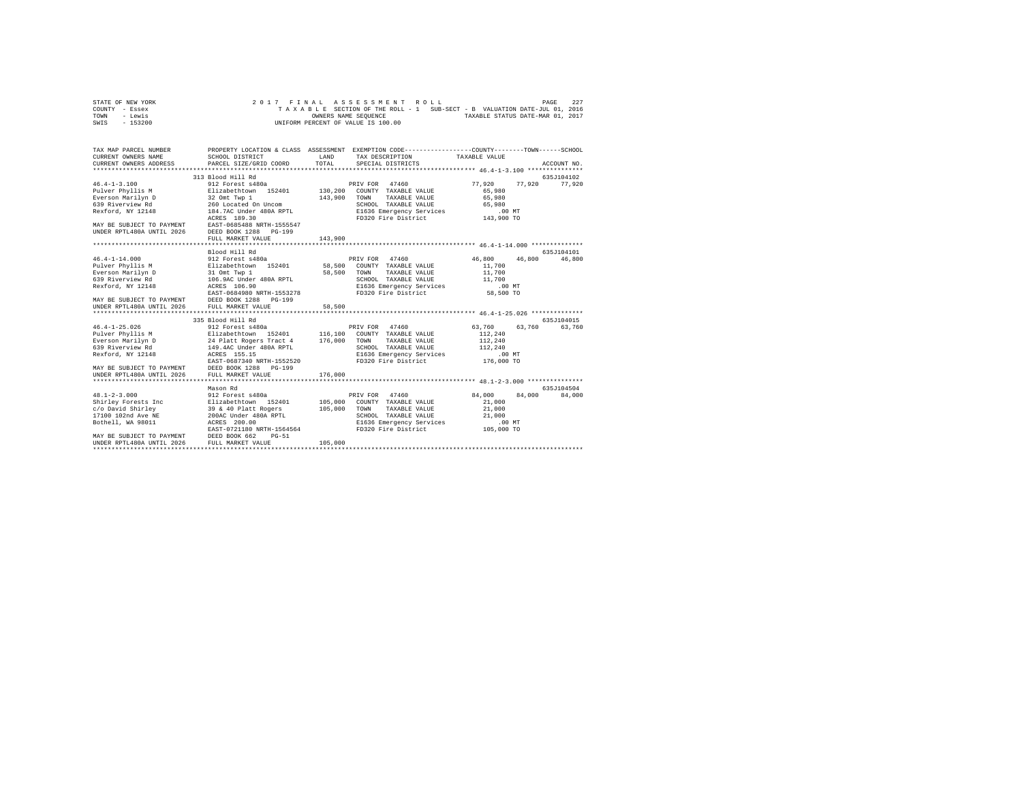| STATE OF NEW YORK | 2017 FINAL ASSESSMENT ROLL                                               | 227<br>PAGE                      |
|-------------------|--------------------------------------------------------------------------|----------------------------------|
| COUNTY - Essex    | TAXABLE SECTION OF THE ROLL - 1 SUB-SECT - B VALUATION DATE-JUL 01, 2016 |                                  |
| TOWN<br>- Lewis   | OWNERS NAME SEOUENCE                                                     | TAXABLE STATUS DATE-MAR 01, 2017 |
| $-153200$<br>SWIS | UNIFORM PERCENT OF VALUE IS 100.00                                       |                                  |

| TAX MAP PARCEL NUMBER<br>CURRENT OWNERS NAME<br>CURRENT OWNERS ADDRESS                         | SCHOOL DISTRICT<br>PARCEL SIZE/GRID COORD                                                                                                                                                                                             | LAND<br>TOTAL | PROPERTY LOCATION & CLASS ASSESSMENT EXEMPTION CODE---------------COUNTY-------TOWN------SCHOOL<br>TAX DESCRIPTION TAXABLE VALUE<br>SPECIAL DISTRICTS |                    | ACCOUNT NO. |
|------------------------------------------------------------------------------------------------|---------------------------------------------------------------------------------------------------------------------------------------------------------------------------------------------------------------------------------------|---------------|-------------------------------------------------------------------------------------------------------------------------------------------------------|--------------------|-------------|
|                                                                                                |                                                                                                                                                                                                                                       |               |                                                                                                                                                       |                    |             |
|                                                                                                | 313 Blood Hill Rd                                                                                                                                                                                                                     |               |                                                                                                                                                       |                    | 635J104102  |
| $46.4 - 1 - 3.100$                                                                             | 912 Forest s480a                                                                                                                                                                                                                      |               | PRIV FOR 47460                                                                                                                                        | 77.920<br>77.920   | 77,920      |
|                                                                                                |                                                                                                                                                                                                                                       |               | COUNTY TAXABLE VALUE                                                                                                                                  | 65,980             |             |
|                                                                                                |                                                                                                                                                                                                                                       |               | TOWN<br>TAXABLE VALUE                                                                                                                                 | 65,980             |             |
|                                                                                                |                                                                                                                                                                                                                                       |               | SCHOOL TAXABLE VALUE                                                                                                                                  | 65,980             |             |
| Rexford, NY 12148                                                                              | 184.7AC Under 480A RPTL                                                                                                                                                                                                               |               |                                                                                                                                                       |                    |             |
|                                                                                                | ACRES 189.30                                                                                                                                                                                                                          |               |                                                                                                                                                       |                    |             |
| MAY BE SUBJECT TO PAYMENT EAST-0685488 NRTH-1555547                                            |                                                                                                                                                                                                                                       |               |                                                                                                                                                       |                    |             |
| UNDER RPTL480A UNTIL 2026                                                                      | DEED BOOK 1288 PG-199                                                                                                                                                                                                                 |               |                                                                                                                                                       |                    |             |
|                                                                                                | FULL MARKET VALUE                                                                                                                                                                                                                     | 143,900       |                                                                                                                                                       |                    |             |
|                                                                                                | Blood Hill Rd                                                                                                                                                                                                                         |               |                                                                                                                                                       |                    | 635J104101  |
| $46.4 - 1 - 14.000$                                                                            |                                                                                                                                                                                                                                       |               |                                                                                                                                                       | 46,800<br>46,800   | 46,800      |
| Pulver Phyllis M                                                                               |                                                                                                                                                                                                                                       |               |                                                                                                                                                       | 11,700             |             |
|                                                                                                |                                                                                                                                                                                                                                       | 58,500 TOWN   | TAXABLE VALUE                                                                                                                                         | 11,700             |             |
|                                                                                                |                                                                                                                                                                                                                                       |               | SCHOOL TAXABLE VALUE                                                                                                                                  | 11,700             |             |
|                                                                                                | Exerson Marilyn D<br>Everson Marilyn D<br>539 Riverview Rd<br>Rexford, NY 12148<br>Rexford, NY 12148<br>Rexford, NY 12148<br>2008 Rexford, NY 12148                                                                                   |               | E1636 Emergency Services                                                                                                                              | .00MT              |             |
|                                                                                                |                                                                                                                                                                                                                                       |               | FD320 Fire District                                                                                                                                   | 58,500 TO          |             |
|                                                                                                |                                                                                                                                                                                                                                       |               |                                                                                                                                                       |                    |             |
|                                                                                                |                                                                                                                                                                                                                                       | 58,500        |                                                                                                                                                       |                    |             |
|                                                                                                |                                                                                                                                                                                                                                       |               |                                                                                                                                                       |                    |             |
|                                                                                                | 335 Blood Hill Rd                                                                                                                                                                                                                     |               |                                                                                                                                                       |                    | 635.7104015 |
|                                                                                                |                                                                                                                                                                                                                                       |               |                                                                                                                                                       | 63.760<br>63,760   | 63,760      |
|                                                                                                |                                                                                                                                                                                                                                       |               |                                                                                                                                                       | 112,240            |             |
|                                                                                                |                                                                                                                                                                                                                                       |               |                                                                                                                                                       | 112,240            |             |
|                                                                                                |                                                                                                                                                                                                                                       |               | SCHOOL TAXABLE VALUE                                                                                                                                  | 112,240            |             |
| Rexford, NY 12148                                                                              | ACRES 155.15<br>EAST-0687340 NRTH-1552520                                                                                                                                                                                             |               | E1636 Emergency Services                                                                                                                              | .00MT              |             |
|                                                                                                |                                                                                                                                                                                                                                       |               | FD320 Fire District                                                                                                                                   | 176,000 TO         |             |
| MAY BE SUBJECT TO PAYMENT DEED BOOK 1288 PG-199<br>UNDER RPTL480A UNTIL 2026 FULL MARKET VALUE |                                                                                                                                                                                                                                       |               |                                                                                                                                                       |                    |             |
|                                                                                                |                                                                                                                                                                                                                                       | 176,000       |                                                                                                                                                       |                    |             |
|                                                                                                |                                                                                                                                                                                                                                       |               |                                                                                                                                                       |                    |             |
|                                                                                                | Mason Rd                                                                                                                                                                                                                              |               |                                                                                                                                                       |                    | 635J104504  |
| $48.1 - 2 - 3.000$                                                                             | 912 Forest s480a                                                                                                                                                                                                                      |               | PRIV FOR 47460                                                                                                                                        | 84,000<br>84,000   | 84,000      |
|                                                                                                |                                                                                                                                                                                                                                       |               |                                                                                                                                                       | 21,000             |             |
|                                                                                                |                                                                                                                                                                                                                                       |               | TAXABLE VALUE                                                                                                                                         | 21,000             |             |
|                                                                                                | 48.1-2-5.000 COUNTY TAXABLE VALUE<br>Shirley Forests Inc = Filizabethcown 152401 105,000 COUNTY TAXABLE VALUE<br>$C/O$ David Shirley Forests Inc = 39 & 40 Platt Rogers = 105,000 TOWN TAXABLE VALUE<br>17100 102nd Ave NE = 200AC Un |               | E1636 Emergency Services                                                                                                                              | 21,000<br>$.00$ MT |             |
|                                                                                                |                                                                                                                                                                                                                                       |               | FD320 Fire District                                                                                                                                   | 105,000 TO         |             |
|                                                                                                | EAST-0721180 NRTH-1564564<br>MAY BE SUBJECT TO PAYMENT DEED BOOK 662 PG-51                                                                                                                                                            |               |                                                                                                                                                       |                    |             |
| UNDER RPTL480A UNTIL 2026 FULL MARKET VALUE                                                    |                                                                                                                                                                                                                                       | 105,000       |                                                                                                                                                       |                    |             |
|                                                                                                |                                                                                                                                                                                                                                       |               |                                                                                                                                                       |                    |             |
|                                                                                                |                                                                                                                                                                                                                                       |               |                                                                                                                                                       |                    |             |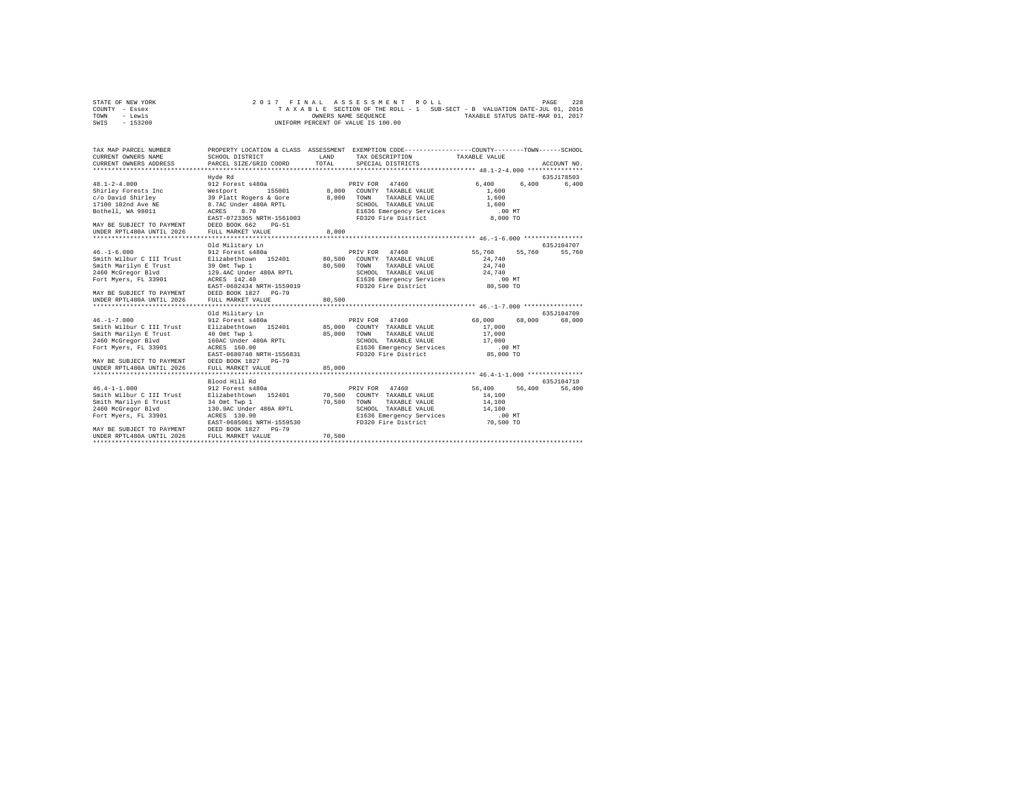| STATE OF NEW YORK | 2017 FINAL ASSESSMENT ROLL                                               | 228<br>PAGE                      |
|-------------------|--------------------------------------------------------------------------|----------------------------------|
| COUNTY - Essex    | TAXABLE SECTION OF THE ROLL - 1 SUB-SECT - B VALUATION DATE-JUL 01, 2016 |                                  |
| TOWN<br>- Lewis   | OWNERS NAME SEOUENCE                                                     | TAXABLE STATUS DATE-MAR 01, 2017 |
| $-153200$<br>SWIS | UNIFORM PERCENT OF VALUE IS 100.00                                       |                                  |

| TAX MAP PARCEL NUMBER<br>CURRENT OWNERS NAME<br>CURRENT OWNERS ADDRESS                                                                                                                                                                                                        | SCHOOL DISTRICT<br>PARCEL SIZE/GRID COORD                                                                                                                                                                                                                                                                       | LAND<br>TOTAL                                        | PROPERTY LOCATION & CLASS ASSESSMENT EXEMPTION CODE----------------COUNTY-------TOWN------SCHOOL<br>TAX DESCRIPTION<br>SPECIAL DISTRICTS                                                                                              | TAXABLE VALUE                                                                                                             | ACCOUNT NO.                     |
|-------------------------------------------------------------------------------------------------------------------------------------------------------------------------------------------------------------------------------------------------------------------------------|-----------------------------------------------------------------------------------------------------------------------------------------------------------------------------------------------------------------------------------------------------------------------------------------------------------------|------------------------------------------------------|---------------------------------------------------------------------------------------------------------------------------------------------------------------------------------------------------------------------------------------|---------------------------------------------------------------------------------------------------------------------------|---------------------------------|
| $48.1 - 2 - 4.000$<br>Shirley Forests Inc<br>c/o David Shirley<br>17100 102nd Ave NE<br>Bothell, WA 98011<br>MAY BE SUBJECT TO PAYMENT<br>UNDER RPTL480A UNTIL 2026                                                                                                           | Hyde Rd<br>912 Forest s480a<br>155001<br>Westport<br>39 Platt Rogers & Gore<br>8.7AC Under 480A RPTL<br>8.70<br>ACRES<br>EAST-0723365 NRTH-1561003<br>DEED BOOK 662<br>$PG-51$<br>FULL MARKET VALUE                                                                                                             | $8,000$ <sup><math>51</math></sup><br>8,000<br>8,000 | 47460<br>PRIV FOR<br>COUNTY TAXABLE VALUE<br>TAXABLE VALUE<br>TOWN<br>SCHOOL TAXABLE VALUE<br>E1636 Emergency Services<br>FD320 Fire District                                                                                         | 6,400<br>6,400<br>1,600<br>1,600<br>1,600<br>$.00$ MT<br>8,000 TO                                                         | 635J178503<br>6,400             |
|                                                                                                                                                                                                                                                                               |                                                                                                                                                                                                                                                                                                                 |                                                      |                                                                                                                                                                                                                                       |                                                                                                                           | 635J104707                      |
| $46. - 1 - 6.000$<br>Smith Wilbur C III Trust<br>Smith Marilyn E Trust<br>2460 McGregor Blvd<br>Fort Myers, FL 33901<br>MAY BE SUBJECT TO PAYMENT<br>UNDER RPTL480A UNTIL 2026<br>$46. -1 - 7.000$<br>Smith Wilbur C III Trust<br>Smith Marilyn E Trust<br>2460 McGregor Blvd | Old Military Ln<br>912 Forest s480a<br>Elizabethtown 152401<br>39 Omt Twp 1<br>129.4AC Under 480A RPTL<br>ACRES 142.40<br>EAST-0682434 NRTH-1559019<br>DEED BOOK 1827 PG-79<br>FULL MARKET VALUE<br>Old Military Ln<br>912 Forest s480a<br>Elizabethtown 152401 85,000<br>40 Omt Twp 1<br>160AC Under 480A RPTL | 80,500<br>80,500<br>80,500<br>85,000                 | PRIV FOR 47460<br>COUNTY TAXABLE VALUE<br>TOWN<br>TAXABLE VALUE<br>SCHOOL TAXABLE VALUE<br>E1636 Emergency Services<br>FD320 Fire District<br>PRIV FOR 47460<br>COUNTY TAXABLE VALUE<br>TAXABLE VALUE<br>TOWN<br>SCHOOL TAXABLE VALUE | 55,760<br>55,760<br>24,740<br>24,740<br>24,740<br>$.00$ MT<br>80,500 TO<br>68,000<br>68,000<br>17,000<br>17,000<br>17,000 | 55,760<br>635.T104709<br>68,000 |
| Fort Myers, FL 33901<br>MAY BE SUBJECT TO PAYMENT<br>UNDER RPTL480A UNTIL 2026                                                                                                                                                                                                | ACRES 160.00<br>EAST-0680740 NRTH-1556831<br>DEED BOOK 1827 PG-79<br>FULL MARKET VALUE                                                                                                                                                                                                                          | 85,000                                               | E1636 Emergency Services<br>FD320 Fire District                                                                                                                                                                                       | $.00$ MT<br>85,000 TO                                                                                                     |                                 |
| *************************                                                                                                                                                                                                                                                     |                                                                                                                                                                                                                                                                                                                 |                                                      | ********************************** 46.4-1-1.000 ****************                                                                                                                                                                      |                                                                                                                           |                                 |
| $46.4 - 1 - 1.000$<br>Smith Wilbur C III Trust<br>Smith Marilyn E Trust<br>2460 McGregor Blvd<br>Fort Myers, FL 33901<br>MAY BE SUBJECT TO PAYMENT                                                                                                                            | Blood Hill Rd<br>912 Forest s480a<br>Elizabethtown 152401<br>34 Omt Twp 1<br>130.9AC Under 480A RPTL<br>ACRES 130.90<br>EAST-0685061 NRTH-1559530<br>DEED BOOK 1827 PG-79                                                                                                                                       | 70,500<br>70,500                                     | 47460<br>PRIV FOR<br>COUNTY TAXABLE VALUE<br>TOWN<br>TAXABLE VALUE<br>SCHOOL TAXABLE VALUE<br>E1636 Emergency Services<br>FD320 Fire District                                                                                         | 56,400<br>56,400<br>14,100<br>14,100<br>14,100<br>$.00$ MT<br>70,500 TO                                                   | 635J104710<br>56,400            |
| UNDER RPTL480A UNTIL 2026                                                                                                                                                                                                                                                     | FULL MARKET VALUE                                                                                                                                                                                                                                                                                               | 70,500                                               |                                                                                                                                                                                                                                       |                                                                                                                           |                                 |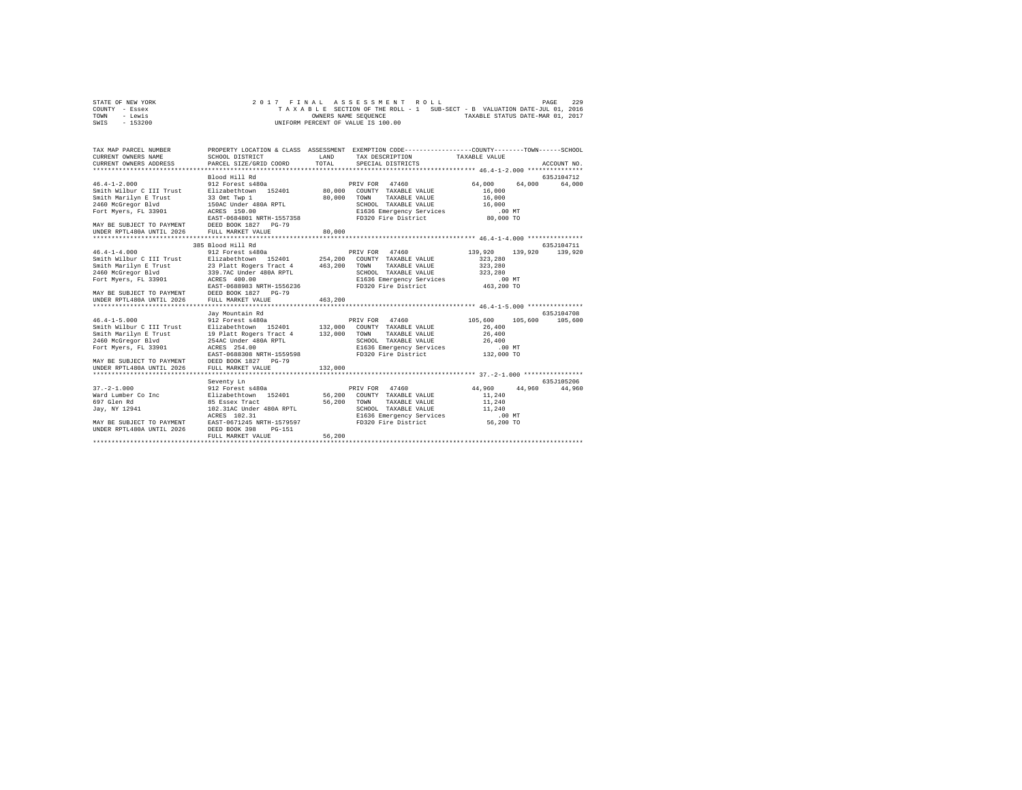| STATE OF NEW YORK | 2017 FINAL ASSESSMENT ROLL                                               | 229<br>PAGE                      |
|-------------------|--------------------------------------------------------------------------|----------------------------------|
| COUNTY - Essex    | TAXABLE SECTION OF THE ROLL - 1 SUB-SECT - B VALUATION DATE-JUL 01, 2016 |                                  |
| TOWN<br>- Lewis   | OWNERS NAME SEOUENCE                                                     | TAXABLE STATUS DATE-MAR 01, 2017 |
| $-153200$<br>SWIS | UNIFORM PERCENT OF VALUE IS 100.00                                       |                                  |

| TAX MAP PARCEL NUMBER<br>CURRENT OWNERS NAME<br>CURRENT OWNERS ADDRESS                                                | SCHOOL DISTRICT<br>PARCEL SIZE/GRID COORD                                                                                      | LAND<br>TOTAL    | PROPERTY LOCATION & CLASS ASSESSMENT EXEMPTION CODE----------------COUNTY-------TOWN------SCHOOL<br>TAX DESCRIPTION<br>SPECIAL DISTRICTS   | TAXABLE VALUE                                                           | ACCOUNT NO. |
|-----------------------------------------------------------------------------------------------------------------------|--------------------------------------------------------------------------------------------------------------------------------|------------------|--------------------------------------------------------------------------------------------------------------------------------------------|-------------------------------------------------------------------------|-------------|
|                                                                                                                       | Blood Hill Rd                                                                                                                  |                  |                                                                                                                                            |                                                                         | 635J104712  |
| $46.4 - 1 - 2.000$<br>Smith Wilbur C III Trust<br>Smith Marilyn E Trust<br>2460 McGregor Blvd<br>Fort Myers, FL 33901 | 912 Forest s480a<br>Elizabethtown 152401<br>33 Omt Two 1<br>150AC Under 480A RPTL<br>ACRES 150.00<br>EAST-0684801 NRTH-1557358 | 80.000<br>80,000 | PRIV FOR 47460<br>COUNTY TAXABLE VALUE<br>TOWN<br>TAXABLE VALUE<br>SCHOOL TAXABLE VALUE<br>E1636 Emergency Services<br>FD320 Fire District | 64,000<br>64,000<br>16,000<br>16,000<br>16,000<br>$.00$ MT<br>80,000 TO | 64,000      |
| MAY BE SUBJECT TO PAYMENT DEED BOOK 1827 PG-79                                                                        |                                                                                                                                |                  |                                                                                                                                            |                                                                         |             |
| UNDER RPTL480A UNTIL 2026                                                                                             | FULL MARKET VALUE                                                                                                              | 80,000           |                                                                                                                                            |                                                                         |             |
|                                                                                                                       | 385 Blood Hill Rd                                                                                                              |                  |                                                                                                                                            |                                                                         | 635J104711  |
| $46.4 - 1 - 4.000$                                                                                                    | 912 Forest s480a                                                                                                               |                  | PRIV FOR 47460                                                                                                                             | 139,920<br>139,920                                                      | 139,920     |
| Smith Wilbur C III Trust                                                                                              | Elizabethtown 152401                                                                                                           | 254,200          | COUNTY TAXABLE VALUE                                                                                                                       | 323,280                                                                 |             |
| Smith Marilyn E Trust                                                                                                 | 23 Platt Rogers Tract 4                                                                                                        | 463,200          | TOWN<br>TAXABLE VALUE                                                                                                                      | 323,280                                                                 |             |
| 2460 McGregor Blvd                                                                                                    | 339.7AC Under 480A RPTL                                                                                                        |                  | SCHOOL TAXABLE VALUE                                                                                                                       | 323,280                                                                 |             |
| Fort Myers, FL 33901                                                                                                  | ACRES 400.00                                                                                                                   |                  | E1636 Emergency Services                                                                                                                   | $.00$ MT                                                                |             |
|                                                                                                                       | EAST-0688983 NRTH-1556236                                                                                                      |                  | FD320 Fire District                                                                                                                        | 463,200 TO                                                              |             |
| MAY BE SUBJECT TO PAYMENT<br>UNDER RPTL480A UNTIL 2026                                                                | DEED BOOK 1827 PG-79<br>FULL MARKET VALUE                                                                                      | 463,200          |                                                                                                                                            |                                                                         |             |
|                                                                                                                       |                                                                                                                                |                  |                                                                                                                                            |                                                                         |             |
|                                                                                                                       | Jav Mountain Rd                                                                                                                |                  |                                                                                                                                            |                                                                         | 635J104708  |
| $46.4 - 1 - 5.000$                                                                                                    | 912 Forest s480a                                                                                                               |                  | PRIV FOR 47460                                                                                                                             | 105,600<br>105,600                                                      | 105,600     |
| Smith Wilbur C III Trust                                                                                              | Elizabethtown 152401 132,000                                                                                                   |                  | COUNTY TAXABLE VALUE                                                                                                                       | 26,400                                                                  |             |
| Smith Marilyn E Trust                                                                                                 | 19 Platt Rogers Tract 4                                                                                                        | 132,000          | TAXABLE VALUE<br>TOWN                                                                                                                      | 26,400                                                                  |             |
| 2460 McGregor Blvd                                                                                                    | 254AC Under 480A RPTL                                                                                                          |                  | SCHOOL TAXABLE VALUE                                                                                                                       | 26,400                                                                  |             |
| Fort Myers, FL 33901                                                                                                  | ACRES 254.00                                                                                                                   |                  | E1636 Emergency Services                                                                                                                   | $.00$ $MT$                                                              |             |
|                                                                                                                       | EAST-0688308 NRTH-1559598                                                                                                      |                  | FD320 Fire District                                                                                                                        | 132,000 TO                                                              |             |
| MAY BE SUBJECT TO PAYMENT                                                                                             | DEED BOOK 1827 PG-79                                                                                                           |                  |                                                                                                                                            |                                                                         |             |
| UNDER RPTL480A UNTIL 2026                                                                                             | FULL MARKET VALUE                                                                                                              | 132,000          |                                                                                                                                            |                                                                         |             |
|                                                                                                                       | Seventy Ln                                                                                                                     |                  |                                                                                                                                            |                                                                         | 635.7105206 |
| $37. - 2 - 1.000$                                                                                                     | 912 Forest s480a                                                                                                               |                  | PRIV FOR 47460                                                                                                                             | 44,960<br>44,960                                                        | 44,960      |
| Ward Lumber Co Inc                                                                                                    | Elizabethtown 152401                                                                                                           | 56,200           | COUNTY TAXABLE VALUE                                                                                                                       | 11,240                                                                  |             |
| 697 Glen Rd                                                                                                           | 85 Essex Tract                                                                                                                 | 56,200           | TOWN<br>TAXABLE VALUE                                                                                                                      | 11,240                                                                  |             |
| Jay, NY 12941                                                                                                         | 102.31AC Under 480A RPTL                                                                                                       |                  | SCHOOL TAXABLE VALUE                                                                                                                       | 11,240                                                                  |             |
|                                                                                                                       | ACRES 102.31                                                                                                                   |                  | E1636 Emergency Services                                                                                                                   | $.00$ $MT$                                                              |             |
| MAY BE SUBJECT TO PAYMENT                                                                                             | EAST-0671245 NRTH-1579597                                                                                                      |                  | FD320 Fire District                                                                                                                        | 56,200 TO                                                               |             |
| UNDER RPTL480A UNTIL 2026                                                                                             | DEED BOOK 398<br>$PG-151$                                                                                                      |                  |                                                                                                                                            |                                                                         |             |
|                                                                                                                       | FULL MARKET VALUE                                                                                                              | 56,200           |                                                                                                                                            |                                                                         |             |
|                                                                                                                       |                                                                                                                                |                  |                                                                                                                                            |                                                                         |             |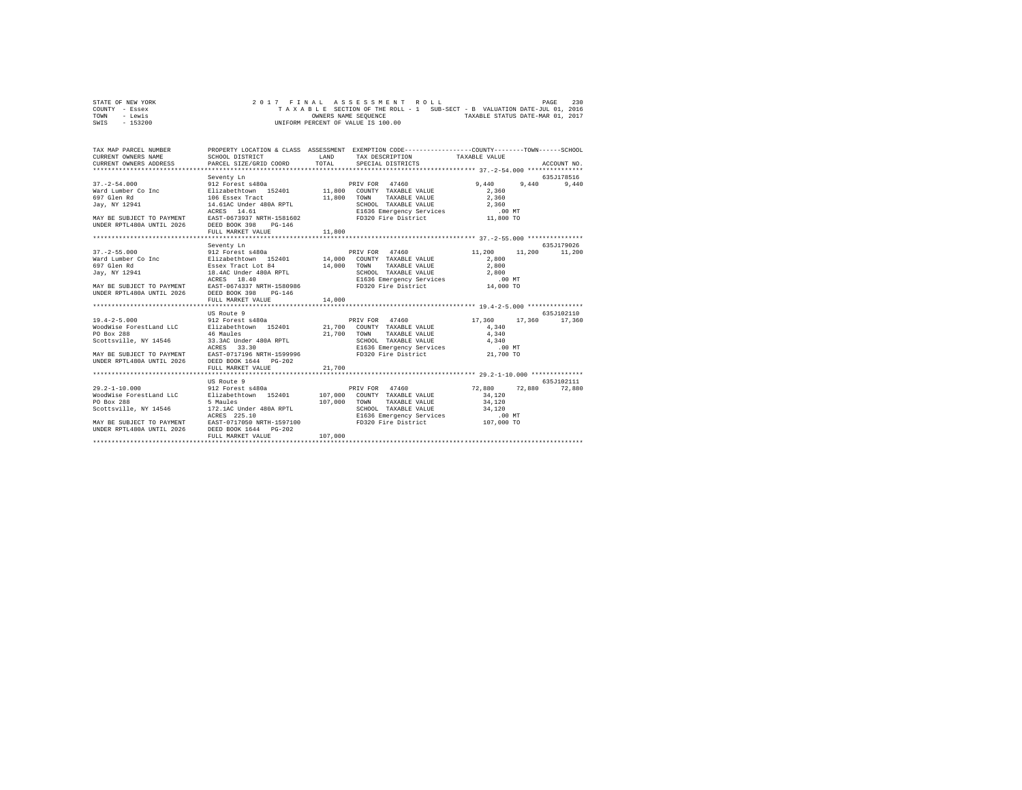| STATE OF NEW YORK |  |  |  |  | 2017 FINAL ASSESSMENT ROLL         |  |  |  |  |                                                                          | PAGE | 230 |
|-------------------|--|--|--|--|------------------------------------|--|--|--|--|--------------------------------------------------------------------------|------|-----|
| COUNTY - Essex    |  |  |  |  |                                    |  |  |  |  | TAXABLE SECTION OF THE ROLL - 1 SUB-SECT - B VALUATION DATE-JUL 01, 2016 |      |     |
| TOWN<br>- Lewis   |  |  |  |  | OWNERS NAME SEOUENCE               |  |  |  |  | TAXABLE STATUS DATE-MAR 01, 2017                                         |      |     |
| $-153200$<br>SWIS |  |  |  |  | UNIFORM PERCENT OF VALUE IS 100.00 |  |  |  |  |                                                                          |      |     |

|                                                             | LAND<br>TOTAL                                                                                                                                                                                           | SPECIAL DISTRICTS                                                                                                                                                                                                                                                                                                                                                                                                                                                                                                                                                                                                                                                                                                                                                                                                   |                                                                                                                                                                                                                                                                                                                                                                                 | ACCOUNT NO.                                                                                                                                                                                                                                                                                                                                                                              |
|-------------------------------------------------------------|---------------------------------------------------------------------------------------------------------------------------------------------------------------------------------------------------------|---------------------------------------------------------------------------------------------------------------------------------------------------------------------------------------------------------------------------------------------------------------------------------------------------------------------------------------------------------------------------------------------------------------------------------------------------------------------------------------------------------------------------------------------------------------------------------------------------------------------------------------------------------------------------------------------------------------------------------------------------------------------------------------------------------------------|---------------------------------------------------------------------------------------------------------------------------------------------------------------------------------------------------------------------------------------------------------------------------------------------------------------------------------------------------------------------------------|------------------------------------------------------------------------------------------------------------------------------------------------------------------------------------------------------------------------------------------------------------------------------------------------------------------------------------------------------------------------------------------|
| Seventy Ln<br>$PG-146$                                      |                                                                                                                                                                                                         | TOWN<br>TAXABLE VALUE                                                                                                                                                                                                                                                                                                                                                                                                                                                                                                                                                                                                                                                                                                                                                                                               | 9,440<br>2,360<br>2,360<br>$2\,,360$                                                                                                                                                                                                                                                                                                                                            | 635J178516<br>9,440                                                                                                                                                                                                                                                                                                                                                                      |
|                                                             |                                                                                                                                                                                                         |                                                                                                                                                                                                                                                                                                                                                                                                                                                                                                                                                                                                                                                                                                                                                                                                                     |                                                                                                                                                                                                                                                                                                                                                                                 |                                                                                                                                                                                                                                                                                                                                                                                          |
|                                                             |                                                                                                                                                                                                         |                                                                                                                                                                                                                                                                                                                                                                                                                                                                                                                                                                                                                                                                                                                                                                                                                     |                                                                                                                                                                                                                                                                                                                                                                                 | 635J179026                                                                                                                                                                                                                                                                                                                                                                               |
| PG-146<br>FULL MARKET VALUE                                 | 14,000                                                                                                                                                                                                  | TOWN                                                                                                                                                                                                                                                                                                                                                                                                                                                                                                                                                                                                                                                                                                                                                                                                                | 11,200<br>2,800<br>2,800                                                                                                                                                                                                                                                                                                                                                        | 11,200                                                                                                                                                                                                                                                                                                                                                                                   |
|                                                             |                                                                                                                                                                                                         |                                                                                                                                                                                                                                                                                                                                                                                                                                                                                                                                                                                                                                                                                                                                                                                                                     |                                                                                                                                                                                                                                                                                                                                                                                 |                                                                                                                                                                                                                                                                                                                                                                                          |
| US Route 9<br>FULL MARKET VALUE                             | 21,700                                                                                                                                                                                                  | TAXABLE VALUE<br>SCHOOL TAXABLE VALUE                                                                                                                                                                                                                                                                                                                                                                                                                                                                                                                                                                                                                                                                                                                                                                               | 17,360<br>4,340<br>4,340<br>4,340<br>.00 MT<br>21,700 TO                                                                                                                                                                                                                                                                                                                        | 635J102110<br>17,360                                                                                                                                                                                                                                                                                                                                                                     |
| US Route 9<br>5 Maules<br>ACRES 225.10<br>FULL MARKET VALUE | 107,000                                                                                                                                                                                                 | TAXABLE VALUE                                                                                                                                                                                                                                                                                                                                                                                                                                                                                                                                                                                                                                                                                                                                                                                                       | 34,120<br>34,120<br>34,120<br>$.00$ MT<br>107,000 TO                                                                                                                                                                                                                                                                                                                            | 635.7102111<br>72,880                                                                                                                                                                                                                                                                                                                                                                    |
|                                                             | SCHOOL DISTRICT<br>CURRENT OWNERS ADDRESS PARCEL SIZE/GRID COORD<br>UNDER RPTL480A UNTIL 2026 DEED BOOK 398<br>FULL MARKET VALUE<br>Seventy Ln<br>DEED BOOK 398<br>912 Forest s480a<br>912 Forest s480a | $\begin{array}{lllll}\n & & & & \text{if } 12 \text{ Forest} & \text{480a} \\ \text{Ward Lumber Co Inc} & & & & \text{B12} & \text{Forest} & \text{480a} \\ \text{Ward Lumber Co Inc} & & & & \text{E11zabethttown} & \text{152401} \\ \text{597 Glen Rd} & & & & 106 & \text{Reses} \text{Twart} \\ \text{708 Glen Rd} & & & & \text{106} & \text{Reses} \text{Twart} \\ \text{899 Glen Rd} & & & & \text{106} & \text{Reses} \text{Twart} \\ \text{909 G$<br>11,800<br>912 Forest s480a<br>46 Maules<br>33.3AC Under 480A RPTL<br>ACRES 33.30<br>MAY BE SUBJECT TO PAYMENT BAST-0717196 NRTH-1599996<br>UNDER RPTL480A UNTIL 2026 DEED BOOK 1644 PG-202<br>WoodWise ForestLand LLC Blizabethtown 152401<br>MAY BE SUBJECT TO PAYMENT BAST-0717050 NRTH-1597100<br>UNDER RPTL480A UNTIL 2026 DEED BOOK 1644 PG-202 | PRIV FOR 47460<br>FRIV FOR THE VALUE 11,800 COUNTY TAXABLE VALUE<br>11,800<br>14.61AC Under 480A RPTL<br>PRIV FOR 47460<br>Ward Lumber Co Inc [1328bethtown 152401 14,000 COUNTY TAXABLE VALUE<br>Essex Tract Lot 84 14,000<br>EAST-0674337 NRTH-1580986<br>PRIV FOR 47460<br>Elizabethtown 152401 21,700 COUNTY TAXABLE VALUE<br>21,700 TOWN<br>PRIV FOR 47460<br>107,000 TOWN | PROPERTY LOCATION & CLASS ASSESSMENT EXEMPTION CODE---------------COUNTY-------TOWN------SCHOOL<br>TAX DESCRIPTION TAXABLE VALUE<br>9,440<br>11,200<br>TAXABLE VALUE<br>17,360<br>SCHOOL TAXABLE VALUE<br>E1636 Emergency Services<br>FD320 Fire District<br>72,880<br>72,880<br>107,000 COUNTY TAXABLE VALUE<br>SCHOOL TAXABLE VALUE<br>E1636 Emergency Services<br>FD320 Fire District |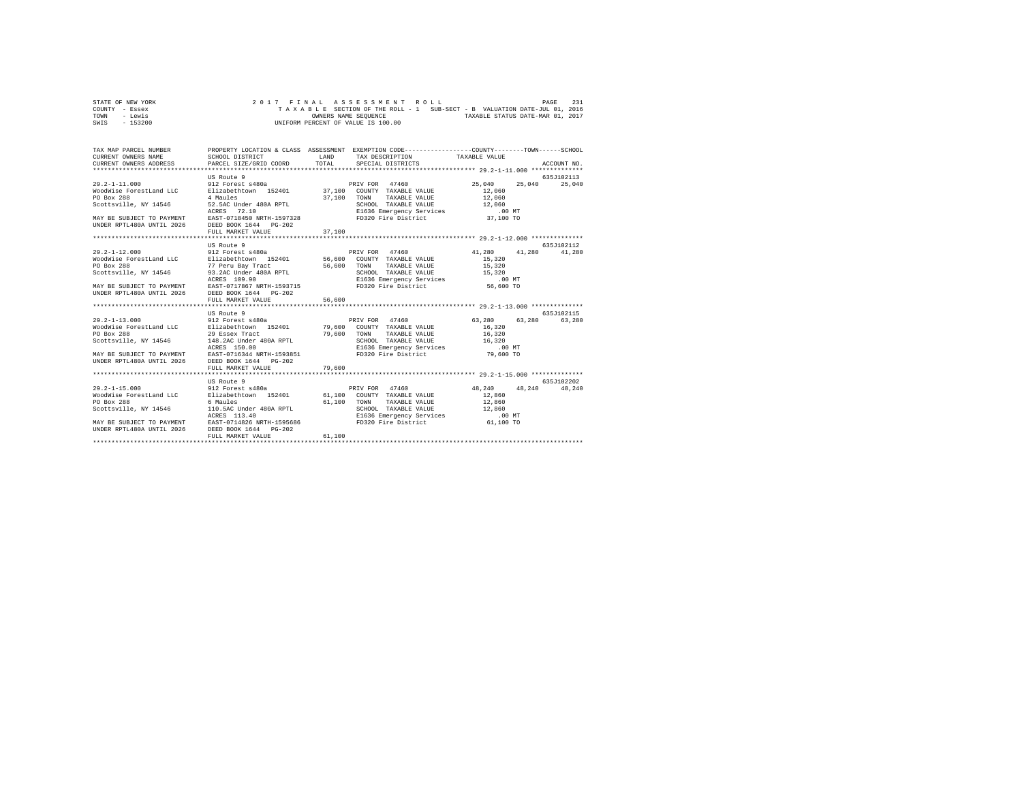| STATE OF NEW YORK |  |  |  | 2017 FINAL ASSESSMENT ROLL         |  |  |  |                                                                          | PAGE | 231 |
|-------------------|--|--|--|------------------------------------|--|--|--|--------------------------------------------------------------------------|------|-----|
| COUNTY - Essex    |  |  |  |                                    |  |  |  | TAXABLE SECTION OF THE ROLL - 1 SUB-SECT - B VALUATION DATE-JUL 01, 2016 |      |     |
| TOWN<br>- Lewis   |  |  |  | OWNERS NAME SEOUENCE               |  |  |  | TAXABLE STATUS DATE-MAR 01, 2017                                         |      |     |
| - 153200<br>SWIS  |  |  |  | UNIFORM PERCENT OF VALUE IS 100.00 |  |  |  |                                                                          |      |     |

| TAX MAP PARCEL NUMBER<br>CURRENT OWNERS NAME<br>CURRENT OWNERS ADDRESS PARCEL SIZE/GRID COORD                                                                       | SCHOOL DISTRICT                                                                                 | LAND<br>TOTAL | PROPERTY LOCATION & CLASS ASSESSMENT EXEMPTION CODE----------------COUNTY-------TOWN------SCHOOL<br>TAX DESCRIPTION TAXABLE VALUE<br>SPECIAL DISTRICTS                               |                                             | ACCOUNT NO. |
|---------------------------------------------------------------------------------------------------------------------------------------------------------------------|-------------------------------------------------------------------------------------------------|---------------|--------------------------------------------------------------------------------------------------------------------------------------------------------------------------------------|---------------------------------------------|-------------|
|                                                                                                                                                                     | US Route 9                                                                                      |               |                                                                                                                                                                                      |                                             | 635J102113  |
| $29.2 - 1 - 11.000$<br>WoodWise ForestLand LLC<br>PO Box 288<br>Scottsville, NY 14546 52.5AC Under 480A RPTL<br>MAY BE SUBJECT TO PAYMENT EAST-0718450 NRTH-1597328 | 912 Forest s480a<br>Elizabethtown 152401 37,100 COUNTY TAXABLE VALUE<br>4 Maules<br>ACRES 72.10 | 37,100        | PRIV FOR 47460<br>TOWN<br>TAXABLE VALUE<br>TOWN Annumeral IZ,000<br>SCHOOL TAXABLE VALUE<br>E1636 Emergency Services (00 MT<br>means Fire District (37,100 TO<br>FD320 Fire District | 25,040<br>25,040<br>12,060<br>12,060        | 25,040      |
| UNDER RPTL480A UNTIL 2026 DEED BOOK 1644 PG-202                                                                                                                     |                                                                                                 |               |                                                                                                                                                                                      |                                             |             |
|                                                                                                                                                                     | FULL MARKET VALUE                                                                               | 37,100        |                                                                                                                                                                                      |                                             |             |
|                                                                                                                                                                     | US Route 9                                                                                      |               |                                                                                                                                                                                      |                                             | 635.7102112 |
| $29.2 - 1 - 12.000$                                                                                                                                                 | 912 Forest s480a                                                                                |               | PRIV FOR 47460                                                                                                                                                                       | 41,280 41,280                               | 41,280      |
| WoodWise ForestLand LLC<br>PO Box 288                                                                                                                               | Elizabethtown 152401 56,600 COUNTY TAXABLE VALUE<br>77 Peru Bay Tract                           | 56,600        | TOWN<br>TAXABLE VALUE                                                                                                                                                                | 15,320<br>15,320                            |             |
| Scottsville, NY 14546                                                                                                                                               | 93.2AC Under 480A RPTL                                                                          |               |                                                                                                                                                                                      |                                             |             |
|                                                                                                                                                                     | ACRES 109.90                                                                                    |               | SCHOOL TAXABLE VALUE 15,320<br>E1636 Emergency Services .00 MT<br>FD320 Fire District 56,600 TO                                                                                      |                                             |             |
| MAY BE SUBJECT TO PAYMENT<br>UNDER RPTL480A UNTIL 2026                                                                                                              | EAST-0717867 NRTH-1593715<br>DEED BOOK 1644 PG-202<br>FULL MARKET VALUE                         | 56,600        |                                                                                                                                                                                      |                                             |             |
|                                                                                                                                                                     |                                                                                                 |               |                                                                                                                                                                                      |                                             |             |
|                                                                                                                                                                     | US Route 9                                                                                      |               |                                                                                                                                                                                      |                                             | 635J102115  |
| $29.2 - 1 - 13.000$                                                                                                                                                 | 912 Forest s480a                                                                                |               | PRIV FOR 47460                                                                                                                                                                       | 63,280<br>63,280                            | 63,280      |
| WoodWise ForestLand LLC                                                                                                                                             | Elizabethtown 152401 79,600 COUNTY TAXABLE VALUE                                                |               |                                                                                                                                                                                      | 16,320                                      |             |
| PO Box 288                                                                                                                                                          | 29 Essex Tract                                                                                  | 79,600        | TAXABLE VALUE<br>TOWN                                                                                                                                                                | 16,320                                      |             |
| Scottsville, NY 14546                                                                                                                                               | 148.2AC Under 480A RPTL                                                                         |               | SCHOOL TAXABLE VALUE                                                                                                                                                                 | 16,320                                      |             |
|                                                                                                                                                                     | ACRES 150.00                                                                                    |               | E1636 Emergency Services .00 MT                                                                                                                                                      |                                             |             |
| MAY BE SUBJECT TO PAYMENT EAST-0716344 NRTH-1593851<br>UNDER RPTL480A UNTIL 2026                                                                                    | DEED BOOK 1644 PG-202<br>FULL MARKET VALUE                                                      | 79,600        | FD320 Fire District                                                                                                                                                                  | 79,600 TO                                   |             |
|                                                                                                                                                                     | ************************                                                                        |               |                                                                                                                                                                                      |                                             |             |
|                                                                                                                                                                     | US Route 9                                                                                      |               |                                                                                                                                                                                      |                                             | 635.7102202 |
| $29.2 - 1 - 15.000$<br>WoodWise ForestLand LLC Blizabethtown 152401 61,100 COUNTY TAXABLE VALUE<br>PO Box 288<br>Scottsville, NY 14546                              | 912 Forest s480a<br>6 Maules<br>110.5AC Under 480A RPTL                                         |               | PRIV FOR 47460<br>61,100 TOWN<br>TAXABLE VALUE<br>SCHOOL TAXABLE VALUE                                                                                                               | 48.240 48.240<br>12,860<br>12,860<br>12,860 | 48,240      |
|                                                                                                                                                                     | ACRES 113.40                                                                                    |               | E1636 Emergency Services<br>FD320 Fire District                                                                                                                                      | .00 MT<br>61,100 TO                         |             |
| MAY BE SUBJECT TO PAYMENT EAST-0714826 NRTH-1595686<br>UNDER RPTL480A UNTIL 2026 DEED BOOK 1644 PG-202                                                              | FULL MARKET VALUE                                                                               | 61,100        |                                                                                                                                                                                      |                                             |             |
|                                                                                                                                                                     |                                                                                                 |               |                                                                                                                                                                                      |                                             |             |
|                                                                                                                                                                     |                                                                                                 |               |                                                                                                                                                                                      |                                             |             |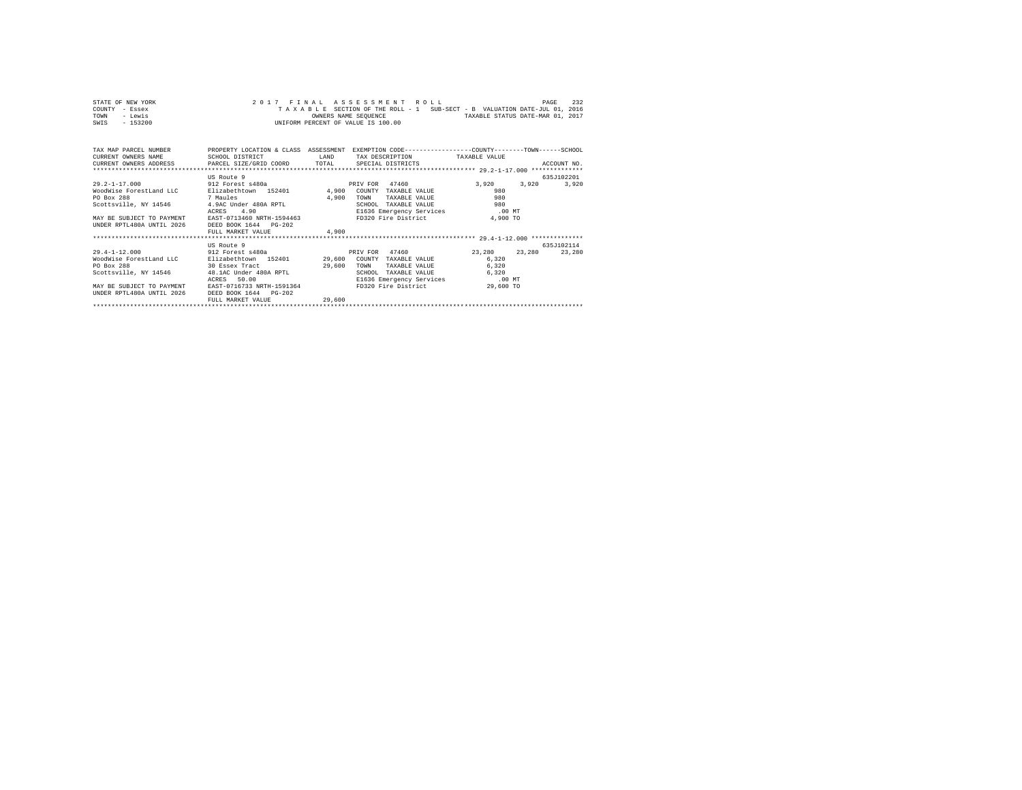| STATE OF NEW YORK | 2017 FINAL ASSESSMENT ROLL                                               | 232<br>PAGE                      |
|-------------------|--------------------------------------------------------------------------|----------------------------------|
| COUNTY - Essex    | TAXABLE SECTION OF THE ROLL - 1 SUB-SECT - B VALUATION DATE-JUL 01, 2016 |                                  |
| TOWN<br>- Lewis   | OWNERS NAME SEOUENCE                                                     | TAXABLE STATUS DATE-MAR 01, 2017 |
| - 153200<br>SWIS  | UNIFORM PERCENT OF VALUE IS 100.00                                       |                                  |

| TAX MAP PARCEL NUMBER PROPERTY LOCATION & CLASS ASSESSMENT<br>CURRENT OWNERS NAME<br>CURRENT OWNERS ADDRESS PARCEL SIZE/GRID COORD TOTAL SPECIAL DISTRICTS | SCHOOL DISTRICT             | LAND   | EXEMPTION CODE-----------------COUNTY-------TOWN------SCHOOL<br>TAX DESCRIPTION TAXABLE VALUE |                         | ACCOUNT NO. |
|------------------------------------------------------------------------------------------------------------------------------------------------------------|-----------------------------|--------|-----------------------------------------------------------------------------------------------|-------------------------|-------------|
|                                                                                                                                                            | US Route 9                  |        |                                                                                               |                         | 635J102201  |
| 29.2-1-17.000 912 Forest s480a                                                                                                                             |                             |        | 47460<br>PRIV FOR                                                                             | 3,920 3,920             | 3,920       |
| WoodWise ForestLand LLC                                                                                                                                    | Elizabethtown 152401 4,900  |        | COUNTY TAXABLE VALUE                                                                          | 980                     |             |
| PO Box 288<br>7 Maules                                                                                                                                     |                             | 4,900  | TOWN<br>TAXABLE VALUE                                                                         | 980                     |             |
| Scottsville, NY 14546 4.9AC Under 480A RPTL                                                                                                                |                             |        | SCHOOL<br>TAXABLE VALUE                                                                       | 980                     |             |
| ACRES 4.90<br>MAY BE SUBJECT TO PAYMENT EAST-0713460 NRTH-1594463                                                                                          |                             |        | E1636 Emergency Services .00 MT                                                               |                         |             |
|                                                                                                                                                            |                             |        | FD320 Fire District                                                                           | 4.900 TO                |             |
| UNDER RPTL480A UNTIL 2026 DEED BOOK 1644 PG-202                                                                                                            |                             |        |                                                                                               |                         |             |
|                                                                                                                                                            | FULL MARKET VALUE           | 4,900  |                                                                                               |                         |             |
|                                                                                                                                                            |                             |        |                                                                                               |                         | 635J102114  |
| $29.4 - 1 - 12.000$                                                                                                                                        | US Route 9                  |        | PRIV FOR 47460                                                                                | 23, 280 23, 280 23, 280 |             |
|                                                                                                                                                            | 912 Forest s480a            |        |                                                                                               |                         |             |
| WoodWise ForestLand LLC<br>30 Essex Tract<br>PO Box 288                                                                                                    | Elizabethtown 152401 29,600 |        | COUNTY TAXABLE VALUE                                                                          | 6.320                   |             |
| Scottsville, NY 14546 48.1AC Under 480A RPTL                                                                                                               |                             | 29,600 | TOWN<br>TAXABLE VALUE                                                                         | 6,320<br>6.320          |             |
|                                                                                                                                                            | ACRES 50.00                 |        | TAXABLE VALUE<br>SCHOOL<br>E1636 Emergency Services .00 MT                                    |                         |             |
| MAY BE SUBJECT TO PAYMENT EAST-0716733 NRTH-1591364                                                                                                        |                             |        | FD320 Fire District                                                                           | 29,600 TO               |             |
| UNDER RPTL480A UNTIL 2026                                                                                                                                  | DEED BOOK 1644 PG-202       |        |                                                                                               |                         |             |
|                                                                                                                                                            | FULL MARKET VALUE           | 29,600 |                                                                                               |                         |             |
|                                                                                                                                                            |                             |        |                                                                                               |                         |             |
|                                                                                                                                                            |                             |        |                                                                                               |                         |             |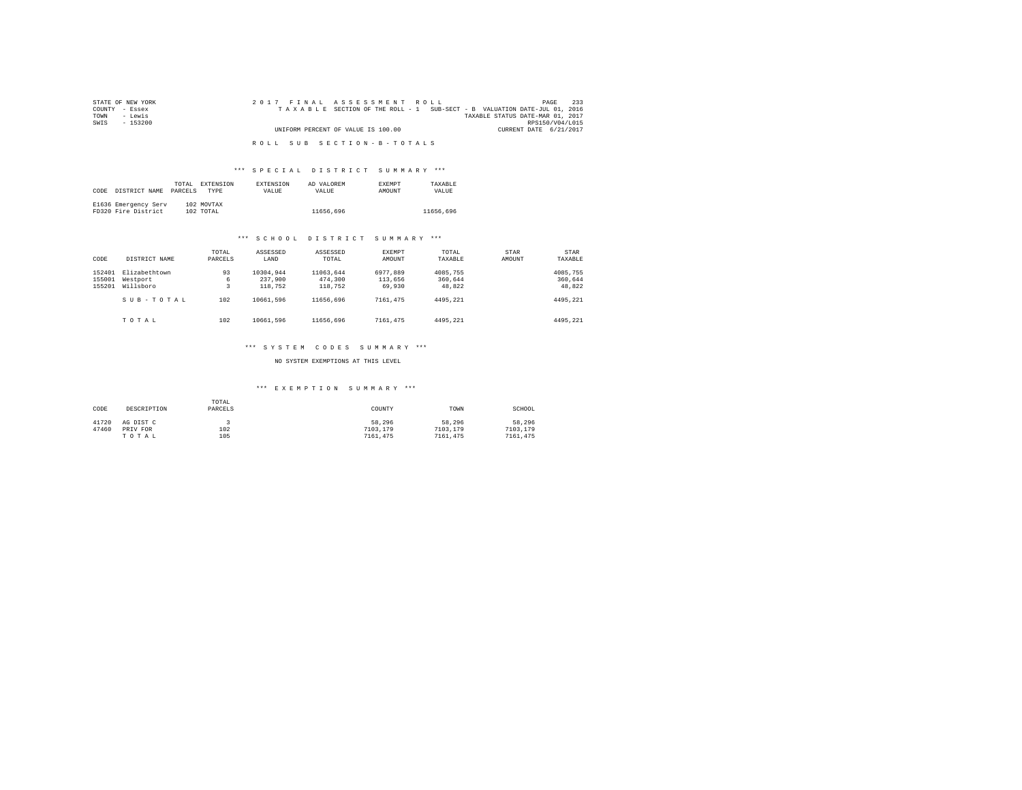| STATE OF NEW YORK | 2017 FINAL ASSESSMENT ROLL                                               | 233<br>PAGE            |
|-------------------|--------------------------------------------------------------------------|------------------------|
| COUNTY - Essex    | TAXABLE SECTION OF THE ROLL - 1 SUB-SECT - B VALUATION DATE-JUL 01, 2016 |                        |
| TOWN<br>siwe.T    | TAXABLE STATUS DATE-MAR 01, 2017                                         |                        |
| SWIS<br>$-153200$ |                                                                          | RPS150/V04/L015        |
|                   | UNIFORM PERCENT OF VALUE IS 100.00                                       | CURRENT DATE 6/21/2017 |
|                   |                                                                          |                        |
|                   | ROLL SUB SECTION-B-TOTALS                                                |                        |

# \*\*\* S P E C I A L D I S T R I C T S U M M A R Y \*\*\*

| CODE | DISTRICT NAME                               | TOTAL<br>PARCELS | EXTENSION<br>TYPE       | <b>EXTENSION</b><br>VALUE | AD VALOREM<br>VALUE | <b>EXEMPT</b><br><b>AMOUNT</b> | TAXARLE<br>VALUE |
|------|---------------------------------------------|------------------|-------------------------|---------------------------|---------------------|--------------------------------|------------------|
|      | E1636 Emergency Serv<br>FD320 Fire District |                  | 102 MOVTAX<br>102 TOTAL |                           | 11656.696           |                                | 11656.696        |

## \*\*\* S C H O O L D I S T R I C T S U M M A R Y \*\*\*

| CODE                       | DISTRICT NAME                          | TOTAL<br>PARCELS | ASSESSED<br>LAND                | ASSESSED<br>TOTAL               | <b>EXEMPT</b><br>AMOUNT       | TOTAL<br>TAXABLE              | STAR<br>AMOUNT | STAR<br>TAXABLE               |
|----------------------------|----------------------------------------|------------------|---------------------------------|---------------------------------|-------------------------------|-------------------------------|----------------|-------------------------------|
| 152401<br>155001<br>155201 | Elizabethtown<br>Westport<br>Willsboro | 93<br>6<br>3     | 10304.944<br>237,900<br>118,752 | 11063.644<br>474,300<br>118,752 | 6977.889<br>113,656<br>69,930 | 4085,755<br>360,644<br>48.822 |                | 4085,755<br>360,644<br>48,822 |
|                            | SUB-TOTAL                              | 102              | 10661.596                       | 11656.696                       | 7161.475                      | 4495.221                      |                | 4495.221                      |
|                            | TOTAL                                  | 102              | 10661.596                       | 11656.696                       | 7161.475                      | 4495.221                      |                | 4495.221                      |

# \*\*\* S Y S T E M C O D E S S U M M A R Y \*\*\*

## NO SYSTEM EXEMPTIONS AT THIS LEVEL

# \*\*\* E X E M P T I O N S U M M A R Y \*\*\*

| CODE  | DESCRIPTION | TOTAL<br>PARCELS | COUNTY   | TOWN     | SCHOOL   |
|-------|-------------|------------------|----------|----------|----------|
| 41720 | AG DIST C   |                  | 58.296   | 58.296   | 58.296   |
| 47460 | PRIV FOR    | 102              | 7103.179 | 7103,179 | 7103,179 |
|       | TOTAL       | 105              | 7161.475 | 7161.475 | 7161.475 |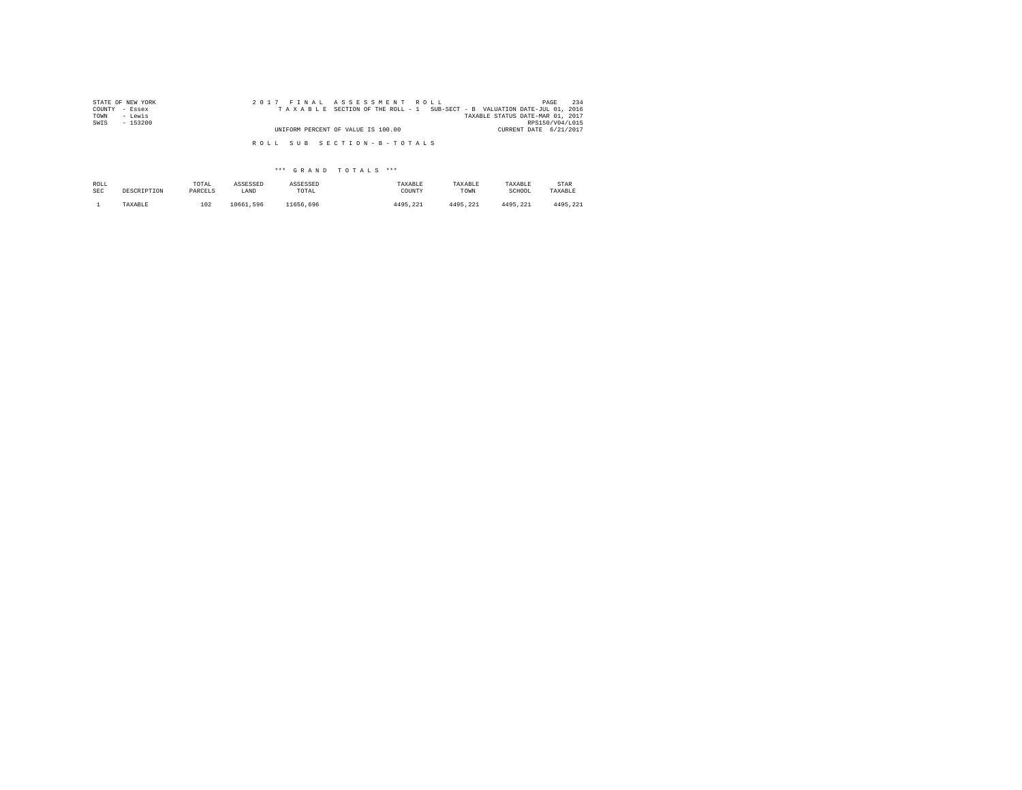| STATE OF NEW YORK | 2017 FINAL ASSESSMENT ROLL                                               | 234<br>PAGE            |
|-------------------|--------------------------------------------------------------------------|------------------------|
| COUNTY - Essex    | TAXABLE SECTION OF THE ROLL - 1 SUB-SECT - B VALUATION DATE-JUL 01, 2016 |                        |
| TOWN<br>- Lewis   | TAXABLE STATUS DATE-MAR 01, 2017                                         |                        |
| SWIS<br>$-153200$ |                                                                          | RPS150/V04/L015        |
|                   | UNIFORM PERCENT OF VALUE IS 100.00                                       | CURRENT DATE 6/21/2017 |
|                   | ROLL SUB SECTION-B-TOTALS                                                |                        |

| ROLL       | DESCRIPTION | TOTAL   | ASSESSED  | ASSESSED  | TAXABLE  | TAXABLE  | TAXABLE  | STAR     |
|------------|-------------|---------|-----------|-----------|----------|----------|----------|----------|
| <b>SEC</b> |             | PARCELS | LAND      | TOTAL     | COUNTY   | TOWN     | SCHOOL   | TAXABLE  |
|            | TAXABLE     | 102     | 10661.596 | 11656.696 | 4495.221 | 4495.221 | 4495.221 | 4495.221 |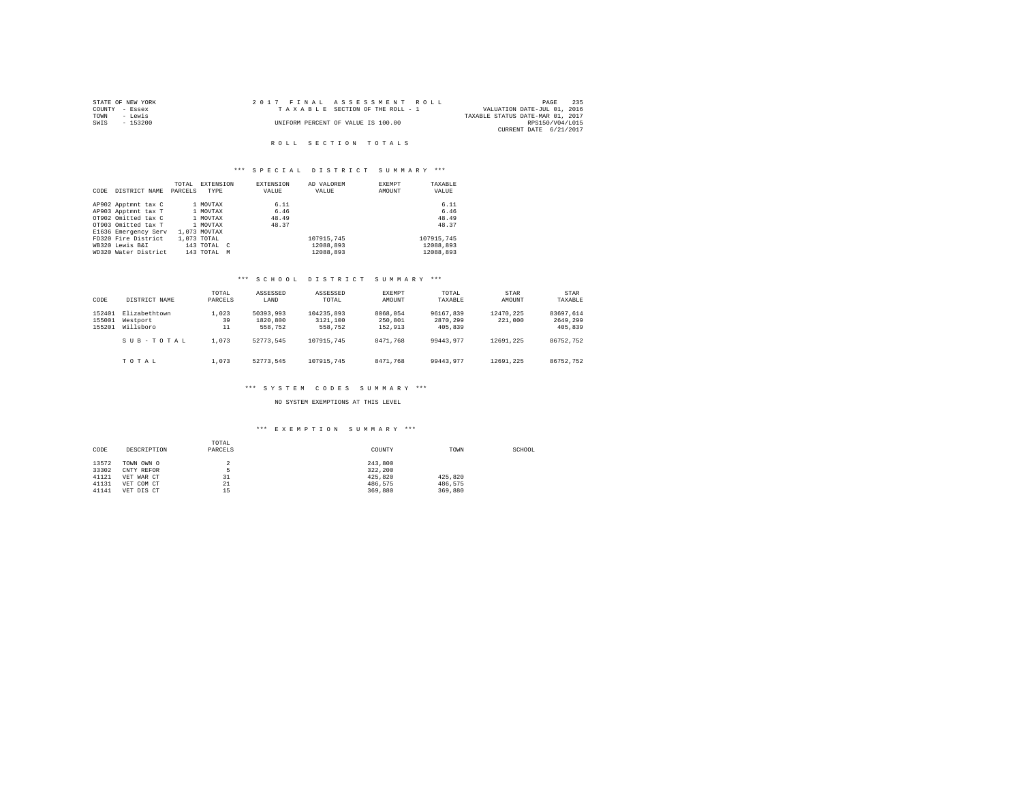|                | STATE OF NEW YORK | 2017 FINAL ASSESSMENT ROLL         |                                  | PAGE            | 235 |
|----------------|-------------------|------------------------------------|----------------------------------|-----------------|-----|
| COUNTY - Essex |                   | TAXABLE SECTION OF THE ROLL - 1    | VALUATION DATE-JUL 01, 2016      |                 |     |
| TOWN           | - Lewis           |                                    | TAXABLE STATUS DATE-MAR 01, 2017 |                 |     |
| SWIS           | - 153200          | UNIFORM PERCENT OF VALUE IS 100.00 |                                  | RPS150/V04/L015 |     |
|                |                   |                                    | CURRENT DATE 6/21/2017           |                 |     |

## R O L L S E C T I O N T O T A L S

## \*\*\* S P E C I A L D I S T R I C T S U M M A R Y \*\*\*

|      |                      | TOTAL   | <b>EXTENSION</b> | EXTENSION | AD VALOREM | <b>EXEMPT</b> | TAXABLE    |
|------|----------------------|---------|------------------|-----------|------------|---------------|------------|
| CODE | DISTRICT NAME        | PARCELS | TYPE             | VALUE     | VALUE      | AMOUNT        | VALUE      |
|      | AP902 Apptmnt tax C  |         | 1 MOVTAX         | 6.11      |            |               | 6.11       |
|      | AP903 Apptmnt tax T  |         | 1 MOVTAX         | 6.46      |            |               | 6.46       |
|      | OT902 Omitted tax C  |         | 1 MOVTAX         | 48.49     |            |               | 48.49      |
|      | OT903 Omitted tax T  |         | 1 MOVTAX         | 48.37     |            |               | 48.37      |
|      | E1636 Emergency Serv |         | 1,073 MOVTAX     |           |            |               |            |
|      | FD320 Fire District  |         | 1,073 TOTAL      |           | 107915.745 |               | 107915.745 |
|      | WB320 Lewis B&I      |         | 143 TOTAL C      |           | 12088.893  |               | 12088.893  |
|      | WD320 Water District |         | 143 TOTAL<br>M   |           | 12088.893  |               | 12088.893  |

# \*\*\* S C H O O L D I S T R I C T S U M M A R Y \*\*\*

| CODE                       | DISTRICT NAME                          | TOTAL<br>PARCELS  | ASSESSED<br>LAND                 | ASSESSED<br>TOTAL.                | EXEMPT<br>AMOUNT               | TOTAL<br>TAXABLE                 | STAR<br>AMOUNT       | STAR<br>TAXABLE                  |
|----------------------------|----------------------------------------|-------------------|----------------------------------|-----------------------------------|--------------------------------|----------------------------------|----------------------|----------------------------------|
| 152401<br>155001<br>155201 | Elizabethtown<br>Westport<br>Willsboro | 1,023<br>39<br>11 | 50393,993<br>1820,800<br>558,752 | 104235,893<br>3121,100<br>558,752 | 8068,054<br>250,801<br>152.913 | 96167.839<br>2870.299<br>405,839 | 12470.225<br>221,000 | 83697.614<br>2649.299<br>405,839 |
|                            | SUB-TOTAL                              | 1,073             | 52773.545                        | 107915,745                        | 8471.768                       | 99443.977                        | 12691.225            | 86752.752                        |
|                            | TOTAL                                  | 1,073             | 52773.545                        | 107915,745                        | 8471.768                       | 99443.977                        | 12691.225            | 86752.752                        |

## \*\*\* S Y S T E M C O D E S S U M M A R Y \*\*\*

NO SYSTEM EXEMPTIONS AT THIS LEVEL

## \*\*\* E X E M P T I O N S U M M A R Y \*\*\*

| CODE  | DESCRIPTION | TOTAL<br>PARCELS | COUNTY  | TOWN    | SCHOOL |
|-------|-------------|------------------|---------|---------|--------|
| 13572 | TOWN OWN O  |                  | 243,800 |         |        |
| 33302 | CNTY REFOR  |                  | 322.200 |         |        |
|       |             |                  |         |         |        |
| 41121 | VET WAR CT  | 31               | 425.820 | 425.820 |        |
| 41131 | VET COM CT  | 21               | 486.575 | 486.575 |        |
| 41141 | VET DIS CT  | 15               | 369,880 | 369,880 |        |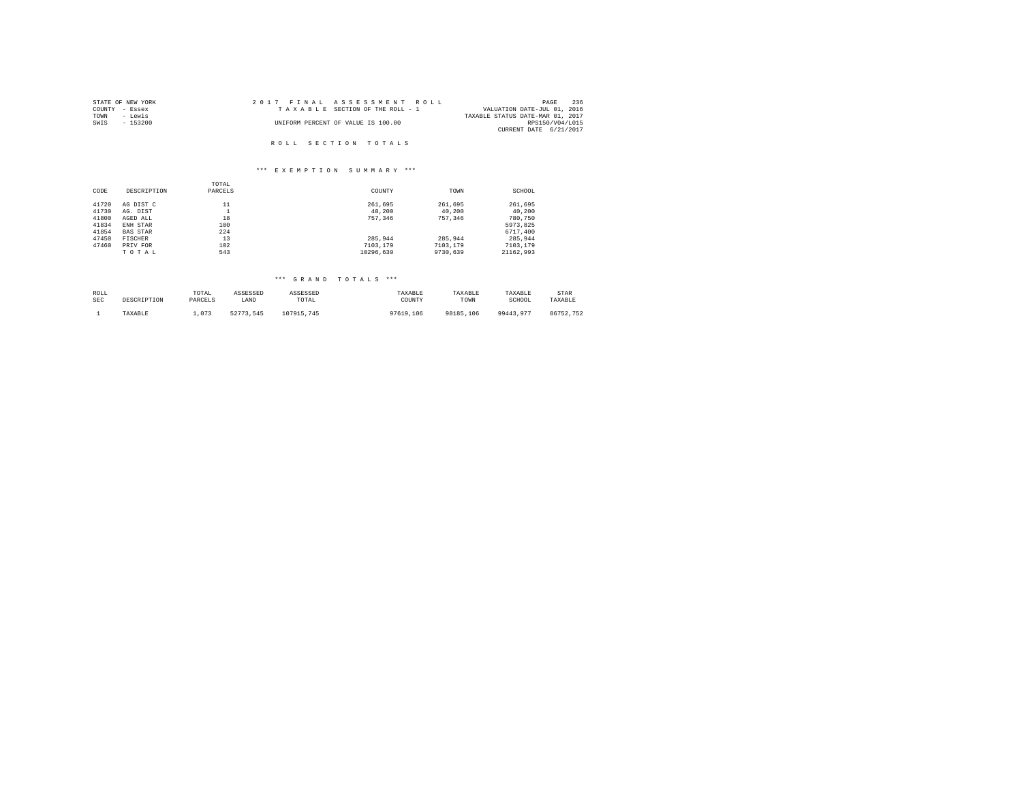| STATE OF NEW YORK | 2017 FINAL ASSESSMENT ROLL         | 236<br>PAGE                      |
|-------------------|------------------------------------|----------------------------------|
| COUNTY - Essex    | TAXABLE SECTION OF THE ROLL - 1    | VALUATION DATE-JUL 01, 2016      |
| TOWN<br>- Lewis   |                                    | TAXABLE STATUS DATE-MAR 01, 2017 |
| SWIS<br>- 153200  | UNIFORM PERCENT OF VALUE IS 100.00 | RPS150/V04/L015                  |
|                   |                                    | CURRENT DATE 6/21/2017           |
|                   |                                    |                                  |
|                   | ROLL SECTION TOTALS                |                                  |

# \*\*\* E X E M P T I O N S U M M A R Y \*\*\*

|       |                 | TOTAL   |           |          |           |
|-------|-----------------|---------|-----------|----------|-----------|
| CODE  | DESCRIPTION     | PARCELS | COUNTY    | TOWN     | SCHOOL    |
| 41720 | AG DIST C       | 11      | 261.695   | 261.695  | 261,695   |
| 41730 | AG. DIST        |         | 40.200    | 40.200   | 40,200    |
| 41800 | AGED ALL        | 18      | 757.346   | 757.346  | 780,750   |
| 41834 | ENH STAR        | 100     |           |          | 5973.825  |
| 41854 | <b>BAS STAR</b> | 224     |           |          | 6717,400  |
| 47450 | <b>FISCHER</b>  | 13      | 285.944   | 285.944  | 285.944   |
| 47460 | PRIV FOR        | 102     | 7103.179  | 7103.179 | 7103.179  |
|       | TOTAL           | 543     | 10296.639 | 9730.639 | 21162.993 |

| ROLL | DESCRIPTION | TOTAL   | ASSESSED  | ASSESSED   | TAXABLE   | TAXABLE   | TAXABLE   | STAR      |
|------|-------------|---------|-----------|------------|-----------|-----------|-----------|-----------|
| SEC  |             | PARCELS | LAND      | TOTAL      | COUNTY    | TOWN      | SCHOOL    | TAXABLE   |
|      | TAXABLE     | 1.073   | 52773.545 | 107915.745 | 97619,106 | 98185,106 | 99443.977 | 86752.752 |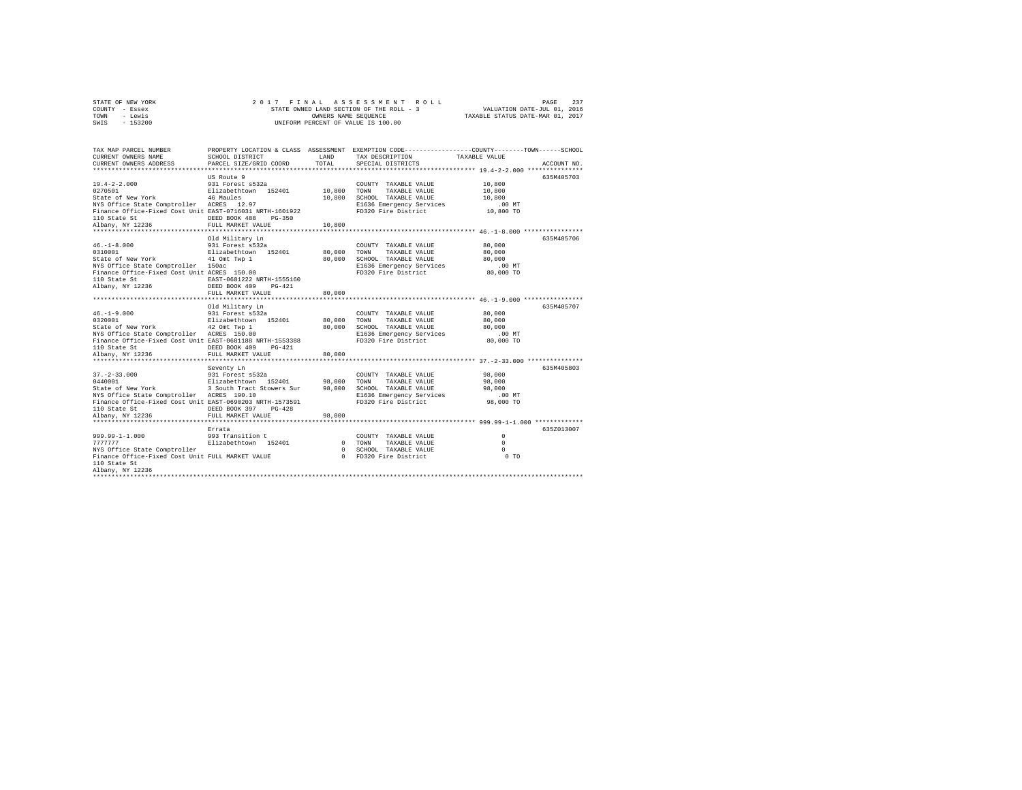| STATE OF NEW YORK |           |  |  | 2017 FINAL ASSESSMENT ROLL               |                                  | PAGE |  |
|-------------------|-----------|--|--|------------------------------------------|----------------------------------|------|--|
| COUNTY - Essex    |           |  |  | STATE OWNED LAND SECTION OF THE ROLL - 3 | VALUATION DATE-JUL 01, 2016      |      |  |
| TOWN              | - Lewis   |  |  | OWNERS NAME SEOUENCE                     | TAXABLE STATUS DATE-MAR 01, 2017 |      |  |
| SWIS              | $-153200$ |  |  | UNIFORM PERCENT OF VALUE IS 100.00       |                                  |      |  |

| TAX MAP PARCEL NUMBER<br>CURRENT OWNERS NAME<br>CURRENT OWNERS ADDRESS PARCEL SIZE/GRID COORD                                                                                                                                             | SCHOOL DISTRICT      | LAND<br>TOTAL | TAX DESCRIPTION TAXABLE VALUE                                                                                                                                                                                                 | PROPERTY LOCATION & CLASS ASSESSMENT EXEMPTION CODE----------------COUNTY-------TOWN------SCHOOL |
|-------------------------------------------------------------------------------------------------------------------------------------------------------------------------------------------------------------------------------------------|----------------------|---------------|-------------------------------------------------------------------------------------------------------------------------------------------------------------------------------------------------------------------------------|--------------------------------------------------------------------------------------------------|
|                                                                                                                                                                                                                                           |                      |               | SPECIAL DISTRICTS                                                                                                                                                                                                             | ACCOUNT NO.                                                                                      |
|                                                                                                                                                                                                                                           | US Route 9           |               |                                                                                                                                                                                                                               | 635M405703                                                                                       |
| $19.4 - 2 - 2.000$<br>0270501                                                                                                                                                                                                             |                      |               |                                                                                                                                                                                                                               | 10,800                                                                                           |
| State of New York 16 Maules<br>NYS Office State Comptroller ACRES 12.97                                                                                                                                                                   |                      |               | 10,800 SCHOOL TAXABLE VALUE                                                                                                                                                                                                   | 10,800                                                                                           |
|                                                                                                                                                                                                                                           |                      |               | E1636 Emergency Services                                                                                                                                                                                                      | $.00$ MT                                                                                         |
| Finance Office-Fixed Cost Unit EAST-0716031 NRTH-1601922                                                                                                                                                                                  |                      |               | FD320 Fire District                                                                                                                                                                                                           | 10,800 TO                                                                                        |
| 110 State St<br>DEED BOOK 488                                                                                                                                                                                                             | $PG-350$             |               |                                                                                                                                                                                                                               |                                                                                                  |
| Albany, NY 12236                                                                                                                                                                                                                          | FULL MARKET VALUE    | 10,800        |                                                                                                                                                                                                                               |                                                                                                  |
|                                                                                                                                                                                                                                           | Old Military Ln      |               |                                                                                                                                                                                                                               | 635M405706                                                                                       |
| $46. - 1 - 8.000$                                                                                                                                                                                                                         | 931 Forest s532a     |               | COUNTY TAXABLE VALUE 80,000                                                                                                                                                                                                   |                                                                                                  |
|                                                                                                                                                                                                                                           |                      |               |                                                                                                                                                                                                                               | 80,000                                                                                           |
| 0310001<br>201001 MW ELizabethtown 152401 80,000 TOWN TAXABLE VALUE<br>State of New York 110 On TWA 20,000 SONN TAXABLE VALUE<br>20,000 SCHOE State Comptroller 150ac<br>2010 2010 ELG36 Emergency Services<br>2020 Fire District<br>2020 |                      |               |                                                                                                                                                                                                                               | 80,000                                                                                           |
|                                                                                                                                                                                                                                           |                      |               | E1636 Emergency Services .00 MT<br>FD320 Fire District 80,000 TO                                                                                                                                                              |                                                                                                  |
|                                                                                                                                                                                                                                           |                      |               |                                                                                                                                                                                                                               |                                                                                                  |
|                                                                                                                                                                                                                                           |                      |               |                                                                                                                                                                                                                               |                                                                                                  |
|                                                                                                                                                                                                                                           |                      |               |                                                                                                                                                                                                                               |                                                                                                  |
|                                                                                                                                                                                                                                           | FULL MARKET VALUE    | 80,000        |                                                                                                                                                                                                                               |                                                                                                  |
|                                                                                                                                                                                                                                           | Old Military Ln      |               |                                                                                                                                                                                                                               | 635M405707                                                                                       |
|                                                                                                                                                                                                                                           |                      |               |                                                                                                                                                                                                                               | 80,000                                                                                           |
|                                                                                                                                                                                                                                           |                      |               | TAXABLE VALUE                                                                                                                                                                                                                 | 80,000                                                                                           |
|                                                                                                                                                                                                                                           |                      |               |                                                                                                                                                                                                                               |                                                                                                  |
|                                                                                                                                                                                                                                           |                      |               |                                                                                                                                                                                                                               |                                                                                                  |
|                                                                                                                                                                                                                                           |                      |               | COLORATION OF CHANGE AND CONTRACT ON THE SAME CONTROL OF SALE OF SALE OF SALE OF SALE OF SALE OF SALE OF SALE OF SALE OF SALE OF SALE OF SALE OF SALE OF SALE OF SALE OF SALE OF SALE OF SALE OF SALE OF SALE OF SALE OF SALE |                                                                                                  |
| 110 State St                                                                                                                                                                                                                              | DEED BOOK 409 PG-421 |               |                                                                                                                                                                                                                               |                                                                                                  |
| Albany, NY 12236                                                                                                                                                                                                                          |                      |               |                                                                                                                                                                                                                               |                                                                                                  |
|                                                                                                                                                                                                                                           |                      |               |                                                                                                                                                                                                                               | 635M405803                                                                                       |
|                                                                                                                                                                                                                                           | Seventy Ln           |               | COUNTY TAXABLE VALUE                                                                                                                                                                                                          | 98,000                                                                                           |
|                                                                                                                                                                                                                                           |                      |               |                                                                                                                                                                                                                               | 98,000                                                                                           |
|                                                                                                                                                                                                                                           |                      |               | SCHOOL TAXABLE VALUE                                                                                                                                                                                                          | 98,000                                                                                           |
| NYS Office State Comptroller ACRES 190.10                                                                                                                                                                                                 |                      |               | E1636 Emergency Services<br>FD320 Fire District                                                                                                                                                                               | $.00$ MT                                                                                         |
| Finance Office-Fixed Cost Unit EAST-0690203 NRTH-1573591                                                                                                                                                                                  |                      |               |                                                                                                                                                                                                                               | 98,000 TO                                                                                        |
| 110 State St                                                                                                                                                                                                                              | DEED BOOK 397 PG-428 |               |                                                                                                                                                                                                                               |                                                                                                  |
| Albany, NY 12236                                                                                                                                                                                                                          | FULL MARKET VALUE    | 98,000        |                                                                                                                                                                                                                               |                                                                                                  |
|                                                                                                                                                                                                                                           |                      |               |                                                                                                                                                                                                                               |                                                                                                  |
|                                                                                                                                                                                                                                           | Errata               |               |                                                                                                                                                                                                                               | 635Z013007                                                                                       |
|                                                                                                                                                                                                                                           |                      |               | COUNTY TAXABLE VALUE<br>TAXABLE VALUE                                                                                                                                                                                         | $^{\circ}$<br>$\Omega$                                                                           |
| NYS Office State Comptroller                                                                                                                                                                                                              |                      |               |                                                                                                                                                                                                                               | $\Omega$                                                                                         |
| wip office budde comperience<br>Finance Office-Fixed Cost Unit FULL MARKET VALUE                                                                                                                                                          |                      |               |                                                                                                                                                                                                                               | $0$ TO                                                                                           |
| 110 State St                                                                                                                                                                                                                              |                      |               |                                                                                                                                                                                                                               |                                                                                                  |
| Albany, NY 12236                                                                                                                                                                                                                          |                      |               |                                                                                                                                                                                                                               |                                                                                                  |
|                                                                                                                                                                                                                                           |                      |               |                                                                                                                                                                                                                               |                                                                                                  |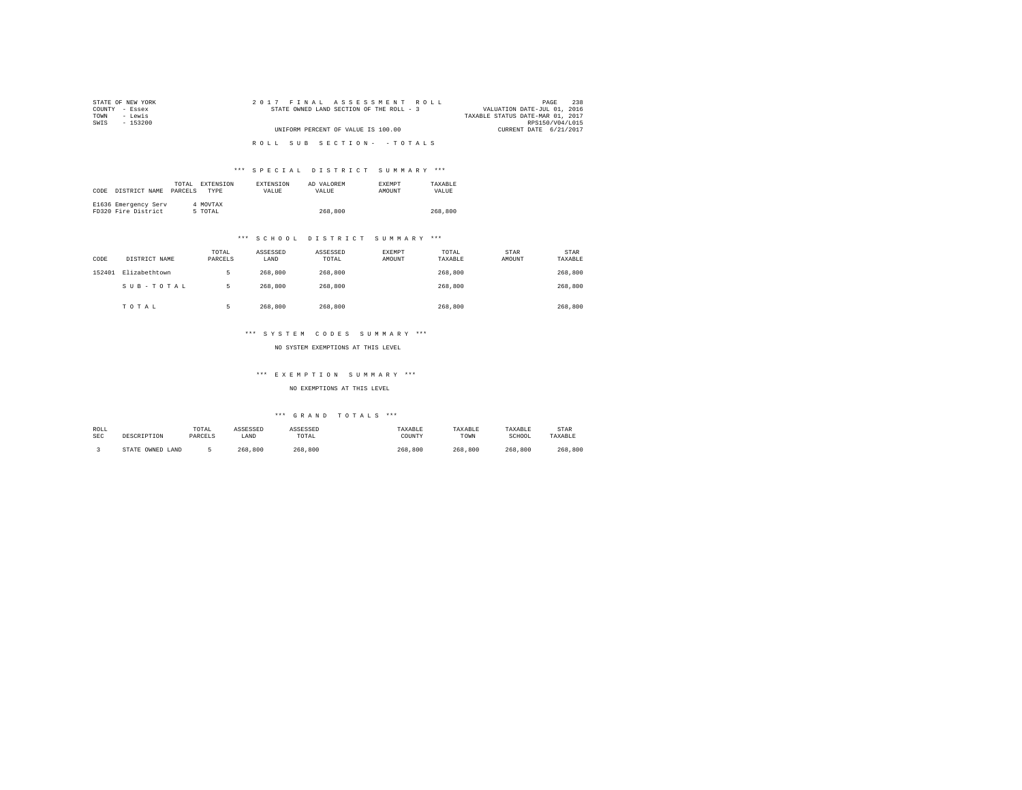| STATE OF NEW YORK | 2017 FINAL ASSESSMENT ROLL               | 238<br>PAGE                      |
|-------------------|------------------------------------------|----------------------------------|
| COUNTY - Essex    | STATE OWNED LAND SECTION OF THE ROLL - 3 | VALUATION DATE-JUL 01, 2016      |
| - Lewis<br>TOWN   |                                          | TAXABLE STATUS DATE-MAR 01, 2017 |
| SWIS<br>$-153200$ |                                          | RPS150/V04/L015                  |
|                   | UNIFORM PERCENT OF VALUE IS 100.00       | CURRENT DATE 6/21/2017           |
|                   |                                          |                                  |
|                   | ROLL SUB SECTION- - TOTALS               |                                  |

# \*\*\* S P E C I A L D I S T R I C T S U M M A R Y \*\*\*

| CODE | DISTRICT NAME                               | TOTAL<br>PARCELS | EXTENSION<br><b>TYPE</b> | <b>EXTENSION</b><br>VALUE | AD VALOREM<br>VALUE | <b>EXEMPT</b><br>AMOUNT | TAXARLE<br>VALUE |
|------|---------------------------------------------|------------------|--------------------------|---------------------------|---------------------|-------------------------|------------------|
|      | E1636 Emergency Serv<br>FD320 Fire District |                  | 4 MOVTAX<br>5 TOTAL      |                           | 268,800             |                         | 268,800          |

# \*\*\* S C H O O L D I S T R I C T S U M M A R Y \*\*\*

| CODE   | DISTRICT NAME | TOTAL<br>PARCELS | ASSESSED<br>LAND | ASSESSED<br>TOTAL | EXEMPT<br>AMOUNT | TOTAL<br>TAXABLE | STAR<br>AMOUNT | STAR<br>TAXABLE |
|--------|---------------|------------------|------------------|-------------------|------------------|------------------|----------------|-----------------|
| 152401 | Elizabethtown | 5                | 268,800          | 268,800           |                  | 268,800          |                | 268,800         |
|        | SUB-TOTAL     | 5                | 268,800          | 268,800           |                  | 268,800          |                | 268,800         |
|        | TOTAL         |                  | 268,800          | 268,800           |                  | 268,800          |                | 268,800         |

## \*\*\* S Y S T E M C O D E S S U M M A R Y \*\*\*

NO SYSTEM EXEMPTIONS AT THIS LEVEL

#### \*\*\* E X E M P T I O N S U M M A R Y \*\*\*

NO EXEMPTIONS AT THIS LEVEL

| ROLL | DESCRIPTION      | TOTAL   | ASSESSED | ASSESSED | TAXABLE | TAXABLE | TAXABLE | STAR    |
|------|------------------|---------|----------|----------|---------|---------|---------|---------|
| SEC  |                  | PARCELS | LAND     | TOTAL    | COUNTY  | TOWN    | SCHOOL  | TAXABLE |
|      | STATE OWNED LAND |         | 268,800  | 268,800  | 268,800 | 268,800 | 268,800 | 268,800 |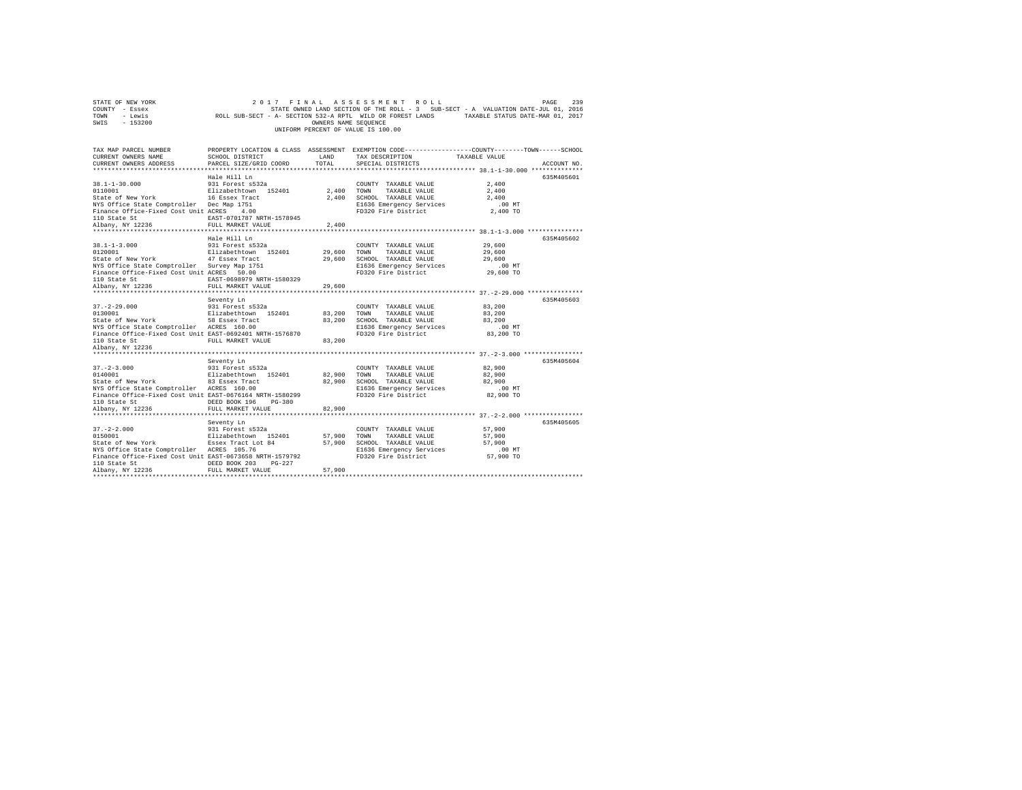| STATE OF NEW YORK<br>COUNTY - Essex<br>- Lewis<br>TOWN<br>SWIS - 153200                                                                                                                                        | STATE OWNED LAND SECTION OF THE ROLL - 3 SUB-SECT - A VALUATION DATE-JUL 1, 2010<br>ROLL SUB-SECT - A- SECTION 532-A RPTL WILD OR FOREST LANDS - TAXABLE STATUS DATE-MAR 01, 2017 | OWNERS NAME SEOUENCE    | 2017 FINAL ASSESSMENT ROLL<br>STATE OWNED LAND SECTION OF THE ROLL - 3 SUB-SECT - A VALUATION DATE-JUL 01, 2016<br>UNIFORM PERCENT OF VALUE IS 100.00          |                                         | 239<br>PAGE |
|----------------------------------------------------------------------------------------------------------------------------------------------------------------------------------------------------------------|-----------------------------------------------------------------------------------------------------------------------------------------------------------------------------------|-------------------------|----------------------------------------------------------------------------------------------------------------------------------------------------------------|-----------------------------------------|-------------|
| TAX MAP PARCEL NUMBER<br>CURRENT OWNERS NAME<br>CURRENT OWNERS ADDRESS                                                                                                                                         | SCHOOL DISTRICT<br>PARCEL SIZE/GRID COORD TOTAL                                                                                                                                   | <b>ELECTRIC CONTROL</b> | PROPERTY LOCATION & CLASS ASSESSMENT EXEMPTION CODE---------------COUNTY-------TOWN-----SCHOOL<br>TAX DESCRIPTION TAXABLE VALUE<br>SPECIAL DISTRICTS           |                                         | ACCOUNT NO. |
| $38.1 - 1 - 30.000$<br>0110001<br>State of New York<br>NYS Office State Comptroller Dec Map 1751<br>Finance Office-Fixed Cost Unit ACRES<br>110 State St<br>Albany, NY 12236                                   | Hale Hill Ln<br>931 Forest s532a<br>Elizabethtown 152401 2.400 TOWN<br>16 Essex Tract<br>4.00<br>EAST-0701787 NRTH-1578945<br>FULL MARKET VALUE                                   | 2,400<br>2,400          | COUNTY TAXABLE VALUE<br>TAXABLE VALUE<br>SCHOOL TAXABLE VALUE<br>E1636 Emergency Services .00 MT<br>FD320 Fire District 2.400 TO                               | 2,400<br>2,400<br>2,400                 | 635M405601  |
| $38.1 - 1 - 3.000$<br>0120001<br>State of New York 47 Essex Tract 29,600<br>NYS Office State Comptroller Survey Map 1751<br>Finance Office-Fixed Cost Unit ACRES 50.00<br>110 State St<br>Albany, NY 12236     | Hale Hill Ln<br>931 Forest s532a<br>Elizabethtown 152401 29,600<br>EAST-0698979 NRTH-1580329<br>FULL MARKET VALUE                                                                 | 29,600                  | COUNTY TAXABLE VALUE 29,600<br>TOWN<br>TAXABLE VALUE 29,600<br>SCHOOL TAXABLE VALUE 29,600<br>E1636 Emergency Services .00 MT<br>FD320 Fire District 29,600 TO |                                         | 635M405602  |
| $37. - 2 - 29.000$<br>0130001<br>State of New York 58 Essex Tract<br>NYS Office State Comptroller ACRES 160.00<br>Finance Office-Fixed Cost Unit EAST-0692401 NRTH-1576870<br>110 State St<br>Albany, NY 12236 | Seventy Ln<br>931 Forest s532a<br>Elizabethtown 152401 83,200<br>FULL MARKET VALUE                                                                                                | 83,200<br>83,200        | COUNTY TAXABLE VALUE<br>TAXABLE VALUE<br>TOWN<br>SCHOOL TAXABLE VALUE 83,200<br>E1636 Emergency Services<br>FD320 Fire District                                | 83,200<br>83,200<br>.00 MT<br>83,200 TO | 635M405603  |

Seventy Ln 635M405604 37.-2-3.000 931 Forest s532a COUNTY TAXABLE VALUE 82,900 0140001 Elizabethtown 152401 82,900 TOWN TAXABLE VALUE 82,900

37.900 CHOM MONIC AREAS TRABLE VARIAL MANEUM ACRES (1900 CHOOL TAXABLE VALUE ACRES 160.00 CHOOL TAXABLE VALUE<br>21636 Emergency Services 100.00 E1636 Emergency Services 100.00 Finance Office-Fixed Cost Unit EAST-0676164 NRTH

37.-2-2.000 931 Forest s532a COUNTY TAXABLE VALUE 57,900 0150001 Elizabethtown 152401 57,900 TOWN TAXABLE VALUE 57,900 State of New York Essex Tract Lot 84 57,900 SCHOOL TAXABLE VALUE 57,900 NYS Office State Comptroller ACRES 105.76 E1636 Emergency Services .00 MT Finance Office-Fixed Cost Unit EAST-0673658 NRTH-1579792 FD320 Fire District 57,900 TO 110 State St DEED BOOK 203 PG-227 Albany, NY 12236 FULL MARKET VALUE 57,900 \*\*\*\*\*\*\*\*\*\*\*\*\*\*\*\*\*\*\*\*\*\*\*\*\*\*\*\*\*\*\*\*\*\*\*\*\*\*\*\*\*\*\*\*\*\*\*\*\*\*\*\*\*\*\*\*\*\*\*\*\*\*\*\*\*\*\*\*\*\*\*\*\*\*\*\*\*\*\*\*\*\*\*\*\*\*\*\*\*\*\*\*\*\*\*\*\*\*\*\*\*\*\*\*\*\*\*\*\*\*\*\*\*\*\*\*\*\*\*\*\*\*\*\*\*\*\*\*\*\*\*\*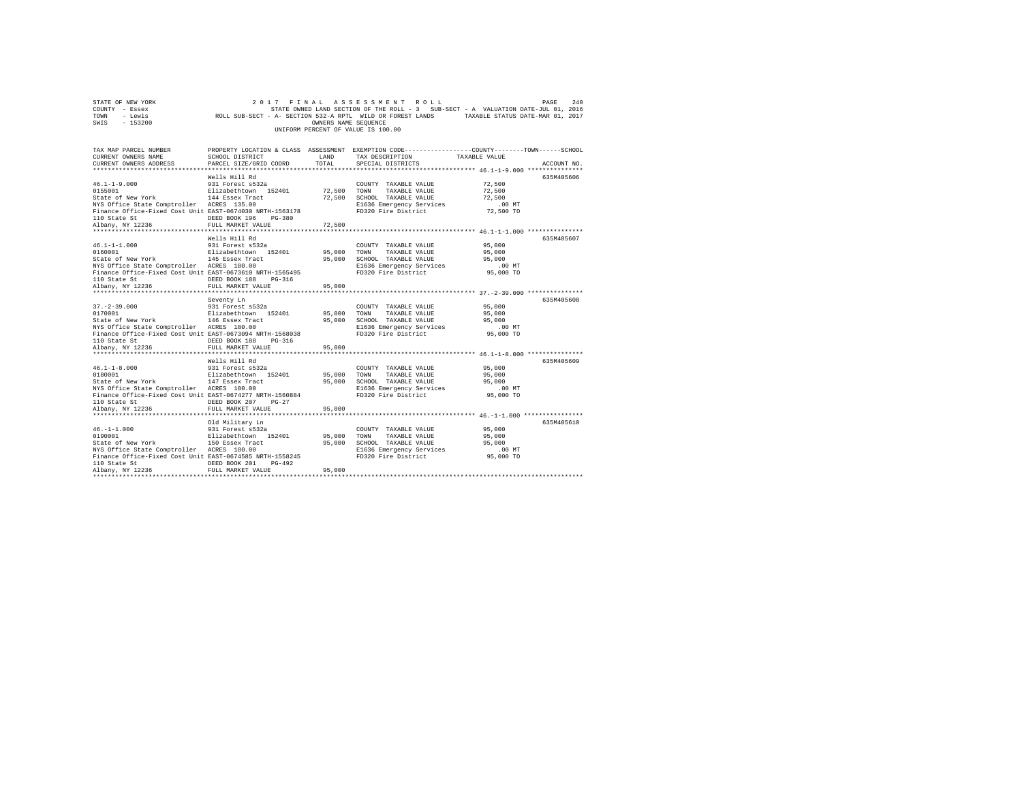|      | STATE OF NEW YORK |                                                            | 2017 FINAL ASSESSMENT ROLL         |                      |  |                                                                                   | PAGE | 2.40 |
|------|-------------------|------------------------------------------------------------|------------------------------------|----------------------|--|-----------------------------------------------------------------------------------|------|------|
|      | COUNTY - Essex    |                                                            |                                    |                      |  | STATE OWNED LAND SECTION OF THE ROLL - 3 SUB-SECT - A VALUATION DATE-JUL 01, 2016 |      |      |
| TOWN | - Lewis           | ROLL SUB-SECT - A- SECTION 532-A RPTL WILD OR FOREST LANDS |                                    |                      |  | TAXABLE STATUS DATE-MAR 01, 2017                                                  |      |      |
| SWIS | $-153200$         |                                                            |                                    | OWNERS NAME SEOUENCE |  |                                                                                   |      |      |
|      |                   |                                                            | UNIFORM PERCENT OF VALUE IS 100.00 |                      |  |                                                                                   |      |      |

| TAX MAP PARCEL NUMBER<br>CURRENT OWNERS NAME<br>CURRENT OWNERS ADDRESS                                                                                                                                                                  | SCHOOL DISTRICT<br>PARCEL SIZE/GRID COORD      | LAND<br>TOTAL | PROPERTY LOCATION & CLASS ASSESSMENT EXEMPTION CODE---------------COUNTY-------TOWN------SCHOOL<br>TAX DESCRIPTION<br>SPECIAL DISTRICTS | TAXABLE VALUE         | ACCOUNT NO. |
|-----------------------------------------------------------------------------------------------------------------------------------------------------------------------------------------------------------------------------------------|------------------------------------------------|---------------|-----------------------------------------------------------------------------------------------------------------------------------------|-----------------------|-------------|
| $46.1 - 1 - 9.000$<br>0155001<br>State of New York                                                                                                                                                                                      | Wells Hill Rd<br>931 Forest s532a              |               | COUNTY TAXABLE VALUE<br>Elizabethtown 152401 72,500 TOWN TAXABLE VALUE 72,500<br>144 Essex Tract 72,500 SCHOOL TAXABLE VALUE 72,500     | 72,500                | 635M405606  |
| NYS Office State Comptroller ACRES 135.00<br>Finance Office-Fixed Cost Unit EAST-0674030 NRTH-1563178                                                                                                                                   |                                                | 72,500        | E1636 Emergency Services<br>FD320 Fire District                                                                                         | $.00$ MT<br>72,500 TO |             |
|                                                                                                                                                                                                                                         |                                                |               |                                                                                                                                         |                       |             |
|                                                                                                                                                                                                                                         | Wells Hill Rd                                  |               |                                                                                                                                         |                       | 635M405607  |
| 46.1-1-1.000                                                                                                                                                                                                                            | 931 Forest s532a                               |               | COUNTY TAXABLE VALUE 95,000                                                                                                             |                       |             |
| 0160001                                                                                                                                                                                                                                 | Elizabethtown 152401 95,000 TOWN TAXABLE VALUE |               |                                                                                                                                         | 95,000                |             |
| State of New York 145 Essex Tract                                                                                                                                                                                                       |                                                |               | 95,000 SCHOOL TAXABLE VALUE                                                                                                             | 95,000                |             |
| NYS Office State Comptroller ACRES 180.00                                                                                                                                                                                               |                                                |               |                                                                                                                                         |                       |             |
| Finance Office-Fixed Cost Unit EAST-0673610 NRTH-1565495                                                                                                                                                                                |                                                |               | E1636 Emergency Services<br>FD320 Fire District                                                                                         | $95,000$ TO           |             |
|                                                                                                                                                                                                                                         |                                                | 95,000        |                                                                                                                                         |                       |             |
|                                                                                                                                                                                                                                         |                                                |               |                                                                                                                                         |                       |             |
|                                                                                                                                                                                                                                         | Seventy Ln                                     |               |                                                                                                                                         |                       | 635M405608  |
| $37 - 2 - 39.000$                                                                                                                                                                                                                       |                                                |               | COUNTY TAXABLE VALUE                                                                                                                    | 95,000                |             |
| 0170001                                                                                                                                                                                                                                 |                                                |               |                                                                                                                                         | 95,000                |             |
| State of New York 146 Essex Tract 95,000 SCHOOL TAXABLE VALUE 95,000<br>NYS Office State Comptroller ACRES 180.00 100 E1636 Emergency Services 00                                                                                       |                                                |               |                                                                                                                                         |                       |             |
|                                                                                                                                                                                                                                         |                                                |               | E1636 Emergency Services<br>FD320 Fire District                                                                                         | $.00$ MT<br>95,000 TO |             |
| Finance Office-Fixed Cost Unit EAST-0673094 NRTH-1568038                                                                                                                                                                                |                                                |               |                                                                                                                                         |                       |             |
|                                                                                                                                                                                                                                         |                                                | 95,000        |                                                                                                                                         |                       |             |
|                                                                                                                                                                                                                                         |                                                |               |                                                                                                                                         |                       |             |
|                                                                                                                                                                                                                                         | Wells Hill Rd                                  |               |                                                                                                                                         |                       | 635M405609  |
|                                                                                                                                                                                                                                         |                                                |               |                                                                                                                                         |                       |             |
|                                                                                                                                                                                                                                         |                                                |               |                                                                                                                                         |                       |             |
| 46.1-1-8.000 931 Forest s532a COUNTY TAXABLE VALUE 95,000<br>0180001 112 112abethrown 152401 95,000 TOWN TAXABLE VALUE 95,000<br>State of New York 147 Essex Tract 95,000 SCHOOL TAXABLE VALUE 95,000<br>NYS Office State Comptroller A |                                                |               |                                                                                                                                         |                       |             |
|                                                                                                                                                                                                                                         |                                                |               |                                                                                                                                         |                       |             |
| Finance Office-Fixed Cost Unit EAST-0674277 NRTH-1560884                                                                                                                                                                                |                                                |               | FD320 Fire District                                                                                                                     | 95,000 TO             |             |
|                                                                                                                                                                                                                                         | DEED BOOK 207 PG-27                            |               |                                                                                                                                         |                       |             |
| 110 State St<br>Albany, NY 12236                                                                                                                                                                                                        | FULL MARKET VALUE                              | 95,000        |                                                                                                                                         |                       |             |
|                                                                                                                                                                                                                                         |                                                |               |                                                                                                                                         |                       |             |
|                                                                                                                                                                                                                                         |                                                |               |                                                                                                                                         |                       | 635M405610  |
|                                                                                                                                                                                                                                         |                                                |               | COUNTY TAXABLE VALUE                                                                                                                    | 95,000                |             |
|                                                                                                                                                                                                                                         |                                                | 95,000 TOWN   | TAXABLE VALUE                                                                                                                           | 95,000                |             |
|                                                                                                                                                                                                                                         |                                                | 95,000        | SCHOOL TAXABLE VALUE                                                                                                                    | 95,000                |             |
| wis UIIIce State Comptroller ACRES 180.00<br>Finance Office-Fixed Cost Unit EAST-0674585 NRTH-1558245<br>110 China Ores                                                                                                                 |                                                |               | E1636 Emergency Services .00 MT<br>FD320 Fire District 95,000 TO                                                                        |                       |             |
|                                                                                                                                                                                                                                         |                                                |               |                                                                                                                                         |                       |             |
| 110 State St<br>Albany, NY 12236                                                                                                                                                                                                        | DEED BOOK 201<br>PG-492                        |               |                                                                                                                                         |                       |             |
|                                                                                                                                                                                                                                         | FULL MARKET VALUE                              | 95,000        |                                                                                                                                         |                       |             |
|                                                                                                                                                                                                                                         |                                                |               |                                                                                                                                         |                       |             |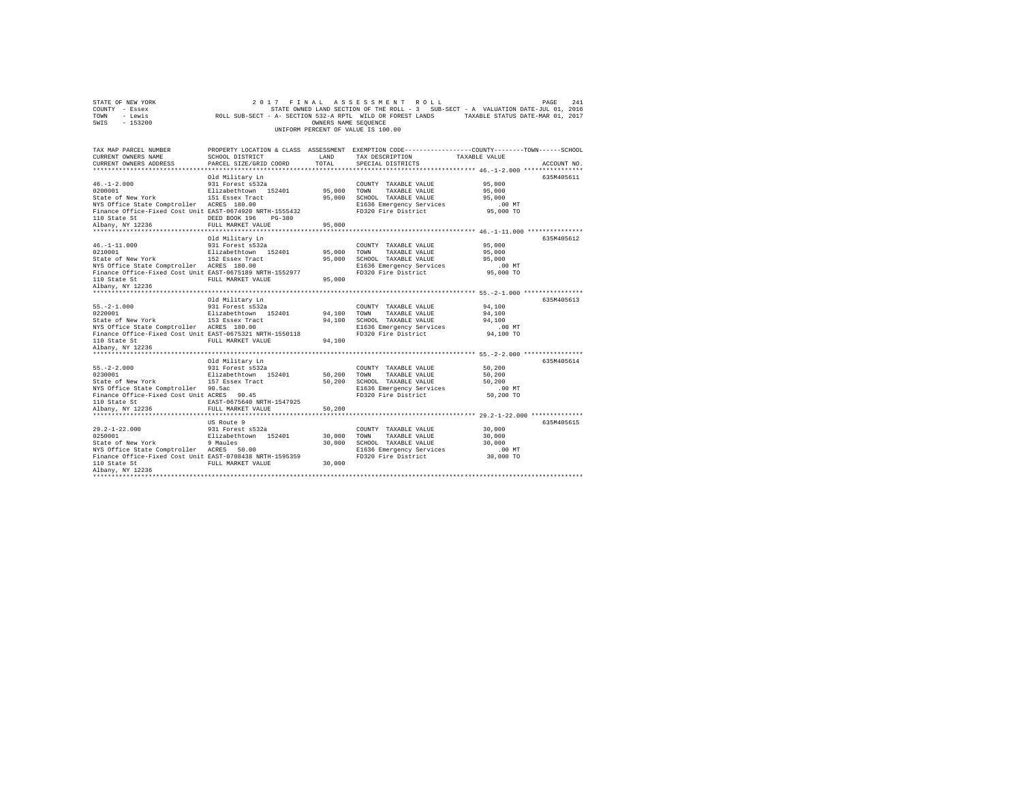| TOWN<br>- Lewis<br>SWIS<br>$-153200$                                                                                                                                                            | ROLL SUB-SECT - A- SECTION 532-A RPTL WILD OR FOREST LANDS                                                                                                   | OWNERS NAME SEOUENCE       | UNIFORM PERCENT OF VALUE IS 100.00                                                                                       | TAXABLE STATUS DATE-MAR 01, 2017                                                                                                                                                                   |
|-------------------------------------------------------------------------------------------------------------------------------------------------------------------------------------------------|--------------------------------------------------------------------------------------------------------------------------------------------------------------|----------------------------|--------------------------------------------------------------------------------------------------------------------------|----------------------------------------------------------------------------------------------------------------------------------------------------------------------------------------------------|
| TAX MAP PARCEL NUMBER<br>CURRENT OWNERS NAME<br>CURRENT OWNERS ADDRESS<br>*************************                                                                                             | SCHOOL DISTRICT<br>PARCEL SIZE/GRID COORD                                                                                                                    | LAND<br>TOTAL              | TAX DESCRIPTION<br>SPECIAL DISTRICTS                                                                                     | PROPERTY LOCATION & CLASS ASSESSMENT EXEMPTION CODE---------------COUNTY-------TOWN------SCHOOL<br>TAXABLE VALUE<br>ACCOUNT NO.                                                                    |
| $46. -1 - 2.000$<br>0200001<br>State of New York<br>NYS Office State Comptroller ACRES 180.00<br>Finance Office-Fixed Cost Unit EAST-0674920 NRTH-1555432<br>110 State St<br>Albany, NY 12236   | Old Military Ln<br>931 Forest s532a<br>Elizabethtown 152401<br>151 Essex Tract<br>DEED BOOK 196<br>PG-380<br>FULL MARKET VALUE                               | 95,000<br>95,000<br>95,000 | COUNTY TAXABLE VALUE<br>TOWN<br>TAXABLE VALUE<br>SCHOOL TAXABLE VALUE<br>E1636 Emergency Services<br>FD320 Fire District | 635M405611<br>95,000<br>95,000<br>95,000<br>.00 MT<br>95,000 TO                                                                                                                                    |
| $46. -1 - 11.000$<br>0210001<br>State of New York<br>NYS Office State Comptroller ACRES 180.00<br>Finance Office-Fixed Cost Unit EAST-0675189 NRTH-1552977<br>110 State St<br>Albany, NY 12236  | Old Military Ln<br>931 Forest s532a<br>Elizabethtown 152401<br>152 Essex Tract<br>FULL MARKET VALUE<br>************************************                  | 95,000<br>95,000<br>95,000 | COUNTY TAXABLE VALUE<br>TOWN<br>TAXABLE VALUE<br>SCHOOL TAXABLE VALUE<br>E1636 Emergency Services<br>FD320 Fire District | ******************************** 46.-1-11.000 ***************<br>635M405612<br>95,000<br>95,000<br>95,000<br>$.00$ MT<br>95,000 TO<br>******************************* 55.-2-1.000 **************** |
| $55. -2 - 1.000$<br>0220001<br>State of New York<br>NYS Office State Comptroller ACRES 180.00<br>Finance Office-Fixed Cost Unit EAST-0675321 NRTH-1550118<br>110 State St<br>Albany, NY 12236   | Old Military Ln<br>931 Forest s532a<br>Elizabethtown 152401<br>153 Essex Tract<br>FULL MARKET VALUE                                                          | 94,100<br>94,100<br>94,100 | COUNTY TAXABLE VALUE<br>TOWN<br>TAXABLE VALUE<br>SCHOOL TAXABLE VALUE<br>E1636 Emergency Services<br>FD320 Fire District | 635M405613<br>94,100<br>94,100<br>94,100<br>$.00$ MT<br>94,100 TO                                                                                                                                  |
| *****************<br>$55. -2 - 2.000$<br>0230001<br>State of New York<br>NYS Office State Comptroller 90.5ac<br>Finance Office-Fixed Cost Unit ACRES 90.45<br>110 State St<br>Albany, NY 12236  | Old Military Ln<br>931 Forest s532a<br>Elizabethtown 152401<br>157 Essex Tract<br>EAST-0675640 NRTH-1547925<br>FULL MARKET VALUE<br>************************ | 50,200<br>50,200<br>50,200 | COUNTY TAXABLE VALUE<br>TOWN<br>TAXABLE VALUE<br>SCHOOL TAXABLE VALUE<br>E1636 Emergency Services<br>FD320 Fire District | ********** 55.-2-2.000 **************<br>635M405614<br>50,200<br>50,200<br>50,200<br>.00 MT<br>50,200 TO<br>********************* 29.2-1-22.000 **************                                     |
| $29.2 - 1 - 22.000$<br>0250001<br>State of New York<br>NYS Office State Comptroller ACRES 50.00<br>Finance Office-Fixed Cost Unit EAST-0708438 NRTH-1595359<br>110 State St<br>Albany, NY 12236 | US Route 9<br>931 Forest s532a<br>Elizabethtown 152401<br>9 Maules<br>FULL MARKET VALUE                                                                      | 30,000<br>30,000<br>30,000 | COUNTY TAXABLE VALUE<br>TOWN<br>TAXABLE VALUE<br>SCHOOL TAXABLE VALUE<br>E1636 Emergency Services<br>FD320 Fire District | 635M405615<br>30,000<br>30,000<br>30,000<br>.00MT<br>30,000 TO                                                                                                                                     |

STATE OF NEW YORK<br>COUNTY - Essex SAL SATE ON A STATE OWNED LAND SECTION OF THE ROLL - 3 SUB-SECT - A VALUATION DATE-JUL 01, 2016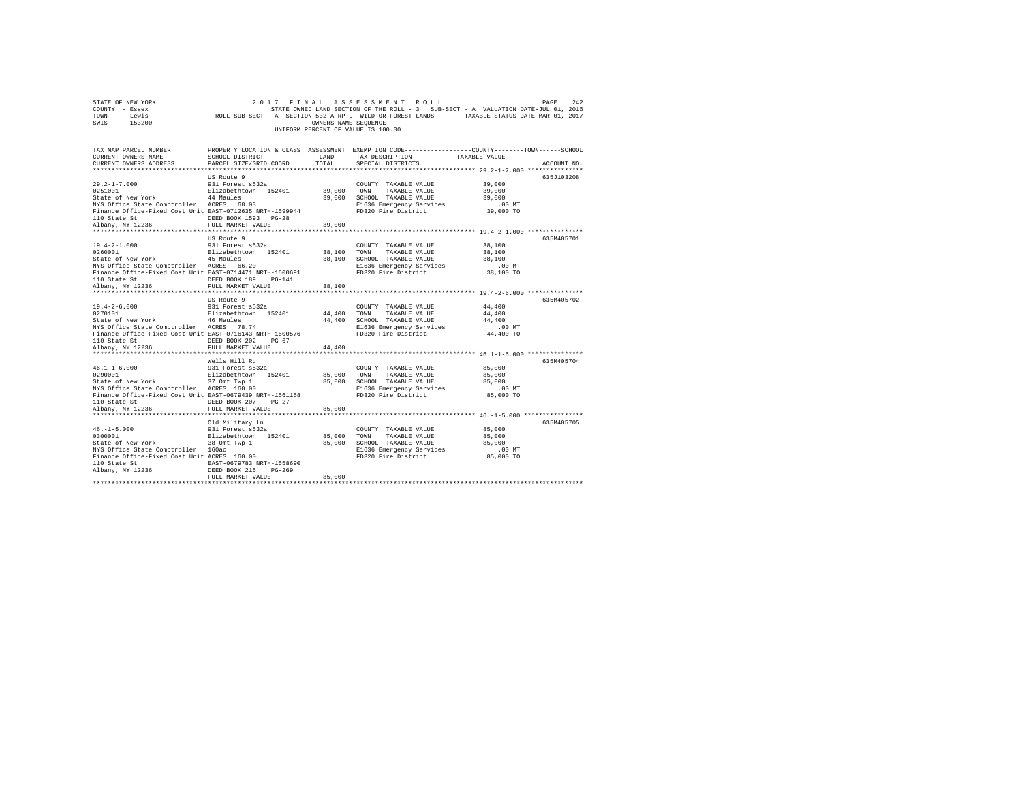|                | STATE OF NEW YORK |                                                            | 2017 FINAL ASSESSMENT ROLL         |                      |  |                                                                                   | PAGE | 2.42 |
|----------------|-------------------|------------------------------------------------------------|------------------------------------|----------------------|--|-----------------------------------------------------------------------------------|------|------|
| COUNTY - Essex |                   |                                                            |                                    |                      |  | STATE OWNED LAND SECTION OF THE ROLL - 3 SUB-SECT - A VALUATION DATE-JUL 01, 2016 |      |      |
| TOWN           | - Lewis           | ROLL SUB-SECT - A- SECTION 532-A RPTL WILD OR FOREST LANDS |                                    |                      |  | TAXABLE STATUS DATE-MAR 01, 2017                                                  |      |      |
| SWIS           | - 153200          |                                                            |                                    | OWNERS NAME SEOUENCE |  |                                                                                   |      |      |
|                |                   |                                                            | UNIFORM PERCENT OF VALUE IS 100.00 |                      |  |                                                                                   |      |      |

| TAX MAP PARCEL NUMBER<br>CURRENT OWNERS NAME             | SCHOOL DISTRICT                               | LAND            | TAX DESCRIPTION                                 | PROPERTY LOCATION & CLASS ASSESSMENT EXEMPTION CODE---------------COUNTY-------TOWN-----SCHOOL<br>TAXABLE VALUE |
|----------------------------------------------------------|-----------------------------------------------|-----------------|-------------------------------------------------|-----------------------------------------------------------------------------------------------------------------|
| CURRENT OWNERS ADDRESS                                   | PARCEL SIZE/GRID COORD                        | TOTAL           | SPECIAL DISTRICTS                               | ACCOUNT NO.                                                                                                     |
|                                                          | US Route 9                                    |                 |                                                 | 635.7103208                                                                                                     |
| $29.2 - 1 - 7.000$                                       | 931 Forest s532a                              |                 | COUNTY TAXABLE VALUE                            | 39,000                                                                                                          |
| 0251001                                                  | Elizabethtown 152401                          | 39,000 TOWN     | TAXABLE VALUE                                   | 39,000                                                                                                          |
| State of New York 44 Maules                              |                                               | 39,000          | SCHOOL TAXABLE VALUE                            | 39,000                                                                                                          |
| NYS Office State Comptroller ACRES 68.03                 |                                               |                 | E1636 Emergency Services                        | $.00$ MT                                                                                                        |
| Finance Office-Fixed Cost Unit EAST-0712635 NRTH-1599944 |                                               |                 | FD320 Fire District                             | 39,000 TO                                                                                                       |
| 110 State St                                             | DEED BOOK 1593 PG-28                          |                 |                                                 |                                                                                                                 |
| Albany, NY 12236                                         | FULL MARKET VALUE                             | 39,000          |                                                 |                                                                                                                 |
|                                                          | ***********************                       | *************** |                                                 |                                                                                                                 |
|                                                          | US Route 9                                    |                 |                                                 | 635M405701                                                                                                      |
| $19.4 - 2 - 1.000$<br>0260001                            | 931 Forest s532a                              |                 | COUNTY TAXABLE VALUE                            | 38,100                                                                                                          |
| State of New York                                        | Elizabethtown 152401<br>45 Maules             | 38,100 TOWN     | TAXABLE VALUE<br>38,100 SCHOOL TAXABLE VALUE    | 38,100                                                                                                          |
| NYS Office State Comptroller ACRES                       | 66.20                                         |                 | E1636 Emergency Services                        | 38,100<br>$.00$ MT                                                                                              |
| Finance Office-Fixed Cost Unit EAST-0714471 NRTH-1600691 |                                               |                 | FD320 Fire District                             | 38,100 TO                                                                                                       |
| 110 State St                                             | DEED BOOK 189 PG-141                          |                 |                                                 |                                                                                                                 |
| Albany, NY 12236                                         | FULL MARKET VALUE                             | 38,100          |                                                 |                                                                                                                 |
|                                                          |                                               |                 |                                                 |                                                                                                                 |
|                                                          | US Route 9                                    |                 |                                                 | 635M405702                                                                                                      |
| $19.4 - 2 - 6.000$                                       | 931 Forest s532a<br>Elizabethtown 152401      |                 | COUNTY TAXABLE VALUE                            | 44,400                                                                                                          |
| 0270101                                                  |                                               | 44,400 TOWN     | TAXABLE VALUE                                   | 44,400                                                                                                          |
| 46 Maules<br>State of New York                           |                                               | 44,400          | SCHOOL TAXABLE VALUE                            | 44,400                                                                                                          |
| NYS Office State Comptroller ACRES 78.74                 |                                               |                 | E1636 Emergency Services<br>FD320 Fire District | $.00$ MT                                                                                                        |
| Finance Office-Fixed Cost Unit EAST-0716143 NRTH-1600576 |                                               |                 |                                                 | 44,400 TO                                                                                                       |
| 110 State St                                             | DEED BOOK 202<br>$PG-67$<br>FULL MARKET VALUE | 44,400          |                                                 |                                                                                                                 |
| Albany, NY 12236                                         |                                               |                 |                                                 |                                                                                                                 |
|                                                          | Wells Hill Rd                                 |                 |                                                 | 635M405704                                                                                                      |
| $46.1 - 1 - 6.000$                                       | 931 Forest s532a                              |                 | COUNTY TAXABLE VALUE                            | 85,000                                                                                                          |
| 0290001                                                  | Elizabethtown 152401                          | 85,000          | TOWN<br>TAXABLE VALUE                           | 85,000                                                                                                          |
| State of New York                                        | 37 Omt Twp 1                                  | 85,000          | SCHOOL TAXABLE VALUE                            | 85,000                                                                                                          |
| NYS Office State Comptroller ACRES 160.00                |                                               |                 | E1636 Emergency Services                        | .00 MT                                                                                                          |
| Finance Office-Fixed Cost Unit EAST-0679439 NRTH-1561158 |                                               |                 | FD320 Fire District                             | 85,000 TO                                                                                                       |
| 110 State St                                             | DEED BOOK 207<br>$PG-27$                      |                 |                                                 |                                                                                                                 |
| Albany, NY 12236                                         | FULL MARKET VALUE<br>*******************      | 85,000          |                                                 | ************** 46. -1-5.000 *************                                                                       |
|                                                          | Old Military Ln                               |                 |                                                 | 635M405705                                                                                                      |
| $46. -1 - 5.000$                                         | 931 Forest s532a                              |                 | COUNTY TAXABLE VALUE                            | 85,000                                                                                                          |
| 0300001                                                  | Elizabethtown 152401                          | 85,000 TOWN     | TAXABLE VALUE                                   | 85,000                                                                                                          |
| State of New York                                        | 38 Omt Twp 1                                  | 85,000          | SCHOOL TAXABLE VALUE                            | 85,000                                                                                                          |
| NYS Office State Comptroller 160ac                       |                                               |                 | E1636 Emergency Services                        | .00 MT                                                                                                          |
| Finance Office-Fixed Cost Unit ACRES 160.00              |                                               |                 | FD320 Fire District                             | 85,000 TO                                                                                                       |
| 110 State St                                             | EAST-0679783 NRTH-1558690                     |                 |                                                 |                                                                                                                 |
| Albany, NY 12236                                         | DEED BOOK 215<br>$PG-269$                     |                 |                                                 |                                                                                                                 |
|                                                          | FULL MARKET VALUE                             | 85,000          |                                                 |                                                                                                                 |
|                                                          |                                               |                 |                                                 |                                                                                                                 |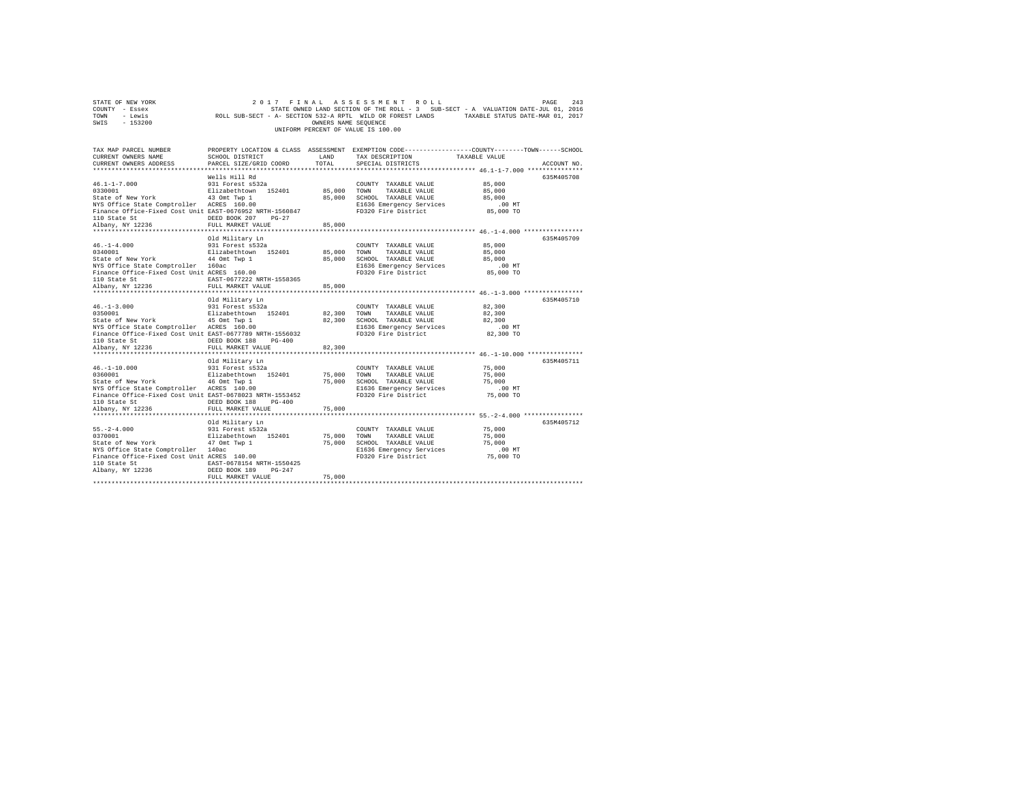|      | STATE OF NEW YORK |                                                            | 2017 FINAL ASSESSMENT ROLL         |                      |  |                                                                                   | PAGE | 2.43 |
|------|-------------------|------------------------------------------------------------|------------------------------------|----------------------|--|-----------------------------------------------------------------------------------|------|------|
|      | COUNTY - Essex    |                                                            |                                    |                      |  | STATE OWNED LAND SECTION OF THE ROLL - 3 SUB-SECT - A VALUATION DATE-JUL 01, 2016 |      |      |
| TOWN | - Lewis           | ROLL SUB-SECT - A- SECTION 532-A RPTL WILD OR FOREST LANDS |                                    |                      |  | TAXABLE STATUS DATE-MAR 01, 2017                                                  |      |      |
| SWIS | - 153200          |                                                            |                                    | OWNERS NAME SEOUENCE |  |                                                                                   |      |      |
|      |                   |                                                            | UNIFORM PERCENT OF VALUE IS 100.00 |                      |  |                                                                                   |      |      |

| TAX MAP PARCEL NUMBER<br>CURRENT OWNERS NAME                                                                                                           | SCHOOL DISTRICT                                                | LAND                  | PROPERTY LOCATION & CLASS ASSESSMENT EXEMPTION CODE---------------COUNTY-------TOWN-----SCHOOL<br>TAX DESCRIPTION | TAXABLE VALUE                                       |             |
|--------------------------------------------------------------------------------------------------------------------------------------------------------|----------------------------------------------------------------|-----------------------|-------------------------------------------------------------------------------------------------------------------|-----------------------------------------------------|-------------|
| CURRENT OWNERS ADDRESS                                                                                                                                 | PARCEL SIZE/GRID COORD                                         | TOTAL                 | SPECIAL DISTRICTS                                                                                                 |                                                     | ACCOUNT NO. |
|                                                                                                                                                        |                                                                |                       |                                                                                                                   |                                                     |             |
|                                                                                                                                                        | Wells Hill Rd                                                  |                       |                                                                                                                   |                                                     | 635M405708  |
| 46.1-1-7.000                                                                                                                                           | 931 Forest s532a                                               |                       | COUNTY TAXABLE VALUE                                                                                              | 85,000                                              |             |
|                                                                                                                                                        |                                                                |                       | 85,000 TOWN TAXABLE VALUE                                                                                         | 85,000                                              |             |
| 0330001 Elizabethtown 152401<br>State of New York 13 Omt Twp 1<br>NYS Office State Comptroller ACRES 160.00                                            |                                                                |                       | 85,000 SCHOOL TAXABLE VALUE                                                                                       | 85,000                                              |             |
|                                                                                                                                                        |                                                                |                       | E1636 Emergency Services                                                                                          | .00 MT                                              |             |
| Finance Office-Fixed Cost Unit EAST-0676952 NRTH-1560847                                                                                               |                                                                |                       | FD320 Fire District                                                                                               | 85,000 TO                                           |             |
| 110 State St<br>Albany, NY 12236                                                                                                                       | DEED BOOK 207 PG-27                                            |                       |                                                                                                                   |                                                     |             |
|                                                                                                                                                        | FULL MARKET VALUE                                              | 85,000                |                                                                                                                   |                                                     |             |
|                                                                                                                                                        |                                                                |                       |                                                                                                                   |                                                     |             |
|                                                                                                                                                        | Old Military Ln                                                |                       |                                                                                                                   |                                                     | 635M405709  |
| 46.-1-4.000                                                                                                                                            | 931 Forest s532a                                               |                       | COUNTY TAXABLE VALUE                                                                                              | 85,000                                              |             |
| 0340001                                                                                                                                                | Elizabethtown 152401                                           | 85,000                | TOWN<br>TAXABLE VALUE                                                                                             | 85,000                                              |             |
| State of New York                                                                                                                                      | 44 Omt Twp 1                                                   | 85,000                | SCHOOL TAXABLE VALUE                                                                                              | 85,000                                              |             |
| NYS Office State Comptroller 160ac                                                                                                                     |                                                                |                       | E1636 Emergency Services                                                                                          | $.00$ MT                                            |             |
| Finance Office-Fixed Cost Unit ACRES 160.00                                                                                                            |                                                                |                       | FD320 Fire District                                                                                               | 85,000 TO                                           |             |
| 110 State St                                                                                                                                           | EAST-0677222 NRTH-1558365                                      |                       |                                                                                                                   |                                                     |             |
| Albany, NY 12236                                                                                                                                       | FULL MARKET VALUE                                              | 85,000                |                                                                                                                   |                                                     |             |
|                                                                                                                                                        |                                                                |                       |                                                                                                                   |                                                     |             |
|                                                                                                                                                        | Old Military Ln                                                |                       |                                                                                                                   |                                                     | 635M405710  |
|                                                                                                                                                        |                                                                |                       | COUNTY TAXABLE VALUE                                                                                              | 82,300                                              |             |
| 46.-1-3.000 931 Forest s532a<br>0350001 1121 1121 1121 1121 1121 112401<br>State of New York 45 Omt Twp 1<br>NYS Office State Comptroller ACRES 160.00 |                                                                | 82,300 TOWN           | TAXABLE VALUE                                                                                                     | 82,300                                              |             |
|                                                                                                                                                        |                                                                | 82,300                | SCHOOL TAXABLE VALUE                                                                                              | 82,300                                              |             |
|                                                                                                                                                        |                                                                |                       | E1636 Emergency Services<br>FD320 Fire District                                                                   | $.00$ MT                                            |             |
| Finance Office-Fixed Cost Unit EAST-0677789 NRTH-1556032                                                                                               |                                                                |                       |                                                                                                                   | 82,300 TO                                           |             |
| 110 State St                                                                                                                                           | DEED BOOK 188 PG-400                                           |                       |                                                                                                                   |                                                     |             |
| Albany, NY 12236                                                                                                                                       | FULL MARKET VALUE                                              | 82,300                |                                                                                                                   |                                                     |             |
|                                                                                                                                                        |                                                                |                       |                                                                                                                   |                                                     |             |
|                                                                                                                                                        | Old Military Ln                                                |                       |                                                                                                                   |                                                     | 635M405711  |
| $46. - 1 - 10.000$                                                                                                                                     | 931 Forest s532a                                               |                       | COUNTY TAXABLE VALUE                                                                                              | 75,000                                              |             |
| 0360001                                                                                                                                                | Elizabethtown 152401 75,000 TOWN<br>46 Omt Twp 1 75,000 SCHOOL |                       | TAXABLE VALUE                                                                                                     | 75,000                                              |             |
| State of New York                                                                                                                                      |                                                                |                       | 75,000 SCHOOL TAXABLE VALUE                                                                                       | 75,000                                              |             |
| NYS Office State Comptroller ACRES 140.00                                                                                                              |                                                                |                       | E1636 Emergency Services                                                                                          | $.00$ MT                                            |             |
| Finance Office-Fixed Cost Unit EAST-0678023 NRTH-1553452                                                                                               |                                                                |                       | FD320 Fire District                                                                                               | 75,000 TO                                           |             |
| 110 State St                                                                                                                                           | DEED BOOK 188<br>$PG-400$                                      |                       |                                                                                                                   |                                                     |             |
| Albany, NY 12236                                                                                                                                       | FULL MARKET VALUE<br>************************                  | 75,000<br>*********** |                                                                                                                   |                                                     |             |
|                                                                                                                                                        |                                                                |                       |                                                                                                                   | *********************** 55.-2-4.000 *************** |             |
|                                                                                                                                                        | Old Military Ln                                                |                       |                                                                                                                   |                                                     | 635M405712  |
| $55. - 2 - 4.000$                                                                                                                                      | 931 Forest s532a                                               |                       | COUNTY TAXABLE VALUE                                                                                              | 75,000                                              |             |
| 0370001                                                                                                                                                | Elizabethtown 152401                                           | 75,000 TOWN           | TAXABLE VALUE                                                                                                     | 75,000                                              |             |
| State of New York                                                                                                                                      | 47 Omt Twp 1                                                   | 75,000                | SCHOOL TAXABLE VALUE                                                                                              | 75,000                                              |             |
| NYS Office State Comptroller 140ac<br>Finance Office-Fixed Cost Unit ACRES 140.00                                                                      |                                                                |                       | E1636 Emergency Services                                                                                          | $.00$ MT                                            |             |
|                                                                                                                                                        |                                                                |                       | FD320 Fire District 75,000 TO                                                                                     |                                                     |             |
| 110 State St                                                                                                                                           | EAST-0678154 NRTH-1550425                                      |                       |                                                                                                                   |                                                     |             |
| Albany, NY 12236                                                                                                                                       | DEED BOOK 189<br>$PG-247$                                      |                       |                                                                                                                   |                                                     |             |
|                                                                                                                                                        | FULL MARKET VALUE                                              | 75,000                |                                                                                                                   |                                                     |             |
|                                                                                                                                                        |                                                                |                       |                                                                                                                   |                                                     |             |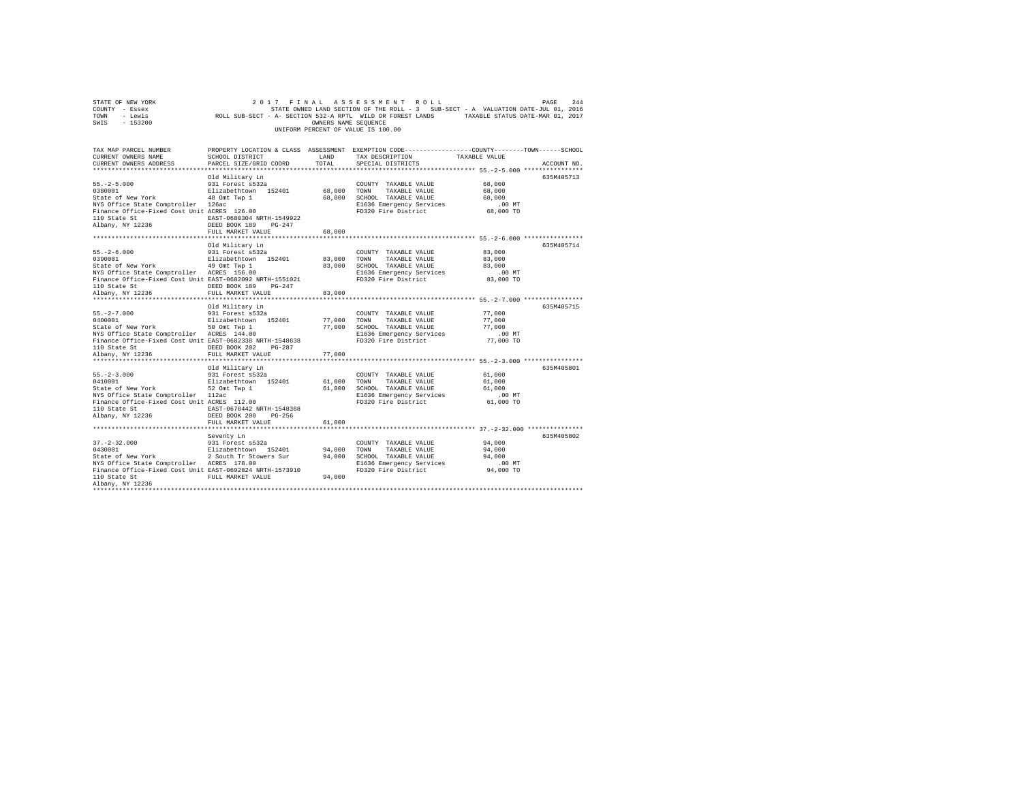| STATE OF NEW YORK<br>COUNTY - Essex<br>TOWN<br>- Lewis<br>$-153200$<br>SWIS                                                                                                                                                                                     | 2017 FINAL                                                             | OWNERS NAME SEQUENCE | ASSESSMENT ROLL<br>STATE OWNED LAND SECTION OF THE ROLL - 3 SUB-SECT - A VALUATION DATE-JUL 01, 2016<br>ROLL SUB-SECT - A- SECTION 532-A RPTL WILD OR FOREST LANDS TAXABLE STATUS DATE-MAR 01, 2017<br>UNIFORM PERCENT OF VALUE IS 100.00 |                    | PAGE<br>244 |
|-----------------------------------------------------------------------------------------------------------------------------------------------------------------------------------------------------------------------------------------------------------------|------------------------------------------------------------------------|----------------------|-------------------------------------------------------------------------------------------------------------------------------------------------------------------------------------------------------------------------------------------|--------------------|-------------|
| TAX MAP PARCEL NUMBER<br>CURRENT OWNERS NAME                                                                                                                                                                                                                    | SCHOOL DISTRICT                                                        | LAND                 | PROPERTY LOCATION & CLASS ASSESSMENT EXEMPTION CODE---------------COUNTY-------TOWN------SCHOOL<br>TAX DESCRIPTION                                                                                                                        | TAXABLE VALUE      |             |
| CURRENT OWNERS ADDRESS                                                                                                                                                                                                                                          | PARCEL SIZE/GRID COORD                                                 | TOTAL                | SPECIAL DISTRICTS                                                                                                                                                                                                                         |                    | ACCOUNT NO. |
|                                                                                                                                                                                                                                                                 |                                                                        |                      |                                                                                                                                                                                                                                           |                    |             |
|                                                                                                                                                                                                                                                                 | Old Military Ln                                                        |                      |                                                                                                                                                                                                                                           |                    | 635M405713  |
| $55. -2 - 5.000$                                                                                                                                                                                                                                                | 931 Forest s532a                                                       |                      | COUNTY TAXABLE VALUE                                                                                                                                                                                                                      | 68,000             |             |
|                                                                                                                                                                                                                                                                 |                                                                        | 68,000               | TOWN<br>TAXABLE VALUE                                                                                                                                                                                                                     | 68,000             |             |
|                                                                                                                                                                                                                                                                 |                                                                        |                      | 68,000 SCHOOL TAXABLE VALUE                                                                                                                                                                                                               | 68,000             |             |
| 9380001 2010<br>202001 2112abethtown 152401 68,<br>State of New York 48 0mm 192401 68,<br>NYS Office State Comptroller 126ac<br>Finance Office-Fixed Cost Unit ACRES 126.00                                                                                     |                                                                        |                      | E1636 Emergency Services<br>FD320 Fire District                                                                                                                                                                                           | $.00$ MT           |             |
| 110 State St<br>Albany, NY 12236                                                                                                                                                                                                                                | EAST-0680304 NRTH-1549922<br>DEED BOOK 189 PG-247<br>FULL MARKET VALUE | 68,000               |                                                                                                                                                                                                                                           | 68,000 TO          |             |
|                                                                                                                                                                                                                                                                 |                                                                        |                      |                                                                                                                                                                                                                                           |                    |             |
|                                                                                                                                                                                                                                                                 | Old Military Ln                                                        |                      |                                                                                                                                                                                                                                           |                    | 635M405714  |
|                                                                                                                                                                                                                                                                 |                                                                        |                      | COUNTY TAXABLE VALUE                                                                                                                                                                                                                      | 83,000             |             |
| $\begin{tabular}{lllllllllll} 55.-2-6.000 & 931 Forest \texttt{s}532a \\ 0390001 & 81izabethvyn & 152401 & 83,000 \\ \texttt{State of New York} & 49\texttt{ Omt Wp 1} & 83,000 \\ \texttt{NTS Office State Computer ACRES} & 156.00 & 83,000 \\ \end{tabular}$ |                                                                        |                      | TOWN<br>TAXABLE VALUE                                                                                                                                                                                                                     | 83,000             |             |
|                                                                                                                                                                                                                                                                 |                                                                        |                      | 83,000 SCHOOL TAXABLE VALUE                                                                                                                                                                                                               | 83,000             |             |
| busine of the State Comptroller<br>NYS Office State Comptroller<br>Finance Office-Fixed Cost Unit EAST-0682092 NRTH-1551021<br>FD320 Fire District                                                                                                              |                                                                        |                      |                                                                                                                                                                                                                                           | .00MT<br>83,000 TO |             |
|                                                                                                                                                                                                                                                                 | DEED BOOK 189 PG-247                                                   |                      |                                                                                                                                                                                                                                           |                    |             |
| 110 State St<br>Albany, NY 12236                                                                                                                                                                                                                                | FULL MARKET VALUE                                                      | 83,000               |                                                                                                                                                                                                                                           |                    |             |
|                                                                                                                                                                                                                                                                 |                                                                        |                      |                                                                                                                                                                                                                                           |                    |             |
|                                                                                                                                                                                                                                                                 | Old Military Ln                                                        |                      |                                                                                                                                                                                                                                           |                    | 635M405715  |
| $55. -2 - 7.000$<br>0400001                                                                                                                                                                                                                                     | Old Military Ln<br>931 Forest s532a                                    |                      | COUNTY TAXABLE VALUE                                                                                                                                                                                                                      | 77,000             |             |
|                                                                                                                                                                                                                                                                 | Elizabethtown 152401                                                   | 77,000               | TOWN<br>TAXABLE VALUE                                                                                                                                                                                                                     | 77,000             |             |
| State of New York<br>The Solomic Twp 1<br>NYS Office State Comptroller<br>NYS Office State Comptroller<br>NYS Office State Comptroller<br>2006 21636 Emergency Services                                                                                         |                                                                        |                      |                                                                                                                                                                                                                                           | 77,000<br>$.00$ MT |             |
| Finance Office-Fixed Cost Unit EAST-0682338 NRTH-1548638                                                                                                                                                                                                        |                                                                        |                      | FD320 Fire District                                                                                                                                                                                                                       | 77,000 TO          |             |
| 110 State St                                                                                                                                                                                                                                                    | DEED BOOK 202 PG-287                                                   |                      |                                                                                                                                                                                                                                           |                    |             |
| Albany, NY 12236                                                                                                                                                                                                                                                | FULL MARKET VALUE                                                      | 77,000               |                                                                                                                                                                                                                                           |                    |             |
|                                                                                                                                                                                                                                                                 |                                                                        |                      | **************************** 55.-2-3.000 ****************                                                                                                                                                                                 |                    |             |
|                                                                                                                                                                                                                                                                 | Old Military Ln                                                        |                      |                                                                                                                                                                                                                                           |                    | 635M405801  |
| $55. -2 - 3.000$                                                                                                                                                                                                                                                | 931 Forest s532a                                                       |                      | COUNTY TAXABLE VALUE                                                                                                                                                                                                                      | 61,000             |             |
| 0410001                                                                                                                                                                                                                                                         | Elizabethtown 152401                                                   | 61,000 TOWN          | TAXABLE VALUE                                                                                                                                                                                                                             | 61,000<br>61,000   |             |
| State of New York 52 Omt Twp 1<br>MXS Office State Comptroller 112ac<br>Finance Office-Fixed Cost Unit ACRES 112.00<br>Elios CHOOL TAXABLE VALUE<br>Elios Pinance Office-Fixed Cost Unit ACRES 112.00                                                           |                                                                        |                      |                                                                                                                                                                                                                                           | .00MT              |             |
|                                                                                                                                                                                                                                                                 |                                                                        |                      | E1636 Emergency Services<br>FD320 Fire District                                                                                                                                                                                           | 61,000 TO          |             |
|                                                                                                                                                                                                                                                                 |                                                                        |                      |                                                                                                                                                                                                                                           |                    |             |
| 110 State St $\begin{tabular}{lllllllllll} \texttt{10 State St} & \texttt{EAST-0678442 NRTH-1548368} \\ \texttt{Albany, NY 12236} & \texttt{DEED BOOK 200} & \texttt{PG-256} \end{tabular}$                                                                     |                                                                        |                      |                                                                                                                                                                                                                                           |                    |             |
|                                                                                                                                                                                                                                                                 | FULL MARKET VALUE                                                      | 61,000               |                                                                                                                                                                                                                                           |                    |             |
|                                                                                                                                                                                                                                                                 |                                                                        |                      |                                                                                                                                                                                                                                           |                    |             |
|                                                                                                                                                                                                                                                                 | Seventy Ln                                                             |                      |                                                                                                                                                                                                                                           |                    | 635M405802  |
|                                                                                                                                                                                                                                                                 |                                                                        | 94,000               | COUNTY TAXABLE VALUE<br>TOWN<br>TAXABLE VALUE                                                                                                                                                                                             | 94,000<br>94,000   |             |
|                                                                                                                                                                                                                                                                 |                                                                        |                      | 94,000 SCHOOL TAXABLE VALUE                                                                                                                                                                                                               | 94,000             |             |
| NYS Office State Comptroller ACRES 178.00                                                                                                                                                                                                                       |                                                                        |                      | E1636 Emergency Services                                                                                                                                                                                                                  | .00MT              |             |
| Finance Office-Fixed Cost Unit EAST-0692824 NRTH-1573910                                                                                                                                                                                                        |                                                                        |                      | FD320 Fire District                                                                                                                                                                                                                       | 94,000 TO          |             |
| 110 State St                                                                                                                                                                                                                                                    | FULL MARKET VALUE                                                      | 94,000               |                                                                                                                                                                                                                                           |                    |             |
| Albany, NY 12236                                                                                                                                                                                                                                                |                                                                        |                      |                                                                                                                                                                                                                                           |                    |             |
|                                                                                                                                                                                                                                                                 |                                                                        |                      |                                                                                                                                                                                                                                           |                    |             |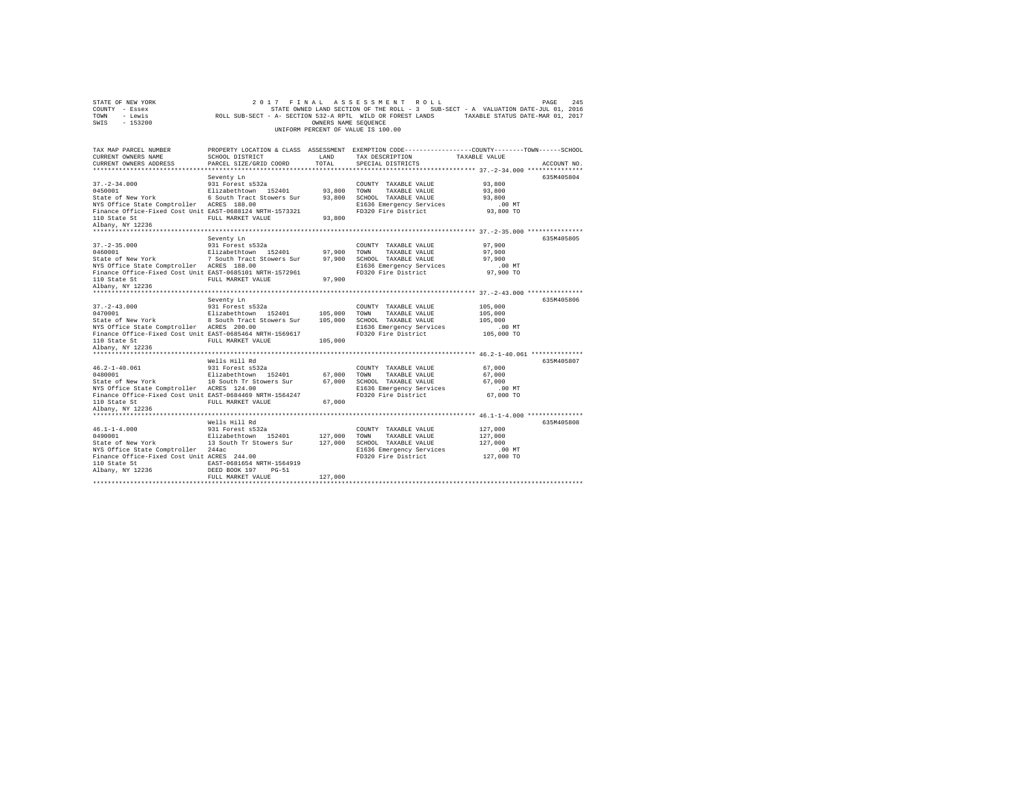| STATE OF NEW YORK<br>COUNTY - Essex<br>TOWN<br>- Lewis<br>SWIS - 153200                                                                                                                          |                                                                                                                                                               | OWNERS NAME SEQUENCE          | 2017 FINAL ASSESSMENT ROLL<br>STATE OWNED LAND SECTION OF THE ROLL - 3 SUB-SECT - A VALUATION DATE-JUL 01, 2016<br>ROLL SUB-SECT - A- SECTION 532-A RPTL WILD OR FOREST LANDS TAXABLE STATUS DATE-MAR 01, 2017<br>UNIFORM PERCENT OF VALUE IS 100.00 |                                                         | 245<br>PAGE |
|--------------------------------------------------------------------------------------------------------------------------------------------------------------------------------------------------|---------------------------------------------------------------------------------------------------------------------------------------------------------------|-------------------------------|------------------------------------------------------------------------------------------------------------------------------------------------------------------------------------------------------------------------------------------------------|---------------------------------------------------------|-------------|
| TAX MAP PARCEL NUMBER<br>CURRENT OWNERS NAME<br>CURRENT OWNERS ADDRESS                                                                                                                           | SCHOOL DISTRICT<br>PARCEL SIZE/GRID COORD                                                                                                                     | LAND<br>TOTAL                 | PROPERTY LOCATION & CLASS ASSESSMENT EXEMPTION CODE----------------COUNTY-------TOWN------SCHOOL<br>TAX DESCRIPTION<br>SPECIAL DISTRICTS                                                                                                             | TAXABLE VALUE                                           | ACCOUNT NO. |
| $37. - 2 - 34.000$<br>0450001<br>State of New York<br>NYS Office State Comptroller ACRES 188.00<br>Finance Office-Fixed Cost Unit EAST-0688124 NRTH-1573321<br>110 State St<br>Albany, NY 12236  | Seventy Ln<br>931 Forest s532a<br>Elizabethtown 152401<br>6 South Tract Stowers Sur<br>FULL MARKET VALUE                                                      | 93,800<br>93,800              | COUNTY TAXABLE VALUE<br>TAXABLE VALUE<br>TOWN<br>93,800 SCHOOL TAXABLE VALUE<br>E1636 Emergency Services<br>FD320 Fire District                                                                                                                      | 93,800<br>93,800<br>93,800<br>$.00$ MT<br>93,800 TO     | 635M405804  |
| $37. - 2 - 35.000$<br>0460001<br>State of New York<br>NYS Office State Comptroller ACRES 188.00<br>Finance Office-Fixed Cost Unit EAST-0685101 NRTH-1572961<br>110 State St<br>Albany, NY 12236  | Seventy Ln<br>931 Forest s532a<br>Elizabethtown 152401<br>7 South Tract Stowers Sur<br>FULL MARKET VALUE                                                      | 97.900<br>97,900<br>97,900    | COUNTY TAXABLE VALUE<br>TOWN<br>TAXABLE VALUE<br>SCHOOL TAXABLE VALUE<br>E1636 Emergency Services<br>FD320 Fire District                                                                                                                             | 97,900<br>97,900<br>97,900<br>$.00$ MT<br>97,900 TO     | 635M405805  |
| $37. - 2 - 43.000$<br>0470001<br>State of New York<br>NYS Office State Comptroller ACRES 200.00<br>Finance Office-Fixed Cost Unit EAST-0685464 NRTH-1569617<br>110 State St<br>Albany, NY 12236  | Seventy Ln<br>931 Forest s532a<br>Elizabethtown 152401<br>8 South Tract Stowers Sur<br>FULL MARKET VALUE                                                      | 105,000<br>105,000<br>105,000 | COUNTY TAXABLE VALUE<br>TOWN<br>TAXABLE VALUE<br>SCHOOL TAXABLE VALUE<br>E1636 Emergency Services<br>FD320 Fire District                                                                                                                             | 105,000<br>105,000<br>105,000<br>$.00$ MT<br>105,000 TO | 635M405806  |
| $46.2 - 1 - 40.061$<br>0480001<br>State of New York<br>NYS Office State Comptroller ACRES 124.00<br>Finance Office-Fixed Cost Unit EAST-0684469 NRTH-1564247<br>110 State St<br>Albany, NY 12236 | Wells Hill Rd<br>931 Forest s532a<br>Elizabethtown 152401<br>10 South Tr Stowers Sur<br>FULL MARKET VALUE                                                     | 67,000<br>67.000<br>67,000    | COUNTY TAXABLE VALUE<br>TOWN<br>TAXABLE VALUE<br>SCHOOL TAXABLE VALUE<br>E1636 Emergency Services<br>FD320 Fire District                                                                                                                             | 67,000<br>67,000<br>67,000<br>$.00$ MT<br>67,000 TO     | 635M405807  |
| $46.1 - 1 - 4.000$<br>0490001<br>State of New York<br>NYS Office State Comptroller 244ac<br>Finance Office-Fixed Cost Unit ACRES 244.00<br>110 State St<br>Albany, NY 12236                      | Wells Hill Rd<br>931 Forest s532a<br>Elizabethtown 152401<br>13 South Tr Stowers Sur<br>EAST-0681654 NRTH-1564919<br>DEED BOOK 197 PG-51<br>FULL MARKET VALUE | 127,000<br>127,000<br>127,000 | COUNTY TAXABLE VALUE<br>TOWN<br>TAXABLE VALUE<br>SCHOOL TAXABLE VALUE<br>E1636 Emergency Services<br>FD320 Fire District                                                                                                                             | 127,000<br>127,000<br>127,000<br>$.00$ MT<br>127,000 TO | 635M405808  |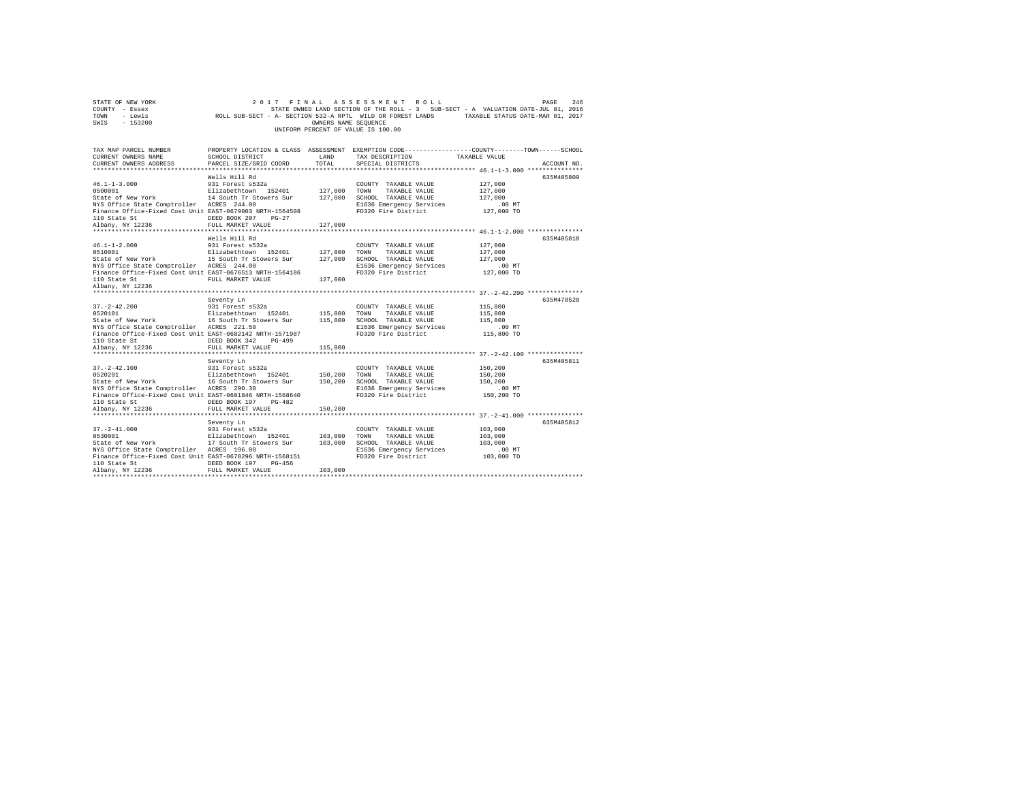| STATE OF NEW YORK<br>COUNTY - Essex<br>TOWN<br>- Lewis<br>SWIS<br>$-153200$                                                                                                                                                                                                                                                                                                                                                                                                                                                                                  | 2017 FINAL ASSESSMENT ROLL<br>2016 27ATE-JULO LAND SECTION OF THE ROLL - 3 SUB-SECT - A VALUATION DATE-JULO1, 2016<br>2016 ROLL SUB-SECT - A - SECTION 532-A RPTL WILD OR FOREST LANDS | OWNERS NAME SEQUENCE    | UNIFORM PERCENT OF VALUE IS 100.00                                                       |                                                         |             |
|--------------------------------------------------------------------------------------------------------------------------------------------------------------------------------------------------------------------------------------------------------------------------------------------------------------------------------------------------------------------------------------------------------------------------------------------------------------------------------------------------------------------------------------------------------------|----------------------------------------------------------------------------------------------------------------------------------------------------------------------------------------|-------------------------|------------------------------------------------------------------------------------------|---------------------------------------------------------|-------------|
| TAX MAP PARCEL NUMBER<br>CURRENT OWNERS NAME<br>CURRENT OWNERS ADDRESS                                                                                                                                                                                                                                                                                                                                                                                                                                                                                       | PROPERTY LOCATION & CLASS ASSESSMENT EXEMPTION CODE---------------COUNTY-------TOWN-----SCHOOL                                                                                         |                         |                                                                                          |                                                         | ACCOUNT NO. |
| $46.1 - 1 - 3.000$<br>0500001<br>Elizabethtown 152401 127,000 TOWN TAXABLE VALUE<br>State of New York 14 South Tr Stowers Sur 127,000 SCHOOL TAXABLE VALUE<br>NYS Office State Comptroller ACRES 244.00<br>Finance Office-Fixed Cost Unit EAST-0679003 NRTH-1564508<br>110 State St<br>Albany, NY 12236                                                                                                                                                                                                                                                      | Wells Hill Rd<br>931 Forest s532a<br>DEED BOOK 207 PG-27<br>FULL MARKET VALUE                                                                                                          | 127,000                 | COUNTY TAXABLE VALUE<br>E1636 Emergency Services<br>FD320 Fire District                  | 127,000<br>127,000<br>127,000<br>.00 MT<br>127,000 TO   | 635M405809  |
|                                                                                                                                                                                                                                                                                                                                                                                                                                                                                                                                                              |                                                                                                                                                                                        |                         |                                                                                          |                                                         |             |
| $46.1 - 1 - 2.000$<br>0510001<br>State of New York 15 South Tr Stowers Sur 127,000 SCHOOL TAXABLE VALUE<br>NYS Office State Comptroller ACRES 244.00<br>Finance Office-Fixed Cost Unit EAST-0676513 NRTH-1564186                                                                                                                                                                                                                                                                                                                                             | Wells Hill Rd<br>931 Forest s532a<br>Elizabethtown 152401<br>FULL MARKET VALUE                                                                                                         | 127,000 TOWN<br>127,000 | COUNTY TAXABLE VALUE<br>TAXABLE VALUE<br>E1636 Emergency Services<br>FD320 Fire District | 127,000<br>127,000<br>127,000<br>.00 MT<br>127,000 TO   | 635M405810  |
|                                                                                                                                                                                                                                                                                                                                                                                                                                                                                                                                                              |                                                                                                                                                                                        |                         |                                                                                          |                                                         |             |
| 17.-242.200<br>931 Forest Elizabeth town 152401 115,800 TOWN TAXABLE VALUE<br>911 State of New York 16 South Transform 152401 115,800 SCROOL TAXABLE VALUE<br>916 State of New York 16 South Carrier Sur 115,800 SCROOL TAXABLE VAL<br>NYS Office State Comptroller ACRES 221.50<br>Finance Office-Fixed Cost Unit EAST-0682142 NRTH-1571987<br>110 State St<br>Albany, NY 12236                                                                                                                                                                             | Seventy Ln<br>931 Forest s532a<br>DEED BOOK 342 PG-499                                                                                                                                 |                         | E1636 Emergency Services<br>FD320 Fire District                                          | 115,800<br>115,800<br>115,800<br>.00 MT<br>115,800 TO   | 635M478520  |
|                                                                                                                                                                                                                                                                                                                                                                                                                                                                                                                                                              | FULL MARKET VALUE                                                                                                                                                                      | 115,800                 |                                                                                          |                                                         |             |
|                                                                                                                                                                                                                                                                                                                                                                                                                                                                                                                                                              |                                                                                                                                                                                        |                         |                                                                                          |                                                         | 635M405811  |
| $\begin{tabular}{l l l l} \multicolumn{2}{c}{S} \multicolumn{2}{c}{S} \multicolumn{2}{c}{S} \multicolumn{2}{c}{S} \multicolumn{2}{c}{S} \multicolumn{2}{c}{S} \multicolumn{2}{c}{S} \multicolumn{2}{c}{S} \multicolumn{2}{c}{S} \multicolumn{2}{c}{S} \multicolumn{2}{c}{S} \multicolumn{2}{c}{S} \multicolumn{2}{c}{S} \multicolumn{2}{c}{S} \multicolumn{2}{c}{S} \multicolumn{2}{c}{S} \multicolumn{2}{c}{S} \multicolumn{2}{c}{S} \multicolumn{2}{c}{S}$<br>Finance Office-Fixed Cost Unit EAST-0681846 NRTH-1568640<br>110 State St<br>Albany, NY 12236 | DEED BOOK 197 PG-482<br>FULL MARKET VALUE                                                                                                                                              | 150,200                 | FD320 Fire District                                                                      | 150,200<br>150,200<br>150,200<br>.00MT<br>150,200 TO    |             |
|                                                                                                                                                                                                                                                                                                                                                                                                                                                                                                                                                              |                                                                                                                                                                                        |                         |                                                                                          |                                                         | 635M405812  |
| $57.2-41.000 \hspace{3.2cm} \mbox{70.31 Forest} \hspace{2.2cm} 532a \hspace{2.2cm} 531 50481 \hspace{2.2cm} 532401 \hspace{2.2cm} 103,000 \hspace{2.2cm} 50001 \hspace{2.2cm} 53401 \hspace{2.2cm} 53401 \hspace{2.2cm} 103,000 \hspace{2.2cm} 530001 \hspace{2.2cm} 534001 \hspace{2.2cm} 532401 \hspace{2.2cm} 532$<br>NYS Office State Comptroller ACRES 196.00<br>Finance Office-Fixed Cost Unit EAST-0678296 NRTH-1568151<br>110 State St<br>Albany, NY 12236                                                                                           | Seventy Ln<br>DEED BOOK 197 PG-456<br>FULL MARKET VALUE                                                                                                                                | 103,000                 | COUNTY TAXABLE VALUE<br>E1636 Emergency Services<br>FD320 Fire District                  | 103,000<br>103,000<br>103,000<br>$.00$ MT<br>103,000 TO |             |
|                                                                                                                                                                                                                                                                                                                                                                                                                                                                                                                                                              |                                                                                                                                                                                        |                         |                                                                                          |                                                         |             |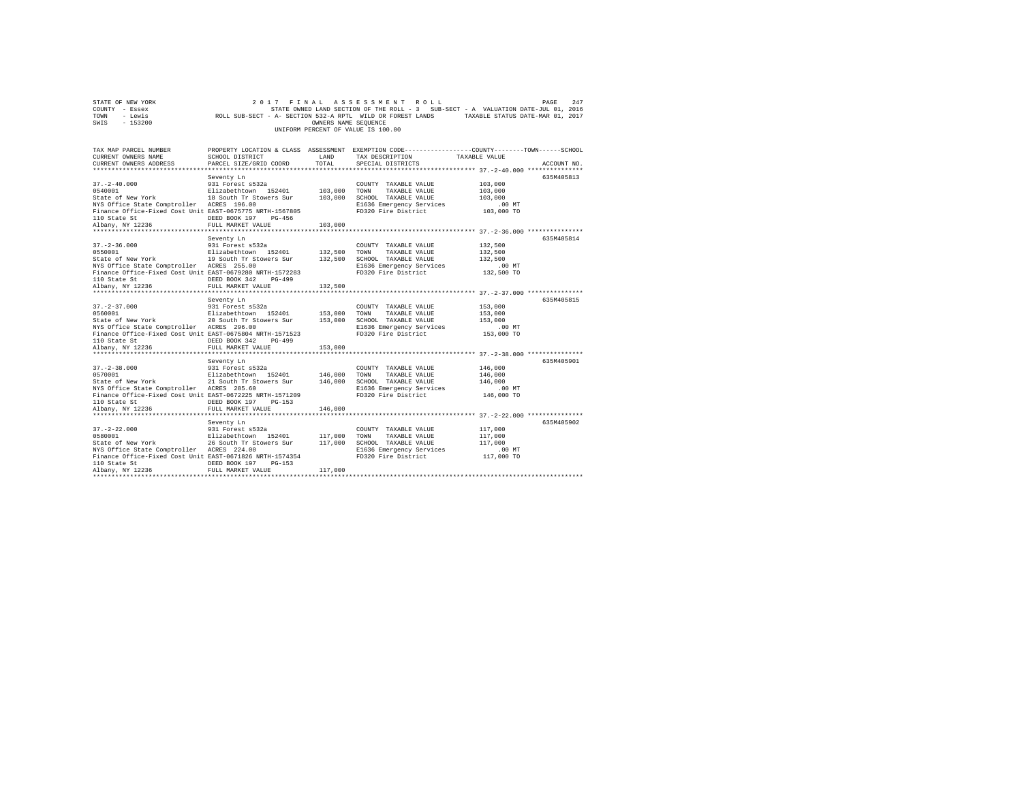|      | STATE OF NEW YORK |                                                            | 2017 FINAL ASSESSMENT ROLL         |                      |  |                                                                                   | PAGE | 247 |
|------|-------------------|------------------------------------------------------------|------------------------------------|----------------------|--|-----------------------------------------------------------------------------------|------|-----|
|      | COUNTY - Essex    |                                                            |                                    |                      |  | STATE OWNED LAND SECTION OF THE ROLL - 3 SUB-SECT - A VALUATION DATE-JUL 01, 2016 |      |     |
| TOWN | - Lewis           | ROLL SUB-SECT - A- SECTION 532-A RPTL WILD OR FOREST LANDS |                                    |                      |  | TAXABLE STATUS DATE-MAR 01, 2017                                                  |      |     |
| SWIS | - 153200          |                                                            |                                    | OWNERS NAME SEOUENCE |  |                                                                                   |      |     |
|      |                   |                                                            | UNIFORM PERCENT OF VALUE IS 100.00 |                      |  |                                                                                   |      |     |

| TAX MAP PARCEL NUMBER<br>CURRENT OWNERS NAME<br>CURRENT OWNERS ADDRESS   | SCHOOL DISTRICT<br>PARCEL SIZE/GRID COORD                                  | <b>T.AND</b><br>TOTAL | TAX DESCRIPTION<br>SPECIAL DISTRICTS          | PROPERTY LOCATION & CLASS ASSESSMENT EXEMPTION CODE----------------COUNTY-------TOWN------SCHOOL<br>TAXABLE VALUE<br>ACCOUNT NO. |
|--------------------------------------------------------------------------|----------------------------------------------------------------------------|-----------------------|-----------------------------------------------|----------------------------------------------------------------------------------------------------------------------------------|
|                                                                          |                                                                            |                       |                                               |                                                                                                                                  |
|                                                                          | Seventy Ln                                                                 |                       |                                               | 635M405813                                                                                                                       |
| $37. - 2 - 40.000$                                                       | 931 Forest s532a                                                           |                       | COUNTY TAXABLE VALUE                          | 103,000                                                                                                                          |
| 0540001                                                                  | Elizabethtown 152401 103,000<br>18 South Tr Stowers Sur 103,000            |                       | TOWN<br>TAXABLE VALUE                         | 103,000                                                                                                                          |
| State of New York                                                        |                                                                            |                       | SCHOOL TAXABLE VALUE                          | 103,000                                                                                                                          |
| NYS Office State Comptroller ACRES 196.00                                |                                                                            |                       | E1636 Emergency Services                      | .00MT                                                                                                                            |
| Finance Office-Fixed Cost Unit EAST-0675775 NRTH-1567805<br>110 State St | DEED BOOK 197<br>$PG-456$                                                  |                       | FD320 Fire District                           | 103,000 TO                                                                                                                       |
| Albany, NY 12236                                                         | FULL MARKET VALUE                                                          | 103,000               |                                               |                                                                                                                                  |
|                                                                          |                                                                            |                       |                                               |                                                                                                                                  |
|                                                                          | Seventy Ln                                                                 |                       |                                               | 635M405814                                                                                                                       |
| $37. - 2 - 36.000$                                                       | 931 Forest s532a                                                           |                       | COUNTY TAXABLE VALUE                          | 132,500                                                                                                                          |
| 0550001                                                                  | Elizabethtown 152401                                                       | 132,500 TOWN          | TAXABLE VALUE                                 | 132,500                                                                                                                          |
| State of New York 19 South Tr Stowers Sur                                |                                                                            | 132,500               | SCHOOL TAXABLE VALUE                          | 132,500                                                                                                                          |
| NYS Office State Comptroller ACRES 255.00                                |                                                                            |                       | E1636 Emergency Services                      | $.00$ MT                                                                                                                         |
| Finance Office-Fixed Cost Unit EAST-0679280 NRTH-1572283                 |                                                                            |                       | FD320 Fire District                           | 132,500 TO                                                                                                                       |
| 110 State St<br>Albany, NY 12236                                         | DEED BOOK 342<br>PG-499                                                    | 132,500               |                                               |                                                                                                                                  |
|                                                                          | FULL MARKET VALUE                                                          |                       |                                               |                                                                                                                                  |
|                                                                          | Seventy Ln                                                                 |                       |                                               | 635M405815                                                                                                                       |
| $37. - 2 - 37.000$                                                       | 931 Forest s532a                                                           |                       | COUNTY TAXABLE VALUE                          | 153,000                                                                                                                          |
| 0560001                                                                  | Elizabethtown 152401                                                       | 153,000               | TOWN<br>TAXABLE VALUE                         | 153,000                                                                                                                          |
| State of New York                                                        | 20 South Tr Stowers Sur                                                    | 153,000               | SCHOOL TAXABLE VALUE                          | 153,000                                                                                                                          |
| NYS Office State Comptroller ACRES 296.00                                |                                                                            |                       | E1636 Emergency Services                      | $.00$ MT                                                                                                                         |
| Finance Office-Fixed Cost Unit EAST-0675804 NRTH-1571523                 |                                                                            |                       | FD320 Fire District                           | 153,000 TO                                                                                                                       |
| 110 State St                                                             | DEED BOOK 342<br>$PG-499$                                                  |                       |                                               |                                                                                                                                  |
| Albany, NY 12236                                                         | FULL MARKET VALUE                                                          | 153,000               |                                               |                                                                                                                                  |
|                                                                          |                                                                            |                       |                                               | 635M405901                                                                                                                       |
| $37. - 2 - 38.000$                                                       | Seventy Ln<br>931 Forest s532a                                             |                       | COUNTY TAXABLE VALUE                          | 146,000                                                                                                                          |
| 0570001                                                                  |                                                                            | 146,000               | TOWN<br>TAXABLE VALUE                         | 146,000                                                                                                                          |
| State of New York                                                        | Elizabethtown 152401<br>21 South Tr Stowers Sur<br>21 South Tr Stowers Sur | 146,000               | SCHOOL TAXABLE VALUE                          | 146,000                                                                                                                          |
| NYS Office State Comptroller ACRES 285.60                                |                                                                            |                       | E1636 Emergency Services                      | .00MT                                                                                                                            |
| Finance Office-Fixed Cost Unit EAST-0672225 NRTH-1571209                 |                                                                            |                       | FD320 Fire District                           | 146,000 TO                                                                                                                       |
|                                                                          | DEED BOOK 197<br>$PG-153$                                                  |                       |                                               |                                                                                                                                  |
| 110 State St<br>Albany, NY 12236                                         | FULL MARKET VALUE                                                          | 146,000               |                                               |                                                                                                                                  |
|                                                                          |                                                                            |                       |                                               |                                                                                                                                  |
|                                                                          | Seventy Ln                                                                 |                       |                                               | 635M405902                                                                                                                       |
| $37. - 2 - 22.000$<br>0580001                                            | 931 Forest s532a<br>Elizabethtown 152401                                   | 117,000               | COUNTY TAXABLE VALUE<br>TOWN<br>TAXABLE VALUE | 117,000<br>117,000                                                                                                               |
| State of New York 26 South Tr Stowers Sur                                |                                                                            | 117,000               | SCHOOL TAXABLE VALUE                          | 117,000                                                                                                                          |
| NYS Office State Comptroller ACRES 224.00                                |                                                                            |                       | E1636 Emergency Services                      | $.00$ MT                                                                                                                         |
| Finance Office-Fixed Cost Unit EAST-0671826 NRTH-1574354                 |                                                                            |                       | FD320 Fire District                           | 117,000 TO                                                                                                                       |
| 110 State St                                                             | DEED BOOK 197<br>$PG-153$                                                  |                       |                                               |                                                                                                                                  |
| Albany, NY 12236                                                         | FULL MARKET VALUE                                                          | 117,000               |                                               |                                                                                                                                  |
|                                                                          |                                                                            |                       |                                               |                                                                                                                                  |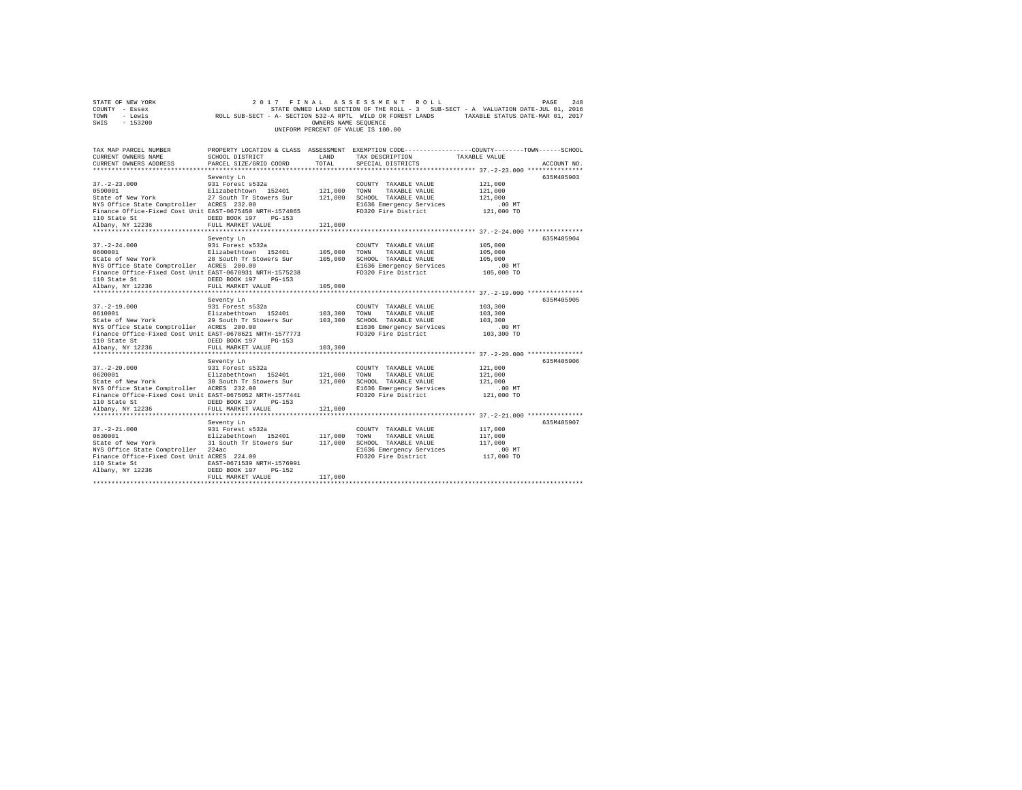|                | STATE OF NEW YORK |                                                            | 2017 FINAL ASSESSMENT ROLL         |                      |  |                                                                                   | PAGE | 2.48 |
|----------------|-------------------|------------------------------------------------------------|------------------------------------|----------------------|--|-----------------------------------------------------------------------------------|------|------|
| COUNTY - Essex |                   |                                                            |                                    |                      |  | STATE OWNED LAND SECTION OF THE ROLL - 3 SUB-SECT - A VALUATION DATE-JUL 01, 2016 |      |      |
| TOWN           | - Lewis           | ROLL SUB-SECT - A- SECTION 532-A RPTL WILD OR FOREST LANDS |                                    |                      |  | TAXABLE STATUS DATE-MAR 01, 2017                                                  |      |      |
| SWIS           | - 153200          |                                                            |                                    | OWNERS NAME SEOUENCE |  |                                                                                   |      |      |
|                |                   |                                                            | UNIFORM PERCENT OF VALUE IS 100.00 |                      |  |                                                                                   |      |      |

| TAX MAP PARCEL NUMBER<br>CURRENT OWNERS NAME<br>CURRENT OWNERS ADDRESS | SCHOOL DISTRICT<br>PARCEL SIZE/GRID COORD       | LAND<br>TOTAL      | PROPERTY LOCATION & CLASS ASSESSMENT EXEMPTION CODE---------------COUNTY-------TOWN-----SCHOOL<br>TAX DESCRIPTION<br>SPECIAL DISTRICTS | TAXABLE VALUE                              | ACCOUNT NO. |
|------------------------------------------------------------------------|-------------------------------------------------|--------------------|----------------------------------------------------------------------------------------------------------------------------------------|--------------------------------------------|-------------|
|                                                                        |                                                 |                    |                                                                                                                                        |                                            |             |
|                                                                        | Seventy Ln                                      |                    |                                                                                                                                        |                                            | 635M405903  |
| $37. - 2 - 23.000$                                                     | 931 Forest s532a                                |                    | COUNTY TAXABLE VALUE                                                                                                                   | 121,000                                    |             |
| 0590001<br>State of New York                                           | Elizabethtown 152401<br>27 South Tr Stowers Sur | 121,000<br>121,000 | TOWN<br>TAXABLE VALUE<br>SCHOOL TAXABLE VALUE                                                                                          | 121,000<br>121,000                         |             |
| NYS Office State Comptroller ACRES 232.00                              |                                                 |                    | E1636 Emergency Services                                                                                                               | $.00$ MT                                   |             |
| Finance Office-Fixed Cost Unit EAST-0675450 NRTH-1574865               |                                                 |                    | FD320 Fire District                                                                                                                    | 121,000 TO                                 |             |
| 110 State St                                                           | DEED BOOK 197<br>$PG-153$                       |                    |                                                                                                                                        |                                            |             |
| Albany, NY 12236                                                       | FULL MARKET VALUE                               | 121,000            |                                                                                                                                        |                                            |             |
|                                                                        |                                                 |                    |                                                                                                                                        |                                            |             |
|                                                                        | Seventy Ln                                      |                    |                                                                                                                                        |                                            | 635M405904  |
| $37. - 2 - 24.000$<br>0600001                                          | 931 Forest s532a                                |                    | COUNTY TAXABLE VALUE                                                                                                                   | 105,000                                    |             |
| State of New York                                                      | Elizabethtown 152401<br>28 South Tr Stowers Sur | 105,000<br>105,000 | TOWN<br>TAXABLE VALUE<br>SCHOOL TAXABLE VALUE                                                                                          | 105,000<br>105,000                         |             |
| NYS Office State Comptroller ACRES 200.00                              |                                                 |                    | E1636 Emergency Services                                                                                                               | $.00$ MT                                   |             |
| Finance Office-Fixed Cost Unit EAST-0678931 NRTH-1575238               |                                                 |                    | FD320 Fire District                                                                                                                    | 105,000 TO                                 |             |
| 110 State St                                                           | DEED BOOK 197<br>PG-153                         |                    |                                                                                                                                        |                                            |             |
| Albany, NY 12236                                                       | FULL MARKET VALUE                               | 105,000            |                                                                                                                                        |                                            |             |
|                                                                        |                                                 |                    |                                                                                                                                        |                                            |             |
|                                                                        | Seventy Ln                                      |                    |                                                                                                                                        |                                            | 635M405905  |
| $37. - 2 - 19.000$                                                     | 931 Forest s532a<br>Elizabethtown 152401        |                    | COUNTY TAXABLE VALUE                                                                                                                   | 103,300                                    |             |
| 0610001<br>State of New York                                           | 29 South Tr Stowers Sur                         | 103,300<br>103,300 | TOWN<br>TAXABLE VALUE<br>SCHOOL TAXABLE VALUE                                                                                          | 103,300<br>103,300                         |             |
| NYS Office State Comptroller ACRES 200.00                              |                                                 |                    | E1636 Emergency Services                                                                                                               | $.00$ MT                                   |             |
| Finance Office-Fixed Cost Unit EAST-0678621 NRTH-1577773               |                                                 |                    | FD320 Fire District                                                                                                                    | 103,300 TO                                 |             |
| 110 State St                                                           | DEED BOOK 197<br>$PG-153$                       |                    |                                                                                                                                        |                                            |             |
| Albany, NY 12236                                                       | FULL MARKET VALUE                               | 103,300            |                                                                                                                                        |                                            |             |
|                                                                        |                                                 |                    |                                                                                                                                        |                                            |             |
|                                                                        | Seventy Ln                                      |                    |                                                                                                                                        |                                            | 635M405906  |
| $37. - 2 - 20.000$<br>0620001                                          | 931 Forest s532a<br>Elizabethtown 152401        | 121,000            | COUNTY TAXABLE VALUE<br>TOWN<br>TAXABLE VALUE                                                                                          | 121,000<br>121,000                         |             |
| State of New York                                                      | 30 South Tr Stowers Sur                         | 121,000            | SCHOOL TAXABLE VALUE                                                                                                                   | 121,000                                    |             |
| NYS Office State Comptroller ACRES 232.00                              |                                                 |                    | E1636 Emergency Services                                                                                                               | .00 MT                                     |             |
| Finance Office-Fixed Cost Unit EAST-0675052 NRTH-1577441               |                                                 |                    | FD320 Fire District                                                                                                                    | 121,000 TO                                 |             |
| 110 State St                                                           | DEED BOOK 197<br>$PG-153$                       |                    |                                                                                                                                        |                                            |             |
| Albany, NY 12236                                                       | FULL MARKET VALUE                               | 121,000            |                                                                                                                                        |                                            |             |
|                                                                        | *********************                           |                    |                                                                                                                                        | *************** 37.-2-21.000 ************* |             |
| $37. - 2 - 21.000$                                                     | Seventy Ln<br>931 Forest s532a                  |                    |                                                                                                                                        |                                            | 635M405907  |
| 0630001                                                                | Elizabethtown 152401                            | 117,000            | COUNTY TAXABLE VALUE<br>TOWN<br>TAXABLE VALUE                                                                                          | 117,000<br>117,000                         |             |
| State of New York                                                      | 31 South Tr Stowers Sur                         | 117,000            | SCHOOL TAXABLE VALUE                                                                                                                   | 117,000                                    |             |
| NYS Office State Comptroller 224ac                                     |                                                 |                    | E1636 Emergency Services                                                                                                               | $.00$ MT                                   |             |
| Finance Office-Fixed Cost Unit ACRES 224.00                            |                                                 |                    | FD320 Fire District                                                                                                                    | 117,000 TO                                 |             |
| 110 State St                                                           | EAST-0671539 NRTH-1576991                       |                    |                                                                                                                                        |                                            |             |
| Albany, NY 12236                                                       | DEED BOOK 197<br>$PG-152$                       |                    |                                                                                                                                        |                                            |             |
|                                                                        | FULL MARKET VALUE                               | 117,000            |                                                                                                                                        |                                            |             |
|                                                                        |                                                 |                    |                                                                                                                                        |                                            |             |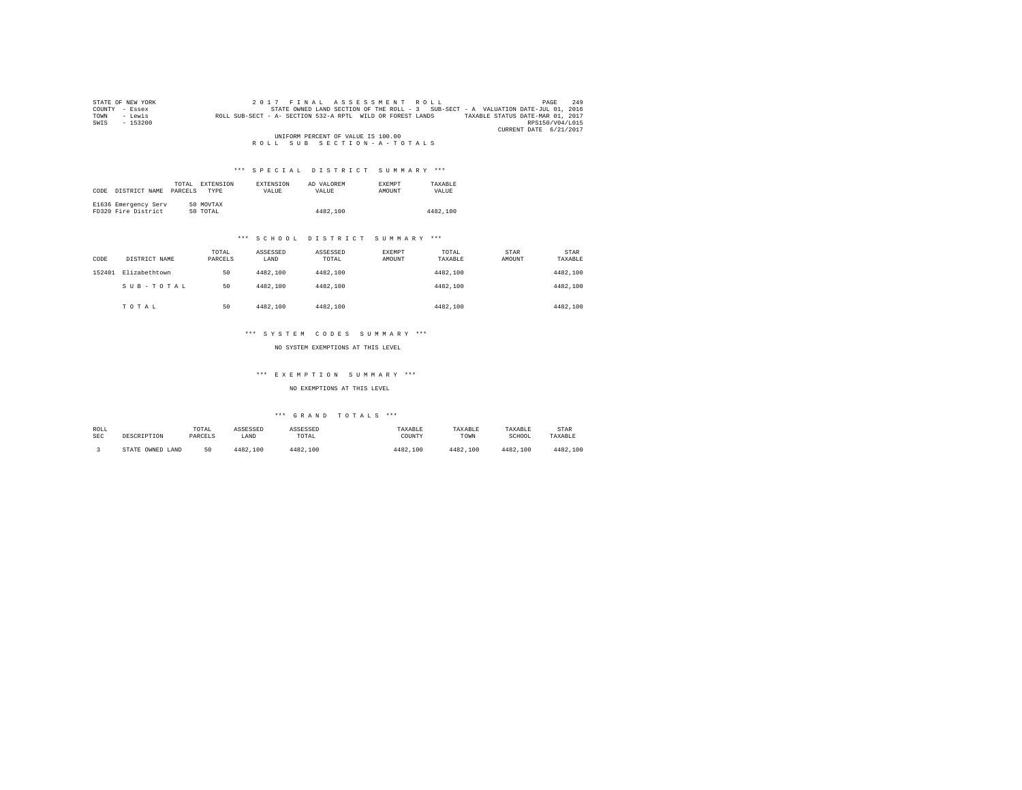|      | STATE OF NEW YORK | 2017 FINAL ASSESSMENT ROLL                                                                     | 249<br>PAGE     |
|------|-------------------|------------------------------------------------------------------------------------------------|-----------------|
|      | COUNTY - Essex    | STATE OWNED LAND SECTION OF THE ROLL - 3 SUB-SECT - A VALUATION DATE-JUL 01, 2016              |                 |
| TOWN | - Lewis           | ROLL SUB-SECT - A- SECTION 532-A RPTL WILD OR FOREST LANDS<br>TAXABLE STATUS DATE-MAR 01, 2017 |                 |
| SWIS | $-153200$         |                                                                                                | RPS150/V04/L015 |
|      |                   | CURRENT DATE 6/21/2017                                                                         |                 |
|      |                   | UNIFORM PERCENT OF VALUE IS 100.00                                                             |                 |
|      |                   | ROLL SUB SECTION-A-TOTALS                                                                      |                 |

# \*\*\* S P E C I A L D I S T R I C T S U M M A R Y \*\*\*

|      |                      | ТОТАІ.  | <b>EXTENSION</b> | <b>EXTENSION</b> | AD VALOREM | <b>EXEMPT</b> | TAXARLE  |
|------|----------------------|---------|------------------|------------------|------------|---------------|----------|
| CODE | DISTRICT NAME        | PARCELS | TYPE             | <b>VALUE</b>     | VALUE.     | AMOUNT        | VALUE    |
|      |                      |         |                  |                  |            |               |          |
|      | E1636 Emergency Serv |         | 50 MOVTAX        |                  |            |               |          |
|      | FD320 Fire District  |         | 50 TOTAL         |                  | 4482.100   |               | 4482,100 |

## \*\*\* S C H O O L D I S T R I C T S U M M A R Y \*\*\*

| CODE   | DISTRICT NAME | TOTAL<br>PARCELS | ASSESSED<br>LAND | ASSESSED<br>TOTAL | EXEMPT<br>AMOUNT | TOTAL<br>TAXABLE | STAR<br>AMOUNT | <b>STAR</b><br>TAXABLE |  |
|--------|---------------|------------------|------------------|-------------------|------------------|------------------|----------------|------------------------|--|
| 152401 | Elizabethtown | 50               | 4482.100         | 4482.100          |                  | 4482,100         |                | 4482,100               |  |
|        | SUB-TOTAL     | 50               | 4482.100         | 4482.100          |                  | 4482.100         |                | 4482,100               |  |
|        | TOTAL         | 50               | 4482,100         | 4482.100          |                  | 4482.100         |                | 4482,100               |  |

## \*\*\* S Y S T E M C O D E S S U M M A R Y \*\*\*

NO SYSTEM EXEMPTIONS AT THIS LEVEL

## \*\*\* E X E M P T I O N S U M M A R Y \*\*\*

NO EXEMPTIONS AT THIS LEVEL

| ROLL       | DESCRIPTION      | TOTAL   | ASSESSED | ASSESSED | TAXABLE  | TAXABLE  | TAXABLE  | STAR     |
|------------|------------------|---------|----------|----------|----------|----------|----------|----------|
| <b>SEC</b> |                  | PARCELS | LAND     | TOTAL    | COUNTY   | TOWN     | SCHOOL   | TAXABLE  |
|            | STATE OWNED LAND | 50      | 4482.100 | 4482.100 | 4482.100 | 4482.100 | 4482,100 | 4482.100 |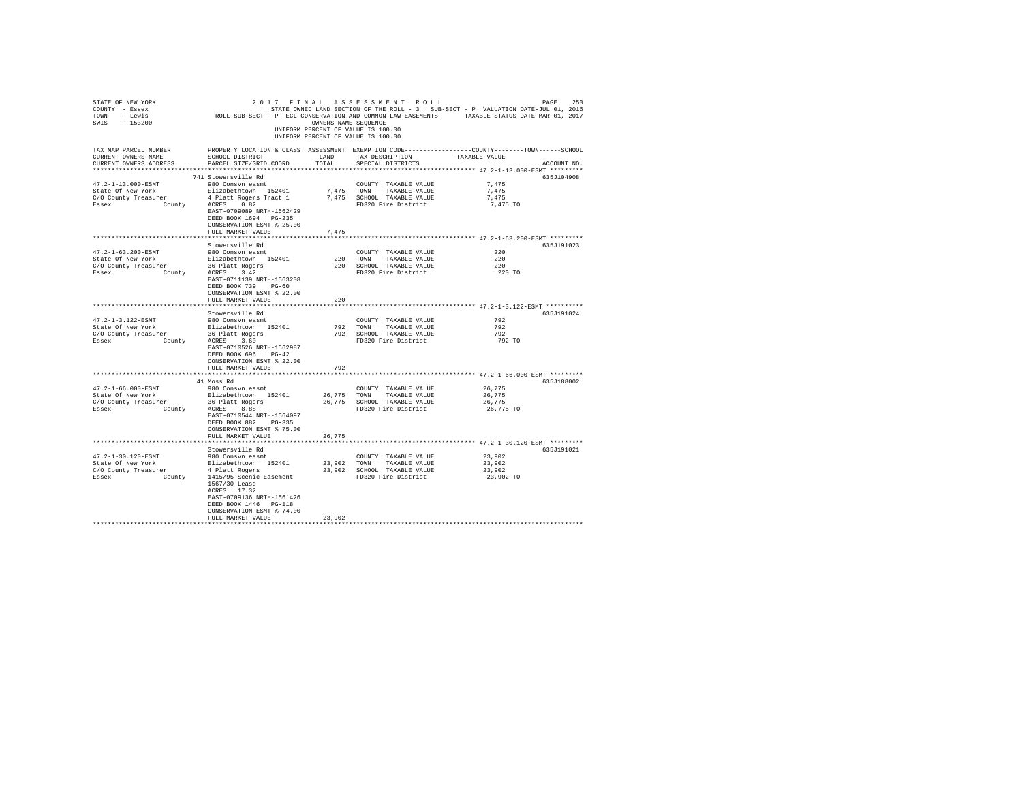| STATE OF NEW YORK<br>COUNTY - Essex<br>TOWN - Lewis<br>SWIS - 153200                                       |                                                                                                                                                                                                                                    | OWNERS NAME SEQUENCE | 2017 FINAL ASSESSMENT ROLL<br>UNIFORM PERCENT OF VALUE IS 100.00<br>UNIFORM PERCENT OF VALUE IS 100.00  | 250<br>PAGE<br>STATE OWNED LAND SECTION OF THE ROLL - 3 SUB-SECT - P VALUATION DATE-JUL 01, 2016<br>ROLL SUB-SECT - P- ECL CONSERVATION AND COMMON LAW EASEMENTS TAXABLE STATUS DATE-MAR 01, 2017 |
|------------------------------------------------------------------------------------------------------------|------------------------------------------------------------------------------------------------------------------------------------------------------------------------------------------------------------------------------------|----------------------|---------------------------------------------------------------------------------------------------------|---------------------------------------------------------------------------------------------------------------------------------------------------------------------------------------------------|
| TAX MAP PARCEL NUMBER<br>CURRENT OWNERS NAME<br>CURRENT OWNERS ADDRESS                                     | SCHOOL DISTRICT<br>PARCEL SIZE/GRID COORD                                                                                                                                                                                          | LAND<br>TOTAL        | TAX DESCRIPTION<br>SPECIAL DISTRICTS                                                                    | PROPERTY LOCATION & CLASS ASSESSMENT EXEMPTION CODE----------------COUNTY-------TOWN------SCHOOL<br>TAXABLE VALUE<br>ACCOUNT NO.                                                                  |
| 47.2-1-13.000-ESMT<br>State Of New York<br>C/O County Treasurer<br>County<br>Essex                         | 741 Stowersville Rd<br>980 Consvn easmt<br>Elizabethtown 152401<br>4 Platt Rogers Tract 1<br>ACRES 0.82<br>EAST-0709089 NRTH-1562429<br>DEED BOOK 1694 PG-235<br>CONSERVATION ESMT % 25.00<br>FULL MARKET VALUE                    | 7,475                | COUNTY TAXABLE VALUE<br>7,475 TOWN TAXABLE VALUE<br>7,475 SCHOOL TAXABLE VALUE<br>FD320 Fire District   | 635J104908<br>7.475<br>7.475<br>7,475<br>7,475 TO                                                                                                                                                 |
|                                                                                                            |                                                                                                                                                                                                                                    |                      |                                                                                                         | ****************************** 47.2-1-63.200-ESMT *********                                                                                                                                       |
| 47.2-1-63.200-ESMT<br>State Of New York<br>C/O County Treasurer 36 Platt Rogers<br>Essex County ACRES 3.42 | Stowersville Rd<br>980 Consvn easmt<br>Elizabethtown 152401<br>EAST-0711139 NRTH-1563208<br>DEED BOOK 739 PG-60<br>CONSERVATION ESMT % 22.00<br>FULL MARKET VALUE                                                                  | 220                  | COUNTY TAXABLE VALUE<br>220 TOWN TAXABLE VALUE<br>220 SCHOOL TAXABLE VALUE<br>FD320 Fire District       | 635J191023<br>220<br>220<br>220<br>220 TO                                                                                                                                                         |
|                                                                                                            | *******************                                                                                                                                                                                                                | *******************  |                                                                                                         | ******************************* 47.2-1-3.122-ESMT **********                                                                                                                                      |
|                                                                                                            |                                                                                                                                                                                                                                    |                      |                                                                                                         |                                                                                                                                                                                                   |
| 47.2-1-3.122-ESMT<br>State Of New York<br>C/O County Treasurer<br>Essex                                    | Stowersville Rd<br>980 Consvn easmt<br>Elizabethtown 152401<br>surer 36 Platt Rogers<br>County ACRES 3.60<br>EAST-0710526 NRTH-1562987<br>DEED BOOK 696 PG-42<br>CONSERVATION ESMT % 22.00<br>FULL MARKET VALUE                    | 792                  | COUNTY TAXABLE VALUE<br>792 TOWN TAXABLE VALUE<br>792 SCHOOL TAXABLE VALUE<br>FD320 Fire District       | 635J191024<br>792<br>792<br>792<br>792 TO                                                                                                                                                         |
|                                                                                                            |                                                                                                                                                                                                                                    |                      |                                                                                                         | ************** 47.2-1-66.000-ESMT *********                                                                                                                                                       |
| $47.2 - 1 - 66.000 - ESMT$<br>State Of New York<br>C/O County Treasurer<br>County<br>Essex                 | 41 Moss Rd<br>980 Consvn easmt<br>Elizabethtown 152401<br>36 Platt Rogers<br>ACRES 8.88<br>EAST-0710544 NRTH-1564097<br>DEED BOOK 882 PG-335<br>CONSERVATION ESMT % 75.00                                                          |                      | COUNTY TAXABLE VALUE<br>26,775 TOWN TAXABLE VALUE<br>26,775 SCHOOL TAXABLE VALUE<br>FD320 Fire District | 635J188002<br>26,775<br>26,775<br>26,775<br>26,775 TO                                                                                                                                             |
|                                                                                                            | FULL MARKET VALUE                                                                                                                                                                                                                  | 26.775               |                                                                                                         |                                                                                                                                                                                                   |
|                                                                                                            |                                                                                                                                                                                                                                    |                      |                                                                                                         |                                                                                                                                                                                                   |
| 47.2-1-30.120-ESMT<br>State Of New York<br>C/O County Treasurer<br>Essex                                   | Stowersville Rd<br>980 Consyn easmt<br>Elizabethtown 152401<br>4 Platt Rogers<br>County 1415/95 Scenic Easement<br>1567/30 Lease<br>ACRES 17.32<br>EAST-0709136 NRTH-1561426<br>DEED BOOK 1446 PG-118<br>CONSERVATION ESMT % 74.00 |                      | COUNTY TAXABLE VALUE<br>23,902 TOWN TAXABLE VALUE<br>23,902 SCHOOL TAXABLE VALUE<br>FD320 Fire District | 635J191021<br>23,902<br>23,902<br>23,902<br>23,902 TO                                                                                                                                             |
|                                                                                                            | FULL MARKET VALUE                                                                                                                                                                                                                  | 23,902               |                                                                                                         |                                                                                                                                                                                                   |
|                                                                                                            |                                                                                                                                                                                                                                    |                      |                                                                                                         |                                                                                                                                                                                                   |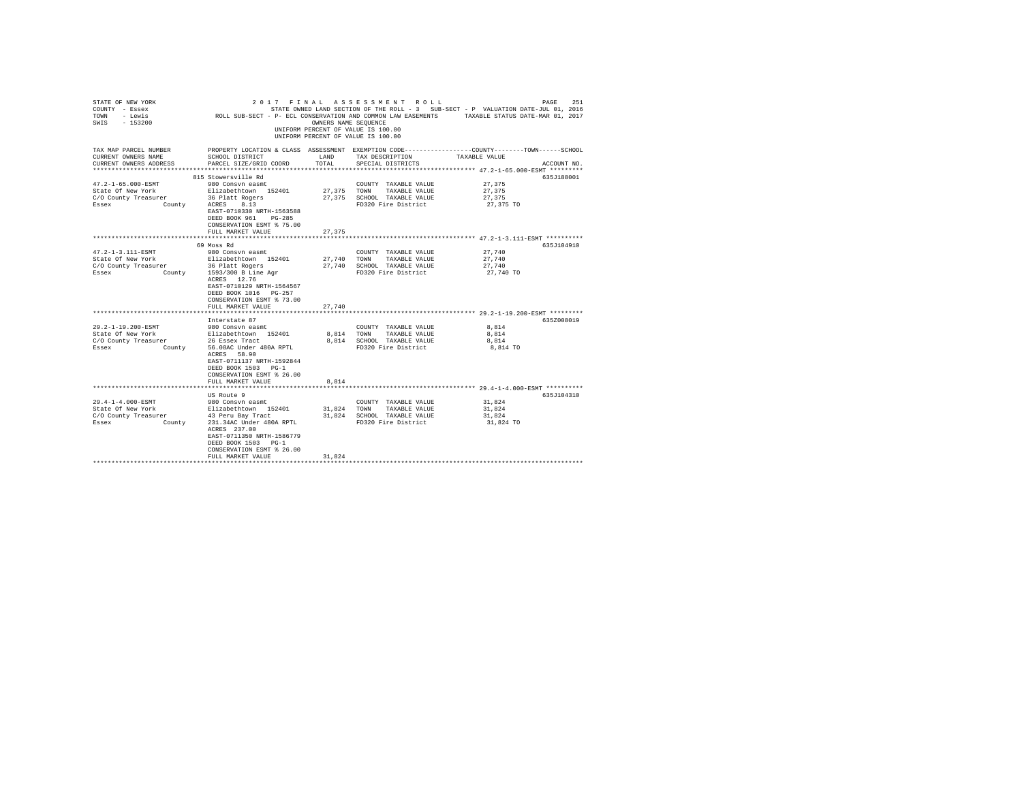| STATE OF NEW YORK<br>COUNTY - Essex<br>TOWN - Lewis<br>SWIS - 153200             |                                                                                                | OWNERS NAME SEQUENCE | 2017 FINAL ASSESSMENT ROLL<br>UNIFORM PERCENT OF VALUE IS 100.00<br>UNIFORM PERCENT OF VALUE IS 100.00 | PAGE<br>251<br>STATE OWNED LAND SECTION OF THE ROLL - 3 SUB-SECT - P VALUATION DATE-JUL 01, 2016<br>COMMON SALL SUB-SECT - P- ECL CONSERVATION AND COMMON LAW EASEMENTS TRANSLE STATUS DATE-MAR 01, 2017 |
|----------------------------------------------------------------------------------|------------------------------------------------------------------------------------------------|----------------------|--------------------------------------------------------------------------------------------------------|----------------------------------------------------------------------------------------------------------------------------------------------------------------------------------------------------------|
| TAX MAP PARCEL NUMBER<br>CURRENT OWNERS NAME                                     | SCHOOL DISTRICT                                                                                | LAND                 | TAX DESCRIPTION                                                                                        | PROPERTY LOCATION & CLASS ASSESSMENT EXEMPTION CODE----------------COUNTY-------TOWN-----SCHOOL<br>TAXABLE VALUE                                                                                         |
| CURRENT OWNERS ADDRESS                                                           | PARCEL SIZE/GRID COORD                                                                         | TOTAL                | SPECIAL DISTRICTS                                                                                      | ACCOUNT NO.                                                                                                                                                                                              |
|                                                                                  | 815 Stowersville Rd                                                                            |                      |                                                                                                        | 635J188001                                                                                                                                                                                               |
| 47.2-1-65.000-ESMT                                                               | 980 Consvn easmt                                                                               |                      | COUNTY TAXABLE VALUE                                                                                   | 27.375                                                                                                                                                                                                   |
| State Of New York                                                                | Elizabethtown 152401                                                                           |                      | 27,375 TOWN TAXABLE VALUE                                                                              | 27.375                                                                                                                                                                                                   |
| C/O County Treasurer 36 Platt Rogers                                             |                                                                                                |                      | 27,375 SCHOOL TAXABLE VALUE                                                                            | 27.375                                                                                                                                                                                                   |
| Essex                                                                            | County ACRES 8.13                                                                              |                      | FD320 Fire District                                                                                    | 27,375 TO                                                                                                                                                                                                |
|                                                                                  | EAST-0710330 NRTH-1563588                                                                      |                      |                                                                                                        |                                                                                                                                                                                                          |
|                                                                                  | DEED BOOK 961<br>PG-285                                                                        |                      |                                                                                                        |                                                                                                                                                                                                          |
|                                                                                  | CONSERVATION ESMT % 75.00                                                                      |                      |                                                                                                        |                                                                                                                                                                                                          |
|                                                                                  | FULL MARKET VALUE                                                                              | 27,375               |                                                                                                        |                                                                                                                                                                                                          |
|                                                                                  |                                                                                                |                      |                                                                                                        |                                                                                                                                                                                                          |
|                                                                                  | 69 Moss Rd                                                                                     |                      |                                                                                                        | 635J104910                                                                                                                                                                                               |
| 47.2-1-3.111-ESMT                                                                | 980 Consyn easmt                                                                               |                      | COUNTY TAXABLE VALUE                                                                                   | 27.740                                                                                                                                                                                                   |
| State Of New York                                                                | Elizabethtown 152401                                                                           |                      | 27.740 TOWN TAXABLE VALUE                                                                              | 27,740                                                                                                                                                                                                   |
| C/O County Treasurer 36 Platt Rogers<br>Essex County 1593/300 B Line Agr         |                                                                                                |                      | 27,740 SCHOOL TAXABLE VALUE                                                                            | 27,740                                                                                                                                                                                                   |
|                                                                                  |                                                                                                |                      | FD320 Fire District                                                                                    | 27,740 TO                                                                                                                                                                                                |
|                                                                                  | ACRES 12.76<br>EAST-0710129 NRTH-1564567<br>DEED BOOK 1016 PG-257<br>CONSERVATION ESMT % 73.00 |                      |                                                                                                        |                                                                                                                                                                                                          |
|                                                                                  | FULL MARKET VALUE                                                                              | 27.740               |                                                                                                        |                                                                                                                                                                                                          |
|                                                                                  | **************************                                                                     |                      |                                                                                                        | ********************************* 29.2-1-19.200-ESMT *********                                                                                                                                           |
|                                                                                  | Interstate 87                                                                                  |                      |                                                                                                        | 635Z008019                                                                                                                                                                                               |
| 29.2-1-19.200-ESMT                                                               | 980 Consvn easmt                                                                               |                      | COUNTY TAXABLE VALUE                                                                                   | 8.814                                                                                                                                                                                                    |
| State Of New York                                                                | Elizabethtown 152401                                                                           |                      | 8,814 TOWN TAXABLE VALUE                                                                               | 8,814                                                                                                                                                                                                    |
| C/O County Treasurer 26 Essex Tract<br>Essex County 56.08AC Under 480A RPTL      |                                                                                                |                      | 8,814 SCHOOL TAXABLE VALUE                                                                             | 8,814                                                                                                                                                                                                    |
|                                                                                  | ACRES 58.90<br>EAST-0711137 NRTH-1592844<br>DEED BOOK 1503 PG-1                                |                      | FD320 Fire District                                                                                    | 8,814 TO                                                                                                                                                                                                 |
|                                                                                  | CONSERVATION ESMT % 26.00                                                                      |                      |                                                                                                        |                                                                                                                                                                                                          |
|                                                                                  | FULL MARKET VALUE                                                                              | 8.814                |                                                                                                        |                                                                                                                                                                                                          |
|                                                                                  |                                                                                                |                      |                                                                                                        |                                                                                                                                                                                                          |
|                                                                                  | US Route 9                                                                                     |                      |                                                                                                        | 635J104310                                                                                                                                                                                               |
| 29.4-1-4.000-ESMT                                                                | 980 Consvn easmt                                                                               |                      | COUNTY TAXABLE VALUE                                                                                   | 31,824                                                                                                                                                                                                   |
|                                                                                  |                                                                                                |                      | 31,824 TOWN TAXABLE VALUE                                                                              | 31,824                                                                                                                                                                                                   |
| State Of New York Blizabethtown 152401<br>C/O County Treasurer 43 Peru Bay Tract |                                                                                                |                      | 31,824 SCHOOL TAXABLE VALUE                                                                            | 31,824                                                                                                                                                                                                   |
| County<br>Essex                                                                  | 231.34AC Under 480A RPTL<br>ACRES 237.00<br>EAST-0711350 NRTH-1586779<br>DEED BOOK 1503 PG-1   |                      | FD320 Fire District                                                                                    | 31,824 TO                                                                                                                                                                                                |
|                                                                                  | CONSERVATION ESMT % 26.00                                                                      |                      |                                                                                                        |                                                                                                                                                                                                          |
|                                                                                  | FULL MARKET VALUE                                                                              | 31,824               |                                                                                                        |                                                                                                                                                                                                          |
|                                                                                  |                                                                                                |                      |                                                                                                        |                                                                                                                                                                                                          |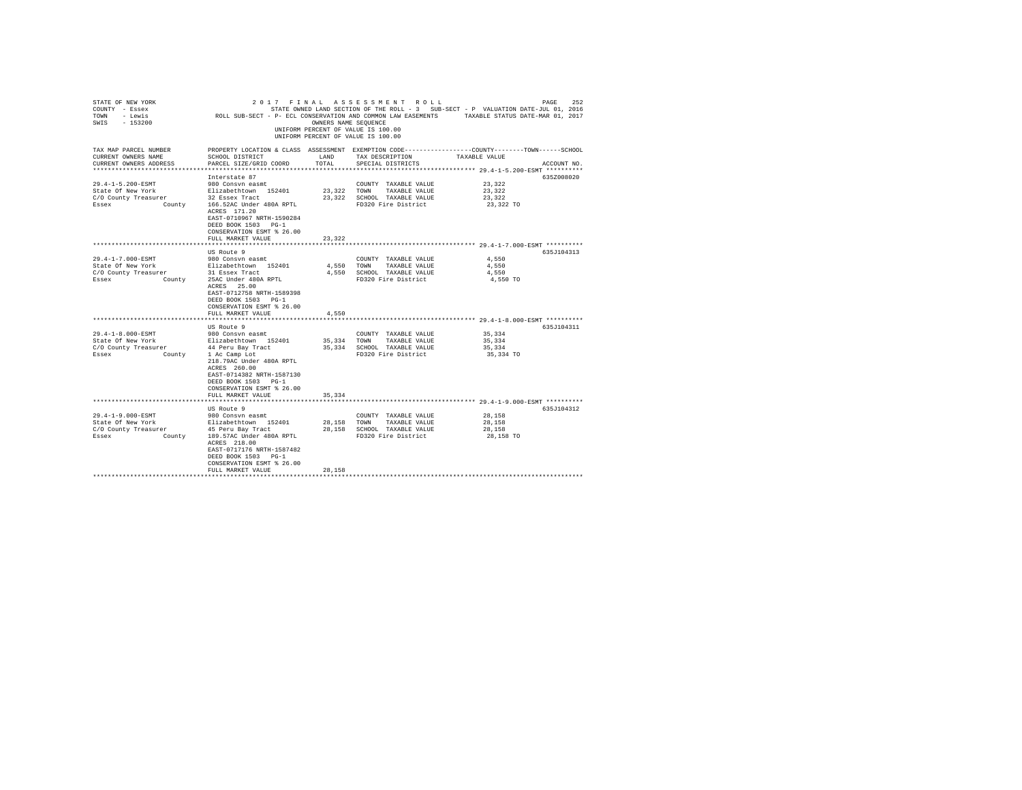| STATE OF NEW YORK<br>COUNTY - Essex<br>TOWN - Lewis<br>SWIS - 153200   | ROLL SUB-SECT - P- ECL CONSERVATION AND COMMON LAW EASEMENTS TAXABLE STATUS DATE-MAR 01, 2017                                                     |               | 2017 FINAL ASSESSMENT ROLL<br>STATE OWNED LAND SECTION OF THE ROLL - 3 SUB-SECT - P VALUATION DATE-JUL 01, 2016<br>OWNERS NAME SEOUENCE<br>UNIFORM PERCENT OF VALUE IS 100.00<br>UNIFORM PERCENT OF VALUE IS 100.00 |                  | 252<br>PAGE |
|------------------------------------------------------------------------|---------------------------------------------------------------------------------------------------------------------------------------------------|---------------|---------------------------------------------------------------------------------------------------------------------------------------------------------------------------------------------------------------------|------------------|-------------|
| TAX MAP PARCEL NUMBER<br>CURRENT OWNERS NAME<br>CURRENT OWNERS ADDRESS | PROPERTY LOCATION & CLASS ASSESSMENT EXEMPTION CODE---------------COUNTY-------TOWN-----SCHOOL<br>SCHOOL DISTRICT<br>PARCEL SIZE/GRID COORD       | LAND<br>TOTAL | TAX DESCRIPTION<br>SPECIAL DISTRICTS                                                                                                                                                                                | TAXABLE VALUE    | ACCOUNT NO. |
|                                                                        |                                                                                                                                                   |               |                                                                                                                                                                                                                     |                  |             |
|                                                                        | Interstate 87                                                                                                                                     |               |                                                                                                                                                                                                                     |                  | 635Z008020  |
| 29.4-1-5.200-ESMT                                                      | 980 Consvn easmt                                                                                                                                  |               | COUNTY TAXABLE VALUE                                                                                                                                                                                                | 23.322           |             |
| State Of New York                                                      | Elizabethtown 152401<br>32 Essex Tract                                                                                                            | 23,322 TOWN   | TAXABLE VALUE                                                                                                                                                                                                       | 23.322<br>23.322 |             |
| C/O County Treasurer<br>Essex                                          | County 166.52AC Under 480A RPTL<br>ACRES 171.20<br>EAST-0710967 NRTH-1590284<br>DEED BOOK 1503 PG-1                                               |               | 23,322 SCHOOL TAXABLE VALUE<br>FD320 Fire District                                                                                                                                                                  | 23,322 TO        |             |
|                                                                        | CONSERVATION ESMT % 26.00                                                                                                                         |               |                                                                                                                                                                                                                     |                  |             |
|                                                                        | FULL MARKET VALUE                                                                                                                                 | 23,322        |                                                                                                                                                                                                                     |                  |             |
|                                                                        |                                                                                                                                                   |               |                                                                                                                                                                                                                     |                  |             |
| 29.4-1-7.000-ESMT                                                      | US Route 9<br>980 Consvn easmt                                                                                                                    |               | COUNTY TAXABLE VALUE                                                                                                                                                                                                | 4.550            | 635.7104313 |
| State Of New York                                                      | Elizabethtown 152401                                                                                                                              | 4,550 TOWN    | TAXABLE VALUE                                                                                                                                                                                                       | 4.550            |             |
| C/O County Treasurer                                                   |                                                                                                                                                   |               | 4,550 SCHOOL TAXABLE VALUE                                                                                                                                                                                          | 4.550            |             |
| Essex                                                                  | ACRES 25.00<br>EAST-0712758 NRTH-1589398<br>DEED BOOK 1503 PG-1                                                                                   |               | FD320 Fire District                                                                                                                                                                                                 | 4,550 TO         |             |
|                                                                        | CONSERVATION ESMT % 26.00<br>FULL MARKET VALUE                                                                                                    | 4.550         |                                                                                                                                                                                                                     |                  |             |
|                                                                        |                                                                                                                                                   |               |                                                                                                                                                                                                                     |                  |             |
|                                                                        | US Route 9                                                                                                                                        |               |                                                                                                                                                                                                                     |                  | 635J104311  |
| 29.4-1-8.000-ESMT                                                      | 980 Consvn easmt                                                                                                                                  |               | COUNTY TAXABLE VALUE                                                                                                                                                                                                | 35,334           |             |
| State Of New York                                                      | Elizabethtown 152401                                                                                                                              |               | 35,334 TOWN TAXABLE VALUE                                                                                                                                                                                           | 35,334           |             |
| C/O County Treasurer                                                   | 44 Peru Bay Tract                                                                                                                                 |               | 35,334 SCHOOL TAXABLE VALUE                                                                                                                                                                                         | 35,334           |             |
| Essex                                                                  | County 1 Ac Camp Lot<br>218.79AC Under 480A RPTL<br>ACRES 260.00<br>EAST-0714382 NRTH-1587130<br>DEED BOOK 1503 PG-1<br>CONSERVATION ESMT % 26.00 |               | FD320 Fire District                                                                                                                                                                                                 | 35,334 TO        |             |
|                                                                        | FULL MARKET VALUE                                                                                                                                 | 35,334        |                                                                                                                                                                                                                     |                  |             |
|                                                                        |                                                                                                                                                   |               |                                                                                                                                                                                                                     |                  |             |
| 29.4-1-9.000-ESMT                                                      | US Route 9<br>980 Consvn easmt                                                                                                                    |               | COUNTY TAXABLE VALUE                                                                                                                                                                                                | 28,158           | 635J104312  |
| State Of New York                                                      | Elizabethtown 152401                                                                                                                              |               | 28,158 TOWN TAXABLE VALUE                                                                                                                                                                                           | 28,158           |             |
| C/O County Treasurer                                                   | 45 Peru Bay Tract                                                                                                                                 |               | 28.158 SCHOOL TAXABLE VALUE                                                                                                                                                                                         | 28,158           |             |
| Essex                                                                  | County 189.57AC Under 480A RPTL<br>ACRES 218.00<br>EAST-0717176 NRTH-1587482<br>DEED BOOK 1503 PG-1<br>CONSERVATION ESMT % 26.00                  |               | FD320 Fire District                                                                                                                                                                                                 | 28,158 TO        |             |
|                                                                        | FULL MARKET VALUE                                                                                                                                 | 28,158        |                                                                                                                                                                                                                     |                  |             |
|                                                                        |                                                                                                                                                   |               |                                                                                                                                                                                                                     |                  |             |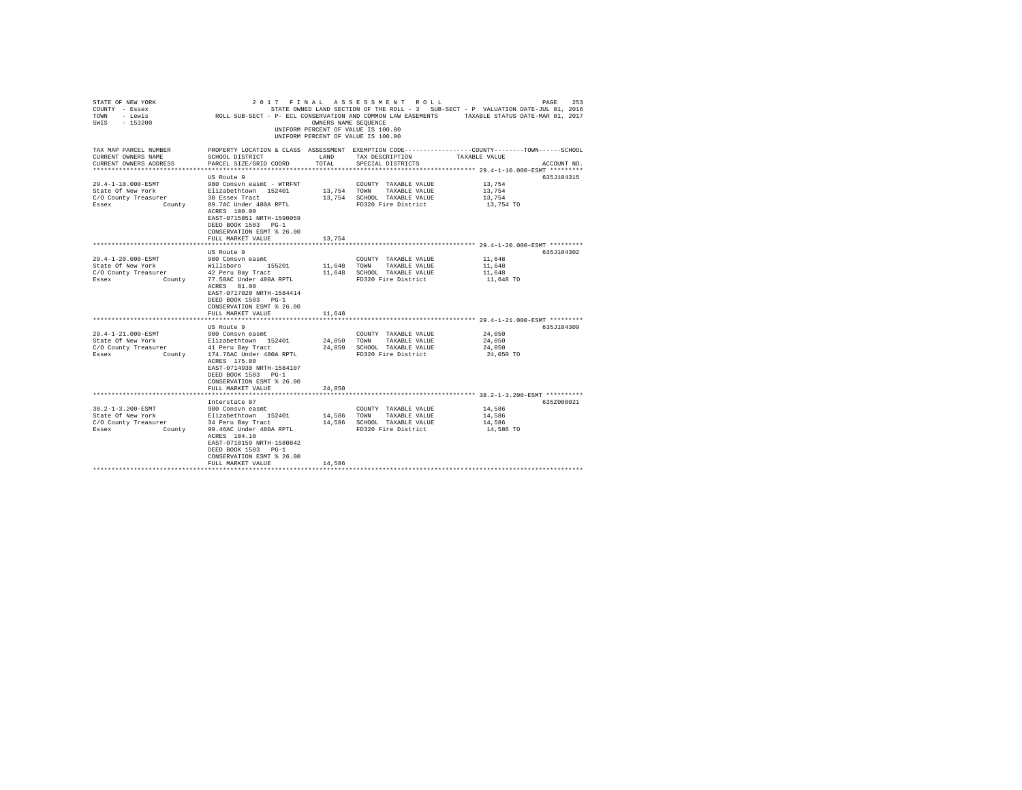| STATE OF NEW YORK<br>COUNTY - Essex<br>TOWN - Lewis<br>SWIS - 153200 |                                                                                                                           | OWNERS NAME SEQUENCE | 2017 FINAL ASSESSMENT ROLL<br>UNIFORM PERCENT OF VALUE IS 100.00<br>UNIFORM PERCENT OF VALUE IS 100.00 | PAGE<br>253<br>STATE OWNED LAND SECTION OF THE ROLL - 3 SUB-SECT - P VALUATION DATE-JUL 01, 2016<br>ROLL SUB-SECT - P- ECL CONSERVATION AND COMMON LAW EASEMENTS TAXABLE STATUS DATE-MAR 01, 2017 |
|----------------------------------------------------------------------|---------------------------------------------------------------------------------------------------------------------------|----------------------|--------------------------------------------------------------------------------------------------------|---------------------------------------------------------------------------------------------------------------------------------------------------------------------------------------------------|
| TAX MAP PARCEL NUMBER                                                |                                                                                                                           |                      |                                                                                                        | PROPERTY LOCATION & CLASS ASSESSMENT EXEMPTION CODE----------------COUNTY-------TOWN------SCHOOL                                                                                                  |
| CURRENT OWNERS NAME<br>CURRENT OWNERS ADDRESS                        | SCHOOL DISTRICT                                                                                                           | LAND<br>TOTAL        | TAX DESCRIPTION                                                                                        | TAXABLE VALUE<br>ACCOUNT NO.                                                                                                                                                                      |
| **********************                                               | PARCEL SIZE/GRID COORD                                                                                                    |                      | SPECIAL DISTRICTS                                                                                      | *************************** 29.4-1-10.000-ESMT *********                                                                                                                                          |
|                                                                      | US Route 9                                                                                                                |                      |                                                                                                        | 635J104315                                                                                                                                                                                        |
| 29.4-1-10.000-ESMT                                                   | 980 Consyn easmt - WTRFNT                                                                                                 |                      | COUNTY TAXABLE VALUE                                                                                   | 13,754                                                                                                                                                                                            |
| State Of New York                                                    | Elizabethtown 152401                                                                                                      | 13,754 TOWN          | TAXABLE VALUE                                                                                          | 13,754                                                                                                                                                                                            |
| C/O County Treasurer                                                 | 30 Essex Tract                                                                                                            |                      | 13,754 SCHOOL TAXABLE VALUE                                                                            | 13,754                                                                                                                                                                                            |
| Essex<br>County                                                      | 89.7AC Under 480A RPTL<br>ACRES 100.00<br>EAST-0715851 NRTH-1590059<br>DEED BOOK 1503 PG-1<br>CONSERVATION ESMT % 26.00   |                      | FD320 Fire District                                                                                    | 13,754 TO                                                                                                                                                                                         |
|                                                                      | FULL MARKET VALUE                                                                                                         | 13,754               |                                                                                                        |                                                                                                                                                                                                   |
|                                                                      | US Route 9                                                                                                                |                      |                                                                                                        | 635J104302                                                                                                                                                                                        |
| $29.4 - 1 - 20.000 -$ ESMT                                           | 980 Consyn easmt                                                                                                          |                      | COUNTY TAXABLE VALUE                                                                                   | 11,648                                                                                                                                                                                            |
| State Of New York                                                    | Willsboro 155201                                                                                                          | 11,648               | TOWN TAXABLE VALUE                                                                                     | 11,648                                                                                                                                                                                            |
| C/O County Treasurer                                                 | 42 Peru Bay Tract                                                                                                         | 11,648               | SCHOOL TAXABLE VALUE                                                                                   | 11,648                                                                                                                                                                                            |
| Essex<br>County                                                      | 77.58AC Under 480A RPTL                                                                                                   |                      | FD320 Fire District                                                                                    | 11,648 TO                                                                                                                                                                                         |
|                                                                      | ACRES 81.00<br>EAST-0717020 NRTH-1584414<br>DEED BOOK 1503 PG-1<br>CONSERVATION ESMT % 26.00                              |                      |                                                                                                        |                                                                                                                                                                                                   |
|                                                                      | FULL MARKET VALUE<br>************************************                                                                 | 11,648               |                                                                                                        | ***************************** 29.4-1-21.000-ESMT *********                                                                                                                                        |
|                                                                      | US Route 9                                                                                                                |                      |                                                                                                        | 635J104309                                                                                                                                                                                        |
| 29.4-1-21.000-ESMT                                                   | 980 Consyn easmt                                                                                                          |                      | COUNTY TAXABLE VALUE                                                                                   | 24,050                                                                                                                                                                                            |
| State Of New York                                                    | Elizabethtown 152401                                                                                                      | 24,050               | TOWN<br>TAXABLE VALUE                                                                                  | 24,050                                                                                                                                                                                            |
| C/O County Treasurer                                                 | 41 Peru Bay Tract                                                                                                         |                      | 24.050 SCHOOL TAXABLE VALUE                                                                            | 24,050                                                                                                                                                                                            |
| County<br>Essex                                                      | 174.76AC Under 480A RPTL<br>ACRES 175.00<br>EAST-0714930 NRTH-1584107<br>DEED BOOK 1503 PG-1<br>CONSERVATION ESMT % 26.00 |                      | FD320 Fire District                                                                                    | 24,050 TO                                                                                                                                                                                         |
|                                                                      | FULL MARKET VALUE                                                                                                         | 24,050               |                                                                                                        |                                                                                                                                                                                                   |
|                                                                      | Interstate 87                                                                                                             |                      |                                                                                                        | ************************* 38.2-1-3.200-ESMT **********<br>635Z008021                                                                                                                              |
| 38.2-1-3.200-ESMT                                                    | 980 Consvn easmt                                                                                                          |                      | COUNTY TAXABLE VALUE                                                                                   | 14,586                                                                                                                                                                                            |
| State Of New York                                                    | Elizabethtown 152401                                                                                                      | 14,586               | TOWN<br>TAXABLE VALUE                                                                                  | 14,586                                                                                                                                                                                            |
| C/O County Treasurer                                                 | 34 Peru Bay Tract                                                                                                         |                      | 14,586 SCHOOL TAXABLE VALUE                                                                            | 14,586                                                                                                                                                                                            |
| Essex<br>County                                                      | 99.46AC Under 480A RPTL<br>ACRES 104.10<br>EAST-0710159 NRTH-1580842<br>DEED BOOK 1503 PG-1<br>CONSERVATION ESMT % 26.00  |                      | FD320 Fire District                                                                                    | 14,586 TO                                                                                                                                                                                         |
|                                                                      | FULL MARKET VALUE                                                                                                         | 14,586               |                                                                                                        |                                                                                                                                                                                                   |
|                                                                      |                                                                                                                           |                      |                                                                                                        |                                                                                                                                                                                                   |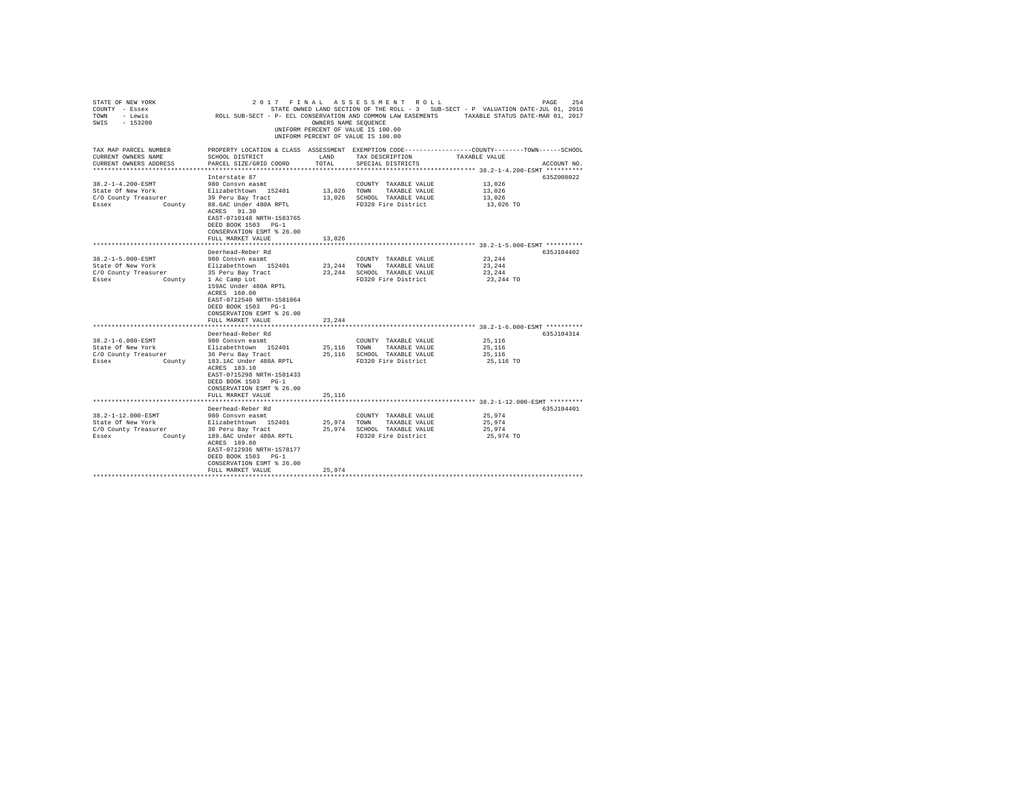| STATE OF NEW YORK<br>COUNTY - Essex<br>TOWN - Lewis<br>SWIS - 153200   | ROLL SUB-SECT - P- ECL CONSERVATION AND COMMON LAW EASEMENTS TAXABLE STATUS DATE-MAR 01, 2017                                                |               | 2017 FINAL ASSESSMENT ROLL<br>STATE OWNED LAND SECTION OF THE ROLL - 3 SUB-SECT - P VALUATION DATE-JUL 01, 2016<br>OWNERS NAME SEQUENCE<br>UNIFORM PERCENT OF VALUE IS 100.00<br>UNIFORM PERCENT OF VALUE IS 100.00 |               | 254<br>PAGE |
|------------------------------------------------------------------------|----------------------------------------------------------------------------------------------------------------------------------------------|---------------|---------------------------------------------------------------------------------------------------------------------------------------------------------------------------------------------------------------------|---------------|-------------|
| TAX MAP PARCEL NUMBER<br>CURRENT OWNERS NAME<br>CURRENT OWNERS ADDRESS | PROPERTY LOCATION & CLASS ASSESSMENT EXEMPTION CODE---------------COUNTY-------TOWN------SCHOOL<br>SCHOOL DISTRICT<br>PARCEL SIZE/GRID COORD | LAND<br>TOTAL | TAX DESCRIPTION<br>SPECIAL DISTRICTS                                                                                                                                                                                | TAXABLE VALUE | ACCOUNT NO. |
|                                                                        |                                                                                                                                              |               |                                                                                                                                                                                                                     |               |             |
|                                                                        | Interstate 87                                                                                                                                |               |                                                                                                                                                                                                                     |               | 635Z008022  |
| 38.2-1-4.200-ESMT                                                      | 980 Consyn easmt                                                                                                                             |               | COUNTY TAXABLE VALUE                                                                                                                                                                                                | 13,026        |             |
| State Of New York                                                      | Elizabethtown 152401<br>39 Peru Bay Tract                                                                                                    | 13,026 TOWN   | TAXABLE VALUE                                                                                                                                                                                                       | 13,026        |             |
| C/O County Treasurer                                                   |                                                                                                                                              |               | 13,026 SCHOOL TAXABLE VALUE                                                                                                                                                                                         | 13,026        |             |
| County<br>Essex                                                        | 88.6AC Under 480A RPTL<br>ACRES 91.30<br>EAST-0710148 NRTH-1583765<br>DEED BOOK 1503 PG-1                                                    |               | FD320 Fire District                                                                                                                                                                                                 | 13,026 TO     |             |
|                                                                        | CONSERVATION ESMT % 26.00                                                                                                                    |               |                                                                                                                                                                                                                     |               |             |
|                                                                        | FULL MARKET VALUE                                                                                                                            | 13,026        |                                                                                                                                                                                                                     |               |             |
|                                                                        |                                                                                                                                              |               |                                                                                                                                                                                                                     |               |             |
|                                                                        | Deerhead-Reber Rd                                                                                                                            |               |                                                                                                                                                                                                                     |               | 635.7104402 |
| 38.2-1-5.000-ESMT                                                      | 980 Consyn easmt                                                                                                                             |               | COUNTY TAXABLE VALUE                                                                                                                                                                                                | 23,244        |             |
| State Of New York                                                      | Elizabethtown 152401                                                                                                                         | 23,244 TOWN   | TAXABLE VALUE                                                                                                                                                                                                       | 23,244        |             |
| C/O County Treasurer                                                   |                                                                                                                                              |               | 23, 244 SCHOOL TAXABLE VALUE                                                                                                                                                                                        | 23,244        |             |
| Essex                                                                  | 159AC Under 480A RPTL<br>ACRES 160.00                                                                                                        |               | FD320 Fire District                                                                                                                                                                                                 | 23,244 TO     |             |
|                                                                        | EAST-0712540 NRTH-1581064<br>DEED BOOK 1503 PG-1<br>CONSERVATION ESMT % 26.00                                                                |               |                                                                                                                                                                                                                     |               |             |
|                                                                        | FULL MARKET VALUE                                                                                                                            | 23.244        |                                                                                                                                                                                                                     |               |             |
|                                                                        |                                                                                                                                              |               |                                                                                                                                                                                                                     |               |             |
|                                                                        | Deerhead-Reber Rd                                                                                                                            |               |                                                                                                                                                                                                                     |               | 635J104314  |
| 38.2-1-6.000-ESMT                                                      | 980 Consvn easmt                                                                                                                             |               | COUNTY TAXABLE VALUE                                                                                                                                                                                                | 25,116        |             |
| State Of New York                                                      | Elizabethtown 152401                                                                                                                         | 25,116 TOWN   | TAXABLE VALUE                                                                                                                                                                                                       | 25,116        |             |
| C/O County Treasurer                                                   | 36 Peru Bay Tract                                                                                                                            |               | 25,116 SCHOOL TAXABLE VALUE                                                                                                                                                                                         | 25,116        |             |
| Essex                                                                  | County 183.1AC Under 480A RPTL                                                                                                               |               | FD320 Fire District                                                                                                                                                                                                 | 25,116 TO     |             |
|                                                                        | ACRES 183.10<br>EAST-0715298 NRTH-1581433<br>DEED BOOK 1503 PG-1                                                                             |               |                                                                                                                                                                                                                     |               |             |
|                                                                        | CONSERVATION ESMT % 26.00                                                                                                                    |               |                                                                                                                                                                                                                     |               |             |
|                                                                        | FULL MARKET VALUE                                                                                                                            | 25,116        |                                                                                                                                                                                                                     |               |             |
|                                                                        |                                                                                                                                              |               |                                                                                                                                                                                                                     |               |             |
|                                                                        | Deerhead-Reber Rd                                                                                                                            |               |                                                                                                                                                                                                                     |               | 635J104401  |
| 38.2-1-12.000-ESMT                                                     | 980 Consvn easmt                                                                                                                             |               | COUNTY TAXABLE VALUE                                                                                                                                                                                                | 25,974        |             |
| State Of New York                                                      | Elizabethtown 152401                                                                                                                         |               | 25,974 TOWN TAXABLE VALUE                                                                                                                                                                                           | 25,974        |             |
| C/O County Treasurer                                                   | 30 Peru Bay Tract                                                                                                                            |               | 25,974 SCHOOL TAXABLE VALUE                                                                                                                                                                                         | 25,974        |             |
| County<br>Essex                                                        | 189.8AC Under 480A RPTL<br>ACRES 189.80<br>EAST-0712936 NRTH-1578177                                                                         |               | FD320 Fire District                                                                                                                                                                                                 | 25,974 TO     |             |
|                                                                        | DEED BOOK 1503 PG-1<br>CONSERVATION ESMT % 26.00                                                                                             |               |                                                                                                                                                                                                                     |               |             |
|                                                                        | FULL MARKET VALUE                                                                                                                            | 25.974        |                                                                                                                                                                                                                     |               |             |
|                                                                        |                                                                                                                                              |               |                                                                                                                                                                                                                     |               |             |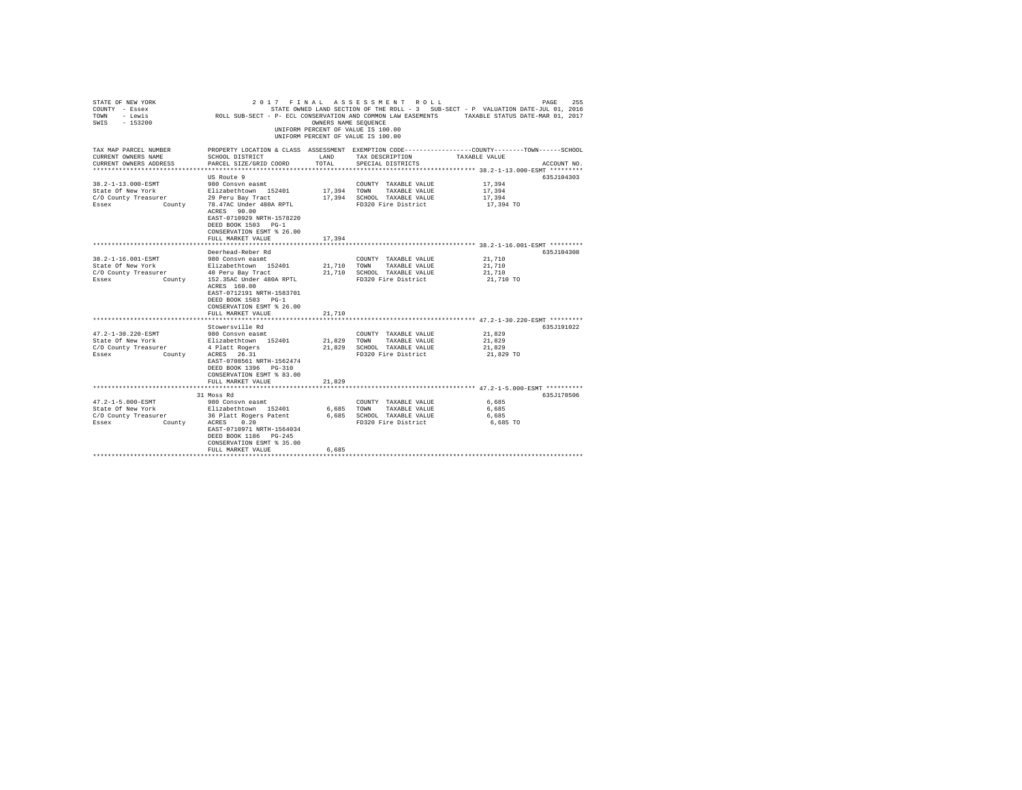| STATE OF NEW YORK<br>COUNTY - Essex<br>- Lewis<br>TOWN<br>$-153200$<br>SWIS                                                   |                                                                                                                                                                                                                                                                                                     | OWNERS NAME SEQUENCE                 | 2017 FINAL ASSESSMENT ROLL<br>UNIFORM PERCENT OF VALUE IS 100.00<br>UNIFORM PERCENT OF VALUE IS 100.00                                        | 255<br>PAGE<br>STATE OWNED LAND SECTION OF THE ROLL - 3 SUB-SECT - P VALUATION DATE-JUL 01, 2016<br>ROLL SUB-SECT - P- ECL CONSERVATION AND COMMON LAW EASEMENTS TAXABLE STATUS DATE-MAR 01, 2017 |
|-------------------------------------------------------------------------------------------------------------------------------|-----------------------------------------------------------------------------------------------------------------------------------------------------------------------------------------------------------------------------------------------------------------------------------------------------|--------------------------------------|-----------------------------------------------------------------------------------------------------------------------------------------------|---------------------------------------------------------------------------------------------------------------------------------------------------------------------------------------------------|
| TAX MAP PARCEL NUMBER<br>CURRENT OWNERS NAME<br>CURRENT OWNERS ADDRESS                                                        | SCHOOL DISTRICT<br>PARCEL SIZE/GRID COORD                                                                                                                                                                                                                                                           | LAND<br>TOTAL                        | TAX DESCRIPTION<br>SPECIAL DISTRICTS                                                                                                          | PROPERTY LOCATION & CLASS ASSESSMENT EXEMPTION CODE----------------COUNTY-------TOWN------SCHOOL<br>TAXABLE VALUE<br>ACCOUNT NO.                                                                  |
| ************************                                                                                                      |                                                                                                                                                                                                                                                                                                     |                                      |                                                                                                                                               |                                                                                                                                                                                                   |
| 38.2-1-13.000-ESMT<br>State Of New York<br>C/O County Treasurer<br>Essex<br>County                                            | US Route 9<br>980 Consyn easmt<br>Elizabethtown 152401<br>29 Peru Bay Tract<br>78.47AC Under 480A RPTL<br>ACRES 90.00                                                                                                                                                                               | 17,394<br>17,394                     | COUNTY TAXABLE VALUE<br>TOWN<br>TAXABLE VALUE<br>SCHOOL TAXABLE VALUE<br>FD320 Fire District                                                  | 635J104303<br>17,394<br>17,394<br>17,394<br>17,394 TO                                                                                                                                             |
|                                                                                                                               | EAST-0710929 NRTH-1578220<br>DEED BOOK 1503 PG-1<br>CONSERVATION ESMT % 26.00<br>FULL MARKET VALUE                                                                                                                                                                                                  | 17,394                               |                                                                                                                                               |                                                                                                                                                                                                   |
|                                                                                                                               | ************************                                                                                                                                                                                                                                                                            |                                      |                                                                                                                                               | **************************** 38.2-1-16.001-ESMT *********                                                                                                                                         |
| 38.2-1-16.001-ESMT<br>State Of New York<br>C/O County Treasurer<br>Essex<br>County<br>47.2-1-30.220-ESMT<br>State Of New York | Deerhead-Reber Rd<br>980 Consyn easmt<br>Elizabethtown 152401<br>40 Peru Bay Tract<br>152.35AC Under 480A RPTL<br>ACRES 160.00<br>EAST-0712191 NRTH-1583701<br>DEED BOOK 1503 PG-1<br>CONSERVATION ESMT % 26.00<br>FULL MARKET VALUE<br>Stowersville Rd<br>980 Consyn easmt<br>Elizabethtown 152401 | 21,710<br>21,710<br>21,710<br>21,829 | COUNTY TAXABLE VALUE<br>TOWN<br>TAXABLE VALUE<br>SCHOOL TAXABLE VALUE<br>FD320 Fire District<br>COUNTY TAXABLE VALUE<br>TOWN<br>TAXABLE VALUE | 635J104308<br>21,710<br>21,710<br>21,710<br>21,710 TO<br>635J191022<br>21,829<br>21,829                                                                                                           |
| C/O County Treasurer<br>Essex<br>County                                                                                       | 4 Platt Rogers<br>ACRES 26.31<br>EAST-0708561 NRTH-1562474<br>DEED BOOK 1396 PG-310<br>CONSERVATION ESMT % 83.00<br>FULL MARKET VALUE                                                                                                                                                               | 21,829<br>21,829                     | SCHOOL TAXABLE VALUE<br>FD320 Fire District                                                                                                   | 21,829<br>21,829 TO                                                                                                                                                                               |
|                                                                                                                               |                                                                                                                                                                                                                                                                                                     |                                      |                                                                                                                                               |                                                                                                                                                                                                   |
| 47.2-1-5.000-ESMT<br>State Of New York<br>C/O County Treasurer<br>Essex<br>County                                             | 31 Moss Rd<br>980 Consyn easmt<br>Elizabethtown 152401<br>36 Platt Rogers Patent<br>ACRES 0.20<br>EAST-0710971 NRTH-1564034<br>DEED BOOK 1186 PG-245<br>CONSERVATION ESMT % 35.00<br>FULL MARKET VALUE                                                                                              | 6,685<br>6,685<br>6.685              | COUNTY TAXABLE VALUE<br>TOWN<br>TAXABLE VALUE<br>SCHOOL TAXABLE VALUE<br>FD320 Fire District                                                  | 635J178506<br>6,685<br>6.685<br>6,685<br>6,685 TO                                                                                                                                                 |
|                                                                                                                               |                                                                                                                                                                                                                                                                                                     |                                      |                                                                                                                                               |                                                                                                                                                                                                   |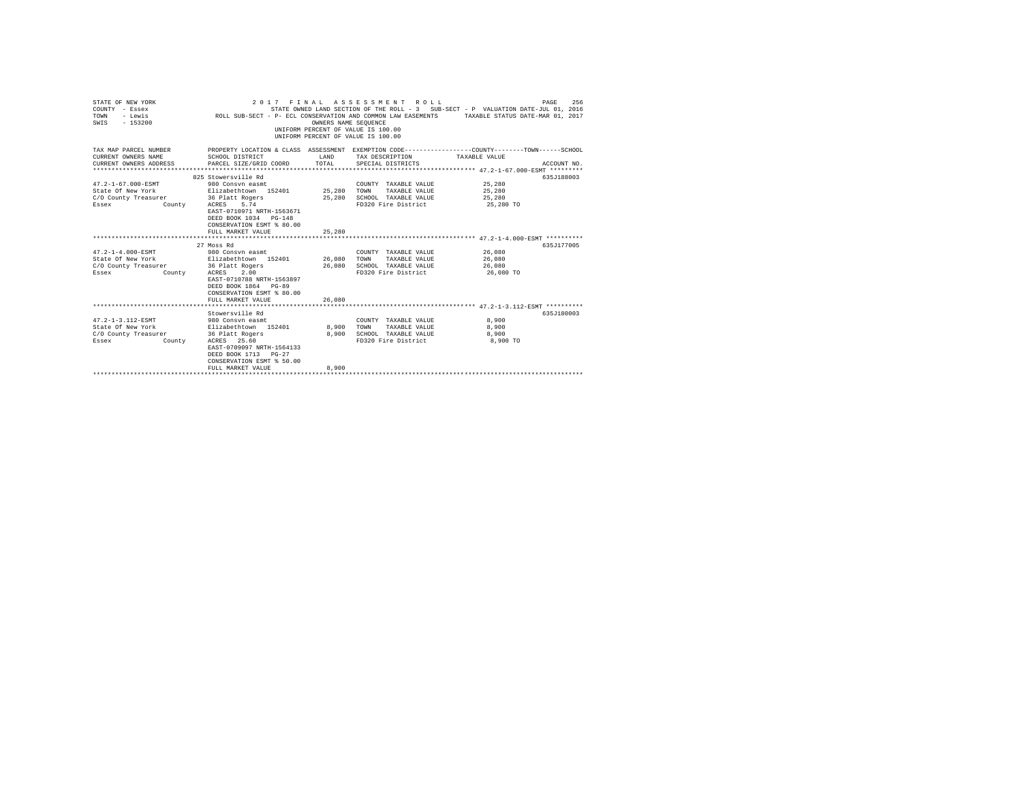| STATE OF NEW YORK<br>COUNTY - Essex<br>- Lewis<br>TOWN<br>$-153200$<br>SWIS                                           |                                                                                                                                                                                                            | OWNERS NAME SEQUENCE | 2017 FINAL ASSESSMENT ROLL<br>UNIFORM PERCENT OF VALUE IS 100.00<br>UNIFORM PERCENT OF VALUE IS 100.00 | PAGE<br>STATE OWNED LAND SECTION OF THE ROLL - 3 SUB-SECT - P VALUATION DATE-JUL 01, 2016<br>ROLL SUB-SECT - P- ECL CONSERVATION AND COMMON LAW EASEMENTS TAXABLE STATUS DATE-MAR 01, 2017 | 256         |
|-----------------------------------------------------------------------------------------------------------------------|------------------------------------------------------------------------------------------------------------------------------------------------------------------------------------------------------------|----------------------|--------------------------------------------------------------------------------------------------------|--------------------------------------------------------------------------------------------------------------------------------------------------------------------------------------------|-------------|
| TAX MAP PARCEL NUMBER<br>CURRENT OWNERS NAME<br>CURRENT OWNERS ADDRESS                                                | SCHOOL DISTRICT<br>PARCEL SIZE/GRID COORD TOTAL                                                                                                                                                            | LAND                 | TAX DESCRIPTION<br>SPECIAL DISTRICTS                                                                   | PROPERTY LOCATION & CLASS ASSESSMENT EXEMPTION CODE----------------COUNTY--------TOWN-----SCHOOL<br>TAXABLE VALUE                                                                          | ACCOUNT NO. |
| 47.2-1-67.000-ESMT<br>State Of New York<br>C/O County Treasurer 36 Platt Rogers<br>Essex                              | 825 Stowersville Rd<br>980 Consyn easmt<br>Elizabethtown 152401 25,280 TOWN<br>County ACRES 5.74<br>EAST-0710971 NRTH-1563671<br>DEED BOOK 1034 PG-148<br>CONSERVATION ESMT % 80.00<br>FULL MARKET VALUE   | 25,280               | COUNTY TAXABLE VALUE<br>TAXABLE VALUE<br>25,280 SCHOOL TAXABLE VALUE<br>FD320 Fire District            | 25,280<br>25,280<br>25,280<br>25,280 TO                                                                                                                                                    | 635J188003  |
|                                                                                                                       |                                                                                                                                                                                                            |                      |                                                                                                        |                                                                                                                                                                                            |             |
| $47.2 - 1 - 4.000 - ESMT$<br>State Of New York Blizabethtown 152401 26,080<br>C/O County Treasurer<br>Essex<br>County | 27 Moss Rd<br>980 Consvn easmt<br>36 Platt Rogers<br>ACRES 2.00<br>EAST-0710788 NRTH-1563897<br>DEED BOOK 1864 PG-89<br>CONSERVATION ESMT % 80.00<br>FULL MARKET VALUE                                     | $26\,,080$<br>26,080 | COUNTY TAXABLE VALUE<br>TAXABLE VALUE<br>TOWN<br>SCHOOL TAXABLE VALUE<br>FD320 Fire District           | 26,080<br>26,080<br>26,080<br>26,080 TO                                                                                                                                                    | 635J177005  |
|                                                                                                                       |                                                                                                                                                                                                            |                      |                                                                                                        |                                                                                                                                                                                            |             |
| 47.2-1-3.112-ESMT<br>State Of New York<br>C/O County Treasurer<br>County<br>Essex                                     | Stowersville Rd<br>980 Consyn easmt<br>Elizabethtown 152401 8.900<br>36 Platt Rogers<br>ACRES 25.60<br>EAST-0709097 NRTH-1564133<br>DEED BOOK 1713 PG-27<br>CONSERVATION ESMT % 50.00<br>FULL MARKET VALUE | 8,900<br>8,900       | COUNTY TAXABLE VALUE<br>TOWN<br>TAXABLE VALUE<br>SCHOOL TAXABLE VALUE<br>FD320 Fire District           | 8,900<br>8,900<br>8,900<br>8,900 TO                                                                                                                                                        | 635.T180003 |
|                                                                                                                       |                                                                                                                                                                                                            |                      |                                                                                                        |                                                                                                                                                                                            |             |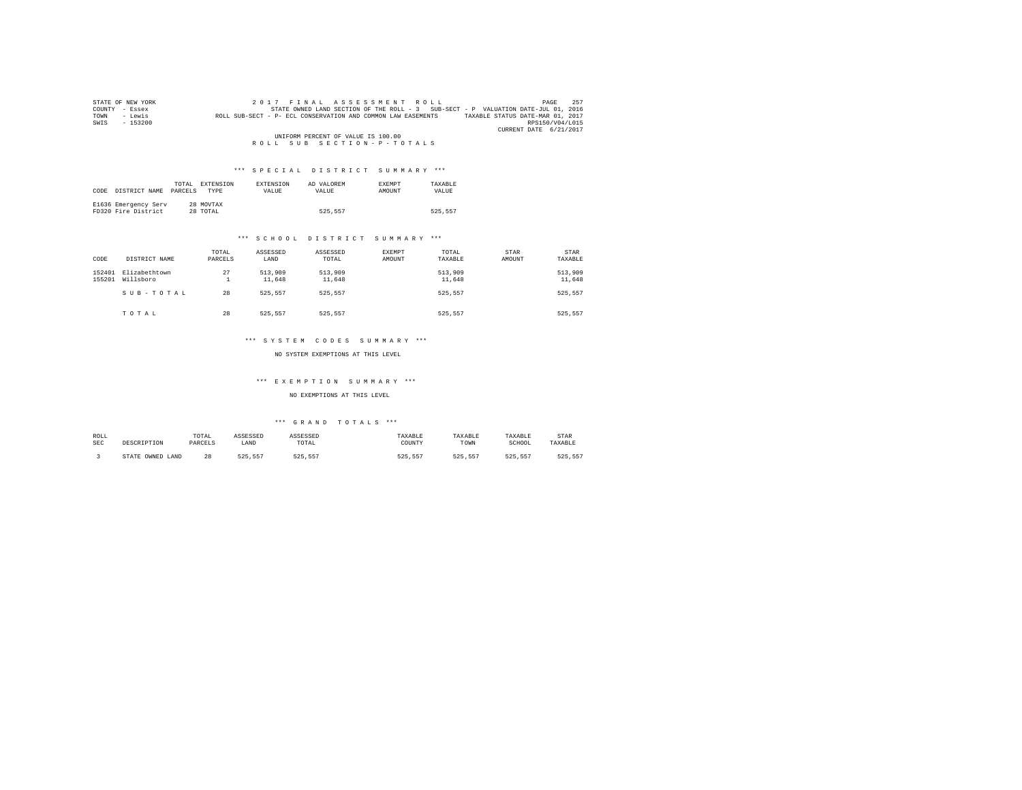| STATE OF NEW YORK | 2017 FINAL ASSESSMENT ROLL                                                                       | 257<br>PAGE     |
|-------------------|--------------------------------------------------------------------------------------------------|-----------------|
| COUNTY - Essex    | STATE OWNED LAND SECTION OF THE ROLL - 3 SUB-SECT - P VALUATION DATE-JUL 01, 2016                |                 |
| - Lewis<br>TOWN   | TAXABLE STATUS DATE-MAR 01, 2017<br>ROLL SUB-SECT - P- ECL CONSERVATION AND COMMON LAW EASEMENTS |                 |
| $-153200$<br>SWIS |                                                                                                  | RPS150/V04/L015 |
|                   | CURRENT DATE 6/21/2017                                                                           |                 |
|                   | UNIFORM PERCENT OF VALUE IS 100.00                                                               |                 |
|                   | ROLL SUB SECTION-P-TOTALS                                                                        |                 |

| CODE | DISTRICT NAME                               | TOTAL<br>PARCELS | EXTENSION<br><b>TYPE</b> | EXTENSION<br>VALUE | AD VALOREM<br>VALUE | <b>EXEMPT</b><br>AMOUNT | TAXARLE<br>VALUE |
|------|---------------------------------------------|------------------|--------------------------|--------------------|---------------------|-------------------------|------------------|
|      | E1636 Emergency Serv<br>FD320 Fire District |                  | 28 MOVTAX<br>28 TOTAL    |                    | 525.557             |                         | 525.557          |

## \*\*\* S C H O O L D I S T R I C T S U M M A R Y \*\*\*

| CODE             | DISTRICT NAME              | TOTAL<br>PARCELS | ASSESSED<br>LAND  | ASSESSED<br>TOTAL | <b>EXEMPT</b><br>AMOUNT | TOTAL<br>TAXABLE  | <b>STAR</b><br>AMOUNT | STAR<br>TAXABLE   |
|------------------|----------------------------|------------------|-------------------|-------------------|-------------------------|-------------------|-----------------------|-------------------|
| 152401<br>155201 | Elizabethtown<br>Willsboro | 27<br>۰          | 513,909<br>11,648 | 513,909<br>11,648 |                         | 513,909<br>11,648 |                       | 513,909<br>11,648 |
|                  | SUB-TOTAL                  | 28               | 525.557           | 525.557           |                         | 525.557           |                       | 525,557           |
|                  | TOTAL                      | 28               | 525.557           | 525.557           |                         | 525.557           |                       | 525.557           |

#### \*\*\* S Y S T E M C O D E S S U M M A R Y \*\*\*

NO SYSTEM EXEMPTIONS AT THIS LEVEL

#### \*\*\* E X E M P T I O N S U M M A R Y \*\*\*

#### NO EXEMPTIONS AT THIS LEVEL

| ROLL<br><b>SEC</b> | DESCRIPTION      | TOTAL<br>PARCELS | ASSESSED<br>LAND | ASSESSED<br>TOTAL | TAXABLE<br>COUNTY | TAXABLE<br>TOWN | TAXABLE<br>SCHOOL | STAR<br>TAXABLE |
|--------------------|------------------|------------------|------------------|-------------------|-------------------|-----------------|-------------------|-----------------|
|                    | STATE OWNED LAND | 28               | 525              | 525.55<br>557     | ニウロ<br>557        | 525.557         | 525.557           | $-25$<br>.      |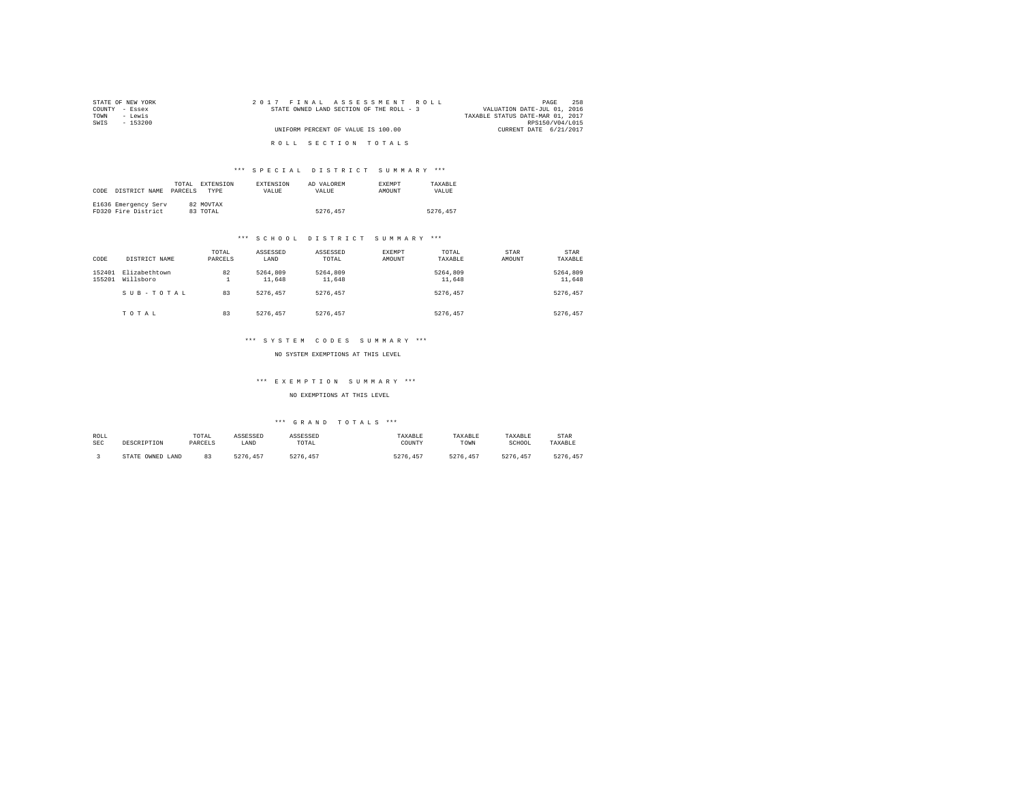| STATE OF NEW YORK | 2017 FINAL ASSESSMENT ROLL               | 258<br>PAGE                      |
|-------------------|------------------------------------------|----------------------------------|
| COUNTY - Essex    | STATE OWNED LAND SECTION OF THE ROLL - 3 | VALUATION DATE-JUL 01, 2016      |
| TOWN<br>- Lewis   |                                          | TAXABLE STATUS DATE-MAR 01, 2017 |
| SWIS<br>- 153200  |                                          | RPS150/V04/L015                  |
|                   | UNIFORM PERCENT OF VALUE IS 100.00       | CURRENT DATE 6/21/2017           |
|                   | ROLL SECTION TOTALS                      |                                  |

| CODE | DISTRICT NAME                               | TOTAL.<br>PARCELS | EXTENSION<br><b>TYPE</b> | <b>EXTENSION</b><br>VALUE | AD VALOREM<br>VALUE | <b>EXEMPT</b><br>AMOUNT | TAXARLE<br>VALUE |
|------|---------------------------------------------|-------------------|--------------------------|---------------------------|---------------------|-------------------------|------------------|
|      | E1636 Emergency Serv<br>FD320 Fire District |                   | 82 MOVTAX<br>83 TOTAL    |                           | 5276.457            |                         | 5276.457         |

#### \*\*\* S C H O O L D I S T R I C T S U M M A R Y \*\*\*

| CODE             | DISTRICT NAME              | TOTAL<br>PARCELS | ASSESSED<br>LAND   | ASSESSED<br>TOTAL  | EXEMPT<br><b>AMOUNT</b> | TOTAL<br>TAXABLE   | STAR<br>AMOUNT | STAR<br>TAXABLE    |
|------------------|----------------------------|------------------|--------------------|--------------------|-------------------------|--------------------|----------------|--------------------|
| 152401<br>155201 | Elizabethtown<br>Willsboro | 82<br>∸          | 5264,809<br>11,648 | 5264.809<br>11,648 |                         | 5264,809<br>11,648 |                | 5264.809<br>11,648 |
|                  | SUB-TOTAL                  | 83               | 5276.457           | 5276.457           |                         | 5276.457           |                | 5276.457           |
|                  | TOTAL                      | 83               | 5276.457           | 5276.457           |                         | 5276.457           |                | 5276.457           |

#### \*\*\* S Y S T E M C O D E S S U M M A R Y \*\*\*

NO SYSTEM EXEMPTIONS AT THIS LEVEL

#### \*\*\* E X E M P T I O N S U M M A R Y \*\*\*

#### NO EXEMPTIONS AT THIS LEVEL

| ROLL       | DESCRIPTION      | TOTAL   | ASSESSED      | ASSESSED | TAXABLE       | TAXABLE  | TAXABLE  | STAR    |
|------------|------------------|---------|---------------|----------|---------------|----------|----------|---------|
| <b>SEC</b> |                  | PARCELS | LAND          | TOTAL    | COUNTY        | TOWN     | SCHOOL   | TAXABLE |
|            | STATE OWNED LAND | ନ୍ଦ     | 5276<br>. 457 | 5276.457 | 5276.<br>.457 | 5276.457 | 5276.457 | 5276.   |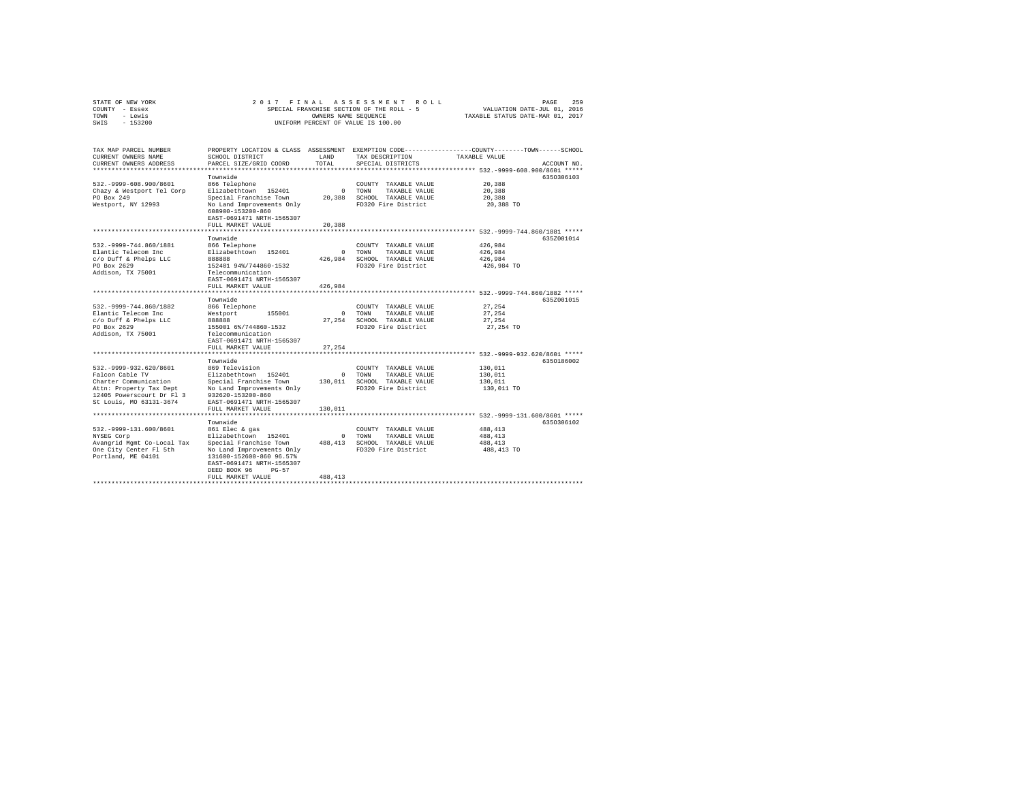| COUNTY - Essex<br>TOWN - Lewis<br>SWIS - 153200                                 |                                                                                                          |          | SPECIAL FRANCHISE SECTION OF THE ROLL - 5<br>OWNERS NAME SEOUENCE<br>UNIFORM PERCENT OF VALUE IS 100.00 | VALUATION DATE-JUL 01, 2016<br>TAXABLE STATUS DATE-MAR 01, 2017 |             |
|---------------------------------------------------------------------------------|----------------------------------------------------------------------------------------------------------|----------|---------------------------------------------------------------------------------------------------------|-----------------------------------------------------------------|-------------|
| TAX MAP PARCEL NUMBER                                                           | PROPERTY LOCATION & CLASS ASSESSMENT EXEMPTION CODE---------------COUNTY-------TOWN------SCHOOL          |          |                                                                                                         |                                                                 |             |
| CURRENT OWNERS NAME                                                             | SCHOOL DISTRICT                                                                                          | LAND     | TAX DESCRIPTION                                                                                         | TAXABLE VALUE                                                   |             |
| CURRENT OWNERS ADDRESS                                                          | PARCEL SIZE/GRID COORD                                                                                   | TOTAL.   | SPECIAL DISTRICTS                                                                                       |                                                                 | ACCOUNT NO. |
|                                                                                 |                                                                                                          |          |                                                                                                         |                                                                 | 6350306103  |
| 532. - 9999-608.900/8601                                                        | Townwide<br>866 Telephone                                                                                |          | COUNTY TAXABLE VALUE                                                                                    | 20,388                                                          |             |
| Chazy & Westport Tel Corp                                                       | Elizabethtown 152401                                                                                     |          | 0 TOWN<br>TAXABLE VALUE                                                                                 | 20,388                                                          |             |
| PO Box 249                                                                      | Special Franchise Town                                                                                   |          | 20,388 SCHOOL TAXABLE VALUE                                                                             | 20,388                                                          |             |
| Westport, NY 12993                                                              | No Land Improvements Only<br>608900-153200-860<br>EAST-0691471 NRTH-1565307                              |          | FD320 Fire District                                                                                     | 20,388 TO                                                       |             |
|                                                                                 | FULL MARKET VALUE                                                                                        | 20,388   |                                                                                                         |                                                                 |             |
|                                                                                 |                                                                                                          |          |                                                                                                         |                                                                 |             |
|                                                                                 | Townwide                                                                                                 |          |                                                                                                         |                                                                 | 635Z001014  |
| 532. - 9999-744.860/1881                                                        | 866 Telephone                                                                                            |          | COUNTY TAXABLE VALUE                                                                                    | 426.984                                                         |             |
| Elantic Telecom Inc                                                             | Elizabethtown 152401                                                                                     | $\Omega$ | TOWN<br>TAXABLE VALUE                                                                                   | 426,984                                                         |             |
| c/o Duff & Phelps LLC                                                           | 888888                                                                                                   |          | 426.984 SCHOOL TAXABLE VALUE                                                                            | 426.984                                                         |             |
| PO Box 2629<br>Addison, TX 75001                                                | 152401 94%/744860-1532<br>Telecommunication<br>EAST-0691471 NRTH-1565307                                 |          | FD320 Fire District                                                                                     | 426,984 TO                                                      |             |
|                                                                                 | FULL MARKET VALUE                                                                                        | 426,984  |                                                                                                         |                                                                 |             |
|                                                                                 |                                                                                                          |          |                                                                                                         |                                                                 |             |
|                                                                                 | Townwide                                                                                                 |          |                                                                                                         |                                                                 | 635Z001015  |
| 532. - 9999 - 744.860/1882                                                      | 866 Telephone                                                                                            |          | COUNTY TAXABLE VALUE                                                                                    | 27.254                                                          |             |
| Elantic Telecom Inc                                                             | Westport 155001                                                                                          |          | 0 TOWN<br>TAXABLE VALUE                                                                                 | 27,254                                                          |             |
| c/o Duff & Phelps LLC                                                           | 888888                                                                                                   |          | 27,254 SCHOOL TAXABLE VALUE                                                                             | 27.254                                                          |             |
| PO Box 2629                                                                     | 155001 6%/744860-1532                                                                                    |          | FD320 Fire District                                                                                     | 27,254 TO                                                       |             |
| Addison, TX 75001                                                               | Telecommunication<br>EAST-0691471 NRTH-1565307                                                           |          |                                                                                                         |                                                                 |             |
|                                                                                 | FULL MARKET VALUE                                                                                        | 27,254   |                                                                                                         |                                                                 |             |
|                                                                                 | Townwide                                                                                                 |          |                                                                                                         |                                                                 | 6350186002  |
| 532. - 9999 - 932. 620/8601                                                     | 869 Television                                                                                           |          | COUNTY TAXABLE VALUE                                                                                    | 130,011                                                         |             |
| Falcon Cable TV                                                                 | Elizabethtown 152401                                                                                     |          | 0 TOWN<br>TAXABLE VALUE                                                                                 | 130,011                                                         |             |
| Charter Communication                                                           | Special Franchise Town 130,011 SCHOOL TAXABLE VALUE                                                      |          |                                                                                                         | 130,011                                                         |             |
| Attn: Property Tax Dept<br>12405 Powerscourt Dr Fl 3<br>St Louis, MO 63131-3674 | No Land Improvements Only<br>932620-153200-860<br>EAST-0691471 NRTH-1565307                              |          | FD320 Fire District                                                                                     | 130,011 TO                                                      |             |
|                                                                                 | FULL MARKET VALUE                                                                                        | 130,011  |                                                                                                         |                                                                 |             |
|                                                                                 |                                                                                                          |          |                                                                                                         |                                                                 |             |
|                                                                                 | Townwide                                                                                                 |          |                                                                                                         |                                                                 | 6350306102  |
| 532. - 9999-131.600/8601<br>NYSEG Corp                                          | 861 Elec & gas                                                                                           |          | COUNTY TAXABLE VALUE<br>0 TOWN<br>TAXABLE VALUE                                                         | 488,413<br>488,413                                              |             |
| Avangrid Mgmt Co-Local Tax                                                      | Elizabethtown 152401<br>Special Franchise Town                                                           |          | 488, 413 SCHOOL TAXABLE VALUE                                                                           | 488,413                                                         |             |
| One City Center Fl 5th<br>Portland, ME 04101                                    | No Land Improvements Only<br>131600-152600-860 96.57%<br>EAST-0691471 NRTH-1565307<br>DEED BOOK 96 PG-57 |          | FD320 Fire District                                                                                     | 488,413 TO                                                      |             |
|                                                                                 | FULL MARKET VALUE                                                                                        | 488, 413 |                                                                                                         |                                                                 |             |
|                                                                                 |                                                                                                          |          |                                                                                                         |                                                                 |             |

STATE OF NEW YORK 2017 FINAL ASSESSMENT ROLL PAGE 259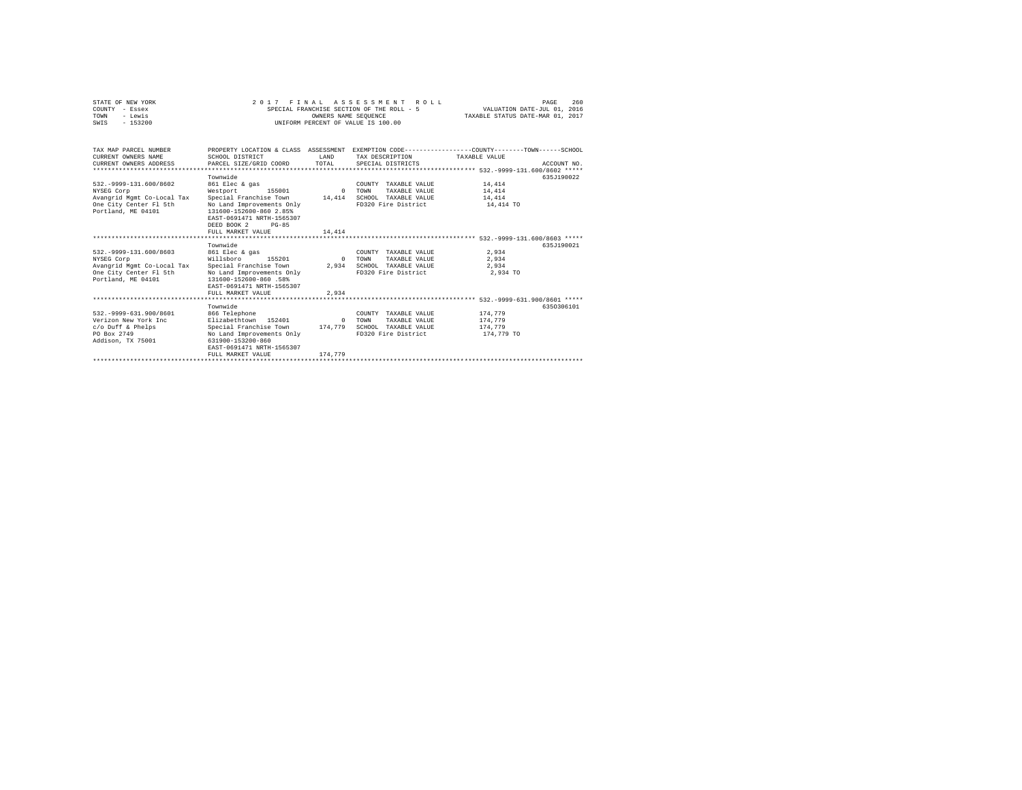| STATE OF NEW YORK<br>COUNTY - Essex<br>- Lewis<br>TOWN<br>$-153200$<br>SWTS                                          |                                                                                                                                                                                                                | OWNERS NAME SEOUENCE         | 2017 FINAL ASSESSMENT ROLL<br>SPECIAL FRANCHISE SECTION OF THE ROLL - 5<br>INIFORM PERCENT OF VALUE IS 100.00 | 260<br>PAGE<br>VALUATION DATE-JUL 01, 2016<br>TAXABLE STATUS DATE-MAR 01, 2017                                                  |  |
|----------------------------------------------------------------------------------------------------------------------|----------------------------------------------------------------------------------------------------------------------------------------------------------------------------------------------------------------|------------------------------|---------------------------------------------------------------------------------------------------------------|---------------------------------------------------------------------------------------------------------------------------------|--|
| TAX MAP PARCEL NUMBER<br>CURRENT OWNERS NAME<br>CURRENT OWNERS ADDRESS<br>*************************                  | SCHOOL DISTRICT<br>PARCEL SIZE/GRID COORD                                                                                                                                                                      | <b>T.AND</b><br>TOTAL.       | TAX DESCRIPTION<br>SPECIAL DISTRICTS                                                                          | PROPERTY LOCATION & CLASS ASSESSMENT EXEMPTION CODE---------------COUNTY-------TOWN------SCHOOL<br>TAXARLE VALUE<br>ACCOUNT NO. |  |
| 532. - 9999-131.600/8602<br>NYSEG Corp<br>Avangrid Mgmt Co-Local Tax<br>One City Center Fl 5th<br>Portland, ME 04101 | Townwide<br>861 Elec & gas<br>Westport<br>155001<br>Special Franchise Town<br>No Land Improvements Only<br>131600-152600-860 2.85%<br>EAST-0691471 NRTH-1565307<br>DEED BOOK 2<br>$PG-85$<br>FULL MARKET VALUE | $\Omega$<br>14,414<br>14,414 | COUNTY TAXABLE VALUE<br><b>TOWN</b><br>TAXABLE VALUE<br>SCHOOL TAXABLE VALUE<br>FD320 Fire District           | 635J190022<br>14,414<br>14,414<br>14,414<br>14,414 TO                                                                           |  |
| 532. - 9999-131.600/8603<br>NYSEG Corp<br>Avangrid Mgmt Co-Local Tax<br>One City Center Fl 5th<br>Portland, ME 04101 | Townwide<br>861 Elec & gas<br>Willsboro<br>155201<br>Special Franchise Town<br>No Land Improvements Only<br>131600-152600-860 .58%<br>EAST-0691471 NRTH-1565307<br>FULL MARKET VALUE                           | $\Omega$<br>2,934<br>2.934   | COUNTY TAXABLE VALUE<br>TAXABLE VALUE<br>TOWN<br>SCHOOL TAXABLE VALUE<br>FD320 Fire District                  | 635.7190021<br>2.934<br>2.934<br>2.934<br>2,934 TO                                                                              |  |
| 532. - 9999-631.900/8601<br>Verizon New York Inc<br>c/o Duff & Phelps<br>PO Box 2749<br>Addison, TX 75001            | Townwide<br>866 Telephone<br>Elizabethtown 152401<br>Special Franchise Town 174.779<br>No Land Improvements Only<br>631900-153200-860<br>EAST-0691471 NRTH-1565307<br>FULL MARKET VALUE                        | $\Omega$<br>174,779          | COUNTY TAXABLE VALUE<br><b>TOWN</b><br>TAXABLE VALUE<br>SCHOOL TAXABLE VALUE<br>FD320 Fire District           | 6350306101<br>174,779<br>174,779<br>174,779<br>174,779 TO                                                                       |  |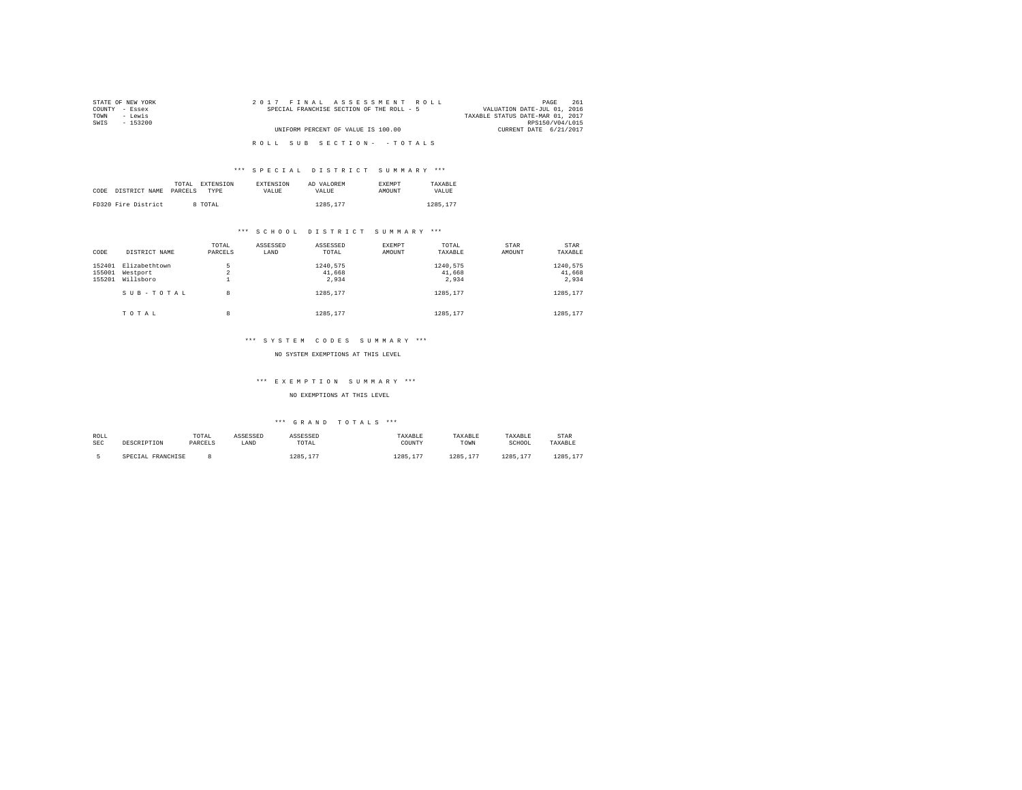| STATE OF NEW YORK | 2017 FINAL ASSESSMENT ROLL                | 261<br>PAGE                      |
|-------------------|-------------------------------------------|----------------------------------|
| COUNTY - Essex    | SPECIAL FRANCHISE SECTION OF THE ROLL - 5 | VALUATION DATE-JUL 01, 2016      |
| TOWN<br>- Lewis   |                                           | TAXABLE STATUS DATE-MAR 01, 2017 |
| SWTS<br>- 153200  |                                           | RPS150/V04/L015                  |
|                   | UNIFORM PERCENT OF VALUE IS 100.00        | CURRENT DATE 6/21/2017           |
|                   |                                           |                                  |
|                   | ROLL SUB SECTION- - TOTALS                |                                  |
|                   |                                           |                                  |

|      |                     | TOTAL<br>EXTENSION | <b>EXTENSION</b> | AD VALOREM | <b>EXEMPT</b> | TAXARLE  |
|------|---------------------|--------------------|------------------|------------|---------------|----------|
| CODE | DISTRICT NAME       | PARCELS<br>TYPE    | VALUE            | VALUE      | AMOUNT        | VALUE    |
|      |                     |                    |                  |            |               |          |
|      | FD320 Fire District | 8 TOTAL            |                  | 1285.177   |               | 1285.177 |

#### \*\*\* S C H O O L D I S T R I C T S U M M A R Y \*\*\*

| CODE             | DISTRICT NAME             | TOTAL<br>PARCELS | ASSESSED<br>LAND | ASSESSED<br>TOTAL  | <b>EXEMPT</b><br>AMOUNT | TOTAL<br>TAXABLE   | <b>STAR</b><br>AMOUNT | <b>STAR</b><br>TAXABLE |
|------------------|---------------------------|------------------|------------------|--------------------|-------------------------|--------------------|-----------------------|------------------------|
| 152401<br>155001 | Elizabethtown<br>Westport | 5<br>$\sim$<br>z |                  | 1240.575<br>41,668 |                         | 1240.575<br>41.668 |                       | 1240.575<br>41,668     |
| 155201           | Willsboro                 | ۰                |                  | 2.934              |                         | 2.934              |                       | 2.934                  |
|                  | SUB-TOTAL                 | 8                |                  | 1285.177           |                         | 1285.177           |                       | 1285.177               |
|                  | TOTAL                     | 8                |                  | 1285.177           |                         | 1285.177           |                       | 1285.177               |

#### \*\*\* S Y S T E M C O D E S S U M M A R Y \*\*\*

#### NO SYSTEM EXEMPTIONS AT THIS LEVEL

#### \*\*\* E X E M P T I O N S U M M A R Y \*\*\*

#### NO EXEMPTIONS AT THIS LEVEL

| ROLL<br><b>SEC</b> | DESCRIPTION       | TOTAL<br>PARCELS | ASSESSED<br>LAND | ASSESSED<br>TOTAL<br>the contract of the contract of the contract of | TAXABLE<br>COUNTY | TAXABLE<br>TOWN | TAXABLE<br>SCHOOL | <b>STAR</b><br>TAXABLE |
|--------------------|-------------------|------------------|------------------|----------------------------------------------------------------------|-------------------|-----------------|-------------------|------------------------|
|                    | SPECIAL FRANCHISE |                  |                  | 1285.17<br>1.77                                                      | 1285.<br>177      | 1285.17<br>207  | 1285<br>177       | 1285.17<br>1.77        |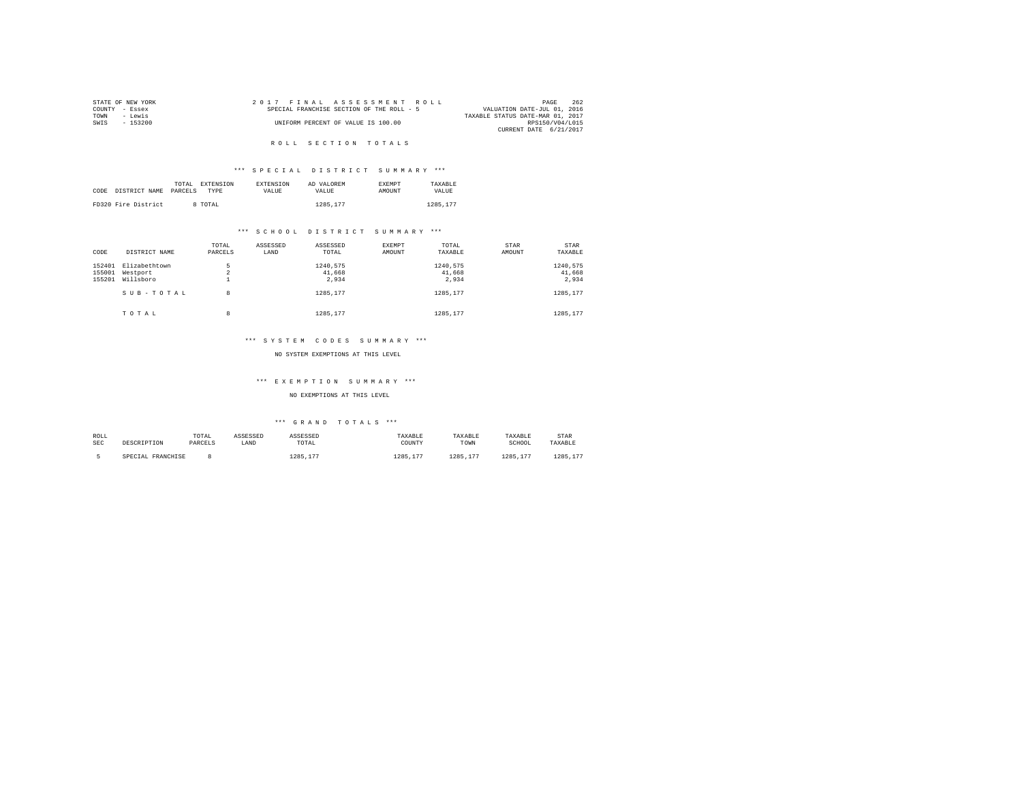|                | STATE OF NEW YORK |  | 2017 FINAL ASSESSMENT ROLL                |  |  |                                  | PAGE            | 262 |
|----------------|-------------------|--|-------------------------------------------|--|--|----------------------------------|-----------------|-----|
| COUNTY - Essex |                   |  | SPECIAL FRANCHISE SECTION OF THE ROLL - 5 |  |  | VALUATION DATE-JUL 01, 2016      |                 |     |
| TOWN           | - Lewis           |  |                                           |  |  | TAXABLE STATUS DATE-MAR 01, 2017 |                 |     |
| SWTS           | - 153200          |  | UNIFORM PERCENT OF VALUE IS 100.00        |  |  |                                  | RPS150/V04/L015 |     |
|                |                   |  |                                           |  |  | CURRENT DATE 6/21/2017           |                 |     |

### R O L L S E C T I O N T O T A L S

#### \*\*\* S P E C I A L D I S T R I C T S U M M A R Y \*\*\*

|      |                     | TOTAL<br><b>EXTENSION</b> | <b>EXTENSION</b> | AD VALOREM | <b>EXEMPT</b> | TAXARLE  |
|------|---------------------|---------------------------|------------------|------------|---------------|----------|
| CODE | DISTRICT NAME       | PARCELS<br>TYPE           | VALUE            | VALUE.     | <b>AMOUNT</b> | VALUE    |
|      |                     |                           |                  |            |               |          |
|      | FD320 Fire District | 8 TOTAL                   |                  | 1285.177   |               | 1285.177 |

#### \*\*\* S C H O O L D I S T R I C T S U M M A R Y \*\*\*

| CODE             | DISTRICT NAME             | TOTAL<br>PARCELS | ASSESSED<br>LAND | ASSESSED<br>TOTAL  | EXEMPT<br>AMOUNT | TOTAL<br>TAXABLE   | STAR<br>AMOUNT | <b>STAR</b><br>TAXABLE |
|------------------|---------------------------|------------------|------------------|--------------------|------------------|--------------------|----------------|------------------------|
| 152401<br>155001 | Elizabethtown<br>Westport | 5<br>$\sim$<br>4 |                  | 1240.575<br>41,668 |                  | 1240.575<br>41.668 |                | 1240,575<br>41,668     |
| 155201           | Willsboro<br>SUB-TOTAL    | ۰<br>8           |                  | 2.934<br>1285.177  |                  | 2.934<br>1285.177  |                | 2.934<br>1285.177      |
|                  | TOTAL                     | 8                |                  | 1285.177           |                  | 1285.177           |                | 1285.177               |

#### \*\*\* S Y S T E M C O D E S S U M M A R Y \*\*\*

#### NO SYSTEM EXEMPTIONS AT THIS LEVEL

#### \*\*\* E X E M P T I O N S U M M A R Y \*\*\*

#### NO EXEMPTIONS AT THIS LEVEL

| ROLL<br><b>SEC</b> | DESCRIPTION       | TOTAL<br>PARCELS | ASSESSED<br>LAND | ASSESSED<br>TOTAL<br>the contract of the contract of the contract of | TAXABLE<br>COUNTY | TAXABLE<br>TOWN | TAXABLE<br>SCHOOL | <b>STAR</b><br>TAXABLE |
|--------------------|-------------------|------------------|------------------|----------------------------------------------------------------------|-------------------|-----------------|-------------------|------------------------|
|                    | SPECIAL FRANCHISE |                  |                  | 1285.17<br>1.77                                                      | 1285.<br>177      | 1285.17<br>207  | 1285<br>177       | 1285.17<br>1.77        |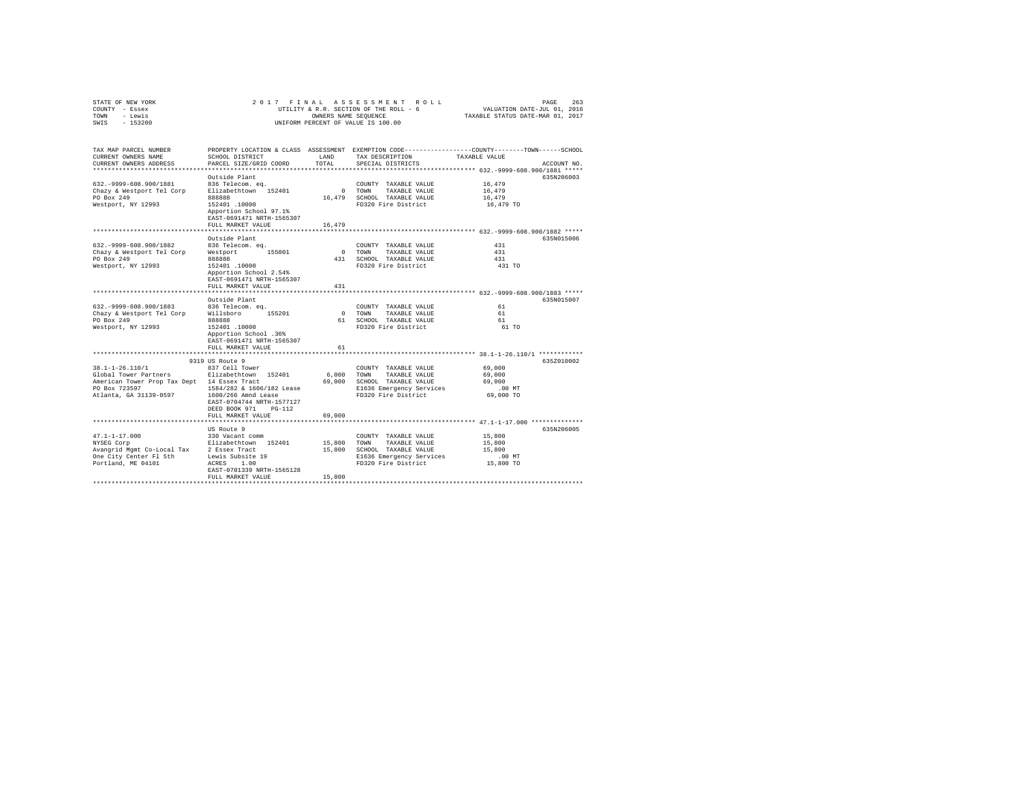|                | STATE OF NEW YORK |  | 2017 FINAL ASSESSMENT ROLL             | PAGE                             | 263 |
|----------------|-------------------|--|----------------------------------------|----------------------------------|-----|
| COUNTY - Essex |                   |  | UTILITY & R.R. SECTION OF THE ROLL - 6 | VALUATION DATE-JUL 01, 2016      |     |
| TOWN           | - Lewis           |  | OWNERS NAME SEOUENCE                   | TAXABLE STATUS DATE-MAR 01, 2017 |     |
| SWIS           | $-153200$         |  | UNIFORM PERCENT OF VALUE IS 100.00     |                                  |     |

| TAX MAP PARCEL NUMBER<br>CURRENT OWNERS NAME | SCHOOL DISTRICT                                     | <b>T.AND</b> | TAX DESCRIPTION                                      | PROPERTY LOCATION & CLASS ASSESSMENT EXEMPTION CODE---------------COUNTY-------TOWN-----SCHOOL<br>TAXABLE VALUE |             |
|----------------------------------------------|-----------------------------------------------------|--------------|------------------------------------------------------|-----------------------------------------------------------------------------------------------------------------|-------------|
| CURRENT OWNERS ADDRESS                       | PARCEL SIZE/GRID COORD                              | TOTAL        | SPECIAL DISTRICTS                                    |                                                                                                                 | ACCOUNT NO. |
|                                              |                                                     |              |                                                      |                                                                                                                 |             |
| 632. - 9999 - 608. 900/1881                  | Outside Plant                                       |              |                                                      |                                                                                                                 | 635N206003  |
|                                              | 836 Telecom. eq.<br>Elizabethtown 152401            |              | COUNTY TAXABLE VALUE                                 | 16,479                                                                                                          |             |
| Chazy & Westport Tel Corp<br>PO Box 249      | 888888                                              | $\mathbf{0}$ | TOWN<br>TAXABLE VALUE<br>16,479 SCHOOL TAXABLE VALUE | 16,479<br>16,479                                                                                                |             |
| Westport, NY 12993                           | 152401.10000                                        |              | FD320 Fire District                                  | 16,479 TO                                                                                                       |             |
|                                              | Apportion School 97.1%<br>EAST-0691471 NRTH-1565307 |              |                                                      |                                                                                                                 |             |
|                                              | FULL MARKET VALUE                                   | 16,479       |                                                      |                                                                                                                 |             |
|                                              |                                                     |              |                                                      | *********************** 632.-9999-608.900/1882 *****                                                            |             |
|                                              | Outside Plant                                       |              |                                                      |                                                                                                                 | 635N015006  |
| 632. - 9999 - 608. 900/1882                  | 836 Telecom. eq.                                    |              | COUNTY TAXABLE VALUE                                 | 431                                                                                                             |             |
| Chazy & Westport Tel Corp                    | Westport<br>155001                                  | $\sim$ 0     | TOWN<br>TAXABLE VALUE                                | 431                                                                                                             |             |
| PO Box 249                                   | 888888                                              | 431          | SCHOOL TAXABLE VALUE                                 | 431                                                                                                             |             |
| Westport, NY 12993                           | 152401.10000                                        |              | FD320 Fire District                                  | 431 TO                                                                                                          |             |
|                                              | Apportion School 2.54%                              |              |                                                      |                                                                                                                 |             |
|                                              | EAST-0691471 NRTH-1565307<br>FULL MARKET VALUE      |              |                                                      |                                                                                                                 |             |
|                                              |                                                     | 431          |                                                      |                                                                                                                 |             |
|                                              | Outside Plant                                       |              |                                                      |                                                                                                                 | 635N015007  |
| 632. - 9999 - 608. 900/1883                  | 836 Telecom. eq.                                    |              | COUNTY TAXABLE VALUE                                 | 61                                                                                                              |             |
| Chazy & Westport Tel Corp                    | 155201<br>Willsboro                                 | $\circ$      | TAXABLE VALUE<br>TOWN                                | 61                                                                                                              |             |
| PO Box 249                                   | 888888                                              |              | 61 SCHOOL TAXABLE VALUE                              | 61                                                                                                              |             |
| Westport, NY 12993                           | 152401.10000                                        |              | FD320 Fire District                                  | 61 TO                                                                                                           |             |
|                                              | Apportion School .36%                               |              |                                                      |                                                                                                                 |             |
|                                              | EAST-0691471 NRTH-1565307                           |              |                                                      |                                                                                                                 |             |
|                                              | FULL MARKET VALUE                                   | 61           |                                                      |                                                                                                                 |             |
|                                              |                                                     |              |                                                      | ************* 38.1-1-26.110/1 ************                                                                      |             |
|                                              | 9319 US Route 9                                     |              |                                                      |                                                                                                                 | 635Z010002  |
| $38.1 - 1 - 26.110/1$                        | 837 Cell Tower                                      |              | COUNTY TAXABLE VALUE                                 | 69,000                                                                                                          |             |
| Global Tower Partners                        | Elizabethtown 152401                                | 6,000        | TOWN<br>TAXABLE VALUE                                | 69,000                                                                                                          |             |
| American Tower Prop Tax Dept 14 Essex Tract  |                                                     | 69,000       | SCHOOL TAXABLE VALUE                                 | 69,000                                                                                                          |             |
| PO Box 723597                                | 1584/282 & 1606/182 Lease                           |              | E1636 Emergency Services                             | .00 MT                                                                                                          |             |
| Atlanta, GA 31139-0597                       | 1600/266 Amnd Lease                                 |              | FD320 Fire District                                  | 69,000 TO                                                                                                       |             |
|                                              | EAST-0704744 NRTH-1577127                           |              |                                                      |                                                                                                                 |             |
|                                              | DEED BOOK 971<br>$PG-112$                           |              |                                                      |                                                                                                                 |             |
|                                              | FULL MARKET VALUE                                   | 69,000       |                                                      |                                                                                                                 |             |
|                                              |                                                     |              |                                                      | ******************** 47.1-1-17.000 ************                                                                 |             |
|                                              | US Route 9                                          |              |                                                      |                                                                                                                 | 635N206005  |
| $47.1 - 1 - 17.000$                          | 330 Vacant comm                                     |              | COUNTY TAXABLE VALUE                                 | 15,800                                                                                                          |             |
| NYSEG Corp                                   | Elizabethtown 152401                                | 15,800       | TOWN<br>TAXABLE VALUE                                | 15,800                                                                                                          |             |
| Avangrid Mgmt Co-Local Tax                   | 2 Essex Tract                                       | 15,800       | SCHOOL TAXABLE VALUE                                 | 15,800                                                                                                          |             |
| One City Center Fl 5th                       | Lewis Subsite 19                                    |              | E1636 Emergency Services                             | .00 MT                                                                                                          |             |
| Portland, ME 04101                           | ACRES<br>1.00                                       |              | FD320 Fire District                                  | 15,800 TO                                                                                                       |             |
|                                              | EAST-0701339 NRTH-1565128                           |              |                                                      |                                                                                                                 |             |
|                                              | FULL MARKET VALUE                                   | 15,800       |                                                      |                                                                                                                 |             |
|                                              |                                                     |              |                                                      |                                                                                                                 |             |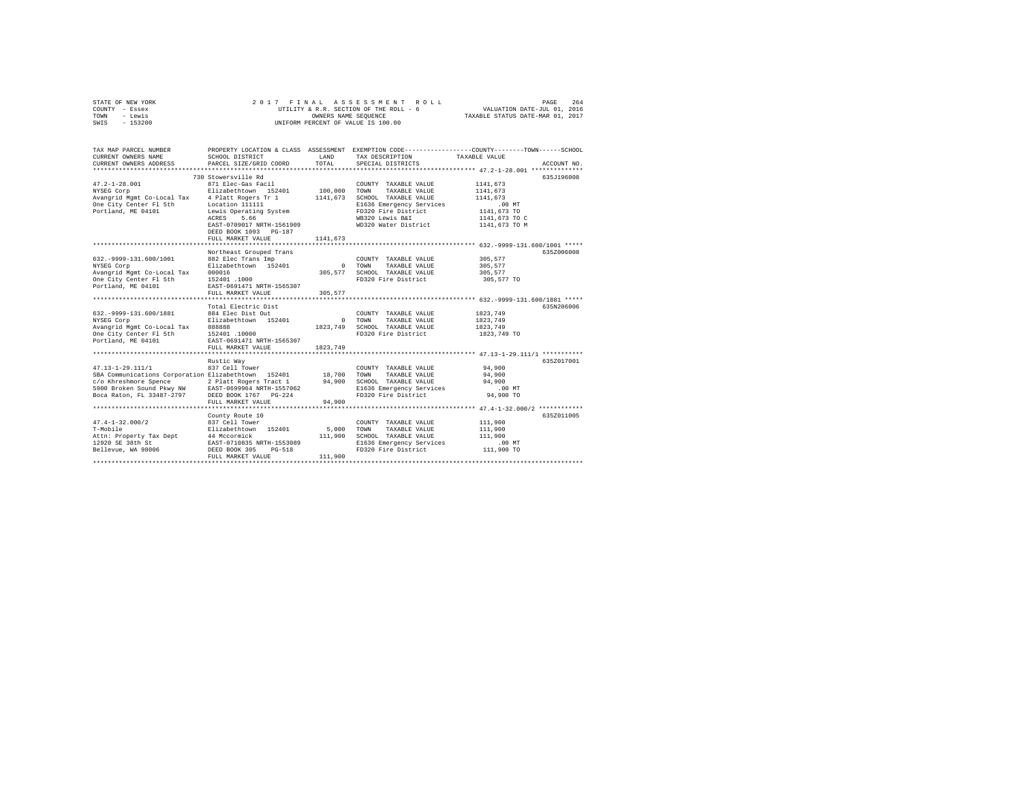| STATE OF NEW YORK | 2017 FINAL ASSESSMENT ROLL             | 264<br>PAGE                      |
|-------------------|----------------------------------------|----------------------------------|
| COUNTY - Essex    | UTILITY & R.R. SECTION OF THE ROLL - 6 | VALUATION DATE-JUL 01, 2016      |
| TOWN<br>- Lewis   | OWNERS NAME SEOUENCE                   | TAXABLE STATUS DATE-MAR 01, 2017 |
| $-153200$<br>SWIS | UNIFORM PERCENT OF VALUE IS 100.00     |                                  |

| TAX MAP PARCEL NUMBER<br>CURRENT OWNERS NAME                                                                                                                                                                                                                                      | SCHOOL DISTRICT                                                                 | LAND     | TAX DESCRIPTION TAXABLE VALUE                                                                 | PROPERTY LOCATION & CLASS ASSESSMENT EXEMPTION CODE---------------COUNTY-------TOWN------SCHOOL |
|-----------------------------------------------------------------------------------------------------------------------------------------------------------------------------------------------------------------------------------------------------------------------------------|---------------------------------------------------------------------------------|----------|-----------------------------------------------------------------------------------------------|-------------------------------------------------------------------------------------------------|
| CURRENT OWNERS ADDRESS PARCEL SIZE/GRID COORD TOTAL                                                                                                                                                                                                                               |                                                                                 |          | SPECIAL DISTRICTS                                                                             | ACCOUNT NO.                                                                                     |
| 47.2-1-28.001<br>871 Elec-Gas Facil COUNTY TAXABLE VALUE 1141,673<br>NYSEG Corp (1911 Elec-Gas Facil 100,000 TOWN TAXABLE VALUE 1141,673<br>Neargrid Mgmt Co-Local Tax 4 Platt Rogers Tr 1 1141,673 SCHOOL TAXABLE VALUE 1141,673<br>                                             | 730 Stowersville Rd<br>ACRES 5.66<br>DEED BOOK 1093 PG-187<br>FULL MARKET VALUE | 1141.673 |                                                                                               | 635J196008                                                                                      |
|                                                                                                                                                                                                                                                                                   |                                                                                 |          |                                                                                               |                                                                                                 |
| 632.-9999-131.600/1001 882 Elec Trans Imp<br>NYSEG COPP<br>NYSEG COPP = ELIZABELE NAME NAME AND SUPERIOR NAME CONTRASSE VALUE<br>NAME COPP = ELIZABE NAME CONTRASSE NAME AND SUPERIOR ON TRANSLE VALUE<br>POPEL NAME ON TRANSPORT NAME AND SUPERIOR NAME OF THE NAME OF POSTAL PR | Northeast Grouped Trans                                                         |          | COUNTY TAXABLE VALUE 305,577<br>FD320 Fire District 305,577 TO                                | 635Z006008<br>305,577<br>305,577                                                                |
|                                                                                                                                                                                                                                                                                   |                                                                                 |          |                                                                                               |                                                                                                 |
| 632.-9999-131.600/1881 - 2011<br>NYSEG Corp 2012 2012 2013<br>Avangrid Mgmt Co-Local Tax 88888 2012 1823,749 7000 TAXABLE VALUE 1823,749<br>Avangrid Mgmt Co-Local Tax 88888<br>One City Center F1 5th 152401 1823,749 5CHOOL TAXABLE VALU                                        | Total Electric Dist                                                             |          |                                                                                               | 635N206006<br>1823,749                                                                          |
|                                                                                                                                                                                                                                                                                   |                                                                                 |          |                                                                                               | 1823,749 TO                                                                                     |
|                                                                                                                                                                                                                                                                                   |                                                                                 |          |                                                                                               |                                                                                                 |
| 47.13-1-29.111/1        837 Cell Tower                COUNTY TAXABLE VALUE        94,900<br>SBA Communications Corporation Elizabethtown 152401      18,700  TOWN   TAXABLE VALUE        94,900                                                                                   | Rustic Way<br>FULL MARKET VALUE                                                 | 94,900   |                                                                                               | 635Z017001<br>94,900                                                                            |
|                                                                                                                                                                                                                                                                                   | County Route 10                                                                 |          |                                                                                               | 635Z011005                                                                                      |
| 47.4-1-32.000/2<br>T-Mobile 211xabethrown 152401 5,000 TOWN TAXABLE VAUUE 111,900<br>12920 SE 38th St 44 Mccormick EXABLE 2010 SCHOOL TAXABLE VAUUE 111,900<br>12920 SE 38th St BAST-0710835 NRTH-1553089 211,900 SCHOOL TAXABLE VAUUE 111,900<br>12920 SE                        | edding noded 10<br>837 Cell Tower                                               |          | COUNTY TAXABLE VALUE 111,900<br>E1636 Emergency Services .00 MT<br>FD320 Fire District .00 TO |                                                                                                 |
|                                                                                                                                                                                                                                                                                   |                                                                                 |          |                                                                                               |                                                                                                 |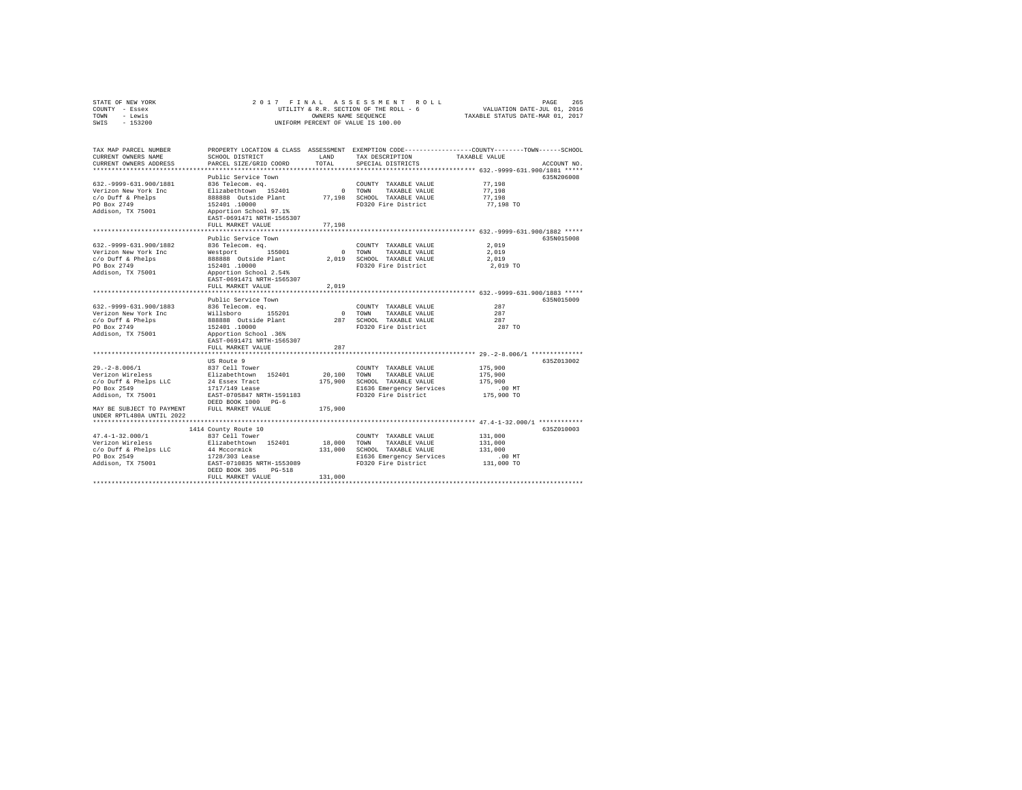| STATE OF NEW YORK | 2017 FINAL ASSESSMENT ROLL             | 265<br>PAGE                      |
|-------------------|----------------------------------------|----------------------------------|
| COUNTY - Essex    | UTILITY & R.R. SECTION OF THE ROLL - 6 | VALUATION DATE-JUL 01, 2016      |
| TOWN<br>- Lewis   | OWNERS NAME SEOUENCE                   | TAXABLE STATUS DATE-MAR 01, 2017 |
| $-153200$<br>SWIS | UNIFORM PERCENT OF VALUE IS 100.00     |                                  |

| TAX MAP PARCEL NUMBER<br>CURRENT OWNERS NAME                       | SCHOOL DISTRICT                                             | T.AND       | TAX DESCRIPTION                                           | PROPERTY LOCATION & CLASS ASSESSMENT EXEMPTION CODE----------------COUNTY-------TOWN------SCHOOL<br>TAXABLE VALUE |
|--------------------------------------------------------------------|-------------------------------------------------------------|-------------|-----------------------------------------------------------|-------------------------------------------------------------------------------------------------------------------|
| CURRENT OWNERS ADDRESS                                             | PARCEL SIZE/GRID COORD                                      | TOTAL       | SPECIAL DISTRICTS                                         | ACCOUNT NO.                                                                                                       |
|                                                                    |                                                             |             |                                                           |                                                                                                                   |
|                                                                    | Public Service Town                                         |             |                                                           | 635N206008                                                                                                        |
| 632. - 9999-631.900/1881<br>Verizon New York Inc                   | 836 Telecom. eq.<br>Elizabethtown 152401                    | 0 TOWN      | COUNTY TAXABLE VALUE<br>TAXABLE VALUE                     | 77,198<br>77,198                                                                                                  |
| c/o Duff & Phelps                                                  | 888888 Outside Plant                                        |             | 77.198 SCHOOL TAXABLE VALUE                               | 77.198                                                                                                            |
| PO Box 2749                                                        | 152401 .10000                                               |             | FD320 Fire District                                       | 77,198 TO                                                                                                         |
| Addison, TX 75001                                                  | Apportion School 97.1%                                      |             |                                                           |                                                                                                                   |
|                                                                    | EAST-0691471 NRTH-1565307                                   |             |                                                           |                                                                                                                   |
|                                                                    | FULL MARKET VALUE                                           | 77,198      |                                                           |                                                                                                                   |
|                                                                    | *****************                                           | ********    |                                                           | ******************************* 632.-9999-631.900/1882 *****                                                      |
|                                                                    | Public Service Town                                         |             |                                                           | 635N015008                                                                                                        |
| 632. - 9999 - 631. 900/1882                                        | 836 Telecom. eq.                                            |             | COUNTY TAXABLE VALUE                                      | 2,019                                                                                                             |
| Verizon New York Inc                                               | Westport 155001                                             |             | 0 TOWN TAXABLE VALUE                                      | 2,019                                                                                                             |
| c/o Duff & Phelps                                                  | 888888 Outside Plant<br>152401 .10000                       |             | 2,019 SCHOOL TAXABLE VALUE                                | 2,019                                                                                                             |
| PO Box 2749                                                        |                                                             |             | FD320 Fire District                                       | 2,019 TO                                                                                                          |
| Addison, TX 75001                                                  | Apportion School 2.54%                                      |             |                                                           |                                                                                                                   |
|                                                                    | EAST-0691471 NRTH-1565307                                   |             |                                                           |                                                                                                                   |
|                                                                    | FULL MARKET VALUE                                           | 2,019       |                                                           |                                                                                                                   |
|                                                                    | Public Service Town                                         |             |                                                           | 635N015009                                                                                                        |
| 632. - 9999-631.900/1883                                           | 836 Telecom, ea.                                            |             | COUNTY TAXABLE VALUE                                      | 287                                                                                                               |
| Verizon New York Inc                                               |                                                             |             | 0 TOWN<br>TAXABLE VALUE                                   | 287                                                                                                               |
| c/o Duff & Phelps                                                  | Willsboro 155201<br>888888 Outside Plant                    |             | 287 SCHOOL TAXABLE VALUE                                  | 287                                                                                                               |
| PO Box 2749                                                        | 152401.10000                                                |             | FD320 Fire District                                       | 287 TO                                                                                                            |
| Addison, TX 75001                                                  | Apportion School .36%                                       |             |                                                           |                                                                                                                   |
|                                                                    | EAST-0691471 NRTH-1565307                                   |             |                                                           |                                                                                                                   |
|                                                                    | FULL MARKET VALUE                                           | 287         |                                                           |                                                                                                                   |
|                                                                    |                                                             |             |                                                           |                                                                                                                   |
|                                                                    | US Route 9                                                  |             |                                                           | 635Z013002                                                                                                        |
| $29. - 2 - 8.006/1$                                                | 837 Cell Tower                                              |             | COUNTY TAXABLE VALUE                                      | 175,900                                                                                                           |
| Verizon Wireless                                                   | Elizabethtown 152401                                        |             | 20,100 TOWN TAXABLE VALUE<br>175,900 SCHOOL TAXABLE VALUE | 175,900<br>175,900                                                                                                |
| c/o Duff & Phelps LLC<br>PO Box 2549                               | 24 Essex Tract<br>1717/149 Lease                            |             | E1636 Emergency Services                                  | .00 MT                                                                                                            |
| Addison, TX 75001                                                  | EAST-0705847 NRTH-1591183                                   |             | FD320 Fire District                                       | 175,900 TO                                                                                                        |
|                                                                    |                                                             |             |                                                           |                                                                                                                   |
| DEED BOOK 1000 PG-6<br>MAY BE SUBJECT TO PAYMENT FULL MARKET VALUE |                                                             | 175,900     |                                                           |                                                                                                                   |
| UNDER RPTL480A UNTIL 2022                                          |                                                             |             |                                                           |                                                                                                                   |
|                                                                    |                                                             |             |                                                           |                                                                                                                   |
|                                                                    | 1414 County Route 10                                        |             |                                                           | 635Z010003                                                                                                        |
| $47.4 - 1 - 32.000/1$                                              | 837 Cell Tower                                              |             | COUNTY TAXABLE VALUE                                      | 131,000                                                                                                           |
| Verizon Wireless                                                   | Elizabethtown 152401                                        | 18,000 TOWN | TAXABLE VALUE                                             | 131,000                                                                                                           |
| c/o Duff & Phelps LLC                                              | 44 Mccormick<br>1728/303 Lease<br>EAST-0710835 NRTH-1553089 |             | 131,000 SCHOOL TAXABLE VALUE                              | 131,000                                                                                                           |
| PO Box 2549                                                        |                                                             |             | E1636 Emergency Services                                  | .00 MT                                                                                                            |
| Addison, TX 75001                                                  |                                                             |             | FD320 Fire District                                       | 131,000 TO                                                                                                        |
|                                                                    | DEED BOOK 305<br>$PG-518$                                   |             |                                                           |                                                                                                                   |
|                                                                    | FULL MARKET VALUE                                           | 131,000     |                                                           |                                                                                                                   |
|                                                                    |                                                             |             |                                                           |                                                                                                                   |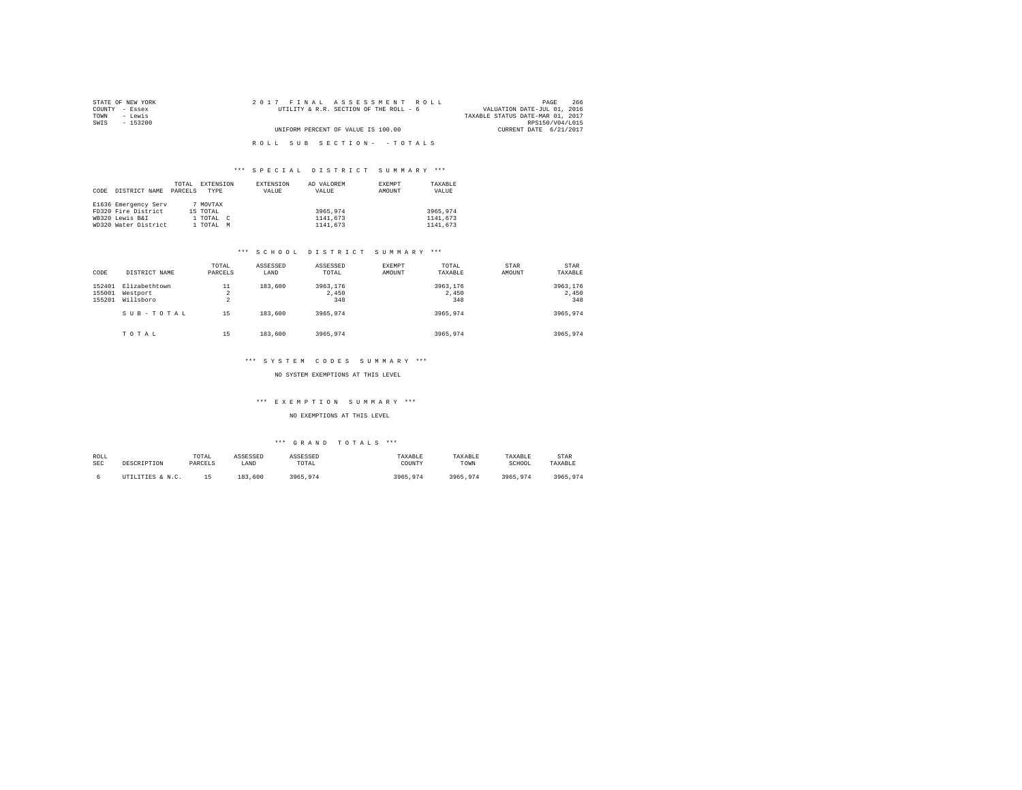| STATE OF NEW YORK | 2017 FINAL ASSESSMENT ROLL             | 266<br>PAGE                      |
|-------------------|----------------------------------------|----------------------------------|
| COUNTY - Essex    | UTILITY & R.R. SECTION OF THE ROLL - 6 | VALUATION DATE-JUL 01, 2016      |
| TOWN<br>- Lewis   |                                        | TAXABLE STATUS DATE-MAR 01, 2017 |
| SWIS<br>- 153200  |                                        | RPS150/V04/L015                  |
|                   | UNIFORM PERCENT OF VALUE IS 100.00     | CURRENT DATE 6/21/2017           |
|                   |                                        |                                  |
|                   | ROLL SUB SECTION- - TOTALS             |                                  |

|      |                      | TOTAL   | EXTENSION | EXTENSION | AD VALOREM | EXEMPT | TAXABLE  |
|------|----------------------|---------|-----------|-----------|------------|--------|----------|
| CODE | DISTRICT NAME        | PARCELS | TYPE      | VALUE     | VALUE      | AMOUNT | VALUE    |
|      |                      |         |           |           |            |        |          |
|      | E1636 Emergency Serv |         | 7 MOVTAX  |           |            |        |          |
|      | FD320 Fire District  |         | 15 TOTAL  |           | 3965,974   |        | 3965,974 |
|      | WB320 Lewis B&I      |         | 1 TOTAL C |           | 1141,673   |        | 1141.673 |
|      | WD320 Water District |         | 1 TOTAL   | M         | 1141,673   |        | 1141,673 |

#### \*\*\* S C H O O L D I S T R I C T S U M M A R Y \*\*\*

| CODE                       | DISTRICT NAME                          | TOTAL<br>PARCELS                       | ASSESSED<br>LAND | ASSESSED<br>TOTAL        | EXEMPT<br>AMOUNT | TOTAL<br>TAXABLE         | <b>STAR</b><br>AMOUNT | <b>STAR</b><br>TAXABLE   |
|----------------------------|----------------------------------------|----------------------------------------|------------------|--------------------------|------------------|--------------------------|-----------------------|--------------------------|
| 152401<br>155001<br>155201 | Elizabethtown<br>Westport<br>Willsboro | 11<br>$\overline{a}$<br>$\overline{a}$ | 183,600          | 3963,176<br>2,450<br>348 |                  | 3963.176<br>2.450<br>348 |                       | 3963,176<br>2,450<br>348 |
|                            | SUB-TOTAL                              | 15                                     | 183,600          | 3965,974                 |                  | 3965.974                 |                       | 3965,974                 |
|                            | TOTAL                                  | 15                                     | 183,600          | 3965,974                 |                  | 3965,974                 |                       | 3965,974                 |

#### \*\*\* S Y S T E M C O D E S S U M M A R Y \*\*\*

NO SYSTEM EXEMPTIONS AT THIS LEVEL

#### \*\*\* E X E M P T I O N S U M M A R Y \*\*\*

NO EXEMPTIONS AT THIS LEVEL

| ROLL | DESCRIPTION      | TOTAL   | ASSESSED | ASSESSED | TAXABLE  | TAXABLE  | TAXABLE  | STAR     |
|------|------------------|---------|----------|----------|----------|----------|----------|----------|
| SEC  |                  | PARCELS | LAND     | TOTAL    | COUNTY   | TOWN     | SCHOOL   | TAXABLE  |
|      | UTILITIES & N.C. | 1 F.    | 183,600  | 3965.974 | 3965.974 | 3965.974 | 3965.974 | 3965.974 |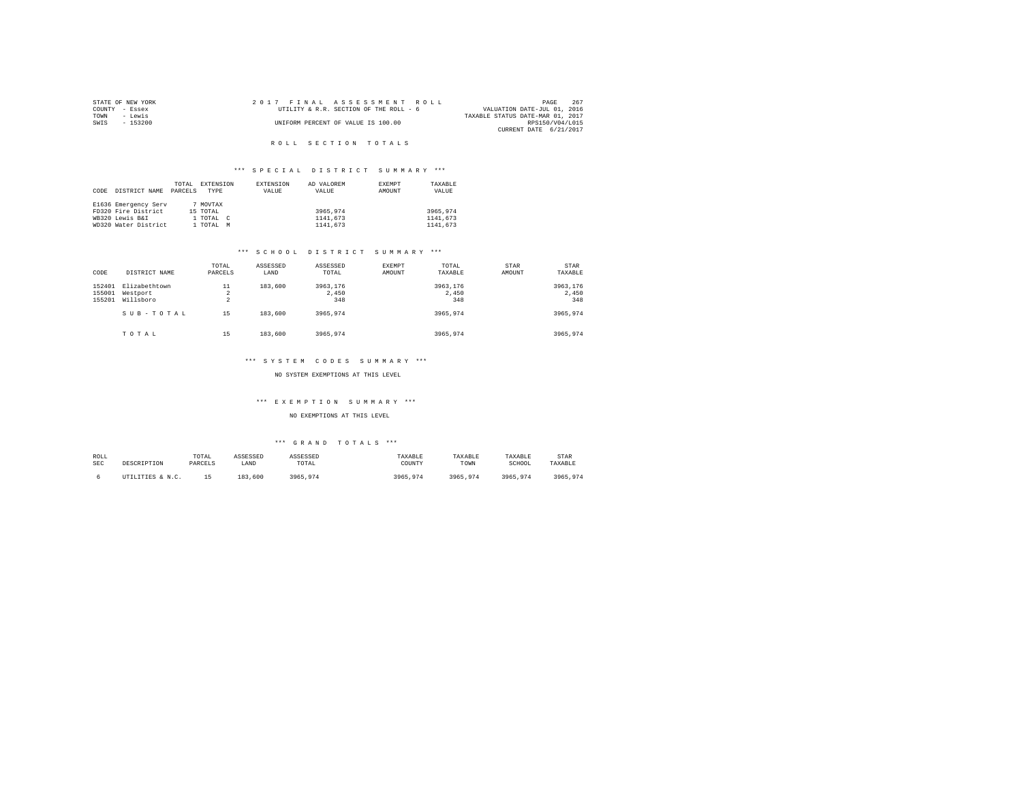|                | STATE OF NEW YORK | 2017 FINAL ASSESSMENT ROLL             |                                  | PAGE            | 267 |
|----------------|-------------------|----------------------------------------|----------------------------------|-----------------|-----|
| COUNTY - Essex |                   | UTILITY & R.R. SECTION OF THE ROLL - 6 | VALUATION DATE-JUL 01, 2016      |                 |     |
| TOWN           | - Lewis           |                                        | TAXABLE STATUS DATE-MAR 01, 2017 |                 |     |
| SWIS           | - 153200          | UNIFORM PERCENT OF VALUE IS 100.00     |                                  | RPS150/V04/L015 |     |
|                |                   |                                        | CURRENT DATE 6/21/2017           |                 |     |

### R O L L S E C T I O N T O T A L S

### \*\*\* S P E C I A L D I S T R I C T S U M M A R Y \*\*\*

|      |                      | TOTAL   | EXTENSION |            | EXTENSION | AD VALOREM | <b>EXEMPT</b> | TAXABLE  |
|------|----------------------|---------|-----------|------------|-----------|------------|---------------|----------|
| CODE | DISTRICT NAME        | PARCELS | TYPE      |            | VALUE     | VALUE      | AMOUNT        | VALUE    |
|      |                      |         |           |            |           |            |               |          |
|      | E1636 Emergency Serv |         | 7 MOVTAX  |            |           |            |               |          |
|      | FD320 Fire District  |         | 15 TOTAL  |            |           | 3965.974   |               | 3965.974 |
|      | WB320 Lewis B&I      |         | 1 TOTAL   | $\epsilon$ |           | 1141,673   |               | 1141.673 |
|      | WD320 Water District |         | 1 TOTAL   | M          |           | 1141,673   |               | 1141.673 |

#### \*\*\* S C H O O L D I S T R I C T S U M M A R Y \*\*\*

| CODE                       | DISTRICT NAME                          | TOTAL<br>PARCELS                       | ASSESSED<br>LAND | ASSESSED<br>TOTAL        | EXEMPT<br>AMOUNT | TOTAL<br>TAXABLE         | <b>STAR</b><br>AMOUNT | <b>STAR</b><br>TAXABLE   |
|----------------------------|----------------------------------------|----------------------------------------|------------------|--------------------------|------------------|--------------------------|-----------------------|--------------------------|
| 152401<br>155001<br>155201 | Elizabethtown<br>Westport<br>Willsboro | 11<br>$\overline{a}$<br>$\overline{a}$ | 183,600          | 3963,176<br>2,450<br>348 |                  | 3963.176<br>2.450<br>348 |                       | 3963,176<br>2,450<br>348 |
|                            | SUB-TOTAL                              | 15                                     | 183,600          | 3965,974                 |                  | 3965.974                 |                       | 3965,974                 |
|                            | TOTAL                                  | 15                                     | 183,600          | 3965,974                 |                  | 3965,974                 |                       | 3965,974                 |

#### \*\*\* S Y S T E M C O D E S S U M M A R Y \*\*\*

NO SYSTEM EXEMPTIONS AT THIS LEVEL

#### \*\*\* E X E M P T I O N S U M M A R Y \*\*\*

NO EXEMPTIONS AT THIS LEVEL

| ROLL | DESCRIPTION      | TOTAL   | ASSESSED | ASSESSED | TAXABLE  | TAXABLE  | TAXABLE  | STAR     |
|------|------------------|---------|----------|----------|----------|----------|----------|----------|
| SEC  |                  | PARCELS | LAND     | TOTAL    | COUNTY   | TOWN     | SCHOOL   | TAXABLE  |
|      | UTILITIES & N.C. |         | 183,600  | 3965.974 | 3965,974 | 3965.974 | 3965.974 | 3965.974 |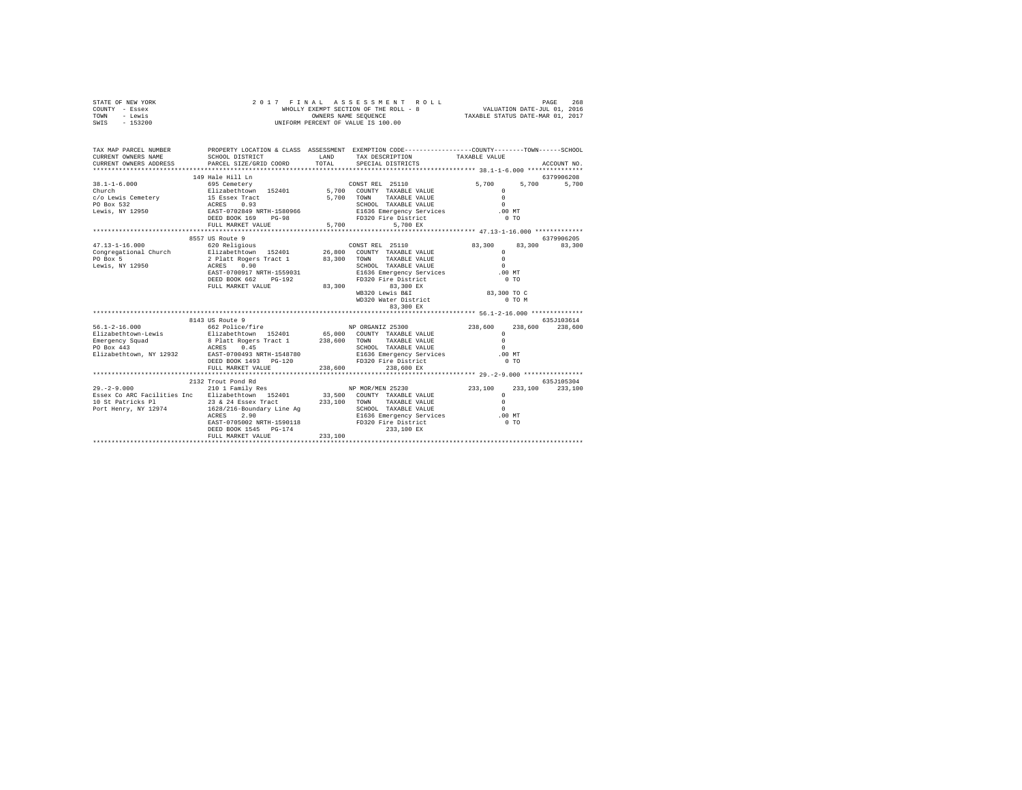| STATE OF NEW YORK | 2017 FINAL ASSESSMENT ROLL            | 268<br>PAGE                      |
|-------------------|---------------------------------------|----------------------------------|
| COUNTY - Essex    | WHOLLY EXEMPT SECTION OF THE ROLL - 8 | VALUATION DATE-JUL 01, 2016      |
| TOWN<br>- Lewis   | OWNERS NAME SEOUENCE                  | TAXABLE STATUS DATE-MAR 01, 2017 |
| $-153200$<br>SWIS | UNIFORM PERCENT OF VALUE IS 100.00    |                                  |

| TAX MAP PARCEL NUMBER<br>CURRENT OWNERS NAME<br>CURRENT OWNERS ADDRESS                                                                                                                                                                                               | SCHOOL DISTRICT<br>PARCEL SIZE/GRID COORD                                                                                                                                                                       | <b>T.AND</b> | PROPERTY LOCATION & CLASS ASSESSMENT EXEMPTION CODE---------------COUNTY-------TOWN-----SCHOOL<br>TAX DESCRIPTION TAXABLE VALUE<br>TOTAL SPECIAL DISTRICTS                   |                                                                                                             | ACCOUNT NO.           |
|----------------------------------------------------------------------------------------------------------------------------------------------------------------------------------------------------------------------------------------------------------------------|-----------------------------------------------------------------------------------------------------------------------------------------------------------------------------------------------------------------|--------------|------------------------------------------------------------------------------------------------------------------------------------------------------------------------------|-------------------------------------------------------------------------------------------------------------|-----------------------|
| $38.1 - 1 - 6.000$<br>Church<br>Church Bilzapethtown 192401 9,700 COUNTI HAMBLE VALUE 0<br>C/O Lewis Cemetery 15 SSBex Tract 5,700 TOWN TAXABLE VALUE 0<br>PO Box 532 1 ACRES 0.93 SCHOOL TAXABLE VALUE 0<br>Lewis, NY 12950 200819 NRTH-1580966 21636 Emergency Ser | 149 Hale Hill Ln<br>DEED BOOK 169<br>$PG-98$<br>FULL MARKET VALUE                                                                                                                                               | 5,700        | CONST REL 25110<br>FD320 Fire District<br>5,700 EX                                                                                                                           | 5,700<br>5,700<br>$\Omega$<br>$0$ TO                                                                        | 6379906208<br>5,700   |
|                                                                                                                                                                                                                                                                      |                                                                                                                                                                                                                 |              |                                                                                                                                                                              |                                                                                                             |                       |
|                                                                                                                                                                                                                                                                      | DEED BOOK 662 PG-192<br>FULL MARKET VALUE                                                                                                                                                                       | 83,300       | TOWN TAXABLE VALUE<br>SCHOOL TAXABLE VALUE<br>E1636 Emergency Services<br>ED320 Fire District<br>FD320 Fire District<br>83,300 EX<br>WB320 Lewis B&I<br>WD320 Water District | 83,300 83,300 83,300<br>$\Omega$<br>$\Omega$<br>$.00 \text{ MT}$<br>0 <sub>T</sub><br>83,300 TO C<br>0 TO M | 6379906205            |
|                                                                                                                                                                                                                                                                      | 8143 US Route 9                                                                                                                                                                                                 |              |                                                                                                                                                                              |                                                                                                             | 635.7103614           |
| $56.1 - 2 - 16.000$<br>Elizabethtown-Lewis<br>Emergency Squad<br>ACRES 0.45<br>PO Box 443<br>Elizabethtown, NY 12932 EAST-0700493 NRTH-1548780                                                                                                                       | 662 Police/fire 35300<br>Elizabethtown 152401 65,000 COUNTY TAXABLE-VALUE<br>8 Platt Rogers Tract 1 238,600 TOWN TAXABLE-VALUE<br>ACRES 0.45 SCHOOL TAXABLE-VALUE<br>DEED BOOK 1493 PG-120<br>FULL MARKET VALUE | 238,600      | E1636 Emergency Services .00 MT<br>FD320 Fire District<br>238,600 EX                                                                                                         | 238,600<br>238,600<br>$\mathbf{r}$<br>$\Omega$<br>$\Omega$<br>$0$ TO                                        | 238,600               |
| $29. - 2 - 9.000$<br>Essex Co ARC Facilities Inc Blizabethtown 152401 33,500 COUNTY TAXABLE VALUE<br>10 St Patricks P1 23 24 24 Essex Tract 233,100 TONN TAXABLE VALUE<br>Port Henry, NY 12974 1628/216-Boundary Line Ag SCHOOL TAXABLE VALUE                        | 2132 Trout Pond Rd<br>2.90<br>ACRES<br>EAST-0705002 NRTH-1590118 FD320 Fire District<br>prep. Book 1545 - 02-174 233 100 FV<br>DEED BOOK 1545 PG-174<br>FULL MARKET VALUE                                       | 233,100      | E1636 Emergency Services .00 MT<br>233,100 EX                                                                                                                                | 233,100<br>$\circ$<br>$\Omega$<br>$\sim$<br>$0$ TO                                                          | 635J105304<br>233,100 |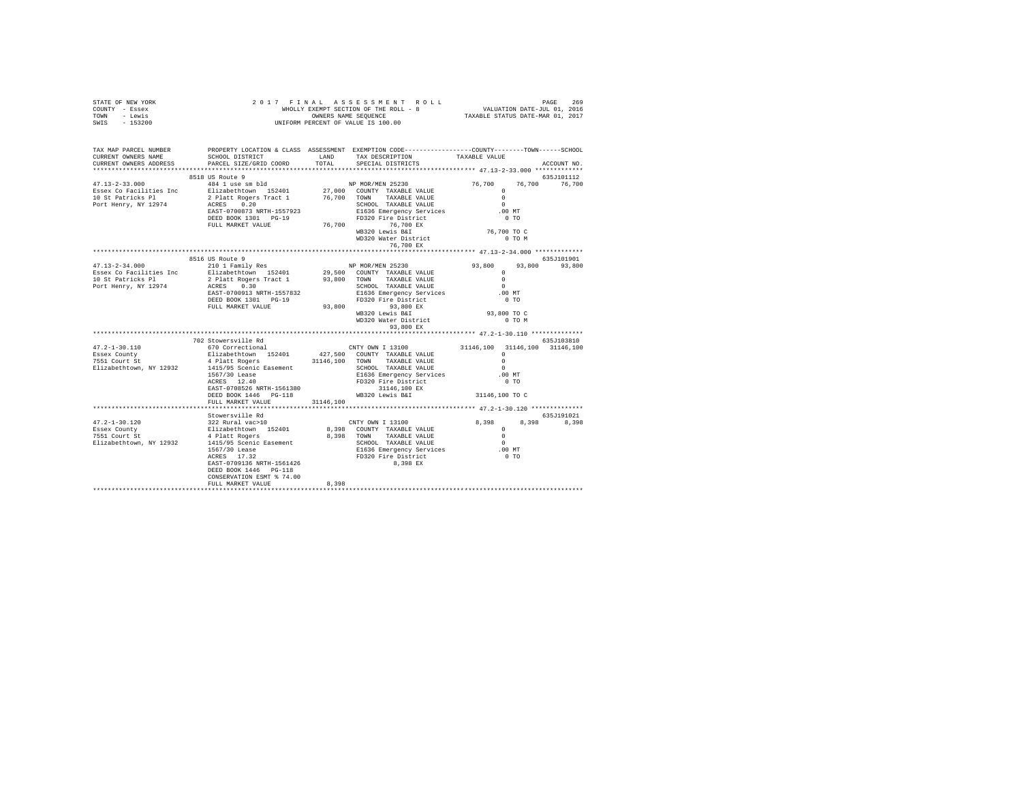| STATE OF NEW YORK<br>COUNTY - Essex<br>TOWN - Lewis<br>SWIS - 153200 | 2017 FINAL ASSESSMENT ROLL PROPERT ROLL - 8<br>WHOLLY EXEMPT SECTION OF THE ROLL - 8<br>OWNERS RAME DERECENT OF VALUE IS 100.00                                                                                                                                                                              |           | FINAL ASSES MENT ROLL<br>WHOLLY EXEMPT SECTION OF THE ROLL - 8<br>WHOLLY EXEMPT SECTION OF THE ROLL - 8<br>TAXABLE STATUS DATE-MAR 01, 2017 |                                               |            |                             |
|----------------------------------------------------------------------|--------------------------------------------------------------------------------------------------------------------------------------------------------------------------------------------------------------------------------------------------------------------------------------------------------------|-----------|---------------------------------------------------------------------------------------------------------------------------------------------|-----------------------------------------------|------------|-----------------------------|
| CURRENT OWNERS NAME<br>CURRENT OWNERS ADDRESS                        | TAX MAP PARCEL NUMBER PROPERTY LOCATION & CLASS ASSESSMENT EXEMPTION CODE--------------COUNTY-------TOWN------SCHOOL<br>SCHOOL DISTRICT           LAND     TAX DESCRIPTION       TAXABLE VALUE<br>PARCEL SIZE/GRID COORD TOTAL                                                                               |           | SPECIAL DISTRICTS                                                                                                                           |                                               |            | ACCOUNT NO.                 |
|                                                                      |                                                                                                                                                                                                                                                                                                              |           |                                                                                                                                             |                                               |            |                             |
|                                                                      | 8518 US Route 9                                                                                                                                                                                                                                                                                              |           |                                                                                                                                             |                                               |            | 635J101112                  |
|                                                                      |                                                                                                                                                                                                                                                                                                              |           |                                                                                                                                             | 76,700 76,700 76,700                          |            |                             |
|                                                                      |                                                                                                                                                                                                                                                                                                              |           |                                                                                                                                             |                                               |            |                             |
|                                                                      | FULL MARKET VALUE<br>FULL MARKET VALUE<br>T6,700<br>WB320 Lewis B&I<br>WB320 Water District<br>T6,700 EX<br>T6,700 EX<br>T6,700 EX                                                                                                                                                                           |           |                                                                                                                                             |                                               |            |                             |
|                                                                      |                                                                                                                                                                                                                                                                                                              |           |                                                                                                                                             |                                               |            |                             |
| 47.13-2-34.000 210 1 Family Res                                      | 8516 US Route 9                                                                                                                                                                                                                                                                                              |           |                                                                                                                                             |                                               |            | 635J101901<br>93,800 93,800 |
|                                                                      |                                                                                                                                                                                                                                                                                                              |           | ND MOR/MEN 25230<br>29,500 COUNTY TAXABLE VALUE 93,800<br>29.900 TOWN TAXABLE VALUE 9<br>SCHOOL TAXABLE VALUE                               | $\sim$                                        |            |                             |
|                                                                      |                                                                                                                                                                                                                                                                                                              |           | PELL MARKET VALUE<br>FULL MARKET VALUE 93,800 93,800 EX<br>WB320 Lewis B&I                                                                  | .00MT                                         | $0$ TO     |                             |
|                                                                      |                                                                                                                                                                                                                                                                                                              |           | WD320 Water District<br>93,800 EX                                                                                                           | 93,800 TO C<br>0 TO M                         |            |                             |
|                                                                      | 702 Stowersville Rd                                                                                                                                                                                                                                                                                          |           |                                                                                                                                             | **************** 47.2-1-30.110 ************** | 635J103810 |                             |
| 47.2-1-30.110<br>Essex County<br>7551 Court St                       | 670 Correctional                                                                                                                                                                                                                                                                                             |           | CNTY OWN I 13100 31146,100 31146,100 31146,100                                                                                              |                                               |            |                             |
| Elizabethtown, NY 12932                                              | 4 Platt Rogers 31146,100 TOWN TAXABLE VALUE                                                                                                                                                                                                                                                                  |           |                                                                                                                                             | $\sim$ 0                                      |            |                             |
|                                                                      | 1415/95 Scenic Easement<br>1415/95 Scenic Easement<br>15279 Lease 1636 Emergency Services<br>2020 Eine District<br>2020 Exter District<br>20320 External 202146,100 EX<br>21146,100 EX                                                                                                                       |           |                                                                                                                                             | $\begin{smallmatrix}0\\0\end{smallmatrix}$ MT |            |                             |
|                                                                      | FULL MARKET VALUE                                                                                                                                                                                                                                                                                            | 31146,100 |                                                                                                                                             |                                               |            |                             |
|                                                                      |                                                                                                                                                                                                                                                                                                              |           |                                                                                                                                             |                                               |            |                             |
|                                                                      | Stowersville Rd                                                                                                                                                                                                                                                                                              |           |                                                                                                                                             |                                               | 635J191021 |                             |
|                                                                      | $\begin{array}{cccccc} 47.2\text{--}1-30.120 & 535 \text{J}191021 & 535 \text{J}191021 & 535 \text{J}191021 & 535 \text{J}191021 & 535 \text{J}191021 & 535 \text{J}191021 & 535 \text{J}191021 & 535 \text{J}191021 & 535 \text{J}191021 & 535 \text{J}191021 & 535 \text{J}191021 & 535 \text{J}191021 & $ |           |                                                                                                                                             |                                               |            |                             |
|                                                                      | DEED BOOK 1446 PG-118<br>CONSERVATION ESMT % 74.00<br>FULL MARKET VALUE                                                                                                                                                                                                                                      | 8.398     |                                                                                                                                             |                                               |            |                             |
|                                                                      |                                                                                                                                                                                                                                                                                                              |           |                                                                                                                                             |                                               |            |                             |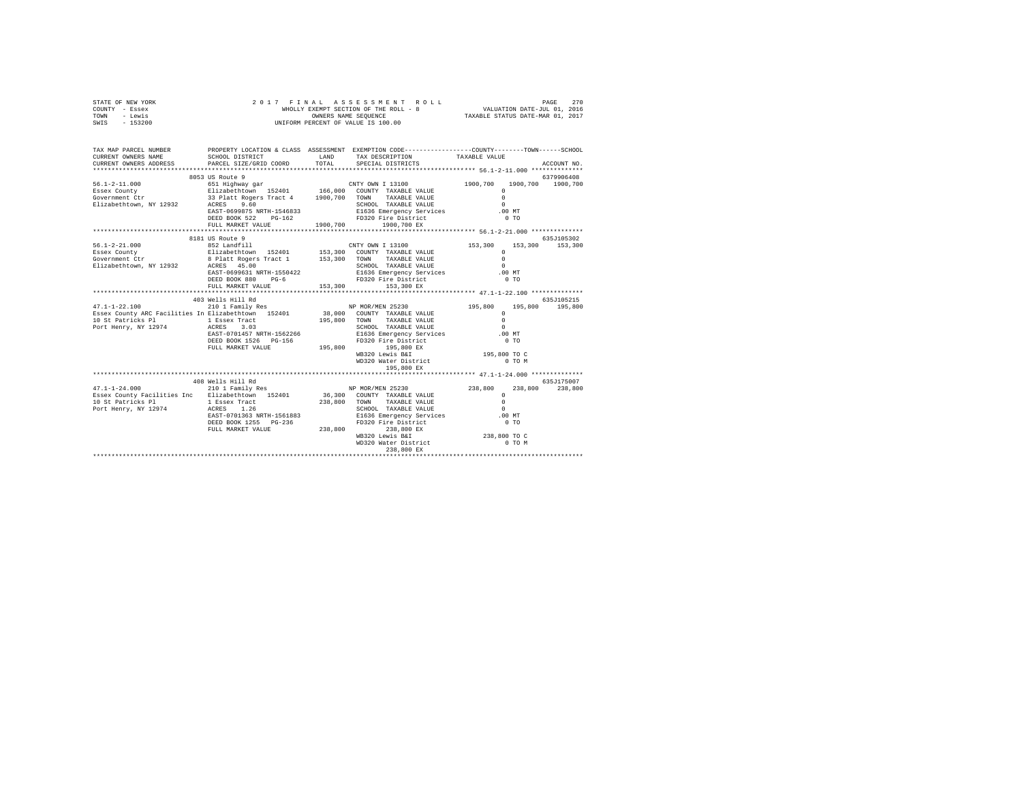| STATE OF NEW YORK<br>COUNTY - Essex<br>TOWN - Lewis<br>SWIS - 153200                                                                                                                                                                                                                                                                                                                                    |                   |                                                                                                   |  |             |
|---------------------------------------------------------------------------------------------------------------------------------------------------------------------------------------------------------------------------------------------------------------------------------------------------------------------------------------------------------------------------------------------------------|-------------------|---------------------------------------------------------------------------------------------------|--|-------------|
| TAX MAP PARCEL NUMBER PROPERTY LOCATION & CLASS ASSESSMENT EXEMPTION CODE--------------COUNTY-------TOWN------SCHOOL<br>CURRENT OWNERS NAME<br>CURRENT OWNERS ADDRESS PARCEL SIZE/GRID COORD TOTAL SPECIAL DISTRICTS                                                                                                                                                                                    |                   | SCHOOL DISTRICT                        LAND        TAX DESCRIPTION                  TAXABLE VALUE |  |             |
|                                                                                                                                                                                                                                                                                                                                                                                                         |                   |                                                                                                   |  | ACCOUNT NO. |
|                                                                                                                                                                                                                                                                                                                                                                                                         | 8053 US Route 9   |                                                                                                   |  | 6379906408  |
|                                                                                                                                                                                                                                                                                                                                                                                                         |                   |                                                                                                   |  |             |
|                                                                                                                                                                                                                                                                                                                                                                                                         |                   |                                                                                                   |  |             |
|                                                                                                                                                                                                                                                                                                                                                                                                         |                   |                                                                                                   |  |             |
|                                                                                                                                                                                                                                                                                                                                                                                                         |                   |                                                                                                   |  |             |
|                                                                                                                                                                                                                                                                                                                                                                                                         |                   |                                                                                                   |  |             |
| $\begin{array}{cccccccc} 56.1-2-11.000 & 8053\t\t\t\t\t 96.379906408 & 6379906408 & 6379906408 & 6379906408 & 6379906408 & 6379906408 & 6379906408 & 6379906408 & 6379906408 & 6379906408 & 6379906408 & 6379906408 & 6379906408 & 6379906408 & 6379906408 & 6379$                                                                                                                                      |                   |                                                                                                   |  |             |
|                                                                                                                                                                                                                                                                                                                                                                                                         |                   |                                                                                                   |  |             |
|                                                                                                                                                                                                                                                                                                                                                                                                         |                   |                                                                                                   |  |             |
|                                                                                                                                                                                                                                                                                                                                                                                                         |                   |                                                                                                   |  |             |
|                                                                                                                                                                                                                                                                                                                                                                                                         |                   |                                                                                                   |  |             |
|                                                                                                                                                                                                                                                                                                                                                                                                         |                   |                                                                                                   |  |             |
|                                                                                                                                                                                                                                                                                                                                                                                                         |                   |                                                                                                   |  |             |
|                                                                                                                                                                                                                                                                                                                                                                                                         |                   |                                                                                                   |  |             |
| $\begin{tabular}{l c c c c c} \multicolumn{4}{c c c c} \multicolumn{4}{c c c} \multicolumn{4}{c c c} \multicolumn{4}{c c c} \multicolumn{4}{c c c} \multicolumn{4}{c c c} \multicolumn{4}{c c c} \multicolumn{4}{c c c} \multicolumn{4}{c c c} \multicolumn{4}{c c c} \multicolumn{4}{c c c} \multicolumn{4}{c c c} \multicolumn{4}{c c c} \multicolumn{4}{c c c} \multicolumn{4}{c c c} \multicolumn{$ |                   |                                                                                                   |  |             |
|                                                                                                                                                                                                                                                                                                                                                                                                         |                   |                                                                                                   |  |             |
|                                                                                                                                                                                                                                                                                                                                                                                                         |                   |                                                                                                   |  |             |
|                                                                                                                                                                                                                                                                                                                                                                                                         |                   |                                                                                                   |  |             |
|                                                                                                                                                                                                                                                                                                                                                                                                         |                   |                                                                                                   |  |             |
|                                                                                                                                                                                                                                                                                                                                                                                                         |                   |                                                                                                   |  |             |
|                                                                                                                                                                                                                                                                                                                                                                                                         |                   |                                                                                                   |  |             |
|                                                                                                                                                                                                                                                                                                                                                                                                         |                   |                                                                                                   |  |             |
|                                                                                                                                                                                                                                                                                                                                                                                                         |                   |                                                                                                   |  |             |
|                                                                                                                                                                                                                                                                                                                                                                                                         |                   | 195,800 EX                                                                                        |  |             |
|                                                                                                                                                                                                                                                                                                                                                                                                         |                   |                                                                                                   |  |             |
|                                                                                                                                                                                                                                                                                                                                                                                                         | 408 Wells Hill Rd |                                                                                                   |  | 635J175007  |
|                                                                                                                                                                                                                                                                                                                                                                                                         |                   |                                                                                                   |  |             |
|                                                                                                                                                                                                                                                                                                                                                                                                         |                   |                                                                                                   |  |             |
|                                                                                                                                                                                                                                                                                                                                                                                                         |                   |                                                                                                   |  |             |
|                                                                                                                                                                                                                                                                                                                                                                                                         |                   |                                                                                                   |  |             |
|                                                                                                                                                                                                                                                                                                                                                                                                         |                   |                                                                                                   |  |             |
|                                                                                                                                                                                                                                                                                                                                                                                                         |                   |                                                                                                   |  |             |
|                                                                                                                                                                                                                                                                                                                                                                                                         |                   |                                                                                                   |  |             |
|                                                                                                                                                                                                                                                                                                                                                                                                         |                   | 238,800 EX                                                                                        |  |             |
|                                                                                                                                                                                                                                                                                                                                                                                                         |                   |                                                                                                   |  |             |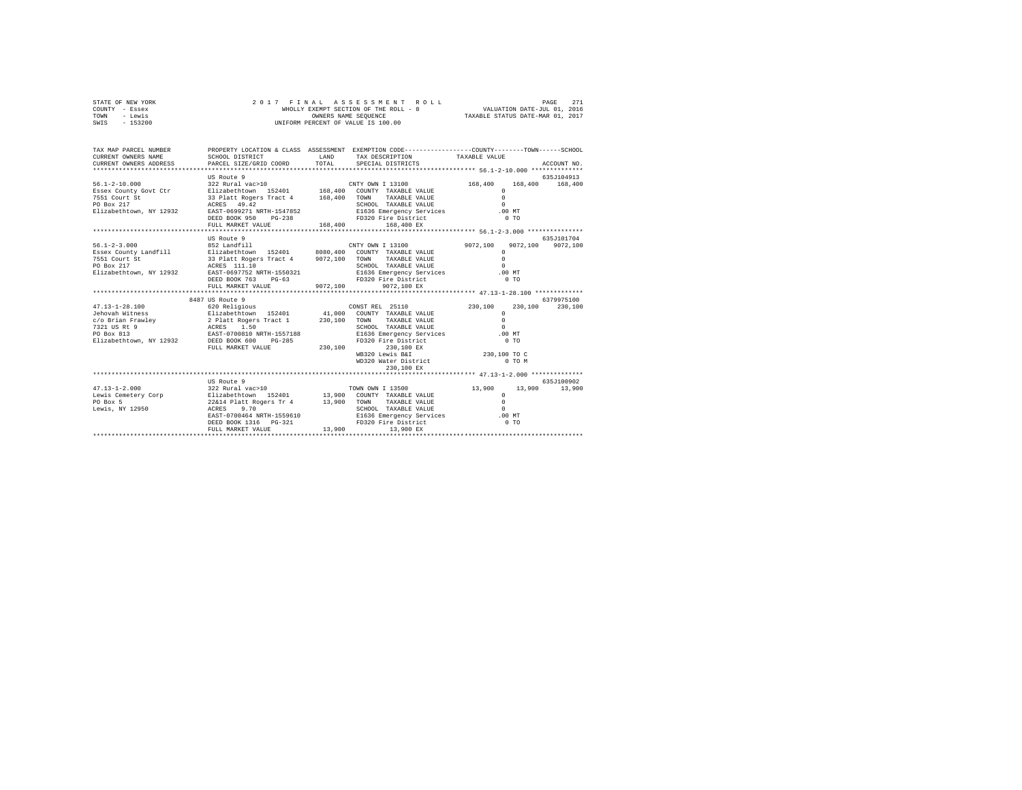| STATE OF NEW YORK | 2017 FINAL ASSESSMENT ROLL            | 271<br>PAGE                      |
|-------------------|---------------------------------------|----------------------------------|
| COUNTY - Essex    | WHOLLY EXEMPT SECTION OF THE ROLL - 8 | VALUATION DATE-JUL 01, 2016      |
| TOWN<br>- Lewis   | OWNERS NAME SEOUENCE                  | TAXABLE STATUS DATE-MAR 01, 2017 |
| SWIS<br>$-153200$ | UNIFORM PERCENT OF VALUE IS 100.00    |                                  |
|                   |                                       |                                  |
|                   |                                       |                                  |

| TAX MAP PARCEL NUMBER<br>CURRENT OWNERS NAME<br>CURRENT OWNERS ADDRESS<br>************************     | SCHOOL DISTRICT<br>PARCEL SIZE/GRID COORD                                                                                                                                                                                            | <b>T.AND</b><br>TOTAL | PROPERTY LOCATION & CLASS ASSESSMENT EXEMPTION CODE----------------COUNTY-------TOWN------SCHOOL<br>TAX DESCRIPTION<br>SPECIAL DISTRICTS                                                                                                                                                    | TAXARLE VALUE                                                                                    | ACCOUNT NO.                     |
|--------------------------------------------------------------------------------------------------------|--------------------------------------------------------------------------------------------------------------------------------------------------------------------------------------------------------------------------------------|-----------------------|---------------------------------------------------------------------------------------------------------------------------------------------------------------------------------------------------------------------------------------------------------------------------------------------|--------------------------------------------------------------------------------------------------|---------------------------------|
| $56.1 - 2 - 10.000$<br>Essex County Govt Ctr<br>7551 Court St<br>PO Box 217<br>Elizabethtown, NY 12932 | US Route 9<br>33 Platt Rogers Tract 4 168,400<br>ACRES 49.42<br>EAST-0699271 NRTH-1547852<br>DEED BOOK 950<br>$PG-238$<br>FULL MARKET VALUE                                                                                          | 168,400               | $\begin{array}{lll} 322 \text{ Rural vac}>10 & \text{CNTY OWN I } 13100 \\ \text{Elizabethtown} & 152401 & 168,400 & \text{COUNTY} & \text{TXABLE VAUIE} \end{array}$<br>TOWN TAXABLE VALUE<br>SCHOOL TAXABLE VALUE<br>E1636 Emergency Services .00 MT<br>FD320 Fire District<br>168,400 EX | 168,400 168,400<br>168,400<br>$\Omega$<br>$\Omega$<br>$\Omega$<br>0 <sub>T</sub>                 | 635J104913                      |
| $56.1 - 2 - 3.000$<br>Essex County Landfill<br>7551 Court St<br>PO Box 217<br>Elizabethtown, NY 12932  | US Route 9<br>852 Landfill<br>Elizabethtown 152401 8080,400 COUNTY TAXABLE VALUE<br>33 Platt Rogers Tract 4 9072,100<br>ACRES 111.10<br>EAST-0697752 NRTH-1550321<br>DEED BOOK 763 PG-63<br>FULL MARKET VALUE                        | 9072.100              | CNTY OWN I 13100<br>TOWN TAXABLE VALUE<br>SCHOOL TAXABLE VALUE<br>E1636 Emergency Services<br>FD320 Fire District<br>9072,100 EX                                                                                                                                                            | 9072.100<br>$\Omega$<br>$\Omega$<br>$\Omega$<br>$.00$ MT<br>0.70                                 | 635J101704<br>9072,100 9072,100 |
| $47.13 - 1 - 28.100$<br>PO Box 813<br>Elizabethtown, NY 12932                                          | 8487 US Route 9<br>620 Religious<br>EAST-0700810 NRTH-1557188<br>DEED BOOK 600 PG-285<br>FULL MARKET VALUE                                                                                                                           | 230,100               | CONST REL 25110<br>COUNTY TAXABLE VALUE<br>TOWN<br>TAXABLE VALUE<br>SCHOOL TAXABLE VALUE<br>E1636 Emergency Services<br>FD320 Fire District<br>230,100 EX<br>WB320 Lewis B&I<br>WD320 Water District<br>230,100 EX                                                                          | 230,100<br>230,100<br>$\Omega$<br>$\Omega$<br>$\Omega$<br>.00 MT<br>0T<br>230,100 TO C<br>O TO M | 6379975100<br>230,100           |
| $47.13 - 1 - 2.000$<br>Lewis Cemetery Corp<br>PO Box 5<br>Lewis, NY 12950                              | US Route 9<br>322 Rural vac>10 70WN OWN I 13500<br>Elizabethtown 152401 13,900 COUNTY TAXABLE VALUE<br>22&14 Platt Rogers Tr 4 13,900<br>ACRES<br>9.70<br>EAST-0700464 NRTH-1559610<br>DEED BOOK 1316    PG-321<br>FULL MARKET VALUE | 13,900                | TOWN<br>TAXABLE VALUE<br>SCHOOL TAXABLE VALUE<br>E1636 Emergency Services<br>FD320 Fire District<br>13,900 EX                                                                                                                                                                               | 13,900<br>$\Omega$<br>$\Omega$<br>$\Omega$<br>.00MT<br>$0$ TO                                    | 635.1100902<br>13,900 13,900    |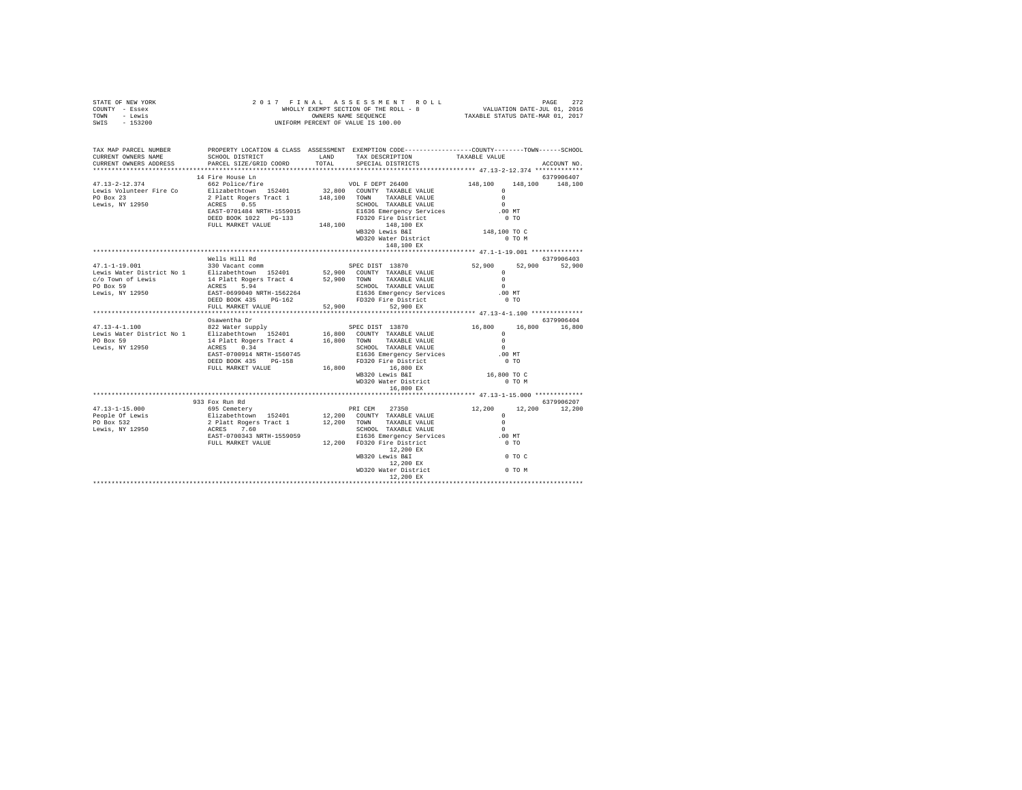| STATE OF NEW YORK<br>COUNTY - Essex<br>TOWN - Lewis<br>SWIS - 153200                                                                                                                                                                                                                                                                                                                                                                                            | 2017 FINAL ASSESSMENT ROL<br>WHOLLY EXEMPT SECTION OF THE ROLL - 8<br>ONNERS NAME SEQUENCE<br>UNIFORM PERCENT OF VALUE IS 100.00 |                                                                                                                                                                                                                                 |               |  |
|-----------------------------------------------------------------------------------------------------------------------------------------------------------------------------------------------------------------------------------------------------------------------------------------------------------------------------------------------------------------------------------------------------------------------------------------------------------------|----------------------------------------------------------------------------------------------------------------------------------|---------------------------------------------------------------------------------------------------------------------------------------------------------------------------------------------------------------------------------|---------------|--|
| TAX MAP PARCEL NUMBER PROPERTY LOCATION & CLASS ASSESSMENT EXEMPTION CODE--------------COUNTY-------TOWN-----SCHOOL<br>CURRENT OWNERS NAME<br>CURRENT OWNERS ADDRESS                                                                                                                                                                                                                                                                                            |                                                                                                                                  | ${\tt SCHOOL\ DISTRICT}\qquad\qquad {\tt LAND}\qquad\qquad {\tt TAX\ DESCRIPTION}\qquad\qquad {\tt TAXABLE\ VALUE}\nonumber$ PARCEL SIZE/GRID COORD $\qquad\qquad {\tt TOTAL}\qquad\qquad {\tt SPECIAL\ DISTRICTS}\qquad\qquad$ | ACCOUNT NO.   |  |
|                                                                                                                                                                                                                                                                                                                                                                                                                                                                 | 14 Fire House Ln                                                                                                                 |                                                                                                                                                                                                                                 | 6379906407    |  |
| $\begin{tabular}{l c c c c} \multicolumn{1}{c}{\textbf{47.13--2--12.374}} & \multicolumn{1}{c}{\textbf{48.100}} & \multicolumn{1}{c}{\textbf{57.11\textwidth}} & \multicolumn{1}{c}{\textbf{58.12\textwidth}} & \multicolumn{1}{c}{\textbf{59.12\textwidth}} & \multicolumn{1}{c}{\textbf{63.12\textwidth}} & \multicolumn{1}{c}{\textbf{63.12\textwidth}} & \multicolumn{1}{c}{\textbf{63.12\textwidth}} & \multicolumn{1}{c}{\textbf{63.$                     |                                                                                                                                  |                                                                                                                                                                                                                                 |               |  |
|                                                                                                                                                                                                                                                                                                                                                                                                                                                                 |                                                                                                                                  |                                                                                                                                                                                                                                 |               |  |
|                                                                                                                                                                                                                                                                                                                                                                                                                                                                 |                                                                                                                                  |                                                                                                                                                                                                                                 |               |  |
|                                                                                                                                                                                                                                                                                                                                                                                                                                                                 |                                                                                                                                  |                                                                                                                                                                                                                                 |               |  |
|                                                                                                                                                                                                                                                                                                                                                                                                                                                                 | Wells Hill Rd                                                                                                                    |                                                                                                                                                                                                                                 | 6379906403    |  |
| $\begin{tabular}{l c c c c c} \multicolumn{3}{c}{\textbf{0}} & \multicolumn{3}{c}{\textbf{0}} & \multicolumn{3}{c}{\textbf{0}} & \multicolumn{3}{c}{\textbf{0}} & \multicolumn{3}{c}{\textbf{0}} & \multicolumn{3}{c}{\textbf{0}} & \multicolumn{3}{c}{\textbf{0}} & \multicolumn{3}{c}{\textbf{0}} & \multicolumn{3}{c}{\textbf{0}} & \multicolumn{3}{c}{\textbf{0}} & \multicolumn{3}{c}{\textbf{0}} & \multicolumn{3}{c}{\textbf{0}} & \multicolumn{3}{c}{\$ |                                                                                                                                  |                                                                                                                                                                                                                                 |               |  |
|                                                                                                                                                                                                                                                                                                                                                                                                                                                                 |                                                                                                                                  |                                                                                                                                                                                                                                 |               |  |
|                                                                                                                                                                                                                                                                                                                                                                                                                                                                 |                                                                                                                                  |                                                                                                                                                                                                                                 |               |  |
|                                                                                                                                                                                                                                                                                                                                                                                                                                                                 | Osawentha Dr                                                                                                                     |                                                                                                                                                                                                                                 | 6379906404    |  |
|                                                                                                                                                                                                                                                                                                                                                                                                                                                                 |                                                                                                                                  |                                                                                                                                                                                                                                 |               |  |
|                                                                                                                                                                                                                                                                                                                                                                                                                                                                 |                                                                                                                                  |                                                                                                                                                                                                                                 |               |  |
|                                                                                                                                                                                                                                                                                                                                                                                                                                                                 |                                                                                                                                  |                                                                                                                                                                                                                                 |               |  |
|                                                                                                                                                                                                                                                                                                                                                                                                                                                                 |                                                                                                                                  |                                                                                                                                                                                                                                 |               |  |
|                                                                                                                                                                                                                                                                                                                                                                                                                                                                 |                                                                                                                                  |                                                                                                                                                                                                                                 |               |  |
|                                                                                                                                                                                                                                                                                                                                                                                                                                                                 | 933 Fox Run Rd                                                                                                                   |                                                                                                                                                                                                                                 | 6379906207    |  |
|                                                                                                                                                                                                                                                                                                                                                                                                                                                                 |                                                                                                                                  |                                                                                                                                                                                                                                 | 12,200 12,200 |  |
|                                                                                                                                                                                                                                                                                                                                                                                                                                                                 |                                                                                                                                  |                                                                                                                                                                                                                                 |               |  |
| $\begin{tabular}{lcccc} 47,13-1-15,000 & 933\:for\: 48 & 695\:{\rm{Center}}\\ \hline 695\:{\rm{center}} & 524\:{\rm{th}}\\ \hline 70\:{\rm{Box}} & 12,200 & 12,200\\ \hline 808.532 & 2 \: \rm{Platt\;Kogen\;TraxALB} & 12,200 & \rm{COMNT\;} & 7AXABLE\; \rm{VALUE} & 0\\ \hline 90\:{\rm{Box}} & 2\:{\rm{Platt\;Kogen\;TraxBLE}} & 12,200 & \rm{COM$                                                                                                          |                                                                                                                                  |                                                                                                                                                                                                                                 |               |  |
|                                                                                                                                                                                                                                                                                                                                                                                                                                                                 |                                                                                                                                  |                                                                                                                                                                                                                                 |               |  |
|                                                                                                                                                                                                                                                                                                                                                                                                                                                                 |                                                                                                                                  |                                                                                                                                                                                                                                 |               |  |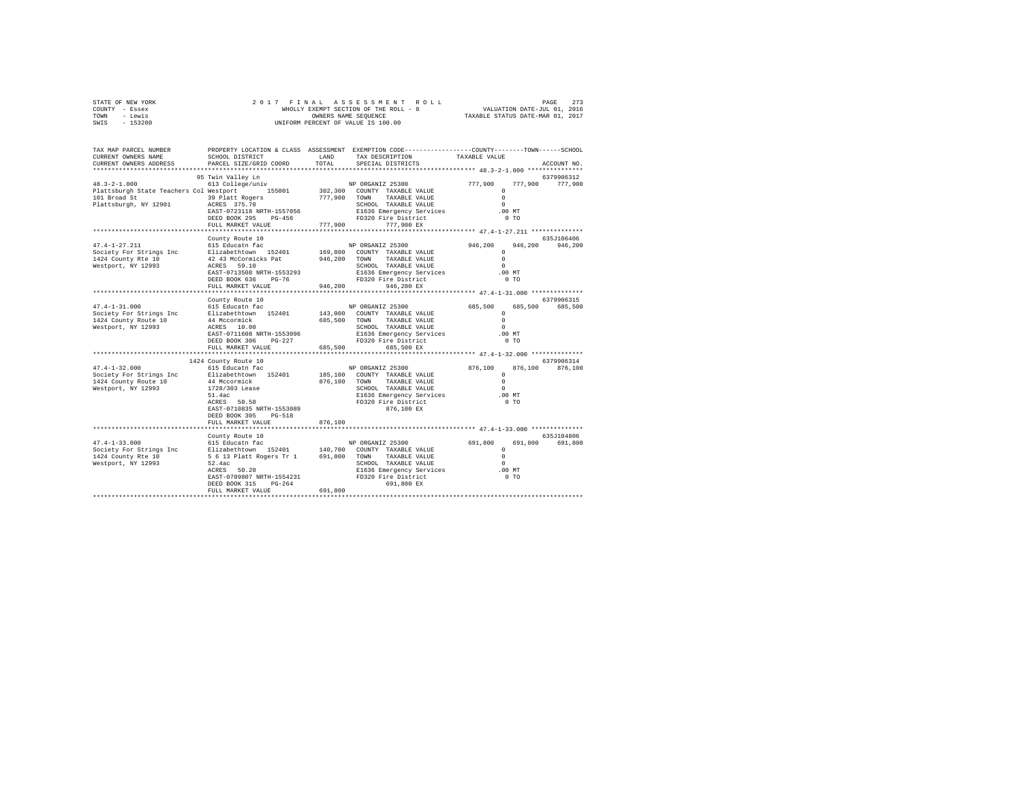| STATE OF NEW YORK | 2017 FINAL ASSESSMENT ROLL            | 273<br>PAGE                      |
|-------------------|---------------------------------------|----------------------------------|
| COUNTY - Essex    | WHOLLY EXEMPT SECTION OF THE ROLL - 8 | VALUATION DATE-JUL 01, 2016      |
| TOWN<br>- Lewis   | OWNERS NAME SEOUENCE                  | TAXABLE STATUS DATE-MAR 01, 2017 |
| $-153200$<br>SWIS | UNIFORM PERCENT OF VALUE IS 100.00    |                                  |

| TAX MAP PARCEL NUMBER<br>CURRENT OWNERS NAME<br>CURRENT OWNERS ADDRESS                                                                                                                                                       | SCHOOL DISTRICT<br>PARCEL SIZE/GRID COORD              | LAND<br>TOTAL | PROPERTY LOCATION & CLASS ASSESSMENT EXEMPTION CODE----------------COUNTY-------TOWN-----SCHOOL<br>TAX DESCRIPTION<br>SPECIAL DISTRICTS                                           | TAXABLE VALUE                                 | ACCOUNT NO.                   |
|------------------------------------------------------------------------------------------------------------------------------------------------------------------------------------------------------------------------------|--------------------------------------------------------|---------------|-----------------------------------------------------------------------------------------------------------------------------------------------------------------------------------|-----------------------------------------------|-------------------------------|
| **************************                                                                                                                                                                                                   |                                                        |               |                                                                                                                                                                                   |                                               |                               |
| $48.3 - 2 - 1.000$<br>Plattsburgh State Teachers Col Westport 155001<br>101 Broad St                                                                                                                                         | 95 Twin Valley Ln<br>39 Platt Rogers                   |               | TWIN Valley Lm<br>613 College/univ<br>Westport 155001 155002,300 COUNTY TAXABLE VALUE<br>39 Platt Rogers 777,900 TOWN TAXABLE VALUE<br>39 Platt Rogers 777,900 TOWN TAXABLE VALUE | $\Omega$<br>$\circ$                           | 6379906312<br>777,900 777,900 |
| Plattsburgh, NY 12901                                                                                                                                                                                                        | SS FIACC ROGELS<br>ACRES 375.70<br>FULL MARKET VALUE   |               | 777,900 777,900 EX                                                                                                                                                                | $\Omega$<br>$.00$ MT<br>0 <sub>T</sub>        |                               |
|                                                                                                                                                                                                                              |                                                        |               |                                                                                                                                                                                   |                                               |                               |
|                                                                                                                                                                                                                              | County Route 10                                        |               |                                                                                                                                                                                   |                                               | 635J106406                    |
| $47.4 - 1 - 27.211$                                                                                                                                                                                                          | 615 Educatn fac                                        |               | NP ORGANIZ 25300                                                                                                                                                                  | $946, 200$ 0                                  | 946,200 946,200               |
| Society For Strings Inc                                                                                                                                                                                                      | Elizabethtown 152401                                   |               | 169,800 COUNTY TAXABLE VALUE                                                                                                                                                      | $^{\circ}$                                    |                               |
| 1424 County Rte 10                                                                                                                                                                                                           |                                                        |               |                                                                                                                                                                                   | $\Omega$                                      |                               |
| Westport, NY 12993                                                                                                                                                                                                           |                                                        |               | SCHOOL TAXABLE VALUE                                                                                                                                                              | $\Omega$                                      |                               |
|                                                                                                                                                                                                                              | EAST-0713508 NRTH-1553293                              |               | E1636 Emergency Services<br>FD320 Fire District<br>FD320 Fire District                                                                                                            | .00 MT                                        |                               |
|                                                                                                                                                                                                                              | DEED BOOK 636<br>PG-76<br>FULL MARKET VALUE            | 946,200       | 946,200 EX                                                                                                                                                                        | $0$ TO                                        |                               |
|                                                                                                                                                                                                                              | **************************                             |               |                                                                                                                                                                                   |                                               |                               |
|                                                                                                                                                                                                                              | County Route 10                                        |               |                                                                                                                                                                                   |                                               | 6379906315                    |
| $47.4 - 1 - 31.000$                                                                                                                                                                                                          | 615 Educatn fac                                        |               | NP ORGANIZ 25300                                                                                                                                                                  | 685,500<br>685,500                            | 685,500                       |
| Society For Strings Inc                                                                                                                                                                                                      | Elizabethtown 152401                                   |               | 143,000 COUNTY TAXABLE VALUE                                                                                                                                                      | $\Omega$                                      |                               |
| 1424 County Route 10                                                                                                                                                                                                         | 44 Mccormick<br>ACRES 10.00                            | 685,500 TOWN  | TAXABLE VALUE                                                                                                                                                                     | $^{\circ}$                                    |                               |
| Westport, NY 12993                                                                                                                                                                                                           |                                                        |               | SCHOOL TAXABLE VALUE                                                                                                                                                              | $\Omega$                                      |                               |
|                                                                                                                                                                                                                              | EAST-0711608 NRTH-1553096                              |               | E1636 Emergency Services                                                                                                                                                          | $.00$ MT                                      |                               |
|                                                                                                                                                                                                                              | $PG-227$<br>DEED BOOK 306                              |               | FD320 Fire District                                                                                                                                                               | $0$ TO                                        |                               |
|                                                                                                                                                                                                                              | FULL MARKET VALUE                                      | 685,500       | 685,500 EX                                                                                                                                                                        |                                               |                               |
|                                                                                                                                                                                                                              |                                                        |               |                                                                                                                                                                                   | *************** 47.4-1-32.000 *************** |                               |
|                                                                                                                                                                                                                              | 1424 County Route 10<br>615 Educath fac                |               |                                                                                                                                                                                   |                                               | 6379906314                    |
| $47.4 - 1 - 32.000$<br>Society For Strings Inc Blizabethtown 152401                                                                                                                                                          |                                                        |               | NP ORGANIZ 25300<br>185,100 COUNTY TAXABLE VALUE                                                                                                                                  | $876,100$ 0                                   | 876,100 876,100               |
| 1424 County Route 10                                                                                                                                                                                                         | 44 Mccormick                                           |               | 876.100 TOWN TAXABLE VALUE                                                                                                                                                        |                                               |                               |
| Westport, NY 12993                                                                                                                                                                                                           |                                                        |               | SCHOOL TAXABLE VALUE                                                                                                                                                              | $\Omega$                                      |                               |
|                                                                                                                                                                                                                              | 1728/303 Lease<br>51.4ac<br>ACRES 50.50                |               | E1636 Emergency Services .00 MT                                                                                                                                                   |                                               |                               |
|                                                                                                                                                                                                                              |                                                        |               | FD320 Fire District                                                                                                                                                               | $0$ TO                                        |                               |
|                                                                                                                                                                                                                              | EAST-0710835 NRTH-1553089                              |               | 876,100 EX                                                                                                                                                                        |                                               |                               |
|                                                                                                                                                                                                                              | DEED BOOK 305<br>PG-518                                |               |                                                                                                                                                                                   |                                               |                               |
|                                                                                                                                                                                                                              | FULL MARKET VALUE                                      | 876,100       |                                                                                                                                                                                   |                                               |                               |
|                                                                                                                                                                                                                              |                                                        |               |                                                                                                                                                                                   |                                               |                               |
|                                                                                                                                                                                                                              | County Route 10                                        |               |                                                                                                                                                                                   |                                               | 635J104806                    |
| 47.4-1-33.000 615 Educat<br>n fac NP ORGANIZ 25300 691,800 691,800 691,800 691,800 691,800 691,800 691,800 691,800 691,800 691,800 1424 County Recievely Portugal and the set of the set of the set of the set of the set of |                                                        |               |                                                                                                                                                                                   |                                               |                               |
|                                                                                                                                                                                                                              |                                                        |               |                                                                                                                                                                                   |                                               |                               |
|                                                                                                                                                                                                                              |                                                        |               |                                                                                                                                                                                   |                                               |                               |
|                                                                                                                                                                                                                              | ACRES 50.20                                            |               |                                                                                                                                                                                   |                                               |                               |
|                                                                                                                                                                                                                              |                                                        |               | ounce TAXABLE VALUE<br>E1636 Emergency Services 0<br>FD320 Fire District 0 0 mm                                                                                                   |                                               |                               |
|                                                                                                                                                                                                                              | EAST-0709807 NRTH-1554231<br>DEED BOOK 315<br>$PG-264$ |               | 691,800 EX                                                                                                                                                                        |                                               |                               |
|                                                                                                                                                                                                                              | FULL MARKET VALUE                                      | 691,800       |                                                                                                                                                                                   |                                               |                               |
|                                                                                                                                                                                                                              |                                                        |               |                                                                                                                                                                                   |                                               |                               |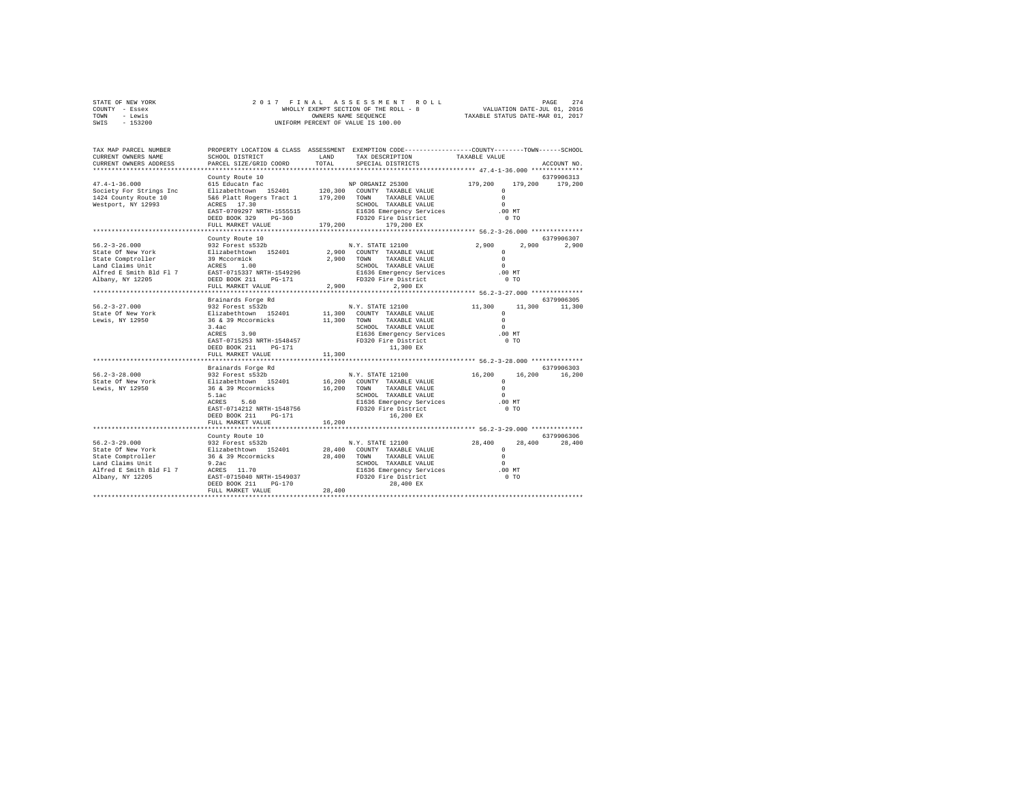| STATE OF NEW YORK | 2017 FINAL ASSESSMENT ROLL            | 274<br>PAGE                      |
|-------------------|---------------------------------------|----------------------------------|
| COUNTY - Essex    | WHOLLY EXEMPT SECTION OF THE ROLL - 8 | VALUATION DATE-JUL 01, 2016      |
| TOWN<br>- Lewis   | OWNERS NAME SEOUENCE                  | TAXABLE STATUS DATE-MAR 01, 2017 |
| $-153200$<br>SWIS | UNIFORM PERCENT OF VALUE IS 100.00    |                                  |

| TAX MAP PARCEL NUMBER<br>CURRENT OWNERS NAME<br>CURRENT OWNERS ADDRESS                                                                                                                          | SCHOOL DISTRICT<br>PARCEL SIZE/GRID COORD                                                                                                                                                                                                                                                                                                                | LAND<br>TOTAL        | PROPERTY LOCATION & CLASS ASSESSMENT EXEMPTION CODE----------------COUNTY-------TOWN------SCHOOL<br>TAX DESCRIPTION<br>SPECIAL DISTRICTS                                                                                                                                                                                                             | TAXABLE VALUE                                                                                                                                         | ACCOUNT NO.                                       |
|-------------------------------------------------------------------------------------------------------------------------------------------------------------------------------------------------|----------------------------------------------------------------------------------------------------------------------------------------------------------------------------------------------------------------------------------------------------------------------------------------------------------------------------------------------------------|----------------------|------------------------------------------------------------------------------------------------------------------------------------------------------------------------------------------------------------------------------------------------------------------------------------------------------------------------------------------------------|-------------------------------------------------------------------------------------------------------------------------------------------------------|---------------------------------------------------|
| **************************                                                                                                                                                                      |                                                                                                                                                                                                                                                                                                                                                          |                      |                                                                                                                                                                                                                                                                                                                                                      |                                                                                                                                                       |                                                   |
| $47.4 - 1 - 36.000$<br>Society For Strings Inc<br>1424 County Route 10<br>Westport, NY 12993                                                                                                    | County Route 10<br>615 Educatn fac<br>Elizabethtown 152401 120,300 COUNTY TAXABLE VALUE<br>5&6 Platt Rogers Tract 1 179,200 TOWN<br>ACRES 17.30<br>EAST-0709297 NRTH-1555515<br>DEED BOOK 329 PG-360<br>FULL MARKET VALUE                                                                                                                                | 179,200              | NP ORGANIZ 25300<br>TAXABLE VALUE<br>SCHOOL TAXABLE VALUE<br>E1636 Emergency Services<br>FD320 Fire District<br>179,200 EX                                                                                                                                                                                                                           | 179,200<br>179,200<br>$\Omega$<br>$\Omega$<br>$\Omega$<br>$.00$ MT<br>0 <sub>T</sub>                                                                  | 6379906313<br>179,200                             |
|                                                                                                                                                                                                 |                                                                                                                                                                                                                                                                                                                                                          |                      |                                                                                                                                                                                                                                                                                                                                                      |                                                                                                                                                       |                                                   |
| $56.2 - 3 - 26.000$<br>State Of New York<br>State Comptroller<br>Land Claims Unit<br>Alfred E Smith Bld Fl 7<br>Albany, NY 12205<br>$56.2 - 3 - 27.000$<br>State Of New York<br>Lewis, NY 12950 | County Route 10<br>932 Forest s532b<br>Elizabethtown 152401<br>39 Mccormick<br>ACRES 1.00<br>ACRES 1.00<br>EAST-0715337 NRTH-1549296<br>DEED BOOK 211 PG-171<br>FULL MARKET VALUE<br>Brainards Forge Rd<br>932 Forest s532b<br>Elizabethtown 152401<br>36 & 39 Mccormicks<br>3.4ac<br>ACRES 3.90<br>EAST-0715253 NRTH-1548457<br>DEED BOOK 211<br>PG-171 | 2.900<br>11,300 TOWN | N.Y. STATE 12100<br>2,900 COUNTY TAXABLE VALUE<br>2,900 TOWN TAXABLE VALUE<br>SCHOOL TAXABLE VALUE<br>E1636 Emergency Services<br>FD320 Fire District<br>FD320 Fire District<br>2,900 EX<br>N.Y. STATE 12100<br>11,300 COUNTY TAXABLE VALUE<br>TAXABLE VALUE<br>SCHOOL TAXABLE VALUE<br>E1636 Emergency Services<br>FD320 Fire District<br>11,300 EX | 2,900<br>$\Omega$<br>$\Omega$<br>$\Omega$<br>$.00$ MT<br>$0$ TO<br>11,300<br>11,300<br>$\Omega$<br>$\Omega$<br>$\Omega$<br>$.00$ MT<br>0 <sub>T</sub> | 6379906307<br>2,900 2,900<br>6379906305<br>11,300 |
|                                                                                                                                                                                                 | FULL MARKET VALUE<br>************************                                                                                                                                                                                                                                                                                                            | 11,300               |                                                                                                                                                                                                                                                                                                                                                      |                                                                                                                                                       |                                                   |
|                                                                                                                                                                                                 | Brainards Forge Rd                                                                                                                                                                                                                                                                                                                                       |                      |                                                                                                                                                                                                                                                                                                                                                      |                                                                                                                                                       | 6379906303                                        |
| $56.2 - 3 - 28.000$<br>State Of New York<br>Lewis, NY 12950                                                                                                                                     | 932 Forest s532b<br>Elizabethtown 152401<br>36 & 39 Mccormicks<br>5.1ac<br>ACRES 5.60<br>EAST-0714212 NRTH-1548756<br>DEED BOOK 211<br>PG-171<br>FULL MARKET VALUE                                                                                                                                                                                       | 16,200               | N.Y. STATE 12100<br>16,200 COUNTY TAXABLE VALUE<br>16,200 TOWN TAXABLE VALUE<br>SCHOOL TAXABLE VALUE<br>SCHOOL TAXABLE VALUE<br>E1636 Emergency Services .00 MT<br>FD320 Fire District<br>16,200 EX                                                                                                                                                  | 16,200<br>16,200<br>$\Omega$<br>$\Omega$<br>$\Omega$<br>0 <sub>T</sub>                                                                                | 16,200                                            |
|                                                                                                                                                                                                 |                                                                                                                                                                                                                                                                                                                                                          |                      | ******************************* 56.2-3-29.000 **************                                                                                                                                                                                                                                                                                         |                                                                                                                                                       |                                                   |
| $56.2 - 3 - 29.000$<br>State Of New York<br>State Comptroller<br>Land Claims Unit<br>Alfred E Smith Bld Fl 7<br>Albany, NY 12205                                                                | County Route 10<br>932 Forest s532b<br>Elizabethtown 152401 28,400 COUNTY TAXABLE VALUE<br>36 & 39 Mccormicks<br>9.2ac<br>ACRES 11.70<br>EAST-0715040 NRTH-1549037 FD320 Fire District<br>DEED BOOK 211<br>$PG-170$<br>FULL MARKET VALUE                                                                                                                 | 28,400               | N.Y. STATE 12100<br>28,400 TOWN TAXABLE VALUE<br>SCHOOL TAXABLE VALUE<br>E1636 Emergency Services<br>28,400 EX                                                                                                                                                                                                                                       | 28,400<br>28,400<br>$\circ$<br>$\Omega$<br>$\Omega$<br>.00MT<br>0 <sub>T</sub>                                                                        | 6379906306<br>28,400                              |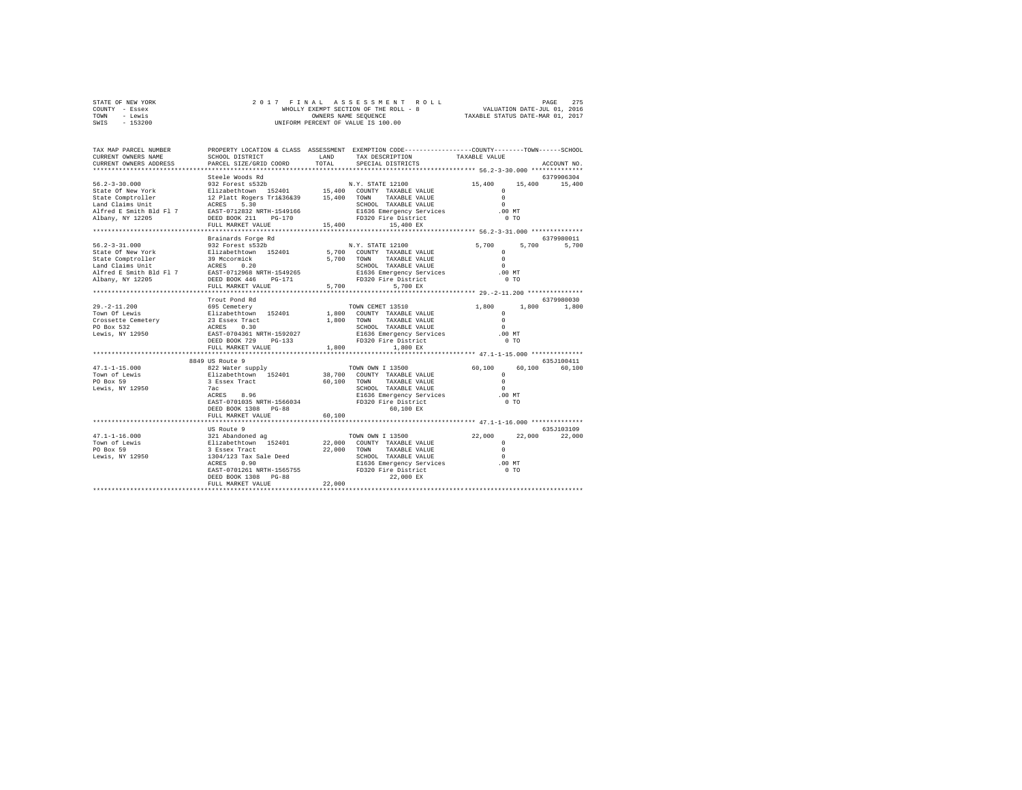| STATE OF NEW YORK | 2017 FINAL ASSESSMENT ROLL            | 275<br>PAGE                      |
|-------------------|---------------------------------------|----------------------------------|
| COUNTY - Essex    | WHOLLY EXEMPT SECTION OF THE ROLL - 8 | VALUATION DATE-JUL 01, 2016      |
| TOWN<br>- Lewis   | OWNERS NAME SEOUENCE                  | TAXABLE STATUS DATE-MAR 01, 2017 |
| $-153200$<br>SWIS | UNIFORM PERCENT OF VALUE IS 100.00    |                                  |

| TAX MAP PARCEL NUMBER<br>CURRENT OWNERS NAME<br>CURRENT OWNERS ADDRESS                                                                                                                                                                                                                                                                                                                                                                                  | SCHOOL DISTRICT                               |        | PROPERTY LOCATION & CLASS ASSESSMENT EXEMPTION CODE---------------COUNTY-------TOWN-----SCHOOL<br>$\begin{tabular}{ll} $\begin{array}{l} & \multicolumn{3}{l} \multicolumn{3}{l}{\multicolumn{3}{l}{\textbf{C} } \multicolumn{3}{l}{\textbf{C} } \multicolumn{3}{l}{\textbf{C} } \multicolumn{3}{l}{\textbf{C} } \multicolumn{3}{l}{\textbf{C} } \multicolumn{3}{l}{\textbf{C} } \multicolumn{3}{l}{\textbf{C} } \multicolumn{3}{l}{\textbf{C} } \multicolumn{3}{l}{\textbf{D} } \multicolumn{3}{l}{\textbf{D} } \multicolumn{3}{l}{\textbf{C} } \multicolumn{3}{l}{\$<br>LAND TAX DESCRIPTION |                                            |                   |
|---------------------------------------------------------------------------------------------------------------------------------------------------------------------------------------------------------------------------------------------------------------------------------------------------------------------------------------------------------------------------------------------------------------------------------------------------------|-----------------------------------------------|--------|------------------------------------------------------------------------------------------------------------------------------------------------------------------------------------------------------------------------------------------------------------------------------------------------------------------------------------------------------------------------------------------------------------------------------------------------------------------------------------------------------------------------------------------------------------------------------------------------|--------------------------------------------|-------------------|
|                                                                                                                                                                                                                                                                                                                                                                                                                                                         | PARCEL SIZE/GRID COORD                        |        |                                                                                                                                                                                                                                                                                                                                                                                                                                                                                                                                                                                                |                                            | ACCOUNT NO.       |
|                                                                                                                                                                                                                                                                                                                                                                                                                                                         |                                               |        |                                                                                                                                                                                                                                                                                                                                                                                                                                                                                                                                                                                                |                                            | 6379906304        |
|                                                                                                                                                                                                                                                                                                                                                                                                                                                         |                                               |        |                                                                                                                                                                                                                                                                                                                                                                                                                                                                                                                                                                                                | 15,400 15,400 15,400                       |                   |
|                                                                                                                                                                                                                                                                                                                                                                                                                                                         |                                               |        |                                                                                                                                                                                                                                                                                                                                                                                                                                                                                                                                                                                                |                                            |                   |
|                                                                                                                                                                                                                                                                                                                                                                                                                                                         |                                               |        |                                                                                                                                                                                                                                                                                                                                                                                                                                                                                                                                                                                                |                                            |                   |
|                                                                                                                                                                                                                                                                                                                                                                                                                                                         |                                               |        |                                                                                                                                                                                                                                                                                                                                                                                                                                                                                                                                                                                                |                                            |                   |
|                                                                                                                                                                                                                                                                                                                                                                                                                                                         |                                               |        | SCHOOL TAXABLE VALUE<br>E1636 Emergency Services (00 MT                                                                                                                                                                                                                                                                                                                                                                                                                                                                                                                                        |                                            |                   |
|                                                                                                                                                                                                                                                                                                                                                                                                                                                         |                                               |        |                                                                                                                                                                                                                                                                                                                                                                                                                                                                                                                                                                                                | 0 <sub>T</sub>                             |                   |
| $\begin{tabular}{lcccc} 56.2-3-30.000 & \textbf{Steele Woods Rd} & & & & & & & & 15,400 \\ \texttt{State Of New York} & & & & & 932 & \texttt{Forest S52D} & & & & & & 15,400 \\ \texttt{State Of New York} & & & & & & & 12. \texttt{Plate Mods} & & & & 15,400 & \texttt{COMITY TAXABLE VALUE} & & & & & & 0 \\ \texttt{State Comprueller} & & & & 12. \texttt{Plate Rogers T1k36k39} & & & 15,400 & \texttt{TONAT YAXABLE VALUE} & & & & & & 0 \\ \$ |                                               |        |                                                                                                                                                                                                                                                                                                                                                                                                                                                                                                                                                                                                |                                            |                   |
|                                                                                                                                                                                                                                                                                                                                                                                                                                                         |                                               |        |                                                                                                                                                                                                                                                                                                                                                                                                                                                                                                                                                                                                |                                            |                   |
|                                                                                                                                                                                                                                                                                                                                                                                                                                                         | Brainards Forge Rd                            |        |                                                                                                                                                                                                                                                                                                                                                                                                                                                                                                                                                                                                |                                            | 6379980011        |
| $56.2 - 3 - 31.000$                                                                                                                                                                                                                                                                                                                                                                                                                                     | 932 Forest s532b                              |        | N.Y. STATE 12100                                                                                                                                                                                                                                                                                                                                                                                                                                                                                                                                                                               | 5,700                                      | 5,700 5,700       |
|                                                                                                                                                                                                                                                                                                                                                                                                                                                         |                                               |        |                                                                                                                                                                                                                                                                                                                                                                                                                                                                                                                                                                                                |                                            |                   |
|                                                                                                                                                                                                                                                                                                                                                                                                                                                         |                                               |        |                                                                                                                                                                                                                                                                                                                                                                                                                                                                                                                                                                                                |                                            |                   |
|                                                                                                                                                                                                                                                                                                                                                                                                                                                         |                                               |        |                                                                                                                                                                                                                                                                                                                                                                                                                                                                                                                                                                                                |                                            |                   |
| $\begin{tabular}{lcccc} 56.2-3-31.0000 & 19.27 & 19.28 & 19.28 & 19.28 & 19.28 & 19.28 & 19.28 & 19.28 & 19.28 & 19.28 & 19.28 & 19.28 & 19.28 & 19.28 & 19.28 & 19.28 & 19.28 & 19.28 & 19.28 & 19.28 & 19.28 & 19.28 & 19.28 & 19.28 & 19.28 & 19.28 & 19.28 & 19.28$                                                                                                                                                                                 |                                               |        |                                                                                                                                                                                                                                                                                                                                                                                                                                                                                                                                                                                                |                                            |                   |
|                                                                                                                                                                                                                                                                                                                                                                                                                                                         |                                               |        |                                                                                                                                                                                                                                                                                                                                                                                                                                                                                                                                                                                                |                                            |                   |
|                                                                                                                                                                                                                                                                                                                                                                                                                                                         |                                               |        |                                                                                                                                                                                                                                                                                                                                                                                                                                                                                                                                                                                                |                                            |                   |
|                                                                                                                                                                                                                                                                                                                                                                                                                                                         | Trout Pond Rd                                 |        |                                                                                                                                                                                                                                                                                                                                                                                                                                                                                                                                                                                                |                                            | 6379980030        |
|                                                                                                                                                                                                                                                                                                                                                                                                                                                         |                                               |        |                                                                                                                                                                                                                                                                                                                                                                                                                                                                                                                                                                                                |                                            | 1,800 1,800 1,800 |
|                                                                                                                                                                                                                                                                                                                                                                                                                                                         |                                               |        |                                                                                                                                                                                                                                                                                                                                                                                                                                                                                                                                                                                                |                                            |                   |
|                                                                                                                                                                                                                                                                                                                                                                                                                                                         |                                               |        |                                                                                                                                                                                                                                                                                                                                                                                                                                                                                                                                                                                                |                                            |                   |
|                                                                                                                                                                                                                                                                                                                                                                                                                                                         |                                               |        |                                                                                                                                                                                                                                                                                                                                                                                                                                                                                                                                                                                                |                                            |                   |
|                                                                                                                                                                                                                                                                                                                                                                                                                                                         |                                               |        |                                                                                                                                                                                                                                                                                                                                                                                                                                                                                                                                                                                                |                                            |                   |
|                                                                                                                                                                                                                                                                                                                                                                                                                                                         |                                               |        |                                                                                                                                                                                                                                                                                                                                                                                                                                                                                                                                                                                                |                                            |                   |
|                                                                                                                                                                                                                                                                                                                                                                                                                                                         | FULL MARKET VALUE                             | 1,800  | 1,800 EX                                                                                                                                                                                                                                                                                                                                                                                                                                                                                                                                                                                       |                                            |                   |
|                                                                                                                                                                                                                                                                                                                                                                                                                                                         |                                               |        |                                                                                                                                                                                                                                                                                                                                                                                                                                                                                                                                                                                                |                                            |                   |
|                                                                                                                                                                                                                                                                                                                                                                                                                                                         | 8849 US Route 9                               |        |                                                                                                                                                                                                                                                                                                                                                                                                                                                                                                                                                                                                |                                            | 635J100411        |
|                                                                                                                                                                                                                                                                                                                                                                                                                                                         |                                               |        |                                                                                                                                                                                                                                                                                                                                                                                                                                                                                                                                                                                                | 60,100                                     | 60,100<br>60,100  |
|                                                                                                                                                                                                                                                                                                                                                                                                                                                         |                                               |        |                                                                                                                                                                                                                                                                                                                                                                                                                                                                                                                                                                                                |                                            |                   |
|                                                                                                                                                                                                                                                                                                                                                                                                                                                         |                                               |        |                                                                                                                                                                                                                                                                                                                                                                                                                                                                                                                                                                                                | $\begin{array}{c} 0 \\ 0 \\ 0 \end{array}$ |                   |
|                                                                                                                                                                                                                                                                                                                                                                                                                                                         |                                               |        | SCHOOL TAXABLE VALUE                                                                                                                                                                                                                                                                                                                                                                                                                                                                                                                                                                           | $\sim$                                     |                   |
|                                                                                                                                                                                                                                                                                                                                                                                                                                                         |                                               |        | E1636 Emergency Services                                                                                                                                                                                                                                                                                                                                                                                                                                                                                                                                                                       | .00MT                                      |                   |
|                                                                                                                                                                                                                                                                                                                                                                                                                                                         | EAST-0701035 NRTH-1566034 FD320 Fire District |        |                                                                                                                                                                                                                                                                                                                                                                                                                                                                                                                                                                                                | 0 <sub>T</sub>                             |                   |
|                                                                                                                                                                                                                                                                                                                                                                                                                                                         | DEED BOOK 1308 PG-88                          |        | $60,100$ EX                                                                                                                                                                                                                                                                                                                                                                                                                                                                                                                                                                                    |                                            |                   |
|                                                                                                                                                                                                                                                                                                                                                                                                                                                         | FULL MARKET VALUE                             | 60,100 |                                                                                                                                                                                                                                                                                                                                                                                                                                                                                                                                                                                                |                                            |                   |
|                                                                                                                                                                                                                                                                                                                                                                                                                                                         |                                               |        |                                                                                                                                                                                                                                                                                                                                                                                                                                                                                                                                                                                                |                                            |                   |
|                                                                                                                                                                                                                                                                                                                                                                                                                                                         |                                               |        |                                                                                                                                                                                                                                                                                                                                                                                                                                                                                                                                                                                                |                                            | 635J103109        |
|                                                                                                                                                                                                                                                                                                                                                                                                                                                         |                                               |        |                                                                                                                                                                                                                                                                                                                                                                                                                                                                                                                                                                                                |                                            | 22,000<br>22,000  |
|                                                                                                                                                                                                                                                                                                                                                                                                                                                         |                                               |        |                                                                                                                                                                                                                                                                                                                                                                                                                                                                                                                                                                                                |                                            |                   |
|                                                                                                                                                                                                                                                                                                                                                                                                                                                         |                                               |        |                                                                                                                                                                                                                                                                                                                                                                                                                                                                                                                                                                                                |                                            |                   |
|                                                                                                                                                                                                                                                                                                                                                                                                                                                         |                                               |        |                                                                                                                                                                                                                                                                                                                                                                                                                                                                                                                                                                                                |                                            |                   |
| 1991 116.000 1321 Aboute 9<br>1991 121 Aboute 9<br>TOWN OWN I 13500 22,000 22<br>TOWN OWN I 13500 22,000 22<br>TOWN OWN TAXABLE VALUE 0<br>EUROL I 22,000 TOWN TAXABLE VALUE 0<br>22,000 TOWN TAXABLE VALUE 0<br>FOR BOSTON TAXABLE VALUE 0<br>                                                                                                                                                                                                         |                                               |        |                                                                                                                                                                                                                                                                                                                                                                                                                                                                                                                                                                                                |                                            |                   |
|                                                                                                                                                                                                                                                                                                                                                                                                                                                         |                                               |        |                                                                                                                                                                                                                                                                                                                                                                                                                                                                                                                                                                                                |                                            |                   |
|                                                                                                                                                                                                                                                                                                                                                                                                                                                         | DEED BOOK 1308 PG-88                          |        | 22,000 EX                                                                                                                                                                                                                                                                                                                                                                                                                                                                                                                                                                                      |                                            |                   |
|                                                                                                                                                                                                                                                                                                                                                                                                                                                         | FULL MARKET VALUE                             | 22,000 |                                                                                                                                                                                                                                                                                                                                                                                                                                                                                                                                                                                                |                                            |                   |
|                                                                                                                                                                                                                                                                                                                                                                                                                                                         |                                               |        |                                                                                                                                                                                                                                                                                                                                                                                                                                                                                                                                                                                                |                                            |                   |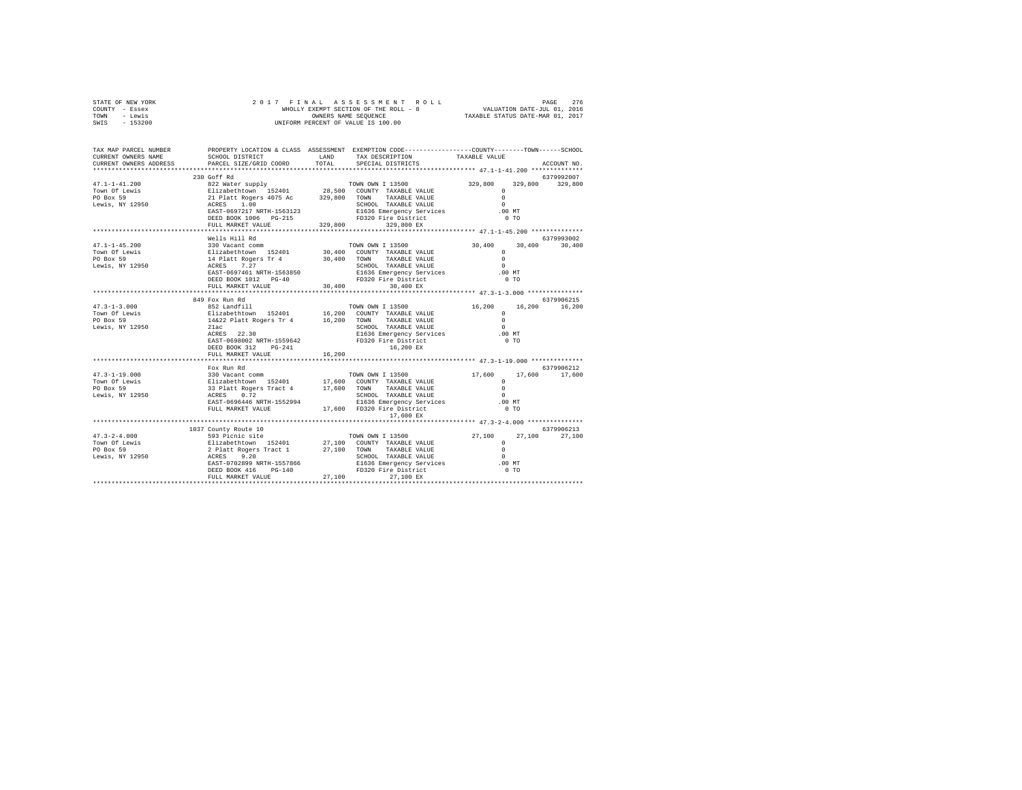| STATE OF NEW YORK | 2017 FINAL ASSESSMENT ROLL            | 276<br>PAGE                      |
|-------------------|---------------------------------------|----------------------------------|
| COUNTY - Essex    | WHOLLY EXEMPT SECTION OF THE ROLL - 8 | VALUATION DATE-JUL 01, 2016      |
| TOWN<br>- Lewis   | OWNERS NAME SEOUENCE                  | TAXABLE STATUS DATE-MAR 01, 2017 |
| $-153200$<br>SWIS | UNIFORM PERCENT OF VALUE IS 100.00    |                                  |

| TAX MAP PARCEL NUMBER<br>CURRENT OWNERS NAME<br>CURRENT OWNERS ADDRESS                                                                                                                                                                                                                                                                                                                                                     | SCHOOL DISTRICT<br>PARCEL SIZE/GRID COORD                                            |        | PROPERTY LOCATION & CLASS ASSESSMENT EXEMPTION CODE---------------COUNTY-------TOWN-----SCHOOL<br>LAND TAX DESCRIPTION<br>TOTAL SPECIAL DISTRICTS | TAXABLE VALUE                                        | ACCOUNT NO.                 |
|----------------------------------------------------------------------------------------------------------------------------------------------------------------------------------------------------------------------------------------------------------------------------------------------------------------------------------------------------------------------------------------------------------------------------|--------------------------------------------------------------------------------------|--------|---------------------------------------------------------------------------------------------------------------------------------------------------|------------------------------------------------------|-----------------------------|
|                                                                                                                                                                                                                                                                                                                                                                                                                            |                                                                                      |        |                                                                                                                                                   |                                                      |                             |
|                                                                                                                                                                                                                                                                                                                                                                                                                            | 230 Goff Rd                                                                          |        |                                                                                                                                                   |                                                      | 6379992007                  |
| $\begin{array}{cccc} 47.1-1-41.200 & 430\, \mathrm{GUT~\,K} & 329,800 & 329,800 & 329,800 & 329,800 \\ \mathrm{Two~\,D~\,Ewi} & 822\, \mathrm{Water~\,supply} & 28,000 & 200\, \mathrm{CUNRT~\,TAMALE~\,VALDE} & 329,800 & 329,800 & 329,800 \\ \mathrm{Two~\,D~\,Ewi} & 1.00 & 21\, \mathrm{plate~\,K} & 1.00 & 240\, \mathrm{$                                                                                           |                                                                                      |        |                                                                                                                                                   |                                                      |                             |
|                                                                                                                                                                                                                                                                                                                                                                                                                            | FULL MARKET VALUE                                                                    |        | 329,800 329,800 EX                                                                                                                                |                                                      |                             |
|                                                                                                                                                                                                                                                                                                                                                                                                                            | Wells Hill Rd                                                                        |        |                                                                                                                                                   |                                                      | 6379993002                  |
| $\begin{tabular}{lllllllllllllllllll} \multicolumn{2}{c}{\textbf{47.1--1-45.200}} & \multicolumn{2}{c}{\textbf{50.400}} & \multicolumn{2}{c}{\textbf{7.400}} & \multicolumn{2}{c}{\textbf{7.400}} & \multicolumn{2}{c}{\textbf{7.400}} & \multicolumn{2}{c}{\textbf{7.400}} & \multicolumn{2}{c}{\textbf{7.400}} & \multicolumn{2}{c}{\textbf{7.400}} & \multicolumn{2}{c}{\textbf{7.400}} & \multicolumn{2}{c}{\textbf{7$ |                                                                                      |        |                                                                                                                                                   | $30,400$ $30,400$ $30,400$                           |                             |
|                                                                                                                                                                                                                                                                                                                                                                                                                            |                                                                                      |        |                                                                                                                                                   |                                                      |                             |
|                                                                                                                                                                                                                                                                                                                                                                                                                            | FULL MARKET VALUE 30,400                                                             |        | 30,400 EX                                                                                                                                         |                                                      |                             |
|                                                                                                                                                                                                                                                                                                                                                                                                                            | 849 Fox Run Rd                                                                       |        |                                                                                                                                                   |                                                      | 6379906215                  |
|                                                                                                                                                                                                                                                                                                                                                                                                                            | ACRES 22.30<br>EAST-0698002 NRTH-1559642 FD320 Fire District<br>DEED BOOK 312 PG-241 |        | TOWN OWN I 13500 16,200<br>E1636 Emergency Services .00 MT<br>16,200 EX                                                                           | $^{\circ}$<br>$\Omega$<br>$\sim$ 0<br>0 <sub>T</sub> | 16,200 16,200               |
|                                                                                                                                                                                                                                                                                                                                                                                                                            | FULL MARKET VALUE                                                                    | 16,200 |                                                                                                                                                   |                                                      |                             |
|                                                                                                                                                                                                                                                                                                                                                                                                                            | **************************                                                           |        |                                                                                                                                                   |                                                      |                             |
|                                                                                                                                                                                                                                                                                                                                                                                                                            | Fox Run Rd                                                                           |        | 17,600 EX                                                                                                                                         |                                                      | 6379906212<br>17,600        |
|                                                                                                                                                                                                                                                                                                                                                                                                                            |                                                                                      |        |                                                                                                                                                   |                                                      |                             |
| $\begin{tabular}{lcccc} 47.3-2-4.000 & 1037 & 1000 & 1039 & 10000 & 10000 \\ & 593 & 10000 & 593 & 10000 & 593 & 10000 & 10000 \\ & 593 & 100000 & 593 & 100000 & 100000 & 27,1000 & 7000007 & 7XXABLE\text{ VALUE} & 0 \\ & 511 & 511 & 511 & 527 & 100 & 700000 & 7XABLE\text{ VALUE} & 0 \\ & 27,$                                                                                                                      | 1037 County Route 10                                                                 |        |                                                                                                                                                   |                                                      | 6379906213<br>27,100 27,100 |
|                                                                                                                                                                                                                                                                                                                                                                                                                            |                                                                                      |        |                                                                                                                                                   |                                                      |                             |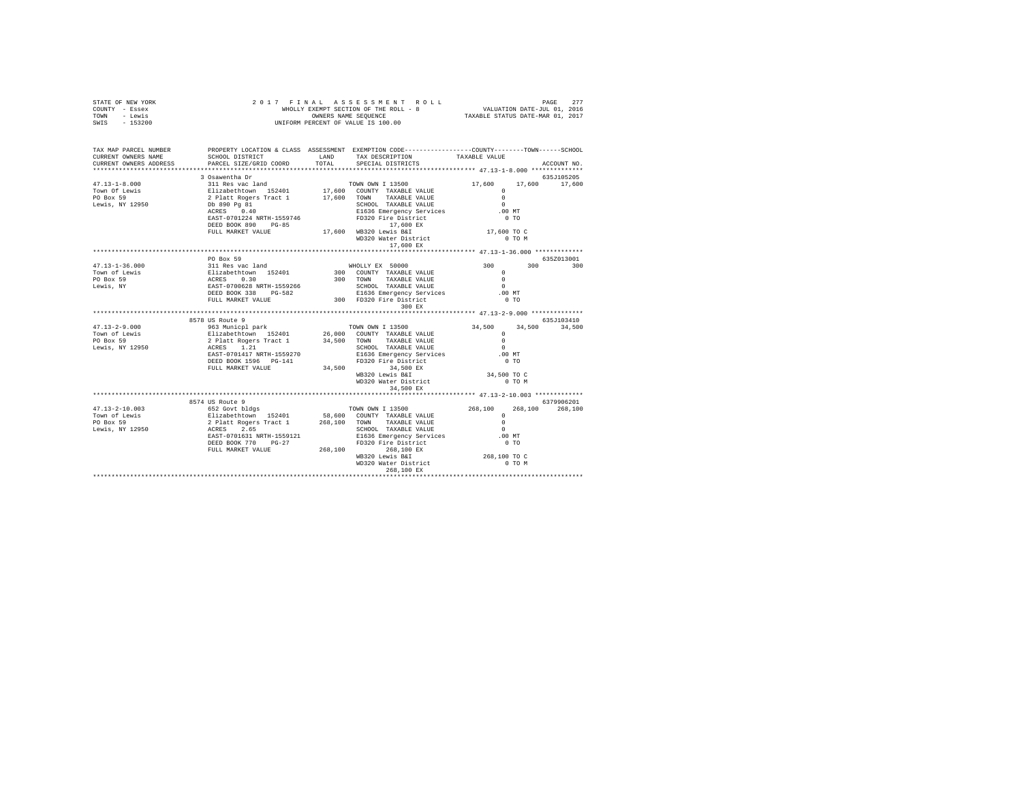| TAX MAP PARCEL NUMBER<br>PROPERTY LOCATION & CLASS ASSESSMENT EXEMPTION CODE----------------COUNTY-------TOWN-----SCHOOL<br>${\tt SCHOOL\ DISTRICT}\qquad\qquad {\tt LAND}\qquad\qquad {\tt TAX\ DESCRIPITION}\qquad\qquad {\tt TAXABLE\ VALUE}\qquad\qquad {\tt PARCEL\ SIZE/GRID\ CORD}\qquad\qquad {\tt TOTAL}\qquad\qquad {\tt SPECIAL\ DISTRICTS}$<br>CURRENT OWNERS NAME<br>CURRENT OWNERS ADDRESS<br>ACCOUNT NO.<br>635J105205<br>17,600 17,600<br>PO Box 59<br>635Z013001<br>300 300<br>$47.13 - 1 - 36.000$<br>Town of Lewis<br>PO Box 59<br>Lewis, NY | STATE OF NEW YORK<br>COUNTY - Essex<br>TOWN - Lewis<br>$-153200$<br>SWIS |  |  |  |
|-----------------------------------------------------------------------------------------------------------------------------------------------------------------------------------------------------------------------------------------------------------------------------------------------------------------------------------------------------------------------------------------------------------------------------------------------------------------------------------------------------------------------------------------------------------------|--------------------------------------------------------------------------|--|--|--|
|                                                                                                                                                                                                                                                                                                                                                                                                                                                                                                                                                                 |                                                                          |  |  |  |
|                                                                                                                                                                                                                                                                                                                                                                                                                                                                                                                                                                 |                                                                          |  |  |  |
|                                                                                                                                                                                                                                                                                                                                                                                                                                                                                                                                                                 |                                                                          |  |  |  |
|                                                                                                                                                                                                                                                                                                                                                                                                                                                                                                                                                                 |                                                                          |  |  |  |
|                                                                                                                                                                                                                                                                                                                                                                                                                                                                                                                                                                 |                                                                          |  |  |  |
|                                                                                                                                                                                                                                                                                                                                                                                                                                                                                                                                                                 |                                                                          |  |  |  |
|                                                                                                                                                                                                                                                                                                                                                                                                                                                                                                                                                                 |                                                                          |  |  |  |
|                                                                                                                                                                                                                                                                                                                                                                                                                                                                                                                                                                 |                                                                          |  |  |  |
|                                                                                                                                                                                                                                                                                                                                                                                                                                                                                                                                                                 |                                                                          |  |  |  |
|                                                                                                                                                                                                                                                                                                                                                                                                                                                                                                                                                                 |                                                                          |  |  |  |
|                                                                                                                                                                                                                                                                                                                                                                                                                                                                                                                                                                 |                                                                          |  |  |  |
|                                                                                                                                                                                                                                                                                                                                                                                                                                                                                                                                                                 |                                                                          |  |  |  |
|                                                                                                                                                                                                                                                                                                                                                                                                                                                                                                                                                                 |                                                                          |  |  |  |
|                                                                                                                                                                                                                                                                                                                                                                                                                                                                                                                                                                 |                                                                          |  |  |  |
|                                                                                                                                                                                                                                                                                                                                                                                                                                                                                                                                                                 |                                                                          |  |  |  |
|                                                                                                                                                                                                                                                                                                                                                                                                                                                                                                                                                                 |                                                                          |  |  |  |
|                                                                                                                                                                                                                                                                                                                                                                                                                                                                                                                                                                 |                                                                          |  |  |  |
|                                                                                                                                                                                                                                                                                                                                                                                                                                                                                                                                                                 |                                                                          |  |  |  |
|                                                                                                                                                                                                                                                                                                                                                                                                                                                                                                                                                                 |                                                                          |  |  |  |
|                                                                                                                                                                                                                                                                                                                                                                                                                                                                                                                                                                 |                                                                          |  |  |  |
|                                                                                                                                                                                                                                                                                                                                                                                                                                                                                                                                                                 |                                                                          |  |  |  |
|                                                                                                                                                                                                                                                                                                                                                                                                                                                                                                                                                                 |                                                                          |  |  |  |
|                                                                                                                                                                                                                                                                                                                                                                                                                                                                                                                                                                 |                                                                          |  |  |  |
|                                                                                                                                                                                                                                                                                                                                                                                                                                                                                                                                                                 |                                                                          |  |  |  |
|                                                                                                                                                                                                                                                                                                                                                                                                                                                                                                                                                                 |                                                                          |  |  |  |
|                                                                                                                                                                                                                                                                                                                                                                                                                                                                                                                                                                 |                                                                          |  |  |  |
|                                                                                                                                                                                                                                                                                                                                                                                                                                                                                                                                                                 |                                                                          |  |  |  |
|                                                                                                                                                                                                                                                                                                                                                                                                                                                                                                                                                                 |                                                                          |  |  |  |
|                                                                                                                                                                                                                                                                                                                                                                                                                                                                                                                                                                 |                                                                          |  |  |  |
|                                                                                                                                                                                                                                                                                                                                                                                                                                                                                                                                                                 |                                                                          |  |  |  |
|                                                                                                                                                                                                                                                                                                                                                                                                                                                                                                                                                                 |                                                                          |  |  |  |
|                                                                                                                                                                                                                                                                                                                                                                                                                                                                                                                                                                 |                                                                          |  |  |  |
|                                                                                                                                                                                                                                                                                                                                                                                                                                                                                                                                                                 |                                                                          |  |  |  |
|                                                                                                                                                                                                                                                                                                                                                                                                                                                                                                                                                                 |                                                                          |  |  |  |
|                                                                                                                                                                                                                                                                                                                                                                                                                                                                                                                                                                 |                                                                          |  |  |  |
|                                                                                                                                                                                                                                                                                                                                                                                                                                                                                                                                                                 |                                                                          |  |  |  |
|                                                                                                                                                                                                                                                                                                                                                                                                                                                                                                                                                                 |                                                                          |  |  |  |
|                                                                                                                                                                                                                                                                                                                                                                                                                                                                                                                                                                 |                                                                          |  |  |  |
|                                                                                                                                                                                                                                                                                                                                                                                                                                                                                                                                                                 |                                                                          |  |  |  |
|                                                                                                                                                                                                                                                                                                                                                                                                                                                                                                                                                                 |                                                                          |  |  |  |
|                                                                                                                                                                                                                                                                                                                                                                                                                                                                                                                                                                 |                                                                          |  |  |  |
|                                                                                                                                                                                                                                                                                                                                                                                                                                                                                                                                                                 |                                                                          |  |  |  |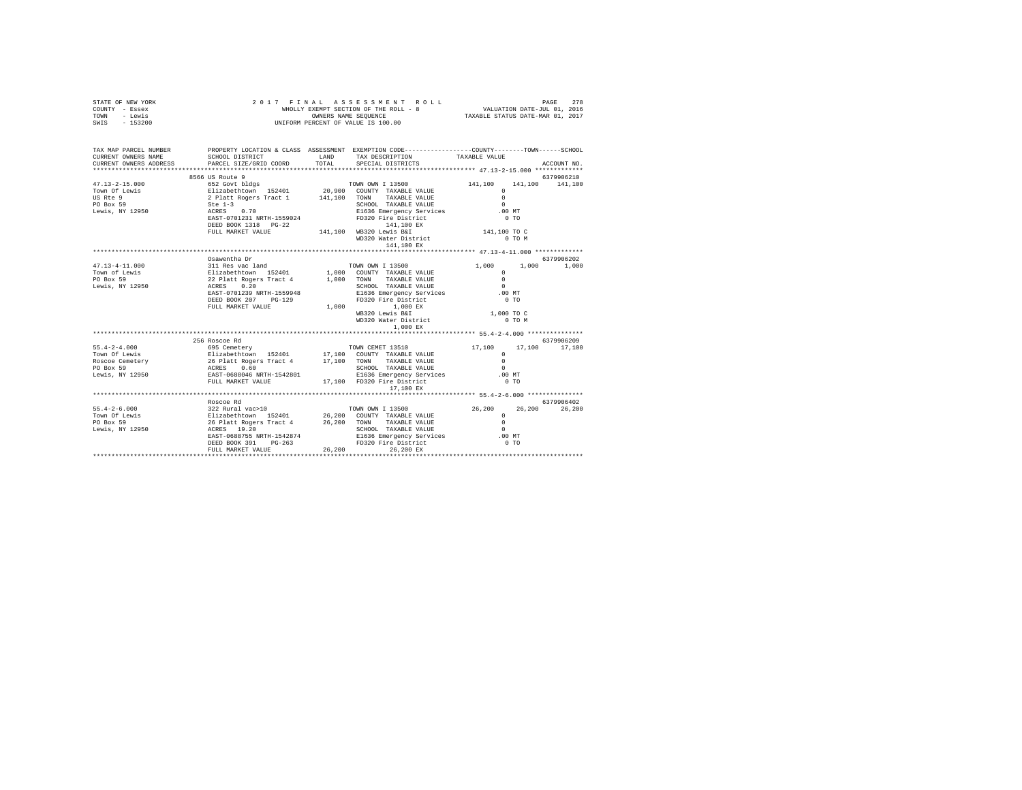| STATE OF NEW YORK<br>COUNTY - Essex<br>TOWN - Lewis<br>SWIS - 153200                                                                                                                                                                                                                                                                                                                                             |                                                                                           |       | UNIFORM PERCENT OF VALUE IS 100.00                                      |                                |                 |
|------------------------------------------------------------------------------------------------------------------------------------------------------------------------------------------------------------------------------------------------------------------------------------------------------------------------------------------------------------------------------------------------------------------|-------------------------------------------------------------------------------------------|-------|-------------------------------------------------------------------------|--------------------------------|-----------------|
|                                                                                                                                                                                                                                                                                                                                                                                                                  |                                                                                           |       |                                                                         |                                |                 |
| TAX MAP PARCEL NUMBER PROPERTY LOCATION & CLASS ASSESSMENT EXEMPTION CODE--------------COUNTY-------TOWN-----SCHOOL<br>CURRENT OWNERS NAME                                                                                                                                                                                                                                                                       | SCHOOL DISTRICT TAND TAX DESCRIPTION                                                      |       |                                                                         | TAXABLE VALUE                  |                 |
| CURRENT OWNERS ADDRESS PARCEL SIZE/GRID COORD                                                                                                                                                                                                                                                                                                                                                                    |                                                                                           | TOTAL | SPECIAL DISTRICTS                                                       |                                | ACCOUNT NO.     |
| $\begin{tabular}{lllllllllll} 47.13-2-15.000 & \text{6500 to } \text{Koute 9} & \text{TOWN OWN 1 13500} \\ \text{Town of Lewis} & 652~\text{Govt blidgs} & 20,900~\text{CONTY}~\text{TXABLE VALUE} \\ \text{US Re 9} & 2 \text{ Platt Roger Tract 1} & 141,100~\text{TONN}~\text{TXABLE VALUE} \\ \text{PO Box 59} & 2 \text{ Platt Regers Tract 1} & 141,100~\text{TONN}~\text{TXABLE VALUE} \\ \text{PO Box 5$ |                                                                                           |       |                                                                         |                                | 6379906210      |
|                                                                                                                                                                                                                                                                                                                                                                                                                  |                                                                                           |       | TOWN OWN I 13500 141,100                                                |                                | 141,100 141,100 |
|                                                                                                                                                                                                                                                                                                                                                                                                                  |                                                                                           |       |                                                                         | $\Omega$                       |                 |
|                                                                                                                                                                                                                                                                                                                                                                                                                  |                                                                                           |       |                                                                         | $\sim$                         |                 |
|                                                                                                                                                                                                                                                                                                                                                                                                                  |                                                                                           |       |                                                                         | $\sim$                         |                 |
|                                                                                                                                                                                                                                                                                                                                                                                                                  |                                                                                           |       | E1636 Emergency Services                                                | .00 MT                         |                 |
|                                                                                                                                                                                                                                                                                                                                                                                                                  |                                                                                           |       | FD320 Fire District                                                     | 0T0                            |                 |
|                                                                                                                                                                                                                                                                                                                                                                                                                  | DEED BOOK 1318 PG-22 141,100 WB320 Lewis B&I<br>FULL MARKET VALUE 141,100 WB320 Lewis B&I |       |                                                                         |                                |                 |
|                                                                                                                                                                                                                                                                                                                                                                                                                  |                                                                                           |       | WD320 Water District                                                    | 141,100 TO C<br>0 TO M         |                 |
|                                                                                                                                                                                                                                                                                                                                                                                                                  |                                                                                           |       | 141,100 EX                                                              |                                |                 |
|                                                                                                                                                                                                                                                                                                                                                                                                                  |                                                                                           |       |                                                                         |                                |                 |
|                                                                                                                                                                                                                                                                                                                                                                                                                  | Osawentha Dr                                                                              |       |                                                                         |                                | 6379906202      |
|                                                                                                                                                                                                                                                                                                                                                                                                                  |                                                                                           |       |                                                                         |                                |                 |
|                                                                                                                                                                                                                                                                                                                                                                                                                  |                                                                                           |       |                                                                         |                                |                 |
|                                                                                                                                                                                                                                                                                                                                                                                                                  |                                                                                           |       |                                                                         |                                |                 |
|                                                                                                                                                                                                                                                                                                                                                                                                                  |                                                                                           |       |                                                                         |                                |                 |
|                                                                                                                                                                                                                                                                                                                                                                                                                  |                                                                                           |       |                                                                         | .00 MT                         |                 |
|                                                                                                                                                                                                                                                                                                                                                                                                                  | DEED BOOK 207 PG-129                                                                      |       | SCHOOL TAXABLE VALUE<br>E1636 Emergency Services<br>FD320 Fire District | $0$ TO                         |                 |
|                                                                                                                                                                                                                                                                                                                                                                                                                  | FULL MARKET VALUE                                                                         |       | 1,000 1,000 EX                                                          |                                |                 |
|                                                                                                                                                                                                                                                                                                                                                                                                                  |                                                                                           |       | WB320 Lewis B&I                                                         | 1,000 TO C                     |                 |
|                                                                                                                                                                                                                                                                                                                                                                                                                  |                                                                                           |       | WD320 Water District                                                    | $0$ TO $M$                     |                 |
|                                                                                                                                                                                                                                                                                                                                                                                                                  |                                                                                           |       | $1,000$ EX                                                              |                                |                 |
|                                                                                                                                                                                                                                                                                                                                                                                                                  |                                                                                           |       |                                                                         |                                |                 |
|                                                                                                                                                                                                                                                                                                                                                                                                                  | 256 Roscoe Rd                                                                             |       |                                                                         |                                | 6379906209      |
|                                                                                                                                                                                                                                                                                                                                                                                                                  |                                                                                           |       |                                                                         | 17,100                         | 17,100 17,100   |
|                                                                                                                                                                                                                                                                                                                                                                                                                  |                                                                                           |       |                                                                         | $\Omega$<br>$\Omega$           |                 |
|                                                                                                                                                                                                                                                                                                                                                                                                                  |                                                                                           |       |                                                                         | $\sim$                         |                 |
|                                                                                                                                                                                                                                                                                                                                                                                                                  |                                                                                           |       |                                                                         | .00 MT                         |                 |
|                                                                                                                                                                                                                                                                                                                                                                                                                  |                                                                                           |       |                                                                         | 0.70                           |                 |
|                                                                                                                                                                                                                                                                                                                                                                                                                  |                                                                                           |       | 17,100 EX                                                               |                                |                 |
|                                                                                                                                                                                                                                                                                                                                                                                                                  |                                                                                           |       |                                                                         |                                |                 |
|                                                                                                                                                                                                                                                                                                                                                                                                                  | Roscoe Rd                                                                                 |       |                                                                         |                                | 6379906402      |
|                                                                                                                                                                                                                                                                                                                                                                                                                  |                                                                                           |       |                                                                         |                                | 26,200          |
|                                                                                                                                                                                                                                                                                                                                                                                                                  |                                                                                           |       |                                                                         | $26,200$ $26,200$ $63799$<br>0 |                 |
|                                                                                                                                                                                                                                                                                                                                                                                                                  |                                                                                           |       |                                                                         |                                |                 |
|                                                                                                                                                                                                                                                                                                                                                                                                                  |                                                                                           |       | SCHOOL TAXABLE VALUE                                                    | $\sim$                         |                 |
|                                                                                                                                                                                                                                                                                                                                                                                                                  |                                                                                           |       |                                                                         | .00 MT                         |                 |
|                                                                                                                                                                                                                                                                                                                                                                                                                  |                                                                                           |       |                                                                         | 0.70                           |                 |
|                                                                                                                                                                                                                                                                                                                                                                                                                  | FULL MARKET VALUE                                                                         |       | 26,200 26,200 EX                                                        |                                |                 |
|                                                                                                                                                                                                                                                                                                                                                                                                                  |                                                                                           |       |                                                                         |                                |                 |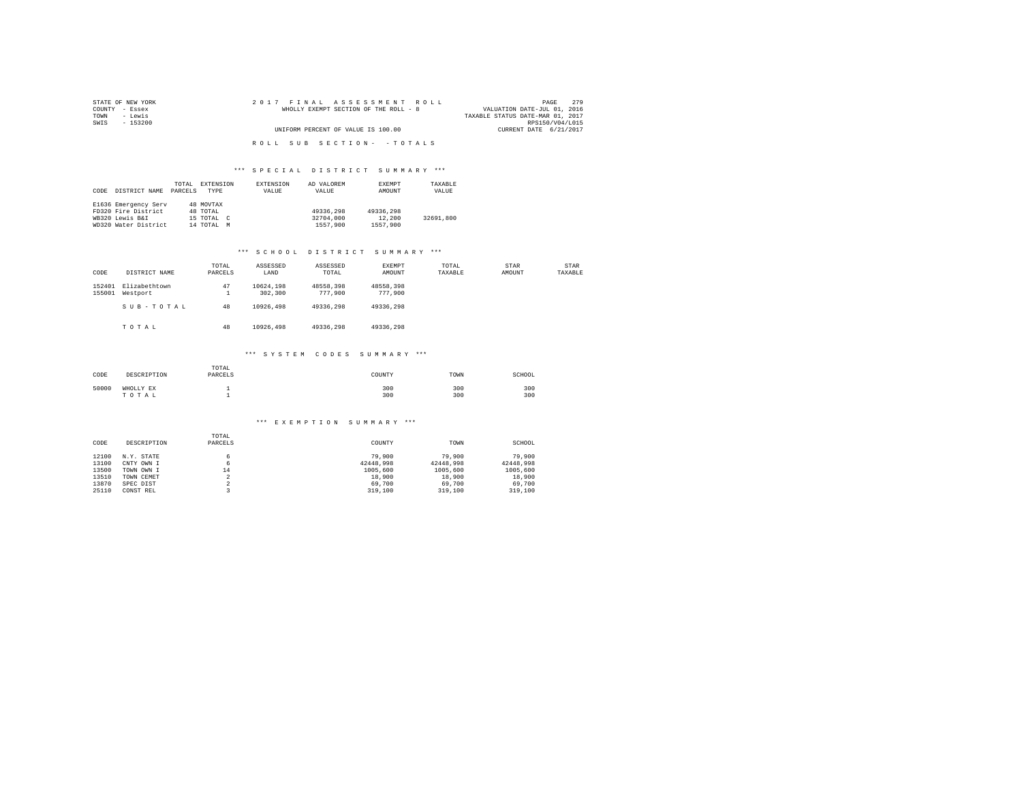| STATE OF NEW YORK | 2017 FINAL ASSESSMENT ROLL            | 2.79<br>PAGE                     |
|-------------------|---------------------------------------|----------------------------------|
| COUNTY - Essex    | WHOLLY EXEMPT SECTION OF THE ROLL - 8 | VALUATION DATE-JUL 01, 2016      |
| TOWN<br>- Lewis   |                                       | TAXABLE STATUS DATE-MAR 01, 2017 |
| SWIS<br>- 153200  |                                       | RPS150/V04/L015                  |
|                   | UNIFORM PERCENT OF VALUE IS 100.00    | CURRENT DATE 6/21/2017           |
|                   |                                       |                                  |
|                   | ROLL SUB SECTION- - TOTALS            |                                  |

|      |                      | TOTAL   | EXTENSION                 | EXTENSION | AD VALOREM | EXEMPT    | TAXABLE   |
|------|----------------------|---------|---------------------------|-----------|------------|-----------|-----------|
| CODE | DISTRICT NAME        | PARCELS | TYPE                      | VALUE     | VALUE      | AMOUNT    | VALUE     |
|      |                      |         |                           |           |            |           |           |
|      | E1636 Emergency Serv |         | 48 MOVTAX                 |           |            |           |           |
|      | FD320 Fire District  |         | 48 TOTAL                  |           | 49336,298  | 49336,298 |           |
|      | WB320 Lewis B&I      |         | 15 TOTAL<br>$\mathcal{C}$ |           | 32704,000  | 12,200    | 32691,800 |
|      | WD320 Water District |         | 14 TOTAL<br>M             |           | 1557,900   | 1557.900  |           |

#### \*\*\* S C H O O L D I S T R I C T S U M M A R Y \*\*\*

| CODE             | DISTRICT NAME             | TOTAL<br>PARCELS  | ASSESSED<br>LAND     | ASSESSED<br>TOTAL    | EXEMPT<br>AMOUNT     | TOTAL<br>TAXABLE | STAR<br>AMOUNT | STAR<br>TAXABLE |
|------------------|---------------------------|-------------------|----------------------|----------------------|----------------------|------------------|----------------|-----------------|
| 152401<br>155001 | Elizabethtown<br>Westport | 47<br>л.          | 10624.198<br>302,300 | 48558.398<br>777,900 | 48558.398<br>777,900 |                  |                |                 |
|                  | SUB-TOTAL                 | 48                | 10926,498            | 49336.298            | 49336.298            |                  |                |                 |
|                  | TOTAL                     | 48                | 10926,498            | 49336.298            | 49336.298            |                  |                |                 |
|                  |                           |                   | *** SYSTEM CODES     |                      | SUMMARY ***          |                  |                |                 |
| CODE             | DROOD TRETOM              | TOTAL<br>DADORE C |                      |                      | COTTAINTY            | <b>TROLLER</b>   | COTTOOT        |                 |

| CODE  | DESCRIPTION        | PARCELS | COUNTY     | TOWN       | SCHOOL     |
|-------|--------------------|---------|------------|------------|------------|
| 50000 | WHOLLY EX<br>TOTAL |         | 300<br>300 | 300<br>300 | 300<br>300 |

#### \*\*\* E X E M P T I O N S U M M A R Y \*\*\*

|       |             | TOTAL                    |           |           |           |
|-------|-------------|--------------------------|-----------|-----------|-----------|
| CODE  | DESCRIPTION | PARCELS                  | COUNTY    | TOWN      | SCHOOL    |
|       |             |                          |           |           |           |
| 12100 | N.Y. STATE  | 6.                       | 79,900    | 79,900    | 79,900    |
| 13100 | CNTY OWN I  | 6                        | 42448.998 | 42448.998 | 42448.998 |
| 13500 | TOWN OWN I  | 14                       | 1005,600  | 1005,600  | 1005,600  |
| 13510 | TOWN CEMET  | ×                        | 18,900    | 18,900    | 18,900    |
| 13870 | SPEC DIST   | $\overline{\phantom{a}}$ | 69,700    | 69,700    | 69,700    |
| 25110 | CONST REL   |                          | 319,100   | 319,100   | 319,100   |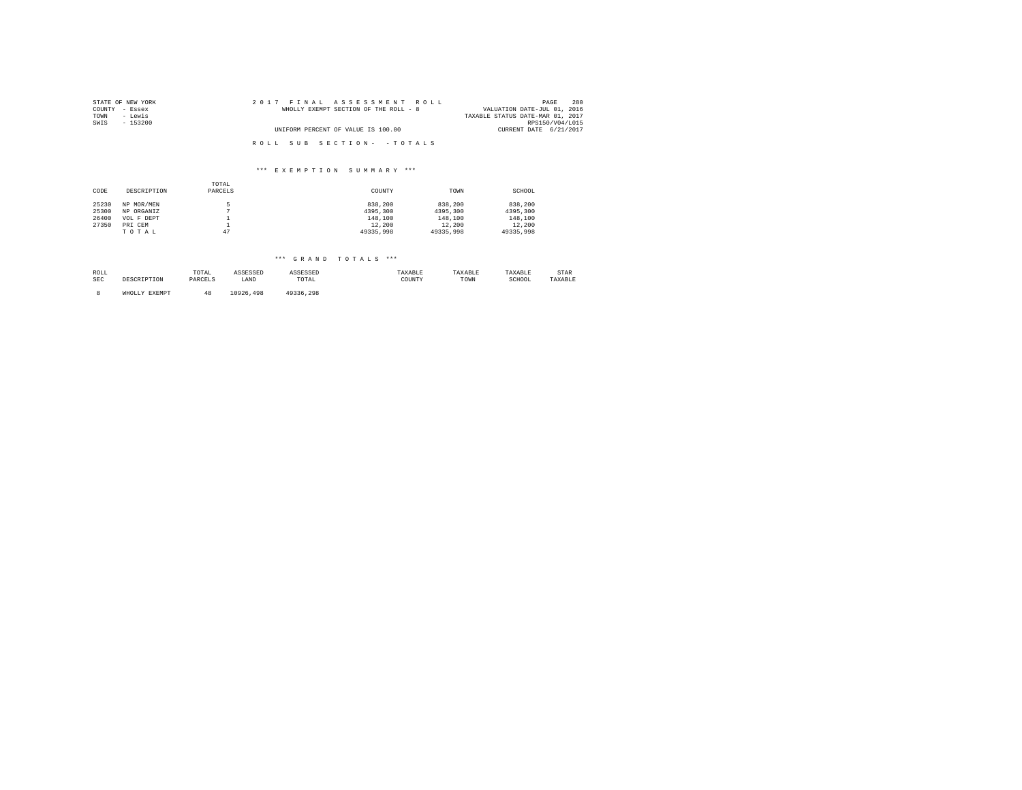| STATE OF NEW YORK | 2017 FINAL ASSESSMENT ROLL            | 280<br>PAGE                      |
|-------------------|---------------------------------------|----------------------------------|
| COUNTY - Essex    | WHOLLY EXEMPT SECTION OF THE ROLL - 8 | VALUATION DATE-JUL 01, 2016      |
| TOWN<br>- Lewis   |                                       | TAXABLE STATUS DATE-MAR 01, 2017 |
| SWIS<br>$-153200$ |                                       | RPS150/V04/L015                  |
|                   | UNIFORM PERCENT OF VALUE IS 100.00    | CURRENT DATE 6/21/2017           |
|                   | ROLL SUB SECTION- - TOTALS            |                                  |
|                   |                                       |                                  |

|       |             | TOTAL    |           |           |           |
|-------|-------------|----------|-----------|-----------|-----------|
| CODE  | DESCRIPTION | PARCELS  | COUNTY    | TOWN      | SCHOOL    |
|       |             |          |           |           |           |
| 25230 | NP MOR/MEN  |          | 838,200   | 838,200   | 838,200   |
| 25300 | NP ORGANIZ  | n        | 4395,300  | 4395,300  | 4395,300  |
| 26400 | VOL F DEPT  |          | 148,100   | 148,100   | 148,100   |
| 27350 | PRI CEM     | <b>.</b> | 12,200    | 12,200    | 12,200    |
|       | TOTAL       | 47       | 49335,998 | 49335.998 | 49335,998 |

| ROLL<br>SEC | DESCRIPTION   | TOTAL<br>PARCELS | ASSESSED<br>LAND | <b><i>ASSESSED</i></b><br>TOTAL | TAXABLE<br>COUNTY | TAXABLE<br>TOWN | TAXABLE<br>SCHOOL | STAR<br>TAXABLE |
|-------------|---------------|------------------|------------------|---------------------------------|-------------------|-----------------|-------------------|-----------------|
|             | WHOLLY EXEMPT |                  | 10926<br>.498    | 49336.298                       |                   |                 |                   |                 |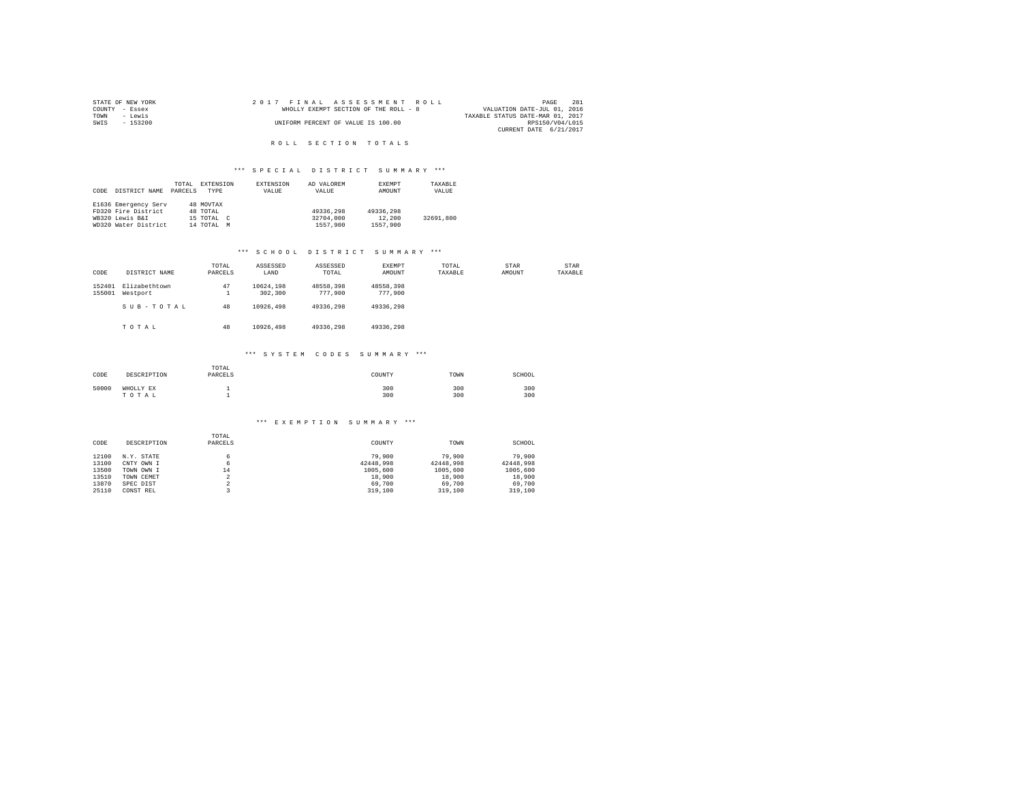|      | STATE OF NEW YORK | 2017 FINAL ASSESSMENT ROLL            | PAGE                             | 281 |
|------|-------------------|---------------------------------------|----------------------------------|-----|
|      | COUNTY - Essex    | WHOLLY EXEMPT SECTION OF THE ROLL - 8 | VALUATION DATE-JUL 01, 2016      |     |
| TOWN | - Lewis           |                                       | TAXABLE STATUS DATE-MAR 01, 2017 |     |
| SWIS | $-153200$         | UNIFORM PERCENT OF VALUE IS 100.00    | RPS150/V04/L015                  |     |
|      |                   |                                       | CURRENT DATE 6/21/2017           |     |

## R O L L S E C T I O N T O T A L S

#### \*\*\* SPECIAL DISTRICT SUMMARY \*\*\*

|      |                      | TOTAL   | EXTENSION     | <b>EXTENSION</b> | AD VALOREM | EXEMPT    | TAXABLE   |
|------|----------------------|---------|---------------|------------------|------------|-----------|-----------|
| CODE | DISTRICT NAME        | PARCELS | TYPE          | VALUE            | VALUE      | AMOUNT    | VALUE     |
|      |                      |         |               |                  |            |           |           |
|      | E1636 Emergency Serv |         | 48 MOVTAX     |                  |            |           |           |
|      | FD320 Fire District  |         | 48 TOTAL      |                  | 49336,298  | 49336,298 |           |
|      | WB320 Lewis B&I      |         | 15 TOTAL C    |                  | 32704,000  | 12,200    | 32691.800 |
|      | WD320 Water District |         | 14 TOTAL<br>M |                  | 1557,900   | 1557.900  |           |

## \*\*\* S C H O O L D I S T R I C T S U M M A R Y \*\*\*

| CODE             | DISTRICT NAME             | TOTAL<br>PARCELS | ASSESSED<br>LAND     | ASSESSED<br>TOTAL    | EXEMPT<br>AMOUNT     | TOTAL<br>TAXABLE | STAR<br>AMOUNT | STAR<br>TAXABLE |
|------------------|---------------------------|------------------|----------------------|----------------------|----------------------|------------------|----------------|-----------------|
| 152401<br>155001 | Elizabethtown<br>Westport | 47<br>л.         | 10624.198<br>302,300 | 48558.398<br>777,900 | 48558.398<br>777,900 |                  |                |                 |
|                  | SUB-TOTAL                 | 48               | 10926,498            | 49336.298            | 49336.298            |                  |                |                 |
|                  | TOTAL                     | 48               | 10926,498            | 49336.298            | 49336.298            |                  |                |                 |
|                  |                           |                  | *** SYSTEM CODES     |                      | SUMMARY ***          |                  |                |                 |
|                  |                           | TOTAL            |                      |                      |                      |                  |                |                 |

| CODE  | DESCRIPTION        | ------<br>PARCELS | COUNTY     | TOWN       | SCHOOL     |
|-------|--------------------|-------------------|------------|------------|------------|
| 50000 | WHOLLY EX<br>TOTAL |                   | 300<br>300 | 300<br>300 | 300<br>300 |

#### \*\*\* E X E M P T I O N S U M M A R Y \*\*\*

|       |             | TOTAL   |           |           |           |
|-------|-------------|---------|-----------|-----------|-----------|
| CODE  | DESCRIPTION | PARCELS | COUNTY    | TOWN      | SCHOOL    |
|       |             |         |           |           |           |
| 12100 | N.Y. STATE  |         | 79,900    | 79,900    | 79,900    |
| 13100 | CNTY OWN I  |         | 42448.998 | 42448.998 | 42448.998 |
| 13500 | TOWN OWN I  | 14      | 1005,600  | 1005,600  | 1005,600  |
| 13510 | TOWN CEMET  | ∠       | 18,900    | 18,900    | 18,900    |
| 13870 | SPEC DIST   |         | 69,700    | 69,700    | 69,700    |
| 25110 | CONST REL   |         | 319,100   | 319,100   | 319,100   |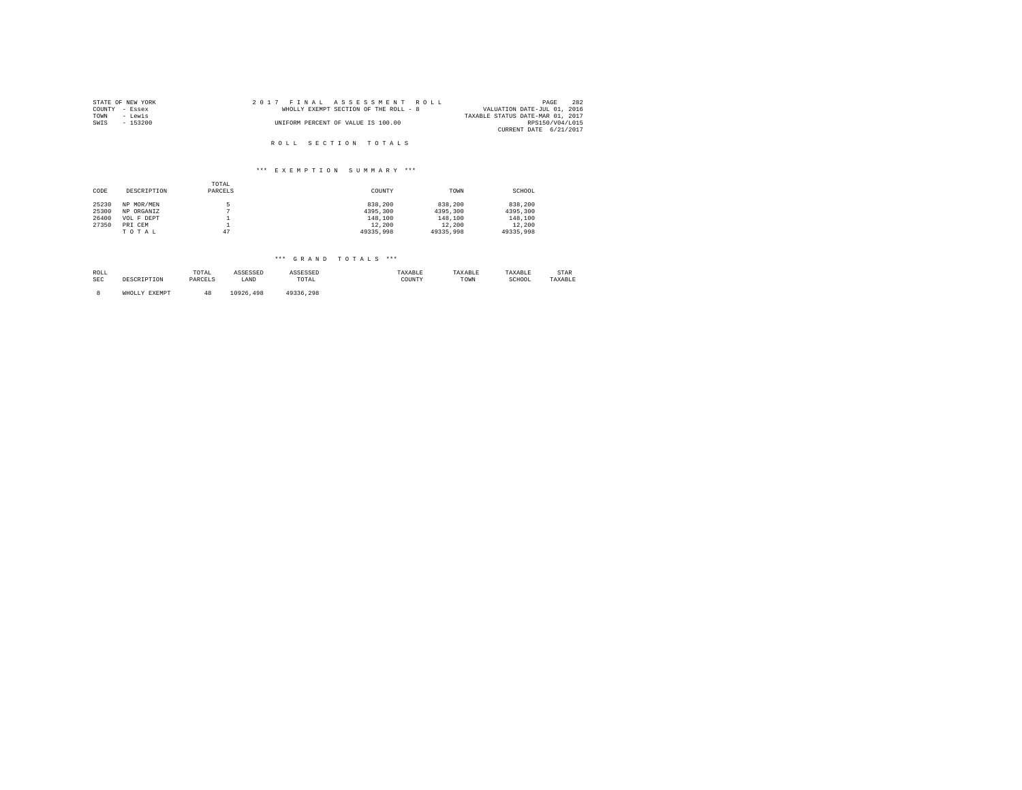| STATE OF NEW YORK | 2017 FINAL ASSESSMENT ROLL            | 282<br>PAGE                      |
|-------------------|---------------------------------------|----------------------------------|
| COUNTY - Essex    | WHOLLY EXEMPT SECTION OF THE ROLL - 8 | VALUATION DATE-JUL 01, 2016      |
| TOWN<br>- Lewis   |                                       | TAXABLE STATUS DATE-MAR 01, 2017 |
| SWIS<br>$-153200$ | UNIFORM PERCENT OF VALUE IS 100.00    | RPS150/V04/L015                  |
|                   |                                       | CURRENT DATE 6/21/2017           |
|                   |                                       |                                  |
|                   | ROLL SECTION TOTALS                   |                                  |

|       |             | TOTAL   |           |           |           |
|-------|-------------|---------|-----------|-----------|-----------|
| CODE  | DESCRIPTION | PARCELS | COUNTY    | TOWN      | SCHOOL    |
| 25230 | NP MOR/MEN  | π       | 838,200   | 838,200   | 838,200   |
| 25300 | NP ORGANIZ  | n       | 4395,300  | 4395,300  | 4395.300  |
| 26400 | VOL F DEPT  |         | 148,100   | 148,100   | 148,100   |
| 27350 | PRI CEM     |         | 12,200    | 12,200    | 12,200    |
|       | TOTAL       | 47      | 49335.998 | 49335,998 | 49335,998 |

| ROLL<br>SEC | DESCRIPTION   | TOTAL<br>PARCELS | ASSESSED<br>LAND | ASSESSED<br>TOTAL | TAXABLE<br>COUNTY | TAXABLE<br>TOWN | TAXABLE<br>SCHOOL | STAR<br>TAXABLE |
|-------------|---------------|------------------|------------------|-------------------|-------------------|-----------------|-------------------|-----------------|
|             | WHOLLY EXEMPT |                  | 10926,498        | 49336.298         |                   |                 |                   |                 |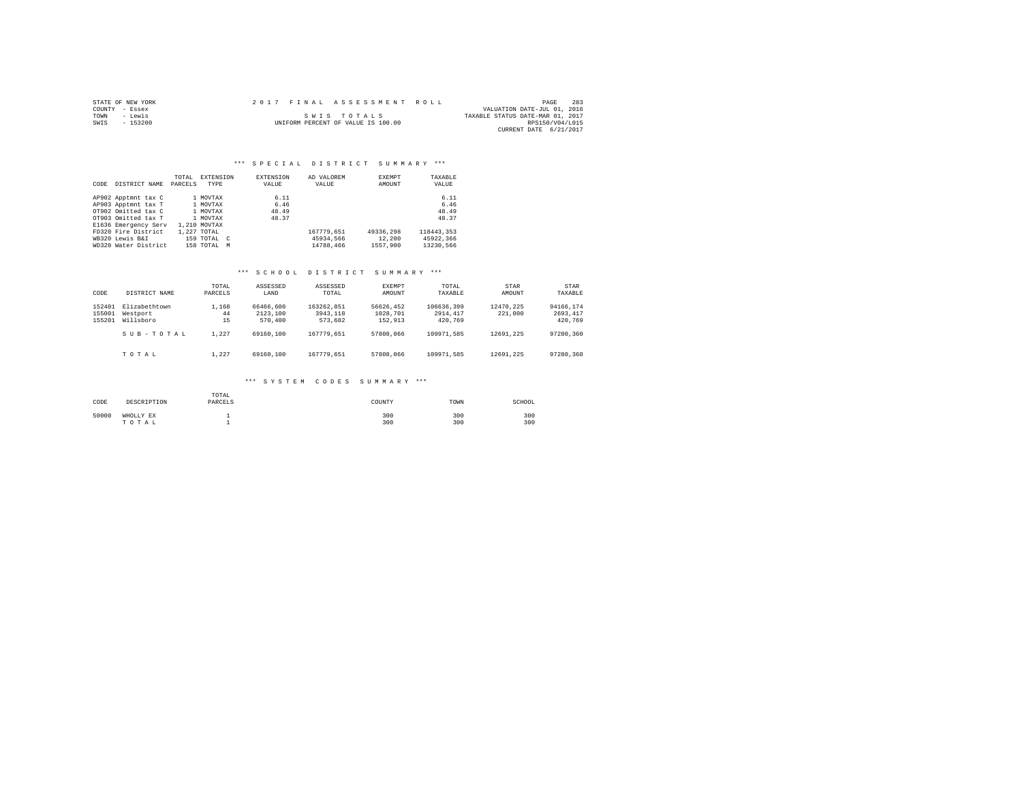|      | STATE OF NEW YORK | 2017 FINAL ASSESSMENT ROLL |                                    |                                  | PAGE            | 283 |
|------|-------------------|----------------------------|------------------------------------|----------------------------------|-----------------|-----|
|      | COUNTY - Essex    |                            |                                    | VALUATION DATE-JUL 01, 2016      |                 |     |
| TOWN | - Lewis           |                            | SWIS TOTALS                        | TAXABLE STATUS DATE-MAR 01, 2017 |                 |     |
| SWIS | $-153200$         |                            | UNIFORM PERCENT OF VALUE IS 100.00 |                                  | RPS150/V04/L015 |     |
|      |                   |                            |                                    | CURRENT DATE 6/21/2017           |                 |     |

#### \*\*\* SPECIAL DISTRICT SUMMARY \*\*\*

|      |                      | TOTAL   | EXTENSION    | <b>EXTENSION</b> | AD VALOREM | EXEMPT    | TAXABLE    |
|------|----------------------|---------|--------------|------------------|------------|-----------|------------|
| CODE | DISTRICT NAME        | PARCELS | TYPE         | VALUE            | VALUE      | AMOUNT    | VALUE      |
|      | AP902 Apptmnt tax C  |         | 1 MOVTAX     | 6.11             |            |           | 6.11       |
|      | AP903 Apptmnt tax T  |         | 1 MOVTAX     | 6.46             |            |           | 6.46       |
|      | OT902 Omitted tax C  |         | 1 MOVTAX     | 48.49            |            |           | 48.49      |
|      | OT903 Omitted tax T  |         | 1 MOVTAX     | 48.37            |            |           | 48.37      |
|      | E1636 Emergency Serv |         | 1,210 MOVTAX |                  |            |           |            |
|      | FD320 Fire District  |         | 1.227 TOTAL  |                  | 167779.651 | 49336,298 | 118443.353 |
|      | WB320 Lewis B&I      |         | 159 TOTAL C  |                  | 45934.566  | 12,200    | 45922.366  |
|      | WD320 Water District |         | 158 TOTAL    | M                | 14788.466  | 1557.900  | 13230.566  |

#### \*\*\* S C H O O L D I S T R I C T S U M M A R Y \*\*\*

| CODE                       | DISTRICT NAME                                       | TOTAL<br>PARCELS           | ASSESSED<br>LAND                              | ASSESSED<br>TOTAL                               | <b>EXEMPT</b><br>AMOUNT                       | TOTAL.<br>TAXABLE                                | STAR<br>AMOUNT                    | STAR<br>TAXABLE                               |
|----------------------------|-----------------------------------------------------|----------------------------|-----------------------------------------------|-------------------------------------------------|-----------------------------------------------|--------------------------------------------------|-----------------------------------|-----------------------------------------------|
| 152401<br>155001<br>155201 | Elizabethtown<br>Westport<br>Willsboro<br>SUB-TOTAL | 1,168<br>44<br>15<br>1.227 | 66466,600<br>2123,100<br>570,400<br>69160,100 | 163262.851<br>3943,118<br>573,682<br>167779.651 | 56626.452<br>1028,701<br>152,913<br>57808,066 | 106636,399<br>2914, 417<br>420.769<br>109971.585 | 12470.225<br>221,000<br>12691.225 | 94166.174<br>2693.417<br>420,769<br>97280.360 |
|                            | TOTAL                                               | 1.227                      | 69160,100                                     | 167779.651                                      | 57808,066                                     | 109971.585                                       | 12691.225                         | 97280.360                                     |

#### \*\*\* S Y S T E M C O D E S S U M M A R Y \*\*\*

| CODE  | DESCRIPTION        | TOTAL<br>PARCELS | COUNTY     | TOWN       | SCHOOL     |
|-------|--------------------|------------------|------------|------------|------------|
| 50000 | WHOLLY EX<br>TOTAL |                  | 300<br>300 | 300<br>300 | 300<br>300 |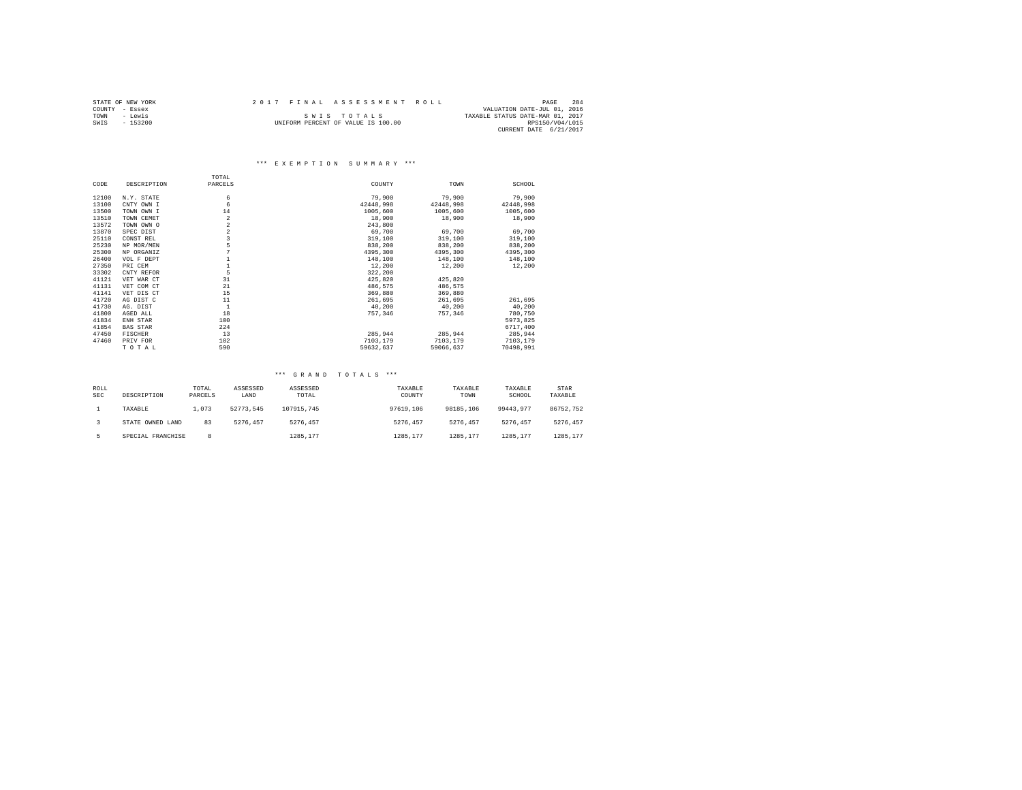|      | STATE OF NEW YORK |  | 2017 FINAL ASSESSMENT ROLL         |                                  | PAGE            | 284 |
|------|-------------------|--|------------------------------------|----------------------------------|-----------------|-----|
|      | COUNTY - Essex    |  |                                    | VALUATION DATE-JUL 01, 2016      |                 |     |
| TOWN | - Lewis           |  | SWIS TOTALS                        | TAXABLE STATUS DATE-MAR 01, 2017 |                 |     |
| SWIS | $-153200$         |  | UNIFORM PERCENT OF VALUE IS 100.00 |                                  | RPS150/V04/L015 |     |
|      |                   |  |                                    | CURRENT DATE 6/21/2017           |                 |     |

|       |                 | TOTAL                   |           |           |           |
|-------|-----------------|-------------------------|-----------|-----------|-----------|
| CODE  | DESCRIPTION     | PARCELS                 | COUNTY    | TOWN      | SCHOOL    |
| 12100 | N.Y. STATE      | 6                       | 79,900    | 79,900    | 79,900    |
| 13100 | CNTY OWN I      | 6                       | 42448.998 | 42448,998 | 42448,998 |
| 13500 | TOWN OWN I      | 14                      | 1005,600  | 1005,600  | 1005,600  |
| 13510 | TOWN CEMET      | $\overline{\mathbf{2}}$ | 18,900    | 18,900    | 18,900    |
| 13572 | TOWN OWN O      | $\overline{a}$          | 243,800   |           |           |
| 13870 | SPEC DIST       | $\,2$                   | 69,700    | 69,700    | 69,700    |
| 25110 | CONST REL       | $\overline{\mathbf{3}}$ | 319,100   | 319,100   | 319,100   |
| 25230 | NP MOR/MEN      | 5                       | 838,200   | 838,200   | 838,200   |
| 25300 | NP ORGANIZ      |                         | 4395,300  | 4395,300  | 4395,300  |
| 26400 | VOL F DEPT      |                         | 148,100   | 148,100   | 148,100   |
| 27350 | PRI CEM         |                         | 12,200    | 12,200    | 12,200    |
| 33302 | CNTY REFOR      | 5                       | 322,200   |           |           |
| 41121 | VET WAR CT      | 31                      | 425,820   | 425.820   |           |
| 41131 | VET COM CT      | 21                      | 486.575   | 486,575   |           |
| 41141 | VET DIS CT      | 15                      | 369,880   | 369,880   |           |
| 41720 | AG DIST C       | 11                      | 261,695   | 261,695   | 261,695   |
| 41730 | AG. DIST        | $\mathbf{1}$            | 40,200    | 40.200    | 40,200    |
| 41800 | AGED ALL        | 18                      | 757,346   | 757.346   | 780,750   |
| 41834 | ENH STAR        | 100                     |           |           | 5973.825  |
| 41854 | <b>BAS STAR</b> | 224                     |           |           | 6717,400  |
| 47450 | FISCHER         | 13                      | 285.944   | 285.944   | 285,944   |
| 47460 | PRIV FOR        | 102                     | 7103.179  | 7103,179  | 7103,179  |
|       | TOTAL           | 590                     | 59632.637 | 59066.637 | 70498.991 |

| ROLL<br><b>SEC</b> | DESCRIPTION       | TOTAL<br>PARCELS | ASSESSED<br>LAND | ASSESSED<br>TOTAL | TAXABLE<br>COUNTY | TAXABLE<br>TOWN | TAXABLE<br>SCHOOL | STAR<br>TAXABLE |
|--------------------|-------------------|------------------|------------------|-------------------|-------------------|-----------------|-------------------|-----------------|
|                    | TAXABLE           | 1,073            | 52773.545        | 107915.745        | 97619,106         | 98185,106       | 99443.977         | 86752.752       |
|                    | STATE OWNED LAND  | 83               | 5276.457         | 5276.457          | 5276.457          | 5276.457        | 5276.457          | 5276.457        |
|                    | SPECIAL FRANCHISE | 8                |                  | 1285.177          | 1285.177          | 1285.177        | 1285.177          | 1285.177        |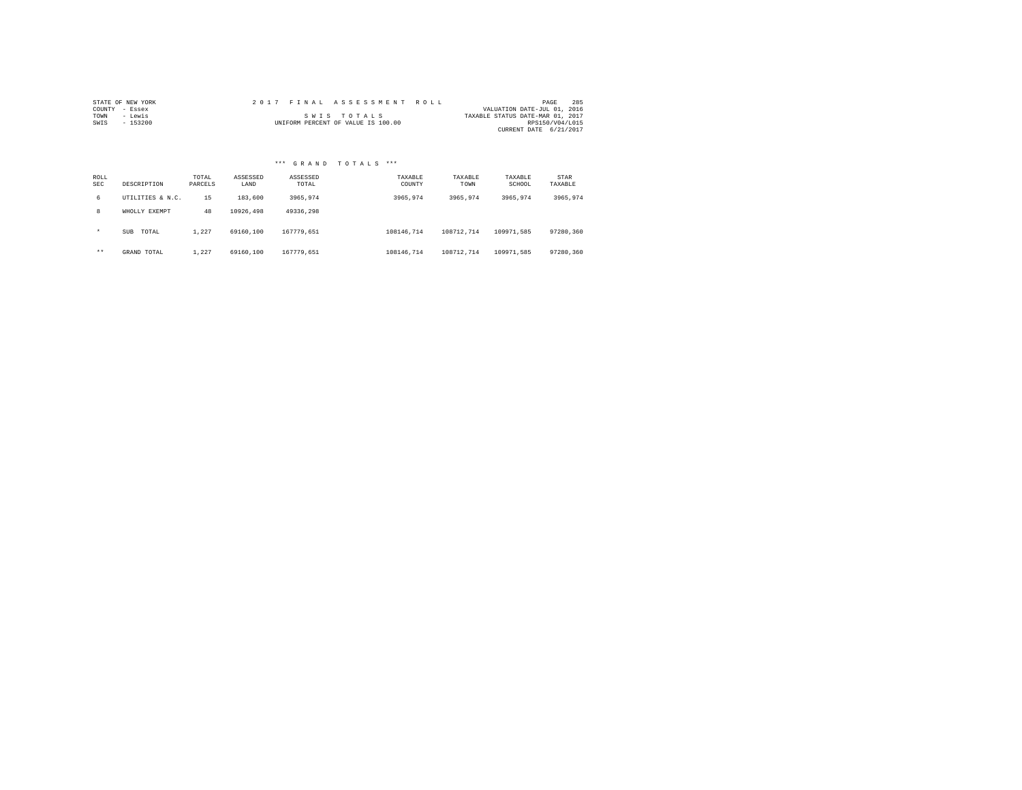| STATE OF NEW YORK |          |  | 2017 FINAL ASSESSMENT ROLL         |  |  |  |             |  |  |  |  |                                  | PAGE            | 285 |
|-------------------|----------|--|------------------------------------|--|--|--|-------------|--|--|--|--|----------------------------------|-----------------|-----|
| COUNTY - Essex    |          |  |                                    |  |  |  |             |  |  |  |  | VALUATION DATE-JUL 01, 2016      |                 |     |
| TOWN              | - Lewis  |  |                                    |  |  |  | SWIS TOTALS |  |  |  |  | TAXABLE STATUS DATE-MAR 01, 2017 |                 |     |
| SWIS              | - 153200 |  | UNIFORM PERCENT OF VALUE IS 100.00 |  |  |  |             |  |  |  |  |                                  | RPS150/V04/L015 |     |
|                   |          |  |                                    |  |  |  |             |  |  |  |  | CURRENT DATE 6/21/2017           |                 |     |

|             |                     |                  |                  | *** GRAND TOTALS  | $***$             |                 |                   |                 |
|-------------|---------------------|------------------|------------------|-------------------|-------------------|-----------------|-------------------|-----------------|
| ROLL<br>SEC | DESCRIPTION         | TOTAL<br>PARCELS | ASSESSED<br>LAND | ASSESSED<br>TOTAL | TAXABLE<br>COUNTY | TAXABLE<br>TOWN | TAXABLE<br>SCHOOL | STAR<br>TAXABLE |
| 6           | UTILITIES & N.C.    | 15               | 183,600          | 3965,974          | 3965.974          | 3965.974        | 3965.974          | 3965.974        |
| 8           | WHOLLY EXEMPT       | 48               | 10926.498        | 49336.298         |                   |                 |                   |                 |
| $\star$     | TOTAL<br><b>SUB</b> | 1.227            | 69160,100        | 167779.651        | 108146.714        | 108712.714      | 109971.585        | 97280.360       |
| $***$       | GRAND TOTAL         | 1.227            | 69160,100        | 167779.651        | 108146.714        | 108712.714      | 109971.585        | 97280.360       |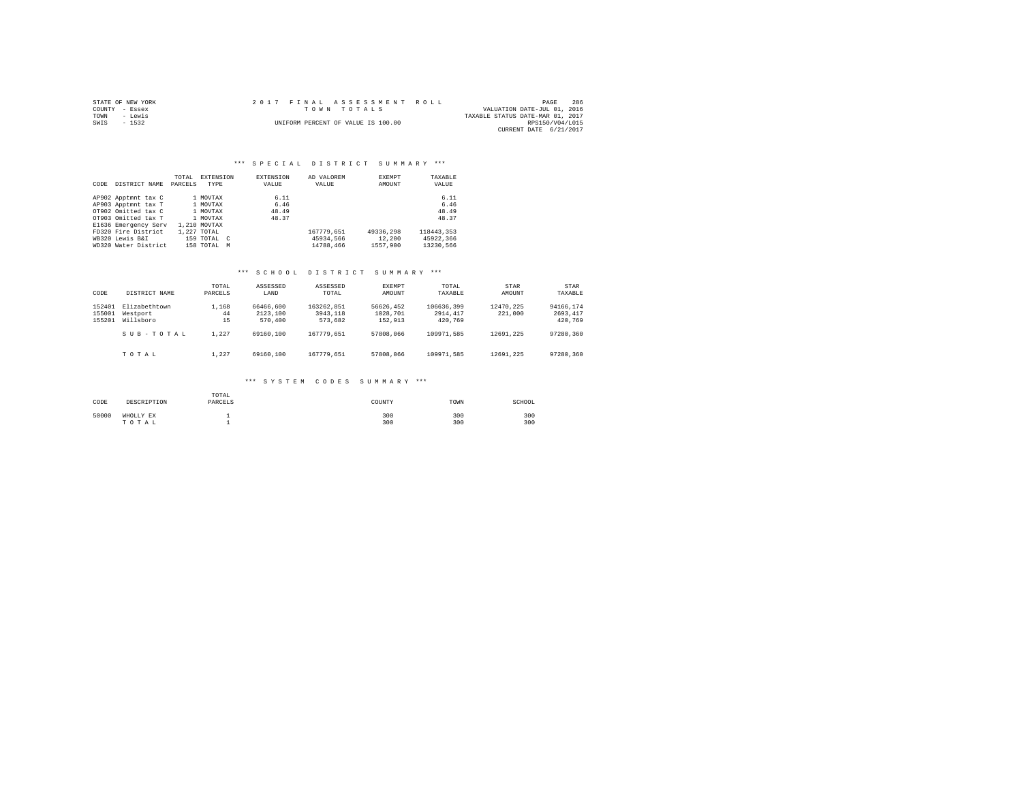|                | STATE OF NEW YORK |  | 2017 FINAL ASSESSMENT ROLL         |                                  | PAGE            | 286 |
|----------------|-------------------|--|------------------------------------|----------------------------------|-----------------|-----|
| COUNTY - Essex |                   |  | TOWN TOTALS                        | VALUATION DATE-JUL 01, 2016      |                 |     |
| TOWN           | - Lewis           |  |                                    | TAXABLE STATUS DATE-MAR 01, 2017 |                 |     |
| SWIS           | $-1532$           |  | UNIFORM PERCENT OF VALUE IS 100.00 |                                  | RPS150/V04/L015 |     |
|                |                   |  |                                    | CURRENT DATE 6/21/2017           |                 |     |

|      |                      | TOTAL   | EXTENSION    | EXTENSION | AD VALOREM | EXEMPT    | TAXABLE    |
|------|----------------------|---------|--------------|-----------|------------|-----------|------------|
| CODE | DISTRICT NAME        | PARCELS | TYPE         | VALUE     | VALUE      | AMOUNT    | VALUE      |
|      | AP902 Apptmnt tax C  |         | 1 MOVTAX     | 6.11      |            |           | 6.11       |
|      | AP903 Apptmnt tax T  |         | 1 MOVTAX     | 6.46      |            |           | 6.46       |
|      | OT902 Omitted tax C  |         | 1 MOVTAX     | 48.49     |            |           | 48.49      |
|      | OT903 Omitted tax T  |         | 1 MOVTAX     | 48.37     |            |           | 48.37      |
|      | E1636 Emergency Serv |         | 1,210 MOVTAX |           |            |           |            |
|      | FD320 Fire District  |         | 1.227 TOTAL  |           | 167779.651 | 49336,298 | 118443.353 |
|      | WB320 Lewis B&I      |         | 159 TOTAL C  |           | 45934.566  | 12,200    | 45922.366  |
|      | WD320 Water District |         | 158 TOTAL    | M         | 14788,466  | 1557.900  | 13230.566  |

#### \*\*\* S C H O O L D I S T R I C T S U M M A R Y \*\*\*

| CODE                       | DISTRICT NAME                                       | TOTAL<br>PARCELS           | ASSESSED<br>LAND                              | ASSESSED<br>TOTAL                               | <b>EXEMPT</b><br>AMOUNT                       | TOTAL.<br>TAXABLE                                | STAR<br>AMOUNT                    | STAR<br>TAXABLE                               |
|----------------------------|-----------------------------------------------------|----------------------------|-----------------------------------------------|-------------------------------------------------|-----------------------------------------------|--------------------------------------------------|-----------------------------------|-----------------------------------------------|
| 152401<br>155001<br>155201 | Elizabethtown<br>Westport<br>Willsboro<br>SUB-TOTAL | 1,168<br>44<br>15<br>1.227 | 66466,600<br>2123,100<br>570,400<br>69160,100 | 163262.851<br>3943,118<br>573,682<br>167779.651 | 56626.452<br>1028,701<br>152,913<br>57808,066 | 106636,399<br>2914, 417<br>420.769<br>109971.585 | 12470.225<br>221,000<br>12691.225 | 94166.174<br>2693.417<br>420,769<br>97280.360 |
|                            | TOTAL                                               | 1.227                      | 69160,100                                     | 167779.651                                      | 57808,066                                     | 109971.585                                       | 12691.225                         | 97280.360                                     |

#### \*\*\* S Y S T E M C O D E S S U M M A R Y \*\*\*

| CODE  | DESCRIPTION        | TOTAL<br>PARCELS | COUNTY     | TOWN       | SCHOOL     |
|-------|--------------------|------------------|------------|------------|------------|
| 50000 | WHOLLY EX<br>TOTAL |                  | 300<br>300 | 300<br>300 | 300<br>300 |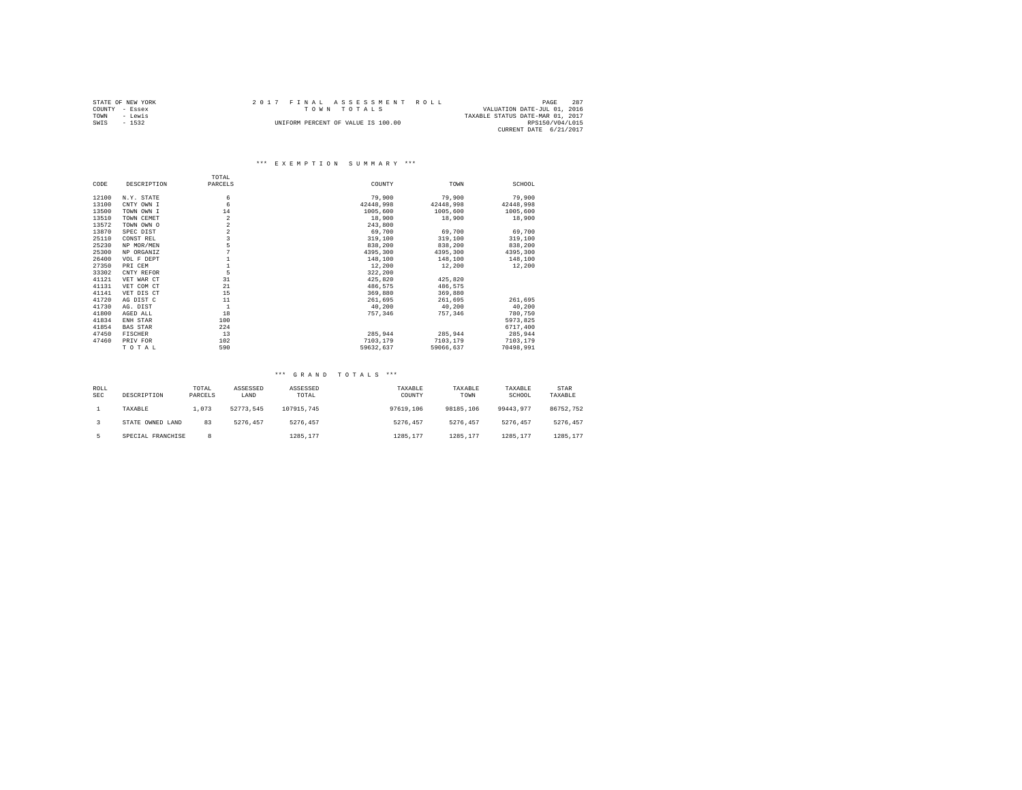|                | STATE OF NEW YORK |  | 2017 FINAL ASSESSMENT ROLL         |                                  | PAGE            | 287 |
|----------------|-------------------|--|------------------------------------|----------------------------------|-----------------|-----|
| COUNTY - Essex |                   |  | TOWN TOTALS                        | VALUATION DATE-JUL 01, 2016      |                 |     |
| TOWN           | - Lewis           |  |                                    | TAXABLE STATUS DATE-MAR 01, 2017 |                 |     |
| SWIS           | $-1532$           |  | UNIFORM PERCENT OF VALUE IS 100.00 |                                  | RPS150/V04/L015 |     |
|                |                   |  |                                    | CURRENT DATE 6/21/2017           |                 |     |

|       |                 | TOTAL                   |           |           |           |
|-------|-----------------|-------------------------|-----------|-----------|-----------|
| CODE  | DESCRIPTION     | PARCELS                 | COUNTY    | TOWN      | SCHOOL    |
| 12100 | N.Y. STATE      | 6                       | 79,900    | 79,900    | 79,900    |
| 13100 | CNTY OWN I      | 6                       | 42448.998 | 42448,998 | 42448,998 |
| 13500 | TOWN OWN I      | 14                      | 1005,600  | 1005,600  | 1005,600  |
| 13510 | TOWN CEMET      | $\overline{\mathbf{2}}$ | 18,900    | 18,900    | 18,900    |
| 13572 | TOWN OWN O      | $\,2$                   | 243,800   |           |           |
| 13870 | SPEC DIST       | $\,2$                   | 69,700    | 69,700    | 69,700    |
| 25110 | CONST REL       | $\overline{\mathbf{3}}$ | 319,100   | 319,100   | 319,100   |
| 25230 | NP MOR/MEN      | 5                       | 838,200   | 838,200   | 838,200   |
| 25300 | NP ORGANIZ      | 7                       | 4395,300  | 4395,300  | 4395,300  |
| 26400 | VOL F DEPT      | $\mathbf{1}$            | 148,100   | 148,100   | 148,100   |
| 27350 | PRI CEM         | $\mathbf{1}$            | 12,200    | 12,200    | 12,200    |
| 33302 | CNTY REFOR      | 5                       | 322,200   |           |           |
| 41121 | VET WAR CT      | 31                      | 425,820   | 425,820   |           |
| 41131 | VET COM CT      | 21                      | 486.575   | 486,575   |           |
| 41141 | VET DIS CT      | 15                      | 369,880   | 369,880   |           |
| 41720 | AG DIST C       | 11                      | 261.695   | 261,695   | 261,695   |
| 41730 | AG. DIST        | $\mathbf{1}$            | 40,200    | 40.200    | 40,200    |
| 41800 | AGED ALL        | 18                      | 757,346   | 757,346   | 780,750   |
| 41834 | ENH STAR        | 100                     |           |           | 5973.825  |
| 41854 | <b>BAS STAR</b> | 224                     |           |           | 6717,400  |
| 47450 | <b>FISCHER</b>  | 13                      | 285.944   | 285.944   | 285,944   |
| 47460 | PRIV FOR        | 102                     | 7103.179  | 7103,179  | 7103,179  |
|       | TOTAL           | 590                     | 59632.637 | 59066.637 | 70498.991 |

| ROLL<br><b>SEC</b> | DESCRIPTION       | TOTAL<br>PARCELS | ASSESSED<br>LAND | ASSESSED<br>TOTAL | TAXABLE<br>COUNTY | TAXABLE<br>TOWN | TAXABLE<br>SCHOOL | STAR<br>TAXABLE |
|--------------------|-------------------|------------------|------------------|-------------------|-------------------|-----------------|-------------------|-----------------|
|                    | TAXABLE           | 1,073            | 52773.545        | 107915.745        | 97619,106         | 98185,106       | 99443.977         | 86752.752       |
|                    | STATE OWNED LAND  | 83               | 5276.457         | 5276.457          | 5276.457          | 5276.457        | 5276.457          | 5276.457        |
|                    | SPECIAL FRANCHISE | 8                |                  | 1285.177          | 1285.177          | 1285.177        | 1285.177          | 1285.177        |